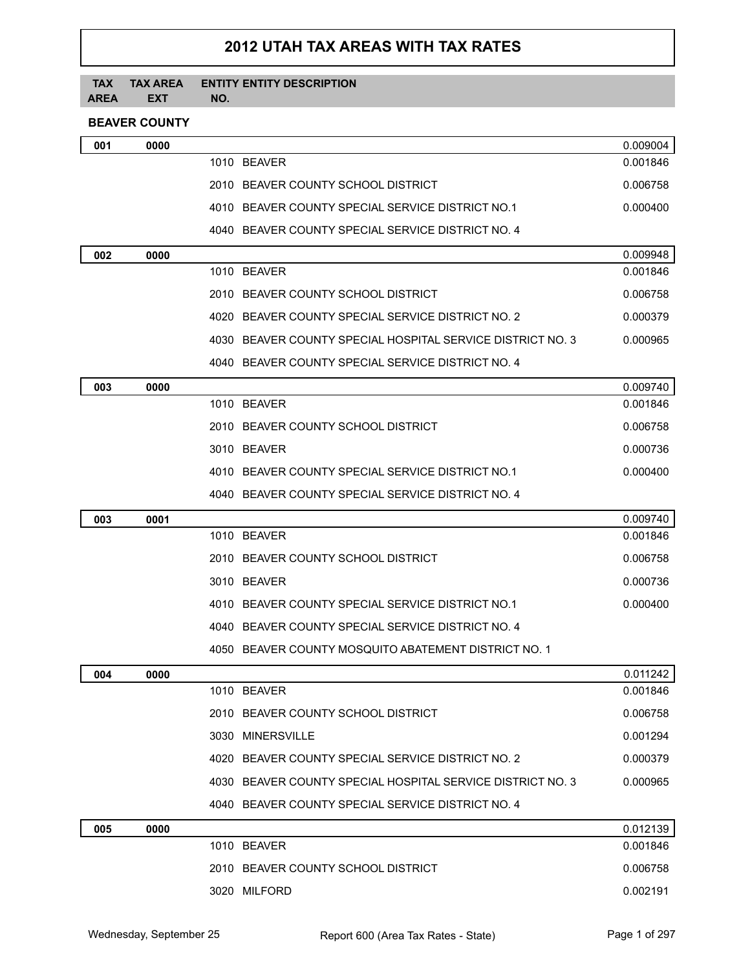# **2012 UTAH TAX AREAS WITH TAX RATES**

#### **TAX TAX AREA AREA EXT ENTITY ENTITY DESCRIPTION NO.**

## **BEAVER COUNTY**

| 001 | 0000 |                                                            | 0.009004 |
|-----|------|------------------------------------------------------------|----------|
|     |      | 1010 BEAVER                                                | 0.001846 |
|     |      | 2010 BEAVER COUNTY SCHOOL DISTRICT                         | 0.006758 |
|     |      | 4010 BEAVER COUNTY SPECIAL SERVICE DISTRICT NO.1           | 0.000400 |
|     |      | 4040 BEAVER COUNTY SPECIAL SERVICE DISTRICT NO. 4          |          |
| 002 | 0000 |                                                            | 0.009948 |
|     |      | 1010 BEAVER                                                | 0.001846 |
|     |      | 2010 BEAVER COUNTY SCHOOL DISTRICT                         | 0.006758 |
|     |      | 4020 BEAVER COUNTY SPECIAL SERVICE DISTRICT NO. 2          | 0.000379 |
|     |      | 4030 BEAVER COUNTY SPECIAL HOSPITAL SERVICE DISTRICT NO. 3 | 0.000965 |
|     |      | 4040 BEAVER COUNTY SPECIAL SERVICE DISTRICT NO. 4          |          |
| 003 | 0000 |                                                            | 0.009740 |
|     |      | 1010 BEAVER                                                | 0.001846 |
|     |      | 2010 BEAVER COUNTY SCHOOL DISTRICT                         | 0.006758 |
|     |      | 3010 BEAVER                                                | 0.000736 |
|     |      | 4010 BEAVER COUNTY SPECIAL SERVICE DISTRICT NO.1           | 0.000400 |
|     |      | 4040 BEAVER COUNTY SPECIAL SERVICE DISTRICT NO. 4          |          |
| 003 | 0001 |                                                            | 0.009740 |
|     |      | 1010 BEAVER                                                | 0.001846 |
|     |      | 2010 BEAVER COUNTY SCHOOL DISTRICT                         | 0.006758 |
|     |      | 3010 BEAVER                                                | 0.000736 |
|     |      | 4010 BEAVER COUNTY SPECIAL SERVICE DISTRICT NO.1           | 0.000400 |
|     |      | 4040 BEAVER COUNTY SPECIAL SERVICE DISTRICT NO. 4          |          |
|     |      | 4050 BEAVER COUNTY MOSQUITO ABATEMENT DISTRICT NO. 1       |          |
| 004 | 0000 |                                                            | 0.011242 |
|     |      | 1010 BEAVER                                                | 0.001846 |
|     |      | 2010 BEAVER COUNTY SCHOOL DISTRICT                         | 0.006758 |
|     |      | 3030 MINERSVILLE                                           | 0.001294 |
|     |      | 4020 BEAVER COUNTY SPECIAL SERVICE DISTRICT NO. 2          | 0.000379 |
|     |      | 4030 BEAVER COUNTY SPECIAL HOSPITAL SERVICE DISTRICT NO. 3 | 0.000965 |
|     |      | 4040 BEAVER COUNTY SPECIAL SERVICE DISTRICT NO. 4          |          |
| 005 | 0000 |                                                            | 0.012139 |
|     |      | 1010 BEAVER                                                | 0.001846 |
|     |      | 2010 BEAVER COUNTY SCHOOL DISTRICT                         | 0.006758 |
|     |      | 3020 MILFORD                                               | 0.002191 |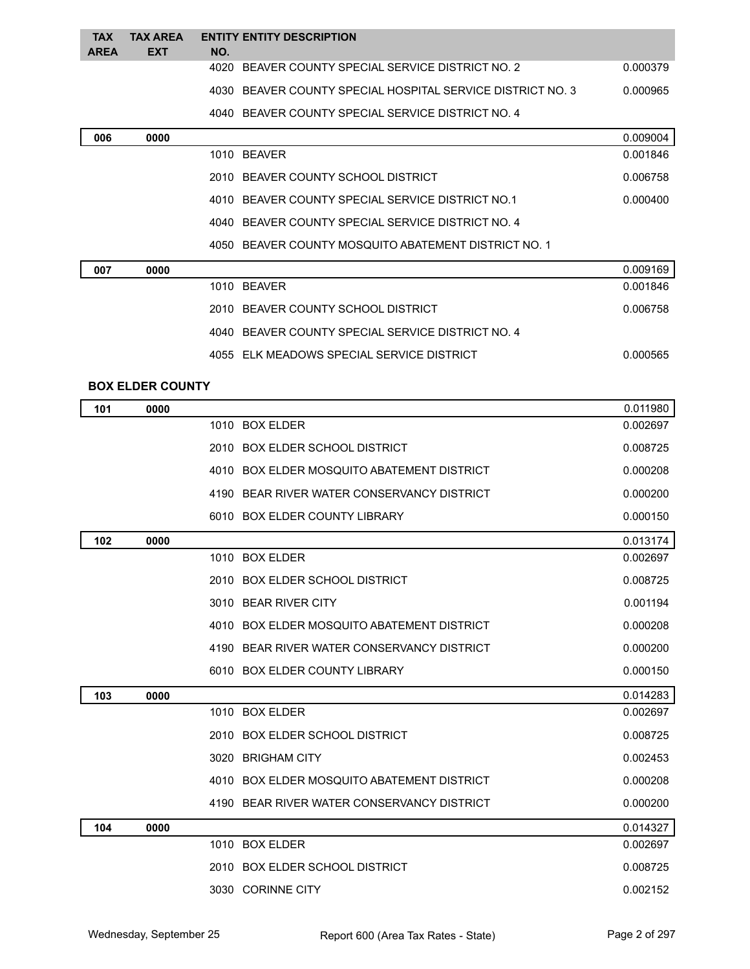| <b>TAX</b>  | <b>TAX AREA</b> | <b>ENTITY ENTITY DESCRIPTION</b>                           |          |
|-------------|-----------------|------------------------------------------------------------|----------|
| <b>AREA</b> | <b>EXT</b>      | NO.                                                        |          |
|             |                 | BEAVER COUNTY SPECIAL SERVICE DISTRICT NO. 2<br>4020       | 0.000379 |
|             |                 | 4030 BEAVER COUNTY SPECIAL HOSPITAL SERVICE DISTRICT NO. 3 | 0.000965 |
|             |                 | 4040 BEAVER COUNTY SPECIAL SERVICE DISTRICT NO. 4          |          |
| 006         | 0000            |                                                            | 0.009004 |
|             |                 | 1010 BEAVER                                                | 0.001846 |
|             |                 | 2010 BEAVER COUNTY SCHOOL DISTRICT                         | 0.006758 |
|             |                 | 4010 BEAVER COUNTY SPECIAL SERVICE DISTRICT NO.1           | 0.000400 |
|             |                 | 4040 BEAVER COUNTY SPECIAL SERVICE DISTRICT NO. 4          |          |
|             |                 | 4050 BEAVER COUNTY MOSQUITO ABATEMENT DISTRICT NO. 1       |          |
| 007         | 0000            |                                                            | 0.009169 |
|             |                 | 1010 BEAVER                                                | 0.001846 |
|             |                 |                                                            |          |

| 2010 BEAVER COUNTY SCHOOL DISTRICT                | 0.006758 |
|---------------------------------------------------|----------|
| 4040 BEAVER COUNTY SPECIAL SERVICE DISTRICT NO. 4 |          |
| 4055 ELK MEADOWS SPECIAL SERVICE DISTRICT         | 0.000565 |

#### **BOX ELDER COUNTY**

| 101 | 0000 |                                            | 0.011980 |
|-----|------|--------------------------------------------|----------|
|     |      | 1010 BOX ELDER                             | 0.002697 |
|     |      | 2010 BOX ELDER SCHOOL DISTRICT             | 0.008725 |
|     |      | 4010 BOX ELDER MOSQUITO ABATEMENT DISTRICT | 0.000208 |
|     |      | 4190 BEAR RIVER WATER CONSERVANCY DISTRICT | 0.000200 |
|     |      | 6010 BOX ELDER COUNTY LIBRARY              | 0.000150 |
| 102 | 0000 |                                            | 0.013174 |
|     |      | 1010 BOX ELDER                             | 0.002697 |
|     |      | 2010 BOX ELDER SCHOOL DISTRICT             | 0.008725 |
|     |      | 3010 BEAR RIVER CITY                       | 0.001194 |
|     |      | 4010 BOX ELDER MOSQUITO ABATEMENT DISTRICT | 0.000208 |
|     |      | 4190 BEAR RIVER WATER CONSERVANCY DISTRICT | 0.000200 |
|     |      | 6010 BOX ELDER COUNTY LIBRARY              | 0.000150 |
| 103 | 0000 |                                            | 0.014283 |
|     |      | 1010 BOX ELDER                             | 0.002697 |
|     |      | 2010 BOX ELDER SCHOOL DISTRICT             | 0.008725 |
|     |      | 3020 BRIGHAM CITY                          | 0.002453 |
|     |      | 4010 BOX ELDER MOSQUITO ABATEMENT DISTRICT | 0.000208 |
|     |      | 4190 BEAR RIVER WATER CONSERVANCY DISTRICT | 0.000200 |
| 104 | 0000 |                                            | 0.014327 |
|     |      | 1010 BOX ELDER                             | 0.002697 |
|     |      | 2010 BOX ELDER SCHOOL DISTRICT             | 0.008725 |
|     |      | 3030 CORINNE CITY                          | 0.002152 |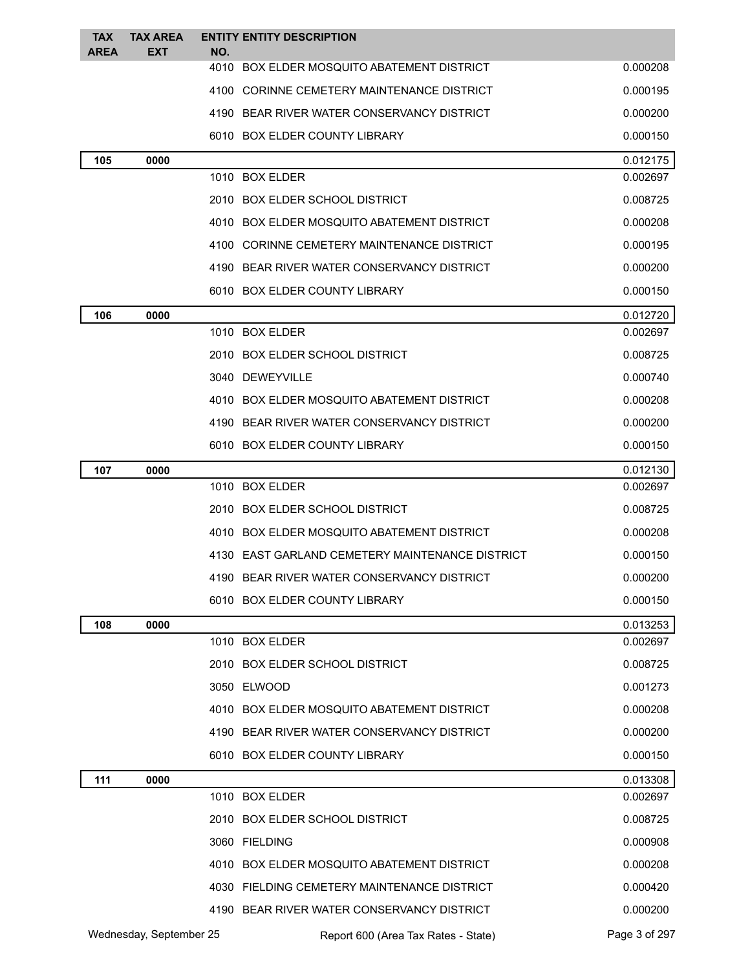| <b>TAX</b>  | <b>TAX AREA</b>         |     | <b>ENTITY ENTITY DESCRIPTION</b>                |                      |
|-------------|-------------------------|-----|-------------------------------------------------|----------------------|
| <b>AREA</b> | EXT                     | NO. | 4010 BOX ELDER MOSQUITO ABATEMENT DISTRICT      | 0.000208             |
|             |                         |     | 4100 CORINNE CEMETERY MAINTENANCE DISTRICT      | 0.000195             |
|             |                         |     | 4190 BEAR RIVER WATER CONSERVANCY DISTRICT      | 0.000200             |
|             |                         |     | 6010 BOX ELDER COUNTY LIBRARY                   | 0.000150             |
| 105         | 0000                    |     |                                                 | 0.012175             |
|             |                         |     | 1010 BOX ELDER                                  | 0.002697             |
|             |                         |     | 2010 BOX ELDER SCHOOL DISTRICT                  | 0.008725             |
|             |                         |     | 4010 BOX ELDER MOSQUITO ABATEMENT DISTRICT      | 0.000208             |
|             |                         |     | 4100 CORINNE CEMETERY MAINTENANCE DISTRICT      | 0.000195             |
|             |                         |     | 4190 BEAR RIVER WATER CONSERVANCY DISTRICT      | 0.000200             |
|             |                         |     | 6010 BOX ELDER COUNTY LIBRARY                   | 0.000150             |
| 106         | 0000                    |     |                                                 | 0.012720             |
|             |                         |     | 1010 BOX ELDER                                  | 0.002697             |
|             |                         |     | 2010 BOX ELDER SCHOOL DISTRICT                  | 0.008725             |
|             |                         |     | 3040 DEWEYVILLE                                 | 0.000740             |
|             |                         |     | 4010 BOX ELDER MOSQUITO ABATEMENT DISTRICT      | 0.000208             |
|             |                         |     | 4190 BEAR RIVER WATER CONSERVANCY DISTRICT      | 0.000200             |
|             |                         |     | 6010 BOX ELDER COUNTY LIBRARY                   | 0.000150             |
| 107         | 0000                    |     |                                                 | 0.012130             |
|             |                         |     | 1010 BOX ELDER                                  | 0.002697             |
|             |                         |     | 2010 BOX ELDER SCHOOL DISTRICT                  | 0.008725             |
|             |                         |     | 4010 BOX ELDER MOSQUITO ABATEMENT DISTRICT      | 0.000208             |
|             |                         |     | 4130 EAST GARLAND CEMETERY MAINTENANCE DISTRICT | 0.000150             |
|             |                         |     | 4190 BEAR RIVER WATER CONSERVANCY DISTRICT      | 0.000200             |
|             |                         |     | 6010 BOX ELDER COUNTY LIBRARY                   | 0.000150             |
| 108         | 0000                    |     | 1010 BOX ELDER                                  | 0.013253<br>0.002697 |
|             |                         |     | 2010 BOX ELDER SCHOOL DISTRICT                  | 0.008725             |
|             |                         |     | 3050 ELWOOD                                     | 0.001273             |
|             |                         |     | 4010 BOX ELDER MOSQUITO ABATEMENT DISTRICT      | 0.000208             |
|             |                         |     | 4190 BEAR RIVER WATER CONSERVANCY DISTRICT      | 0.000200             |
|             |                         |     | 6010 BOX ELDER COUNTY LIBRARY                   | 0.000150             |
| 111         | 0000                    |     |                                                 | 0.013308             |
|             |                         |     | 1010 BOX ELDER                                  | 0.002697             |
|             |                         |     | 2010 BOX ELDER SCHOOL DISTRICT                  | 0.008725             |
|             |                         |     | 3060 FIELDING                                   | 0.000908             |
|             |                         |     | 4010 BOX ELDER MOSQUITO ABATEMENT DISTRICT      | 0.000208             |
|             |                         |     | 4030 FIELDING CEMETERY MAINTENANCE DISTRICT     | 0.000420             |
|             |                         |     | 4190 BEAR RIVER WATER CONSERVANCY DISTRICT      | 0.000200             |
|             | Wednesday, September 25 |     | Report 600 (Area Tax Rates - State)             | Page 3 of 297        |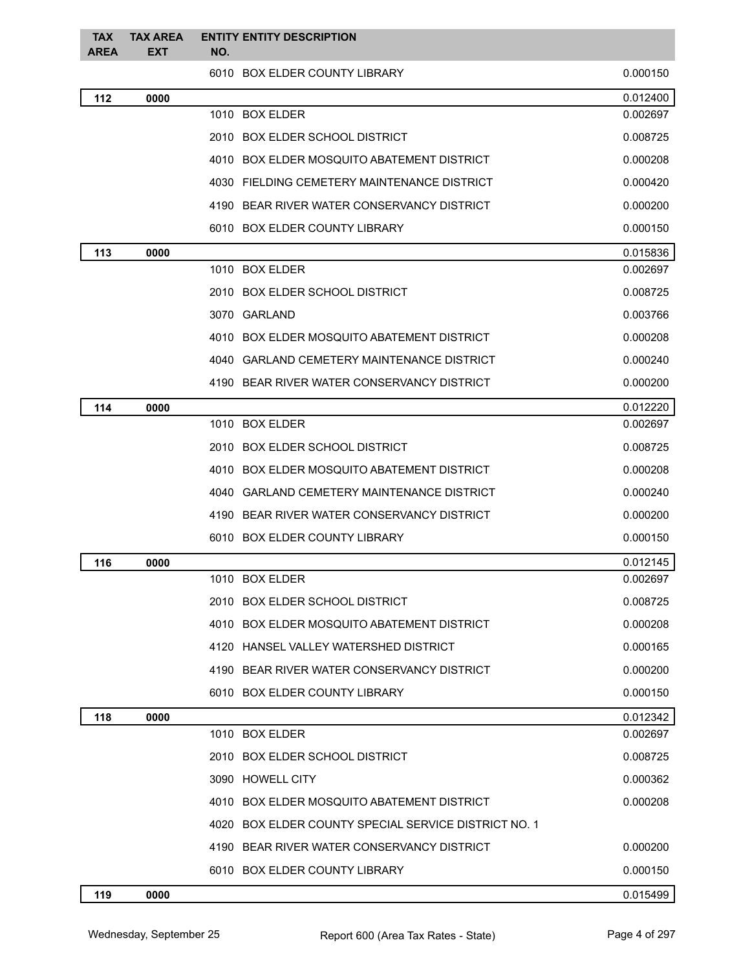| <b>TAX</b><br><b>AREA</b> | <b>TAX AREA</b><br><b>EXT</b> | <b>ENTITY ENTITY DESCRIPTION</b><br>NO.              |          |
|---------------------------|-------------------------------|------------------------------------------------------|----------|
|                           |                               | 6010 BOX ELDER COUNTY LIBRARY                        | 0.000150 |
| 112                       | 0000                          |                                                      | 0.012400 |
|                           |                               | 1010 BOX ELDER                                       | 0.002697 |
|                           |                               | 2010 BOX ELDER SCHOOL DISTRICT                       | 0.008725 |
|                           |                               | 4010 BOX ELDER MOSQUITO ABATEMENT DISTRICT           | 0.000208 |
|                           |                               | 4030 FIELDING CEMETERY MAINTENANCE DISTRICT          | 0.000420 |
|                           |                               | 4190 BEAR RIVER WATER CONSERVANCY DISTRICT           | 0.000200 |
|                           |                               | 6010 BOX ELDER COUNTY LIBRARY                        | 0.000150 |
| 113                       | 0000                          |                                                      | 0.015836 |
|                           |                               | 1010 BOX ELDER                                       | 0.002697 |
|                           |                               | 2010 BOX ELDER SCHOOL DISTRICT                       | 0.008725 |
|                           |                               | 3070 GARLAND                                         | 0.003766 |
|                           |                               | 4010 BOX ELDER MOSQUITO ABATEMENT DISTRICT           | 0.000208 |
|                           |                               | 4040 GARLAND CEMETERY MAINTENANCE DISTRICT           | 0.000240 |
|                           |                               | 4190 BEAR RIVER WATER CONSERVANCY DISTRICT           | 0.000200 |
| 114                       | 0000                          |                                                      | 0.012220 |
|                           |                               | 1010 BOX ELDER                                       | 0.002697 |
|                           |                               | 2010 BOX ELDER SCHOOL DISTRICT                       | 0.008725 |
|                           |                               | 4010 BOX ELDER MOSQUITO ABATEMENT DISTRICT           | 0.000208 |
|                           |                               | 4040 GARLAND CEMETERY MAINTENANCE DISTRICT           | 0.000240 |
|                           |                               | 4190 BEAR RIVER WATER CONSERVANCY DISTRICT           | 0.000200 |
|                           |                               | 6010 BOX ELDER COUNTY LIBRARY                        | 0.000150 |
| 116                       | 0000                          |                                                      | 0.012145 |
|                           |                               | 1010 BOX ELDER                                       | 0.002697 |
|                           |                               | 2010 BOX ELDER SCHOOL DISTRICT                       | 0.008725 |
|                           |                               | 4010 BOX ELDER MOSQUITO ABATEMENT DISTRICT           | 0.000208 |
|                           |                               | 4120 HANSEL VALLEY WATERSHED DISTRICT                | 0.000165 |
|                           |                               | 4190 BEAR RIVER WATER CONSERVANCY DISTRICT           | 0.000200 |
|                           |                               | 6010 BOX ELDER COUNTY LIBRARY                        | 0.000150 |
| 118                       | 0000                          |                                                      | 0.012342 |
|                           |                               | 1010 BOX ELDER                                       | 0.002697 |
|                           |                               | 2010 BOX ELDER SCHOOL DISTRICT                       | 0.008725 |
|                           |                               | 3090 HOWELL CITY                                     | 0.000362 |
|                           |                               | 4010 BOX ELDER MOSQUITO ABATEMENT DISTRICT           | 0.000208 |
|                           |                               | 4020 BOX ELDER COUNTY SPECIAL SERVICE DISTRICT NO. 1 |          |
|                           |                               | 4190 BEAR RIVER WATER CONSERVANCY DISTRICT           | 0.000200 |
|                           |                               | 6010 BOX ELDER COUNTY LIBRARY                        | 0.000150 |
| 119                       | 0000                          |                                                      | 0.015499 |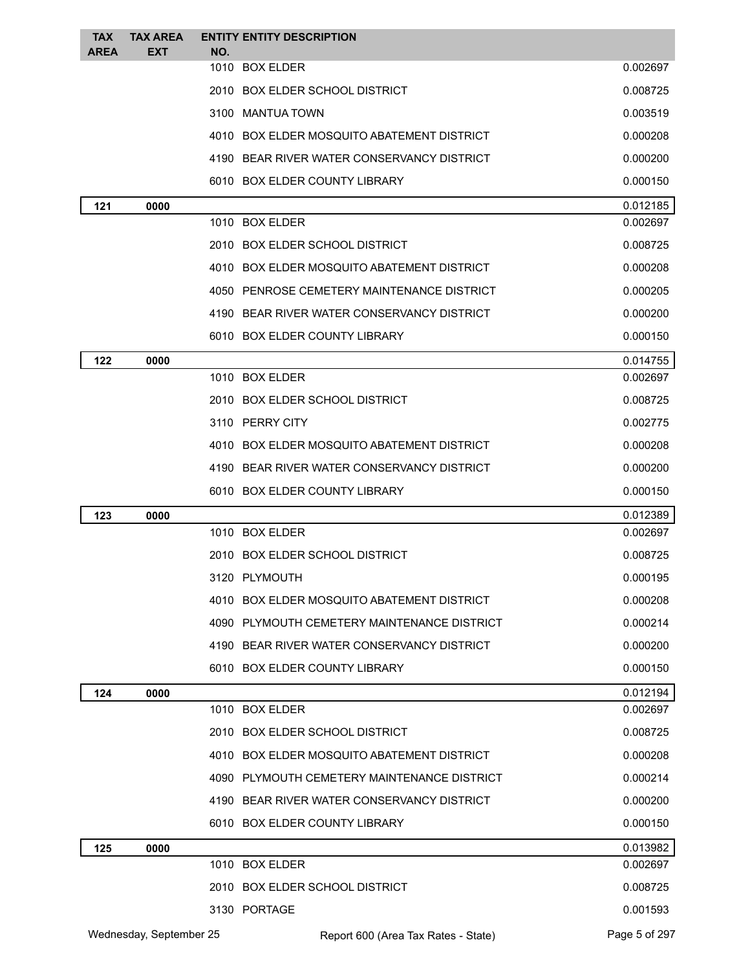| <b>TAX</b><br><b>AREA</b> | <b>TAX AREA</b><br><b>EXT</b> | NO. | <b>ENTITY ENTITY DESCRIPTION</b>            |               |
|---------------------------|-------------------------------|-----|---------------------------------------------|---------------|
|                           |                               |     | 1010 BOX ELDER                              | 0.002697      |
|                           |                               |     | 2010 BOX ELDER SCHOOL DISTRICT              | 0.008725      |
|                           |                               |     | 3100 MANTUA TOWN                            | 0.003519      |
|                           |                               |     | 4010 BOX ELDER MOSQUITO ABATEMENT DISTRICT  | 0.000208      |
|                           |                               |     | 4190 BEAR RIVER WATER CONSERVANCY DISTRICT  | 0.000200      |
|                           |                               |     | 6010 BOX ELDER COUNTY LIBRARY               | 0.000150      |
| 121                       | 0000                          |     |                                             | 0.012185      |
|                           |                               |     | 1010 BOX ELDER                              | 0.002697      |
|                           |                               |     | 2010 BOX ELDER SCHOOL DISTRICT              | 0.008725      |
|                           |                               |     | 4010 BOX ELDER MOSQUITO ABATEMENT DISTRICT  | 0.000208      |
|                           |                               |     | 4050 PENROSE CEMETERY MAINTENANCE DISTRICT  | 0.000205      |
|                           |                               |     | 4190 BEAR RIVER WATER CONSERVANCY DISTRICT  | 0.000200      |
|                           |                               |     | 6010 BOX ELDER COUNTY LIBRARY               | 0.000150      |
| 122                       | 0000                          |     |                                             | 0.014755      |
|                           |                               |     | 1010 BOX ELDER                              | 0.002697      |
|                           |                               |     | 2010 BOX ELDER SCHOOL DISTRICT              | 0.008725      |
|                           |                               |     | 3110 PERRY CITY                             | 0.002775      |
|                           |                               |     | 4010 BOX ELDER MOSQUITO ABATEMENT DISTRICT  | 0.000208      |
|                           |                               |     | 4190 BEAR RIVER WATER CONSERVANCY DISTRICT  | 0.000200      |
|                           |                               |     | 6010 BOX ELDER COUNTY LIBRARY               | 0.000150      |
| 123                       | 0000                          |     |                                             | 0.012389      |
|                           |                               |     | 1010 BOX ELDER                              | 0.002697      |
|                           |                               |     | 2010 BOX ELDER SCHOOL DISTRICT              | 0.008725      |
|                           |                               |     | 3120 PLYMOUTH                               | 0.000195      |
|                           |                               |     | 4010 BOX ELDER MOSQUITO ABATEMENT DISTRICT  | 0.000208      |
|                           |                               |     | 4090 PLYMOUTH CEMETERY MAINTENANCE DISTRICT | 0.000214      |
|                           |                               |     | 4190 BEAR RIVER WATER CONSERVANCY DISTRICT  | 0.000200      |
|                           |                               |     | 6010 BOX ELDER COUNTY LIBRARY               | 0.000150      |
| 124                       | 0000                          |     |                                             | 0.012194      |
|                           |                               |     | 1010 BOX ELDER                              | 0.002697      |
|                           |                               |     | 2010 BOX ELDER SCHOOL DISTRICT              | 0.008725      |
|                           |                               |     | 4010 BOX ELDER MOSQUITO ABATEMENT DISTRICT  | 0.000208      |
|                           |                               |     | 4090 PLYMOUTH CEMETERY MAINTENANCE DISTRICT | 0.000214      |
|                           |                               |     | 4190 BEAR RIVER WATER CONSERVANCY DISTRICT  | 0.000200      |
|                           |                               |     | 6010 BOX ELDER COUNTY LIBRARY               | 0.000150      |
| 125                       | 0000                          |     |                                             | 0.013982      |
|                           |                               |     | 1010 BOX ELDER                              | 0.002697      |
|                           |                               |     | 2010 BOX ELDER SCHOOL DISTRICT              | 0.008725      |
|                           |                               |     | 3130 PORTAGE                                | 0.001593      |
|                           | Wednesday, September 25       |     | Report 600 (Area Tax Rates - State)         | Page 5 of 297 |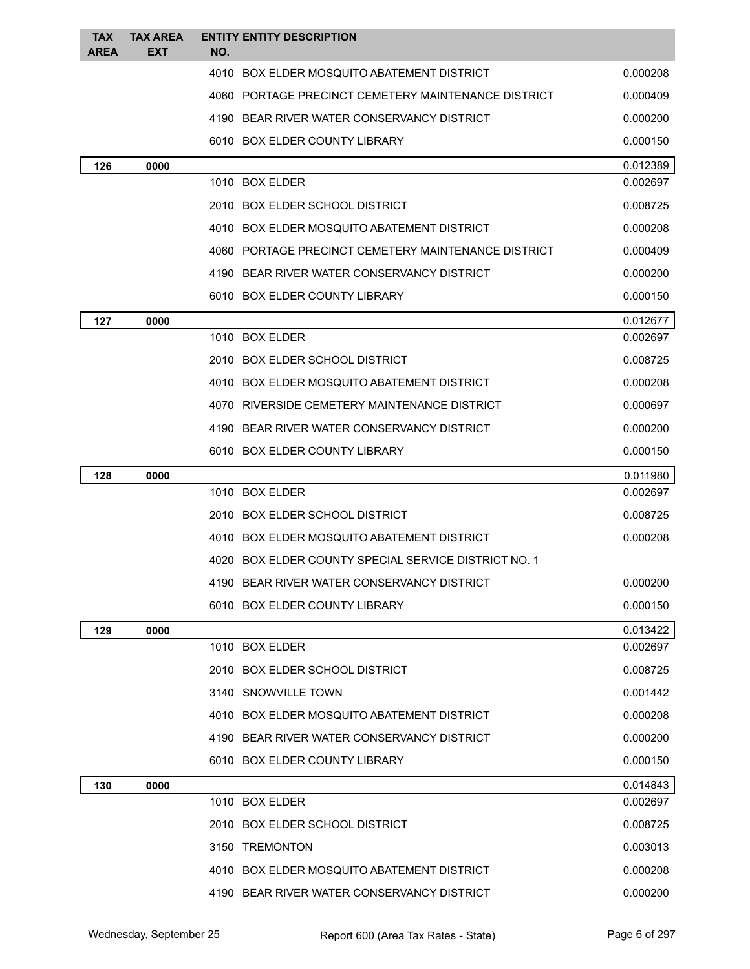| <b>TAX</b>  | <b>TAX AREA</b> |     | <b>ENTITY ENTITY DESCRIPTION</b>                     |          |
|-------------|-----------------|-----|------------------------------------------------------|----------|
| <b>AREA</b> | EXT             | NO. |                                                      |          |
|             |                 |     | 4010 BOX ELDER MOSQUITO ABATEMENT DISTRICT           | 0.000208 |
|             |                 |     | 4060 PORTAGE PRECINCT CEMETERY MAINTENANCE DISTRICT  | 0.000409 |
|             |                 |     | 4190 BEAR RIVER WATER CONSERVANCY DISTRICT           | 0.000200 |
|             |                 |     | 6010 BOX ELDER COUNTY LIBRARY                        | 0.000150 |
| 126         | 0000            |     |                                                      | 0.012389 |
|             |                 |     | 1010 BOX ELDER                                       | 0.002697 |
|             |                 |     | 2010 BOX ELDER SCHOOL DISTRICT                       | 0.008725 |
|             |                 |     | 4010 BOX ELDER MOSQUITO ABATEMENT DISTRICT           | 0.000208 |
|             |                 |     | 4060 PORTAGE PRECINCT CEMETERY MAINTENANCE DISTRICT  | 0.000409 |
|             |                 |     | 4190 BEAR RIVER WATER CONSERVANCY DISTRICT           | 0.000200 |
|             |                 |     | 6010 BOX ELDER COUNTY LIBRARY                        | 0.000150 |
| 127         | 0000            |     |                                                      | 0.012677 |
|             |                 |     | 1010 BOX ELDER                                       | 0.002697 |
|             |                 |     | 2010 BOX ELDER SCHOOL DISTRICT                       | 0.008725 |
|             |                 |     | 4010 BOX ELDER MOSQUITO ABATEMENT DISTRICT           | 0.000208 |
|             |                 |     | 4070 RIVERSIDE CEMETERY MAINTENANCE DISTRICT         | 0.000697 |
|             |                 |     | 4190 BEAR RIVER WATER CONSERVANCY DISTRICT           | 0.000200 |
|             |                 |     | 6010 BOX ELDER COUNTY LIBRARY                        | 0.000150 |
| 128         | 0000            |     |                                                      | 0.011980 |
|             |                 |     | 1010 BOX ELDER                                       | 0.002697 |
|             |                 |     | 2010 BOX ELDER SCHOOL DISTRICT                       | 0.008725 |
|             |                 |     | 4010 BOX ELDER MOSQUITO ABATEMENT DISTRICT           | 0.000208 |
|             |                 |     | 4020 BOX ELDER COUNTY SPECIAL SERVICE DISTRICT NO. 1 |          |
|             |                 |     | 4190 BEAR RIVER WATER CONSERVANCY DISTRICT           | 0.000200 |
|             |                 |     | 6010 BOX ELDER COUNTY LIBRARY                        | 0.000150 |
| 129         | 0000            |     |                                                      | 0.013422 |
|             |                 |     | 1010 BOX ELDER                                       | 0.002697 |
|             |                 |     | 2010 BOX ELDER SCHOOL DISTRICT                       | 0.008725 |
|             |                 |     | 3140 SNOWVILLE TOWN                                  | 0.001442 |
|             |                 |     | 4010 BOX ELDER MOSQUITO ABATEMENT DISTRICT           | 0.000208 |
|             |                 |     | 4190 BEAR RIVER WATER CONSERVANCY DISTRICT           | 0.000200 |
|             |                 |     | 6010 BOX ELDER COUNTY LIBRARY                        | 0.000150 |
| 130         | 0000            |     |                                                      | 0.014843 |
|             |                 |     | 1010 BOX ELDER                                       | 0.002697 |
|             |                 |     | 2010 BOX ELDER SCHOOL DISTRICT                       | 0.008725 |
|             |                 |     | 3150 TREMONTON                                       | 0.003013 |
|             |                 |     | 4010 BOX ELDER MOSQUITO ABATEMENT DISTRICT           | 0.000208 |
|             |                 |     | 4190 BEAR RIVER WATER CONSERVANCY DISTRICT           | 0.000200 |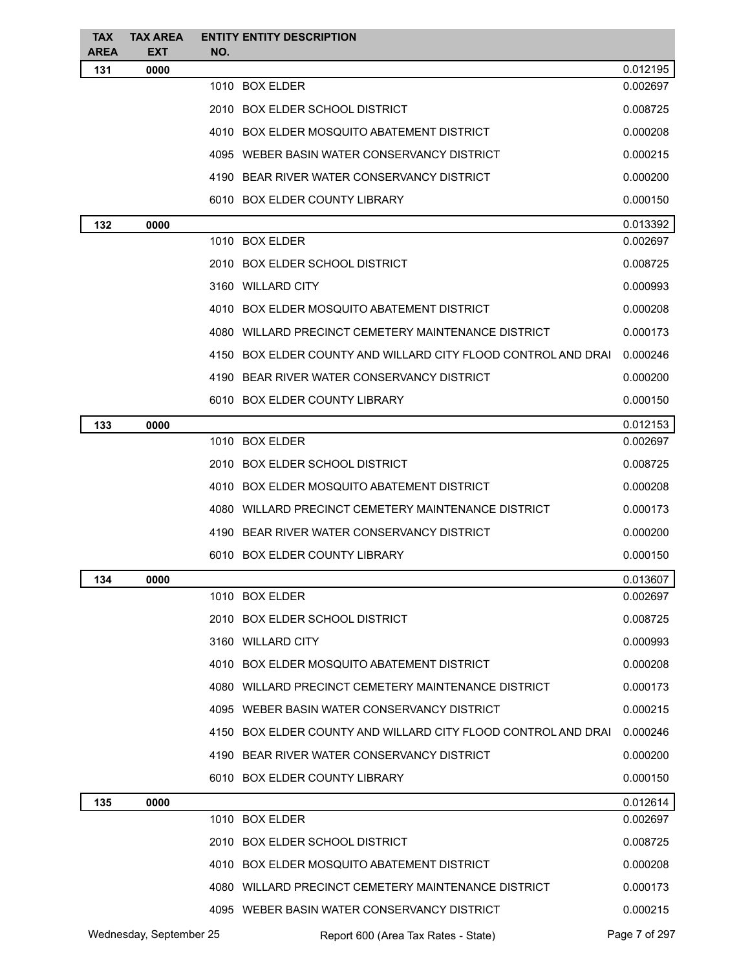| <b>TAX</b><br><b>AREA</b> | <b>TAX AREA</b><br><b>EXT</b> | NO. | <b>ENTITY ENTITY DESCRIPTION</b>                              |               |
|---------------------------|-------------------------------|-----|---------------------------------------------------------------|---------------|
| 131                       | 0000                          |     |                                                               | 0.012195      |
|                           |                               |     | 1010 BOX ELDER                                                | 0.002697      |
|                           |                               |     | 2010 BOX ELDER SCHOOL DISTRICT                                | 0.008725      |
|                           |                               |     | 4010 BOX ELDER MOSQUITO ABATEMENT DISTRICT                    | 0.000208      |
|                           |                               |     | 4095 WEBER BASIN WATER CONSERVANCY DISTRICT                   | 0.000215      |
|                           |                               |     | 4190 BEAR RIVER WATER CONSERVANCY DISTRICT                    | 0.000200      |
|                           |                               |     | 6010 BOX ELDER COUNTY LIBRARY                                 | 0.000150      |
| 132                       | 0000                          |     |                                                               | 0.013392      |
|                           |                               |     | 1010 BOX ELDER                                                | 0.002697      |
|                           |                               |     | 2010 BOX ELDER SCHOOL DISTRICT                                | 0.008725      |
|                           |                               |     | 3160 WILLARD CITY                                             | 0.000993      |
|                           |                               |     | 4010 BOX ELDER MOSQUITO ABATEMENT DISTRICT                    | 0.000208      |
|                           |                               |     | 4080 WILLARD PRECINCT CEMETERY MAINTENANCE DISTRICT           | 0.000173      |
|                           |                               |     | 4150 BOX ELDER COUNTY AND WILLARD CITY FLOOD CONTROL AND DRAI | 0.000246      |
|                           |                               |     | 4190 BEAR RIVER WATER CONSERVANCY DISTRICT                    | 0.000200      |
|                           |                               |     | 6010 BOX ELDER COUNTY LIBRARY                                 | 0.000150      |
| 133                       | 0000                          |     |                                                               | 0.012153      |
|                           |                               |     | 1010 BOX ELDER                                                | 0.002697      |
|                           |                               |     | 2010 BOX ELDER SCHOOL DISTRICT                                | 0.008725      |
|                           |                               |     | 4010 BOX ELDER MOSQUITO ABATEMENT DISTRICT                    | 0.000208      |
|                           |                               |     | 4080 WILLARD PRECINCT CEMETERY MAINTENANCE DISTRICT           | 0.000173      |
|                           |                               |     | 4190 BEAR RIVER WATER CONSERVANCY DISTRICT                    | 0.000200      |
|                           |                               |     | 6010 BOX ELDER COUNTY LIBRARY                                 | 0.000150      |
| 134                       | 0000                          |     |                                                               | 0.013607      |
|                           |                               |     | 1010 BOX ELDER                                                | 0.002697      |
|                           |                               |     | 2010 BOX ELDER SCHOOL DISTRICT                                | 0.008725      |
|                           |                               |     | 3160 WILLARD CITY                                             | 0.000993      |
|                           |                               |     | 4010 BOX ELDER MOSQUITO ABATEMENT DISTRICT                    | 0.000208      |
|                           |                               |     | 4080 WILLARD PRECINCT CEMETERY MAINTENANCE DISTRICT           | 0.000173      |
|                           |                               |     | 4095 WEBER BASIN WATER CONSERVANCY DISTRICT                   | 0.000215      |
|                           |                               |     | 4150 BOX ELDER COUNTY AND WILLARD CITY FLOOD CONTROL AND DRAI | 0.000246      |
|                           |                               |     | 4190 BEAR RIVER WATER CONSERVANCY DISTRICT                    | 0.000200      |
|                           |                               |     | 6010 BOX ELDER COUNTY LIBRARY                                 | 0.000150      |
| 135                       | 0000                          |     |                                                               | 0.012614      |
|                           |                               |     | 1010 BOX ELDER                                                | 0.002697      |
|                           |                               |     | 2010 BOX ELDER SCHOOL DISTRICT                                | 0.008725      |
|                           |                               |     | 4010 BOX ELDER MOSQUITO ABATEMENT DISTRICT                    | 0.000208      |
|                           |                               |     | 4080 WILLARD PRECINCT CEMETERY MAINTENANCE DISTRICT           | 0.000173      |
|                           |                               |     | 4095 WEBER BASIN WATER CONSERVANCY DISTRICT                   | 0.000215      |
|                           | Wednesday, September 25       |     | Report 600 (Area Tax Rates - State)                           | Page 7 of 297 |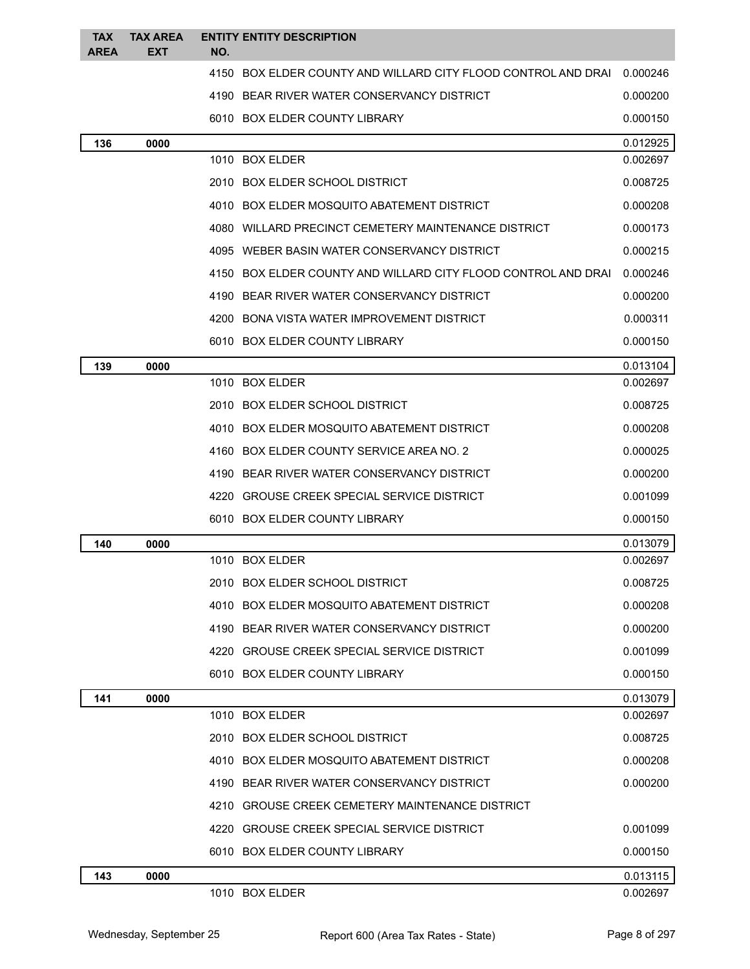| <b>TAX</b>  | <b>TAX AREA</b> | <b>ENTITY ENTITY DESCRIPTION</b>                              |          |
|-------------|-----------------|---------------------------------------------------------------|----------|
| <b>AREA</b> | <b>EXT</b>      | NO.                                                           |          |
|             |                 | 4150 BOX ELDER COUNTY AND WILLARD CITY FLOOD CONTROL AND DRAI | 0.000246 |
|             |                 | 4190 BEAR RIVER WATER CONSERVANCY DISTRICT                    | 0.000200 |
|             |                 | 6010 BOX ELDER COUNTY LIBRARY                                 | 0.000150 |
| 136         | 0000            |                                                               | 0.012925 |
|             |                 | 1010 BOX ELDER                                                | 0.002697 |
|             |                 | 2010 BOX ELDER SCHOOL DISTRICT                                | 0.008725 |
|             |                 | 4010 BOX ELDER MOSQUITO ABATEMENT DISTRICT                    | 0.000208 |
|             |                 | 4080 WILLARD PRECINCT CEMETERY MAINTENANCE DISTRICT           | 0.000173 |
|             |                 | 4095 WEBER BASIN WATER CONSERVANCY DISTRICT                   | 0.000215 |
|             |                 | 4150 BOX ELDER COUNTY AND WILLARD CITY FLOOD CONTROL AND DRAI | 0.000246 |
|             |                 | 4190 BEAR RIVER WATER CONSERVANCY DISTRICT                    | 0.000200 |
|             |                 | 4200 BONA VISTA WATER IMPROVEMENT DISTRICT                    | 0.000311 |
|             |                 | 6010 BOX ELDER COUNTY LIBRARY                                 | 0.000150 |
| 139         | 0000            |                                                               | 0.013104 |
|             |                 | 1010 BOX ELDER                                                | 0.002697 |
|             |                 | 2010 BOX ELDER SCHOOL DISTRICT                                | 0.008725 |
|             |                 | 4010 BOX ELDER MOSQUITO ABATEMENT DISTRICT                    | 0.000208 |
|             |                 | 4160 BOX ELDER COUNTY SERVICE AREA NO. 2                      | 0.000025 |
|             |                 | 4190 BEAR RIVER WATER CONSERVANCY DISTRICT                    | 0.000200 |
|             |                 | 4220 GROUSE CREEK SPECIAL SERVICE DISTRICT                    | 0.001099 |
|             |                 | 6010 BOX ELDER COUNTY LIBRARY                                 | 0.000150 |
| 140         | 0000            |                                                               | 0.013079 |
|             |                 | 1010 BOX ELDER                                                | 0.002697 |
|             |                 | 2010 BOX ELDER SCHOOL DISTRICT                                | 0.008725 |
|             |                 | 4010 BOX ELDER MOSQUITO ABATEMENT DISTRICT                    | 0.000208 |
|             |                 | 4190 BEAR RIVER WATER CONSERVANCY DISTRICT                    | 0.000200 |
|             |                 | 4220 GROUSE CREEK SPECIAL SERVICE DISTRICT                    | 0.001099 |
|             |                 | 6010 BOX ELDER COUNTY LIBRARY                                 | 0.000150 |
| 141         | 0000            |                                                               | 0.013079 |
|             |                 | 1010 BOX ELDER                                                | 0.002697 |
|             |                 | 2010 BOX ELDER SCHOOL DISTRICT                                | 0.008725 |
|             |                 | 4010 BOX ELDER MOSQUITO ABATEMENT DISTRICT                    | 0.000208 |
|             |                 | 4190 BEAR RIVER WATER CONSERVANCY DISTRICT                    | 0.000200 |
|             |                 | 4210 GROUSE CREEK CEMETERY MAINTENANCE DISTRICT               |          |
|             |                 | 4220 GROUSE CREEK SPECIAL SERVICE DISTRICT                    | 0.001099 |
|             |                 | 6010 BOX ELDER COUNTY LIBRARY                                 | 0.000150 |
| 143         | 0000            |                                                               | 0.013115 |
|             |                 | 1010 BOX ELDER                                                | 0.002697 |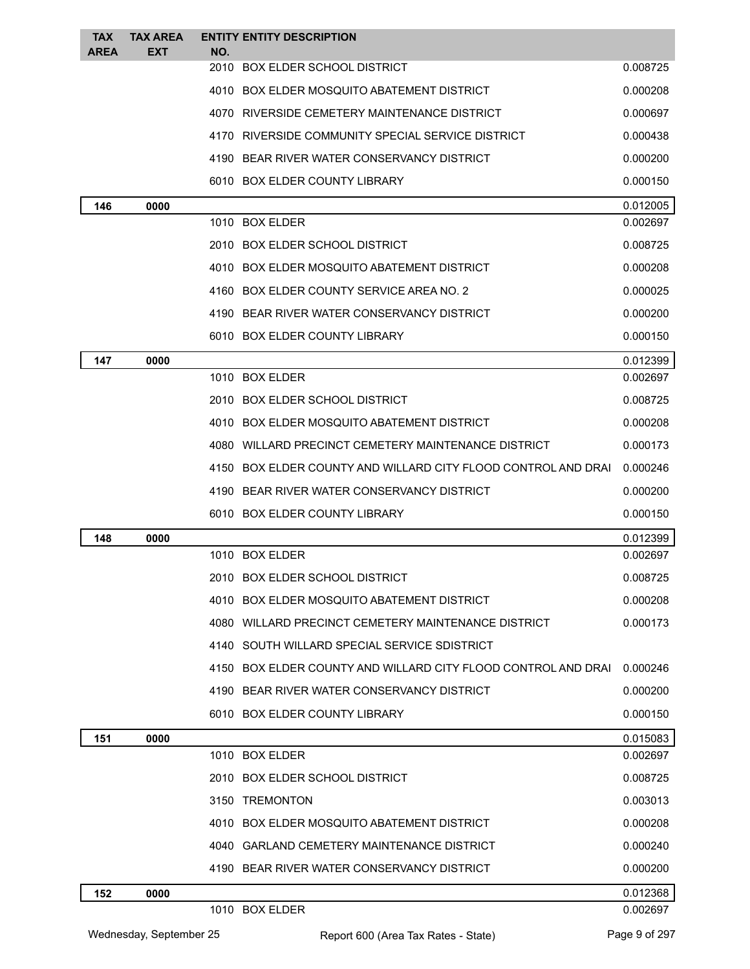| <b>TAX</b>  | <b>TAX AREA</b> |     | <b>ENTITY ENTITY DESCRIPTION</b>                              |          |
|-------------|-----------------|-----|---------------------------------------------------------------|----------|
| <b>AREA</b> | <b>EXT</b>      | NO. | 2010 BOX ELDER SCHOOL DISTRICT                                | 0.008725 |
|             |                 |     | 4010 BOX ELDER MOSQUITO ABATEMENT DISTRICT                    | 0.000208 |
|             |                 |     | 4070 RIVERSIDE CEMETERY MAINTENANCE DISTRICT                  | 0.000697 |
|             |                 |     | 4170 RIVERSIDE COMMUNITY SPECIAL SERVICE DISTRICT             | 0.000438 |
|             |                 |     | 4190 BEAR RIVER WATER CONSERVANCY DISTRICT                    | 0.000200 |
|             |                 |     | 6010 BOX ELDER COUNTY LIBRARY                                 | 0.000150 |
| 146         | 0000            |     |                                                               | 0.012005 |
|             |                 |     | 1010 BOX ELDER                                                | 0.002697 |
|             |                 |     | 2010 BOX ELDER SCHOOL DISTRICT                                | 0.008725 |
|             |                 |     | 4010 BOX ELDER MOSQUITO ABATEMENT DISTRICT                    | 0.000208 |
|             |                 |     | 4160 BOX ELDER COUNTY SERVICE AREA NO. 2                      | 0.000025 |
|             |                 |     | 4190 BEAR RIVER WATER CONSERVANCY DISTRICT                    | 0.000200 |
|             |                 |     | 6010 BOX ELDER COUNTY LIBRARY                                 | 0.000150 |
| 147         | 0000            |     |                                                               | 0.012399 |
|             |                 |     | 1010 BOX ELDER                                                | 0.002697 |
|             |                 |     | 2010 BOX ELDER SCHOOL DISTRICT                                | 0.008725 |
|             |                 |     | 4010 BOX ELDER MOSQUITO ABATEMENT DISTRICT                    | 0.000208 |
|             |                 |     | 4080 WILLARD PRECINCT CEMETERY MAINTENANCE DISTRICT           | 0.000173 |
|             |                 |     | 4150 BOX ELDER COUNTY AND WILLARD CITY FLOOD CONTROL AND DRAI | 0.000246 |
|             |                 |     | 4190 BEAR RIVER WATER CONSERVANCY DISTRICT                    | 0.000200 |
|             |                 |     | 6010 BOX ELDER COUNTY LIBRARY                                 | 0.000150 |
| 148         | 0000            |     |                                                               | 0.012399 |
|             |                 |     | 1010 BOX ELDER                                                | 0.002697 |
|             |                 |     | 2010 BOX ELDER SCHOOL DISTRICT                                | 0.008725 |
|             |                 |     | 4010 BOX ELDER MOSQUITO ABATEMENT DISTRICT                    | 0.000208 |
|             |                 |     | 4080 WILLARD PRECINCT CEMETERY MAINTENANCE DISTRICT           | 0.000173 |
|             |                 |     | 4140 SOUTH WILLARD SPECIAL SERVICE SDISTRICT                  |          |
|             |                 |     | 4150 BOX ELDER COUNTY AND WILLARD CITY FLOOD CONTROL AND DRAI | 0.000246 |
|             |                 |     | 4190 BEAR RIVER WATER CONSERVANCY DISTRICT                    | 0.000200 |
|             |                 |     | 6010 BOX ELDER COUNTY LIBRARY                                 | 0.000150 |
| 151         | 0000            |     |                                                               | 0.015083 |
|             |                 |     | 1010 BOX ELDER                                                | 0.002697 |
|             |                 |     | 2010 BOX ELDER SCHOOL DISTRICT                                | 0.008725 |
|             |                 |     | 3150 TREMONTON                                                | 0.003013 |
|             |                 |     | 4010 BOX ELDER MOSQUITO ABATEMENT DISTRICT                    | 0.000208 |
|             |                 |     | 4040 GARLAND CEMETERY MAINTENANCE DISTRICT                    | 0.000240 |
|             |                 |     | 4190 BEAR RIVER WATER CONSERVANCY DISTRICT                    | 0.000200 |
| 152         | 0000            |     |                                                               | 0.012368 |
|             |                 |     | 1010 BOX ELDER                                                | 0.002697 |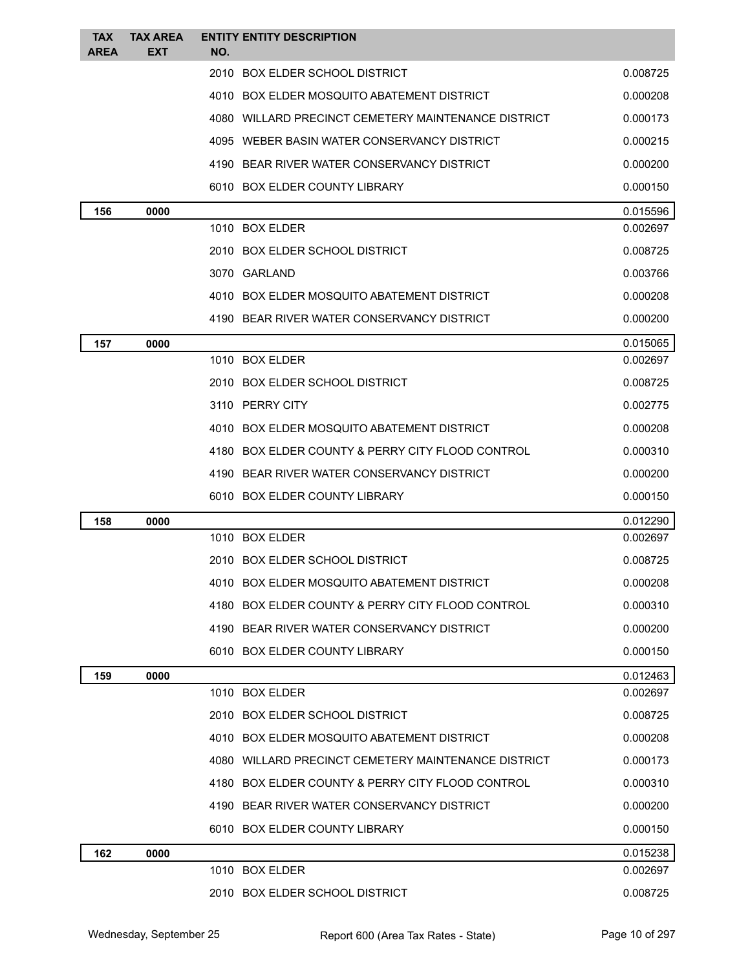| <b>TAX</b><br><b>AREA</b> | <b>TAX AREA</b><br><b>EXT</b> | <b>ENTITY ENTITY DESCRIPTION</b><br>NO.             |                      |
|---------------------------|-------------------------------|-----------------------------------------------------|----------------------|
|                           |                               | 2010 BOX ELDER SCHOOL DISTRICT                      | 0.008725             |
|                           |                               | 4010 BOX ELDER MOSQUITO ABATEMENT DISTRICT          | 0.000208             |
|                           |                               | 4080 WILLARD PRECINCT CEMETERY MAINTENANCE DISTRICT | 0.000173             |
|                           |                               | 4095 WEBER BASIN WATER CONSERVANCY DISTRICT         | 0.000215             |
|                           |                               | 4190 BEAR RIVER WATER CONSERVANCY DISTRICT          | 0.000200             |
|                           |                               | 6010 BOX ELDER COUNTY LIBRARY                       | 0.000150             |
| 156                       | 0000                          |                                                     | 0.015596             |
|                           |                               | 1010 BOX ELDER                                      | 0.002697             |
|                           |                               | 2010 BOX ELDER SCHOOL DISTRICT                      | 0.008725             |
|                           |                               | 3070 GARLAND                                        | 0.003766             |
|                           |                               | 4010 BOX ELDER MOSQUITO ABATEMENT DISTRICT          | 0.000208             |
|                           |                               | 4190 BEAR RIVER WATER CONSERVANCY DISTRICT          | 0.000200             |
| 157                       | 0000                          |                                                     | 0.015065             |
|                           |                               | 1010 BOX ELDER                                      | 0.002697             |
|                           |                               | 2010 BOX ELDER SCHOOL DISTRICT                      | 0.008725             |
|                           |                               | 3110 PERRY CITY                                     | 0.002775             |
|                           |                               | 4010 BOX ELDER MOSQUITO ABATEMENT DISTRICT          | 0.000208             |
|                           |                               | 4180 BOX ELDER COUNTY & PERRY CITY FLOOD CONTROL    | 0.000310             |
|                           |                               | 4190 BEAR RIVER WATER CONSERVANCY DISTRICT          | 0.000200             |
|                           |                               | 6010 BOX ELDER COUNTY LIBRARY                       | 0.000150             |
| 158                       | 0000                          |                                                     | 0.012290             |
|                           |                               | 1010 BOX ELDER                                      | 0.002697             |
|                           |                               | 2010 BOX ELDER SCHOOL DISTRICT                      | 0.008725             |
|                           |                               | 4010 BOX ELDER MOSQUITO ABATEMENT DISTRICT          | 0.000208             |
|                           |                               | 4180 BOX ELDER COUNTY & PERRY CITY FLOOD CONTROL    | 0.000310             |
|                           |                               | 4190 BEAR RIVER WATER CONSERVANCY DISTRICT          | 0.000200             |
|                           |                               | 6010 BOX ELDER COUNTY LIBRARY                       | 0.000150             |
| 159                       | 0000                          |                                                     | 0.012463             |
|                           |                               | 1010 BOX ELDER                                      | 0.002697             |
|                           |                               | 2010 BOX ELDER SCHOOL DISTRICT                      | 0.008725             |
|                           |                               | 4010 BOX ELDER MOSQUITO ABATEMENT DISTRICT          | 0.000208             |
|                           |                               | 4080 WILLARD PRECINCT CEMETERY MAINTENANCE DISTRICT | 0.000173             |
|                           |                               | 4180 BOX ELDER COUNTY & PERRY CITY FLOOD CONTROL    | 0.000310             |
|                           |                               | 4190 BEAR RIVER WATER CONSERVANCY DISTRICT          | 0.000200             |
|                           |                               | 6010 BOX ELDER COUNTY LIBRARY                       | 0.000150             |
| 162                       | 0000                          | 1010 BOX ELDER                                      | 0.015238<br>0.002697 |
|                           |                               |                                                     |                      |
|                           |                               | 2010 BOX ELDER SCHOOL DISTRICT                      | 0.008725             |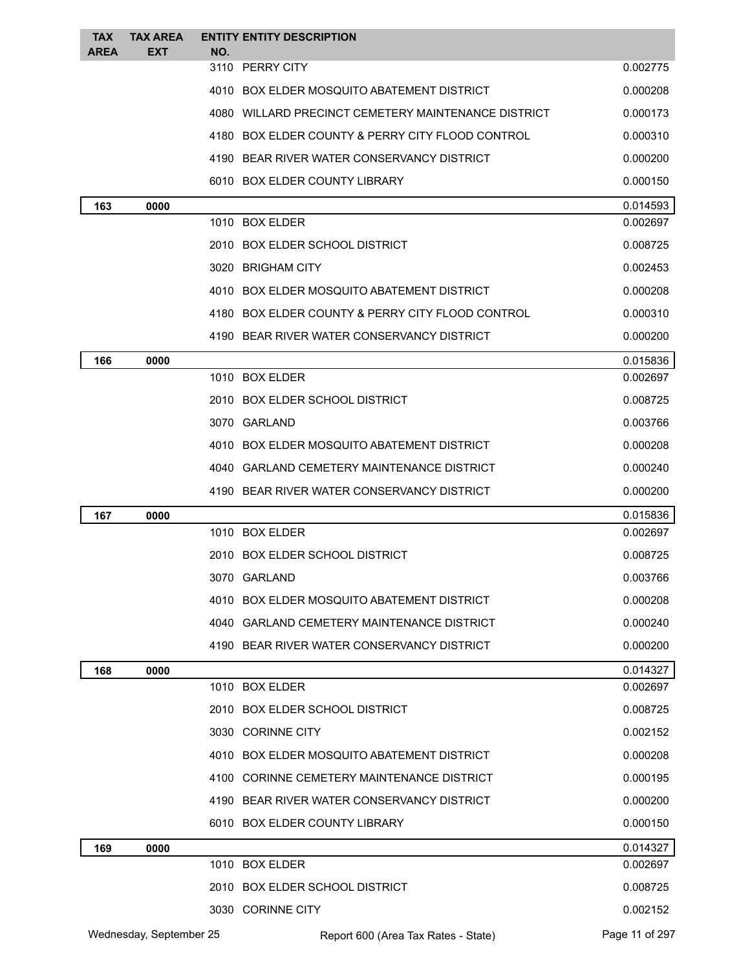| <b>TAX</b>  | <b>TAX AREA</b>         |     | <b>ENTITY ENTITY DESCRIPTION</b>                    |                |
|-------------|-------------------------|-----|-----------------------------------------------------|----------------|
| <b>AREA</b> | <b>EXT</b>              | NO. | 3110 PERRY CITY                                     | 0.002775       |
|             |                         |     | 4010 BOX ELDER MOSQUITO ABATEMENT DISTRICT          | 0.000208       |
|             |                         |     | 4080 WILLARD PRECINCT CEMETERY MAINTENANCE DISTRICT | 0.000173       |
|             |                         |     | 4180 BOX ELDER COUNTY & PERRY CITY FLOOD CONTROL    | 0.000310       |
|             |                         |     | 4190 BEAR RIVER WATER CONSERVANCY DISTRICT          | 0.000200       |
|             |                         |     | 6010 BOX ELDER COUNTY LIBRARY                       | 0.000150       |
| 163         | 0000                    |     |                                                     | 0.014593       |
|             |                         |     | 1010 BOX ELDER                                      | 0.002697       |
|             |                         |     | 2010 BOX ELDER SCHOOL DISTRICT                      | 0.008725       |
|             |                         |     | 3020 BRIGHAM CITY                                   | 0.002453       |
|             |                         |     | 4010 BOX ELDER MOSQUITO ABATEMENT DISTRICT          | 0.000208       |
|             |                         |     | 4180 BOX ELDER COUNTY & PERRY CITY FLOOD CONTROL    | 0.000310       |
|             |                         |     | 4190 BEAR RIVER WATER CONSERVANCY DISTRICT          | 0.000200       |
| 166         | 0000                    |     |                                                     | 0.015836       |
|             |                         |     | 1010 BOX ELDER                                      | 0.002697       |
|             |                         |     | 2010 BOX ELDER SCHOOL DISTRICT                      | 0.008725       |
|             |                         |     | 3070 GARLAND                                        | 0.003766       |
|             |                         |     | 4010 BOX ELDER MOSQUITO ABATEMENT DISTRICT          | 0.000208       |
|             |                         |     | 4040 GARLAND CEMETERY MAINTENANCE DISTRICT          | 0.000240       |
|             |                         |     | 4190 BEAR RIVER WATER CONSERVANCY DISTRICT          | 0.000200       |
| 167         | 0000                    |     |                                                     | 0.015836       |
|             |                         |     | 1010 BOX ELDER                                      | 0.002697       |
|             |                         |     | 2010 BOX ELDER SCHOOL DISTRICT                      | 0.008725       |
|             |                         |     | 3070 GARLAND                                        | 0.003766       |
|             |                         |     | 4010 BOX ELDER MOSQUITO ABATEMENT DISTRICT          | 0.000208       |
|             |                         |     | 4040 GARLAND CEMETERY MAINTENANCE DISTRICT          | 0.000240       |
|             |                         |     | 4190 BEAR RIVER WATER CONSERVANCY DISTRICT          | 0.000200       |
| 168         | 0000                    |     |                                                     | 0.014327       |
|             |                         |     | 1010 BOX ELDER                                      | 0.002697       |
|             |                         |     | 2010 BOX ELDER SCHOOL DISTRICT                      | 0.008725       |
|             |                         |     | 3030 CORINNE CITY                                   | 0.002152       |
|             |                         |     | 4010 BOX ELDER MOSQUITO ABATEMENT DISTRICT          | 0.000208       |
|             |                         |     | 4100 CORINNE CEMETERY MAINTENANCE DISTRICT          | 0.000195       |
|             |                         |     | 4190 BEAR RIVER WATER CONSERVANCY DISTRICT          | 0.000200       |
|             |                         |     | 6010 BOX ELDER COUNTY LIBRARY                       | 0.000150       |
| 169         | 0000                    |     |                                                     | 0.014327       |
|             |                         |     | 1010 BOX ELDER                                      | 0.002697       |
|             |                         |     | 2010 BOX ELDER SCHOOL DISTRICT                      | 0.008725       |
|             |                         |     | 3030 CORINNE CITY                                   | 0.002152       |
|             | Wednesday, September 25 |     | Report 600 (Area Tax Rates - State)                 | Page 11 of 297 |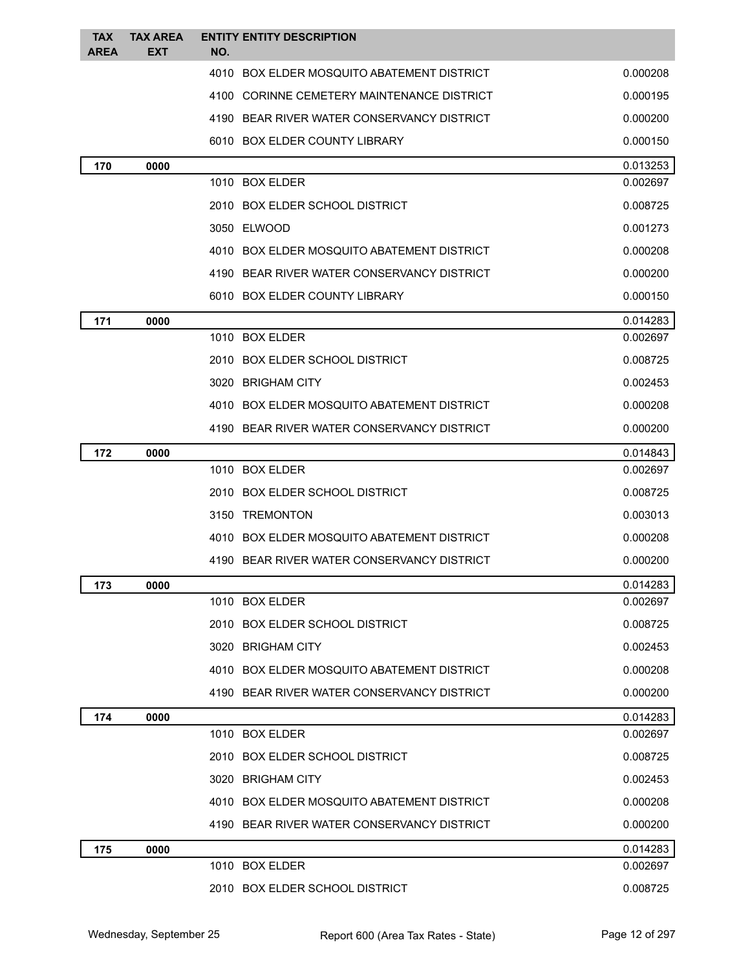| <b>TAX</b><br><b>AREA</b> | <b>TAX AREA</b><br><b>EXT</b> | <b>ENTITY ENTITY DESCRIPTION</b><br>NO.    |          |
|---------------------------|-------------------------------|--------------------------------------------|----------|
|                           |                               | 4010 BOX ELDER MOSQUITO ABATEMENT DISTRICT | 0.000208 |
|                           |                               | 4100 CORINNE CEMETERY MAINTENANCE DISTRICT | 0.000195 |
|                           |                               | 4190 BEAR RIVER WATER CONSERVANCY DISTRICT | 0.000200 |
|                           |                               | 6010 BOX ELDER COUNTY LIBRARY              | 0.000150 |
| 170                       | 0000                          |                                            | 0.013253 |
|                           |                               | 1010 BOX ELDER                             | 0.002697 |
|                           |                               | 2010 BOX ELDER SCHOOL DISTRICT             | 0.008725 |
|                           |                               | 3050 ELWOOD                                | 0.001273 |
|                           |                               | 4010 BOX ELDER MOSQUITO ABATEMENT DISTRICT | 0.000208 |
|                           |                               | 4190 BEAR RIVER WATER CONSERVANCY DISTRICT | 0.000200 |
|                           |                               | 6010 BOX ELDER COUNTY LIBRARY              | 0.000150 |
| 171                       | 0000                          |                                            | 0.014283 |
|                           |                               | 1010 BOX ELDER                             | 0.002697 |
|                           |                               | 2010 BOX ELDER SCHOOL DISTRICT             | 0.008725 |
|                           |                               | 3020 BRIGHAM CITY                          | 0.002453 |
|                           |                               | 4010 BOX ELDER MOSQUITO ABATEMENT DISTRICT | 0.000208 |
|                           |                               | 4190 BEAR RIVER WATER CONSERVANCY DISTRICT | 0.000200 |
| 172                       | 0000                          |                                            | 0.014843 |
|                           |                               | 1010 BOX ELDER                             | 0.002697 |
|                           |                               | 2010 BOX ELDER SCHOOL DISTRICT             | 0.008725 |
|                           |                               | 3150 TREMONTON                             | 0.003013 |
|                           |                               | 4010 BOX ELDER MOSQUITO ABATEMENT DISTRICT | 0.000208 |
|                           |                               | 4190 BEAR RIVER WATER CONSERVANCY DISTRICT | 0.000200 |
| 173                       | 0000                          |                                            | 0.014283 |
|                           |                               | 1010 BOX ELDER                             | 0.002697 |
|                           |                               | 2010 BOX ELDER SCHOOL DISTRICT             | 0.008725 |
|                           |                               | 3020 BRIGHAM CITY                          | 0.002453 |
|                           |                               | 4010 BOX ELDER MOSQUITO ABATEMENT DISTRICT | 0.000208 |
|                           |                               | 4190 BEAR RIVER WATER CONSERVANCY DISTRICT | 0.000200 |
| 174                       | 0000                          |                                            | 0.014283 |
|                           |                               | 1010 BOX ELDER                             | 0.002697 |
|                           |                               | 2010 BOX ELDER SCHOOL DISTRICT             | 0.008725 |
|                           |                               | 3020 BRIGHAM CITY                          | 0.002453 |
|                           |                               | 4010 BOX ELDER MOSQUITO ABATEMENT DISTRICT | 0.000208 |
|                           |                               | 4190 BEAR RIVER WATER CONSERVANCY DISTRICT | 0.000200 |
| 175                       | 0000                          |                                            | 0.014283 |
|                           |                               | 1010 BOX ELDER                             | 0.002697 |
|                           |                               | 2010 BOX ELDER SCHOOL DISTRICT             | 0.008725 |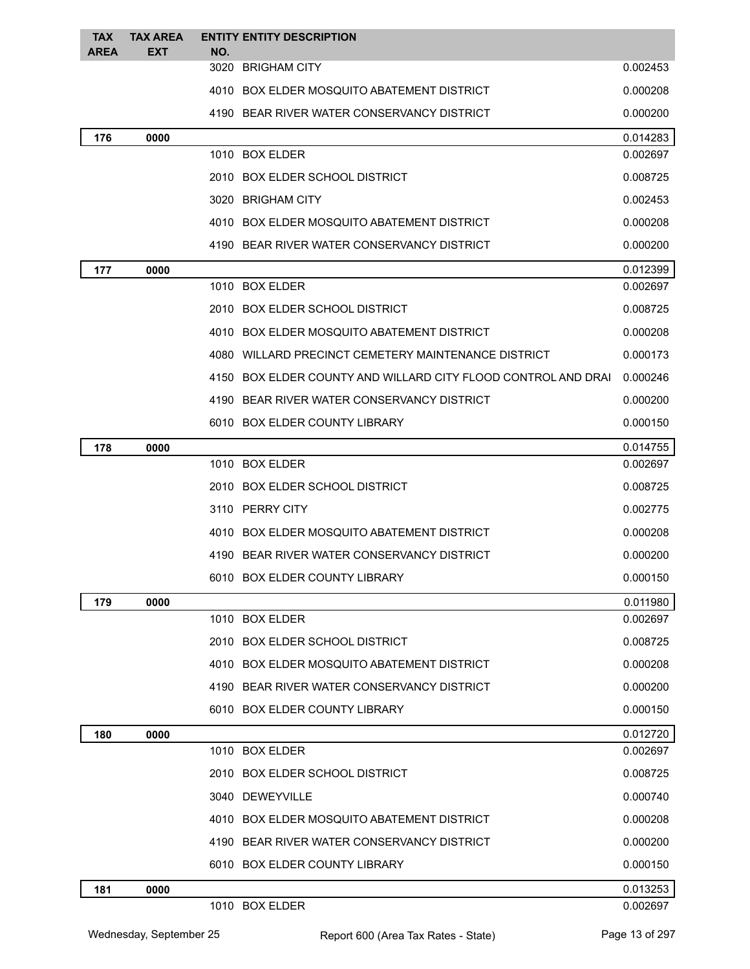| <b>TAX</b>  | <b>TAX AREA</b> |     | <b>ENTITY ENTITY DESCRIPTION</b>                              |          |
|-------------|-----------------|-----|---------------------------------------------------------------|----------|
| <b>AREA</b> | EXT             | NO. | 3020 BRIGHAM CITY                                             | 0.002453 |
|             |                 |     | 4010 BOX ELDER MOSQUITO ABATEMENT DISTRICT                    | 0.000208 |
|             |                 |     | 4190 BEAR RIVER WATER CONSERVANCY DISTRICT                    | 0.000200 |
| 176         | 0000            |     |                                                               | 0.014283 |
|             |                 |     | 1010 BOX ELDER                                                | 0.002697 |
|             |                 |     | 2010 BOX ELDER SCHOOL DISTRICT                                | 0.008725 |
|             |                 |     | 3020 BRIGHAM CITY                                             | 0.002453 |
|             |                 |     | 4010 BOX ELDER MOSQUITO ABATEMENT DISTRICT                    | 0.000208 |
|             |                 |     | 4190 BEAR RIVER WATER CONSERVANCY DISTRICT                    | 0.000200 |
| 177         | 0000            |     |                                                               | 0.012399 |
|             |                 |     | 1010 BOX ELDER                                                | 0.002697 |
|             |                 |     | 2010 BOX ELDER SCHOOL DISTRICT                                | 0.008725 |
|             |                 |     | 4010 BOX ELDER MOSQUITO ABATEMENT DISTRICT                    | 0.000208 |
|             |                 |     | 4080 WILLARD PRECINCT CEMETERY MAINTENANCE DISTRICT           | 0.000173 |
|             |                 |     | 4150 BOX ELDER COUNTY AND WILLARD CITY FLOOD CONTROL AND DRAI | 0.000246 |
|             |                 |     | 4190 BEAR RIVER WATER CONSERVANCY DISTRICT                    | 0.000200 |
|             |                 |     | 6010 BOX ELDER COUNTY LIBRARY                                 | 0.000150 |
| 178         | 0000            |     |                                                               | 0.014755 |
|             |                 |     | 1010 BOX ELDER                                                | 0.002697 |
|             |                 |     | 2010 BOX ELDER SCHOOL DISTRICT                                | 0.008725 |
|             |                 |     | 3110 PERRY CITY                                               | 0.002775 |
|             |                 |     | 4010 BOX ELDER MOSQUITO ABATEMENT DISTRICT                    | 0.000208 |
|             |                 |     | 4190 BEAR RIVER WATER CONSERVANCY DISTRICT                    | 0.000200 |
|             |                 |     | 6010 BOX ELDER COUNTY LIBRARY                                 | 0.000150 |
| 179         | 0000            |     |                                                               | 0.011980 |
|             |                 |     | 1010 BOX ELDER                                                | 0.002697 |
|             |                 |     | 2010 BOX ELDER SCHOOL DISTRICT                                | 0.008725 |
|             |                 |     | 4010 BOX ELDER MOSQUITO ABATEMENT DISTRICT                    | 0.000208 |
|             |                 |     | 4190 BEAR RIVER WATER CONSERVANCY DISTRICT                    | 0.000200 |
|             |                 |     | 6010 BOX ELDER COUNTY LIBRARY                                 | 0.000150 |
| 180         | 0000            |     |                                                               | 0.012720 |
|             |                 |     | 1010 BOX ELDER                                                | 0.002697 |
|             |                 |     | 2010 BOX ELDER SCHOOL DISTRICT                                | 0.008725 |
|             |                 |     | 3040 DEWEYVILLE                                               | 0.000740 |
|             |                 |     | 4010 BOX ELDER MOSQUITO ABATEMENT DISTRICT                    | 0.000208 |
|             |                 |     | 4190 BEAR RIVER WATER CONSERVANCY DISTRICT                    | 0.000200 |
|             |                 |     | 6010 BOX ELDER COUNTY LIBRARY                                 | 0.000150 |
| 181         | 0000            |     |                                                               | 0.013253 |
|             |                 |     | 1010 BOX ELDER                                                | 0.002697 |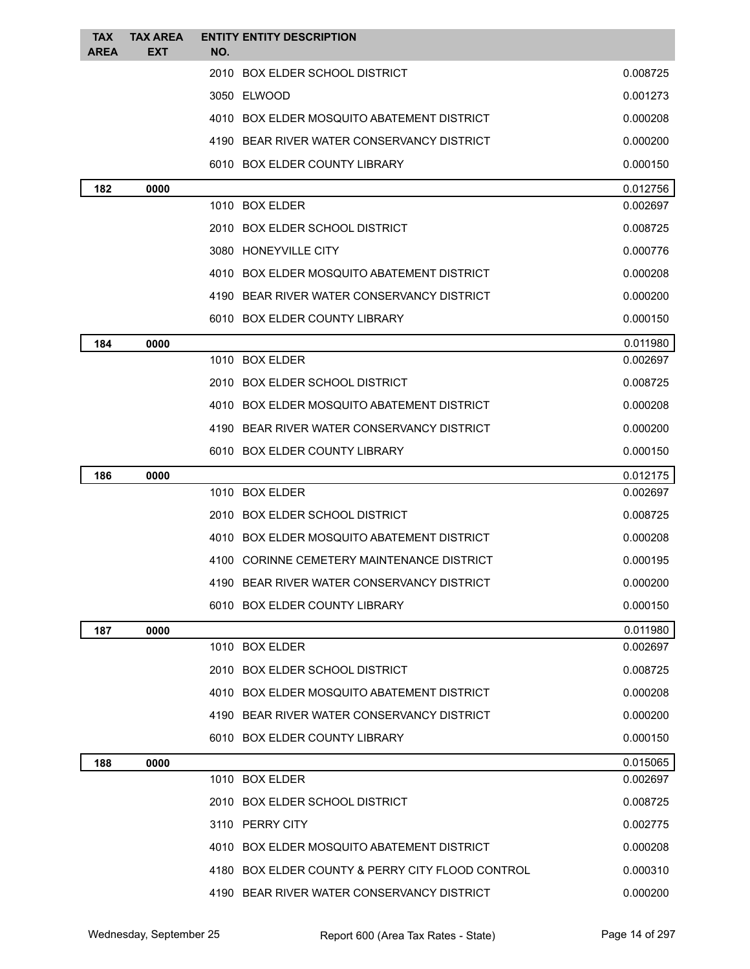| <b>TAX</b>  | <b>TAX AREA</b> | <b>ENTITY ENTITY DESCRIPTION</b>                 |          |
|-------------|-----------------|--------------------------------------------------|----------|
| <b>AREA</b> | EXT             | NO.<br>2010 BOX ELDER SCHOOL DISTRICT            | 0.008725 |
|             |                 |                                                  |          |
|             |                 | 3050 ELWOOD                                      | 0.001273 |
|             |                 | 4010 BOX ELDER MOSQUITO ABATEMENT DISTRICT       | 0.000208 |
|             |                 | 4190 BEAR RIVER WATER CONSERVANCY DISTRICT       | 0.000200 |
|             |                 | 6010 BOX ELDER COUNTY LIBRARY                    | 0.000150 |
| 182         | 0000            |                                                  | 0.012756 |
|             |                 | 1010 BOX ELDER                                   | 0.002697 |
|             |                 | 2010 BOX ELDER SCHOOL DISTRICT                   | 0.008725 |
|             |                 | 3080 HONEYVILLE CITY                             | 0.000776 |
|             |                 | 4010 BOX ELDER MOSQUITO ABATEMENT DISTRICT       | 0.000208 |
|             |                 | 4190 BEAR RIVER WATER CONSERVANCY DISTRICT       | 0.000200 |
|             |                 | 6010 BOX ELDER COUNTY LIBRARY                    | 0.000150 |
| 184         | 0000            |                                                  | 0.011980 |
|             |                 | 1010 BOX ELDER                                   | 0.002697 |
|             |                 | 2010 BOX ELDER SCHOOL DISTRICT                   | 0.008725 |
|             |                 | 4010 BOX ELDER MOSQUITO ABATEMENT DISTRICT       | 0.000208 |
|             |                 | 4190 BEAR RIVER WATER CONSERVANCY DISTRICT       | 0.000200 |
|             |                 | 6010 BOX ELDER COUNTY LIBRARY                    | 0.000150 |
| 186         | 0000            |                                                  | 0.012175 |
|             |                 | 1010 BOX ELDER                                   | 0.002697 |
|             |                 | 2010 BOX ELDER SCHOOL DISTRICT                   | 0.008725 |
|             |                 | 4010 BOX ELDER MOSQUITO ABATEMENT DISTRICT       | 0.000208 |
|             |                 | 4100 CORINNE CEMETERY MAINTENANCE DISTRICT       | 0.000195 |
|             |                 | 4190 BEAR RIVER WATER CONSERVANCY DISTRICT       | 0.000200 |
|             |                 | 6010 BOX ELDER COUNTY LIBRARY                    | 0.000150 |
| 187         | 0000            |                                                  | 0.011980 |
|             |                 | 1010 BOX ELDER                                   | 0.002697 |
|             |                 | 2010 BOX ELDER SCHOOL DISTRICT                   | 0.008725 |
|             |                 | 4010 BOX ELDER MOSQUITO ABATEMENT DISTRICT       | 0.000208 |
|             |                 | 4190 BEAR RIVER WATER CONSERVANCY DISTRICT       | 0.000200 |
|             |                 | 6010 BOX ELDER COUNTY LIBRARY                    | 0.000150 |
| 188         | 0000            |                                                  | 0.015065 |
|             |                 | 1010 BOX ELDER                                   | 0.002697 |
|             |                 | 2010 BOX ELDER SCHOOL DISTRICT                   | 0.008725 |
|             |                 | 3110 PERRY CITY                                  | 0.002775 |
|             |                 | 4010 BOX ELDER MOSQUITO ABATEMENT DISTRICT       | 0.000208 |
|             |                 | 4180 BOX ELDER COUNTY & PERRY CITY FLOOD CONTROL | 0.000310 |
|             |                 | 4190 BEAR RIVER WATER CONSERVANCY DISTRICT       | 0.000200 |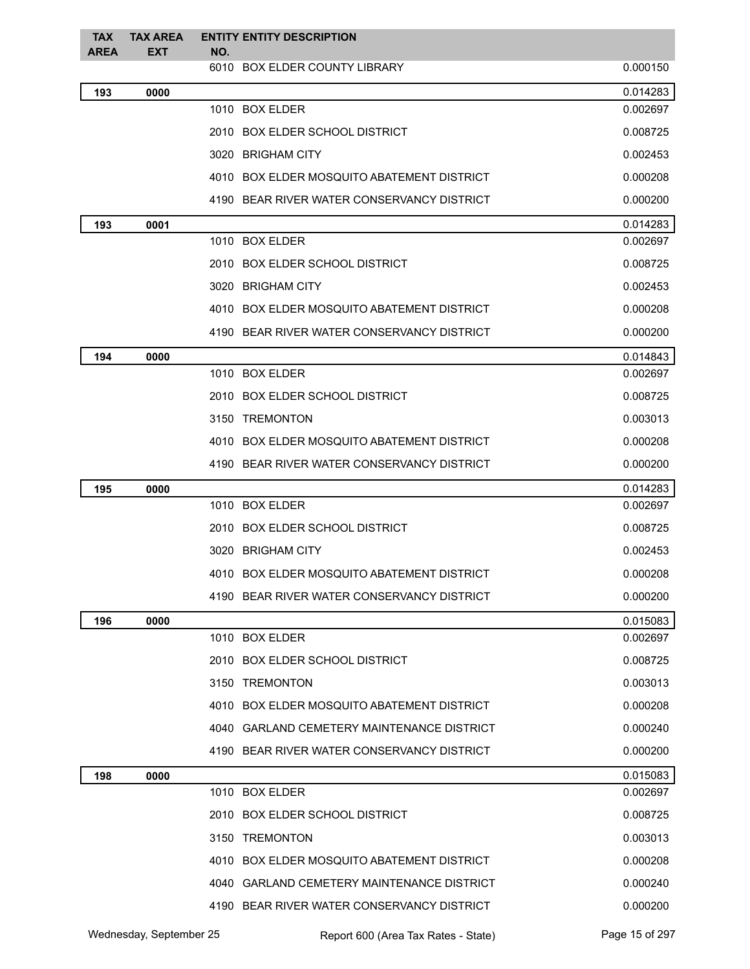| <b>TAX</b><br><b>AREA</b> | <b>TAX AREA</b><br><b>EXT</b> | <b>ENTITY ENTITY DESCRIPTION</b><br>NO.    |          |
|---------------------------|-------------------------------|--------------------------------------------|----------|
|                           |                               | 6010 BOX ELDER COUNTY LIBRARY              | 0.000150 |
| 193                       | 0000                          |                                            | 0.014283 |
|                           |                               | 1010 BOX ELDER                             | 0.002697 |
|                           |                               | 2010 BOX ELDER SCHOOL DISTRICT             | 0.008725 |
|                           |                               | 3020 BRIGHAM CITY                          | 0.002453 |
|                           |                               | 4010 BOX ELDER MOSQUITO ABATEMENT DISTRICT | 0.000208 |
|                           |                               | 4190 BEAR RIVER WATER CONSERVANCY DISTRICT | 0.000200 |
| 193                       | 0001                          |                                            | 0.014283 |
|                           |                               | 1010 BOX ELDER                             | 0.002697 |
|                           |                               | 2010 BOX ELDER SCHOOL DISTRICT             | 0.008725 |
|                           |                               | 3020 BRIGHAM CITY                          | 0.002453 |
|                           |                               | 4010 BOX ELDER MOSQUITO ABATEMENT DISTRICT | 0.000208 |
|                           |                               | 4190 BEAR RIVER WATER CONSERVANCY DISTRICT | 0.000200 |
| 194                       | 0000                          |                                            | 0.014843 |
|                           |                               | 1010 BOX ELDER                             | 0.002697 |
|                           |                               | 2010 BOX ELDER SCHOOL DISTRICT             | 0.008725 |
|                           |                               | 3150 TREMONTON                             | 0.003013 |
|                           |                               | 4010 BOX ELDER MOSQUITO ABATEMENT DISTRICT | 0.000208 |
|                           |                               | 4190 BEAR RIVER WATER CONSERVANCY DISTRICT | 0.000200 |
| 195                       | 0000                          |                                            | 0.014283 |
|                           |                               | 1010 BOX ELDER                             | 0.002697 |
|                           |                               | 2010 BOX ELDER SCHOOL DISTRICT             | 0.008725 |
|                           |                               | 3020 BRIGHAM CITY                          | 0.002453 |
|                           |                               | 4010 BOX ELDER MOSQUITO ABATEMENT DISTRICT | 0.000208 |
|                           |                               | 4190 BEAR RIVER WATER CONSERVANCY DISTRICT | 0.000200 |
| 196                       | 0000                          |                                            | 0.015083 |
|                           |                               | 1010 BOX ELDER                             | 0.002697 |
|                           |                               | 2010 BOX ELDER SCHOOL DISTRICT             | 0.008725 |
|                           |                               | 3150 TREMONTON                             | 0.003013 |
|                           |                               | 4010 BOX ELDER MOSQUITO ABATEMENT DISTRICT | 0.000208 |
|                           |                               | 4040 GARLAND CEMETERY MAINTENANCE DISTRICT | 0.000240 |
|                           |                               | 4190 BEAR RIVER WATER CONSERVANCY DISTRICT | 0.000200 |
| 198                       | 0000                          |                                            | 0.015083 |
|                           |                               | 1010 BOX ELDER                             | 0.002697 |
|                           |                               | 2010 BOX ELDER SCHOOL DISTRICT             | 0.008725 |
|                           |                               | 3150 TREMONTON                             | 0.003013 |
|                           |                               | 4010 BOX ELDER MOSQUITO ABATEMENT DISTRICT | 0.000208 |
|                           |                               | 4040 GARLAND CEMETERY MAINTENANCE DISTRICT | 0.000240 |
|                           |                               | 4190 BEAR RIVER WATER CONSERVANCY DISTRICT | 0.000200 |
|                           |                               |                                            |          |

Wednesday, September 25 Report 600 (Area Tax Rates - State) Page 15 of 297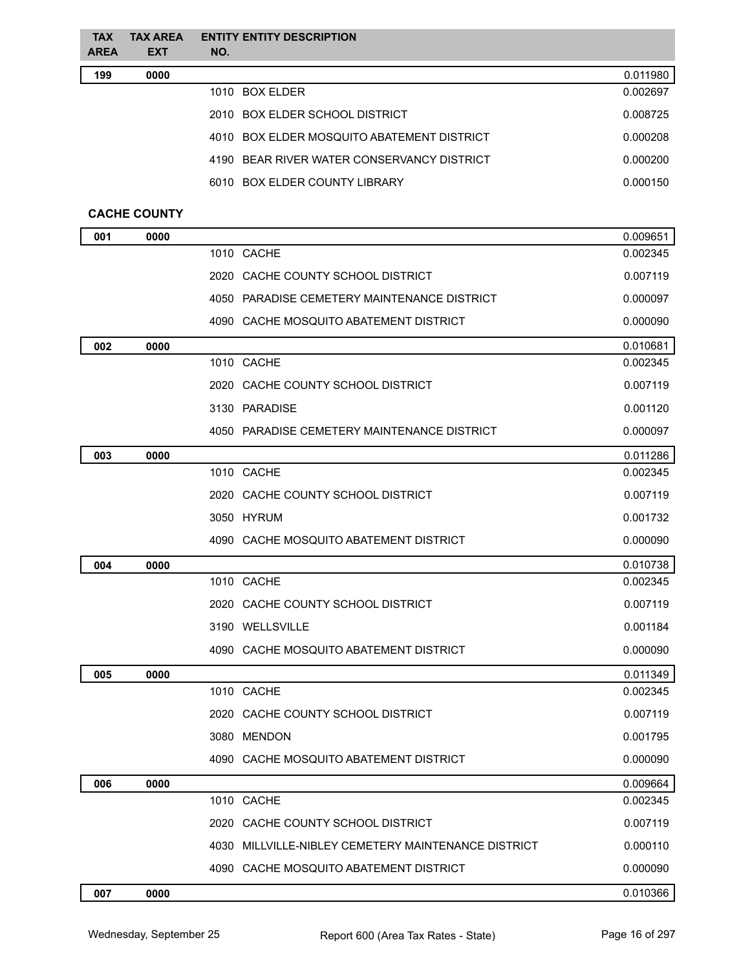| <b>TAX</b><br><b>AREA</b> | <b>TAX AREA</b><br><b>EXT</b> | <b>ENTITY ENTITY DESCRIPTION</b><br>NO.             |          |
|---------------------------|-------------------------------|-----------------------------------------------------|----------|
| 199                       | 0000                          |                                                     | 0.011980 |
|                           |                               | 1010 BOX ELDER                                      | 0.002697 |
|                           |                               | 2010 BOX ELDER SCHOOL DISTRICT                      | 0.008725 |
|                           |                               | 4010 BOX ELDER MOSQUITO ABATEMENT DISTRICT          | 0.000208 |
|                           |                               | 4190 BEAR RIVER WATER CONSERVANCY DISTRICT          | 0.000200 |
|                           |                               | 6010 BOX ELDER COUNTY LIBRARY                       | 0.000150 |
|                           | <b>CACHE COUNTY</b>           |                                                     |          |
| 001                       | 0000                          |                                                     | 0.009651 |
|                           |                               | 1010 CACHE                                          | 0.002345 |
|                           |                               | 2020 CACHE COUNTY SCHOOL DISTRICT                   | 0.007119 |
|                           |                               | 4050 PARADISE CEMETERY MAINTENANCE DISTRICT         | 0.000097 |
|                           |                               | 4090 CACHE MOSQUITO ABATEMENT DISTRICT              | 0.000090 |
| 002                       | 0000                          |                                                     | 0.010681 |
|                           |                               | 1010 CACHE                                          | 0.002345 |
|                           |                               | 2020 CACHE COUNTY SCHOOL DISTRICT                   | 0.007119 |
|                           |                               | 3130 PARADISE                                       | 0.001120 |
|                           |                               | 4050 PARADISE CEMETERY MAINTENANCE DISTRICT         | 0.000097 |
| 003                       | 0000                          |                                                     | 0.011286 |
|                           |                               | 1010 CACHE                                          | 0.002345 |
|                           |                               | 2020 CACHE COUNTY SCHOOL DISTRICT                   | 0.007119 |
|                           |                               | 3050 HYRUM                                          | 0.001732 |
|                           |                               | 4090 CACHE MOSQUITO ABATEMENT DISTRICT              | 0.000090 |
| 004                       | 0000                          |                                                     | 0.010738 |
|                           |                               | 1010 CACHE                                          | 0.002345 |
|                           |                               | 2020 CACHE COUNTY SCHOOL DISTRICT                   | 0.007119 |
|                           |                               | 3190 WELLSVILLE                                     | 0.001184 |
|                           |                               | 4090 CACHE MOSQUITO ABATEMENT DISTRICT              | 0.000090 |
| 005                       | 0000                          |                                                     | 0.011349 |
|                           |                               | 1010 CACHE                                          | 0.002345 |
|                           |                               | 2020 CACHE COUNTY SCHOOL DISTRICT                   | 0.007119 |
|                           |                               | 3080 MENDON                                         | 0.001795 |
|                           |                               | 4090 CACHE MOSQUITO ABATEMENT DISTRICT              | 0.000090 |
| 006                       | 0000                          |                                                     | 0.009664 |
|                           |                               | 1010 CACHE                                          | 0.002345 |
|                           |                               | 2020 CACHE COUNTY SCHOOL DISTRICT                   | 0.007119 |
|                           |                               | 4030 MILLVILLE-NIBLEY CEMETERY MAINTENANCE DISTRICT | 0.000110 |
|                           |                               | 4090 CACHE MOSQUITO ABATEMENT DISTRICT              | 0.000090 |

**0000** 0.010366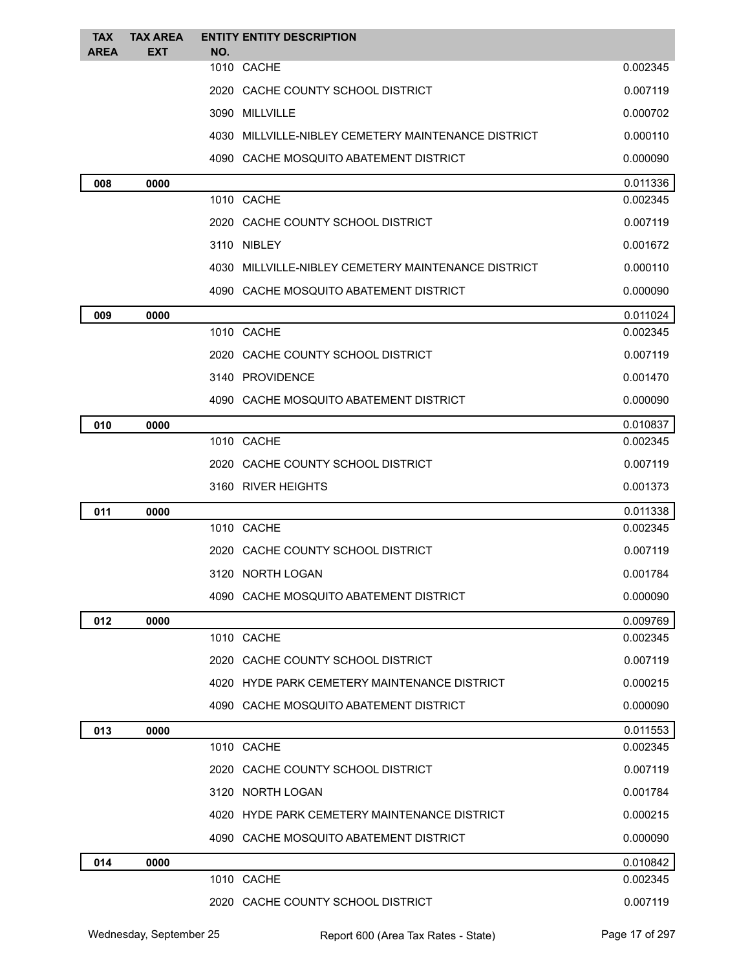| <b>TAX</b><br><b>AREA</b> | <b>TAX AREA</b><br>EXT | NO. | <b>ENTITY ENTITY DESCRIPTION</b>                    |          |
|---------------------------|------------------------|-----|-----------------------------------------------------|----------|
|                           |                        |     | 1010 CACHE                                          | 0.002345 |
|                           |                        |     | 2020 CACHE COUNTY SCHOOL DISTRICT                   | 0.007119 |
|                           |                        |     | 3090 MILLVILLE                                      | 0.000702 |
|                           |                        |     | 4030 MILLVILLE-NIBLEY CEMETERY MAINTENANCE DISTRICT | 0.000110 |
|                           |                        |     | 4090 CACHE MOSQUITO ABATEMENT DISTRICT              | 0.000090 |
| 008                       | 0000                   |     |                                                     | 0.011336 |
|                           |                        |     | 1010 CACHE                                          | 0.002345 |
|                           |                        |     | 2020 CACHE COUNTY SCHOOL DISTRICT                   | 0.007119 |
|                           |                        |     | 3110 NIBLEY                                         | 0.001672 |
|                           |                        |     | 4030 MILLVILLE-NIBLEY CEMETERY MAINTENANCE DISTRICT | 0.000110 |
|                           |                        |     | 4090 CACHE MOSQUITO ABATEMENT DISTRICT              | 0.000090 |
| 009                       | 0000                   |     |                                                     | 0.011024 |
|                           |                        |     | 1010 CACHE                                          | 0.002345 |
|                           |                        |     | 2020 CACHE COUNTY SCHOOL DISTRICT                   | 0.007119 |
|                           |                        |     | 3140 PROVIDENCE                                     | 0.001470 |
|                           |                        |     | 4090 CACHE MOSQUITO ABATEMENT DISTRICT              | 0.000090 |
| 010                       | 0000                   |     |                                                     | 0.010837 |
|                           |                        |     | 1010 CACHE                                          | 0.002345 |
|                           |                        |     | 2020 CACHE COUNTY SCHOOL DISTRICT                   | 0.007119 |
|                           |                        |     | 3160 RIVER HEIGHTS                                  | 0.001373 |
| 011                       | 0000                   |     |                                                     | 0.011338 |
|                           |                        |     | 1010 CACHE                                          | 0.002345 |
|                           |                        |     | 2020 CACHE COUNTY SCHOOL DISTRICT                   | 0.007119 |
|                           |                        |     | 3120 NORTH LOGAN                                    | 0.001784 |
|                           |                        |     | 4090 CACHE MOSQUITO ABATEMENT DISTRICT              | 0.000090 |
| 012                       | 0000                   |     |                                                     | 0.009769 |
|                           |                        |     | 1010 CACHE                                          | 0.002345 |
|                           |                        |     | 2020 CACHE COUNTY SCHOOL DISTRICT                   | 0.007119 |
|                           |                        |     | 4020 HYDE PARK CEMETERY MAINTENANCE DISTRICT        | 0.000215 |
|                           |                        |     | 4090 CACHE MOSQUITO ABATEMENT DISTRICT              | 0.000090 |
| 013                       | 0000                   |     |                                                     | 0.011553 |
|                           |                        |     | 1010 CACHE                                          | 0.002345 |
|                           |                        |     | 2020 CACHE COUNTY SCHOOL DISTRICT                   | 0.007119 |
|                           |                        |     | 3120 NORTH LOGAN                                    | 0.001784 |
|                           |                        |     | 4020 HYDE PARK CEMETERY MAINTENANCE DISTRICT        | 0.000215 |
|                           |                        |     | 4090 CACHE MOSQUITO ABATEMENT DISTRICT              | 0.000090 |
| 014                       | 0000                   |     |                                                     | 0.010842 |
|                           |                        |     | 1010 CACHE                                          | 0.002345 |
|                           |                        |     | 2020 CACHE COUNTY SCHOOL DISTRICT                   | 0.007119 |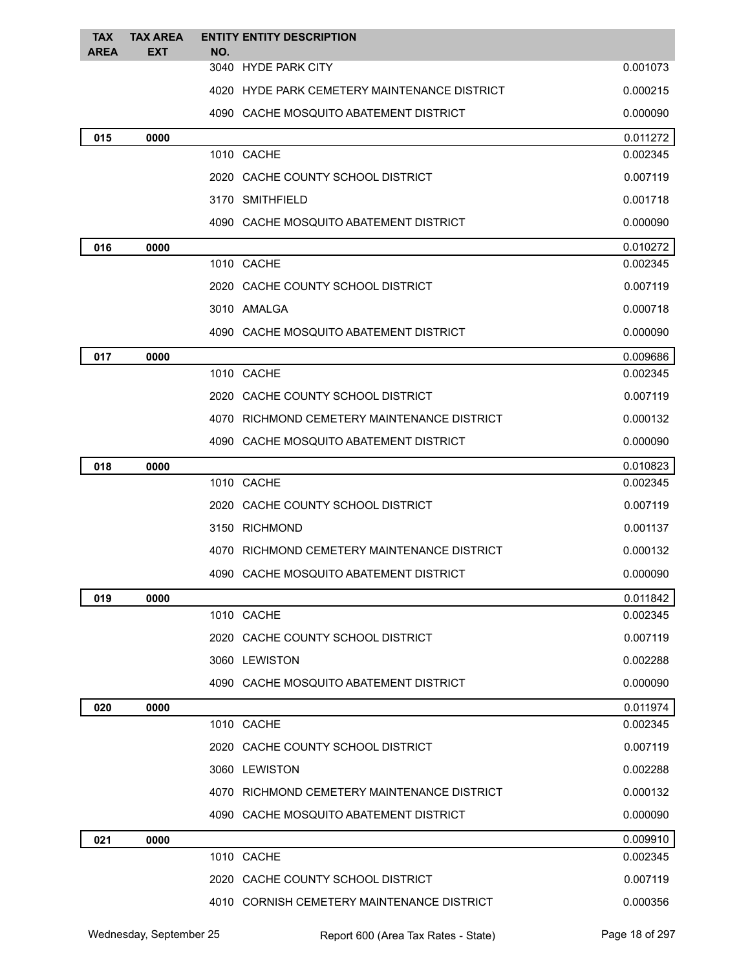| <b>TAX</b>  | <b>TAX AREA</b> | <b>ENTITY ENTITY DESCRIPTION</b>             |          |
|-------------|-----------------|----------------------------------------------|----------|
| <b>AREA</b> | <b>EXT</b>      | NO.<br>3040 HYDE PARK CITY                   | 0.001073 |
|             |                 | 4020 HYDE PARK CEMETERY MAINTENANCE DISTRICT | 0.000215 |
|             |                 | 4090 CACHE MOSQUITO ABATEMENT DISTRICT       | 0.000090 |
| 015         | 0000            |                                              | 0.011272 |
|             |                 | 1010 CACHE                                   | 0.002345 |
|             |                 | 2020 CACHE COUNTY SCHOOL DISTRICT            | 0.007119 |
|             |                 | 3170 SMITHFIELD                              | 0.001718 |
|             |                 | 4090 CACHE MOSQUITO ABATEMENT DISTRICT       | 0.000090 |
| 016         | 0000            |                                              | 0.010272 |
|             |                 | 1010 CACHE                                   | 0.002345 |
|             |                 | 2020 CACHE COUNTY SCHOOL DISTRICT            | 0.007119 |
|             |                 | 3010 AMALGA                                  | 0.000718 |
|             |                 | 4090 CACHE MOSQUITO ABATEMENT DISTRICT       | 0.000090 |
| 017         | 0000            |                                              | 0.009686 |
|             |                 | 1010 CACHE                                   | 0.002345 |
|             |                 | 2020 CACHE COUNTY SCHOOL DISTRICT            | 0.007119 |
|             |                 | 4070 RICHMOND CEMETERY MAINTENANCE DISTRICT  | 0.000132 |
|             |                 | 4090 CACHE MOSQUITO ABATEMENT DISTRICT       | 0.000090 |
| 018         | 0000            |                                              | 0.010823 |
|             |                 | 1010 CACHE                                   | 0.002345 |
|             |                 | 2020 CACHE COUNTY SCHOOL DISTRICT            | 0.007119 |
|             |                 | 3150 RICHMOND                                | 0.001137 |
|             |                 | 4070 RICHMOND CEMETERY MAINTENANCE DISTRICT  | 0.000132 |
|             |                 | 4090 CACHE MOSQUITO ABATEMENT DISTRICT       | 0.000090 |
| 019         | 0000            |                                              | 0.011842 |
|             |                 | 1010 CACHE                                   | 0.002345 |
|             |                 | 2020 CACHE COUNTY SCHOOL DISTRICT            | 0.007119 |
|             |                 | 3060 LEWISTON                                | 0.002288 |
|             |                 | 4090 CACHE MOSQUITO ABATEMENT DISTRICT       | 0.000090 |
| 020         | 0000            |                                              | 0.011974 |
|             |                 | 1010 CACHE                                   | 0.002345 |
|             |                 | 2020 CACHE COUNTY SCHOOL DISTRICT            | 0.007119 |
|             |                 | 3060 LEWISTON                                | 0.002288 |
|             |                 | 4070 RICHMOND CEMETERY MAINTENANCE DISTRICT  | 0.000132 |
|             |                 | 4090 CACHE MOSQUITO ABATEMENT DISTRICT       | 0.000090 |
| 021         | 0000            |                                              | 0.009910 |
|             |                 | 1010 CACHE                                   | 0.002345 |
|             |                 | 2020 CACHE COUNTY SCHOOL DISTRICT            | 0.007119 |
|             |                 | 4010 CORNISH CEMETERY MAINTENANCE DISTRICT   | 0.000356 |
|             |                 |                                              |          |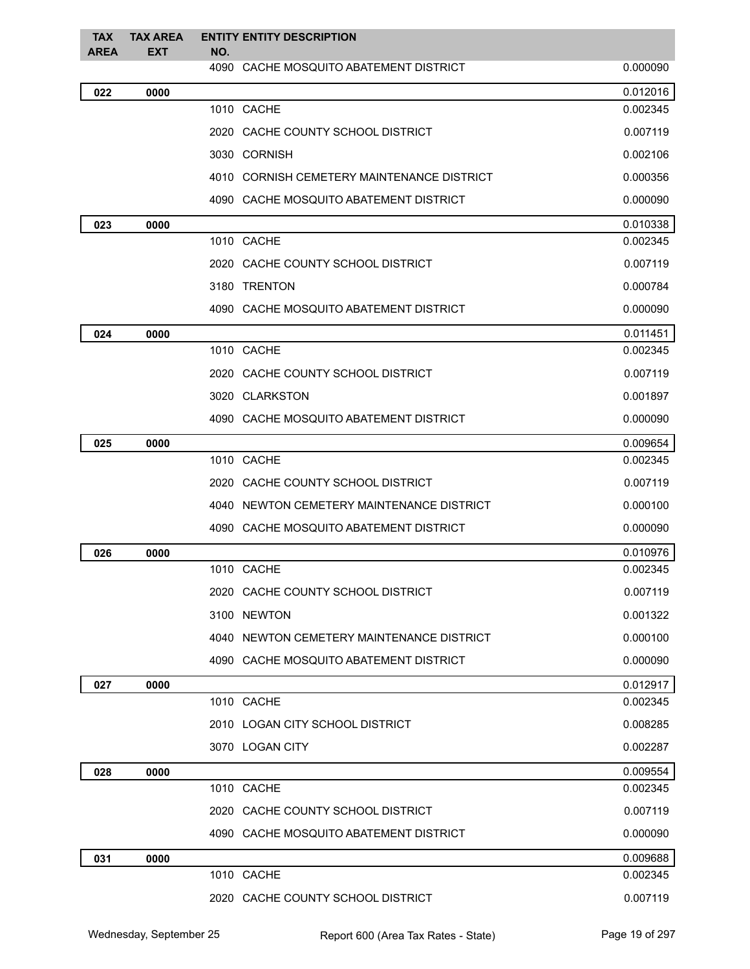| <b>TAX</b><br><b>AREA</b> | <b>TAX AREA</b><br><b>EXT</b> | <b>ENTITY ENTITY DESCRIPTION</b><br>NO.    |          |
|---------------------------|-------------------------------|--------------------------------------------|----------|
|                           |                               | 4090 CACHE MOSQUITO ABATEMENT DISTRICT     | 0.000090 |
| 022                       | 0000                          |                                            | 0.012016 |
|                           |                               | 1010 CACHE                                 | 0.002345 |
|                           |                               | 2020 CACHE COUNTY SCHOOL DISTRICT          | 0.007119 |
|                           |                               | 3030 CORNISH                               | 0.002106 |
|                           |                               | 4010 CORNISH CEMETERY MAINTENANCE DISTRICT | 0.000356 |
|                           |                               | 4090 CACHE MOSQUITO ABATEMENT DISTRICT     | 0.000090 |
| 023                       | 0000                          |                                            | 0.010338 |
|                           |                               | 1010 CACHE                                 | 0.002345 |
|                           |                               | 2020 CACHE COUNTY SCHOOL DISTRICT          | 0.007119 |
|                           |                               | 3180 TRENTON                               | 0.000784 |
|                           |                               | 4090 CACHE MOSQUITO ABATEMENT DISTRICT     | 0.000090 |
| 024                       | 0000                          |                                            | 0.011451 |
|                           |                               | 1010 CACHE                                 | 0.002345 |
|                           |                               | 2020 CACHE COUNTY SCHOOL DISTRICT          | 0.007119 |
|                           |                               | 3020 CLARKSTON                             | 0.001897 |
|                           |                               | 4090 CACHE MOSQUITO ABATEMENT DISTRICT     | 0.000090 |
| 025                       | 0000                          |                                            | 0.009654 |
|                           |                               | 1010 CACHE                                 | 0.002345 |
|                           |                               | 2020 CACHE COUNTY SCHOOL DISTRICT          | 0.007119 |
|                           |                               | 4040 NEWTON CEMETERY MAINTENANCE DISTRICT  | 0.000100 |
|                           |                               | 4090 CACHE MOSQUITO ABATEMENT DISTRICT     | 0.000090 |
| 026                       | 0000                          |                                            | 0.010976 |
|                           |                               | 1010 CACHE                                 | 0.002345 |
|                           |                               | 2020 CACHE COUNTY SCHOOL DISTRICT          | 0.007119 |
|                           |                               | 3100 NEWTON                                | 0.001322 |
|                           |                               | 4040 NEWTON CEMETERY MAINTENANCE DISTRICT  | 0.000100 |
|                           |                               | 4090 CACHE MOSQUITO ABATEMENT DISTRICT     | 0.000090 |
| 027                       | 0000                          |                                            | 0.012917 |
|                           |                               | 1010 CACHE                                 | 0.002345 |
|                           |                               | 2010 LOGAN CITY SCHOOL DISTRICT            | 0.008285 |
|                           |                               | 3070 LOGAN CITY                            | 0.002287 |
| 028                       | 0000                          |                                            | 0.009554 |
|                           |                               | 1010 CACHE                                 | 0.002345 |
|                           |                               | 2020 CACHE COUNTY SCHOOL DISTRICT          | 0.007119 |
|                           |                               | 4090 CACHE MOSQUITO ABATEMENT DISTRICT     | 0.000090 |
| 031                       | 0000                          |                                            | 0.009688 |
|                           |                               | 1010 CACHE                                 | 0.002345 |
|                           |                               | 2020 CACHE COUNTY SCHOOL DISTRICT          | 0.007119 |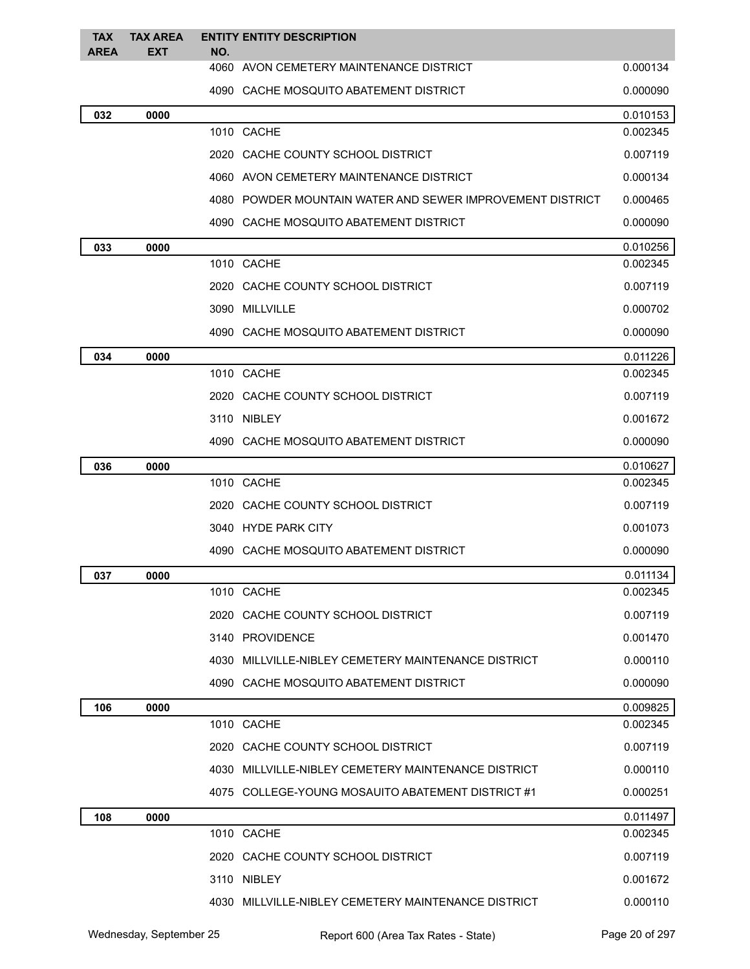| <b>TAX</b><br><b>AREA</b> | <b>TAX AREA</b><br><b>EXT</b> | NO. | <b>ENTITY ENTITY DESCRIPTION</b>                          |          |
|---------------------------|-------------------------------|-----|-----------------------------------------------------------|----------|
|                           |                               |     | 4060 AVON CEMETERY MAINTENANCE DISTRICT                   | 0.000134 |
|                           |                               |     | 4090 CACHE MOSQUITO ABATEMENT DISTRICT                    | 0.000090 |
| 032                       | 0000                          |     |                                                           | 0.010153 |
|                           |                               |     | 1010 CACHE                                                | 0.002345 |
|                           |                               |     | 2020 CACHE COUNTY SCHOOL DISTRICT                         | 0.007119 |
|                           |                               |     | 4060 AVON CEMETERY MAINTENANCE DISTRICT                   | 0.000134 |
|                           |                               |     | 4080 POWDER MOUNTAIN WATER AND SEWER IMPROVEMENT DISTRICT | 0.000465 |
|                           |                               |     | 4090 CACHE MOSQUITO ABATEMENT DISTRICT                    | 0.000090 |
| 033                       | 0000                          |     |                                                           | 0.010256 |
|                           |                               |     | 1010 CACHE                                                | 0.002345 |
|                           |                               |     | 2020 CACHE COUNTY SCHOOL DISTRICT                         | 0.007119 |
|                           |                               |     | 3090 MILLVILLE                                            | 0.000702 |
|                           |                               |     | 4090 CACHE MOSQUITO ABATEMENT DISTRICT                    | 0.000090 |
| 034                       | 0000                          |     |                                                           | 0.011226 |
|                           |                               |     | 1010 CACHE                                                | 0.002345 |
|                           |                               |     | 2020 CACHE COUNTY SCHOOL DISTRICT                         | 0.007119 |
|                           |                               |     | 3110 NIBLEY                                               | 0.001672 |
|                           |                               |     | 4090 CACHE MOSQUITO ABATEMENT DISTRICT                    | 0.000090 |
| 036                       | 0000                          |     |                                                           | 0.010627 |
|                           |                               |     | 1010 CACHE                                                | 0.002345 |
|                           |                               |     | 2020 CACHE COUNTY SCHOOL DISTRICT                         | 0.007119 |
|                           |                               |     | 3040 HYDE PARK CITY                                       | 0.001073 |
|                           |                               |     | 4090 CACHE MOSQUITO ABATEMENT DISTRICT                    | 0.000090 |
| 037                       | 0000                          |     |                                                           | 0.011134 |
|                           |                               |     | 1010 CACHE                                                | 0.002345 |
|                           |                               |     | 2020 CACHE COUNTY SCHOOL DISTRICT                         | 0.007119 |
|                           |                               |     | 3140 PROVIDENCE                                           | 0.001470 |
|                           |                               |     | 4030 MILLVILLE-NIBLEY CEMETERY MAINTENANCE DISTRICT       | 0.000110 |
|                           |                               |     | 4090 CACHE MOSQUITO ABATEMENT DISTRICT                    | 0.000090 |
| 106                       | 0000                          |     |                                                           | 0.009825 |
|                           |                               |     | 1010 CACHE                                                | 0.002345 |
|                           |                               |     | 2020 CACHE COUNTY SCHOOL DISTRICT                         | 0.007119 |
|                           |                               |     | 4030 MILLVILLE-NIBLEY CEMETERY MAINTENANCE DISTRICT       | 0.000110 |
|                           |                               |     | 4075 COLLEGE-YOUNG MOSAUITO ABATEMENT DISTRICT #1         | 0.000251 |
| 108                       | 0000                          |     |                                                           | 0.011497 |
|                           |                               |     | 1010 CACHE                                                | 0.002345 |
|                           |                               |     | 2020 CACHE COUNTY SCHOOL DISTRICT                         | 0.007119 |
|                           |                               |     | 3110 NIBLEY                                               | 0.001672 |
|                           |                               |     | 4030 MILLVILLE-NIBLEY CEMETERY MAINTENANCE DISTRICT       | 0.000110 |
|                           |                               |     |                                                           |          |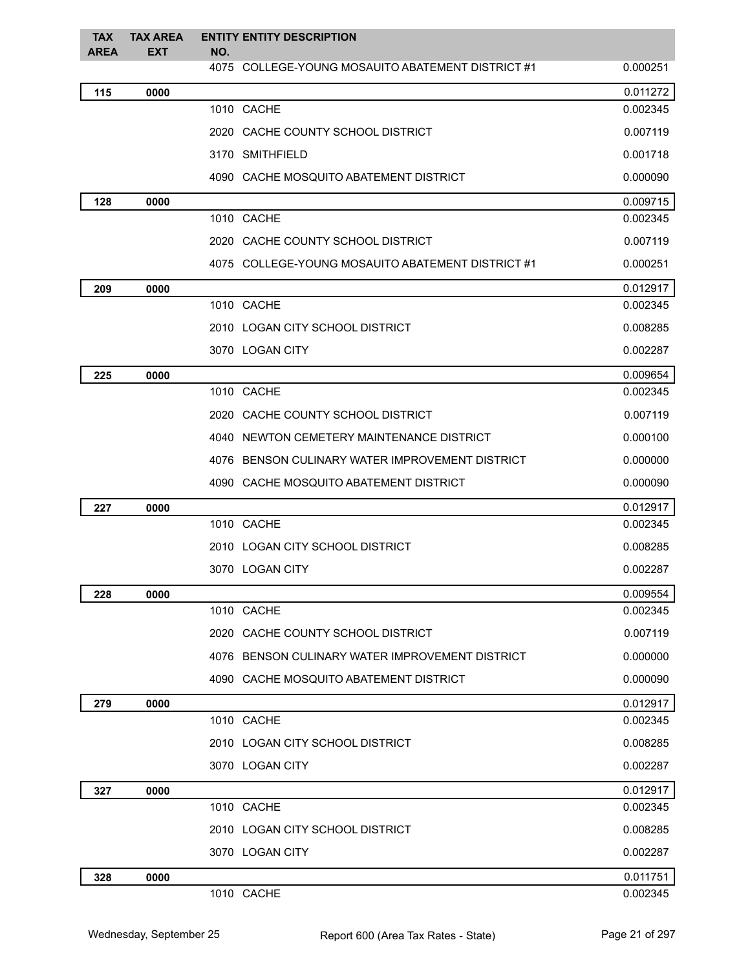| <b>TAX</b><br><b>AREA</b> | <b>TAX AREA</b><br><b>EXT</b> | <b>ENTITY ENTITY DESCRIPTION</b><br>NO.           |          |
|---------------------------|-------------------------------|---------------------------------------------------|----------|
|                           |                               | 4075 COLLEGE-YOUNG MOSAUITO ABATEMENT DISTRICT #1 | 0.000251 |
| 115                       | 0000                          |                                                   | 0.011272 |
|                           |                               | 1010 CACHE                                        | 0.002345 |
|                           |                               | 2020 CACHE COUNTY SCHOOL DISTRICT                 | 0.007119 |
|                           |                               | 3170 SMITHFIELD                                   | 0.001718 |
|                           |                               | 4090 CACHE MOSQUITO ABATEMENT DISTRICT            | 0.000090 |
| 128                       | 0000                          |                                                   | 0.009715 |
|                           |                               | 1010 CACHE                                        | 0.002345 |
|                           |                               | 2020 CACHE COUNTY SCHOOL DISTRICT                 | 0.007119 |
|                           |                               | 4075 COLLEGE-YOUNG MOSAUITO ABATEMENT DISTRICT #1 | 0.000251 |
| 209                       | 0000                          |                                                   | 0.012917 |
|                           |                               | 1010 CACHE                                        | 0.002345 |
|                           |                               | 2010 LOGAN CITY SCHOOL DISTRICT                   | 0.008285 |
|                           |                               | 3070 LOGAN CITY                                   | 0.002287 |
| 225                       | 0000                          |                                                   | 0.009654 |
|                           |                               | 1010 CACHE                                        | 0.002345 |
|                           |                               | 2020 CACHE COUNTY SCHOOL DISTRICT                 | 0.007119 |
|                           |                               | 4040 NEWTON CEMETERY MAINTENANCE DISTRICT         | 0.000100 |
|                           |                               | 4076 BENSON CULINARY WATER IMPROVEMENT DISTRICT   | 0.000000 |
|                           |                               | 4090 CACHE MOSQUITO ABATEMENT DISTRICT            | 0.000090 |
| 227                       | 0000                          |                                                   | 0.012917 |
|                           |                               | 1010 CACHE                                        | 0.002345 |
|                           |                               | 2010 LOGAN CITY SCHOOL DISTRICT                   | 0.008285 |
|                           |                               | 3070 LOGAN CITY                                   | 0.002287 |
| 228                       | 0000                          |                                                   | 0.009554 |
|                           |                               | 1010 CACHE                                        | 0.002345 |
|                           |                               | 2020 CACHE COUNTY SCHOOL DISTRICT                 | 0.007119 |
|                           |                               | 4076 BENSON CULINARY WATER IMPROVEMENT DISTRICT   | 0.000000 |
|                           |                               | 4090 CACHE MOSQUITO ABATEMENT DISTRICT            | 0.000090 |
| 279                       | 0000                          |                                                   | 0.012917 |
|                           |                               | 1010 CACHE                                        | 0.002345 |
|                           |                               | 2010 LOGAN CITY SCHOOL DISTRICT                   | 0.008285 |
|                           |                               | 3070 LOGAN CITY                                   | 0.002287 |
| 327                       | 0000                          |                                                   | 0.012917 |
|                           |                               | 1010 CACHE                                        | 0.002345 |
|                           |                               | 2010 LOGAN CITY SCHOOL DISTRICT                   | 0.008285 |
|                           |                               | 3070 LOGAN CITY                                   | 0.002287 |
| 328                       | 0000                          |                                                   | 0.011751 |
|                           |                               | 1010 CACHE                                        | 0.002345 |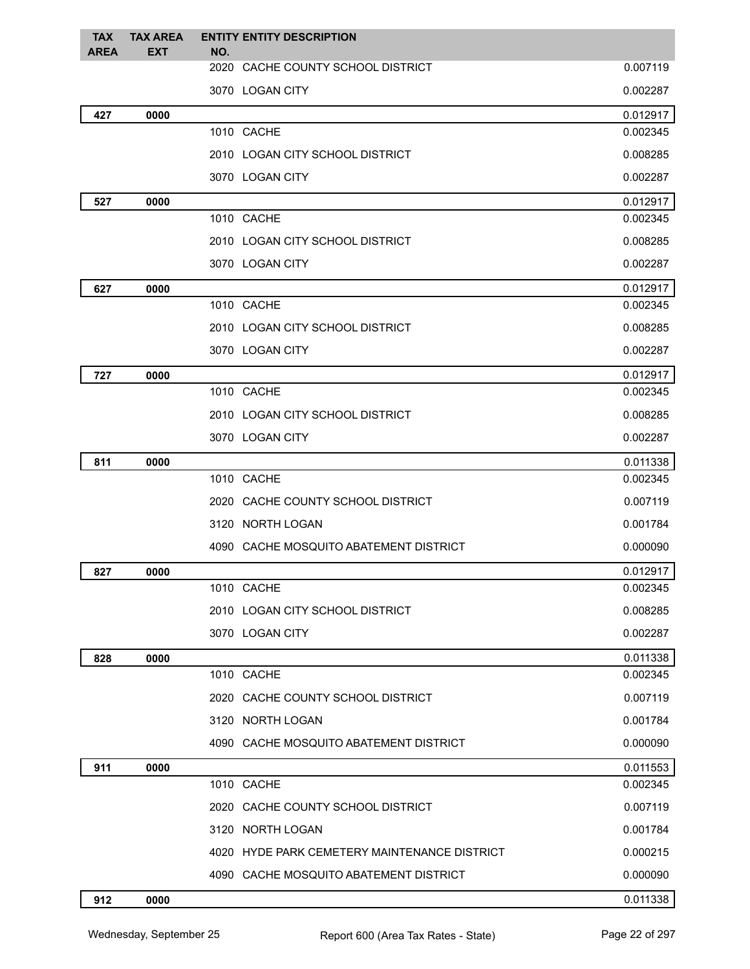| <b>TAX</b><br><b>AREA</b> | <b>TAX AREA</b><br><b>EXT</b> | <b>ENTITY ENTITY DESCRIPTION</b><br>NO.      |          |
|---------------------------|-------------------------------|----------------------------------------------|----------|
|                           |                               | 2020 CACHE COUNTY SCHOOL DISTRICT            | 0.007119 |
|                           |                               | 3070 LOGAN CITY                              | 0.002287 |
| 427                       | 0000                          |                                              | 0.012917 |
|                           |                               | 1010 CACHE                                   | 0.002345 |
|                           |                               | 2010 LOGAN CITY SCHOOL DISTRICT              | 0.008285 |
|                           |                               | 3070 LOGAN CITY                              | 0.002287 |
| 527                       | 0000                          |                                              | 0.012917 |
|                           |                               | 1010 CACHE                                   | 0.002345 |
|                           |                               | 2010 LOGAN CITY SCHOOL DISTRICT              | 0.008285 |
|                           |                               | 3070 LOGAN CITY                              | 0.002287 |
| 627                       | 0000                          |                                              | 0.012917 |
|                           |                               | 1010 CACHE                                   | 0.002345 |
|                           |                               | 2010 LOGAN CITY SCHOOL DISTRICT              | 0.008285 |
|                           |                               | 3070 LOGAN CITY                              | 0.002287 |
| 727                       | 0000                          |                                              | 0.012917 |
|                           |                               | 1010 CACHE                                   | 0.002345 |
|                           |                               | 2010 LOGAN CITY SCHOOL DISTRICT              | 0.008285 |
|                           |                               | 3070 LOGAN CITY                              | 0.002287 |
| 811                       | 0000                          |                                              | 0.011338 |
|                           |                               | 1010 CACHE                                   | 0.002345 |
|                           |                               | 2020 CACHE COUNTY SCHOOL DISTRICT            | 0.007119 |
|                           |                               | 3120 NORTH LOGAN                             | 0.001784 |
|                           |                               | 4090 CACHE MOSQUITO ABATEMENT DISTRICT       | 0.000090 |
| 827                       | 0000                          |                                              | 0.012917 |
|                           |                               | 1010 CACHE                                   | 0.002345 |
|                           |                               | 2010 LOGAN CITY SCHOOL DISTRICT              | 0.008285 |
|                           |                               | 3070 LOGAN CITY                              | 0.002287 |
| 828                       | 0000                          |                                              | 0.011338 |
|                           |                               | 1010 CACHE                                   | 0.002345 |
|                           |                               | 2020 CACHE COUNTY SCHOOL DISTRICT            | 0.007119 |
|                           |                               | 3120 NORTH LOGAN                             | 0.001784 |
|                           |                               | 4090 CACHE MOSQUITO ABATEMENT DISTRICT       | 0.000090 |
| 911                       | 0000                          |                                              | 0.011553 |
|                           |                               | 1010 CACHE                                   | 0.002345 |
|                           |                               | 2020 CACHE COUNTY SCHOOL DISTRICT            | 0.007119 |
|                           |                               | 3120 NORTH LOGAN                             | 0.001784 |
|                           |                               | 4020 HYDE PARK CEMETERY MAINTENANCE DISTRICT | 0.000215 |
|                           |                               | 4090 CACHE MOSQUITO ABATEMENT DISTRICT       | 0.000090 |
| 912                       | 0000                          |                                              | 0.011338 |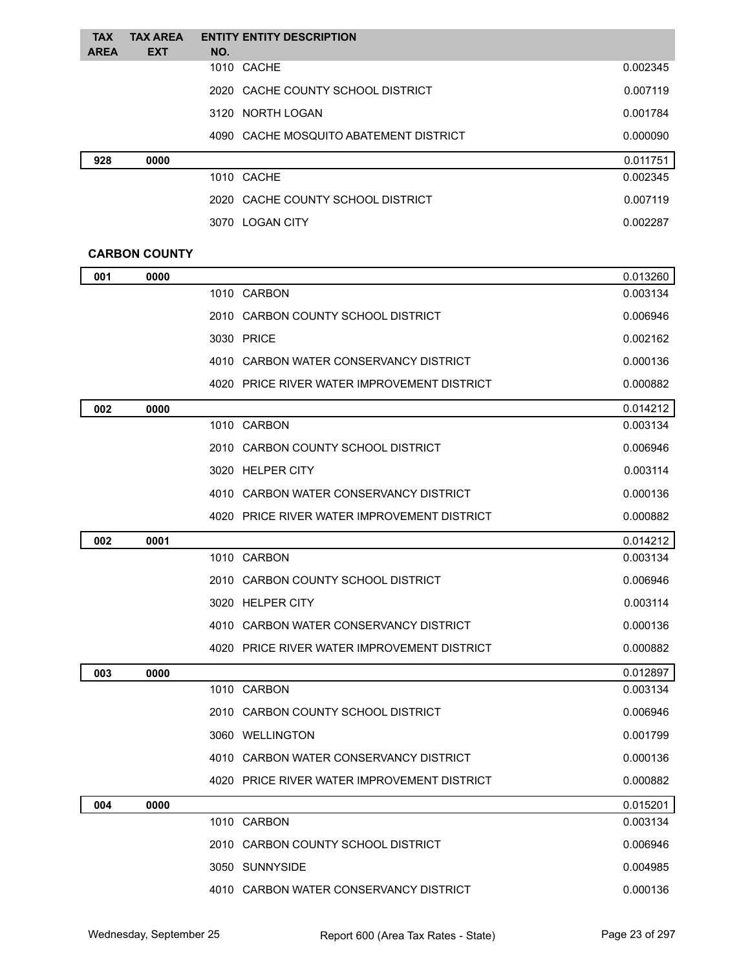| <b>TAX</b>  | <b>TAX AREA</b> | <b>ENTITY ENTITY DESCRIPTION</b>       |          |
|-------------|-----------------|----------------------------------------|----------|
| <b>AREA</b> | <b>EXT</b>      | NO.                                    |          |
|             |                 | 1010 CACHE                             | 0.002345 |
|             |                 | 2020 CACHE COUNTY SCHOOL DISTRICT      | 0.007119 |
|             |                 | 3120 NORTH LOGAN                       | 0.001784 |
|             |                 | 4090 CACHE MOSQUITO ABATEMENT DISTRICT | 0.000090 |
| 928         | 0000            |                                        | 0.011751 |
|             |                 | 1010 CACHE                             | 0.002345 |
|             |                 | 2020 CACHE COUNTY SCHOOL DISTRICT      | 0.007119 |
|             |                 | 3070 LOGAN CITY                        | 0.002287 |

#### **CARBON COUNTY**

| 001 | 0000 |                                             | 0.013260 |
|-----|------|---------------------------------------------|----------|
|     |      | 1010 CARBON                                 | 0.003134 |
|     |      | 2010 CARBON COUNTY SCHOOL DISTRICT          | 0.006946 |
|     |      | 3030 PRICE                                  | 0.002162 |
|     |      | 4010 CARBON WATER CONSERVANCY DISTRICT      | 0.000136 |
|     |      | 4020 PRICE RIVER WATER IMPROVEMENT DISTRICT | 0.000882 |
| 002 | 0000 |                                             | 0.014212 |
|     |      | 1010 CARBON                                 | 0.003134 |
|     |      | 2010 CARBON COUNTY SCHOOL DISTRICT          | 0.006946 |
|     |      | 3020 HELPER CITY                            | 0.003114 |
|     |      | 4010 CARBON WATER CONSERVANCY DISTRICT      | 0.000136 |
|     |      | 4020 PRICE RIVER WATER IMPROVEMENT DISTRICT | 0.000882 |
| 002 | 0001 |                                             | 0.014212 |
|     |      | 1010 CARBON                                 | 0.003134 |
|     |      | 2010 CARBON COUNTY SCHOOL DISTRICT          | 0.006946 |
|     |      | 3020 HELPER CITY                            | 0.003114 |
|     |      | 4010 CARBON WATER CONSERVANCY DISTRICT      | 0.000136 |
|     |      | 4020 PRICE RIVER WATER IMPROVEMENT DISTRICT | 0.000882 |
| 003 | 0000 |                                             | 0.012897 |
|     |      | 1010 CARBON                                 | 0.003134 |
|     |      | 2010 CARBON COUNTY SCHOOL DISTRICT          | 0.006946 |
|     |      | 3060 WELLINGTON                             | 0.001799 |
|     |      | 4010 CARBON WATER CONSERVANCY DISTRICT      | 0.000136 |
|     |      | 4020 PRICE RIVER WATER IMPROVEMENT DISTRICT | 0.000882 |
| 004 | 0000 |                                             | 0.015201 |
|     |      | 1010 CARBON                                 | 0.003134 |
|     |      | 2010 CARBON COUNTY SCHOOL DISTRICT          | 0.006946 |
|     |      | 3050 SUNNYSIDE                              | 0.004985 |
|     |      | 4010 CARBON WATER CONSERVANCY DISTRICT      | 0.000136 |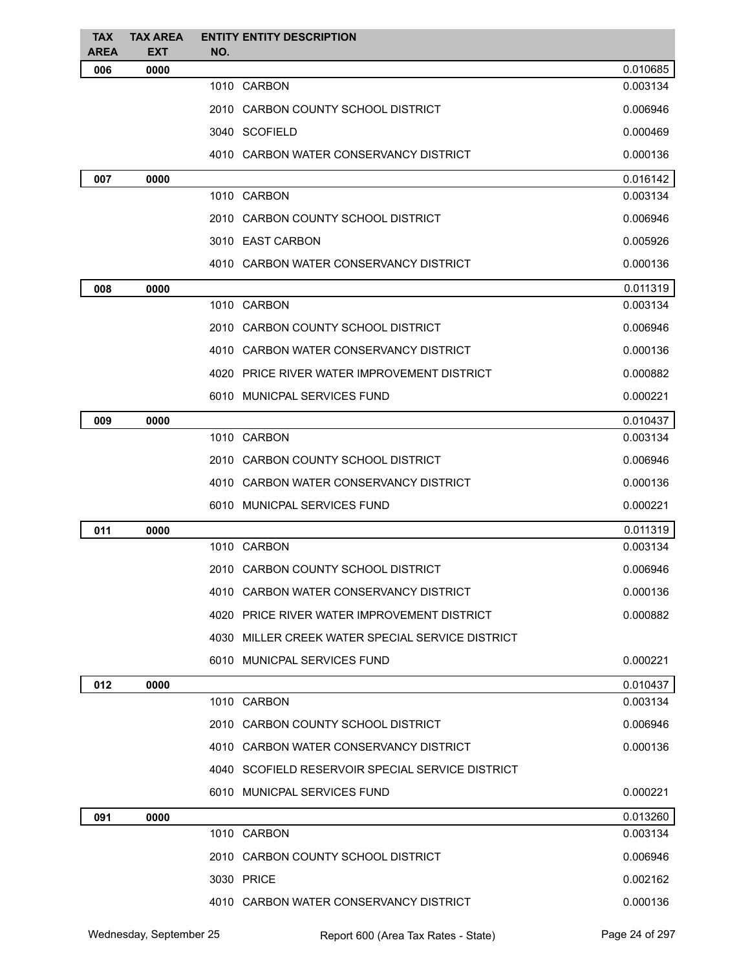| <b>TAX</b><br><b>AREA</b> | <b>TAX AREA</b><br><b>EXT</b> | <b>ENTITY ENTITY DESCRIPTION</b><br>NO.          |          |
|---------------------------|-------------------------------|--------------------------------------------------|----------|
| 006                       | 0000                          |                                                  | 0.010685 |
|                           |                               | 1010 CARBON                                      | 0.003134 |
|                           |                               | 2010 CARBON COUNTY SCHOOL DISTRICT               | 0.006946 |
|                           |                               | 3040 SCOFIELD                                    | 0.000469 |
|                           |                               | 4010 CARBON WATER CONSERVANCY DISTRICT           | 0.000136 |
| 007                       | 0000                          |                                                  | 0.016142 |
|                           |                               | 1010 CARBON                                      | 0.003134 |
|                           |                               | 2010 CARBON COUNTY SCHOOL DISTRICT               | 0.006946 |
|                           |                               | 3010 EAST CARBON                                 | 0.005926 |
|                           |                               | 4010 CARBON WATER CONSERVANCY DISTRICT           | 0.000136 |
| 008                       | 0000                          |                                                  | 0.011319 |
|                           |                               | 1010 CARBON                                      | 0.003134 |
|                           |                               | 2010 CARBON COUNTY SCHOOL DISTRICT               | 0.006946 |
|                           |                               | 4010 CARBON WATER CONSERVANCY DISTRICT           | 0.000136 |
|                           |                               | 4020 PRICE RIVER WATER IMPROVEMENT DISTRICT      | 0.000882 |
|                           |                               | 6010 MUNICPAL SERVICES FUND                      | 0.000221 |
| 009                       | 0000                          |                                                  | 0.010437 |
|                           |                               | 1010 CARBON                                      | 0.003134 |
|                           |                               | 2010 CARBON COUNTY SCHOOL DISTRICT               | 0.006946 |
|                           |                               | 4010 CARBON WATER CONSERVANCY DISTRICT           | 0.000136 |
|                           |                               | 6010 MUNICPAL SERVICES FUND                      | 0.000221 |
| 011                       | 0000                          |                                                  | 0.011319 |
|                           |                               | 1010 CARBON                                      | 0.003134 |
|                           |                               | 2010 CARBON COUNTY SCHOOL DISTRICT               | 0.006946 |
|                           |                               | 4010 CARBON WATER CONSERVANCY DISTRICT           | 0.000136 |
|                           |                               | 4020 PRICE RIVER WATER IMPROVEMENT DISTRICT      | 0.000882 |
|                           |                               | 4030 MILLER CREEK WATER SPECIAL SERVICE DISTRICT |          |
|                           |                               | 6010 MUNICPAL SERVICES FUND                      | 0.000221 |
| 012                       | 0000                          |                                                  | 0.010437 |
|                           |                               | 1010 CARBON                                      | 0.003134 |
|                           |                               | 2010 CARBON COUNTY SCHOOL DISTRICT               | 0.006946 |
|                           |                               | 4010 CARBON WATER CONSERVANCY DISTRICT           | 0.000136 |
|                           |                               | 4040 SCOFIELD RESERVOIR SPECIAL SERVICE DISTRICT |          |
|                           |                               | 6010 MUNICPAL SERVICES FUND                      | 0.000221 |
| 091                       | 0000                          |                                                  | 0.013260 |
|                           |                               | 1010 CARBON                                      | 0.003134 |
|                           |                               | 2010 CARBON COUNTY SCHOOL DISTRICT               | 0.006946 |
|                           |                               | 3030 PRICE                                       | 0.002162 |
|                           |                               | 4010 CARBON WATER CONSERVANCY DISTRICT           | 0.000136 |
|                           |                               |                                                  |          |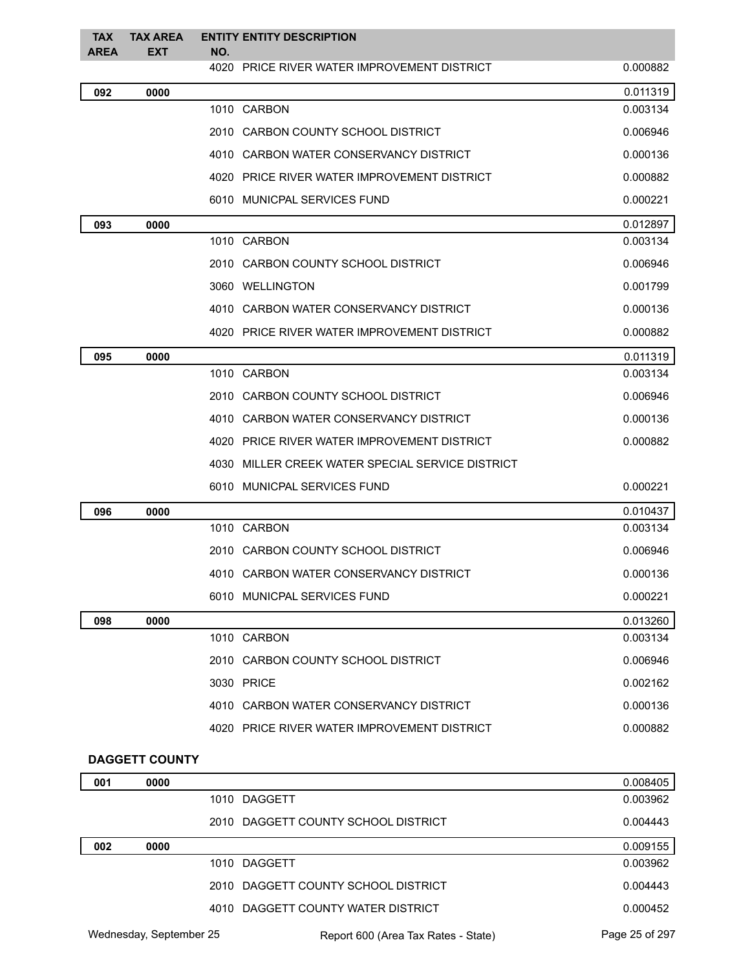| <b>TAX</b><br><b>AREA</b> | <b>TAX AREA</b><br><b>EXT</b> | NO. | <b>ENTITY ENTITY DESCRIPTION</b>                 |          |
|---------------------------|-------------------------------|-----|--------------------------------------------------|----------|
|                           |                               |     | 4020 PRICE RIVER WATER IMPROVEMENT DISTRICT      | 0.000882 |
| 092                       | 0000                          |     |                                                  | 0.011319 |
|                           |                               |     | 1010 CARBON                                      | 0.003134 |
|                           |                               |     | 2010 CARBON COUNTY SCHOOL DISTRICT               | 0.006946 |
|                           |                               |     | 4010 CARBON WATER CONSERVANCY DISTRICT           | 0.000136 |
|                           |                               |     | 4020 PRICE RIVER WATER IMPROVEMENT DISTRICT      | 0.000882 |
|                           |                               |     | 6010 MUNICPAL SERVICES FUND                      | 0.000221 |
| 093                       | 0000                          |     |                                                  | 0.012897 |
|                           |                               |     | 1010 CARBON                                      | 0.003134 |
|                           |                               |     | 2010 CARBON COUNTY SCHOOL DISTRICT               | 0.006946 |
|                           |                               |     | 3060 WELLINGTON                                  | 0.001799 |
|                           |                               |     | 4010 CARBON WATER CONSERVANCY DISTRICT           | 0.000136 |
|                           |                               |     | 4020 PRICE RIVER WATER IMPROVEMENT DISTRICT      | 0.000882 |
| 095                       | 0000                          |     |                                                  | 0.011319 |
|                           |                               |     | 1010 CARBON                                      | 0.003134 |
|                           |                               |     | 2010 CARBON COUNTY SCHOOL DISTRICT               | 0.006946 |
|                           |                               |     | 4010 CARBON WATER CONSERVANCY DISTRICT           | 0.000136 |
|                           |                               |     | 4020 PRICE RIVER WATER IMPROVEMENT DISTRICT      | 0.000882 |
|                           |                               |     | 4030 MILLER CREEK WATER SPECIAL SERVICE DISTRICT |          |
|                           |                               |     | 6010 MUNICPAL SERVICES FUND                      | 0.000221 |
| 096                       | 0000                          |     |                                                  | 0.010437 |
|                           |                               |     | 1010 CARBON                                      | 0.003134 |
|                           |                               |     | 2010 CARBON COUNTY SCHOOL DISTRICT               | 0.006946 |
|                           |                               |     | 4010 CARBON WATER CONSERVANCY DISTRICT           | 0.000136 |
|                           |                               |     | 6010 MUNICPAL SERVICES FUND                      | 0.000221 |
| 098                       | 0000                          |     |                                                  | 0.013260 |
|                           |                               |     | 1010 CARBON                                      | 0.003134 |
|                           |                               |     | 2010 CARBON COUNTY SCHOOL DISTRICT               | 0.006946 |
|                           |                               |     | 3030 PRICE                                       | 0.002162 |
|                           |                               |     | 4010 CARBON WATER CONSERVANCY DISTRICT           | 0.000136 |
|                           |                               |     | 4020 PRICE RIVER WATER IMPROVEMENT DISTRICT      | 0.000882 |
|                           | <b>DAGGETT COUNTY</b>         |     |                                                  |          |
| 001                       | 0000                          |     |                                                  | 0.008405 |

|     |                         | 1010 DAGGETT                        | 0.003962       |
|-----|-------------------------|-------------------------------------|----------------|
|     |                         | 2010 DAGGETT COUNTY SCHOOL DISTRICT | 0.004443       |
| 002 | 0000                    |                                     | 0.009155       |
|     |                         | 1010 DAGGETT                        | 0.003962       |
|     |                         | 2010 DAGGETT COUNTY SCHOOL DISTRICT | 0.004443       |
|     |                         | 4010 DAGGETT COUNTY WATER DISTRICT  | 0.000452       |
|     | Wednesday, September 25 | Report 600 (Area Tax Rates - State) | Page 25 of 297 |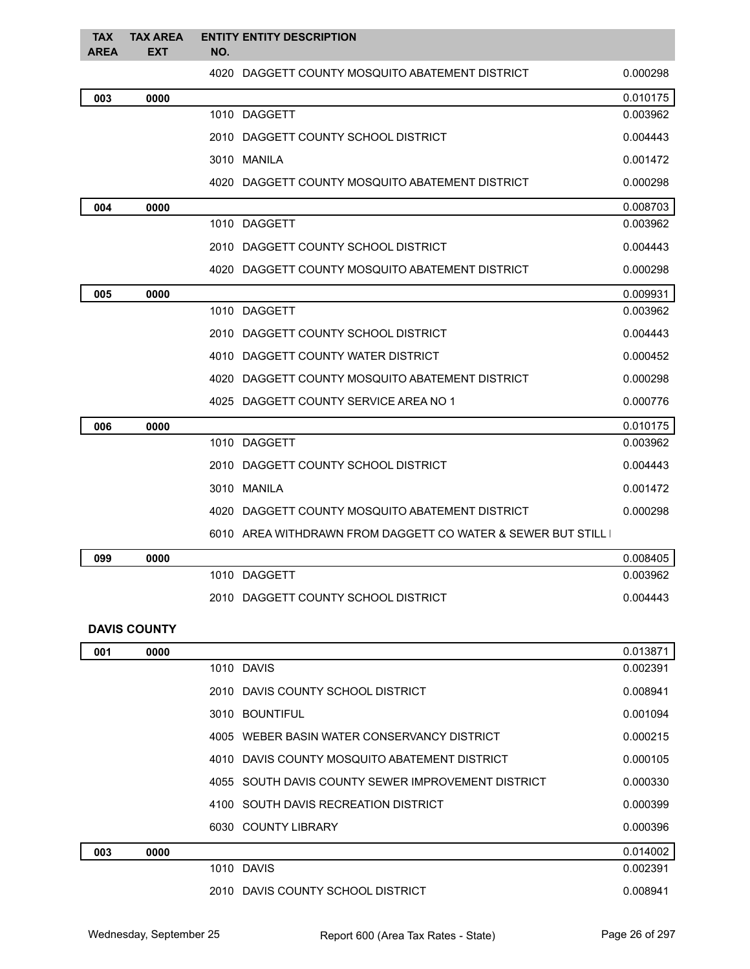| <b>TAX</b><br><b>AREA</b> | <b>TAX AREA</b><br><b>EXT</b> | NO. | <b>ENTITY ENTITY DESCRIPTION</b>                            |          |
|---------------------------|-------------------------------|-----|-------------------------------------------------------------|----------|
|                           |                               |     | 4020 DAGGETT COUNTY MOSQUITO ABATEMENT DISTRICT             | 0.000298 |
| 003                       | 0000                          |     |                                                             | 0.010175 |
|                           |                               |     | 1010 DAGGETT                                                | 0.003962 |
|                           |                               |     | 2010 DAGGETT COUNTY SCHOOL DISTRICT                         | 0.004443 |
|                           |                               |     | 3010 MANILA                                                 | 0.001472 |
|                           |                               |     | 4020 DAGGETT COUNTY MOSQUITO ABATEMENT DISTRICT             | 0.000298 |
| 004                       | 0000                          |     |                                                             | 0.008703 |
|                           |                               |     | 1010 DAGGETT                                                | 0.003962 |
|                           |                               |     | 2010 DAGGETT COUNTY SCHOOL DISTRICT                         | 0.004443 |
|                           |                               |     | 4020 DAGGETT COUNTY MOSQUITO ABATEMENT DISTRICT             | 0.000298 |
| 005                       | 0000                          |     |                                                             | 0.009931 |
|                           |                               |     | 1010 DAGGETT                                                | 0.003962 |
|                           |                               |     | 2010 DAGGETT COUNTY SCHOOL DISTRICT                         | 0.004443 |
|                           |                               |     | 4010 DAGGETT COUNTY WATER DISTRICT                          | 0.000452 |
|                           |                               |     | 4020 DAGGETT COUNTY MOSQUITO ABATEMENT DISTRICT             | 0.000298 |
|                           |                               |     | 4025 DAGGETT COUNTY SERVICE AREA NO 1                       | 0.000776 |
| 006                       | 0000                          |     |                                                             | 0.010175 |
|                           |                               |     | 1010 DAGGETT                                                | 0.003962 |
|                           |                               |     | 2010 DAGGETT COUNTY SCHOOL DISTRICT                         | 0.004443 |
|                           |                               |     | 3010 MANILA                                                 | 0.001472 |
|                           |                               |     | 4020 DAGGETT COUNTY MOSQUITO ABATEMENT DISTRICT             | 0.000298 |
|                           |                               |     | 6010 AREA WITHDRAWN FROM DAGGETT CO WATER & SEWER BUT STILL |          |
| 099                       | 0000                          |     |                                                             | 0.008405 |
|                           |                               |     | 1010 DAGGETT                                                | 0.003962 |
|                           |                               |     | 2010 DAGGETT COUNTY SCHOOL DISTRICT                         | 0.004443 |

### **DAVIS COUNTY**

| 001 | 0000 |                                                    | 0.013871 |
|-----|------|----------------------------------------------------|----------|
|     |      | 1010 DAVIS                                         | 0.002391 |
|     |      | 2010 DAVIS COUNTY SCHOOL DISTRICT                  | 0.008941 |
|     |      | 3010 BOUNTIFUL                                     | 0.001094 |
|     |      | 4005 WEBER BASIN WATER CONSERVANCY DISTRICT        | 0.000215 |
|     |      | 4010 DAVIS COUNTY MOSQUITO ABATEMENT DISTRICT      | 0.000105 |
|     |      | 4055 SOUTH DAVIS COUNTY SEWER IMPROVEMENT DISTRICT | 0.000330 |
|     |      | 4100 SOUTH DAVIS RECREATION DISTRICT               | 0.000399 |
|     |      | 6030 COUNTY LIBRARY                                | 0.000396 |
| 003 | 0000 |                                                    | 0.014002 |
|     |      | 1010 DAVIS                                         | 0.002391 |
|     |      | 2010 DAVIS COUNTY SCHOOL DISTRICT                  | 0.008941 |
|     |      |                                                    |          |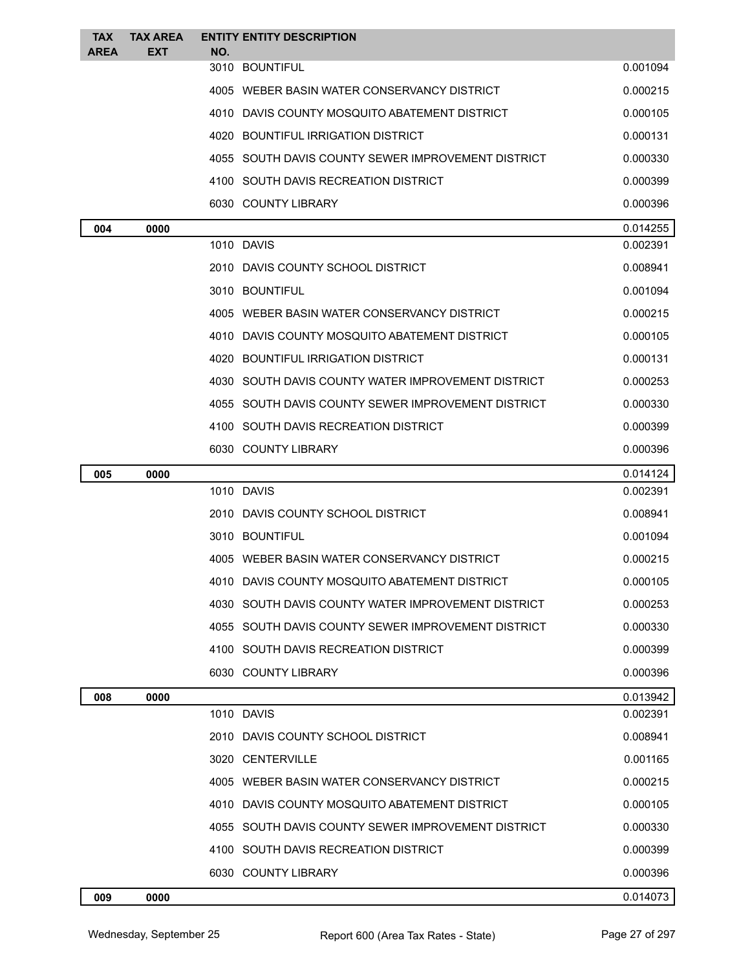| <b>TAX</b>  | <b>TAX AREA</b> | <b>ENTITY ENTITY DESCRIPTION</b>                   |          |
|-------------|-----------------|----------------------------------------------------|----------|
| <b>AREA</b> | EXT             | NO.<br>3010 BOUNTIFUL                              | 0.001094 |
|             |                 | 4005 WEBER BASIN WATER CONSERVANCY DISTRICT        | 0.000215 |
|             |                 | 4010 DAVIS COUNTY MOSQUITO ABATEMENT DISTRICT      | 0.000105 |
|             |                 | 4020 BOUNTIFUL IRRIGATION DISTRICT                 | 0.000131 |
|             |                 | 4055 SOUTH DAVIS COUNTY SEWER IMPROVEMENT DISTRICT | 0.000330 |
|             |                 | 4100 SOUTH DAVIS RECREATION DISTRICT               | 0.000399 |
|             |                 | 6030 COUNTY LIBRARY                                | 0.000396 |
| 004         | 0000            |                                                    | 0.014255 |
|             |                 | 1010 DAVIS                                         | 0.002391 |
|             |                 | 2010 DAVIS COUNTY SCHOOL DISTRICT                  | 0.008941 |
|             |                 | 3010 BOUNTIFUL                                     | 0.001094 |
|             |                 | 4005 WEBER BASIN WATER CONSERVANCY DISTRICT        | 0.000215 |
|             |                 | 4010 DAVIS COUNTY MOSQUITO ABATEMENT DISTRICT      | 0.000105 |
|             |                 | 4020 BOUNTIFUL IRRIGATION DISTRICT                 | 0.000131 |
|             |                 | 4030 SOUTH DAVIS COUNTY WATER IMPROVEMENT DISTRICT | 0.000253 |
|             |                 | 4055 SOUTH DAVIS COUNTY SEWER IMPROVEMENT DISTRICT | 0.000330 |
|             |                 | 4100 SOUTH DAVIS RECREATION DISTRICT               | 0.000399 |
|             |                 | 6030 COUNTY LIBRARY                                | 0.000396 |
| 005         | 0000            |                                                    | 0.014124 |
|             |                 | 1010 DAVIS                                         | 0.002391 |
|             |                 | 2010 DAVIS COUNTY SCHOOL DISTRICT                  | 0.008941 |
|             |                 | 3010 BOUNTIFUL                                     | 0.001094 |
|             |                 | 4005 WEBER BASIN WATER CONSERVANCY DISTRICT        | 0.000215 |
|             |                 | 4010 DAVIS COUNTY MOSQUITO ABATEMENT DISTRICT      | 0.000105 |
|             |                 | 4030 SOUTH DAVIS COUNTY WATER IMPROVEMENT DISTRICT | 0.000253 |
|             |                 | 4055 SOUTH DAVIS COUNTY SEWER IMPROVEMENT DISTRICT | 0.000330 |
|             |                 | 4100 SOUTH DAVIS RECREATION DISTRICT               | 0.000399 |
|             |                 | 6030 COUNTY LIBRARY                                | 0.000396 |
| 008         | 0000            |                                                    | 0.013942 |
|             |                 | 1010 DAVIS                                         | 0.002391 |
|             |                 | 2010 DAVIS COUNTY SCHOOL DISTRICT                  | 0.008941 |
|             |                 | 3020 CENTERVILLE                                   | 0.001165 |
|             |                 | 4005 WEBER BASIN WATER CONSERVANCY DISTRICT        | 0.000215 |
|             |                 | 4010 DAVIS COUNTY MOSQUITO ABATEMENT DISTRICT      | 0.000105 |
|             |                 | 4055 SOUTH DAVIS COUNTY SEWER IMPROVEMENT DISTRICT | 0.000330 |
|             |                 | 4100 SOUTH DAVIS RECREATION DISTRICT               | 0.000399 |
|             |                 | 6030 COUNTY LIBRARY                                | 0.000396 |
| 009         | 0000            |                                                    | 0.014073 |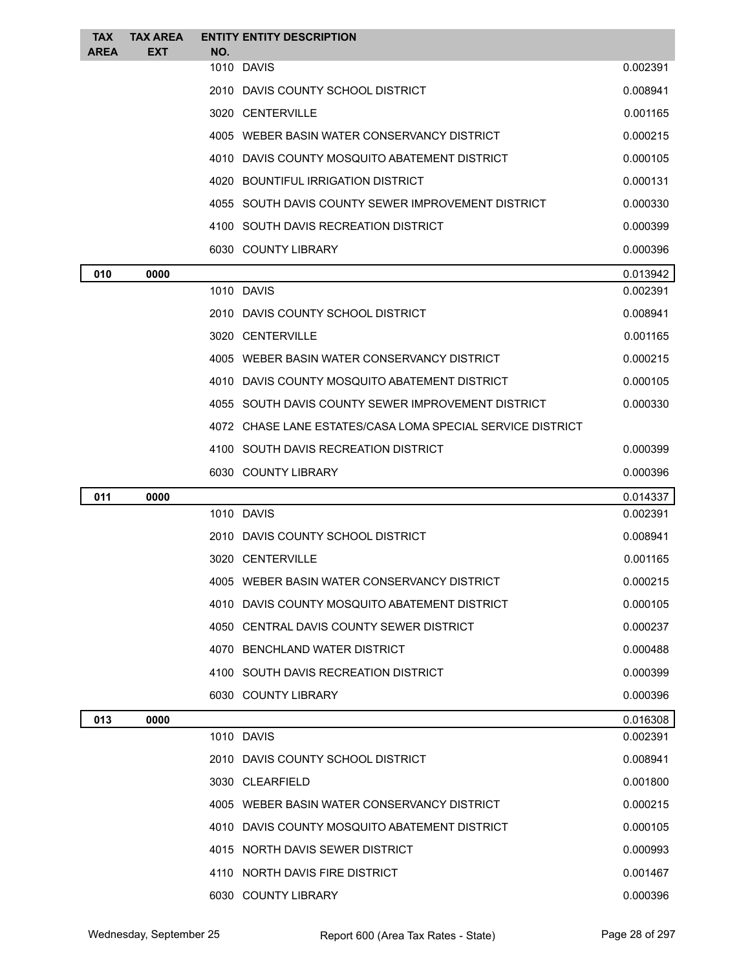| <b>TAX</b><br><b>AREA</b> | <b>TAX AREA</b><br><b>EXT</b> | NO. | <b>ENTITY ENTITY DESCRIPTION</b>                           |          |
|---------------------------|-------------------------------|-----|------------------------------------------------------------|----------|
|                           |                               |     | 1010 DAVIS                                                 | 0.002391 |
|                           |                               |     | 2010 DAVIS COUNTY SCHOOL DISTRICT                          | 0.008941 |
|                           |                               |     | 3020 CENTERVILLE                                           | 0.001165 |
|                           |                               |     | 4005 WEBER BASIN WATER CONSERVANCY DISTRICT                | 0.000215 |
|                           |                               |     | 4010 DAVIS COUNTY MOSQUITO ABATEMENT DISTRICT              | 0.000105 |
|                           |                               |     | 4020 BOUNTIFUL IRRIGATION DISTRICT                         | 0.000131 |
|                           |                               |     | 4055 SOUTH DAVIS COUNTY SEWER IMPROVEMENT DISTRICT         | 0.000330 |
|                           |                               |     | 4100 SOUTH DAVIS RECREATION DISTRICT                       | 0.000399 |
|                           |                               |     | 6030 COUNTY LIBRARY                                        | 0.000396 |
| 010                       | 0000                          |     |                                                            | 0.013942 |
|                           |                               |     | 1010 DAVIS                                                 | 0.002391 |
|                           |                               |     | 2010 DAVIS COUNTY SCHOOL DISTRICT                          | 0.008941 |
|                           |                               |     | 3020 CENTERVILLE                                           | 0.001165 |
|                           |                               |     | 4005 WEBER BASIN WATER CONSERVANCY DISTRICT                | 0.000215 |
|                           |                               |     | 4010 DAVIS COUNTY MOSQUITO ABATEMENT DISTRICT              | 0.000105 |
|                           |                               |     | 4055 SOUTH DAVIS COUNTY SEWER IMPROVEMENT DISTRICT         | 0.000330 |
|                           |                               |     | 4072 CHASE LANE ESTATES/CASA LOMA SPECIAL SERVICE DISTRICT |          |
|                           |                               |     | 4100 SOUTH DAVIS RECREATION DISTRICT                       | 0.000399 |
|                           |                               |     | 6030 COUNTY LIBRARY                                        | 0.000396 |
| 011                       | 0000                          |     |                                                            | 0.014337 |
|                           |                               |     | 1010 DAVIS                                                 | 0.002391 |
|                           |                               |     | 2010 DAVIS COUNTY SCHOOL DISTRICT                          | 0.008941 |
|                           |                               |     | 3020 CENTERVILLE                                           | 0.001165 |
|                           |                               |     | 4005 WEBER BASIN WATER CONSERVANCY DISTRICT                | 0.000215 |
|                           |                               |     | 4010 DAVIS COUNTY MOSQUITO ABATEMENT DISTRICT              | 0.000105 |
|                           |                               |     | 4050 CENTRAL DAVIS COUNTY SEWER DISTRICT                   | 0.000237 |
|                           |                               |     | 4070 BENCHLAND WATER DISTRICT                              | 0.000488 |
|                           |                               |     | 4100 SOUTH DAVIS RECREATION DISTRICT                       | 0.000399 |
|                           |                               |     | 6030 COUNTY LIBRARY                                        | 0.000396 |
| 013                       | 0000                          |     |                                                            | 0.016308 |
|                           |                               |     | 1010 DAVIS                                                 | 0.002391 |
|                           |                               |     | 2010 DAVIS COUNTY SCHOOL DISTRICT                          | 0.008941 |
|                           |                               |     | 3030 CLEARFIELD                                            | 0.001800 |
|                           |                               |     | 4005 WEBER BASIN WATER CONSERVANCY DISTRICT                | 0.000215 |
|                           |                               |     | 4010 DAVIS COUNTY MOSQUITO ABATEMENT DISTRICT              | 0.000105 |
|                           |                               |     | 4015 NORTH DAVIS SEWER DISTRICT                            | 0.000993 |
|                           |                               |     | 4110 NORTH DAVIS FIRE DISTRICT                             | 0.001467 |
|                           |                               |     | 6030 COUNTY LIBRARY                                        | 0.000396 |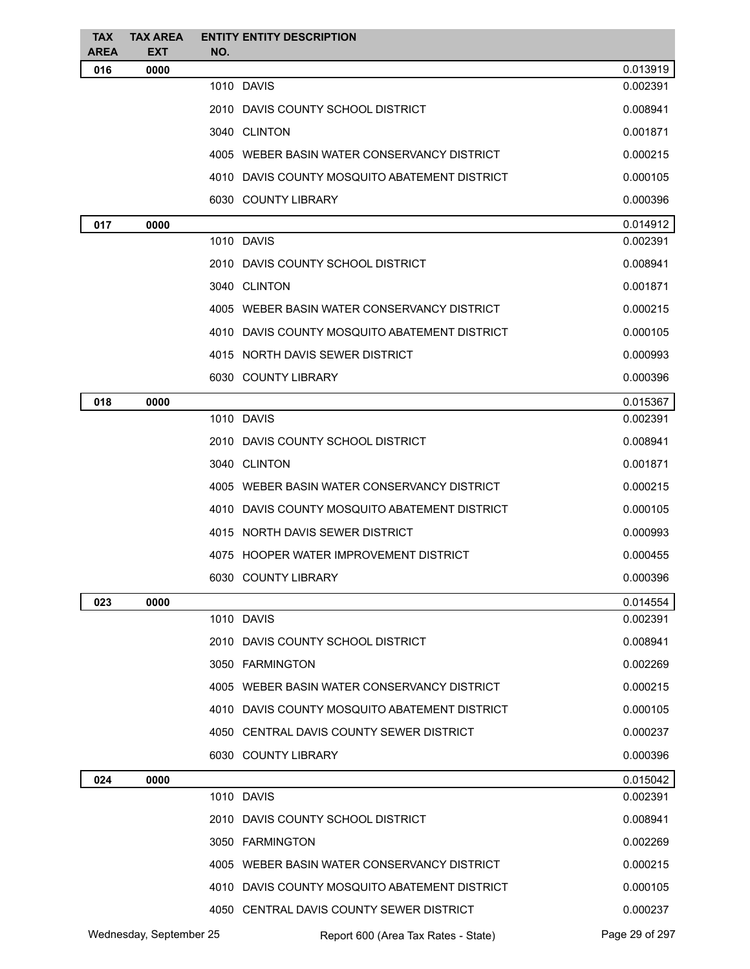| <b>TAX</b><br><b>AREA</b> | <b>TAX AREA</b><br><b>EXT</b> | NO. | <b>ENTITY ENTITY DESCRIPTION</b>              |                |
|---------------------------|-------------------------------|-----|-----------------------------------------------|----------------|
| 016                       | 0000                          |     |                                               | 0.013919       |
|                           |                               |     | 1010 DAVIS                                    | 0.002391       |
|                           |                               |     | 2010 DAVIS COUNTY SCHOOL DISTRICT             | 0.008941       |
|                           |                               |     | 3040 CLINTON                                  | 0.001871       |
|                           |                               |     | 4005 WEBER BASIN WATER CONSERVANCY DISTRICT   | 0.000215       |
|                           |                               |     | 4010 DAVIS COUNTY MOSQUITO ABATEMENT DISTRICT | 0.000105       |
|                           |                               |     | 6030 COUNTY LIBRARY                           | 0.000396       |
| 017                       | 0000                          |     |                                               | 0.014912       |
|                           |                               |     | 1010 DAVIS                                    | 0.002391       |
|                           |                               |     | 2010 DAVIS COUNTY SCHOOL DISTRICT             | 0.008941       |
|                           |                               |     | 3040 CLINTON                                  | 0.001871       |
|                           |                               |     | 4005 WEBER BASIN WATER CONSERVANCY DISTRICT   | 0.000215       |
|                           |                               |     | 4010 DAVIS COUNTY MOSQUITO ABATEMENT DISTRICT | 0.000105       |
|                           |                               |     | 4015 NORTH DAVIS SEWER DISTRICT               | 0.000993       |
|                           |                               |     | 6030 COUNTY LIBRARY                           | 0.000396       |
| 018                       | 0000                          |     |                                               | 0.015367       |
|                           |                               |     | 1010 DAVIS                                    | 0.002391       |
|                           |                               |     | 2010 DAVIS COUNTY SCHOOL DISTRICT             | 0.008941       |
|                           |                               |     | 3040 CLINTON                                  | 0.001871       |
|                           |                               |     | 4005 WEBER BASIN WATER CONSERVANCY DISTRICT   | 0.000215       |
|                           |                               |     | 4010 DAVIS COUNTY MOSQUITO ABATEMENT DISTRICT | 0.000105       |
|                           |                               |     | 4015 NORTH DAVIS SEWER DISTRICT               | 0.000993       |
|                           |                               |     | 4075 HOOPER WATER IMPROVEMENT DISTRICT        | 0.000455       |
|                           |                               |     | 6030 COUNTY LIBRARY                           | 0.000396       |
| 023                       | 0000                          |     |                                               | 0.014554       |
|                           |                               |     | 1010 DAVIS                                    | 0.002391       |
|                           |                               |     | 2010 DAVIS COUNTY SCHOOL DISTRICT             | 0.008941       |
|                           |                               |     | 3050 FARMINGTON                               | 0.002269       |
|                           |                               |     | 4005 WEBER BASIN WATER CONSERVANCY DISTRICT   | 0.000215       |
|                           |                               |     | 4010 DAVIS COUNTY MOSQUITO ABATEMENT DISTRICT | 0.000105       |
|                           |                               |     | 4050 CENTRAL DAVIS COUNTY SEWER DISTRICT      | 0.000237       |
|                           |                               |     | 6030 COUNTY LIBRARY                           | 0.000396       |
| 024                       | 0000                          |     |                                               | 0.015042       |
|                           |                               |     | 1010 DAVIS                                    | 0.002391       |
|                           |                               |     | 2010 DAVIS COUNTY SCHOOL DISTRICT             | 0.008941       |
|                           |                               |     | 3050 FARMINGTON                               | 0.002269       |
|                           |                               |     | 4005 WEBER BASIN WATER CONSERVANCY DISTRICT   | 0.000215       |
|                           |                               |     | 4010 DAVIS COUNTY MOSQUITO ABATEMENT DISTRICT | 0.000105       |
|                           |                               |     | 4050 CENTRAL DAVIS COUNTY SEWER DISTRICT      | 0.000237       |
|                           | Wednesday, September 25       |     | Report 600 (Area Tax Rates - State)           | Page 29 of 297 |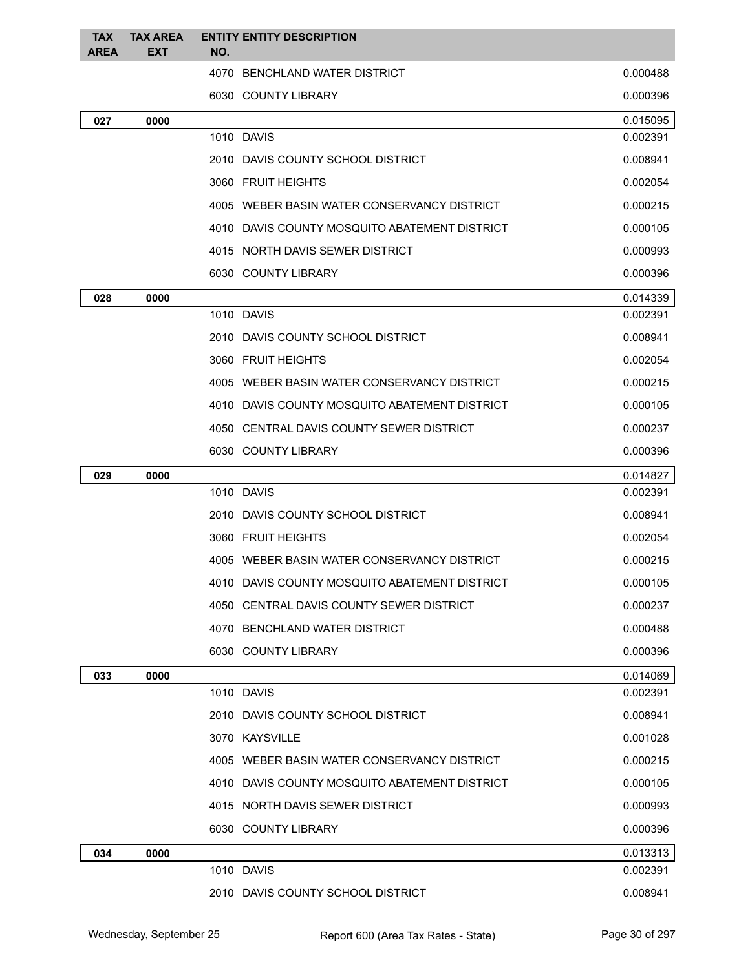| <b>TAX</b><br><b>AREA</b> | <b>TAX AREA</b><br>EXT | <b>ENTITY ENTITY DESCRIPTION</b><br>NO.       |          |
|---------------------------|------------------------|-----------------------------------------------|----------|
|                           |                        | 4070 BENCHLAND WATER DISTRICT                 | 0.000488 |
|                           |                        | 6030 COUNTY LIBRARY                           | 0.000396 |
| 027                       | 0000                   |                                               | 0.015095 |
|                           |                        | 1010 DAVIS                                    | 0.002391 |
|                           |                        | 2010 DAVIS COUNTY SCHOOL DISTRICT             | 0.008941 |
|                           |                        | 3060 FRUIT HEIGHTS                            | 0.002054 |
|                           |                        | 4005 WEBER BASIN WATER CONSERVANCY DISTRICT   | 0.000215 |
|                           |                        | 4010 DAVIS COUNTY MOSQUITO ABATEMENT DISTRICT | 0.000105 |
|                           |                        | 4015 NORTH DAVIS SEWER DISTRICT               | 0.000993 |
|                           |                        | 6030 COUNTY LIBRARY                           | 0.000396 |
| 028                       | 0000                   |                                               | 0.014339 |
|                           |                        | 1010 DAVIS                                    | 0.002391 |
|                           |                        | 2010 DAVIS COUNTY SCHOOL DISTRICT             | 0.008941 |
|                           |                        | 3060 FRUIT HEIGHTS                            | 0.002054 |
|                           |                        | 4005 WEBER BASIN WATER CONSERVANCY DISTRICT   | 0.000215 |
|                           |                        | 4010 DAVIS COUNTY MOSQUITO ABATEMENT DISTRICT | 0.000105 |
|                           |                        | 4050 CENTRAL DAVIS COUNTY SEWER DISTRICT      | 0.000237 |
|                           |                        | 6030 COUNTY LIBRARY                           | 0.000396 |
| 029                       | 0000                   |                                               | 0.014827 |
|                           |                        | 1010 DAVIS                                    | 0.002391 |
|                           |                        | 2010 DAVIS COUNTY SCHOOL DISTRICT             | 0.008941 |
|                           |                        | 3060 FRUIT HEIGHTS                            | 0.002054 |
|                           |                        | 4005 WEBER BASIN WATER CONSERVANCY DISTRICT   | 0.000215 |
|                           |                        | 4010 DAVIS COUNTY MOSQUITO ABATEMENT DISTRICT | 0.000105 |
|                           |                        | 4050 CENTRAL DAVIS COUNTY SEWER DISTRICT      | 0.000237 |
|                           |                        | 4070 BENCHLAND WATER DISTRICT                 | 0.000488 |
|                           |                        | 6030 COUNTY LIBRARY                           | 0.000396 |
| 033                       | 0000                   |                                               | 0.014069 |
|                           |                        | 1010 DAVIS                                    | 0.002391 |
|                           |                        | 2010 DAVIS COUNTY SCHOOL DISTRICT             | 0.008941 |
|                           |                        | 3070 KAYSVILLE                                | 0.001028 |
|                           |                        | 4005 WEBER BASIN WATER CONSERVANCY DISTRICT   | 0.000215 |
|                           |                        | 4010 DAVIS COUNTY MOSQUITO ABATEMENT DISTRICT | 0.000105 |
|                           |                        | 4015 NORTH DAVIS SEWER DISTRICT               | 0.000993 |
|                           |                        | 6030 COUNTY LIBRARY                           | 0.000396 |
| 034                       | 0000                   |                                               | 0.013313 |
|                           |                        | 1010 DAVIS                                    | 0.002391 |
|                           |                        | 2010 DAVIS COUNTY SCHOOL DISTRICT             | 0.008941 |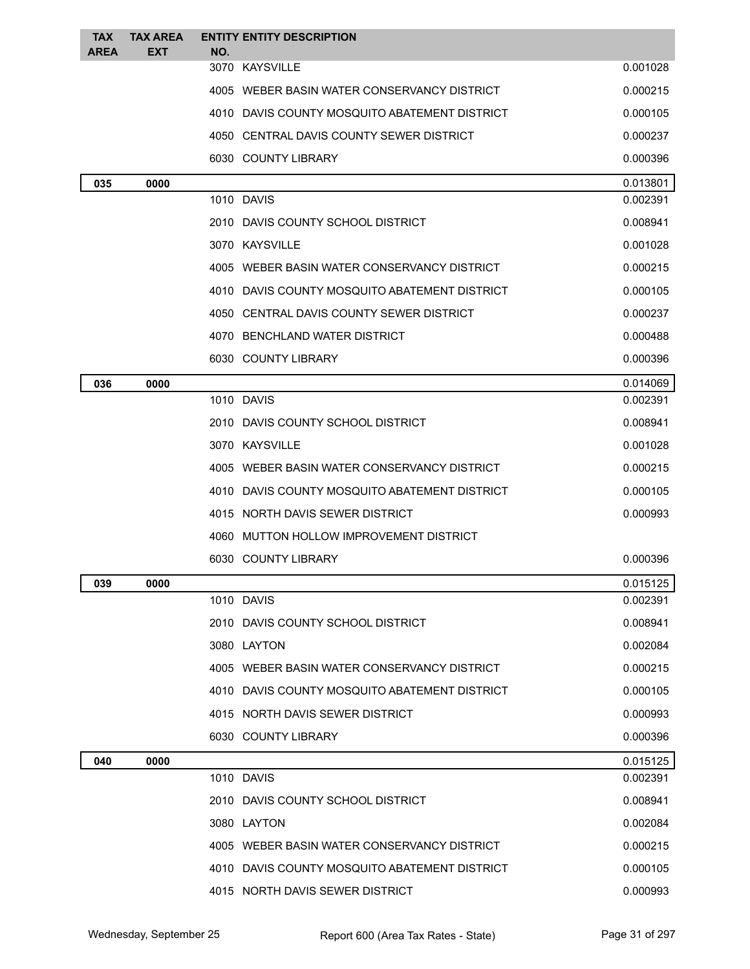| <b>TAX</b>  | <b>TAX AREA</b> |     | <b>ENTITY ENTITY DESCRIPTION</b>              |          |
|-------------|-----------------|-----|-----------------------------------------------|----------|
| <b>AREA</b> | <b>EXT</b>      | NO. | 3070 KAYSVILLE                                | 0.001028 |
|             |                 |     | 4005 WEBER BASIN WATER CONSERVANCY DISTRICT   | 0.000215 |
|             |                 |     | 4010 DAVIS COUNTY MOSQUITO ABATEMENT DISTRICT | 0.000105 |
|             |                 |     | 4050 CENTRAL DAVIS COUNTY SEWER DISTRICT      | 0.000237 |
|             |                 |     | 6030 COUNTY LIBRARY                           | 0.000396 |
| 035         | 0000            |     |                                               | 0.013801 |
|             |                 |     | 1010 DAVIS                                    | 0.002391 |
|             |                 |     | 2010 DAVIS COUNTY SCHOOL DISTRICT             | 0.008941 |
|             |                 |     | 3070 KAYSVILLE                                | 0.001028 |
|             |                 |     | 4005 WEBER BASIN WATER CONSERVANCY DISTRICT   | 0.000215 |
|             |                 |     | 4010 DAVIS COUNTY MOSQUITO ABATEMENT DISTRICT | 0.000105 |
|             |                 |     | 4050 CENTRAL DAVIS COUNTY SEWER DISTRICT      | 0.000237 |
|             |                 |     | 4070 BENCHLAND WATER DISTRICT                 | 0.000488 |
|             |                 |     | 6030 COUNTY LIBRARY                           | 0.000396 |
| 036         | 0000            |     |                                               | 0.014069 |
|             |                 |     | 1010 DAVIS                                    | 0.002391 |
|             |                 |     | 2010 DAVIS COUNTY SCHOOL DISTRICT             | 0.008941 |
|             |                 |     | 3070 KAYSVILLE                                | 0.001028 |
|             |                 |     | 4005 WEBER BASIN WATER CONSERVANCY DISTRICT   | 0.000215 |
|             |                 |     | 4010 DAVIS COUNTY MOSQUITO ABATEMENT DISTRICT | 0.000105 |
|             |                 |     | 4015 NORTH DAVIS SEWER DISTRICT               | 0.000993 |
|             |                 |     | 4060 MUTTON HOLLOW IMPROVEMENT DISTRICT       |          |
|             |                 |     | 6030 COUNTY LIBRARY                           | 0.000396 |
| 039         | 0000            |     |                                               | 0.015125 |
|             |                 |     | 1010 DAVIS                                    | 0.002391 |
|             |                 |     | 2010 DAVIS COUNTY SCHOOL DISTRICT             | 0.008941 |
|             |                 |     | 3080 LAYTON                                   | 0.002084 |
|             |                 |     | 4005 WEBER BASIN WATER CONSERVANCY DISTRICT   | 0.000215 |
|             |                 |     | 4010 DAVIS COUNTY MOSQUITO ABATEMENT DISTRICT | 0.000105 |
|             |                 |     | 4015 NORTH DAVIS SEWER DISTRICT               | 0.000993 |
|             |                 |     | 6030 COUNTY LIBRARY                           | 0.000396 |
| 040         | 0000            |     |                                               | 0.015125 |
|             |                 |     | 1010 DAVIS                                    | 0.002391 |
|             |                 |     | 2010 DAVIS COUNTY SCHOOL DISTRICT             | 0.008941 |
|             |                 |     | 3080 LAYTON                                   | 0.002084 |
|             |                 |     | 4005 WEBER BASIN WATER CONSERVANCY DISTRICT   | 0.000215 |
|             |                 |     | 4010 DAVIS COUNTY MOSQUITO ABATEMENT DISTRICT | 0.000105 |
|             |                 |     | 4015 NORTH DAVIS SEWER DISTRICT               | 0.000993 |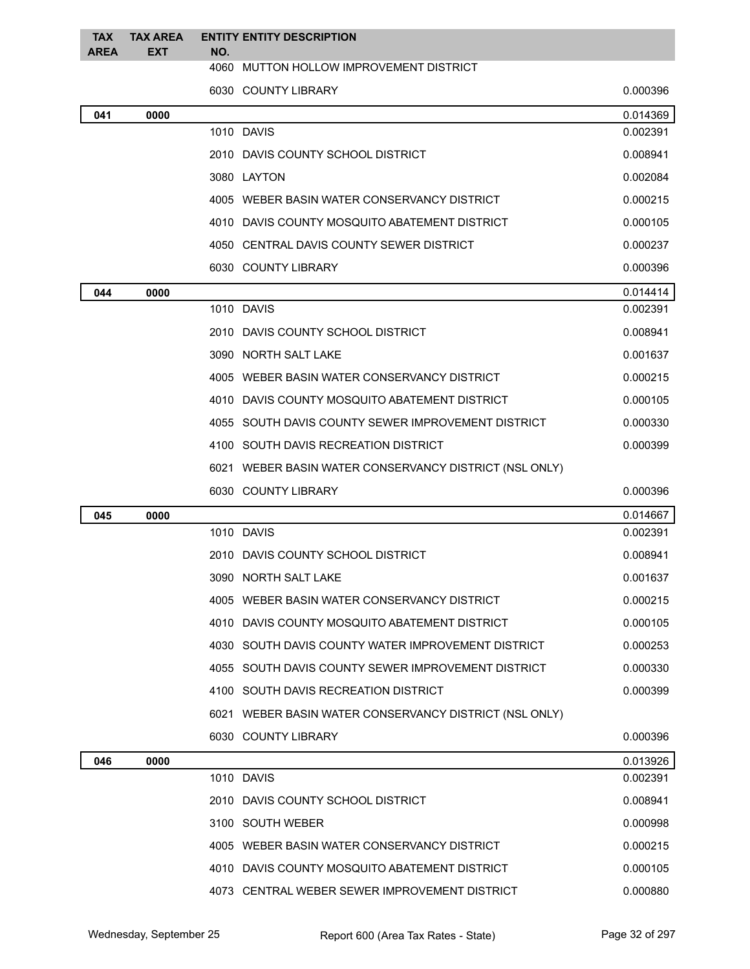| <b>TAX</b><br><b>AREA</b> | <b>TAX AREA</b><br><b>EXT</b> | NO. | <b>ENTITY ENTITY DESCRIPTION</b>                       |          |
|---------------------------|-------------------------------|-----|--------------------------------------------------------|----------|
|                           |                               |     | 4060 MUTTON HOLLOW IMPROVEMENT DISTRICT                |          |
|                           |                               |     | 6030 COUNTY LIBRARY                                    | 0.000396 |
| 041                       | 0000                          |     |                                                        | 0.014369 |
|                           |                               |     | 1010 DAVIS                                             | 0.002391 |
|                           |                               |     | 2010 DAVIS COUNTY SCHOOL DISTRICT                      | 0.008941 |
|                           |                               |     | 3080 LAYTON                                            | 0.002084 |
|                           |                               |     | 4005 WEBER BASIN WATER CONSERVANCY DISTRICT            | 0.000215 |
|                           |                               |     | 4010 DAVIS COUNTY MOSQUITO ABATEMENT DISTRICT          | 0.000105 |
|                           |                               |     | 4050 CENTRAL DAVIS COUNTY SEWER DISTRICT               | 0.000237 |
|                           |                               |     | 6030 COUNTY LIBRARY                                    | 0.000396 |
| 044                       | 0000                          |     |                                                        | 0.014414 |
|                           |                               |     | 1010 DAVIS                                             | 0.002391 |
|                           |                               |     | 2010 DAVIS COUNTY SCHOOL DISTRICT                      | 0.008941 |
|                           |                               |     | 3090 NORTH SALT LAKE                                   | 0.001637 |
|                           |                               |     | 4005 WEBER BASIN WATER CONSERVANCY DISTRICT            | 0.000215 |
|                           |                               |     | 4010 DAVIS COUNTY MOSQUITO ABATEMENT DISTRICT          | 0.000105 |
|                           |                               |     | 4055 SOUTH DAVIS COUNTY SEWER IMPROVEMENT DISTRICT     | 0.000330 |
|                           |                               |     | 4100 SOUTH DAVIS RECREATION DISTRICT                   | 0.000399 |
|                           |                               |     | 6021 WEBER BASIN WATER CONSERVANCY DISTRICT (NSL ONLY) |          |
|                           |                               |     | 6030 COUNTY LIBRARY                                    | 0.000396 |
| 045                       | 0000                          |     |                                                        | 0.014667 |
|                           |                               |     | 1010 DAVIS                                             | 0.002391 |
|                           |                               |     | 2010 DAVIS COUNTY SCHOOL DISTRICT                      | 0.008941 |
|                           |                               |     | 3090 NORTH SALT LAKE                                   | 0.001637 |
|                           |                               |     | 4005 WEBER BASIN WATER CONSERVANCY DISTRICT            | 0.000215 |
|                           |                               |     | 4010 DAVIS COUNTY MOSQUITO ABATEMENT DISTRICT          | 0.000105 |
|                           |                               |     | 4030 SOUTH DAVIS COUNTY WATER IMPROVEMENT DISTRICT     | 0.000253 |
|                           |                               |     | 4055 SOUTH DAVIS COUNTY SEWER IMPROVEMENT DISTRICT     | 0.000330 |
|                           |                               |     | 4100 SOUTH DAVIS RECREATION DISTRICT                   | 0.000399 |
|                           |                               |     | 6021 WEBER BASIN WATER CONSERVANCY DISTRICT (NSL ONLY) |          |
|                           |                               |     | 6030 COUNTY LIBRARY                                    | 0.000396 |
| 046                       | 0000                          |     |                                                        | 0.013926 |
|                           |                               |     | 1010 DAVIS                                             | 0.002391 |
|                           |                               |     | 2010 DAVIS COUNTY SCHOOL DISTRICT                      | 0.008941 |
|                           |                               |     | 3100 SOUTH WEBER                                       | 0.000998 |
|                           |                               |     | 4005 WEBER BASIN WATER CONSERVANCY DISTRICT            | 0.000215 |
|                           |                               |     | 4010 DAVIS COUNTY MOSQUITO ABATEMENT DISTRICT          | 0.000105 |
|                           |                               |     | 4073 CENTRAL WEBER SEWER IMPROVEMENT DISTRICT          | 0.000880 |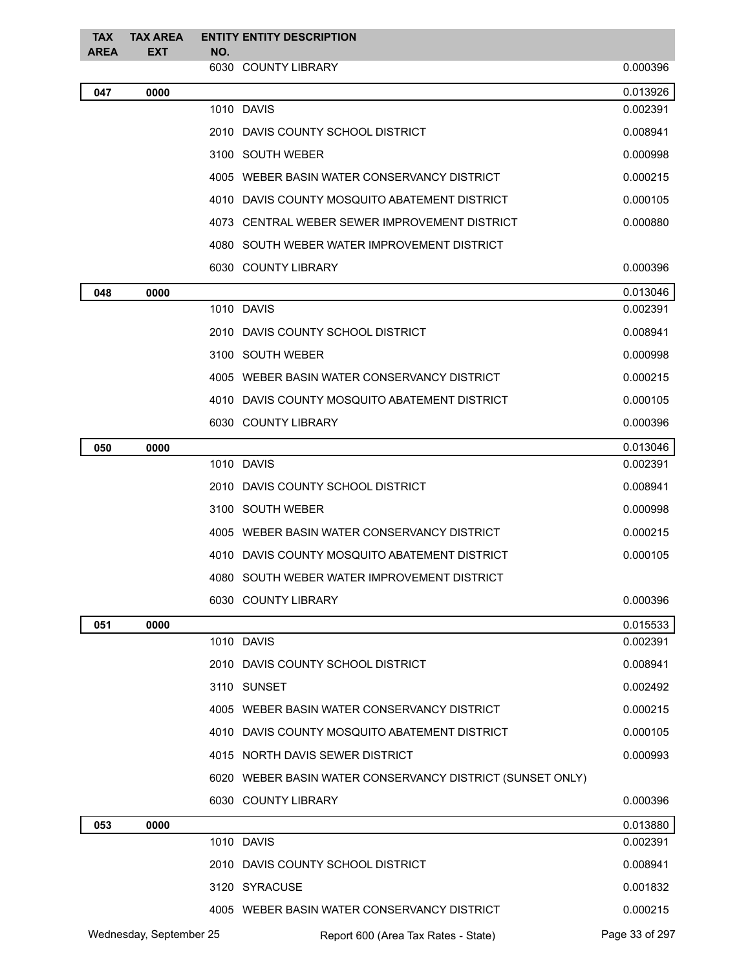| <b>TAX</b>              | <b>TAX AREA</b> | <b>ENTITY ENTITY DESCRIPTION</b> |                                                           |                |
|-------------------------|-----------------|----------------------------------|-----------------------------------------------------------|----------------|
| <b>AREA</b>             | <b>EXT</b>      | NO.                              | 6030 COUNTY LIBRARY                                       | 0.000396       |
| 047                     | 0000            |                                  |                                                           | 0.013926       |
|                         |                 |                                  | 1010 DAVIS                                                | 0.002391       |
|                         |                 |                                  | 2010 DAVIS COUNTY SCHOOL DISTRICT                         | 0.008941       |
|                         |                 |                                  | 3100 SOUTH WEBER                                          | 0.000998       |
|                         |                 |                                  | 4005 WEBER BASIN WATER CONSERVANCY DISTRICT               | 0.000215       |
|                         |                 |                                  | 4010 DAVIS COUNTY MOSQUITO ABATEMENT DISTRICT             | 0.000105       |
|                         |                 |                                  | 4073 CENTRAL WEBER SEWER IMPROVEMENT DISTRICT             | 0.000880       |
|                         |                 |                                  | 4080 SOUTH WEBER WATER IMPROVEMENT DISTRICT               |                |
|                         |                 |                                  | 6030 COUNTY LIBRARY                                       | 0.000396       |
| 048                     | 0000            |                                  |                                                           | 0.013046       |
|                         |                 |                                  | 1010 DAVIS                                                | 0.002391       |
|                         |                 |                                  | 2010 DAVIS COUNTY SCHOOL DISTRICT                         | 0.008941       |
|                         |                 |                                  | 3100 SOUTH WEBER                                          | 0.000998       |
|                         |                 |                                  | 4005 WEBER BASIN WATER CONSERVANCY DISTRICT               | 0.000215       |
|                         |                 |                                  | 4010 DAVIS COUNTY MOSQUITO ABATEMENT DISTRICT             | 0.000105       |
|                         |                 |                                  | 6030 COUNTY LIBRARY                                       | 0.000396       |
| 050                     | 0000            |                                  |                                                           | 0.013046       |
|                         |                 |                                  | 1010 DAVIS                                                | 0.002391       |
|                         |                 |                                  | 2010 DAVIS COUNTY SCHOOL DISTRICT                         | 0.008941       |
|                         |                 |                                  | 3100 SOUTH WEBER                                          | 0.000998       |
|                         |                 |                                  | 4005 WEBER BASIN WATER CONSERVANCY DISTRICT               | 0.000215       |
|                         |                 |                                  | 4010 DAVIS COUNTY MOSQUITO ABATEMENT DISTRICT             | 0.000105       |
|                         |                 |                                  | 4080 SOUTH WEBER WATER IMPROVEMENT DISTRICT               |                |
|                         |                 |                                  | 6030 COUNTY LIBRARY                                       | 0.000396       |
| 051                     | 0000            |                                  |                                                           | 0.015533       |
|                         |                 |                                  | 1010 DAVIS                                                | 0.002391       |
|                         |                 |                                  | 2010 DAVIS COUNTY SCHOOL DISTRICT                         | 0.008941       |
|                         |                 |                                  | 3110 SUNSET                                               | 0.002492       |
|                         |                 |                                  | 4005 WEBER BASIN WATER CONSERVANCY DISTRICT               | 0.000215       |
|                         |                 |                                  | 4010 DAVIS COUNTY MOSQUITO ABATEMENT DISTRICT             | 0.000105       |
|                         |                 |                                  | 4015 NORTH DAVIS SEWER DISTRICT                           | 0.000993       |
|                         |                 |                                  | 6020 WEBER BASIN WATER CONSERVANCY DISTRICT (SUNSET ONLY) |                |
|                         |                 |                                  | 6030 COUNTY LIBRARY                                       | 0.000396       |
| 053                     | 0000            |                                  |                                                           | 0.013880       |
|                         |                 |                                  | 1010 DAVIS                                                | 0.002391       |
|                         |                 |                                  | 2010 DAVIS COUNTY SCHOOL DISTRICT                         | 0.008941       |
|                         |                 |                                  | 3120 SYRACUSE                                             | 0.001832       |
|                         |                 |                                  | 4005 WEBER BASIN WATER CONSERVANCY DISTRICT               | 0.000215       |
| Wednesday, September 25 |                 |                                  | Report 600 (Area Tax Rates - State)                       | Page 33 of 297 |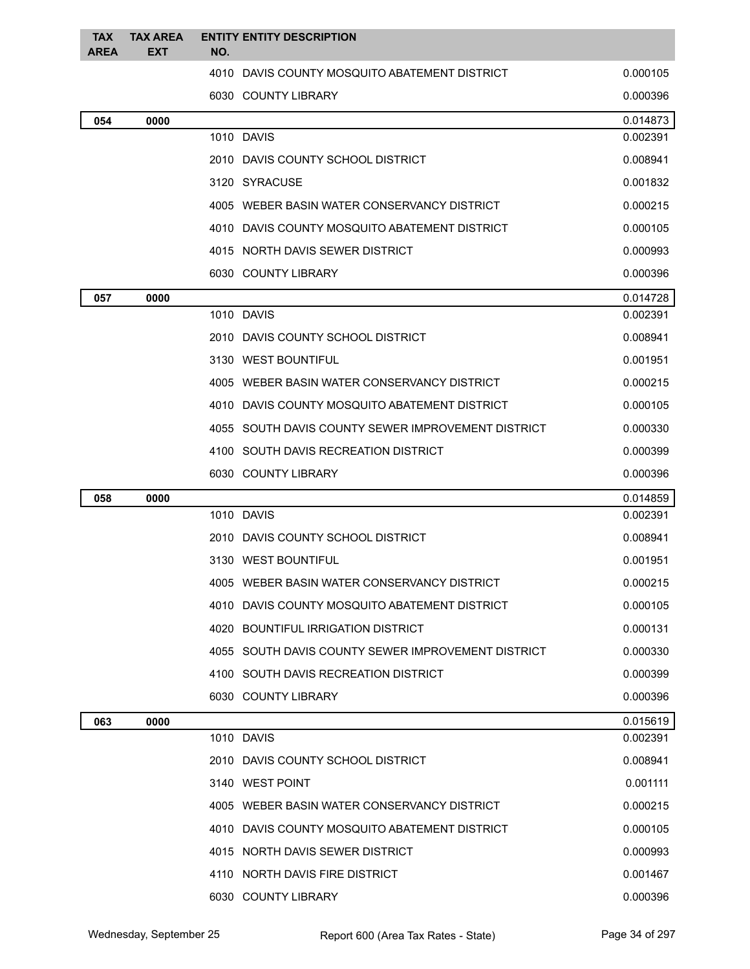| <b>TAX</b><br><b>AREA</b> | <b>TAX AREA</b><br>EXT | <b>ENTITY ENTITY DESCRIPTION</b><br>NO. |                                                    |          |
|---------------------------|------------------------|-----------------------------------------|----------------------------------------------------|----------|
|                           |                        |                                         | 4010 DAVIS COUNTY MOSQUITO ABATEMENT DISTRICT      | 0.000105 |
|                           |                        | 6030 COUNTY LIBRARY                     |                                                    | 0.000396 |
| 054                       | 0000                   |                                         |                                                    | 0.014873 |
|                           |                        | 1010 DAVIS                              |                                                    | 0.002391 |
|                           |                        |                                         | 2010 DAVIS COUNTY SCHOOL DISTRICT                  | 0.008941 |
|                           |                        | 3120 SYRACUSE                           |                                                    | 0.001832 |
|                           |                        |                                         | 4005 WEBER BASIN WATER CONSERVANCY DISTRICT        | 0.000215 |
|                           |                        |                                         | 4010 DAVIS COUNTY MOSQUITO ABATEMENT DISTRICT      | 0.000105 |
|                           |                        |                                         | 4015 NORTH DAVIS SEWER DISTRICT                    | 0.000993 |
|                           |                        | 6030 COUNTY LIBRARY                     |                                                    | 0.000396 |
| 057                       | 0000                   |                                         |                                                    | 0.014728 |
|                           |                        | 1010 DAVIS                              |                                                    | 0.002391 |
|                           |                        |                                         | 2010 DAVIS COUNTY SCHOOL DISTRICT                  | 0.008941 |
|                           |                        | 3130 WEST BOUNTIFUL                     |                                                    | 0.001951 |
|                           |                        |                                         | 4005 WEBER BASIN WATER CONSERVANCY DISTRICT        | 0.000215 |
|                           |                        |                                         | 4010 DAVIS COUNTY MOSQUITO ABATEMENT DISTRICT      | 0.000105 |
|                           |                        |                                         | 4055 SOUTH DAVIS COUNTY SEWER IMPROVEMENT DISTRICT | 0.000330 |
|                           |                        |                                         | 4100 SOUTH DAVIS RECREATION DISTRICT               | 0.000399 |
|                           |                        | 6030 COUNTY LIBRARY                     |                                                    | 0.000396 |
| 058                       | 0000                   |                                         |                                                    | 0.014859 |
|                           |                        | 1010 DAVIS                              |                                                    | 0.002391 |
|                           |                        |                                         | 2010 DAVIS COUNTY SCHOOL DISTRICT                  | 0.008941 |
|                           |                        | 3130 WEST BOUNTIFUL                     |                                                    | 0.001951 |
|                           |                        |                                         | 4005 WEBER BASIN WATER CONSERVANCY DISTRICT        | 0.000215 |
|                           |                        |                                         | 4010 DAVIS COUNTY MOSQUITO ABATEMENT DISTRICT      | 0.000105 |
|                           |                        |                                         | 4020 BOUNTIFUL IRRIGATION DISTRICT                 | 0.000131 |
|                           |                        |                                         | 4055 SOUTH DAVIS COUNTY SEWER IMPROVEMENT DISTRICT | 0.000330 |
|                           |                        |                                         | 4100 SOUTH DAVIS RECREATION DISTRICT               | 0.000399 |
|                           |                        | 6030 COUNTY LIBRARY                     |                                                    | 0.000396 |
| 063                       | 0000                   |                                         |                                                    | 0.015619 |
|                           |                        | 1010 DAVIS                              |                                                    | 0.002391 |
|                           |                        |                                         | 2010 DAVIS COUNTY SCHOOL DISTRICT                  | 0.008941 |
|                           |                        | 3140 WEST POINT                         |                                                    | 0.001111 |
|                           |                        |                                         | 4005 WEBER BASIN WATER CONSERVANCY DISTRICT        | 0.000215 |
|                           |                        |                                         | 4010 DAVIS COUNTY MOSQUITO ABATEMENT DISTRICT      | 0.000105 |
|                           |                        |                                         | 4015 NORTH DAVIS SEWER DISTRICT                    | 0.000993 |
|                           |                        |                                         | 4110 NORTH DAVIS FIRE DISTRICT                     | 0.001467 |
|                           |                        | 6030 COUNTY LIBRARY                     |                                                    | 0.000396 |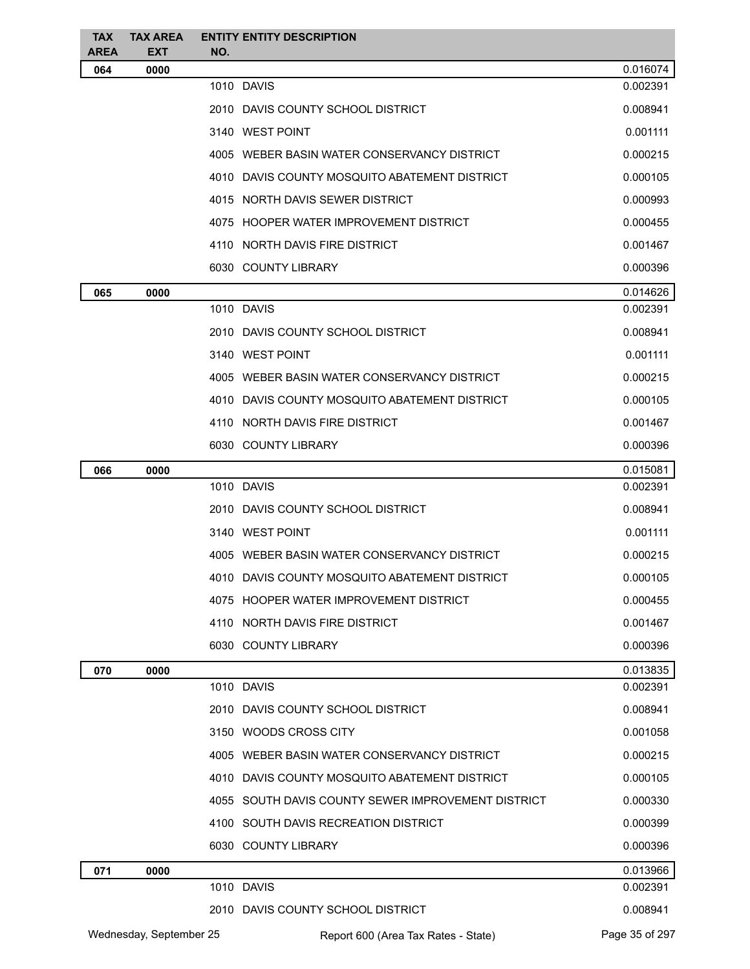| <b>TAX</b><br><b>AREA</b> | <b>TAX AREA</b><br><b>EXT</b> | NO. | <b>ENTITY ENTITY DESCRIPTION</b>                   |                |
|---------------------------|-------------------------------|-----|----------------------------------------------------|----------------|
| 064                       | 0000                          |     |                                                    | 0.016074       |
|                           |                               |     | 1010 DAVIS                                         | 0.002391       |
|                           |                               |     | 2010 DAVIS COUNTY SCHOOL DISTRICT                  | 0.008941       |
|                           |                               |     | 3140 WEST POINT                                    | 0.001111       |
|                           |                               |     | 4005 WEBER BASIN WATER CONSERVANCY DISTRICT        | 0.000215       |
|                           |                               |     | 4010 DAVIS COUNTY MOSQUITO ABATEMENT DISTRICT      | 0.000105       |
|                           |                               |     | 4015 NORTH DAVIS SEWER DISTRICT                    | 0.000993       |
|                           |                               |     | 4075 HOOPER WATER IMPROVEMENT DISTRICT             | 0.000455       |
|                           |                               |     | 4110 NORTH DAVIS FIRE DISTRICT                     | 0.001467       |
|                           |                               |     | 6030 COUNTY LIBRARY                                | 0.000396       |
| 065                       | 0000                          |     |                                                    | 0.014626       |
|                           |                               |     | 1010 DAVIS                                         | 0.002391       |
|                           |                               |     | 2010 DAVIS COUNTY SCHOOL DISTRICT                  | 0.008941       |
|                           |                               |     | 3140 WEST POINT                                    | 0.001111       |
|                           |                               |     | 4005 WEBER BASIN WATER CONSERVANCY DISTRICT        | 0.000215       |
|                           |                               |     | 4010 DAVIS COUNTY MOSQUITO ABATEMENT DISTRICT      | 0.000105       |
|                           |                               |     | 4110 NORTH DAVIS FIRE DISTRICT                     | 0.001467       |
|                           |                               |     | 6030 COUNTY LIBRARY                                | 0.000396       |
| 066                       | 0000                          |     |                                                    | 0.015081       |
|                           |                               |     | 1010 DAVIS                                         | 0.002391       |
|                           |                               |     | 2010 DAVIS COUNTY SCHOOL DISTRICT                  | 0.008941       |
|                           |                               |     | 3140 WEST POINT                                    | 0.001111       |
|                           |                               |     | 4005 WEBER BASIN WATER CONSERVANCY DISTRICT        | 0.000215       |
|                           |                               |     | 4010 DAVIS COUNTY MOSQUITO ABATEMENT DISTRICT      | 0.000105       |
|                           |                               |     | 4075 HOOPER WATER IMPROVEMENT DISTRICT             | 0.000455       |
|                           |                               |     | 4110 NORTH DAVIS FIRE DISTRICT                     | 0.001467       |
|                           |                               |     | 6030 COUNTY LIBRARY                                | 0.000396       |
| 070                       | 0000                          |     |                                                    | 0.013835       |
|                           |                               |     | 1010 DAVIS                                         | 0.002391       |
|                           |                               |     | 2010 DAVIS COUNTY SCHOOL DISTRICT                  | 0.008941       |
|                           |                               |     | 3150 WOODS CROSS CITY                              | 0.001058       |
|                           |                               |     | 4005 WEBER BASIN WATER CONSERVANCY DISTRICT        | 0.000215       |
|                           |                               |     | 4010 DAVIS COUNTY MOSQUITO ABATEMENT DISTRICT      | 0.000105       |
|                           |                               |     | 4055 SOUTH DAVIS COUNTY SEWER IMPROVEMENT DISTRICT | 0.000330       |
|                           |                               |     | 4100 SOUTH DAVIS RECREATION DISTRICT               | 0.000399       |
|                           |                               |     | 6030 COUNTY LIBRARY                                | 0.000396       |
| 071                       | 0000                          |     |                                                    | 0.013966       |
|                           |                               |     | 1010 DAVIS                                         | 0.002391       |
|                           |                               |     | 2010 DAVIS COUNTY SCHOOL DISTRICT                  | 0.008941       |
|                           | Wednesday, September 25       |     | Report 600 (Area Tax Rates - State)                | Page 35 of 297 |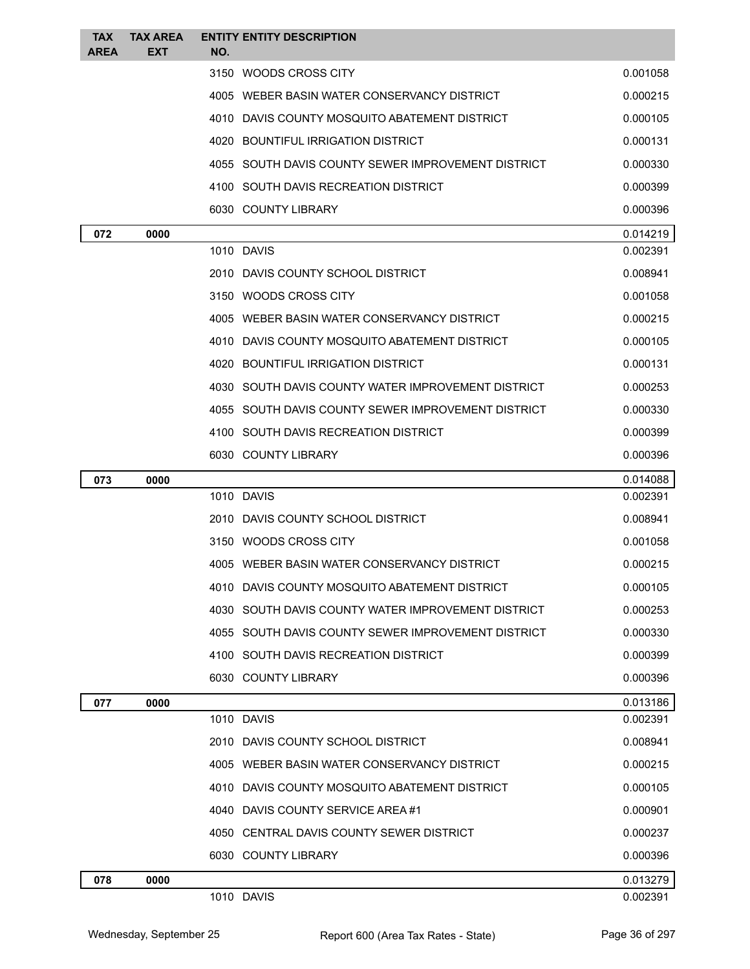| <b>TAX</b><br><b>AREA</b> | <b>TAX AREA</b><br><b>EXT</b> | <b>ENTITY ENTITY DESCRIPTION</b><br>NO.            |                      |
|---------------------------|-------------------------------|----------------------------------------------------|----------------------|
|                           |                               | 3150 WOODS CROSS CITY                              | 0.001058             |
|                           |                               | 4005 WEBER BASIN WATER CONSERVANCY DISTRICT        | 0.000215             |
|                           |                               | 4010 DAVIS COUNTY MOSQUITO ABATEMENT DISTRICT      | 0.000105             |
|                           |                               | 4020 BOUNTIFUL IRRIGATION DISTRICT                 | 0.000131             |
|                           |                               | 4055 SOUTH DAVIS COUNTY SEWER IMPROVEMENT DISTRICT | 0.000330             |
|                           |                               | 4100 SOUTH DAVIS RECREATION DISTRICT               | 0.000399             |
|                           |                               | 6030 COUNTY LIBRARY                                | 0.000396             |
|                           |                               |                                                    |                      |
| 072                       | 0000                          | 1010 DAVIS                                         | 0.014219<br>0.002391 |
|                           |                               | 2010 DAVIS COUNTY SCHOOL DISTRICT                  | 0.008941             |
|                           |                               | 3150 WOODS CROSS CITY                              | 0.001058             |
|                           |                               | 4005 WEBER BASIN WATER CONSERVANCY DISTRICT        | 0.000215             |
|                           |                               | 4010 DAVIS COUNTY MOSQUITO ABATEMENT DISTRICT      | 0.000105             |
|                           |                               | 4020 BOUNTIFUL IRRIGATION DISTRICT                 | 0.000131             |
|                           |                               | 4030 SOUTH DAVIS COUNTY WATER IMPROVEMENT DISTRICT | 0.000253             |
|                           |                               | 4055 SOUTH DAVIS COUNTY SEWER IMPROVEMENT DISTRICT | 0.000330             |
|                           |                               | 4100 SOUTH DAVIS RECREATION DISTRICT               | 0.000399             |
|                           |                               | 6030 COUNTY LIBRARY                                | 0.000396             |
| 073                       | 0000                          |                                                    | 0.014088             |
|                           |                               | 1010 DAVIS                                         | 0.002391             |
|                           |                               | 2010 DAVIS COUNTY SCHOOL DISTRICT                  | 0.008941             |
|                           |                               | 3150 WOODS CROSS CITY                              | 0.001058             |
|                           |                               | 4005 WEBER BASIN WATER CONSERVANCY DISTRICT        | 0.000215             |
|                           |                               | 4010 DAVIS COUNTY MOSQUITO ABATEMENT DISTRICT      | 0.000105             |
|                           |                               | 4030 SOUTH DAVIS COUNTY WATER IMPROVEMENT DISTRICT | 0.000253             |
|                           |                               | 4055 SOUTH DAVIS COUNTY SEWER IMPROVEMENT DISTRICT | 0.000330             |
|                           |                               | 4100 SOUTH DAVIS RECREATION DISTRICT               | 0.000399             |
|                           |                               | 6030 COUNTY LIBRARY                                | 0.000396             |
| 077                       | 0000                          |                                                    | 0.013186             |
|                           |                               | 1010 DAVIS                                         | 0.002391             |
|                           |                               | 2010 DAVIS COUNTY SCHOOL DISTRICT                  | 0.008941             |
|                           |                               | 4005 WEBER BASIN WATER CONSERVANCY DISTRICT        | 0.000215             |
|                           |                               | 4010 DAVIS COUNTY MOSQUITO ABATEMENT DISTRICT      | 0.000105             |
|                           |                               | 4040 DAVIS COUNTY SERVICE AREA #1                  | 0.000901             |
|                           |                               | 4050 CENTRAL DAVIS COUNTY SEWER DISTRICT           | 0.000237             |
|                           |                               | 6030 COUNTY LIBRARY                                | 0.000396             |
| 078                       | 0000                          |                                                    | 0.013279             |
|                           |                               | 1010 DAVIS                                         | 0.002391             |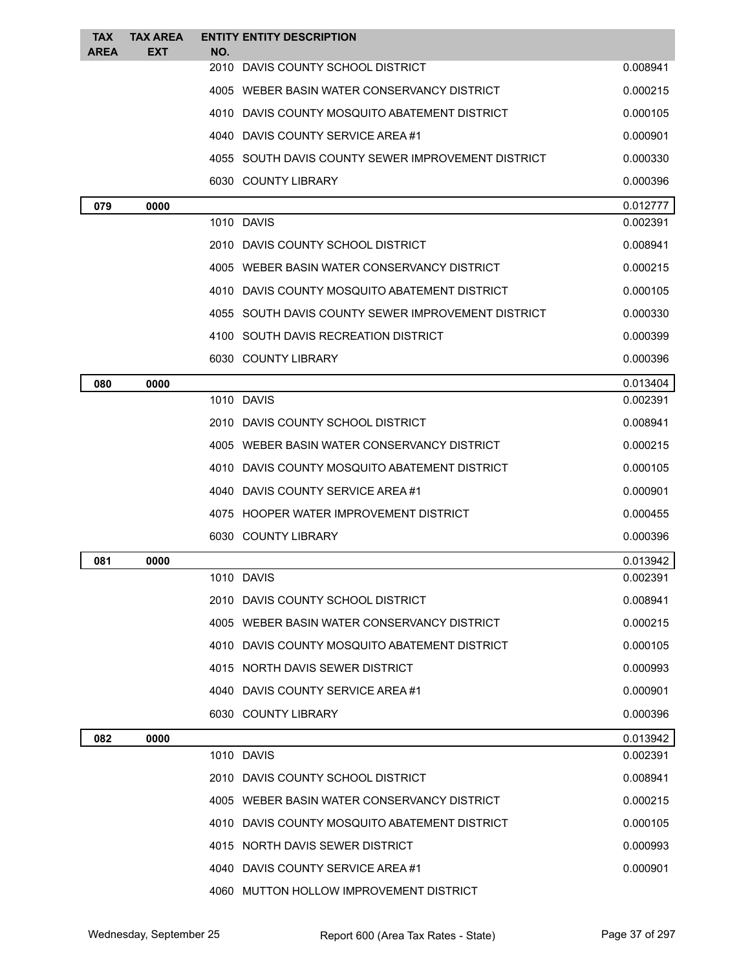| <b>TAX</b><br><b>AREA</b> | <b>TAX AREA</b><br><b>EXT</b> | <b>ENTITY ENTITY DESCRIPTION</b><br>NO.            |          |
|---------------------------|-------------------------------|----------------------------------------------------|----------|
|                           |                               | 2010 DAVIS COUNTY SCHOOL DISTRICT                  | 0.008941 |
|                           |                               | 4005 WEBER BASIN WATER CONSERVANCY DISTRICT        | 0.000215 |
|                           |                               | 4010 DAVIS COUNTY MOSQUITO ABATEMENT DISTRICT      | 0.000105 |
|                           |                               | 4040 DAVIS COUNTY SERVICE AREA #1                  | 0.000901 |
|                           |                               | 4055 SOUTH DAVIS COUNTY SEWER IMPROVEMENT DISTRICT | 0.000330 |
|                           |                               | 6030 COUNTY LIBRARY                                | 0.000396 |
| 079                       | 0000                          |                                                    | 0.012777 |
|                           |                               | 1010 DAVIS                                         | 0.002391 |
|                           |                               | 2010 DAVIS COUNTY SCHOOL DISTRICT                  | 0.008941 |
|                           |                               | 4005 WEBER BASIN WATER CONSERVANCY DISTRICT        | 0.000215 |
|                           |                               | 4010 DAVIS COUNTY MOSQUITO ABATEMENT DISTRICT      | 0.000105 |
|                           |                               | 4055 SOUTH DAVIS COUNTY SEWER IMPROVEMENT DISTRICT | 0.000330 |
|                           |                               | 4100 SOUTH DAVIS RECREATION DISTRICT               | 0.000399 |
|                           |                               | 6030 COUNTY LIBRARY                                | 0.000396 |
| 080                       | 0000                          |                                                    | 0.013404 |
|                           |                               | 1010 DAVIS                                         | 0.002391 |
|                           |                               | 2010 DAVIS COUNTY SCHOOL DISTRICT                  | 0.008941 |
|                           |                               | 4005 WEBER BASIN WATER CONSERVANCY DISTRICT        | 0.000215 |
|                           |                               | 4010 DAVIS COUNTY MOSQUITO ABATEMENT DISTRICT      | 0.000105 |
|                           |                               | 4040 DAVIS COUNTY SERVICE AREA #1                  | 0.000901 |
|                           |                               | 4075 HOOPER WATER IMPROVEMENT DISTRICT             | 0.000455 |
|                           |                               | 6030 COUNTY LIBRARY                                | 0.000396 |
| 081                       | 0000                          |                                                    | 0.013942 |
|                           |                               | 1010 DAVIS                                         | 0.002391 |
|                           |                               | 2010 DAVIS COUNTY SCHOOL DISTRICT                  | 0.008941 |
|                           |                               | 4005 WEBER BASIN WATER CONSERVANCY DISTRICT        | 0.000215 |
|                           |                               | 4010 DAVIS COUNTY MOSQUITO ABATEMENT DISTRICT      | 0.000105 |
|                           |                               | 4015 NORTH DAVIS SEWER DISTRICT                    | 0.000993 |
|                           |                               | 4040 DAVIS COUNTY SERVICE AREA #1                  | 0.000901 |
|                           |                               | 6030 COUNTY LIBRARY                                | 0.000396 |
| 082                       | 0000                          |                                                    | 0.013942 |
|                           |                               | 1010 DAVIS                                         | 0.002391 |
|                           |                               | 2010 DAVIS COUNTY SCHOOL DISTRICT                  | 0.008941 |
|                           |                               | 4005 WEBER BASIN WATER CONSERVANCY DISTRICT        | 0.000215 |
|                           |                               | 4010 DAVIS COUNTY MOSQUITO ABATEMENT DISTRICT      | 0.000105 |
|                           |                               | 4015 NORTH DAVIS SEWER DISTRICT                    | 0.000993 |
|                           |                               | 4040 DAVIS COUNTY SERVICE AREA#1                   | 0.000901 |
|                           |                               | 4060 MUTTON HOLLOW IMPROVEMENT DISTRICT            |          |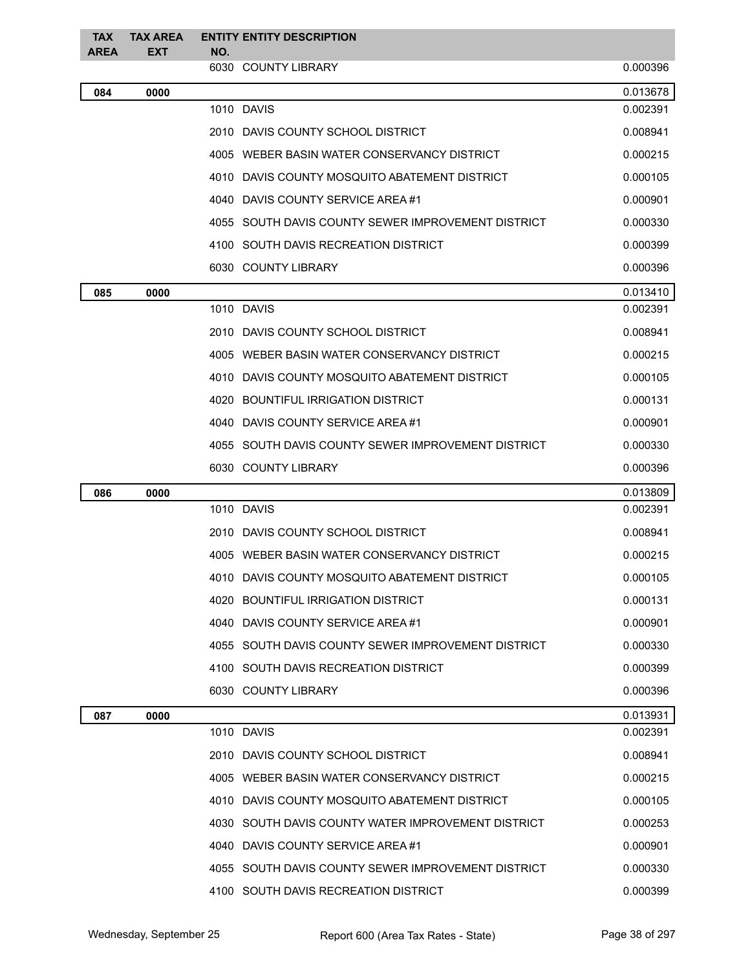| <b>TAX</b><br><b>AREA</b> | <b>TAX AREA</b><br><b>EXT</b> | NO. | <b>ENTITY ENTITY DESCRIPTION</b>                   |          |
|---------------------------|-------------------------------|-----|----------------------------------------------------|----------|
|                           |                               |     | 6030 COUNTY LIBRARY                                | 0.000396 |
| 084                       | 0000                          |     |                                                    | 0.013678 |
|                           |                               |     | 1010 DAVIS                                         | 0.002391 |
|                           |                               |     | 2010 DAVIS COUNTY SCHOOL DISTRICT                  | 0.008941 |
|                           |                               |     | 4005 WEBER BASIN WATER CONSERVANCY DISTRICT        | 0.000215 |
|                           |                               |     | 4010 DAVIS COUNTY MOSQUITO ABATEMENT DISTRICT      | 0.000105 |
|                           |                               |     | 4040 DAVIS COUNTY SERVICE AREA #1                  | 0.000901 |
|                           |                               |     | 4055 SOUTH DAVIS COUNTY SEWER IMPROVEMENT DISTRICT | 0.000330 |
|                           |                               |     | 4100 SOUTH DAVIS RECREATION DISTRICT               | 0.000399 |
|                           |                               |     | 6030 COUNTY LIBRARY                                | 0.000396 |
| 085                       | 0000                          |     |                                                    | 0.013410 |
|                           |                               |     | 1010 DAVIS                                         | 0.002391 |
|                           |                               |     | 2010 DAVIS COUNTY SCHOOL DISTRICT                  | 0.008941 |
|                           |                               |     | 4005 WEBER BASIN WATER CONSERVANCY DISTRICT        | 0.000215 |
|                           |                               |     | 4010 DAVIS COUNTY MOSQUITO ABATEMENT DISTRICT      | 0.000105 |
|                           |                               |     | 4020 BOUNTIFUL IRRIGATION DISTRICT                 | 0.000131 |
|                           |                               |     | 4040 DAVIS COUNTY SERVICE AREA #1                  | 0.000901 |
|                           |                               |     | 4055 SOUTH DAVIS COUNTY SEWER IMPROVEMENT DISTRICT | 0.000330 |
|                           |                               |     | 6030 COUNTY LIBRARY                                | 0.000396 |
| 086                       | 0000                          |     |                                                    | 0.013809 |
|                           |                               |     | 1010 DAVIS                                         | 0.002391 |
|                           |                               |     | 2010 DAVIS COUNTY SCHOOL DISTRICT                  | 0.008941 |
|                           |                               |     | 4005 WEBER BASIN WATER CONSERVANCY DISTRICT        | 0.000215 |
|                           |                               |     | 4010 DAVIS COUNTY MOSQUITO ABATEMENT DISTRICT      | 0.000105 |
|                           |                               |     | 4020 BOUNTIFUL IRRIGATION DISTRICT                 | 0.000131 |
|                           |                               |     | 4040 DAVIS COUNTY SERVICE AREA #1                  | 0.000901 |
|                           |                               |     | 4055 SOUTH DAVIS COUNTY SEWER IMPROVEMENT DISTRICT | 0.000330 |
|                           |                               |     | 4100 SOUTH DAVIS RECREATION DISTRICT               | 0.000399 |
|                           |                               |     | 6030 COUNTY LIBRARY                                | 0.000396 |
| 087                       | 0000                          |     |                                                    | 0.013931 |
|                           |                               |     | 1010 DAVIS                                         | 0.002391 |
|                           |                               |     | 2010 DAVIS COUNTY SCHOOL DISTRICT                  | 0.008941 |
|                           |                               |     | 4005 WEBER BASIN WATER CONSERVANCY DISTRICT        | 0.000215 |
|                           |                               |     | 4010 DAVIS COUNTY MOSQUITO ABATEMENT DISTRICT      | 0.000105 |
|                           |                               |     | 4030 SOUTH DAVIS COUNTY WATER IMPROVEMENT DISTRICT | 0.000253 |
|                           |                               |     | 4040 DAVIS COUNTY SERVICE AREA #1                  | 0.000901 |
|                           |                               |     | 4055 SOUTH DAVIS COUNTY SEWER IMPROVEMENT DISTRICT | 0.000330 |
|                           |                               |     | 4100 SOUTH DAVIS RECREATION DISTRICT               | 0.000399 |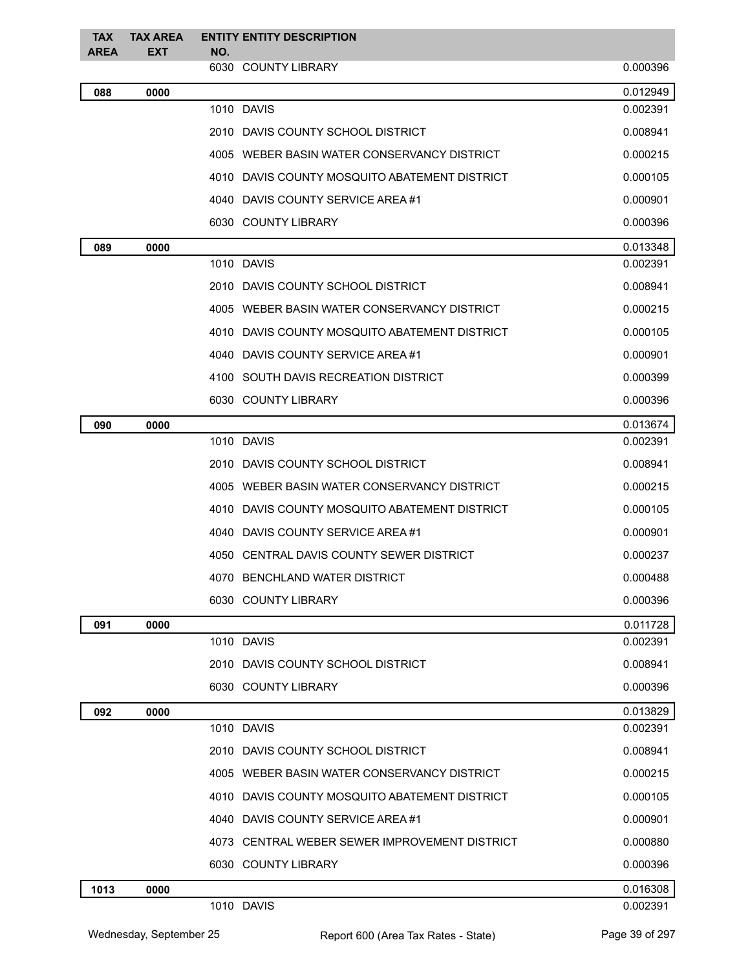| <b>TAX</b>  | <b>TAX AREA</b> |     | <b>ENTITY ENTITY DESCRIPTION</b>              |          |
|-------------|-----------------|-----|-----------------------------------------------|----------|
| <b>AREA</b> | <b>EXT</b>      | NO. | 6030 COUNTY LIBRARY                           | 0.000396 |
| 088         | 0000            |     |                                               | 0.012949 |
|             |                 |     | 1010 DAVIS                                    | 0.002391 |
|             |                 |     | 2010 DAVIS COUNTY SCHOOL DISTRICT             | 0.008941 |
|             |                 |     | 4005 WEBER BASIN WATER CONSERVANCY DISTRICT   | 0.000215 |
|             |                 |     | 4010 DAVIS COUNTY MOSQUITO ABATEMENT DISTRICT | 0.000105 |
|             |                 |     | 4040 DAVIS COUNTY SERVICE AREA #1             | 0.000901 |
|             |                 |     | 6030 COUNTY LIBRARY                           | 0.000396 |
| 089         | 0000            |     |                                               | 0.013348 |
|             |                 |     | 1010 DAVIS                                    | 0.002391 |
|             |                 |     | 2010 DAVIS COUNTY SCHOOL DISTRICT             | 0.008941 |
|             |                 |     | 4005 WEBER BASIN WATER CONSERVANCY DISTRICT   | 0.000215 |
|             |                 |     | 4010 DAVIS COUNTY MOSQUITO ABATEMENT DISTRICT | 0.000105 |
|             |                 |     | 4040 DAVIS COUNTY SERVICE AREA #1             | 0.000901 |
|             |                 |     | 4100 SOUTH DAVIS RECREATION DISTRICT          | 0.000399 |
|             |                 |     | 6030 COUNTY LIBRARY                           | 0.000396 |
| 090         | 0000            |     |                                               | 0.013674 |
|             |                 |     | 1010 DAVIS                                    | 0.002391 |
|             |                 |     | 2010 DAVIS COUNTY SCHOOL DISTRICT             | 0.008941 |
|             |                 |     | 4005 WEBER BASIN WATER CONSERVANCY DISTRICT   | 0.000215 |
|             |                 |     | 4010 DAVIS COUNTY MOSQUITO ABATEMENT DISTRICT | 0.000105 |
|             |                 |     | 4040 DAVIS COUNTY SERVICE AREA #1             | 0.000901 |
|             |                 |     | 4050 CENTRAL DAVIS COUNTY SEWER DISTRICT      | 0.000237 |
|             |                 |     | 4070 BENCHLAND WATER DISTRICT                 | 0.000488 |
|             |                 |     | 6030 COUNTY LIBRARY                           | 0.000396 |
| 091         | 0000            |     |                                               | 0.011728 |
|             |                 |     | 1010 DAVIS                                    | 0.002391 |
|             |                 |     | 2010 DAVIS COUNTY SCHOOL DISTRICT             | 0.008941 |
|             |                 |     | 6030 COUNTY LIBRARY                           | 0.000396 |
| 092         | 0000            |     |                                               | 0.013829 |
|             |                 |     | 1010 DAVIS                                    | 0.002391 |
|             |                 |     | 2010 DAVIS COUNTY SCHOOL DISTRICT             | 0.008941 |
|             |                 |     | 4005 WEBER BASIN WATER CONSERVANCY DISTRICT   | 0.000215 |
|             |                 |     | 4010 DAVIS COUNTY MOSQUITO ABATEMENT DISTRICT | 0.000105 |
|             |                 |     | 4040 DAVIS COUNTY SERVICE AREA #1             | 0.000901 |
|             |                 |     | 4073 CENTRAL WEBER SEWER IMPROVEMENT DISTRICT | 0.000880 |
|             |                 |     | 6030 COUNTY LIBRARY                           | 0.000396 |
| 1013        | 0000            |     |                                               | 0.016308 |
|             |                 |     | 1010 DAVIS                                    | 0.002391 |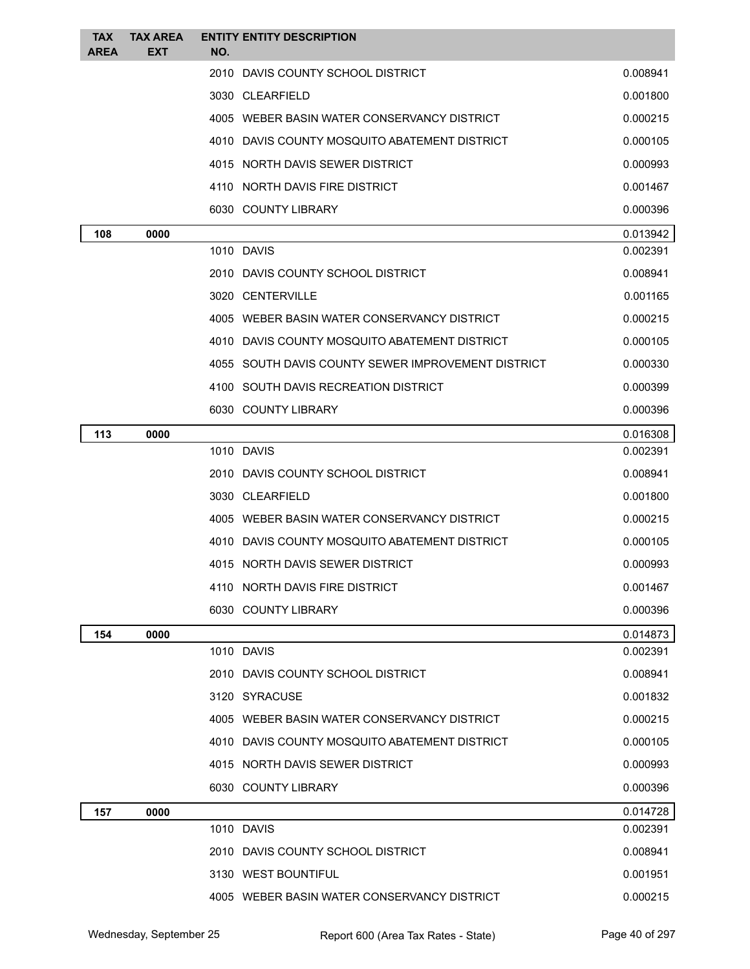| <b>TAX</b><br><b>AREA</b> | <b>TAX AREA</b><br><b>EXT</b> | <b>ENTITY ENTITY DESCRIPTION</b><br>NO.            |          |
|---------------------------|-------------------------------|----------------------------------------------------|----------|
|                           |                               | 2010 DAVIS COUNTY SCHOOL DISTRICT                  | 0.008941 |
|                           |                               | 3030 CLEARFIELD                                    | 0.001800 |
|                           |                               | 4005 WEBER BASIN WATER CONSERVANCY DISTRICT        | 0.000215 |
|                           |                               | 4010 DAVIS COUNTY MOSQUITO ABATEMENT DISTRICT      | 0.000105 |
|                           |                               | 4015 NORTH DAVIS SEWER DISTRICT                    | 0.000993 |
|                           |                               | 4110 NORTH DAVIS FIRE DISTRICT                     | 0.001467 |
|                           |                               | 6030 COUNTY LIBRARY                                | 0.000396 |
| 108                       | 0000                          |                                                    | 0.013942 |
|                           |                               | 1010 DAVIS                                         | 0.002391 |
|                           |                               | 2010 DAVIS COUNTY SCHOOL DISTRICT                  | 0.008941 |
|                           |                               | 3020 CENTERVILLE                                   | 0.001165 |
|                           |                               | 4005 WEBER BASIN WATER CONSERVANCY DISTRICT        | 0.000215 |
|                           |                               | 4010 DAVIS COUNTY MOSQUITO ABATEMENT DISTRICT      | 0.000105 |
|                           |                               | 4055 SOUTH DAVIS COUNTY SEWER IMPROVEMENT DISTRICT | 0.000330 |
|                           |                               | 4100 SOUTH DAVIS RECREATION DISTRICT               | 0.000399 |
|                           |                               | 6030 COUNTY LIBRARY                                | 0.000396 |
| 113                       | 0000                          |                                                    | 0.016308 |
|                           |                               | 1010 DAVIS                                         | 0.002391 |
|                           |                               | 2010 DAVIS COUNTY SCHOOL DISTRICT                  | 0.008941 |
|                           |                               | 3030 CLEARFIELD                                    | 0.001800 |
|                           |                               | 4005 WEBER BASIN WATER CONSERVANCY DISTRICT        | 0.000215 |
|                           |                               | 4010 DAVIS COUNTY MOSQUITO ABATEMENT DISTRICT      | 0.000105 |
|                           |                               | 4015 NORTH DAVIS SEWER DISTRICT                    | 0.000993 |
|                           |                               | 4110 NORTH DAVIS FIRE DISTRICT                     | 0.001467 |
|                           |                               | 6030 COUNTY LIBRARY                                | 0.000396 |
| 154                       | 0000                          |                                                    | 0.014873 |
|                           |                               | 1010 DAVIS                                         | 0.002391 |
|                           |                               | 2010 DAVIS COUNTY SCHOOL DISTRICT                  | 0.008941 |
|                           |                               | 3120 SYRACUSE                                      | 0.001832 |
|                           |                               | 4005 WEBER BASIN WATER CONSERVANCY DISTRICT        | 0.000215 |
|                           |                               | 4010 DAVIS COUNTY MOSQUITO ABATEMENT DISTRICT      | 0.000105 |
|                           |                               | 4015 NORTH DAVIS SEWER DISTRICT                    | 0.000993 |
|                           |                               | 6030 COUNTY LIBRARY                                | 0.000396 |
| 157                       | 0000                          |                                                    | 0.014728 |
|                           |                               | 1010 DAVIS                                         | 0.002391 |
|                           |                               | 2010 DAVIS COUNTY SCHOOL DISTRICT                  | 0.008941 |
|                           |                               | 3130 WEST BOUNTIFUL                                | 0.001951 |
|                           |                               | 4005 WEBER BASIN WATER CONSERVANCY DISTRICT        | 0.000215 |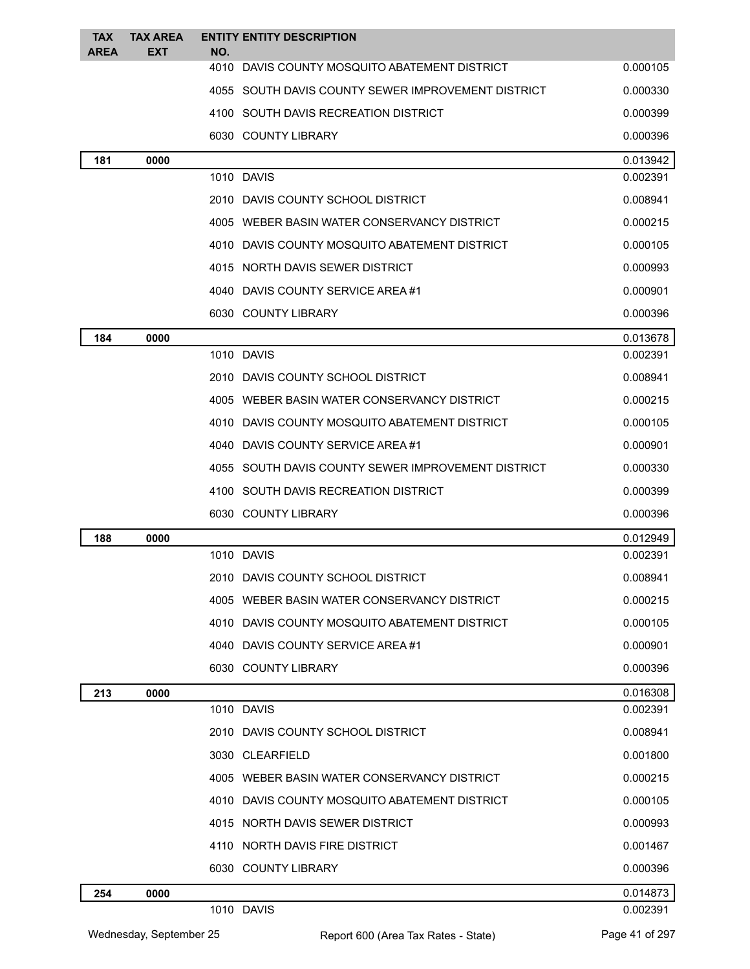| <b>TAX</b><br><b>AREA</b> | <b>TAX AREA</b><br>EXT | <b>ENTITY ENTITY DESCRIPTION</b><br>NO.            |          |
|---------------------------|------------------------|----------------------------------------------------|----------|
|                           |                        | 4010 DAVIS COUNTY MOSQUITO ABATEMENT DISTRICT      | 0.000105 |
|                           |                        | 4055 SOUTH DAVIS COUNTY SEWER IMPROVEMENT DISTRICT | 0.000330 |
|                           |                        | 4100 SOUTH DAVIS RECREATION DISTRICT               | 0.000399 |
|                           |                        | 6030 COUNTY LIBRARY                                | 0.000396 |
| 181                       | 0000                   |                                                    | 0.013942 |
|                           |                        | 1010 DAVIS                                         | 0.002391 |
|                           |                        | 2010 DAVIS COUNTY SCHOOL DISTRICT                  | 0.008941 |
|                           |                        | 4005 WEBER BASIN WATER CONSERVANCY DISTRICT        | 0.000215 |
|                           |                        | 4010 DAVIS COUNTY MOSQUITO ABATEMENT DISTRICT      | 0.000105 |
|                           |                        | 4015 NORTH DAVIS SEWER DISTRICT                    | 0.000993 |
|                           |                        | 4040 DAVIS COUNTY SERVICE AREA #1                  | 0.000901 |
|                           |                        | 6030 COUNTY LIBRARY                                | 0.000396 |
| 184                       | 0000                   |                                                    | 0.013678 |
|                           |                        | 1010 DAVIS                                         | 0.002391 |
|                           |                        | 2010 DAVIS COUNTY SCHOOL DISTRICT                  | 0.008941 |
|                           |                        | 4005 WEBER BASIN WATER CONSERVANCY DISTRICT        | 0.000215 |
|                           |                        | 4010 DAVIS COUNTY MOSQUITO ABATEMENT DISTRICT      | 0.000105 |
|                           |                        | 4040 DAVIS COUNTY SERVICE AREA #1                  | 0.000901 |
|                           |                        | 4055 SOUTH DAVIS COUNTY SEWER IMPROVEMENT DISTRICT | 0.000330 |
|                           |                        | 4100 SOUTH DAVIS RECREATION DISTRICT               | 0.000399 |
|                           |                        | 6030 COUNTY LIBRARY                                | 0.000396 |
| 188                       | 0000                   |                                                    | 0.012949 |
|                           |                        | 1010 DAVIS                                         | 0.002391 |
|                           |                        | 2010 DAVIS COUNTY SCHOOL DISTRICT                  | 0.008941 |
|                           |                        | 4005 WEBER BASIN WATER CONSERVANCY DISTRICT        | 0.000215 |
|                           |                        | 4010 DAVIS COUNTY MOSQUITO ABATEMENT DISTRICT      | 0.000105 |
|                           |                        | 4040 DAVIS COUNTY SERVICE AREA #1                  | 0.000901 |
|                           |                        | 6030 COUNTY LIBRARY                                | 0.000396 |
| 213                       | 0000                   |                                                    | 0.016308 |
|                           |                        | 1010 DAVIS                                         | 0.002391 |
|                           |                        | 2010 DAVIS COUNTY SCHOOL DISTRICT                  | 0.008941 |
|                           |                        | 3030 CLEARFIELD                                    | 0.001800 |
|                           |                        | 4005 WEBER BASIN WATER CONSERVANCY DISTRICT        | 0.000215 |
|                           |                        | 4010 DAVIS COUNTY MOSQUITO ABATEMENT DISTRICT      | 0.000105 |
|                           |                        | 4015 NORTH DAVIS SEWER DISTRICT                    | 0.000993 |
|                           |                        | 4110 NORTH DAVIS FIRE DISTRICT                     | 0.001467 |
|                           |                        | 6030 COUNTY LIBRARY                                | 0.000396 |
| 254                       | 0000                   |                                                    | 0.014873 |
|                           |                        | 1010 DAVIS                                         | 0.002391 |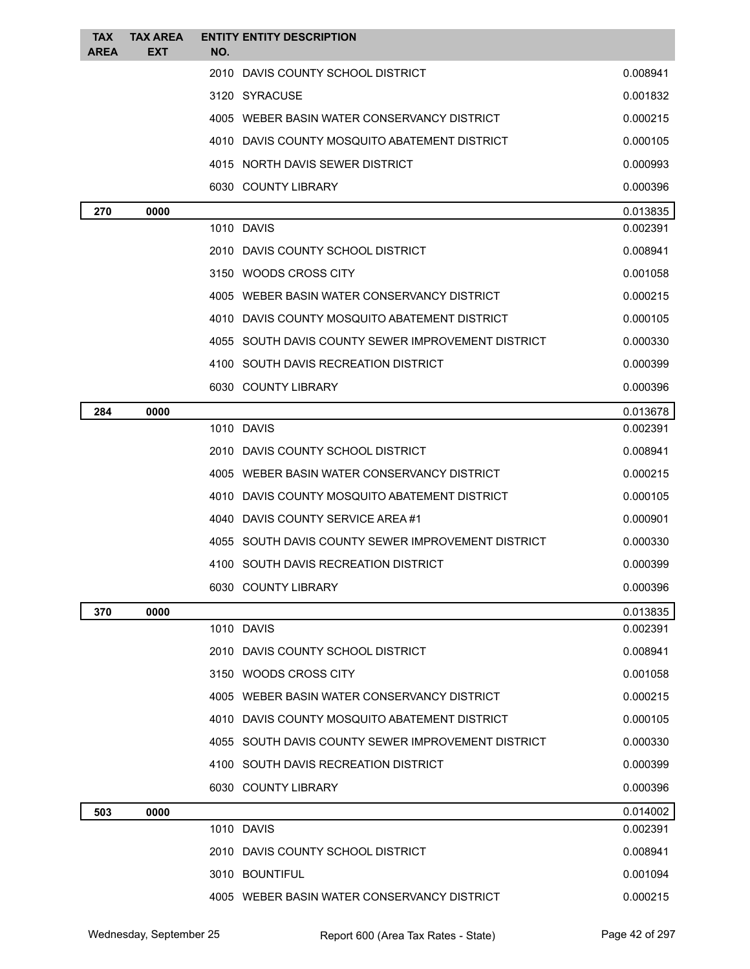| <b>TAX</b><br><b>AREA</b> | <b>TAX AREA</b><br>EXT | <b>ENTITY ENTITY DESCRIPTION</b><br>NO.            |          |
|---------------------------|------------------------|----------------------------------------------------|----------|
|                           |                        | 2010 DAVIS COUNTY SCHOOL DISTRICT                  | 0.008941 |
|                           |                        | 3120 SYRACUSE                                      | 0.001832 |
|                           |                        | 4005 WEBER BASIN WATER CONSERVANCY DISTRICT        | 0.000215 |
|                           |                        | 4010 DAVIS COUNTY MOSQUITO ABATEMENT DISTRICT      | 0.000105 |
|                           |                        | 4015 NORTH DAVIS SEWER DISTRICT                    | 0.000993 |
|                           |                        | 6030 COUNTY LIBRARY                                | 0.000396 |
| 270                       | 0000                   |                                                    | 0.013835 |
|                           |                        | 1010 DAVIS                                         | 0.002391 |
|                           |                        | 2010 DAVIS COUNTY SCHOOL DISTRICT                  | 0.008941 |
|                           |                        | 3150 WOODS CROSS CITY                              | 0.001058 |
|                           |                        | 4005 WEBER BASIN WATER CONSERVANCY DISTRICT        | 0.000215 |
|                           |                        | 4010 DAVIS COUNTY MOSQUITO ABATEMENT DISTRICT      | 0.000105 |
|                           |                        | 4055 SOUTH DAVIS COUNTY SEWER IMPROVEMENT DISTRICT | 0.000330 |
|                           |                        | 4100 SOUTH DAVIS RECREATION DISTRICT               | 0.000399 |
|                           |                        | 6030 COUNTY LIBRARY                                | 0.000396 |
| 284                       | 0000                   |                                                    | 0.013678 |
|                           |                        | 1010 DAVIS                                         | 0.002391 |
|                           |                        | 2010 DAVIS COUNTY SCHOOL DISTRICT                  | 0.008941 |
|                           |                        | 4005 WEBER BASIN WATER CONSERVANCY DISTRICT        | 0.000215 |
|                           |                        | 4010 DAVIS COUNTY MOSQUITO ABATEMENT DISTRICT      | 0.000105 |
|                           |                        | 4040 DAVIS COUNTY SERVICE AREA #1                  | 0.000901 |
|                           |                        | 4055 SOUTH DAVIS COUNTY SEWER IMPROVEMENT DISTRICT | 0.000330 |
|                           |                        | 4100 SOUTH DAVIS RECREATION DISTRICT               | 0.000399 |
|                           |                        | 6030 COUNTY LIBRARY                                | 0.000396 |
| 370                       | 0000                   |                                                    | 0.013835 |
|                           |                        | 1010 DAVIS                                         | 0.002391 |
|                           |                        | 2010 DAVIS COUNTY SCHOOL DISTRICT                  | 0.008941 |
|                           |                        | 3150 WOODS CROSS CITY                              | 0.001058 |
|                           |                        | 4005 WEBER BASIN WATER CONSERVANCY DISTRICT        | 0.000215 |
|                           |                        | 4010 DAVIS COUNTY MOSQUITO ABATEMENT DISTRICT      | 0.000105 |
|                           |                        | 4055 SOUTH DAVIS COUNTY SEWER IMPROVEMENT DISTRICT | 0.000330 |
|                           |                        | 4100 SOUTH DAVIS RECREATION DISTRICT               | 0.000399 |
|                           |                        | 6030 COUNTY LIBRARY                                | 0.000396 |
| 503                       | 0000                   |                                                    | 0.014002 |
|                           |                        | 1010 DAVIS                                         | 0.002391 |
|                           |                        | 2010 DAVIS COUNTY SCHOOL DISTRICT                  | 0.008941 |
|                           |                        | 3010 BOUNTIFUL                                     | 0.001094 |
|                           |                        | 4005 WEBER BASIN WATER CONSERVANCY DISTRICT        | 0.000215 |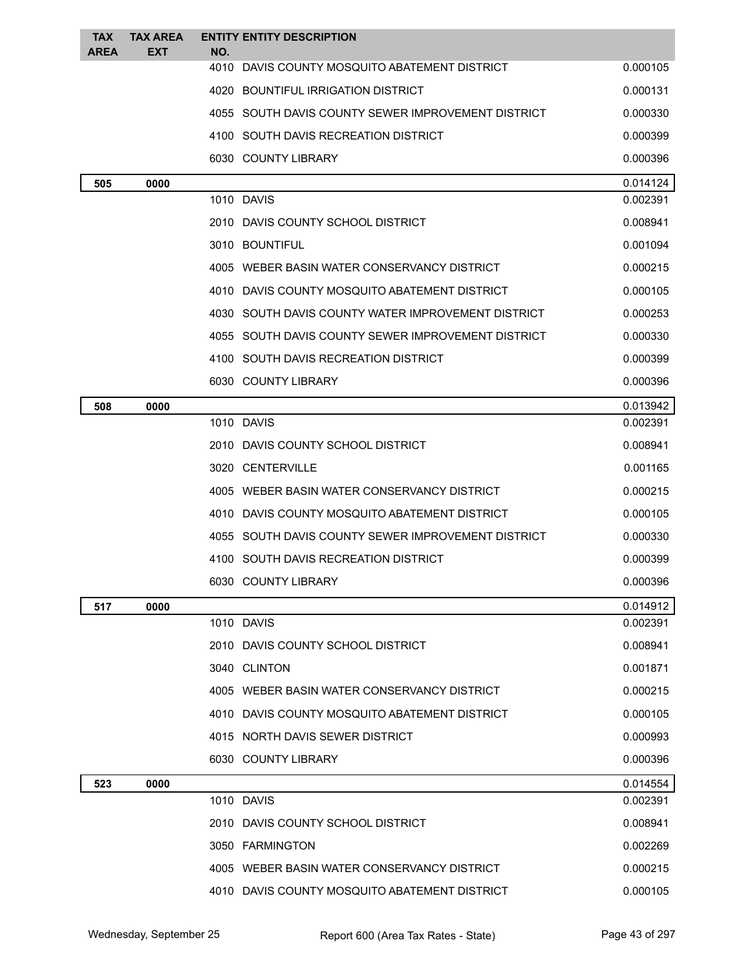| <b>TAX</b><br><b>AREA</b> | <b>TAX AREA</b><br>EXT | <b>ENTITY ENTITY DESCRIPTION</b><br>NO.            |          |
|---------------------------|------------------------|----------------------------------------------------|----------|
|                           |                        | 4010 DAVIS COUNTY MOSQUITO ABATEMENT DISTRICT      | 0.000105 |
|                           |                        | 4020 BOUNTIFUL IRRIGATION DISTRICT                 | 0.000131 |
|                           |                        | 4055 SOUTH DAVIS COUNTY SEWER IMPROVEMENT DISTRICT | 0.000330 |
|                           |                        | 4100 SOUTH DAVIS RECREATION DISTRICT               | 0.000399 |
|                           |                        | 6030 COUNTY LIBRARY                                | 0.000396 |
| 505                       | 0000                   |                                                    | 0.014124 |
|                           |                        | 1010 DAVIS                                         | 0.002391 |
|                           |                        | 2010 DAVIS COUNTY SCHOOL DISTRICT                  | 0.008941 |
|                           |                        | 3010 BOUNTIFUL                                     | 0.001094 |
|                           |                        | 4005 WEBER BASIN WATER CONSERVANCY DISTRICT        | 0.000215 |
|                           |                        | 4010 DAVIS COUNTY MOSQUITO ABATEMENT DISTRICT      | 0.000105 |
|                           |                        | 4030 SOUTH DAVIS COUNTY WATER IMPROVEMENT DISTRICT | 0.000253 |
|                           |                        | 4055 SOUTH DAVIS COUNTY SEWER IMPROVEMENT DISTRICT | 0.000330 |
|                           |                        | 4100 SOUTH DAVIS RECREATION DISTRICT               | 0.000399 |
|                           |                        | 6030 COUNTY LIBRARY                                | 0.000396 |
| 508                       | 0000                   |                                                    | 0.013942 |
|                           |                        | 1010 DAVIS                                         | 0.002391 |
|                           |                        | 2010 DAVIS COUNTY SCHOOL DISTRICT                  | 0.008941 |
|                           |                        | 3020 CENTERVILLE                                   | 0.001165 |
|                           |                        | 4005 WEBER BASIN WATER CONSERVANCY DISTRICT        | 0.000215 |
|                           |                        | 4010 DAVIS COUNTY MOSQUITO ABATEMENT DISTRICT      | 0.000105 |
|                           |                        | 4055 SOUTH DAVIS COUNTY SEWER IMPROVEMENT DISTRICT | 0.000330 |
|                           |                        | 4100 SOUTH DAVIS RECREATION DISTRICT               | 0.000399 |
|                           |                        | 6030 COUNTY LIBRARY                                | 0.000396 |
| 517                       | 0000                   |                                                    | 0.014912 |
|                           |                        | 1010 DAVIS                                         | 0.002391 |
|                           |                        | 2010 DAVIS COUNTY SCHOOL DISTRICT                  | 0.008941 |
|                           |                        | 3040 CLINTON                                       | 0.001871 |
|                           |                        | 4005 WEBER BASIN WATER CONSERVANCY DISTRICT        | 0.000215 |
|                           |                        | 4010 DAVIS COUNTY MOSQUITO ABATEMENT DISTRICT      | 0.000105 |
|                           |                        | 4015 NORTH DAVIS SEWER DISTRICT                    | 0.000993 |
|                           |                        | 6030 COUNTY LIBRARY                                | 0.000396 |
| 523                       | 0000                   |                                                    | 0.014554 |
|                           |                        | 1010 DAVIS                                         | 0.002391 |
|                           |                        | 2010 DAVIS COUNTY SCHOOL DISTRICT                  | 0.008941 |
|                           |                        | 3050 FARMINGTON                                    | 0.002269 |
|                           |                        | 4005 WEBER BASIN WATER CONSERVANCY DISTRICT        | 0.000215 |
|                           |                        | 4010 DAVIS COUNTY MOSQUITO ABATEMENT DISTRICT      | 0.000105 |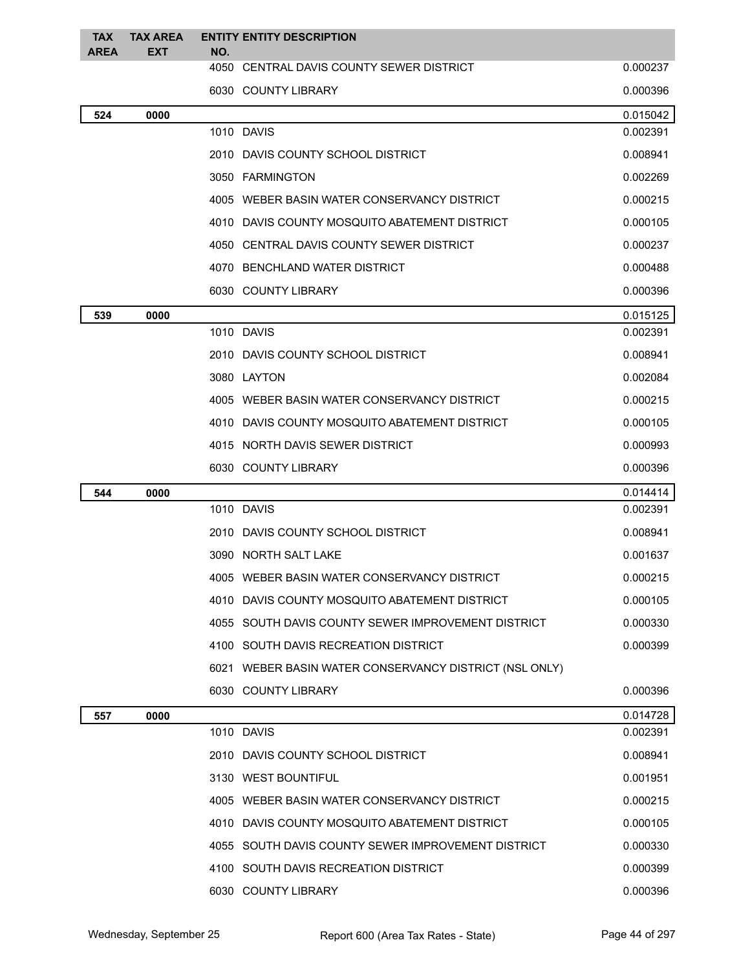| <b>TAX</b><br><b>AREA</b> | <b>TAX AREA</b><br><b>EXT</b> | NO. | <b>ENTITY ENTITY DESCRIPTION</b>                       |          |
|---------------------------|-------------------------------|-----|--------------------------------------------------------|----------|
|                           |                               |     | 4050 CENTRAL DAVIS COUNTY SEWER DISTRICT               | 0.000237 |
|                           |                               |     | 6030 COUNTY LIBRARY                                    | 0.000396 |
| 524                       | 0000                          |     |                                                        | 0.015042 |
|                           |                               |     | 1010 DAVIS                                             | 0.002391 |
|                           |                               |     | 2010 DAVIS COUNTY SCHOOL DISTRICT                      | 0.008941 |
|                           |                               |     | 3050 FARMINGTON                                        | 0.002269 |
|                           |                               |     | 4005 WEBER BASIN WATER CONSERVANCY DISTRICT            | 0.000215 |
|                           |                               |     | 4010 DAVIS COUNTY MOSQUITO ABATEMENT DISTRICT          | 0.000105 |
|                           |                               |     | 4050 CENTRAL DAVIS COUNTY SEWER DISTRICT               | 0.000237 |
|                           |                               |     | 4070 BENCHLAND WATER DISTRICT                          | 0.000488 |
|                           |                               |     | 6030 COUNTY LIBRARY                                    | 0.000396 |
| 539                       | 0000                          |     |                                                        | 0.015125 |
|                           |                               |     | 1010 DAVIS                                             | 0.002391 |
|                           |                               |     | 2010 DAVIS COUNTY SCHOOL DISTRICT                      | 0.008941 |
|                           |                               |     | 3080 LAYTON                                            | 0.002084 |
|                           |                               |     | 4005 WEBER BASIN WATER CONSERVANCY DISTRICT            | 0.000215 |
|                           |                               |     | 4010 DAVIS COUNTY MOSQUITO ABATEMENT DISTRICT          | 0.000105 |
|                           |                               |     | 4015 NORTH DAVIS SEWER DISTRICT                        | 0.000993 |
|                           |                               |     | 6030 COUNTY LIBRARY                                    | 0.000396 |
| 544                       | 0000                          |     |                                                        | 0.014414 |
|                           |                               |     | 1010 DAVIS                                             | 0.002391 |
|                           |                               |     | 2010 DAVIS COUNTY SCHOOL DISTRICT                      | 0.008941 |
|                           |                               |     | 3090 NORTH SALT LAKE                                   | 0.001637 |
|                           |                               |     | 4005 WEBER BASIN WATER CONSERVANCY DISTRICT            | 0.000215 |
|                           |                               |     | 4010 DAVIS COUNTY MOSQUITO ABATEMENT DISTRICT          | 0.000105 |
|                           |                               |     | 4055 SOUTH DAVIS COUNTY SEWER IMPROVEMENT DISTRICT     | 0.000330 |
|                           |                               |     | 4100 SOUTH DAVIS RECREATION DISTRICT                   | 0.000399 |
|                           |                               |     | 6021 WEBER BASIN WATER CONSERVANCY DISTRICT (NSL ONLY) |          |
|                           |                               |     | 6030 COUNTY LIBRARY                                    | 0.000396 |
| 557                       | 0000                          |     |                                                        | 0.014728 |
|                           |                               |     | 1010 DAVIS                                             | 0.002391 |
|                           |                               |     | 2010 DAVIS COUNTY SCHOOL DISTRICT                      | 0.008941 |
|                           |                               |     | 3130 WEST BOUNTIFUL                                    | 0.001951 |
|                           |                               |     | 4005 WEBER BASIN WATER CONSERVANCY DISTRICT            | 0.000215 |
|                           |                               |     | 4010 DAVIS COUNTY MOSQUITO ABATEMENT DISTRICT          | 0.000105 |
|                           |                               |     | 4055 SOUTH DAVIS COUNTY SEWER IMPROVEMENT DISTRICT     | 0.000330 |
|                           |                               |     | 4100 SOUTH DAVIS RECREATION DISTRICT                   | 0.000399 |
|                           |                               |     | 6030 COUNTY LIBRARY                                    | 0.000396 |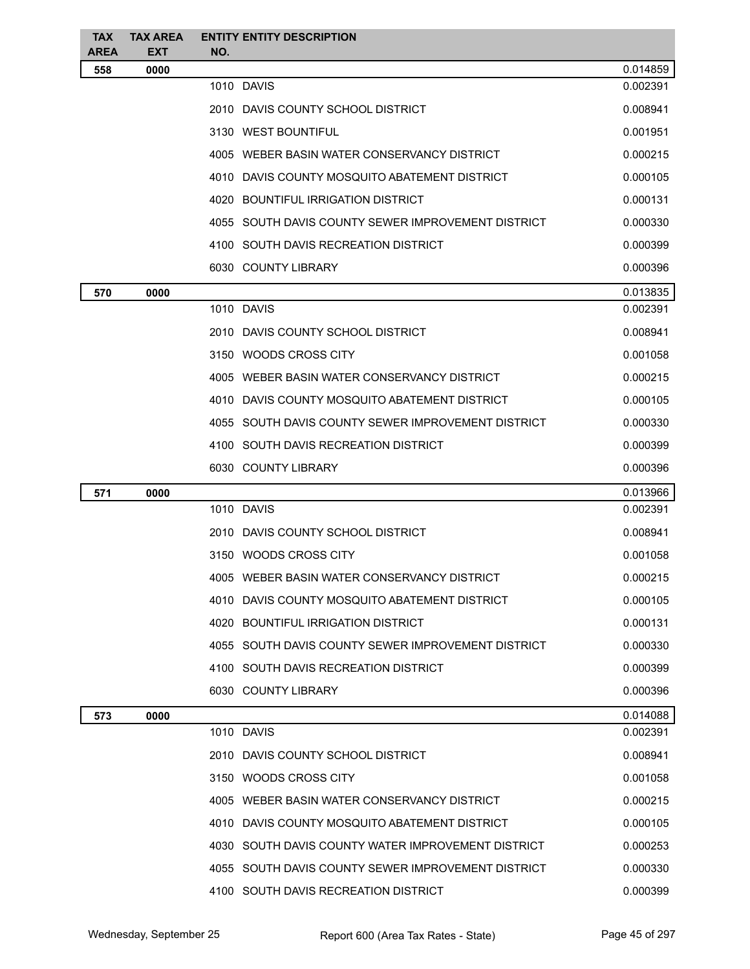| <b>TAX</b>         | <b>TAX AREA</b>    | <b>ENTITY ENTITY DESCRIPTION</b>                   |          |
|--------------------|--------------------|----------------------------------------------------|----------|
| <b>AREA</b><br>558 | <b>EXT</b><br>0000 | NO.                                                | 0.014859 |
|                    |                    | 1010 DAVIS                                         | 0.002391 |
|                    |                    | 2010 DAVIS COUNTY SCHOOL DISTRICT                  | 0.008941 |
|                    |                    | 3130 WEST BOUNTIFUL                                | 0.001951 |
|                    |                    | 4005 WEBER BASIN WATER CONSERVANCY DISTRICT        | 0.000215 |
|                    |                    | 4010 DAVIS COUNTY MOSQUITO ABATEMENT DISTRICT      | 0.000105 |
|                    |                    | 4020 BOUNTIFUL IRRIGATION DISTRICT                 | 0.000131 |
|                    |                    | 4055 SOUTH DAVIS COUNTY SEWER IMPROVEMENT DISTRICT | 0.000330 |
|                    |                    | 4100 SOUTH DAVIS RECREATION DISTRICT               | 0.000399 |
|                    |                    | 6030 COUNTY LIBRARY                                | 0.000396 |
| 570                | 0000               |                                                    | 0.013835 |
|                    |                    | 1010 DAVIS                                         | 0.002391 |
|                    |                    | 2010 DAVIS COUNTY SCHOOL DISTRICT                  | 0.008941 |
|                    |                    | 3150 WOODS CROSS CITY                              | 0.001058 |
|                    |                    | 4005 WEBER BASIN WATER CONSERVANCY DISTRICT        | 0.000215 |
|                    |                    | 4010 DAVIS COUNTY MOSQUITO ABATEMENT DISTRICT      | 0.000105 |
|                    |                    | 4055 SOUTH DAVIS COUNTY SEWER IMPROVEMENT DISTRICT | 0.000330 |
|                    |                    | 4100 SOUTH DAVIS RECREATION DISTRICT               | 0.000399 |
|                    |                    | 6030 COUNTY LIBRARY                                | 0.000396 |
| 571                | 0000               |                                                    | 0.013966 |
|                    |                    | 1010 DAVIS                                         | 0.002391 |
|                    |                    | 2010 DAVIS COUNTY SCHOOL DISTRICT                  | 0.008941 |
|                    |                    | 3150 WOODS CROSS CITY                              | 0.001058 |
|                    |                    | 4005 WEBER BASIN WATER CONSERVANCY DISTRICT        | 0.000215 |
|                    |                    | 4010 DAVIS COUNTY MOSQUITO ABATEMENT DISTRICT      | 0.000105 |
|                    |                    | 4020 BOUNTIFUL IRRIGATION DISTRICT                 | 0.000131 |
|                    |                    | 4055 SOUTH DAVIS COUNTY SEWER IMPROVEMENT DISTRICT | 0.000330 |
|                    |                    | 4100 SOUTH DAVIS RECREATION DISTRICT               | 0.000399 |
|                    |                    | 6030 COUNTY LIBRARY                                | 0.000396 |
| 573                | 0000               |                                                    | 0.014088 |
|                    |                    | 1010 DAVIS                                         | 0.002391 |
|                    |                    | 2010 DAVIS COUNTY SCHOOL DISTRICT                  | 0.008941 |
|                    |                    | 3150 WOODS CROSS CITY                              | 0.001058 |
|                    |                    | 4005 WEBER BASIN WATER CONSERVANCY DISTRICT        | 0.000215 |
|                    |                    | 4010 DAVIS COUNTY MOSQUITO ABATEMENT DISTRICT      | 0.000105 |
|                    |                    | 4030 SOUTH DAVIS COUNTY WATER IMPROVEMENT DISTRICT | 0.000253 |
|                    |                    | 4055 SOUTH DAVIS COUNTY SEWER IMPROVEMENT DISTRICT | 0.000330 |
|                    |                    | 4100 SOUTH DAVIS RECREATION DISTRICT               | 0.000399 |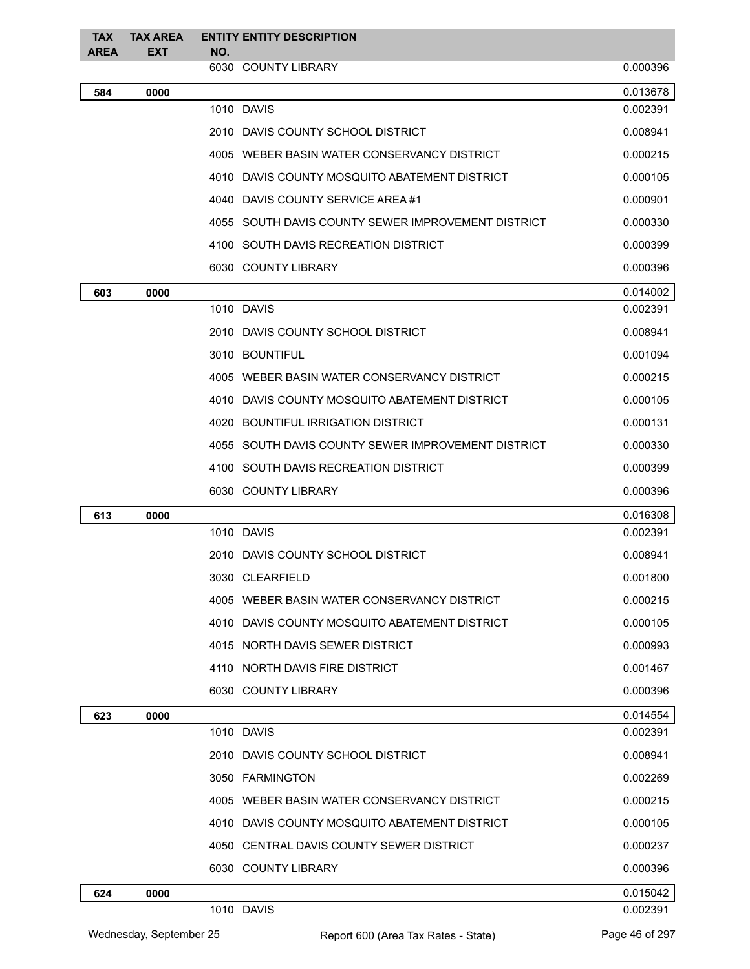| <b>TAX</b>  | <b>TAX AREA</b> |     | <b>ENTITY ENTITY DESCRIPTION</b>                   |          |
|-------------|-----------------|-----|----------------------------------------------------|----------|
| <b>AREA</b> | <b>EXT</b>      | NO. | 6030 COUNTY LIBRARY                                | 0.000396 |
| 584         | 0000            |     |                                                    | 0.013678 |
|             |                 |     | 1010 DAVIS                                         | 0.002391 |
|             |                 |     | 2010 DAVIS COUNTY SCHOOL DISTRICT                  | 0.008941 |
|             |                 |     | 4005 WEBER BASIN WATER CONSERVANCY DISTRICT        | 0.000215 |
|             |                 |     | 4010 DAVIS COUNTY MOSQUITO ABATEMENT DISTRICT      | 0.000105 |
|             |                 |     | 4040 DAVIS COUNTY SERVICE AREA #1                  | 0.000901 |
|             |                 |     | 4055 SOUTH DAVIS COUNTY SEWER IMPROVEMENT DISTRICT | 0.000330 |
|             |                 |     | 4100 SOUTH DAVIS RECREATION DISTRICT               | 0.000399 |
|             |                 |     | 6030 COUNTY LIBRARY                                | 0.000396 |
| 603         | 0000            |     |                                                    | 0.014002 |
|             |                 |     | 1010 DAVIS                                         | 0.002391 |
|             |                 |     | 2010 DAVIS COUNTY SCHOOL DISTRICT                  | 0.008941 |
|             |                 |     | 3010 BOUNTIFUL                                     | 0.001094 |
|             |                 |     | 4005 WEBER BASIN WATER CONSERVANCY DISTRICT        | 0.000215 |
|             |                 |     | 4010 DAVIS COUNTY MOSQUITO ABATEMENT DISTRICT      | 0.000105 |
|             |                 |     | 4020 BOUNTIFUL IRRIGATION DISTRICT                 | 0.000131 |
|             |                 |     | 4055 SOUTH DAVIS COUNTY SEWER IMPROVEMENT DISTRICT | 0.000330 |
|             |                 |     | 4100 SOUTH DAVIS RECREATION DISTRICT               | 0.000399 |
|             |                 |     | 6030 COUNTY LIBRARY                                | 0.000396 |
| 613         | 0000            |     |                                                    | 0.016308 |
|             |                 |     | 1010 DAVIS                                         | 0.002391 |
|             |                 |     | 2010 DAVIS COUNTY SCHOOL DISTRICT                  | 0.008941 |
|             |                 |     | 3030 CLEARFIELD                                    | 0.001800 |
|             |                 |     | 4005 WEBER BASIN WATER CONSERVANCY DISTRICT        | 0.000215 |
|             |                 |     | 4010 DAVIS COUNTY MOSQUITO ABATEMENT DISTRICT      | 0.000105 |
|             |                 |     | 4015 NORTH DAVIS SEWER DISTRICT                    | 0.000993 |
|             |                 |     | 4110 NORTH DAVIS FIRE DISTRICT                     | 0.001467 |
|             |                 |     | 6030 COUNTY LIBRARY                                | 0.000396 |
| 623         | 0000            |     |                                                    | 0.014554 |
|             |                 |     | 1010 DAVIS                                         | 0.002391 |
|             |                 |     | 2010 DAVIS COUNTY SCHOOL DISTRICT                  | 0.008941 |
|             |                 |     | 3050 FARMINGTON                                    | 0.002269 |
|             |                 |     | 4005 WEBER BASIN WATER CONSERVANCY DISTRICT        | 0.000215 |
|             |                 |     | 4010 DAVIS COUNTY MOSQUITO ABATEMENT DISTRICT      | 0.000105 |
|             |                 |     | 4050 CENTRAL DAVIS COUNTY SEWER DISTRICT           | 0.000237 |
|             |                 |     | 6030 COUNTY LIBRARY                                | 0.000396 |
| 624         | 0000            |     |                                                    | 0.015042 |
|             |                 |     | 1010 DAVIS                                         | 0.002391 |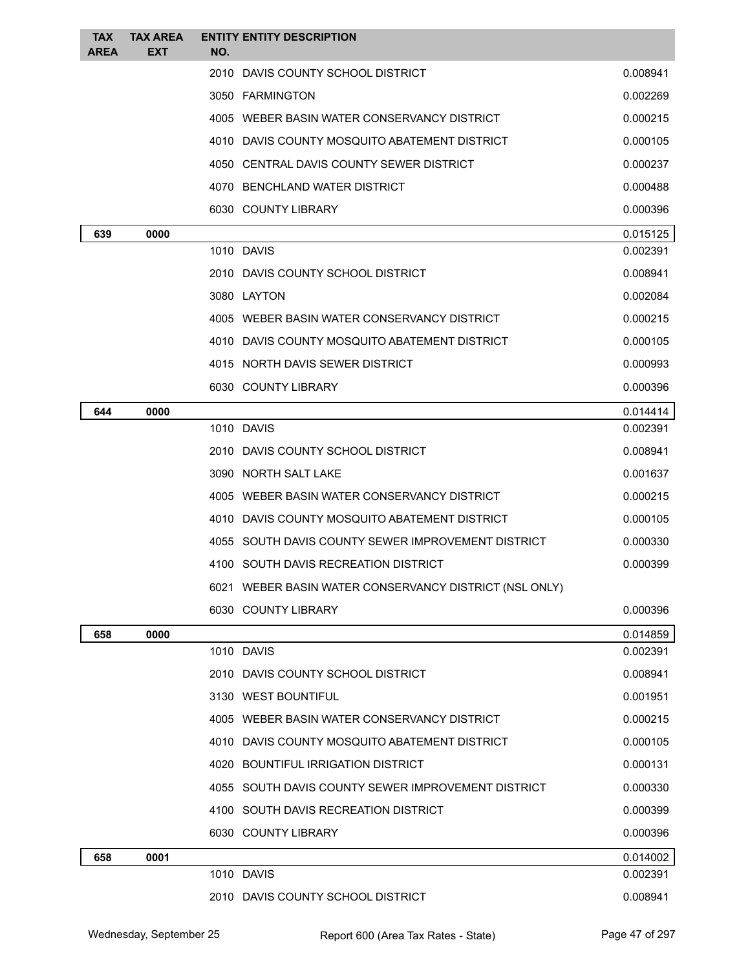| <b>TAX</b><br><b>AREA</b> | <b>TAX AREA</b><br><b>EXT</b> | <b>ENTITY ENTITY DESCRIPTION</b><br>NO.                |                      |
|---------------------------|-------------------------------|--------------------------------------------------------|----------------------|
|                           |                               | 2010 DAVIS COUNTY SCHOOL DISTRICT                      | 0.008941             |
|                           |                               | 3050 FARMINGTON                                        | 0.002269             |
|                           |                               | 4005 WEBER BASIN WATER CONSERVANCY DISTRICT            | 0.000215             |
|                           |                               | 4010 DAVIS COUNTY MOSQUITO ABATEMENT DISTRICT          | 0.000105             |
|                           |                               | 4050 CENTRAL DAVIS COUNTY SEWER DISTRICT               | 0.000237             |
|                           |                               | 4070 BENCHLAND WATER DISTRICT                          | 0.000488             |
|                           |                               | 6030 COUNTY LIBRARY                                    | 0.000396             |
| 639                       | 0000                          |                                                        | 0.015125             |
|                           |                               | 1010 DAVIS                                             | 0.002391             |
|                           |                               | 2010 DAVIS COUNTY SCHOOL DISTRICT                      | 0.008941             |
|                           |                               | 3080 LAYTON                                            | 0.002084             |
|                           |                               | 4005 WEBER BASIN WATER CONSERVANCY DISTRICT            | 0.000215             |
|                           |                               | 4010 DAVIS COUNTY MOSQUITO ABATEMENT DISTRICT          | 0.000105             |
|                           |                               | 4015 NORTH DAVIS SEWER DISTRICT                        | 0.000993             |
|                           |                               | 6030 COUNTY LIBRARY                                    | 0.000396             |
| 644                       | 0000                          |                                                        | 0.014414             |
|                           |                               | 1010 DAVIS                                             | 0.002391             |
|                           |                               | 2010 DAVIS COUNTY SCHOOL DISTRICT                      | 0.008941             |
|                           |                               | 3090 NORTH SALT LAKE                                   | 0.001637             |
|                           |                               | 4005 WEBER BASIN WATER CONSERVANCY DISTRICT            | 0.000215             |
|                           |                               | 4010 DAVIS COUNTY MOSQUITO ABATEMENT DISTRICT          | 0.000105             |
|                           |                               | 4055 SOUTH DAVIS COUNTY SEWER IMPROVEMENT DISTRICT     | 0.000330             |
|                           |                               | 4100 SOUTH DAVIS RECREATION DISTRICT                   | 0.000399             |
|                           |                               | 6021 WEBER BASIN WATER CONSERVANCY DISTRICT (NSL ONLY) |                      |
|                           |                               | 6030 COUNTY LIBRARY                                    | 0.000396             |
| 658                       | 0000                          |                                                        | 0.014859             |
|                           |                               | 1010 DAVIS                                             | 0.002391             |
|                           |                               | 2010 DAVIS COUNTY SCHOOL DISTRICT                      | 0.008941<br>0.001951 |
|                           |                               | 3130 WEST BOUNTIFUL                                    |                      |
|                           |                               | 4005 WEBER BASIN WATER CONSERVANCY DISTRICT            | 0.000215             |
|                           |                               | 4010 DAVIS COUNTY MOSQUITO ABATEMENT DISTRICT          | 0.000105             |
|                           |                               | 4020 BOUNTIFUL IRRIGATION DISTRICT                     | 0.000131             |
|                           |                               | 4055 SOUTH DAVIS COUNTY SEWER IMPROVEMENT DISTRICT     | 0.000330             |
|                           |                               | 4100 SOUTH DAVIS RECREATION DISTRICT                   | 0.000399             |
|                           |                               | 6030 COUNTY LIBRARY                                    | 0.000396             |
| 658                       | 0001                          | 1010 DAVIS                                             | 0.014002<br>0.002391 |
|                           |                               | 2010 DAVIS COUNTY SCHOOL DISTRICT                      | 0.008941             |
|                           |                               |                                                        |                      |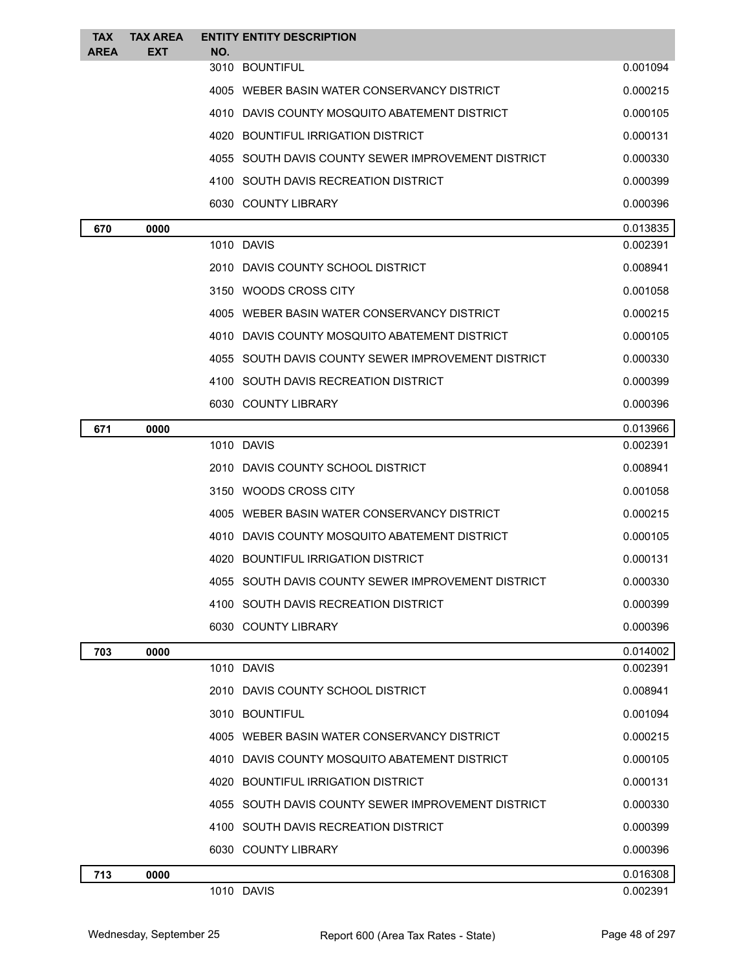| <b>TAX</b><br><b>AREA</b> | <b>TAX AREA</b><br>EXT | <b>ENTITY ENTITY DESCRIPTION</b><br>NO.            |          |
|---------------------------|------------------------|----------------------------------------------------|----------|
|                           |                        | 3010 BOUNTIFUL                                     | 0.001094 |
|                           |                        | 4005 WEBER BASIN WATER CONSERVANCY DISTRICT        | 0.000215 |
|                           |                        | 4010 DAVIS COUNTY MOSQUITO ABATEMENT DISTRICT      | 0.000105 |
|                           |                        | 4020 BOUNTIFUL IRRIGATION DISTRICT                 | 0.000131 |
|                           |                        | 4055 SOUTH DAVIS COUNTY SEWER IMPROVEMENT DISTRICT | 0.000330 |
|                           |                        | 4100 SOUTH DAVIS RECREATION DISTRICT               | 0.000399 |
|                           |                        | 6030 COUNTY LIBRARY                                | 0.000396 |
| 670                       | 0000                   |                                                    | 0.013835 |
|                           |                        | 1010 DAVIS                                         | 0.002391 |
|                           |                        | 2010 DAVIS COUNTY SCHOOL DISTRICT                  | 0.008941 |
|                           |                        | 3150 WOODS CROSS CITY                              | 0.001058 |
|                           |                        | 4005 WEBER BASIN WATER CONSERVANCY DISTRICT        | 0.000215 |
|                           |                        | 4010 DAVIS COUNTY MOSQUITO ABATEMENT DISTRICT      | 0.000105 |
|                           |                        | 4055 SOUTH DAVIS COUNTY SEWER IMPROVEMENT DISTRICT | 0.000330 |
|                           |                        | 4100 SOUTH DAVIS RECREATION DISTRICT               | 0.000399 |
|                           |                        | 6030 COUNTY LIBRARY                                | 0.000396 |
| 671                       | 0000                   |                                                    | 0.013966 |
|                           |                        | 1010 DAVIS                                         | 0.002391 |
|                           |                        | 2010 DAVIS COUNTY SCHOOL DISTRICT                  | 0.008941 |
|                           |                        | 3150 WOODS CROSS CITY                              | 0.001058 |
|                           |                        | 4005 WEBER BASIN WATER CONSERVANCY DISTRICT        | 0.000215 |
|                           |                        | 4010 DAVIS COUNTY MOSQUITO ABATEMENT DISTRICT      | 0.000105 |
|                           |                        | 4020 BOUNTIFUL IRRIGATION DISTRICT                 | 0.000131 |
|                           |                        | 4055 SOUTH DAVIS COUNTY SEWER IMPROVEMENT DISTRICT | 0.000330 |
|                           |                        | 4100 SOUTH DAVIS RECREATION DISTRICT               | 0.000399 |
|                           |                        | 6030 COUNTY LIBRARY                                | 0.000396 |
| 703                       | 0000                   |                                                    | 0.014002 |
|                           |                        | 1010 DAVIS                                         | 0.002391 |
|                           |                        | 2010 DAVIS COUNTY SCHOOL DISTRICT                  | 0.008941 |
|                           |                        | 3010 BOUNTIFUL                                     | 0.001094 |
|                           |                        | 4005 WEBER BASIN WATER CONSERVANCY DISTRICT        | 0.000215 |
|                           |                        | 4010 DAVIS COUNTY MOSQUITO ABATEMENT DISTRICT      | 0.000105 |
|                           |                        | 4020 BOUNTIFUL IRRIGATION DISTRICT                 | 0.000131 |
|                           |                        | 4055 SOUTH DAVIS COUNTY SEWER IMPROVEMENT DISTRICT | 0.000330 |
|                           |                        | 4100 SOUTH DAVIS RECREATION DISTRICT               | 0.000399 |
|                           |                        | 6030 COUNTY LIBRARY                                | 0.000396 |
| 713                       | 0000                   |                                                    | 0.016308 |
|                           |                        | 1010 DAVIS                                         | 0.002391 |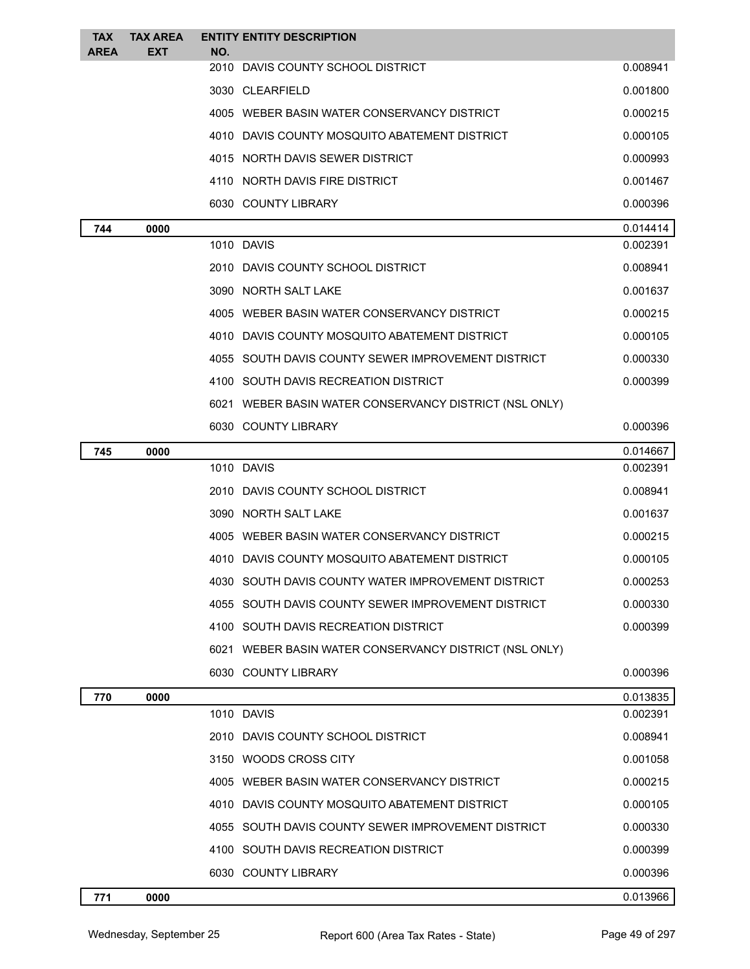| <b>TAX</b>  | <b>TAX AREA</b> | <b>ENTITY ENTITY DESCRIPTION</b>                       |          |
|-------------|-----------------|--------------------------------------------------------|----------|
| <b>AREA</b> | EXT             | NO.<br>2010 DAVIS COUNTY SCHOOL DISTRICT               | 0.008941 |
|             |                 | 3030 CLEARFIELD                                        | 0.001800 |
|             |                 | 4005 WEBER BASIN WATER CONSERVANCY DISTRICT            | 0.000215 |
|             |                 | 4010 DAVIS COUNTY MOSQUITO ABATEMENT DISTRICT          | 0.000105 |
|             |                 | 4015 NORTH DAVIS SEWER DISTRICT                        | 0.000993 |
|             |                 | 4110 NORTH DAVIS FIRE DISTRICT                         | 0.001467 |
|             |                 | 6030 COUNTY LIBRARY                                    | 0.000396 |
| 744         | 0000            |                                                        | 0.014414 |
|             |                 | 1010 DAVIS                                             | 0.002391 |
|             |                 | 2010 DAVIS COUNTY SCHOOL DISTRICT                      | 0.008941 |
|             |                 | 3090 NORTH SALT LAKE                                   | 0.001637 |
|             |                 | 4005 WEBER BASIN WATER CONSERVANCY DISTRICT            | 0.000215 |
|             |                 | 4010 DAVIS COUNTY MOSQUITO ABATEMENT DISTRICT          | 0.000105 |
|             |                 | 4055 SOUTH DAVIS COUNTY SEWER IMPROVEMENT DISTRICT     | 0.000330 |
|             |                 | 4100 SOUTH DAVIS RECREATION DISTRICT                   | 0.000399 |
|             |                 | 6021 WEBER BASIN WATER CONSERVANCY DISTRICT (NSL ONLY) |          |
|             |                 | 6030 COUNTY LIBRARY                                    | 0.000396 |
| 745         | 0000            |                                                        | 0.014667 |
|             |                 | 1010 DAVIS                                             | 0.002391 |
|             |                 | 2010 DAVIS COUNTY SCHOOL DISTRICT                      | 0.008941 |
|             |                 | 3090 NORTH SALT LAKE                                   | 0.001637 |
|             |                 | 4005 WEBER BASIN WATER CONSERVANCY DISTRICT            | 0.000215 |
|             |                 | 4010 DAVIS COUNTY MOSQUITO ABATEMENT DISTRICT          | 0.000105 |
|             |                 | 4030   SOUTH DAVIS COUNTY WATER IMPROVEMENT DISTRICT   | 0.000253 |
|             |                 | 4055 SOUTH DAVIS COUNTY SEWER IMPROVEMENT DISTRICT     | 0.000330 |
|             |                 | 4100 SOUTH DAVIS RECREATION DISTRICT                   | 0.000399 |
|             |                 | 6021 WEBER BASIN WATER CONSERVANCY DISTRICT (NSL ONLY) |          |
|             |                 | 6030 COUNTY LIBRARY                                    | 0.000396 |
| 770         | 0000            |                                                        | 0.013835 |
|             |                 | 1010 DAVIS                                             | 0.002391 |
|             |                 | 2010 DAVIS COUNTY SCHOOL DISTRICT                      | 0.008941 |
|             |                 | 3150 WOODS CROSS CITY                                  | 0.001058 |
|             |                 | 4005 WEBER BASIN WATER CONSERVANCY DISTRICT            | 0.000215 |
|             |                 | 4010 DAVIS COUNTY MOSQUITO ABATEMENT DISTRICT          | 0.000105 |
|             |                 | 4055 SOUTH DAVIS COUNTY SEWER IMPROVEMENT DISTRICT     | 0.000330 |
|             |                 | 4100 SOUTH DAVIS RECREATION DISTRICT                   | 0.000399 |
|             |                 | 6030 COUNTY LIBRARY                                    | 0.000396 |
| 771         | 0000            |                                                        | 0.013966 |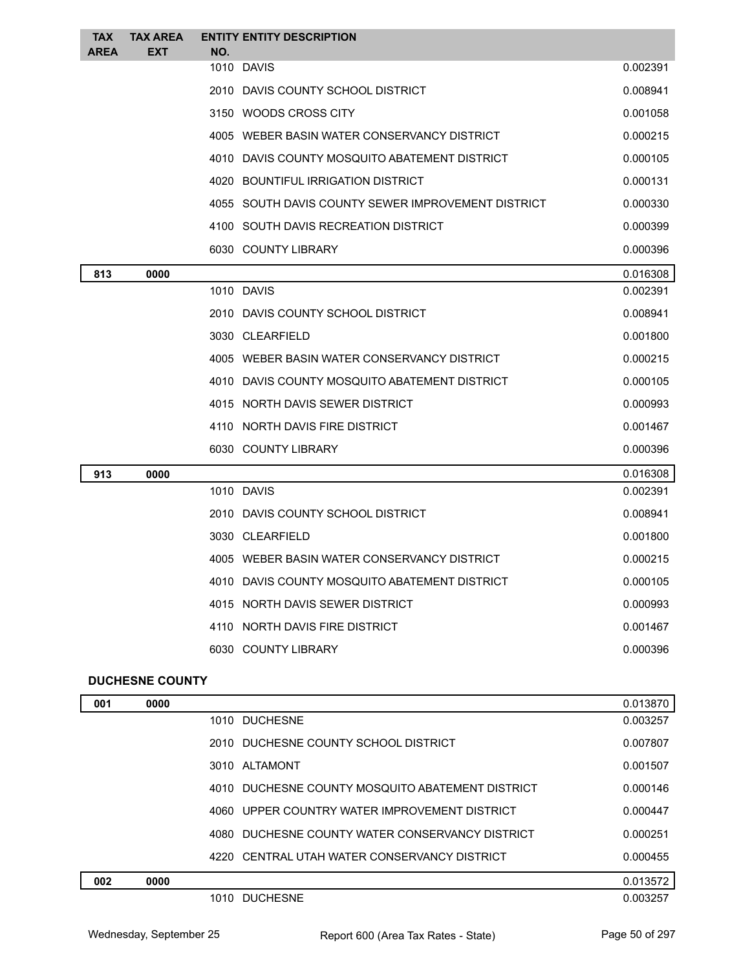| <b>TAX</b><br><b>AREA</b> | <b>TAX AREA</b><br><b>EXT</b> | NO. | <b>ENTITY ENTITY DESCRIPTION</b>                   |          |
|---------------------------|-------------------------------|-----|----------------------------------------------------|----------|
|                           |                               |     | 1010 DAVIS                                         | 0.002391 |
|                           |                               |     | 2010 DAVIS COUNTY SCHOOL DISTRICT                  | 0.008941 |
|                           |                               |     | 3150 WOODS CROSS CITY                              | 0.001058 |
|                           |                               |     | 4005 WEBER BASIN WATER CONSERVANCY DISTRICT        | 0.000215 |
|                           |                               |     | 4010 DAVIS COUNTY MOSQUITO ABATEMENT DISTRICT      | 0.000105 |
|                           |                               |     | 4020 BOUNTIFUL IRRIGATION DISTRICT                 | 0.000131 |
|                           |                               |     | 4055 SOUTH DAVIS COUNTY SEWER IMPROVEMENT DISTRICT | 0.000330 |
|                           |                               |     | 4100 SOUTH DAVIS RECREATION DISTRICT               | 0.000399 |
|                           |                               |     | 6030 COUNTY LIBRARY                                | 0.000396 |
| 813                       | 0000                          |     |                                                    | 0.016308 |
|                           |                               |     | 1010 DAVIS                                         | 0.002391 |
|                           |                               |     | 2010 DAVIS COUNTY SCHOOL DISTRICT                  | 0.008941 |
|                           |                               |     | 3030 CLEARFIELD                                    | 0.001800 |
|                           |                               |     | 4005 WEBER BASIN WATER CONSERVANCY DISTRICT        | 0.000215 |
|                           |                               |     | 4010 DAVIS COUNTY MOSQUITO ABATEMENT DISTRICT      | 0.000105 |
|                           |                               |     | 4015 NORTH DAVIS SEWER DISTRICT                    | 0.000993 |
|                           |                               |     | 4110 NORTH DAVIS FIRE DISTRICT                     | 0.001467 |
|                           |                               |     | 6030 COUNTY LIBRARY                                | 0.000396 |
| 913                       | 0000                          |     |                                                    | 0.016308 |
|                           |                               |     | 1010 DAVIS                                         | 0.002391 |
|                           |                               |     | 2010 DAVIS COUNTY SCHOOL DISTRICT                  | 0.008941 |
|                           |                               |     | 3030 CLEARFIELD                                    | 0.001800 |
|                           |                               |     | 4005 WEBER BASIN WATER CONSERVANCY DISTRICT        | 0.000215 |
|                           |                               |     | 4010 DAVIS COUNTY MOSQUITO ABATEMENT DISTRICT      | 0.000105 |
|                           |                               |     | 4015 NORTH DAVIS SEWER DISTRICT                    | 0.000993 |
|                           |                               |     | 4110 NORTH DAVIS FIRE DISTRICT                     | 0.001467 |
|                           |                               |     | 6030 COUNTY LIBRARY                                | 0.000396 |
|                           | <b>DUCHESNE COUNTY</b>        |     |                                                    |          |

| 001 | 0000 |                                                  | 0.013870 |
|-----|------|--------------------------------------------------|----------|
|     |      | 1010 DUCHESNE                                    | 0.003257 |
|     |      | 2010 DUCHESNE COUNTY SCHOOL DISTRICT             | 0.007807 |
|     |      | 3010 ALTAMONT                                    | 0.001507 |
|     |      | 4010 DUCHESNE COUNTY MOSQUITO ABATEMENT DISTRICT | 0.000146 |
|     |      | 4060 UPPER COUNTRY WATER IMPROVEMENT DISTRICT    | 0.000447 |
|     |      | 4080 DUCHESNE COUNTY WATER CONSERVANCY DISTRICT  | 0.000251 |
|     |      | 4220 CENTRAL UTAH WATER CONSERVANCY DISTRICT     | 0.000455 |
| 002 | 0000 |                                                  | 0.013572 |
|     |      | 1010 DUCHESNE                                    | 0.003257 |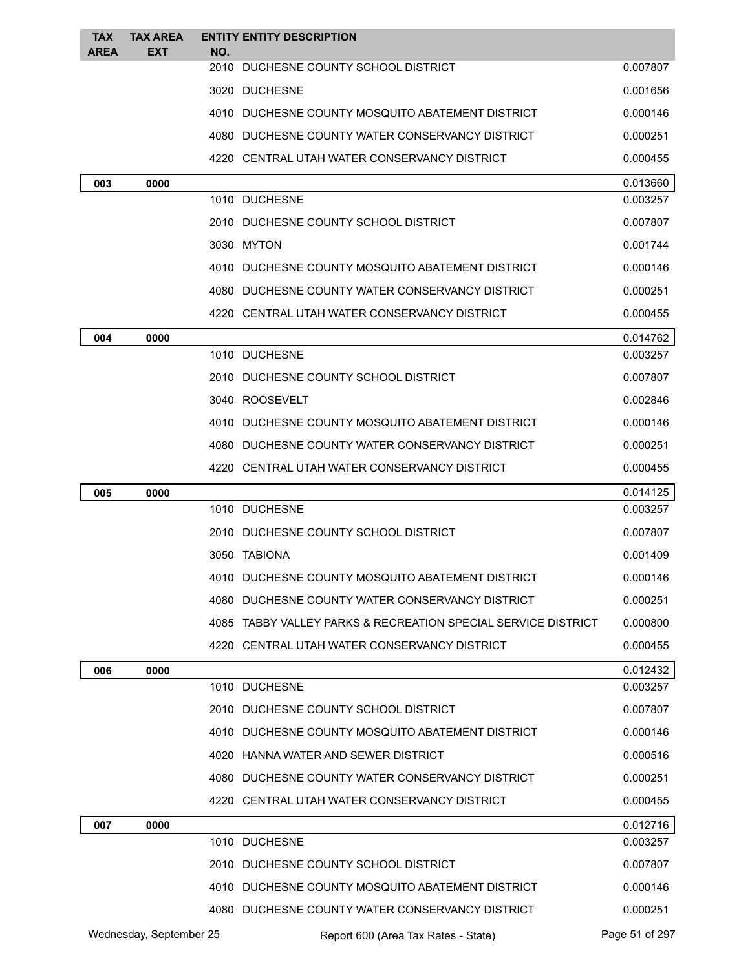| <b>TAX</b><br><b>AREA</b> | <b>TAX AREA</b><br>EXT  | NO.  | <b>ENTITY ENTITY DESCRIPTION</b>                              |                |
|---------------------------|-------------------------|------|---------------------------------------------------------------|----------------|
|                           |                         |      | 2010 DUCHESNE COUNTY SCHOOL DISTRICT                          | 0.007807       |
|                           |                         |      | 3020 DUCHESNE                                                 | 0.001656       |
|                           |                         |      | 4010 DUCHESNE COUNTY MOSQUITO ABATEMENT DISTRICT              | 0.000146       |
|                           |                         |      | 4080 DUCHESNE COUNTY WATER CONSERVANCY DISTRICT               | 0.000251       |
|                           |                         |      | 4220 CENTRAL UTAH WATER CONSERVANCY DISTRICT                  | 0.000455       |
| 003                       | 0000                    |      |                                                               | 0.013660       |
|                           |                         |      | 1010 DUCHESNE                                                 | 0.003257       |
|                           |                         |      | 2010 DUCHESNE COUNTY SCHOOL DISTRICT                          | 0.007807       |
|                           |                         |      | 3030 MYTON                                                    | 0.001744       |
|                           |                         |      | 4010 DUCHESNE COUNTY MOSQUITO ABATEMENT DISTRICT              | 0.000146       |
|                           |                         |      | 4080 DUCHESNE COUNTY WATER CONSERVANCY DISTRICT               | 0.000251       |
|                           |                         |      | 4220 CENTRAL UTAH WATER CONSERVANCY DISTRICT                  | 0.000455       |
| 004                       | 0000                    |      |                                                               | 0.014762       |
|                           |                         |      | 1010 DUCHESNE                                                 | 0.003257       |
|                           |                         |      | 2010 DUCHESNE COUNTY SCHOOL DISTRICT                          | 0.007807       |
|                           |                         |      | 3040 ROOSEVELT                                                | 0.002846       |
|                           |                         |      | 4010 DUCHESNE COUNTY MOSQUITO ABATEMENT DISTRICT              | 0.000146       |
|                           |                         |      | 4080 DUCHESNE COUNTY WATER CONSERVANCY DISTRICT               | 0.000251       |
|                           |                         |      | 4220 CENTRAL UTAH WATER CONSERVANCY DISTRICT                  | 0.000455       |
| 005                       | 0000                    |      |                                                               | 0.014125       |
|                           |                         |      | 1010 DUCHESNE                                                 | 0.003257       |
|                           |                         |      | 2010 DUCHESNE COUNTY SCHOOL DISTRICT                          | 0.007807       |
|                           |                         |      | 3050 TABIONA                                                  | 0.001409       |
|                           |                         |      | 4010 DUCHESNE COUNTY MOSQUITO ABATEMENT DISTRICT              | 0.000146       |
|                           |                         |      | 4080 DUCHESNE COUNTY WATER CONSERVANCY DISTRICT               | 0.000251       |
|                           |                         |      | 4085 TABBY VALLEY PARKS & RECREATION SPECIAL SERVICE DISTRICT | 0.000800       |
|                           |                         |      | 4220 CENTRAL UTAH WATER CONSERVANCY DISTRICT                  | 0.000455       |
| 006                       | 0000                    |      |                                                               | 0.012432       |
|                           |                         |      | 1010 DUCHESNE                                                 | 0.003257       |
|                           |                         |      | 2010 DUCHESNE COUNTY SCHOOL DISTRICT                          | 0.007807       |
|                           |                         |      | 4010 DUCHESNE COUNTY MOSQUITO ABATEMENT DISTRICT              | 0.000146       |
|                           |                         |      | 4020 HANNA WATER AND SEWER DISTRICT                           | 0.000516       |
|                           |                         |      | 4080 DUCHESNE COUNTY WATER CONSERVANCY DISTRICT               | 0.000251       |
|                           |                         |      | 4220 CENTRAL UTAH WATER CONSERVANCY DISTRICT                  | 0.000455       |
| 007                       | 0000                    |      |                                                               | 0.012716       |
|                           |                         |      | 1010 DUCHESNE                                                 | 0.003257       |
|                           |                         |      | 2010 DUCHESNE COUNTY SCHOOL DISTRICT                          | 0.007807       |
|                           |                         | 4010 | DUCHESNE COUNTY MOSQUITO ABATEMENT DISTRICT                   | 0.000146       |
|                           |                         |      | 4080 DUCHESNE COUNTY WATER CONSERVANCY DISTRICT               | 0.000251       |
|                           | Wednesday, September 25 |      | Report 600 (Area Tax Rates - State)                           | Page 51 of 297 |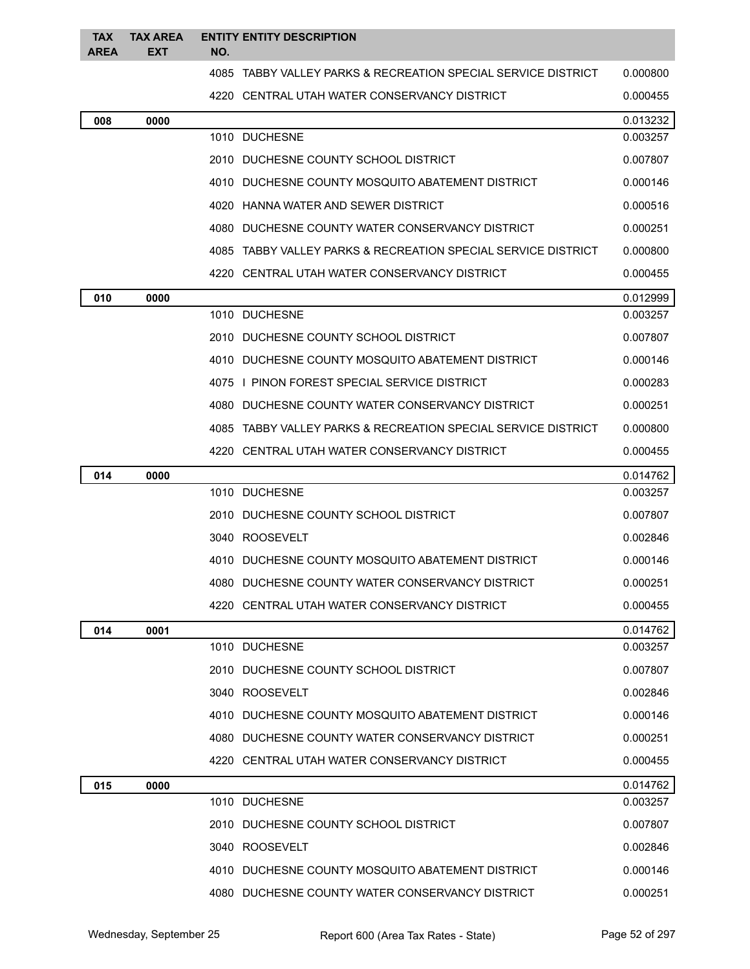| <b>TAX</b><br><b>AREA</b> | <b>TAX AREA</b><br><b>EXT</b> | NO. | <b>ENTITY ENTITY DESCRIPTION</b>                              |          |
|---------------------------|-------------------------------|-----|---------------------------------------------------------------|----------|
|                           |                               |     | 4085 TABBY VALLEY PARKS & RECREATION SPECIAL SERVICE DISTRICT | 0.000800 |
|                           |                               |     | 4220 CENTRAL UTAH WATER CONSERVANCY DISTRICT                  | 0.000455 |
| 008                       | 0000                          |     |                                                               | 0.013232 |
|                           |                               |     | 1010 DUCHESNE                                                 | 0.003257 |
|                           |                               |     | 2010 DUCHESNE COUNTY SCHOOL DISTRICT                          | 0.007807 |
|                           |                               |     | 4010 DUCHESNE COUNTY MOSQUITO ABATEMENT DISTRICT              | 0.000146 |
|                           |                               |     | 4020 HANNA WATER AND SEWER DISTRICT                           | 0.000516 |
|                           |                               |     | 4080 DUCHESNE COUNTY WATER CONSERVANCY DISTRICT               | 0.000251 |
|                           |                               |     | 4085 TABBY VALLEY PARKS & RECREATION SPECIAL SERVICE DISTRICT | 0.000800 |
|                           |                               |     | 4220 CENTRAL UTAH WATER CONSERVANCY DISTRICT                  | 0.000455 |
| 010                       | 0000                          |     |                                                               | 0.012999 |
|                           |                               |     | 1010 DUCHESNE                                                 | 0.003257 |
|                           |                               |     | 2010 DUCHESNE COUNTY SCHOOL DISTRICT                          | 0.007807 |
|                           |                               |     | 4010 DUCHESNE COUNTY MOSQUITO ABATEMENT DISTRICT              | 0.000146 |
|                           |                               |     | 4075 I PINON FOREST SPECIAL SERVICE DISTRICT                  | 0.000283 |
|                           |                               |     | 4080 DUCHESNE COUNTY WATER CONSERVANCY DISTRICT               | 0.000251 |
|                           |                               |     | 4085 TABBY VALLEY PARKS & RECREATION SPECIAL SERVICE DISTRICT | 0.000800 |
|                           |                               |     | 4220 CENTRAL UTAH WATER CONSERVANCY DISTRICT                  | 0.000455 |
| 014                       | 0000                          |     |                                                               | 0.014762 |
|                           |                               |     | 1010 DUCHESNE                                                 | 0.003257 |
|                           |                               |     | 2010 DUCHESNE COUNTY SCHOOL DISTRICT                          | 0.007807 |
|                           |                               |     | 3040 ROOSEVELT                                                | 0.002846 |
|                           |                               |     | 4010 DUCHESNE COUNTY MOSQUITO ABATEMENT DISTRICT              | 0.000146 |
|                           |                               |     | 4080 DUCHESNE COUNTY WATER CONSERVANCY DISTRICT               | 0.000251 |
|                           |                               |     | 4220 CENTRAL UTAH WATER CONSERVANCY DISTRICT                  | 0.000455 |
| 014                       | 0001                          |     |                                                               | 0.014762 |
|                           |                               |     | 1010 DUCHESNE                                                 | 0.003257 |
|                           |                               |     | 2010 DUCHESNE COUNTY SCHOOL DISTRICT                          | 0.007807 |
|                           |                               |     | 3040 ROOSEVELT                                                | 0.002846 |
|                           |                               |     | 4010 DUCHESNE COUNTY MOSQUITO ABATEMENT DISTRICT              | 0.000146 |
|                           |                               |     | 4080 DUCHESNE COUNTY WATER CONSERVANCY DISTRICT               | 0.000251 |
|                           |                               |     | 4220 CENTRAL UTAH WATER CONSERVANCY DISTRICT                  | 0.000455 |
| 015                       | 0000                          |     |                                                               | 0.014762 |
|                           |                               |     | 1010 DUCHESNE                                                 | 0.003257 |
|                           |                               |     | 2010 DUCHESNE COUNTY SCHOOL DISTRICT                          | 0.007807 |
|                           |                               |     | 3040 ROOSEVELT                                                | 0.002846 |
|                           |                               |     | 4010 DUCHESNE COUNTY MOSQUITO ABATEMENT DISTRICT              | 0.000146 |
|                           |                               |     | 4080 DUCHESNE COUNTY WATER CONSERVANCY DISTRICT               | 0.000251 |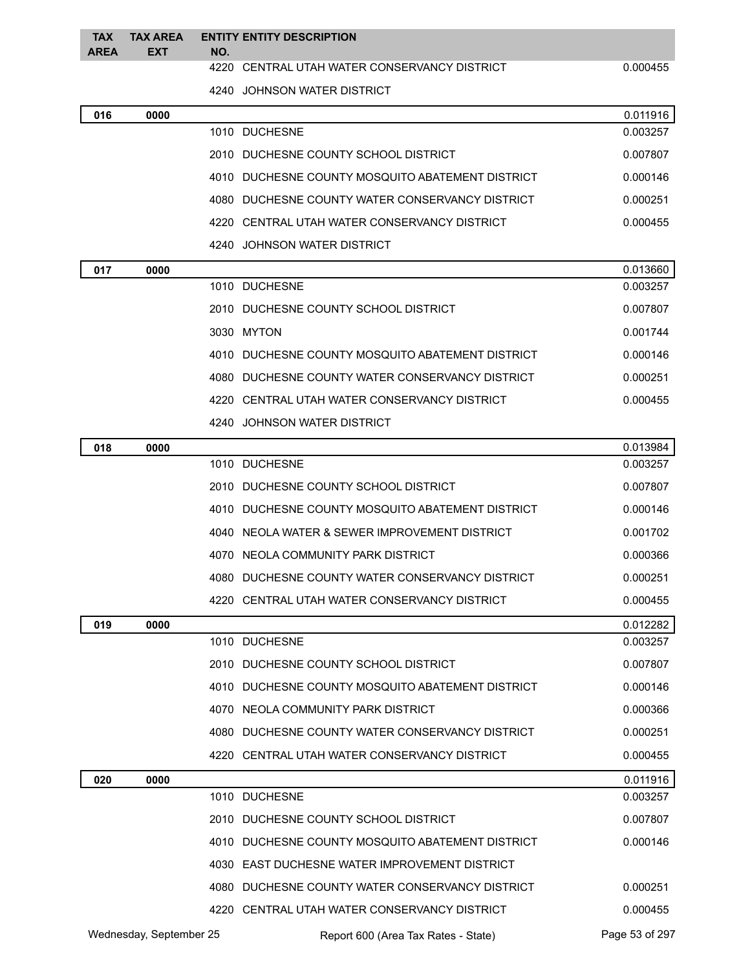| <b>TAX</b><br><b>AREA</b> | <b>TAX AREA</b><br><b>EXT</b> | NO. | <b>ENTITY ENTITY DESCRIPTION</b>                 |          |
|---------------------------|-------------------------------|-----|--------------------------------------------------|----------|
|                           |                               |     | 4220 CENTRAL UTAH WATER CONSERVANCY DISTRICT     | 0.000455 |
|                           |                               |     | 4240 JOHNSON WATER DISTRICT                      |          |
| 016                       | 0000                          |     |                                                  | 0.011916 |
|                           |                               |     | 1010 DUCHESNE                                    | 0.003257 |
|                           |                               |     | 2010 DUCHESNE COUNTY SCHOOL DISTRICT             | 0.007807 |
|                           |                               |     | 4010 DUCHESNE COUNTY MOSQUITO ABATEMENT DISTRICT | 0.000146 |
|                           |                               |     | 4080 DUCHESNE COUNTY WATER CONSERVANCY DISTRICT  | 0.000251 |
|                           |                               |     | 4220 CENTRAL UTAH WATER CONSERVANCY DISTRICT     | 0.000455 |
|                           |                               |     | 4240 JOHNSON WATER DISTRICT                      |          |
| 017                       | 0000                          |     |                                                  | 0.013660 |
|                           |                               |     | 1010 DUCHESNE                                    | 0.003257 |
|                           |                               |     | 2010 DUCHESNE COUNTY SCHOOL DISTRICT             | 0.007807 |
|                           |                               |     | 3030 MYTON                                       | 0.001744 |
|                           |                               |     | 4010 DUCHESNE COUNTY MOSQUITO ABATEMENT DISTRICT | 0.000146 |
|                           |                               |     | 4080 DUCHESNE COUNTY WATER CONSERVANCY DISTRICT  | 0.000251 |
|                           |                               |     | 4220 CENTRAL UTAH WATER CONSERVANCY DISTRICT     | 0.000455 |
|                           |                               |     | 4240 JOHNSON WATER DISTRICT                      |          |
| 018                       | 0000                          |     |                                                  | 0.013984 |
|                           |                               |     | 1010 DUCHESNE                                    | 0.003257 |
|                           |                               |     | 2010 DUCHESNE COUNTY SCHOOL DISTRICT             | 0.007807 |
|                           |                               |     | 4010 DUCHESNE COUNTY MOSQUITO ABATEMENT DISTRICT | 0.000146 |
|                           |                               |     | 4040 NEOLA WATER & SEWER IMPROVEMENT DISTRICT    | 0.001702 |
|                           |                               |     | 4070 NEOLA COMMUNITY PARK DISTRICT               | 0.000366 |
|                           |                               |     | 4080 DUCHESNE COUNTY WATER CONSERVANCY DISTRICT  | 0.000251 |
|                           |                               |     | 4220 CENTRAL UTAH WATER CONSERVANCY DISTRICT     | 0.000455 |
| 019                       | 0000                          |     |                                                  | 0.012282 |
|                           |                               |     | 1010 DUCHESNE                                    | 0.003257 |
|                           |                               |     | 2010 DUCHESNE COUNTY SCHOOL DISTRICT             | 0.007807 |
|                           |                               |     | 4010 DUCHESNE COUNTY MOSQUITO ABATEMENT DISTRICT | 0.000146 |
|                           |                               |     | 4070 NEOLA COMMUNITY PARK DISTRICT               | 0.000366 |
|                           |                               |     | 4080 DUCHESNE COUNTY WATER CONSERVANCY DISTRICT  | 0.000251 |
|                           |                               |     | 4220 CENTRAL UTAH WATER CONSERVANCY DISTRICT     | 0.000455 |
| 020                       | 0000                          |     |                                                  | 0.011916 |

| 020 | 0000                    |                                                  | 0.011916       |
|-----|-------------------------|--------------------------------------------------|----------------|
|     |                         | <b>DUCHESNE</b><br>1010                          | 0.003257       |
|     |                         | 2010 DUCHESNE COUNTY SCHOOL DISTRICT             | 0.007807       |
|     |                         | 4010 DUCHESNE COUNTY MOSQUITO ABATEMENT DISTRICT | 0.000146       |
|     |                         | 4030 EAST DUCHESNE WATER IMPROVEMENT DISTRICT    |                |
|     |                         | 4080 DUCHESNE COUNTY WATER CONSERVANCY DISTRICT  | 0.000251       |
|     |                         | 4220 CENTRAL UTAH WATER CONSERVANCY DISTRICT     | 0.000455       |
|     | Wednesday, September 25 | Report 600 (Area Tax Rates - State)              | Page 53 of 297 |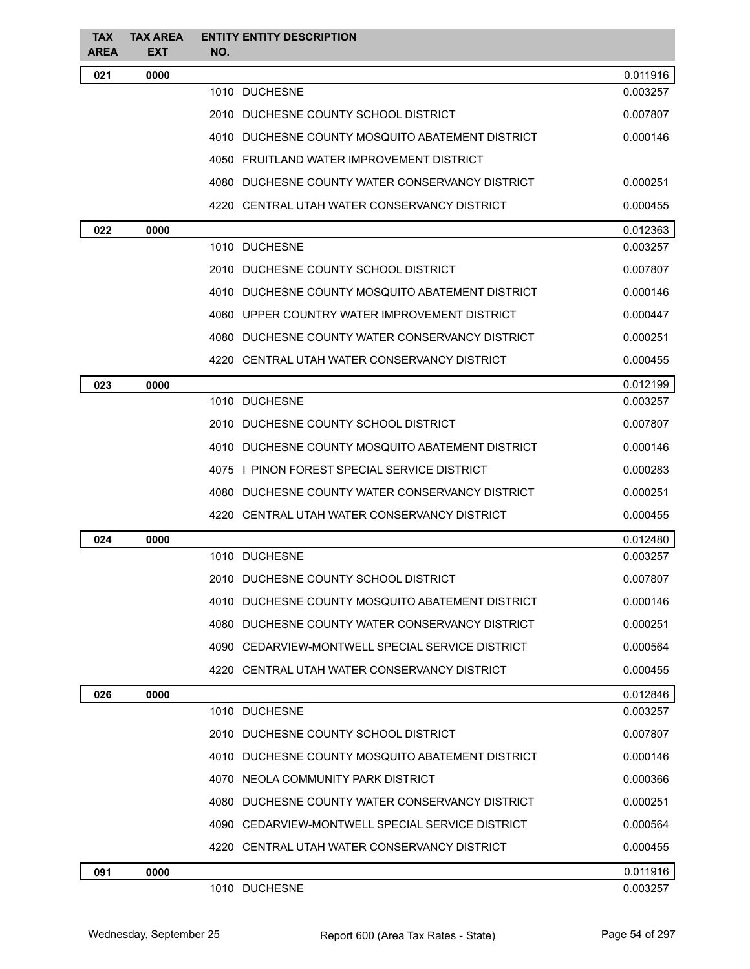| <b>TAX</b><br><b>AREA</b> | <b>TAX AREA</b><br><b>EXT</b> | <b>ENTITY ENTITY DESCRIPTION</b><br>NO.          |          |
|---------------------------|-------------------------------|--------------------------------------------------|----------|
| 021                       | 0000                          |                                                  | 0.011916 |
|                           |                               | 1010 DUCHESNE                                    | 0.003257 |
|                           |                               | 2010 DUCHESNE COUNTY SCHOOL DISTRICT             | 0.007807 |
|                           |                               | 4010 DUCHESNE COUNTY MOSQUITO ABATEMENT DISTRICT | 0.000146 |
|                           |                               | 4050 FRUITLAND WATER IMPROVEMENT DISTRICT        |          |
|                           |                               | 4080 DUCHESNE COUNTY WATER CONSERVANCY DISTRICT  | 0.000251 |
|                           |                               | 4220 CENTRAL UTAH WATER CONSERVANCY DISTRICT     | 0.000455 |
| 022                       | 0000                          |                                                  | 0.012363 |
|                           |                               | 1010 DUCHESNE                                    | 0.003257 |
|                           |                               | 2010 DUCHESNE COUNTY SCHOOL DISTRICT             | 0.007807 |
|                           |                               | 4010 DUCHESNE COUNTY MOSQUITO ABATEMENT DISTRICT | 0.000146 |
|                           |                               | 4060 UPPER COUNTRY WATER IMPROVEMENT DISTRICT    | 0.000447 |
|                           |                               | 4080 DUCHESNE COUNTY WATER CONSERVANCY DISTRICT  | 0.000251 |
|                           |                               | 4220 CENTRAL UTAH WATER CONSERVANCY DISTRICT     | 0.000455 |
| 023                       | 0000                          |                                                  | 0.012199 |
|                           |                               | 1010 DUCHESNE                                    | 0.003257 |
|                           |                               | 2010 DUCHESNE COUNTY SCHOOL DISTRICT             | 0.007807 |
|                           |                               | 4010 DUCHESNE COUNTY MOSQUITO ABATEMENT DISTRICT | 0.000146 |
|                           |                               | 4075 I PINON FOREST SPECIAL SERVICE DISTRICT     | 0.000283 |
|                           |                               | 4080 DUCHESNE COUNTY WATER CONSERVANCY DISTRICT  | 0.000251 |
|                           |                               | 4220 CENTRAL UTAH WATER CONSERVANCY DISTRICT     | 0.000455 |
| 024                       | 0000                          |                                                  | 0.012480 |
|                           |                               | 1010 DUCHESNE                                    | 0.003257 |
|                           |                               | 2010 DUCHESNE COUNTY SCHOOL DISTRICT             | 0.007807 |
|                           |                               | 4010 DUCHESNE COUNTY MOSQUITO ABATEMENT DISTRICT | 0.000146 |
|                           |                               | 4080 DUCHESNE COUNTY WATER CONSERVANCY DISTRICT  | 0.000251 |
|                           |                               | 4090 CEDARVIEW-MONTWELL SPECIAL SERVICE DISTRICT | 0.000564 |
|                           |                               | 4220 CENTRAL UTAH WATER CONSERVANCY DISTRICT     | 0.000455 |
| 026                       | 0000                          |                                                  | 0.012846 |
|                           |                               | 1010 DUCHESNE                                    | 0.003257 |
|                           |                               | 2010 DUCHESNE COUNTY SCHOOL DISTRICT             | 0.007807 |
|                           |                               | 4010 DUCHESNE COUNTY MOSQUITO ABATEMENT DISTRICT | 0.000146 |
|                           |                               | 4070 NEOLA COMMUNITY PARK DISTRICT               | 0.000366 |
|                           |                               | 4080 DUCHESNE COUNTY WATER CONSERVANCY DISTRICT  | 0.000251 |
|                           |                               | 4090 CEDARVIEW-MONTWELL SPECIAL SERVICE DISTRICT | 0.000564 |
|                           |                               | 4220 CENTRAL UTAH WATER CONSERVANCY DISTRICT     | 0.000455 |
| 091                       | 0000                          |                                                  | 0.011916 |
|                           |                               | 1010 DUCHESNE                                    | 0.003257 |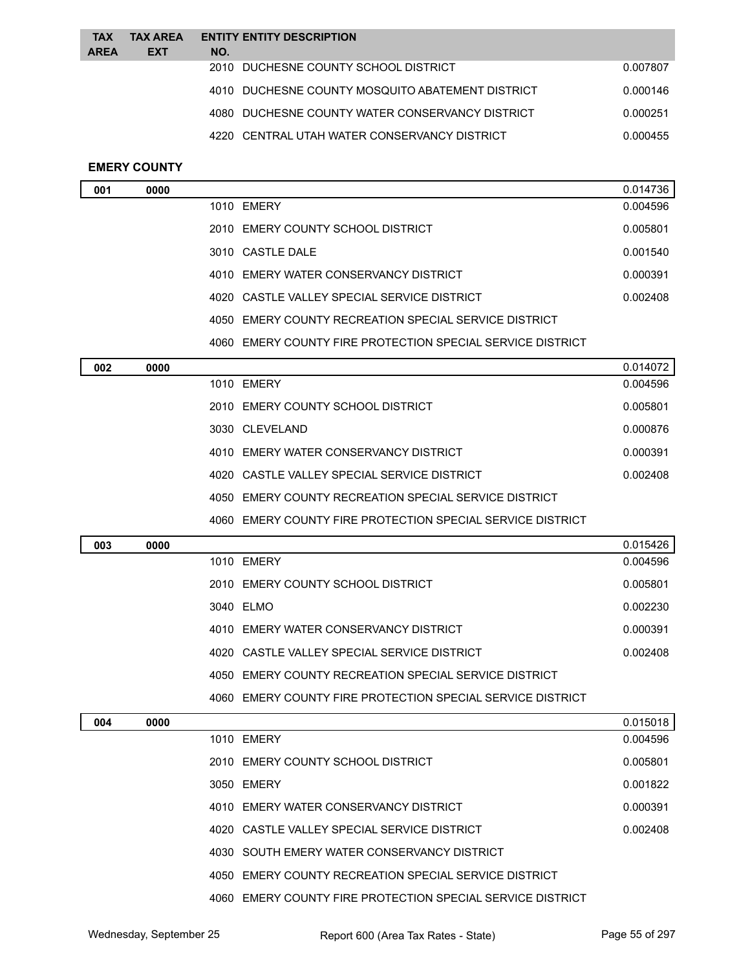| <b>TAX</b>  | <b>TAX AREA</b> |     | <b>ENTITY ENTITY DESCRIPTION</b>                 |          |
|-------------|-----------------|-----|--------------------------------------------------|----------|
| <b>AREA</b> | <b>EXT</b>      | NO. |                                                  |          |
|             |                 |     | 2010 DUCHESNE COUNTY SCHOOL DISTRICT             | 0.007807 |
|             |                 |     | 4010 DUCHESNE COUNTY MOSQUITO ABATEMENT DISTRICT | 0.000146 |
|             |                 |     | 4080 DUCHESNE COUNTY WATER CONSERVANCY DISTRICT  | 0.000251 |
|             |                 |     | 4220 CENTRAL UTAH WATER CONSERVANCY DISTRICT     | 0.000455 |
|             |                 |     |                                                  |          |

# **EMERY COUNTY**

| 001 | 0000 |                                                       | 0.014736 |
|-----|------|-------------------------------------------------------|----------|
|     |      | 1010 EMERY                                            | 0.004596 |
|     |      | 2010 EMERY COUNTY SCHOOL DISTRICT                     | 0.005801 |
|     |      | 3010 CASTLE DALE                                      | 0.001540 |
|     |      | 4010 EMERY WATER CONSERVANCY DISTRICT                 | 0.000391 |
|     |      | 4020 CASTLE VALLEY SPECIAL SERVICE DISTRICT           | 0.002408 |
|     |      | 4050 EMERY COUNTY RECREATION SPECIAL SERVICE DISTRICT |          |
|     |      |                                                       |          |

EMERY COUNTY FIRE PROTECTION SPECIAL SERVICE DISTRICT

| 002 | 0000 |                                                            | 0.014072 |
|-----|------|------------------------------------------------------------|----------|
|     |      | 1010 EMERY                                                 | 0.004596 |
|     |      | 2010 EMERY COUNTY SCHOOL DISTRICT                          | 0.005801 |
|     |      | 3030 CLEVELAND                                             | 0.000876 |
|     |      | 4010 EMERY WATER CONSERVANCY DISTRICT                      | 0.000391 |
|     |      | 4020 CASTLE VALLEY SPECIAL SERVICE DISTRICT                | 0.002408 |
|     |      | 4050 EMERY COUNTY RECREATION SPECIAL SERVICE DISTRICT      |          |
|     |      | 4060 EMERY COUNTY FIRE PROTECTION SPECIAL SERVICE DISTRICT |          |

| 003 | 0000 |                                                               | 0.015426 |
|-----|------|---------------------------------------------------------------|----------|
|     |      | 1010 FMFRY                                                    | 0.004596 |
|     |      | 2010 EMERY COUNTY SCHOOL DISTRICT                             | 0.005801 |
|     |      | 3040 ELMO                                                     | 0.002230 |
|     |      | 4010 EMERY WATER CONSERVANCY DISTRICT                         | 0.000391 |
|     |      | 4020 CASTLE VALLEY SPECIAL SERVICE DISTRICT                   | 0.002408 |
|     |      | 4050 EMERY COUNTY RECREATION SPECIAL SERVICE DISTRICT         |          |
|     |      | EMERY COUNTY FIRE PROTECTION SPECIAL SERVICE DISTRICT<br>4060 |          |

| 004 | 0000 |                                                               | 0.015018 |
|-----|------|---------------------------------------------------------------|----------|
|     |      | 1010 EMERY                                                    | 0.004596 |
|     |      | 2010 EMERY COUNTY SCHOOL DISTRICT                             | 0.005801 |
|     |      | 3050 EMERY                                                    | 0.001822 |
|     |      | 4010 EMERY WATER CONSERVANCY DISTRICT                         | 0.000391 |
|     |      | 4020 CASTLE VALLEY SPECIAL SERVICE DISTRICT                   | 0.002408 |
|     |      | 4030 SOUTH EMERY WATER CONSERVANCY DISTRICT                   |          |
|     |      | 4050 EMERY COUNTY RECREATION SPECIAL SERVICE DISTRICT         |          |
|     |      | EMERY COUNTY FIRE PROTECTION SPECIAL SERVICE DISTRICT<br>4060 |          |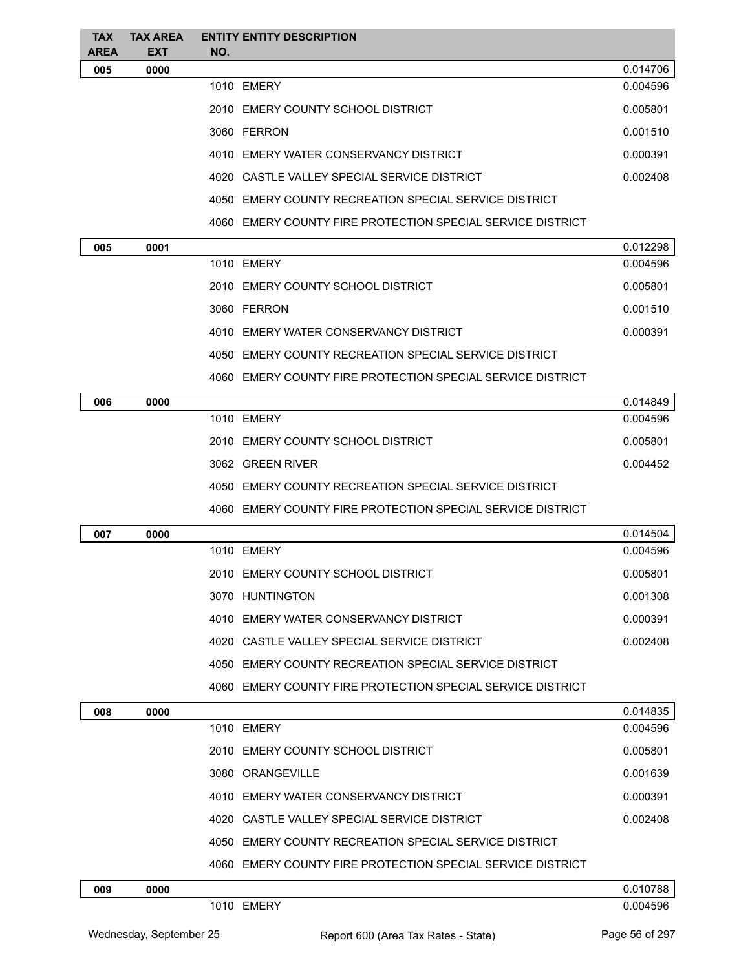| <b>TAX</b>         | <b>TAX AREA</b>    | <b>ENTITY ENTITY DESCRIPTION</b>                           |          |
|--------------------|--------------------|------------------------------------------------------------|----------|
| <b>AREA</b><br>005 | <b>EXT</b><br>0000 | NO.                                                        | 0.014706 |
|                    |                    | 1010 EMERY                                                 | 0.004596 |
|                    |                    | 2010 EMERY COUNTY SCHOOL DISTRICT                          | 0.005801 |
|                    |                    | 3060 FERRON                                                | 0.001510 |
|                    |                    | 4010 EMERY WATER CONSERVANCY DISTRICT                      | 0.000391 |
|                    |                    | 4020 CASTLE VALLEY SPECIAL SERVICE DISTRICT                | 0.002408 |
|                    |                    | 4050 EMERY COUNTY RECREATION SPECIAL SERVICE DISTRICT      |          |
|                    |                    | 4060 EMERY COUNTY FIRE PROTECTION SPECIAL SERVICE DISTRICT |          |
| 005                | 0001               |                                                            | 0.012298 |
|                    |                    | 1010 EMERY                                                 | 0.004596 |
|                    |                    | 2010 EMERY COUNTY SCHOOL DISTRICT                          | 0.005801 |
|                    |                    | 3060 FERRON                                                | 0.001510 |
|                    |                    | 4010 EMERY WATER CONSERVANCY DISTRICT                      | 0.000391 |
|                    |                    | 4050 EMERY COUNTY RECREATION SPECIAL SERVICE DISTRICT      |          |
|                    |                    | 4060 EMERY COUNTY FIRE PROTECTION SPECIAL SERVICE DISTRICT |          |
| 006                | 0000               |                                                            | 0.014849 |
|                    |                    | 1010 EMERY                                                 | 0.004596 |
|                    |                    | 2010 EMERY COUNTY SCHOOL DISTRICT                          | 0.005801 |
|                    |                    | 3062 GREEN RIVER                                           | 0.004452 |
|                    |                    | 4050 EMERY COUNTY RECREATION SPECIAL SERVICE DISTRICT      |          |
|                    |                    | 4060 EMERY COUNTY FIRE PROTECTION SPECIAL SERVICE DISTRICT |          |
| 007                | 0000               |                                                            | 0.014504 |
|                    |                    | 1010 EMERY                                                 | 0.004596 |
|                    |                    | 2010 EMERY COUNTY SCHOOL DISTRICT                          | 0.005801 |
|                    |                    | 3070 HUNTINGTON                                            | 0.001308 |
|                    |                    | 4010 EMERY WATER CONSERVANCY DISTRICT                      | 0.000391 |
|                    |                    | 4020 CASTLE VALLEY SPECIAL SERVICE DISTRICT                | 0.002408 |
|                    |                    | 4050 EMERY COUNTY RECREATION SPECIAL SERVICE DISTRICT      |          |
|                    |                    | 4060 EMERY COUNTY FIRE PROTECTION SPECIAL SERVICE DISTRICT |          |
| 008                | 0000               |                                                            | 0.014835 |
|                    |                    | 1010 EMERY                                                 | 0.004596 |
|                    |                    | 2010 EMERY COUNTY SCHOOL DISTRICT                          | 0.005801 |
|                    |                    | 3080 ORANGEVILLE                                           | 0.001639 |
|                    |                    | 4010 EMERY WATER CONSERVANCY DISTRICT                      | 0.000391 |
|                    |                    | 4020 CASTLE VALLEY SPECIAL SERVICE DISTRICT                | 0.002408 |
|                    |                    | 4050 EMERY COUNTY RECREATION SPECIAL SERVICE DISTRICT      |          |
|                    |                    | 4060 EMERY COUNTY FIRE PROTECTION SPECIAL SERVICE DISTRICT |          |
| 009                | 0000               |                                                            | 0.010788 |
|                    |                    | 1010 EMERY                                                 | 0.004596 |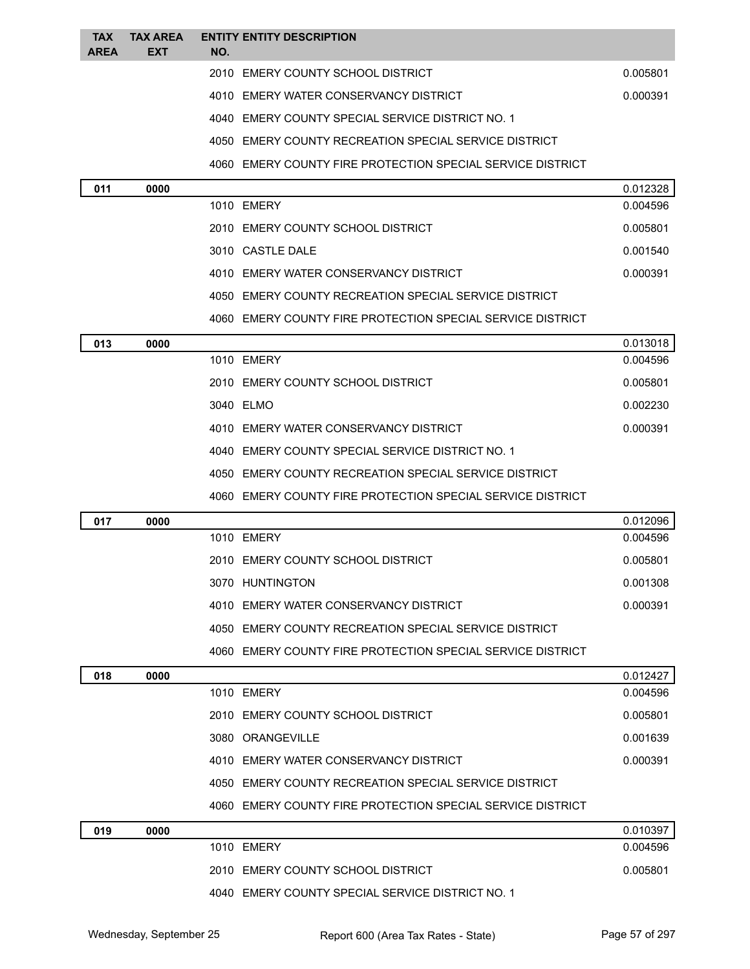| <b>TAX</b>  | <b>TAX AREA</b> | <b>ENTITY ENTITY DESCRIPTION</b> |                                                            |                      |
|-------------|-----------------|----------------------------------|------------------------------------------------------------|----------------------|
| <b>AREA</b> | <b>EXT</b>      | NO.                              | 2010 EMERY COUNTY SCHOOL DISTRICT                          |                      |
|             |                 |                                  |                                                            | 0.005801             |
|             |                 |                                  | 4010 EMERY WATER CONSERVANCY DISTRICT                      | 0.000391             |
|             |                 |                                  | 4040 EMERY COUNTY SPECIAL SERVICE DISTRICT NO. 1           |                      |
|             |                 |                                  | 4050 EMERY COUNTY RECREATION SPECIAL SERVICE DISTRICT      |                      |
|             |                 |                                  | 4060 EMERY COUNTY FIRE PROTECTION SPECIAL SERVICE DISTRICT |                      |
| 011         | 0000            | 1010 EMERY                       |                                                            | 0.012328<br>0.004596 |
|             |                 |                                  | 2010 EMERY COUNTY SCHOOL DISTRICT                          | 0.005801             |
|             |                 | 3010 CASTLE DALE                 |                                                            | 0.001540             |
|             |                 |                                  | 4010 EMERY WATER CONSERVANCY DISTRICT                      | 0.000391             |
|             |                 |                                  | 4050 EMERY COUNTY RECREATION SPECIAL SERVICE DISTRICT      |                      |
|             |                 |                                  |                                                            |                      |
|             |                 |                                  | 4060 EMERY COUNTY FIRE PROTECTION SPECIAL SERVICE DISTRICT |                      |
| 013         | 0000            | 1010 EMERY                       |                                                            | 0.013018<br>0.004596 |
|             |                 |                                  | 2010 EMERY COUNTY SCHOOL DISTRICT                          | 0.005801             |
|             |                 | 3040 ELMO                        |                                                            | 0.002230             |
|             |                 |                                  | 4010 EMERY WATER CONSERVANCY DISTRICT                      | 0.000391             |
|             |                 |                                  | 4040 EMERY COUNTY SPECIAL SERVICE DISTRICT NO. 1           |                      |
|             |                 |                                  | 4050 EMERY COUNTY RECREATION SPECIAL SERVICE DISTRICT      |                      |
|             |                 |                                  | 4060 EMERY COUNTY FIRE PROTECTION SPECIAL SERVICE DISTRICT |                      |
|             |                 |                                  |                                                            | 0.012096             |
| 017         | 0000            | 1010 EMERY                       |                                                            | 0.004596             |
|             |                 |                                  | 2010 EMERY COUNTY SCHOOL DISTRICT                          | 0.005801             |
|             |                 | 3070 HUNTINGTON                  |                                                            | 0.001308             |
|             |                 |                                  | 4010 EMERY WATER CONSERVANCY DISTRICT                      | 0.000391             |
|             |                 |                                  | 4050 EMERY COUNTY RECREATION SPECIAL SERVICE DISTRICT      |                      |
|             |                 |                                  | 4060 EMERY COUNTY FIRE PROTECTION SPECIAL SERVICE DISTRICT |                      |
| 018         | 0000            |                                  |                                                            | 0.012427             |
|             |                 | 1010 EMERY                       |                                                            | 0.004596             |
|             |                 |                                  | 2010 EMERY COUNTY SCHOOL DISTRICT                          | 0.005801             |
|             |                 | 3080 ORANGEVILLE                 |                                                            | 0.001639             |
|             |                 |                                  | 4010 EMERY WATER CONSERVANCY DISTRICT                      | 0.000391             |
|             |                 |                                  | 4050 EMERY COUNTY RECREATION SPECIAL SERVICE DISTRICT      |                      |
|             |                 |                                  | 4060 EMERY COUNTY FIRE PROTECTION SPECIAL SERVICE DISTRICT |                      |
| 019         | 0000            |                                  |                                                            | 0.010397             |
|             |                 | 1010 EMERY                       |                                                            | 0.004596             |
|             |                 |                                  | 2010 EMERY COUNTY SCHOOL DISTRICT                          | 0.005801             |
|             |                 |                                  | 4040 EMERY COUNTY SPECIAL SERVICE DISTRICT NO. 1           |                      |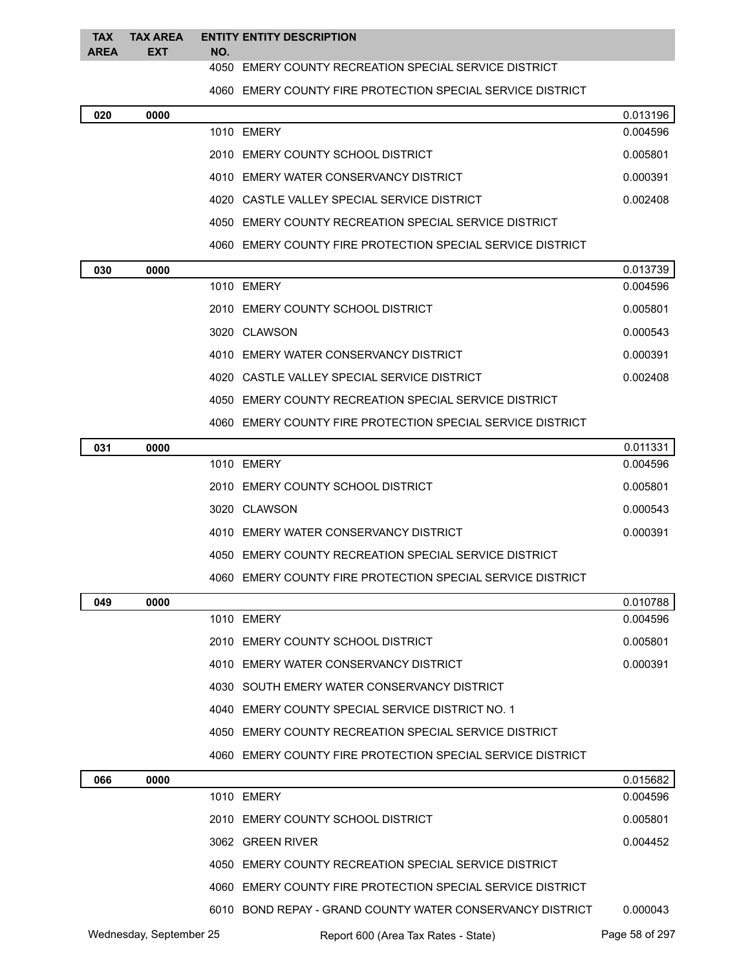#### **TAX TAX AREA AREA EXT ENTITY ENTITY DESCRIPTION NO.**

EMERY COUNTY RECREATION SPECIAL SERVICE DISTRICT

EMERY COUNTY FIRE PROTECTION SPECIAL SERVICE DISTRICT

| 020 | 0000 |                                                            | 0.013196 |
|-----|------|------------------------------------------------------------|----------|
|     |      | 1010 EMERY                                                 | 0.004596 |
|     |      | 2010 EMERY COUNTY SCHOOL DISTRICT                          | 0.005801 |
|     |      | 4010 EMERY WATER CONSERVANCY DISTRICT                      | 0.000391 |
|     |      | 4020 CASTLE VALLEY SPECIAL SERVICE DISTRICT                | 0.002408 |
|     |      | 4050 EMERY COUNTY RECREATION SPECIAL SERVICE DISTRICT      |          |
|     |      | 4060 EMERY COUNTY FIRE PROTECTION SPECIAL SERVICE DISTRICT |          |
| 030 | 0000 |                                                            | 0.013739 |
|     |      | 1010 EMERY                                                 | 0.004596 |
|     |      | 2010 EMERY COUNTY SCHOOL DISTRICT                          | 0.005801 |
|     |      | 3020 CLAWSON                                               | 0.000543 |
|     |      | 4010 EMERY WATER CONSERVANCY DISTRICT                      | 0.000391 |
|     |      | 4020 CASTLE VALLEY SPECIAL SERVICE DISTRICT                | 0.002408 |
|     |      | 4050 EMERY COUNTY RECREATION SPECIAL SERVICE DISTRICT      |          |
|     |      | 4060 EMERY COUNTY FIRE PROTECTION SPECIAL SERVICE DISTRICT |          |
| 031 | 0000 |                                                            | 0.011331 |
|     |      | 1010 EMERY                                                 | 0.004596 |
|     |      | 2010 EMERY COUNTY SCHOOL DISTRICT                          | 0.005801 |
|     |      | 3020 CLAWSON                                               | 0.000543 |
|     |      | 4010 EMERY WATER CONSERVANCY DISTRICT                      | 0.000391 |
|     |      | 4050 EMERY COUNTY RECREATION SPECIAL SERVICE DISTRICT      |          |
|     |      | 4060 EMERY COUNTY FIRE PROTECTION SPECIAL SERVICE DISTRICT |          |
| 049 | 0000 |                                                            | 0.010788 |
|     |      | 1010 EMERY                                                 | 0.004596 |
|     |      | 2010 EMERY COUNTY SCHOOL DISTRICT                          | 0.005801 |
|     |      | 4010 EMERY WATER CONSERVANCY DISTRICT                      | 0.000391 |
|     |      | 4030 SOUTH EMERY WATER CONSERVANCY DISTRICT                |          |
|     |      | 4040 EMERY COUNTY SPECIAL SERVICE DISTRICT NO. 1           |          |
|     |      | 4050 EMERY COUNTY RECREATION SPECIAL SERVICE DISTRICT      |          |
|     |      | 4060 EMERY COUNTY FIRE PROTECTION SPECIAL SERVICE DISTRICT |          |
| 066 | 0000 |                                                            | 0.015682 |
|     |      | 1010 EMERY                                                 | 0.004596 |
|     |      | 2010 EMERY COUNTY SCHOOL DISTRICT                          | 0.005801 |
|     |      | 3062 GREEN RIVER                                           | 0.004452 |
|     |      | 4050 EMERY COUNTY RECREATION SPECIAL SERVICE DISTRICT      |          |
|     |      | 4060 EMERY COUNTY FIRE PROTECTION SPECIAL SERVICE DISTRICT |          |

BOND REPAY - GRAND COUNTY WATER CONSERVANCY DISTRICT 0.000043

Wednesday, September 25 Report 600 (Area Tax Rates - State) Page 58 of 297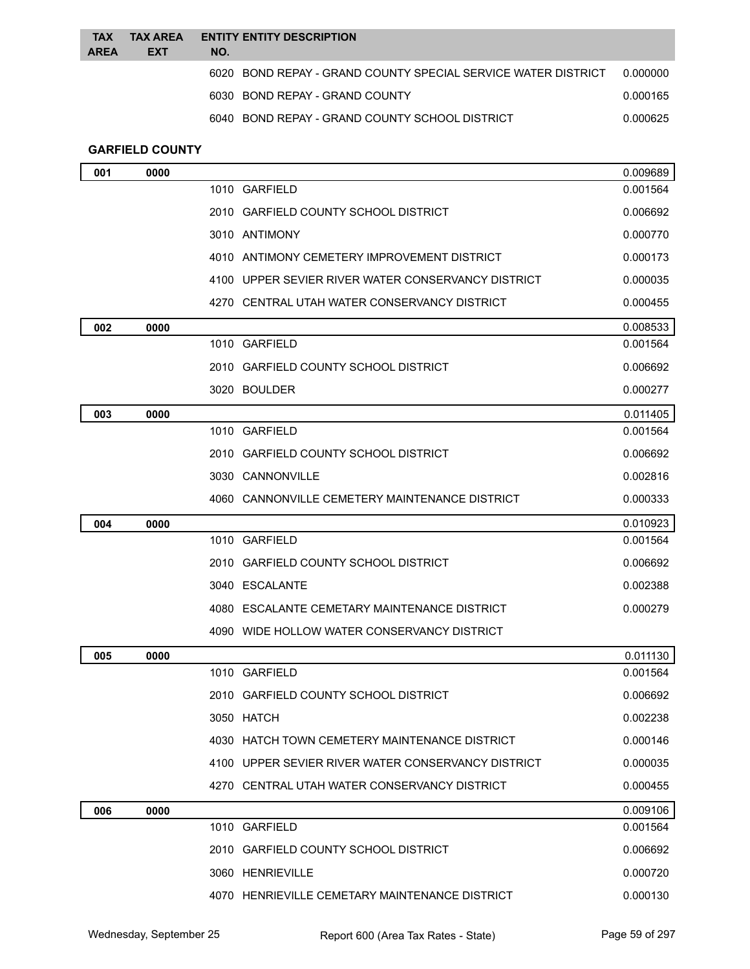| <b>TAX</b><br><b>AREA</b> | <b>TAX AREA</b><br><b>EXT</b> | <b>ENTITY ENTITY DESCRIPTION</b><br>NO.                       |          |
|---------------------------|-------------------------------|---------------------------------------------------------------|----------|
|                           |                               | 6020 BOND REPAY - GRAND COUNTY SPECIAL SERVICE WATER DISTRICT | 0.000000 |
|                           |                               | 6030 BOND REPAY - GRAND COUNTY                                | 0.000165 |
|                           |                               | 6040 BOND REPAY - GRAND COUNTY SCHOOL DISTRICT                | 0.000625 |
|                           |                               |                                                               |          |

### **GARFIELD COUNTY**

| 001 | 0000 |                                                    | 0.009689 |
|-----|------|----------------------------------------------------|----------|
|     |      | 1010 GARFIELD                                      | 0.001564 |
|     |      | 2010 GARFIELD COUNTY SCHOOL DISTRICT               | 0.006692 |
|     |      | 3010 ANTIMONY                                      | 0.000770 |
|     |      | 4010 ANTIMONY CEMETERY IMPROVEMENT DISTRICT        | 0.000173 |
|     |      | 4100 UPPER SEVIER RIVER WATER CONSERVANCY DISTRICT | 0.000035 |
|     |      | 4270 CENTRAL UTAH WATER CONSERVANCY DISTRICT       | 0.000455 |
| 002 | 0000 |                                                    | 0.008533 |
|     |      | 1010 GARFIELD                                      | 0.001564 |
|     |      | 2010 GARFIELD COUNTY SCHOOL DISTRICT               | 0.006692 |
|     |      | 3020 BOULDER                                       | 0.000277 |
| 003 | 0000 |                                                    | 0.011405 |
|     |      | 1010 GARFIELD                                      | 0.001564 |
|     |      | 2010 GARFIELD COUNTY SCHOOL DISTRICT               | 0.006692 |
|     |      | 3030 CANNONVILLE                                   | 0.002816 |
|     |      | 4060 CANNONVILLE CEMETERY MAINTENANCE DISTRICT     | 0.000333 |
| 004 | 0000 |                                                    | 0.010923 |
|     |      | 1010 GARFIELD                                      | 0.001564 |
|     |      | 2010 GARFIELD COUNTY SCHOOL DISTRICT               | 0.006692 |
|     |      | 3040 ESCALANTE                                     | 0.002388 |
|     |      | 4080 ESCALANTE CEMETARY MAINTENANCE DISTRICT       | 0.000279 |
|     |      | 4090 WIDE HOLLOW WATER CONSERVANCY DISTRICT        |          |
| 005 | 0000 |                                                    | 0.011130 |
|     |      | 1010 GARFIELD                                      | 0.001564 |
|     |      | 2010 GARFIELD COUNTY SCHOOL DISTRICT               | 0.006692 |
|     |      | 3050 HATCH                                         | 0.002238 |
|     |      | 4030 HATCH TOWN CEMETERY MAINTENANCE DISTRICT      | 0.000146 |
|     |      | 4100 UPPER SEVIER RIVER WATER CONSERVANCY DISTRICT | 0.000035 |
|     |      | 4270 CENTRAL UTAH WATER CONSERVANCY DISTRICT       | 0.000455 |
| 006 | 0000 |                                                    | 0.009106 |
|     |      | 1010 GARFIELD                                      | 0.001564 |
|     |      | 2010 GARFIELD COUNTY SCHOOL DISTRICT               | 0.006692 |
|     |      | 3060 HENRIEVILLE                                   | 0.000720 |
|     |      | 4070 HENRIEVILLE CEMETARY MAINTENANCE DISTRICT     | 0.000130 |
|     |      |                                                    |          |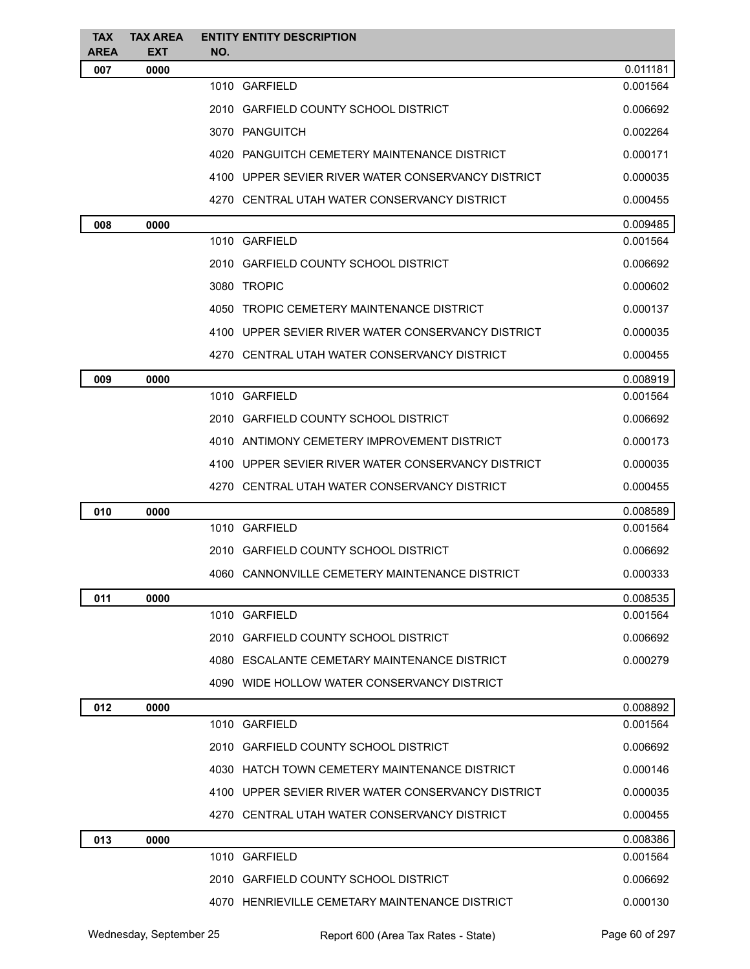| <b>TAX</b><br><b>AREA</b> | <b>TAX AREA</b><br><b>EXT</b> | <b>ENTITY ENTITY DESCRIPTION</b><br>NO.            |          |
|---------------------------|-------------------------------|----------------------------------------------------|----------|
| 007                       | 0000                          |                                                    | 0.011181 |
|                           |                               | 1010 GARFIELD                                      | 0.001564 |
|                           |                               | 2010 GARFIELD COUNTY SCHOOL DISTRICT               | 0.006692 |
|                           |                               | 3070 PANGUITCH                                     | 0.002264 |
|                           |                               | 4020 PANGUITCH CEMETERY MAINTENANCE DISTRICT       | 0.000171 |
|                           |                               | 4100 UPPER SEVIER RIVER WATER CONSERVANCY DISTRICT | 0.000035 |
|                           |                               | 4270 CENTRAL UTAH WATER CONSERVANCY DISTRICT       | 0.000455 |
| 008                       | 0000                          |                                                    | 0.009485 |
|                           |                               | 1010 GARFIELD                                      | 0.001564 |
|                           |                               | 2010 GARFIELD COUNTY SCHOOL DISTRICT               | 0.006692 |
|                           |                               | 3080 TROPIC                                        | 0.000602 |
|                           |                               | 4050 TROPIC CEMETERY MAINTENANCE DISTRICT          | 0.000137 |
|                           |                               | 4100 UPPER SEVIER RIVER WATER CONSERVANCY DISTRICT | 0.000035 |
|                           |                               | 4270 CENTRAL UTAH WATER CONSERVANCY DISTRICT       | 0.000455 |
| 009                       | 0000                          |                                                    | 0.008919 |
|                           |                               | 1010 GARFIELD                                      | 0.001564 |
|                           |                               | 2010 GARFIELD COUNTY SCHOOL DISTRICT               | 0.006692 |
|                           |                               | 4010 ANTIMONY CEMETERY IMPROVEMENT DISTRICT        | 0.000173 |
|                           |                               | 4100 UPPER SEVIER RIVER WATER CONSERVANCY DISTRICT | 0.000035 |
|                           |                               | 4270 CENTRAL UTAH WATER CONSERVANCY DISTRICT       | 0.000455 |
| 010                       | 0000                          |                                                    | 0.008589 |
|                           |                               | 1010 GARFIELD                                      | 0.001564 |
|                           |                               | 2010 GARFIELD COUNTY SCHOOL DISTRICT               | 0.006692 |
|                           |                               | 4060 CANNONVILLE CEMETERY MAINTENANCE DISTRICT     | 0.000333 |
| 011                       | 0000                          |                                                    | 0.008535 |
|                           |                               | 1010 GARFIELD                                      | 0.001564 |
|                           |                               | 2010 GARFIELD COUNTY SCHOOL DISTRICT               | 0.006692 |
|                           |                               | 4080 ESCALANTE CEMETARY MAINTENANCE DISTRICT       | 0.000279 |
|                           |                               | 4090 WIDE HOLLOW WATER CONSERVANCY DISTRICT        |          |
| 012                       | 0000                          |                                                    | 0.008892 |
|                           |                               | 1010 GARFIELD                                      | 0.001564 |
|                           |                               | 2010 GARFIELD COUNTY SCHOOL DISTRICT               | 0.006692 |
|                           |                               | 4030 HATCH TOWN CEMETERY MAINTENANCE DISTRICT      | 0.000146 |
|                           |                               | 4100 UPPER SEVIER RIVER WATER CONSERVANCY DISTRICT | 0.000035 |
|                           |                               | 4270 CENTRAL UTAH WATER CONSERVANCY DISTRICT       | 0.000455 |
| 013                       | 0000                          |                                                    | 0.008386 |
|                           |                               | 1010 GARFIELD                                      | 0.001564 |
|                           |                               | 2010 GARFIELD COUNTY SCHOOL DISTRICT               | 0.006692 |
|                           |                               | 4070 HENRIEVILLE CEMETARY MAINTENANCE DISTRICT     | 0.000130 |
|                           |                               |                                                    |          |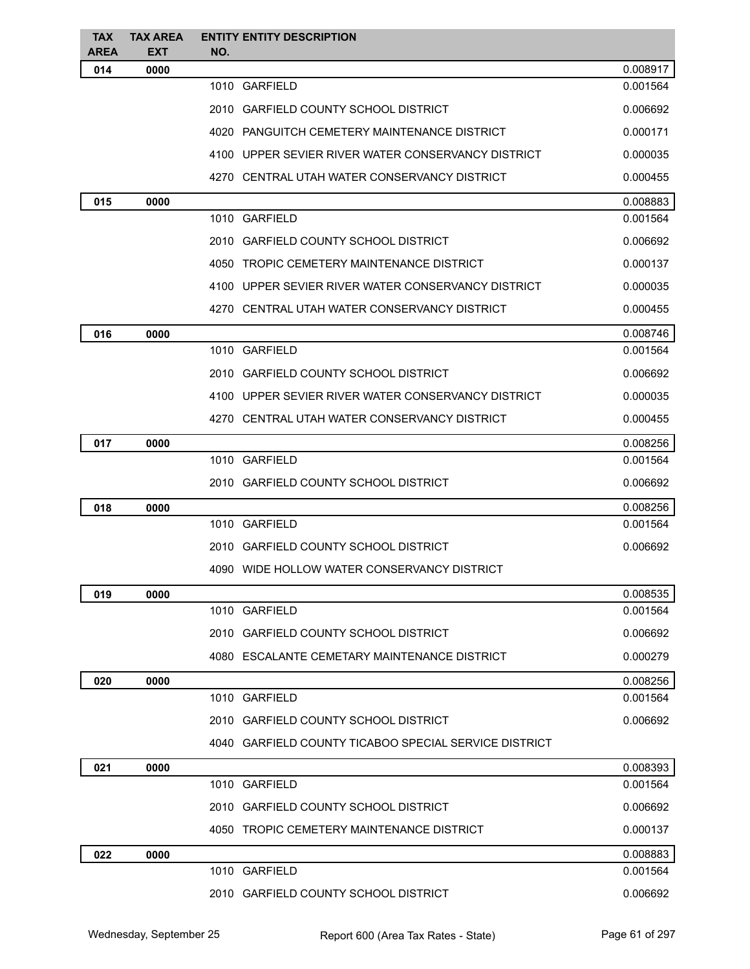| <b>TAX</b><br><b>AREA</b> | <b>TAX AREA</b>    | <b>ENTITY ENTITY DESCRIPTION</b>                      |          |
|---------------------------|--------------------|-------------------------------------------------------|----------|
| 014                       | <b>EXT</b><br>0000 | NO.                                                   | 0.008917 |
|                           |                    | 1010 GARFIELD                                         | 0.001564 |
|                           |                    | 2010 GARFIELD COUNTY SCHOOL DISTRICT                  | 0.006692 |
|                           |                    | 4020 PANGUITCH CEMETERY MAINTENANCE DISTRICT          | 0.000171 |
|                           |                    | 4100 UPPER SEVIER RIVER WATER CONSERVANCY DISTRICT    | 0.000035 |
|                           |                    | 4270 CENTRAL UTAH WATER CONSERVANCY DISTRICT          | 0.000455 |
| 015                       | 0000               |                                                       | 0.008883 |
|                           |                    | 1010 GARFIELD                                         | 0.001564 |
|                           |                    | 2010 GARFIELD COUNTY SCHOOL DISTRICT                  | 0.006692 |
|                           |                    | 4050 TROPIC CEMETERY MAINTENANCE DISTRICT             | 0.000137 |
|                           |                    | 4100 UPPER SEVIER RIVER WATER CONSERVANCY DISTRICT    | 0.000035 |
|                           |                    | 4270 CENTRAL UTAH WATER CONSERVANCY DISTRICT          | 0.000455 |
| 016                       | 0000               |                                                       | 0.008746 |
|                           |                    | 1010 GARFIELD                                         | 0.001564 |
|                           |                    | 2010 GARFIELD COUNTY SCHOOL DISTRICT                  | 0.006692 |
|                           |                    | 4100 UPPER SEVIER RIVER WATER CONSERVANCY DISTRICT    | 0.000035 |
|                           |                    | 4270 CENTRAL UTAH WATER CONSERVANCY DISTRICT          | 0.000455 |
| 017                       | 0000               |                                                       | 0.008256 |
|                           |                    | 1010 GARFIELD                                         | 0.001564 |
|                           |                    | 2010 GARFIELD COUNTY SCHOOL DISTRICT                  | 0.006692 |
| 018                       | 0000               |                                                       | 0.008256 |
|                           |                    | 1010 GARFIELD                                         | 0.001564 |
|                           |                    | 2010 GARFIELD COUNTY SCHOOL DISTRICT                  | 0.006692 |
|                           |                    | 4090 WIDE HOLLOW WATER CONSERVANCY DISTRICT           |          |
| 019                       | 0000               |                                                       | 0.008535 |
|                           |                    | 1010 GARFIELD                                         | 0.001564 |
|                           |                    | 2010 GARFIELD COUNTY SCHOOL DISTRICT                  | 0.006692 |
|                           |                    | 4080 ESCALANTE CEMETARY MAINTENANCE DISTRICT          | 0.000279 |
| 020                       | 0000               |                                                       | 0.008256 |
|                           |                    | 1010 GARFIELD                                         | 0.001564 |
|                           |                    | 2010 GARFIELD COUNTY SCHOOL DISTRICT                  | 0.006692 |
|                           |                    | 4040 GARFIELD COUNTY TICABOO SPECIAL SERVICE DISTRICT |          |
| 021                       | 0000               |                                                       | 0.008393 |
|                           |                    | 1010 GARFIELD                                         | 0.001564 |
|                           |                    | 2010 GARFIELD COUNTY SCHOOL DISTRICT                  | 0.006692 |
|                           |                    | 4050 TROPIC CEMETERY MAINTENANCE DISTRICT             | 0.000137 |
| 022                       | 0000               |                                                       | 0.008883 |
|                           |                    | 1010 GARFIELD                                         | 0.001564 |
|                           |                    | 2010 GARFIELD COUNTY SCHOOL DISTRICT                  | 0.006692 |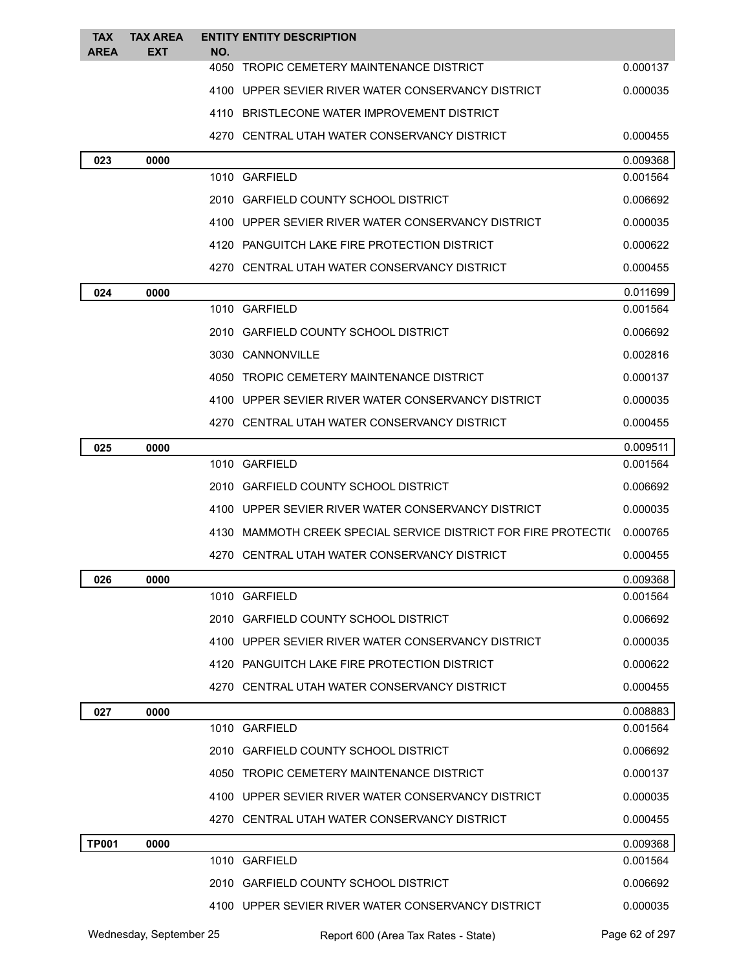| <b>TAX</b><br><b>AREA</b> | <b>TAX AREA</b><br><b>EXT</b> | NO. | <b>ENTITY ENTITY DESCRIPTION</b>                               |          |
|---------------------------|-------------------------------|-----|----------------------------------------------------------------|----------|
|                           |                               |     | 4050 TROPIC CEMETERY MAINTENANCE DISTRICT                      | 0.000137 |
|                           |                               |     | 4100 UPPER SEVIER RIVER WATER CONSERVANCY DISTRICT             | 0.000035 |
|                           |                               |     | 4110 BRISTLECONE WATER IMPROVEMENT DISTRICT                    |          |
|                           |                               |     | 4270 CENTRAL UTAH WATER CONSERVANCY DISTRICT                   | 0.000455 |
| 023                       | 0000                          |     |                                                                | 0.009368 |
|                           |                               |     | 1010 GARFIELD                                                  | 0.001564 |
|                           |                               |     | 2010 GARFIELD COUNTY SCHOOL DISTRICT                           | 0.006692 |
|                           |                               |     | 4100 UPPER SEVIER RIVER WATER CONSERVANCY DISTRICT             | 0.000035 |
|                           |                               |     | 4120 PANGUITCH LAKE FIRE PROTECTION DISTRICT                   | 0.000622 |
|                           |                               |     | 4270 CENTRAL UTAH WATER CONSERVANCY DISTRICT                   | 0.000455 |
| 024                       | 0000                          |     |                                                                | 0.011699 |
|                           |                               |     | 1010 GARFIELD                                                  | 0.001564 |
|                           |                               |     | 2010 GARFIELD COUNTY SCHOOL DISTRICT                           | 0.006692 |
|                           |                               |     | 3030 CANNONVILLE                                               | 0.002816 |
|                           |                               |     | 4050 TROPIC CEMETERY MAINTENANCE DISTRICT                      | 0.000137 |
|                           |                               |     | 4100 UPPER SEVIER RIVER WATER CONSERVANCY DISTRICT             | 0.000035 |
|                           |                               |     | 4270 CENTRAL UTAH WATER CONSERVANCY DISTRICT                   | 0.000455 |
| 025                       | 0000                          |     |                                                                | 0.009511 |
|                           |                               |     | 1010 GARFIELD                                                  | 0.001564 |
|                           |                               |     | 2010 GARFIELD COUNTY SCHOOL DISTRICT                           | 0.006692 |
|                           |                               |     | 4100 UPPER SEVIER RIVER WATER CONSERVANCY DISTRICT             | 0.000035 |
|                           |                               |     | 4130 MAMMOTH CREEK SPECIAL SERVICE DISTRICT FOR FIRE PROTECTI( | 0.000765 |
|                           |                               |     | 4270 CENTRAL UTAH WATER CONSERVANCY DISTRICT                   | 0.000455 |
| 026                       | 0000                          |     |                                                                | 0.009368 |
|                           |                               |     | 1010 GARFIELD                                                  | 0.001564 |
|                           |                               |     | 2010 GARFIELD COUNTY SCHOOL DISTRICT                           | 0.006692 |
|                           |                               |     | 4100 UPPER SEVIER RIVER WATER CONSERVANCY DISTRICT             | 0.000035 |
|                           |                               |     | 4120 PANGUITCH LAKE FIRE PROTECTION DISTRICT                   | 0.000622 |
|                           |                               |     | 4270 CENTRAL UTAH WATER CONSERVANCY DISTRICT                   | 0.000455 |
| 027                       | 0000                          |     |                                                                | 0.008883 |
|                           |                               |     | 1010 GARFIELD                                                  | 0.001564 |
|                           |                               |     | 2010 GARFIELD COUNTY SCHOOL DISTRICT                           | 0.006692 |
|                           |                               |     | 4050 TROPIC CEMETERY MAINTENANCE DISTRICT                      | 0.000137 |
|                           |                               |     | 4100 UPPER SEVIER RIVER WATER CONSERVANCY DISTRICT             | 0.000035 |
|                           |                               |     | 4270 CENTRAL UTAH WATER CONSERVANCY DISTRICT                   | 0.000455 |
| <b>TP001</b>              | 0000                          |     |                                                                | 0.009368 |
|                           |                               |     | 1010 GARFIELD                                                  | 0.001564 |
|                           |                               |     | 2010 GARFIELD COUNTY SCHOOL DISTRICT                           | 0.006692 |
|                           |                               |     | 4100 UPPER SEVIER RIVER WATER CONSERVANCY DISTRICT             | 0.000035 |
|                           |                               |     |                                                                |          |

Wednesday, September 25 Report 600 (Area Tax Rates - State) Page 62 of 297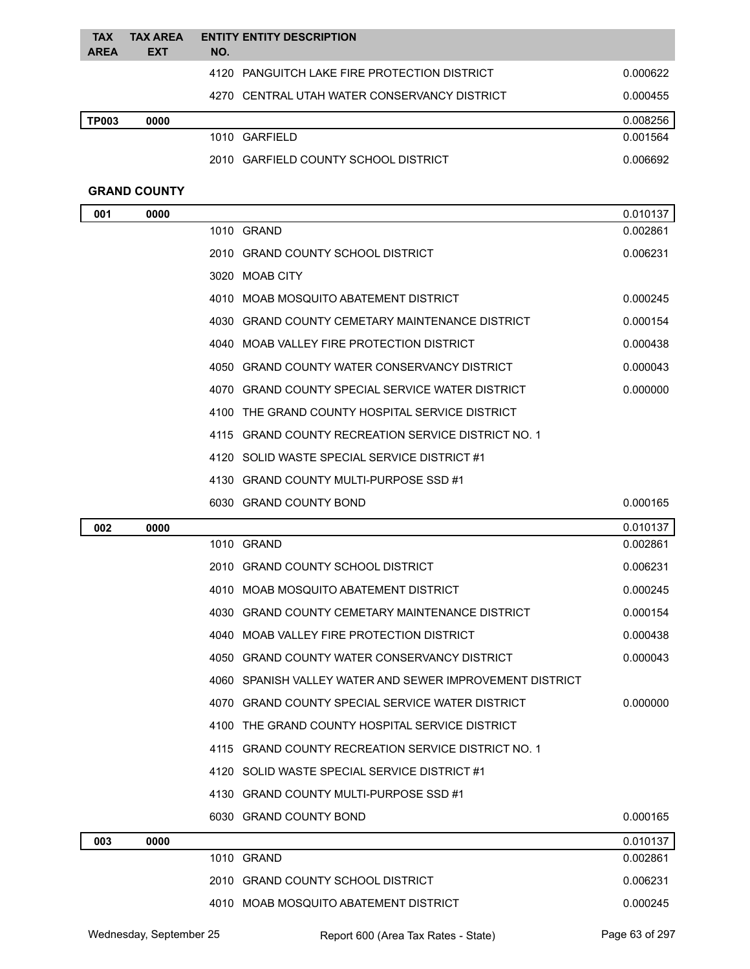| <b>TAX</b><br><b>AREA</b> | <b>TAX AREA</b><br><b>EXT</b> | NO.  | <b>ENTITY ENTITY DESCRIPTION</b>                         |          |
|---------------------------|-------------------------------|------|----------------------------------------------------------|----------|
|                           |                               |      | 4120 PANGUITCH LAKE FIRE PROTECTION DISTRICT             | 0.000622 |
|                           |                               |      | 4270 CENTRAL UTAH WATER CONSERVANCY DISTRICT             | 0.000455 |
| <b>TP003</b>              | 0000                          |      |                                                          | 0.008256 |
|                           |                               |      | 1010 GARFIELD                                            | 0.001564 |
|                           |                               |      | 2010 GARFIELD COUNTY SCHOOL DISTRICT                     | 0.006692 |
|                           | <b>GRAND COUNTY</b>           |      |                                                          |          |
| 001                       | 0000                          |      |                                                          | 0.010137 |
|                           |                               |      | 1010 GRAND                                               | 0.002861 |
|                           |                               |      | 2010 GRAND COUNTY SCHOOL DISTRICT                        | 0.006231 |
|                           |                               |      | 3020 MOAB CITY                                           |          |
|                           |                               |      | 4010 MOAB MOSQUITO ABATEMENT DISTRICT                    | 0.000245 |
|                           |                               |      | 4030 GRAND COUNTY CEMETARY MAINTENANCE DISTRICT          | 0.000154 |
|                           |                               |      | 4040 MOAB VALLEY FIRE PROTECTION DISTRICT                | 0.000438 |
|                           |                               |      | 4050 GRAND COUNTY WATER CONSERVANCY DISTRICT             | 0.000043 |
|                           |                               |      | 4070 GRAND COUNTY SPECIAL SERVICE WATER DISTRICT         | 0.000000 |
|                           |                               |      | 4100 THE GRAND COUNTY HOSPITAL SERVICE DISTRICT          |          |
|                           |                               |      | 4115 GRAND COUNTY RECREATION SERVICE DISTRICT NO. 1      |          |
|                           |                               |      | 4120 SOLID WASTE SPECIAL SERVICE DISTRICT #1             |          |
|                           |                               |      | 4130 GRAND COUNTY MULTI-PURPOSE SSD #1                   |          |
|                           |                               |      | 6030 GRAND COUNTY BOND                                   | 0.000165 |
| 002                       | 0000                          |      |                                                          | 0.010137 |
|                           |                               |      | 1010 GRAND                                               | 0.002861 |
|                           |                               |      | 2010 GRAND COUNTY SCHOOL DISTRICT                        | 0.006231 |
|                           |                               |      | 4010 MOAB MOSQUITO ABATEMENT DISTRICT                    | 0.000245 |
|                           |                               |      | 4030 GRAND COUNTY CEMETARY MAINTENANCE DISTRICT          | 0.000154 |
|                           |                               |      | 4040 MOAB VALLEY FIRE PROTECTION DISTRICT                | 0.000438 |
|                           |                               |      | 4050 GRAND COUNTY WATER CONSERVANCY DISTRICT             | 0.000043 |
|                           |                               |      | 4060 SPANISH VALLEY WATER AND SEWER IMPROVEMENT DISTRICT |          |
|                           |                               |      | 4070 GRAND COUNTY SPECIAL SERVICE WATER DISTRICT         | 0.000000 |
|                           |                               |      | 4100 THE GRAND COUNTY HOSPITAL SERVICE DISTRICT          |          |
|                           |                               | 4115 | <b>GRAND COUNTY RECREATION SERVICE DISTRICT NO. 1</b>    |          |
|                           |                               |      | 4120 SOLID WASTE SPECIAL SERVICE DISTRICT #1             |          |
|                           |                               |      | 4130 GRAND COUNTY MULTI-PURPOSE SSD #1                   |          |
|                           |                               |      | 6030 GRAND COUNTY BOND                                   | 0.000165 |
| 003                       | 0000                          |      |                                                          | 0.010137 |
|                           |                               |      | 1010 GRAND                                               | 0.002861 |

| Wednesday, September 25 | Report 600 (Area Tax Rates - State) | Page 63 of 297 |
|-------------------------|-------------------------------------|----------------|

2010 GRAND COUNTY SCHOOL DISTRICT 0.006231 4010 MOAB MOSQUITO ABATEMENT DISTRICT 0.000245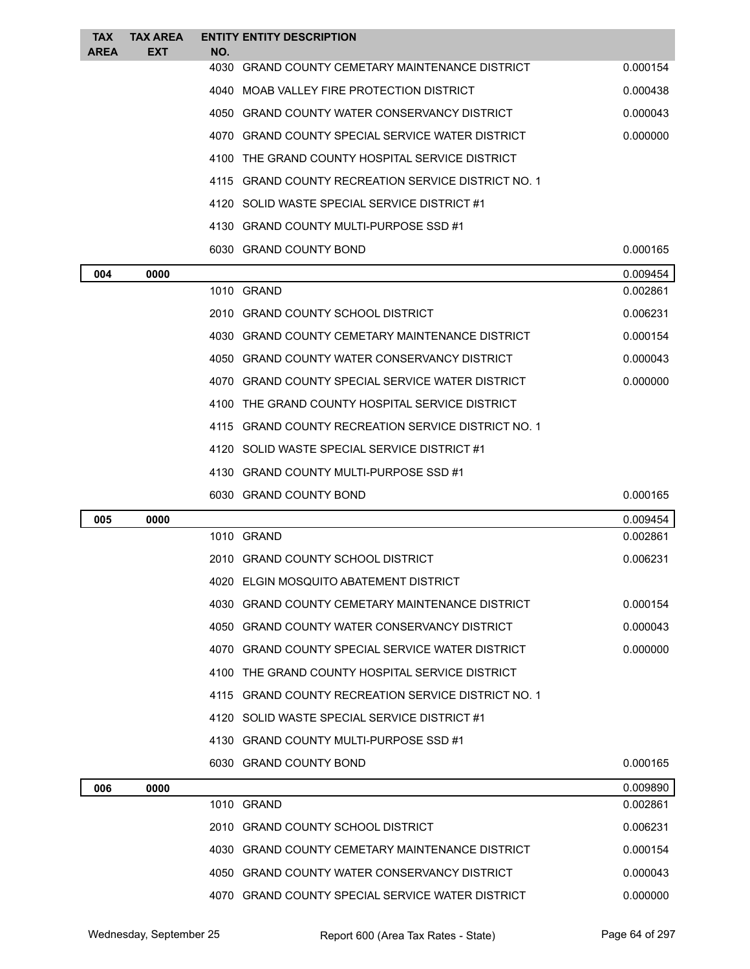| <b>TAX</b><br><b>AREA</b> | <b>TAX AREA</b><br><b>EXT</b> | NO.  | <b>ENTITY ENTITY DESCRIPTION</b>                    |          |
|---------------------------|-------------------------------|------|-----------------------------------------------------|----------|
|                           |                               | 4030 | <b>GRAND COUNTY CEMETARY MAINTENANCE DISTRICT</b>   | 0.000154 |
|                           |                               |      | 4040 MOAB VALLEY FIRE PROTECTION DISTRICT           | 0.000438 |
|                           |                               |      | 4050 GRAND COUNTY WATER CONSERVANCY DISTRICT        | 0.000043 |
|                           |                               |      | 4070 GRAND COUNTY SPECIAL SERVICE WATER DISTRICT    | 0.000000 |
|                           |                               |      | 4100 THE GRAND COUNTY HOSPITAL SERVICE DISTRICT     |          |
|                           |                               |      | 4115 GRAND COUNTY RECREATION SERVICE DISTRICT NO. 1 |          |
|                           |                               |      | 4120 SOLID WASTE SPECIAL SERVICE DISTRICT #1        |          |
|                           |                               |      | 4130 GRAND COUNTY MULTI-PURPOSE SSD #1              |          |
|                           |                               |      | 6030 GRAND COUNTY BOND                              | 0.000165 |
| 004                       | 0000                          |      |                                                     | 0.009454 |
|                           |                               |      | 1010 GRAND                                          | 0.002861 |
|                           |                               |      | 2010 GRAND COUNTY SCHOOL DISTRICT                   | 0.006231 |
|                           |                               |      | 4030 GRAND COUNTY CEMETARY MAINTENANCE DISTRICT     | 0.000154 |
|                           |                               | 4050 | GRAND COUNTY WATER CONSERVANCY DISTRICT             | 0.000043 |
|                           |                               |      | 4070 GRAND COUNTY SPECIAL SERVICE WATER DISTRICT    | 0.000000 |
|                           |                               |      | 4100 THE GRAND COUNTY HOSPITAL SERVICE DISTRICT     |          |
|                           |                               |      | 4115 GRAND COUNTY RECREATION SERVICE DISTRICT NO. 1 |          |
|                           |                               |      | 4120 SOLID WASTE SPECIAL SERVICE DISTRICT #1        |          |
|                           |                               |      | 4130 GRAND COUNTY MULTI-PURPOSE SSD #1              |          |
|                           |                               |      | 6030 GRAND COUNTY BOND                              | 0.000165 |
| 005                       | 0000                          |      |                                                     | 0.009454 |
|                           |                               |      | 1010 GRAND                                          | 0.002861 |
|                           |                               |      | 2010 GRAND COUNTY SCHOOL DISTRICT                   | 0.006231 |
|                           |                               |      | 4020 ELGIN MOSQUITO ABATEMENT DISTRICT              |          |
|                           |                               |      | 4030 GRAND COUNTY CEMETARY MAINTENANCE DISTRICT     | 0.000154 |
|                           |                               |      | 4050 GRAND COUNTY WATER CONSERVANCY DISTRICT        | 0.000043 |
|                           |                               |      | 4070 GRAND COUNTY SPECIAL SERVICE WATER DISTRICT    | 0.000000 |
|                           |                               |      | 4100 THE GRAND COUNTY HOSPITAL SERVICE DISTRICT     |          |
|                           |                               |      | 4115 GRAND COUNTY RECREATION SERVICE DISTRICT NO. 1 |          |
|                           |                               |      | 4120 SOLID WASTE SPECIAL SERVICE DISTRICT #1        |          |
|                           |                               |      | 4130 GRAND COUNTY MULTI-PURPOSE SSD #1              |          |
|                           |                               |      | 6030 GRAND COUNTY BOND                              | 0.000165 |
| 006                       | 0000                          |      |                                                     | 0.009890 |
|                           |                               |      | 1010 GRAND                                          | 0.002861 |
|                           |                               |      | 2010 GRAND COUNTY SCHOOL DISTRICT                   | 0.006231 |
|                           |                               |      | 4030 GRAND COUNTY CEMETARY MAINTENANCE DISTRICT     | 0.000154 |
|                           |                               |      | 4050 GRAND COUNTY WATER CONSERVANCY DISTRICT        | 0.000043 |
|                           |                               |      | 4070 GRAND COUNTY SPECIAL SERVICE WATER DISTRICT    | 0.000000 |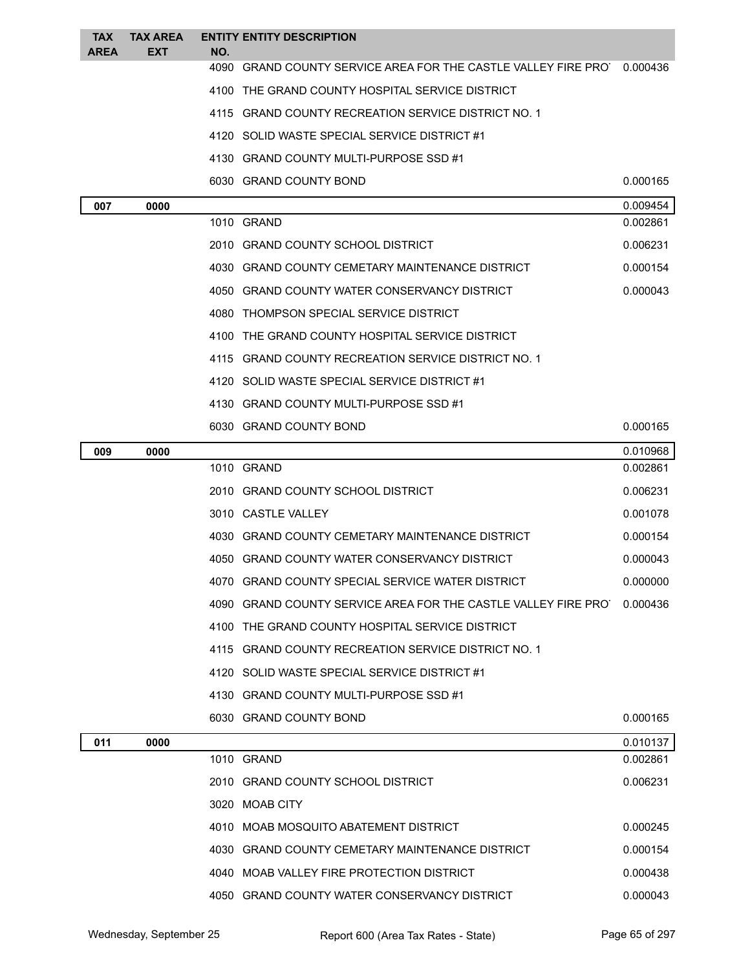| <b>TAX</b>  | <b>TAX AREA</b> |     | <b>ENTITY ENTITY DESCRIPTION</b>                                       |                      |
|-------------|-----------------|-----|------------------------------------------------------------------------|----------------------|
| <b>AREA</b> | <b>EXT</b>      | NO. | 4090 GRAND COUNTY SERVICE AREA FOR THE CASTLE VALLEY FIRE PRO          | 0.000436             |
|             |                 |     | 4100 THE GRAND COUNTY HOSPITAL SERVICE DISTRICT                        |                      |
|             |                 |     | 4115 GRAND COUNTY RECREATION SERVICE DISTRICT NO. 1                    |                      |
|             |                 |     | 4120 SOLID WASTE SPECIAL SERVICE DISTRICT #1                           |                      |
|             |                 |     | 4130 GRAND COUNTY MULTI-PURPOSE SSD #1                                 |                      |
|             |                 |     | 6030 GRAND COUNTY BOND                                                 | 0.000165             |
|             |                 |     |                                                                        |                      |
| 007         | 0000            |     | 1010 GRAND                                                             | 0.009454<br>0.002861 |
|             |                 |     | 2010 GRAND COUNTY SCHOOL DISTRICT                                      | 0.006231             |
|             |                 |     | 4030 GRAND COUNTY CEMETARY MAINTENANCE DISTRICT                        | 0.000154             |
|             |                 |     | 4050 GRAND COUNTY WATER CONSERVANCY DISTRICT                           | 0.000043             |
|             |                 |     | 4080 THOMPSON SPECIAL SERVICE DISTRICT                                 |                      |
|             |                 |     | 4100 THE GRAND COUNTY HOSPITAL SERVICE DISTRICT                        |                      |
|             |                 |     | 4115 GRAND COUNTY RECREATION SERVICE DISTRICT NO. 1                    |                      |
|             |                 |     | 4120 SOLID WASTE SPECIAL SERVICE DISTRICT #1                           |                      |
|             |                 |     | 4130 GRAND COUNTY MULTI-PURPOSE SSD #1                                 |                      |
|             |                 |     | 6030 GRAND COUNTY BOND                                                 | 0.000165             |
| 009         | 0000            |     |                                                                        | 0.010968             |
|             |                 |     | 1010 GRAND                                                             | 0.002861             |
|             |                 |     | 2010 GRAND COUNTY SCHOOL DISTRICT                                      | 0.006231             |
|             |                 |     | 3010 CASTLE VALLEY                                                     | 0.001078             |
|             |                 |     | 4030 GRAND COUNTY CEMETARY MAINTENANCE DISTRICT                        | 0.000154             |
|             |                 |     | 4050 GRAND COUNTY WATER CONSERVANCY DISTRICT                           | 0.000043             |
|             |                 |     | 4070 GRAND COUNTY SPECIAL SERVICE WATER DISTRICT                       | 0.000000             |
|             |                 |     | 4090 GRAND COUNTY SERVICE AREA FOR THE CASTLE VALLEY FIRE PRO 0.000436 |                      |
|             |                 |     | 4100 THE GRAND COUNTY HOSPITAL SERVICE DISTRICT                        |                      |
|             |                 |     | 4115 GRAND COUNTY RECREATION SERVICE DISTRICT NO. 1                    |                      |
|             |                 |     | 4120 SOLID WASTE SPECIAL SERVICE DISTRICT #1                           |                      |
|             |                 |     | 4130 GRAND COUNTY MULTI-PURPOSE SSD #1                                 |                      |
|             |                 |     | 6030 GRAND COUNTY BOND                                                 | 0.000165             |
| 011         | 0000            |     |                                                                        | 0.010137             |
|             |                 |     | 1010 GRAND                                                             | 0.002861             |
|             |                 |     | 2010 GRAND COUNTY SCHOOL DISTRICT                                      | 0.006231             |
|             |                 |     | 3020 MOAB CITY                                                         |                      |
|             |                 |     | 4010 MOAB MOSQUITO ABATEMENT DISTRICT                                  | 0.000245             |
|             |                 |     | 4030 GRAND COUNTY CEMETARY MAINTENANCE DISTRICT                        | 0.000154             |
|             |                 |     | 4040 MOAB VALLEY FIRE PROTECTION DISTRICT                              | 0.000438             |
|             |                 |     | 4050 GRAND COUNTY WATER CONSERVANCY DISTRICT                           | 0.000043             |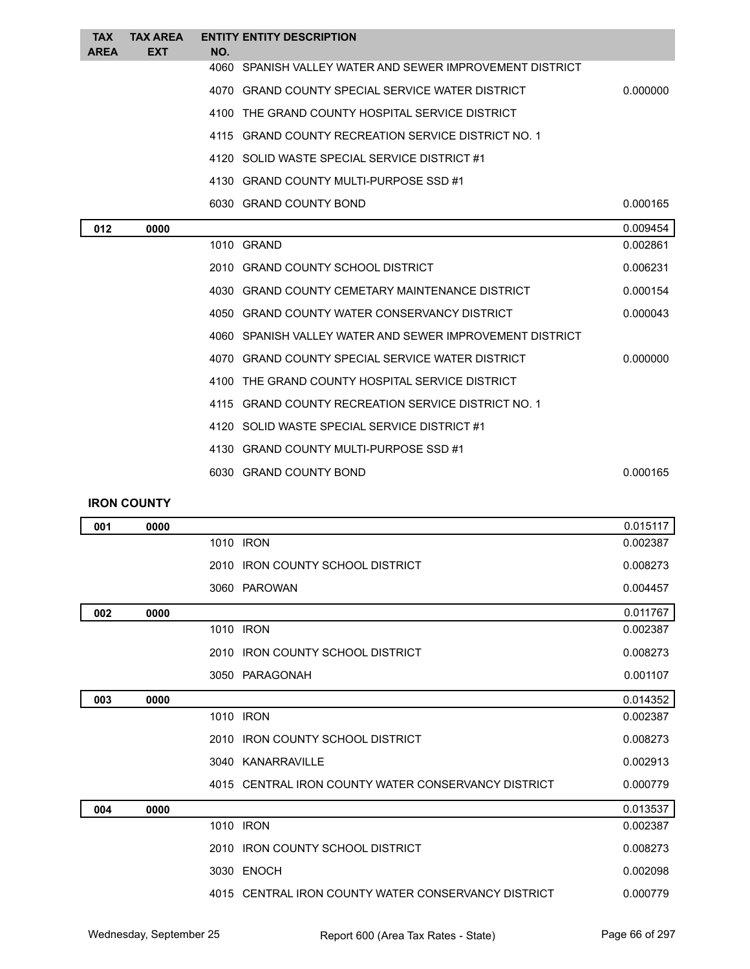| <b>TAX</b><br><b>AREA</b> | <b>TAX AREA</b><br><b>EXT</b> | NO.  | <b>ENTITY ENTITY DESCRIPTION</b>                         |          |
|---------------------------|-------------------------------|------|----------------------------------------------------------|----------|
|                           |                               |      | 4060 SPANISH VALLEY WATER AND SEWER IMPROVEMENT DISTRICT |          |
|                           |                               |      | 4070 GRAND COUNTY SPECIAL SERVICE WATER DISTRICT         | 0.000000 |
|                           |                               |      | 4100 THE GRAND COUNTY HOSPITAL SERVICE DISTRICT          |          |
|                           |                               | 4115 | <b>GRAND COUNTY RECREATION SERVICE DISTRICT NO. 1</b>    |          |
|                           |                               |      | 4120 SOLID WASTE SPECIAL SERVICE DISTRICT #1             |          |
|                           |                               |      | 4130 GRAND COUNTY MULTI-PURPOSE SSD #1                   |          |
|                           |                               |      | 6030 GRAND COUNTY BOND                                   | 0.000165 |
| 012                       | 0000                          |      |                                                          | 0.009454 |
|                           |                               |      | 1010 GRAND                                               | 0.002861 |
|                           |                               |      | 2010 GRAND COUNTY SCHOOL DISTRICT                        | 0.006231 |
|                           |                               |      | 4030 GRAND COUNTY CEMETARY MAINTENANCE DISTRICT          | 0.000154 |
|                           |                               |      | 4050 GRAND COUNTY WATER CONSERVANCY DISTRICT             | 0.000043 |
|                           |                               |      | 4060 SPANISH VALLEY WATER AND SEWER IMPROVEMENT DISTRICT |          |
|                           |                               |      | 4070 GRAND COUNTY SPECIAL SERVICE WATER DISTRICT         | 0.000000 |
|                           |                               |      | 4100 THE GRAND COUNTY HOSPITAL SERVICE DISTRICT          |          |
|                           |                               |      | 4115 GRAND COUNTY RECREATION SERVICE DISTRICT NO. 1      |          |
|                           |                               |      | 4120 SOLID WASTE SPECIAL SERVICE DISTRICT #1             |          |
|                           |                               |      | 4130 GRAND COUNTY MULTI-PURPOSE SSD #1                   |          |
|                           |                               |      | 6030 GRAND COUNTY BOND                                   | 0.000165 |

### **IRON COUNTY**

| 0000<br>001 |                                                     | 0.015117 |
|-------------|-----------------------------------------------------|----------|
|             | 1010 IRON                                           | 0.002387 |
|             | 2010 IRON COUNTY SCHOOL DISTRICT                    | 0.008273 |
|             | 3060 PAROWAN                                        | 0.004457 |
| 002<br>0000 |                                                     | 0.011767 |
|             | 1010 IRON                                           | 0.002387 |
|             | 2010 IRON COUNTY SCHOOL DISTRICT                    | 0.008273 |
|             | 3050 PARAGONAH                                      | 0.001107 |
| 003<br>0000 |                                                     | 0.014352 |
|             | 1010 IRON                                           | 0.002387 |
|             | 2010 IRON COUNTY SCHOOL DISTRICT                    | 0.008273 |
|             | 3040 KANARRAVILLE                                   | 0.002913 |
|             | 4015 CENTRAL IRON COUNTY WATER CONSERVANCY DISTRICT | 0.000779 |
| 004<br>0000 |                                                     | 0.013537 |
|             | 1010 IRON                                           | 0.002387 |
|             | 2010 IRON COUNTY SCHOOL DISTRICT                    | 0.008273 |
|             |                                                     |          |
|             | 3030 ENOCH                                          | 0.002098 |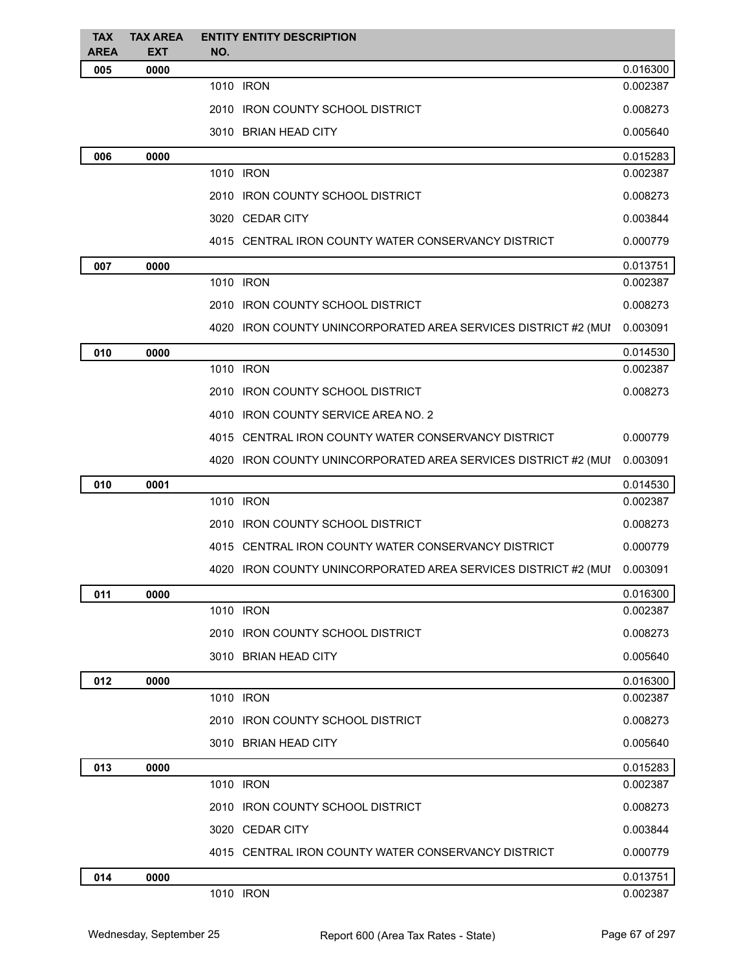| <b>TAX</b>  | <b>TAX AREA</b> | <b>ENTITY ENTITY DESCRIPTION</b>                               |          |
|-------------|-----------------|----------------------------------------------------------------|----------|
| <b>AREA</b> | <b>EXT</b>      | NO.                                                            |          |
| 005         | 0000            |                                                                | 0.016300 |
|             |                 | 1010 IRON                                                      | 0.002387 |
|             |                 | 2010 IRON COUNTY SCHOOL DISTRICT                               | 0.008273 |
|             |                 | 3010 BRIAN HEAD CITY                                           | 0.005640 |
| 006         | 0000            |                                                                | 0.015283 |
|             |                 | 1010 IRON                                                      | 0.002387 |
|             |                 | 2010 IRON COUNTY SCHOOL DISTRICT                               | 0.008273 |
|             |                 | 3020 CEDAR CITY                                                | 0.003844 |
|             |                 | 4015 CENTRAL IRON COUNTY WATER CONSERVANCY DISTRICT            | 0.000779 |
| 007         | 0000            |                                                                | 0.013751 |
|             |                 | 1010 IRON                                                      | 0.002387 |
|             |                 | 2010 IRON COUNTY SCHOOL DISTRICT                               | 0.008273 |
|             |                 | 4020 IRON COUNTY UNINCORPORATED AREA SERVICES DISTRICT #2 (MUI | 0.003091 |
| 010         | 0000            |                                                                | 0.014530 |
|             |                 | 1010 IRON                                                      | 0.002387 |
|             |                 | 2010 IRON COUNTY SCHOOL DISTRICT                               | 0.008273 |
|             |                 | 4010 IRON COUNTY SERVICE AREA NO. 2                            |          |
|             |                 | 4015 CENTRAL IRON COUNTY WATER CONSERVANCY DISTRICT            | 0.000779 |
|             |                 | 4020 IRON COUNTY UNINCORPORATED AREA SERVICES DISTRICT #2 (MUI | 0.003091 |
| 010         | 0001            |                                                                | 0.014530 |
|             |                 | 1010 IRON                                                      | 0.002387 |
|             |                 | 2010 IRON COUNTY SCHOOL DISTRICT                               | 0.008273 |
|             |                 | 4015 CENTRAL IRON COUNTY WATER CONSERVANCY DISTRICT            | 0.000779 |
|             |                 | 4020 IRON COUNTY UNINCORPORATED AREA SERVICES DISTRICT #2 (MUI | 0.003091 |
| 011         | 0000            |                                                                | 0.016300 |
|             |                 | 1010 IRON                                                      | 0.002387 |
|             |                 | 2010 IRON COUNTY SCHOOL DISTRICT                               | 0.008273 |
|             |                 | 3010 BRIAN HEAD CITY                                           | 0.005640 |
| 012         | 0000            |                                                                | 0.016300 |
|             |                 | 1010 IRON                                                      | 0.002387 |
|             |                 | 2010 IRON COUNTY SCHOOL DISTRICT                               | 0.008273 |
|             |                 | 3010 BRIAN HEAD CITY                                           | 0.005640 |
| 013         | 0000            |                                                                | 0.015283 |
|             |                 | 1010 IRON                                                      | 0.002387 |
|             |                 | 2010 IRON COUNTY SCHOOL DISTRICT                               | 0.008273 |
|             |                 | 3020 CEDAR CITY                                                | 0.003844 |
|             |                 | 4015 CENTRAL IRON COUNTY WATER CONSERVANCY DISTRICT            | 0.000779 |
| 014         | 0000            |                                                                | 0.013751 |
|             |                 | 1010 IRON                                                      | 0.002387 |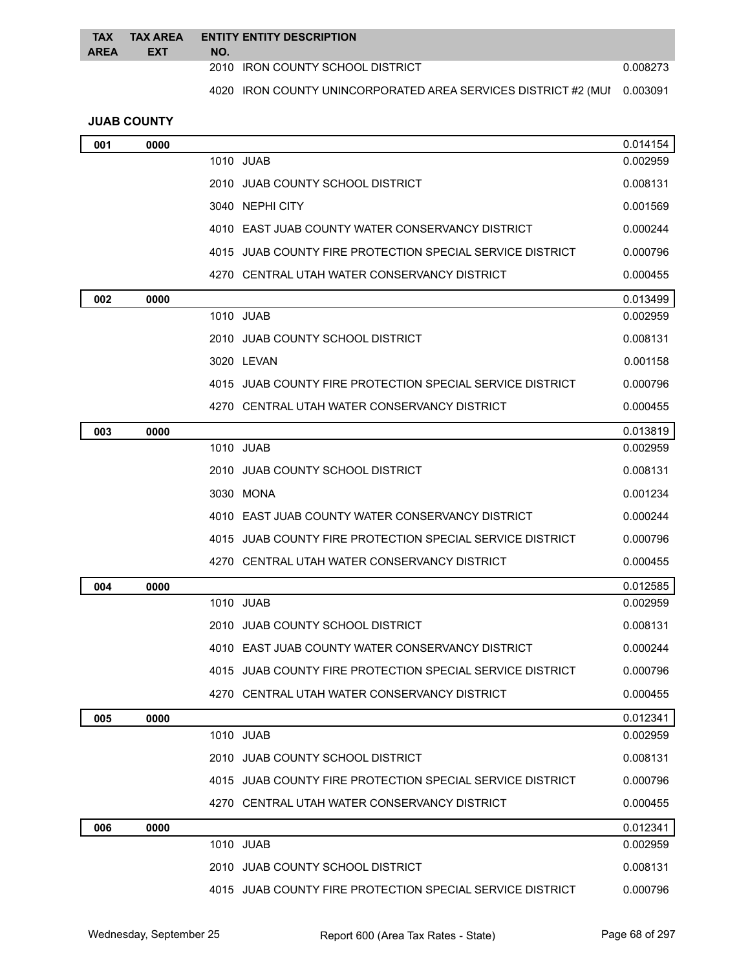| <b>TAX</b>  | <b>TAX AREA</b> | <b>ENTITY ENTITY DESCRIPTION</b>                                        |          |
|-------------|-----------------|-------------------------------------------------------------------------|----------|
| <b>AREA</b> | <b>EXT</b>      | NO.                                                                     |          |
|             |                 | 2010 IRON COUNTY SCHOOL DISTRICT                                        | 0.008273 |
|             |                 | 4020 IRON COUNTY UNINCORPORATED AREA SERVICES DISTRICT #2 (MUI 0.003091 |          |

## **JUAB COUNTY**

| 001 | 0000 |                                                           | 0.014154 |
|-----|------|-----------------------------------------------------------|----------|
|     |      | 1010 JUAB                                                 | 0.002959 |
|     |      | 2010 JUAB COUNTY SCHOOL DISTRICT                          | 0.008131 |
|     |      | 3040 NEPHI CITY                                           | 0.001569 |
|     |      | 4010 EAST JUAB COUNTY WATER CONSERVANCY DISTRICT          | 0.000244 |
|     |      | 4015 JUAB COUNTY FIRE PROTECTION SPECIAL SERVICE DISTRICT | 0.000796 |
|     |      | 4270 CENTRAL UTAH WATER CONSERVANCY DISTRICT              | 0.000455 |
| 002 | 0000 |                                                           | 0.013499 |
|     |      | 1010 JUAB                                                 | 0.002959 |
|     |      | 2010 JUAB COUNTY SCHOOL DISTRICT                          | 0.008131 |
|     |      | 3020 LEVAN                                                | 0.001158 |
|     |      | 4015 JUAB COUNTY FIRE PROTECTION SPECIAL SERVICE DISTRICT | 0.000796 |
|     |      | 4270 CENTRAL UTAH WATER CONSERVANCY DISTRICT              | 0.000455 |
| 003 | 0000 |                                                           | 0.013819 |
|     |      | 1010 JUAB                                                 | 0.002959 |
|     |      | 2010 JUAB COUNTY SCHOOL DISTRICT                          | 0.008131 |
|     |      | 3030 MONA                                                 | 0.001234 |
|     |      | 4010 EAST JUAB COUNTY WATER CONSERVANCY DISTRICT          | 0.000244 |
|     |      | 4015 JUAB COUNTY FIRE PROTECTION SPECIAL SERVICE DISTRICT | 0.000796 |
|     |      | 4270 CENTRAL UTAH WATER CONSERVANCY DISTRICT              | 0.000455 |
| 004 | 0000 |                                                           | 0.012585 |
|     |      | 1010 JUAB                                                 | 0.002959 |
|     |      | 2010 JUAB COUNTY SCHOOL DISTRICT                          | 0.008131 |
|     |      | 4010 EAST JUAB COUNTY WATER CONSERVANCY DISTRICT          | 0.000244 |
|     |      | 4015 JUAB COUNTY FIRE PROTECTION SPECIAL SERVICE DISTRICT | 0.000796 |
|     |      | 4270 CENTRAL UTAH WATER CONSERVANCY DISTRICT              | 0.000455 |
| 005 | 0000 |                                                           | 0.012341 |
|     |      | 1010 JUAB                                                 | 0.002959 |
|     |      | 2010 JUAB COUNTY SCHOOL DISTRICT                          | 0.008131 |
|     |      | 4015 JUAB COUNTY FIRE PROTECTION SPECIAL SERVICE DISTRICT | 0.000796 |
|     |      | 4270 CENTRAL UTAH WATER CONSERVANCY DISTRICT              | 0.000455 |
| 006 | 0000 |                                                           | 0.012341 |
|     |      | 1010 JUAB                                                 | 0.002959 |
|     |      | 2010 JUAB COUNTY SCHOOL DISTRICT                          | 0.008131 |
|     |      | 4015 JUAB COUNTY FIRE PROTECTION SPECIAL SERVICE DISTRICT | 0.000796 |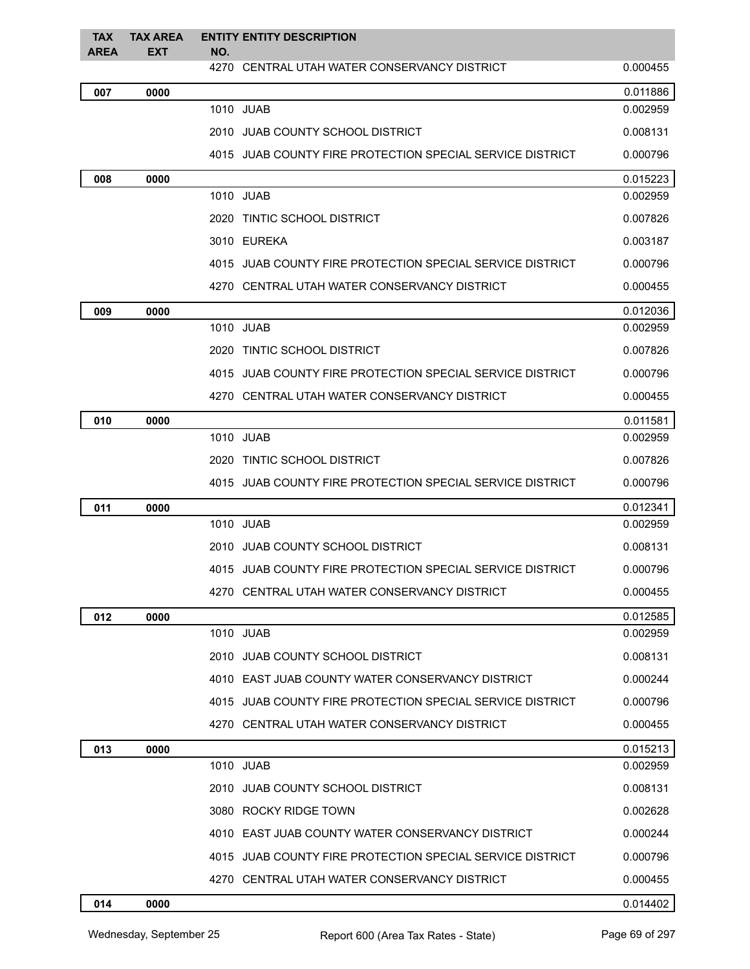| <b>TAX</b>  | <b>TAX AREA</b> | <b>ENTITY ENTITY DESCRIPTION</b>                          |          |
|-------------|-----------------|-----------------------------------------------------------|----------|
| <b>AREA</b> | <b>EXT</b>      | NO.<br>4270 CENTRAL UTAH WATER CONSERVANCY DISTRICT       | 0.000455 |
| 007         | 0000            |                                                           | 0.011886 |
|             |                 | 1010 JUAB                                                 | 0.002959 |
|             |                 | 2010 JUAB COUNTY SCHOOL DISTRICT                          | 0.008131 |
|             |                 | 4015 JUAB COUNTY FIRE PROTECTION SPECIAL SERVICE DISTRICT | 0.000796 |
| 008         | 0000            |                                                           | 0.015223 |
|             |                 | 1010 JUAB                                                 | 0.002959 |
|             |                 | 2020 TINTIC SCHOOL DISTRICT                               | 0.007826 |
|             |                 | 3010 EUREKA                                               | 0.003187 |
|             |                 | 4015 JUAB COUNTY FIRE PROTECTION SPECIAL SERVICE DISTRICT | 0.000796 |
|             |                 | 4270 CENTRAL UTAH WATER CONSERVANCY DISTRICT              | 0.000455 |
| 009         | 0000            |                                                           | 0.012036 |
|             |                 | 1010 JUAB                                                 | 0.002959 |
|             |                 | 2020 TINTIC SCHOOL DISTRICT                               | 0.007826 |
|             |                 | 4015 JUAB COUNTY FIRE PROTECTION SPECIAL SERVICE DISTRICT | 0.000796 |
|             |                 | 4270 CENTRAL UTAH WATER CONSERVANCY DISTRICT              | 0.000455 |
| 010         | 0000            |                                                           | 0.011581 |
|             |                 | 1010 JUAB                                                 | 0.002959 |
|             |                 | 2020 TINTIC SCHOOL DISTRICT                               | 0.007826 |
|             |                 | 4015 JUAB COUNTY FIRE PROTECTION SPECIAL SERVICE DISTRICT | 0.000796 |
| 011         | 0000            |                                                           | 0.012341 |
|             |                 | 1010 JUAB                                                 | 0.002959 |
|             |                 | 2010 JUAB COUNTY SCHOOL DISTRICT                          | 0.008131 |
|             |                 | 4015 JUAB COUNTY FIRE PROTECTION SPECIAL SERVICE DISTRICT | 0.000796 |
|             |                 | 4270 CENTRAL UTAH WATER CONSERVANCY DISTRICT              | 0.000455 |
| 012         | 0000            |                                                           | 0.012585 |
|             |                 | 1010 JUAB                                                 | 0.002959 |
|             |                 | 2010 JUAB COUNTY SCHOOL DISTRICT                          | 0.008131 |
|             |                 | 4010 EAST JUAB COUNTY WATER CONSERVANCY DISTRICT          | 0.000244 |
|             |                 | 4015 JUAB COUNTY FIRE PROTECTION SPECIAL SERVICE DISTRICT | 0.000796 |
|             |                 | 4270 CENTRAL UTAH WATER CONSERVANCY DISTRICT              | 0.000455 |
| 013         | 0000            |                                                           | 0.015213 |
|             |                 | 1010 JUAB                                                 | 0.002959 |
|             |                 | 2010 JUAB COUNTY SCHOOL DISTRICT                          | 0.008131 |
|             |                 | 3080 ROCKY RIDGE TOWN                                     | 0.002628 |
|             |                 | 4010 EAST JUAB COUNTY WATER CONSERVANCY DISTRICT          | 0.000244 |
|             |                 | 4015 JUAB COUNTY FIRE PROTECTION SPECIAL SERVICE DISTRICT | 0.000796 |
|             |                 | 4270 CENTRAL UTAH WATER CONSERVANCY DISTRICT              | 0.000455 |
| 014         | 0000            |                                                           | 0.014402 |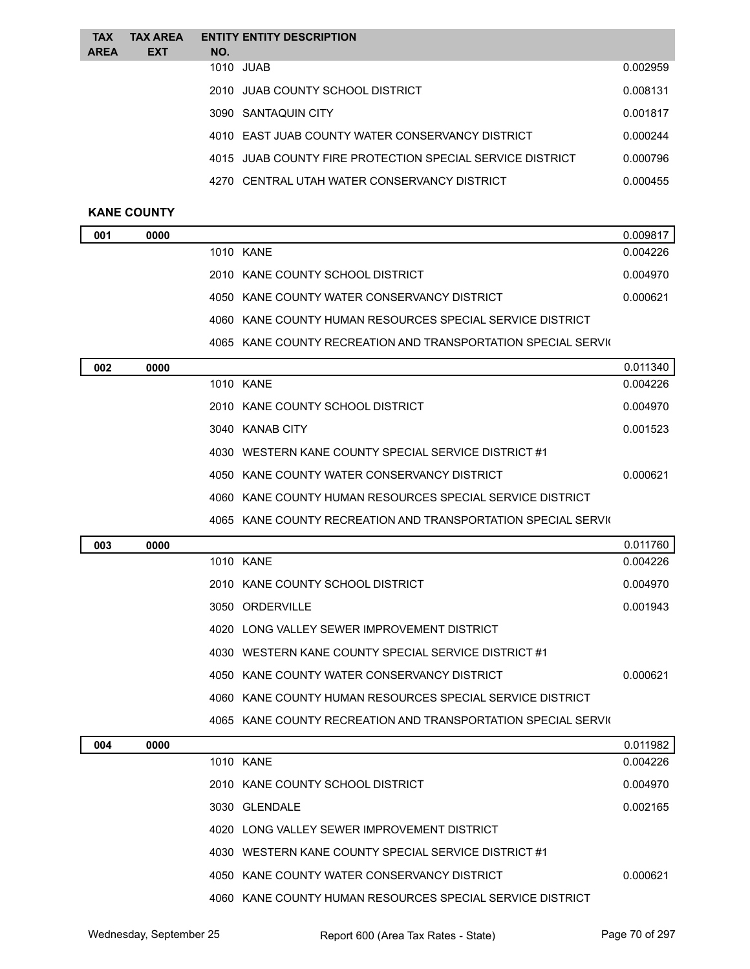| 1010 JUAB<br>2010 JUAB COUNTY SCHOOL DISTRICT<br>3090 SANTAQUIN CITY<br>4010 EAST JUAB COUNTY WATER CONSERVANCY DISTRICT<br>4015 JUAB COUNTY FIRE PROTECTION SPECIAL SERVICE DISTRICT<br>4270 CENTRAL UTAH WATER CONSERVANCY DISTRICT | <b>TAX</b><br>AREA | <b>TAX AREA</b><br><b>EXT</b> | <b>ENTITY ENTITY DESCRIPTION</b><br>NO. |          |
|---------------------------------------------------------------------------------------------------------------------------------------------------------------------------------------------------------------------------------------|--------------------|-------------------------------|-----------------------------------------|----------|
|                                                                                                                                                                                                                                       |                    |                               |                                         | 0.002959 |
|                                                                                                                                                                                                                                       |                    |                               |                                         | 0.008131 |
|                                                                                                                                                                                                                                       |                    |                               |                                         | 0.001817 |
|                                                                                                                                                                                                                                       |                    |                               |                                         | 0.000244 |
|                                                                                                                                                                                                                                       |                    |                               |                                         | 0.000796 |
|                                                                                                                                                                                                                                       |                    |                               |                                         | 0.000455 |

## **KANE COUNTY**

| 001 | 0000 |                                                               | 0.009817 |
|-----|------|---------------------------------------------------------------|----------|
|     |      | 1010 KANE                                                     | 0.004226 |
|     |      | 2010 KANE COUNTY SCHOOL DISTRICT                              | 0.004970 |
|     |      | 4050 KANE COUNTY WATER CONSERVANCY DISTRICT                   | 0.000621 |
|     |      | 4060 KANE COUNTY HUMAN RESOURCES SPECIAL SERVICE DISTRICT     |          |
|     |      | 4065 KANE COUNTY RECREATION AND TRANSPORTATION SPECIAL SERVIC |          |
| 002 | 0000 |                                                               | 0.011340 |
|     |      | 1010 KANE                                                     | 0.004226 |
|     |      | 2010 KANE COUNTY SCHOOL DISTRICT                              | 0.004970 |
|     |      | 3040 KANAB CITY                                               | 0.001523 |
|     |      | 4030 WESTERN KANE COUNTY SPECIAL SERVICE DISTRICT #1          |          |
|     |      | 4050 KANE COUNTY WATER CONSERVANCY DISTRICT                   | 0.000621 |
|     |      | 4060 KANE COUNTY HUMAN RESOURCES SPECIAL SERVICE DISTRICT     |          |
|     |      | 4065 KANE COUNTY RECREATION AND TRANSPORTATION SPECIAL SERVIC |          |
| 003 | 0000 |                                                               | 0.011760 |
|     |      | 1010 KANE                                                     | 0.004226 |
|     |      | 2010 KANE COUNTY SCHOOL DISTRICT                              | 0.004970 |
|     |      | 3050 ORDERVILLE                                               | 0.001943 |
|     |      | 4020 LONG VALLEY SEWER IMPROVEMENT DISTRICT                   |          |
|     |      | 4030 WESTERN KANE COUNTY SPECIAL SERVICE DISTRICT #1          |          |
|     |      | 4050 KANE COUNTY WATER CONSERVANCY DISTRICT                   | 0.000621 |
|     |      | 4060 KANE COUNTY HUMAN RESOURCES SPECIAL SERVICE DISTRICT     |          |
|     |      | 4065 KANE COUNTY RECREATION AND TRANSPORTATION SPECIAL SERVIO |          |

| 004 | 0000 |                                                           | 0.011982 |
|-----|------|-----------------------------------------------------------|----------|
|     |      | 1010 KANE                                                 | 0.004226 |
|     |      | 2010 KANE COUNTY SCHOOL DISTRICT                          | 0.004970 |
|     |      | 3030 GLENDALE                                             | 0.002165 |
|     |      | 4020 LONG VALLEY SEWER IMPROVEMENT DISTRICT               |          |
|     |      | 4030 WESTERN KANE COUNTY SPECIAL SERVICE DISTRICT #1      |          |
|     |      | 4050 KANE COUNTY WATER CONSERVANCY DISTRICT               | 0.000621 |
|     |      | 4060 KANE COUNTY HUMAN RESOURCES SPECIAL SERVICE DISTRICT |          |
|     |      |                                                           |          |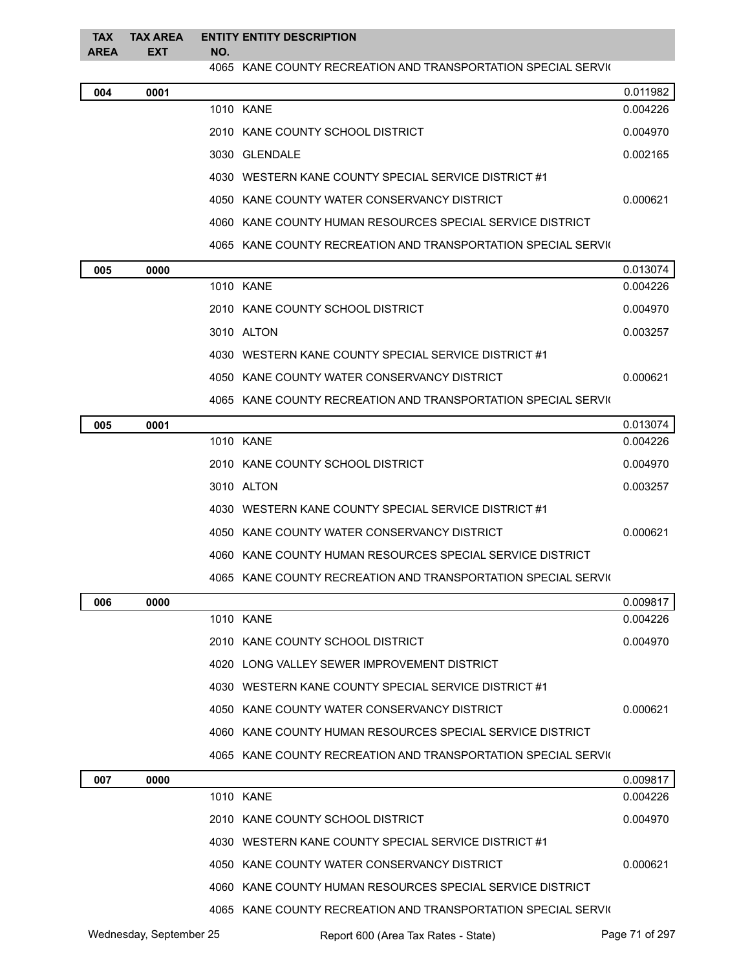| <b>TAX</b>  | <b>TAX AREA</b> | <b>ENTITY ENTITY DESCRIPTION</b>                              |
|-------------|-----------------|---------------------------------------------------------------|
| <b>AREA</b> | <b>EXT</b>      | NO.                                                           |
|             |                 | 4065 KANE COUNTY RECREATION AND TRANSPORTATION SPECIAL SERVIC |
|             |                 |                                                               |

| 004 | 0001 |                                                               | 0.011982 |
|-----|------|---------------------------------------------------------------|----------|
|     |      | 1010 KANE                                                     | 0.004226 |
|     |      | 2010 KANE COUNTY SCHOOL DISTRICT                              | 0.004970 |
|     |      | 3030 GLENDALE                                                 | 0.002165 |
|     |      | 4030 WESTERN KANE COUNTY SPECIAL SERVICE DISTRICT #1          |          |
|     |      | 4050 KANE COUNTY WATER CONSERVANCY DISTRICT                   | 0.000621 |
|     |      | 4060 KANE COUNTY HUMAN RESOURCES SPECIAL SERVICE DISTRICT     |          |
|     |      | 4065 KANE COUNTY RECREATION AND TRANSPORTATION SPECIAL SERVIC |          |

| 005 | 0000 |                                                               | 0.013074 |
|-----|------|---------------------------------------------------------------|----------|
|     |      | 1010 KANE                                                     | 0.004226 |
|     |      | 2010 KANE COUNTY SCHOOL DISTRICT                              | 0.004970 |
|     |      | 3010 ALTON                                                    | 0.003257 |
|     |      | 4030 WESTERN KANE COUNTY SPECIAL SERVICE DISTRICT #1          |          |
|     |      | 4050 KANE COUNTY WATER CONSERVANCY DISTRICT                   | 0.000621 |
|     |      | 4065 KANE COUNTY RECREATION AND TRANSPORTATION SPECIAL SERVIC |          |

| 005 | 0001 |                                                               | 0.013074 |
|-----|------|---------------------------------------------------------------|----------|
|     |      | 1010 KANE                                                     | 0.004226 |
|     |      | 2010 KANE COUNTY SCHOOL DISTRICT                              | 0.004970 |
|     |      | 3010 ALTON                                                    | 0.003257 |
|     |      | WESTERN KANE COUNTY SPECIAL SERVICE DISTRICT #1<br>4030       |          |
|     |      | 4050 KANE COUNTY WATER CONSERVANCY DISTRICT                   | 0.000621 |
|     |      | 4060 KANE COUNTY HUMAN RESOURCES SPECIAL SERVICE DISTRICT     |          |
|     |      | 4065 KANE COUNTY RECREATION AND TRANSPORTATION SPECIAL SERVIC |          |

| 006 | 0000 |                                                               | 0.009817 |
|-----|------|---------------------------------------------------------------|----------|
|     |      | 1010 KANE                                                     | 0.004226 |
|     |      | 2010 KANE COUNTY SCHOOL DISTRICT                              | 0.004970 |
|     |      | 4020 LONG VALLEY SEWER IMPROVEMENT DISTRICT                   |          |
|     |      | 4030 WESTERN KANE COUNTY SPECIAL SERVICE DISTRICT #1          |          |
|     |      | 4050 KANE COUNTY WATER CONSERVANCY DISTRICT                   | 0.000621 |
|     |      | 4060 KANE COUNTY HUMAN RESOURCES SPECIAL SERVICE DISTRICT     |          |
|     |      | 4065 KANE COUNTY RECREATION AND TRANSPORTATION SPECIAL SERVIC |          |

| 007 | 0000 |                                                               | 0.009817 |
|-----|------|---------------------------------------------------------------|----------|
|     |      | 1010 KANE                                                     | 0.004226 |
|     |      | 2010 KANE COUNTY SCHOOL DISTRICT                              | 0.004970 |
|     |      | WESTERN KANE COUNTY SPECIAL SERVICE DISTRICT #1<br>4030       |          |
|     |      | 4050 KANE COUNTY WATER CONSERVANCY DISTRICT                   | 0.000621 |
|     |      | 4060 KANE COUNTY HUMAN RESOURCES SPECIAL SERVICE DISTRICT     |          |
|     |      | 4065 KANE COUNTY RECREATION AND TRANSPORTATION SPECIAL SERVIC |          |
|     |      |                                                               |          |

Wednesday, September 25 **Report 600 (Area Tax Rates - State)** Page 71 of 297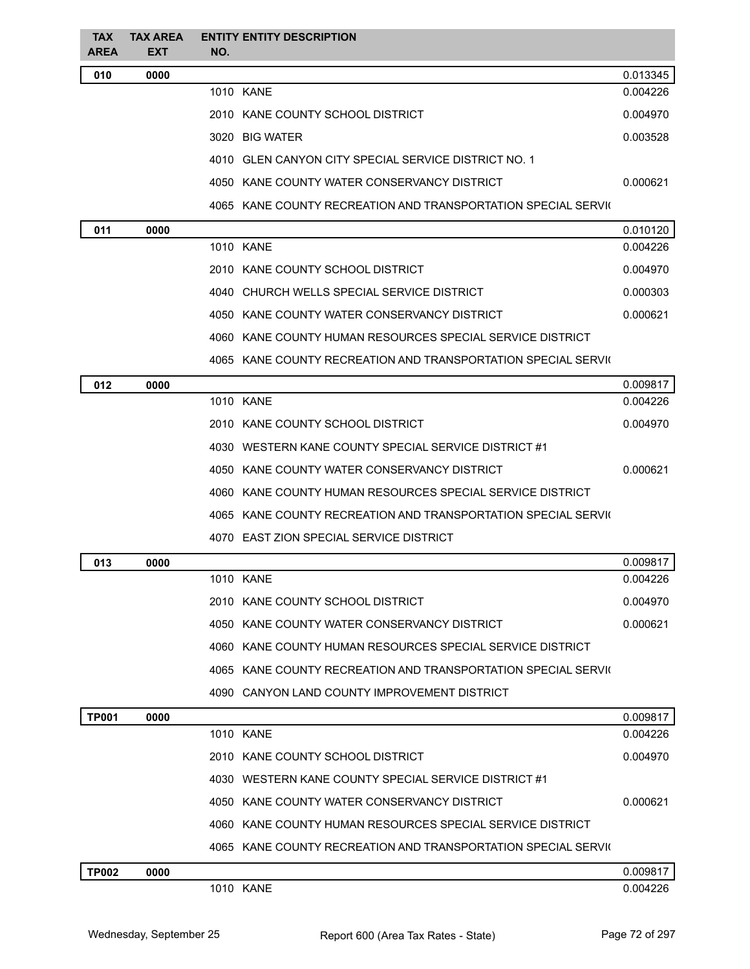| <b>TAX</b><br><b>AREA</b> | <b>TAX AREA</b><br><b>EXT</b> | NO. | <b>ENTITY ENTITY DESCRIPTION</b>                              |          |
|---------------------------|-------------------------------|-----|---------------------------------------------------------------|----------|
| 010                       | 0000                          |     |                                                               | 0.013345 |
|                           |                               |     | 1010 KANE                                                     | 0.004226 |
|                           |                               |     | 2010 KANE COUNTY SCHOOL DISTRICT                              | 0.004970 |
|                           |                               |     | 3020 BIG WATER                                                | 0.003528 |
|                           |                               |     | 4010 GLEN CANYON CITY SPECIAL SERVICE DISTRICT NO. 1          |          |
|                           |                               |     | 4050 KANE COUNTY WATER CONSERVANCY DISTRICT                   | 0.000621 |
|                           |                               |     | 4065 KANE COUNTY RECREATION AND TRANSPORTATION SPECIAL SERVIO |          |
| 011                       | 0000                          |     |                                                               | 0.010120 |
|                           |                               |     | 1010 KANE                                                     | 0.004226 |
|                           |                               |     | 2010 KANE COUNTY SCHOOL DISTRICT                              | 0.004970 |
|                           |                               |     | 4040 CHURCH WELLS SPECIAL SERVICE DISTRICT                    | 0.000303 |
|                           |                               |     | 4050 KANE COUNTY WATER CONSERVANCY DISTRICT                   | 0.000621 |
|                           |                               |     | 4060 KANE COUNTY HUMAN RESOURCES SPECIAL SERVICE DISTRICT     |          |
|                           |                               |     | 4065 KANE COUNTY RECREATION AND TRANSPORTATION SPECIAL SERVIC |          |
| 012                       | 0000                          |     |                                                               | 0.009817 |
|                           |                               |     | 1010 KANE                                                     | 0.004226 |
|                           |                               |     | 2010 KANE COUNTY SCHOOL DISTRICT                              | 0.004970 |
|                           |                               |     | 4030 WESTERN KANE COUNTY SPECIAL SERVICE DISTRICT #1          |          |
|                           |                               |     | 4050 KANE COUNTY WATER CONSERVANCY DISTRICT                   | 0.000621 |
|                           |                               |     | 4060 KANE COUNTY HUMAN RESOURCES SPECIAL SERVICE DISTRICT     |          |
|                           |                               |     | 4065 KANE COUNTY RECREATION AND TRANSPORTATION SPECIAL SERVIC |          |
|                           |                               |     | 4070 EAST ZION SPECIAL SERVICE DISTRICT                       |          |
| 013                       | 0000                          |     |                                                               | 0.009817 |
|                           |                               |     | 1010 KANE                                                     | 0.004226 |
|                           |                               |     | 2010 KANE COUNTY SCHOOL DISTRICT                              | 0.004970 |
|                           |                               |     | 4050 KANE COUNTY WATER CONSERVANCY DISTRICT                   | 0.000621 |
|                           |                               |     | 4060 KANE COUNTY HUMAN RESOURCES SPECIAL SERVICE DISTRICT     |          |
|                           |                               |     | 4065 KANE COUNTY RECREATION AND TRANSPORTATION SPECIAL SERVIC |          |
|                           |                               |     | 4090 CANYON LAND COUNTY IMPROVEMENT DISTRICT                  |          |
| <b>TP001</b>              | 0000                          |     |                                                               | 0.009817 |
|                           |                               |     | 1010 KANE                                                     | 0.004226 |
|                           |                               |     | 2010 KANE COUNTY SCHOOL DISTRICT                              | 0.004970 |
|                           |                               |     | 4030 WESTERN KANE COUNTY SPECIAL SERVICE DISTRICT #1          |          |
|                           |                               |     | 4050 KANE COUNTY WATER CONSERVANCY DISTRICT                   | 0.000621 |
|                           |                               |     | 4060 KANE COUNTY HUMAN RESOURCES SPECIAL SERVICE DISTRICT     |          |
|                           |                               |     | 4065 KANE COUNTY RECREATION AND TRANSPORTATION SPECIAL SERVIO |          |
| <b>TP002</b>              | 0000                          |     |                                                               | 0.009817 |
|                           |                               |     | 1010 KANE                                                     | 0.004226 |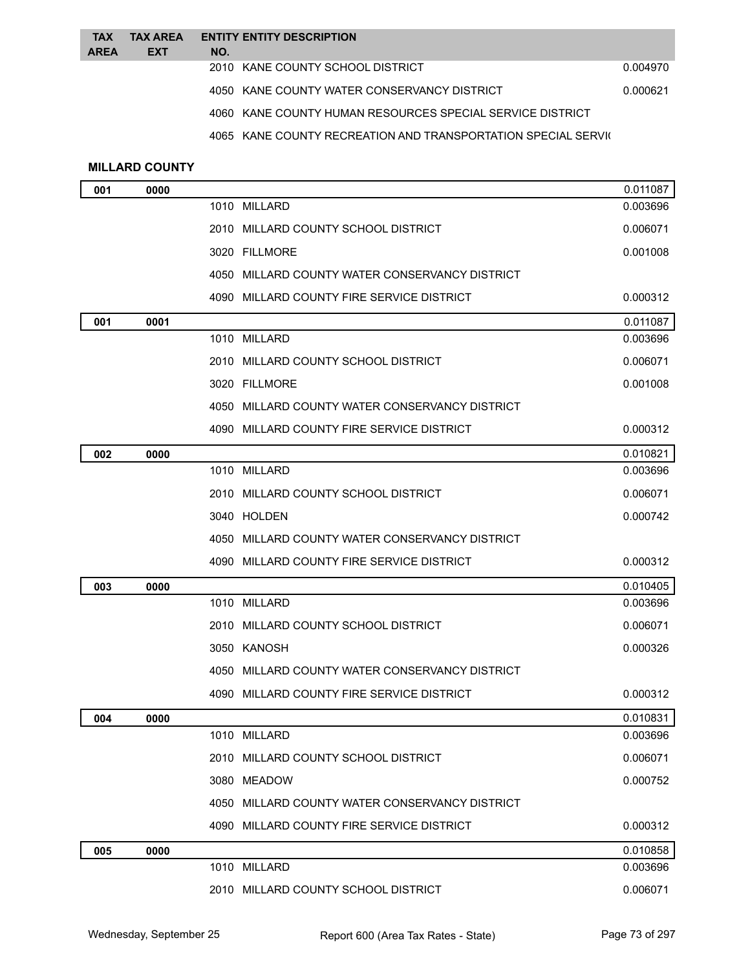| <b>TAX</b>  | <b>TAX AREA</b> | <b>ENTITY ENTITY DESCRIPTION</b>                          |          |
|-------------|-----------------|-----------------------------------------------------------|----------|
| <b>AREA</b> | <b>EXT</b>      | NO.<br>2010 KANE COUNTY SCHOOL DISTRICT                   | 0.004970 |
|             |                 |                                                           |          |
|             |                 | 4050 KANE COUNTY WATER CONSERVANCY DISTRICT               | 0.000621 |
|             |                 | 4060 KANE COUNTY HUMAN RESOURCES SPECIAL SERVICE DISTRICT |          |

4065 KANE COUNTY RECREATION AND TRANSPORTATION SPECIAL SERVIC

## **MILLARD COUNTY**

| 001 | 0000 |                                                | 0.011087 |
|-----|------|------------------------------------------------|----------|
|     |      | 1010 MILLARD                                   | 0.003696 |
|     |      | 2010 MILLARD COUNTY SCHOOL DISTRICT            | 0.006071 |
|     |      | 3020 FILLMORE                                  | 0.001008 |
|     |      | 4050 MILLARD COUNTY WATER CONSERVANCY DISTRICT |          |
|     |      | 4090 MILLARD COUNTY FIRE SERVICE DISTRICT      | 0.000312 |
| 001 | 0001 |                                                | 0.011087 |
|     |      | 1010 MILLARD                                   | 0.003696 |
|     |      | 2010 MILLARD COUNTY SCHOOL DISTRICT            | 0.006071 |
|     |      | 3020 FILLMORE                                  | 0.001008 |
|     |      | 4050 MILLARD COUNTY WATER CONSERVANCY DISTRICT |          |
|     |      | 4090 MILLARD COUNTY FIRE SERVICE DISTRICT      | 0.000312 |
| 002 | 0000 |                                                | 0.010821 |
|     |      | 1010 MILLARD                                   | 0.003696 |
|     |      | 2010 MILLARD COUNTY SCHOOL DISTRICT            | 0.006071 |
|     |      | 3040 HOLDEN                                    | 0.000742 |
|     |      | 4050 MILLARD COUNTY WATER CONSERVANCY DISTRICT |          |
|     |      | 4090 MILLARD COUNTY FIRE SERVICE DISTRICT      | 0.000312 |
| 003 | 0000 |                                                | 0.010405 |
|     |      | 1010 MILLARD                                   | 0.003696 |
|     |      | 2010 MILLARD COUNTY SCHOOL DISTRICT            | 0.006071 |
|     |      | 3050 KANOSH                                    | 0.000326 |
|     |      | 4050 MILLARD COUNTY WATER CONSERVANCY DISTRICT |          |
|     |      | 4090 MILLARD COUNTY FIRE SERVICE DISTRICT      | 0.000312 |
| 004 | 0000 |                                                | 0.010831 |
|     |      | 1010 MILLARD                                   | 0.003696 |
|     |      | 2010 MILLARD COUNTY SCHOOL DISTRICT            | 0.006071 |
|     |      | 3080 MEADOW                                    | 0.000752 |
|     |      | 4050 MILLARD COUNTY WATER CONSERVANCY DISTRICT |          |
|     |      | 4090 MILLARD COUNTY FIRE SERVICE DISTRICT      | 0.000312 |
| 005 | 0000 |                                                | 0.010858 |
|     |      | 1010 MILLARD                                   | 0.003696 |
|     |      | 2010 MILLARD COUNTY SCHOOL DISTRICT            | 0.006071 |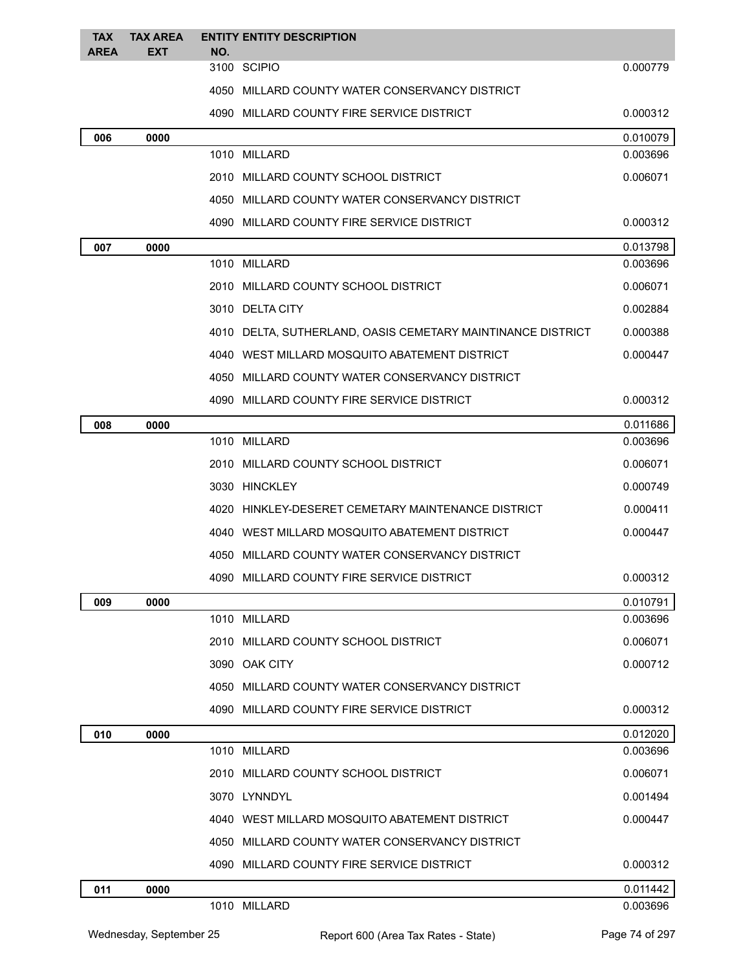| <b>TAX</b>  | <b>TAX AREA</b> |     | <b>ENTITY ENTITY DESCRIPTION</b>                            |                      |
|-------------|-----------------|-----|-------------------------------------------------------------|----------------------|
| <b>AREA</b> | EXT             | NO. | 3100 SCIPIO                                                 | 0.000779             |
|             |                 |     | 4050 MILLARD COUNTY WATER CONSERVANCY DISTRICT              |                      |
|             |                 |     |                                                             |                      |
|             |                 |     | 4090 MILLARD COUNTY FIRE SERVICE DISTRICT                   | 0.000312             |
| 006         | 0000            |     | 1010 MILLARD                                                | 0.010079<br>0.003696 |
|             |                 |     |                                                             |                      |
|             |                 |     | 2010 MILLARD COUNTY SCHOOL DISTRICT                         | 0.006071             |
|             |                 |     | 4050 MILLARD COUNTY WATER CONSERVANCY DISTRICT              |                      |
|             |                 |     | 4090 MILLARD COUNTY FIRE SERVICE DISTRICT                   | 0.000312             |
| 007         | 0000            |     |                                                             | 0.013798             |
|             |                 |     | 1010 MILLARD                                                | 0.003696             |
|             |                 |     | 2010 MILLARD COUNTY SCHOOL DISTRICT                         | 0.006071             |
|             |                 |     | 3010 DELTA CITY                                             | 0.002884             |
|             |                 |     | 4010 DELTA, SUTHERLAND, OASIS CEMETARY MAINTINANCE DISTRICT | 0.000388             |
|             |                 |     | 4040 WEST MILLARD MOSQUITO ABATEMENT DISTRICT               | 0.000447             |
|             |                 |     | 4050 MILLARD COUNTY WATER CONSERVANCY DISTRICT              |                      |
|             |                 |     | 4090 MILLARD COUNTY FIRE SERVICE DISTRICT                   | 0.000312             |
| 008         | 0000            |     |                                                             | 0.011686             |
|             |                 |     | 1010 MILLARD                                                | 0.003696             |
|             |                 |     | 2010 MILLARD COUNTY SCHOOL DISTRICT                         | 0.006071             |
|             |                 |     | 3030 HINCKLEY                                               | 0.000749             |
|             |                 |     | 4020 HINKLEY-DESERET CEMETARY MAINTENANCE DISTRICT          | 0.000411             |
|             |                 |     | 4040 WEST MILLARD MOSQUITO ABATEMENT DISTRICT               | 0.000447             |
|             |                 |     | 4050 MILLARD COUNTY WATER CONSERVANCY DISTRICT              |                      |
|             |                 |     | 4090 MILLARD COUNTY FIRE SERVICE DISTRICT                   | 0.000312             |
| 009         | 0000            |     |                                                             | 0.010791             |
|             |                 |     | 1010 MILLARD                                                | 0.003696             |
|             |                 |     | 2010 MILLARD COUNTY SCHOOL DISTRICT                         | 0.006071             |
|             |                 |     | 3090 OAK CITY                                               | 0.000712             |
|             |                 |     | 4050 MILLARD COUNTY WATER CONSERVANCY DISTRICT              |                      |
|             |                 |     | 4090 MILLARD COUNTY FIRE SERVICE DISTRICT                   | 0.000312             |
| 010         | 0000            |     |                                                             | 0.012020             |
|             |                 |     | 1010 MILLARD                                                | 0.003696             |
|             |                 |     | 2010 MILLARD COUNTY SCHOOL DISTRICT                         | 0.006071             |
|             |                 |     | 3070 LYNNDYL                                                | 0.001494             |
|             |                 |     | 4040 WEST MILLARD MOSQUITO ABATEMENT DISTRICT               | 0.000447             |
|             |                 |     | 4050 MILLARD COUNTY WATER CONSERVANCY DISTRICT              |                      |
|             |                 |     | 4090 MILLARD COUNTY FIRE SERVICE DISTRICT                   | 0.000312             |
| 011         | 0000            |     |                                                             | 0.011442             |
|             |                 |     | 1010 MILLARD                                                | 0.003696             |
|             |                 |     |                                                             |                      |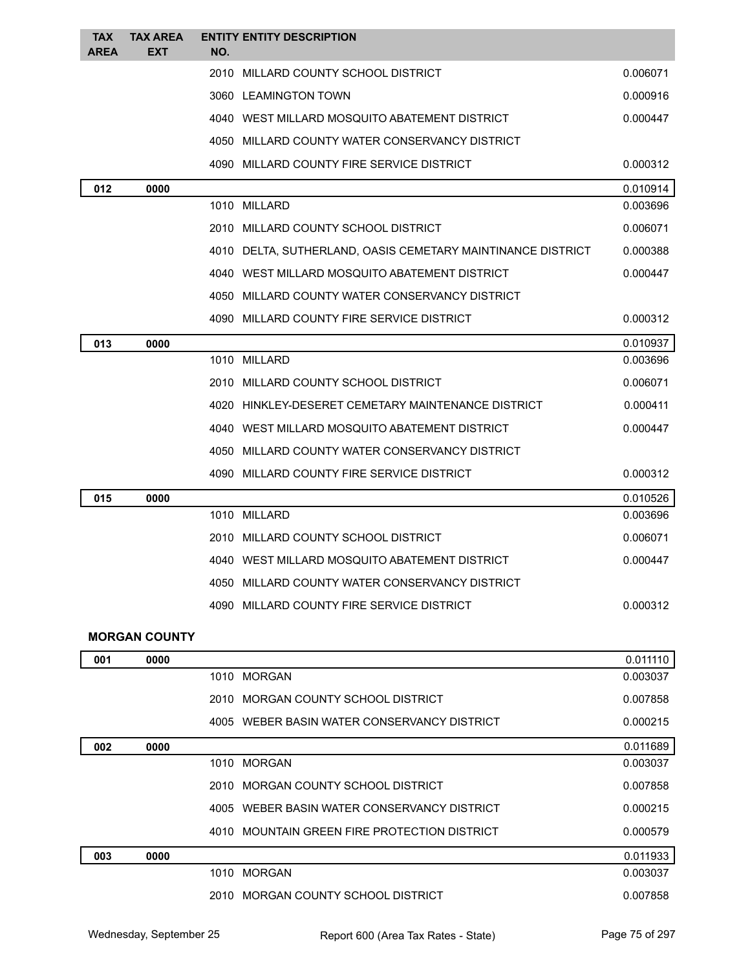| <b>TAX</b><br><b>AREA</b> | <b>TAX AREA</b><br><b>EXT</b> | NO. | <b>ENTITY ENTITY DESCRIPTION</b>                            |          |
|---------------------------|-------------------------------|-----|-------------------------------------------------------------|----------|
|                           |                               |     | 2010 MILLARD COUNTY SCHOOL DISTRICT                         | 0.006071 |
|                           |                               |     | 3060 LEAMINGTON TOWN                                        | 0.000916 |
|                           |                               |     | 4040 WEST MILLARD MOSQUITO ABATEMENT DISTRICT               | 0.000447 |
|                           |                               |     | 4050 MILLARD COUNTY WATER CONSERVANCY DISTRICT              |          |
|                           |                               |     | 4090 MILLARD COUNTY FIRE SERVICE DISTRICT                   | 0.000312 |
| 012                       | 0000                          |     |                                                             | 0.010914 |
|                           |                               |     | 1010 MILLARD                                                | 0.003696 |
|                           |                               |     | 2010 MILLARD COUNTY SCHOOL DISTRICT                         | 0.006071 |
|                           |                               |     | 4010 DELTA, SUTHERLAND, OASIS CEMETARY MAINTINANCE DISTRICT | 0.000388 |
|                           |                               |     | 4040 WEST MILLARD MOSQUITO ABATEMENT DISTRICT               | 0.000447 |
|                           |                               |     | 4050 MILLARD COUNTY WATER CONSERVANCY DISTRICT              |          |
|                           |                               |     | 4090 MILLARD COUNTY FIRE SERVICE DISTRICT                   | 0.000312 |
| 013                       | 0000                          |     |                                                             | 0.010937 |
|                           |                               |     | 1010 MILLARD                                                | 0.003696 |
|                           |                               |     | 2010 MILLARD COUNTY SCHOOL DISTRICT                         | 0.006071 |
|                           |                               |     | 4020 HINKLEY-DESERET CEMETARY MAINTENANCE DISTRICT          | 0.000411 |
|                           |                               |     | 4040 WEST MILLARD MOSQUITO ABATEMENT DISTRICT               | 0.000447 |
|                           |                               |     | 4050 MILLARD COUNTY WATER CONSERVANCY DISTRICT              |          |
|                           |                               |     | 4090 MILLARD COUNTY FIRE SERVICE DISTRICT                   | 0.000312 |
| 015                       | 0000                          |     |                                                             | 0.010526 |
|                           |                               |     | 1010 MILLARD                                                | 0.003696 |
|                           |                               |     | 2010 MILLARD COUNTY SCHOOL DISTRICT                         | 0.006071 |
|                           |                               |     | 4040 WEST MILLARD MOSQUITO ABATEMENT DISTRICT               | 0.000447 |
|                           |                               |     | 4050 MILLARD COUNTY WATER CONSERVANCY DISTRICT              |          |
|                           |                               |     | 4090 MILLARD COUNTY FIRE SERVICE DISTRICT                   | 0.000312 |
|                           | <b>MORGAN COUNTY</b>          |     |                                                             |          |
| 001                       | 0000                          |     |                                                             | 0.011110 |
|                           |                               |     | 1010 MORGAN                                                 | 0.003037 |
|                           |                               |     | 2010 MORGAN COUNTY SCHOOL DISTRICT                          | 0.007858 |
|                           |                               |     | 4005 WEBER BASIN WATER CONSERVANCY DISTRICT                 | 0.000215 |
| 002                       | 0000                          |     |                                                             | 0.011689 |
|                           |                               |     | 1010 MORGAN                                                 | 0.003037 |
|                           |                               |     | 2010 MORGAN COUNTY SCHOOL DISTRICT                          | 0.007858 |
|                           |                               |     | 4005 WEBER BASIN WATER CONSERVANCY DISTRICT                 | 0.000215 |

4010 MOUNTAIN GREEN FIRE PROTECTION DISTRICT 0.000579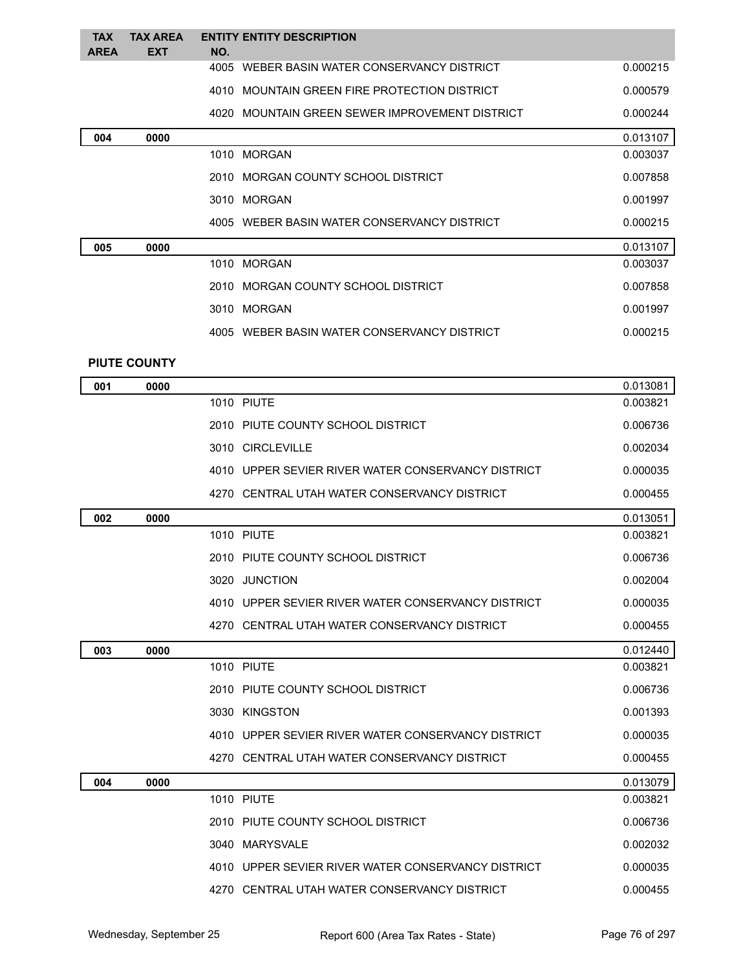| <b>TAX</b>  | <b>TAX AREA</b>     |     | <b>ENTITY ENTITY DESCRIPTION</b>               |          |
|-------------|---------------------|-----|------------------------------------------------|----------|
| <b>AREA</b> | <b>EXT</b>          | NO. |                                                |          |
|             |                     |     | 4005 WEBER BASIN WATER CONSERVANCY DISTRICT    | 0.000215 |
|             |                     |     | 4010 MOUNTAIN GREEN FIRE PROTECTION DISTRICT   | 0.000579 |
|             |                     |     | 4020 MOUNTAIN GREEN SEWER IMPROVEMENT DISTRICT | 0.000244 |
| 004         | 0000                |     |                                                | 0.013107 |
|             |                     |     | 1010 MORGAN                                    | 0.003037 |
|             |                     |     | 2010 MORGAN COUNTY SCHOOL DISTRICT             | 0.007858 |
|             |                     |     | 3010 MORGAN                                    | 0.001997 |
|             |                     |     | 4005 WEBER BASIN WATER CONSERVANCY DISTRICT    | 0.000215 |
| 005         | 0000                |     |                                                | 0.013107 |
|             |                     |     | 1010 MORGAN                                    | 0.003037 |
|             |                     |     | 2010 MORGAN COUNTY SCHOOL DISTRICT             | 0.007858 |
|             |                     |     | 3010 MORGAN                                    | 0.001997 |
|             |                     |     | 4005 WEBER BASIN WATER CONSERVANCY DISTRICT    | 0.000215 |
|             | <b>PIUTE COUNTY</b> |     |                                                |          |

| 001 | 0000 |                                                    | 0.013081 |
|-----|------|----------------------------------------------------|----------|
|     |      | 1010 PIUTE                                         | 0.003821 |
|     |      | 2010 PIUTE COUNTY SCHOOL DISTRICT                  | 0.006736 |
|     |      | 3010 CIRCLEVILLE                                   | 0.002034 |
|     |      | 4010 UPPER SEVIER RIVER WATER CONSERVANCY DISTRICT | 0.000035 |
|     |      | 4270 CENTRAL UTAH WATER CONSERVANCY DISTRICT       | 0.000455 |
| 002 | 0000 |                                                    | 0.013051 |
|     |      | <b>1010 PIUTE</b>                                  | 0.003821 |
|     |      | 2010 PIUTE COUNTY SCHOOL DISTRICT                  | 0.006736 |
|     |      | 3020 JUNCTION                                      | 0.002004 |
|     |      | 4010 UPPER SEVIER RIVER WATER CONSERVANCY DISTRICT | 0.000035 |
|     |      | 4270 CENTRAL UTAH WATER CONSERVANCY DISTRICT       | 0.000455 |
| 003 | 0000 |                                                    | 0.012440 |
|     |      | 1010 PIUTE                                         | 0.003821 |
|     |      | 2010 PIUTE COUNTY SCHOOL DISTRICT                  | 0.006736 |
|     |      | 3030 KINGSTON                                      | 0.001393 |
|     |      | 4010 UPPER SEVIER RIVER WATER CONSERVANCY DISTRICT | 0.000035 |
|     |      | 4270 CENTRAL UTAH WATER CONSERVANCY DISTRICT       | 0.000455 |
| 004 | 0000 |                                                    | 0.013079 |
|     |      | <b>1010 PIUTE</b>                                  | 0.003821 |
|     |      | 2010 PIUTE COUNTY SCHOOL DISTRICT                  | 0.006736 |
|     |      | 3040 MARYSVALE                                     | 0.002032 |
|     |      | 4010 UPPER SEVIER RIVER WATER CONSERVANCY DISTRICT | 0.000035 |
|     |      | 4270 CENTRAL UTAH WATER CONSERVANCY DISTRICT       | 0.000455 |
|     |      |                                                    |          |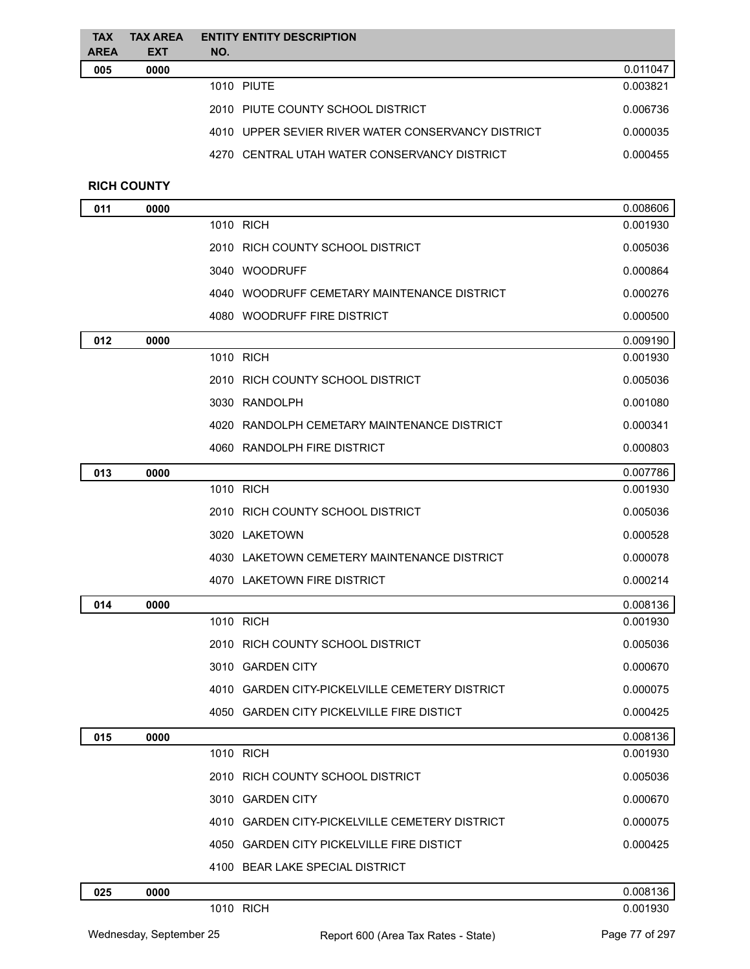| <b>TAX</b><br><b>AREA</b> | <b>TAX AREA</b><br><b>EXT</b> | <b>ENTITY ENTITY DESCRIPTION</b><br>NO.            |          |
|---------------------------|-------------------------------|----------------------------------------------------|----------|
| 005                       | 0000                          |                                                    | 0.011047 |
|                           |                               | 1010 PIUTE                                         | 0.003821 |
|                           |                               | 2010 PIUTE COUNTY SCHOOL DISTRICT                  | 0.006736 |
|                           |                               | 4010 UPPER SEVIER RIVER WATER CONSERVANCY DISTRICT | 0.000035 |
|                           |                               | 4270 CENTRAL UTAH WATER CONSERVANCY DISTRICT       | 0.000455 |
|                           | <b>RICH COUNTY</b>            |                                                    |          |
| 011                       | 0000                          |                                                    | 0.008606 |
|                           |                               | 1010 RICH                                          | 0.001930 |
|                           |                               | 2010 RICH COUNTY SCHOOL DISTRICT                   | 0.005036 |
|                           |                               | 3040 WOODRUFF                                      | 0.000864 |
|                           |                               | 4040 WOODRUFF CEMETARY MAINTENANCE DISTRICT        | 0.000276 |
|                           |                               | 4080 WOODRUFF FIRE DISTRICT                        | 0.000500 |
| 012                       | 0000                          |                                                    | 0.009190 |
|                           |                               | 1010 RICH                                          | 0.001930 |
|                           |                               | 2010 RICH COUNTY SCHOOL DISTRICT                   | 0.005036 |
|                           |                               | 3030 RANDOLPH                                      | 0.001080 |
|                           |                               | 4020 RANDOLPH CEMETARY MAINTENANCE DISTRICT        | 0.000341 |
|                           |                               | 4060 RANDOLPH FIRE DISTRICT                        | 0.000803 |
| 013                       | 0000                          |                                                    | 0.007786 |
|                           |                               | 1010 RICH                                          | 0.001930 |
|                           |                               | 2010 RICH COUNTY SCHOOL DISTRICT                   | 0.005036 |
|                           |                               | 3020 LAKETOWN                                      | 0.000528 |
|                           |                               | 4030 LAKETOWN CEMETERY MAINTENANCE DISTRICT        | 0.000078 |
|                           |                               | 4070 LAKETOWN FIRE DISTRICT                        | 0.000214 |
| 014                       | 0000                          |                                                    | 0.008136 |
|                           |                               | 1010 RICH                                          | 0.001930 |
|                           |                               | 2010 RICH COUNTY SCHOOL DISTRICT                   | 0.005036 |
|                           |                               | 3010 GARDEN CITY                                   | 0.000670 |
|                           |                               | 4010 GARDEN CITY-PICKELVILLE CEMETERY DISTRICT     | 0.000075 |
|                           |                               | 4050 GARDEN CITY PICKELVILLE FIRE DISTICT          | 0.000425 |
| 015                       | 0000                          |                                                    | 0.008136 |
|                           |                               | 1010 RICH                                          | 0.001930 |
|                           |                               | 2010 RICH COUNTY SCHOOL DISTRICT                   | 0.005036 |
|                           |                               | 3010 GARDEN CITY                                   | 0.000670 |
|                           |                               | 4010 GARDEN CITY-PICKELVILLE CEMETERY DISTRICT     | 0.000075 |
|                           |                               | 4050 GARDEN CITY PICKELVILLE FIRE DISTICT          | 0.000425 |
|                           |                               | 4100 BEAR LAKE SPECIAL DISTRICT                    |          |
| 025                       | 0000                          |                                                    | 0.008136 |
|                           |                               | 1010 RICH                                          | 0.001930 |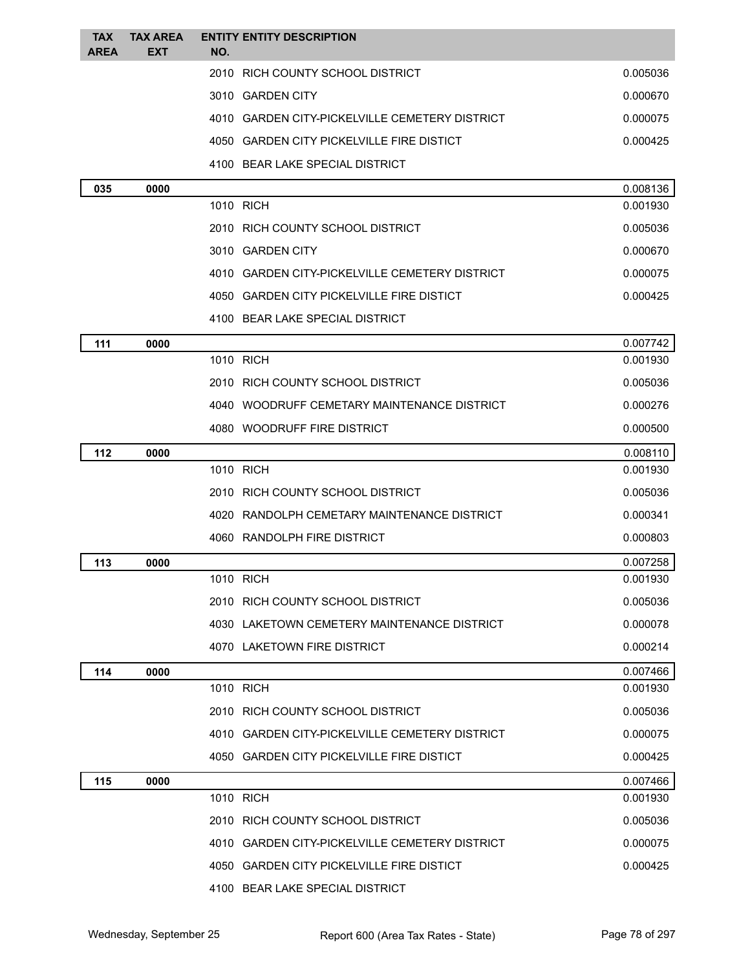| <b>TAX</b>  | <b>TAX AREA</b> | <b>ENTITY ENTITY DESCRIPTION</b>               |                      |
|-------------|-----------------|------------------------------------------------|----------------------|
| <b>AREA</b> | <b>EXT</b>      | NO.                                            |                      |
|             |                 | 2010 RICH COUNTY SCHOOL DISTRICT               | 0.005036             |
|             |                 | 3010 GARDEN CITY                               | 0.000670             |
|             |                 | 4010 GARDEN CITY-PICKELVILLE CEMETERY DISTRICT | 0.000075             |
|             |                 | 4050 GARDEN CITY PICKELVILLE FIRE DISTICT      | 0.000425             |
|             |                 | 4100 BEAR LAKE SPECIAL DISTRICT                |                      |
| 035         | 0000            | 1010 RICH                                      | 0.008136<br>0.001930 |
|             |                 | 2010 RICH COUNTY SCHOOL DISTRICT               | 0.005036             |
|             |                 | 3010 GARDEN CITY                               | 0.000670             |
|             |                 |                                                |                      |
|             |                 | 4010 GARDEN CITY-PICKELVILLE CEMETERY DISTRICT | 0.000075             |
|             |                 | 4050 GARDEN CITY PICKELVILLE FIRE DISTICT      | 0.000425             |
|             |                 | 4100 BEAR LAKE SPECIAL DISTRICT                |                      |
| 111         | 0000            | 1010 RICH                                      | 0.007742<br>0.001930 |
|             |                 | 2010 RICH COUNTY SCHOOL DISTRICT               | 0.005036             |
|             |                 | 4040 WOODRUFF CEMETARY MAINTENANCE DISTRICT    |                      |
|             |                 | 4080 WOODRUFF FIRE DISTRICT                    | 0.000276<br>0.000500 |
|             |                 |                                                |                      |
| 112         | 0000            | 1010 RICH                                      | 0.008110<br>0.001930 |
|             |                 | 2010 RICH COUNTY SCHOOL DISTRICT               | 0.005036             |
|             |                 | 4020 RANDOLPH CEMETARY MAINTENANCE DISTRICT    | 0.000341             |
|             |                 | 4060 RANDOLPH FIRE DISTRICT                    | 0.000803             |
|             |                 |                                                | 0.007258             |
| 113         | 0000            | 1010 RICH                                      | 0.001930             |
|             |                 | 2010 RICH COUNTY SCHOOL DISTRICT               | 0.005036             |
|             |                 | 4030 LAKETOWN CEMETERY MAINTENANCE DISTRICT    | 0.000078             |
|             |                 | 4070 LAKETOWN FIRE DISTRICT                    | 0.000214             |
| 114         | 0000            |                                                | 0.007466             |
|             |                 | 1010 RICH                                      | 0.001930             |
|             |                 | 2010 RICH COUNTY SCHOOL DISTRICT               | 0.005036             |
|             |                 | 4010 GARDEN CITY-PICKELVILLE CEMETERY DISTRICT | 0.000075             |
|             |                 | 4050 GARDEN CITY PICKELVILLE FIRE DISTICT      | 0.000425             |
| 115         | 0000            |                                                | 0.007466             |
|             |                 | 1010 RICH                                      | 0.001930             |
|             |                 | 2010 RICH COUNTY SCHOOL DISTRICT               | 0.005036             |
|             |                 | 4010 GARDEN CITY-PICKELVILLE CEMETERY DISTRICT | 0.000075             |
|             |                 | 4050 GARDEN CITY PICKELVILLE FIRE DISTICT      | 0.000425             |
|             |                 | 4100 BEAR LAKE SPECIAL DISTRICT                |                      |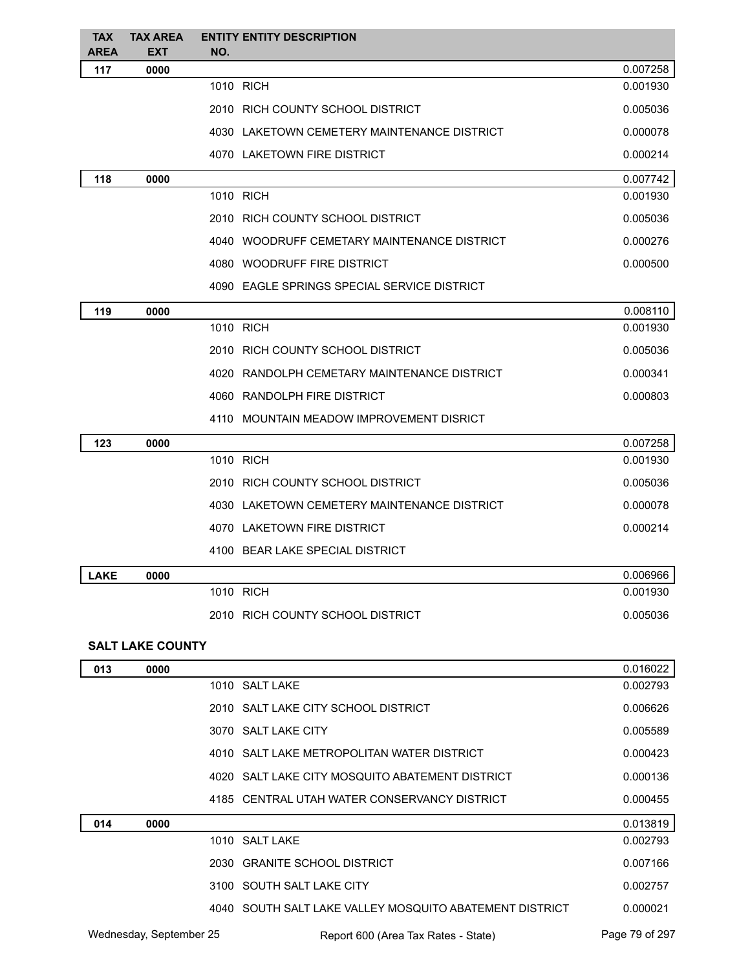| <b>TAX</b><br><b>AREA</b> | <b>TAX AREA</b><br><b>EXT</b> | <b>ENTITY ENTITY DESCRIPTION</b><br>NO.                 |                      |
|---------------------------|-------------------------------|---------------------------------------------------------|----------------------|
| 117                       | 0000                          |                                                         | 0.007258             |
|                           |                               | 1010 RICH                                               | 0.001930             |
|                           |                               | 2010 RICH COUNTY SCHOOL DISTRICT                        | 0.005036             |
|                           |                               | 4030 LAKETOWN CEMETERY MAINTENANCE DISTRICT             | 0.000078             |
|                           |                               | 4070 LAKETOWN FIRE DISTRICT                             | 0.000214             |
| 118                       | 0000                          |                                                         | 0.007742             |
|                           |                               | 1010 RICH                                               | 0.001930             |
|                           |                               | 2010 RICH COUNTY SCHOOL DISTRICT                        | 0.005036             |
|                           |                               | 4040 WOODRUFF CEMETARY MAINTENANCE DISTRICT             | 0.000276             |
|                           |                               | 4080 WOODRUFF FIRE DISTRICT                             | 0.000500             |
|                           |                               | 4090 EAGLE SPRINGS SPECIAL SERVICE DISTRICT             |                      |
| 119                       | 0000                          |                                                         | 0.008110             |
|                           |                               | 1010 RICH                                               | 0.001930             |
|                           |                               | 2010 RICH COUNTY SCHOOL DISTRICT                        | 0.005036             |
|                           |                               | 4020 RANDOLPH CEMETARY MAINTENANCE DISTRICT             | 0.000341             |
|                           |                               | 4060 RANDOLPH FIRE DISTRICT                             | 0.000803             |
|                           |                               | 4110 MOUNTAIN MEADOW IMPROVEMENT DISRICT                |                      |
| 123                       | 0000                          |                                                         | 0.007258             |
|                           |                               | 1010 RICH                                               | 0.001930             |
|                           |                               | 2010 RICH COUNTY SCHOOL DISTRICT                        | 0.005036             |
|                           |                               | 4030 LAKETOWN CEMETERY MAINTENANCE DISTRICT             | 0.000078             |
|                           |                               | 4070 LAKETOWN FIRE DISTRICT                             | 0.000214             |
|                           |                               | 4100 BEAR LAKE SPECIAL DISTRICT                         |                      |
| <b>LAKE</b>               | 0000                          |                                                         | 0.006966             |
|                           |                               | 1010 RICH                                               | 0.001930             |
|                           |                               | 2010 RICH COUNTY SCHOOL DISTRICT                        | 0.005036             |
|                           |                               |                                                         |                      |
|                           | <b>SALT LAKE COUNTY</b>       |                                                         |                      |
| 013                       | 0000                          | 1010 SALT LAKE                                          | 0.016022<br>0.002793 |
|                           |                               | 2010 SALT LAKE CITY SCHOOL DISTRICT                     | 0.006626             |
|                           |                               | 3070 SALT LAKE CITY                                     | 0.005589             |
|                           |                               | 4010 SALT LAKE METROPOLITAN WATER DISTRICT              | 0.000423             |
|                           |                               | 4020 SALT LAKE CITY MOSQUITO ABATEMENT DISTRICT         | 0.000136             |
|                           |                               | 4185 CENTRAL UTAH WATER CONSERVANCY DISTRICT            |                      |
|                           |                               |                                                         | 0.000455             |
| 014                       | 0000                          | 1010 SALT LAKE                                          | 0.013819<br>0.002793 |
|                           |                               | 2030 GRANITE SCHOOL DISTRICT                            | 0.007166             |
|                           |                               | 3100 SOUTH SALT LAKE CITY                               | 0.002757             |
|                           |                               |                                                         |                      |
|                           |                               | 4040 SOUTH SALT LAKE VALLEY MOSQUITO ABATEMENT DISTRICT | 0.000021             |

Wednesday, September 25 **Report 600 (Area Tax Rates - State)** Page 79 of 297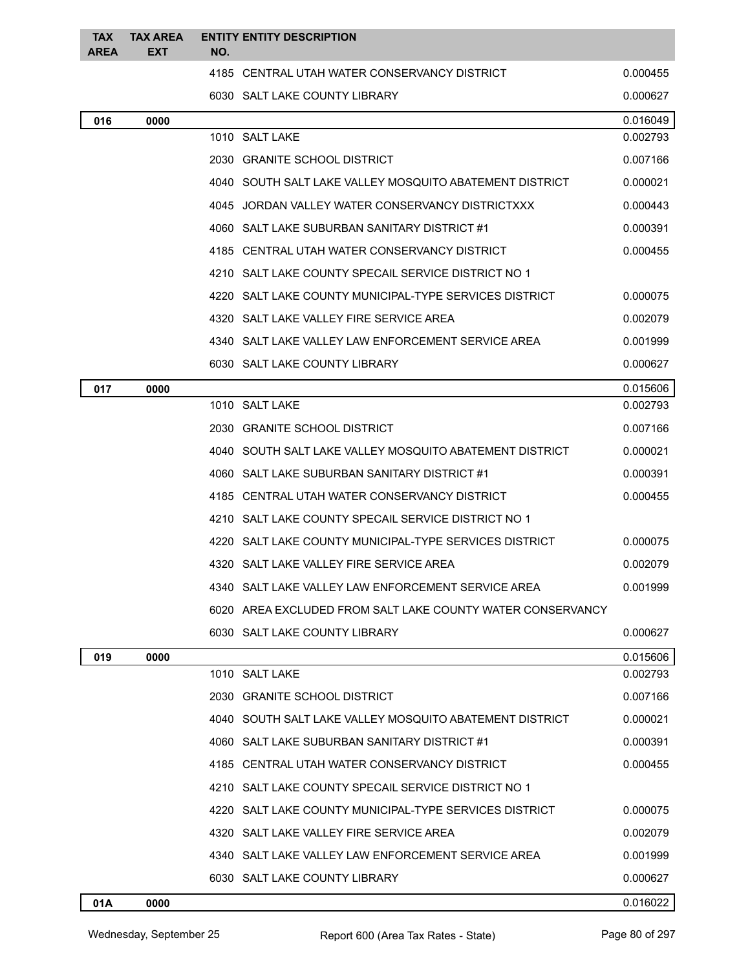| <b>TAX</b><br><b>AREA</b> | <b>TAX AREA</b><br><b>EXT</b> | NO.  | <b>ENTITY ENTITY DESCRIPTION</b>                           |          |
|---------------------------|-------------------------------|------|------------------------------------------------------------|----------|
|                           |                               |      | 4185 CENTRAL UTAH WATER CONSERVANCY DISTRICT               | 0.000455 |
|                           |                               |      | 6030 SALT LAKE COUNTY LIBRARY                              | 0.000627 |
| 016                       | 0000                          |      |                                                            | 0.016049 |
|                           |                               |      | 1010 SALT LAKE                                             | 0.002793 |
|                           |                               |      | 2030 GRANITE SCHOOL DISTRICT                               | 0.007166 |
|                           |                               |      | 4040 SOUTH SALT LAKE VALLEY MOSQUITO ABATEMENT DISTRICT    | 0.000021 |
|                           |                               |      | 4045 JORDAN VALLEY WATER CONSERVANCY DISTRICTXXX           | 0.000443 |
|                           |                               |      | 4060 SALT LAKE SUBURBAN SANITARY DISTRICT #1               | 0.000391 |
|                           |                               |      | 4185 CENTRAL UTAH WATER CONSERVANCY DISTRICT               | 0.000455 |
|                           |                               |      | 4210 SALT LAKE COUNTY SPECAIL SERVICE DISTRICT NO 1        |          |
|                           |                               |      | 4220 SALT LAKE COUNTY MUNICIPAL-TYPE SERVICES DISTRICT     | 0.000075 |
|                           |                               |      | 4320 SALT LAKE VALLEY FIRE SERVICE AREA                    | 0.002079 |
|                           |                               |      | 4340 SALT LAKE VALLEY LAW ENFORCEMENT SERVICE AREA         | 0.001999 |
|                           |                               |      | 6030 SALT LAKE COUNTY LIBRARY                              | 0.000627 |
| 017                       | 0000                          |      |                                                            | 0.015606 |
|                           |                               |      | 1010 SALT LAKE                                             | 0.002793 |
|                           |                               |      | 2030 GRANITE SCHOOL DISTRICT                               | 0.007166 |
|                           |                               |      | 4040 SOUTH SALT LAKE VALLEY MOSQUITO ABATEMENT DISTRICT    | 0.000021 |
|                           |                               |      | 4060 SALT LAKE SUBURBAN SANITARY DISTRICT #1               | 0.000391 |
|                           |                               |      | 4185 CENTRAL UTAH WATER CONSERVANCY DISTRICT               | 0.000455 |
|                           |                               |      | 4210 SALT LAKE COUNTY SPECAIL SERVICE DISTRICT NO 1        |          |
|                           |                               |      | 4220 SALT LAKE COUNTY MUNICIPAL-TYPE SERVICES DISTRICT     | 0.000075 |
|                           |                               |      | 4320 SALT LAKE VALLEY FIRE SERVICE AREA                    | 0.002079 |
|                           |                               |      | 4340 SALT LAKE VALLEY LAW ENFORCEMENT SERVICE AREA         | 0.001999 |
|                           |                               |      | 6020 AREA EXCLUDED FROM SALT LAKE COUNTY WATER CONSERVANCY |          |
|                           |                               |      | 6030 SALT LAKE COUNTY LIBRARY                              | 0.000627 |
| 019                       | 0000                          |      |                                                            | 0.015606 |
|                           |                               |      | 1010 SALT LAKE                                             | 0.002793 |
|                           |                               |      | 2030 GRANITE SCHOOL DISTRICT                               | 0.007166 |
|                           |                               |      | 4040 SOUTH SALT LAKE VALLEY MOSQUITO ABATEMENT DISTRICT    | 0.000021 |
|                           |                               |      | 4060 SALT LAKE SUBURBAN SANITARY DISTRICT #1               | 0.000391 |
|                           |                               |      | 4185 CENTRAL UTAH WATER CONSERVANCY DISTRICT               | 0.000455 |
|                           |                               |      | 4210 SALT LAKE COUNTY SPECAIL SERVICE DISTRICT NO 1        |          |
|                           |                               | 4220 | SALT LAKE COUNTY MUNICIPAL-TYPE SERVICES DISTRICT          | 0.000075 |
|                           |                               |      | 4320 SALT LAKE VALLEY FIRE SERVICE AREA                    | 0.002079 |
|                           |                               |      | 4340 SALT LAKE VALLEY LAW ENFORCEMENT SERVICE AREA         | 0.001999 |
|                           |                               |      | 6030 SALT LAKE COUNTY LIBRARY                              | 0.000627 |

**01A 0000** 0.016022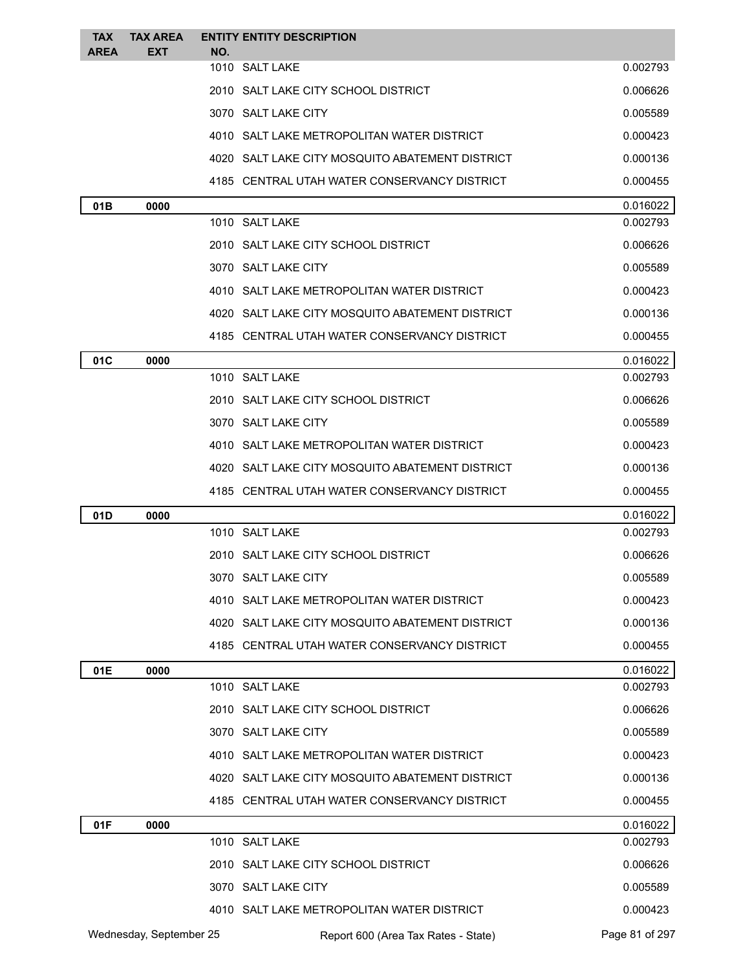| <b>TAX</b>  | <b>TAX AREA</b>         |     | <b>ENTITY ENTITY DESCRIPTION</b>                |                |
|-------------|-------------------------|-----|-------------------------------------------------|----------------|
| <b>AREA</b> | EXT                     | NO. | 1010 SALT LAKE                                  | 0.002793       |
|             |                         |     | 2010 SALT LAKE CITY SCHOOL DISTRICT             | 0.006626       |
|             |                         |     | 3070 SALT LAKE CITY                             | 0.005589       |
|             |                         |     | 4010 SALT LAKE METROPOLITAN WATER DISTRICT      | 0.000423       |
|             |                         |     | 4020 SALT LAKE CITY MOSQUITO ABATEMENT DISTRICT | 0.000136       |
|             |                         |     | 4185 CENTRAL UTAH WATER CONSERVANCY DISTRICT    | 0.000455       |
| 01B         | 0000                    |     |                                                 | 0.016022       |
|             |                         |     | 1010 SALT LAKE                                  | 0.002793       |
|             |                         |     | 2010 SALT LAKE CITY SCHOOL DISTRICT             | 0.006626       |
|             |                         |     | 3070 SALT LAKE CITY                             | 0.005589       |
|             |                         |     | 4010 SALT LAKE METROPOLITAN WATER DISTRICT      | 0.000423       |
|             |                         |     | 4020 SALT LAKE CITY MOSQUITO ABATEMENT DISTRICT | 0.000136       |
|             |                         |     | 4185 CENTRAL UTAH WATER CONSERVANCY DISTRICT    | 0.000455       |
| 01C         | 0000                    |     |                                                 | 0.016022       |
|             |                         |     | 1010 SALT LAKE                                  | 0.002793       |
|             |                         |     | 2010 SALT LAKE CITY SCHOOL DISTRICT             | 0.006626       |
|             |                         |     | 3070 SALT LAKE CITY                             | 0.005589       |
|             |                         |     | 4010 SALT LAKE METROPOLITAN WATER DISTRICT      | 0.000423       |
|             |                         |     | 4020 SALT LAKE CITY MOSQUITO ABATEMENT DISTRICT | 0.000136       |
|             |                         |     | 4185 CENTRAL UTAH WATER CONSERVANCY DISTRICT    | 0.000455       |
| 01D         | 0000                    |     |                                                 | 0.016022       |
|             |                         |     | 1010 SALT LAKE                                  | 0.002793       |
|             |                         |     | 2010 SALT LAKE CITY SCHOOL DISTRICT             | 0.006626       |
|             |                         |     | 3070 SALT LAKE CITY                             | 0.005589       |
|             |                         |     | 4010 SALT LAKE METROPOLITAN WATER DISTRICT      | 0.000423       |
|             |                         |     | 4020 SALT LAKE CITY MOSQUITO ABATEMENT DISTRICT | 0.000136       |
|             |                         |     | 4185 CENTRAL UTAH WATER CONSERVANCY DISTRICT    | 0.000455       |
| 01E         | 0000                    |     |                                                 | 0.016022       |
|             |                         |     | 1010 SALT LAKE                                  | 0.002793       |
|             |                         |     | 2010 SALT LAKE CITY SCHOOL DISTRICT             | 0.006626       |
|             |                         |     | 3070 SALT LAKE CITY                             | 0.005589       |
|             |                         |     | 4010 SALT LAKE METROPOLITAN WATER DISTRICT      | 0.000423       |
|             |                         |     | 4020 SALT LAKE CITY MOSQUITO ABATEMENT DISTRICT | 0.000136       |
|             |                         |     | 4185 CENTRAL UTAH WATER CONSERVANCY DISTRICT    | 0.000455       |
| 01F         | 0000                    |     |                                                 | 0.016022       |
|             |                         |     | 1010 SALT LAKE                                  | 0.002793       |
|             |                         |     | 2010 SALT LAKE CITY SCHOOL DISTRICT             | 0.006626       |
|             |                         |     | 3070 SALT LAKE CITY                             | 0.005589       |
|             |                         |     | 4010 SALT LAKE METROPOLITAN WATER DISTRICT      | 0.000423       |
|             | Wednesday, September 25 |     | Report 600 (Area Tax Rates - State)             | Page 81 of 297 |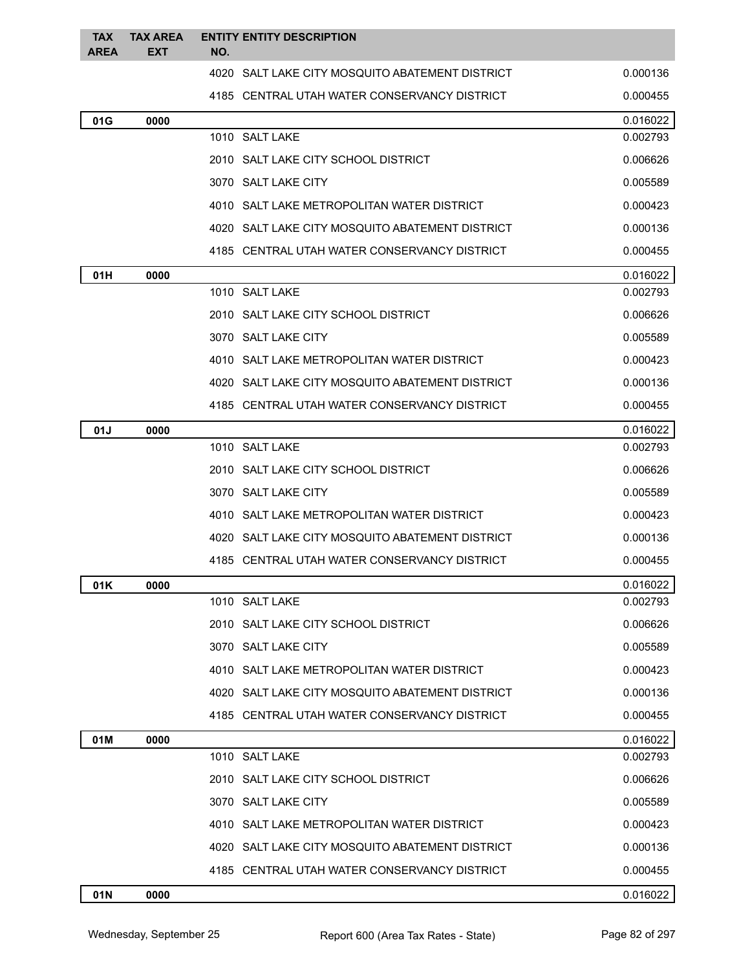| <b>TAX</b><br><b>AREA</b> | <b>TAX AREA</b><br><b>EXT</b> | NO. | <b>ENTITY ENTITY DESCRIPTION</b>                |          |
|---------------------------|-------------------------------|-----|-------------------------------------------------|----------|
|                           |                               |     | 4020 SALT LAKE CITY MOSQUITO ABATEMENT DISTRICT | 0.000136 |
|                           |                               |     | 4185 CENTRAL UTAH WATER CONSERVANCY DISTRICT    | 0.000455 |
| 01G                       | 0000                          |     |                                                 | 0.016022 |
|                           |                               |     | 1010 SALT LAKE                                  | 0.002793 |
|                           |                               |     | 2010 SALT LAKE CITY SCHOOL DISTRICT             | 0.006626 |
|                           |                               |     | 3070 SALT LAKE CITY                             | 0.005589 |
|                           |                               |     | 4010 SALT LAKE METROPOLITAN WATER DISTRICT      | 0.000423 |
|                           |                               |     | 4020 SALT LAKE CITY MOSQUITO ABATEMENT DISTRICT | 0.000136 |
|                           |                               |     | 4185 CENTRAL UTAH WATER CONSERVANCY DISTRICT    | 0.000455 |
| 01H                       | 0000                          |     |                                                 | 0.016022 |
|                           |                               |     | 1010 SALT LAKE                                  | 0.002793 |
|                           |                               |     | 2010 SALT LAKE CITY SCHOOL DISTRICT             | 0.006626 |
|                           |                               |     | 3070 SALT LAKE CITY                             | 0.005589 |
|                           |                               |     | 4010 SALT LAKE METROPOLITAN WATER DISTRICT      | 0.000423 |
|                           |                               |     | 4020 SALT LAKE CITY MOSQUITO ABATEMENT DISTRICT | 0.000136 |
|                           |                               |     | 4185 CENTRAL UTAH WATER CONSERVANCY DISTRICT    | 0.000455 |
| 01J                       | 0000                          |     |                                                 | 0.016022 |
|                           |                               |     | 1010 SALT LAKE                                  | 0.002793 |
|                           |                               |     | 2010 SALT LAKE CITY SCHOOL DISTRICT             | 0.006626 |
|                           |                               |     | 3070 SALT LAKE CITY                             | 0.005589 |
|                           |                               |     | 4010 SALT LAKE METROPOLITAN WATER DISTRICT      | 0.000423 |
|                           |                               |     | 4020 SALT LAKE CITY MOSQUITO ABATEMENT DISTRICT | 0.000136 |
|                           |                               |     | 4185 CENTRAL UTAH WATER CONSERVANCY DISTRICT    | 0.000455 |
| 01K                       | 0000                          |     |                                                 | 0.016022 |
|                           |                               |     | 1010 SALT LAKE                                  | 0.002793 |
|                           |                               |     | 2010 SALT LAKE CITY SCHOOL DISTRICT             | 0.006626 |
|                           |                               |     | 3070 SALT LAKE CITY                             | 0.005589 |
|                           |                               |     | 4010 SALT LAKE METROPOLITAN WATER DISTRICT      | 0.000423 |
|                           |                               |     | 4020 SALT LAKE CITY MOSQUITO ABATEMENT DISTRICT | 0.000136 |
|                           |                               |     | 4185 CENTRAL UTAH WATER CONSERVANCY DISTRICT    | 0.000455 |
| 01M                       | 0000                          |     |                                                 | 0.016022 |
|                           |                               |     | 1010 SALT LAKE                                  | 0.002793 |
|                           |                               |     | 2010 SALT LAKE CITY SCHOOL DISTRICT             | 0.006626 |
|                           |                               |     | 3070 SALT LAKE CITY                             | 0.005589 |
|                           |                               |     | 4010 SALT LAKE METROPOLITAN WATER DISTRICT      | 0.000423 |
|                           |                               |     | 4020 SALT LAKE CITY MOSQUITO ABATEMENT DISTRICT | 0.000136 |
|                           |                               |     | 4185 CENTRAL UTAH WATER CONSERVANCY DISTRICT    | 0.000455 |
| 01N                       | 0000                          |     |                                                 | 0.016022 |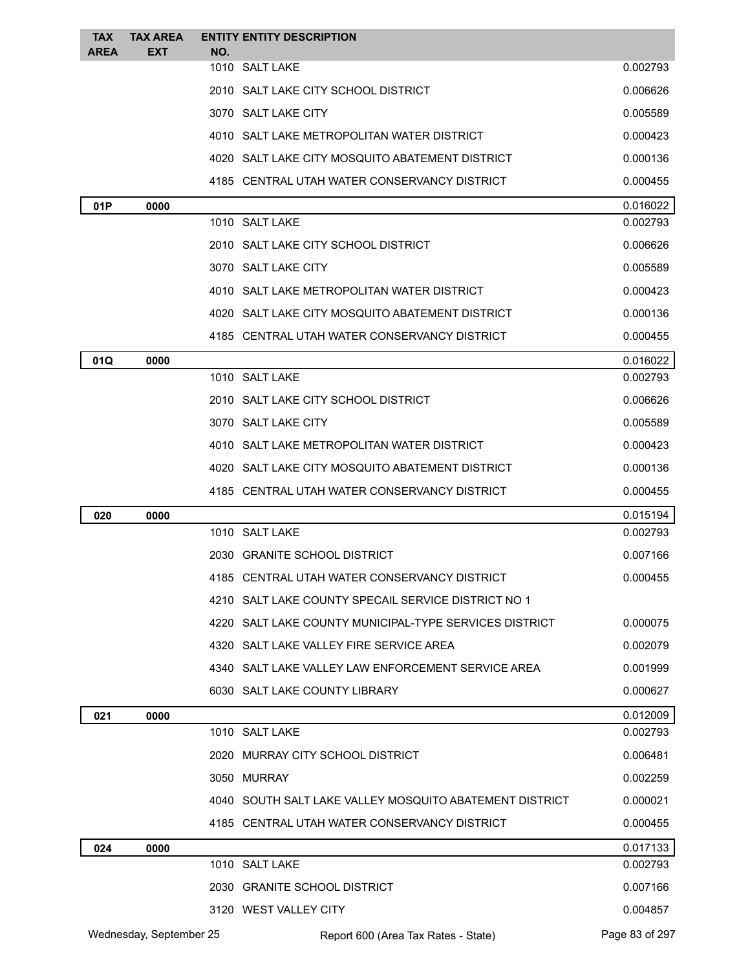| <b>TAX</b><br><b>AREA</b> | <b>TAX AREA</b><br><b>EXT</b> | NO. | <b>ENTITY ENTITY DESCRIPTION</b>                        |                |
|---------------------------|-------------------------------|-----|---------------------------------------------------------|----------------|
|                           |                               |     | 1010 SALT LAKE                                          | 0.002793       |
|                           |                               |     | 2010   SALT LAKE CITY SCHOOL DISTRICT                   | 0.006626       |
|                           |                               |     | 3070 SALT LAKE CITY                                     | 0.005589       |
|                           |                               |     | 4010 SALT LAKE METROPOLITAN WATER DISTRICT              | 0.000423       |
|                           |                               |     | 4020 SALT LAKE CITY MOSQUITO ABATEMENT DISTRICT         | 0.000136       |
|                           |                               |     | 4185 CENTRAL UTAH WATER CONSERVANCY DISTRICT            | 0.000455       |
| 01P                       | 0000                          |     |                                                         | 0.016022       |
|                           |                               |     | 1010 SALT LAKE                                          | 0.002793       |
|                           |                               |     | 2010   SALT LAKE CITY SCHOOL DISTRICT                   | 0.006626       |
|                           |                               |     | 3070 SALT LAKE CITY                                     | 0.005589       |
|                           |                               |     | 4010 SALT LAKE METROPOLITAN WATER DISTRICT              | 0.000423       |
|                           |                               |     | 4020 SALT LAKE CITY MOSQUITO ABATEMENT DISTRICT         | 0.000136       |
|                           |                               |     | 4185 CENTRAL UTAH WATER CONSERVANCY DISTRICT            | 0.000455       |
| 01Q                       | 0000                          |     |                                                         | 0.016022       |
|                           |                               |     | 1010 SALT LAKE                                          | 0.002793       |
|                           |                               |     | 2010   SALT LAKE CITY SCHOOL DISTRICT                   | 0.006626       |
|                           |                               |     | 3070 SALT LAKE CITY                                     | 0.005589       |
|                           |                               |     | 4010 SALT LAKE METROPOLITAN WATER DISTRICT              | 0.000423       |
|                           |                               |     | 4020 SALT LAKE CITY MOSQUITO ABATEMENT DISTRICT         | 0.000136       |
|                           |                               |     | 4185 CENTRAL UTAH WATER CONSERVANCY DISTRICT            | 0.000455       |
| 020                       | 0000                          |     |                                                         | 0.015194       |
|                           |                               |     | 1010 SALT LAKE                                          | 0.002793       |
|                           |                               |     | 2030 GRANITE SCHOOL DISTRICT                            | 0.007166       |
|                           |                               |     | 4185 CENTRAL UTAH WATER CONSERVANCY DISTRICT            | 0.000455       |
|                           |                               |     | 4210 SALT LAKE COUNTY SPECAIL SERVICE DISTRICT NO 1     |                |
|                           |                               |     | 4220 SALT LAKE COUNTY MUNICIPAL-TYPE SERVICES DISTRICT  | 0.000075       |
|                           |                               |     | 4320 SALT LAKE VALLEY FIRE SERVICE AREA                 | 0.002079       |
|                           |                               |     | 4340 SALT LAKE VALLEY LAW ENFORCEMENT SERVICE AREA      | 0.001999       |
|                           |                               |     | 6030 SALT LAKE COUNTY LIBRARY                           | 0.000627       |
| 021                       | 0000                          |     |                                                         | 0.012009       |
|                           |                               |     | 1010 SALT LAKE                                          | 0.002793       |
|                           |                               |     | 2020 MURRAY CITY SCHOOL DISTRICT                        | 0.006481       |
|                           |                               |     | 3050 MURRAY                                             | 0.002259       |
|                           |                               |     | 4040 SOUTH SALT LAKE VALLEY MOSQUITO ABATEMENT DISTRICT | 0.000021       |
|                           |                               |     | 4185 CENTRAL UTAH WATER CONSERVANCY DISTRICT            | 0.000455       |
| 024                       | 0000                          |     |                                                         | 0.017133       |
|                           |                               |     | 1010 SALT LAKE                                          | 0.002793       |
|                           |                               |     | 2030 GRANITE SCHOOL DISTRICT                            | 0.007166       |
|                           |                               |     | 3120 WEST VALLEY CITY                                   | 0.004857       |
|                           | Wednesday, September 25       |     | Report 600 (Area Tax Rates - State)                     | Page 83 of 297 |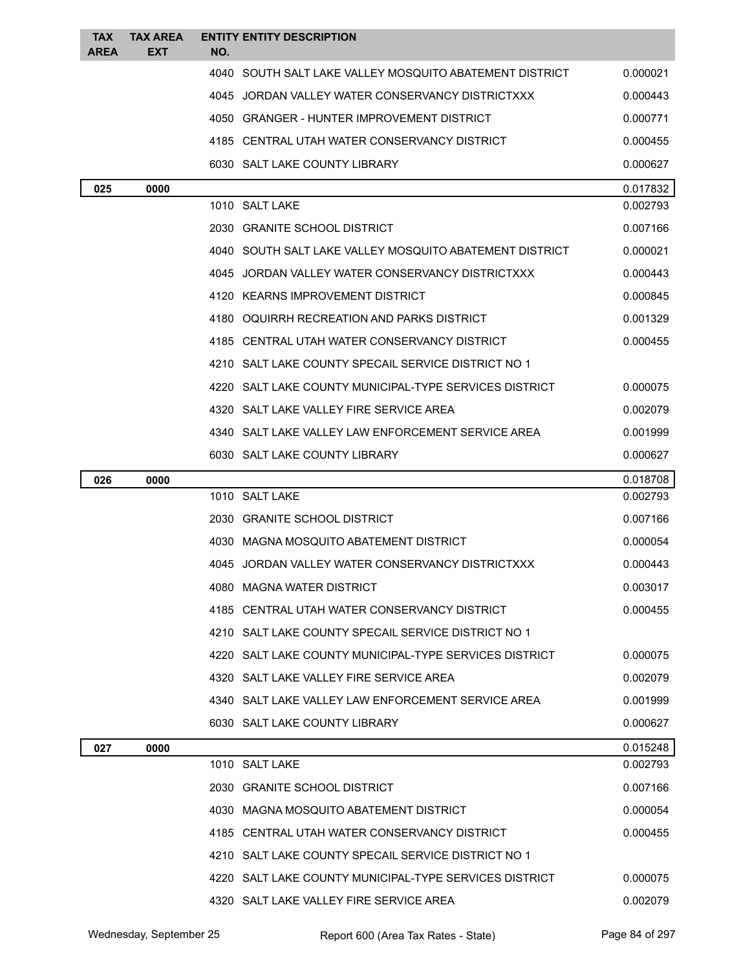| <b>TAX</b>  | <b>TAX AREA</b> | <b>ENTITY ENTITY DESCRIPTION</b>                               |          |
|-------------|-----------------|----------------------------------------------------------------|----------|
| <b>AREA</b> | EXT             | NO.<br>4040 SOUTH SALT LAKE VALLEY MOSQUITO ABATEMENT DISTRICT | 0.000021 |
|             |                 | 4045 JORDAN VALLEY WATER CONSERVANCY DISTRICTXXX               | 0.000443 |
|             |                 | 4050 GRANGER - HUNTER IMPROVEMENT DISTRICT                     | 0.000771 |
|             |                 | 4185 CENTRAL UTAH WATER CONSERVANCY DISTRICT                   | 0.000455 |
|             |                 | 6030 SALT LAKE COUNTY LIBRARY                                  | 0.000627 |
| 025         | 0000            |                                                                | 0.017832 |
|             |                 | 1010 SALT LAKE                                                 | 0.002793 |
|             |                 | 2030 GRANITE SCHOOL DISTRICT                                   | 0.007166 |
|             |                 | 4040 SOUTH SALT LAKE VALLEY MOSQUITO ABATEMENT DISTRICT        | 0.000021 |
|             |                 | 4045 JORDAN VALLEY WATER CONSERVANCY DISTRICTXXX               | 0.000443 |
|             |                 | 4120 KEARNS IMPROVEMENT DISTRICT                               | 0.000845 |
|             |                 | 4180 OQUIRRH RECREATION AND PARKS DISTRICT                     | 0.001329 |
|             |                 | 4185 CENTRAL UTAH WATER CONSERVANCY DISTRICT                   | 0.000455 |
|             |                 | 4210 SALT LAKE COUNTY SPECAIL SERVICE DISTRICT NO 1            |          |
|             |                 | 4220 SALT LAKE COUNTY MUNICIPAL-TYPE SERVICES DISTRICT         | 0.000075 |
|             |                 | 4320 SALT LAKE VALLEY FIRE SERVICE AREA                        | 0.002079 |
|             |                 | 4340 SALT LAKE VALLEY LAW ENFORCEMENT SERVICE AREA             | 0.001999 |
|             |                 | 6030 SALT LAKE COUNTY LIBRARY                                  | 0.000627 |
| 026         | 0000            |                                                                | 0.018708 |
|             |                 | 1010 SALT LAKE                                                 | 0.002793 |
|             |                 | 2030 GRANITE SCHOOL DISTRICT                                   | 0.007166 |
|             |                 | 4030 MAGNA MOSQUITO ABATEMENT DISTRICT                         | 0.000054 |
|             |                 | 4045 JORDAN VALLEY WATER CONSERVANCY DISTRICTXXX               | 0.000443 |
|             |                 | 4080 MAGNA WATER DISTRICT                                      | 0.003017 |
|             |                 | 4185 CENTRAL UTAH WATER CONSERVANCY DISTRICT                   | 0.000455 |
|             |                 | 4210 SALT LAKE COUNTY SPECAIL SERVICE DISTRICT NO 1            |          |
|             |                 | 4220 SALT LAKE COUNTY MUNICIPAL-TYPE SERVICES DISTRICT         | 0.000075 |
|             |                 | 4320 SALT LAKE VALLEY FIRE SERVICE AREA                        | 0.002079 |
|             |                 | 4340 SALT LAKE VALLEY LAW ENFORCEMENT SERVICE AREA             | 0.001999 |
|             |                 | 6030 SALT LAKE COUNTY LIBRARY                                  | 0.000627 |
| 027         | 0000            |                                                                | 0.015248 |
|             |                 | 1010 SALT LAKE                                                 | 0.002793 |
|             |                 | 2030 GRANITE SCHOOL DISTRICT                                   | 0.007166 |
|             |                 | 4030 MAGNA MOSQUITO ABATEMENT DISTRICT                         | 0.000054 |
|             |                 | 4185 CENTRAL UTAH WATER CONSERVANCY DISTRICT                   | 0.000455 |
|             |                 | 4210 SALT LAKE COUNTY SPECAIL SERVICE DISTRICT NO 1            |          |
|             |                 | 4220 SALT LAKE COUNTY MUNICIPAL-TYPE SERVICES DISTRICT         | 0.000075 |
|             |                 | 4320 SALT LAKE VALLEY FIRE SERVICE AREA                        | 0.002079 |

Wednesday, September 25 Report 600 (Area Tax Rates - State) Page 84 of 297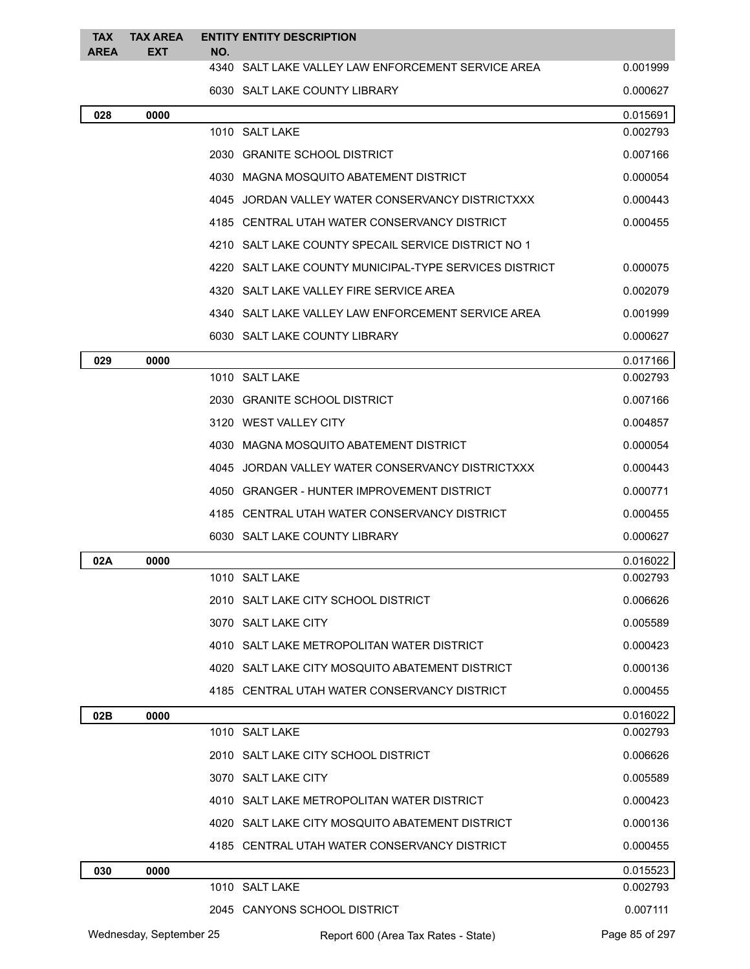| <b>TAX</b><br><b>AREA</b> | <b>TAX AREA</b><br><b>EXT</b> | NO. | <b>ENTITY ENTITY DESCRIPTION</b>                       |                |
|---------------------------|-------------------------------|-----|--------------------------------------------------------|----------------|
|                           |                               |     | 4340 SALT LAKE VALLEY LAW ENFORCEMENT SERVICE AREA     | 0.001999       |
|                           |                               |     | 6030 SALT LAKE COUNTY LIBRARY                          | 0.000627       |
| 028                       | 0000                          |     |                                                        | 0.015691       |
|                           |                               |     | 1010 SALT LAKE                                         | 0.002793       |
|                           |                               |     | 2030 GRANITE SCHOOL DISTRICT                           | 0.007166       |
|                           |                               |     | 4030 MAGNA MOSQUITO ABATEMENT DISTRICT                 | 0.000054       |
|                           |                               |     | 4045 JORDAN VALLEY WATER CONSERVANCY DISTRICTXXX       | 0.000443       |
|                           |                               |     | 4185 CENTRAL UTAH WATER CONSERVANCY DISTRICT           | 0.000455       |
|                           |                               |     | 4210 SALT LAKE COUNTY SPECAIL SERVICE DISTRICT NO 1    |                |
|                           |                               |     | 4220 SALT LAKE COUNTY MUNICIPAL-TYPE SERVICES DISTRICT | 0.000075       |
|                           |                               |     | 4320 SALT LAKE VALLEY FIRE SERVICE AREA                | 0.002079       |
|                           |                               |     | 4340 SALT LAKE VALLEY LAW ENFORCEMENT SERVICE AREA     | 0.001999       |
|                           |                               |     | 6030 SALT LAKE COUNTY LIBRARY                          | 0.000627       |
| 029                       | 0000                          |     |                                                        | 0.017166       |
|                           |                               |     | 1010 SALT LAKE                                         | 0.002793       |
|                           |                               |     | 2030 GRANITE SCHOOL DISTRICT                           | 0.007166       |
|                           |                               |     | 3120 WEST VALLEY CITY                                  | 0.004857       |
|                           |                               |     | 4030 MAGNA MOSQUITO ABATEMENT DISTRICT                 | 0.000054       |
|                           |                               |     | 4045 JORDAN VALLEY WATER CONSERVANCY DISTRICTXXX       | 0.000443       |
|                           |                               |     | 4050 GRANGER - HUNTER IMPROVEMENT DISTRICT             | 0.000771       |
|                           |                               |     | 4185 CENTRAL UTAH WATER CONSERVANCY DISTRICT           | 0.000455       |
|                           |                               |     | 6030 SALT LAKE COUNTY LIBRARY                          | 0.000627       |
| 02A                       | 0000                          |     |                                                        | 0.016022       |
|                           |                               |     | 1010 SALT LAKE                                         | 0.002793       |
|                           |                               |     | 2010 SALT LAKE CITY SCHOOL DISTRICT                    | 0.006626       |
|                           |                               |     | 3070 SALT LAKE CITY                                    | 0.005589       |
|                           |                               |     | 4010 SALT LAKE METROPOLITAN WATER DISTRICT             | 0.000423       |
|                           |                               |     | 4020 SALT LAKE CITY MOSQUITO ABATEMENT DISTRICT        | 0.000136       |
|                           |                               |     | 4185 CENTRAL UTAH WATER CONSERVANCY DISTRICT           | 0.000455       |
| 02B                       | 0000                          |     |                                                        | 0.016022       |
|                           |                               |     | 1010 SALT LAKE                                         | 0.002793       |
|                           |                               |     | 2010 SALT LAKE CITY SCHOOL DISTRICT                    | 0.006626       |
|                           |                               |     | 3070 SALT LAKE CITY                                    | 0.005589       |
|                           |                               |     | 4010 SALT LAKE METROPOLITAN WATER DISTRICT             | 0.000423       |
|                           |                               |     | 4020 SALT LAKE CITY MOSQUITO ABATEMENT DISTRICT        | 0.000136       |
|                           |                               |     | 4185 CENTRAL UTAH WATER CONSERVANCY DISTRICT           | 0.000455       |
| 030                       | 0000                          |     |                                                        | 0.015523       |
|                           |                               |     | 1010 SALT LAKE                                         | 0.002793       |
|                           |                               |     | 2045 CANYONS SCHOOL DISTRICT                           | 0.007111       |
|                           | Wednesday, September 25       |     | Report 600 (Area Tax Rates - State)                    | Page 85 of 297 |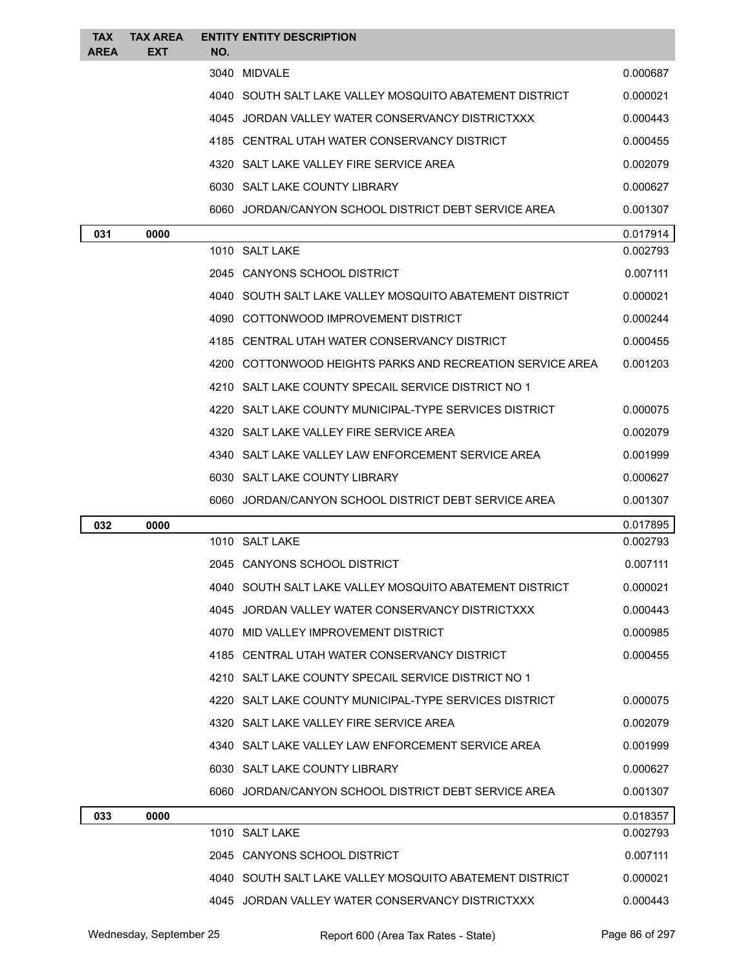| <b>TAX</b><br><b>AREA</b> | <b>TAX AREA</b><br><b>EXT</b> | <b>ENTITY ENTITY DESCRIPTION</b><br>NO.                   |          |
|---------------------------|-------------------------------|-----------------------------------------------------------|----------|
|                           |                               | 3040 MIDVALE                                              | 0.000687 |
|                           |                               | 4040 SOUTH SALT LAKE VALLEY MOSQUITO ABATEMENT DISTRICT   | 0.000021 |
|                           |                               | 4045 JORDAN VALLEY WATER CONSERVANCY DISTRICTXXX          | 0.000443 |
|                           |                               | 4185 CENTRAL UTAH WATER CONSERVANCY DISTRICT              | 0.000455 |
|                           |                               | 4320 SALT LAKE VALLEY FIRE SERVICE AREA                   | 0.002079 |
|                           |                               | 6030 SALT LAKE COUNTY LIBRARY                             | 0.000627 |
|                           |                               | 6060 JORDAN/CANYON SCHOOL DISTRICT DEBT SERVICE AREA      | 0.001307 |
| 031                       | 0000                          |                                                           | 0.017914 |
|                           |                               | 1010 SALT LAKE                                            | 0.002793 |
|                           |                               | 2045 CANYONS SCHOOL DISTRICT                              | 0.007111 |
|                           |                               | 4040 SOUTH SALT LAKE VALLEY MOSQUITO ABATEMENT DISTRICT   | 0.000021 |
|                           |                               | 4090 COTTONWOOD IMPROVEMENT DISTRICT                      | 0.000244 |
|                           |                               | 4185 CENTRAL UTAH WATER CONSERVANCY DISTRICT              | 0.000455 |
|                           |                               | 4200 COTTONWOOD HEIGHTS PARKS AND RECREATION SERVICE AREA | 0.001203 |
|                           |                               | 4210 SALT LAKE COUNTY SPECAIL SERVICE DISTRICT NO 1       |          |
|                           |                               | 4220 SALT LAKE COUNTY MUNICIPAL-TYPE SERVICES DISTRICT    | 0.000075 |
|                           |                               | 4320 SALT LAKE VALLEY FIRE SERVICE AREA                   | 0.002079 |
|                           |                               | 4340 SALT LAKE VALLEY LAW ENFORCEMENT SERVICE AREA        | 0.001999 |
|                           |                               | 6030 SALT LAKE COUNTY LIBRARY                             | 0.000627 |
|                           |                               | 6060 JORDAN/CANYON SCHOOL DISTRICT DEBT SERVICE AREA      | 0.001307 |
| 032                       | 0000                          |                                                           | 0.017895 |
|                           |                               | 1010 SALT LAKE                                            | 0.002793 |
|                           |                               | 2045 CANYONS SCHOOL DISTRICT                              | 0.007111 |
|                           |                               | 4040 SOUTH SALT LAKE VALLEY MOSQUITO ABATEMENT DISTRICT   | 0.000021 |
|                           |                               | 4045 JORDAN VALLEY WATER CONSERVANCY DISTRICTXXX          | 0.000443 |
|                           |                               | 4070 MID VALLEY IMPROVEMENT DISTRICT                      | 0.000985 |
|                           |                               | 4185 CENTRAL UTAH WATER CONSERVANCY DISTRICT              | 0.000455 |
|                           |                               | 4210 SALT LAKE COUNTY SPECAIL SERVICE DISTRICT NO 1       |          |
|                           |                               | 4220 SALT LAKE COUNTY MUNICIPAL-TYPE SERVICES DISTRICT    | 0.000075 |
|                           |                               | 4320 SALT LAKE VALLEY FIRE SERVICE AREA                   | 0.002079 |
|                           |                               | 4340 SALT LAKE VALLEY LAW ENFORCEMENT SERVICE AREA        | 0.001999 |
|                           |                               | 6030 SALT LAKE COUNTY LIBRARY                             | 0.000627 |
|                           |                               | 6060 JORDAN/CANYON SCHOOL DISTRICT DEBT SERVICE AREA      | 0.001307 |
| 033                       | 0000                          |                                                           | 0.018357 |
|                           |                               | 1010 SALT LAKE                                            | 0.002793 |
|                           |                               | 2045 CANYONS SCHOOL DISTRICT                              | 0.007111 |
|                           |                               | 4040 SOUTH SALT LAKE VALLEY MOSQUITO ABATEMENT DISTRICT   | 0.000021 |
|                           |                               | 4045 JORDAN VALLEY WATER CONSERVANCY DISTRICTXXX          | 0.000443 |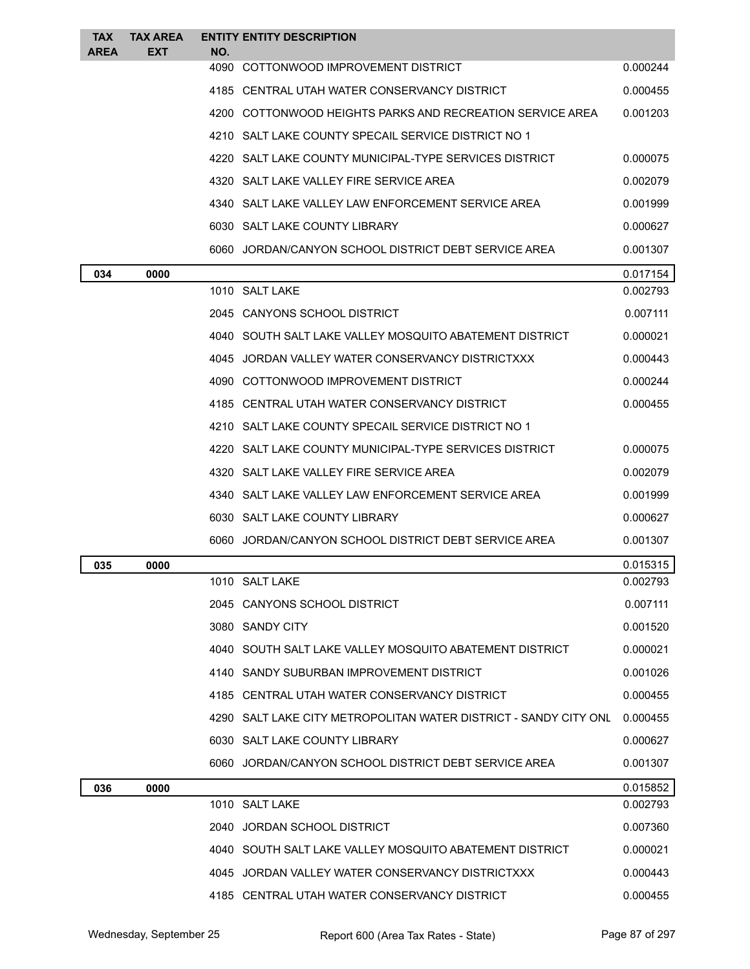| <b>TAX</b>  | <b>TAX AREA</b> |      | <b>ENTITY ENTITY DESCRIPTION</b>                                 |          |
|-------------|-----------------|------|------------------------------------------------------------------|----------|
| <b>AREA</b> | EXT             | NO.  | 4090 COTTONWOOD IMPROVEMENT DISTRICT                             | 0.000244 |
|             |                 |      | 4185 CENTRAL UTAH WATER CONSERVANCY DISTRICT                     | 0.000455 |
|             |                 |      | 4200 COTTONWOOD HEIGHTS PARKS AND RECREATION SERVICE AREA        | 0.001203 |
|             |                 |      | 4210 SALT LAKE COUNTY SPECAIL SERVICE DISTRICT NO 1              |          |
|             |                 | 4220 | SALT LAKE COUNTY MUNICIPAL-TYPE SERVICES DISTRICT                | 0.000075 |
|             |                 |      | 4320 SALT LAKE VALLEY FIRE SERVICE AREA                          | 0.002079 |
|             |                 |      | 4340 SALT LAKE VALLEY LAW ENFORCEMENT SERVICE AREA               | 0.001999 |
|             |                 |      | 6030 SALT LAKE COUNTY LIBRARY                                    | 0.000627 |
|             |                 |      | 6060 JORDAN/CANYON SCHOOL DISTRICT DEBT SERVICE AREA             | 0.001307 |
| 034         | 0000            |      |                                                                  | 0.017154 |
|             |                 |      | 1010 SALT LAKE                                                   | 0.002793 |
|             |                 |      | 2045 CANYONS SCHOOL DISTRICT                                     | 0.007111 |
|             |                 |      | 4040 SOUTH SALT LAKE VALLEY MOSQUITO ABATEMENT DISTRICT          | 0.000021 |
|             |                 |      | 4045 JORDAN VALLEY WATER CONSERVANCY DISTRICTXXX                 | 0.000443 |
|             |                 |      | 4090 COTTONWOOD IMPROVEMENT DISTRICT                             | 0.000244 |
|             |                 |      | 4185 CENTRAL UTAH WATER CONSERVANCY DISTRICT                     | 0.000455 |
|             |                 |      | 4210 SALT LAKE COUNTY SPECAIL SERVICE DISTRICT NO 1              |          |
|             |                 |      | 4220 SALT LAKE COUNTY MUNICIPAL-TYPE SERVICES DISTRICT           | 0.000075 |
|             |                 |      | 4320 SALT LAKE VALLEY FIRE SERVICE AREA                          | 0.002079 |
|             |                 |      | 4340 SALT LAKE VALLEY LAW ENFORCEMENT SERVICE AREA               | 0.001999 |
|             |                 |      | 6030 SALT LAKE COUNTY LIBRARY                                    | 0.000627 |
|             |                 |      | 6060 JORDAN/CANYON SCHOOL DISTRICT DEBT SERVICE AREA             | 0.001307 |
| 035         | 0000            |      |                                                                  | 0.015315 |
|             |                 |      | 1010 SALT LAKE                                                   | 0.002793 |
|             |                 |      | 2045 CANYONS SCHOOL DISTRICT                                     | 0.007111 |
|             |                 |      | 3080 SANDY CITY                                                  | 0.001520 |
|             |                 |      | 4040 SOUTH SALT LAKE VALLEY MOSQUITO ABATEMENT DISTRICT          | 0.000021 |
|             |                 |      | 4140 SANDY SUBURBAN IMPROVEMENT DISTRICT                         | 0.001026 |
|             |                 |      | 4185 CENTRAL UTAH WATER CONSERVANCY DISTRICT                     | 0.000455 |
|             |                 |      | 4290 SALT LAKE CITY METROPOLITAN WATER DISTRICT - SANDY CITY ONL | 0.000455 |
|             |                 |      | 6030 SALT LAKE COUNTY LIBRARY                                    | 0.000627 |
|             |                 |      | 6060 JORDAN/CANYON SCHOOL DISTRICT DEBT SERVICE AREA             | 0.001307 |
| 036         | 0000            |      |                                                                  | 0.015852 |
|             |                 |      | 1010 SALT LAKE                                                   | 0.002793 |
|             |                 |      | 2040 JORDAN SCHOOL DISTRICT                                      | 0.007360 |
|             |                 |      | 4040 SOUTH SALT LAKE VALLEY MOSQUITO ABATEMENT DISTRICT          | 0.000021 |
|             |                 |      | 4045 JORDAN VALLEY WATER CONSERVANCY DISTRICTXXX                 | 0.000443 |
|             |                 |      | 4185 CENTRAL UTAH WATER CONSERVANCY DISTRICT                     | 0.000455 |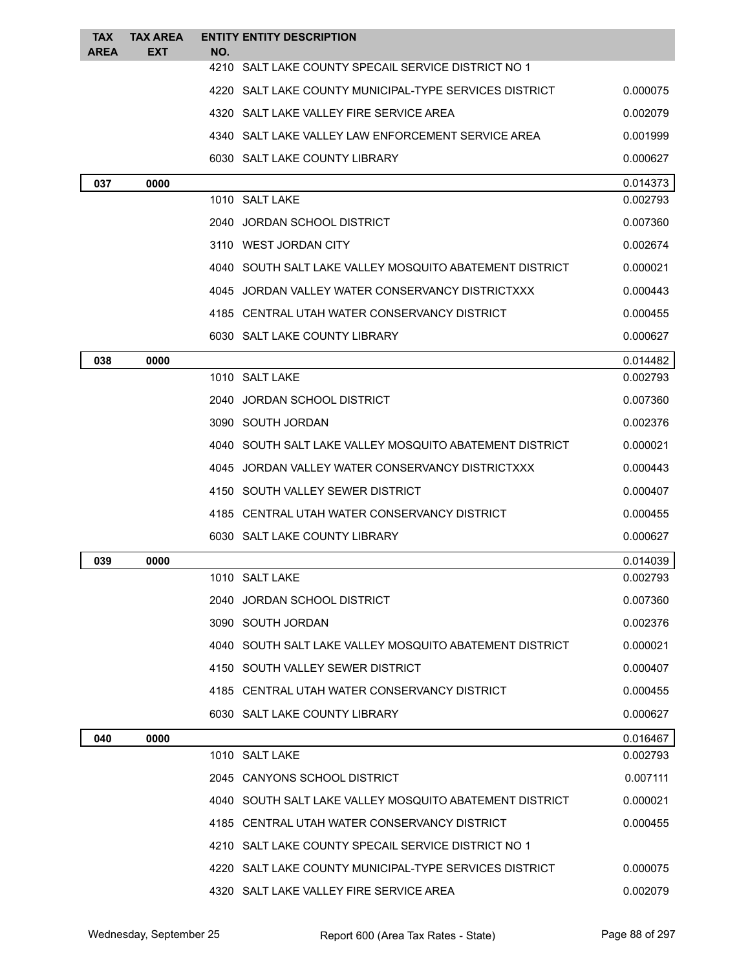| <b>TAX</b><br><b>AREA</b> | <b>TAX AREA</b><br><b>EXT</b> | <b>ENTITY ENTITY DESCRIPTION</b><br>NO.                 |          |
|---------------------------|-------------------------------|---------------------------------------------------------|----------|
|                           |                               | 4210 SALT LAKE COUNTY SPECAIL SERVICE DISTRICT NO 1     |          |
|                           |                               | 4220 SALT LAKE COUNTY MUNICIPAL-TYPE SERVICES DISTRICT  | 0.000075 |
|                           |                               | 4320 SALT LAKE VALLEY FIRE SERVICE AREA                 | 0.002079 |
|                           |                               | 4340 SALT LAKE VALLEY LAW ENFORCEMENT SERVICE AREA      | 0.001999 |
|                           |                               | 6030 SALT LAKE COUNTY LIBRARY                           | 0.000627 |
| 037                       | 0000                          |                                                         | 0.014373 |
|                           |                               | 1010 SALT LAKE                                          | 0.002793 |
|                           |                               | JORDAN SCHOOL DISTRICT<br>2040                          | 0.007360 |
|                           |                               | 3110 WEST JORDAN CITY                                   | 0.002674 |
|                           |                               | 4040 SOUTH SALT LAKE VALLEY MOSQUITO ABATEMENT DISTRICT | 0.000021 |
|                           |                               | 4045 JORDAN VALLEY WATER CONSERVANCY DISTRICTXXX        | 0.000443 |
|                           |                               | 4185 CENTRAL UTAH WATER CONSERVANCY DISTRICT            | 0.000455 |
|                           |                               | 6030 SALT LAKE COUNTY LIBRARY                           | 0.000627 |
| 038                       | 0000                          |                                                         | 0.014482 |
|                           |                               | 1010 SALT LAKE                                          | 0.002793 |
|                           |                               | 2040 JORDAN SCHOOL DISTRICT                             | 0.007360 |
|                           |                               | 3090 SOUTH JORDAN                                       | 0.002376 |
|                           |                               | 4040 SOUTH SALT LAKE VALLEY MOSQUITO ABATEMENT DISTRICT | 0.000021 |
|                           |                               | 4045 JORDAN VALLEY WATER CONSERVANCY DISTRICTXXX        | 0.000443 |
|                           |                               | 4150 SOUTH VALLEY SEWER DISTRICT                        | 0.000407 |
|                           |                               | 4185 CENTRAL UTAH WATER CONSERVANCY DISTRICT            | 0.000455 |
|                           |                               | 6030 SALT LAKE COUNTY LIBRARY                           | 0.000627 |
| 039                       | 0000                          |                                                         | 0.014039 |
|                           |                               | 1010 SALT LAKE                                          | 0.002793 |
|                           |                               | 2040 JORDAN SCHOOL DISTRICT                             | 0.007360 |
|                           |                               | 3090 SOUTH JORDAN                                       | 0.002376 |
|                           |                               | 4040 SOUTH SALT LAKE VALLEY MOSQUITO ABATEMENT DISTRICT | 0.000021 |
|                           |                               | 4150 SOUTH VALLEY SEWER DISTRICT                        | 0.000407 |
|                           |                               | 4185 CENTRAL UTAH WATER CONSERVANCY DISTRICT            | 0.000455 |
|                           |                               | 6030 SALT LAKE COUNTY LIBRARY                           | 0.000627 |
| 040                       | 0000                          |                                                         | 0.016467 |
|                           |                               | 1010 SALT LAKE                                          | 0.002793 |
|                           |                               | 2045 CANYONS SCHOOL DISTRICT                            | 0.007111 |
|                           |                               | 4040 SOUTH SALT LAKE VALLEY MOSQUITO ABATEMENT DISTRICT | 0.000021 |
|                           |                               | 4185 CENTRAL UTAH WATER CONSERVANCY DISTRICT            | 0.000455 |
|                           |                               | 4210 SALT LAKE COUNTY SPECAIL SERVICE DISTRICT NO 1     |          |
|                           |                               | 4220 SALT LAKE COUNTY MUNICIPAL-TYPE SERVICES DISTRICT  | 0.000075 |
|                           |                               | 4320 SALT LAKE VALLEY FIRE SERVICE AREA                 | 0.002079 |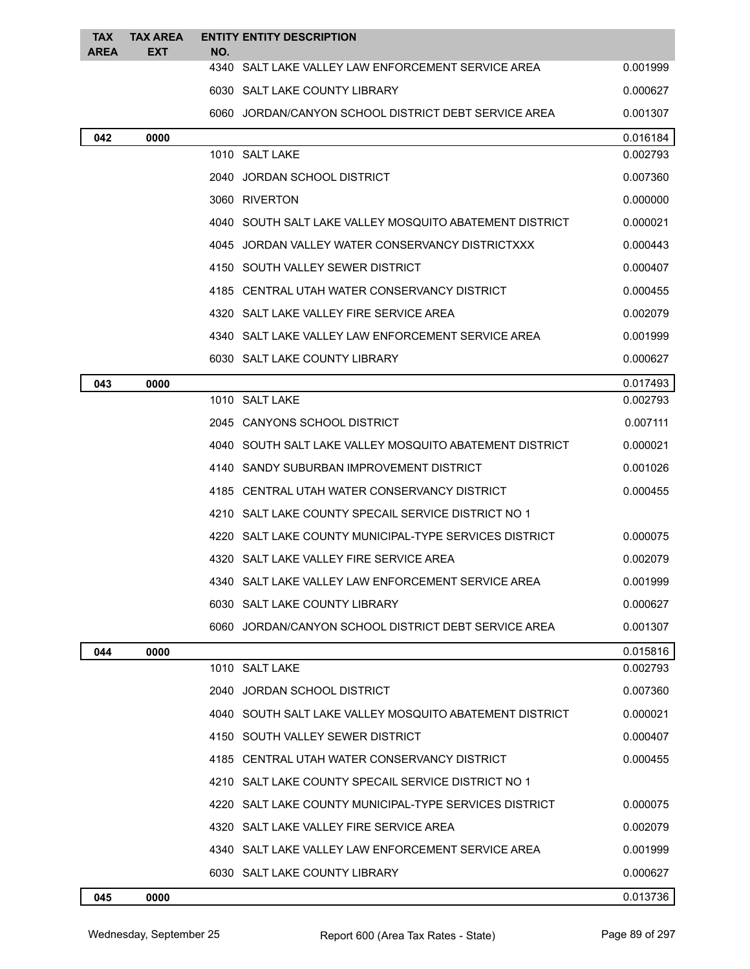| <b>TAX</b><br><b>AREA</b> | <b>TAX AREA</b><br><b>EXT</b> | <b>ENTITY ENTITY DESCRIPTION</b><br>NO.                   |          |
|---------------------------|-------------------------------|-----------------------------------------------------------|----------|
|                           |                               | 4340 SALT LAKE VALLEY LAW ENFORCEMENT SERVICE AREA        | 0.001999 |
|                           |                               | 6030 SALT LAKE COUNTY LIBRARY                             | 0.000627 |
|                           |                               | 6060 JORDAN/CANYON SCHOOL DISTRICT DEBT SERVICE AREA      | 0.001307 |
| 042                       | 0000                          |                                                           | 0.016184 |
|                           |                               | 1010 SALT LAKE                                            | 0.002793 |
|                           |                               | 2040 JORDAN SCHOOL DISTRICT                               | 0.007360 |
|                           |                               | 3060 RIVERTON                                             | 0.000000 |
|                           |                               | 4040   SOUTH SALT LAKE VALLEY MOSQUITO ABATEMENT DISTRICT | 0.000021 |
|                           |                               | 4045 JORDAN VALLEY WATER CONSERVANCY DISTRICTXXX          | 0.000443 |
|                           |                               | 4150 SOUTH VALLEY SEWER DISTRICT                          | 0.000407 |
|                           |                               | 4185 CENTRAL UTAH WATER CONSERVANCY DISTRICT              | 0.000455 |
|                           |                               | 4320 SALT LAKE VALLEY FIRE SERVICE AREA                   | 0.002079 |
|                           |                               | 4340 SALT LAKE VALLEY LAW ENFORCEMENT SERVICE AREA        | 0.001999 |
|                           |                               | 6030 SALT LAKE COUNTY LIBRARY                             | 0.000627 |
| 043                       | 0000                          |                                                           | 0.017493 |
|                           |                               | 1010 SALT LAKE                                            | 0.002793 |
|                           |                               | 2045 CANYONS SCHOOL DISTRICT                              | 0.007111 |
|                           |                               | 4040 SOUTH SALT LAKE VALLEY MOSQUITO ABATEMENT DISTRICT   | 0.000021 |
|                           |                               | 4140 SANDY SUBURBAN IMPROVEMENT DISTRICT                  | 0.001026 |
|                           |                               | 4185 CENTRAL UTAH WATER CONSERVANCY DISTRICT              | 0.000455 |
|                           |                               | 4210 SALT LAKE COUNTY SPECAIL SERVICE DISTRICT NO 1       |          |
|                           |                               | 4220   SALT LAKE COUNTY MUNICIPAL-TYPE SERVICES DISTRICT  | 0.000075 |
|                           |                               | 4320 SALT LAKE VALLEY FIRE SERVICE AREA                   | 0.002079 |
|                           |                               | 4340 SALT LAKE VALLEY LAW ENFORCEMENT SERVICE AREA        | 0.001999 |
|                           |                               | 6030 SALT LAKE COUNTY LIBRARY                             | 0.000627 |
|                           |                               | 6060 JORDAN/CANYON SCHOOL DISTRICT DEBT SERVICE AREA      | 0.001307 |
| 044                       | 0000                          |                                                           | 0.015816 |
|                           |                               | 1010 SALT LAKE                                            | 0.002793 |
|                           |                               | 2040 JORDAN SCHOOL DISTRICT                               | 0.007360 |
|                           |                               | 4040 SOUTH SALT LAKE VALLEY MOSQUITO ABATEMENT DISTRICT   | 0.000021 |
|                           |                               | 4150 SOUTH VALLEY SEWER DISTRICT                          | 0.000407 |
|                           |                               | 4185 CENTRAL UTAH WATER CONSERVANCY DISTRICT              | 0.000455 |
|                           |                               | 4210 SALT LAKE COUNTY SPECAIL SERVICE DISTRICT NO 1       |          |
|                           |                               | 4220   SALT LAKE COUNTY MUNICIPAL-TYPE SERVICES DISTRICT  | 0.000075 |
|                           |                               | 4320 SALT LAKE VALLEY FIRE SERVICE AREA                   | 0.002079 |
|                           |                               | 4340 SALT LAKE VALLEY LAW ENFORCEMENT SERVICE AREA        | 0.001999 |
|                           |                               | 6030 SALT LAKE COUNTY LIBRARY                             | 0.000627 |
| 045                       | 0000                          |                                                           | 0.013736 |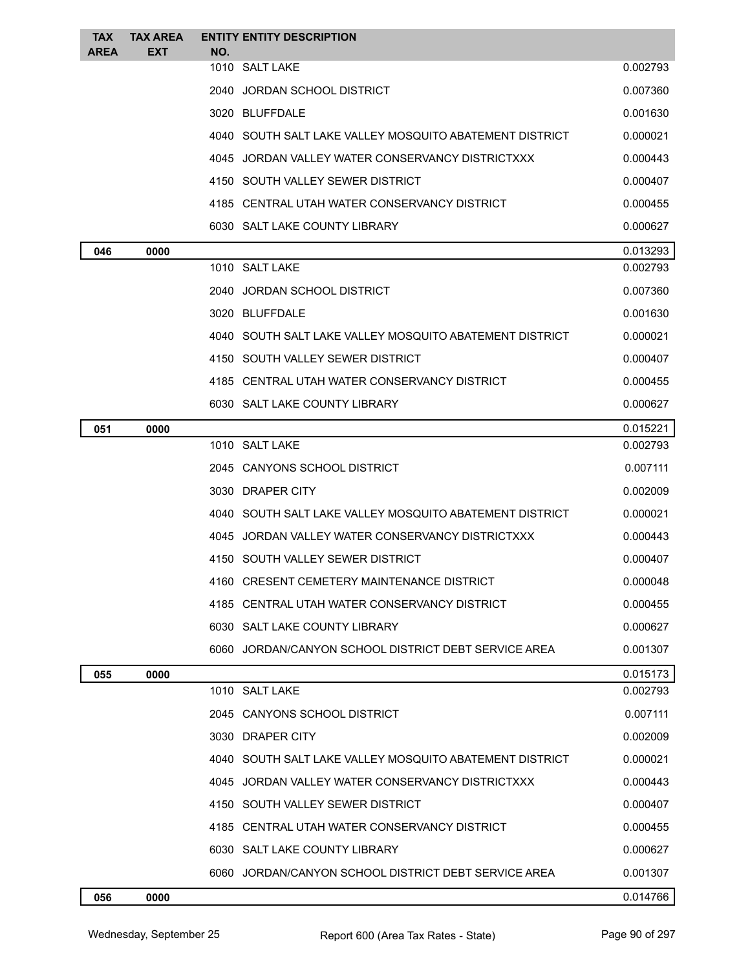| <b>TAX</b>  | <b>TAX AREA</b> | <b>ENTITY ENTITY DESCRIPTION</b>                        |          |
|-------------|-----------------|---------------------------------------------------------|----------|
| <b>AREA</b> | EXT             | NO.<br>1010 SALT LAKE                                   | 0.002793 |
|             |                 | 2040 JORDAN SCHOOL DISTRICT                             | 0.007360 |
|             |                 | 3020 BLUFFDALE                                          | 0.001630 |
|             |                 | 4040 SOUTH SALT LAKE VALLEY MOSQUITO ABATEMENT DISTRICT | 0.000021 |
|             |                 | 4045 JORDAN VALLEY WATER CONSERVANCY DISTRICTXXX        | 0.000443 |
|             |                 | 4150 SOUTH VALLEY SEWER DISTRICT                        | 0.000407 |
|             |                 | 4185 CENTRAL UTAH WATER CONSERVANCY DISTRICT            | 0.000455 |
|             |                 | 6030 SALT LAKE COUNTY LIBRARY                           | 0.000627 |
| 046         | 0000            |                                                         | 0.013293 |
|             |                 | 1010 SALT LAKE                                          | 0.002793 |
|             |                 | 2040 JORDAN SCHOOL DISTRICT                             | 0.007360 |
|             |                 | 3020 BLUFFDALE                                          | 0.001630 |
|             |                 | 4040 SOUTH SALT LAKE VALLEY MOSQUITO ABATEMENT DISTRICT | 0.000021 |
|             |                 | 4150 SOUTH VALLEY SEWER DISTRICT                        | 0.000407 |
|             |                 | 4185 CENTRAL UTAH WATER CONSERVANCY DISTRICT            | 0.000455 |
|             |                 | 6030 SALT LAKE COUNTY LIBRARY                           | 0.000627 |
| 051         | 0000            |                                                         | 0.015221 |
|             |                 | 1010 SALT LAKE                                          | 0.002793 |
|             |                 | 2045 CANYONS SCHOOL DISTRICT                            | 0.007111 |
|             |                 | 3030 DRAPER CITY                                        | 0.002009 |
|             |                 | 4040 SOUTH SALT LAKE VALLEY MOSQUITO ABATEMENT DISTRICT | 0.000021 |
|             |                 | 4045 JORDAN VALLEY WATER CONSERVANCY DISTRICTXXX        | 0.000443 |
|             |                 | 4150 SOUTH VALLEY SEWER DISTRICT                        | 0.000407 |
|             |                 | 4160 CRESENT CEMETERY MAINTENANCE DISTRICT              | 0.000048 |
|             |                 | 4185 CENTRAL UTAH WATER CONSERVANCY DISTRICT            | 0.000455 |
|             |                 | 6030 SALT LAKE COUNTY LIBRARY                           | 0.000627 |
|             |                 | 6060 JORDAN/CANYON SCHOOL DISTRICT DEBT SERVICE AREA    | 0.001307 |
| 055         | 0000            |                                                         | 0.015173 |
|             |                 | 1010 SALT LAKE                                          | 0.002793 |
|             |                 | 2045 CANYONS SCHOOL DISTRICT                            | 0.007111 |
|             |                 | 3030 DRAPER CITY                                        | 0.002009 |
|             |                 | 4040 SOUTH SALT LAKE VALLEY MOSQUITO ABATEMENT DISTRICT | 0.000021 |
|             |                 | 4045 JORDAN VALLEY WATER CONSERVANCY DISTRICTXXX        | 0.000443 |
|             |                 | 4150 SOUTH VALLEY SEWER DISTRICT                        | 0.000407 |
|             |                 | 4185 CENTRAL UTAH WATER CONSERVANCY DISTRICT            | 0.000455 |
|             |                 | 6030 SALT LAKE COUNTY LIBRARY                           | 0.000627 |
|             |                 | 6060 JORDAN/CANYON SCHOOL DISTRICT DEBT SERVICE AREA    | 0.001307 |
| 056         | 0000            |                                                         | 0.014766 |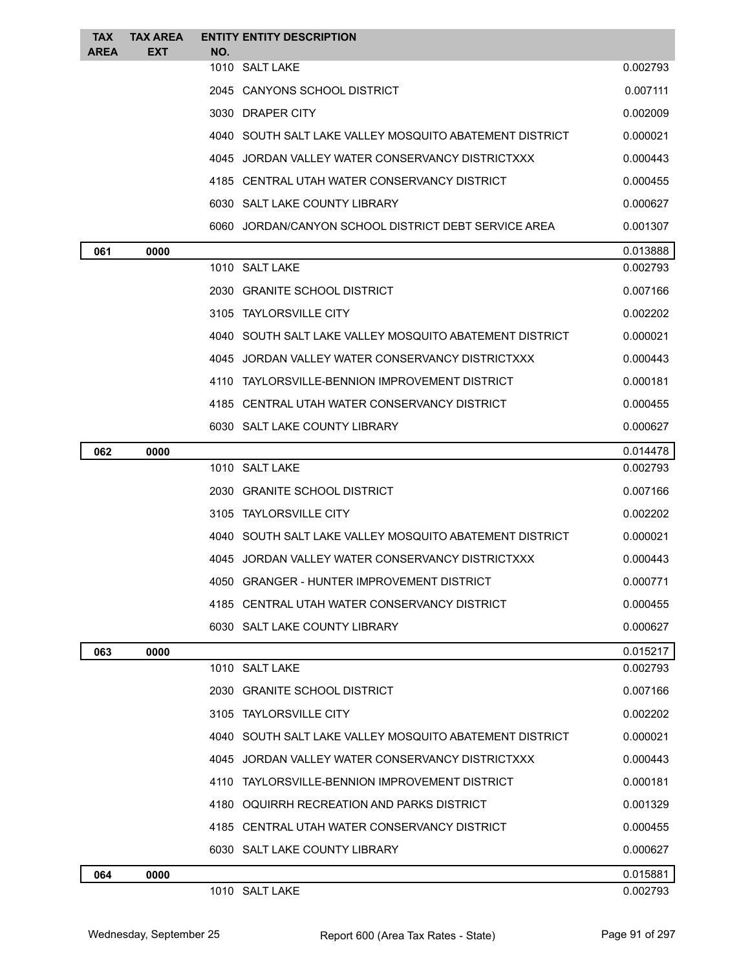| <b>TAX</b><br><b>AREA</b> | <b>TAX AREA</b><br><b>EXT</b> | <b>ENTITY ENTITY DESCRIPTION</b><br>NO.                 |          |
|---------------------------|-------------------------------|---------------------------------------------------------|----------|
|                           |                               | 1010 SALT LAKE                                          | 0.002793 |
|                           |                               | 2045 CANYONS SCHOOL DISTRICT                            | 0.007111 |
|                           |                               | 3030 DRAPER CITY                                        | 0.002009 |
|                           |                               | 4040 SOUTH SALT LAKE VALLEY MOSQUITO ABATEMENT DISTRICT | 0.000021 |
|                           |                               | 4045 JORDAN VALLEY WATER CONSERVANCY DISTRICTXXX        | 0.000443 |
|                           |                               | 4185 CENTRAL UTAH WATER CONSERVANCY DISTRICT            | 0.000455 |
|                           |                               | 6030 SALT LAKE COUNTY LIBRARY                           | 0.000627 |
|                           |                               | 6060 JORDAN/CANYON SCHOOL DISTRICT DEBT SERVICE AREA    | 0.001307 |
| 061                       | 0000                          |                                                         | 0.013888 |
|                           |                               | 1010 SALT LAKE                                          | 0.002793 |
|                           |                               | 2030 GRANITE SCHOOL DISTRICT                            | 0.007166 |
|                           |                               | 3105 TAYLORSVILLE CITY                                  | 0.002202 |
|                           |                               | 4040 SOUTH SALT LAKE VALLEY MOSQUITO ABATEMENT DISTRICT | 0.000021 |
|                           |                               | 4045 JORDAN VALLEY WATER CONSERVANCY DISTRICTXXX        | 0.000443 |
|                           |                               | 4110 TAYLORSVILLE-BENNION IMPROVEMENT DISTRICT          | 0.000181 |
|                           |                               | 4185 CENTRAL UTAH WATER CONSERVANCY DISTRICT            | 0.000455 |
|                           |                               | 6030 SALT LAKE COUNTY LIBRARY                           | 0.000627 |
| 062                       | 0000                          |                                                         | 0.014478 |
|                           |                               | 1010 SALT LAKE                                          | 0.002793 |
|                           |                               | 2030 GRANITE SCHOOL DISTRICT                            | 0.007166 |
|                           |                               | 3105 TAYLORSVILLE CITY                                  | 0.002202 |
|                           |                               | 4040 SOUTH SALT LAKE VALLEY MOSQUITO ABATEMENT DISTRICT | 0.000021 |
|                           |                               | 4045 JORDAN VALLEY WATER CONSERVANCY DISTRICTXXX        | 0.000443 |
|                           |                               | 4050 GRANGER - HUNTER IMPROVEMENT DISTRICT              | 0.000771 |
|                           |                               | 4185 CENTRAL UTAH WATER CONSERVANCY DISTRICT            | 0.000455 |
|                           |                               | 6030 SALT LAKE COUNTY LIBRARY                           | 0.000627 |
| 063                       | 0000                          |                                                         | 0.015217 |
|                           |                               | 1010 SALT LAKE                                          | 0.002793 |
|                           |                               | 2030 GRANITE SCHOOL DISTRICT                            | 0.007166 |
|                           |                               | 3105 TAYLORSVILLE CITY                                  | 0.002202 |
|                           |                               | 4040 SOUTH SALT LAKE VALLEY MOSQUITO ABATEMENT DISTRICT | 0.000021 |
|                           |                               | 4045 JORDAN VALLEY WATER CONSERVANCY DISTRICTXXX        | 0.000443 |
|                           |                               | 4110 TAYLORSVILLE-BENNION IMPROVEMENT DISTRICT          | 0.000181 |
|                           |                               | 4180 OQUIRRH RECREATION AND PARKS DISTRICT              | 0.001329 |
|                           |                               | 4185 CENTRAL UTAH WATER CONSERVANCY DISTRICT            | 0.000455 |
|                           |                               | 6030 SALT LAKE COUNTY LIBRARY                           | 0.000627 |
| 064                       | 0000                          |                                                         | 0.015881 |
|                           |                               | 1010 SALT LAKE                                          | 0.002793 |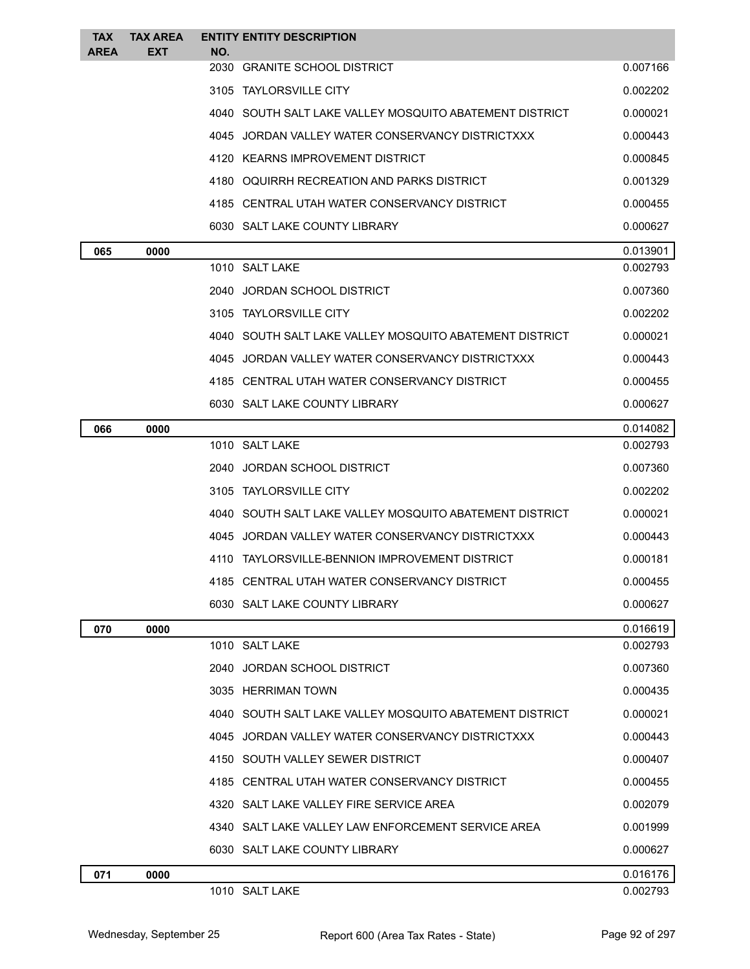| <b>TAX</b><br><b>AREA</b> | <b>TAX AREA</b><br><b>EXT</b> | <b>ENTITY ENTITY DESCRIPTION</b><br>NO.                 |          |
|---------------------------|-------------------------------|---------------------------------------------------------|----------|
|                           |                               | 2030 GRANITE SCHOOL DISTRICT                            | 0.007166 |
|                           |                               | 3105 TAYLORSVILLE CITY                                  | 0.002202 |
|                           |                               | 4040 SOUTH SALT LAKE VALLEY MOSQUITO ABATEMENT DISTRICT | 0.000021 |
|                           |                               | 4045 JORDAN VALLEY WATER CONSERVANCY DISTRICTXXX        | 0.000443 |
|                           |                               | 4120 KEARNS IMPROVEMENT DISTRICT                        | 0.000845 |
|                           |                               | 4180 OQUIRRH RECREATION AND PARKS DISTRICT              | 0.001329 |
|                           |                               | 4185 CENTRAL UTAH WATER CONSERVANCY DISTRICT            | 0.000455 |
|                           |                               | 6030 SALT LAKE COUNTY LIBRARY                           | 0.000627 |
| 065                       | 0000                          |                                                         | 0.013901 |
|                           |                               | 1010 SALT LAKE                                          | 0.002793 |
|                           |                               | 2040 JORDAN SCHOOL DISTRICT                             | 0.007360 |
|                           |                               | 3105 TAYLORSVILLE CITY                                  | 0.002202 |
|                           |                               | 4040 SOUTH SALT LAKE VALLEY MOSQUITO ABATEMENT DISTRICT | 0.000021 |
|                           |                               | 4045 JORDAN VALLEY WATER CONSERVANCY DISTRICTXXX        | 0.000443 |
|                           |                               | 4185 CENTRAL UTAH WATER CONSERVANCY DISTRICT            | 0.000455 |
|                           |                               | 6030 SALT LAKE COUNTY LIBRARY                           | 0.000627 |
| 066                       | 0000                          |                                                         | 0.014082 |
|                           |                               | 1010 SALT LAKE                                          | 0.002793 |
|                           |                               | 2040 JORDAN SCHOOL DISTRICT                             | 0.007360 |
|                           |                               | 3105 TAYLORSVILLE CITY                                  | 0.002202 |
|                           |                               | 4040 SOUTH SALT LAKE VALLEY MOSQUITO ABATEMENT DISTRICT | 0.000021 |
|                           |                               | 4045 JORDAN VALLEY WATER CONSERVANCY DISTRICTXXX        | 0.000443 |
|                           |                               | 4110 TAYLORSVILLE-BENNION IMPROVEMENT DISTRICT          | 0.000181 |
|                           |                               | 4185 CENTRAL UTAH WATER CONSERVANCY DISTRICT            | 0.000455 |
|                           |                               | 6030 SALT LAKE COUNTY LIBRARY                           | 0.000627 |
| 070                       | 0000                          |                                                         | 0.016619 |
|                           |                               | 1010 SALT LAKE                                          | 0.002793 |
|                           |                               | 2040 JORDAN SCHOOL DISTRICT                             | 0.007360 |
|                           |                               | 3035 HERRIMAN TOWN                                      | 0.000435 |
|                           |                               | 4040 SOUTH SALT LAKE VALLEY MOSQUITO ABATEMENT DISTRICT | 0.000021 |
|                           |                               | 4045 JORDAN VALLEY WATER CONSERVANCY DISTRICTXXX        | 0.000443 |
|                           |                               | 4150 SOUTH VALLEY SEWER DISTRICT                        | 0.000407 |
|                           |                               | 4185 CENTRAL UTAH WATER CONSERVANCY DISTRICT            | 0.000455 |
|                           |                               | 4320 SALT LAKE VALLEY FIRE SERVICE AREA                 | 0.002079 |
|                           |                               | 4340 SALT LAKE VALLEY LAW ENFORCEMENT SERVICE AREA      | 0.001999 |
|                           |                               | 6030 SALT LAKE COUNTY LIBRARY                           | 0.000627 |
| 071                       | 0000                          |                                                         | 0.016176 |
|                           |                               | 1010 SALT LAKE                                          | 0.002793 |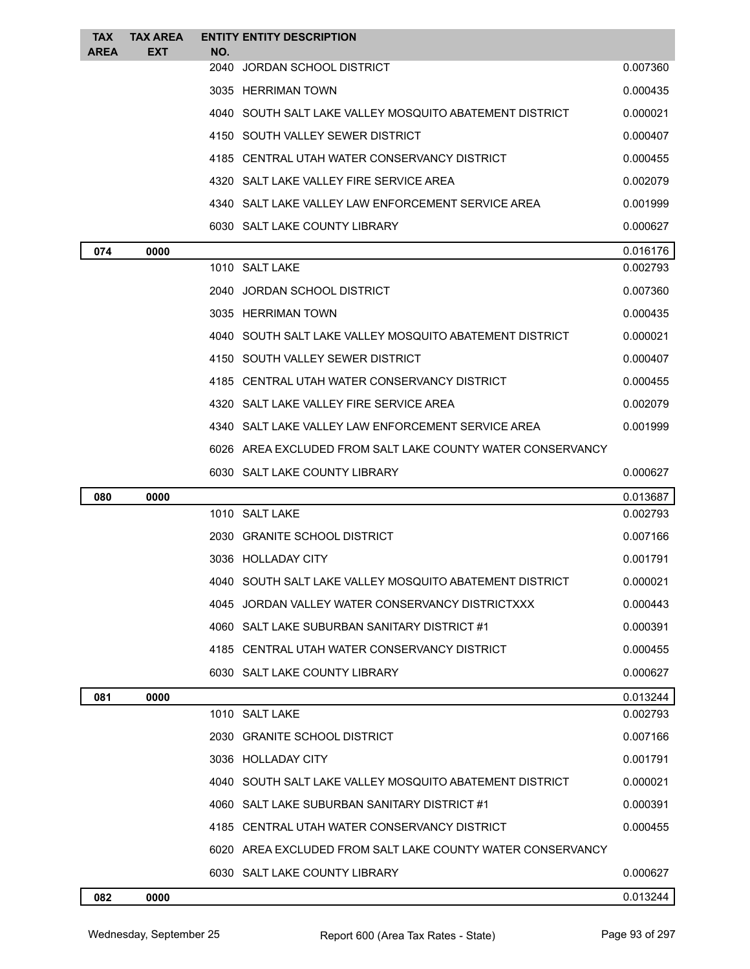| <b>TAX</b>  | <b>TAX AREA</b> |     | <b>ENTITY ENTITY DESCRIPTION</b>                           |          |
|-------------|-----------------|-----|------------------------------------------------------------|----------|
| <b>AREA</b> | <b>EXT</b>      | NO. | 2040 JORDAN SCHOOL DISTRICT                                | 0.007360 |
|             |                 |     | 3035 HERRIMAN TOWN                                         | 0.000435 |
|             |                 |     | 4040 SOUTH SALT LAKE VALLEY MOSQUITO ABATEMENT DISTRICT    | 0.000021 |
|             |                 |     | 4150 SOUTH VALLEY SEWER DISTRICT                           | 0.000407 |
|             |                 |     | 4185 CENTRAL UTAH WATER CONSERVANCY DISTRICT               | 0.000455 |
|             |                 |     | 4320 SALT LAKE VALLEY FIRE SERVICE AREA                    | 0.002079 |
|             |                 |     | 4340 SALT LAKE VALLEY LAW ENFORCEMENT SERVICE AREA         | 0.001999 |
|             |                 |     | 6030 SALT LAKE COUNTY LIBRARY                              | 0.000627 |
| 074         | 0000            |     |                                                            | 0.016176 |
|             |                 |     | 1010 SALT LAKE                                             | 0.002793 |
|             |                 |     | 2040 JORDAN SCHOOL DISTRICT                                | 0.007360 |
|             |                 |     | 3035 HERRIMAN TOWN                                         | 0.000435 |
|             |                 |     | 4040 SOUTH SALT LAKE VALLEY MOSQUITO ABATEMENT DISTRICT    | 0.000021 |
|             |                 |     | 4150 SOUTH VALLEY SEWER DISTRICT                           | 0.000407 |
|             |                 |     | 4185 CENTRAL UTAH WATER CONSERVANCY DISTRICT               | 0.000455 |
|             |                 |     | 4320 SALT LAKE VALLEY FIRE SERVICE AREA                    | 0.002079 |
|             |                 |     | 4340 SALT LAKE VALLEY LAW ENFORCEMENT SERVICE AREA         | 0.001999 |
|             |                 |     | 6026 AREA EXCLUDED FROM SALT LAKE COUNTY WATER CONSERVANCY |          |
|             |                 |     | 6030 SALT LAKE COUNTY LIBRARY                              | 0.000627 |
| 080         | 0000            |     |                                                            | 0.013687 |
|             |                 |     | 1010 SALT LAKE                                             | 0.002793 |
|             |                 |     | 2030 GRANITE SCHOOL DISTRICT                               | 0.007166 |
|             |                 |     | 3036 HOLLADAY CITY                                         | 0.001791 |
|             |                 |     | 4040 SOUTH SALT LAKE VALLEY MOSQUITO ABATEMENT DISTRICT    | 0.000021 |
|             |                 |     | 4045 JORDAN VALLEY WATER CONSERVANCY DISTRICTXXX           | 0.000443 |
|             |                 |     | 4060 SALT LAKE SUBURBAN SANITARY DISTRICT #1               | 0.000391 |
|             |                 |     | 4185 CENTRAL UTAH WATER CONSERVANCY DISTRICT               | 0.000455 |
|             |                 |     | 6030 SALT LAKE COUNTY LIBRARY                              | 0.000627 |
| 081         | 0000            |     |                                                            | 0.013244 |
|             |                 |     | 1010 SALT LAKE                                             | 0.002793 |
|             |                 |     | 2030 GRANITE SCHOOL DISTRICT                               | 0.007166 |
|             |                 |     | 3036 HOLLADAY CITY                                         | 0.001791 |
|             |                 |     | 4040 SOUTH SALT LAKE VALLEY MOSQUITO ABATEMENT DISTRICT    | 0.000021 |
|             |                 |     | 4060 SALT LAKE SUBURBAN SANITARY DISTRICT #1               | 0.000391 |
|             |                 |     | 4185 CENTRAL UTAH WATER CONSERVANCY DISTRICT               | 0.000455 |
|             |                 |     | 6020 AREA EXCLUDED FROM SALT LAKE COUNTY WATER CONSERVANCY |          |
|             |                 |     | 6030 SALT LAKE COUNTY LIBRARY                              | 0.000627 |
| 082         | 0000            |     |                                                            | 0.013244 |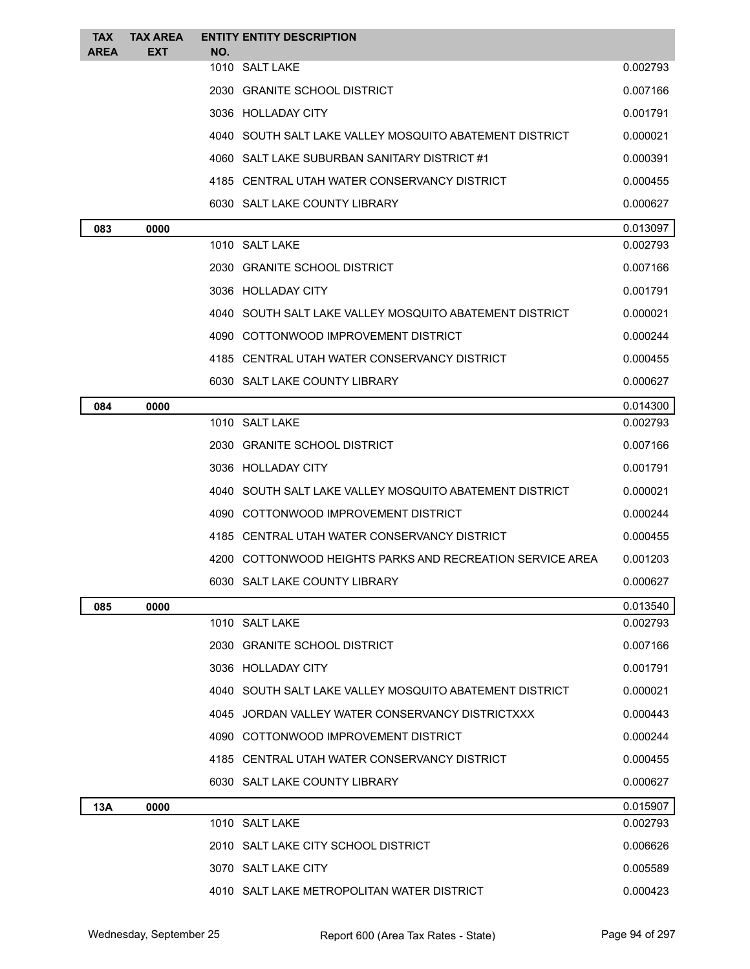| <b>TAX</b>  | <b>TAX AREA</b> | <b>ENTITY ENTITY DESCRIPTION</b>                          |          |
|-------------|-----------------|-----------------------------------------------------------|----------|
| <b>AREA</b> | <b>EXT</b>      | NO.<br>1010 SALT LAKE                                     | 0.002793 |
|             |                 | 2030 GRANITE SCHOOL DISTRICT                              | 0.007166 |
|             |                 | 3036 HOLLADAY CITY                                        | 0.001791 |
|             |                 | 4040 SOUTH SALT LAKE VALLEY MOSQUITO ABATEMENT DISTRICT   | 0.000021 |
|             |                 | 4060 SALT LAKE SUBURBAN SANITARY DISTRICT #1              | 0.000391 |
|             |                 | 4185 CENTRAL UTAH WATER CONSERVANCY DISTRICT              | 0.000455 |
|             |                 | 6030 SALT LAKE COUNTY LIBRARY                             | 0.000627 |
| 083         | 0000            |                                                           | 0.013097 |
|             |                 | 1010 SALT LAKE                                            | 0.002793 |
|             |                 | 2030 GRANITE SCHOOL DISTRICT                              | 0.007166 |
|             |                 | 3036 HOLLADAY CITY                                        | 0.001791 |
|             |                 | 4040 SOUTH SALT LAKE VALLEY MOSQUITO ABATEMENT DISTRICT   | 0.000021 |
|             |                 | 4090 COTTONWOOD IMPROVEMENT DISTRICT                      | 0.000244 |
|             |                 | 4185 CENTRAL UTAH WATER CONSERVANCY DISTRICT              | 0.000455 |
|             |                 | 6030 SALT LAKE COUNTY LIBRARY                             | 0.000627 |
| 084         | 0000            |                                                           | 0.014300 |
|             |                 | 1010 SALT LAKE                                            | 0.002793 |
|             |                 | 2030 GRANITE SCHOOL DISTRICT                              | 0.007166 |
|             |                 | 3036 HOLLADAY CITY                                        | 0.001791 |
|             |                 | 4040 SOUTH SALT LAKE VALLEY MOSQUITO ABATEMENT DISTRICT   | 0.000021 |
|             |                 | 4090 COTTONWOOD IMPROVEMENT DISTRICT                      | 0.000244 |
|             |                 | 4185 CENTRAL UTAH WATER CONSERVANCY DISTRICT              | 0.000455 |
|             |                 | 4200 COTTONWOOD HEIGHTS PARKS AND RECREATION SERVICE AREA | 0.001203 |
|             |                 | 6030 SALT LAKE COUNTY LIBRARY                             | 0.000627 |
| 085         | 0000            |                                                           | 0.013540 |
|             |                 | 1010 SALT LAKE                                            | 0.002793 |
|             |                 | 2030 GRANITE SCHOOL DISTRICT                              | 0.007166 |
|             |                 | 3036 HOLLADAY CITY                                        | 0.001791 |
|             |                 | 4040 SOUTH SALT LAKE VALLEY MOSQUITO ABATEMENT DISTRICT   | 0.000021 |
|             |                 | 4045 JORDAN VALLEY WATER CONSERVANCY DISTRICTXXX          | 0.000443 |
|             |                 | 4090 COTTONWOOD IMPROVEMENT DISTRICT                      | 0.000244 |
|             |                 | 4185 CENTRAL UTAH WATER CONSERVANCY DISTRICT              | 0.000455 |
|             |                 | 6030 SALT LAKE COUNTY LIBRARY                             | 0.000627 |
| 13A         | 0000            |                                                           | 0.015907 |
|             |                 | 1010 SALT LAKE                                            | 0.002793 |
|             |                 | 2010 SALT LAKE CITY SCHOOL DISTRICT                       | 0.006626 |
|             |                 | 3070 SALT LAKE CITY                                       | 0.005589 |
|             |                 | 4010 SALT LAKE METROPOLITAN WATER DISTRICT                | 0.000423 |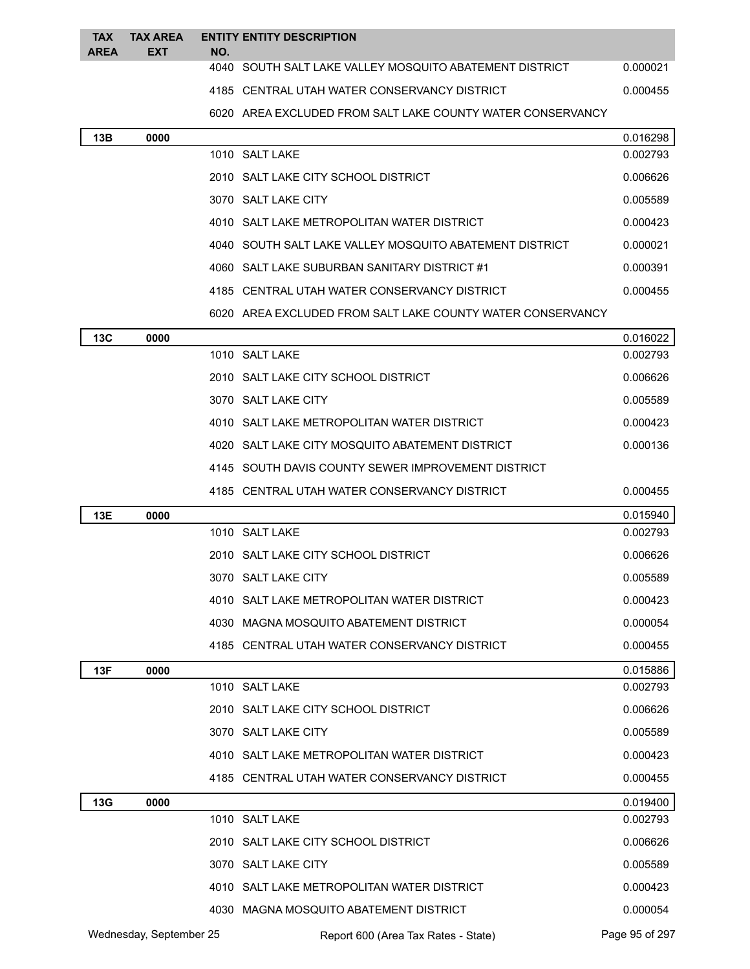| <b>TAX</b><br><b>AREA</b> | <b>TAX AREA</b><br><b>EXT</b> | <b>ENTITY ENTITY DESCRIPTION</b><br>NO.                    |          |
|---------------------------|-------------------------------|------------------------------------------------------------|----------|
|                           |                               | 4040 SOUTH SALT LAKE VALLEY MOSOUITO ABATEMENT DISTRICT    | 0.000021 |
|                           |                               | 4185 CENTRAL UTAH WATER CONSERVANCY DISTRICT               | 0.000455 |
|                           |                               | 6020 AREA EXCLUDED FROM SALT LAKE COUNTY WATER CONSERVANCY |          |
| 13B                       | 0000                          |                                                            | 0.016298 |
|                           |                               | 1010 SALT LAKE                                             | 0.002793 |
|                           |                               | 2010 SALT LAKE CITY SCHOOL DISTRICT                        | 0.006626 |
|                           |                               | 3070 SALT LAKE CITY                                        | 0.005589 |
|                           |                               | 4010 SALT LAKE METROPOLITAN WATER DISTRICT                 | 0.000423 |
|                           |                               | 4040 SOUTH SALT LAKE VALLEY MOSQUITO ABATEMENT DISTRICT    | 0.000021 |
|                           |                               | 4060 SALT LAKE SUBURBAN SANITARY DISTRICT #1               | 0.000391 |
|                           |                               | 4185 CENTRAL UTAH WATER CONSERVANCY DISTRICT               | 0.000455 |
|                           |                               | 6020 AREA EXCLUDED FROM SALT LAKE COUNTY WATER CONSERVANCY |          |
| <b>13C</b>                | 0000                          |                                                            | 0.016022 |
|                           |                               | 1010 SALT LAKE                                             | 0.002793 |
|                           |                               | 2010 SALT LAKE CITY SCHOOL DISTRICT                        | 0.006626 |
|                           |                               | 3070 SALT LAKE CITY                                        | 0.005589 |
|                           |                               | 4010 SALT LAKE METROPOLITAN WATER DISTRICT                 | 0.000423 |
|                           |                               | 4020 SALT LAKE CITY MOSQUITO ABATEMENT DISTRICT            | 0.000136 |
|                           |                               | 4145 SOUTH DAVIS COUNTY SEWER IMPROVEMENT DISTRICT         |          |
|                           |                               | 4185 CENTRAL UTAH WATER CONSERVANCY DISTRICT               | 0.000455 |
| 13E                       | 0000                          |                                                            | 0.015940 |
|                           |                               | 1010 SALT LAKE                                             | 0.002793 |
|                           |                               | 2010 SALT LAKE CITY SCHOOL DISTRICT                        | 0.006626 |
|                           |                               | 3070 SALT LAKE CITY                                        | 0.005589 |
|                           |                               | 4010 SALT LAKE METROPOLITAN WATER DISTRICT                 | 0.000423 |
|                           |                               | 4030 MAGNA MOSQUITO ABATEMENT DISTRICT                     | 0.000054 |
|                           |                               | 4185 CENTRAL UTAH WATER CONSERVANCY DISTRICT               | 0.000455 |
| 13F                       | 0000                          |                                                            | 0.015886 |
|                           |                               | 1010 SALT LAKE                                             | 0.002793 |
|                           |                               | 2010 SALT LAKE CITY SCHOOL DISTRICT                        | 0.006626 |
|                           |                               | 3070 SALT LAKE CITY                                        | 0.005589 |
|                           |                               | 4010 SALT LAKE METROPOLITAN WATER DISTRICT                 | 0.000423 |
|                           |                               | 4185 CENTRAL UTAH WATER CONSERVANCY DISTRICT               | 0.000455 |
| 13G                       | 0000                          |                                                            | 0.019400 |
|                           |                               | 1010 SALT LAKE                                             | 0.002793 |
|                           |                               | 2010 SALT LAKE CITY SCHOOL DISTRICT                        | 0.006626 |
|                           |                               | 3070 SALT LAKE CITY                                        | 0.005589 |
|                           |                               | 4010 SALT LAKE METROPOLITAN WATER DISTRICT                 | 0.000423 |
|                           |                               | 4030 MAGNA MOSQUITO ABATEMENT DISTRICT                     | 0.000054 |

Wednesday, September 25 Report 600 (Area Tax Rates - State) Page 95 of 297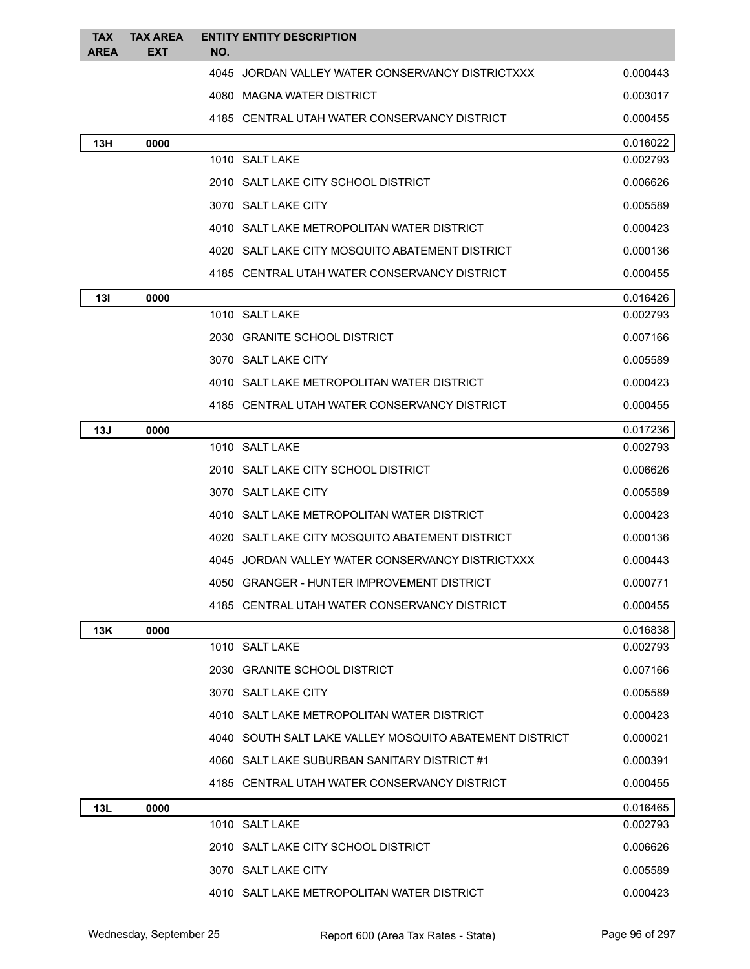| <b>TAX</b><br>AREA | <b>TAX AREA</b><br>EXT | <b>ENTITY ENTITY DESCRIPTION</b><br>NO.                 |          |
|--------------------|------------------------|---------------------------------------------------------|----------|
|                    |                        | 4045 JORDAN VALLEY WATER CONSERVANCY DISTRICTXXX        | 0.000443 |
|                    |                        | 4080 MAGNA WATER DISTRICT                               | 0.003017 |
|                    |                        | 4185 CENTRAL UTAH WATER CONSERVANCY DISTRICT            | 0.000455 |
| 13H                | 0000                   |                                                         | 0.016022 |
|                    |                        | 1010 SALT LAKE                                          | 0.002793 |
|                    |                        | 2010 SALT LAKE CITY SCHOOL DISTRICT                     | 0.006626 |
|                    |                        | 3070 SALT LAKE CITY                                     | 0.005589 |
|                    |                        | 4010 SALT LAKE METROPOLITAN WATER DISTRICT              | 0.000423 |
|                    |                        | 4020 SALT LAKE CITY MOSQUITO ABATEMENT DISTRICT         | 0.000136 |
|                    |                        | 4185 CENTRAL UTAH WATER CONSERVANCY DISTRICT            | 0.000455 |
| 13I                | 0000                   |                                                         | 0.016426 |
|                    |                        | 1010 SALT LAKE                                          | 0.002793 |
|                    |                        | 2030 GRANITE SCHOOL DISTRICT                            | 0.007166 |
|                    |                        | 3070 SALT LAKE CITY                                     | 0.005589 |
|                    |                        | 4010 SALT LAKE METROPOLITAN WATER DISTRICT              | 0.000423 |
|                    |                        | 4185 CENTRAL UTAH WATER CONSERVANCY DISTRICT            | 0.000455 |
| 13J                | 0000                   |                                                         | 0.017236 |
|                    |                        | 1010 SALT LAKE                                          | 0.002793 |
|                    |                        | 2010 SALT LAKE CITY SCHOOL DISTRICT                     | 0.006626 |
|                    |                        | 3070 SALT LAKE CITY                                     | 0.005589 |
|                    |                        | 4010 SALT LAKE METROPOLITAN WATER DISTRICT              | 0.000423 |
|                    |                        | 4020 SALT LAKE CITY MOSQUITO ABATEMENT DISTRICT         | 0.000136 |
|                    |                        | 4045 JORDAN VALLEY WATER CONSERVANCY DISTRICTXXX        | 0.000443 |
|                    |                        | 4050 GRANGER - HUNTER IMPROVEMENT DISTRICT              | 0.000771 |
|                    |                        | 4185 CENTRAL UTAH WATER CONSERVANCY DISTRICT            | 0.000455 |
| 13K                | 0000                   |                                                         | 0.016838 |
|                    |                        | 1010 SALT LAKE                                          | 0.002793 |
|                    |                        | 2030 GRANITE SCHOOL DISTRICT                            | 0.007166 |
|                    |                        | 3070 SALT LAKE CITY                                     | 0.005589 |
|                    |                        | 4010 SALT LAKE METROPOLITAN WATER DISTRICT              | 0.000423 |
|                    |                        | 4040 SOUTH SALT LAKE VALLEY MOSQUITO ABATEMENT DISTRICT | 0.000021 |
|                    |                        | 4060 SALT LAKE SUBURBAN SANITARY DISTRICT #1            | 0.000391 |
|                    |                        | 4185 CENTRAL UTAH WATER CONSERVANCY DISTRICT            | 0.000455 |
| 13L                | 0000                   |                                                         | 0.016465 |
|                    |                        | 1010 SALT LAKE                                          | 0.002793 |
|                    |                        | 2010 SALT LAKE CITY SCHOOL DISTRICT                     | 0.006626 |
|                    |                        | 3070 SALT LAKE CITY                                     | 0.005589 |
|                    |                        | 4010 SALT LAKE METROPOLITAN WATER DISTRICT              | 0.000423 |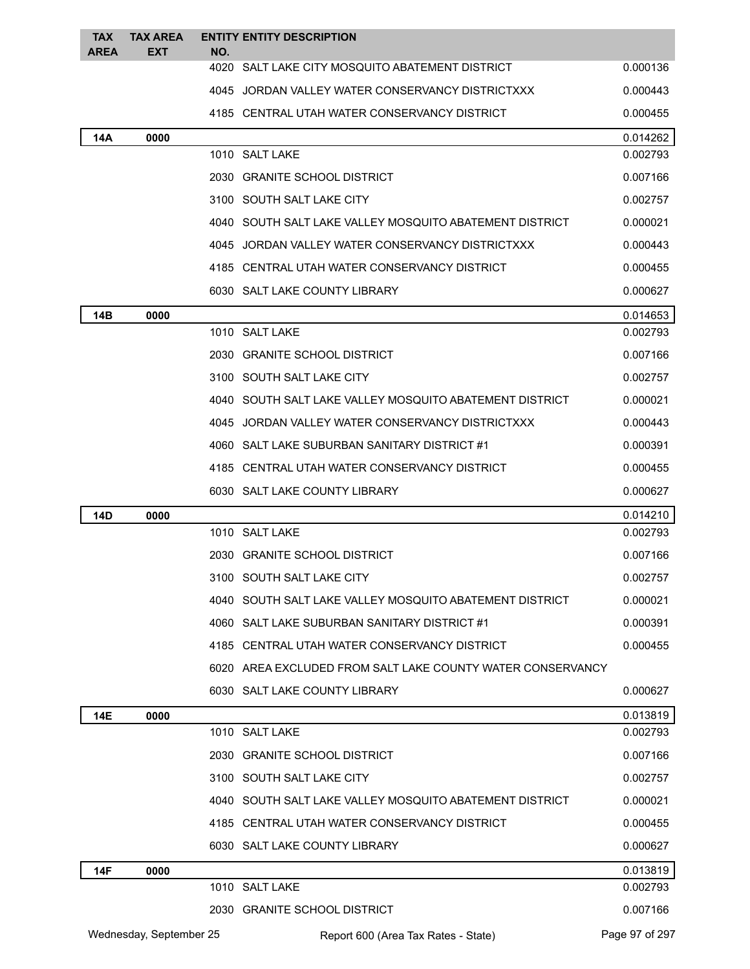| <b>TAX</b><br><b>AREA</b> | <b>TAX AREA</b><br><b>EXT</b> | NO. | <b>ENTITY ENTITY DESCRIPTION</b>                           |                |
|---------------------------|-------------------------------|-----|------------------------------------------------------------|----------------|
|                           |                               |     | 4020 SALT LAKE CITY MOSQUITO ABATEMENT DISTRICT            | 0.000136       |
|                           |                               |     | 4045 JORDAN VALLEY WATER CONSERVANCY DISTRICTXXX           | 0.000443       |
|                           |                               |     | 4185 CENTRAL UTAH WATER CONSERVANCY DISTRICT               | 0.000455       |
| 14A                       | 0000                          |     |                                                            | 0.014262       |
|                           |                               |     | 1010 SALT LAKE                                             | 0.002793       |
|                           |                               |     | 2030 GRANITE SCHOOL DISTRICT                               | 0.007166       |
|                           |                               |     | 3100 SOUTH SALT LAKE CITY                                  | 0.002757       |
|                           |                               |     | 4040 SOUTH SALT LAKE VALLEY MOSQUITO ABATEMENT DISTRICT    | 0.000021       |
|                           |                               |     | 4045 JORDAN VALLEY WATER CONSERVANCY DISTRICTXXX           | 0.000443       |
|                           |                               |     | 4185 CENTRAL UTAH WATER CONSERVANCY DISTRICT               | 0.000455       |
|                           |                               |     | 6030 SALT LAKE COUNTY LIBRARY                              | 0.000627       |
| 14B                       | 0000                          |     |                                                            | 0.014653       |
|                           |                               |     | 1010 SALT LAKE                                             | 0.002793       |
|                           |                               |     | 2030 GRANITE SCHOOL DISTRICT                               | 0.007166       |
|                           |                               |     | 3100 SOUTH SALT LAKE CITY                                  | 0.002757       |
|                           |                               |     | 4040 SOUTH SALT LAKE VALLEY MOSQUITO ABATEMENT DISTRICT    | 0.000021       |
|                           |                               |     | 4045 JORDAN VALLEY WATER CONSERVANCY DISTRICTXXX           | 0.000443       |
|                           |                               |     | 4060 SALT LAKE SUBURBAN SANITARY DISTRICT #1               | 0.000391       |
|                           |                               |     | 4185 CENTRAL UTAH WATER CONSERVANCY DISTRICT               | 0.000455       |
|                           |                               |     | 6030 SALT LAKE COUNTY LIBRARY                              | 0.000627       |
| 14D                       | 0000                          |     |                                                            | 0.014210       |
|                           |                               |     | 1010 SALT LAKE                                             | 0.002793       |
|                           |                               |     | 2030 GRANITE SCHOOL DISTRICT                               | 0.007166       |
|                           |                               |     | 3100 SOUTH SALT LAKE CITY                                  | 0.002757       |
|                           |                               |     | 4040 SOUTH SALT LAKE VALLEY MOSQUITO ABATEMENT DISTRICT    | 0.000021       |
|                           |                               |     | 4060 SALT LAKE SUBURBAN SANITARY DISTRICT #1               | 0.000391       |
|                           |                               |     | 4185 CENTRAL UTAH WATER CONSERVANCY DISTRICT               | 0.000455       |
|                           |                               |     | 6020 AREA EXCLUDED FROM SALT LAKE COUNTY WATER CONSERVANCY |                |
|                           |                               |     | 6030 SALT LAKE COUNTY LIBRARY                              | 0.000627       |
| 14E                       | 0000                          |     |                                                            | 0.013819       |
|                           |                               |     | 1010 SALT LAKE                                             | 0.002793       |
|                           |                               |     | 2030 GRANITE SCHOOL DISTRICT                               | 0.007166       |
|                           |                               |     | 3100 SOUTH SALT LAKE CITY                                  | 0.002757       |
|                           |                               |     | 4040 SOUTH SALT LAKE VALLEY MOSQUITO ABATEMENT DISTRICT    | 0.000021       |
|                           |                               |     | 4185 CENTRAL UTAH WATER CONSERVANCY DISTRICT               | 0.000455       |
|                           |                               |     | 6030 SALT LAKE COUNTY LIBRARY                              | 0.000627       |
| 14F                       | 0000                          |     |                                                            | 0.013819       |
|                           |                               |     | 1010 SALT LAKE                                             | 0.002793       |
|                           |                               |     | 2030 GRANITE SCHOOL DISTRICT                               | 0.007166       |
|                           | Wednesday, September 25       |     | Report 600 (Area Tax Rates - State)                        | Page 97 of 297 |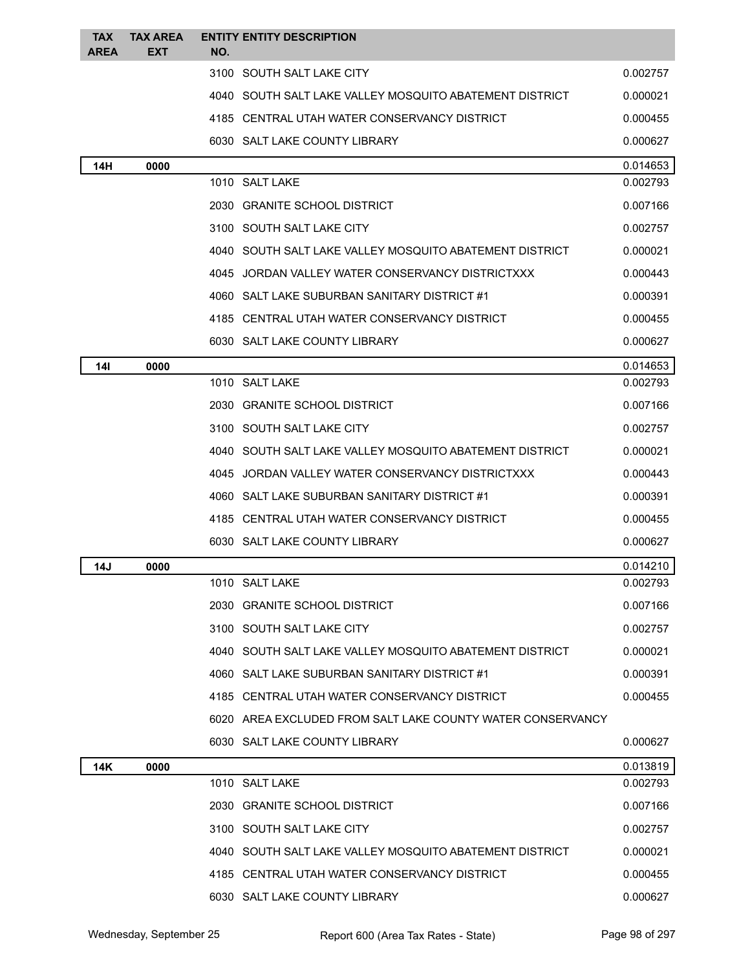| <b>TAX</b><br><b>AREA</b> | <b>TAX AREA</b><br><b>EXT</b> | NO. | <b>ENTITY ENTITY DESCRIPTION</b>                           |          |
|---------------------------|-------------------------------|-----|------------------------------------------------------------|----------|
|                           |                               |     | 3100 SOUTH SALT LAKE CITY                                  | 0.002757 |
|                           |                               |     | 4040 SOUTH SALT LAKE VALLEY MOSQUITO ABATEMENT DISTRICT    | 0.000021 |
|                           |                               |     | 4185 CENTRAL UTAH WATER CONSERVANCY DISTRICT               | 0.000455 |
|                           |                               |     | 6030 SALT LAKE COUNTY LIBRARY                              | 0.000627 |
| 14H                       | 0000                          |     |                                                            | 0.014653 |
|                           |                               |     | 1010 SALT LAKE                                             | 0.002793 |
|                           |                               |     | 2030 GRANITE SCHOOL DISTRICT                               | 0.007166 |
|                           |                               |     | 3100 SOUTH SALT LAKE CITY                                  | 0.002757 |
|                           |                               |     | 4040 SOUTH SALT LAKE VALLEY MOSQUITO ABATEMENT DISTRICT    | 0.000021 |
|                           |                               |     | 4045 JORDAN VALLEY WATER CONSERVANCY DISTRICTXXX           | 0.000443 |
|                           |                               |     | 4060 SALT LAKE SUBURBAN SANITARY DISTRICT #1               | 0.000391 |
|                           |                               |     | 4185 CENTRAL UTAH WATER CONSERVANCY DISTRICT               | 0.000455 |
|                           |                               |     | 6030 SALT LAKE COUNTY LIBRARY                              | 0.000627 |
| 14I                       | 0000                          |     |                                                            | 0.014653 |
|                           |                               |     | 1010 SALT LAKE                                             | 0.002793 |
|                           |                               |     | 2030 GRANITE SCHOOL DISTRICT                               | 0.007166 |
|                           |                               |     | 3100 SOUTH SALT LAKE CITY                                  | 0.002757 |
|                           |                               |     | 4040 SOUTH SALT LAKE VALLEY MOSQUITO ABATEMENT DISTRICT    | 0.000021 |
|                           |                               |     | 4045 JORDAN VALLEY WATER CONSERVANCY DISTRICTXXX           | 0.000443 |
|                           |                               |     | 4060 SALT LAKE SUBURBAN SANITARY DISTRICT #1               | 0.000391 |
|                           |                               |     | 4185 CENTRAL UTAH WATER CONSERVANCY DISTRICT               | 0.000455 |
|                           |                               |     | 6030 SALT LAKE COUNTY LIBRARY                              | 0.000627 |
| 14J                       | 0000                          |     |                                                            | 0.014210 |
|                           |                               |     | 1010 SALT LAKE                                             | 0.002793 |
|                           |                               |     | 2030 GRANITE SCHOOL DISTRICT                               | 0.007166 |
|                           |                               |     | 3100 SOUTH SALT LAKE CITY                                  | 0.002757 |
|                           |                               |     | 4040 SOUTH SALT LAKE VALLEY MOSQUITO ABATEMENT DISTRICT    | 0.000021 |
|                           |                               |     | 4060 SALT LAKE SUBURBAN SANITARY DISTRICT #1               | 0.000391 |
|                           |                               |     | 4185 CENTRAL UTAH WATER CONSERVANCY DISTRICT               | 0.000455 |
|                           |                               |     | 6020 AREA EXCLUDED FROM SALT LAKE COUNTY WATER CONSERVANCY |          |
|                           |                               |     | 6030 SALT LAKE COUNTY LIBRARY                              | 0.000627 |
| 14K                       | 0000                          |     |                                                            | 0.013819 |
|                           |                               |     | 1010 SALT LAKE                                             | 0.002793 |
|                           |                               |     | 2030 GRANITE SCHOOL DISTRICT                               | 0.007166 |
|                           |                               |     | 3100 SOUTH SALT LAKE CITY                                  | 0.002757 |
|                           |                               |     | 4040 SOUTH SALT LAKE VALLEY MOSQUITO ABATEMENT DISTRICT    | 0.000021 |
|                           |                               |     | 4185 CENTRAL UTAH WATER CONSERVANCY DISTRICT               | 0.000455 |
|                           |                               |     | 6030 SALT LAKE COUNTY LIBRARY                              | 0.000627 |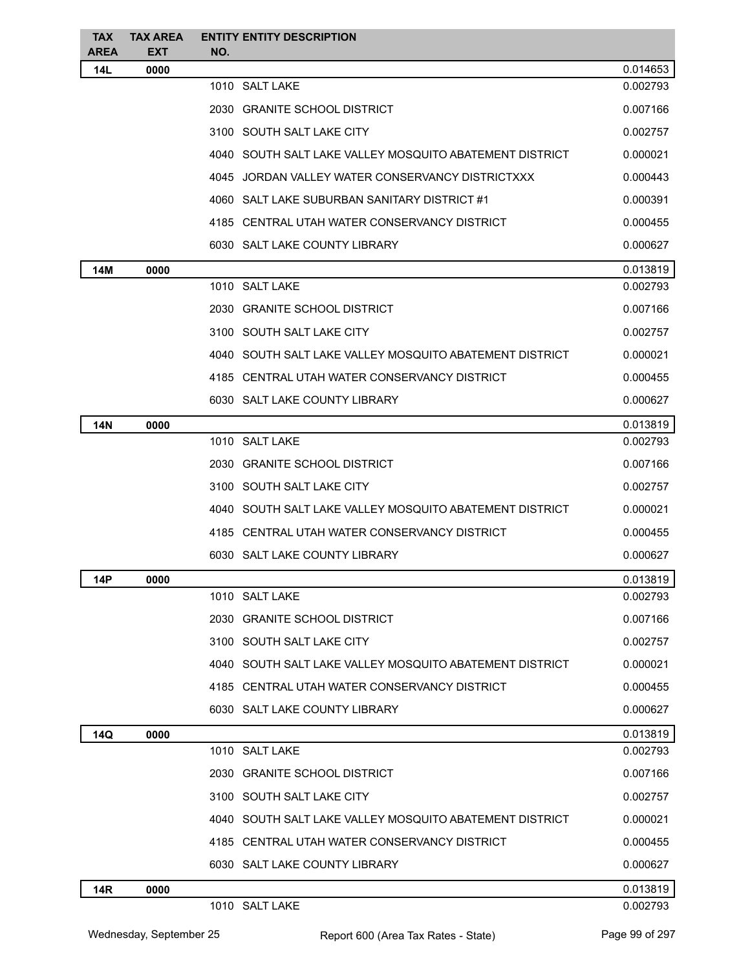| <b>TAX</b>                | <b>TAX AREA</b>    |     | <b>ENTITY ENTITY DESCRIPTION</b>                        |                      |
|---------------------------|--------------------|-----|---------------------------------------------------------|----------------------|
| <b>AREA</b><br><b>14L</b> | <b>EXT</b><br>0000 | NO. |                                                         | 0.014653             |
|                           |                    |     | 1010 SALT LAKE                                          | 0.002793             |
|                           |                    |     | 2030 GRANITE SCHOOL DISTRICT                            | 0.007166             |
|                           |                    |     | 3100 SOUTH SALT LAKE CITY                               | 0.002757             |
|                           |                    |     | 4040 SOUTH SALT LAKE VALLEY MOSQUITO ABATEMENT DISTRICT | 0.000021             |
|                           |                    |     | 4045 JORDAN VALLEY WATER CONSERVANCY DISTRICTXXX        | 0.000443             |
|                           |                    |     | 4060 SALT LAKE SUBURBAN SANITARY DISTRICT #1            | 0.000391             |
|                           |                    |     | 4185 CENTRAL UTAH WATER CONSERVANCY DISTRICT            | 0.000455             |
|                           |                    |     | 6030 SALT LAKE COUNTY LIBRARY                           | 0.000627             |
|                           |                    |     |                                                         |                      |
| 14M                       | 0000               |     | 1010 SALT LAKE                                          | 0.013819<br>0.002793 |
|                           |                    |     | 2030 GRANITE SCHOOL DISTRICT                            | 0.007166             |
|                           |                    |     | 3100 SOUTH SALT LAKE CITY                               | 0.002757             |
|                           |                    |     | 4040 SOUTH SALT LAKE VALLEY MOSQUITO ABATEMENT DISTRICT | 0.000021             |
|                           |                    |     | 4185 CENTRAL UTAH WATER CONSERVANCY DISTRICT            | 0.000455             |
|                           |                    |     | 6030 SALT LAKE COUNTY LIBRARY                           | 0.000627             |
|                           |                    |     |                                                         |                      |
| <b>14N</b>                | 0000               |     | 1010 SALT LAKE                                          | 0.013819<br>0.002793 |
|                           |                    |     | 2030 GRANITE SCHOOL DISTRICT                            | 0.007166             |
|                           |                    |     | 3100 SOUTH SALT LAKE CITY                               | 0.002757             |
|                           |                    |     | 4040 SOUTH SALT LAKE VALLEY MOSQUITO ABATEMENT DISTRICT | 0.000021             |
|                           |                    |     | 4185 CENTRAL UTAH WATER CONSERVANCY DISTRICT            | 0.000455             |
|                           |                    |     | 6030 SALT LAKE COUNTY LIBRARY                           | 0.000627             |
|                           |                    |     |                                                         |                      |
| 14P                       | 0000               |     | 1010 SALT LAKE                                          | 0.013819<br>0.002793 |
|                           |                    |     | 2030 GRANITE SCHOOL DISTRICT                            | 0.007166             |
|                           |                    |     | 3100 SOUTH SALT LAKE CITY                               | 0.002757             |
|                           |                    |     | 4040 SOUTH SALT LAKE VALLEY MOSQUITO ABATEMENT DISTRICT | 0.000021             |
|                           |                    |     | 4185 CENTRAL UTAH WATER CONSERVANCY DISTRICT            | 0.000455             |
|                           |                    |     | 6030 SALT LAKE COUNTY LIBRARY                           | 0.000627             |
| 14Q                       | 0000               |     |                                                         | 0.013819             |
|                           |                    |     | 1010 SALT LAKE                                          | 0.002793             |
|                           |                    |     | 2030 GRANITE SCHOOL DISTRICT                            | 0.007166             |
|                           |                    |     | 3100 SOUTH SALT LAKE CITY                               | 0.002757             |
|                           |                    |     | 4040 SOUTH SALT LAKE VALLEY MOSQUITO ABATEMENT DISTRICT | 0.000021             |
|                           |                    |     | 4185 CENTRAL UTAH WATER CONSERVANCY DISTRICT            | 0.000455             |
|                           |                    |     | 6030 SALT LAKE COUNTY LIBRARY                           | 0.000627             |
| <b>14R</b>                | 0000               |     |                                                         | 0.013819             |
|                           |                    |     | 1010 SALT LAKE                                          | 0.002793             |
|                           |                    |     |                                                         |                      |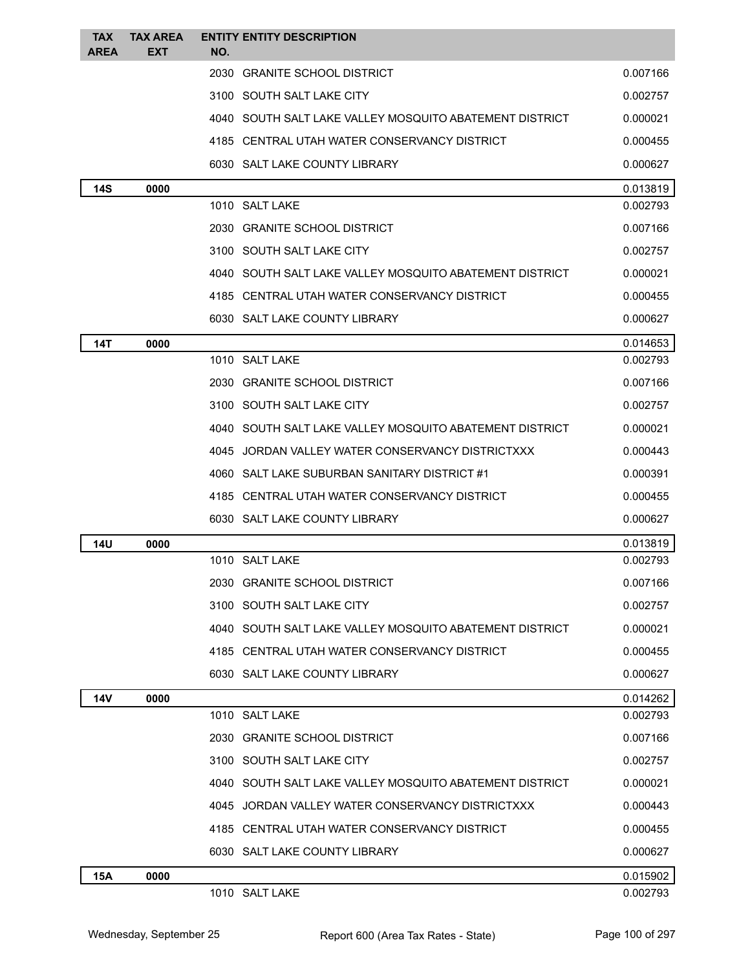| <b>TAX</b><br><b>AREA</b> | <b>TAX AREA</b><br><b>EXT</b> | <b>ENTITY ENTITY DESCRIPTION</b><br>NO.                 |          |
|---------------------------|-------------------------------|---------------------------------------------------------|----------|
|                           |                               | 2030 GRANITE SCHOOL DISTRICT                            | 0.007166 |
|                           |                               | 3100 SOUTH SALT LAKE CITY                               | 0.002757 |
|                           |                               | 4040 SOUTH SALT LAKE VALLEY MOSQUITO ABATEMENT DISTRICT | 0.000021 |
|                           |                               | 4185 CENTRAL UTAH WATER CONSERVANCY DISTRICT            | 0.000455 |
|                           |                               | 6030 SALT LAKE COUNTY LIBRARY                           | 0.000627 |
| <b>14S</b>                | 0000                          |                                                         | 0.013819 |
|                           |                               | 1010 SALT LAKE                                          | 0.002793 |
|                           |                               | 2030 GRANITE SCHOOL DISTRICT                            | 0.007166 |
|                           |                               | 3100 SOUTH SALT LAKE CITY                               | 0.002757 |
|                           |                               | 4040 SOUTH SALT LAKE VALLEY MOSQUITO ABATEMENT DISTRICT | 0.000021 |
|                           |                               | 4185 CENTRAL UTAH WATER CONSERVANCY DISTRICT            | 0.000455 |
|                           |                               | 6030 SALT LAKE COUNTY LIBRARY                           | 0.000627 |
| 14T                       | 0000                          |                                                         | 0.014653 |
|                           |                               | 1010 SALT LAKE                                          | 0.002793 |
|                           |                               | 2030 GRANITE SCHOOL DISTRICT                            | 0.007166 |
|                           |                               | 3100 SOUTH SALT LAKE CITY                               | 0.002757 |
|                           |                               | 4040 SOUTH SALT LAKE VALLEY MOSQUITO ABATEMENT DISTRICT | 0.000021 |
|                           |                               | 4045 JORDAN VALLEY WATER CONSERVANCY DISTRICTXXX        | 0.000443 |
|                           |                               | 4060 SALT LAKE SUBURBAN SANITARY DISTRICT #1            | 0.000391 |
|                           |                               | 4185 CENTRAL UTAH WATER CONSERVANCY DISTRICT            | 0.000455 |
|                           |                               | 6030 SALT LAKE COUNTY LIBRARY                           | 0.000627 |
| 14U                       | 0000                          |                                                         | 0.013819 |
|                           |                               | 1010 SALT LAKE                                          | 0.002793 |
|                           |                               | 2030 GRANITE SCHOOL DISTRICT                            | 0.007166 |
|                           |                               | 3100 SOUTH SALT LAKE CITY                               | 0.002757 |
|                           |                               | 4040 SOUTH SALT LAKE VALLEY MOSQUITO ABATEMENT DISTRICT | 0.000021 |
|                           |                               | 4185 CENTRAL UTAH WATER CONSERVANCY DISTRICT            | 0.000455 |
|                           |                               | 6030 SALT LAKE COUNTY LIBRARY                           | 0.000627 |
| <b>14V</b>                | 0000                          |                                                         | 0.014262 |
|                           |                               | 1010 SALT LAKE                                          | 0.002793 |
|                           |                               | 2030 GRANITE SCHOOL DISTRICT                            | 0.007166 |
|                           |                               | 3100 SOUTH SALT LAKE CITY                               | 0.002757 |
|                           |                               | 4040 SOUTH SALT LAKE VALLEY MOSQUITO ABATEMENT DISTRICT | 0.000021 |
|                           |                               | 4045 JORDAN VALLEY WATER CONSERVANCY DISTRICTXXX        | 0.000443 |
|                           |                               | 4185 CENTRAL UTAH WATER CONSERVANCY DISTRICT            | 0.000455 |
|                           |                               | 6030 SALT LAKE COUNTY LIBRARY                           | 0.000627 |
| <b>15A</b>                | 0000                          |                                                         | 0.015902 |
|                           |                               | 1010 SALT LAKE                                          | 0.002793 |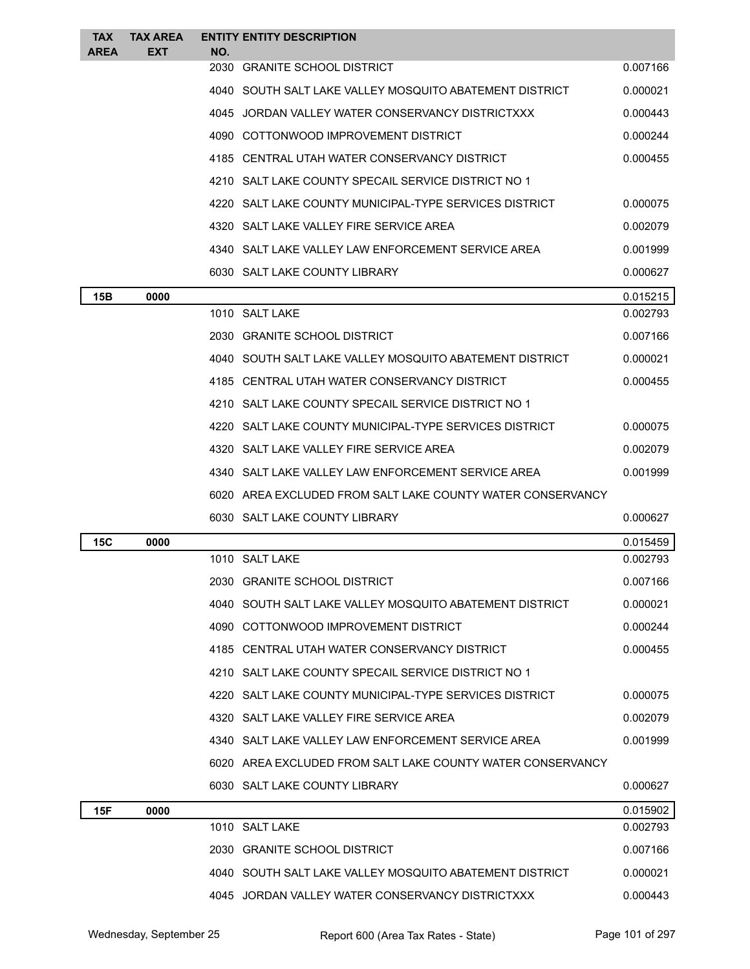| <b>TAX</b><br><b>AREA</b> | <b>TAX AREA</b><br>EXT | NO.  | <b>ENTITY ENTITY DESCRIPTION</b>                           |          |
|---------------------------|------------------------|------|------------------------------------------------------------|----------|
|                           |                        |      | 2030 GRANITE SCHOOL DISTRICT                               | 0.007166 |
|                           |                        |      | 4040 SOUTH SALT LAKE VALLEY MOSQUITO ABATEMENT DISTRICT    | 0.000021 |
|                           |                        |      | 4045 JORDAN VALLEY WATER CONSERVANCY DISTRICTXXX           | 0.000443 |
|                           |                        |      | 4090 COTTONWOOD IMPROVEMENT DISTRICT                       | 0.000244 |
|                           |                        |      | 4185 CENTRAL UTAH WATER CONSERVANCY DISTRICT               | 0.000455 |
|                           |                        |      | 4210 SALT LAKE COUNTY SPECAIL SERVICE DISTRICT NO 1        |          |
|                           |                        | 4220 | SALT LAKE COUNTY MUNICIPAL-TYPE SERVICES DISTRICT          | 0.000075 |
|                           |                        |      | 4320 SALT LAKE VALLEY FIRE SERVICE AREA                    | 0.002079 |
|                           |                        |      | 4340 SALT LAKE VALLEY LAW ENFORCEMENT SERVICE AREA         | 0.001999 |
|                           |                        |      | 6030 SALT LAKE COUNTY LIBRARY                              | 0.000627 |
| 15B                       | 0000                   |      |                                                            | 0.015215 |
|                           |                        |      | 1010 SALT LAKE                                             | 0.002793 |
|                           |                        |      | 2030 GRANITE SCHOOL DISTRICT                               | 0.007166 |
|                           |                        |      | 4040 SOUTH SALT LAKE VALLEY MOSQUITO ABATEMENT DISTRICT    | 0.000021 |
|                           |                        |      | 4185 CENTRAL UTAH WATER CONSERVANCY DISTRICT               | 0.000455 |
|                           |                        |      | 4210 SALT LAKE COUNTY SPECAIL SERVICE DISTRICT NO 1        |          |
|                           |                        |      | 4220 SALT LAKE COUNTY MUNICIPAL-TYPE SERVICES DISTRICT     | 0.000075 |
|                           |                        |      | 4320 SALT LAKE VALLEY FIRE SERVICE AREA                    | 0.002079 |
|                           |                        |      | 4340 SALT LAKE VALLEY LAW ENFORCEMENT SERVICE AREA         | 0.001999 |
|                           |                        |      | 6020 AREA EXCLUDED FROM SALT LAKE COUNTY WATER CONSERVANCY |          |
|                           |                        |      | 6030 SALT LAKE COUNTY LIBRARY                              | 0.000627 |
| 15C                       | 0000                   |      |                                                            | 0.015459 |
|                           |                        |      | 1010 SALT LAKE                                             | 0.002793 |
|                           |                        |      | 2030 GRANITE SCHOOL DISTRICT                               | 0.007166 |
|                           |                        |      | 4040 SOUTH SALT LAKE VALLEY MOSQUITO ABATEMENT DISTRICT    | 0.000021 |
|                           |                        |      | 4090 COTTONWOOD IMPROVEMENT DISTRICT                       | 0.000244 |
|                           |                        |      | 4185 CENTRAL UTAH WATER CONSERVANCY DISTRICT               | 0.000455 |
|                           |                        |      | 4210 SALT LAKE COUNTY SPECAIL SERVICE DISTRICT NO 1        |          |
|                           |                        | 4220 | SALT LAKE COUNTY MUNICIPAL-TYPE SERVICES DISTRICT          | 0.000075 |
|                           |                        |      | 4320 SALT LAKE VALLEY FIRE SERVICE AREA                    | 0.002079 |
|                           |                        |      | 4340 SALT LAKE VALLEY LAW ENFORCEMENT SERVICE AREA         | 0.001999 |
|                           |                        |      | 6020 AREA EXCLUDED FROM SALT LAKE COUNTY WATER CONSERVANCY |          |
|                           |                        |      | 6030 SALT LAKE COUNTY LIBRARY                              | 0.000627 |
| 15F                       | 0000                   |      |                                                            | 0.015902 |
|                           |                        |      | 1010 SALT LAKE                                             | 0.002793 |
|                           |                        |      | 2030 GRANITE SCHOOL DISTRICT                               | 0.007166 |
|                           |                        |      | 4040 SOUTH SALT LAKE VALLEY MOSQUITO ABATEMENT DISTRICT    | 0.000021 |
|                           |                        |      | 4045 JORDAN VALLEY WATER CONSERVANCY DISTRICTXXX           | 0.000443 |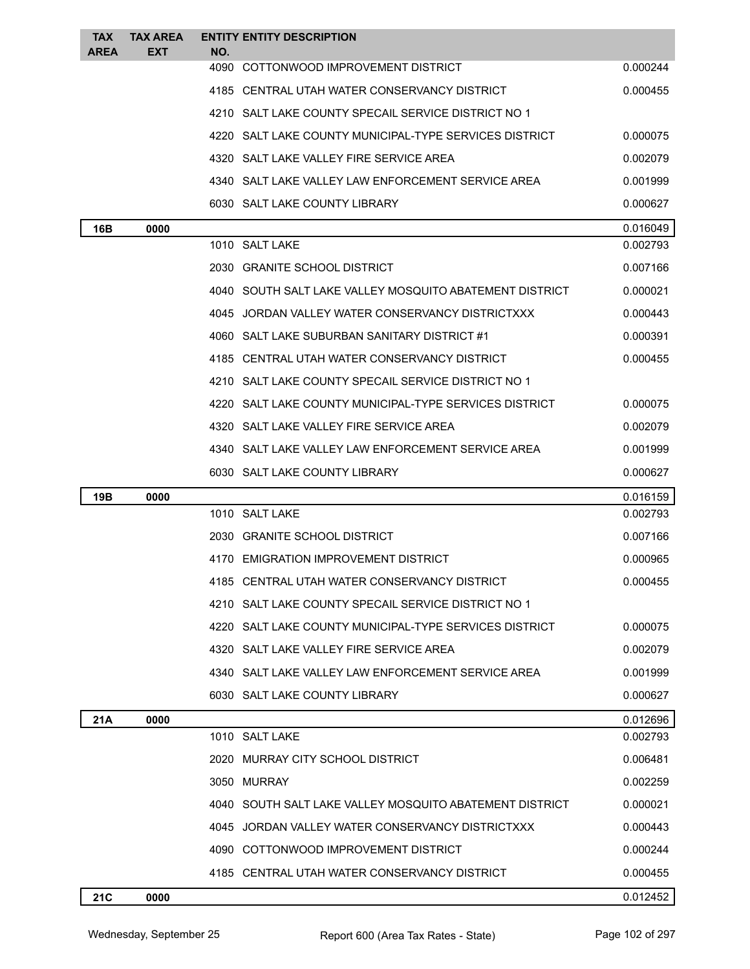| <b>TAX</b>  | <b>TAX AREA</b> | <b>ENTITY ENTITY DESCRIPTION</b>                        |          |
|-------------|-----------------|---------------------------------------------------------|----------|
| <b>AREA</b> | <b>EXT</b>      | NO.<br>4090 COTTONWOOD IMPROVEMENT DISTRICT             | 0.000244 |
|             |                 | 4185 CENTRAL UTAH WATER CONSERVANCY DISTRICT            | 0.000455 |
|             |                 | 4210 SALT LAKE COUNTY SPECAIL SERVICE DISTRICT NO 1     |          |
|             |                 | 4220 SALT LAKE COUNTY MUNICIPAL-TYPE SERVICES DISTRICT  | 0.000075 |
|             |                 | 4320 SALT LAKE VALLEY FIRE SERVICE AREA                 | 0.002079 |
|             |                 | 4340 SALT LAKE VALLEY LAW ENFORCEMENT SERVICE AREA      | 0.001999 |
|             |                 | 6030 SALT LAKE COUNTY LIBRARY                           | 0.000627 |
| 16B         | 0000            |                                                         | 0.016049 |
|             |                 | 1010 SALT LAKE                                          | 0.002793 |
|             |                 | 2030 GRANITE SCHOOL DISTRICT                            | 0.007166 |
|             |                 | 4040 SOUTH SALT LAKE VALLEY MOSQUITO ABATEMENT DISTRICT | 0.000021 |
|             |                 | 4045 JORDAN VALLEY WATER CONSERVANCY DISTRICTXXX        | 0.000443 |
|             |                 | 4060 SALT LAKE SUBURBAN SANITARY DISTRICT #1            | 0.000391 |
|             |                 | 4185 CENTRAL UTAH WATER CONSERVANCY DISTRICT            | 0.000455 |
|             |                 | 4210 SALT LAKE COUNTY SPECAIL SERVICE DISTRICT NO 1     |          |
|             |                 | 4220 SALT LAKE COUNTY MUNICIPAL-TYPE SERVICES DISTRICT  | 0.000075 |
|             |                 | 4320 SALT LAKE VALLEY FIRE SERVICE AREA                 | 0.002079 |
|             |                 | 4340 SALT LAKE VALLEY LAW ENFORCEMENT SERVICE AREA      | 0.001999 |
|             |                 | 6030 SALT LAKE COUNTY LIBRARY                           | 0.000627 |
| 19B         | 0000            |                                                         | 0.016159 |
|             |                 | 1010 SALT LAKE                                          | 0.002793 |
|             |                 | 2030 GRANITE SCHOOL DISTRICT                            | 0.007166 |
|             |                 | 4170 EMIGRATION IMPROVEMENT DISTRICT                    | 0.000965 |
|             |                 | 4185 CENTRAL UTAH WATER CONSERVANCY DISTRICT            | 0.000455 |
|             |                 | 4210 SALT LAKE COUNTY SPECAIL SERVICE DISTRICT NO 1     |          |
|             |                 | 4220 SALT LAKE COUNTY MUNICIPAL-TYPE SERVICES DISTRICT  | 0.000075 |
|             |                 | 4320 SALT LAKE VALLEY FIRE SERVICE AREA                 | 0.002079 |
|             |                 | 4340 SALT LAKE VALLEY LAW ENFORCEMENT SERVICE AREA      | 0.001999 |
|             |                 | 6030 SALT LAKE COUNTY LIBRARY                           | 0.000627 |
| 21A         | 0000            |                                                         | 0.012696 |
|             |                 | 1010 SALT LAKE                                          | 0.002793 |
|             |                 | 2020 MURRAY CITY SCHOOL DISTRICT                        | 0.006481 |
|             |                 | 3050 MURRAY                                             | 0.002259 |
|             |                 | 4040 SOUTH SALT LAKE VALLEY MOSQUITO ABATEMENT DISTRICT | 0.000021 |
|             |                 | 4045 JORDAN VALLEY WATER CONSERVANCY DISTRICTXXX        | 0.000443 |
|             |                 | 4090 COTTONWOOD IMPROVEMENT DISTRICT                    | 0.000244 |
|             |                 | 4185 CENTRAL UTAH WATER CONSERVANCY DISTRICT            | 0.000455 |
| <b>21C</b>  | 0000            |                                                         | 0.012452 |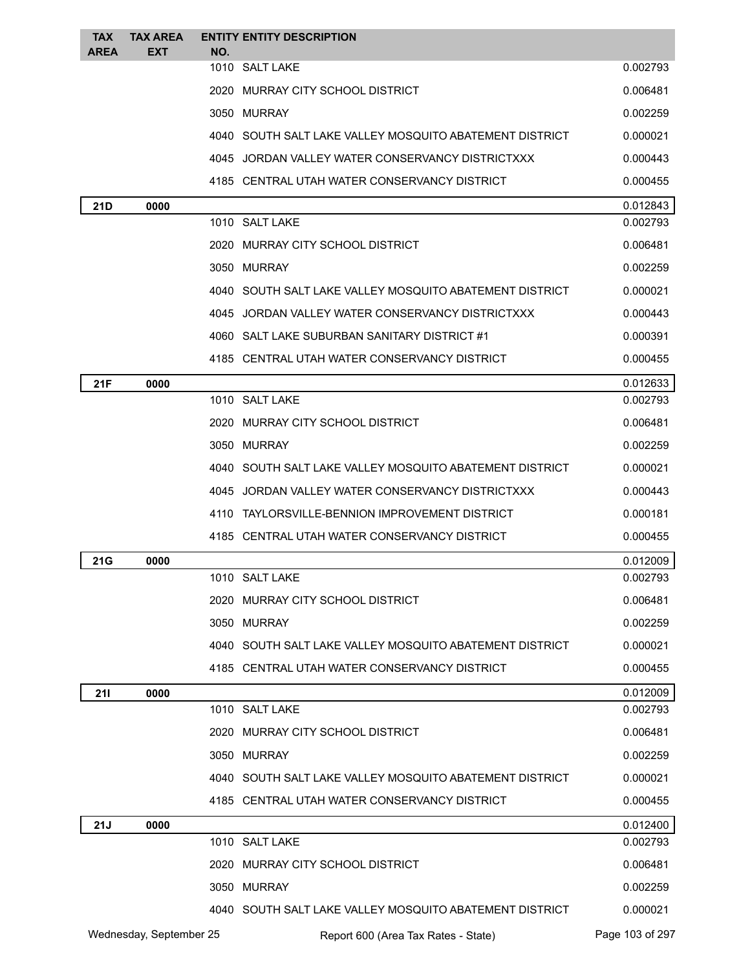| <b>TAX</b>  | <b>TAX AREA</b>         |     | <b>ENTITY ENTITY DESCRIPTION</b>                          |                 |
|-------------|-------------------------|-----|-----------------------------------------------------------|-----------------|
| <b>AREA</b> | <b>EXT</b>              | NO. | 1010 SALT LAKE                                            | 0.002793        |
|             |                         |     | 2020 MURRAY CITY SCHOOL DISTRICT                          | 0.006481        |
|             |                         |     | 3050 MURRAY                                               | 0.002259        |
|             |                         |     | 4040   SOUTH SALT LAKE VALLEY MOSQUITO ABATEMENT DISTRICT | 0.000021        |
|             |                         |     | 4045 JORDAN VALLEY WATER CONSERVANCY DISTRICTXXX          | 0.000443        |
|             |                         |     | 4185 CENTRAL UTAH WATER CONSERVANCY DISTRICT              | 0.000455        |
| 21D         | 0000                    |     |                                                           | 0.012843        |
|             |                         |     | 1010 SALT LAKE                                            | 0.002793        |
|             |                         |     | 2020 MURRAY CITY SCHOOL DISTRICT                          | 0.006481        |
|             |                         |     | 3050 MURRAY                                               | 0.002259        |
|             |                         |     | 4040   SOUTH SALT LAKE VALLEY MOSQUITO ABATEMENT DISTRICT | 0.000021        |
|             |                         |     | 4045 JORDAN VALLEY WATER CONSERVANCY DISTRICTXXX          | 0.000443        |
|             |                         |     | 4060 SALT LAKE SUBURBAN SANITARY DISTRICT #1              | 0.000391        |
|             |                         |     | 4185 CENTRAL UTAH WATER CONSERVANCY DISTRICT              | 0.000455        |
| 21F         | 0000                    |     |                                                           | 0.012633        |
|             |                         |     | 1010 SALT LAKE                                            | 0.002793        |
|             |                         |     | 2020 MURRAY CITY SCHOOL DISTRICT                          | 0.006481        |
|             |                         |     | 3050 MURRAY                                               | 0.002259        |
|             |                         |     | 4040 SOUTH SALT LAKE VALLEY MOSQUITO ABATEMENT DISTRICT   | 0.000021        |
|             |                         |     | 4045 JORDAN VALLEY WATER CONSERVANCY DISTRICTXXX          | 0.000443        |
|             |                         |     | 4110 TAYLORSVILLE-BENNION IMPROVEMENT DISTRICT            | 0.000181        |
|             |                         |     | 4185 CENTRAL UTAH WATER CONSERVANCY DISTRICT              | 0.000455        |
| 21G         | 0000                    |     |                                                           | 0.012009        |
|             |                         |     | 1010 SALT LAKE                                            | 0.002793        |
|             |                         |     | 2020 MURRAY CITY SCHOOL DISTRICT                          | 0.006481        |
|             |                         |     | 3050 MURRAY                                               | 0.002259        |
|             |                         |     | 4040 SOUTH SALT LAKE VALLEY MOSQUITO ABATEMENT DISTRICT   | 0.000021        |
|             |                         |     | 4185 CENTRAL UTAH WATER CONSERVANCY DISTRICT              | 0.000455        |
| 211         | 0000                    |     |                                                           | 0.012009        |
|             |                         |     | 1010 SALT LAKE                                            | 0.002793        |
|             |                         |     | 2020 MURRAY CITY SCHOOL DISTRICT                          | 0.006481        |
|             |                         |     | 3050 MURRAY                                               | 0.002259        |
|             |                         |     | 4040 SOUTH SALT LAKE VALLEY MOSQUITO ABATEMENT DISTRICT   | 0.000021        |
|             |                         |     | 4185 CENTRAL UTAH WATER CONSERVANCY DISTRICT              | 0.000455        |
| 21J         | 0000                    |     |                                                           | 0.012400        |
|             |                         |     | 1010 SALT LAKE                                            | 0.002793        |
|             |                         |     | 2020 MURRAY CITY SCHOOL DISTRICT                          | 0.006481        |
|             |                         |     | 3050 MURRAY                                               | 0.002259        |
|             |                         |     | 4040 SOUTH SALT LAKE VALLEY MOSQUITO ABATEMENT DISTRICT   | 0.000021        |
|             | Wednesday, September 25 |     | Report 600 (Area Tax Rates - State)                       | Page 103 of 297 |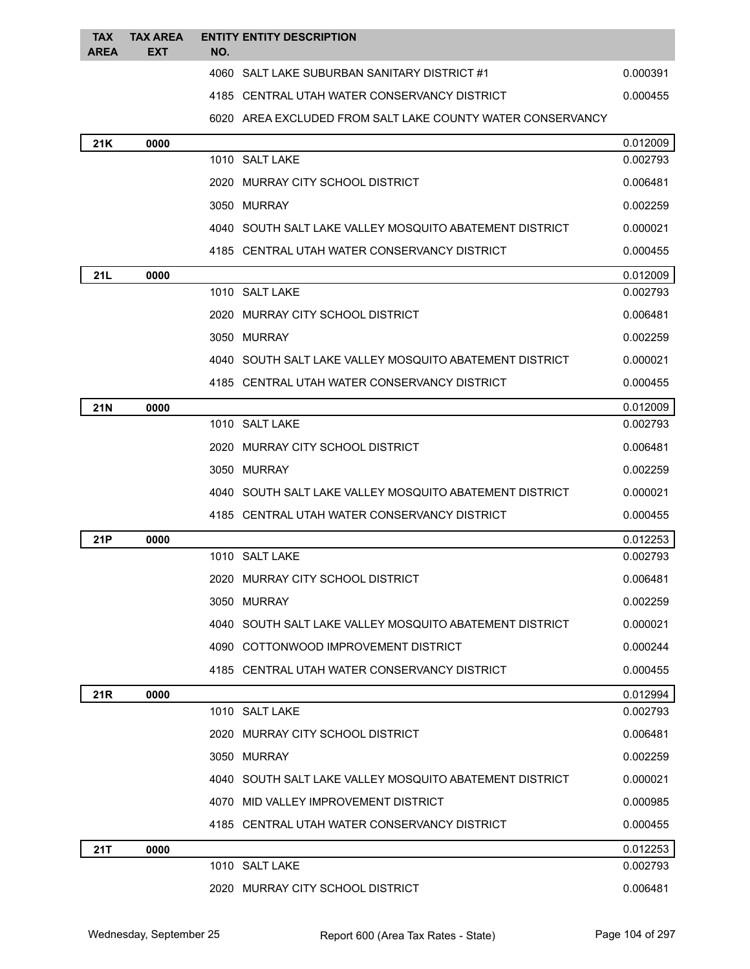| <b>TAX</b><br><b>AREA</b> | <b>TAX AREA</b><br><b>EXT</b> | NO. | <b>ENTITY ENTITY DESCRIPTION</b>                           |          |
|---------------------------|-------------------------------|-----|------------------------------------------------------------|----------|
|                           |                               |     | 4060 SALT LAKE SUBURBAN SANITARY DISTRICT #1               | 0.000391 |
|                           |                               |     | 4185 CENTRAL UTAH WATER CONSERVANCY DISTRICT               | 0.000455 |
|                           |                               |     | 6020 AREA EXCLUDED FROM SALT LAKE COUNTY WATER CONSERVANCY |          |
| 21K                       | 0000                          |     |                                                            | 0.012009 |
|                           |                               |     | 1010 SALT LAKE                                             | 0.002793 |
|                           |                               |     | 2020 MURRAY CITY SCHOOL DISTRICT                           | 0.006481 |
|                           |                               |     | 3050 MURRAY                                                | 0.002259 |
|                           |                               |     | 4040 SOUTH SALT LAKE VALLEY MOSQUITO ABATEMENT DISTRICT    | 0.000021 |
|                           |                               |     | 4185 CENTRAL UTAH WATER CONSERVANCY DISTRICT               | 0.000455 |
| 21L                       | 0000                          |     |                                                            | 0.012009 |
|                           |                               |     | 1010 SALT LAKE                                             | 0.002793 |
|                           |                               |     | 2020 MURRAY CITY SCHOOL DISTRICT                           | 0.006481 |
|                           |                               |     | 3050 MURRAY                                                | 0.002259 |
|                           |                               |     | 4040   SOUTH SALT LAKE VALLEY MOSQUITO ABATEMENT DISTRICT  | 0.000021 |
|                           |                               |     | 4185 CENTRAL UTAH WATER CONSERVANCY DISTRICT               | 0.000455 |
| <b>21N</b>                | 0000                          |     |                                                            | 0.012009 |
|                           |                               |     | 1010 SALT LAKE                                             | 0.002793 |
|                           |                               |     | 2020 MURRAY CITY SCHOOL DISTRICT                           | 0.006481 |
|                           |                               |     | 3050 MURRAY                                                | 0.002259 |
|                           |                               |     | 4040 SOUTH SALT LAKE VALLEY MOSQUITO ABATEMENT DISTRICT    | 0.000021 |
|                           |                               |     | 4185 CENTRAL UTAH WATER CONSERVANCY DISTRICT               | 0.000455 |
| 21P                       | 0000                          |     |                                                            | 0.012253 |
|                           |                               |     | 1010 SALT LAKE                                             | 0.002793 |
|                           |                               |     | 2020 MURRAY CITY SCHOOL DISTRICT                           | 0.006481 |
|                           |                               |     | 3050 MURRAY                                                | 0.002259 |
|                           |                               |     | 4040 SOUTH SALT LAKE VALLEY MOSQUITO ABATEMENT DISTRICT    | 0.000021 |
|                           |                               |     | 4090 COTTONWOOD IMPROVEMENT DISTRICT                       | 0.000244 |
|                           |                               |     | 4185 CENTRAL UTAH WATER CONSERVANCY DISTRICT               | 0.000455 |
| 21R                       | 0000                          |     |                                                            | 0.012994 |
|                           |                               |     | 1010 SALT LAKE                                             | 0.002793 |
|                           |                               |     | 2020 MURRAY CITY SCHOOL DISTRICT                           | 0.006481 |
|                           |                               |     | 3050 MURRAY                                                | 0.002259 |
|                           |                               |     | 4040 SOUTH SALT LAKE VALLEY MOSQUITO ABATEMENT DISTRICT    | 0.000021 |
|                           |                               |     | 4070 MID VALLEY IMPROVEMENT DISTRICT                       | 0.000985 |
|                           |                               |     | 4185 CENTRAL UTAH WATER CONSERVANCY DISTRICT               | 0.000455 |
| 21T                       | 0000                          |     |                                                            | 0.012253 |
|                           |                               |     | 1010 SALT LAKE                                             | 0.002793 |
|                           |                               |     | 2020 MURRAY CITY SCHOOL DISTRICT                           | 0.006481 |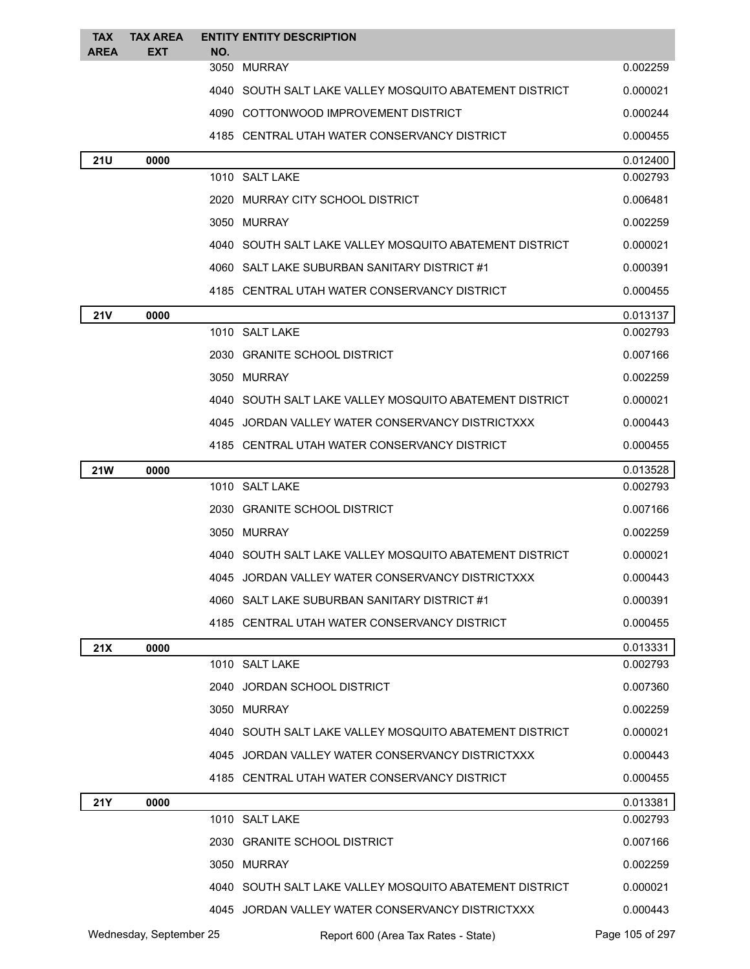| <b>TAX</b>  | <b>TAX AREA</b>         |     | <b>ENTITY ENTITY DESCRIPTION</b>                          |                      |
|-------------|-------------------------|-----|-----------------------------------------------------------|----------------------|
| <b>AREA</b> | EXT                     | NO. | 3050 MURRAY                                               | 0.002259             |
|             |                         |     | 4040   SOUTH SALT LAKE VALLEY MOSQUITO ABATEMENT DISTRICT | 0.000021             |
|             |                         |     | 4090 COTTONWOOD IMPROVEMENT DISTRICT                      | 0.000244             |
|             |                         |     | 4185 CENTRAL UTAH WATER CONSERVANCY DISTRICT              | 0.000455             |
|             |                         |     |                                                           |                      |
| <b>21U</b>  | 0000                    |     | 1010 SALT LAKE                                            | 0.012400<br>0.002793 |
|             |                         |     | 2020 MURRAY CITY SCHOOL DISTRICT                          | 0.006481             |
|             |                         |     | 3050 MURRAY                                               | 0.002259             |
|             |                         |     | 4040 SOUTH SALT LAKE VALLEY MOSQUITO ABATEMENT DISTRICT   | 0.000021             |
|             |                         |     | 4060 SALT LAKE SUBURBAN SANITARY DISTRICT #1              | 0.000391             |
|             |                         |     | 4185 CENTRAL UTAH WATER CONSERVANCY DISTRICT              | 0.000455             |
| <b>21V</b>  | 0000                    |     |                                                           | 0.013137             |
|             |                         |     | 1010 SALT LAKE                                            | 0.002793             |
|             |                         |     | 2030 GRANITE SCHOOL DISTRICT                              | 0.007166             |
|             |                         |     | 3050 MURRAY                                               | 0.002259             |
|             |                         |     | 4040 SOUTH SALT LAKE VALLEY MOSQUITO ABATEMENT DISTRICT   | 0.000021             |
|             |                         |     | 4045 JORDAN VALLEY WATER CONSERVANCY DISTRICTXXX          | 0.000443             |
|             |                         |     | 4185 CENTRAL UTAH WATER CONSERVANCY DISTRICT              | 0.000455             |
| <b>21W</b>  | 0000                    |     |                                                           | 0.013528             |
|             |                         |     | 1010 SALT LAKE                                            | 0.002793             |
|             |                         |     | 2030 GRANITE SCHOOL DISTRICT                              | 0.007166             |
|             |                         |     | 3050 MURRAY                                               | 0.002259             |
|             |                         |     | 4040 SOUTH SALT LAKE VALLEY MOSQUITO ABATEMENT DISTRICT   | 0.000021             |
|             |                         |     | 4045 JORDAN VALLEY WATER CONSERVANCY DISTRICTXXX          | 0.000443             |
|             |                         |     | 4060 SALT LAKE SUBURBAN SANITARY DISTRICT #1              | 0.000391             |
|             |                         |     | 4185 CENTRAL UTAH WATER CONSERVANCY DISTRICT              | 0.000455             |
| 21X         | 0000                    |     |                                                           | 0.013331             |
|             |                         |     | 1010 SALT LAKE                                            | 0.002793             |
|             |                         |     | 2040 JORDAN SCHOOL DISTRICT                               | 0.007360             |
|             |                         |     | 3050 MURRAY                                               | 0.002259             |
|             |                         |     | 4040 SOUTH SALT LAKE VALLEY MOSQUITO ABATEMENT DISTRICT   | 0.000021             |
|             |                         |     | 4045 JORDAN VALLEY WATER CONSERVANCY DISTRICTXXX          | 0.000443             |
|             |                         |     | 4185 CENTRAL UTAH WATER CONSERVANCY DISTRICT              | 0.000455             |
| <b>21Y</b>  | 0000                    |     |                                                           | 0.013381             |
|             |                         |     | 1010 SALT LAKE                                            | 0.002793             |
|             |                         |     | 2030 GRANITE SCHOOL DISTRICT                              | 0.007166             |
|             |                         |     | 3050 MURRAY                                               | 0.002259             |
|             |                         |     | 4040 SOUTH SALT LAKE VALLEY MOSQUITO ABATEMENT DISTRICT   | 0.000021             |
|             |                         |     | 4045 JORDAN VALLEY WATER CONSERVANCY DISTRICTXXX          | 0.000443             |
|             | Wednesday, September 25 |     | Report 600 (Area Tax Rates - State)                       | Page 105 of 297      |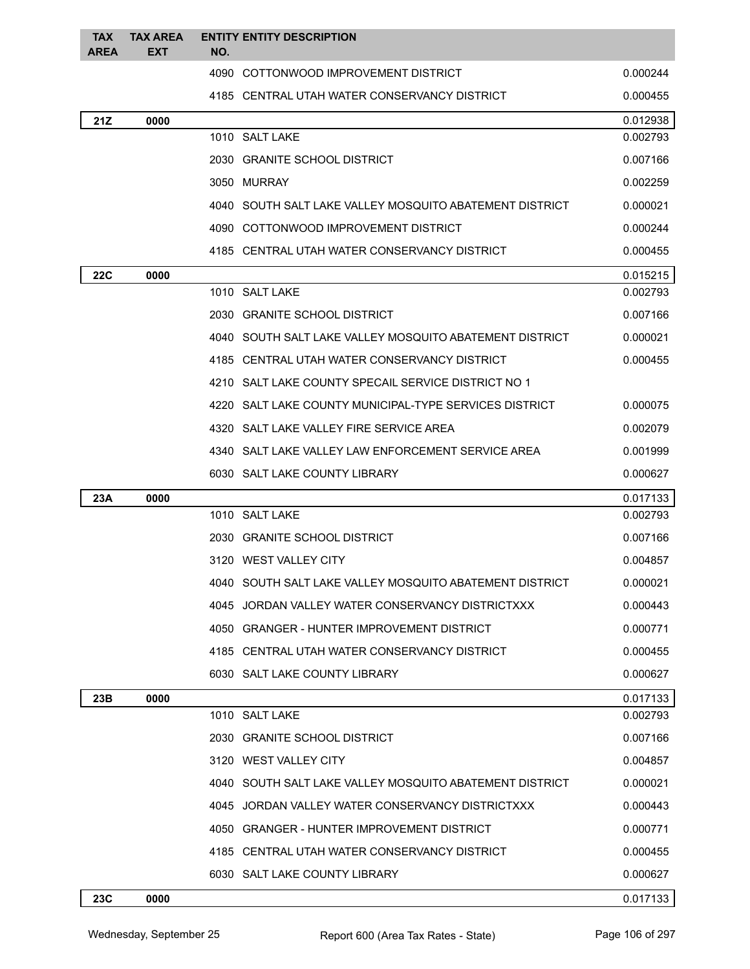| <b>TAX</b><br><b>AREA</b> | <b>TAX AREA</b><br><b>EXT</b> | <b>ENTITY ENTITY DESCRIPTION</b><br>NO.                 |          |
|---------------------------|-------------------------------|---------------------------------------------------------|----------|
|                           |                               | 4090 COTTONWOOD IMPROVEMENT DISTRICT                    | 0.000244 |
|                           |                               | 4185 CENTRAL UTAH WATER CONSERVANCY DISTRICT            | 0.000455 |
| 21Z                       | 0000                          |                                                         | 0.012938 |
|                           |                               | 1010 SALT LAKE                                          | 0.002793 |
|                           |                               | 2030 GRANITE SCHOOL DISTRICT                            | 0.007166 |
|                           |                               | 3050 MURRAY                                             | 0.002259 |
|                           |                               | 4040 SOUTH SALT LAKE VALLEY MOSQUITO ABATEMENT DISTRICT | 0.000021 |
|                           |                               | 4090 COTTONWOOD IMPROVEMENT DISTRICT                    | 0.000244 |
|                           |                               | 4185 CENTRAL UTAH WATER CONSERVANCY DISTRICT            | 0.000455 |
| <b>22C</b>                | 0000                          |                                                         | 0.015215 |
|                           |                               | 1010 SALT LAKE                                          | 0.002793 |
|                           |                               | 2030 GRANITE SCHOOL DISTRICT                            | 0.007166 |
|                           |                               | 4040 SOUTH SALT LAKE VALLEY MOSQUITO ABATEMENT DISTRICT | 0.000021 |
|                           |                               | 4185 CENTRAL UTAH WATER CONSERVANCY DISTRICT            | 0.000455 |
|                           |                               | 4210 SALT LAKE COUNTY SPECAIL SERVICE DISTRICT NO 1     |          |
|                           |                               | 4220 SALT LAKE COUNTY MUNICIPAL-TYPE SERVICES DISTRICT  | 0.000075 |
|                           |                               | 4320 SALT LAKE VALLEY FIRE SERVICE AREA                 | 0.002079 |
|                           |                               | 4340 SALT LAKE VALLEY LAW ENFORCEMENT SERVICE AREA      | 0.001999 |
|                           |                               | 6030 SALT LAKE COUNTY LIBRARY                           | 0.000627 |
| 23A                       | 0000                          |                                                         | 0.017133 |
|                           |                               | 1010 SALT LAKE                                          | 0.002793 |
|                           |                               | 2030 GRANITE SCHOOL DISTRICT                            | 0.007166 |
|                           |                               | 3120 WEST VALLEY CITY                                   | 0.004857 |
|                           |                               | 4040 SOUTH SALT LAKE VALLEY MOSQUITO ABATEMENT DISTRICT | 0.000021 |
|                           |                               | 4045 JORDAN VALLEY WATER CONSERVANCY DISTRICTXXX        | 0.000443 |
|                           |                               | 4050 GRANGER - HUNTER IMPROVEMENT DISTRICT              | 0.000771 |
|                           |                               | 4185 CENTRAL UTAH WATER CONSERVANCY DISTRICT            | 0.000455 |
|                           |                               | 6030 SALT LAKE COUNTY LIBRARY                           | 0.000627 |
| 23B                       | 0000                          |                                                         | 0.017133 |
|                           |                               | 1010 SALT LAKE                                          | 0.002793 |
|                           |                               | 2030 GRANITE SCHOOL DISTRICT                            | 0.007166 |
|                           |                               | 3120 WEST VALLEY CITY                                   | 0.004857 |
|                           |                               | 4040 SOUTH SALT LAKE VALLEY MOSQUITO ABATEMENT DISTRICT | 0.000021 |
|                           |                               | 4045 JORDAN VALLEY WATER CONSERVANCY DISTRICTXXX        | 0.000443 |
|                           |                               | 4050 GRANGER - HUNTER IMPROVEMENT DISTRICT              | 0.000771 |
|                           |                               | 4185 CENTRAL UTAH WATER CONSERVANCY DISTRICT            | 0.000455 |
|                           |                               | 6030 SALT LAKE COUNTY LIBRARY                           | 0.000627 |
| 23C                       | 0000                          |                                                         | 0.017133 |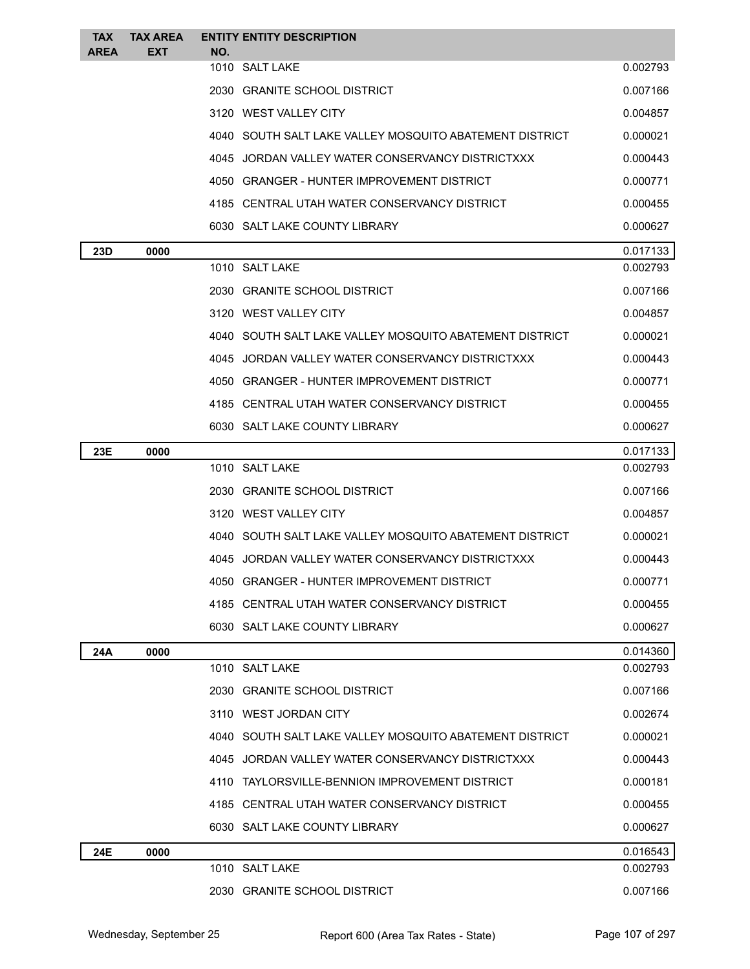| <b>TAX</b><br><b>AREA</b> | <b>TAX AREA</b><br><b>EXT</b> | <b>ENTITY ENTITY DESCRIPTION</b>                        |          |
|---------------------------|-------------------------------|---------------------------------------------------------|----------|
|                           |                               | NO.<br>1010 SALT LAKE                                   | 0.002793 |
|                           |                               | 2030 GRANITE SCHOOL DISTRICT                            | 0.007166 |
|                           |                               | 3120 WEST VALLEY CITY                                   | 0.004857 |
|                           |                               | 4040 SOUTH SALT LAKE VALLEY MOSQUITO ABATEMENT DISTRICT | 0.000021 |
|                           |                               | 4045 JORDAN VALLEY WATER CONSERVANCY DISTRICTXXX        | 0.000443 |
|                           |                               | 4050 GRANGER - HUNTER IMPROVEMENT DISTRICT              | 0.000771 |
|                           |                               | 4185 CENTRAL UTAH WATER CONSERVANCY DISTRICT            | 0.000455 |
|                           |                               | 6030 SALT LAKE COUNTY LIBRARY                           | 0.000627 |
| 23D                       | 0000                          |                                                         | 0.017133 |
|                           |                               | 1010 SALT LAKE                                          | 0.002793 |
|                           |                               | 2030 GRANITE SCHOOL DISTRICT                            | 0.007166 |
|                           |                               | 3120 WEST VALLEY CITY                                   | 0.004857 |
|                           |                               | 4040 SOUTH SALT LAKE VALLEY MOSQUITO ABATEMENT DISTRICT | 0.000021 |
|                           |                               | 4045 JORDAN VALLEY WATER CONSERVANCY DISTRICTXXX        | 0.000443 |
|                           |                               | 4050 GRANGER - HUNTER IMPROVEMENT DISTRICT              | 0.000771 |
|                           |                               | 4185 CENTRAL UTAH WATER CONSERVANCY DISTRICT            | 0.000455 |
|                           |                               | 6030 SALT LAKE COUNTY LIBRARY                           | 0.000627 |
| 23E                       | 0000                          |                                                         | 0.017133 |
|                           |                               | 1010 SALT LAKE                                          | 0.002793 |
|                           |                               | 2030 GRANITE SCHOOL DISTRICT                            | 0.007166 |
|                           |                               | 3120 WEST VALLEY CITY                                   | 0.004857 |
|                           |                               | 4040 SOUTH SALT LAKE VALLEY MOSQUITO ABATEMENT DISTRICT | 0.000021 |
|                           |                               | 4045 JORDAN VALLEY WATER CONSERVANCY DISTRICTXXX        | 0.000443 |
|                           |                               | 4050 GRANGER - HUNTER IMPROVEMENT DISTRICT              | 0.000771 |
|                           |                               | 4185 CENTRAL UTAH WATER CONSERVANCY DISTRICT            | 0.000455 |
|                           |                               | 6030 SALT LAKE COUNTY LIBRARY                           | 0.000627 |
| 24A                       | 0000                          |                                                         | 0.014360 |
|                           |                               | 1010 SALT LAKE                                          | 0.002793 |
|                           |                               | 2030 GRANITE SCHOOL DISTRICT                            | 0.007166 |
|                           |                               | 3110 WEST JORDAN CITY                                   | 0.002674 |
|                           |                               | 4040 SOUTH SALT LAKE VALLEY MOSQUITO ABATEMENT DISTRICT | 0.000021 |
|                           |                               | 4045 JORDAN VALLEY WATER CONSERVANCY DISTRICTXXX        | 0.000443 |
|                           |                               | 4110 TAYLORSVILLE-BENNION IMPROVEMENT DISTRICT          | 0.000181 |
|                           |                               | 4185 CENTRAL UTAH WATER CONSERVANCY DISTRICT            | 0.000455 |
|                           |                               | 6030 SALT LAKE COUNTY LIBRARY                           | 0.000627 |
| <b>24E</b>                | 0000                          |                                                         | 0.016543 |
|                           |                               | 1010 SALT LAKE                                          | 0.002793 |
|                           |                               | 2030 GRANITE SCHOOL DISTRICT                            | 0.007166 |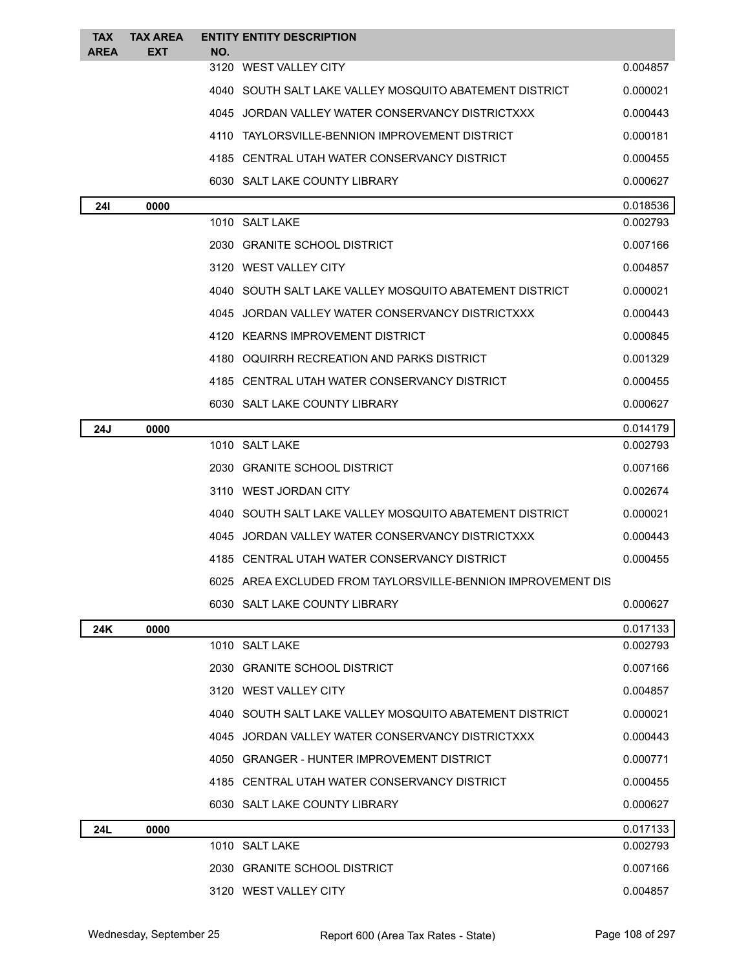| <b>TAX</b><br><b>AREA</b> | <b>TAX AREA</b><br><b>EXT</b> | <b>ENTITY ENTITY DESCRIPTION</b><br>NO.                      |          |
|---------------------------|-------------------------------|--------------------------------------------------------------|----------|
|                           |                               | 3120 WEST VALLEY CITY                                        | 0.004857 |
|                           |                               | 4040 SOUTH SALT LAKE VALLEY MOSQUITO ABATEMENT DISTRICT      | 0.000021 |
|                           |                               | 4045 JORDAN VALLEY WATER CONSERVANCY DISTRICTXXX             | 0.000443 |
|                           |                               | 4110 TAYLORSVILLE-BENNION IMPROVEMENT DISTRICT               | 0.000181 |
|                           |                               | 4185 CENTRAL UTAH WATER CONSERVANCY DISTRICT                 | 0.000455 |
|                           |                               | 6030 SALT LAKE COUNTY LIBRARY                                | 0.000627 |
| <b>241</b>                | 0000                          |                                                              | 0.018536 |
|                           |                               | 1010 SALT LAKE                                               | 0.002793 |
|                           |                               | 2030 GRANITE SCHOOL DISTRICT                                 | 0.007166 |
|                           |                               | 3120 WEST VALLEY CITY                                        | 0.004857 |
|                           |                               | 4040 SOUTH SALT LAKE VALLEY MOSQUITO ABATEMENT DISTRICT      | 0.000021 |
|                           |                               | 4045 JORDAN VALLEY WATER CONSERVANCY DISTRICTXXX             | 0.000443 |
|                           |                               | 4120 KEARNS IMPROVEMENT DISTRICT                             | 0.000845 |
|                           |                               | 4180 OQUIRRH RECREATION AND PARKS DISTRICT                   | 0.001329 |
|                           |                               | 4185 CENTRAL UTAH WATER CONSERVANCY DISTRICT                 | 0.000455 |
|                           |                               | 6030 SALT LAKE COUNTY LIBRARY                                | 0.000627 |
| 24J                       | 0000                          |                                                              | 0.014179 |
|                           |                               | 1010 SALT LAKE                                               | 0.002793 |
|                           |                               | 2030 GRANITE SCHOOL DISTRICT                                 | 0.007166 |
|                           |                               | 3110 WEST JORDAN CITY                                        | 0.002674 |
|                           |                               | 4040 SOUTH SALT LAKE VALLEY MOSQUITO ABATEMENT DISTRICT      | 0.000021 |
|                           |                               | 4045 JORDAN VALLEY WATER CONSERVANCY DISTRICTXXX             | 0.000443 |
|                           |                               | 4185 CENTRAL UTAH WATER CONSERVANCY DISTRICT                 | 0.000455 |
|                           |                               | 6025 AREA EXCLUDED FROM TAYLORSVILLE-BENNION IMPROVEMENT DIS |          |
|                           |                               | 6030 SALT LAKE COUNTY LIBRARY                                | 0.000627 |
| 24K                       | 0000                          |                                                              | 0.017133 |
|                           |                               | 1010 SALT LAKE                                               | 0.002793 |
|                           |                               | 2030 GRANITE SCHOOL DISTRICT                                 | 0.007166 |
|                           |                               | 3120 WEST VALLEY CITY                                        | 0.004857 |
|                           |                               | 4040 SOUTH SALT LAKE VALLEY MOSQUITO ABATEMENT DISTRICT      | 0.000021 |
|                           |                               | 4045 JORDAN VALLEY WATER CONSERVANCY DISTRICTXXX             | 0.000443 |
|                           |                               | 4050 GRANGER - HUNTER IMPROVEMENT DISTRICT                   | 0.000771 |
|                           |                               | 4185 CENTRAL UTAH WATER CONSERVANCY DISTRICT                 | 0.000455 |
|                           |                               | 6030 SALT LAKE COUNTY LIBRARY                                | 0.000627 |
| 24L                       | 0000                          |                                                              | 0.017133 |
|                           |                               | 1010 SALT LAKE                                               | 0.002793 |
|                           |                               | 2030 GRANITE SCHOOL DISTRICT                                 | 0.007166 |
|                           |                               | 3120 WEST VALLEY CITY                                        | 0.004857 |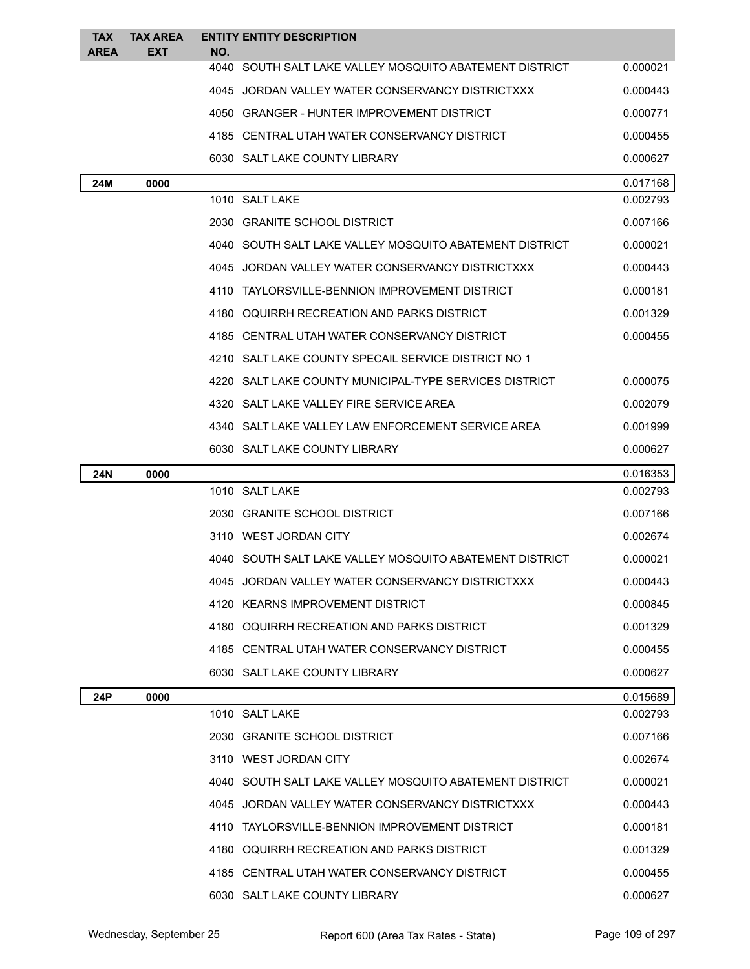| <b>TAX</b>  | <b>TAX AREA</b> | <b>ENTITY ENTITY DESCRIPTION</b>                               |          |
|-------------|-----------------|----------------------------------------------------------------|----------|
| <b>AREA</b> | <b>EXT</b>      | NO.<br>4040 SOUTH SALT LAKE VALLEY MOSQUITO ABATEMENT DISTRICT | 0.000021 |
|             |                 | 4045 JORDAN VALLEY WATER CONSERVANCY DISTRICTXXX               | 0.000443 |
|             |                 | 4050 GRANGER - HUNTER IMPROVEMENT DISTRICT                     | 0.000771 |
|             |                 | 4185 CENTRAL UTAH WATER CONSERVANCY DISTRICT                   | 0.000455 |
|             |                 | 6030 SALT LAKE COUNTY LIBRARY                                  | 0.000627 |
| 24M         | 0000            |                                                                | 0.017168 |
|             |                 | 1010 SALT LAKE                                                 | 0.002793 |
|             |                 | 2030 GRANITE SCHOOL DISTRICT                                   | 0.007166 |
|             |                 | 4040 SOUTH SALT LAKE VALLEY MOSQUITO ABATEMENT DISTRICT        | 0.000021 |
|             |                 | 4045 JORDAN VALLEY WATER CONSERVANCY DISTRICTXXX               | 0.000443 |
|             |                 | 4110 TAYLORSVILLE-BENNION IMPROVEMENT DISTRICT                 | 0.000181 |
|             |                 | 4180 OQUIRRH RECREATION AND PARKS DISTRICT                     | 0.001329 |
|             |                 | 4185 CENTRAL UTAH WATER CONSERVANCY DISTRICT                   | 0.000455 |
|             |                 | 4210 SALT LAKE COUNTY SPECAIL SERVICE DISTRICT NO 1            |          |
|             |                 | 4220 SALT LAKE COUNTY MUNICIPAL-TYPE SERVICES DISTRICT         | 0.000075 |
|             |                 | 4320 SALT LAKE VALLEY FIRE SERVICE AREA                        | 0.002079 |
|             |                 | 4340 SALT LAKE VALLEY LAW ENFORCEMENT SERVICE AREA             | 0.001999 |
|             |                 | 6030 SALT LAKE COUNTY LIBRARY                                  | 0.000627 |
| 24N         | 0000            |                                                                | 0.016353 |
|             |                 | 1010 SALT LAKE                                                 | 0.002793 |
|             |                 | 2030 GRANITE SCHOOL DISTRICT                                   | 0.007166 |
|             |                 | 3110 WEST JORDAN CITY                                          | 0.002674 |
|             |                 | 4040 SOUTH SALT LAKE VALLEY MOSQUITO ABATEMENT DISTRICT        | 0.000021 |
|             |                 | 4045 JORDAN VALLEY WATER CONSERVANCY DISTRICTXXX               | 0.000443 |
|             |                 | 4120 KEARNS IMPROVEMENT DISTRICT                               | 0.000845 |
|             |                 | 4180 OQUIRRH RECREATION AND PARKS DISTRICT                     | 0.001329 |
|             |                 | 4185 CENTRAL UTAH WATER CONSERVANCY DISTRICT                   | 0.000455 |
|             |                 | 6030 SALT LAKE COUNTY LIBRARY                                  | 0.000627 |
| <b>24P</b>  | 0000            |                                                                | 0.015689 |
|             |                 | 1010 SALT LAKE                                                 | 0.002793 |
|             |                 | 2030 GRANITE SCHOOL DISTRICT                                   | 0.007166 |
|             |                 | 3110 WEST JORDAN CITY                                          | 0.002674 |
|             |                 | 4040 SOUTH SALT LAKE VALLEY MOSQUITO ABATEMENT DISTRICT        | 0.000021 |
|             |                 | 4045 JORDAN VALLEY WATER CONSERVANCY DISTRICTXXX               | 0.000443 |
|             |                 | 4110 TAYLORSVILLE-BENNION IMPROVEMENT DISTRICT                 | 0.000181 |
|             |                 | 4180 OQUIRRH RECREATION AND PARKS DISTRICT                     | 0.001329 |
|             |                 | 4185 CENTRAL UTAH WATER CONSERVANCY DISTRICT                   | 0.000455 |
|             |                 | 6030 SALT LAKE COUNTY LIBRARY                                  | 0.000627 |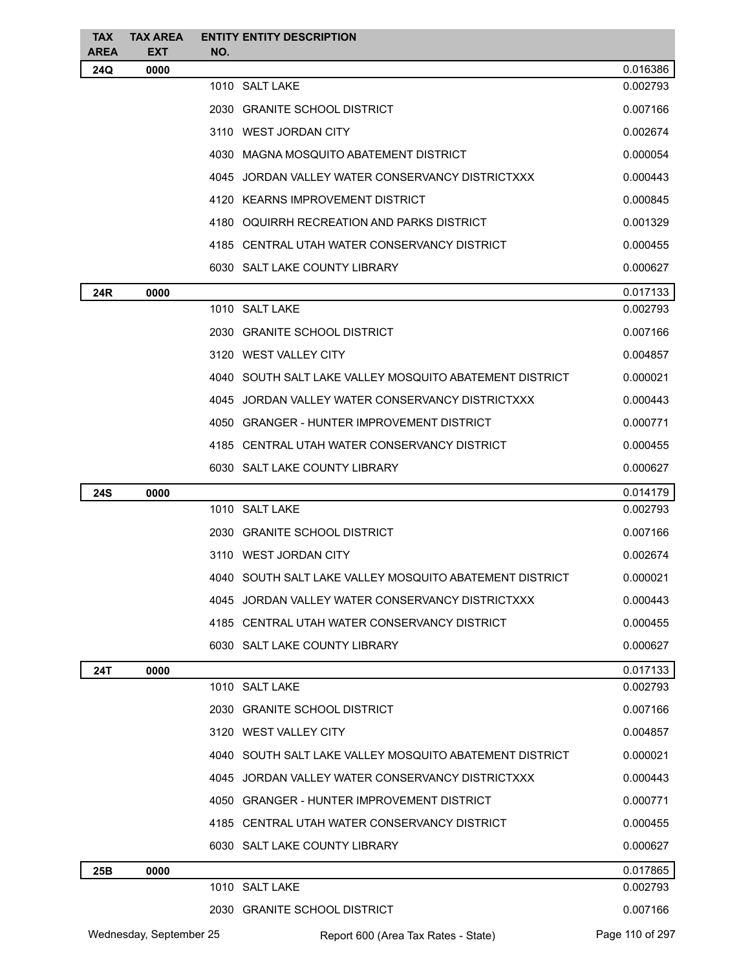| <b>TAX</b><br>AREA | <b>TAX AREA</b><br><b>EXT</b> | NO. | <b>ENTITY ENTITY DESCRIPTION</b>                        |                 |
|--------------------|-------------------------------|-----|---------------------------------------------------------|-----------------|
| 24Q                | 0000                          |     |                                                         | 0.016386        |
|                    |                               |     | 1010 SALT LAKE                                          | 0.002793        |
|                    |                               |     | 2030 GRANITE SCHOOL DISTRICT                            | 0.007166        |
|                    |                               |     | 3110 WEST JORDAN CITY                                   | 0.002674        |
|                    |                               |     | 4030 MAGNA MOSQUITO ABATEMENT DISTRICT                  | 0.000054        |
|                    |                               |     | 4045 JORDAN VALLEY WATER CONSERVANCY DISTRICTXXX        | 0.000443        |
|                    |                               |     | 4120 KEARNS IMPROVEMENT DISTRICT                        | 0.000845        |
|                    |                               |     | 4180 OQUIRRH RECREATION AND PARKS DISTRICT              | 0.001329        |
|                    |                               |     | 4185 CENTRAL UTAH WATER CONSERVANCY DISTRICT            | 0.000455        |
|                    |                               |     | 6030 SALT LAKE COUNTY LIBRARY                           | 0.000627        |
| 24R                | 0000                          |     |                                                         | 0.017133        |
|                    |                               |     | 1010 SALT LAKE                                          | 0.002793        |
|                    |                               |     | 2030 GRANITE SCHOOL DISTRICT                            | 0.007166        |
|                    |                               |     | 3120 WEST VALLEY CITY                                   | 0.004857        |
|                    |                               |     | 4040 SOUTH SALT LAKE VALLEY MOSQUITO ABATEMENT DISTRICT | 0.000021        |
|                    |                               |     | 4045 JORDAN VALLEY WATER CONSERVANCY DISTRICTXXX        | 0.000443        |
|                    |                               |     | 4050 GRANGER - HUNTER IMPROVEMENT DISTRICT              | 0.000771        |
|                    |                               |     | 4185 CENTRAL UTAH WATER CONSERVANCY DISTRICT            | 0.000455        |
|                    |                               |     | 6030 SALT LAKE COUNTY LIBRARY                           | 0.000627        |
| 24S                | 0000                          |     |                                                         | 0.014179        |
|                    |                               |     | 1010 SALT LAKE                                          | 0.002793        |
|                    |                               |     | 2030 GRANITE SCHOOL DISTRICT                            | 0.007166        |
|                    |                               |     | 3110 WEST JORDAN CITY                                   | 0.002674        |
|                    |                               |     | 4040 SOUTH SALT LAKE VALLEY MOSQUITO ABATEMENT DISTRICT | 0.000021        |
|                    |                               |     | 4045 JORDAN VALLEY WATER CONSERVANCY DISTRICTXXX        | 0.000443        |
|                    |                               |     | 4185 CENTRAL UTAH WATER CONSERVANCY DISTRICT            | 0.000455        |
|                    |                               |     | 6030 SALT LAKE COUNTY LIBRARY                           | 0.000627        |
| 24T                | 0000                          |     |                                                         | 0.017133        |
|                    |                               |     | 1010 SALT LAKE                                          | 0.002793        |
|                    |                               |     | 2030 GRANITE SCHOOL DISTRICT                            | 0.007166        |
|                    |                               |     | 3120 WEST VALLEY CITY                                   | 0.004857        |
|                    |                               |     | 4040 SOUTH SALT LAKE VALLEY MOSQUITO ABATEMENT DISTRICT | 0.000021        |
|                    |                               |     | 4045 JORDAN VALLEY WATER CONSERVANCY DISTRICTXXX        | 0.000443        |
|                    |                               |     | 4050 GRANGER - HUNTER IMPROVEMENT DISTRICT              | 0.000771        |
|                    |                               |     | 4185 CENTRAL UTAH WATER CONSERVANCY DISTRICT            | 0.000455        |
|                    |                               |     | 6030 SALT LAKE COUNTY LIBRARY                           | 0.000627        |
| 25B                | 0000                          |     |                                                         | 0.017865        |
|                    |                               |     | 1010 SALT LAKE                                          | 0.002793        |
|                    |                               |     | 2030 GRANITE SCHOOL DISTRICT                            | 0.007166        |
|                    | Wednesday, September 25       |     | Report 600 (Area Tax Rates - State)                     | Page 110 of 297 |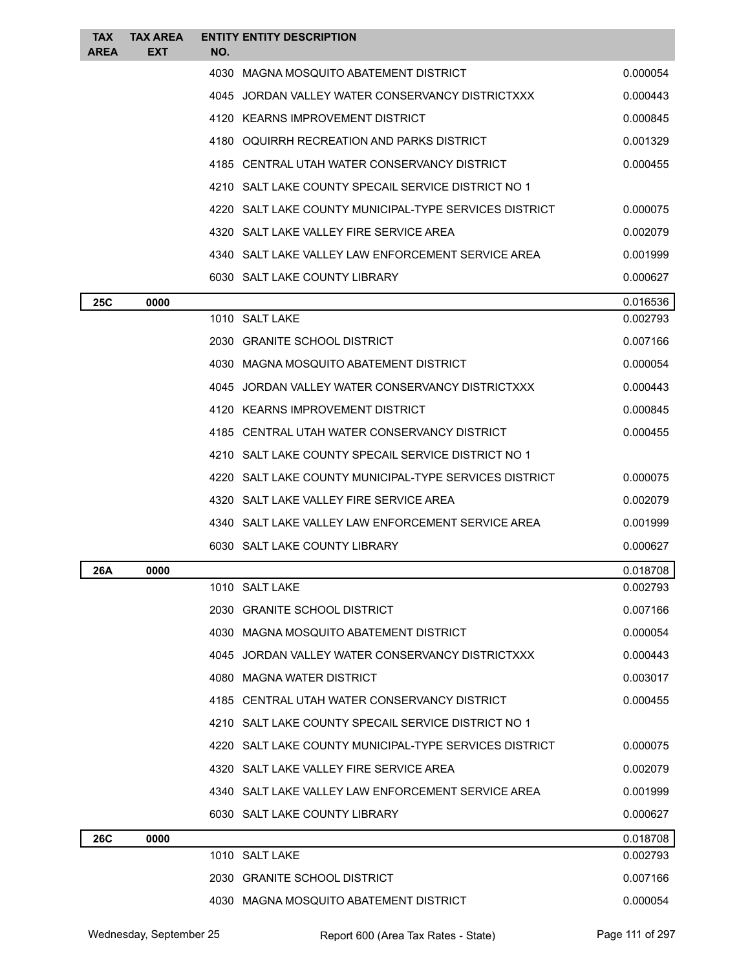| <b>TAX</b><br><b>AREA</b> | <b>TAX AREA</b><br><b>EXT</b> | <b>ENTITY ENTITY DESCRIPTION</b><br>NO.                |          |
|---------------------------|-------------------------------|--------------------------------------------------------|----------|
|                           |                               | 4030 MAGNA MOSQUITO ABATEMENT DISTRICT                 | 0.000054 |
|                           |                               | 4045 JORDAN VALLEY WATER CONSERVANCY DISTRICTXXX       | 0.000443 |
|                           |                               | 4120 KEARNS IMPROVEMENT DISTRICT                       | 0.000845 |
|                           |                               | 4180 OQUIRRH RECREATION AND PARKS DISTRICT             | 0.001329 |
|                           |                               | 4185 CENTRAL UTAH WATER CONSERVANCY DISTRICT           | 0.000455 |
|                           |                               | 4210 SALT LAKE COUNTY SPECAIL SERVICE DISTRICT NO 1    |          |
|                           |                               | 4220 SALT LAKE COUNTY MUNICIPAL-TYPE SERVICES DISTRICT | 0.000075 |
|                           |                               | 4320 SALT LAKE VALLEY FIRE SERVICE AREA                | 0.002079 |
|                           |                               | 4340 SALT LAKE VALLEY LAW ENFORCEMENT SERVICE AREA     | 0.001999 |
|                           |                               | 6030 SALT LAKE COUNTY LIBRARY                          | 0.000627 |
| <b>25C</b>                | 0000                          |                                                        | 0.016536 |
|                           |                               | 1010 SALT LAKE                                         | 0.002793 |
|                           |                               | 2030 GRANITE SCHOOL DISTRICT                           | 0.007166 |
|                           |                               | 4030 MAGNA MOSQUITO ABATEMENT DISTRICT                 | 0.000054 |
|                           |                               | 4045 JORDAN VALLEY WATER CONSERVANCY DISTRICTXXX       | 0.000443 |
|                           |                               | 4120 KEARNS IMPROVEMENT DISTRICT                       | 0.000845 |
|                           |                               | 4185 CENTRAL UTAH WATER CONSERVANCY DISTRICT           | 0.000455 |
|                           |                               | 4210 SALT LAKE COUNTY SPECAIL SERVICE DISTRICT NO 1    |          |
|                           |                               | 4220 SALT LAKE COUNTY MUNICIPAL-TYPE SERVICES DISTRICT | 0.000075 |
|                           |                               | 4320 SALT LAKE VALLEY FIRE SERVICE AREA                | 0.002079 |
|                           |                               | 4340 SALT LAKE VALLEY LAW ENFORCEMENT SERVICE AREA     | 0.001999 |
|                           |                               | 6030 SALT LAKE COUNTY LIBRARY                          | 0.000627 |
| 26A                       | 0000                          |                                                        | 0.018708 |
|                           |                               | 1010 SALT LAKE                                         | 0.002793 |
|                           |                               | 2030 GRANITE SCHOOL DISTRICT                           | 0.007166 |
|                           |                               | 4030 MAGNA MOSQUITO ABATEMENT DISTRICT                 | 0.000054 |
|                           |                               | 4045 JORDAN VALLEY WATER CONSERVANCY DISTRICTXXX       | 0.000443 |
|                           |                               | 4080 MAGNA WATER DISTRICT                              | 0.003017 |
|                           |                               | 4185 CENTRAL UTAH WATER CONSERVANCY DISTRICT           | 0.000455 |
|                           |                               | 4210 SALT LAKE COUNTY SPECAIL SERVICE DISTRICT NO 1    |          |
|                           |                               | 4220 SALT LAKE COUNTY MUNICIPAL-TYPE SERVICES DISTRICT | 0.000075 |
|                           |                               | 4320 SALT LAKE VALLEY FIRE SERVICE AREA                | 0.002079 |
|                           |                               | 4340 SALT LAKE VALLEY LAW ENFORCEMENT SERVICE AREA     | 0.001999 |
|                           |                               | 6030 SALT LAKE COUNTY LIBRARY                          | 0.000627 |
| <b>26C</b>                | 0000                          |                                                        | 0.018708 |
|                           |                               | 1010 SALT LAKE                                         | 0.002793 |
|                           |                               | 2030 GRANITE SCHOOL DISTRICT                           | 0.007166 |
|                           |                               | 4030 MAGNA MOSQUITO ABATEMENT DISTRICT                 | 0.000054 |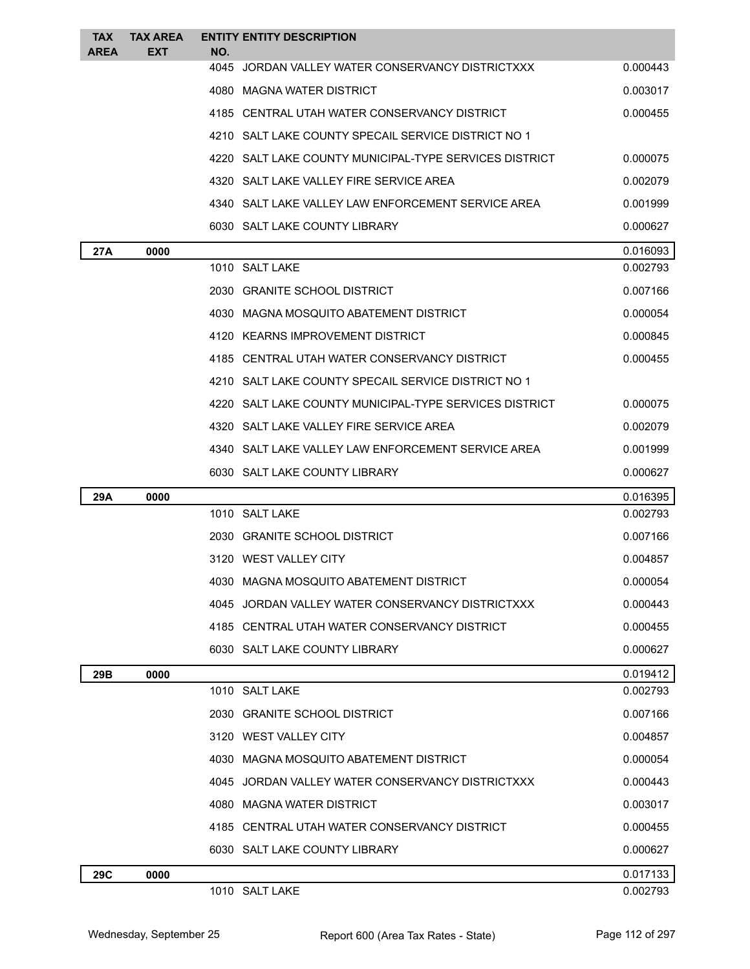| <b>TAX</b><br><b>AREA</b> | <b>TAX AREA</b><br><b>EXT</b> | <b>ENTITY ENTITY DESCRIPTION</b>                        |          |
|---------------------------|-------------------------------|---------------------------------------------------------|----------|
|                           |                               | NO.<br>4045 JORDAN VALLEY WATER CONSERVANCY DISTRICTXXX | 0.000443 |
|                           |                               | 4080 MAGNA WATER DISTRICT                               | 0.003017 |
|                           |                               | 4185 CENTRAL UTAH WATER CONSERVANCY DISTRICT            | 0.000455 |
|                           |                               | 4210 SALT LAKE COUNTY SPECAIL SERVICE DISTRICT NO 1     |          |
|                           |                               | 4220 SALT LAKE COUNTY MUNICIPAL-TYPE SERVICES DISTRICT  | 0.000075 |
|                           |                               | 4320 SALT LAKE VALLEY FIRE SERVICE AREA                 | 0.002079 |
|                           |                               | 4340 SALT LAKE VALLEY LAW ENFORCEMENT SERVICE AREA      | 0.001999 |
|                           |                               | 6030 SALT LAKE COUNTY LIBRARY                           | 0.000627 |
| 27A                       | 0000                          |                                                         | 0.016093 |
|                           |                               | 1010 SALT LAKE                                          | 0.002793 |
|                           |                               | 2030 GRANITE SCHOOL DISTRICT                            | 0.007166 |
|                           |                               | 4030 MAGNA MOSQUITO ABATEMENT DISTRICT                  | 0.000054 |
|                           |                               | 4120 KEARNS IMPROVEMENT DISTRICT                        | 0.000845 |
|                           |                               | 4185 CENTRAL UTAH WATER CONSERVANCY DISTRICT            | 0.000455 |
|                           |                               | 4210 SALT LAKE COUNTY SPECAIL SERVICE DISTRICT NO 1     |          |
|                           |                               | 4220 SALT LAKE COUNTY MUNICIPAL-TYPE SERVICES DISTRICT  | 0.000075 |
|                           |                               | 4320 SALT LAKE VALLEY FIRE SERVICE AREA                 | 0.002079 |
|                           |                               | 4340 SALT LAKE VALLEY LAW ENFORCEMENT SERVICE AREA      | 0.001999 |
|                           |                               | 6030 SALT LAKE COUNTY LIBRARY                           | 0.000627 |
| 29A                       | 0000                          |                                                         | 0.016395 |
|                           |                               | 1010 SALT LAKE                                          | 0.002793 |
|                           |                               | 2030 GRANITE SCHOOL DISTRICT                            | 0.007166 |
|                           |                               | 3120 WEST VALLEY CITY                                   | 0.004857 |
|                           |                               | 4030 MAGNA MOSQUITO ABATEMENT DISTRICT                  | 0.000054 |
|                           |                               | 4045 JORDAN VALLEY WATER CONSERVANCY DISTRICTXXX        | 0.000443 |
|                           |                               | 4185 CENTRAL UTAH WATER CONSERVANCY DISTRICT            | 0.000455 |
|                           |                               | 6030 SALT LAKE COUNTY LIBRARY                           | 0.000627 |
| 29B                       | 0000                          |                                                         | 0.019412 |
|                           |                               | 1010 SALT LAKE                                          | 0.002793 |
|                           |                               | 2030 GRANITE SCHOOL DISTRICT                            | 0.007166 |
|                           |                               | 3120 WEST VALLEY CITY                                   | 0.004857 |
|                           |                               | 4030 MAGNA MOSQUITO ABATEMENT DISTRICT                  | 0.000054 |
|                           |                               | 4045 JORDAN VALLEY WATER CONSERVANCY DISTRICTXXX        | 0.000443 |
|                           |                               | 4080 MAGNA WATER DISTRICT                               | 0.003017 |
|                           |                               | 4185 CENTRAL UTAH WATER CONSERVANCY DISTRICT            | 0.000455 |
|                           |                               | 6030 SALT LAKE COUNTY LIBRARY                           | 0.000627 |
| 29C                       | 0000                          |                                                         | 0.017133 |
|                           |                               | 1010 SALT LAKE                                          | 0.002793 |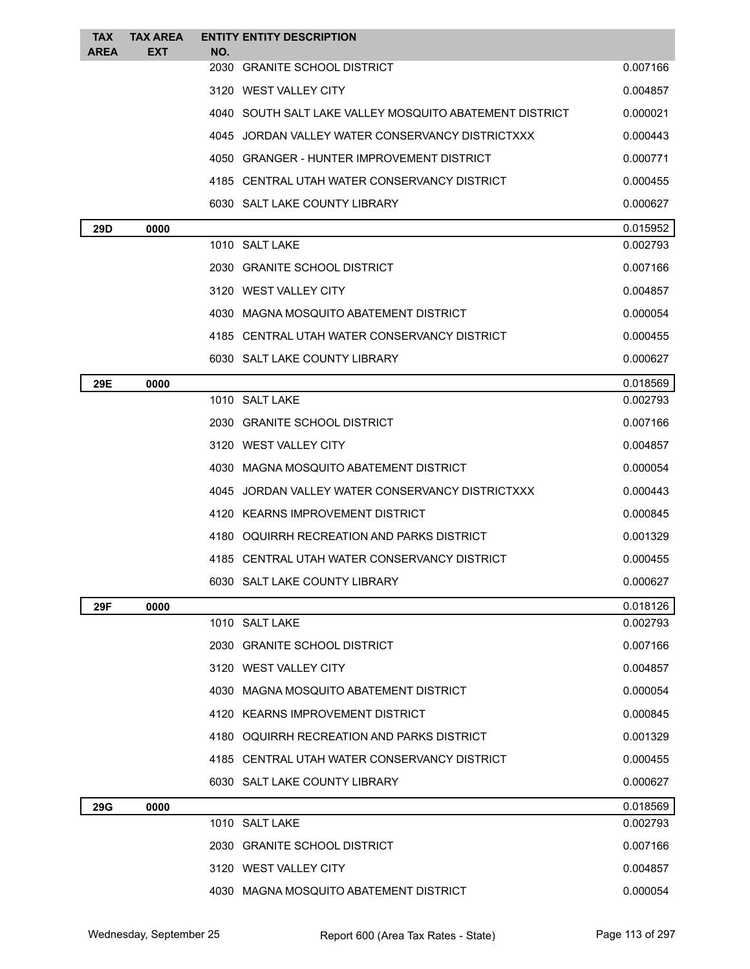| <b>TAX</b>  | <b>TAX AREA</b> | <b>ENTITY ENTITY DESCRIPTION</b>                        |          |
|-------------|-----------------|---------------------------------------------------------|----------|
| <b>AREA</b> | <b>EXT</b>      | NO.<br>2030 GRANITE SCHOOL DISTRICT                     | 0.007166 |
|             |                 | 3120 WEST VALLEY CITY                                   | 0.004857 |
|             |                 | 4040 SOUTH SALT LAKE VALLEY MOSQUITO ABATEMENT DISTRICT | 0.000021 |
|             |                 | 4045 JORDAN VALLEY WATER CONSERVANCY DISTRICTXXX        | 0.000443 |
|             |                 | 4050 GRANGER - HUNTER IMPROVEMENT DISTRICT              | 0.000771 |
|             |                 | 4185 CENTRAL UTAH WATER CONSERVANCY DISTRICT            | 0.000455 |
|             |                 | 6030 SALT LAKE COUNTY LIBRARY                           | 0.000627 |
| 29D         | 0000            |                                                         | 0.015952 |
|             |                 | 1010 SALT LAKE                                          | 0.002793 |
|             |                 | 2030 GRANITE SCHOOL DISTRICT                            | 0.007166 |
|             |                 | 3120 WEST VALLEY CITY                                   | 0.004857 |
|             |                 | 4030 MAGNA MOSQUITO ABATEMENT DISTRICT                  | 0.000054 |
|             |                 | 4185 CENTRAL UTAH WATER CONSERVANCY DISTRICT            | 0.000455 |
|             |                 | 6030 SALT LAKE COUNTY LIBRARY                           | 0.000627 |
| 29E         | 0000            |                                                         | 0.018569 |
|             |                 | 1010 SALT LAKE                                          | 0.002793 |
|             |                 | 2030 GRANITE SCHOOL DISTRICT                            | 0.007166 |
|             |                 | 3120 WEST VALLEY CITY                                   | 0.004857 |
|             |                 | 4030 MAGNA MOSQUITO ABATEMENT DISTRICT                  | 0.000054 |
|             |                 | 4045 JORDAN VALLEY WATER CONSERVANCY DISTRICTXXX        | 0.000443 |
|             |                 | 4120 KEARNS IMPROVEMENT DISTRICT                        | 0.000845 |
|             |                 | 4180 OQUIRRH RECREATION AND PARKS DISTRICT              | 0.001329 |
|             |                 | 4185 CENTRAL UTAH WATER CONSERVANCY DISTRICT            | 0.000455 |
|             |                 | 6030 SALT LAKE COUNTY LIBRARY                           | 0.000627 |
| 29F         | 0000            |                                                         | 0.018126 |
|             |                 | 1010 SALT LAKE                                          | 0.002793 |
|             |                 | 2030 GRANITE SCHOOL DISTRICT                            | 0.007166 |
|             |                 | 3120 WEST VALLEY CITY                                   | 0.004857 |
|             |                 | 4030 MAGNA MOSQUITO ABATEMENT DISTRICT                  | 0.000054 |
|             |                 | 4120 KEARNS IMPROVEMENT DISTRICT                        | 0.000845 |
|             |                 | 4180 OQUIRRH RECREATION AND PARKS DISTRICT              | 0.001329 |
|             |                 | 4185 CENTRAL UTAH WATER CONSERVANCY DISTRICT            | 0.000455 |
|             |                 | 6030 SALT LAKE COUNTY LIBRARY                           | 0.000627 |
| <b>29G</b>  | 0000            |                                                         | 0.018569 |
|             |                 | 1010 SALT LAKE                                          | 0.002793 |
|             |                 | 2030 GRANITE SCHOOL DISTRICT                            | 0.007166 |
|             |                 | 3120 WEST VALLEY CITY                                   | 0.004857 |
|             |                 | 4030 MAGNA MOSQUITO ABATEMENT DISTRICT                  | 0.000054 |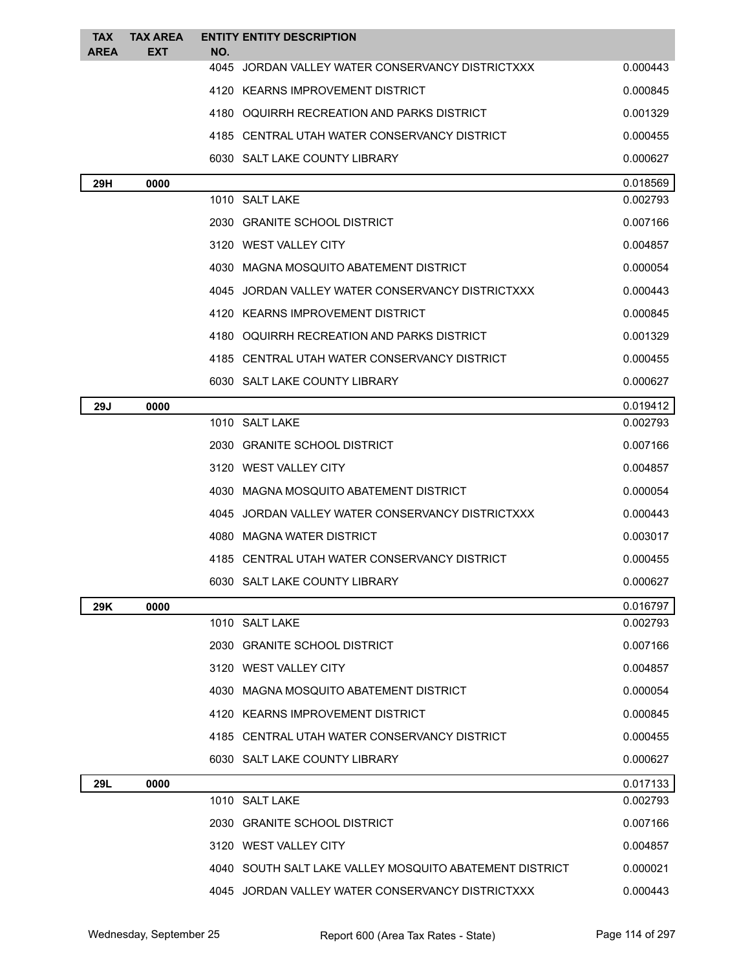| <b>TAX</b><br><b>AREA</b> | <b>TAX AREA</b><br><b>EXT</b> | <b>ENTITY ENTITY DESCRIPTION</b><br>NO.                 |          |
|---------------------------|-------------------------------|---------------------------------------------------------|----------|
|                           |                               | 4045 JORDAN VALLEY WATER CONSERVANCY DISTRICTXXX        | 0.000443 |
|                           |                               | 4120 KEARNS IMPROVEMENT DISTRICT                        | 0.000845 |
|                           |                               | 4180 OQUIRRH RECREATION AND PARKS DISTRICT              | 0.001329 |
|                           |                               | 4185 CENTRAL UTAH WATER CONSERVANCY DISTRICT            | 0.000455 |
|                           |                               | 6030 SALT LAKE COUNTY LIBRARY                           | 0.000627 |
| 29H                       | 0000                          |                                                         | 0.018569 |
|                           |                               | 1010 SALT LAKE                                          | 0.002793 |
|                           |                               | 2030 GRANITE SCHOOL DISTRICT                            | 0.007166 |
|                           |                               | 3120 WEST VALLEY CITY                                   | 0.004857 |
|                           |                               | 4030 MAGNA MOSQUITO ABATEMENT DISTRICT                  | 0.000054 |
|                           |                               | 4045 JORDAN VALLEY WATER CONSERVANCY DISTRICTXXX        | 0.000443 |
|                           |                               | 4120 KEARNS IMPROVEMENT DISTRICT                        | 0.000845 |
|                           |                               | 4180 OQUIRRH RECREATION AND PARKS DISTRICT              | 0.001329 |
|                           |                               | 4185 CENTRAL UTAH WATER CONSERVANCY DISTRICT            | 0.000455 |
|                           |                               | 6030 SALT LAKE COUNTY LIBRARY                           | 0.000627 |
| 29J                       | 0000                          |                                                         | 0.019412 |
|                           |                               | 1010 SALT LAKE                                          | 0.002793 |
|                           |                               | 2030 GRANITE SCHOOL DISTRICT                            | 0.007166 |
|                           |                               | 3120 WEST VALLEY CITY                                   | 0.004857 |
|                           |                               | 4030 MAGNA MOSQUITO ABATEMENT DISTRICT                  | 0.000054 |
|                           |                               | 4045 JORDAN VALLEY WATER CONSERVANCY DISTRICTXXX        | 0.000443 |
|                           |                               | 4080 MAGNA WATER DISTRICT                               | 0.003017 |
|                           |                               | 4185 CENTRAL UTAH WATER CONSERVANCY DISTRICT            | 0.000455 |
|                           |                               | 6030 SALT LAKE COUNTY LIBRARY                           | 0.000627 |
| 29K                       | 0000                          |                                                         | 0.016797 |
|                           |                               | 1010 SALT LAKE                                          | 0.002793 |
|                           |                               | 2030 GRANITE SCHOOL DISTRICT                            | 0.007166 |
|                           |                               | 3120 WEST VALLEY CITY                                   | 0.004857 |
|                           |                               | 4030 MAGNA MOSQUITO ABATEMENT DISTRICT                  | 0.000054 |
|                           |                               | 4120 KEARNS IMPROVEMENT DISTRICT                        | 0.000845 |
|                           |                               | 4185 CENTRAL UTAH WATER CONSERVANCY DISTRICT            | 0.000455 |
|                           |                               | 6030 SALT LAKE COUNTY LIBRARY                           | 0.000627 |
| 29L                       | 0000                          |                                                         | 0.017133 |
|                           |                               | 1010 SALT LAKE                                          | 0.002793 |
|                           |                               | 2030 GRANITE SCHOOL DISTRICT                            | 0.007166 |
|                           |                               | 3120 WEST VALLEY CITY                                   | 0.004857 |
|                           |                               | 4040 SOUTH SALT LAKE VALLEY MOSQUITO ABATEMENT DISTRICT | 0.000021 |
|                           |                               | 4045 JORDAN VALLEY WATER CONSERVANCY DISTRICTXXX        | 0.000443 |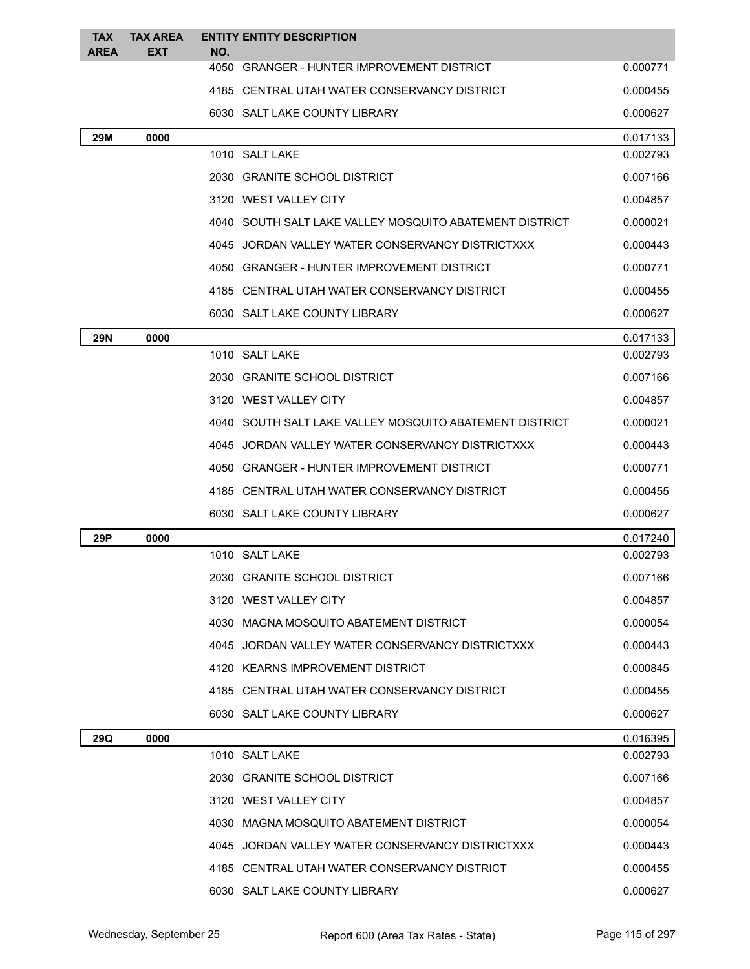| <b>TAX</b><br><b>AREA</b> | <b>TAX AREA</b><br><b>EXT</b> | NO. | <b>ENTITY ENTITY DESCRIPTION</b>                        |          |
|---------------------------|-------------------------------|-----|---------------------------------------------------------|----------|
|                           |                               |     | 4050 GRANGER - HUNTER IMPROVEMENT DISTRICT              | 0.000771 |
|                           |                               |     | 4185 CENTRAL UTAH WATER CONSERVANCY DISTRICT            | 0.000455 |
|                           |                               |     | 6030 SALT LAKE COUNTY LIBRARY                           | 0.000627 |
| 29M                       | 0000                          |     |                                                         | 0.017133 |
|                           |                               |     | 1010 SALT LAKE                                          | 0.002793 |
|                           |                               |     | 2030 GRANITE SCHOOL DISTRICT                            | 0.007166 |
|                           |                               |     | 3120 WEST VALLEY CITY                                   | 0.004857 |
|                           |                               |     | 4040 SOUTH SALT LAKE VALLEY MOSQUITO ABATEMENT DISTRICT | 0.000021 |
|                           |                               |     | 4045 JORDAN VALLEY WATER CONSERVANCY DISTRICTXXX        | 0.000443 |
|                           |                               |     | 4050 GRANGER - HUNTER IMPROVEMENT DISTRICT              | 0.000771 |
|                           |                               |     | 4185 CENTRAL UTAH WATER CONSERVANCY DISTRICT            | 0.000455 |
|                           |                               |     | 6030 SALT LAKE COUNTY LIBRARY                           | 0.000627 |
| <b>29N</b>                | 0000                          |     |                                                         | 0.017133 |
|                           |                               |     | 1010 SALT LAKE                                          | 0.002793 |
|                           |                               |     | 2030 GRANITE SCHOOL DISTRICT                            | 0.007166 |
|                           |                               |     | 3120 WEST VALLEY CITY                                   | 0.004857 |
|                           |                               |     | 4040 SOUTH SALT LAKE VALLEY MOSQUITO ABATEMENT DISTRICT | 0.000021 |
|                           |                               |     | 4045 JORDAN VALLEY WATER CONSERVANCY DISTRICTXXX        | 0.000443 |
|                           |                               |     | 4050 GRANGER - HUNTER IMPROVEMENT DISTRICT              | 0.000771 |
|                           |                               |     | 4185 CENTRAL UTAH WATER CONSERVANCY DISTRICT            | 0.000455 |
|                           |                               |     | 6030 SALT LAKE COUNTY LIBRARY                           | 0.000627 |
| 29P                       | 0000                          |     |                                                         | 0.017240 |
|                           |                               |     | 1010 SALT LAKE                                          | 0.002793 |
|                           |                               |     | 2030 GRANITE SCHOOL DISTRICT                            | 0.007166 |
|                           |                               |     | 3120 WEST VALLEY CITY                                   | 0.004857 |
|                           |                               |     | 4030 MAGNA MOSQUITO ABATEMENT DISTRICT                  | 0.000054 |
|                           |                               |     | 4045 JORDAN VALLEY WATER CONSERVANCY DISTRICTXXX        | 0.000443 |
|                           |                               |     | 4120 KEARNS IMPROVEMENT DISTRICT                        | 0.000845 |
|                           |                               |     | 4185 CENTRAL UTAH WATER CONSERVANCY DISTRICT            | 0.000455 |
|                           |                               |     | 6030 SALT LAKE COUNTY LIBRARY                           | 0.000627 |
| 29Q                       | 0000                          |     |                                                         | 0.016395 |
|                           |                               |     | 1010 SALT LAKE                                          | 0.002793 |
|                           |                               |     | 2030 GRANITE SCHOOL DISTRICT                            | 0.007166 |
|                           |                               |     | 3120 WEST VALLEY CITY                                   | 0.004857 |
|                           |                               |     | 4030 MAGNA MOSQUITO ABATEMENT DISTRICT                  | 0.000054 |
|                           |                               |     | 4045 JORDAN VALLEY WATER CONSERVANCY DISTRICTXXX        | 0.000443 |
|                           |                               |     | 4185 CENTRAL UTAH WATER CONSERVANCY DISTRICT            | 0.000455 |
|                           |                               |     | 6030 SALT LAKE COUNTY LIBRARY                           | 0.000627 |
|                           |                               |     |                                                         |          |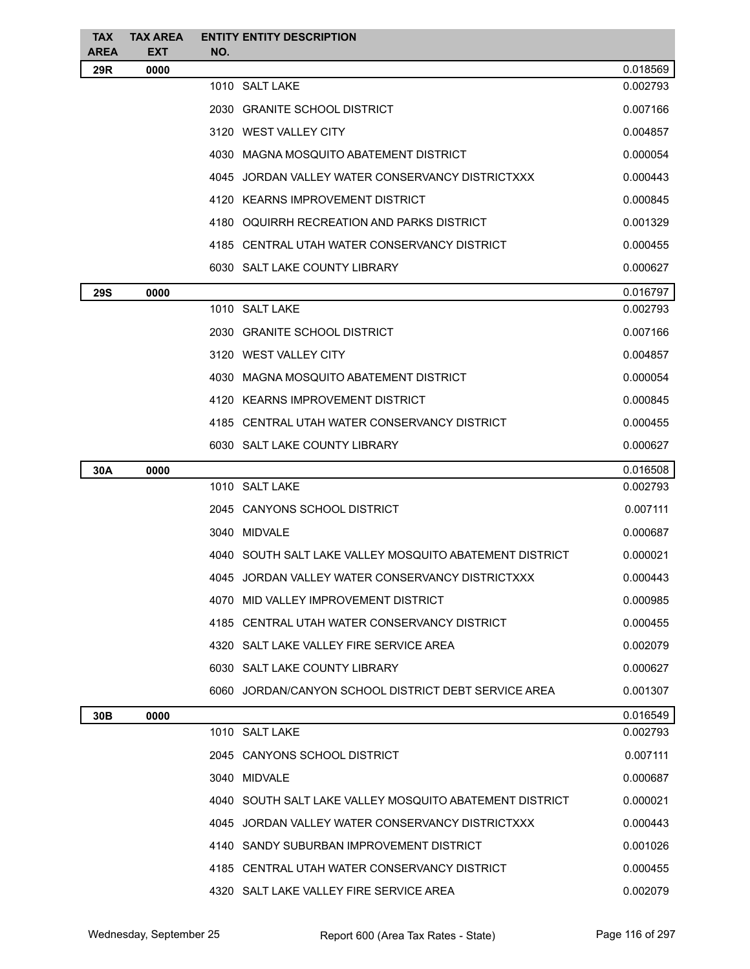| <b>TAX</b>         | <b>TAX AREA</b>    | <b>ENTITY ENTITY DESCRIPTION</b>                        |          |
|--------------------|--------------------|---------------------------------------------------------|----------|
| <b>AREA</b><br>29R | <b>EXT</b><br>0000 | NO.                                                     | 0.018569 |
|                    |                    | 1010 SALT LAKE                                          | 0.002793 |
|                    |                    | 2030 GRANITE SCHOOL DISTRICT                            | 0.007166 |
|                    |                    | 3120 WEST VALLEY CITY                                   | 0.004857 |
|                    |                    | 4030 MAGNA MOSQUITO ABATEMENT DISTRICT                  | 0.000054 |
|                    |                    | 4045 JORDAN VALLEY WATER CONSERVANCY DISTRICTXXX        | 0.000443 |
|                    |                    | 4120 KEARNS IMPROVEMENT DISTRICT                        | 0.000845 |
|                    |                    | 4180 OQUIRRH RECREATION AND PARKS DISTRICT              | 0.001329 |
|                    |                    | 4185 CENTRAL UTAH WATER CONSERVANCY DISTRICT            | 0.000455 |
|                    |                    | 6030 SALT LAKE COUNTY LIBRARY                           | 0.000627 |
| <b>29S</b>         | 0000               |                                                         | 0.016797 |
|                    |                    | 1010 SALT LAKE                                          | 0.002793 |
|                    |                    | 2030 GRANITE SCHOOL DISTRICT                            | 0.007166 |
|                    |                    | 3120 WEST VALLEY CITY                                   | 0.004857 |
|                    |                    | 4030 MAGNA MOSQUITO ABATEMENT DISTRICT                  | 0.000054 |
|                    |                    | 4120 KEARNS IMPROVEMENT DISTRICT                        | 0.000845 |
|                    |                    | 4185 CENTRAL UTAH WATER CONSERVANCY DISTRICT            | 0.000455 |
|                    |                    | 6030 SALT LAKE COUNTY LIBRARY                           | 0.000627 |
| 30A                | 0000               |                                                         | 0.016508 |
|                    |                    | 1010 SALT LAKE                                          | 0.002793 |
|                    |                    | 2045 CANYONS SCHOOL DISTRICT                            | 0.007111 |
|                    |                    | 3040 MIDVALE                                            | 0.000687 |
|                    |                    | 4040 SOUTH SALT LAKE VALLEY MOSQUITO ABATEMENT DISTRICT | 0.000021 |
|                    |                    | 4045 JORDAN VALLEY WATER CONSERVANCY DISTRICTXXX        | 0.000443 |
|                    |                    | 4070 MID VALLEY IMPROVEMENT DISTRICT                    | 0.000985 |
|                    |                    | 4185 CENTRAL UTAH WATER CONSERVANCY DISTRICT            | 0.000455 |
|                    |                    | 4320 SALT LAKE VALLEY FIRE SERVICE AREA                 | 0.002079 |
|                    |                    | 6030 SALT LAKE COUNTY LIBRARY                           | 0.000627 |
|                    |                    | 6060 JORDAN/CANYON SCHOOL DISTRICT DEBT SERVICE AREA    | 0.001307 |
| 30 <sub>B</sub>    | 0000               |                                                         | 0.016549 |
|                    |                    | 1010 SALT LAKE                                          | 0.002793 |
|                    |                    | 2045 CANYONS SCHOOL DISTRICT                            | 0.007111 |
|                    |                    | 3040 MIDVALE                                            | 0.000687 |
|                    |                    | 4040 SOUTH SALT LAKE VALLEY MOSQUITO ABATEMENT DISTRICT | 0.000021 |
|                    |                    | 4045 JORDAN VALLEY WATER CONSERVANCY DISTRICTXXX        | 0.000443 |
|                    |                    | 4140 SANDY SUBURBAN IMPROVEMENT DISTRICT                | 0.001026 |
|                    |                    | 4185 CENTRAL UTAH WATER CONSERVANCY DISTRICT            | 0.000455 |
|                    |                    | 4320 SALT LAKE VALLEY FIRE SERVICE AREA                 | 0.002079 |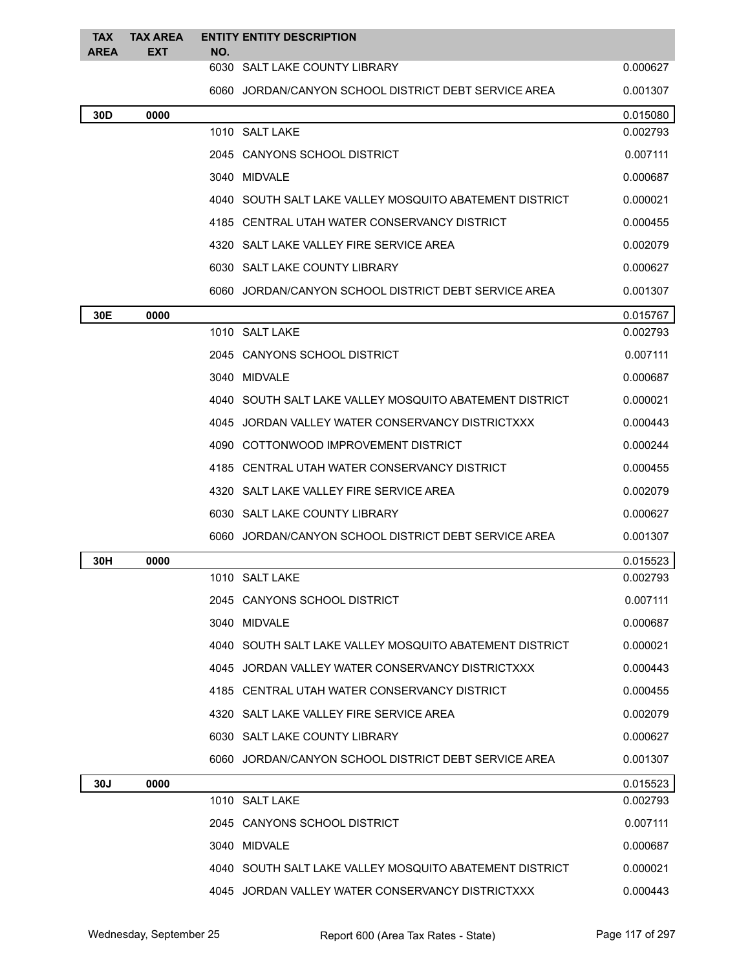| <b>TAX</b><br><b>AREA</b> | <b>TAX AREA</b><br><b>EXT</b> | NO. | <b>ENTITY ENTITY DESCRIPTION</b>                        |          |
|---------------------------|-------------------------------|-----|---------------------------------------------------------|----------|
|                           |                               |     | 6030 SALT LAKE COUNTY LIBRARY                           | 0.000627 |
|                           |                               |     | 6060 JORDAN/CANYON SCHOOL DISTRICT DEBT SERVICE AREA    | 0.001307 |
| 30D                       | 0000                          |     |                                                         | 0.015080 |
|                           |                               |     | 1010 SALT LAKE                                          | 0.002793 |
|                           |                               |     | 2045 CANYONS SCHOOL DISTRICT                            | 0.007111 |
|                           |                               |     | 3040 MIDVALE                                            | 0.000687 |
|                           |                               |     | 4040 SOUTH SALT LAKE VALLEY MOSQUITO ABATEMENT DISTRICT | 0.000021 |
|                           |                               |     | 4185 CENTRAL UTAH WATER CONSERVANCY DISTRICT            | 0.000455 |
|                           |                               |     | 4320 SALT LAKE VALLEY FIRE SERVICE AREA                 | 0.002079 |
|                           |                               |     | 6030 SALT LAKE COUNTY LIBRARY                           | 0.000627 |
|                           |                               |     | 6060 JORDAN/CANYON SCHOOL DISTRICT DEBT SERVICE AREA    | 0.001307 |
| 30E                       | 0000                          |     |                                                         | 0.015767 |
|                           |                               |     | 1010 SALT LAKE                                          | 0.002793 |
|                           |                               |     | 2045 CANYONS SCHOOL DISTRICT                            | 0.007111 |
|                           |                               |     | 3040 MIDVALE                                            | 0.000687 |
|                           |                               |     | 4040 SOUTH SALT LAKE VALLEY MOSQUITO ABATEMENT DISTRICT | 0.000021 |
|                           |                               |     | 4045 JORDAN VALLEY WATER CONSERVANCY DISTRICTXXX        | 0.000443 |
|                           |                               |     | 4090 COTTONWOOD IMPROVEMENT DISTRICT                    | 0.000244 |
|                           |                               |     | 4185 CENTRAL UTAH WATER CONSERVANCY DISTRICT            | 0.000455 |
|                           |                               |     | 4320 SALT LAKE VALLEY FIRE SERVICE AREA                 | 0.002079 |
|                           |                               |     | 6030 SALT LAKE COUNTY LIBRARY                           | 0.000627 |
|                           |                               |     | 6060 JORDAN/CANYON SCHOOL DISTRICT DEBT SERVICE AREA    | 0.001307 |
| 30H                       | 0000                          |     |                                                         | 0.015523 |
|                           |                               |     | 1010 SALT LAKE                                          | 0.002793 |
|                           |                               |     | 2045 CANYONS SCHOOL DISTRICT                            | 0.007111 |
|                           |                               |     | 3040 MIDVALE                                            | 0.000687 |
|                           |                               |     | 4040 SOUTH SALT LAKE VALLEY MOSQUITO ABATEMENT DISTRICT | 0.000021 |
|                           |                               |     | 4045 JORDAN VALLEY WATER CONSERVANCY DISTRICTXXX        | 0.000443 |
|                           |                               |     | 4185 CENTRAL UTAH WATER CONSERVANCY DISTRICT            | 0.000455 |
|                           |                               |     | 4320 SALT LAKE VALLEY FIRE SERVICE AREA                 | 0.002079 |
|                           |                               |     | 6030 SALT LAKE COUNTY LIBRARY                           | 0.000627 |
|                           |                               |     | 6060 JORDAN/CANYON SCHOOL DISTRICT DEBT SERVICE AREA    | 0.001307 |
| 30J                       | 0000                          |     |                                                         | 0.015523 |
|                           |                               |     | 1010 SALT LAKE                                          | 0.002793 |
|                           |                               |     | 2045 CANYONS SCHOOL DISTRICT                            | 0.007111 |
|                           |                               |     | 3040 MIDVALE                                            | 0.000687 |
|                           |                               |     | 4040 SOUTH SALT LAKE VALLEY MOSQUITO ABATEMENT DISTRICT | 0.000021 |
|                           |                               |     | 4045 JORDAN VALLEY WATER CONSERVANCY DISTRICTXXX        | 0.000443 |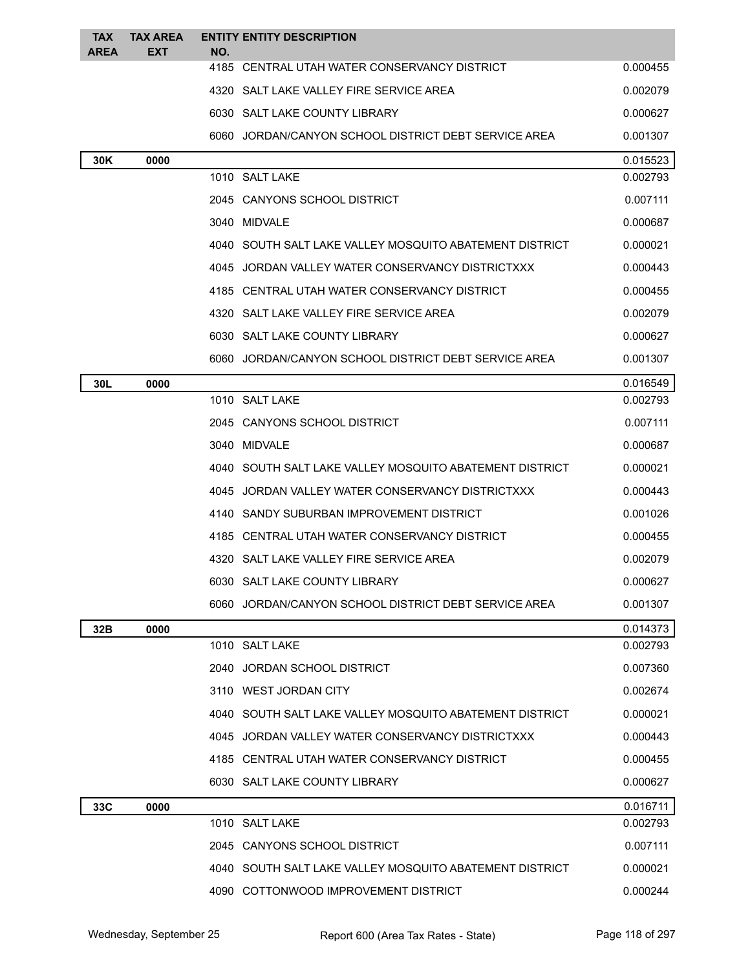| <b>TAX</b><br><b>AREA</b> | <b>TAX AREA</b><br><b>EXT</b> | <b>ENTITY ENTITY DESCRIPTION</b><br>NO.                 |          |
|---------------------------|-------------------------------|---------------------------------------------------------|----------|
|                           |                               | 4185 CENTRAL UTAH WATER CONSERVANCY DISTRICT            | 0.000455 |
|                           |                               | 4320 SALT LAKE VALLEY FIRE SERVICE AREA                 | 0.002079 |
|                           |                               | 6030 SALT LAKE COUNTY LIBRARY                           | 0.000627 |
|                           |                               | 6060 JORDAN/CANYON SCHOOL DISTRICT DEBT SERVICE AREA    | 0.001307 |
| 30K                       | 0000                          |                                                         | 0.015523 |
|                           |                               | 1010 SALT LAKE                                          | 0.002793 |
|                           |                               | 2045 CANYONS SCHOOL DISTRICT                            | 0.007111 |
|                           |                               | 3040 MIDVALE                                            | 0.000687 |
|                           |                               | 4040 SOUTH SALT LAKE VALLEY MOSQUITO ABATEMENT DISTRICT | 0.000021 |
|                           |                               | 4045 JORDAN VALLEY WATER CONSERVANCY DISTRICTXXX        | 0.000443 |
|                           |                               | 4185 CENTRAL UTAH WATER CONSERVANCY DISTRICT            | 0.000455 |
|                           |                               | 4320 SALT LAKE VALLEY FIRE SERVICE AREA                 | 0.002079 |
|                           |                               | 6030 SALT LAKE COUNTY LIBRARY                           | 0.000627 |
|                           |                               | 6060 JORDAN/CANYON SCHOOL DISTRICT DEBT SERVICE AREA    | 0.001307 |
| 30L                       | 0000                          |                                                         | 0.016549 |
|                           |                               | 1010 SALT LAKE                                          | 0.002793 |
|                           |                               | 2045 CANYONS SCHOOL DISTRICT                            | 0.007111 |
|                           |                               | 3040 MIDVALE                                            | 0.000687 |
|                           |                               | 4040 SOUTH SALT LAKE VALLEY MOSQUITO ABATEMENT DISTRICT | 0.000021 |
|                           |                               | 4045 JORDAN VALLEY WATER CONSERVANCY DISTRICTXXX        | 0.000443 |
|                           |                               | 4140 SANDY SUBURBAN IMPROVEMENT DISTRICT                | 0.001026 |
|                           |                               | 4185 CENTRAL UTAH WATER CONSERVANCY DISTRICT            | 0.000455 |
|                           |                               | 4320 SALT LAKE VALLEY FIRE SERVICE AREA                 | 0.002079 |
|                           |                               | 6030 SALT LAKE COUNTY LIBRARY                           | 0.000627 |
|                           |                               | 6060 JORDAN/CANYON SCHOOL DISTRICT DEBT SERVICE AREA    | 0.001307 |
| 32B                       | 0000                          |                                                         | 0.014373 |
|                           |                               | 1010 SALT LAKE                                          | 0.002793 |
|                           |                               | 2040 JORDAN SCHOOL DISTRICT                             | 0.007360 |
|                           |                               | 3110 WEST JORDAN CITY                                   | 0.002674 |
|                           |                               | 4040 SOUTH SALT LAKE VALLEY MOSQUITO ABATEMENT DISTRICT | 0.000021 |
|                           |                               | 4045 JORDAN VALLEY WATER CONSERVANCY DISTRICTXXX        | 0.000443 |
|                           |                               | 4185 CENTRAL UTAH WATER CONSERVANCY DISTRICT            | 0.000455 |
|                           |                               | 6030 SALT LAKE COUNTY LIBRARY                           | 0.000627 |
| 33C                       | 0000                          |                                                         | 0.016711 |
|                           |                               | 1010 SALT LAKE                                          | 0.002793 |
|                           |                               | 2045 CANYONS SCHOOL DISTRICT                            | 0.007111 |
|                           |                               | 4040 SOUTH SALT LAKE VALLEY MOSQUITO ABATEMENT DISTRICT | 0.000021 |
|                           |                               | 4090 COTTONWOOD IMPROVEMENT DISTRICT                    | 0.000244 |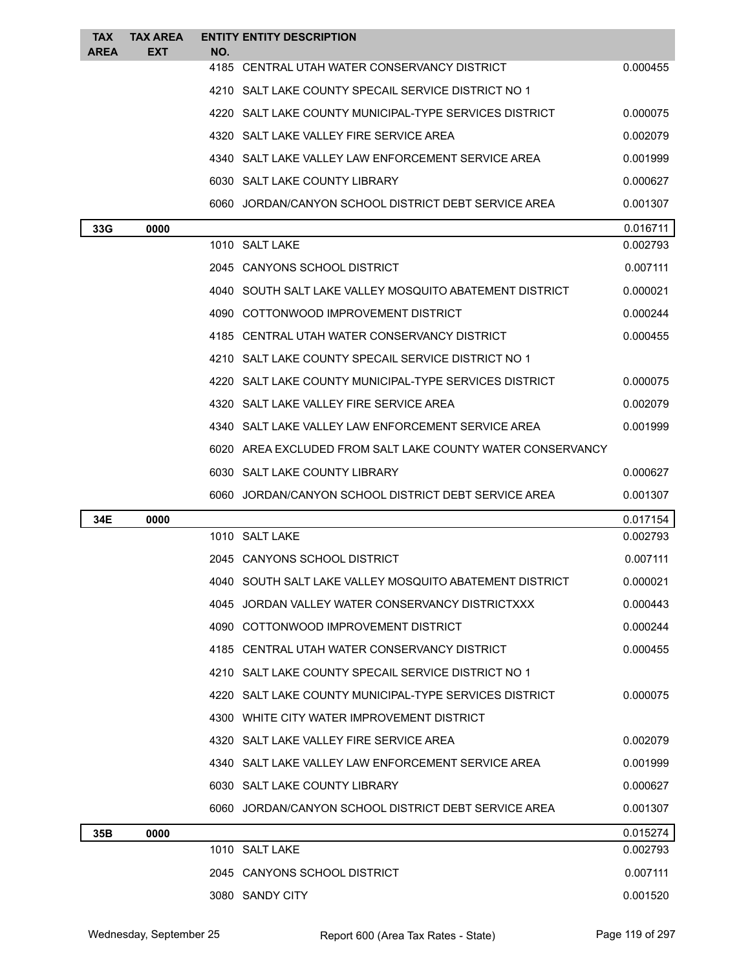| <b>TAX</b><br><b>AREA</b> | TAX AREA<br>EXT | NO. | <b>ENTITY ENTITY DESCRIPTION</b>                           |          |
|---------------------------|-----------------|-----|------------------------------------------------------------|----------|
|                           |                 |     | 4185 CENTRAL UTAH WATER CONSERVANCY DISTRICT               | 0.000455 |
|                           |                 |     | 4210 SALT LAKE COUNTY SPECAIL SERVICE DISTRICT NO 1        |          |
|                           |                 |     | 4220 SALT LAKE COUNTY MUNICIPAL-TYPE SERVICES DISTRICT     | 0.000075 |
|                           |                 |     | 4320 SALT LAKE VALLEY FIRE SERVICE AREA                    | 0.002079 |
|                           |                 |     | 4340 SALT LAKE VALLEY LAW ENFORCEMENT SERVICE AREA         | 0.001999 |
|                           |                 |     | 6030 SALT LAKE COUNTY LIBRARY                              | 0.000627 |
|                           |                 |     | 6060 JORDAN/CANYON SCHOOL DISTRICT DEBT SERVICE AREA       | 0.001307 |
| 33G                       | 0000            |     |                                                            | 0.016711 |
|                           |                 |     | 1010 SALT LAKE                                             | 0.002793 |
|                           |                 |     | 2045 CANYONS SCHOOL DISTRICT                               | 0.007111 |
|                           |                 |     | 4040 SOUTH SALT LAKE VALLEY MOSQUITO ABATEMENT DISTRICT    | 0.000021 |
|                           |                 |     | 4090 COTTONWOOD IMPROVEMENT DISTRICT                       | 0.000244 |
|                           |                 |     | 4185 CENTRAL UTAH WATER CONSERVANCY DISTRICT               | 0.000455 |
|                           |                 |     | 4210 SALT LAKE COUNTY SPECAIL SERVICE DISTRICT NO 1        |          |
|                           |                 |     | 4220 SALT LAKE COUNTY MUNICIPAL-TYPE SERVICES DISTRICT     | 0.000075 |
|                           |                 |     | 4320 SALT LAKE VALLEY FIRE SERVICE AREA                    | 0.002079 |
|                           |                 |     | 4340 SALT LAKE VALLEY LAW ENFORCEMENT SERVICE AREA         | 0.001999 |
|                           |                 |     | 6020 AREA EXCLUDED FROM SALT LAKE COUNTY WATER CONSERVANCY |          |
|                           |                 |     | 6030 SALT LAKE COUNTY LIBRARY                              | 0.000627 |
|                           |                 |     | 6060 JORDAN/CANYON SCHOOL DISTRICT DEBT SERVICE AREA       | 0.001307 |
| 34E                       | 0000            |     |                                                            | 0.017154 |
|                           |                 |     | 1010 SALT LAKE                                             | 0.002793 |
|                           |                 |     | 2045 CANYONS SCHOOL DISTRICT                               | 0.007111 |
|                           |                 |     | 4040 SOUTH SALT LAKE VALLEY MOSQUITO ABATEMENT DISTRICT    | 0.000021 |
|                           |                 |     | 4045 JORDAN VALLEY WATER CONSERVANCY DISTRICTXXX           | 0.000443 |
|                           |                 |     | 4090 COTTONWOOD IMPROVEMENT DISTRICT                       | 0.000244 |
|                           |                 |     | 4185 CENTRAL UTAH WATER CONSERVANCY DISTRICT               | 0.000455 |
|                           |                 |     | 4210 SALT LAKE COUNTY SPECAIL SERVICE DISTRICT NO 1        |          |
|                           |                 |     | 4220 SALT LAKE COUNTY MUNICIPAL-TYPE SERVICES DISTRICT     | 0.000075 |
|                           |                 |     | 4300 WHITE CITY WATER IMPROVEMENT DISTRICT                 |          |
|                           |                 |     |                                                            |          |
|                           |                 |     | 4320 SALT LAKE VALLEY FIRE SERVICE AREA                    | 0.002079 |
|                           |                 |     | 4340 SALT LAKE VALLEY LAW ENFORCEMENT SERVICE AREA         | 0.001999 |
|                           |                 |     | 6030 SALT LAKE COUNTY LIBRARY                              | 0.000627 |
|                           |                 |     | 6060 JORDAN/CANYON SCHOOL DISTRICT DEBT SERVICE AREA       | 0.001307 |
| 35B                       | 0000            |     |                                                            | 0.015274 |
|                           |                 |     | 1010 SALT LAKE                                             | 0.002793 |
|                           |                 |     | 2045 CANYONS SCHOOL DISTRICT                               | 0.007111 |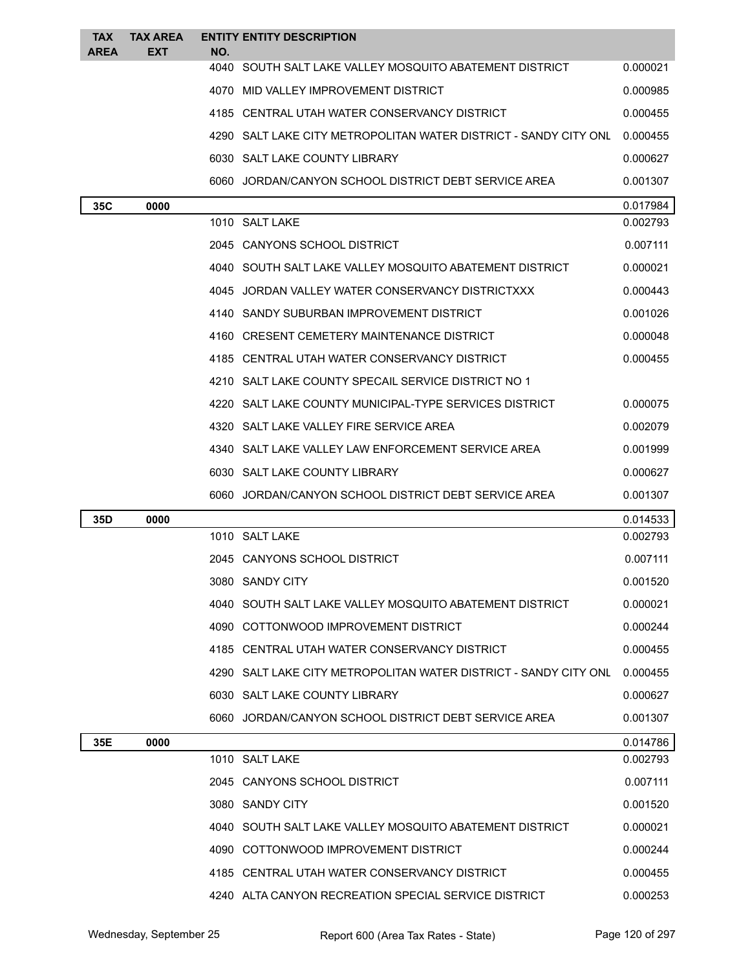| <b>TAX</b><br><b>AREA</b> | <b>TAX AREA</b><br><b>EXT</b> | NO. | <b>ENTITY ENTITY DESCRIPTION</b>                                 |          |
|---------------------------|-------------------------------|-----|------------------------------------------------------------------|----------|
|                           |                               |     | 4040 SOUTH SALT LAKE VALLEY MOSQUITO ABATEMENT DISTRICT          | 0.000021 |
|                           |                               |     | 4070 MID VALLEY IMPROVEMENT DISTRICT                             | 0.000985 |
|                           |                               |     | 4185 CENTRAL UTAH WATER CONSERVANCY DISTRICT                     | 0.000455 |
|                           |                               |     | 4290 SALT LAKE CITY METROPOLITAN WATER DISTRICT - SANDY CITY ONL | 0.000455 |
|                           |                               |     | 6030 SALT LAKE COUNTY LIBRARY                                    | 0.000627 |
|                           |                               |     | 6060 JORDAN/CANYON SCHOOL DISTRICT DEBT SERVICE AREA             | 0.001307 |
| 35C                       | 0000                          |     |                                                                  | 0.017984 |
|                           |                               |     | 1010 SALT LAKE                                                   | 0.002793 |
|                           |                               |     | 2045 CANYONS SCHOOL DISTRICT                                     | 0.007111 |
|                           |                               |     | 4040 SOUTH SALT LAKE VALLEY MOSQUITO ABATEMENT DISTRICT          | 0.000021 |
|                           |                               |     | 4045 JORDAN VALLEY WATER CONSERVANCY DISTRICTXXX                 | 0.000443 |
|                           |                               |     | 4140 SANDY SUBURBAN IMPROVEMENT DISTRICT                         | 0.001026 |
|                           |                               |     | 4160 CRESENT CEMETERY MAINTENANCE DISTRICT                       | 0.000048 |
|                           |                               |     | 4185 CENTRAL UTAH WATER CONSERVANCY DISTRICT                     | 0.000455 |
|                           |                               |     | 4210 SALT LAKE COUNTY SPECAIL SERVICE DISTRICT NO 1              |          |
|                           |                               |     | 4220 SALT LAKE COUNTY MUNICIPAL-TYPE SERVICES DISTRICT           | 0.000075 |
|                           |                               |     | 4320 SALT LAKE VALLEY FIRE SERVICE AREA                          | 0.002079 |
|                           |                               |     | 4340 SALT LAKE VALLEY LAW ENFORCEMENT SERVICE AREA               | 0.001999 |
|                           |                               |     | 6030 SALT LAKE COUNTY LIBRARY                                    | 0.000627 |
|                           |                               |     | 6060 JORDAN/CANYON SCHOOL DISTRICT DEBT SERVICE AREA             | 0.001307 |
| 35D                       | 0000                          |     |                                                                  | 0.014533 |
|                           |                               |     | 1010 SALT LAKE                                                   | 0.002793 |
|                           |                               |     | 2045 CANYONS SCHOOL DISTRICT                                     | 0.007111 |
|                           |                               |     | 3080 SANDY CITY                                                  | 0.001520 |
|                           |                               |     | 4040 SOUTH SALT LAKE VALLEY MOSQUITO ABATEMENT DISTRICT          | 0.000021 |
|                           |                               |     | 4090 COTTONWOOD IMPROVEMENT DISTRICT                             | 0.000244 |
|                           |                               |     | 4185 CENTRAL UTAH WATER CONSERVANCY DISTRICT                     | 0.000455 |
|                           |                               |     | 4290 SALT LAKE CITY METROPOLITAN WATER DISTRICT - SANDY CITY ONL | 0.000455 |
|                           |                               |     | 6030 SALT LAKE COUNTY LIBRARY                                    | 0.000627 |
|                           |                               |     | 6060 JORDAN/CANYON SCHOOL DISTRICT DEBT SERVICE AREA             | 0.001307 |
| 35E                       | 0000                          |     |                                                                  | 0.014786 |
|                           |                               |     | 1010 SALT LAKE                                                   | 0.002793 |
|                           |                               |     | 2045 CANYONS SCHOOL DISTRICT                                     | 0.007111 |
|                           |                               |     | 3080 SANDY CITY                                                  | 0.001520 |
|                           |                               |     | 4040 SOUTH SALT LAKE VALLEY MOSQUITO ABATEMENT DISTRICT          | 0.000021 |
|                           |                               |     | 4090 COTTONWOOD IMPROVEMENT DISTRICT                             | 0.000244 |
|                           |                               |     | 4185 CENTRAL UTAH WATER CONSERVANCY DISTRICT                     | 0.000455 |
|                           |                               |     | 4240 ALTA CANYON RECREATION SPECIAL SERVICE DISTRICT             | 0.000253 |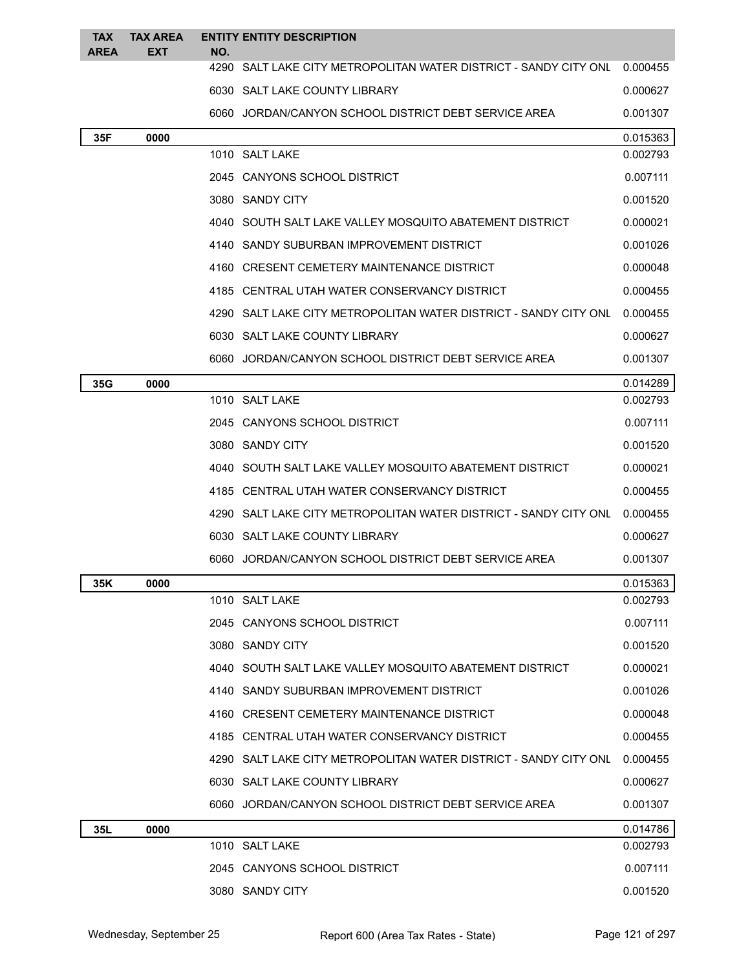| <b>TAX</b><br><b>AREA</b> | <b>TAX AREA</b><br><b>EXT</b> | NO. | <b>ENTITY ENTITY DESCRIPTION</b>                                          |          |
|---------------------------|-------------------------------|-----|---------------------------------------------------------------------------|----------|
|                           |                               |     | 4290 SALT LAKE CITY METROPOLITAN WATER DISTRICT - SANDY CITY ONL 0.000455 |          |
|                           |                               |     | 6030 SALT LAKE COUNTY LIBRARY                                             | 0.000627 |
|                           |                               |     | 6060 JORDAN/CANYON SCHOOL DISTRICT DEBT SERVICE AREA                      | 0.001307 |
| 35F                       | 0000                          |     |                                                                           | 0.015363 |
|                           |                               |     | 1010 SALT LAKE                                                            | 0.002793 |
|                           |                               |     | 2045 CANYONS SCHOOL DISTRICT                                              | 0.007111 |
|                           |                               |     | 3080 SANDY CITY                                                           | 0.001520 |
|                           |                               |     | 4040 SOUTH SALT LAKE VALLEY MOSQUITO ABATEMENT DISTRICT                   | 0.000021 |
|                           |                               |     | 4140 SANDY SUBURBAN IMPROVEMENT DISTRICT                                  | 0.001026 |
|                           |                               |     | 4160 CRESENT CEMETERY MAINTENANCE DISTRICT                                | 0.000048 |
|                           |                               |     | 4185 CENTRAL UTAH WATER CONSERVANCY DISTRICT                              | 0.000455 |
|                           |                               |     | 4290 SALT LAKE CITY METROPOLITAN WATER DISTRICT - SANDY CITY ONL          | 0.000455 |
|                           |                               |     | 6030 SALT LAKE COUNTY LIBRARY                                             | 0.000627 |
|                           |                               |     | 6060 JORDAN/CANYON SCHOOL DISTRICT DEBT SERVICE AREA                      | 0.001307 |
| 35G                       | 0000                          |     |                                                                           | 0.014289 |
|                           |                               |     | 1010 SALT LAKE                                                            | 0.002793 |
|                           |                               |     | 2045 CANYONS SCHOOL DISTRICT                                              | 0.007111 |
|                           |                               |     | 3080 SANDY CITY                                                           | 0.001520 |
|                           |                               |     | 4040 SOUTH SALT LAKE VALLEY MOSQUITO ABATEMENT DISTRICT                   | 0.000021 |
|                           |                               |     | 4185 CENTRAL UTAH WATER CONSERVANCY DISTRICT                              | 0.000455 |
|                           |                               |     | 4290 SALT LAKE CITY METROPOLITAN WATER DISTRICT - SANDY CITY ONL          | 0.000455 |
|                           |                               |     | 6030 SALT LAKE COUNTY LIBRARY                                             | 0.000627 |
|                           |                               |     | 6060 JORDAN/CANYON SCHOOL DISTRICT DEBT SERVICE AREA                      | 0.001307 |
| 35K                       | 0000                          |     |                                                                           | 0.015363 |
|                           |                               |     | 1010 SALT LAKE                                                            | 0.002793 |
|                           |                               |     | 2045 CANYONS SCHOOL DISTRICT                                              | 0.007111 |
|                           |                               |     | 3080 SANDY CITY                                                           | 0.001520 |
|                           |                               |     | 4040 SOUTH SALT LAKE VALLEY MOSQUITO ABATEMENT DISTRICT                   | 0.000021 |
|                           |                               |     | 4140 SANDY SUBURBAN IMPROVEMENT DISTRICT                                  | 0.001026 |
|                           |                               |     | 4160 CRESENT CEMETERY MAINTENANCE DISTRICT                                | 0.000048 |
|                           |                               |     | 4185 CENTRAL UTAH WATER CONSERVANCY DISTRICT                              | 0.000455 |
|                           |                               |     | 4290 SALT LAKE CITY METROPOLITAN WATER DISTRICT - SANDY CITY ONL          | 0.000455 |
|                           |                               |     | 6030 SALT LAKE COUNTY LIBRARY                                             | 0.000627 |
|                           |                               |     | 6060 JORDAN/CANYON SCHOOL DISTRICT DEBT SERVICE AREA                      | 0.001307 |
| 35L                       | 0000                          |     |                                                                           | 0.014786 |
|                           |                               |     | 1010 SALT LAKE                                                            | 0.002793 |
|                           |                               |     | 2045 CANYONS SCHOOL DISTRICT                                              | 0.007111 |
|                           |                               |     | 3080 SANDY CITY                                                           | 0.001520 |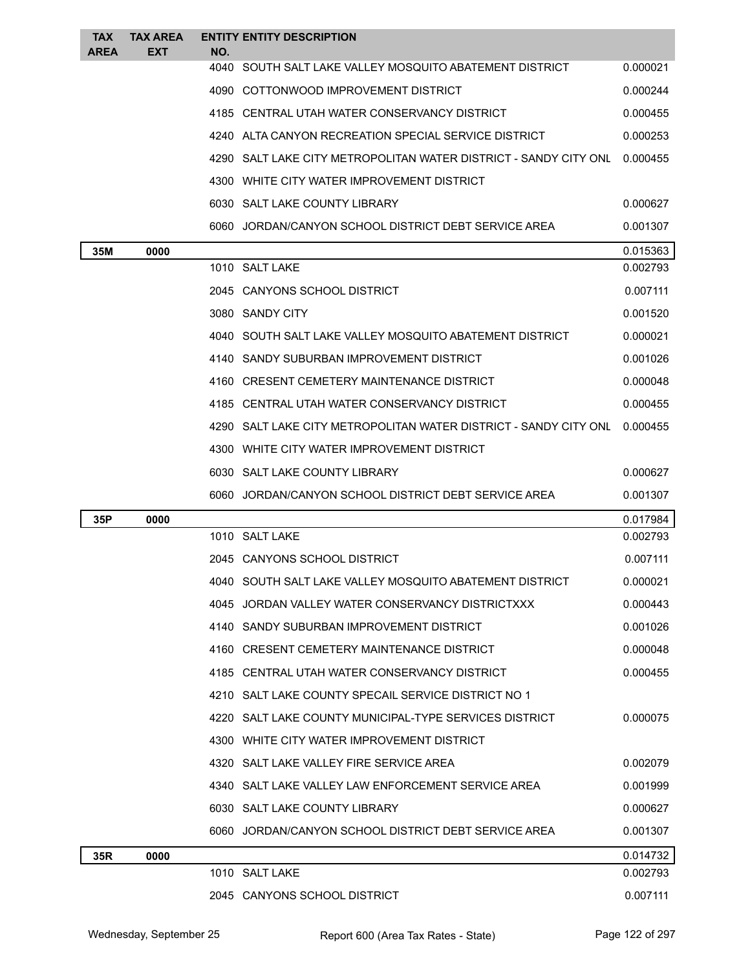| <b>TAX</b><br><b>AREA</b> | <b>TAX AREA</b><br><b>EXT</b> | NO. | <b>ENTITY ENTITY DESCRIPTION</b>                                           |          |
|---------------------------|-------------------------------|-----|----------------------------------------------------------------------------|----------|
|                           |                               |     | 4040 SOUTH SALT LAKE VALLEY MOSQUITO ABATEMENT DISTRICT                    | 0.000021 |
|                           |                               |     | 4090 COTTONWOOD IMPROVEMENT DISTRICT                                       | 0.000244 |
|                           |                               |     | 4185 CENTRAL UTAH WATER CONSERVANCY DISTRICT                               | 0.000455 |
|                           |                               |     | 4240 ALTA CANYON RECREATION SPECIAL SERVICE DISTRICT                       | 0.000253 |
|                           |                               |     | 4290 SALT LAKE CITY METROPOLITAN WATER DISTRICT - SANDY CITY ONL           | 0.000455 |
|                           |                               |     | 4300 WHITE CITY WATER IMPROVEMENT DISTRICT                                 |          |
|                           |                               |     | 6030 SALT LAKE COUNTY LIBRARY                                              | 0.000627 |
|                           |                               |     | 6060 JORDAN/CANYON SCHOOL DISTRICT DEBT SERVICE AREA                       | 0.001307 |
| 35M                       | 0000                          |     |                                                                            | 0.015363 |
|                           |                               |     | 1010 SALT LAKE                                                             | 0.002793 |
|                           |                               |     | 2045 CANYONS SCHOOL DISTRICT                                               | 0.007111 |
|                           |                               |     | 3080 SANDY CITY                                                            | 0.001520 |
|                           |                               |     | 4040 SOUTH SALT LAKE VALLEY MOSQUITO ABATEMENT DISTRICT                    | 0.000021 |
|                           |                               |     | 4140 SANDY SUBURBAN IMPROVEMENT DISTRICT                                   | 0.001026 |
|                           |                               |     | 4160 CRESENT CEMETERY MAINTENANCE DISTRICT                                 | 0.000048 |
|                           |                               |     | 4185 CENTRAL UTAH WATER CONSERVANCY DISTRICT                               | 0.000455 |
|                           |                               |     | 4290 SALT LAKE CITY METROPOLITAN WATER DISTRICT - SANDY CITY ONL  0.000455 |          |
|                           |                               |     | 4300 WHITE CITY WATER IMPROVEMENT DISTRICT                                 |          |
|                           |                               |     | 6030 SALT LAKE COUNTY LIBRARY                                              | 0.000627 |
|                           |                               |     | 6060 JORDAN/CANYON SCHOOL DISTRICT DEBT SERVICE AREA                       | 0.001307 |
| 35P                       | 0000                          |     |                                                                            | 0.017984 |
|                           |                               |     | 1010 SALT LAKE                                                             | 0.002793 |
|                           |                               |     | 2045 CANYONS SCHOOL DISTRICT                                               | 0.007111 |
|                           |                               |     | 4040 SOUTH SALT LAKE VALLEY MOSQUITO ABATEMENT DISTRICT                    | 0.000021 |
|                           |                               |     | 4045 JORDAN VALLEY WATER CONSERVANCY DISTRICTXXX                           | 0.000443 |
|                           |                               |     | 4140 SANDY SUBURBAN IMPROVEMENT DISTRICT                                   | 0.001026 |
|                           |                               |     | 4160 CRESENT CEMETERY MAINTENANCE DISTRICT                                 | 0.000048 |
|                           |                               |     | 4185 CENTRAL UTAH WATER CONSERVANCY DISTRICT                               | 0.000455 |
|                           |                               |     | 4210 SALT LAKE COUNTY SPECAIL SERVICE DISTRICT NO 1                        |          |
|                           |                               |     | 4220 SALT LAKE COUNTY MUNICIPAL-TYPE SERVICES DISTRICT                     | 0.000075 |
|                           |                               |     | 4300 WHITE CITY WATER IMPROVEMENT DISTRICT                                 |          |
|                           |                               |     | 4320 SALT LAKE VALLEY FIRE SERVICE AREA                                    | 0.002079 |
|                           |                               |     | 4340 SALT LAKE VALLEY LAW ENFORCEMENT SERVICE AREA                         | 0.001999 |
|                           |                               |     | 6030 SALT LAKE COUNTY LIBRARY                                              | 0.000627 |
|                           |                               |     | 6060 JORDAN/CANYON SCHOOL DISTRICT DEBT SERVICE AREA                       | 0.001307 |
| 35R                       | 0000                          |     |                                                                            | 0.014732 |
|                           |                               |     |                                                                            |          |
|                           |                               |     | 1010 SALT LAKE                                                             | 0.002793 |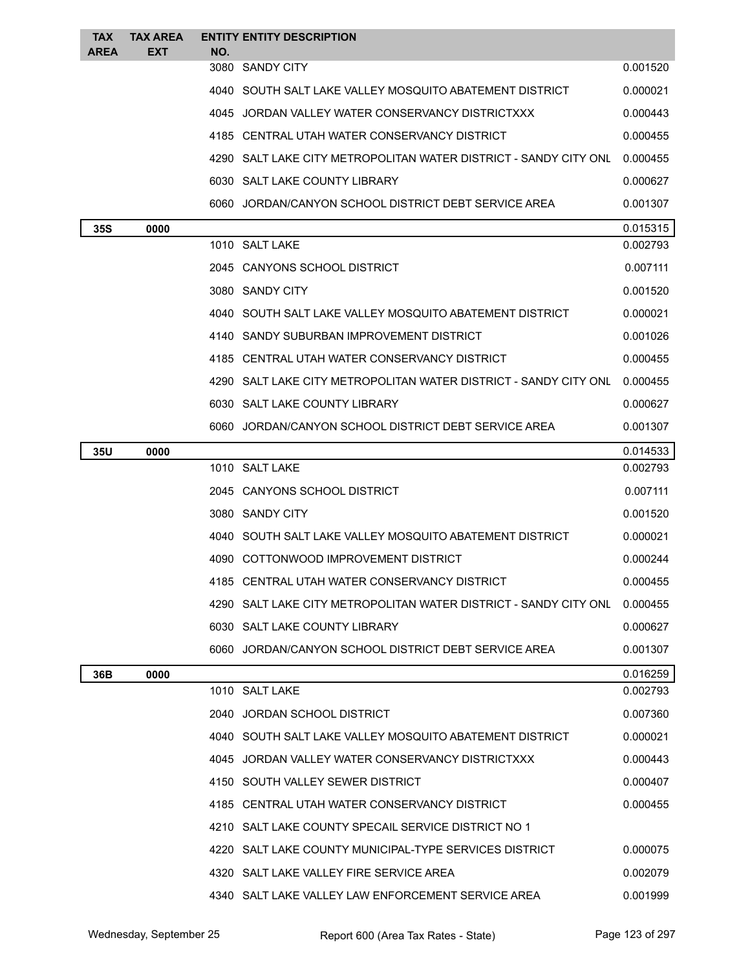| <b>TAX</b>  | <b>TAX AREA</b> |     | <b>ENTITY ENTITY DESCRIPTION</b>                                   |          |
|-------------|-----------------|-----|--------------------------------------------------------------------|----------|
| <b>AREA</b> | <b>EXT</b>      | NO. | 3080 SANDY CITY                                                    | 0.001520 |
|             |                 |     | 4040   SOUTH SALT LAKE VALLEY MOSQUITO ABATEMENT DISTRICT          | 0.000021 |
|             |                 |     | 4045 JORDAN VALLEY WATER CONSERVANCY DISTRICTXXX                   | 0.000443 |
|             |                 |     | 4185 CENTRAL UTAH WATER CONSERVANCY DISTRICT                       | 0.000455 |
|             |                 |     | 4290   SALT LAKE CITY METROPOLITAN WATER DISTRICT - SANDY CITY ONL | 0.000455 |
|             |                 |     | 6030 SALT LAKE COUNTY LIBRARY                                      | 0.000627 |
|             |                 |     | 6060 JORDAN/CANYON SCHOOL DISTRICT DEBT SERVICE AREA               | 0.001307 |
| 35S         | 0000            |     |                                                                    | 0.015315 |
|             |                 |     | 1010 SALT LAKE                                                     | 0.002793 |
|             |                 |     | 2045 CANYONS SCHOOL DISTRICT                                       | 0.007111 |
|             |                 |     | 3080 SANDY CITY                                                    | 0.001520 |
|             |                 |     | 4040 SOUTH SALT LAKE VALLEY MOSQUITO ABATEMENT DISTRICT            | 0.000021 |
|             |                 |     | 4140 SANDY SUBURBAN IMPROVEMENT DISTRICT                           | 0.001026 |
|             |                 |     | 4185 CENTRAL UTAH WATER CONSERVANCY DISTRICT                       | 0.000455 |
|             |                 |     | 4290 SALT LAKE CITY METROPOLITAN WATER DISTRICT - SANDY CITY ONL   | 0.000455 |
|             |                 |     | 6030 SALT LAKE COUNTY LIBRARY                                      | 0.000627 |
|             |                 |     | 6060 JORDAN/CANYON SCHOOL DISTRICT DEBT SERVICE AREA               | 0.001307 |
| 35U         | 0000            |     |                                                                    | 0.014533 |
|             |                 |     | 1010 SALT LAKE                                                     | 0.002793 |
|             |                 |     | 2045 CANYONS SCHOOL DISTRICT                                       | 0.007111 |
|             |                 |     | 3080 SANDY CITY                                                    | 0.001520 |
|             |                 |     | 4040 SOUTH SALT LAKE VALLEY MOSQUITO ABATEMENT DISTRICT            | 0.000021 |
|             |                 |     | 4090 COTTONWOOD IMPROVEMENT DISTRICT                               | 0.000244 |
|             |                 |     | 4185 CENTRAL UTAH WATER CONSERVANCY DISTRICT                       | 0.000455 |
|             |                 |     | 4290   SALT LAKE CITY METROPOLITAN WATER DISTRICT - SANDY CITY ONL | 0.000455 |
|             |                 |     | 6030 SALT LAKE COUNTY LIBRARY                                      | 0.000627 |
|             |                 |     | 6060 JORDAN/CANYON SCHOOL DISTRICT DEBT SERVICE AREA               | 0.001307 |
| 36B         | 0000            |     |                                                                    | 0.016259 |
|             |                 |     | 1010 SALT LAKE                                                     | 0.002793 |
|             |                 |     | 2040 JORDAN SCHOOL DISTRICT                                        | 0.007360 |
|             |                 |     | 4040 SOUTH SALT LAKE VALLEY MOSQUITO ABATEMENT DISTRICT            | 0.000021 |
|             |                 |     | 4045 JORDAN VALLEY WATER CONSERVANCY DISTRICTXXX                   | 0.000443 |
|             |                 |     | 4150 SOUTH VALLEY SEWER DISTRICT                                   | 0.000407 |
|             |                 |     | 4185 CENTRAL UTAH WATER CONSERVANCY DISTRICT                       | 0.000455 |
|             |                 |     | 4210 SALT LAKE COUNTY SPECAIL SERVICE DISTRICT NO 1                |          |
|             |                 |     | 4220 SALT LAKE COUNTY MUNICIPAL-TYPE SERVICES DISTRICT             | 0.000075 |
|             |                 |     | 4320 SALT LAKE VALLEY FIRE SERVICE AREA                            | 0.002079 |
|             |                 |     | 4340 SALT LAKE VALLEY LAW ENFORCEMENT SERVICE AREA                 | 0.001999 |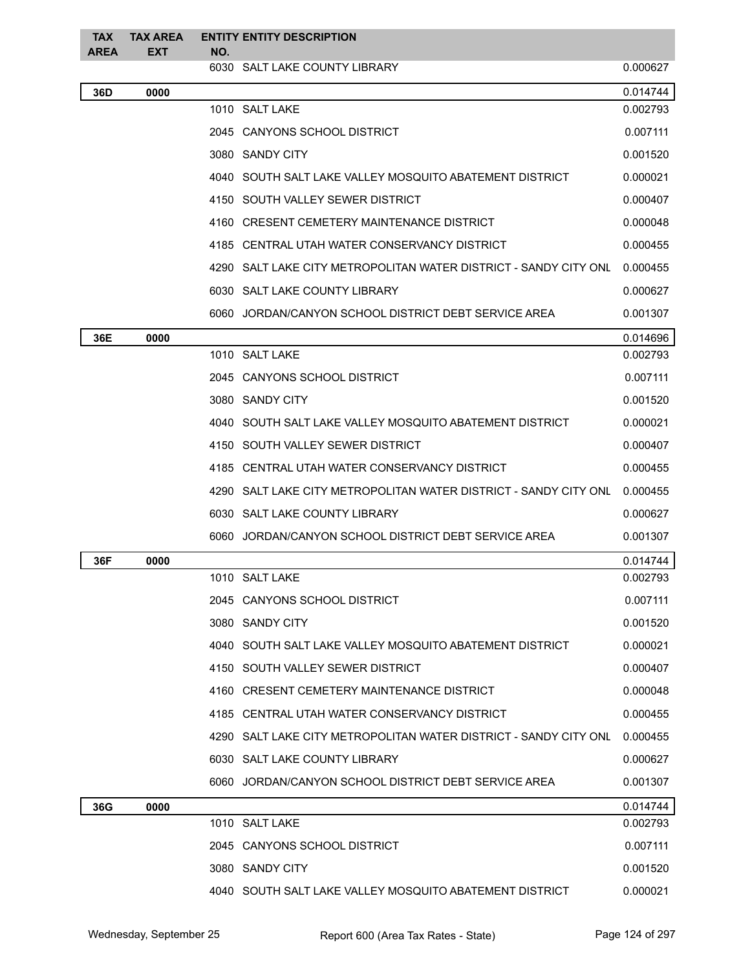| <b>TAX</b><br><b>AREA</b> | <b>TAX AREA</b><br><b>EXT</b> | NO. | <b>ENTITY ENTITY DESCRIPTION</b>                                 |          |
|---------------------------|-------------------------------|-----|------------------------------------------------------------------|----------|
|                           |                               |     | 6030 SALT LAKE COUNTY LIBRARY                                    | 0.000627 |
| 36D                       | 0000                          |     |                                                                  | 0.014744 |
|                           |                               |     | 1010 SALT LAKE                                                   | 0.002793 |
|                           |                               |     | 2045 CANYONS SCHOOL DISTRICT                                     | 0.007111 |
|                           |                               |     | 3080 SANDY CITY                                                  | 0.001520 |
|                           |                               |     | 4040 SOUTH SALT LAKE VALLEY MOSQUITO ABATEMENT DISTRICT          | 0.000021 |
|                           |                               |     | 4150 SOUTH VALLEY SEWER DISTRICT                                 | 0.000407 |
|                           |                               |     | 4160 CRESENT CEMETERY MAINTENANCE DISTRICT                       | 0.000048 |
|                           |                               |     | 4185 CENTRAL UTAH WATER CONSERVANCY DISTRICT                     | 0.000455 |
|                           |                               |     | 4290 SALT LAKE CITY METROPOLITAN WATER DISTRICT - SANDY CITY ONL | 0.000455 |
|                           |                               |     | 6030 SALT LAKE COUNTY LIBRARY                                    | 0.000627 |
|                           |                               |     | 6060 JORDAN/CANYON SCHOOL DISTRICT DEBT SERVICE AREA             | 0.001307 |
| 36E                       | 0000                          |     |                                                                  | 0.014696 |
|                           |                               |     | 1010 SALT LAKE                                                   | 0.002793 |
|                           |                               |     | 2045 CANYONS SCHOOL DISTRICT                                     | 0.007111 |
|                           |                               |     | 3080 SANDY CITY                                                  | 0.001520 |
|                           |                               |     | 4040 SOUTH SALT LAKE VALLEY MOSQUITO ABATEMENT DISTRICT          | 0.000021 |
|                           |                               |     | 4150 SOUTH VALLEY SEWER DISTRICT                                 | 0.000407 |
|                           |                               |     | 4185 CENTRAL UTAH WATER CONSERVANCY DISTRICT                     | 0.000455 |
|                           |                               |     | 4290 SALT LAKE CITY METROPOLITAN WATER DISTRICT - SANDY CITY ONL | 0.000455 |
|                           |                               |     | 6030 SALT LAKE COUNTY LIBRARY                                    | 0.000627 |
|                           |                               |     | 6060 JORDAN/CANYON SCHOOL DISTRICT DEBT SERVICE AREA             | 0.001307 |
| 36F                       | 0000                          |     |                                                                  | 0.014744 |
|                           |                               |     | 1010 SALT LAKE                                                   | 0.002793 |
|                           |                               |     | 2045 CANYONS SCHOOL DISTRICT                                     | 0.007111 |
|                           |                               |     | 3080 SANDY CITY                                                  | 0.001520 |
|                           |                               |     | 4040 SOUTH SALT LAKE VALLEY MOSQUITO ABATEMENT DISTRICT          | 0.000021 |
|                           |                               |     | 4150 SOUTH VALLEY SEWER DISTRICT                                 | 0.000407 |
|                           |                               |     | 4160 CRESENT CEMETERY MAINTENANCE DISTRICT                       | 0.000048 |
|                           |                               |     | 4185 CENTRAL UTAH WATER CONSERVANCY DISTRICT                     | 0.000455 |
|                           |                               |     | 4290 SALT LAKE CITY METROPOLITAN WATER DISTRICT - SANDY CITY ONL | 0.000455 |
|                           |                               |     | 6030 SALT LAKE COUNTY LIBRARY                                    | 0.000627 |
|                           |                               |     | 6060 JORDAN/CANYON SCHOOL DISTRICT DEBT SERVICE AREA             | 0.001307 |
| 36G                       | 0000                          |     |                                                                  | 0.014744 |
|                           |                               |     | 1010 SALT LAKE                                                   | 0.002793 |
|                           |                               |     | 2045 CANYONS SCHOOL DISTRICT                                     | 0.007111 |
|                           |                               |     | 3080 SANDY CITY                                                  | 0.001520 |
|                           |                               |     | 4040 SOUTH SALT LAKE VALLEY MOSQUITO ABATEMENT DISTRICT          | 0.000021 |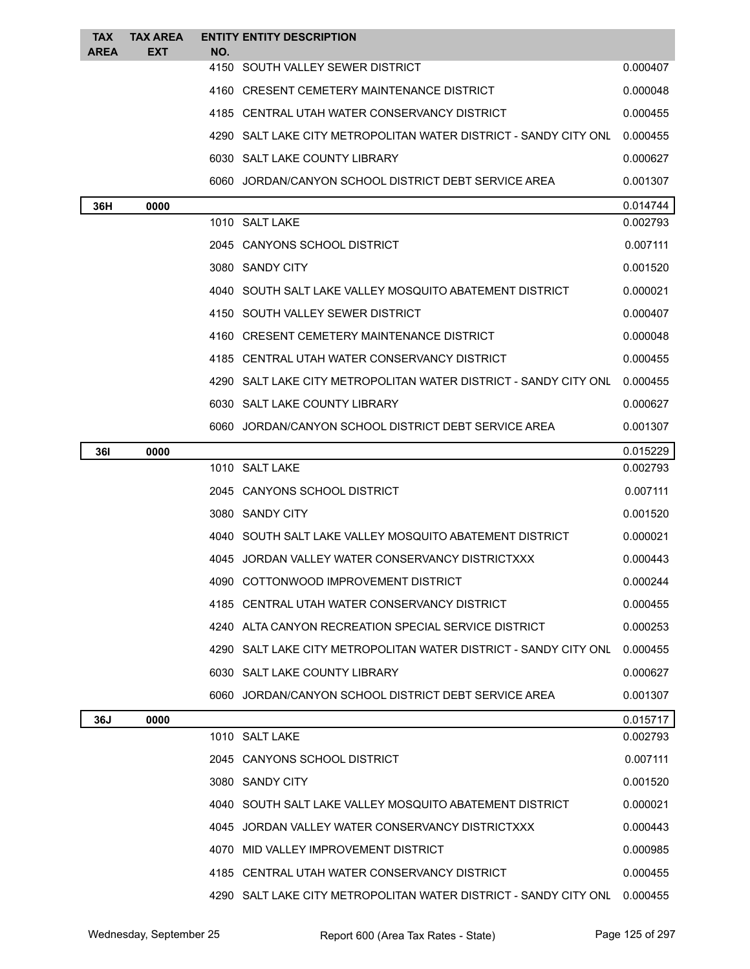| <b>TAX</b>  | <b>TAX AREA</b> |     | <b>ENTITY ENTITY DESCRIPTION</b>                                                           |                      |
|-------------|-----------------|-----|--------------------------------------------------------------------------------------------|----------------------|
| <b>AREA</b> | EXT             | NO. | 4150 SOUTH VALLEY SEWER DISTRICT                                                           | 0.000407             |
|             |                 |     |                                                                                            |                      |
|             |                 |     | 4160 CRESENT CEMETERY MAINTENANCE DISTRICT<br>4185 CENTRAL UTAH WATER CONSERVANCY DISTRICT | 0.000048             |
|             |                 |     |                                                                                            | 0.000455             |
|             |                 |     | 4290 SALT LAKE CITY METROPOLITAN WATER DISTRICT - SANDY CITY ONL                           | 0.000455             |
|             |                 |     | 6030 SALT LAKE COUNTY LIBRARY                                                              | 0.000627             |
|             |                 |     | 6060 JORDAN/CANYON SCHOOL DISTRICT DEBT SERVICE AREA                                       | 0.001307             |
| 36H         | 0000            |     | 1010 SALT LAKE                                                                             | 0.014744<br>0.002793 |
|             |                 |     | 2045 CANYONS SCHOOL DISTRICT                                                               | 0.007111             |
|             |                 |     | 3080 SANDY CITY                                                                            |                      |
|             |                 |     | 4040 SOUTH SALT LAKE VALLEY MOSQUITO ABATEMENT DISTRICT                                    | 0.001520             |
|             |                 |     |                                                                                            | 0.000021             |
|             |                 |     | 4150 SOUTH VALLEY SEWER DISTRICT                                                           | 0.000407             |
|             |                 |     | 4160 CRESENT CEMETERY MAINTENANCE DISTRICT                                                 | 0.000048             |
|             |                 |     | 4185 CENTRAL UTAH WATER CONSERVANCY DISTRICT                                               | 0.000455             |
|             |                 |     | 4290 SALT LAKE CITY METROPOLITAN WATER DISTRICT - SANDY CITY ONL                           | 0.000455             |
|             |                 |     | 6030 SALT LAKE COUNTY LIBRARY                                                              | 0.000627             |
|             |                 |     | 6060 JORDAN/CANYON SCHOOL DISTRICT DEBT SERVICE AREA                                       | 0.001307             |
| <b>361</b>  | 0000            |     | 1010 SALT LAKE                                                                             | 0.015229<br>0.002793 |
|             |                 |     | 2045 CANYONS SCHOOL DISTRICT                                                               | 0.007111             |
|             |                 |     | 3080 SANDY CITY                                                                            | 0.001520             |
|             |                 |     | 4040 SOUTH SALT LAKE VALLEY MOSQUITO ABATEMENT DISTRICT                                    |                      |
|             |                 |     |                                                                                            | 0.000021             |
|             |                 |     | 4045 JORDAN VALLEY WATER CONSERVANCY DISTRICTXXX                                           | 0.000443             |
|             |                 |     | 4090 COTTONWOOD IMPROVEMENT DISTRICT                                                       | 0.000244             |
|             |                 |     | 4185 CENTRAL UTAH WATER CONSERVANCY DISTRICT                                               | 0.000455             |
|             |                 |     | 4240 ALTA CANYON RECREATION SPECIAL SERVICE DISTRICT                                       | 0.000253             |
|             |                 |     | 4290 SALT LAKE CITY METROPOLITAN WATER DISTRICT - SANDY CITY ONL                           | 0.000455             |
|             |                 |     | 6030 SALT LAKE COUNTY LIBRARY                                                              | 0.000627             |
|             |                 |     | 6060 JORDAN/CANYON SCHOOL DISTRICT DEBT SERVICE AREA                                       | 0.001307             |
| 36J         | 0000            |     | 1010 SALT LAKE                                                                             | 0.015717<br>0.002793 |
|             |                 |     | 2045 CANYONS SCHOOL DISTRICT                                                               | 0.007111             |
|             |                 |     |                                                                                            |                      |
|             |                 |     | 3080 SANDY CITY                                                                            | 0.001520             |
|             |                 |     | 4040 SOUTH SALT LAKE VALLEY MOSQUITO ABATEMENT DISTRICT                                    | 0.000021             |
|             |                 |     | 4045 JORDAN VALLEY WATER CONSERVANCY DISTRICTXXX                                           | 0.000443             |
|             |                 |     | 4070 MID VALLEY IMPROVEMENT DISTRICT                                                       | 0.000985             |
|             |                 |     | 4185 CENTRAL UTAH WATER CONSERVANCY DISTRICT                                               | 0.000455             |
|             |                 |     | 4290 SALT LAKE CITY METROPOLITAN WATER DISTRICT - SANDY CITY ONL                           | 0.000455             |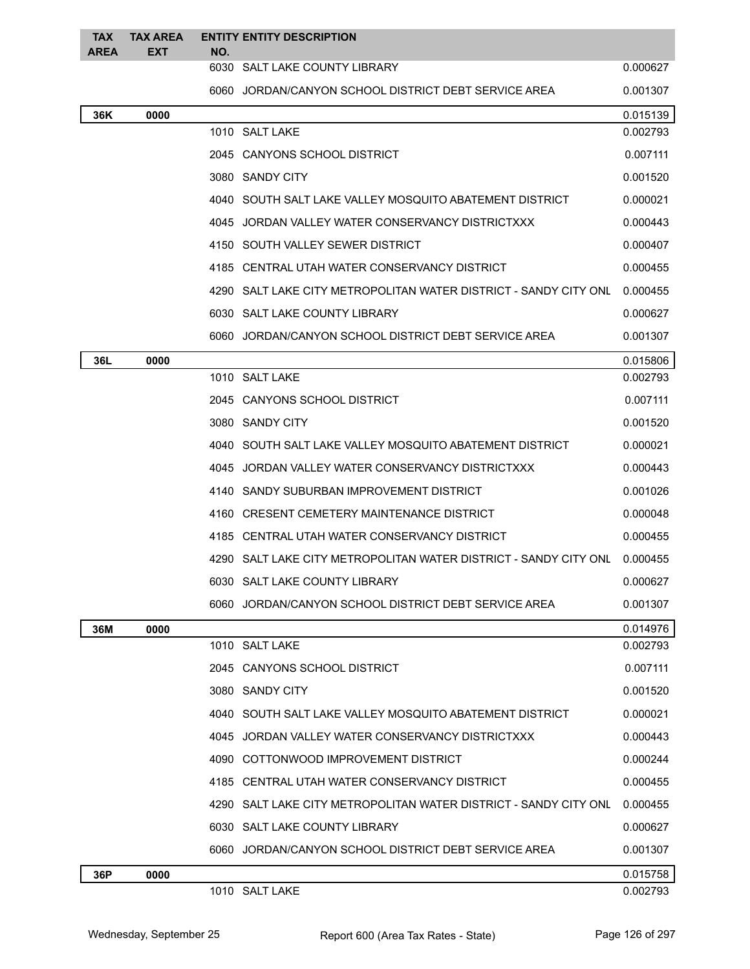| <b>TAX</b><br><b>AREA</b> | <b>TAX AREA</b><br><b>EXT</b> | <b>ENTITY ENTITY DESCRIPTION</b><br>NO. |                                                                  |          |
|---------------------------|-------------------------------|-----------------------------------------|------------------------------------------------------------------|----------|
|                           |                               |                                         | 6030 SALT LAKE COUNTY LIBRARY                                    | 0.000627 |
|                           |                               |                                         | 6060 JORDAN/CANYON SCHOOL DISTRICT DEBT SERVICE AREA             | 0.001307 |
| 36K                       | 0000                          |                                         |                                                                  | 0.015139 |
|                           |                               |                                         | 1010 SALT LAKE                                                   | 0.002793 |
|                           |                               |                                         | 2045 CANYONS SCHOOL DISTRICT                                     | 0.007111 |
|                           |                               |                                         | 3080 SANDY CITY                                                  | 0.001520 |
|                           |                               |                                         | 4040 SOUTH SALT LAKE VALLEY MOSQUITO ABATEMENT DISTRICT          | 0.000021 |
|                           |                               |                                         | 4045 JORDAN VALLEY WATER CONSERVANCY DISTRICTXXX                 | 0.000443 |
|                           |                               |                                         | 4150 SOUTH VALLEY SEWER DISTRICT                                 | 0.000407 |
|                           |                               |                                         | 4185 CENTRAL UTAH WATER CONSERVANCY DISTRICT                     | 0.000455 |
|                           |                               |                                         | 4290 SALT LAKE CITY METROPOLITAN WATER DISTRICT - SANDY CITY ONL | 0.000455 |
|                           |                               |                                         | 6030 SALT LAKE COUNTY LIBRARY                                    | 0.000627 |
|                           |                               |                                         | 6060 JORDAN/CANYON SCHOOL DISTRICT DEBT SERVICE AREA             | 0.001307 |
| 36L                       | 0000                          |                                         |                                                                  | 0.015806 |
|                           |                               |                                         | 1010 SALT LAKE                                                   | 0.002793 |
|                           |                               |                                         | 2045 CANYONS SCHOOL DISTRICT                                     | 0.007111 |
|                           |                               |                                         | 3080 SANDY CITY                                                  | 0.001520 |
|                           |                               |                                         | 4040 SOUTH SALT LAKE VALLEY MOSQUITO ABATEMENT DISTRICT          | 0.000021 |
|                           |                               |                                         | 4045 JORDAN VALLEY WATER CONSERVANCY DISTRICTXXX                 | 0.000443 |
|                           |                               |                                         | 4140 SANDY SUBURBAN IMPROVEMENT DISTRICT                         | 0.001026 |
|                           |                               |                                         | 4160 CRESENT CEMETERY MAINTENANCE DISTRICT                       | 0.000048 |
|                           |                               |                                         | 4185 CENTRAL UTAH WATER CONSERVANCY DISTRICT                     | 0.000455 |
|                           |                               |                                         | 4290 SALT LAKE CITY METROPOLITAN WATER DISTRICT - SANDY CITY ONL | 0.000455 |
|                           |                               |                                         | 6030 SALT LAKE COUNTY LIBRARY                                    | 0.000627 |
|                           |                               |                                         | 6060 JORDAN/CANYON SCHOOL DISTRICT DEBT SERVICE AREA             | 0.001307 |
| 36M                       | 0000                          |                                         |                                                                  | 0.014976 |
|                           |                               |                                         | 1010 SALT LAKE                                                   | 0.002793 |
|                           |                               |                                         | 2045 CANYONS SCHOOL DISTRICT                                     | 0.007111 |
|                           |                               |                                         | 3080 SANDY CITY                                                  | 0.001520 |
|                           |                               |                                         | 4040 SOUTH SALT LAKE VALLEY MOSQUITO ABATEMENT DISTRICT          | 0.000021 |
|                           |                               |                                         | 4045 JORDAN VALLEY WATER CONSERVANCY DISTRICTXXX                 | 0.000443 |
|                           |                               |                                         | 4090 COTTONWOOD IMPROVEMENT DISTRICT                             | 0.000244 |
|                           |                               |                                         | 4185 CENTRAL UTAH WATER CONSERVANCY DISTRICT                     | 0.000455 |
|                           |                               |                                         | 4290 SALT LAKE CITY METROPOLITAN WATER DISTRICT - SANDY CITY ONL | 0.000455 |
|                           |                               |                                         | 6030 SALT LAKE COUNTY LIBRARY                                    | 0.000627 |
|                           |                               |                                         | 6060 JORDAN/CANYON SCHOOL DISTRICT DEBT SERVICE AREA             | 0.001307 |
| 36P                       | 0000                          |                                         |                                                                  | 0.015758 |
|                           |                               |                                         | 1010 SALT LAKE                                                   | 0.002793 |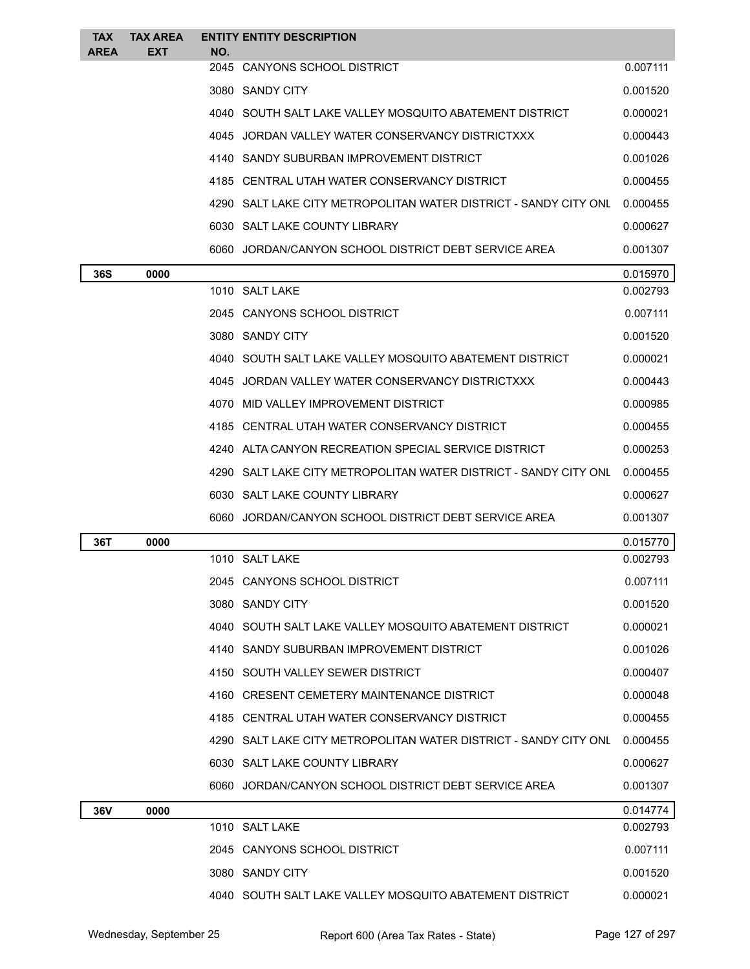| <b>TAX</b><br><b>AREA</b> | <b>TAX AREA</b><br>EXT | NO. | <b>ENTITY ENTITY DESCRIPTION</b>                                 |          |
|---------------------------|------------------------|-----|------------------------------------------------------------------|----------|
|                           |                        |     | 2045 CANYONS SCHOOL DISTRICT                                     | 0.007111 |
|                           |                        |     | 3080 SANDY CITY                                                  | 0.001520 |
|                           |                        |     | 4040 SOUTH SALT LAKE VALLEY MOSQUITO ABATEMENT DISTRICT          | 0.000021 |
|                           |                        |     | 4045 JORDAN VALLEY WATER CONSERVANCY DISTRICTXXX                 | 0.000443 |
|                           |                        |     | 4140 SANDY SUBURBAN IMPROVEMENT DISTRICT                         | 0.001026 |
|                           |                        |     | 4185 CENTRAL UTAH WATER CONSERVANCY DISTRICT                     | 0.000455 |
|                           |                        |     | 4290 SALT LAKE CITY METROPOLITAN WATER DISTRICT - SANDY CITY ONL | 0.000455 |
|                           |                        |     | 6030 SALT LAKE COUNTY LIBRARY                                    | 0.000627 |
|                           |                        |     | 6060 JORDAN/CANYON SCHOOL DISTRICT DEBT SERVICE AREA             | 0.001307 |
| 36S                       | 0000                   |     |                                                                  | 0.015970 |
|                           |                        |     | 1010 SALT LAKE                                                   | 0.002793 |
|                           |                        |     | 2045 CANYONS SCHOOL DISTRICT                                     | 0.007111 |
|                           |                        |     | 3080 SANDY CITY                                                  | 0.001520 |
|                           |                        |     | 4040 SOUTH SALT LAKE VALLEY MOSQUITO ABATEMENT DISTRICT          | 0.000021 |
|                           |                        |     | 4045 JORDAN VALLEY WATER CONSERVANCY DISTRICTXXX                 | 0.000443 |
|                           |                        |     | 4070 MID VALLEY IMPROVEMENT DISTRICT                             | 0.000985 |
|                           |                        |     | 4185 CENTRAL UTAH WATER CONSERVANCY DISTRICT                     | 0.000455 |
|                           |                        |     | 4240 ALTA CANYON RECREATION SPECIAL SERVICE DISTRICT             | 0.000253 |
|                           |                        |     | 4290 SALT LAKE CITY METROPOLITAN WATER DISTRICT - SANDY CITY ONL | 0.000455 |
|                           |                        |     | 6030 SALT LAKE COUNTY LIBRARY                                    | 0.000627 |
|                           |                        |     | 6060 JORDAN/CANYON SCHOOL DISTRICT DEBT SERVICE AREA             | 0.001307 |
| 36T                       | 0000                   |     |                                                                  | 0.015770 |
|                           |                        |     | 1010 SALT LAKE                                                   | 0.002793 |
|                           |                        |     | 2045 CANYONS SCHOOL DISTRICT                                     | 0.007111 |
|                           |                        |     | 3080 SANDY CITY                                                  | 0.001520 |
|                           |                        |     | 4040 SOUTH SALT LAKE VALLEY MOSQUITO ABATEMENT DISTRICT          | 0.000021 |
|                           |                        |     | 4140 SANDY SUBURBAN IMPROVEMENT DISTRICT                         | 0.001026 |
|                           |                        |     | 4150 SOUTH VALLEY SEWER DISTRICT                                 | 0.000407 |
|                           |                        |     | 4160 CRESENT CEMETERY MAINTENANCE DISTRICT                       | 0.000048 |
|                           |                        |     | 4185 CENTRAL UTAH WATER CONSERVANCY DISTRICT                     | 0.000455 |
|                           |                        |     | 4290 SALT LAKE CITY METROPOLITAN WATER DISTRICT - SANDY CITY ONL | 0.000455 |
|                           |                        |     | 6030 SALT LAKE COUNTY LIBRARY                                    | 0.000627 |
|                           |                        |     | 6060 JORDAN/CANYON SCHOOL DISTRICT DEBT SERVICE AREA             | 0.001307 |
| 36V                       | 0000                   |     |                                                                  | 0.014774 |
|                           |                        |     | 1010 SALT LAKE                                                   | 0.002793 |
|                           |                        |     | 2045 CANYONS SCHOOL DISTRICT                                     | 0.007111 |
|                           |                        |     | 3080 SANDY CITY                                                  | 0.001520 |
|                           |                        |     | 4040 SOUTH SALT LAKE VALLEY MOSQUITO ABATEMENT DISTRICT          | 0.000021 |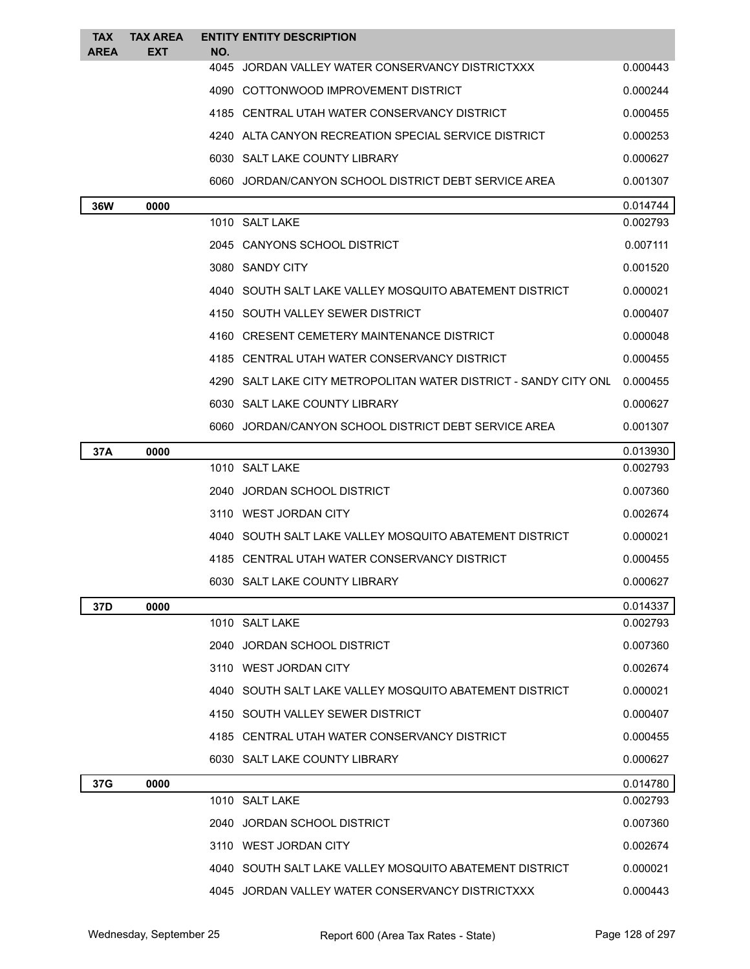| <b>TAX</b><br><b>AREA</b> | <b>TAX AREA</b><br>EXT | <b>ENTITY ENTITY DESCRIPTION</b><br>NO. |                                                                  |          |
|---------------------------|------------------------|-----------------------------------------|------------------------------------------------------------------|----------|
|                           |                        |                                         | 4045 JORDAN VALLEY WATER CONSERVANCY DISTRICTXXX                 | 0.000443 |
|                           |                        |                                         | 4090 COTTONWOOD IMPROVEMENT DISTRICT                             | 0.000244 |
|                           |                        |                                         | 4185 CENTRAL UTAH WATER CONSERVANCY DISTRICT                     | 0.000455 |
|                           |                        |                                         | 4240 ALTA CANYON RECREATION SPECIAL SERVICE DISTRICT             | 0.000253 |
|                           |                        | 6030 SALT LAKE COUNTY LIBRARY           |                                                                  | 0.000627 |
|                           |                        |                                         | 6060 JORDAN/CANYON SCHOOL DISTRICT DEBT SERVICE AREA             | 0.001307 |
| 36W                       | 0000                   |                                         |                                                                  | 0.014744 |
|                           |                        | 1010 SALT LAKE                          |                                                                  | 0.002793 |
|                           |                        | 2045 CANYONS SCHOOL DISTRICT            |                                                                  | 0.007111 |
|                           |                        | 3080 SANDY CITY                         |                                                                  | 0.001520 |
|                           |                        |                                         | 4040 SOUTH SALT LAKE VALLEY MOSQUITO ABATEMENT DISTRICT          | 0.000021 |
|                           |                        |                                         | 4150 SOUTH VALLEY SEWER DISTRICT                                 | 0.000407 |
|                           |                        |                                         | 4160 CRESENT CEMETERY MAINTENANCE DISTRICT                       | 0.000048 |
|                           |                        |                                         | 4185 CENTRAL UTAH WATER CONSERVANCY DISTRICT                     | 0.000455 |
|                           |                        |                                         | 4290 SALT LAKE CITY METROPOLITAN WATER DISTRICT - SANDY CITY ONL | 0.000455 |
|                           |                        | 6030 SALT LAKE COUNTY LIBRARY           |                                                                  | 0.000627 |
|                           |                        |                                         | 6060 JORDAN/CANYON SCHOOL DISTRICT DEBT SERVICE AREA             | 0.001307 |
| 37A                       | 0000                   |                                         |                                                                  | 0.013930 |
|                           |                        | 1010 SALT LAKE                          |                                                                  | 0.002793 |
|                           |                        | 2040 JORDAN SCHOOL DISTRICT             |                                                                  | 0.007360 |
|                           |                        | 3110 WEST JORDAN CITY                   |                                                                  | 0.002674 |
|                           |                        |                                         | 4040 SOUTH SALT LAKE VALLEY MOSQUITO ABATEMENT DISTRICT          | 0.000021 |
|                           |                        |                                         | 4185 CENTRAL UTAH WATER CONSERVANCY DISTRICT                     | 0.000455 |
|                           |                        | 6030 SALT LAKE COUNTY LIBRARY           |                                                                  | 0.000627 |
| 37D                       | 0000                   |                                         |                                                                  | 0.014337 |
|                           |                        | 1010 SALT LAKE                          |                                                                  | 0.002793 |
|                           |                        | 2040 JORDAN SCHOOL DISTRICT             |                                                                  | 0.007360 |
|                           |                        | 3110 WEST JORDAN CITY                   |                                                                  | 0.002674 |
|                           |                        |                                         | 4040 SOUTH SALT LAKE VALLEY MOSQUITO ABATEMENT DISTRICT          | 0.000021 |
|                           |                        |                                         | 4150 SOUTH VALLEY SEWER DISTRICT                                 | 0.000407 |
|                           |                        |                                         | 4185 CENTRAL UTAH WATER CONSERVANCY DISTRICT                     | 0.000455 |
|                           |                        | 6030 SALT LAKE COUNTY LIBRARY           |                                                                  | 0.000627 |
| 37G                       | 0000                   |                                         |                                                                  | 0.014780 |
|                           |                        | 1010 SALT LAKE                          |                                                                  | 0.002793 |
|                           |                        | 2040 JORDAN SCHOOL DISTRICT             |                                                                  | 0.007360 |
|                           |                        | 3110 WEST JORDAN CITY                   |                                                                  | 0.002674 |
|                           |                        |                                         | 4040 SOUTH SALT LAKE VALLEY MOSQUITO ABATEMENT DISTRICT          | 0.000021 |
|                           |                        |                                         | 4045 JORDAN VALLEY WATER CONSERVANCY DISTRICTXXX                 | 0.000443 |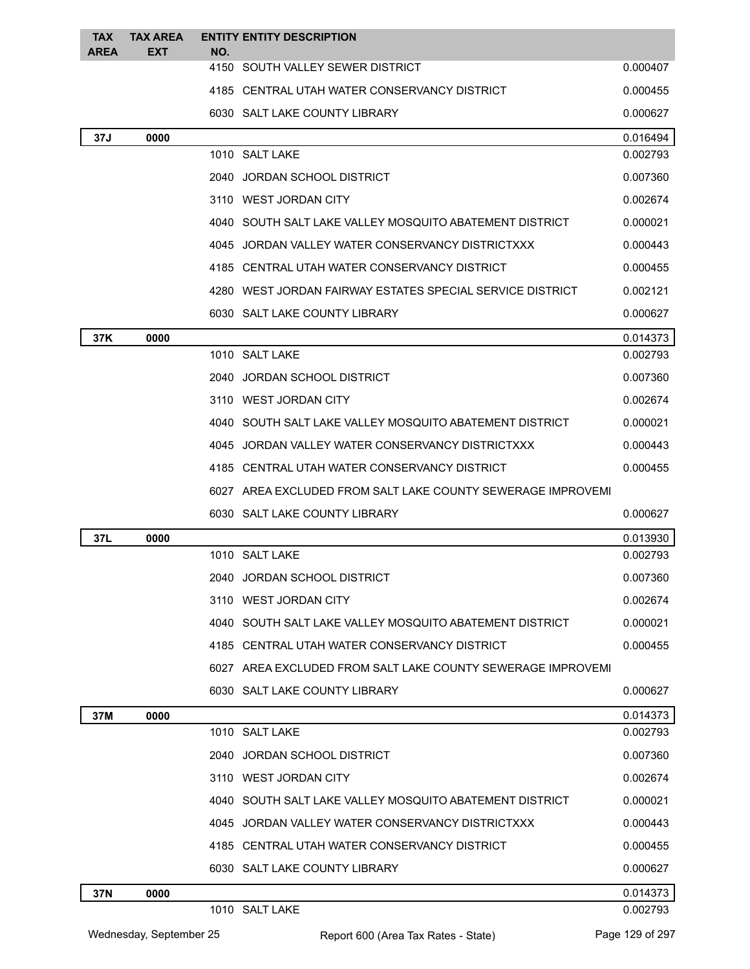| <b>TAX</b><br><b>AREA</b> | <b>TAX AREA</b><br><b>EXT</b> | NO. | <b>ENTITY ENTITY DESCRIPTION</b>                            |          |
|---------------------------|-------------------------------|-----|-------------------------------------------------------------|----------|
|                           |                               |     | 4150 SOUTH VALLEY SEWER DISTRICT                            | 0.000407 |
|                           |                               |     | 4185 CENTRAL UTAH WATER CONSERVANCY DISTRICT                | 0.000455 |
|                           |                               |     | 6030 SALT LAKE COUNTY LIBRARY                               | 0.000627 |
| 37J                       | 0000                          |     |                                                             | 0.016494 |
|                           |                               |     | 1010 SALT LAKE                                              | 0.002793 |
|                           |                               |     | 2040 JORDAN SCHOOL DISTRICT                                 | 0.007360 |
|                           |                               |     | 3110 WEST JORDAN CITY                                       | 0.002674 |
|                           |                               |     | 4040 SOUTH SALT LAKE VALLEY MOSQUITO ABATEMENT DISTRICT     | 0.000021 |
|                           |                               |     | 4045 JORDAN VALLEY WATER CONSERVANCY DISTRICTXXX            | 0.000443 |
|                           |                               |     | 4185 CENTRAL UTAH WATER CONSERVANCY DISTRICT                | 0.000455 |
|                           |                               |     | 4280 WEST JORDAN FAIRWAY ESTATES SPECIAL SERVICE DISTRICT   | 0.002121 |
|                           |                               |     | 6030 SALT LAKE COUNTY LIBRARY                               | 0.000627 |
| 37K                       | 0000                          |     |                                                             | 0.014373 |
|                           |                               |     | 1010 SALT LAKE                                              | 0.002793 |
|                           |                               |     | 2040 JORDAN SCHOOL DISTRICT                                 | 0.007360 |
|                           |                               |     | 3110 WEST JORDAN CITY                                       | 0.002674 |
|                           |                               |     | 4040 SOUTH SALT LAKE VALLEY MOSQUITO ABATEMENT DISTRICT     | 0.000021 |
|                           |                               |     | 4045 JORDAN VALLEY WATER CONSERVANCY DISTRICTXXX            | 0.000443 |
|                           |                               |     | 4185 CENTRAL UTAH WATER CONSERVANCY DISTRICT                | 0.000455 |
|                           |                               |     | 6027 AREA EXCLUDED FROM SALT LAKE COUNTY SEWERAGE IMPROVEMI |          |
|                           |                               |     | 6030 SALT LAKE COUNTY LIBRARY                               | 0.000627 |
| 37L                       | 0000                          |     |                                                             | 0.013930 |
|                           |                               |     | 1010 SALT LAKE                                              | 0.002793 |
|                           |                               |     | 2040 JORDAN SCHOOL DISTRICT                                 | 0.007360 |
|                           |                               |     | 3110 WEST JORDAN CITY                                       | 0.002674 |
|                           |                               |     | 4040 SOUTH SALT LAKE VALLEY MOSQUITO ABATEMENT DISTRICT     | 0.000021 |
|                           |                               |     | 4185 CENTRAL UTAH WATER CONSERVANCY DISTRICT                | 0.000455 |
|                           |                               |     | 6027 AREA EXCLUDED FROM SALT LAKE COUNTY SEWERAGE IMPROVEMI |          |
|                           |                               |     | 6030 SALT LAKE COUNTY LIBRARY                               | 0.000627 |
| 37M                       | 0000                          |     |                                                             | 0.014373 |
|                           |                               |     | 1010 SALT LAKE                                              | 0.002793 |
|                           |                               |     | 2040 JORDAN SCHOOL DISTRICT                                 | 0.007360 |
|                           |                               |     | 3110 WEST JORDAN CITY                                       | 0.002674 |
|                           |                               |     | 4040 SOUTH SALT LAKE VALLEY MOSQUITO ABATEMENT DISTRICT     | 0.000021 |
|                           |                               |     | 4045 JORDAN VALLEY WATER CONSERVANCY DISTRICTXXX            | 0.000443 |
|                           |                               |     | 4185 CENTRAL UTAH WATER CONSERVANCY DISTRICT                | 0.000455 |
|                           |                               |     | 6030 SALT LAKE COUNTY LIBRARY                               | 0.000627 |
| 37N                       | 0000                          |     |                                                             | 0.014373 |
|                           |                               |     | 1010 SALT LAKE                                              | 0.002793 |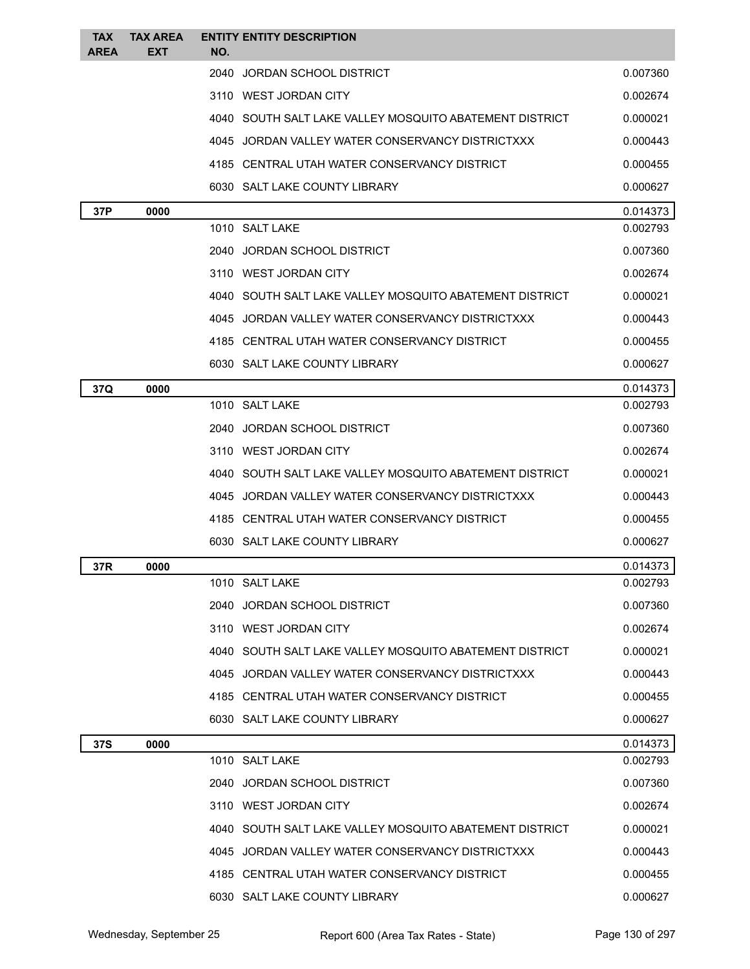| <b>TAX</b><br><b>AREA</b> | <b>TAX AREA</b><br><b>EXT</b> | <b>ENTITY ENTITY DESCRIPTION</b><br>NO.                 |          |
|---------------------------|-------------------------------|---------------------------------------------------------|----------|
|                           |                               | 2040 JORDAN SCHOOL DISTRICT                             | 0.007360 |
|                           |                               | 3110 WEST JORDAN CITY                                   | 0.002674 |
|                           |                               | 4040 SOUTH SALT LAKE VALLEY MOSQUITO ABATEMENT DISTRICT | 0.000021 |
|                           |                               | 4045 JORDAN VALLEY WATER CONSERVANCY DISTRICTXXX        | 0.000443 |
|                           |                               | 4185 CENTRAL UTAH WATER CONSERVANCY DISTRICT            | 0.000455 |
|                           |                               | 6030 SALT LAKE COUNTY LIBRARY                           | 0.000627 |
| 37P                       | 0000                          |                                                         | 0.014373 |
|                           |                               | 1010 SALT LAKE                                          | 0.002793 |
|                           |                               | 2040 JORDAN SCHOOL DISTRICT                             | 0.007360 |
|                           |                               | 3110 WEST JORDAN CITY                                   | 0.002674 |
|                           |                               | 4040 SOUTH SALT LAKE VALLEY MOSQUITO ABATEMENT DISTRICT | 0.000021 |
|                           |                               | 4045 JORDAN VALLEY WATER CONSERVANCY DISTRICTXXX        | 0.000443 |
|                           |                               | 4185 CENTRAL UTAH WATER CONSERVANCY DISTRICT            | 0.000455 |
|                           |                               | 6030 SALT LAKE COUNTY LIBRARY                           | 0.000627 |
| 37Q                       | 0000                          |                                                         | 0.014373 |
|                           |                               | 1010 SALT LAKE                                          | 0.002793 |
|                           |                               | 2040 JORDAN SCHOOL DISTRICT                             | 0.007360 |
|                           |                               | 3110 WEST JORDAN CITY                                   | 0.002674 |
|                           |                               | 4040 SOUTH SALT LAKE VALLEY MOSQUITO ABATEMENT DISTRICT | 0.000021 |
|                           |                               | 4045 JORDAN VALLEY WATER CONSERVANCY DISTRICTXXX        | 0.000443 |
|                           |                               | 4185 CENTRAL UTAH WATER CONSERVANCY DISTRICT            | 0.000455 |
|                           |                               | 6030 SALT LAKE COUNTY LIBRARY                           | 0.000627 |
| 37R                       | 0000                          |                                                         | 0.014373 |
|                           |                               | 1010 SALT LAKE                                          | 0.002793 |
|                           |                               | 2040 JORDAN SCHOOL DISTRICT                             | 0.007360 |
|                           |                               | 3110 WEST JORDAN CITY                                   | 0.002674 |
|                           |                               | 4040 SOUTH SALT LAKE VALLEY MOSQUITO ABATEMENT DISTRICT | 0.000021 |
|                           |                               | 4045 JORDAN VALLEY WATER CONSERVANCY DISTRICTXXX        | 0.000443 |
|                           |                               | 4185 CENTRAL UTAH WATER CONSERVANCY DISTRICT            | 0.000455 |
|                           |                               | 6030 SALT LAKE COUNTY LIBRARY                           | 0.000627 |
| 37S                       | 0000                          |                                                         | 0.014373 |
|                           |                               | 1010 SALT LAKE                                          | 0.002793 |
|                           |                               | 2040 JORDAN SCHOOL DISTRICT                             | 0.007360 |
|                           |                               | 3110 WEST JORDAN CITY                                   | 0.002674 |
|                           |                               | 4040 SOUTH SALT LAKE VALLEY MOSQUITO ABATEMENT DISTRICT | 0.000021 |
|                           |                               | 4045 JORDAN VALLEY WATER CONSERVANCY DISTRICTXXX        | 0.000443 |
|                           |                               | 4185 CENTRAL UTAH WATER CONSERVANCY DISTRICT            | 0.000455 |
|                           |                               | 6030 SALT LAKE COUNTY LIBRARY                           | 0.000627 |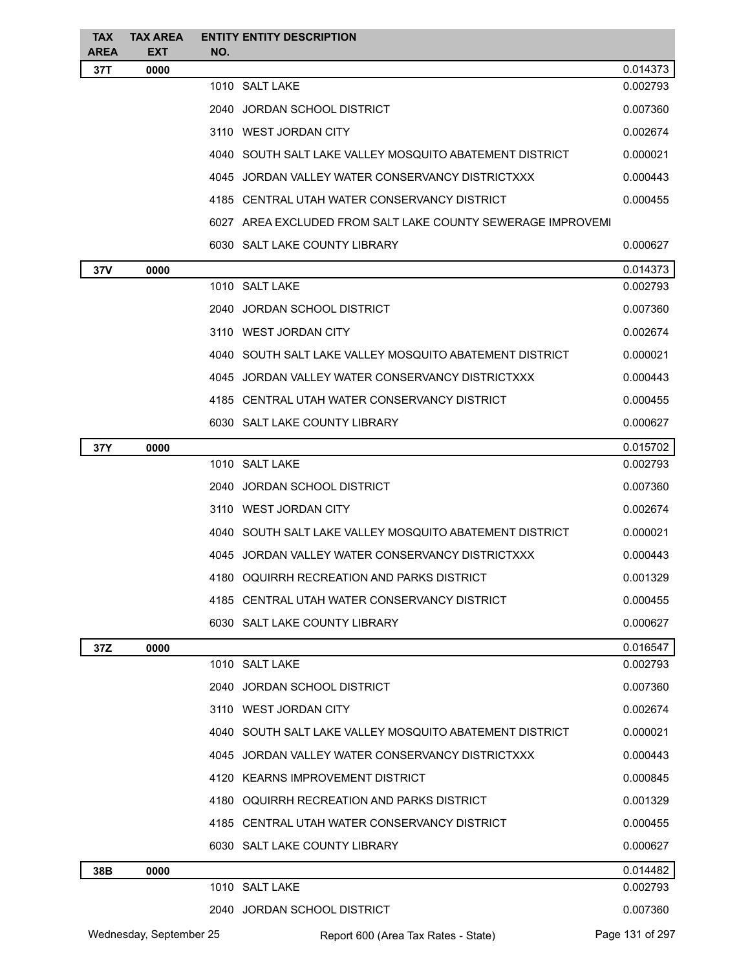| <b>TAX</b><br><b>AREA</b> | <b>TAX AREA</b><br><b>EXT</b> | NO. | <b>ENTITY ENTITY DESCRIPTION</b>                            |                 |
|---------------------------|-------------------------------|-----|-------------------------------------------------------------|-----------------|
| 37T                       | 0000                          |     |                                                             | 0.014373        |
|                           |                               |     | 1010 SALT LAKE                                              | 0.002793        |
|                           |                               |     | 2040 JORDAN SCHOOL DISTRICT                                 | 0.007360        |
|                           |                               |     | 3110 WEST JORDAN CITY                                       | 0.002674        |
|                           |                               |     | 4040 SOUTH SALT LAKE VALLEY MOSQUITO ABATEMENT DISTRICT     | 0.000021        |
|                           |                               |     | 4045 JORDAN VALLEY WATER CONSERVANCY DISTRICTXXX            | 0.000443        |
|                           |                               |     | 4185 CENTRAL UTAH WATER CONSERVANCY DISTRICT                | 0.000455        |
|                           |                               |     | 6027 AREA EXCLUDED FROM SALT LAKE COUNTY SEWERAGE IMPROVEMI |                 |
|                           |                               |     | 6030 SALT LAKE COUNTY LIBRARY                               | 0.000627        |
| 37V                       | 0000                          |     |                                                             | 0.014373        |
|                           |                               |     | 1010 SALT LAKE                                              | 0.002793        |
|                           |                               |     | 2040 JORDAN SCHOOL DISTRICT                                 | 0.007360        |
|                           |                               |     | 3110 WEST JORDAN CITY                                       | 0.002674        |
|                           |                               |     | 4040 SOUTH SALT LAKE VALLEY MOSQUITO ABATEMENT DISTRICT     | 0.000021        |
|                           |                               |     | 4045 JORDAN VALLEY WATER CONSERVANCY DISTRICTXXX            | 0.000443        |
|                           |                               |     | 4185 CENTRAL UTAH WATER CONSERVANCY DISTRICT                | 0.000455        |
|                           |                               |     | 6030 SALT LAKE COUNTY LIBRARY                               | 0.000627        |
| 37Y                       | 0000                          |     |                                                             | 0.015702        |
|                           |                               |     | 1010 SALT LAKE                                              | 0.002793        |
|                           |                               |     | 2040 JORDAN SCHOOL DISTRICT                                 | 0.007360        |
|                           |                               |     | 3110 WEST JORDAN CITY                                       | 0.002674        |
|                           |                               |     | 4040 SOUTH SALT LAKE VALLEY MOSQUITO ABATEMENT DISTRICT     | 0.000021        |
|                           |                               |     | 4045 JORDAN VALLEY WATER CONSERVANCY DISTRICTXXX            | 0.000443        |
|                           |                               |     | 4180 OQUIRRH RECREATION AND PARKS DISTRICT                  | 0.001329        |
|                           |                               |     | 4185 CENTRAL UTAH WATER CONSERVANCY DISTRICT                | 0.000455        |
|                           |                               |     | 6030 SALT LAKE COUNTY LIBRARY                               | 0.000627        |
| 37Z                       | 0000                          |     |                                                             | 0.016547        |
|                           |                               |     | 1010 SALT LAKE                                              | 0.002793        |
|                           |                               |     | 2040 JORDAN SCHOOL DISTRICT                                 | 0.007360        |
|                           |                               |     | 3110 WEST JORDAN CITY                                       | 0.002674        |
|                           |                               |     | 4040 SOUTH SALT LAKE VALLEY MOSQUITO ABATEMENT DISTRICT     | 0.000021        |
|                           |                               |     | 4045 JORDAN VALLEY WATER CONSERVANCY DISTRICTXXX            | 0.000443        |
|                           |                               |     | 4120 KEARNS IMPROVEMENT DISTRICT                            | 0.000845        |
|                           |                               |     | 4180 OQUIRRH RECREATION AND PARKS DISTRICT                  | 0.001329        |
|                           |                               |     | 4185 CENTRAL UTAH WATER CONSERVANCY DISTRICT                | 0.000455        |
|                           |                               |     | 6030 SALT LAKE COUNTY LIBRARY                               | 0.000627        |
| 38B                       | 0000                          |     |                                                             | 0.014482        |
|                           |                               |     | 1010 SALT LAKE                                              | 0.002793        |
|                           |                               |     | 2040 JORDAN SCHOOL DISTRICT                                 | 0.007360        |
|                           | Wednesday, September 25       |     | Report 600 (Area Tax Rates - State)                         | Page 131 of 297 |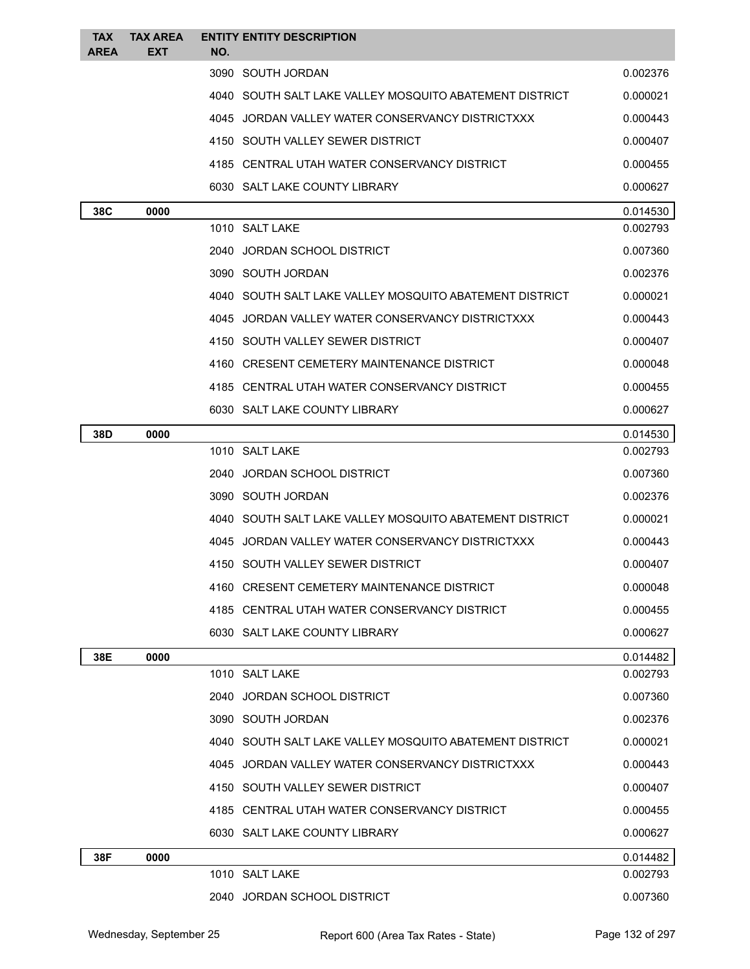| <b>TAX</b>  | <b>TAX AREA</b> | <b>ENTITY ENTITY DESCRIPTION</b>                        |                      |
|-------------|-----------------|---------------------------------------------------------|----------------------|
| <b>AREA</b> | EXT             | NO.<br>3090 SOUTH JORDAN                                | 0.002376             |
|             |                 | 4040 SOUTH SALT LAKE VALLEY MOSQUITO ABATEMENT DISTRICT |                      |
|             |                 |                                                         | 0.000021             |
|             |                 | 4045 JORDAN VALLEY WATER CONSERVANCY DISTRICTXXX        | 0.000443             |
|             |                 | 4150 SOUTH VALLEY SEWER DISTRICT                        | 0.000407             |
|             |                 | 4185 CENTRAL UTAH WATER CONSERVANCY DISTRICT            | 0.000455             |
|             |                 | 6030 SALT LAKE COUNTY LIBRARY                           | 0.000627             |
| 38C         | 0000            | 1010 SALT LAKE                                          | 0.014530<br>0.002793 |
|             |                 | 2040 JORDAN SCHOOL DISTRICT                             | 0.007360             |
|             |                 | 3090 SOUTH JORDAN                                       | 0.002376             |
|             |                 | 4040 SOUTH SALT LAKE VALLEY MOSQUITO ABATEMENT DISTRICT | 0.000021             |
|             |                 | 4045 JORDAN VALLEY WATER CONSERVANCY DISTRICTXXX        | 0.000443             |
|             |                 | 4150 SOUTH VALLEY SEWER DISTRICT                        | 0.000407             |
|             |                 | 4160 CRESENT CEMETERY MAINTENANCE DISTRICT              | 0.000048             |
|             |                 | 4185 CENTRAL UTAH WATER CONSERVANCY DISTRICT            | 0.000455             |
|             |                 | 6030 SALT LAKE COUNTY LIBRARY                           | 0.000627             |
|             |                 |                                                         |                      |
| 38D         | 0000            | 1010 SALT LAKE                                          | 0.014530<br>0.002793 |
|             |                 | 2040 JORDAN SCHOOL DISTRICT                             | 0.007360             |
|             |                 | 3090 SOUTH JORDAN                                       | 0.002376             |
|             |                 | 4040 SOUTH SALT LAKE VALLEY MOSQUITO ABATEMENT DISTRICT | 0.000021             |
|             |                 | 4045 JORDAN VALLEY WATER CONSERVANCY DISTRICTXXX        | 0.000443             |
|             |                 | 4150 SOUTH VALLEY SEWER DISTRICT                        | 0.000407             |
|             |                 | 4160 CRESENT CEMETERY MAINTENANCE DISTRICT              | 0.000048             |
|             |                 | 4185 CENTRAL UTAH WATER CONSERVANCY DISTRICT            | 0.000455             |
|             |                 | 6030 SALT LAKE COUNTY LIBRARY                           | 0.000627             |
| 38E         | 0000            |                                                         | 0.014482             |
|             |                 | 1010 SALT LAKE                                          | 0.002793             |
|             |                 | 2040 JORDAN SCHOOL DISTRICT                             | 0.007360             |
|             |                 | 3090 SOUTH JORDAN                                       | 0.002376             |
|             |                 | 4040 SOUTH SALT LAKE VALLEY MOSQUITO ABATEMENT DISTRICT | 0.000021             |
|             |                 | 4045 JORDAN VALLEY WATER CONSERVANCY DISTRICTXXX        | 0.000443             |
|             |                 | 4150 SOUTH VALLEY SEWER DISTRICT                        | 0.000407             |
|             |                 | 4185 CENTRAL UTAH WATER CONSERVANCY DISTRICT            | 0.000455             |
|             |                 | 6030 SALT LAKE COUNTY LIBRARY                           | 0.000627             |
| 38F         | 0000            |                                                         | 0.014482             |
|             |                 | 1010 SALT LAKE                                          | 0.002793             |
|             |                 | 2040 JORDAN SCHOOL DISTRICT                             | 0.007360             |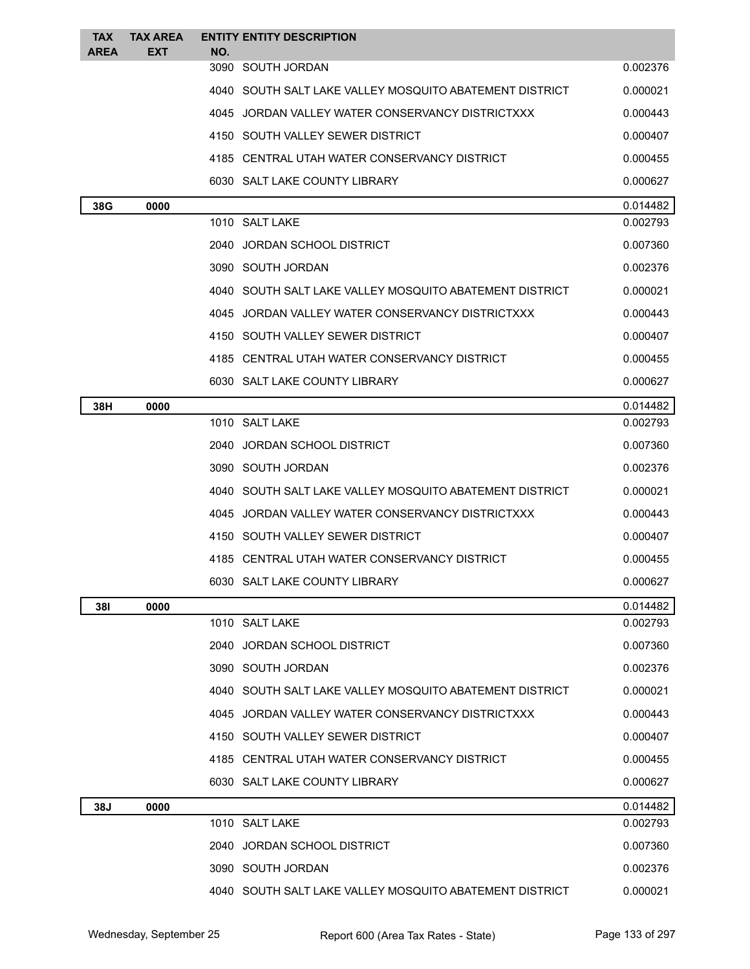| <b>TAX</b><br><b>AREA</b> | <b>TAX AREA</b><br><b>EXT</b> | <b>ENTITY ENTITY DESCRIPTION</b><br>NO.                 |          |
|---------------------------|-------------------------------|---------------------------------------------------------|----------|
|                           |                               | 3090 SOUTH JORDAN                                       | 0.002376 |
|                           |                               | 4040 SOUTH SALT LAKE VALLEY MOSQUITO ABATEMENT DISTRICT | 0.000021 |
|                           |                               | 4045 JORDAN VALLEY WATER CONSERVANCY DISTRICTXXX        | 0.000443 |
|                           |                               | 4150 SOUTH VALLEY SEWER DISTRICT                        | 0.000407 |
|                           |                               | 4185 CENTRAL UTAH WATER CONSERVANCY DISTRICT            | 0.000455 |
|                           |                               | 6030 SALT LAKE COUNTY LIBRARY                           | 0.000627 |
| 38G                       | 0000                          |                                                         | 0.014482 |
|                           |                               | 1010 SALT LAKE                                          | 0.002793 |
|                           |                               | 2040 JORDAN SCHOOL DISTRICT                             | 0.007360 |
|                           |                               | 3090 SOUTH JORDAN                                       | 0.002376 |
|                           |                               | 4040 SOUTH SALT LAKE VALLEY MOSQUITO ABATEMENT DISTRICT | 0.000021 |
|                           |                               | 4045 JORDAN VALLEY WATER CONSERVANCY DISTRICTXXX        | 0.000443 |
|                           |                               | 4150 SOUTH VALLEY SEWER DISTRICT                        | 0.000407 |
|                           |                               | 4185 CENTRAL UTAH WATER CONSERVANCY DISTRICT            | 0.000455 |
|                           |                               | 6030 SALT LAKE COUNTY LIBRARY                           | 0.000627 |
| 38H                       | 0000                          |                                                         | 0.014482 |
|                           |                               | 1010 SALT LAKE                                          | 0.002793 |
|                           |                               | 2040 JORDAN SCHOOL DISTRICT                             | 0.007360 |
|                           |                               | 3090 SOUTH JORDAN                                       | 0.002376 |
|                           |                               | 4040 SOUTH SALT LAKE VALLEY MOSQUITO ABATEMENT DISTRICT | 0.000021 |
|                           |                               | 4045 JORDAN VALLEY WATER CONSERVANCY DISTRICTXXX        | 0.000443 |
|                           |                               | 4150 SOUTH VALLEY SEWER DISTRICT                        | 0.000407 |
|                           |                               | 4185 CENTRAL UTAH WATER CONSERVANCY DISTRICT            | 0.000455 |
|                           |                               | 6030 SALT LAKE COUNTY LIBRARY                           | 0.000627 |
| <b>381</b>                | 0000                          |                                                         | 0.014482 |
|                           |                               | 1010 SALT LAKE                                          | 0.002793 |
|                           |                               | 2040 JORDAN SCHOOL DISTRICT                             | 0.007360 |
|                           |                               | 3090 SOUTH JORDAN                                       | 0.002376 |
|                           |                               | 4040 SOUTH SALT LAKE VALLEY MOSQUITO ABATEMENT DISTRICT | 0.000021 |
|                           |                               | 4045 JORDAN VALLEY WATER CONSERVANCY DISTRICTXXX        | 0.000443 |
|                           |                               | 4150 SOUTH VALLEY SEWER DISTRICT                        | 0.000407 |
|                           |                               | 4185 CENTRAL UTAH WATER CONSERVANCY DISTRICT            | 0.000455 |
|                           |                               | 6030 SALT LAKE COUNTY LIBRARY                           | 0.000627 |
| 38J                       | 0000                          |                                                         | 0.014482 |
|                           |                               | 1010 SALT LAKE                                          | 0.002793 |
|                           |                               | 2040 JORDAN SCHOOL DISTRICT                             | 0.007360 |
|                           |                               | 3090 SOUTH JORDAN                                       | 0.002376 |
|                           |                               | 4040 SOUTH SALT LAKE VALLEY MOSQUITO ABATEMENT DISTRICT | 0.000021 |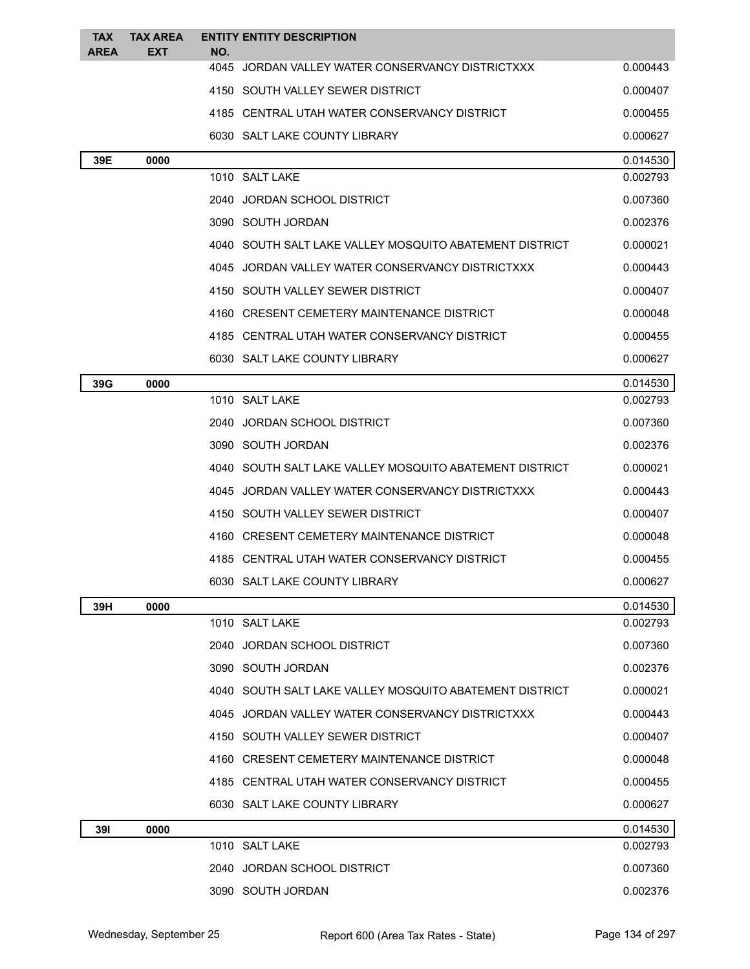| <b>TAX</b><br><b>AREA</b> | <b>TAX AREA</b><br><b>EXT</b> | NO. | <b>ENTITY ENTITY DESCRIPTION</b>                        |          |
|---------------------------|-------------------------------|-----|---------------------------------------------------------|----------|
|                           |                               |     | 4045 JORDAN VALLEY WATER CONSERVANCY DISTRICTXXX        | 0.000443 |
|                           |                               |     | 4150 SOUTH VALLEY SEWER DISTRICT                        | 0.000407 |
|                           |                               |     | 4185 CENTRAL UTAH WATER CONSERVANCY DISTRICT            | 0.000455 |
|                           |                               |     | 6030 SALT LAKE COUNTY LIBRARY                           | 0.000627 |
| 39E                       | 0000                          |     |                                                         | 0.014530 |
|                           |                               |     | 1010 SALT LAKE                                          | 0.002793 |
|                           |                               |     | 2040 JORDAN SCHOOL DISTRICT                             | 0.007360 |
|                           |                               |     | 3090 SOUTH JORDAN                                       | 0.002376 |
|                           |                               |     | 4040 SOUTH SALT LAKE VALLEY MOSQUITO ABATEMENT DISTRICT | 0.000021 |
|                           |                               |     | 4045 JORDAN VALLEY WATER CONSERVANCY DISTRICTXXX        | 0.000443 |
|                           |                               |     | 4150 SOUTH VALLEY SEWER DISTRICT                        | 0.000407 |
|                           |                               |     | 4160 CRESENT CEMETERY MAINTENANCE DISTRICT              | 0.000048 |
|                           |                               |     | 4185 CENTRAL UTAH WATER CONSERVANCY DISTRICT            | 0.000455 |
|                           |                               |     | 6030 SALT LAKE COUNTY LIBRARY                           | 0.000627 |
| 39G                       | 0000                          |     |                                                         | 0.014530 |
|                           |                               |     | 1010 SALT LAKE                                          | 0.002793 |
|                           |                               |     | 2040 JORDAN SCHOOL DISTRICT                             | 0.007360 |
|                           |                               |     | 3090 SOUTH JORDAN                                       | 0.002376 |
|                           |                               |     | 4040 SOUTH SALT LAKE VALLEY MOSQUITO ABATEMENT DISTRICT | 0.000021 |
|                           |                               |     | 4045 JORDAN VALLEY WATER CONSERVANCY DISTRICTXXX        | 0.000443 |
|                           |                               |     | 4150 SOUTH VALLEY SEWER DISTRICT                        | 0.000407 |
|                           |                               |     | 4160 CRESENT CEMETERY MAINTENANCE DISTRICT              | 0.000048 |
|                           |                               |     | 4185 CENTRAL UTAH WATER CONSERVANCY DISTRICT            | 0.000455 |
|                           |                               |     | 6030 SALT LAKE COUNTY LIBRARY                           | 0.000627 |
| 39H                       | 0000                          |     |                                                         | 0.014530 |
|                           |                               |     | 1010 SALT LAKE                                          | 0.002793 |
|                           |                               |     | 2040 JORDAN SCHOOL DISTRICT                             | 0.007360 |
|                           |                               |     | 3090 SOUTH JORDAN                                       | 0.002376 |
|                           |                               |     | 4040 SOUTH SALT LAKE VALLEY MOSQUITO ABATEMENT DISTRICT | 0.000021 |
|                           |                               |     | 4045 JORDAN VALLEY WATER CONSERVANCY DISTRICTXXX        | 0.000443 |
|                           |                               |     | 4150 SOUTH VALLEY SEWER DISTRICT                        | 0.000407 |
|                           |                               |     | 4160 CRESENT CEMETERY MAINTENANCE DISTRICT              | 0.000048 |
|                           |                               |     | 4185 CENTRAL UTAH WATER CONSERVANCY DISTRICT            | 0.000455 |
|                           |                               |     | 6030 SALT LAKE COUNTY LIBRARY                           | 0.000627 |
| 391                       | 0000                          |     |                                                         | 0.014530 |
|                           |                               |     | 1010 SALT LAKE                                          | 0.002793 |
|                           |                               |     | 2040 JORDAN SCHOOL DISTRICT                             | 0.007360 |
|                           |                               |     | 3090 SOUTH JORDAN                                       | 0.002376 |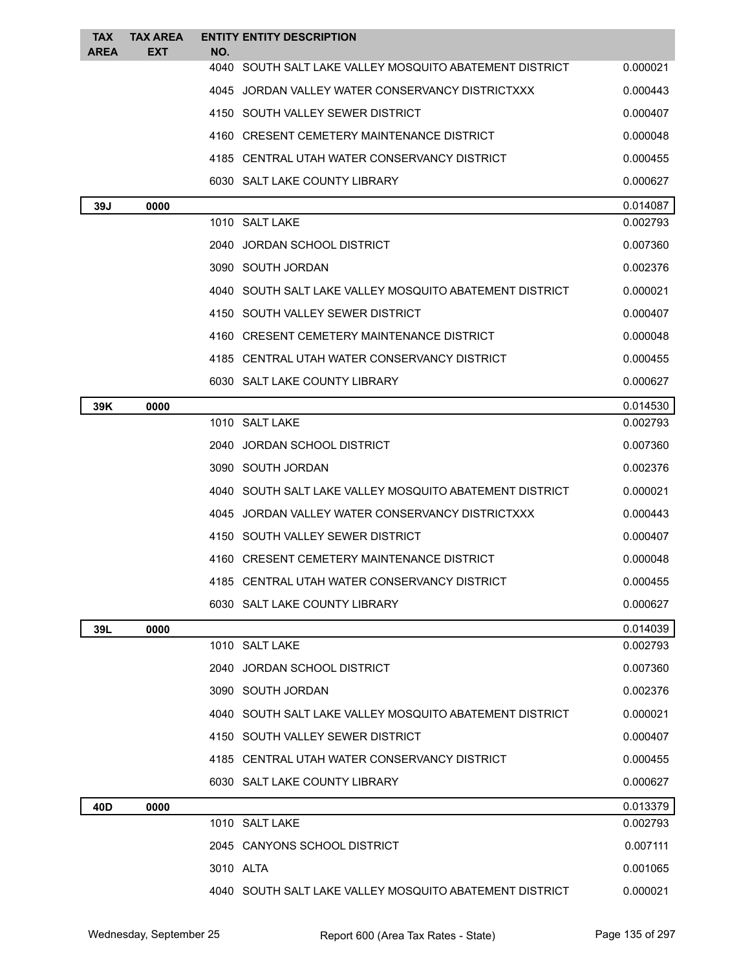| <b>TAX</b><br><b>AREA</b> | <b>TAX AREA</b><br><b>EXT</b> | <b>ENTITY ENTITY DESCRIPTION</b><br>NO.                 |          |
|---------------------------|-------------------------------|---------------------------------------------------------|----------|
|                           |                               | 4040 SOUTH SALT LAKE VALLEY MOSQUITO ABATEMENT DISTRICT | 0.000021 |
|                           |                               | 4045 JORDAN VALLEY WATER CONSERVANCY DISTRICTXXX        | 0.000443 |
|                           |                               | 4150 SOUTH VALLEY SEWER DISTRICT                        | 0.000407 |
|                           |                               | 4160 CRESENT CEMETERY MAINTENANCE DISTRICT              | 0.000048 |
|                           |                               | 4185 CENTRAL UTAH WATER CONSERVANCY DISTRICT            | 0.000455 |
|                           |                               | 6030 SALT LAKE COUNTY LIBRARY                           | 0.000627 |
| 39J                       | 0000                          |                                                         | 0.014087 |
|                           |                               | 1010 SALT LAKE                                          | 0.002793 |
|                           |                               | 2040 JORDAN SCHOOL DISTRICT                             | 0.007360 |
|                           |                               | 3090 SOUTH JORDAN                                       | 0.002376 |
|                           |                               | 4040 SOUTH SALT LAKE VALLEY MOSQUITO ABATEMENT DISTRICT | 0.000021 |
|                           |                               | 4150 SOUTH VALLEY SEWER DISTRICT                        | 0.000407 |
|                           |                               | 4160 CRESENT CEMETERY MAINTENANCE DISTRICT              | 0.000048 |
|                           |                               | 4185 CENTRAL UTAH WATER CONSERVANCY DISTRICT            | 0.000455 |
|                           |                               | 6030 SALT LAKE COUNTY LIBRARY                           | 0.000627 |
| 39K                       | 0000                          |                                                         | 0.014530 |
|                           |                               | 1010 SALT LAKE                                          | 0.002793 |
|                           |                               | 2040 JORDAN SCHOOL DISTRICT                             | 0.007360 |
|                           |                               | 3090 SOUTH JORDAN                                       | 0.002376 |
|                           |                               | 4040 SOUTH SALT LAKE VALLEY MOSQUITO ABATEMENT DISTRICT | 0.000021 |
|                           |                               | 4045 JORDAN VALLEY WATER CONSERVANCY DISTRICTXXX        | 0.000443 |
|                           |                               | 4150 SOUTH VALLEY SEWER DISTRICT                        | 0.000407 |
|                           |                               | 4160 CRESENT CEMETERY MAINTENANCE DISTRICT              | 0.000048 |
|                           |                               | 4185 CENTRAL UTAH WATER CONSERVANCY DISTRICT            | 0.000455 |
|                           |                               | 6030 SALT LAKE COUNTY LIBRARY                           | 0.000627 |
| 39L                       | 0000                          |                                                         | 0.014039 |
|                           |                               | 1010 SALT LAKE                                          | 0.002793 |
|                           |                               | 2040 JORDAN SCHOOL DISTRICT                             | 0.007360 |
|                           |                               | 3090 SOUTH JORDAN                                       | 0.002376 |
|                           |                               | 4040 SOUTH SALT LAKE VALLEY MOSQUITO ABATEMENT DISTRICT | 0.000021 |
|                           |                               | 4150 SOUTH VALLEY SEWER DISTRICT                        | 0.000407 |
|                           |                               | 4185 CENTRAL UTAH WATER CONSERVANCY DISTRICT            | 0.000455 |
|                           |                               | 6030 SALT LAKE COUNTY LIBRARY                           | 0.000627 |
| 40D                       | 0000                          |                                                         | 0.013379 |
|                           |                               | 1010 SALT LAKE                                          | 0.002793 |
|                           |                               | 2045 CANYONS SCHOOL DISTRICT                            | 0.007111 |
|                           |                               | 3010 ALTA                                               | 0.001065 |
|                           |                               | 4040 SOUTH SALT LAKE VALLEY MOSQUITO ABATEMENT DISTRICT | 0.000021 |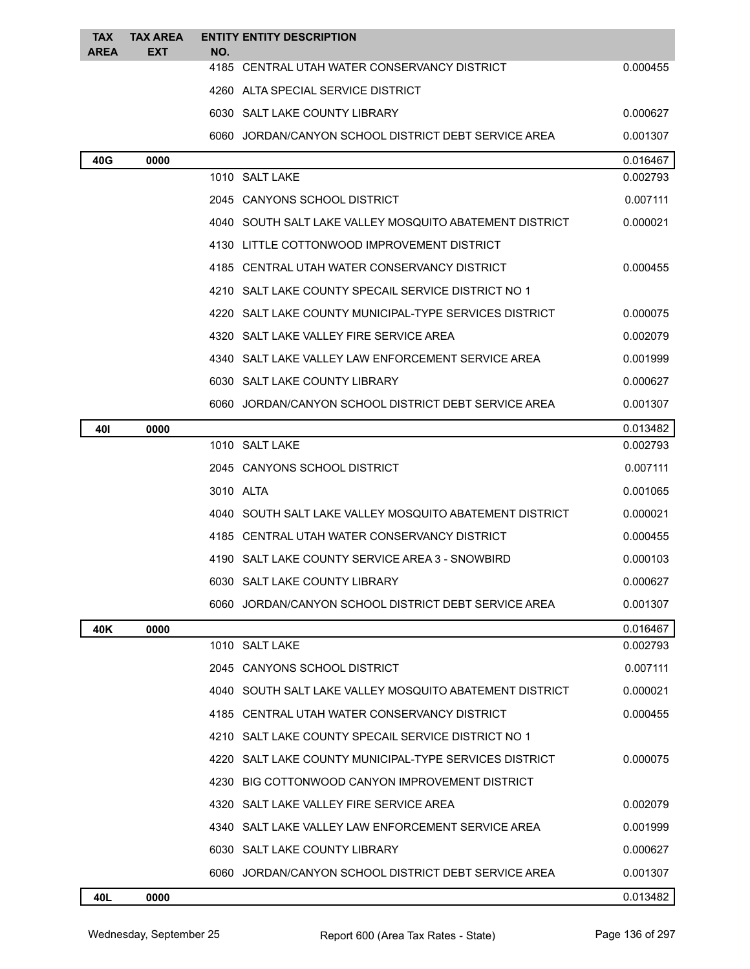| <b>TAX</b><br><b>AREA</b> | <b>TAX AREA</b><br><b>EXT</b> | NO. | <b>ENTITY ENTITY DESCRIPTION</b>                        |          |
|---------------------------|-------------------------------|-----|---------------------------------------------------------|----------|
|                           |                               |     | 4185 CENTRAL UTAH WATER CONSERVANCY DISTRICT            | 0.000455 |
|                           |                               |     | 4260 ALTA SPECIAL SERVICE DISTRICT                      |          |
|                           |                               |     | 6030 SALT LAKE COUNTY LIBRARY                           | 0.000627 |
|                           |                               |     | 6060 JORDAN/CANYON SCHOOL DISTRICT DEBT SERVICE AREA    | 0.001307 |
| 40G                       | 0000                          |     |                                                         | 0.016467 |
|                           |                               |     | 1010 SALT LAKE                                          | 0.002793 |
|                           |                               |     | 2045 CANYONS SCHOOL DISTRICT                            | 0.007111 |
|                           |                               |     | 4040 SOUTH SALT LAKE VALLEY MOSQUITO ABATEMENT DISTRICT | 0.000021 |
|                           |                               |     | 4130 LITTLE COTTONWOOD IMPROVEMENT DISTRICT             |          |
|                           |                               |     | 4185 CENTRAL UTAH WATER CONSERVANCY DISTRICT            | 0.000455 |
|                           |                               |     | 4210 SALT LAKE COUNTY SPECAIL SERVICE DISTRICT NO 1     |          |
|                           |                               |     | 4220 SALT LAKE COUNTY MUNICIPAL-TYPE SERVICES DISTRICT  | 0.000075 |
|                           |                               |     | 4320 SALT LAKE VALLEY FIRE SERVICE AREA                 | 0.002079 |
|                           |                               |     | 4340 SALT LAKE VALLEY LAW ENFORCEMENT SERVICE AREA      | 0.001999 |
|                           |                               |     | 6030 SALT LAKE COUNTY LIBRARY                           | 0.000627 |
|                           |                               |     | 6060 JORDAN/CANYON SCHOOL DISTRICT DEBT SERVICE AREA    | 0.001307 |
| 401                       | 0000                          |     |                                                         | 0.013482 |
|                           |                               |     | 1010 SALT LAKE                                          | 0.002793 |
|                           |                               |     | 2045 CANYONS SCHOOL DISTRICT                            | 0.007111 |
|                           |                               |     | 3010 ALTA                                               | 0.001065 |
|                           |                               |     | 4040 SOUTH SALT LAKE VALLEY MOSQUITO ABATEMENT DISTRICT | 0.000021 |
|                           |                               |     | 4185 CENTRAL UTAH WATER CONSERVANCY DISTRICT            | 0.000455 |
|                           |                               |     | 4190 SALT LAKE COUNTY SERVICE AREA 3 - SNOWBIRD         | 0.000103 |
|                           |                               |     | 6030 SALT LAKE COUNTY LIBRARY                           | 0.000627 |
|                           |                               |     | 6060 JORDAN/CANYON SCHOOL DISTRICT DEBT SERVICE AREA    | 0.001307 |
| 40K                       | 0000                          |     |                                                         | 0.016467 |
|                           |                               |     | 1010 SALT LAKE                                          | 0.002793 |
|                           |                               |     | 2045 CANYONS SCHOOL DISTRICT                            | 0.007111 |
|                           |                               |     | 4040 SOUTH SALT LAKE VALLEY MOSQUITO ABATEMENT DISTRICT | 0.000021 |
|                           |                               |     | 4185 CENTRAL UTAH WATER CONSERVANCY DISTRICT            | 0.000455 |
|                           |                               |     | 4210 SALT LAKE COUNTY SPECAIL SERVICE DISTRICT NO 1     |          |
|                           |                               |     | 4220 SALT LAKE COUNTY MUNICIPAL-TYPE SERVICES DISTRICT  | 0.000075 |
|                           |                               |     | 4230 BIG COTTONWOOD CANYON IMPROVEMENT DISTRICT         |          |
|                           |                               |     | 4320 SALT LAKE VALLEY FIRE SERVICE AREA                 | 0.002079 |
|                           |                               |     | 4340 SALT LAKE VALLEY LAW ENFORCEMENT SERVICE AREA      | 0.001999 |
|                           |                               |     | 6030 SALT LAKE COUNTY LIBRARY                           | 0.000627 |
|                           |                               |     | 6060 JORDAN/CANYON SCHOOL DISTRICT DEBT SERVICE AREA    | 0.001307 |
| 40L                       | 0000                          |     |                                                         | 0.013482 |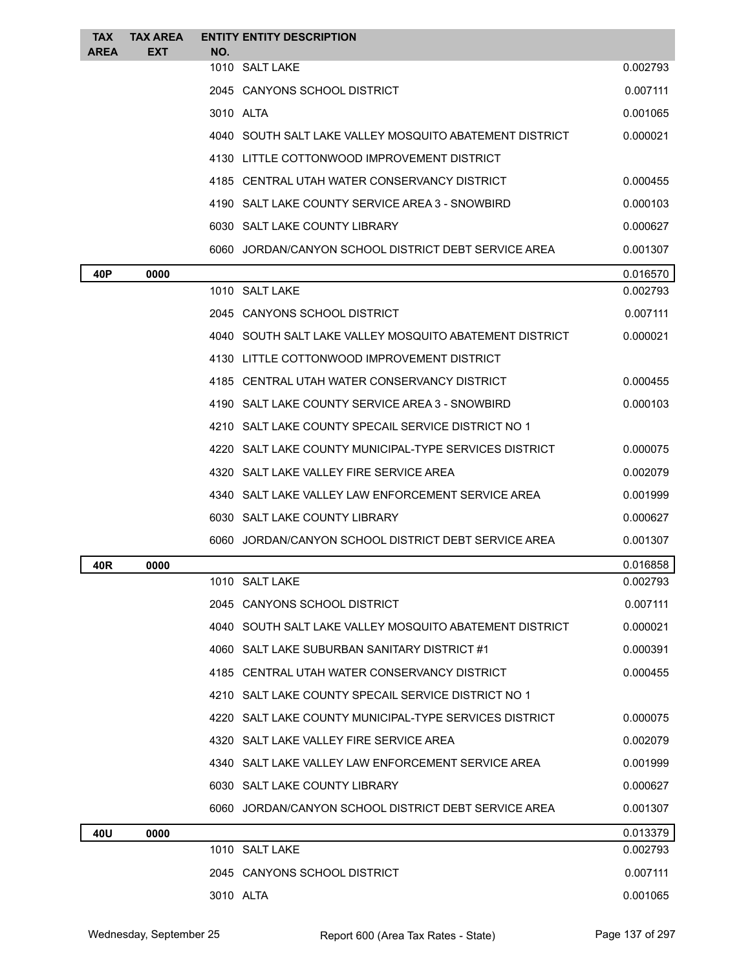| <b>TAX</b><br><b>AREA</b> | <b>TAX AREA</b><br><b>EXT</b> | NO.            | <b>ENTITY ENTITY DESCRIPTION</b>                        |          |
|---------------------------|-------------------------------|----------------|---------------------------------------------------------|----------|
|                           |                               | 1010 SALT LAKE |                                                         | 0.002793 |
|                           |                               |                | 2045 CANYONS SCHOOL DISTRICT                            | 0.007111 |
|                           |                               | 3010 ALTA      |                                                         | 0.001065 |
|                           |                               |                | 4040 SOUTH SALT LAKE VALLEY MOSQUITO ABATEMENT DISTRICT | 0.000021 |
|                           |                               |                | 4130 LITTLE COTTONWOOD IMPROVEMENT DISTRICT             |          |
|                           |                               |                | 4185 CENTRAL UTAH WATER CONSERVANCY DISTRICT            | 0.000455 |
|                           |                               |                | 4190 SALT LAKE COUNTY SERVICE AREA 3 - SNOWBIRD         | 0.000103 |
|                           |                               |                | 6030 SALT LAKE COUNTY LIBRARY                           | 0.000627 |
|                           |                               |                | 6060 JORDAN/CANYON SCHOOL DISTRICT DEBT SERVICE AREA    | 0.001307 |
| 40P                       | 0000                          |                |                                                         | 0.016570 |
|                           |                               | 1010 SALT LAKE |                                                         | 0.002793 |
|                           |                               |                | 2045 CANYONS SCHOOL DISTRICT                            | 0.007111 |
|                           |                               |                | 4040 SOUTH SALT LAKE VALLEY MOSQUITO ABATEMENT DISTRICT | 0.000021 |
|                           |                               |                | 4130 LITTLE COTTONWOOD IMPROVEMENT DISTRICT             |          |
|                           |                               |                | 4185 CENTRAL UTAH WATER CONSERVANCY DISTRICT            | 0.000455 |
|                           |                               |                | 4190 SALT LAKE COUNTY SERVICE AREA 3 - SNOWBIRD         | 0.000103 |
|                           |                               |                | 4210 SALT LAKE COUNTY SPECAIL SERVICE DISTRICT NO 1     |          |
|                           |                               |                | 4220 SALT LAKE COUNTY MUNICIPAL-TYPE SERVICES DISTRICT  | 0.000075 |
|                           |                               |                | 4320 SALT LAKE VALLEY FIRE SERVICE AREA                 | 0.002079 |
|                           |                               |                | 4340 SALT LAKE VALLEY LAW ENFORCEMENT SERVICE AREA      | 0.001999 |
|                           |                               |                | 6030 SALT LAKE COUNTY LIBRARY                           | 0.000627 |
|                           |                               |                | 6060 JORDAN/CANYON SCHOOL DISTRICT DEBT SERVICE AREA    | 0.001307 |
| 40R                       | 0000                          |                |                                                         | 0.016858 |
|                           |                               | 1010 SALT LAKE |                                                         | 0.002793 |
|                           |                               |                | 2045 CANYONS SCHOOL DISTRICT                            | 0.007111 |
|                           |                               |                | 4040 SOUTH SALT LAKE VALLEY MOSQUITO ABATEMENT DISTRICT | 0.000021 |
|                           |                               |                | 4060 SALT LAKE SUBURBAN SANITARY DISTRICT #1            | 0.000391 |
|                           |                               |                | 4185 CENTRAL UTAH WATER CONSERVANCY DISTRICT            | 0.000455 |
|                           |                               |                | 4210 SALT LAKE COUNTY SPECAIL SERVICE DISTRICT NO 1     |          |
|                           |                               |                | 4220 SALT LAKE COUNTY MUNICIPAL-TYPE SERVICES DISTRICT  | 0.000075 |
|                           |                               |                | 4320 SALT LAKE VALLEY FIRE SERVICE AREA                 | 0.002079 |
|                           |                               |                | 4340 SALT LAKE VALLEY LAW ENFORCEMENT SERVICE AREA      | 0.001999 |
|                           |                               |                | 6030 SALT LAKE COUNTY LIBRARY                           | 0.000627 |
|                           |                               |                | 6060 JORDAN/CANYON SCHOOL DISTRICT DEBT SERVICE AREA    | 0.001307 |
| 40U                       | 0000                          |                |                                                         | 0.013379 |
|                           |                               | 1010 SALT LAKE |                                                         | 0.002793 |
|                           |                               |                | 2045 CANYONS SCHOOL DISTRICT                            | 0.007111 |
|                           |                               | 3010 ALTA      |                                                         | 0.001065 |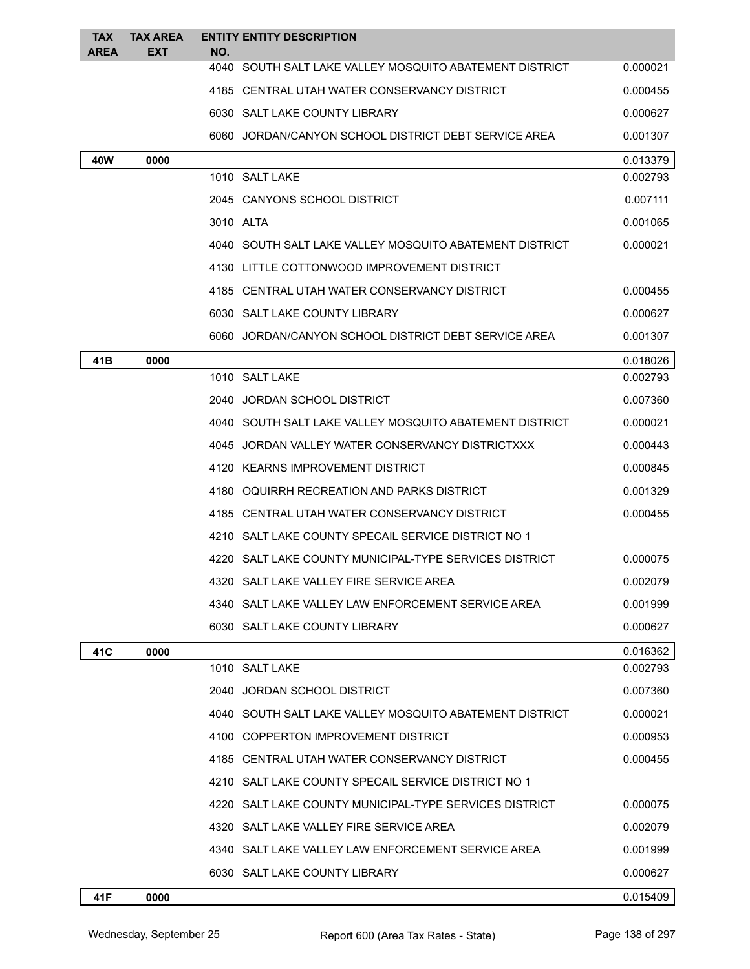| <b>TAX</b><br><b>AREA</b> | <b>TAX AREA</b><br><b>EXT</b> | <b>ENTITY ENTITY DESCRIPTION</b><br>NO.                  |          |
|---------------------------|-------------------------------|----------------------------------------------------------|----------|
|                           |                               | 4040 SOUTH SALT LAKE VALLEY MOSQUITO ABATEMENT DISTRICT  | 0.000021 |
|                           |                               | 4185 CENTRAL UTAH WATER CONSERVANCY DISTRICT             | 0.000455 |
|                           |                               | 6030 SALT LAKE COUNTY LIBRARY                            | 0.000627 |
|                           |                               | 6060 JORDAN/CANYON SCHOOL DISTRICT DEBT SERVICE AREA     | 0.001307 |
| 40W                       | 0000                          |                                                          | 0.013379 |
|                           |                               | 1010 SALT LAKE                                           | 0.002793 |
|                           |                               | 2045 CANYONS SCHOOL DISTRICT                             | 0.007111 |
|                           |                               | 3010 ALTA                                                | 0.001065 |
|                           |                               | 4040 SOUTH SALT LAKE VALLEY MOSQUITO ABATEMENT DISTRICT  | 0.000021 |
|                           |                               | 4130 LITTLE COTTONWOOD IMPROVEMENT DISTRICT              |          |
|                           |                               | 4185 CENTRAL UTAH WATER CONSERVANCY DISTRICT             | 0.000455 |
|                           |                               | 6030 SALT LAKE COUNTY LIBRARY                            | 0.000627 |
|                           |                               | 6060 JORDAN/CANYON SCHOOL DISTRICT DEBT SERVICE AREA     | 0.001307 |
| 41 B                      | 0000                          |                                                          | 0.018026 |
|                           |                               | 1010 SALT LAKE                                           | 0.002793 |
|                           |                               | 2040 JORDAN SCHOOL DISTRICT                              | 0.007360 |
|                           |                               | 4040 SOUTH SALT LAKE VALLEY MOSQUITO ABATEMENT DISTRICT  | 0.000021 |
|                           |                               | 4045 JORDAN VALLEY WATER CONSERVANCY DISTRICTXXX         | 0.000443 |
|                           |                               | 4120 KEARNS IMPROVEMENT DISTRICT                         | 0.000845 |
|                           |                               | 4180 OQUIRRH RECREATION AND PARKS DISTRICT               | 0.001329 |
|                           |                               | 4185 CENTRAL UTAH WATER CONSERVANCY DISTRICT             | 0.000455 |
|                           |                               | 4210 SALT LAKE COUNTY SPECAIL SERVICE DISTRICT NO 1      |          |
|                           |                               | 4220   SALT LAKE COUNTY MUNICIPAL-TYPE SERVICES DISTRICT | 0.000075 |
|                           |                               | 4320 SALT LAKE VALLEY FIRE SERVICE AREA                  | 0.002079 |
|                           |                               | 4340 SALT LAKE VALLEY LAW ENFORCEMENT SERVICE AREA       | 0.001999 |
|                           |                               | 6030 SALT LAKE COUNTY LIBRARY                            | 0.000627 |
| 41C                       | 0000                          |                                                          | 0.016362 |
|                           |                               | 1010 SALT LAKE                                           | 0.002793 |
|                           |                               | 2040 JORDAN SCHOOL DISTRICT                              | 0.007360 |
|                           |                               | 4040 SOUTH SALT LAKE VALLEY MOSQUITO ABATEMENT DISTRICT  | 0.000021 |
|                           |                               | 4100 COPPERTON IMPROVEMENT DISTRICT                      | 0.000953 |
|                           |                               | 4185 CENTRAL UTAH WATER CONSERVANCY DISTRICT             | 0.000455 |
|                           |                               | 4210 SALT LAKE COUNTY SPECAIL SERVICE DISTRICT NO 1      |          |
|                           |                               | 4220 SALT LAKE COUNTY MUNICIPAL-TYPE SERVICES DISTRICT   | 0.000075 |
|                           |                               | 4320 SALT LAKE VALLEY FIRE SERVICE AREA                  | 0.002079 |
|                           |                               | 4340 SALT LAKE VALLEY LAW ENFORCEMENT SERVICE AREA       | 0.001999 |
|                           |                               | 6030 SALT LAKE COUNTY LIBRARY                            | 0.000627 |
| 41F                       | 0000                          |                                                          | 0.015409 |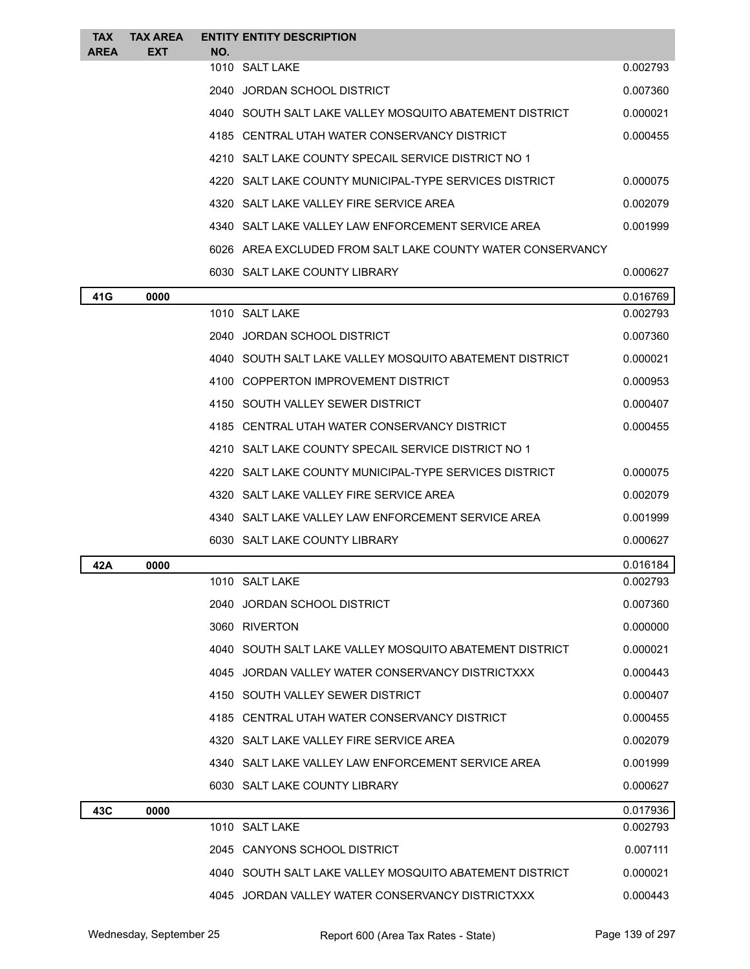| <b>TAX</b><br><b>AREA</b> | <b>TAX AREA</b><br><b>EXT</b> | NO.  | <b>ENTITY ENTITY DESCRIPTION</b>                           |          |
|---------------------------|-------------------------------|------|------------------------------------------------------------|----------|
|                           |                               |      | 1010 SALT LAKE                                             | 0.002793 |
|                           |                               |      | 2040 JORDAN SCHOOL DISTRICT                                | 0.007360 |
|                           |                               |      | 4040 SOUTH SALT LAKE VALLEY MOSQUITO ABATEMENT DISTRICT    | 0.000021 |
|                           |                               |      | 4185 CENTRAL UTAH WATER CONSERVANCY DISTRICT               | 0.000455 |
|                           |                               |      | 4210 SALT LAKE COUNTY SPECAIL SERVICE DISTRICT NO 1        |          |
|                           |                               |      | 4220 SALT LAKE COUNTY MUNICIPAL-TYPE SERVICES DISTRICT     | 0.000075 |
|                           |                               |      | 4320 SALT LAKE VALLEY FIRE SERVICE AREA                    | 0.002079 |
|                           |                               |      | 4340 SALT LAKE VALLEY LAW ENFORCEMENT SERVICE AREA         | 0.001999 |
|                           |                               |      | 6026 AREA EXCLUDED FROM SALT LAKE COUNTY WATER CONSERVANCY |          |
|                           |                               |      | 6030 SALT LAKE COUNTY LIBRARY                              | 0.000627 |
| 41G                       | 0000                          |      |                                                            | 0.016769 |
|                           |                               |      | 1010 SALT LAKE                                             | 0.002793 |
|                           |                               |      | 2040 JORDAN SCHOOL DISTRICT                                | 0.007360 |
|                           |                               |      | 4040 SOUTH SALT LAKE VALLEY MOSQUITO ABATEMENT DISTRICT    | 0.000021 |
|                           |                               |      | 4100 COPPERTON IMPROVEMENT DISTRICT                        | 0.000953 |
|                           |                               |      | 4150 SOUTH VALLEY SEWER DISTRICT                           | 0.000407 |
|                           |                               |      | 4185 CENTRAL UTAH WATER CONSERVANCY DISTRICT               | 0.000455 |
|                           |                               |      | 4210 SALT LAKE COUNTY SPECAIL SERVICE DISTRICT NO 1        |          |
|                           |                               | 4220 | SALT LAKE COUNTY MUNICIPAL-TYPE SERVICES DISTRICT          | 0.000075 |
|                           |                               |      | 4320 SALT LAKE VALLEY FIRE SERVICE AREA                    | 0.002079 |
|                           |                               |      | 4340 SALT LAKE VALLEY LAW ENFORCEMENT SERVICE AREA         | 0.001999 |
|                           |                               |      | 6030 SALT LAKE COUNTY LIBRARY                              | 0.000627 |
| 42A                       | 0000                          |      |                                                            | 0.016184 |
|                           |                               |      | 1010 SALT LAKE                                             | 0.002793 |
|                           |                               |      | 2040 JORDAN SCHOOL DISTRICT                                | 0.007360 |
|                           |                               |      | 3060 RIVERTON                                              | 0.000000 |
|                           |                               |      | 4040 SOUTH SALT LAKE VALLEY MOSQUITO ABATEMENT DISTRICT    | 0.000021 |
|                           |                               |      | 4045 JORDAN VALLEY WATER CONSERVANCY DISTRICTXXX           | 0.000443 |
|                           |                               |      | 4150 SOUTH VALLEY SEWER DISTRICT                           | 0.000407 |
|                           |                               |      | 4185 CENTRAL UTAH WATER CONSERVANCY DISTRICT               | 0.000455 |
|                           |                               |      | 4320 SALT LAKE VALLEY FIRE SERVICE AREA                    | 0.002079 |
|                           |                               |      | 4340 SALT LAKE VALLEY LAW ENFORCEMENT SERVICE AREA         | 0.001999 |
|                           |                               |      | 6030 SALT LAKE COUNTY LIBRARY                              | 0.000627 |
| 43C                       | 0000                          |      |                                                            | 0.017936 |
|                           |                               |      | 1010 SALT LAKE                                             | 0.002793 |
|                           |                               |      | 2045 CANYONS SCHOOL DISTRICT                               | 0.007111 |
|                           |                               |      | 4040 SOUTH SALT LAKE VALLEY MOSQUITO ABATEMENT DISTRICT    | 0.000021 |
|                           |                               |      | 4045 JORDAN VALLEY WATER CONSERVANCY DISTRICTXXX           | 0.000443 |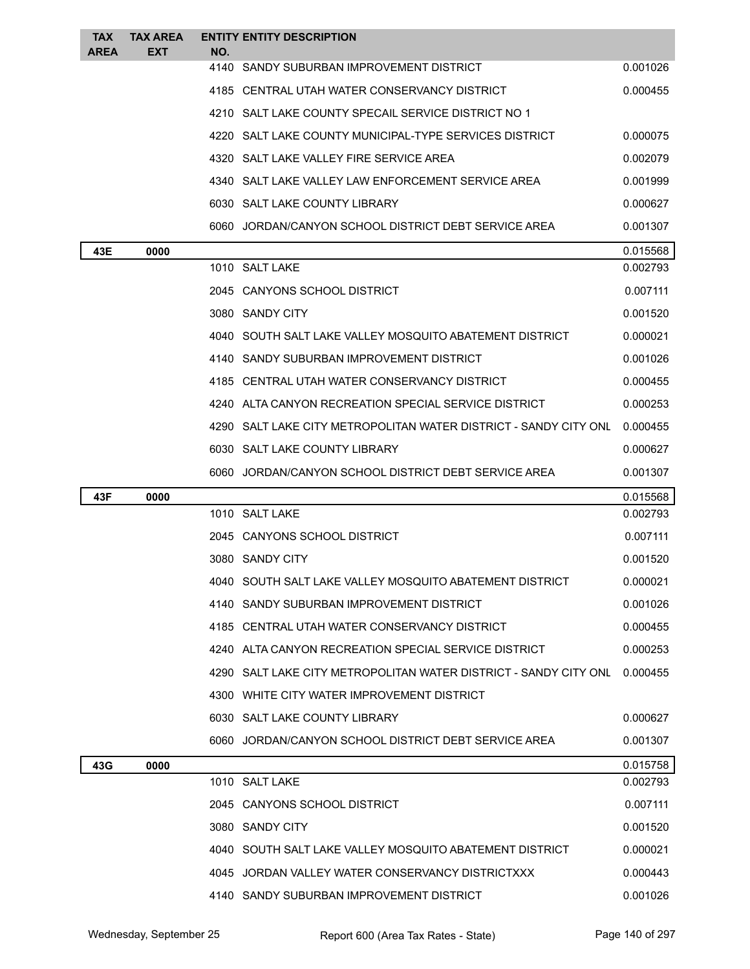| <b>TAX</b><br><b>AREA</b> | <b>TAX AREA</b><br>EXT | NO. | <b>ENTITY ENTITY DESCRIPTION</b>                                 |          |
|---------------------------|------------------------|-----|------------------------------------------------------------------|----------|
|                           |                        |     | 4140 SANDY SUBURBAN IMPROVEMENT DISTRICT                         | 0.001026 |
|                           |                        |     | 4185 CENTRAL UTAH WATER CONSERVANCY DISTRICT                     | 0.000455 |
|                           |                        |     | 4210 SALT LAKE COUNTY SPECAIL SERVICE DISTRICT NO 1              |          |
|                           |                        |     | 4220 SALT LAKE COUNTY MUNICIPAL-TYPE SERVICES DISTRICT           | 0.000075 |
|                           |                        |     | 4320 SALT LAKE VALLEY FIRE SERVICE AREA                          | 0.002079 |
|                           |                        |     | 4340 SALT LAKE VALLEY LAW ENFORCEMENT SERVICE AREA               | 0.001999 |
|                           |                        |     | 6030 SALT LAKE COUNTY LIBRARY                                    | 0.000627 |
|                           |                        |     | 6060 JORDAN/CANYON SCHOOL DISTRICT DEBT SERVICE AREA             | 0.001307 |
| 43E                       | 0000                   |     |                                                                  | 0.015568 |
|                           |                        |     | 1010 SALT LAKE                                                   | 0.002793 |
|                           |                        |     | 2045 CANYONS SCHOOL DISTRICT                                     | 0.007111 |
|                           |                        |     | 3080 SANDY CITY                                                  | 0.001520 |
|                           |                        |     | 4040 SOUTH SALT LAKE VALLEY MOSQUITO ABATEMENT DISTRICT          | 0.000021 |
|                           |                        |     | 4140 SANDY SUBURBAN IMPROVEMENT DISTRICT                         | 0.001026 |
|                           |                        |     | 4185 CENTRAL UTAH WATER CONSERVANCY DISTRICT                     | 0.000455 |
|                           |                        |     | 4240 ALTA CANYON RECREATION SPECIAL SERVICE DISTRICT             | 0.000253 |
|                           |                        |     | 4290 SALT LAKE CITY METROPOLITAN WATER DISTRICT - SANDY CITY ONL | 0.000455 |
|                           |                        |     | 6030 SALT LAKE COUNTY LIBRARY                                    | 0.000627 |
|                           |                        |     | 6060 JORDAN/CANYON SCHOOL DISTRICT DEBT SERVICE AREA             | 0.001307 |
| 43F                       | 0000                   |     |                                                                  | 0.015568 |
|                           |                        |     | 1010 SALT LAKE                                                   | 0.002793 |
|                           |                        |     | 2045 CANYONS SCHOOL DISTRICT                                     | 0.007111 |
|                           |                        |     | 3080 SANDY CITY                                                  | 0.001520 |
|                           |                        |     | 4040   SOUTH SALT LAKE VALLEY MOSQUITO ABATEMENT DISTRICT        | 0.000021 |
|                           |                        |     | 4140 SANDY SUBURBAN IMPROVEMENT DISTRICT                         | 0.001026 |
|                           |                        |     | 4185 CENTRAL UTAH WATER CONSERVANCY DISTRICT                     | 0.000455 |
|                           |                        |     | 4240 ALTA CANYON RECREATION SPECIAL SERVICE DISTRICT             | 0.000253 |
|                           |                        |     | 4290 SALT LAKE CITY METROPOLITAN WATER DISTRICT - SANDY CITY ONL | 0.000455 |
|                           |                        |     | 4300 WHITE CITY WATER IMPROVEMENT DISTRICT                       |          |
|                           |                        |     | 6030 SALT LAKE COUNTY LIBRARY                                    | 0.000627 |
|                           |                        |     | 6060 JORDAN/CANYON SCHOOL DISTRICT DEBT SERVICE AREA             | 0.001307 |
| 43G                       | 0000                   |     |                                                                  | 0.015758 |
|                           |                        |     | 1010 SALT LAKE                                                   | 0.002793 |
|                           |                        |     | 2045 CANYONS SCHOOL DISTRICT                                     | 0.007111 |
|                           |                        |     | 3080 SANDY CITY                                                  | 0.001520 |
|                           |                        |     | 4040 SOUTH SALT LAKE VALLEY MOSQUITO ABATEMENT DISTRICT          | 0.000021 |
|                           |                        |     | 4045 JORDAN VALLEY WATER CONSERVANCY DISTRICTXXX                 | 0.000443 |
|                           |                        |     | 4140 SANDY SUBURBAN IMPROVEMENT DISTRICT                         | 0.001026 |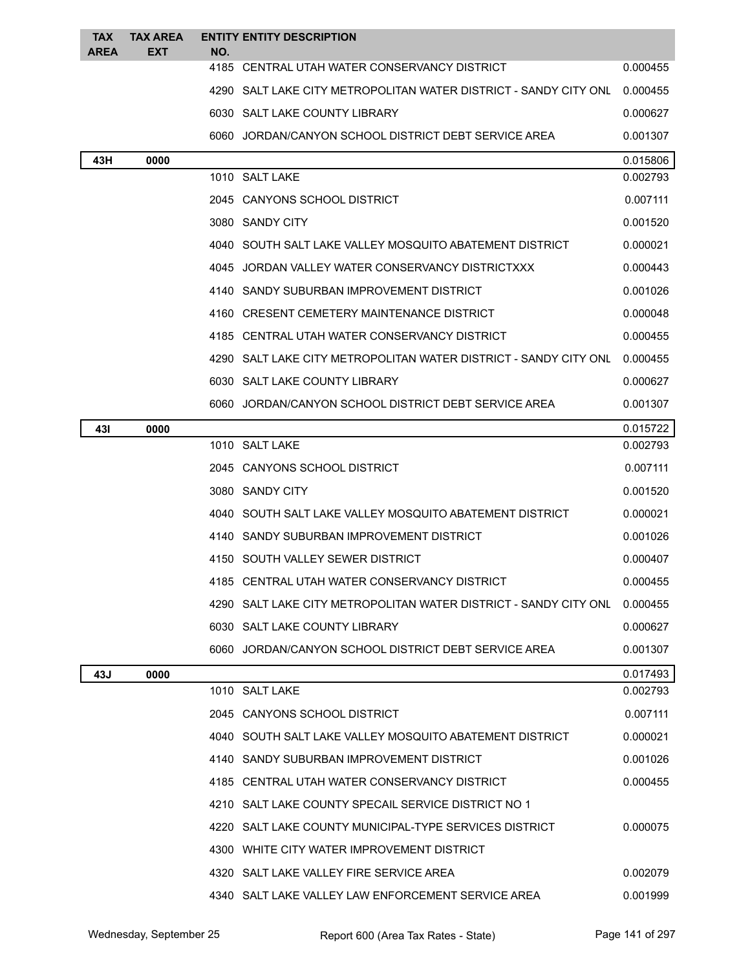| <b>TAX</b><br><b>AREA</b> | <b>TAX AREA</b><br><b>EXT</b> | NO. | <b>ENTITY ENTITY DESCRIPTION</b>                                 |          |
|---------------------------|-------------------------------|-----|------------------------------------------------------------------|----------|
|                           |                               |     | 4185 CENTRAL UTAH WATER CONSERVANCY DISTRICT                     | 0.000455 |
|                           |                               |     | 4290 SALT LAKE CITY METROPOLITAN WATER DISTRICT - SANDY CITY ONL | 0.000455 |
|                           |                               |     | 6030 SALT LAKE COUNTY LIBRARY                                    | 0.000627 |
|                           |                               |     | 6060 JORDAN/CANYON SCHOOL DISTRICT DEBT SERVICE AREA             | 0.001307 |
| 43H                       | 0000                          |     |                                                                  | 0.015806 |
|                           |                               |     | 1010 SALT LAKE                                                   | 0.002793 |
|                           |                               |     | 2045 CANYONS SCHOOL DISTRICT                                     | 0.007111 |
|                           |                               |     | 3080 SANDY CITY                                                  | 0.001520 |
|                           |                               |     | 4040 SOUTH SALT LAKE VALLEY MOSQUITO ABATEMENT DISTRICT          | 0.000021 |
|                           |                               |     | 4045 JORDAN VALLEY WATER CONSERVANCY DISTRICTXXX                 | 0.000443 |
|                           |                               |     | 4140 SANDY SUBURBAN IMPROVEMENT DISTRICT                         | 0.001026 |
|                           |                               |     | 4160 CRESENT CEMETERY MAINTENANCE DISTRICT                       | 0.000048 |
|                           |                               |     | 4185 CENTRAL UTAH WATER CONSERVANCY DISTRICT                     | 0.000455 |
|                           |                               |     | 4290 SALT LAKE CITY METROPOLITAN WATER DISTRICT - SANDY CITY ONL | 0.000455 |
|                           |                               |     | 6030 SALT LAKE COUNTY LIBRARY                                    | 0.000627 |
|                           |                               |     | 6060 JORDAN/CANYON SCHOOL DISTRICT DEBT SERVICE AREA             | 0.001307 |
| 431                       | 0000                          |     |                                                                  | 0.015722 |
|                           |                               |     | 1010 SALT LAKE                                                   | 0.002793 |
|                           |                               |     | 2045 CANYONS SCHOOL DISTRICT                                     | 0.007111 |
|                           |                               |     | 3080 SANDY CITY                                                  | 0.001520 |
|                           |                               |     | 4040 SOUTH SALT LAKE VALLEY MOSQUITO ABATEMENT DISTRICT          | 0.000021 |
|                           |                               |     | 4140 SANDY SUBURBAN IMPROVEMENT DISTRICT                         | 0.001026 |
|                           |                               |     | 4150 SOUTH VALLEY SEWER DISTRICT                                 | 0.000407 |
|                           |                               |     | 4185 CENTRAL UTAH WATER CONSERVANCY DISTRICT                     | 0.000455 |
|                           |                               |     | 4290 SALT LAKE CITY METROPOLITAN WATER DISTRICT - SANDY CITY ONL | 0.000455 |
|                           |                               |     | 6030 SALT LAKE COUNTY LIBRARY                                    | 0.000627 |
|                           |                               |     | 6060 JORDAN/CANYON SCHOOL DISTRICT DEBT SERVICE AREA             | 0.001307 |
| 43J                       | 0000                          |     |                                                                  | 0.017493 |
|                           |                               |     | 1010 SALT LAKE                                                   | 0.002793 |
|                           |                               |     | 2045 CANYONS SCHOOL DISTRICT                                     | 0.007111 |
|                           |                               |     | 4040 SOUTH SALT LAKE VALLEY MOSQUITO ABATEMENT DISTRICT          | 0.000021 |
|                           |                               |     | 4140 SANDY SUBURBAN IMPROVEMENT DISTRICT                         | 0.001026 |
|                           |                               |     | 4185 CENTRAL UTAH WATER CONSERVANCY DISTRICT                     | 0.000455 |
|                           |                               |     | 4210 SALT LAKE COUNTY SPECAIL SERVICE DISTRICT NO 1              |          |
|                           |                               |     | 4220 SALT LAKE COUNTY MUNICIPAL-TYPE SERVICES DISTRICT           | 0.000075 |
|                           |                               |     | 4300 WHITE CITY WATER IMPROVEMENT DISTRICT                       |          |
|                           |                               |     | 4320 SALT LAKE VALLEY FIRE SERVICE AREA                          | 0.002079 |
|                           |                               |     | 4340 SALT LAKE VALLEY LAW ENFORCEMENT SERVICE AREA               | 0.001999 |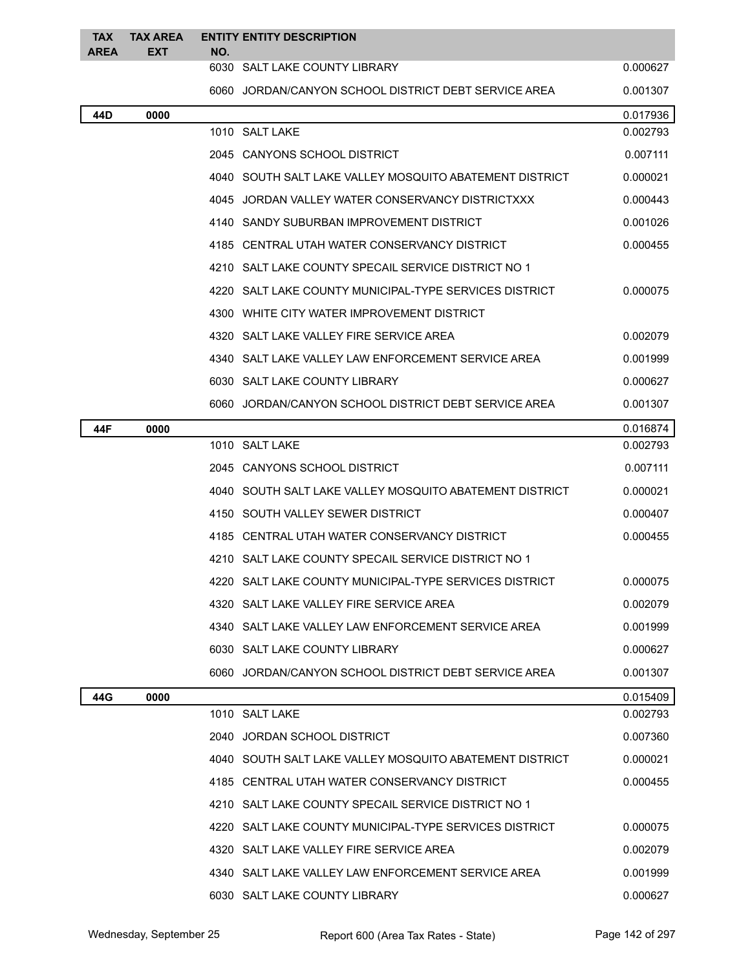| <b>TAX</b><br><b>AREA</b> | <b>TAX AREA</b><br><b>EXT</b> | NO. | <b>ENTITY ENTITY DESCRIPTION</b>                          |          |
|---------------------------|-------------------------------|-----|-----------------------------------------------------------|----------|
|                           |                               |     | 6030 SALT LAKE COUNTY LIBRARY                             | 0.000627 |
|                           |                               |     | 6060 JORDAN/CANYON SCHOOL DISTRICT DEBT SERVICE AREA      | 0.001307 |
| 44D                       | 0000                          |     |                                                           | 0.017936 |
|                           |                               |     | 1010 SALT LAKE                                            | 0.002793 |
|                           |                               |     | 2045 CANYONS SCHOOL DISTRICT                              | 0.007111 |
|                           |                               |     | 4040   SOUTH SALT LAKE VALLEY MOSQUITO ABATEMENT DISTRICT | 0.000021 |
|                           |                               |     | 4045 JORDAN VALLEY WATER CONSERVANCY DISTRICTXXX          | 0.000443 |
|                           |                               |     | 4140 SANDY SUBURBAN IMPROVEMENT DISTRICT                  | 0.001026 |
|                           |                               |     | 4185 CENTRAL UTAH WATER CONSERVANCY DISTRICT              | 0.000455 |
|                           |                               |     | 4210 SALT LAKE COUNTY SPECAIL SERVICE DISTRICT NO 1       |          |
|                           |                               |     | 4220   SALT LAKE COUNTY MUNICIPAL-TYPE SERVICES DISTRICT  | 0.000075 |
|                           |                               |     | 4300 WHITE CITY WATER IMPROVEMENT DISTRICT                |          |
|                           |                               |     | 4320 SALT LAKE VALLEY FIRE SERVICE AREA                   | 0.002079 |
|                           |                               |     | 4340 SALT LAKE VALLEY LAW ENFORCEMENT SERVICE AREA        | 0.001999 |
|                           |                               |     | 6030 SALT LAKE COUNTY LIBRARY                             | 0.000627 |
|                           |                               |     | 6060 JORDAN/CANYON SCHOOL DISTRICT DEBT SERVICE AREA      | 0.001307 |
| 44F                       | 0000                          |     |                                                           | 0.016874 |
|                           |                               |     | 1010 SALT LAKE                                            | 0.002793 |
|                           |                               |     | 2045 CANYONS SCHOOL DISTRICT                              | 0.007111 |
|                           |                               |     | 4040   SOUTH SALT LAKE VALLEY MOSQUITO ABATEMENT DISTRICT | 0.000021 |
|                           |                               |     | 4150 SOUTH VALLEY SEWER DISTRICT                          | 0.000407 |
|                           |                               |     | 4185 CENTRAL UTAH WATER CONSERVANCY DISTRICT              | 0.000455 |
|                           |                               |     | 4210 SALT LAKE COUNTY SPECAIL SERVICE DISTRICT NO 1       |          |
|                           |                               |     | 4220 SALT LAKE COUNTY MUNICIPAL-TYPE SERVICES DISTRICT    | 0.000075 |
|                           |                               |     | 4320 SALT LAKE VALLEY FIRE SERVICE AREA                   | 0.002079 |
|                           |                               |     | 4340 SALT LAKE VALLEY LAW ENFORCEMENT SERVICE AREA        | 0.001999 |
|                           |                               |     | 6030 SALT LAKE COUNTY LIBRARY                             | 0.000627 |
|                           |                               |     | 6060 JORDAN/CANYON SCHOOL DISTRICT DEBT SERVICE AREA      | 0.001307 |
| 44G                       | 0000                          |     |                                                           | 0.015409 |
|                           |                               |     | 1010 SALT LAKE                                            | 0.002793 |
|                           |                               |     | 2040 JORDAN SCHOOL DISTRICT                               | 0.007360 |
|                           |                               |     | 4040 SOUTH SALT LAKE VALLEY MOSQUITO ABATEMENT DISTRICT   | 0.000021 |
|                           |                               |     | 4185 CENTRAL UTAH WATER CONSERVANCY DISTRICT              | 0.000455 |
|                           |                               |     | 4210 SALT LAKE COUNTY SPECAIL SERVICE DISTRICT NO 1       |          |
|                           |                               |     | 4220   SALT LAKE COUNTY MUNICIPAL-TYPE SERVICES DISTRICT  | 0.000075 |
|                           |                               |     | 4320 SALT LAKE VALLEY FIRE SERVICE AREA                   | 0.002079 |
|                           |                               |     | 4340 SALT LAKE VALLEY LAW ENFORCEMENT SERVICE AREA        | 0.001999 |
|                           |                               |     | 6030 SALT LAKE COUNTY LIBRARY                             | 0.000627 |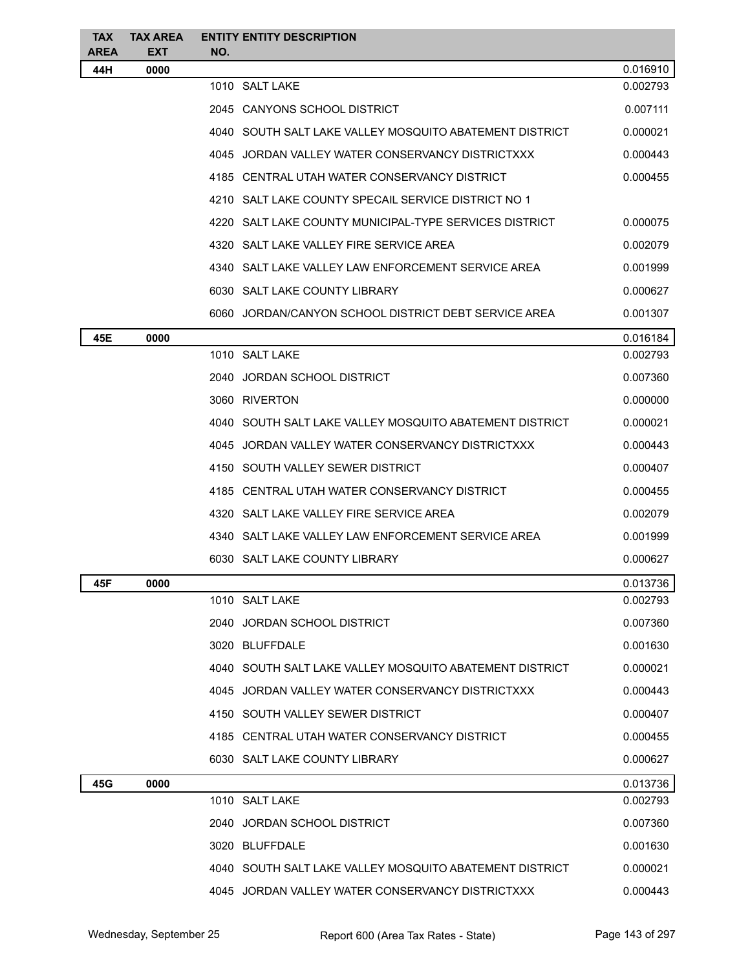| <b>TAX</b><br><b>AREA</b> | <b>TAX AREA</b><br><b>EXT</b> | <b>ENTITY ENTITY DESCRIPTION</b><br>NO.                   |          |
|---------------------------|-------------------------------|-----------------------------------------------------------|----------|
| 44H                       | 0000                          |                                                           | 0.016910 |
|                           |                               | 1010 SALT LAKE                                            | 0.002793 |
|                           |                               | 2045 CANYONS SCHOOL DISTRICT                              | 0.007111 |
|                           |                               | 4040 SOUTH SALT LAKE VALLEY MOSQUITO ABATEMENT DISTRICT   | 0.000021 |
|                           |                               | 4045 JORDAN VALLEY WATER CONSERVANCY DISTRICTXXX          | 0.000443 |
|                           |                               | 4185 CENTRAL UTAH WATER CONSERVANCY DISTRICT              | 0.000455 |
|                           |                               | 4210 SALT LAKE COUNTY SPECAIL SERVICE DISTRICT NO 1       |          |
|                           |                               | 4220   SALT LAKE COUNTY MUNICIPAL-TYPE SERVICES DISTRICT  | 0.000075 |
|                           |                               | 4320 SALT LAKE VALLEY FIRE SERVICE AREA                   | 0.002079 |
|                           |                               | 4340 SALT LAKE VALLEY LAW ENFORCEMENT SERVICE AREA        | 0.001999 |
|                           |                               | 6030 SALT LAKE COUNTY LIBRARY                             | 0.000627 |
|                           |                               | 6060 JORDAN/CANYON SCHOOL DISTRICT DEBT SERVICE AREA      | 0.001307 |
| 45E                       | 0000                          |                                                           | 0.016184 |
|                           |                               | 1010 SALT LAKE                                            | 0.002793 |
|                           |                               | 2040 JORDAN SCHOOL DISTRICT                               | 0.007360 |
|                           |                               | 3060 RIVERTON                                             | 0.000000 |
|                           |                               | 4040   SOUTH SALT LAKE VALLEY MOSQUITO ABATEMENT DISTRICT | 0.000021 |
|                           |                               | 4045 JORDAN VALLEY WATER CONSERVANCY DISTRICTXXX          | 0.000443 |
|                           |                               | 4150 SOUTH VALLEY SEWER DISTRICT                          | 0.000407 |
|                           |                               | 4185 CENTRAL UTAH WATER CONSERVANCY DISTRICT              | 0.000455 |
|                           |                               | 4320 SALT LAKE VALLEY FIRE SERVICE AREA                   | 0.002079 |
|                           |                               | 4340 SALT LAKE VALLEY LAW ENFORCEMENT SERVICE AREA        | 0.001999 |
|                           |                               | 6030 SALT LAKE COUNTY LIBRARY                             | 0.000627 |
| 45F                       | 0000                          |                                                           | 0.013736 |
|                           |                               | 1010 SALT LAKE                                            | 0.002793 |
|                           |                               | 2040 JORDAN SCHOOL DISTRICT                               | 0.007360 |
|                           |                               | 3020 BLUFFDALE                                            | 0.001630 |
|                           |                               | 4040 SOUTH SALT LAKE VALLEY MOSQUITO ABATEMENT DISTRICT   | 0.000021 |
|                           |                               | 4045 JORDAN VALLEY WATER CONSERVANCY DISTRICTXXX          | 0.000443 |
|                           |                               | 4150 SOUTH VALLEY SEWER DISTRICT                          | 0.000407 |
|                           |                               | 4185 CENTRAL UTAH WATER CONSERVANCY DISTRICT              | 0.000455 |
|                           |                               | 6030 SALT LAKE COUNTY LIBRARY                             | 0.000627 |
| 45G                       | 0000                          |                                                           | 0.013736 |
|                           |                               | 1010 SALT LAKE                                            | 0.002793 |
|                           |                               | 2040 JORDAN SCHOOL DISTRICT                               | 0.007360 |
|                           |                               | 3020 BLUFFDALE                                            | 0.001630 |
|                           |                               | 4040 SOUTH SALT LAKE VALLEY MOSQUITO ABATEMENT DISTRICT   | 0.000021 |
|                           |                               | 4045 JORDAN VALLEY WATER CONSERVANCY DISTRICTXXX          | 0.000443 |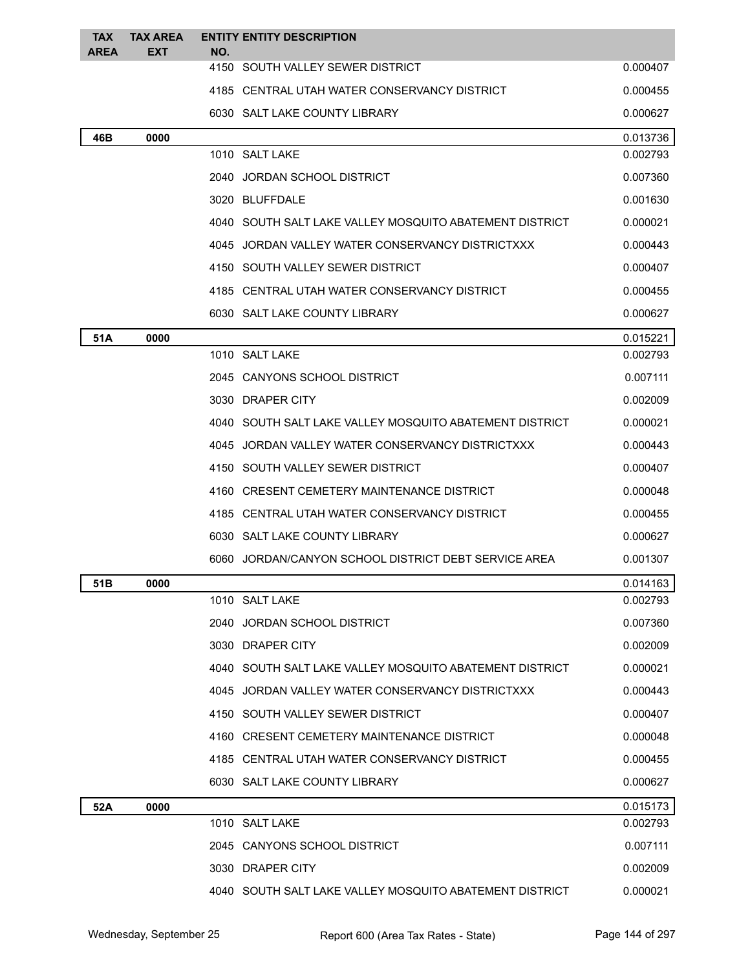| <b>TAX</b><br><b>AREA</b> | <b>TAX AREA</b><br><b>EXT</b> | <b>ENTITY ENTITY DESCRIPTION</b><br>NO.                 |          |
|---------------------------|-------------------------------|---------------------------------------------------------|----------|
|                           |                               | 4150 SOUTH VALLEY SEWER DISTRICT                        | 0.000407 |
|                           |                               | 4185 CENTRAL UTAH WATER CONSERVANCY DISTRICT            | 0.000455 |
|                           |                               | 6030 SALT LAKE COUNTY LIBRARY                           | 0.000627 |
| 46B                       | 0000                          |                                                         | 0.013736 |
|                           |                               | 1010 SALT LAKE                                          | 0.002793 |
|                           |                               | 2040 JORDAN SCHOOL DISTRICT                             | 0.007360 |
|                           |                               | 3020 BLUFFDALE                                          | 0.001630 |
|                           |                               | 4040 SOUTH SALT LAKE VALLEY MOSQUITO ABATEMENT DISTRICT | 0.000021 |
|                           |                               | 4045 JORDAN VALLEY WATER CONSERVANCY DISTRICTXXX        | 0.000443 |
|                           |                               | 4150 SOUTH VALLEY SEWER DISTRICT                        | 0.000407 |
|                           |                               | 4185 CENTRAL UTAH WATER CONSERVANCY DISTRICT            | 0.000455 |
|                           |                               | 6030 SALT LAKE COUNTY LIBRARY                           | 0.000627 |
| 51A                       | 0000                          |                                                         | 0.015221 |
|                           |                               | 1010 SALT LAKE                                          | 0.002793 |
|                           |                               | 2045 CANYONS SCHOOL DISTRICT                            | 0.007111 |
|                           |                               | 3030 DRAPER CITY                                        | 0.002009 |
|                           |                               | 4040 SOUTH SALT LAKE VALLEY MOSQUITO ABATEMENT DISTRICT | 0.000021 |
|                           |                               | 4045 JORDAN VALLEY WATER CONSERVANCY DISTRICTXXX        | 0.000443 |
|                           |                               | 4150 SOUTH VALLEY SEWER DISTRICT                        | 0.000407 |
|                           |                               | 4160 CRESENT CEMETERY MAINTENANCE DISTRICT              | 0.000048 |
|                           |                               | 4185 CENTRAL UTAH WATER CONSERVANCY DISTRICT            | 0.000455 |
|                           |                               | 6030 SALT LAKE COUNTY LIBRARY                           | 0.000627 |
|                           |                               | 6060 JORDAN/CANYON SCHOOL DISTRICT DEBT SERVICE AREA    | 0.001307 |
| 51B                       | 0000                          |                                                         | 0.014163 |
|                           |                               | 1010 SALT LAKE                                          | 0.002793 |
|                           |                               | 2040 JORDAN SCHOOL DISTRICT                             | 0.007360 |
|                           |                               | 3030 DRAPER CITY                                        | 0.002009 |
|                           |                               | 4040 SOUTH SALT LAKE VALLEY MOSQUITO ABATEMENT DISTRICT | 0.000021 |
|                           |                               | 4045 JORDAN VALLEY WATER CONSERVANCY DISTRICTXXX        | 0.000443 |
|                           |                               | 4150 SOUTH VALLEY SEWER DISTRICT                        | 0.000407 |
|                           |                               | 4160 CRESENT CEMETERY MAINTENANCE DISTRICT              | 0.000048 |
|                           |                               | 4185 CENTRAL UTAH WATER CONSERVANCY DISTRICT            | 0.000455 |
|                           |                               | 6030 SALT LAKE COUNTY LIBRARY                           | 0.000627 |
| 52A                       | 0000                          |                                                         | 0.015173 |
|                           |                               | 1010 SALT LAKE                                          | 0.002793 |
|                           |                               | 2045 CANYONS SCHOOL DISTRICT                            | 0.007111 |
|                           |                               | 3030 DRAPER CITY                                        | 0.002009 |
|                           |                               | 4040 SOUTH SALT LAKE VALLEY MOSQUITO ABATEMENT DISTRICT | 0.000021 |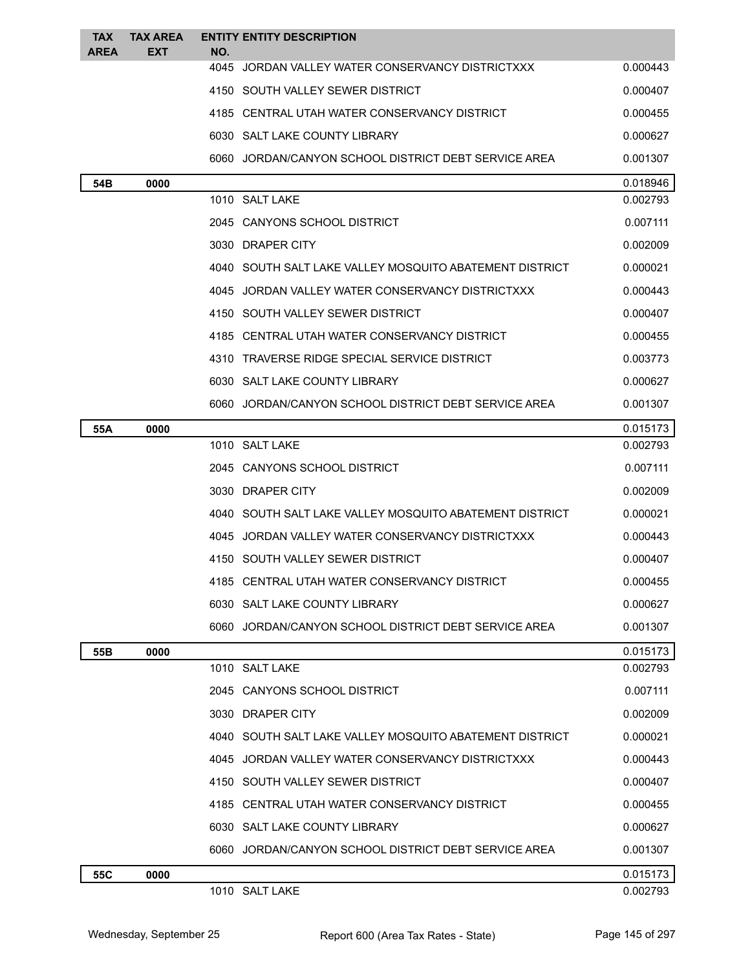| <b>TAX</b>  | <b>TAX AREA</b> | <b>ENTITY ENTITY DESCRIPTION</b>                        |                      |
|-------------|-----------------|---------------------------------------------------------|----------------------|
| <b>AREA</b> | EXT             | NO.<br>4045 JORDAN VALLEY WATER CONSERVANCY DISTRICTXXX | 0.000443             |
|             |                 | 4150 SOUTH VALLEY SEWER DISTRICT                        | 0.000407             |
|             |                 | 4185 CENTRAL UTAH WATER CONSERVANCY DISTRICT            | 0.000455             |
|             |                 |                                                         |                      |
|             |                 | 6030 SALT LAKE COUNTY LIBRARY                           | 0.000627             |
|             |                 | 6060 JORDAN/CANYON SCHOOL DISTRICT DEBT SERVICE AREA    | 0.001307             |
| 54B         | 0000            | 1010 SALT LAKE                                          | 0.018946<br>0.002793 |
|             |                 | 2045 CANYONS SCHOOL DISTRICT                            | 0.007111             |
|             |                 | 3030 DRAPER CITY                                        | 0.002009             |
|             |                 | 4040 SOUTH SALT LAKE VALLEY MOSQUITO ABATEMENT DISTRICT | 0.000021             |
|             |                 | 4045 JORDAN VALLEY WATER CONSERVANCY DISTRICTXXX        | 0.000443             |
|             |                 |                                                         |                      |
|             |                 | 4150 SOUTH VALLEY SEWER DISTRICT                        | 0.000407             |
|             |                 | 4185 CENTRAL UTAH WATER CONSERVANCY DISTRICT            | 0.000455             |
|             |                 | 4310 TRAVERSE RIDGE SPECIAL SERVICE DISTRICT            | 0.003773             |
|             |                 | 6030 SALT LAKE COUNTY LIBRARY                           | 0.000627             |
|             |                 | 6060 JORDAN/CANYON SCHOOL DISTRICT DEBT SERVICE AREA    | 0.001307             |
| 55A         | 0000            | 1010 SALT LAKE                                          | 0.015173<br>0.002793 |
|             |                 | 2045 CANYONS SCHOOL DISTRICT                            | 0.007111             |
|             |                 | 3030 DRAPER CITY                                        | 0.002009             |
|             |                 |                                                         |                      |
|             |                 | 4040 SOUTH SALT LAKE VALLEY MOSQUITO ABATEMENT DISTRICT | 0.000021             |
|             |                 | 4045 JORDAN VALLEY WATER CONSERVANCY DISTRICTXXX        | 0.000443             |
|             |                 | 4150 SOUTH VALLEY SEWER DISTRICT                        | 0.000407             |
|             |                 | 4185 CENTRAL UTAH WATER CONSERVANCY DISTRICT            | 0.000455             |
|             |                 | 6030 SALT LAKE COUNTY LIBRARY                           | 0.000627             |
|             |                 | 6060 JORDAN/CANYON SCHOOL DISTRICT DEBT SERVICE AREA    | 0.001307             |
| 55B         | 0000            |                                                         | 0.015173             |
|             |                 | 1010 SALT LAKE                                          | 0.002793             |
|             |                 | 2045 CANYONS SCHOOL DISTRICT                            | 0.007111             |
|             |                 | 3030 DRAPER CITY                                        | 0.002009             |
|             |                 | 4040 SOUTH SALT LAKE VALLEY MOSQUITO ABATEMENT DISTRICT | 0.000021             |
|             |                 | 4045 JORDAN VALLEY WATER CONSERVANCY DISTRICTXXX        | 0.000443             |
|             |                 | 4150 SOUTH VALLEY SEWER DISTRICT                        | 0.000407             |
|             |                 | 4185 CENTRAL UTAH WATER CONSERVANCY DISTRICT            | 0.000455             |
|             |                 | 6030 SALT LAKE COUNTY LIBRARY                           | 0.000627             |
|             |                 | 6060 JORDAN/CANYON SCHOOL DISTRICT DEBT SERVICE AREA    | 0.001307             |
| 55C         | 0000            |                                                         | 0.015173             |
|             |                 | 1010 SALT LAKE                                          | 0.002793             |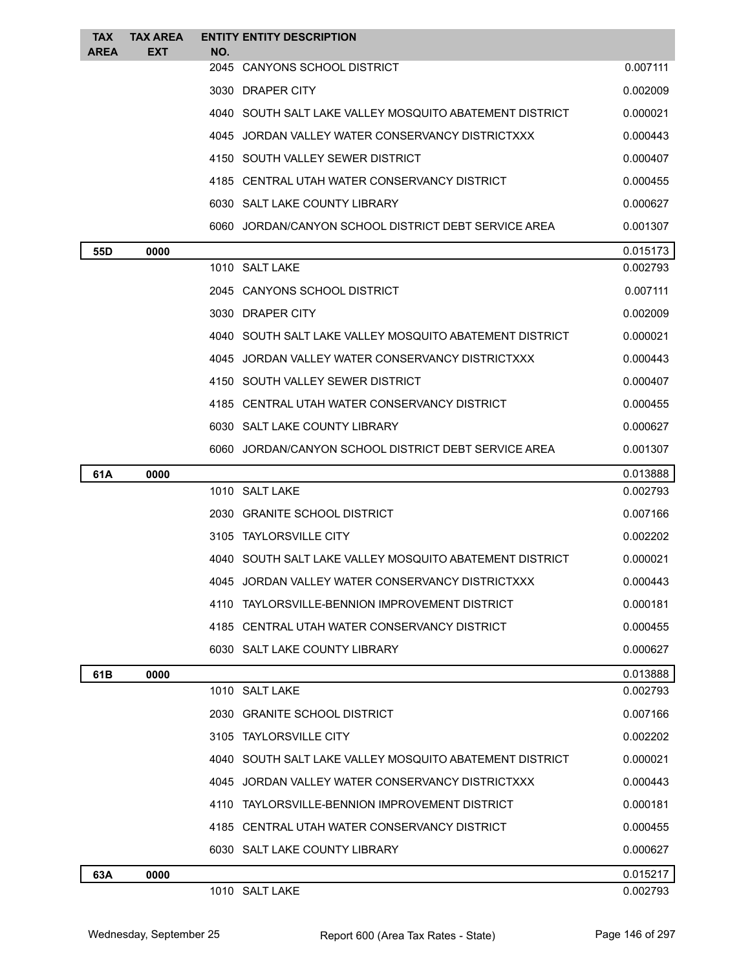| <b>TAX</b><br><b>AREA</b> | <b>TAX AREA</b><br>EXT | <b>ENTITY ENTITY DESCRIPTION</b><br>NO.                 |          |
|---------------------------|------------------------|---------------------------------------------------------|----------|
|                           |                        | 2045 CANYONS SCHOOL DISTRICT                            | 0.007111 |
|                           |                        | 3030 DRAPER CITY                                        | 0.002009 |
|                           |                        | 4040 SOUTH SALT LAKE VALLEY MOSQUITO ABATEMENT DISTRICT | 0.000021 |
|                           |                        | 4045 JORDAN VALLEY WATER CONSERVANCY DISTRICTXXX        | 0.000443 |
|                           |                        | 4150 SOUTH VALLEY SEWER DISTRICT                        | 0.000407 |
|                           |                        | 4185 CENTRAL UTAH WATER CONSERVANCY DISTRICT            | 0.000455 |
|                           |                        | 6030 SALT LAKE COUNTY LIBRARY                           | 0.000627 |
|                           |                        | 6060 JORDAN/CANYON SCHOOL DISTRICT DEBT SERVICE AREA    | 0.001307 |
| 55D                       | 0000                   |                                                         | 0.015173 |
|                           |                        | 1010 SALT LAKE                                          | 0.002793 |
|                           |                        | 2045 CANYONS SCHOOL DISTRICT                            | 0.007111 |
|                           |                        | 3030 DRAPER CITY                                        | 0.002009 |
|                           |                        | 4040 SOUTH SALT LAKE VALLEY MOSQUITO ABATEMENT DISTRICT | 0.000021 |
|                           |                        | 4045 JORDAN VALLEY WATER CONSERVANCY DISTRICTXXX        | 0.000443 |
|                           |                        | 4150 SOUTH VALLEY SEWER DISTRICT                        | 0.000407 |
|                           |                        | 4185 CENTRAL UTAH WATER CONSERVANCY DISTRICT            | 0.000455 |
|                           |                        | 6030 SALT LAKE COUNTY LIBRARY                           | 0.000627 |
|                           |                        | 6060 JORDAN/CANYON SCHOOL DISTRICT DEBT SERVICE AREA    | 0.001307 |
| 61A                       | 0000                   |                                                         | 0.013888 |
|                           |                        | 1010 SALT LAKE                                          | 0.002793 |
|                           |                        | 2030 GRANITE SCHOOL DISTRICT                            | 0.007166 |
|                           |                        | 3105 TAYLORSVILLE CITY                                  | 0.002202 |
|                           |                        | 4040 SOUTH SALT LAKE VALLEY MOSQUITO ABATEMENT DISTRICT | 0.000021 |
|                           |                        | 4045 JORDAN VALLEY WATER CONSERVANCY DISTRICTXXX        | 0.000443 |
|                           |                        | 4110 TAYLORSVILLE-BENNION IMPROVEMENT DISTRICT          | 0.000181 |
|                           |                        | 4185 CENTRAL UTAH WATER CONSERVANCY DISTRICT            | 0.000455 |
|                           |                        | 6030 SALT LAKE COUNTY LIBRARY                           | 0.000627 |
| 61B                       | 0000                   |                                                         | 0.013888 |
|                           |                        | 1010 SALT LAKE                                          | 0.002793 |
|                           |                        | 2030 GRANITE SCHOOL DISTRICT                            | 0.007166 |
|                           |                        | 3105 TAYLORSVILLE CITY                                  | 0.002202 |
|                           |                        | 4040 SOUTH SALT LAKE VALLEY MOSQUITO ABATEMENT DISTRICT | 0.000021 |
|                           |                        | 4045 JORDAN VALLEY WATER CONSERVANCY DISTRICTXXX        | 0.000443 |
|                           |                        | 4110 TAYLORSVILLE-BENNION IMPROVEMENT DISTRICT          | 0.000181 |
|                           |                        | 4185 CENTRAL UTAH WATER CONSERVANCY DISTRICT            | 0.000455 |
|                           |                        | 6030 SALT LAKE COUNTY LIBRARY                           | 0.000627 |
| 63A                       | 0000                   |                                                         | 0.015217 |
|                           |                        | 1010 SALT LAKE                                          | 0.002793 |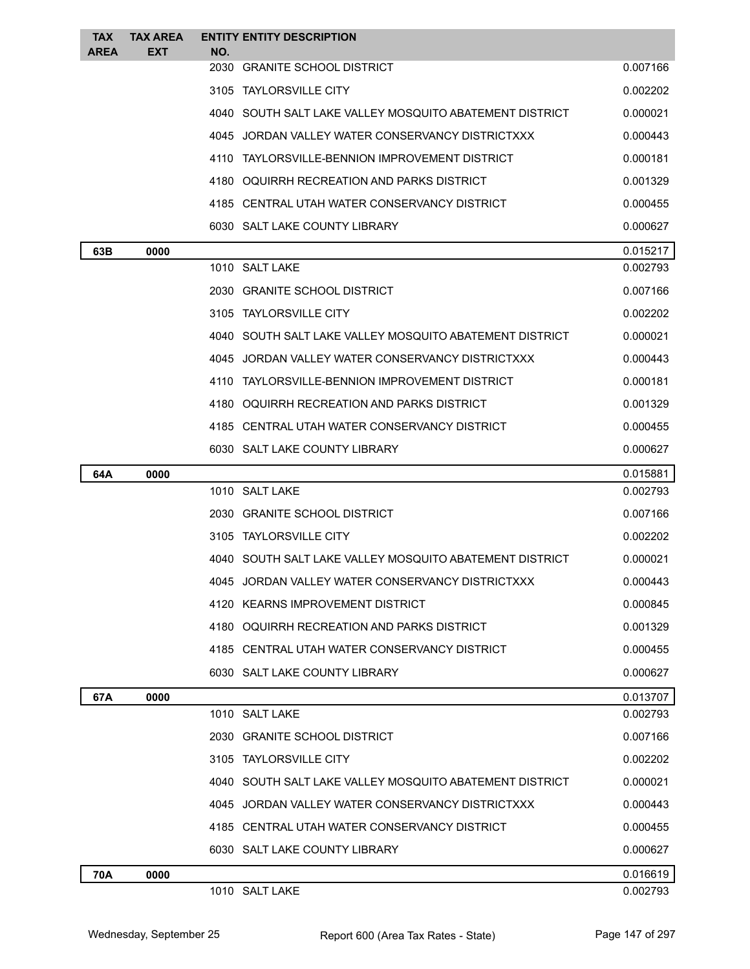| <b>TAX</b><br><b>AREA</b> | <b>TAX AREA</b><br><b>EXT</b> | <b>ENTITY ENTITY DESCRIPTION</b><br>NO.                 |          |
|---------------------------|-------------------------------|---------------------------------------------------------|----------|
|                           |                               | 2030 GRANITE SCHOOL DISTRICT                            | 0.007166 |
|                           |                               | 3105 TAYLORSVILLE CITY                                  | 0.002202 |
|                           |                               | 4040 SOUTH SALT LAKE VALLEY MOSQUITO ABATEMENT DISTRICT | 0.000021 |
|                           |                               | 4045 JORDAN VALLEY WATER CONSERVANCY DISTRICTXXX        | 0.000443 |
|                           |                               | 4110 TAYLORSVILLE-BENNION IMPROVEMENT DISTRICT          | 0.000181 |
|                           |                               | 4180 OQUIRRH RECREATION AND PARKS DISTRICT              | 0.001329 |
|                           |                               | 4185 CENTRAL UTAH WATER CONSERVANCY DISTRICT            | 0.000455 |
|                           |                               | 6030 SALT LAKE COUNTY LIBRARY                           | 0.000627 |
| 63B                       | 0000                          |                                                         | 0.015217 |
|                           |                               | 1010 SALT LAKE                                          | 0.002793 |
|                           |                               | 2030 GRANITE SCHOOL DISTRICT                            | 0.007166 |
|                           |                               | 3105 TAYLORSVILLE CITY                                  | 0.002202 |
|                           |                               | 4040 SOUTH SALT LAKE VALLEY MOSQUITO ABATEMENT DISTRICT | 0.000021 |
|                           |                               | 4045 JORDAN VALLEY WATER CONSERVANCY DISTRICTXXX        | 0.000443 |
|                           |                               | 4110 TAYLORSVILLE-BENNION IMPROVEMENT DISTRICT          | 0.000181 |
|                           |                               | 4180 OQUIRRH RECREATION AND PARKS DISTRICT              | 0.001329 |
|                           |                               | 4185 CENTRAL UTAH WATER CONSERVANCY DISTRICT            | 0.000455 |
|                           |                               | 6030 SALT LAKE COUNTY LIBRARY                           | 0.000627 |
| 64A                       | 0000                          |                                                         | 0.015881 |
|                           |                               | 1010 SALT LAKE                                          | 0.002793 |
|                           |                               | 2030 GRANITE SCHOOL DISTRICT                            | 0.007166 |
|                           |                               | 3105 TAYLORSVILLE CITY                                  | 0.002202 |
|                           |                               | 4040 SOUTH SALT LAKE VALLEY MOSQUITO ABATEMENT DISTRICT | 0.000021 |
|                           |                               | 4045 JORDAN VALLEY WATER CONSERVANCY DISTRICTXXX        | 0.000443 |
|                           |                               | 4120 KEARNS IMPROVEMENT DISTRICT                        | 0.000845 |
|                           |                               | 4180 OQUIRRH RECREATION AND PARKS DISTRICT              | 0.001329 |
|                           |                               | 4185 CENTRAL UTAH WATER CONSERVANCY DISTRICT            | 0.000455 |
|                           |                               | 6030 SALT LAKE COUNTY LIBRARY                           | 0.000627 |
| 67A                       | 0000                          |                                                         | 0.013707 |
|                           |                               | 1010 SALT LAKE                                          | 0.002793 |
|                           |                               | 2030 GRANITE SCHOOL DISTRICT                            | 0.007166 |
|                           |                               | 3105 TAYLORSVILLE CITY                                  | 0.002202 |
|                           |                               | 4040 SOUTH SALT LAKE VALLEY MOSQUITO ABATEMENT DISTRICT | 0.000021 |
|                           |                               | 4045 JORDAN VALLEY WATER CONSERVANCY DISTRICTXXX        | 0.000443 |
|                           |                               | 4185 CENTRAL UTAH WATER CONSERVANCY DISTRICT            | 0.000455 |
|                           |                               | 6030 SALT LAKE COUNTY LIBRARY                           | 0.000627 |
| 70A                       | 0000                          |                                                         | 0.016619 |
|                           |                               | 1010 SALT LAKE                                          | 0.002793 |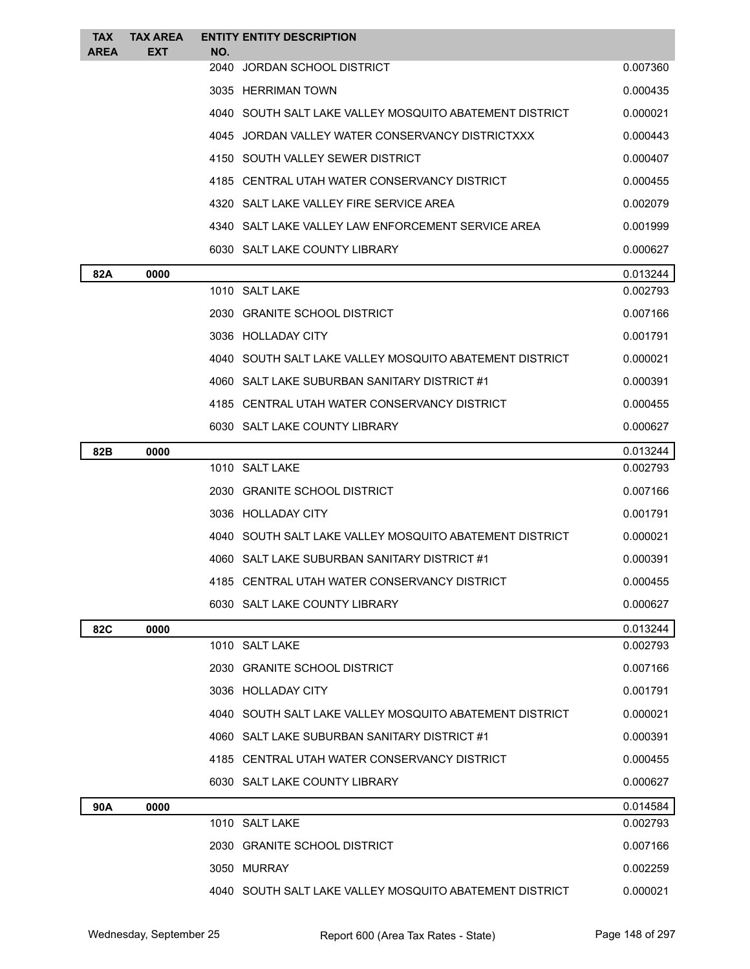| <b>TAX</b><br><b>AREA</b> | <b>TAX AREA</b><br><b>EXT</b> | <b>ENTITY ENTITY DESCRIPTION</b><br>NO.                 |          |
|---------------------------|-------------------------------|---------------------------------------------------------|----------|
|                           |                               | 2040 JORDAN SCHOOL DISTRICT                             | 0.007360 |
|                           |                               | 3035 HERRIMAN TOWN                                      | 0.000435 |
|                           |                               | 4040 SOUTH SALT LAKE VALLEY MOSQUITO ABATEMENT DISTRICT | 0.000021 |
|                           |                               | 4045 JORDAN VALLEY WATER CONSERVANCY DISTRICTXXX        | 0.000443 |
|                           |                               | 4150 SOUTH VALLEY SEWER DISTRICT                        | 0.000407 |
|                           |                               | 4185 CENTRAL UTAH WATER CONSERVANCY DISTRICT            | 0.000455 |
|                           |                               | 4320 SALT LAKE VALLEY FIRE SERVICE AREA                 | 0.002079 |
|                           |                               | 4340 SALT LAKE VALLEY LAW ENFORCEMENT SERVICE AREA      | 0.001999 |
|                           |                               | 6030 SALT LAKE COUNTY LIBRARY                           | 0.000627 |
| 82A                       | 0000                          |                                                         | 0.013244 |
|                           |                               | 1010 SALT LAKE                                          | 0.002793 |
|                           |                               | 2030 GRANITE SCHOOL DISTRICT                            | 0.007166 |
|                           |                               | 3036 HOLLADAY CITY                                      | 0.001791 |
|                           |                               | 4040 SOUTH SALT LAKE VALLEY MOSQUITO ABATEMENT DISTRICT | 0.000021 |
|                           |                               | 4060 SALT LAKE SUBURBAN SANITARY DISTRICT #1            | 0.000391 |
|                           |                               | 4185 CENTRAL UTAH WATER CONSERVANCY DISTRICT            | 0.000455 |
|                           |                               | 6030 SALT LAKE COUNTY LIBRARY                           | 0.000627 |
| 82B                       | 0000                          |                                                         | 0.013244 |
|                           |                               | 1010 SALT LAKE                                          | 0.002793 |
|                           |                               | 2030 GRANITE SCHOOL DISTRICT                            | 0.007166 |
|                           |                               | 3036 HOLLADAY CITY                                      | 0.001791 |
|                           |                               | 4040 SOUTH SALT LAKE VALLEY MOSQUITO ABATEMENT DISTRICT | 0.000021 |
|                           |                               | 4060 SALT LAKE SUBURBAN SANITARY DISTRICT #1            | 0.000391 |
|                           |                               | 4185 CENTRAL UTAH WATER CONSERVANCY DISTRICT            | 0.000455 |
|                           |                               | 6030 SALT LAKE COUNTY LIBRARY                           | 0.000627 |
| 82C                       | 0000                          |                                                         | 0.013244 |
|                           |                               | 1010 SALT LAKE                                          | 0.002793 |
|                           |                               | 2030 GRANITE SCHOOL DISTRICT                            | 0.007166 |
|                           |                               | 3036 HOLLADAY CITY                                      | 0.001791 |
|                           |                               | 4040 SOUTH SALT LAKE VALLEY MOSQUITO ABATEMENT DISTRICT | 0.000021 |
|                           |                               | 4060 SALT LAKE SUBURBAN SANITARY DISTRICT #1            | 0.000391 |
|                           |                               | 4185 CENTRAL UTAH WATER CONSERVANCY DISTRICT            | 0.000455 |
|                           |                               | 6030 SALT LAKE COUNTY LIBRARY                           | 0.000627 |
| 90A                       | 0000                          |                                                         | 0.014584 |
|                           |                               | 1010 SALT LAKE                                          | 0.002793 |
|                           |                               | 2030 GRANITE SCHOOL DISTRICT                            | 0.007166 |
|                           |                               | 3050 MURRAY                                             | 0.002259 |
|                           |                               | 4040 SOUTH SALT LAKE VALLEY MOSQUITO ABATEMENT DISTRICT | 0.000021 |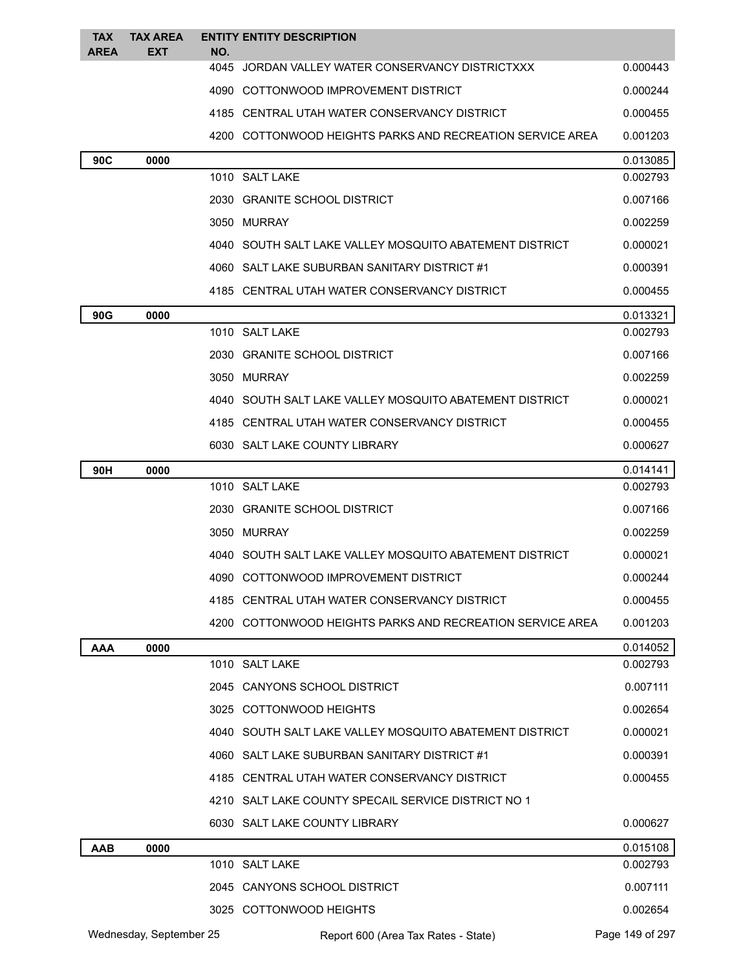| <b>TAX</b><br><b>AREA</b> | <b>TAX AREA</b><br><b>EXT</b> | NO. | <b>ENTITY ENTITY DESCRIPTION</b>                          |                 |
|---------------------------|-------------------------------|-----|-----------------------------------------------------------|-----------------|
|                           |                               |     | 4045 JORDAN VALLEY WATER CONSERVANCY DISTRICTXXX          | 0.000443        |
|                           |                               |     | 4090 COTTONWOOD IMPROVEMENT DISTRICT                      | 0.000244        |
|                           |                               |     | 4185 CENTRAL UTAH WATER CONSERVANCY DISTRICT              | 0.000455        |
|                           |                               |     | 4200 COTTONWOOD HEIGHTS PARKS AND RECREATION SERVICE AREA | 0.001203        |
| 90C                       | 0000                          |     |                                                           | 0.013085        |
|                           |                               |     | 1010 SALT LAKE                                            | 0.002793        |
|                           |                               |     | 2030 GRANITE SCHOOL DISTRICT                              | 0.007166        |
|                           |                               |     | 3050 MURRAY                                               | 0.002259        |
|                           |                               |     | 4040 SOUTH SALT LAKE VALLEY MOSQUITO ABATEMENT DISTRICT   | 0.000021        |
|                           |                               |     | 4060 SALT LAKE SUBURBAN SANITARY DISTRICT #1              | 0.000391        |
|                           |                               |     | 4185 CENTRAL UTAH WATER CONSERVANCY DISTRICT              | 0.000455        |
| 90G                       | 0000                          |     |                                                           | 0.013321        |
|                           |                               |     | 1010 SALT LAKE                                            | 0.002793        |
|                           |                               |     | 2030 GRANITE SCHOOL DISTRICT                              | 0.007166        |
|                           |                               |     | 3050 MURRAY                                               | 0.002259        |
|                           |                               |     | 4040 SOUTH SALT LAKE VALLEY MOSQUITO ABATEMENT DISTRICT   | 0.000021        |
|                           |                               |     | 4185 CENTRAL UTAH WATER CONSERVANCY DISTRICT              | 0.000455        |
|                           |                               |     | 6030 SALT LAKE COUNTY LIBRARY                             | 0.000627        |
| 90H                       | 0000                          |     |                                                           | 0.014141        |
|                           |                               |     | 1010 SALT LAKE                                            | 0.002793        |
|                           |                               |     | 2030 GRANITE SCHOOL DISTRICT                              | 0.007166        |
|                           |                               |     | 3050 MURRAY                                               | 0.002259        |
|                           |                               |     | 4040 SOUTH SALT LAKE VALLEY MOSQUITO ABATEMENT DISTRICT   | 0.000021        |
|                           |                               |     | 4090 COTTONWOOD IMPROVEMENT DISTRICT                      | 0.000244        |
|                           |                               |     | 4185 CENTRAL UTAH WATER CONSERVANCY DISTRICT              | 0.000455        |
|                           |                               |     | 4200 COTTONWOOD HEIGHTS PARKS AND RECREATION SERVICE AREA | 0.001203        |
| <b>AAA</b>                | 0000                          |     |                                                           | 0.014052        |
|                           |                               |     | 1010 SALT LAKE                                            | 0.002793        |
|                           |                               |     | 2045 CANYONS SCHOOL DISTRICT                              | 0.007111        |
|                           |                               |     | 3025 COTTONWOOD HEIGHTS                                   | 0.002654        |
|                           |                               |     | 4040 SOUTH SALT LAKE VALLEY MOSQUITO ABATEMENT DISTRICT   | 0.000021        |
|                           |                               |     | 4060 SALT LAKE SUBURBAN SANITARY DISTRICT #1              | 0.000391        |
|                           |                               |     | 4185 CENTRAL UTAH WATER CONSERVANCY DISTRICT              | 0.000455        |
|                           |                               |     | 4210 SALT LAKE COUNTY SPECAIL SERVICE DISTRICT NO 1       |                 |
|                           |                               |     | 6030 SALT LAKE COUNTY LIBRARY                             | 0.000627        |
| <b>AAB</b>                | 0000                          |     |                                                           | 0.015108        |
|                           |                               |     | 1010 SALT LAKE                                            | 0.002793        |
|                           |                               |     | 2045 CANYONS SCHOOL DISTRICT                              | 0.007111        |
|                           |                               |     | 3025 COTTONWOOD HEIGHTS                                   | 0.002654        |
|                           | Wednesday, September 25       |     | Report 600 (Area Tax Rates - State)                       | Page 149 of 297 |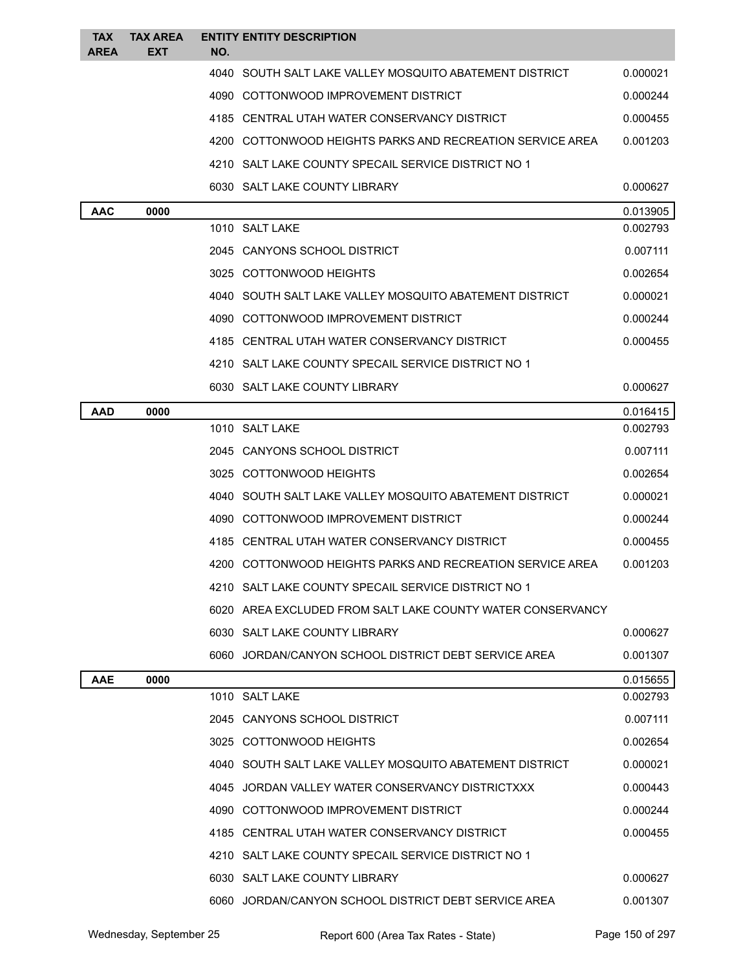| <b>TAX</b><br><b>AREA</b> | <b>TAX AREA</b><br><b>EXT</b> | NO. | <b>ENTITY ENTITY DESCRIPTION</b>                           |          |
|---------------------------|-------------------------------|-----|------------------------------------------------------------|----------|
|                           |                               |     | 4040 SOUTH SALT LAKE VALLEY MOSQUITO ABATEMENT DISTRICT    | 0.000021 |
|                           |                               |     | 4090 COTTONWOOD IMPROVEMENT DISTRICT                       | 0.000244 |
|                           |                               |     | 4185 CENTRAL UTAH WATER CONSERVANCY DISTRICT               | 0.000455 |
|                           |                               |     | 4200 COTTONWOOD HEIGHTS PARKS AND RECREATION SERVICE AREA  | 0.001203 |
|                           |                               |     | 4210 SALT LAKE COUNTY SPECAIL SERVICE DISTRICT NO 1        |          |
|                           |                               |     | 6030 SALT LAKE COUNTY LIBRARY                              | 0.000627 |
| <b>AAC</b>                | 0000                          |     |                                                            | 0.013905 |
|                           |                               |     | 1010 SALT LAKE                                             | 0.002793 |
|                           |                               |     | 2045 CANYONS SCHOOL DISTRICT                               | 0.007111 |
|                           |                               |     | 3025 COTTONWOOD HEIGHTS                                    | 0.002654 |
|                           |                               |     | 4040 SOUTH SALT LAKE VALLEY MOSQUITO ABATEMENT DISTRICT    | 0.000021 |
|                           |                               |     | 4090 COTTONWOOD IMPROVEMENT DISTRICT                       | 0.000244 |
|                           |                               |     | 4185 CENTRAL UTAH WATER CONSERVANCY DISTRICT               | 0.000455 |
|                           |                               |     | 4210 SALT LAKE COUNTY SPECAIL SERVICE DISTRICT NO 1        |          |
|                           |                               |     | 6030 SALT LAKE COUNTY LIBRARY                              | 0.000627 |
| AAD                       | 0000                          |     |                                                            | 0.016415 |
|                           |                               |     | 1010 SALT LAKE                                             | 0.002793 |
|                           |                               |     | 2045 CANYONS SCHOOL DISTRICT                               | 0.007111 |
|                           |                               |     | 3025 COTTONWOOD HEIGHTS                                    | 0.002654 |
|                           |                               |     | 4040 SOUTH SALT LAKE VALLEY MOSQUITO ABATEMENT DISTRICT    | 0.000021 |
|                           |                               |     | 4090 COTTONWOOD IMPROVEMENT DISTRICT                       | 0.000244 |
|                           |                               |     | 4185 CENTRAL UTAH WATER CONSERVANCY DISTRICT               | 0.000455 |
|                           |                               |     | 4200 COTTONWOOD HEIGHTS PARKS AND RECREATION SERVICE AREA  | 0.001203 |
|                           |                               |     | 4210 SALT LAKE COUNTY SPECAIL SERVICE DISTRICT NO 1        |          |
|                           |                               |     | 6020 AREA EXCLUDED FROM SALT LAKE COUNTY WATER CONSERVANCY |          |
|                           |                               |     | 6030 SALT LAKE COUNTY LIBRARY                              | 0.000627 |
|                           |                               |     | 6060 JORDAN/CANYON SCHOOL DISTRICT DEBT SERVICE AREA       | 0.001307 |
| <b>AAE</b>                | 0000                          |     |                                                            | 0.015655 |
|                           |                               |     | 1010 SALT LAKE                                             | 0.002793 |
|                           |                               |     | 2045 CANYONS SCHOOL DISTRICT                               | 0.007111 |
|                           |                               |     | 3025 COTTONWOOD HEIGHTS                                    | 0.002654 |
|                           |                               |     | 4040 SOUTH SALT LAKE VALLEY MOSQUITO ABATEMENT DISTRICT    | 0.000021 |
|                           |                               |     | 4045 JORDAN VALLEY WATER CONSERVANCY DISTRICTXXX           | 0.000443 |
|                           |                               |     | 4090 COTTONWOOD IMPROVEMENT DISTRICT                       | 0.000244 |
|                           |                               |     | 4185 CENTRAL UTAH WATER CONSERVANCY DISTRICT               | 0.000455 |
|                           |                               |     | 4210 SALT LAKE COUNTY SPECAIL SERVICE DISTRICT NO 1        |          |
|                           |                               |     | 6030 SALT LAKE COUNTY LIBRARY                              | 0.000627 |
|                           |                               |     | 6060 JORDAN/CANYON SCHOOL DISTRICT DEBT SERVICE AREA       | 0.001307 |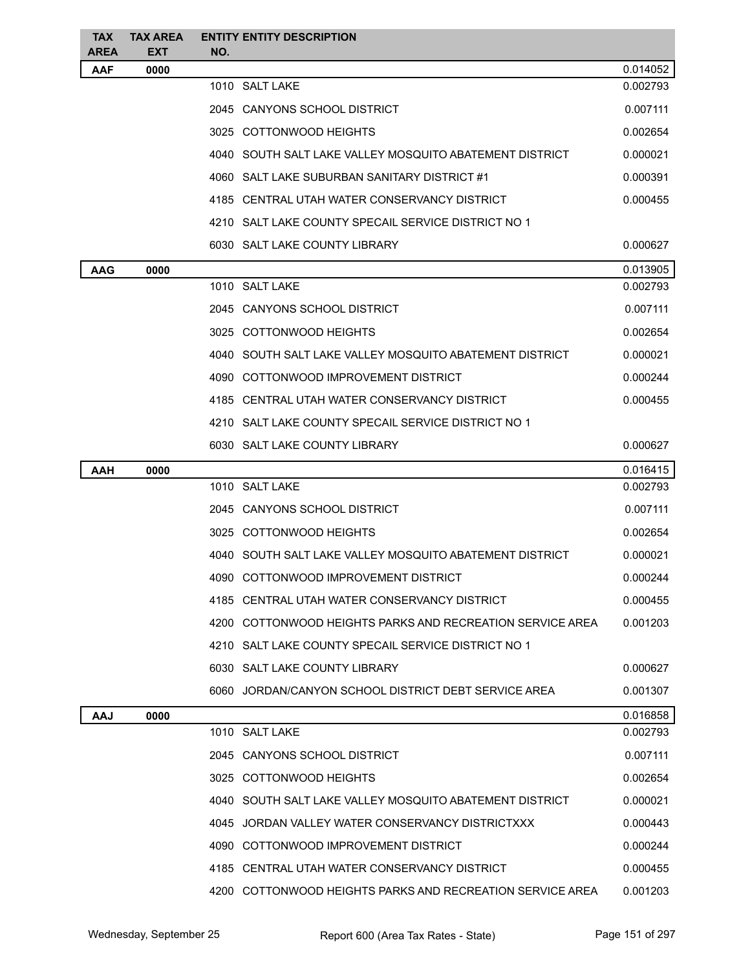| <b>TAX</b>                | <b>TAX AREA</b>    | <b>ENTITY ENTITY DESCRIPTION</b>                          |          |
|---------------------------|--------------------|-----------------------------------------------------------|----------|
| <b>AREA</b><br><b>AAF</b> | <b>EXT</b><br>0000 | NO.                                                       | 0.014052 |
|                           |                    | 1010 SALT LAKE                                            | 0.002793 |
|                           |                    | 2045 CANYONS SCHOOL DISTRICT                              | 0.007111 |
|                           |                    | 3025 COTTONWOOD HEIGHTS                                   | 0.002654 |
|                           |                    | 4040 SOUTH SALT LAKE VALLEY MOSQUITO ABATEMENT DISTRICT   | 0.000021 |
|                           |                    | 4060 SALT LAKE SUBURBAN SANITARY DISTRICT #1              | 0.000391 |
|                           |                    | 4185 CENTRAL UTAH WATER CONSERVANCY DISTRICT              | 0.000455 |
|                           |                    | 4210 SALT LAKE COUNTY SPECAIL SERVICE DISTRICT NO 1       |          |
|                           |                    | 6030 SALT LAKE COUNTY LIBRARY                             | 0.000627 |
| <b>AAG</b>                | 0000               |                                                           | 0.013905 |
|                           |                    | 1010 SALT LAKE                                            | 0.002793 |
|                           |                    | 2045 CANYONS SCHOOL DISTRICT                              | 0.007111 |
|                           |                    | 3025 COTTONWOOD HEIGHTS                                   | 0.002654 |
|                           |                    | 4040   SOUTH SALT LAKE VALLEY MOSQUITO ABATEMENT DISTRICT | 0.000021 |
|                           |                    | 4090 COTTONWOOD IMPROVEMENT DISTRICT                      | 0.000244 |
|                           |                    | 4185 CENTRAL UTAH WATER CONSERVANCY DISTRICT              | 0.000455 |
|                           |                    | 4210 SALT LAKE COUNTY SPECAIL SERVICE DISTRICT NO 1       |          |
|                           |                    | 6030 SALT LAKE COUNTY LIBRARY                             | 0.000627 |
| AAH                       | 0000               |                                                           | 0.016415 |
|                           |                    | 1010 SALT LAKE                                            | 0.002793 |
|                           |                    | 2045 CANYONS SCHOOL DISTRICT                              | 0.007111 |
|                           |                    | 3025 COTTONWOOD HEIGHTS                                   | 0.002654 |
|                           |                    | 4040   SOUTH SALT LAKE VALLEY MOSQUITO ABATEMENT DISTRICT | 0.000021 |
|                           |                    | 4090 COTTONWOOD IMPROVEMENT DISTRICT                      | 0.000244 |
|                           |                    | 4185 CENTRAL UTAH WATER CONSERVANCY DISTRICT              | 0.000455 |
|                           |                    | 4200 COTTONWOOD HEIGHTS PARKS AND RECREATION SERVICE AREA | 0.001203 |
|                           |                    | 4210 SALT LAKE COUNTY SPECAIL SERVICE DISTRICT NO 1       |          |
|                           |                    | 6030 SALT LAKE COUNTY LIBRARY                             | 0.000627 |
|                           |                    | 6060 JORDAN/CANYON SCHOOL DISTRICT DEBT SERVICE AREA      | 0.001307 |
| <b>AAJ</b>                | 0000               |                                                           | 0.016858 |
|                           |                    | 1010 SALT LAKE                                            | 0.002793 |
|                           |                    | 2045 CANYONS SCHOOL DISTRICT                              | 0.007111 |
|                           |                    | 3025 COTTONWOOD HEIGHTS                                   | 0.002654 |
|                           |                    | 4040 SOUTH SALT LAKE VALLEY MOSQUITO ABATEMENT DISTRICT   | 0.000021 |
|                           |                    | 4045 JORDAN VALLEY WATER CONSERVANCY DISTRICTXXX          | 0.000443 |
|                           |                    | 4090 COTTONWOOD IMPROVEMENT DISTRICT                      | 0.000244 |
|                           |                    | 4185 CENTRAL UTAH WATER CONSERVANCY DISTRICT              | 0.000455 |
|                           |                    | 4200 COTTONWOOD HEIGHTS PARKS AND RECREATION SERVICE AREA | 0.001203 |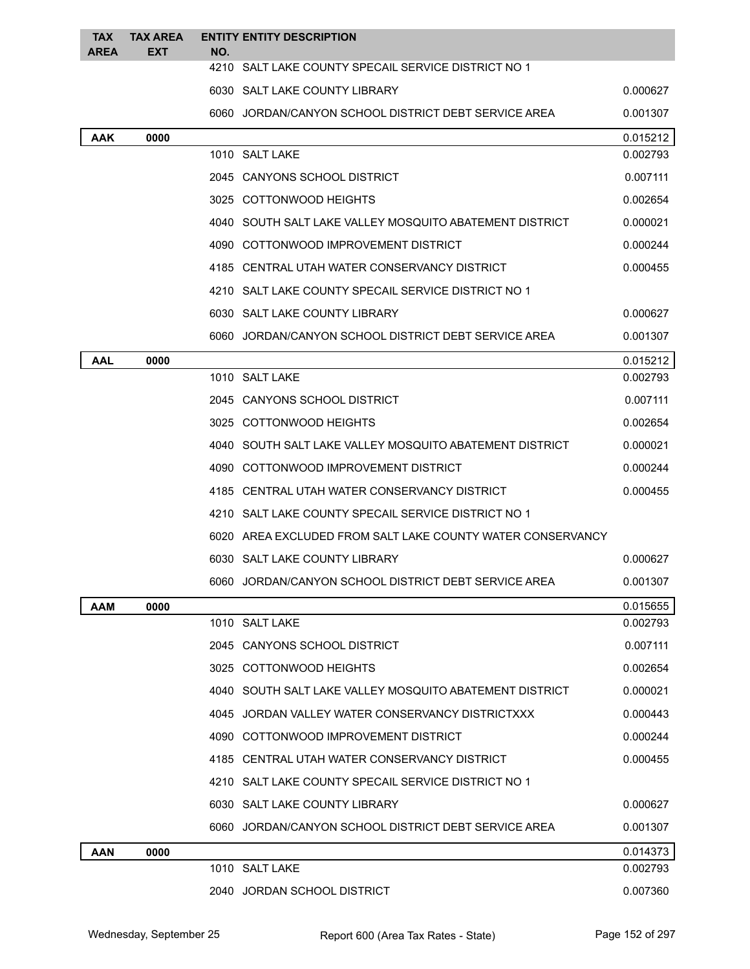| <b>TAX</b><br><b>AREA</b> | <b>TAX AREA</b><br><b>EXT</b> | NO. | <b>ENTITY ENTITY DESCRIPTION</b>                           |          |
|---------------------------|-------------------------------|-----|------------------------------------------------------------|----------|
|                           |                               |     | 4210 SALT LAKE COUNTY SPECAIL SERVICE DISTRICT NO 1        |          |
|                           |                               |     | 6030 SALT LAKE COUNTY LIBRARY                              | 0.000627 |
|                           |                               |     | 6060 JORDAN/CANYON SCHOOL DISTRICT DEBT SERVICE AREA       | 0.001307 |
| <b>AAK</b>                | 0000                          |     |                                                            | 0.015212 |
|                           |                               |     | 1010 SALT LAKE                                             | 0.002793 |
|                           |                               |     | 2045 CANYONS SCHOOL DISTRICT                               | 0.007111 |
|                           |                               |     | 3025 COTTONWOOD HEIGHTS                                    | 0.002654 |
|                           |                               |     | 4040 SOUTH SALT LAKE VALLEY MOSQUITO ABATEMENT DISTRICT    | 0.000021 |
|                           |                               |     | 4090 COTTONWOOD IMPROVEMENT DISTRICT                       | 0.000244 |
|                           |                               |     | 4185 CENTRAL UTAH WATER CONSERVANCY DISTRICT               | 0.000455 |
|                           |                               |     | 4210 SALT LAKE COUNTY SPECAIL SERVICE DISTRICT NO 1        |          |
|                           |                               |     | 6030 SALT LAKE COUNTY LIBRARY                              | 0.000627 |
|                           |                               |     | 6060 JORDAN/CANYON SCHOOL DISTRICT DEBT SERVICE AREA       | 0.001307 |
| <b>AAL</b>                | 0000                          |     |                                                            | 0.015212 |
|                           |                               |     | 1010 SALT LAKE                                             | 0.002793 |
|                           |                               |     | 2045 CANYONS SCHOOL DISTRICT                               | 0.007111 |
|                           |                               |     | 3025 COTTONWOOD HEIGHTS                                    | 0.002654 |
|                           |                               |     | 4040 SOUTH SALT LAKE VALLEY MOSQUITO ABATEMENT DISTRICT    | 0.000021 |
|                           |                               |     | 4090 COTTONWOOD IMPROVEMENT DISTRICT                       | 0.000244 |
|                           |                               |     | 4185 CENTRAL UTAH WATER CONSERVANCY DISTRICT               | 0.000455 |
|                           |                               |     | 4210 SALT LAKE COUNTY SPECAIL SERVICE DISTRICT NO 1        |          |
|                           |                               |     | 6020 AREA EXCLUDED FROM SALT LAKE COUNTY WATER CONSERVANCY |          |
|                           |                               |     | 6030 SALT LAKE COUNTY LIBRARY                              | 0.000627 |
|                           |                               |     | 6060 JORDAN/CANYON SCHOOL DISTRICT DEBT SERVICE AREA       | 0.001307 |
| <b>AAM</b>                | 0000                          |     |                                                            | 0.015655 |
|                           |                               |     | 1010 SALT LAKE                                             | 0.002793 |
|                           |                               |     | 2045 CANYONS SCHOOL DISTRICT                               | 0.007111 |
|                           |                               |     | 3025 COTTONWOOD HEIGHTS                                    | 0.002654 |
|                           |                               |     | 4040 SOUTH SALT LAKE VALLEY MOSQUITO ABATEMENT DISTRICT    | 0.000021 |
|                           |                               |     | 4045 JORDAN VALLEY WATER CONSERVANCY DISTRICTXXX           | 0.000443 |
|                           |                               |     | 4090 COTTONWOOD IMPROVEMENT DISTRICT                       | 0.000244 |
|                           |                               |     | 4185 CENTRAL UTAH WATER CONSERVANCY DISTRICT               | 0.000455 |
|                           |                               |     | 4210 SALT LAKE COUNTY SPECAIL SERVICE DISTRICT NO 1        |          |
|                           |                               |     | 6030 SALT LAKE COUNTY LIBRARY                              | 0.000627 |
|                           |                               |     | 6060 JORDAN/CANYON SCHOOL DISTRICT DEBT SERVICE AREA       | 0.001307 |
| <b>AAN</b>                | 0000                          |     |                                                            | 0.014373 |
|                           |                               |     | 1010 SALT LAKE                                             | 0.002793 |
|                           |                               |     | 2040 JORDAN SCHOOL DISTRICT                                | 0.007360 |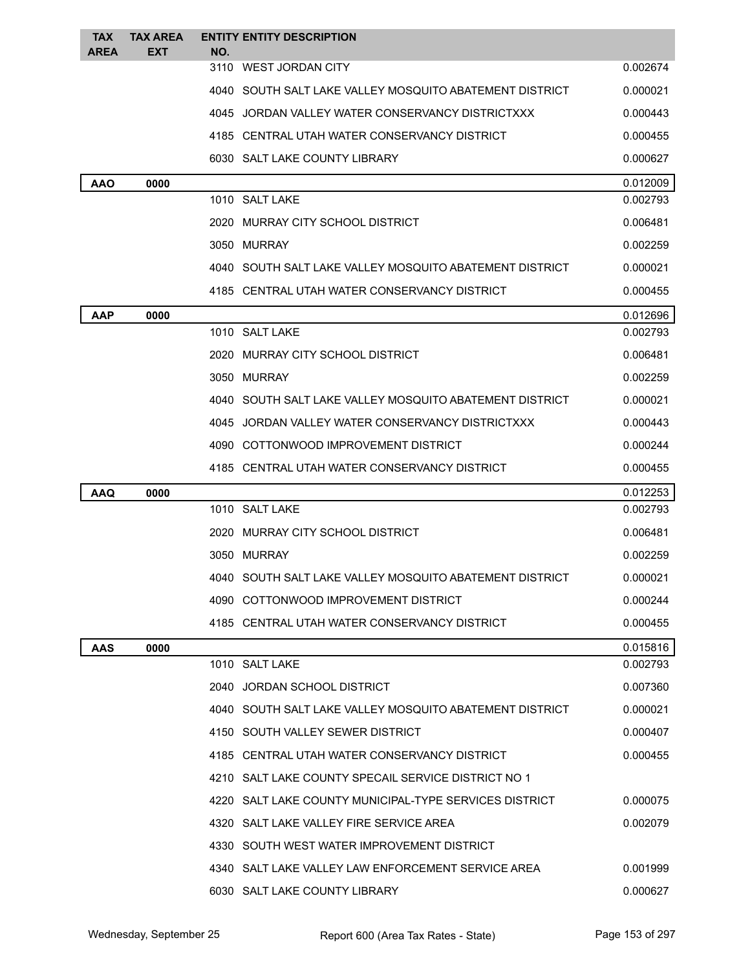| <b>TAX</b>  | <b>TAX AREA</b> |     | <b>ENTITY ENTITY DESCRIPTION</b>                        |          |
|-------------|-----------------|-----|---------------------------------------------------------|----------|
| <b>AREA</b> | <b>EXT</b>      | NO. | 3110 WEST JORDAN CITY                                   | 0.002674 |
|             |                 |     | 4040 SOUTH SALT LAKE VALLEY MOSQUITO ABATEMENT DISTRICT | 0.000021 |
|             |                 |     | 4045 JORDAN VALLEY WATER CONSERVANCY DISTRICTXXX        | 0.000443 |
|             |                 |     | 4185 CENTRAL UTAH WATER CONSERVANCY DISTRICT            | 0.000455 |
|             |                 |     | 6030 SALT LAKE COUNTY LIBRARY                           | 0.000627 |
| <b>AAO</b>  | 0000            |     |                                                         | 0.012009 |
|             |                 |     | 1010 SALT LAKE                                          | 0.002793 |
|             |                 |     | 2020 MURRAY CITY SCHOOL DISTRICT                        | 0.006481 |
|             |                 |     | 3050 MURRAY                                             | 0.002259 |
|             |                 |     | 4040 SOUTH SALT LAKE VALLEY MOSQUITO ABATEMENT DISTRICT | 0.000021 |
|             |                 |     | 4185 CENTRAL UTAH WATER CONSERVANCY DISTRICT            | 0.000455 |
| <b>AAP</b>  | 0000            |     |                                                         | 0.012696 |
|             |                 |     | 1010 SALT LAKE                                          | 0.002793 |
|             |                 |     | 2020 MURRAY CITY SCHOOL DISTRICT                        | 0.006481 |
|             |                 |     | 3050 MURRAY                                             | 0.002259 |
|             |                 |     | 4040 SOUTH SALT LAKE VALLEY MOSQUITO ABATEMENT DISTRICT | 0.000021 |
|             |                 |     | 4045 JORDAN VALLEY WATER CONSERVANCY DISTRICTXXX        | 0.000443 |
|             |                 |     | 4090 COTTONWOOD IMPROVEMENT DISTRICT                    | 0.000244 |
|             |                 |     | 4185 CENTRAL UTAH WATER CONSERVANCY DISTRICT            | 0.000455 |
| <b>AAQ</b>  | 0000            |     |                                                         | 0.012253 |
|             |                 |     | 1010 SALT LAKE                                          | 0.002793 |
|             |                 |     | 2020 MURRAY CITY SCHOOL DISTRICT                        | 0.006481 |
|             |                 |     | 3050 MURRAY                                             | 0.002259 |
|             |                 |     | 4040 SOUTH SALT LAKE VALLEY MOSQUITO ABATEMENT DISTRICT | 0.000021 |
|             |                 |     | 4090 COTTONWOOD IMPROVEMENT DISTRICT                    | 0.000244 |
|             |                 |     | 4185 CENTRAL UTAH WATER CONSERVANCY DISTRICT            | 0.000455 |
| <b>AAS</b>  | 0000            |     |                                                         | 0.015816 |
|             |                 |     | 1010 SALT LAKE                                          | 0.002793 |
|             |                 |     | 2040 JORDAN SCHOOL DISTRICT                             | 0.007360 |
|             |                 |     | 4040 SOUTH SALT LAKE VALLEY MOSQUITO ABATEMENT DISTRICT | 0.000021 |
|             |                 |     | 4150 SOUTH VALLEY SEWER DISTRICT                        | 0.000407 |
|             |                 |     | 4185 CENTRAL UTAH WATER CONSERVANCY DISTRICT            | 0.000455 |
|             |                 |     | 4210 SALT LAKE COUNTY SPECAIL SERVICE DISTRICT NO 1     |          |
|             |                 |     | 4220 SALT LAKE COUNTY MUNICIPAL-TYPE SERVICES DISTRICT  | 0.000075 |
|             |                 |     | 4320 SALT LAKE VALLEY FIRE SERVICE AREA                 | 0.002079 |
|             |                 |     | 4330 SOUTH WEST WATER IMPROVEMENT DISTRICT              |          |
|             |                 |     | 4340 SALT LAKE VALLEY LAW ENFORCEMENT SERVICE AREA      | 0.001999 |
|             |                 |     | 6030 SALT LAKE COUNTY LIBRARY                           | 0.000627 |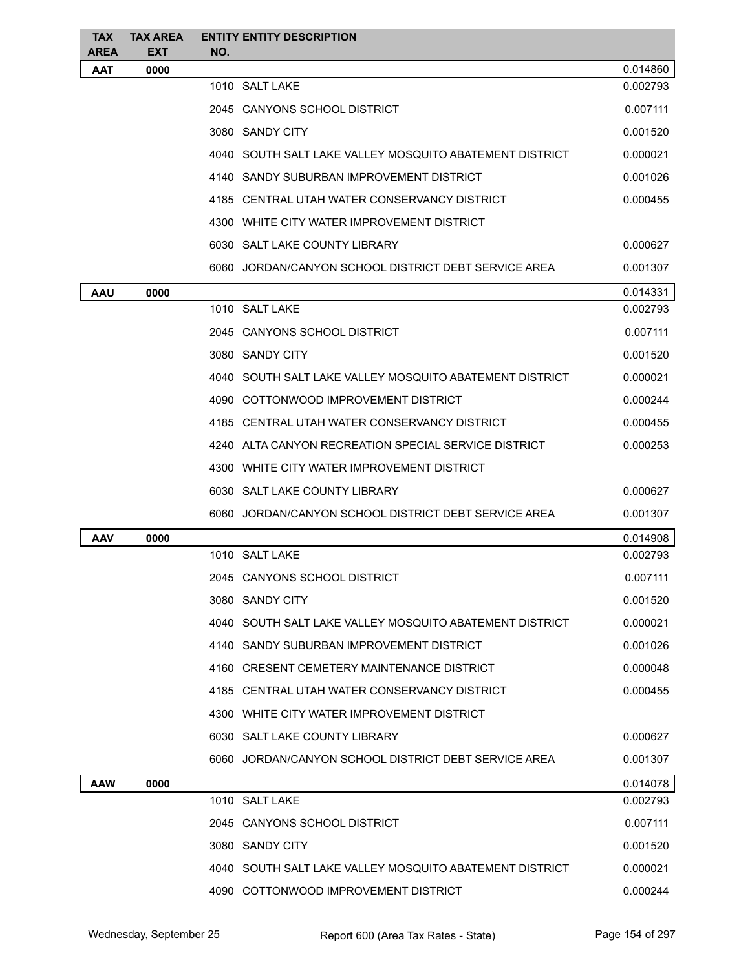| <b>TAX</b><br><b>AREA</b> | <b>TAX AREA</b><br><b>EXT</b> | <b>ENTITY ENTITY DESCRIPTION</b><br>NO.                 |          |
|---------------------------|-------------------------------|---------------------------------------------------------|----------|
| <b>AAT</b>                | 0000                          |                                                         | 0.014860 |
|                           |                               | 1010 SALT LAKE                                          | 0.002793 |
|                           |                               | 2045 CANYONS SCHOOL DISTRICT                            | 0.007111 |
|                           |                               | 3080 SANDY CITY                                         | 0.001520 |
|                           |                               | 4040 SOUTH SALT LAKE VALLEY MOSQUITO ABATEMENT DISTRICT | 0.000021 |
|                           |                               | 4140 SANDY SUBURBAN IMPROVEMENT DISTRICT                | 0.001026 |
|                           |                               | 4185 CENTRAL UTAH WATER CONSERVANCY DISTRICT            | 0.000455 |
|                           |                               | 4300 WHITE CITY WATER IMPROVEMENT DISTRICT              |          |
|                           |                               | 6030 SALT LAKE COUNTY LIBRARY                           | 0.000627 |
|                           |                               | 6060 JORDAN/CANYON SCHOOL DISTRICT DEBT SERVICE AREA    | 0.001307 |
| <b>AAU</b>                | 0000                          |                                                         | 0.014331 |
|                           |                               | 1010 SALT LAKE                                          | 0.002793 |
|                           |                               | 2045 CANYONS SCHOOL DISTRICT                            | 0.007111 |
|                           |                               | 3080 SANDY CITY                                         | 0.001520 |
|                           |                               | 4040 SOUTH SALT LAKE VALLEY MOSQUITO ABATEMENT DISTRICT | 0.000021 |
|                           |                               | 4090 COTTONWOOD IMPROVEMENT DISTRICT                    | 0.000244 |
|                           |                               | 4185 CENTRAL UTAH WATER CONSERVANCY DISTRICT            | 0.000455 |
|                           |                               | 4240 ALTA CANYON RECREATION SPECIAL SERVICE DISTRICT    | 0.000253 |
|                           |                               | 4300 WHITE CITY WATER IMPROVEMENT DISTRICT              |          |
|                           |                               | 6030 SALT LAKE COUNTY LIBRARY                           | 0.000627 |
|                           |                               | 6060 JORDAN/CANYON SCHOOL DISTRICT DEBT SERVICE AREA    | 0.001307 |
| <b>AAV</b>                | 0000                          |                                                         | 0.014908 |
|                           |                               | 1010 SALT LAKE                                          | 0.002793 |
|                           |                               | 2045 CANYONS SCHOOL DISTRICT                            | 0.007111 |
|                           |                               | 3080 SANDY CITY                                         | 0.001520 |
|                           |                               | 4040 SOUTH SALT LAKE VALLEY MOSQUITO ABATEMENT DISTRICT | 0.000021 |
|                           |                               | 4140 SANDY SUBURBAN IMPROVEMENT DISTRICT                | 0.001026 |
|                           |                               | 4160 CRESENT CEMETERY MAINTENANCE DISTRICT              | 0.000048 |
|                           |                               | 4185 CENTRAL UTAH WATER CONSERVANCY DISTRICT            | 0.000455 |
|                           |                               | 4300 WHITE CITY WATER IMPROVEMENT DISTRICT              |          |
|                           |                               | 6030 SALT LAKE COUNTY LIBRARY                           | 0.000627 |
|                           |                               | 6060 JORDAN/CANYON SCHOOL DISTRICT DEBT SERVICE AREA    | 0.001307 |
| <b>AAW</b>                | 0000                          |                                                         | 0.014078 |
|                           |                               | 1010 SALT LAKE                                          | 0.002793 |
|                           |                               | 2045 CANYONS SCHOOL DISTRICT                            | 0.007111 |
|                           |                               | 3080 SANDY CITY                                         | 0.001520 |
|                           |                               | 4040 SOUTH SALT LAKE VALLEY MOSQUITO ABATEMENT DISTRICT | 0.000021 |
|                           |                               | 4090 COTTONWOOD IMPROVEMENT DISTRICT                    | 0.000244 |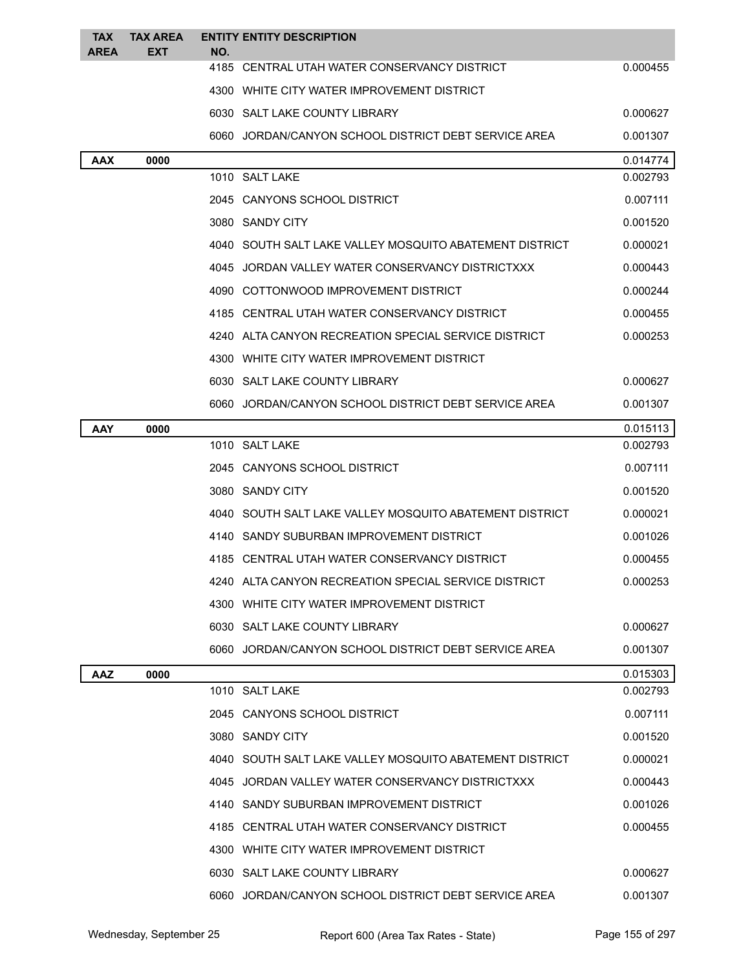| <b>TAX</b><br><b>AREA</b> | <b>TAX AREA</b><br><b>EXT</b> | <b>ENTITY ENTITY DESCRIPTION</b><br>NO.                 |          |
|---------------------------|-------------------------------|---------------------------------------------------------|----------|
|                           |                               | 4185 CENTRAL UTAH WATER CONSERVANCY DISTRICT            | 0.000455 |
|                           |                               | 4300 WHITE CITY WATER IMPROVEMENT DISTRICT              |          |
|                           |                               | 6030 SALT LAKE COUNTY LIBRARY                           | 0.000627 |
|                           |                               | 6060 JORDAN/CANYON SCHOOL DISTRICT DEBT SERVICE AREA    | 0.001307 |
| <b>AAX</b>                | 0000                          |                                                         | 0.014774 |
|                           |                               | 1010 SALT LAKE                                          | 0.002793 |
|                           |                               | 2045 CANYONS SCHOOL DISTRICT                            | 0.007111 |
|                           |                               | 3080 SANDY CITY                                         | 0.001520 |
|                           |                               | 4040 SOUTH SALT LAKE VALLEY MOSQUITO ABATEMENT DISTRICT | 0.000021 |
|                           |                               | 4045 JORDAN VALLEY WATER CONSERVANCY DISTRICTXXX        | 0.000443 |
|                           |                               | 4090 COTTONWOOD IMPROVEMENT DISTRICT                    | 0.000244 |
|                           |                               | 4185 CENTRAL UTAH WATER CONSERVANCY DISTRICT            | 0.000455 |
|                           |                               | 4240 ALTA CANYON RECREATION SPECIAL SERVICE DISTRICT    | 0.000253 |
|                           |                               | 4300 WHITE CITY WATER IMPROVEMENT DISTRICT              |          |
|                           |                               | 6030 SALT LAKE COUNTY LIBRARY                           | 0.000627 |
|                           |                               | 6060 JORDAN/CANYON SCHOOL DISTRICT DEBT SERVICE AREA    | 0.001307 |
| AAY                       | 0000                          |                                                         | 0.015113 |
|                           |                               | 1010 SALT LAKE                                          | 0.002793 |
|                           |                               | 2045 CANYONS SCHOOL DISTRICT                            | 0.007111 |
|                           |                               | 3080 SANDY CITY                                         | 0.001520 |
|                           |                               | 4040 SOUTH SALT LAKE VALLEY MOSQUITO ABATEMENT DISTRICT | 0.000021 |
|                           |                               | 4140 SANDY SUBURBAN IMPROVEMENT DISTRICT                | 0.001026 |
|                           |                               | 4185 CENTRAL UTAH WATER CONSERVANCY DISTRICT            | 0.000455 |
|                           |                               | 4240 ALTA CANYON RECREATION SPECIAL SERVICE DISTRICT    | 0.000253 |
|                           |                               | 4300 WHITE CITY WATER IMPROVEMENT DISTRICT              |          |
|                           |                               | 6030 SALT LAKE COUNTY LIBRARY                           | 0.000627 |
|                           |                               | 6060 JORDAN/CANYON SCHOOL DISTRICT DEBT SERVICE AREA    | 0.001307 |
| <b>AAZ</b>                | 0000                          |                                                         | 0.015303 |
|                           |                               | 1010 SALT LAKE                                          | 0.002793 |
|                           |                               | 2045 CANYONS SCHOOL DISTRICT                            | 0.007111 |
|                           |                               | 3080 SANDY CITY                                         | 0.001520 |
|                           |                               | 4040 SOUTH SALT LAKE VALLEY MOSQUITO ABATEMENT DISTRICT | 0.000021 |
|                           |                               | 4045 JORDAN VALLEY WATER CONSERVANCY DISTRICTXXX        | 0.000443 |
|                           |                               | 4140 SANDY SUBURBAN IMPROVEMENT DISTRICT                | 0.001026 |
|                           |                               | 4185 CENTRAL UTAH WATER CONSERVANCY DISTRICT            | 0.000455 |
|                           |                               | 4300 WHITE CITY WATER IMPROVEMENT DISTRICT              |          |
|                           |                               | 6030 SALT LAKE COUNTY LIBRARY                           | 0.000627 |
|                           |                               | 6060 JORDAN/CANYON SCHOOL DISTRICT DEBT SERVICE AREA    | 0.001307 |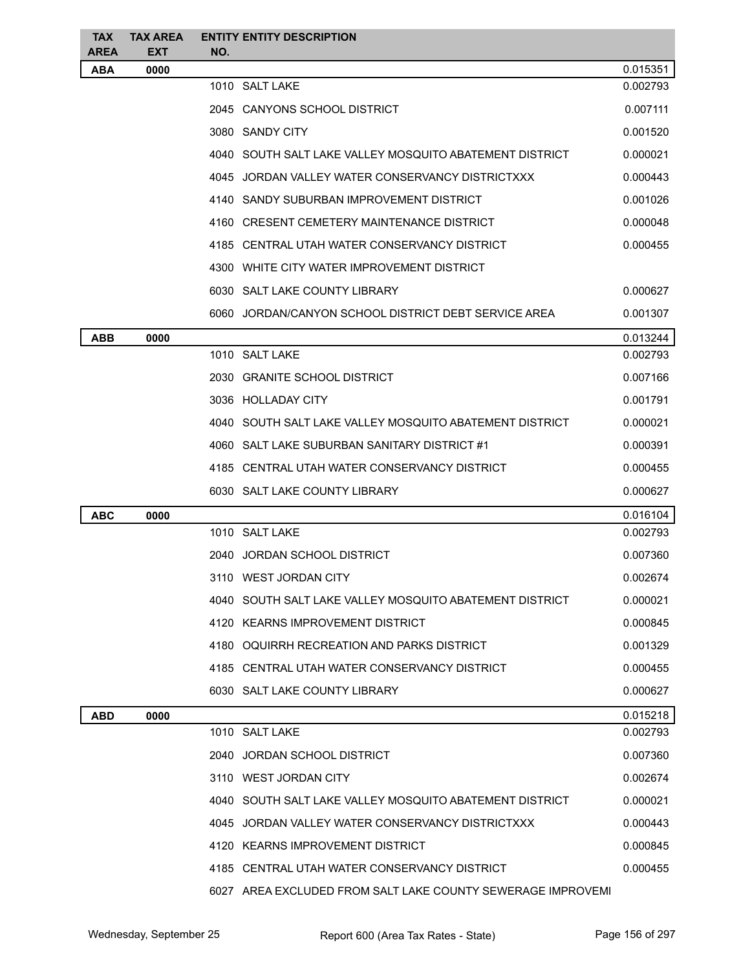| <b>TAX</b><br><b>AREA</b> | <b>TAX AREA</b>    | <b>ENTITY ENTITY DESCRIPTION</b>                            |          |  |
|---------------------------|--------------------|-------------------------------------------------------------|----------|--|
| <b>ABA</b>                | <b>EXT</b><br>0000 | NO.                                                         | 0.015351 |  |
|                           |                    | 1010 SALT LAKE                                              | 0.002793 |  |
|                           |                    | 2045 CANYONS SCHOOL DISTRICT                                | 0.007111 |  |
|                           |                    | 3080 SANDY CITY                                             | 0.001520 |  |
|                           |                    | 4040 SOUTH SALT LAKE VALLEY MOSQUITO ABATEMENT DISTRICT     | 0.000021 |  |
|                           |                    | 4045 JORDAN VALLEY WATER CONSERVANCY DISTRICTXXX            | 0.000443 |  |
|                           |                    | 4140 SANDY SUBURBAN IMPROVEMENT DISTRICT                    | 0.001026 |  |
|                           |                    | 4160 CRESENT CEMETERY MAINTENANCE DISTRICT                  | 0.000048 |  |
|                           |                    | 4185 CENTRAL UTAH WATER CONSERVANCY DISTRICT                | 0.000455 |  |
|                           |                    | 4300 WHITE CITY WATER IMPROVEMENT DISTRICT                  |          |  |
|                           |                    | 6030 SALT LAKE COUNTY LIBRARY                               | 0.000627 |  |
|                           |                    | 6060 JORDAN/CANYON SCHOOL DISTRICT DEBT SERVICE AREA        | 0.001307 |  |
| <b>ABB</b>                | 0000               |                                                             | 0.013244 |  |
|                           |                    | 1010 SALT LAKE                                              | 0.002793 |  |
|                           |                    | 2030 GRANITE SCHOOL DISTRICT                                | 0.007166 |  |
|                           |                    | 3036 HOLLADAY CITY                                          | 0.001791 |  |
|                           |                    | 4040   SOUTH SALT LAKE VALLEY MOSQUITO ABATEMENT DISTRICT   | 0.000021 |  |
|                           |                    | 4060 SALT LAKE SUBURBAN SANITARY DISTRICT #1                | 0.000391 |  |
|                           |                    | 4185 CENTRAL UTAH WATER CONSERVANCY DISTRICT                | 0.000455 |  |
|                           |                    | 6030 SALT LAKE COUNTY LIBRARY                               | 0.000627 |  |
| <b>ABC</b>                | 0000               |                                                             | 0.016104 |  |
|                           |                    | 1010 SALT LAKE                                              | 0.002793 |  |
|                           |                    | 2040 JORDAN SCHOOL DISTRICT                                 | 0.007360 |  |
|                           |                    | 3110 WEST JORDAN CITY                                       | 0.002674 |  |
|                           |                    | 4040 SOUTH SALT LAKE VALLEY MOSQUITO ABATEMENT DISTRICT     | 0.000021 |  |
|                           |                    | 4120 KEARNS IMPROVEMENT DISTRICT                            | 0.000845 |  |
|                           |                    | 4180 OQUIRRH RECREATION AND PARKS DISTRICT                  | 0.001329 |  |
|                           |                    | 4185 CENTRAL UTAH WATER CONSERVANCY DISTRICT                | 0.000455 |  |
|                           |                    | 6030 SALT LAKE COUNTY LIBRARY                               | 0.000627 |  |
| <b>ABD</b>                | 0000               |                                                             | 0.015218 |  |
|                           |                    | 1010 SALT LAKE                                              | 0.002793 |  |
|                           |                    | 2040 JORDAN SCHOOL DISTRICT                                 | 0.007360 |  |
|                           |                    | 3110 WEST JORDAN CITY                                       | 0.002674 |  |
|                           |                    | 4040 SOUTH SALT LAKE VALLEY MOSQUITO ABATEMENT DISTRICT     | 0.000021 |  |
|                           |                    | 4045 JORDAN VALLEY WATER CONSERVANCY DISTRICTXXX            | 0.000443 |  |
|                           |                    | 4120 KEARNS IMPROVEMENT DISTRICT                            | 0.000845 |  |
|                           |                    | 4185 CENTRAL UTAH WATER CONSERVANCY DISTRICT                | 0.000455 |  |
|                           |                    | 6027 AREA EXCLUDED FROM SALT LAKE COUNTY SEWERAGE IMPROVEMI |          |  |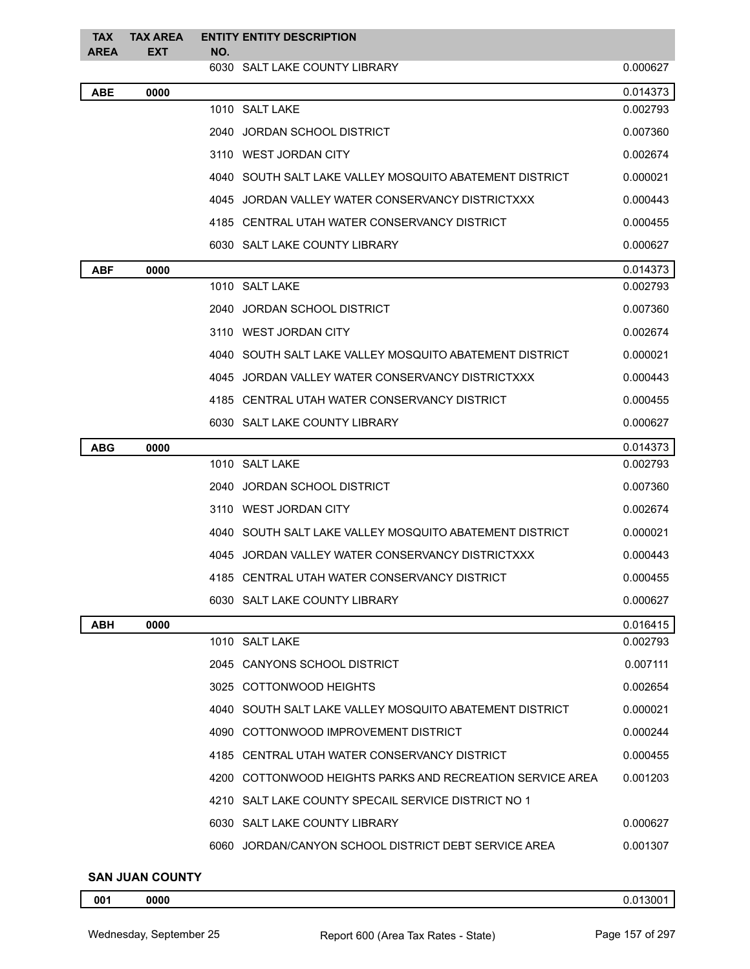| <b>TAX</b><br><b>AREA</b> | <b>TAX AREA</b><br>EXT | NO. | <b>ENTITY ENTITY DESCRIPTION</b>                          |          |
|---------------------------|------------------------|-----|-----------------------------------------------------------|----------|
|                           |                        |     | 6030 SALT LAKE COUNTY LIBRARY                             | 0.000627 |
| <b>ABE</b>                | 0000                   |     |                                                           | 0.014373 |
|                           |                        |     | 1010 SALT LAKE                                            | 0.002793 |
|                           |                        |     | 2040 JORDAN SCHOOL DISTRICT                               | 0.007360 |
|                           |                        |     | 3110 WEST JORDAN CITY                                     | 0.002674 |
|                           |                        |     | 4040 SOUTH SALT LAKE VALLEY MOSQUITO ABATEMENT DISTRICT   | 0.000021 |
|                           |                        |     | 4045 JORDAN VALLEY WATER CONSERVANCY DISTRICTXXX          | 0.000443 |
|                           |                        |     | 4185 CENTRAL UTAH WATER CONSERVANCY DISTRICT              | 0.000455 |
|                           |                        |     | 6030 SALT LAKE COUNTY LIBRARY                             | 0.000627 |
| <b>ABF</b>                | 0000                   |     |                                                           | 0.014373 |
|                           |                        |     | 1010 SALT LAKE                                            | 0.002793 |
|                           |                        |     | 2040 JORDAN SCHOOL DISTRICT                               | 0.007360 |
|                           |                        |     | 3110 WEST JORDAN CITY                                     | 0.002674 |
|                           |                        |     | 4040 SOUTH SALT LAKE VALLEY MOSQUITO ABATEMENT DISTRICT   | 0.000021 |
|                           |                        |     | 4045 JORDAN VALLEY WATER CONSERVANCY DISTRICTXXX          | 0.000443 |
|                           |                        |     | 4185 CENTRAL UTAH WATER CONSERVANCY DISTRICT              | 0.000455 |
|                           |                        |     | 6030 SALT LAKE COUNTY LIBRARY                             | 0.000627 |
| <b>ABG</b>                | 0000                   |     |                                                           | 0.014373 |
|                           |                        |     | 1010 SALT LAKE                                            | 0.002793 |
|                           |                        |     | 2040 JORDAN SCHOOL DISTRICT                               | 0.007360 |
|                           |                        |     | 3110 WEST JORDAN CITY                                     | 0.002674 |
|                           |                        |     | 4040 SOUTH SALT LAKE VALLEY MOSQUITO ABATEMENT DISTRICT   | 0.000021 |
|                           |                        |     | 4045 JORDAN VALLEY WATER CONSERVANCY DISTRICTXXX          | 0.000443 |
|                           |                        |     | 4185 CENTRAL UTAH WATER CONSERVANCY DISTRICT              | 0.000455 |
|                           |                        |     | 6030 SALT LAKE COUNTY LIBRARY                             | 0.000627 |
| <b>ABH</b>                | 0000                   |     |                                                           | 0.016415 |
|                           |                        |     | 1010 SALT LAKE                                            | 0.002793 |
|                           |                        |     | 2045 CANYONS SCHOOL DISTRICT                              | 0.007111 |
|                           |                        |     | 3025 COTTONWOOD HEIGHTS                                   | 0.002654 |
|                           |                        |     | 4040 SOUTH SALT LAKE VALLEY MOSQUITO ABATEMENT DISTRICT   | 0.000021 |
|                           |                        |     | 4090 COTTONWOOD IMPROVEMENT DISTRICT                      | 0.000244 |
|                           |                        |     | 4185 CENTRAL UTAH WATER CONSERVANCY DISTRICT              | 0.000455 |
|                           |                        |     | 4200 COTTONWOOD HEIGHTS PARKS AND RECREATION SERVICE AREA | 0.001203 |
|                           |                        |     | 4210 SALT LAKE COUNTY SPECAIL SERVICE DISTRICT NO 1       |          |
|                           |                        |     | 6030 SALT LAKE COUNTY LIBRARY                             | 0.000627 |
|                           |                        |     | 6060 JORDAN/CANYON SCHOOL DISTRICT DEBT SERVICE AREA      | 0.001307 |
|                           |                        |     |                                                           |          |

## **SAN JUAN COUNTY**

**0000** 0.013001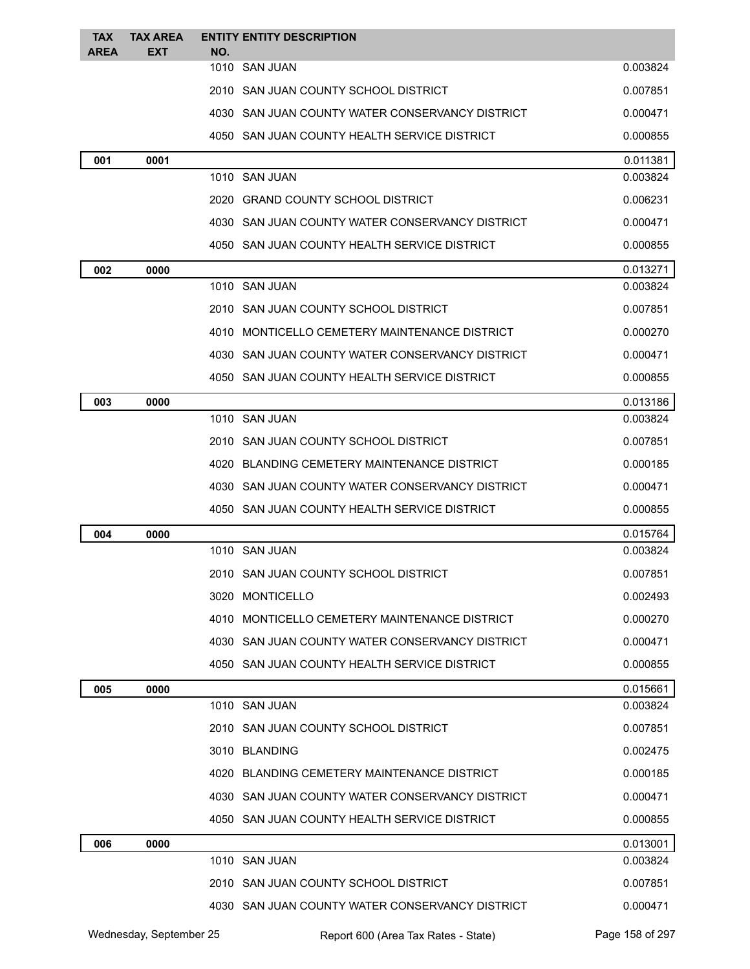| <b>TAX</b>  | <b>TAX AREA</b> |     | <b>ENTITY ENTITY DESCRIPTION</b>                |          |
|-------------|-----------------|-----|-------------------------------------------------|----------|
| <b>AREA</b> | EXT             | NO. | 1010 SAN JUAN                                   | 0.003824 |
|             |                 |     | 2010 SAN JUAN COUNTY SCHOOL DISTRICT            | 0.007851 |
|             |                 |     | 4030 SAN JUAN COUNTY WATER CONSERVANCY DISTRICT | 0.000471 |
|             |                 |     | 4050 SAN JUAN COUNTY HEALTH SERVICE DISTRICT    | 0.000855 |
| 001         | 0001            |     |                                                 | 0.011381 |
|             |                 |     | 1010 SAN JUAN                                   | 0.003824 |
|             |                 |     | 2020 GRAND COUNTY SCHOOL DISTRICT               | 0.006231 |
|             |                 |     | 4030 SAN JUAN COUNTY WATER CONSERVANCY DISTRICT | 0.000471 |
|             |                 |     | 4050 SAN JUAN COUNTY HEALTH SERVICE DISTRICT    | 0.000855 |
| 002         | 0000            |     |                                                 | 0.013271 |
|             |                 |     | 1010 SAN JUAN                                   | 0.003824 |
|             |                 |     | 2010 SAN JUAN COUNTY SCHOOL DISTRICT            | 0.007851 |
|             |                 |     | 4010 MONTICELLO CEMETERY MAINTENANCE DISTRICT   | 0.000270 |
|             |                 |     | 4030 SAN JUAN COUNTY WATER CONSERVANCY DISTRICT | 0.000471 |
|             |                 |     | 4050 SAN JUAN COUNTY HEALTH SERVICE DISTRICT    | 0.000855 |
| 003         | 0000            |     |                                                 | 0.013186 |
|             |                 |     | 1010 SAN JUAN                                   | 0.003824 |
|             |                 |     | 2010 SAN JUAN COUNTY SCHOOL DISTRICT            | 0.007851 |
|             |                 |     | 4020 BLANDING CEMETERY MAINTENANCE DISTRICT     | 0.000185 |
|             |                 |     | 4030 SAN JUAN COUNTY WATER CONSERVANCY DISTRICT | 0.000471 |
|             |                 |     | 4050 SAN JUAN COUNTY HEALTH SERVICE DISTRICT    | 0.000855 |
| 004         | 0000            |     |                                                 | 0.015764 |
|             |                 |     | 1010 SAN JUAN                                   | 0.003824 |
|             |                 |     | 2010 SAN JUAN COUNTY SCHOOL DISTRICT            | 0.007851 |
|             |                 |     | 3020 MONTICELLO                                 | 0.002493 |
|             |                 |     | 4010 MONTICELLO CEMETERY MAINTENANCE DISTRICT   | 0.000270 |
|             |                 |     | 4030 SAN JUAN COUNTY WATER CONSERVANCY DISTRICT | 0.000471 |
|             |                 |     | 4050 SAN JUAN COUNTY HEALTH SERVICE DISTRICT    | 0.000855 |
| 005         | 0000            |     |                                                 | 0.015661 |
|             |                 |     | 1010 SAN JUAN                                   | 0.003824 |
|             |                 |     | 2010 SAN JUAN COUNTY SCHOOL DISTRICT            | 0.007851 |
|             |                 |     | 3010 BLANDING                                   | 0.002475 |
|             |                 |     | 4020 BLANDING CEMETERY MAINTENANCE DISTRICT     | 0.000185 |
|             |                 |     | 4030 SAN JUAN COUNTY WATER CONSERVANCY DISTRICT | 0.000471 |
|             |                 |     | 4050 SAN JUAN COUNTY HEALTH SERVICE DISTRICT    | 0.000855 |
| 006         | 0000            |     |                                                 | 0.013001 |
|             |                 |     | 1010 SAN JUAN                                   | 0.003824 |
|             |                 |     | 2010 SAN JUAN COUNTY SCHOOL DISTRICT            | 0.007851 |
|             |                 |     | 4030 SAN JUAN COUNTY WATER CONSERVANCY DISTRICT | 0.000471 |
|             |                 |     |                                                 |          |

Wednesday, September 25 Report 600 (Area Tax Rates - State) Page 158 of 297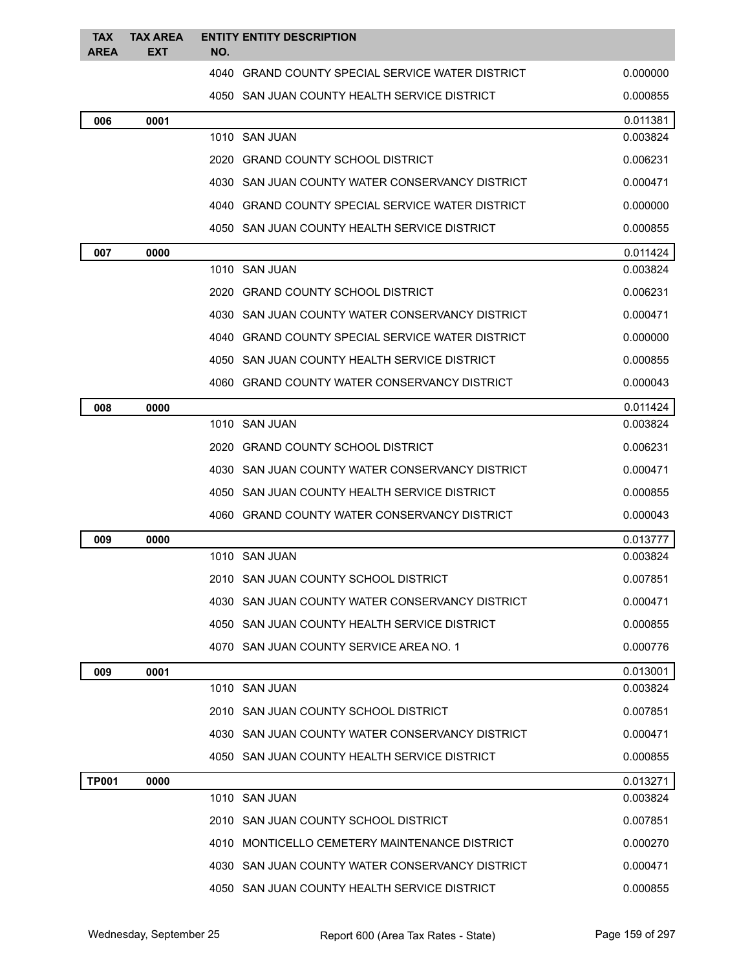| <b>TAX</b><br><b>AREA</b> | <b>TAX AREA</b><br>EXT | NO. | <b>ENTITY ENTITY DESCRIPTION</b>                 |          |
|---------------------------|------------------------|-----|--------------------------------------------------|----------|
|                           |                        |     | 4040 GRAND COUNTY SPECIAL SERVICE WATER DISTRICT | 0.000000 |
|                           |                        |     | 4050 SAN JUAN COUNTY HEALTH SERVICE DISTRICT     | 0.000855 |
| 006                       | 0001                   |     |                                                  | 0.011381 |
|                           |                        |     | 1010 SAN JUAN                                    | 0.003824 |
|                           |                        |     | 2020 GRAND COUNTY SCHOOL DISTRICT                | 0.006231 |
|                           |                        |     | 4030 SAN JUAN COUNTY WATER CONSERVANCY DISTRICT  | 0.000471 |
|                           |                        |     | 4040 GRAND COUNTY SPECIAL SERVICE WATER DISTRICT | 0.000000 |
|                           |                        |     | 4050 SAN JUAN COUNTY HEALTH SERVICE DISTRICT     | 0.000855 |
| 007                       | 0000                   |     |                                                  | 0.011424 |
|                           |                        |     | 1010 SAN JUAN                                    | 0.003824 |
|                           |                        |     | 2020 GRAND COUNTY SCHOOL DISTRICT                | 0.006231 |
|                           |                        |     | 4030 SAN JUAN COUNTY WATER CONSERVANCY DISTRICT  | 0.000471 |
|                           |                        |     | 4040 GRAND COUNTY SPECIAL SERVICE WATER DISTRICT | 0.000000 |
|                           |                        |     | 4050 SAN JUAN COUNTY HEALTH SERVICE DISTRICT     | 0.000855 |
|                           |                        |     | 4060 GRAND COUNTY WATER CONSERVANCY DISTRICT     | 0.000043 |
| 008                       | 0000                   |     |                                                  | 0.011424 |
|                           |                        |     | 1010 SAN JUAN                                    | 0.003824 |
|                           |                        |     | 2020 GRAND COUNTY SCHOOL DISTRICT                | 0.006231 |
|                           |                        |     | 4030 SAN JUAN COUNTY WATER CONSERVANCY DISTRICT  | 0.000471 |
|                           |                        |     | 4050 SAN JUAN COUNTY HEALTH SERVICE DISTRICT     | 0.000855 |
|                           |                        |     | 4060 GRAND COUNTY WATER CONSERVANCY DISTRICT     | 0.000043 |
| 009                       | 0000                   |     |                                                  | 0.013777 |
|                           |                        |     | 1010 SAN JUAN                                    | 0.003824 |
|                           |                        |     | 2010 SAN JUAN COUNTY SCHOOL DISTRICT             | 0.007851 |
|                           |                        |     | 4030 SAN JUAN COUNTY WATER CONSERVANCY DISTRICT  | 0.000471 |
|                           |                        |     | 4050 SAN JUAN COUNTY HEALTH SERVICE DISTRICT     | 0.000855 |
|                           |                        |     | 4070 SAN JUAN COUNTY SERVICE AREA NO. 1          | 0.000776 |
| 009                       | 0001                   |     |                                                  | 0.013001 |
|                           |                        |     | 1010 SAN JUAN                                    | 0.003824 |
|                           |                        |     | 2010 SAN JUAN COUNTY SCHOOL DISTRICT             | 0.007851 |
|                           |                        |     | 4030 SAN JUAN COUNTY WATER CONSERVANCY DISTRICT  | 0.000471 |
|                           |                        |     | 4050 SAN JUAN COUNTY HEALTH SERVICE DISTRICT     | 0.000855 |
| <b>TP001</b>              | 0000                   |     |                                                  | 0.013271 |
|                           |                        |     | 1010 SAN JUAN                                    | 0.003824 |
|                           |                        |     | 2010 SAN JUAN COUNTY SCHOOL DISTRICT             | 0.007851 |
|                           |                        |     | 4010 MONTICELLO CEMETERY MAINTENANCE DISTRICT    | 0.000270 |
|                           |                        |     | 4030 SAN JUAN COUNTY WATER CONSERVANCY DISTRICT  | 0.000471 |
|                           |                        |     | 4050 SAN JUAN COUNTY HEALTH SERVICE DISTRICT     | 0.000855 |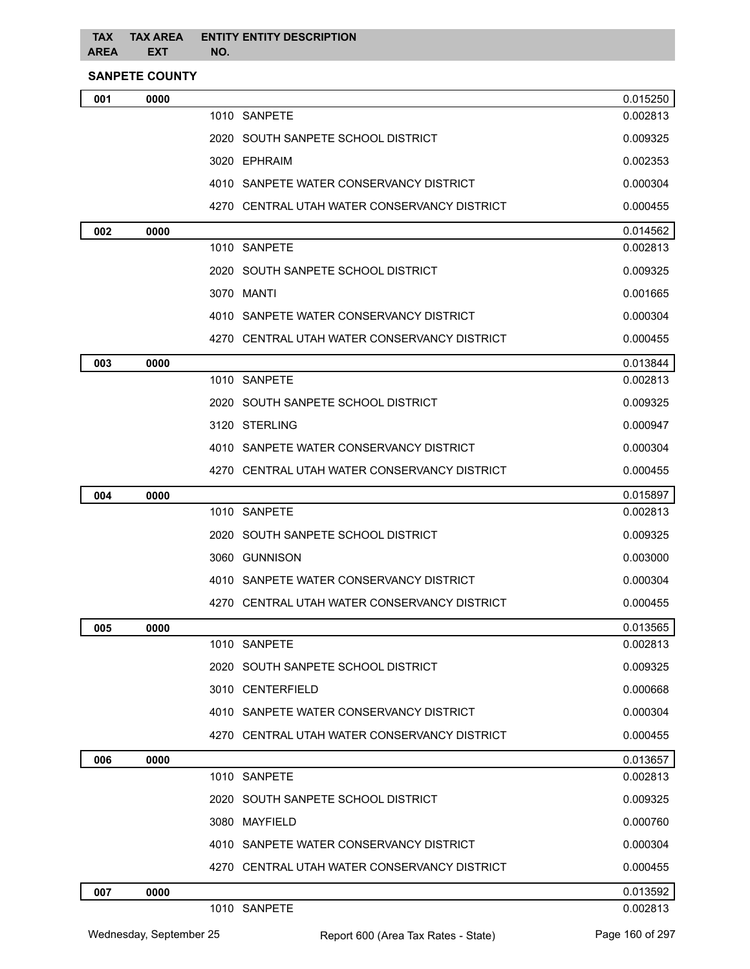## **TAX TAX AREA AREA EXT NO. ENTITY ENTITY DESCRIPTION**

**SANPETE COUNTY**

| 001 | 0000 |                                              | 0.015250 |
|-----|------|----------------------------------------------|----------|
|     |      | 1010 SANPETE                                 | 0.002813 |
|     |      | 2020 SOUTH SANPETE SCHOOL DISTRICT           | 0.009325 |
|     |      | 3020 EPHRAIM                                 | 0.002353 |
|     |      | 4010 SANPETE WATER CONSERVANCY DISTRICT      | 0.000304 |
|     |      | 4270 CENTRAL UTAH WATER CONSERVANCY DISTRICT | 0.000455 |
| 002 | 0000 |                                              | 0.014562 |
|     |      | 1010 SANPETE                                 | 0.002813 |
|     |      | 2020 SOUTH SANPETE SCHOOL DISTRICT           | 0.009325 |
|     |      | 3070 MANTI                                   | 0.001665 |
|     |      | 4010 SANPETE WATER CONSERVANCY DISTRICT      | 0.000304 |
|     |      | 4270 CENTRAL UTAH WATER CONSERVANCY DISTRICT | 0.000455 |
| 003 | 0000 |                                              | 0.013844 |
|     |      | 1010 SANPETE                                 | 0.002813 |
|     |      | 2020 SOUTH SANPETE SCHOOL DISTRICT           | 0.009325 |
|     |      | 3120 STERLING                                | 0.000947 |
|     |      | 4010 SANPETE WATER CONSERVANCY DISTRICT      | 0.000304 |
|     |      | 4270 CENTRAL UTAH WATER CONSERVANCY DISTRICT | 0.000455 |
| 004 | 0000 |                                              | 0.015897 |
|     |      | 1010 SANPETE                                 | 0.002813 |
|     |      | 2020 SOUTH SANPETE SCHOOL DISTRICT           | 0.009325 |
|     |      | 3060 GUNNISON                                | 0.003000 |
|     |      | 4010 SANPETE WATER CONSERVANCY DISTRICT      | 0.000304 |
|     |      | 4270 CENTRAL UTAH WATER CONSERVANCY DISTRICT | 0.000455 |
| 005 | 0000 |                                              | 0.013565 |
|     |      | 1010 SANPETE                                 | 0.002813 |
|     |      | 2020 SOUTH SANPETE SCHOOL DISTRICT           | 0.009325 |
|     |      | 3010 CENTERFIELD                             | 0.000668 |
|     |      | 4010 SANPETE WATER CONSERVANCY DISTRICT      | 0.000304 |
|     |      | 4270 CENTRAL UTAH WATER CONSERVANCY DISTRICT | 0.000455 |
| 006 | 0000 |                                              | 0.013657 |
|     |      | 1010 SANPETE                                 | 0.002813 |
|     |      | 2020 SOUTH SANPETE SCHOOL DISTRICT           | 0.009325 |
|     |      | 3080 MAYFIELD                                | 0.000760 |
|     |      | 4010 SANPETE WATER CONSERVANCY DISTRICT      | 0.000304 |
|     |      | 4270 CENTRAL UTAH WATER CONSERVANCY DISTRICT | 0.000455 |
| 007 | 0000 |                                              | 0.013592 |
|     |      | 1010 SANPETE                                 | 0.002813 |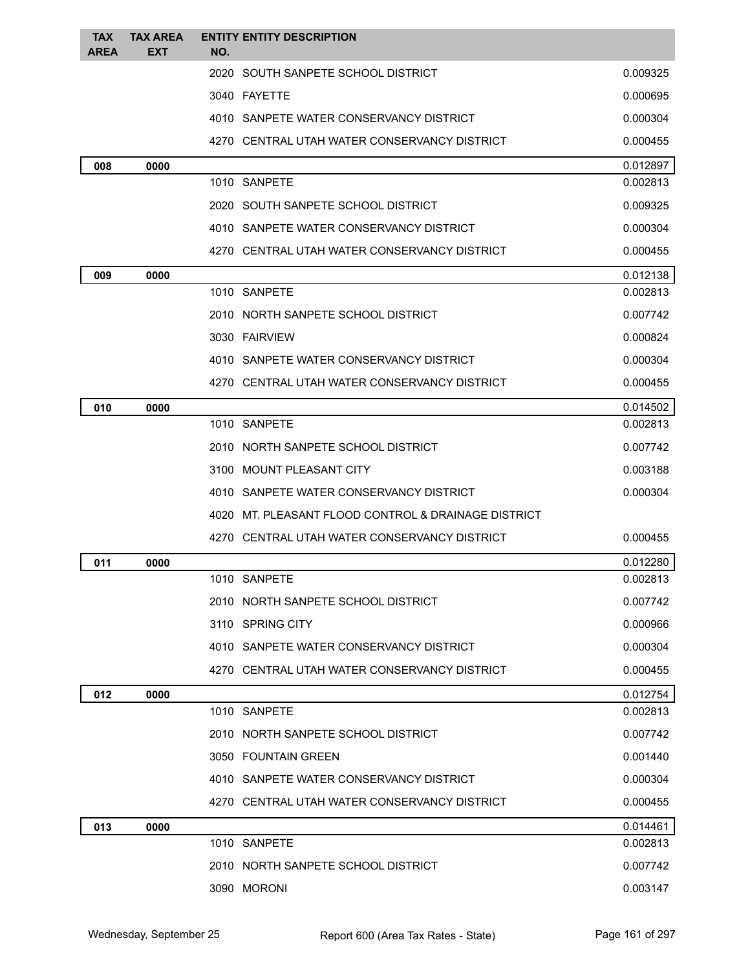| <b>TAX</b>  | <b>TAX AREA</b> | <b>ENTITY ENTITY DESCRIPTION</b>                    |                      |
|-------------|-----------------|-----------------------------------------------------|----------------------|
| <b>AREA</b> | <b>EXT</b>      | NO.<br>2020 SOUTH SANPETE SCHOOL DISTRICT           | 0.009325             |
|             |                 |                                                     |                      |
|             |                 | 3040 FAYETTE                                        | 0.000695             |
|             |                 | 4010 SANPETE WATER CONSERVANCY DISTRICT             | 0.000304             |
|             |                 | 4270 CENTRAL UTAH WATER CONSERVANCY DISTRICT        | 0.000455             |
| 008         | 0000            | 1010 SANPETE                                        | 0.012897<br>0.002813 |
|             |                 | 2020 SOUTH SANPETE SCHOOL DISTRICT                  | 0.009325             |
|             |                 | 4010 SANPETE WATER CONSERVANCY DISTRICT             | 0.000304             |
|             |                 | 4270 CENTRAL UTAH WATER CONSERVANCY DISTRICT        | 0.000455             |
|             |                 |                                                     |                      |
| 009         | 0000            | 1010 SANPETE                                        | 0.012138<br>0.002813 |
|             |                 | 2010 NORTH SANPETE SCHOOL DISTRICT                  | 0.007742             |
|             |                 | 3030 FAIRVIEW                                       | 0.000824             |
|             |                 | 4010 SANPETE WATER CONSERVANCY DISTRICT             | 0.000304             |
|             |                 | 4270 CENTRAL UTAH WATER CONSERVANCY DISTRICT        | 0.000455             |
| 010         | 0000            |                                                     | 0.014502             |
|             |                 | 1010 SANPETE                                        | 0.002813             |
|             |                 | 2010 NORTH SANPETE SCHOOL DISTRICT                  | 0.007742             |
|             |                 | 3100 MOUNT PLEASANT CITY                            | 0.003188             |
|             |                 | 4010 SANPETE WATER CONSERVANCY DISTRICT             | 0.000304             |
|             |                 | 4020 MT. PLEASANT FLOOD CONTROL & DRAINAGE DISTRICT |                      |
|             |                 | 4270 CENTRAL UTAH WATER CONSERVANCY DISTRICT        | 0.000455             |
| 011         | 0000            |                                                     | 0.012280             |
|             |                 | 1010 SANPETE                                        | 0.002813             |
|             |                 | 2010 NORTH SANPETE SCHOOL DISTRICT                  | 0.007742             |
|             |                 | 3110 SPRING CITY                                    | 0.000966             |
|             |                 | 4010 SANPETE WATER CONSERVANCY DISTRICT             | 0.000304             |
|             |                 | 4270 CENTRAL UTAH WATER CONSERVANCY DISTRICT        | 0.000455             |
| 012         | 0000            |                                                     | 0.012754             |
|             |                 | 1010 SANPETE                                        | 0.002813             |
|             |                 | 2010 NORTH SANPETE SCHOOL DISTRICT                  | 0.007742             |
|             |                 | 3050 FOUNTAIN GREEN                                 | 0.001440             |
|             |                 | 4010 SANPETE WATER CONSERVANCY DISTRICT             | 0.000304             |
|             |                 | 4270 CENTRAL UTAH WATER CONSERVANCY DISTRICT        | 0.000455             |
| 013         | 0000            |                                                     | 0.014461             |
|             |                 | 1010 SANPETE                                        | 0.002813             |
|             |                 | 2010 NORTH SANPETE SCHOOL DISTRICT                  | 0.007742             |
|             |                 | 3090 MORONI                                         | 0.003147             |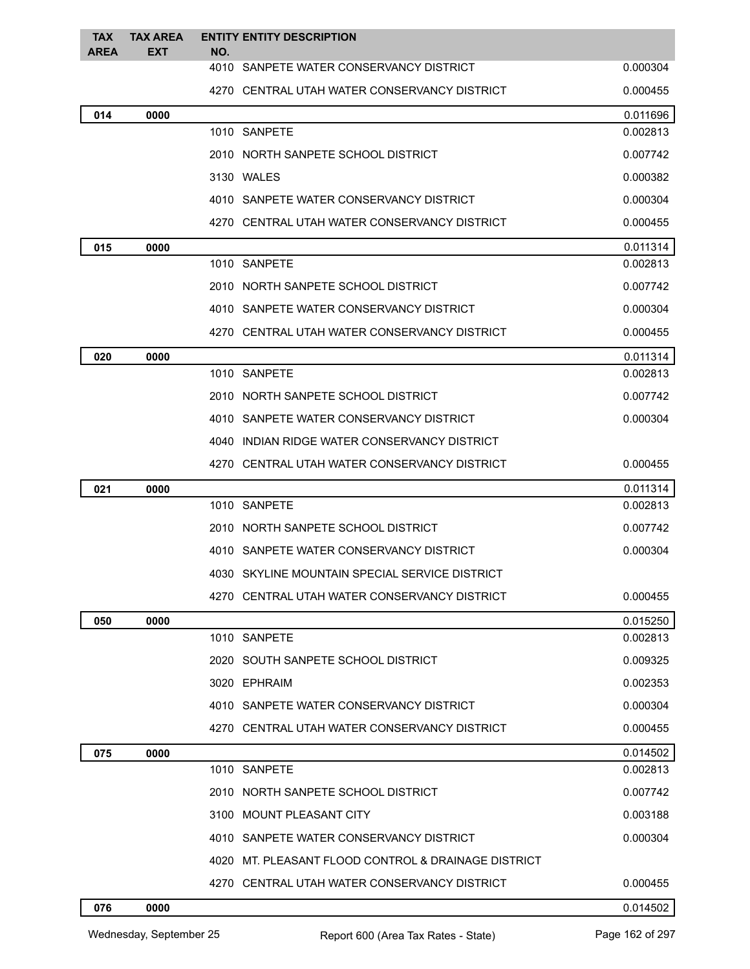| <b>TAX</b><br><b>AREA</b> | <b>TAX AREA</b><br><b>EXT</b> | <b>ENTITY ENTITY DESCRIPTION</b><br>NO.             |          |
|---------------------------|-------------------------------|-----------------------------------------------------|----------|
|                           |                               | 4010 SANPETE WATER CONSERVANCY DISTRICT             | 0.000304 |
|                           |                               | 4270 CENTRAL UTAH WATER CONSERVANCY DISTRICT        | 0.000455 |
| 014                       | 0000                          |                                                     | 0.011696 |
|                           |                               | 1010 SANPETE                                        | 0.002813 |
|                           |                               | 2010 NORTH SANPETE SCHOOL DISTRICT                  | 0.007742 |
|                           |                               | 3130 WALES                                          | 0.000382 |
|                           |                               | 4010 SANPETE WATER CONSERVANCY DISTRICT             | 0.000304 |
|                           |                               | 4270 CENTRAL UTAH WATER CONSERVANCY DISTRICT        | 0.000455 |
| 015                       | 0000                          |                                                     | 0.011314 |
|                           |                               | 1010 SANPETE                                        | 0.002813 |
|                           |                               | 2010 NORTH SANPETE SCHOOL DISTRICT                  | 0.007742 |
|                           |                               | 4010 SANPETE WATER CONSERVANCY DISTRICT             | 0.000304 |
|                           |                               | 4270 CENTRAL UTAH WATER CONSERVANCY DISTRICT        | 0.000455 |
| 020                       | 0000                          |                                                     | 0.011314 |
|                           |                               | 1010 SANPETE                                        | 0.002813 |
|                           |                               | 2010 NORTH SANPETE SCHOOL DISTRICT                  | 0.007742 |
|                           |                               | 4010 SANPETE WATER CONSERVANCY DISTRICT             | 0.000304 |
|                           |                               | 4040 INDIAN RIDGE WATER CONSERVANCY DISTRICT        |          |
|                           |                               | 4270 CENTRAL UTAH WATER CONSERVANCY DISTRICT        | 0.000455 |
| 021                       | 0000                          |                                                     | 0.011314 |
|                           |                               | 1010 SANPETE                                        | 0.002813 |
|                           |                               | 2010 NORTH SANPETE SCHOOL DISTRICT                  | 0.007742 |
|                           |                               | 4010 SANPETE WATER CONSERVANCY DISTRICT             | 0.000304 |
|                           |                               | 4030 SKYLINE MOUNTAIN SPECIAL SERVICE DISTRICT      |          |
|                           |                               | 4270 CENTRAL UTAH WATER CONSERVANCY DISTRICT        | 0.000455 |
| 050                       | 0000                          |                                                     | 0.015250 |
|                           |                               | 1010 SANPETE                                        | 0.002813 |
|                           |                               | 2020 SOUTH SANPETE SCHOOL DISTRICT                  | 0.009325 |
|                           |                               | 3020 EPHRAIM                                        | 0.002353 |
|                           |                               | 4010 SANPETE WATER CONSERVANCY DISTRICT             | 0.000304 |
|                           |                               | 4270 CENTRAL UTAH WATER CONSERVANCY DISTRICT        | 0.000455 |
| 075                       | 0000                          |                                                     | 0.014502 |
|                           |                               | 1010 SANPETE                                        | 0.002813 |
|                           |                               | 2010 NORTH SANPETE SCHOOL DISTRICT                  | 0.007742 |
|                           |                               | 3100 MOUNT PLEASANT CITY                            | 0.003188 |
|                           |                               | 4010 SANPETE WATER CONSERVANCY DISTRICT             | 0.000304 |
|                           |                               | 4020 MT. PLEASANT FLOOD CONTROL & DRAINAGE DISTRICT |          |
|                           |                               | 4270 CENTRAL UTAH WATER CONSERVANCY DISTRICT        | 0.000455 |
| 076                       | 0000                          |                                                     | 0.014502 |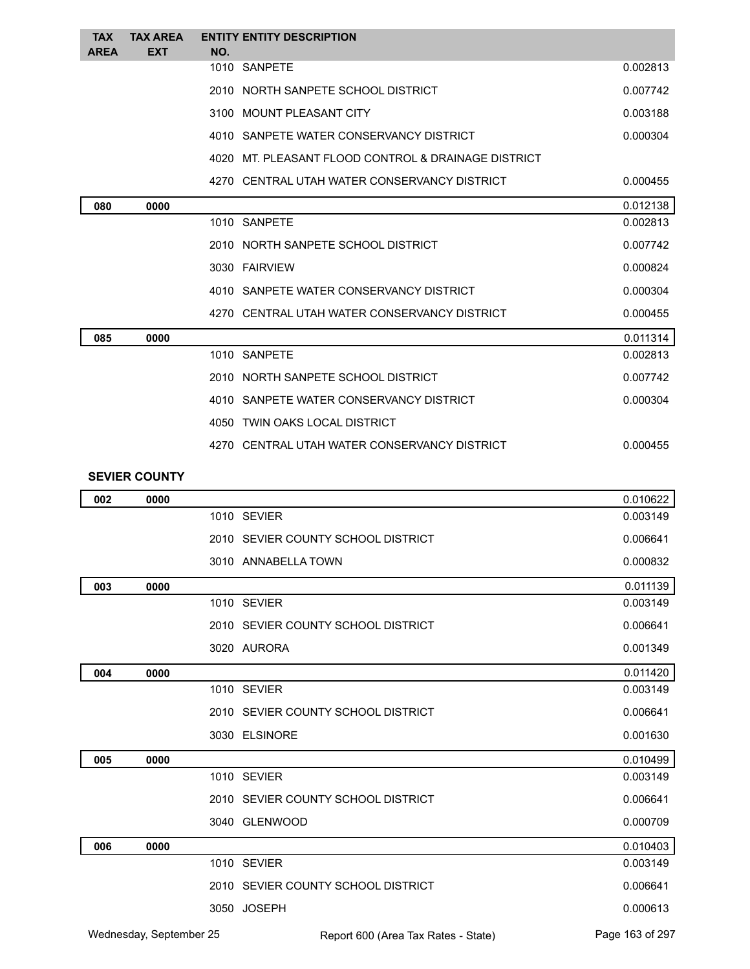| <b>TAX</b><br><b>AREA</b> | <b>TAX AREA</b><br><b>EXT</b> | <b>ENTITY ENTITY DESCRIPTION</b><br>NO.                   |          |
|---------------------------|-------------------------------|-----------------------------------------------------------|----------|
|                           |                               | 1010 SANPETE                                              | 0.002813 |
|                           |                               | 2010 NORTH SANPETE SCHOOL DISTRICT                        | 0.007742 |
|                           |                               | 3100 MOUNT PLEASANT CITY                                  | 0.003188 |
|                           |                               | 4010 SANPETE WATER CONSERVANCY DISTRICT                   | 0.000304 |
|                           |                               | 4020 MT. PLEASANT FLOOD CONTROL & DRAINAGE DISTRICT       |          |
|                           |                               | 4270 CENTRAL UTAH WATER CONSERVANCY DISTRICT              | 0.000455 |
| 080                       | 0000                          |                                                           | 0.012138 |
|                           |                               | 1010 SANPETE                                              | 0.002813 |
|                           |                               | 2010 NORTH SANPETE SCHOOL DISTRICT                        | 0.007742 |
|                           |                               | 3030 FAIRVIEW                                             | 0.000824 |
|                           |                               | 4010 SANPETE WATER CONSERVANCY DISTRICT                   | 0.000304 |
|                           |                               | 4270 CENTRAL UTAH WATER CONSERVANCY DISTRICT              | 0.000455 |
| 085                       | 0000                          |                                                           | 0.011314 |
|                           |                               | 1010 SANPETE                                              | 0.002813 |
|                           |                               | 2010 NORTH SANPETE SCHOOL DISTRICT                        | 0.007742 |
|                           |                               | 4010 SANPETE WATER CONSERVANCY DISTRICT                   | 0.000304 |
|                           |                               | 4050 TWIN OAKS LOCAL DISTRICT                             |          |
|                           |                               | 4270 CENTRAL UTAH WATER CONSERVANCY DISTRICT              | 0.000455 |
|                           | <b>SEVIER COUNTY</b>          |                                                           |          |
| 002                       | 0000                          |                                                           | 0.010622 |
|                           |                               | 1010 SEVIER                                               | 0.003149 |
|                           |                               | 2010 SEVIER COUNTY SCHOOL DISTRICT                        | 0.006641 |
|                           |                               | 3010 ANNABELLA TOWN                                       | 0.000832 |
| 003                       | 0000                          |                                                           | 0.011139 |
|                           |                               | 1010 SEVIER                                               | 0.003149 |
|                           |                               | 2010 SEVIER COUNTY SCHOOL DISTRICT                        | 0.006641 |
|                           |                               | $\begin{array}{ccc}\n0 & 0 & 0 \\ 0 & 0 & 0\n\end{array}$ | 0.001010 |

|     |      | 1010 SEVIER                        | 0.003149 |
|-----|------|------------------------------------|----------|
|     |      | 2010 SEVIER COUNTY SCHOOL DISTRICT | 0.006641 |
|     |      | 3020 AURORA                        | 0.001349 |
| 004 | 0000 |                                    | 0.011420 |
|     |      | 1010 SEVIER                        | 0.003149 |
|     |      | 2010 SEVIER COUNTY SCHOOL DISTRICT | 0.006641 |
|     |      | 3030 ELSINORE                      | 0.001630 |
| 005 | 0000 |                                    | 0.010499 |
|     |      | 1010 SEVIER                        | 0.003149 |
|     |      | 2010 SEVIER COUNTY SCHOOL DISTRICT | 0.006641 |
|     |      | 3040 GLENWOOD                      | 0.000709 |
| 006 | 0000 |                                    | 0.010403 |
|     |      | 1010 SEVIER                        | 0.003149 |
|     |      | 2010 SEVIER COUNTY SCHOOL DISTRICT | 0.006641 |
|     |      | 3050 JOSEPH                        | 0.000613 |
|     |      |                                    |          |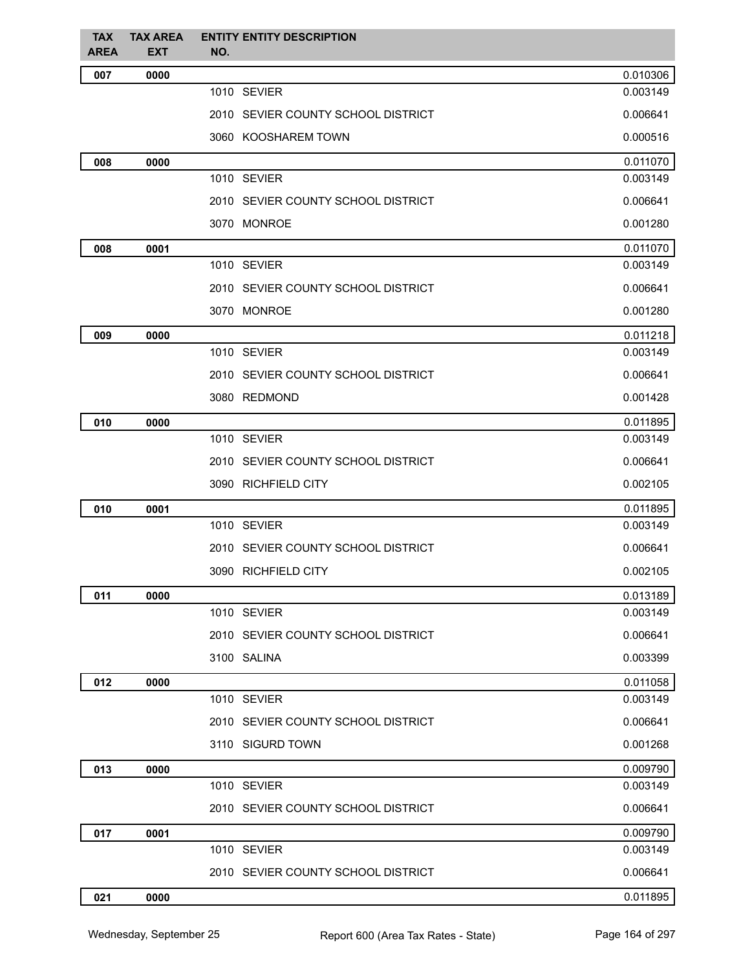| <b>TAX</b><br><b>AREA</b> | <b>TAX AREA</b><br><b>EXT</b> | <b>ENTITY ENTITY DESCRIPTION</b><br>NO. |          |
|---------------------------|-------------------------------|-----------------------------------------|----------|
| 007                       | 0000                          |                                         | 0.010306 |
|                           |                               | 1010 SEVIER                             | 0.003149 |
|                           |                               | 2010 SEVIER COUNTY SCHOOL DISTRICT      | 0.006641 |
|                           |                               | 3060 KOOSHAREM TOWN                     | 0.000516 |
| 008                       | 0000                          |                                         | 0.011070 |
|                           |                               | 1010 SEVIER                             | 0.003149 |
|                           |                               | 2010 SEVIER COUNTY SCHOOL DISTRICT      | 0.006641 |
|                           |                               | 3070 MONROE                             | 0.001280 |
| 008                       | 0001                          |                                         | 0.011070 |
|                           |                               | 1010 SEVIER                             | 0.003149 |
|                           |                               | 2010 SEVIER COUNTY SCHOOL DISTRICT      | 0.006641 |
|                           |                               | 3070 MONROE                             | 0.001280 |
| 009                       | 0000                          |                                         | 0.011218 |
|                           |                               | 1010 SEVIER                             | 0.003149 |
|                           |                               | 2010 SEVIER COUNTY SCHOOL DISTRICT      | 0.006641 |
|                           |                               | 3080 REDMOND                            | 0.001428 |
| 010                       | 0000                          |                                         | 0.011895 |
|                           |                               | 1010 SEVIER                             | 0.003149 |
|                           |                               | 2010 SEVIER COUNTY SCHOOL DISTRICT      | 0.006641 |
|                           |                               | 3090 RICHFIELD CITY                     | 0.002105 |
| 010                       | 0001                          |                                         | 0.011895 |
|                           |                               | 1010 SEVIER                             | 0.003149 |
|                           |                               | 2010 SEVIER COUNTY SCHOOL DISTRICT      | 0.006641 |
|                           |                               | 3090 RICHFIELD CITY                     | 0.002105 |
| 011                       | 0000                          |                                         | 0.013189 |
|                           |                               | 1010 SEVIER                             | 0.003149 |
|                           |                               | 2010 SEVIER COUNTY SCHOOL DISTRICT      | 0.006641 |
|                           |                               | 3100 SALINA                             | 0.003399 |
| 012                       | 0000                          |                                         | 0.011058 |
|                           |                               | 1010 SEVIER                             | 0.003149 |
|                           |                               | 2010 SEVIER COUNTY SCHOOL DISTRICT      | 0.006641 |
|                           |                               | 3110 SIGURD TOWN                        | 0.001268 |
| 013                       | 0000                          |                                         | 0.009790 |
|                           |                               | 1010 SEVIER                             | 0.003149 |
|                           |                               | 2010 SEVIER COUNTY SCHOOL DISTRICT      | 0.006641 |
| 017                       | 0001                          |                                         | 0.009790 |
|                           |                               | 1010 SEVIER                             | 0.003149 |
|                           |                               | 2010 SEVIER COUNTY SCHOOL DISTRICT      | 0.006641 |
| 021                       | 0000                          |                                         | 0.011895 |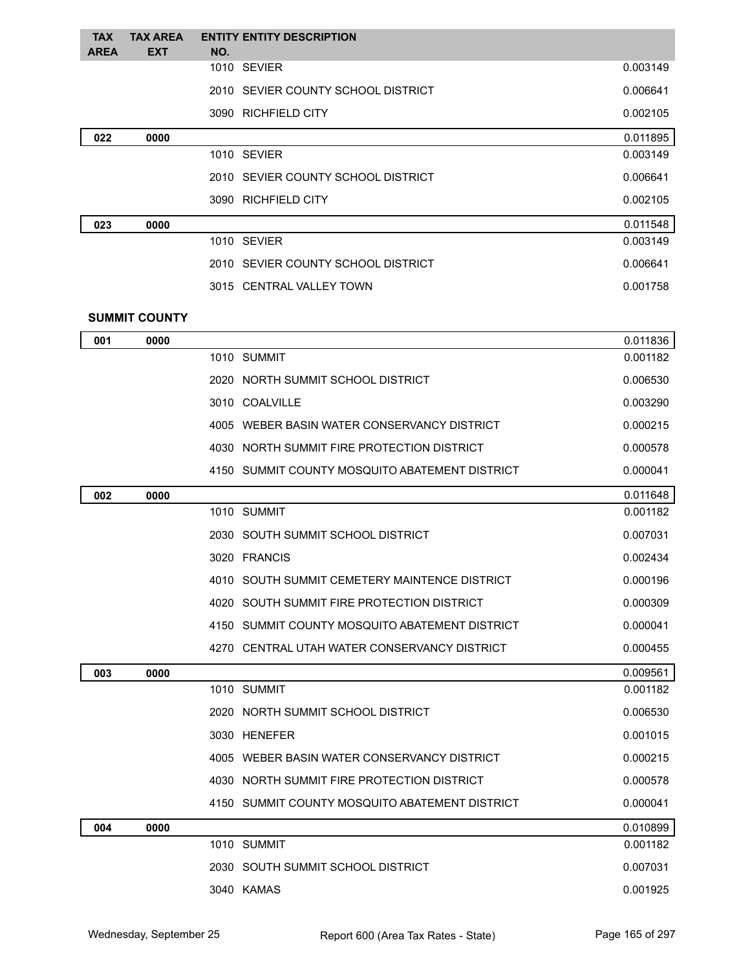| <b>TAX</b>  | <b>TAX AREA</b>      |     | <b>ENTITY ENTITY DESCRIPTION</b>               |          |
|-------------|----------------------|-----|------------------------------------------------|----------|
| <b>AREA</b> | <b>EXT</b>           | NO. | 1010 SEVIER                                    | 0.003149 |
|             |                      |     | 2010 SEVIER COUNTY SCHOOL DISTRICT             | 0.006641 |
|             |                      |     | 3090 RICHFIELD CITY                            | 0.002105 |
| 022         | 0000                 |     |                                                | 0.011895 |
|             |                      |     | 1010 SEVIER                                    | 0.003149 |
|             |                      |     | 2010 SEVIER COUNTY SCHOOL DISTRICT             | 0.006641 |
|             |                      |     | 3090 RICHFIELD CITY                            | 0.002105 |
| 023         | 0000                 |     |                                                | 0.011548 |
|             |                      |     | 1010 SEVIER                                    | 0.003149 |
|             |                      |     | 2010 SEVIER COUNTY SCHOOL DISTRICT             | 0.006641 |
|             |                      |     | 3015 CENTRAL VALLEY TOWN                       | 0.001758 |
|             | <b>SUMMIT COUNTY</b> |     |                                                |          |
| 001         | 0000                 |     |                                                | 0.011836 |
|             |                      |     | 1010 SUMMIT                                    | 0.001182 |
|             |                      |     | 2020 NORTH SUMMIT SCHOOL DISTRICT              | 0.006530 |
|             |                      |     | 3010 COALVILLE                                 | 0.003290 |
|             |                      |     | 4005 WEBER BASIN WATER CONSERVANCY DISTRICT    | 0.000215 |
|             |                      |     | 4030 NORTH SUMMIT FIRE PROTECTION DISTRICT     | 0.000578 |
|             |                      |     | 4150 SUMMIT COUNTY MOSQUITO ABATEMENT DISTRICT | 0.000041 |
| 002         | 0000                 |     |                                                | 0.011648 |
|             |                      |     | 1010 SUMMIT                                    | 0.001182 |
|             |                      |     | 2030 SOUTH SUMMIT SCHOOL DISTRICT              | 0.007031 |
|             |                      |     | 3020 FRANCIS                                   | 0.002434 |
|             |                      |     | 4010 SOUTH SUMMIT CEMETERY MAINTENCE DISTRICT  | 0.000196 |
|             |                      |     | 4020 SOUTH SUMMIT FIRE PROTECTION DISTRICT     | 0.000309 |
|             |                      |     | 4150 SUMMIT COUNTY MOSQUITO ABATEMENT DISTRICT | 0.000041 |
|             |                      |     | 4270 CENTRAL UTAH WATER CONSERVANCY DISTRICT   | 0.000455 |
| 003         | 0000                 |     |                                                | 0.009561 |
|             |                      |     | 1010 SUMMIT                                    | 0.001182 |
|             |                      |     | 2020 NORTH SUMMIT SCHOOL DISTRICT              | 0.006530 |
|             |                      |     | 3030 HENEFER                                   | 0.001015 |
|             |                      |     | 4005 WEBER BASIN WATER CONSERVANCY DISTRICT    | 0.000215 |
|             |                      |     | 4030 NORTH SUMMIT FIRE PROTECTION DISTRICT     | 0.000578 |
|             |                      |     | 4150 SUMMIT COUNTY MOSQUITO ABATEMENT DISTRICT | 0.000041 |
| 004         | 0000                 |     |                                                | 0.010899 |
|             |                      |     | 1010 SUMMIT                                    | 0.001182 |
|             |                      |     | 2030 SOUTH SUMMIT SCHOOL DISTRICT              | 0.007031 |
|             |                      |     | 3040 KAMAS                                     | 0.001925 |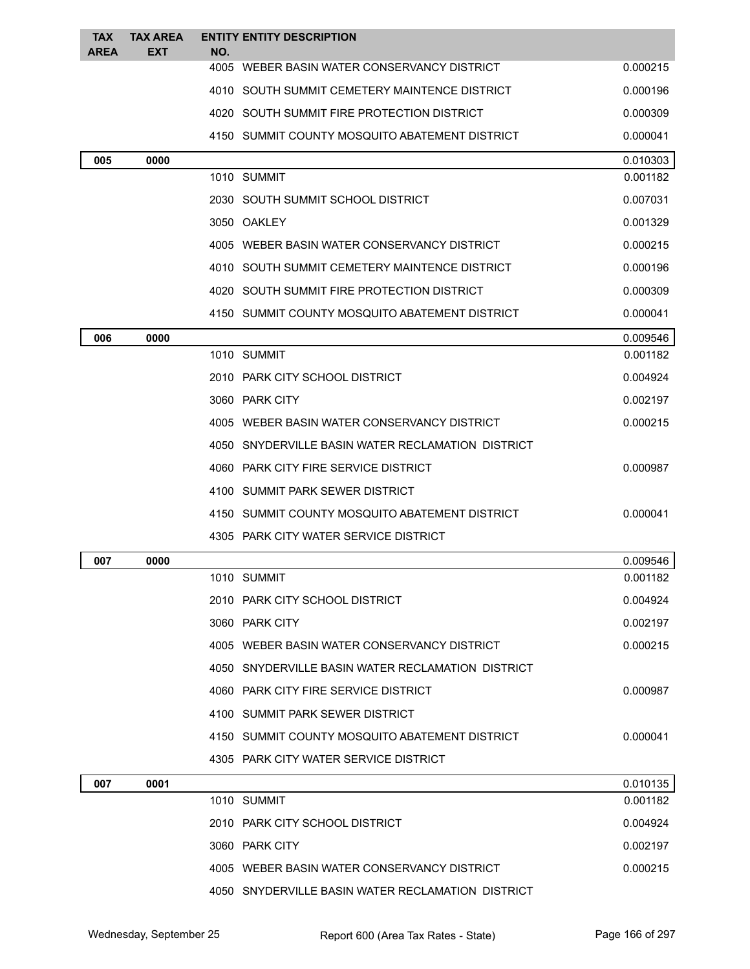| <b>TAX</b><br><b>AREA</b> | <b>TAX AREA</b><br><b>EXT</b> | NO. | <b>ENTITY ENTITY DESCRIPTION</b>                  |          |
|---------------------------|-------------------------------|-----|---------------------------------------------------|----------|
|                           |                               |     | 4005 WEBER BASIN WATER CONSERVANCY DISTRICT       | 0.000215 |
|                           |                               |     | 4010 SOUTH SUMMIT CEMETERY MAINTENCE DISTRICT     | 0.000196 |
|                           |                               |     | 4020 SOUTH SUMMIT FIRE PROTECTION DISTRICT        | 0.000309 |
|                           |                               |     | 4150 SUMMIT COUNTY MOSQUITO ABATEMENT DISTRICT    | 0.000041 |
| 005                       | 0000                          |     |                                                   | 0.010303 |
|                           |                               |     | 1010 SUMMIT                                       | 0.001182 |
|                           |                               |     | 2030 SOUTH SUMMIT SCHOOL DISTRICT                 | 0.007031 |
|                           |                               |     | 3050 OAKLEY                                       | 0.001329 |
|                           |                               |     | 4005 WEBER BASIN WATER CONSERVANCY DISTRICT       | 0.000215 |
|                           |                               |     | 4010 SOUTH SUMMIT CEMETERY MAINTENCE DISTRICT     | 0.000196 |
|                           |                               |     | 4020 SOUTH SUMMIT FIRE PROTECTION DISTRICT        | 0.000309 |
|                           |                               |     | 4150 SUMMIT COUNTY MOSQUITO ABATEMENT DISTRICT    | 0.000041 |
| 006                       | 0000                          |     |                                                   | 0.009546 |
|                           |                               |     | 1010 SUMMIT                                       | 0.001182 |
|                           |                               |     | 2010 PARK CITY SCHOOL DISTRICT                    | 0.004924 |
|                           |                               |     | 3060 PARK CITY                                    | 0.002197 |
|                           |                               |     | 4005 WEBER BASIN WATER CONSERVANCY DISTRICT       | 0.000215 |
|                           |                               |     | 4050 SNYDERVILLE BASIN WATER RECLAMATION DISTRICT |          |
|                           |                               |     | 4060 PARK CITY FIRE SERVICE DISTRICT              | 0.000987 |
|                           |                               |     | 4100 SUMMIT PARK SEWER DISTRICT                   |          |
|                           |                               |     | 4150 SUMMIT COUNTY MOSQUITO ABATEMENT DISTRICT    | 0.000041 |
|                           |                               |     | 4305 PARK CITY WATER SERVICE DISTRICT             |          |
| 007                       | 0000                          |     |                                                   | 0.009546 |
|                           |                               |     | 1010 SUMMIT                                       | 0.001182 |
|                           |                               |     | 2010 PARK CITY SCHOOL DISTRICT                    | 0.004924 |
|                           |                               |     | 3060 PARK CITY                                    | 0.002197 |
|                           |                               |     | 4005 WEBER BASIN WATER CONSERVANCY DISTRICT       | 0.000215 |
|                           |                               |     | 4050 SNYDERVILLE BASIN WATER RECLAMATION DISTRICT |          |
|                           |                               |     | 4060 PARK CITY FIRE SERVICE DISTRICT              | 0.000987 |
|                           |                               |     | 4100 SUMMIT PARK SEWER DISTRICT                   |          |
|                           |                               |     | 4150 SUMMIT COUNTY MOSQUITO ABATEMENT DISTRICT    | 0.000041 |
|                           |                               |     | 4305 PARK CITY WATER SERVICE DISTRICT             |          |
| 007                       | 0001                          |     |                                                   | 0.010135 |
|                           |                               |     | 1010 SUMMIT                                       | 0.001182 |
|                           |                               |     | 2010 PARK CITY SCHOOL DISTRICT                    | 0.004924 |
|                           |                               |     | 3060 PARK CITY                                    | 0.002197 |
|                           |                               |     | 4005 WEBER BASIN WATER CONSERVANCY DISTRICT       | 0.000215 |
|                           |                               |     | 4050 SNYDERVILLE BASIN WATER RECLAMATION DISTRICT |          |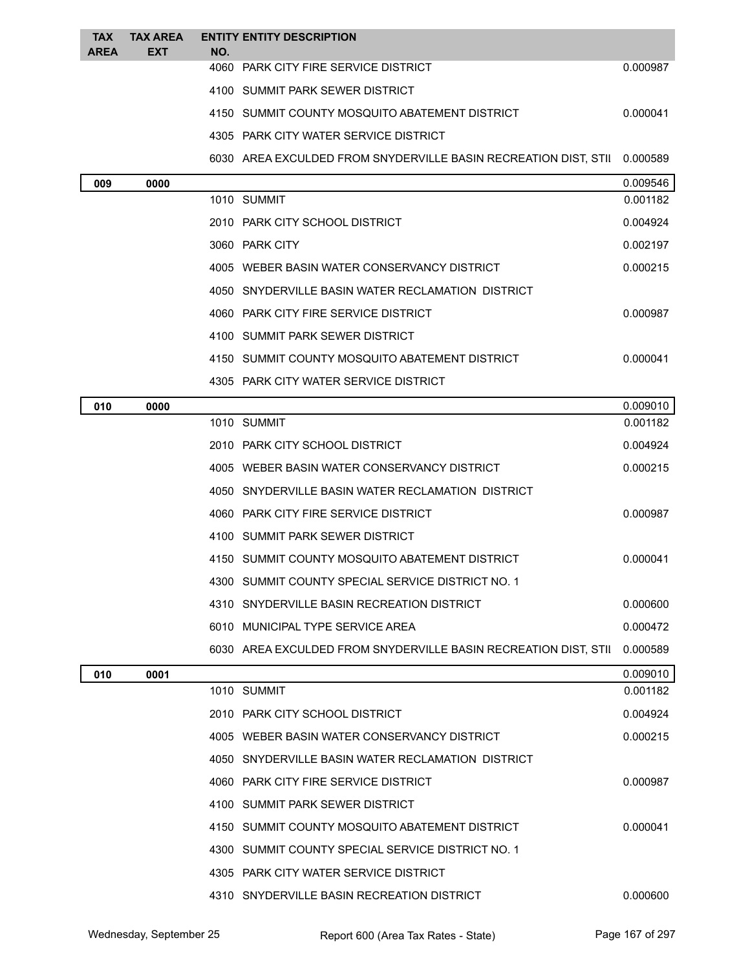| <b>TAX</b><br><b>AREA</b> | <b>TAX AREA</b><br><b>EXT</b> | NO. | <b>ENTITY ENTITY DESCRIPTION</b>                                |          |
|---------------------------|-------------------------------|-----|-----------------------------------------------------------------|----------|
|                           |                               |     | 4060 PARK CITY FIRE SERVICE DISTRICT                            | 0.000987 |
|                           |                               |     | 4100 SUMMIT PARK SEWER DISTRICT                                 |          |
|                           |                               |     | 4150 SUMMIT COUNTY MOSQUITO ABATEMENT DISTRICT                  | 0.000041 |
|                           |                               |     | 4305 PARK CITY WATER SERVICE DISTRICT                           |          |
|                           |                               |     | 6030 AREA EXCULDED FROM SNYDERVILLE BASIN RECREATION DIST, STII | 0.000589 |
| 009                       | 0000                          |     |                                                                 | 0.009546 |
|                           |                               |     | 1010 SUMMIT                                                     | 0.001182 |
|                           |                               |     | 2010 PARK CITY SCHOOL DISTRICT                                  | 0.004924 |
|                           |                               |     | 3060 PARK CITY                                                  | 0.002197 |
|                           |                               |     | 4005 WEBER BASIN WATER CONSERVANCY DISTRICT                     | 0.000215 |
|                           |                               |     | 4050 SNYDERVILLE BASIN WATER RECLAMATION DISTRICT               |          |
|                           |                               |     | 4060 PARK CITY FIRE SERVICE DISTRICT                            | 0.000987 |
|                           |                               |     | 4100 SUMMIT PARK SEWER DISTRICT                                 |          |
|                           |                               |     | 4150 SUMMIT COUNTY MOSQUITO ABATEMENT DISTRICT                  | 0.000041 |
|                           |                               |     | 4305 PARK CITY WATER SERVICE DISTRICT                           |          |
| 010                       | 0000                          |     |                                                                 | 0.009010 |
|                           |                               |     | 1010 SUMMIT                                                     | 0.001182 |
|                           |                               |     | 2010 PARK CITY SCHOOL DISTRICT                                  | 0.004924 |
|                           |                               |     | 4005 WEBER BASIN WATER CONSERVANCY DISTRICT                     | 0.000215 |
|                           |                               |     | 4050 SNYDERVILLE BASIN WATER RECLAMATION DISTRICT               |          |
|                           |                               |     | 4060 PARK CITY FIRE SERVICE DISTRICT                            | 0.000987 |
|                           |                               |     | 4100 SUMMIT PARK SEWER DISTRICT                                 |          |
|                           |                               |     | 4150 SUMMIT COUNTY MOSQUITO ABATEMENT DISTRICT                  | 0.000041 |
|                           |                               |     | 4300 SUMMIT COUNTY SPECIAL SERVICE DISTRICT NO. 1               |          |
|                           |                               |     | 4310 SNYDERVILLE BASIN RECREATION DISTRICT                      | 0.000600 |
|                           |                               |     | 6010 MUNICIPAL TYPE SERVICE AREA                                | 0.000472 |
|                           |                               |     | 6030 AREA EXCULDED FROM SNYDERVILLE BASIN RECREATION DIST, STII | 0.000589 |
| 010                       | 0001                          |     |                                                                 | 0.009010 |
|                           |                               |     | 1010 SUMMIT                                                     | 0.001182 |
|                           |                               |     | 2010 PARK CITY SCHOOL DISTRICT                                  | 0.004924 |
|                           |                               |     | 4005 WEBER BASIN WATER CONSERVANCY DISTRICT                     | 0.000215 |
|                           |                               |     | 4050 SNYDERVILLE BASIN WATER RECLAMATION DISTRICT               |          |
|                           |                               |     | 4060 PARK CITY FIRE SERVICE DISTRICT                            | 0.000987 |
|                           |                               |     | 4100 SUMMIT PARK SEWER DISTRICT                                 |          |
|                           |                               |     | 4150 SUMMIT COUNTY MOSQUITO ABATEMENT DISTRICT                  | 0.000041 |
|                           |                               |     | 4300 SUMMIT COUNTY SPECIAL SERVICE DISTRICT NO. 1               |          |
|                           |                               |     | 4305 PARK CITY WATER SERVICE DISTRICT                           |          |
|                           |                               |     | 4310 SNYDERVILLE BASIN RECREATION DISTRICT                      | 0.000600 |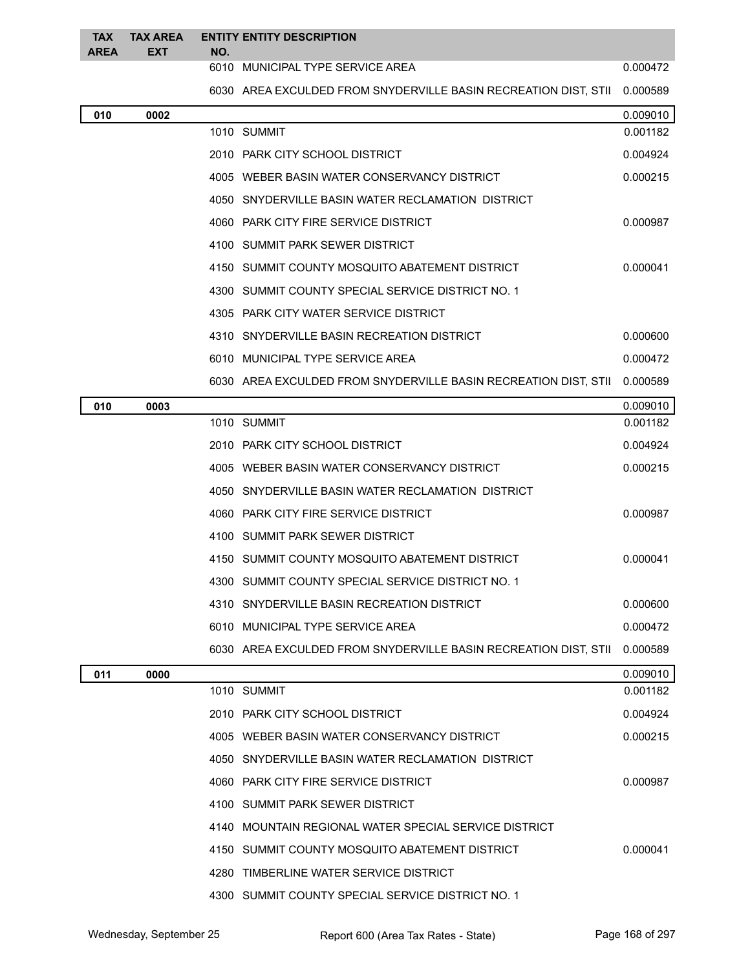| <b>TAX</b><br><b>AREA</b> | <b>TAX AREA</b><br><b>EXT</b> | NO. | <b>ENTITY ENTITY DESCRIPTION</b>                                |          |
|---------------------------|-------------------------------|-----|-----------------------------------------------------------------|----------|
|                           |                               |     | 6010 MUNICIPAL TYPE SERVICE AREA                                | 0.000472 |
|                           |                               |     | 6030 AREA EXCULDED FROM SNYDERVILLE BASIN RECREATION DIST, STII | 0.000589 |
| 010                       | 0002                          |     |                                                                 | 0.009010 |
|                           |                               |     | 1010 SUMMIT                                                     | 0.001182 |
|                           |                               |     | 2010 PARK CITY SCHOOL DISTRICT                                  | 0.004924 |
|                           |                               |     | 4005 WEBER BASIN WATER CONSERVANCY DISTRICT                     | 0.000215 |
|                           |                               |     | 4050 SNYDERVILLE BASIN WATER RECLAMATION DISTRICT               |          |
|                           |                               |     | 4060 PARK CITY FIRE SERVICE DISTRICT                            | 0.000987 |
|                           |                               |     | 4100 SUMMIT PARK SEWER DISTRICT                                 |          |
|                           |                               |     | 4150 SUMMIT COUNTY MOSQUITO ABATEMENT DISTRICT                  | 0.000041 |
|                           |                               |     | 4300 SUMMIT COUNTY SPECIAL SERVICE DISTRICT NO. 1               |          |
|                           |                               |     | 4305 PARK CITY WATER SERVICE DISTRICT                           |          |
|                           |                               |     | 4310 SNYDERVILLE BASIN RECREATION DISTRICT                      | 0.000600 |
|                           |                               |     | 6010 MUNICIPAL TYPE SERVICE AREA                                | 0.000472 |
|                           |                               |     | 6030 AREA EXCULDED FROM SNYDERVILLE BASIN RECREATION DIST, STII | 0.000589 |
| 010                       | 0003                          |     |                                                                 | 0.009010 |
|                           |                               |     | 1010 SUMMIT                                                     | 0.001182 |
|                           |                               |     | 2010 PARK CITY SCHOOL DISTRICT                                  | 0.004924 |
|                           |                               |     | 4005 WEBER BASIN WATER CONSERVANCY DISTRICT                     | 0.000215 |
|                           |                               |     | 4050 SNYDERVILLE BASIN WATER RECLAMATION DISTRICT               |          |
|                           |                               |     | 4060 PARK CITY FIRE SERVICE DISTRICT                            | 0.000987 |
|                           |                               |     | 4100 SUMMIT PARK SEWER DISTRICT                                 |          |
|                           |                               |     | 4150 SUMMIT COUNTY MOSQUITO ABATEMENT DISTRICT                  | 0.000041 |
|                           |                               |     | 4300 SUMMIT COUNTY SPECIAL SERVICE DISTRICT NO. 1               |          |
|                           |                               |     | 4310 SNYDERVILLE BASIN RECREATION DISTRICT                      | 0.000600 |
|                           |                               |     | 6010 MUNICIPAL TYPE SERVICE AREA                                | 0.000472 |
|                           |                               |     | 6030 AREA EXCULDED FROM SNYDERVILLE BASIN RECREATION DIST, STII | 0.000589 |
| 011                       | 0000                          |     |                                                                 | 0.009010 |
|                           |                               |     | 1010 SUMMIT                                                     | 0.001182 |
|                           |                               |     | 2010 PARK CITY SCHOOL DISTRICT                                  | 0.004924 |
|                           |                               |     | 4005 WEBER BASIN WATER CONSERVANCY DISTRICT                     | 0.000215 |
|                           |                               |     | 4050 SNYDERVILLE BASIN WATER RECLAMATION DISTRICT               |          |
|                           |                               |     | 4060 PARK CITY FIRE SERVICE DISTRICT                            | 0.000987 |
|                           |                               |     | 4100 SUMMIT PARK SEWER DISTRICT                                 |          |
|                           |                               |     | 4140 MOUNTAIN REGIONAL WATER SPECIAL SERVICE DISTRICT           |          |
|                           |                               |     | 4150 SUMMIT COUNTY MOSQUITO ABATEMENT DISTRICT                  | 0.000041 |
|                           |                               |     | 4280 TIMBERLINE WATER SERVICE DISTRICT                          |          |
|                           |                               |     | 4300 SUMMIT COUNTY SPECIAL SERVICE DISTRICT NO. 1               |          |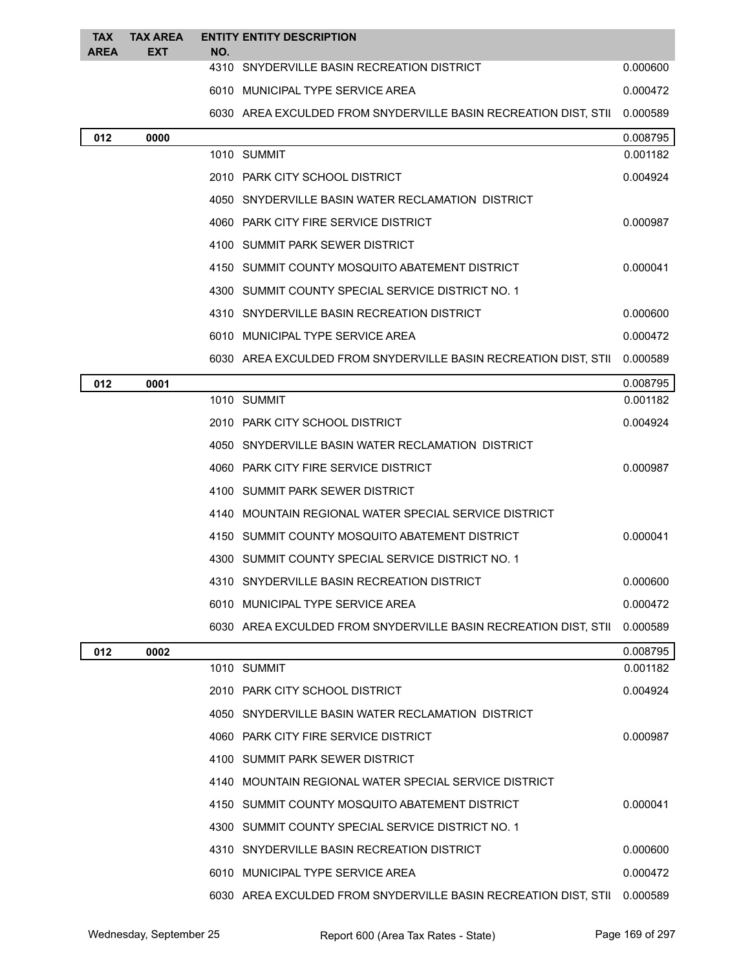| <b>TAX</b><br><b>AREA</b> | <b>TAX AREA</b><br><b>EXT</b> | NO. | <b>ENTITY ENTITY DESCRIPTION</b>                                |          |
|---------------------------|-------------------------------|-----|-----------------------------------------------------------------|----------|
|                           |                               |     | 4310 SNYDERVILLE BASIN RECREATION DISTRICT                      | 0.000600 |
|                           |                               |     | 6010 MUNICIPAL TYPE SERVICE AREA                                | 0.000472 |
|                           |                               |     | 6030 AREA EXCULDED FROM SNYDERVILLE BASIN RECREATION DIST, STII | 0.000589 |
| 012                       | 0000                          |     |                                                                 | 0.008795 |
|                           |                               |     | 1010 SUMMIT                                                     | 0.001182 |
|                           |                               |     | 2010 PARK CITY SCHOOL DISTRICT                                  | 0.004924 |
|                           |                               |     | 4050 SNYDERVILLE BASIN WATER RECLAMATION DISTRICT               |          |
|                           |                               |     | 4060 PARK CITY FIRE SERVICE DISTRICT                            | 0.000987 |
|                           |                               |     | 4100 SUMMIT PARK SEWER DISTRICT                                 |          |
|                           |                               |     | 4150 SUMMIT COUNTY MOSQUITO ABATEMENT DISTRICT                  | 0.000041 |
|                           |                               |     | 4300 SUMMIT COUNTY SPECIAL SERVICE DISTRICT NO. 1               |          |
|                           |                               |     | 4310 SNYDERVILLE BASIN RECREATION DISTRICT                      | 0.000600 |
|                           |                               |     | 6010 MUNICIPAL TYPE SERVICE AREA                                | 0.000472 |
|                           |                               |     | 6030 AREA EXCULDED FROM SNYDERVILLE BASIN RECREATION DIST, STII | 0.000589 |
| 012                       | 0001                          |     |                                                                 | 0.008795 |
|                           |                               |     | 1010 SUMMIT                                                     | 0.001182 |
|                           |                               |     | 2010 PARK CITY SCHOOL DISTRICT                                  | 0.004924 |
|                           |                               |     | 4050 SNYDERVILLE BASIN WATER RECLAMATION DISTRICT               |          |
|                           |                               |     | 4060 PARK CITY FIRE SERVICE DISTRICT                            | 0.000987 |
|                           |                               |     | 4100 SUMMIT PARK SEWER DISTRICT                                 |          |
|                           |                               |     | 4140 MOUNTAIN REGIONAL WATER SPECIAL SERVICE DISTRICT           |          |
|                           |                               |     | 4150 SUMMIT COUNTY MOSQUITO ABATEMENT DISTRICT                  | 0.000041 |
|                           |                               |     | 4300 SUMMIT COUNTY SPECIAL SERVICE DISTRICT NO. 1               |          |
|                           |                               |     | 4310 SNYDERVILLE BASIN RECREATION DISTRICT                      | 0.000600 |
|                           |                               |     | 6010 MUNICIPAL TYPE SERVICE AREA                                | 0.000472 |
|                           |                               |     | 6030 AREA EXCULDED FROM SNYDERVILLE BASIN RECREATION DIST, STII | 0.000589 |
| 012                       | 0002                          |     |                                                                 | 0.008795 |
|                           |                               |     | 1010 SUMMIT                                                     | 0.001182 |
|                           |                               |     | 2010 PARK CITY SCHOOL DISTRICT                                  | 0.004924 |
|                           |                               |     | 4050 SNYDERVILLE BASIN WATER RECLAMATION DISTRICT               |          |
|                           |                               |     | 4060 PARK CITY FIRE SERVICE DISTRICT                            | 0.000987 |
|                           |                               |     | 4100 SUMMIT PARK SEWER DISTRICT                                 |          |
|                           |                               |     | 4140 MOUNTAIN REGIONAL WATER SPECIAL SERVICE DISTRICT           |          |
|                           |                               |     | 4150 SUMMIT COUNTY MOSQUITO ABATEMENT DISTRICT                  | 0.000041 |
|                           |                               |     | 4300 SUMMIT COUNTY SPECIAL SERVICE DISTRICT NO. 1               |          |
|                           |                               |     | 4310 SNYDERVILLE BASIN RECREATION DISTRICT                      | 0.000600 |
|                           |                               |     | 6010 MUNICIPAL TYPE SERVICE AREA                                | 0.000472 |
|                           |                               |     | 6030 AREA EXCULDED FROM SNYDERVILLE BASIN RECREATION DIST, STII | 0.000589 |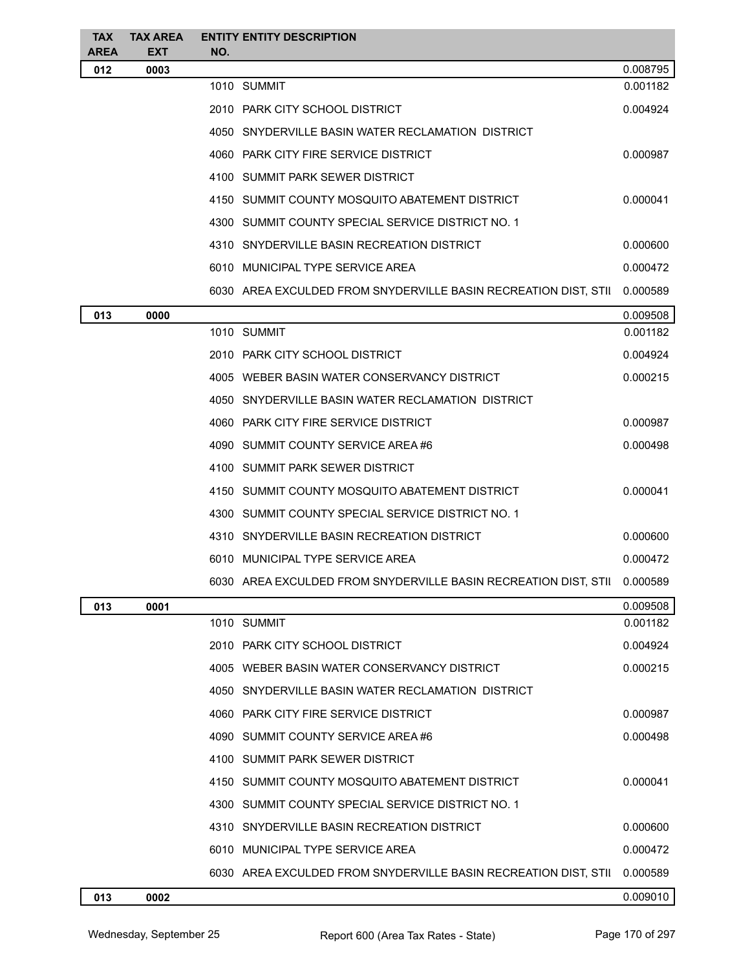| <b>TAX</b>         | <b>TAX AREA</b>    | <b>ENTITY ENTITY DESCRIPTION</b>                                         |          |
|--------------------|--------------------|--------------------------------------------------------------------------|----------|
| <b>AREA</b><br>012 | <b>EXT</b><br>0003 | NO.                                                                      | 0.008795 |
|                    |                    | 1010 SUMMIT                                                              | 0.001182 |
|                    |                    | 2010 PARK CITY SCHOOL DISTRICT                                           | 0.004924 |
|                    |                    | 4050 SNYDERVILLE BASIN WATER RECLAMATION DISTRICT                        |          |
|                    |                    | 4060 PARK CITY FIRE SERVICE DISTRICT                                     | 0.000987 |
|                    |                    | 4100 SUMMIT PARK SEWER DISTRICT                                          |          |
|                    |                    | 4150 SUMMIT COUNTY MOSQUITO ABATEMENT DISTRICT                           | 0.000041 |
|                    |                    | 4300 SUMMIT COUNTY SPECIAL SERVICE DISTRICT NO. 1                        |          |
|                    |                    | 4310 SNYDERVILLE BASIN RECREATION DISTRICT                               | 0.000600 |
|                    |                    | 6010 MUNICIPAL TYPE SERVICE AREA                                         | 0.000472 |
|                    |                    | 6030 AREA EXCULDED FROM SNYDERVILLE BASIN RECREATION DIST, STII          | 0.000589 |
| 013                | 0000               |                                                                          | 0.009508 |
|                    |                    | 1010 SUMMIT                                                              | 0.001182 |
|                    |                    | 2010 PARK CITY SCHOOL DISTRICT                                           | 0.004924 |
|                    |                    | 4005 WEBER BASIN WATER CONSERVANCY DISTRICT                              | 0.000215 |
|                    |                    | 4050 SNYDERVILLE BASIN WATER RECLAMATION DISTRICT                        |          |
|                    |                    | 4060 PARK CITY FIRE SERVICE DISTRICT                                     | 0.000987 |
|                    |                    | 4090 SUMMIT COUNTY SERVICE AREA #6                                       | 0.000498 |
|                    |                    | 4100 SUMMIT PARK SEWER DISTRICT                                          |          |
|                    |                    | 4150 SUMMIT COUNTY MOSQUITO ABATEMENT DISTRICT                           | 0.000041 |
|                    |                    | 4300 SUMMIT COUNTY SPECIAL SERVICE DISTRICT NO. 1                        |          |
|                    |                    | 4310 SNYDERVILLE BASIN RECREATION DISTRICT                               | 0.000600 |
|                    |                    | 6010 MUNICIPAL TYPE SERVICE AREA                                         | 0.000472 |
|                    |                    | 6030 AREA EXCULDED FROM SNYDERVILLE BASIN RECREATION DIST, STII 0.000589 |          |
| 013                | 0001               |                                                                          | 0.009508 |
|                    |                    | 1010 SUMMIT                                                              | 0.001182 |
|                    |                    | 2010 PARK CITY SCHOOL DISTRICT                                           | 0.004924 |
|                    |                    | 4005 WEBER BASIN WATER CONSERVANCY DISTRICT                              | 0.000215 |
|                    |                    | 4050 SNYDERVILLE BASIN WATER RECLAMATION DISTRICT                        |          |
|                    |                    | 4060 PARK CITY FIRE SERVICE DISTRICT                                     | 0.000987 |
|                    |                    | 4090 SUMMIT COUNTY SERVICE AREA#6                                        | 0.000498 |
|                    |                    | 4100 SUMMIT PARK SEWER DISTRICT                                          |          |
|                    |                    | 4150 SUMMIT COUNTY MOSQUITO ABATEMENT DISTRICT                           | 0.000041 |
|                    |                    | 4300 SUMMIT COUNTY SPECIAL SERVICE DISTRICT NO. 1                        |          |
|                    |                    | 4310 SNYDERVILLE BASIN RECREATION DISTRICT                               | 0.000600 |
|                    |                    | 6010 MUNICIPAL TYPE SERVICE AREA                                         | 0.000472 |
|                    |                    | 6030 AREA EXCULDED FROM SNYDERVILLE BASIN RECREATION DIST, STII          | 0.000589 |
| 013                | 0002               |                                                                          | 0.009010 |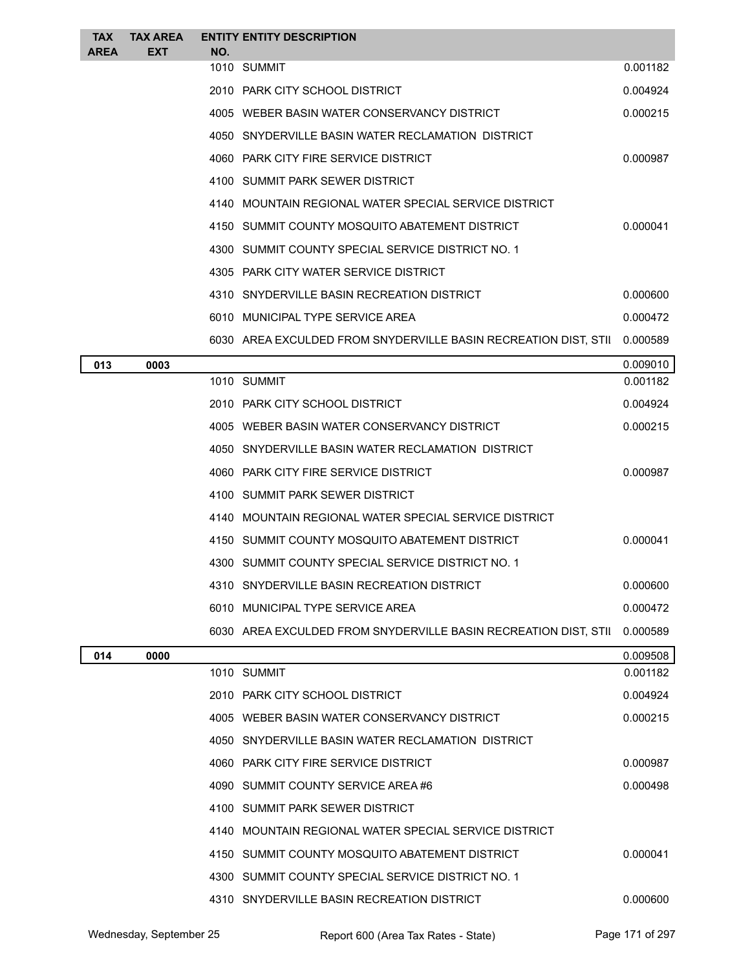| <b>TAX</b>  | <b>TAX AREA</b> |     | <b>ENTITY ENTITY DESCRIPTION</b>                                |          |
|-------------|-----------------|-----|-----------------------------------------------------------------|----------|
| <b>AREA</b> | <b>EXT</b>      | NO. | 1010 SUMMIT                                                     | 0.001182 |
|             |                 |     | 2010 PARK CITY SCHOOL DISTRICT                                  | 0.004924 |
|             |                 |     | 4005 WEBER BASIN WATER CONSERVANCY DISTRICT                     | 0.000215 |
|             |                 |     | 4050 SNYDERVILLE BASIN WATER RECLAMATION DISTRICT               |          |
|             |                 |     | 4060 PARK CITY FIRE SERVICE DISTRICT                            | 0.000987 |
|             |                 |     | 4100 SUMMIT PARK SEWER DISTRICT                                 |          |
|             |                 |     | 4140 MOUNTAIN REGIONAL WATER SPECIAL SERVICE DISTRICT           |          |
|             |                 |     | 4150 SUMMIT COUNTY MOSQUITO ABATEMENT DISTRICT                  | 0.000041 |
|             |                 |     | 4300 SUMMIT COUNTY SPECIAL SERVICE DISTRICT NO. 1               |          |
|             |                 |     | 4305 PARK CITY WATER SERVICE DISTRICT                           |          |
|             |                 |     | 4310 SNYDERVILLE BASIN RECREATION DISTRICT                      | 0.000600 |
|             |                 |     | 6010 MUNICIPAL TYPE SERVICE AREA                                | 0.000472 |
|             |                 |     | 6030 AREA EXCULDED FROM SNYDERVILLE BASIN RECREATION DIST, STII | 0.000589 |
| 013         | 0003            |     |                                                                 | 0.009010 |
|             |                 |     | 1010 SUMMIT                                                     | 0.001182 |
|             |                 |     | 2010 PARK CITY SCHOOL DISTRICT                                  | 0.004924 |
|             |                 |     | 4005 WEBER BASIN WATER CONSERVANCY DISTRICT                     | 0.000215 |
|             |                 |     | 4050 SNYDERVILLE BASIN WATER RECLAMATION DISTRICT               |          |
|             |                 |     | 4060 PARK CITY FIRE SERVICE DISTRICT                            | 0.000987 |
|             |                 |     | 4100 SUMMIT PARK SEWER DISTRICT                                 |          |
|             |                 |     | 4140 MOUNTAIN REGIONAL WATER SPECIAL SERVICE DISTRICT           |          |
|             |                 |     | 4150 SUMMIT COUNTY MOSQUITO ABATEMENT DISTRICT                  | 0.000041 |
|             |                 |     | 4300 SUMMIT COUNTY SPECIAL SERVICE DISTRICT NO. 1               |          |
|             |                 |     | 4310 SNYDERVILLE BASIN RECREATION DISTRICT                      | 0.000600 |
|             |                 |     | 6010 MUNICIPAL TYPE SERVICE AREA                                | 0.000472 |
|             |                 |     | 6030 AREA EXCULDED FROM SNYDERVILLE BASIN RECREATION DIST, STII | 0.000589 |
| 014         | 0000            |     |                                                                 | 0.009508 |
|             |                 |     | 1010 SUMMIT                                                     | 0.001182 |
|             |                 |     | 2010 PARK CITY SCHOOL DISTRICT                                  | 0.004924 |
|             |                 |     | 4005 WEBER BASIN WATER CONSERVANCY DISTRICT                     | 0.000215 |
|             |                 |     | 4050 SNYDERVILLE BASIN WATER RECLAMATION DISTRICT               |          |
|             |                 |     | 4060 PARK CITY FIRE SERVICE DISTRICT                            | 0.000987 |
|             |                 |     | 4090 SUMMIT COUNTY SERVICE AREA #6                              | 0.000498 |
|             |                 |     | 4100 SUMMIT PARK SEWER DISTRICT                                 |          |
|             |                 |     | 4140 MOUNTAIN REGIONAL WATER SPECIAL SERVICE DISTRICT           |          |
|             |                 |     | 4150 SUMMIT COUNTY MOSQUITO ABATEMENT DISTRICT                  | 0.000041 |
|             |                 |     | 4300 SUMMIT COUNTY SPECIAL SERVICE DISTRICT NO. 1               |          |
|             |                 |     | 4310 SNYDERVILLE BASIN RECREATION DISTRICT                      | 0.000600 |

Wednesday, September 25 **2013** Report 600 (Area Tax Rates - State) Page 171 of 297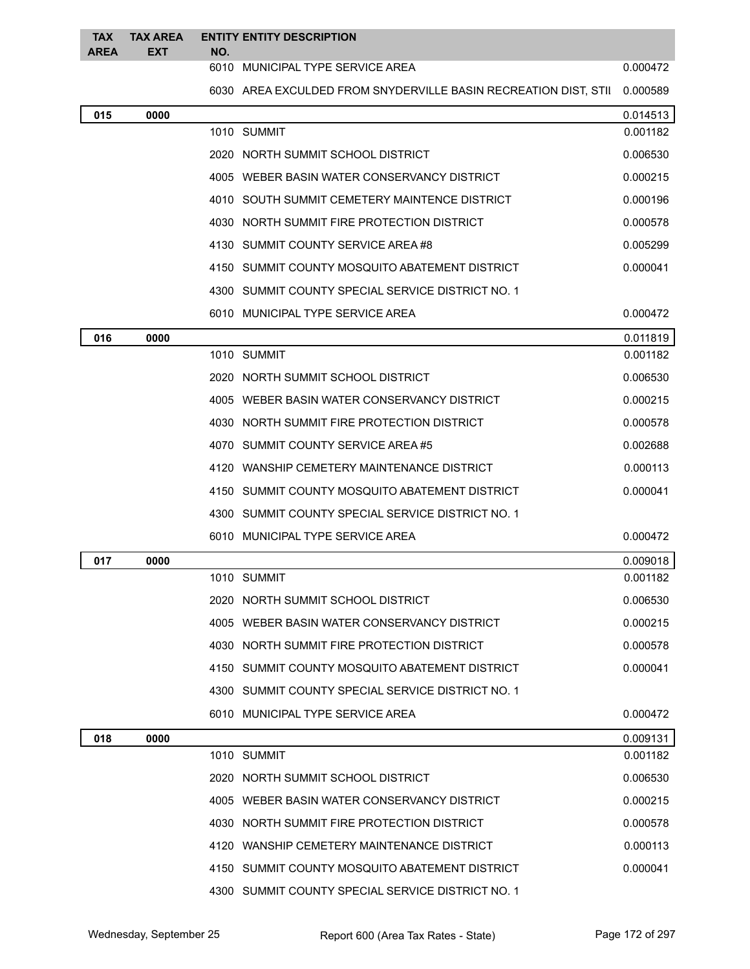| <b>TAX</b><br><b>AREA</b> | <b>TAX AREA</b><br><b>EXT</b> | NO. | <b>ENTITY ENTITY DESCRIPTION</b>                                |          |
|---------------------------|-------------------------------|-----|-----------------------------------------------------------------|----------|
|                           |                               |     | 6010 MUNICIPAL TYPE SERVICE AREA                                | 0.000472 |
|                           |                               |     | 6030 AREA EXCULDED FROM SNYDERVILLE BASIN RECREATION DIST, STII | 0.000589 |
| 015                       | 0000                          |     |                                                                 | 0.014513 |
|                           |                               |     | 1010 SUMMIT                                                     | 0.001182 |
|                           |                               |     | 2020 NORTH SUMMIT SCHOOL DISTRICT                               | 0.006530 |
|                           |                               |     | 4005 WEBER BASIN WATER CONSERVANCY DISTRICT                     | 0.000215 |
|                           |                               |     | 4010 SOUTH SUMMIT CEMETERY MAINTENCE DISTRICT                   | 0.000196 |
|                           |                               |     | 4030 NORTH SUMMIT FIRE PROTECTION DISTRICT                      | 0.000578 |
|                           |                               |     | 4130 SUMMIT COUNTY SERVICE AREA #8                              | 0.005299 |
|                           |                               |     | 4150 SUMMIT COUNTY MOSQUITO ABATEMENT DISTRICT                  | 0.000041 |
|                           |                               |     | 4300 SUMMIT COUNTY SPECIAL SERVICE DISTRICT NO. 1               |          |
|                           |                               |     | 6010 MUNICIPAL TYPE SERVICE AREA                                | 0.000472 |
| 016                       | 0000                          |     |                                                                 | 0.011819 |
|                           |                               |     | 1010 SUMMIT                                                     | 0.001182 |
|                           |                               |     | 2020 NORTH SUMMIT SCHOOL DISTRICT                               | 0.006530 |
|                           |                               |     | 4005 WEBER BASIN WATER CONSERVANCY DISTRICT                     | 0.000215 |
|                           |                               |     | 4030 NORTH SUMMIT FIRE PROTECTION DISTRICT                      | 0.000578 |
|                           |                               |     | 4070 SUMMIT COUNTY SERVICE AREA #5                              | 0.002688 |
|                           |                               |     | 4120 WANSHIP CEMETERY MAINTENANCE DISTRICT                      | 0.000113 |
|                           |                               |     | 4150 SUMMIT COUNTY MOSQUITO ABATEMENT DISTRICT                  | 0.000041 |
|                           |                               |     | 4300 SUMMIT COUNTY SPECIAL SERVICE DISTRICT NO. 1               |          |
|                           |                               |     | 6010 MUNICIPAL TYPE SERVICE AREA                                | 0.000472 |
| 017                       | 0000                          |     |                                                                 | 0.009018 |
|                           |                               |     | 1010 SUMMIT                                                     | 0.001182 |
|                           |                               |     | 2020 NORTH SUMMIT SCHOOL DISTRICT                               | 0.006530 |
|                           |                               |     | 4005 WEBER BASIN WATER CONSERVANCY DISTRICT                     | 0.000215 |
|                           |                               |     | 4030 NORTH SUMMIT FIRE PROTECTION DISTRICT                      | 0.000578 |
|                           |                               |     | 4150 SUMMIT COUNTY MOSQUITO ABATEMENT DISTRICT                  | 0.000041 |
|                           |                               |     | 4300 SUMMIT COUNTY SPECIAL SERVICE DISTRICT NO. 1               |          |
|                           |                               |     | 6010 MUNICIPAL TYPE SERVICE AREA                                | 0.000472 |
| 018                       | 0000                          |     |                                                                 | 0.009131 |
|                           |                               |     | 1010 SUMMIT                                                     | 0.001182 |
|                           |                               |     | 2020 NORTH SUMMIT SCHOOL DISTRICT                               | 0.006530 |
|                           |                               |     | 4005 WEBER BASIN WATER CONSERVANCY DISTRICT                     | 0.000215 |
|                           |                               |     | 4030 NORTH SUMMIT FIRE PROTECTION DISTRICT                      | 0.000578 |
|                           |                               |     | 4120 WANSHIP CEMETERY MAINTENANCE DISTRICT                      | 0.000113 |
|                           |                               |     | 4150 SUMMIT COUNTY MOSQUITO ABATEMENT DISTRICT                  | 0.000041 |
|                           |                               |     | 4300 SUMMIT COUNTY SPECIAL SERVICE DISTRICT NO. 1               |          |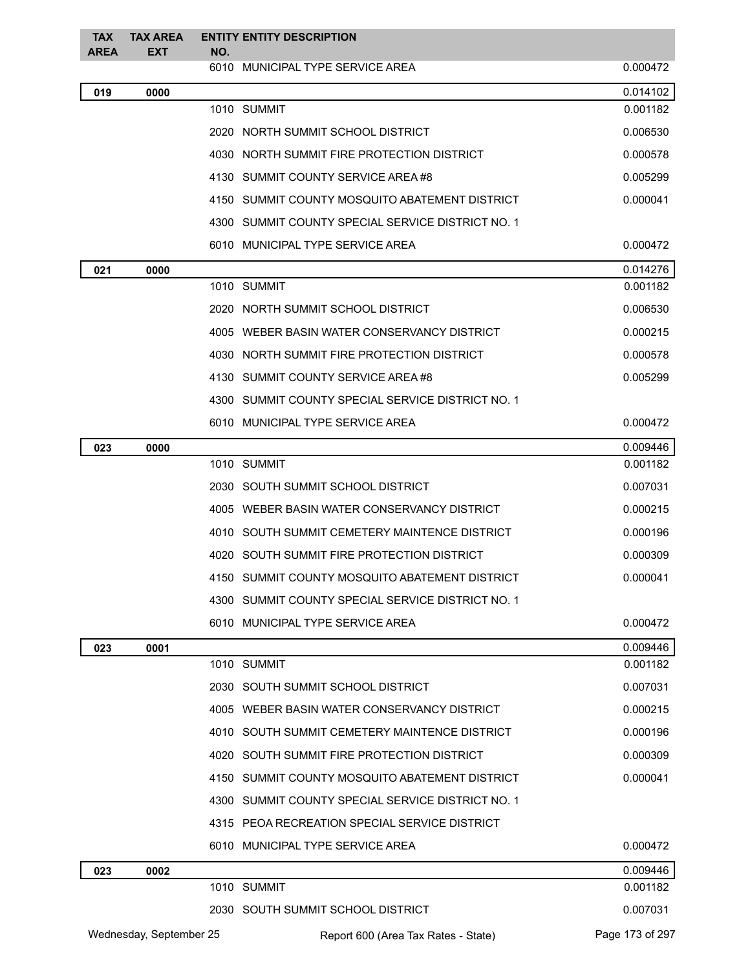| <b>TAX</b><br><b>AREA</b> | <b>TAX AREA</b><br><b>EXT</b> | NO. | <b>ENTITY ENTITY DESCRIPTION</b>                  |                 |
|---------------------------|-------------------------------|-----|---------------------------------------------------|-----------------|
|                           |                               |     | 6010 MUNICIPAL TYPE SERVICE AREA                  | 0.000472        |
| 019                       | 0000                          |     |                                                   | 0.014102        |
|                           |                               |     | 1010 SUMMIT                                       | 0.001182        |
|                           |                               |     | 2020 NORTH SUMMIT SCHOOL DISTRICT                 | 0.006530        |
|                           |                               |     | 4030 NORTH SUMMIT FIRE PROTECTION DISTRICT        | 0.000578        |
|                           |                               |     | 4130 SUMMIT COUNTY SERVICE AREA #8                | 0.005299        |
|                           |                               |     | 4150 SUMMIT COUNTY MOSQUITO ABATEMENT DISTRICT    | 0.000041        |
|                           |                               |     | 4300 SUMMIT COUNTY SPECIAL SERVICE DISTRICT NO. 1 |                 |
|                           |                               |     | 6010 MUNICIPAL TYPE SERVICE AREA                  | 0.000472        |
| 021                       | 0000                          |     |                                                   | 0.014276        |
|                           |                               |     | 1010 SUMMIT                                       | 0.001182        |
|                           |                               |     | 2020 NORTH SUMMIT SCHOOL DISTRICT                 | 0.006530        |
|                           |                               |     | 4005 WEBER BASIN WATER CONSERVANCY DISTRICT       | 0.000215        |
|                           |                               |     | 4030 NORTH SUMMIT FIRE PROTECTION DISTRICT        | 0.000578        |
|                           |                               |     | 4130 SUMMIT COUNTY SERVICE AREA #8                | 0.005299        |
|                           |                               |     | 4300 SUMMIT COUNTY SPECIAL SERVICE DISTRICT NO. 1 |                 |
|                           |                               |     | 6010 MUNICIPAL TYPE SERVICE AREA                  | 0.000472        |
| 023                       | 0000                          |     |                                                   | 0.009446        |
|                           |                               |     | 1010 SUMMIT                                       | 0.001182        |
|                           |                               |     | 2030 SOUTH SUMMIT SCHOOL DISTRICT                 | 0.007031        |
|                           |                               |     | 4005 WEBER BASIN WATER CONSERVANCY DISTRICT       | 0.000215        |
|                           |                               |     | 4010 SOUTH SUMMIT CEMETERY MAINTENCE DISTRICT     | 0.000196        |
|                           |                               |     | 4020 SOUTH SUMMIT FIRE PROTECTION DISTRICT        | 0.000309        |
|                           |                               |     | 4150 SUMMIT COUNTY MOSQUITO ABATEMENT DISTRICT    | 0.000041        |
|                           |                               |     | 4300 SUMMIT COUNTY SPECIAL SERVICE DISTRICT NO. 1 |                 |
|                           |                               |     | 6010 MUNICIPAL TYPE SERVICE AREA                  | 0.000472        |
| 023                       | 0001                          |     |                                                   | 0.009446        |
|                           |                               |     | 1010 SUMMIT                                       | 0.001182        |
|                           |                               |     | 2030 SOUTH SUMMIT SCHOOL DISTRICT                 | 0.007031        |
|                           |                               |     | 4005 WEBER BASIN WATER CONSERVANCY DISTRICT       | 0.000215        |
|                           |                               |     | 4010 SOUTH SUMMIT CEMETERY MAINTENCE DISTRICT     | 0.000196        |
|                           |                               |     | 4020 SOUTH SUMMIT FIRE PROTECTION DISTRICT        | 0.000309        |
|                           |                               |     | 4150 SUMMIT COUNTY MOSQUITO ABATEMENT DISTRICT    | 0.000041        |
|                           |                               |     | 4300 SUMMIT COUNTY SPECIAL SERVICE DISTRICT NO. 1 |                 |
|                           |                               |     | 4315 PEOA RECREATION SPECIAL SERVICE DISTRICT     |                 |
|                           |                               |     | 6010 MUNICIPAL TYPE SERVICE AREA                  | 0.000472        |
| 023                       | 0002                          |     |                                                   | 0.009446        |
|                           |                               |     | 1010 SUMMIT                                       | 0.001182        |
|                           |                               |     | 2030 SOUTH SUMMIT SCHOOL DISTRICT                 | 0.007031        |
|                           | Wednesday, September 25       |     | Report 600 (Area Tax Rates - State)               | Page 173 of 297 |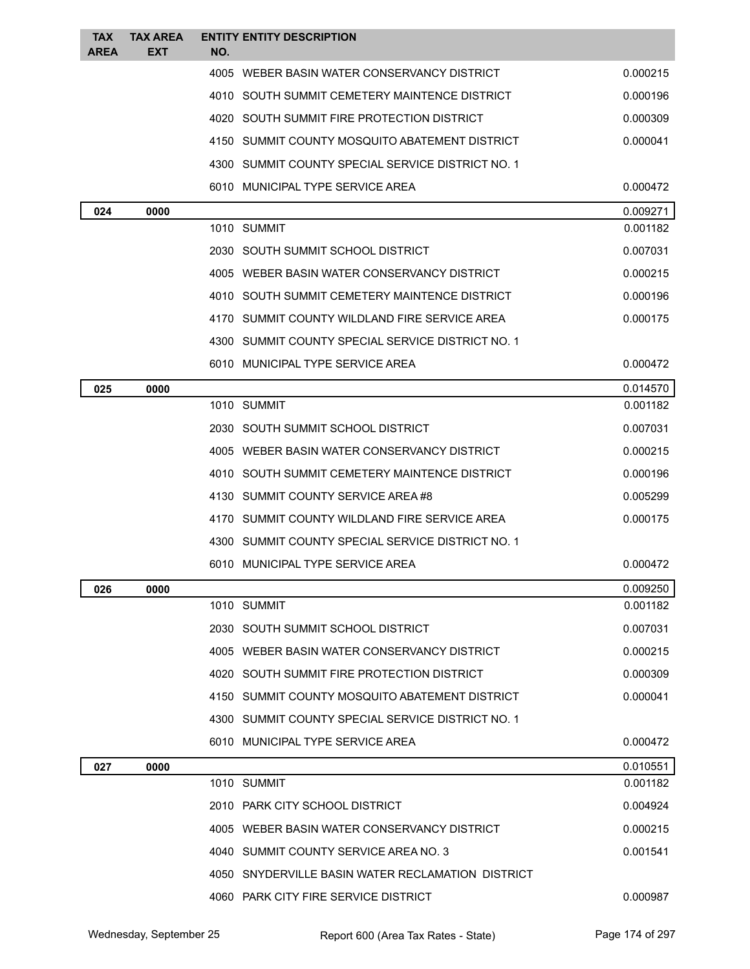| <b>TAX</b><br><b>AREA</b> | <b>TAX AREA</b><br><b>EXT</b> | <b>ENTITY ENTITY DESCRIPTION</b><br>NO.           |          |
|---------------------------|-------------------------------|---------------------------------------------------|----------|
|                           |                               | 4005 WEBER BASIN WATER CONSERVANCY DISTRICT       | 0.000215 |
|                           |                               | 4010 SOUTH SUMMIT CEMETERY MAINTENCE DISTRICT     | 0.000196 |
|                           |                               | 4020 SOUTH SUMMIT FIRE PROTECTION DISTRICT        | 0.000309 |
|                           |                               | 4150 SUMMIT COUNTY MOSQUITO ABATEMENT DISTRICT    | 0.000041 |
|                           |                               | 4300 SUMMIT COUNTY SPECIAL SERVICE DISTRICT NO. 1 |          |
|                           |                               | 6010 MUNICIPAL TYPE SERVICE AREA                  | 0.000472 |
| 024                       | 0000                          |                                                   | 0.009271 |
|                           |                               | 1010 SUMMIT                                       | 0.001182 |
|                           |                               | 2030 SOUTH SUMMIT SCHOOL DISTRICT                 | 0.007031 |
|                           |                               | 4005 WEBER BASIN WATER CONSERVANCY DISTRICT       | 0.000215 |
|                           |                               | 4010 SOUTH SUMMIT CEMETERY MAINTENCE DISTRICT     | 0.000196 |
|                           |                               | 4170 SUMMIT COUNTY WILDLAND FIRE SERVICE AREA     | 0.000175 |
|                           |                               | 4300 SUMMIT COUNTY SPECIAL SERVICE DISTRICT NO. 1 |          |
|                           |                               | 6010 MUNICIPAL TYPE SERVICE AREA                  | 0.000472 |
| 025                       | 0000                          |                                                   | 0.014570 |
|                           |                               | 1010 SUMMIT                                       | 0.001182 |
|                           |                               | 2030 SOUTH SUMMIT SCHOOL DISTRICT                 | 0.007031 |
|                           |                               | 4005 WEBER BASIN WATER CONSERVANCY DISTRICT       | 0.000215 |
|                           |                               | 4010 SOUTH SUMMIT CEMETERY MAINTENCE DISTRICT     | 0.000196 |
|                           |                               | 4130 SUMMIT COUNTY SERVICE AREA #8                | 0.005299 |
|                           |                               | 4170 SUMMIT COUNTY WILDLAND FIRE SERVICE AREA     | 0.000175 |
|                           |                               | 4300 SUMMIT COUNTY SPECIAL SERVICE DISTRICT NO. 1 |          |
|                           |                               | 6010 MUNICIPAL TYPE SERVICE AREA                  | 0.000472 |
| 026                       | 0000                          |                                                   | 0.009250 |
|                           |                               | 1010 SUMMIT                                       | 0.001182 |
|                           |                               | 2030 SOUTH SUMMIT SCHOOL DISTRICT                 | 0.007031 |
|                           |                               | 4005 WEBER BASIN WATER CONSERVANCY DISTRICT       | 0.000215 |
|                           |                               | 4020 SOUTH SUMMIT FIRE PROTECTION DISTRICT        | 0.000309 |
|                           |                               | 4150 SUMMIT COUNTY MOSQUITO ABATEMENT DISTRICT    | 0.000041 |
|                           |                               | 4300 SUMMIT COUNTY SPECIAL SERVICE DISTRICT NO. 1 |          |
|                           |                               | 6010 MUNICIPAL TYPE SERVICE AREA                  | 0.000472 |
| 027                       | 0000                          |                                                   | 0.010551 |
|                           |                               | 1010 SUMMIT                                       | 0.001182 |
|                           |                               | 2010 PARK CITY SCHOOL DISTRICT                    | 0.004924 |
|                           |                               | 4005 WEBER BASIN WATER CONSERVANCY DISTRICT       | 0.000215 |
|                           |                               | 4040 SUMMIT COUNTY SERVICE AREA NO. 3             | 0.001541 |
|                           |                               | 4050 SNYDERVILLE BASIN WATER RECLAMATION DISTRICT |          |
|                           |                               | 4060 PARK CITY FIRE SERVICE DISTRICT              | 0.000987 |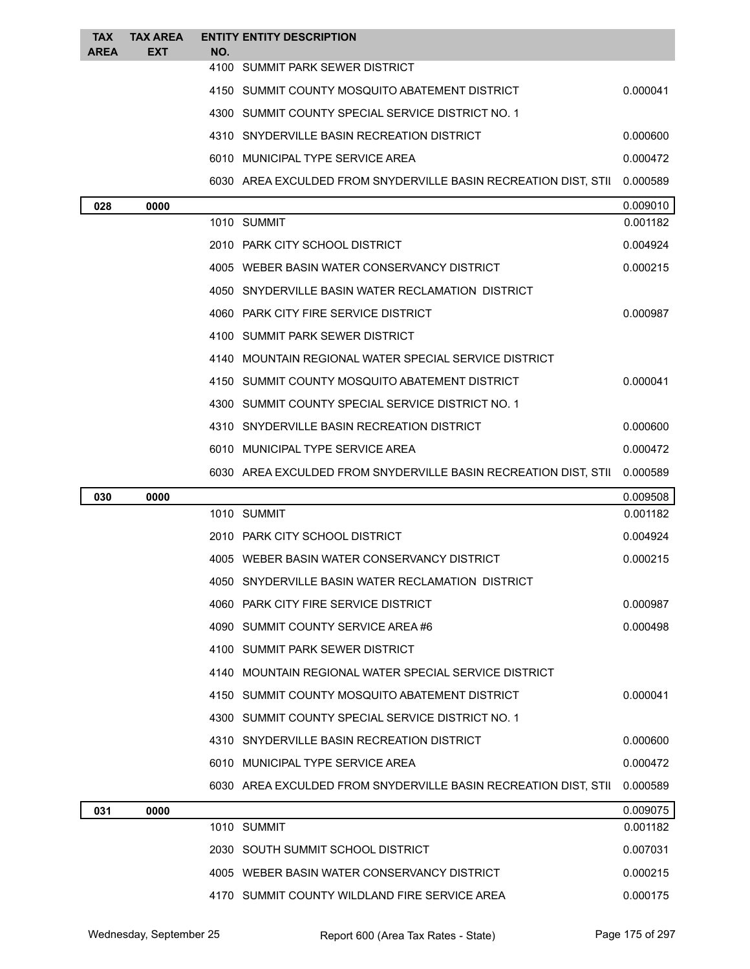| <b>TAX</b><br><b>AREA</b> | <b>TAX AREA</b><br><b>EXT</b> | NO. | <b>ENTITY ENTITY DESCRIPTION</b>                                |          |
|---------------------------|-------------------------------|-----|-----------------------------------------------------------------|----------|
|                           |                               |     | 4100 SUMMIT PARK SEWER DISTRICT                                 |          |
|                           |                               |     | 4150 SUMMIT COUNTY MOSQUITO ABATEMENT DISTRICT                  | 0.000041 |
|                           |                               |     | 4300 SUMMIT COUNTY SPECIAL SERVICE DISTRICT NO. 1               |          |
|                           |                               |     | 4310 SNYDERVILLE BASIN RECREATION DISTRICT                      | 0.000600 |
|                           |                               |     | 6010 MUNICIPAL TYPE SERVICE AREA                                | 0.000472 |
|                           |                               |     | 6030 AREA EXCULDED FROM SNYDERVILLE BASIN RECREATION DIST, STII | 0.000589 |
| 028                       | 0000                          |     |                                                                 | 0.009010 |
|                           |                               |     | 1010 SUMMIT                                                     | 0.001182 |
|                           |                               |     | 2010 PARK CITY SCHOOL DISTRICT                                  | 0.004924 |
|                           |                               |     | 4005 WEBER BASIN WATER CONSERVANCY DISTRICT                     | 0.000215 |
|                           |                               |     | 4050 SNYDERVILLE BASIN WATER RECLAMATION DISTRICT               |          |
|                           |                               |     | 4060 PARK CITY FIRE SERVICE DISTRICT                            | 0.000987 |
|                           |                               |     | 4100 SUMMIT PARK SEWER DISTRICT                                 |          |
|                           |                               |     | 4140 MOUNTAIN REGIONAL WATER SPECIAL SERVICE DISTRICT           |          |
|                           |                               |     | 4150 SUMMIT COUNTY MOSQUITO ABATEMENT DISTRICT                  | 0.000041 |
|                           |                               |     | 4300 SUMMIT COUNTY SPECIAL SERVICE DISTRICT NO. 1               |          |
|                           |                               |     | 4310 SNYDERVILLE BASIN RECREATION DISTRICT                      | 0.000600 |
|                           |                               |     | 6010 MUNICIPAL TYPE SERVICE AREA                                | 0.000472 |
|                           |                               |     | 6030 AREA EXCULDED FROM SNYDERVILLE BASIN RECREATION DIST, STII | 0.000589 |
| 030                       | 0000                          |     |                                                                 | 0.009508 |
|                           |                               |     | 1010 SUMMIT                                                     | 0.001182 |
|                           |                               |     | 2010 PARK CITY SCHOOL DISTRICT                                  | 0.004924 |
|                           |                               |     | 4005 WEBER BASIN WATER CONSERVANCY DISTRICT                     | 0.000215 |
|                           |                               |     | 4050 SNYDERVILLE BASIN WATER RECLAMATION DISTRICT               |          |
|                           |                               |     | 4060 PARK CITY FIRE SERVICE DISTRICT                            | 0.000987 |
|                           |                               |     | 4090 SUMMIT COUNTY SERVICE AREA #6                              | 0.000498 |
|                           |                               |     | 4100 SUMMIT PARK SEWER DISTRICT                                 |          |
|                           |                               |     | 4140 MOUNTAIN REGIONAL WATER SPECIAL SERVICE DISTRICT           |          |
|                           |                               |     | 4150 SUMMIT COUNTY MOSQUITO ABATEMENT DISTRICT                  | 0.000041 |
|                           |                               |     | 4300 SUMMIT COUNTY SPECIAL SERVICE DISTRICT NO. 1               |          |
|                           |                               |     | 4310 SNYDERVILLE BASIN RECREATION DISTRICT                      | 0.000600 |
|                           |                               |     | 6010 MUNICIPAL TYPE SERVICE AREA                                | 0.000472 |
|                           |                               |     | 6030 AREA EXCULDED FROM SNYDERVILLE BASIN RECREATION DIST, STII | 0.000589 |
| 031                       | 0000                          |     |                                                                 | 0.009075 |
|                           |                               |     | 1010 SUMMIT                                                     | 0.001182 |
|                           |                               |     | 2030 SOUTH SUMMIT SCHOOL DISTRICT                               | 0.007031 |
|                           |                               |     | 4005 WEBER BASIN WATER CONSERVANCY DISTRICT                     | 0.000215 |
|                           |                               |     |                                                                 |          |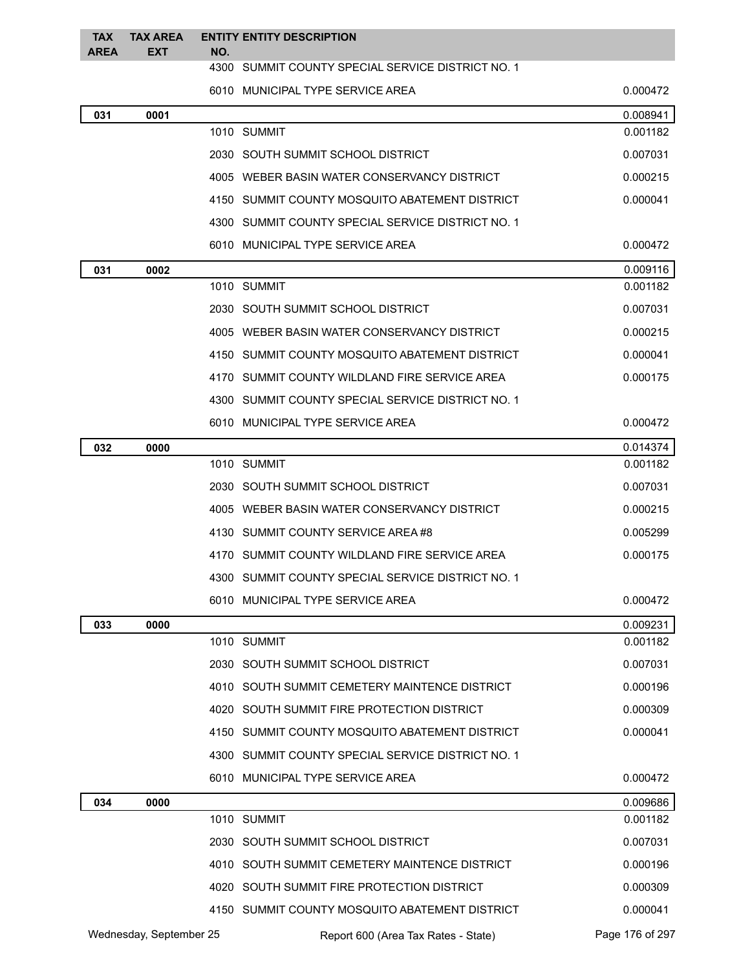| <b>TAX</b>  | <b>TAX AREA</b> |     | <b>ENTITY ENTITY DESCRIPTION</b>                  |          |
|-------------|-----------------|-----|---------------------------------------------------|----------|
| <b>AREA</b> | <b>EXT</b>      | NO. | 4300 SUMMIT COUNTY SPECIAL SERVICE DISTRICT NO. 1 |          |
|             |                 |     | 6010 MUNICIPAL TYPE SERVICE AREA                  | 0.000472 |
| 031         | 0001            |     |                                                   | 0.008941 |
|             |                 |     | 1010 SUMMIT                                       | 0.001182 |
|             |                 |     | 2030 SOUTH SUMMIT SCHOOL DISTRICT                 | 0.007031 |
|             |                 |     | 4005 WEBER BASIN WATER CONSERVANCY DISTRICT       | 0.000215 |
|             |                 |     | 4150 SUMMIT COUNTY MOSQUITO ABATEMENT DISTRICT    | 0.000041 |
|             |                 |     | 4300 SUMMIT COUNTY SPECIAL SERVICE DISTRICT NO. 1 |          |
|             |                 |     | 6010 MUNICIPAL TYPE SERVICE AREA                  | 0.000472 |
| 031         | 0002            |     |                                                   | 0.009116 |
|             |                 |     | 1010 SUMMIT                                       | 0.001182 |
|             |                 |     | 2030 SOUTH SUMMIT SCHOOL DISTRICT                 | 0.007031 |
|             |                 |     | 4005 WEBER BASIN WATER CONSERVANCY DISTRICT       | 0.000215 |
|             |                 |     | 4150 SUMMIT COUNTY MOSQUITO ABATEMENT DISTRICT    | 0.000041 |
|             |                 |     | 4170 SUMMIT COUNTY WILDLAND FIRE SERVICE AREA     | 0.000175 |
|             |                 |     | 4300 SUMMIT COUNTY SPECIAL SERVICE DISTRICT NO. 1 |          |
|             |                 |     | 6010 MUNICIPAL TYPE SERVICE AREA                  | 0.000472 |
| 032         | 0000            |     |                                                   | 0.014374 |
|             |                 |     | 1010 SUMMIT                                       | 0.001182 |
|             |                 |     | 2030 SOUTH SUMMIT SCHOOL DISTRICT                 | 0.007031 |
|             |                 |     | 4005 WEBER BASIN WATER CONSERVANCY DISTRICT       | 0.000215 |
|             |                 |     | 4130 SUMMIT COUNTY SERVICE AREA #8                | 0.005299 |
|             |                 |     | 4170 SUMMIT COUNTY WILDLAND FIRE SERVICE AREA     | 0.000175 |
|             |                 |     | 4300 SUMMIT COUNTY SPECIAL SERVICE DISTRICT NO. 1 |          |
|             |                 |     | 6010 MUNICIPAL TYPE SERVICE AREA                  | 0.000472 |
| 033         | 0000            |     |                                                   | 0.009231 |
|             |                 |     | 1010 SUMMIT                                       | 0.001182 |
|             |                 |     | 2030 SOUTH SUMMIT SCHOOL DISTRICT                 | 0.007031 |
|             |                 |     | 4010 SOUTH SUMMIT CEMETERY MAINTENCE DISTRICT     | 0.000196 |
|             |                 |     | 4020 SOUTH SUMMIT FIRE PROTECTION DISTRICT        | 0.000309 |
|             |                 |     | 4150 SUMMIT COUNTY MOSQUITO ABATEMENT DISTRICT    | 0.000041 |
|             |                 |     | 4300 SUMMIT COUNTY SPECIAL SERVICE DISTRICT NO. 1 |          |
|             |                 |     | 6010 MUNICIPAL TYPE SERVICE AREA                  | 0.000472 |
| 034         | 0000            |     |                                                   | 0.009686 |
|             |                 |     | 1010 SUMMIT                                       | 0.001182 |
|             |                 |     | 2030 SOUTH SUMMIT SCHOOL DISTRICT                 | 0.007031 |
|             |                 |     | 4010 SOUTH SUMMIT CEMETERY MAINTENCE DISTRICT     | 0.000196 |
|             |                 |     | 4020 SOUTH SUMMIT FIRE PROTECTION DISTRICT        | 0.000309 |
|             |                 |     | 4150 SUMMIT COUNTY MOSQUITO ABATEMENT DISTRICT    | 0.000041 |

Wednesday, September 25 Report 600 (Area Tax Rates - State) Page 176 of 297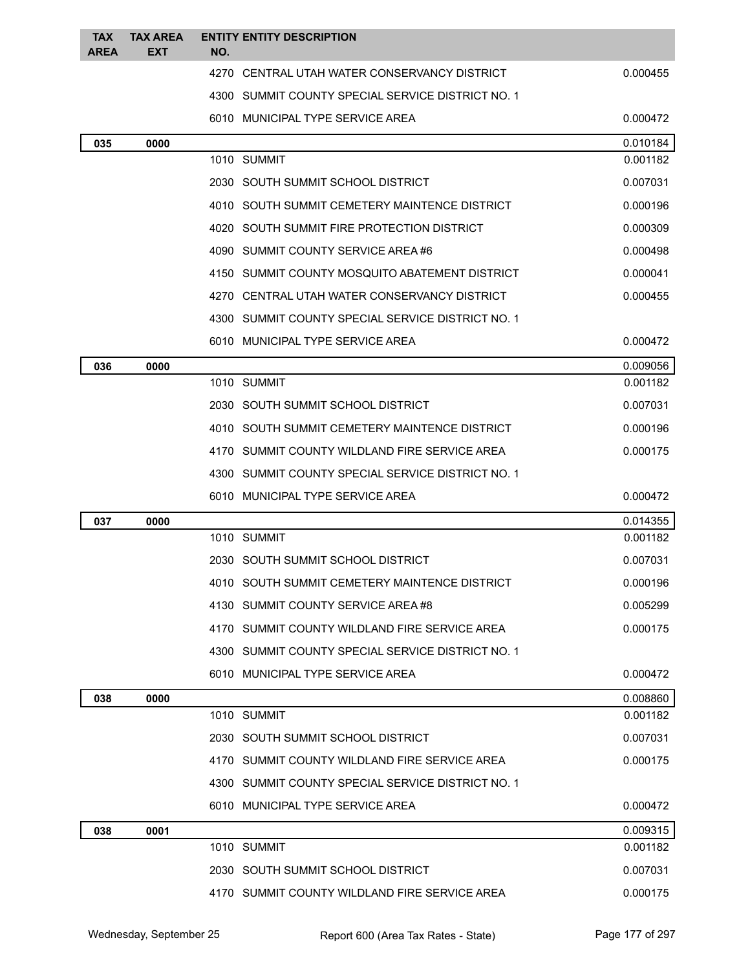| <b>TAX</b><br><b>AREA</b> | <b>TAX AREA</b><br><b>EXT</b> | NO. | <b>ENTITY ENTITY DESCRIPTION</b>                  |          |
|---------------------------|-------------------------------|-----|---------------------------------------------------|----------|
|                           |                               |     | 4270 CENTRAL UTAH WATER CONSERVANCY DISTRICT      | 0.000455 |
|                           |                               |     | 4300 SUMMIT COUNTY SPECIAL SERVICE DISTRICT NO. 1 |          |
|                           |                               |     | 6010 MUNICIPAL TYPE SERVICE AREA                  | 0.000472 |
| 035                       | 0000                          |     |                                                   | 0.010184 |
|                           |                               |     | 1010 SUMMIT                                       | 0.001182 |
|                           |                               |     | 2030 SOUTH SUMMIT SCHOOL DISTRICT                 | 0.007031 |
|                           |                               |     | 4010 SOUTH SUMMIT CEMETERY MAINTENCE DISTRICT     | 0.000196 |
|                           |                               |     | 4020 SOUTH SUMMIT FIRE PROTECTION DISTRICT        | 0.000309 |
|                           |                               |     | 4090 SUMMIT COUNTY SERVICE AREA #6                | 0.000498 |
|                           |                               |     | 4150 SUMMIT COUNTY MOSQUITO ABATEMENT DISTRICT    | 0.000041 |
|                           |                               |     | 4270 CENTRAL UTAH WATER CONSERVANCY DISTRICT      | 0.000455 |
|                           |                               |     | 4300 SUMMIT COUNTY SPECIAL SERVICE DISTRICT NO. 1 |          |
|                           |                               |     | 6010 MUNICIPAL TYPE SERVICE AREA                  | 0.000472 |
| 036                       | 0000                          |     |                                                   | 0.009056 |
|                           |                               |     | 1010 SUMMIT                                       | 0.001182 |
|                           |                               |     | 2030 SOUTH SUMMIT SCHOOL DISTRICT                 | 0.007031 |
|                           |                               |     | 4010 SOUTH SUMMIT CEMETERY MAINTENCE DISTRICT     | 0.000196 |
|                           |                               |     | 4170 SUMMIT COUNTY WILDLAND FIRE SERVICE AREA     | 0.000175 |
|                           |                               |     | 4300 SUMMIT COUNTY SPECIAL SERVICE DISTRICT NO. 1 |          |
|                           |                               |     | 6010 MUNICIPAL TYPE SERVICE AREA                  | 0.000472 |
| 037                       | 0000                          |     |                                                   | 0.014355 |
|                           |                               |     | 1010 SUMMIT                                       | 0.001182 |
|                           |                               |     | 2030 SOUTH SUMMIT SCHOOL DISTRICT                 | 0.007031 |
|                           |                               |     | 4010 SOUTH SUMMIT CEMETERY MAINTENCE DISTRICT     | 0.000196 |
|                           |                               |     | 4130 SUMMIT COUNTY SERVICE AREA #8                | 0.005299 |
|                           |                               |     | 4170 SUMMIT COUNTY WILDLAND FIRE SERVICE AREA     | 0.000175 |
|                           |                               |     | 4300 SUMMIT COUNTY SPECIAL SERVICE DISTRICT NO. 1 |          |
|                           |                               |     | 6010 MUNICIPAL TYPE SERVICE AREA                  | 0.000472 |
| 038                       | 0000                          |     |                                                   | 0.008860 |
|                           |                               |     | 1010 SUMMIT                                       | 0.001182 |
|                           |                               |     | 2030 SOUTH SUMMIT SCHOOL DISTRICT                 | 0.007031 |
|                           |                               |     | 4170 SUMMIT COUNTY WILDLAND FIRE SERVICE AREA     | 0.000175 |
|                           |                               |     | 4300 SUMMIT COUNTY SPECIAL SERVICE DISTRICT NO. 1 |          |
|                           |                               |     | 6010 MUNICIPAL TYPE SERVICE AREA                  | 0.000472 |
| 038                       | 0001                          |     |                                                   | 0.009315 |
|                           |                               |     | 1010 SUMMIT                                       | 0.001182 |
|                           |                               |     | 2030 SOUTH SUMMIT SCHOOL DISTRICT                 | 0.007031 |
|                           |                               |     | 4170 SUMMIT COUNTY WILDLAND FIRE SERVICE AREA     | 0.000175 |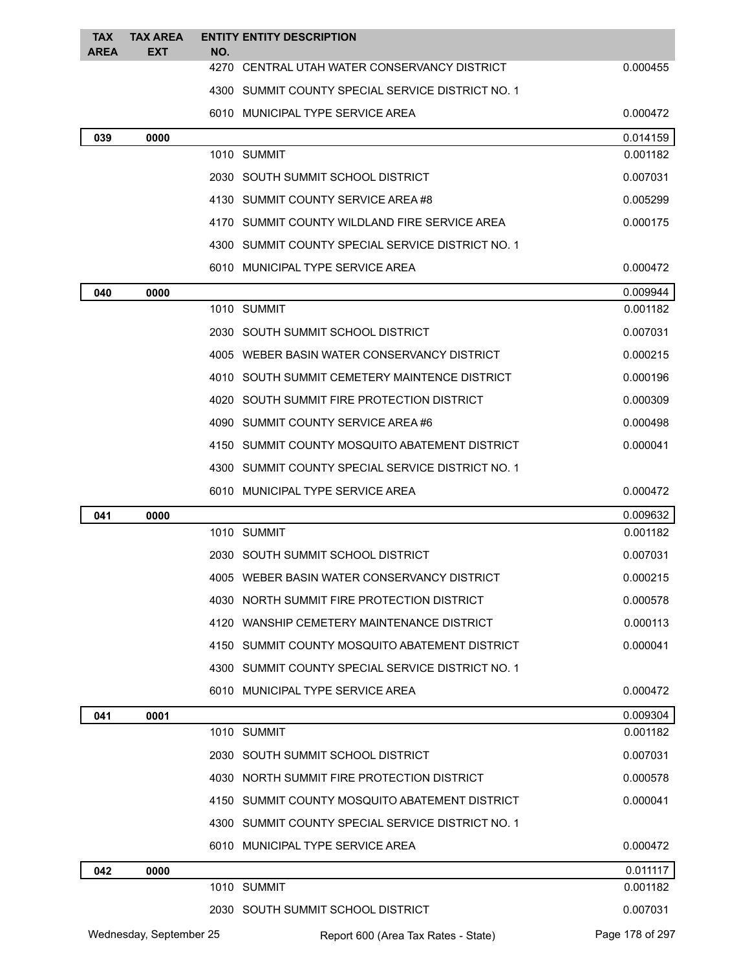| <b>TAX</b><br><b>AREA</b> | <b>TAX AREA</b><br><b>EXT</b> | NO. | <b>ENTITY ENTITY DESCRIPTION</b>                  |                 |
|---------------------------|-------------------------------|-----|---------------------------------------------------|-----------------|
|                           |                               |     | 4270 CENTRAL UTAH WATER CONSERVANCY DISTRICT      | 0.000455        |
|                           |                               |     | 4300 SUMMIT COUNTY SPECIAL SERVICE DISTRICT NO. 1 |                 |
|                           |                               |     | 6010 MUNICIPAL TYPE SERVICE AREA                  | 0.000472        |
| 039                       | 0000                          |     |                                                   | 0.014159        |
|                           |                               |     | 1010 SUMMIT                                       | 0.001182        |
|                           |                               |     | 2030 SOUTH SUMMIT SCHOOL DISTRICT                 | 0.007031        |
|                           |                               |     | 4130 SUMMIT COUNTY SERVICE AREA #8                | 0.005299        |
|                           |                               |     | 4170 SUMMIT COUNTY WILDLAND FIRE SERVICE AREA     | 0.000175        |
|                           |                               |     | 4300 SUMMIT COUNTY SPECIAL SERVICE DISTRICT NO. 1 |                 |
|                           |                               |     | 6010 MUNICIPAL TYPE SERVICE AREA                  | 0.000472        |
| 040                       | 0000                          |     |                                                   | 0.009944        |
|                           |                               |     | 1010 SUMMIT                                       | 0.001182        |
|                           |                               |     | 2030 SOUTH SUMMIT SCHOOL DISTRICT                 | 0.007031        |
|                           |                               |     | 4005 WEBER BASIN WATER CONSERVANCY DISTRICT       | 0.000215        |
|                           |                               |     | 4010 SOUTH SUMMIT CEMETERY MAINTENCE DISTRICT     | 0.000196        |
|                           |                               |     | 4020 SOUTH SUMMIT FIRE PROTECTION DISTRICT        | 0.000309        |
|                           |                               |     | 4090 SUMMIT COUNTY SERVICE AREA #6                | 0.000498        |
|                           |                               |     | 4150 SUMMIT COUNTY MOSQUITO ABATEMENT DISTRICT    | 0.000041        |
|                           |                               |     | 4300 SUMMIT COUNTY SPECIAL SERVICE DISTRICT NO. 1 |                 |
|                           |                               |     | 6010 MUNICIPAL TYPE SERVICE AREA                  | 0.000472        |
| 041                       | 0000                          |     |                                                   | 0.009632        |
|                           |                               |     | 1010 SUMMIT                                       | 0.001182        |
|                           |                               |     | 2030 SOUTH SUMMIT SCHOOL DISTRICT                 | 0.007031        |
|                           |                               |     | 4005 WEBER BASIN WATER CONSERVANCY DISTRICT       | 0.000215        |
|                           |                               |     | 4030 NORTH SUMMIT FIRE PROTECTION DISTRICT        | 0.000578        |
|                           |                               |     | 4120 WANSHIP CEMETERY MAINTENANCE DISTRICT        | 0.000113        |
|                           |                               |     | 4150 SUMMIT COUNTY MOSQUITO ABATEMENT DISTRICT    | 0.000041        |
|                           |                               |     | 4300 SUMMIT COUNTY SPECIAL SERVICE DISTRICT NO. 1 |                 |
|                           |                               |     | 6010 MUNICIPAL TYPE SERVICE AREA                  | 0.000472        |
| 041                       | 0001                          |     |                                                   | 0.009304        |
|                           |                               |     | 1010 SUMMIT                                       | 0.001182        |
|                           |                               |     | 2030 SOUTH SUMMIT SCHOOL DISTRICT                 | 0.007031        |
|                           |                               |     | 4030 NORTH SUMMIT FIRE PROTECTION DISTRICT        | 0.000578        |
|                           |                               |     | 4150 SUMMIT COUNTY MOSQUITO ABATEMENT DISTRICT    | 0.000041        |
|                           |                               |     | 4300 SUMMIT COUNTY SPECIAL SERVICE DISTRICT NO. 1 |                 |
|                           |                               |     | 6010 MUNICIPAL TYPE SERVICE AREA                  | 0.000472        |
| 042                       | 0000                          |     |                                                   | 0.011117        |
|                           |                               |     | 1010 SUMMIT                                       | 0.001182        |
|                           |                               |     | 2030 SOUTH SUMMIT SCHOOL DISTRICT                 | 0.007031        |
|                           | Wednesday, September 25       |     | Report 600 (Area Tax Rates - State)               | Page 178 of 297 |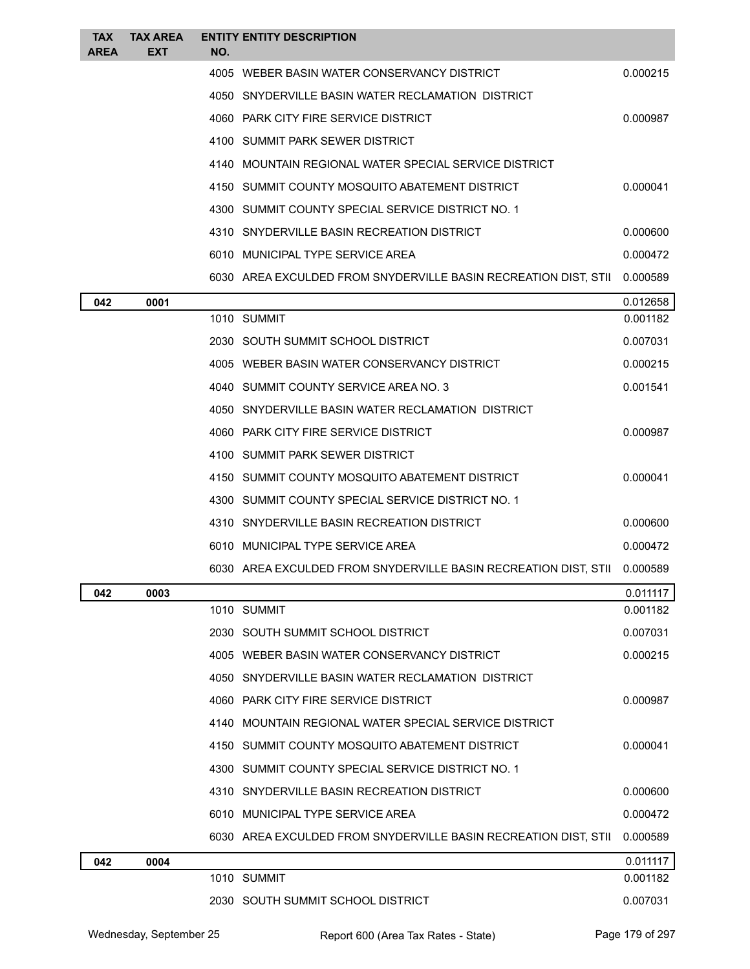| <b>TAX</b><br><b>AREA</b> | <b>TAX AREA</b><br>EXT | NO. | <b>ENTITY ENTITY DESCRIPTION</b>                                |          |
|---------------------------|------------------------|-----|-----------------------------------------------------------------|----------|
|                           |                        |     | 4005 WEBER BASIN WATER CONSERVANCY DISTRICT                     | 0.000215 |
|                           |                        |     | 4050 SNYDERVILLE BASIN WATER RECLAMATION DISTRICT               |          |
|                           |                        |     | 4060 PARK CITY FIRE SERVICE DISTRICT                            | 0.000987 |
|                           |                        |     | 4100 SUMMIT PARK SEWER DISTRICT                                 |          |
|                           |                        |     | 4140 MOUNTAIN REGIONAL WATER SPECIAL SERVICE DISTRICT           |          |
|                           |                        |     | 4150 SUMMIT COUNTY MOSQUITO ABATEMENT DISTRICT                  | 0.000041 |
|                           |                        |     | 4300 SUMMIT COUNTY SPECIAL SERVICE DISTRICT NO. 1               |          |
|                           |                        |     | 4310 SNYDERVILLE BASIN RECREATION DISTRICT                      | 0.000600 |
|                           |                        |     | 6010 MUNICIPAL TYPE SERVICE AREA                                | 0.000472 |
|                           |                        |     | 6030 AREA EXCULDED FROM SNYDERVILLE BASIN RECREATION DIST, STII | 0.000589 |
| 042                       | 0001                   |     |                                                                 | 0.012658 |
|                           |                        |     | 1010 SUMMIT                                                     | 0.001182 |
|                           |                        |     | 2030 SOUTH SUMMIT SCHOOL DISTRICT                               | 0.007031 |
|                           |                        |     | 4005 WEBER BASIN WATER CONSERVANCY DISTRICT                     | 0.000215 |
|                           |                        |     | 4040 SUMMIT COUNTY SERVICE AREA NO. 3                           | 0.001541 |
|                           |                        |     | 4050 SNYDERVILLE BASIN WATER RECLAMATION DISTRICT               |          |
|                           |                        |     | 4060 PARK CITY FIRE SERVICE DISTRICT                            | 0.000987 |
|                           |                        |     | 4100 SUMMIT PARK SEWER DISTRICT                                 |          |
|                           |                        |     | 4150 SUMMIT COUNTY MOSQUITO ABATEMENT DISTRICT                  | 0.000041 |
|                           |                        |     | 4300 SUMMIT COUNTY SPECIAL SERVICE DISTRICT NO. 1               |          |
|                           |                        |     | 4310 SNYDERVILLE BASIN RECREATION DISTRICT                      | 0.000600 |
|                           |                        |     | 6010 MUNICIPAL TYPE SERVICE AREA                                | 0.000472 |
|                           |                        |     | 6030 AREA EXCULDED FROM SNYDERVILLE BASIN RECREATION DIST, STII | 0.000589 |
| 042                       | 0003                   |     |                                                                 | 0.011117 |
|                           |                        |     | 1010 SUMMIT                                                     | 0.001182 |
|                           |                        |     | 2030 SOUTH SUMMIT SCHOOL DISTRICT                               | 0.007031 |
|                           |                        |     | 4005 WEBER BASIN WATER CONSERVANCY DISTRICT                     | 0.000215 |
|                           |                        |     | 4050 SNYDERVILLE BASIN WATER RECLAMATION DISTRICT               |          |
|                           |                        |     | 4060 PARK CITY FIRE SERVICE DISTRICT                            | 0.000987 |
|                           |                        |     | 4140 MOUNTAIN REGIONAL WATER SPECIAL SERVICE DISTRICT           |          |
|                           |                        |     | 4150 SUMMIT COUNTY MOSQUITO ABATEMENT DISTRICT                  | 0.000041 |
|                           |                        |     | 4300 SUMMIT COUNTY SPECIAL SERVICE DISTRICT NO. 1               |          |
|                           |                        |     | 4310 SNYDERVILLE BASIN RECREATION DISTRICT                      | 0.000600 |
|                           |                        |     | 6010 MUNICIPAL TYPE SERVICE AREA                                | 0.000472 |
|                           |                        |     | 6030 AREA EXCULDED FROM SNYDERVILLE BASIN RECREATION DIST, STII | 0.000589 |
| 042                       | 0004                   |     |                                                                 | 0.011117 |
|                           |                        |     | 1010 SUMMIT                                                     | 0.001182 |
|                           |                        |     | 2030 SOUTH SUMMIT SCHOOL DISTRICT                               | 0.007031 |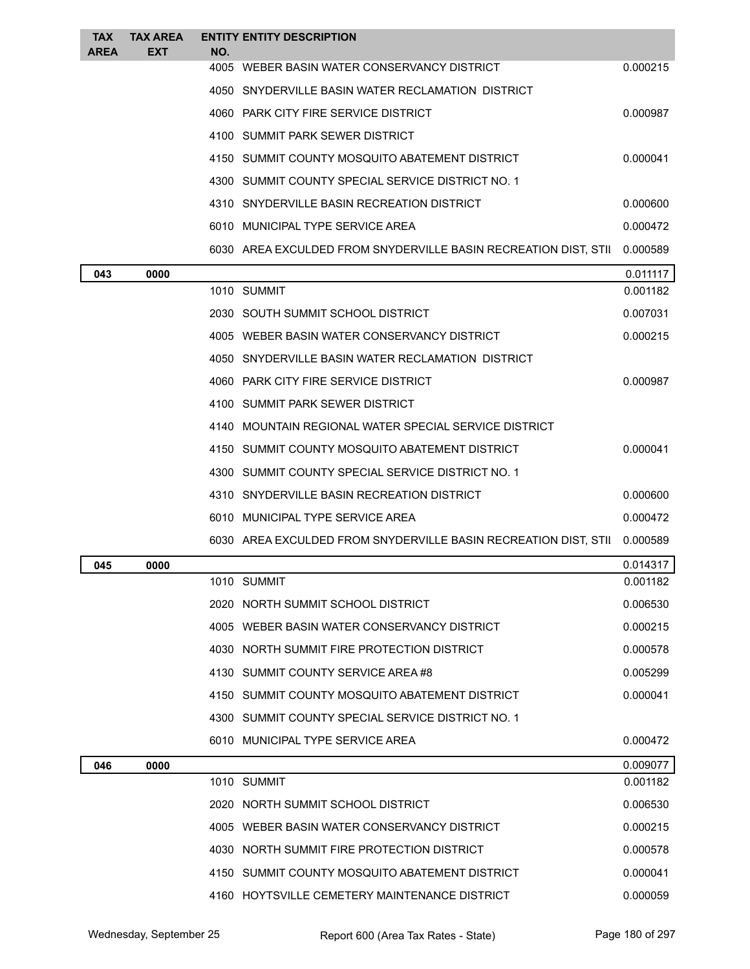| <b>TAX</b><br><b>AREA</b> | <b>TAX AREA</b><br><b>EXT</b> | NO. | <b>ENTITY ENTITY DESCRIPTION</b>                                |          |
|---------------------------|-------------------------------|-----|-----------------------------------------------------------------|----------|
|                           |                               |     | 4005 WEBER BASIN WATER CONSERVANCY DISTRICT                     | 0.000215 |
|                           |                               |     | 4050 SNYDERVILLE BASIN WATER RECLAMATION DISTRICT               |          |
|                           |                               |     | 4060 PARK CITY FIRE SERVICE DISTRICT                            | 0.000987 |
|                           |                               |     | 4100 SUMMIT PARK SEWER DISTRICT                                 |          |
|                           |                               |     | 4150 SUMMIT COUNTY MOSQUITO ABATEMENT DISTRICT                  | 0.000041 |
|                           |                               |     | 4300 SUMMIT COUNTY SPECIAL SERVICE DISTRICT NO. 1               |          |
|                           |                               |     | 4310 SNYDERVILLE BASIN RECREATION DISTRICT                      | 0.000600 |
|                           |                               |     | 6010 MUNICIPAL TYPE SERVICE AREA                                | 0.000472 |
|                           |                               |     | 6030 AREA EXCULDED FROM SNYDERVILLE BASIN RECREATION DIST, STII | 0.000589 |
| 043                       | 0000                          |     |                                                                 | 0.011117 |
|                           |                               |     | 1010 SUMMIT                                                     | 0.001182 |
|                           |                               |     | 2030 SOUTH SUMMIT SCHOOL DISTRICT                               | 0.007031 |
|                           |                               |     | 4005 WEBER BASIN WATER CONSERVANCY DISTRICT                     | 0.000215 |
|                           |                               |     | 4050 SNYDERVILLE BASIN WATER RECLAMATION DISTRICT               |          |
|                           |                               |     | 4060 PARK CITY FIRE SERVICE DISTRICT                            | 0.000987 |
|                           |                               |     | 4100 SUMMIT PARK SEWER DISTRICT                                 |          |
|                           |                               |     | 4140 MOUNTAIN REGIONAL WATER SPECIAL SERVICE DISTRICT           |          |
|                           |                               |     | 4150 SUMMIT COUNTY MOSQUITO ABATEMENT DISTRICT                  | 0.000041 |
|                           |                               |     | 4300 SUMMIT COUNTY SPECIAL SERVICE DISTRICT NO. 1               |          |
|                           |                               |     | 4310 SNYDERVILLE BASIN RECREATION DISTRICT                      | 0.000600 |
|                           |                               |     | 6010 MUNICIPAL TYPE SERVICE AREA                                | 0.000472 |
|                           |                               |     | 6030 AREA EXCULDED FROM SNYDERVILLE BASIN RECREATION DIST, STII | 0.000589 |
| 045                       | 0000                          |     |                                                                 | 0.014317 |
|                           |                               |     | 1010 SUMMIT                                                     | 0.001182 |
|                           |                               |     | 2020 NORTH SUMMIT SCHOOL DISTRICT                               | 0.006530 |
|                           |                               |     | 4005 WEBER BASIN WATER CONSERVANCY DISTRICT                     | 0.000215 |
|                           |                               |     | 4030 NORTH SUMMIT FIRE PROTECTION DISTRICT                      | 0.000578 |
|                           |                               |     | 4130 SUMMIT COUNTY SERVICE AREA#8                               | 0.005299 |
|                           |                               |     | 4150 SUMMIT COUNTY MOSQUITO ABATEMENT DISTRICT                  | 0.000041 |
|                           |                               |     | 4300 SUMMIT COUNTY SPECIAL SERVICE DISTRICT NO. 1               |          |
|                           |                               |     | 6010 MUNICIPAL TYPE SERVICE AREA                                | 0.000472 |
| 046                       | 0000                          |     |                                                                 | 0.009077 |
|                           |                               |     | 1010 SUMMIT                                                     | 0.001182 |
|                           |                               |     | 2020 NORTH SUMMIT SCHOOL DISTRICT                               | 0.006530 |
|                           |                               |     | 4005 WEBER BASIN WATER CONSERVANCY DISTRICT                     | 0.000215 |
|                           |                               |     | 4030 NORTH SUMMIT FIRE PROTECTION DISTRICT                      | 0.000578 |
|                           |                               |     | 4150 SUMMIT COUNTY MOSQUITO ABATEMENT DISTRICT                  | 0.000041 |
|                           |                               |     | 4160 HOYTSVILLE CEMETERY MAINTENANCE DISTRICT                   | 0.000059 |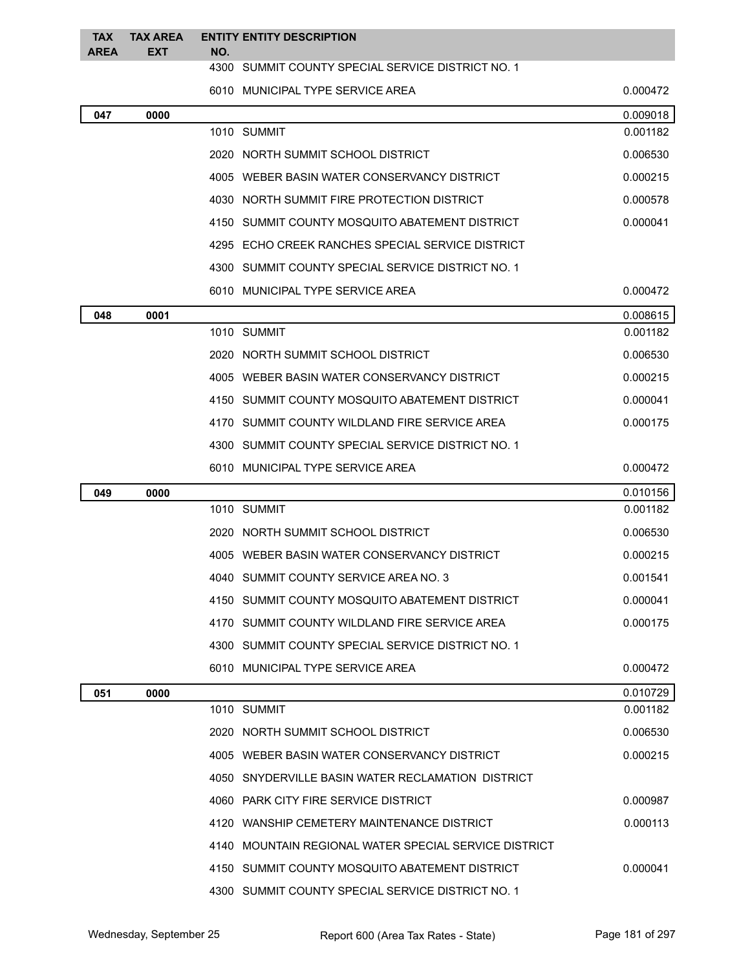| <b>TAX</b><br><b>AREA</b> | <b>TAX AREA</b><br><b>EXT</b> | NO. | <b>ENTITY ENTITY DESCRIPTION</b>                      |          |
|---------------------------|-------------------------------|-----|-------------------------------------------------------|----------|
|                           |                               |     | 4300 SUMMIT COUNTY SPECIAL SERVICE DISTRICT NO. 1     |          |
|                           |                               |     | 6010 MUNICIPAL TYPE SERVICE AREA                      | 0.000472 |
| 047                       | 0000                          |     |                                                       | 0.009018 |
|                           |                               |     | 1010 SUMMIT                                           | 0.001182 |
|                           |                               |     | 2020 NORTH SUMMIT SCHOOL DISTRICT                     | 0.006530 |
|                           |                               |     | 4005 WEBER BASIN WATER CONSERVANCY DISTRICT           | 0.000215 |
|                           |                               |     | 4030 NORTH SUMMIT FIRE PROTECTION DISTRICT            | 0.000578 |
|                           |                               |     | 4150 SUMMIT COUNTY MOSQUITO ABATEMENT DISTRICT        | 0.000041 |
|                           |                               |     | 4295 ECHO CREEK RANCHES SPECIAL SERVICE DISTRICT      |          |
|                           |                               |     | 4300 SUMMIT COUNTY SPECIAL SERVICE DISTRICT NO. 1     |          |
|                           |                               |     | 6010 MUNICIPAL TYPE SERVICE AREA                      | 0.000472 |
| 048                       | 0001                          |     |                                                       | 0.008615 |
|                           |                               |     | 1010 SUMMIT                                           | 0.001182 |
|                           |                               |     | 2020 NORTH SUMMIT SCHOOL DISTRICT                     | 0.006530 |
|                           |                               |     | 4005 WEBER BASIN WATER CONSERVANCY DISTRICT           | 0.000215 |
|                           |                               |     | 4150 SUMMIT COUNTY MOSQUITO ABATEMENT DISTRICT        | 0.000041 |
|                           |                               |     | 4170 SUMMIT COUNTY WILDLAND FIRE SERVICE AREA         | 0.000175 |
|                           |                               |     | 4300 SUMMIT COUNTY SPECIAL SERVICE DISTRICT NO. 1     |          |
|                           |                               |     | 6010 MUNICIPAL TYPE SERVICE AREA                      | 0.000472 |
| 049                       | 0000                          |     |                                                       | 0.010156 |
|                           |                               |     | 1010 SUMMIT                                           | 0.001182 |
|                           |                               |     | 2020 NORTH SUMMIT SCHOOL DISTRICT                     | 0.006530 |
|                           |                               |     | 4005 WEBER BASIN WATER CONSERVANCY DISTRICT           | 0.000215 |
|                           |                               |     | 4040 SUMMIT COUNTY SERVICE AREA NO. 3                 | 0.001541 |
|                           |                               |     | 4150 SUMMIT COUNTY MOSQUITO ABATEMENT DISTRICT        | 0.000041 |
|                           |                               |     | 4170 SUMMIT COUNTY WILDLAND FIRE SERVICE AREA         | 0.000175 |
|                           |                               |     | 4300 SUMMIT COUNTY SPECIAL SERVICE DISTRICT NO. 1     |          |
|                           |                               |     | 6010 MUNICIPAL TYPE SERVICE AREA                      | 0.000472 |
| 051                       | 0000                          |     |                                                       | 0.010729 |
|                           |                               |     | 1010 SUMMIT                                           | 0.001182 |
|                           |                               |     | 2020 NORTH SUMMIT SCHOOL DISTRICT                     | 0.006530 |
|                           |                               |     | 4005 WEBER BASIN WATER CONSERVANCY DISTRICT           | 0.000215 |
|                           |                               |     | 4050 SNYDERVILLE BASIN WATER RECLAMATION DISTRICT     |          |
|                           |                               |     | 4060 PARK CITY FIRE SERVICE DISTRICT                  | 0.000987 |
|                           |                               |     | 4120 WANSHIP CEMETERY MAINTENANCE DISTRICT            | 0.000113 |
|                           |                               |     | 4140 MOUNTAIN REGIONAL WATER SPECIAL SERVICE DISTRICT |          |
|                           |                               |     | 4150 SUMMIT COUNTY MOSQUITO ABATEMENT DISTRICT        | 0.000041 |
|                           |                               |     | 4300 SUMMIT COUNTY SPECIAL SERVICE DISTRICT NO. 1     |          |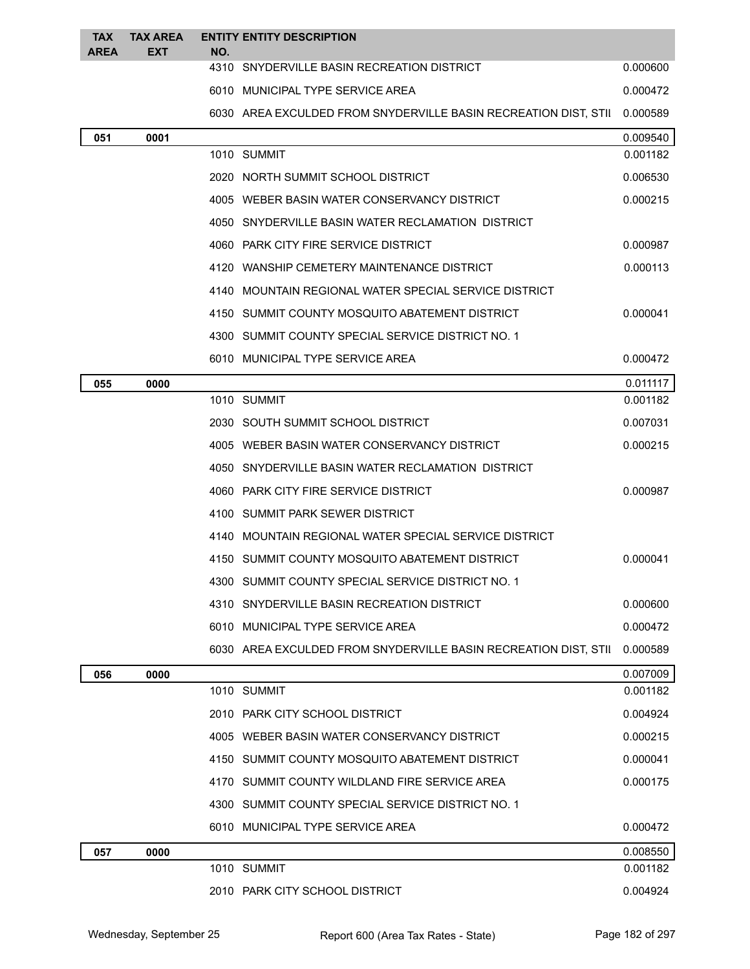| <b>TAX</b><br><b>AREA</b> | <b>TAX AREA</b><br><b>EXT</b> | NO. | <b>ENTITY ENTITY DESCRIPTION</b>                                |          |
|---------------------------|-------------------------------|-----|-----------------------------------------------------------------|----------|
|                           |                               |     | 4310 SNYDERVILLE BASIN RECREATION DISTRICT                      | 0.000600 |
|                           |                               |     | 6010 MUNICIPAL TYPE SERVICE AREA                                | 0.000472 |
|                           |                               |     | 6030 AREA EXCULDED FROM SNYDERVILLE BASIN RECREATION DIST, STII | 0.000589 |
| 051                       | 0001                          |     |                                                                 | 0.009540 |
|                           |                               |     | 1010 SUMMIT                                                     | 0.001182 |
|                           |                               |     | 2020 NORTH SUMMIT SCHOOL DISTRICT                               | 0.006530 |
|                           |                               |     | 4005 WEBER BASIN WATER CONSERVANCY DISTRICT                     | 0.000215 |
|                           |                               |     | 4050 SNYDERVILLE BASIN WATER RECLAMATION DISTRICT               |          |
|                           |                               |     | 4060 PARK CITY FIRE SERVICE DISTRICT                            | 0.000987 |
|                           |                               |     | 4120 WANSHIP CEMETERY MAINTENANCE DISTRICT                      | 0.000113 |
|                           |                               |     | 4140 MOUNTAIN REGIONAL WATER SPECIAL SERVICE DISTRICT           |          |
|                           |                               |     | 4150 SUMMIT COUNTY MOSQUITO ABATEMENT DISTRICT                  | 0.000041 |
|                           |                               |     | 4300 SUMMIT COUNTY SPECIAL SERVICE DISTRICT NO. 1               |          |
|                           |                               |     | 6010 MUNICIPAL TYPE SERVICE AREA                                | 0.000472 |
| 055                       | 0000                          |     |                                                                 | 0.011117 |
|                           |                               |     | 1010 SUMMIT                                                     | 0.001182 |
|                           |                               |     | 2030 SOUTH SUMMIT SCHOOL DISTRICT                               | 0.007031 |
|                           |                               |     | 4005 WEBER BASIN WATER CONSERVANCY DISTRICT                     | 0.000215 |
|                           |                               |     | 4050 SNYDERVILLE BASIN WATER RECLAMATION DISTRICT               |          |
|                           |                               |     | 4060 PARK CITY FIRE SERVICE DISTRICT                            | 0.000987 |
|                           |                               |     | 4100 SUMMIT PARK SEWER DISTRICT                                 |          |
|                           |                               |     | 4140 MOUNTAIN REGIONAL WATER SPECIAL SERVICE DISTRICT           |          |
|                           |                               |     | 4150 SUMMIT COUNTY MOSQUITO ABATEMENT DISTRICT                  | 0.000041 |
|                           |                               |     | 4300 SUMMIT COUNTY SPECIAL SERVICE DISTRICT NO. 1               |          |
|                           |                               |     | 4310 SNYDERVILLE BASIN RECREATION DISTRICT                      | 0.000600 |
|                           |                               |     | 6010 MUNICIPAL TYPE SERVICE AREA                                | 0.000472 |
|                           |                               |     | 6030 AREA EXCULDED FROM SNYDERVILLE BASIN RECREATION DIST, STII | 0.000589 |
| 056                       | 0000                          |     |                                                                 | 0.007009 |
|                           |                               |     | 1010 SUMMIT                                                     | 0.001182 |
|                           |                               |     | 2010 PARK CITY SCHOOL DISTRICT                                  | 0.004924 |
|                           |                               |     | 4005 WEBER BASIN WATER CONSERVANCY DISTRICT                     | 0.000215 |
|                           |                               |     | 4150 SUMMIT COUNTY MOSQUITO ABATEMENT DISTRICT                  | 0.000041 |
|                           |                               |     | 4170 SUMMIT COUNTY WILDLAND FIRE SERVICE AREA                   | 0.000175 |
|                           |                               |     | 4300 SUMMIT COUNTY SPECIAL SERVICE DISTRICT NO. 1               |          |
|                           |                               |     | 6010 MUNICIPAL TYPE SERVICE AREA                                | 0.000472 |
| 057                       | 0000                          |     |                                                                 | 0.008550 |
|                           |                               |     | 1010 SUMMIT                                                     | 0.001182 |
|                           |                               |     | 2010 PARK CITY SCHOOL DISTRICT                                  | 0.004924 |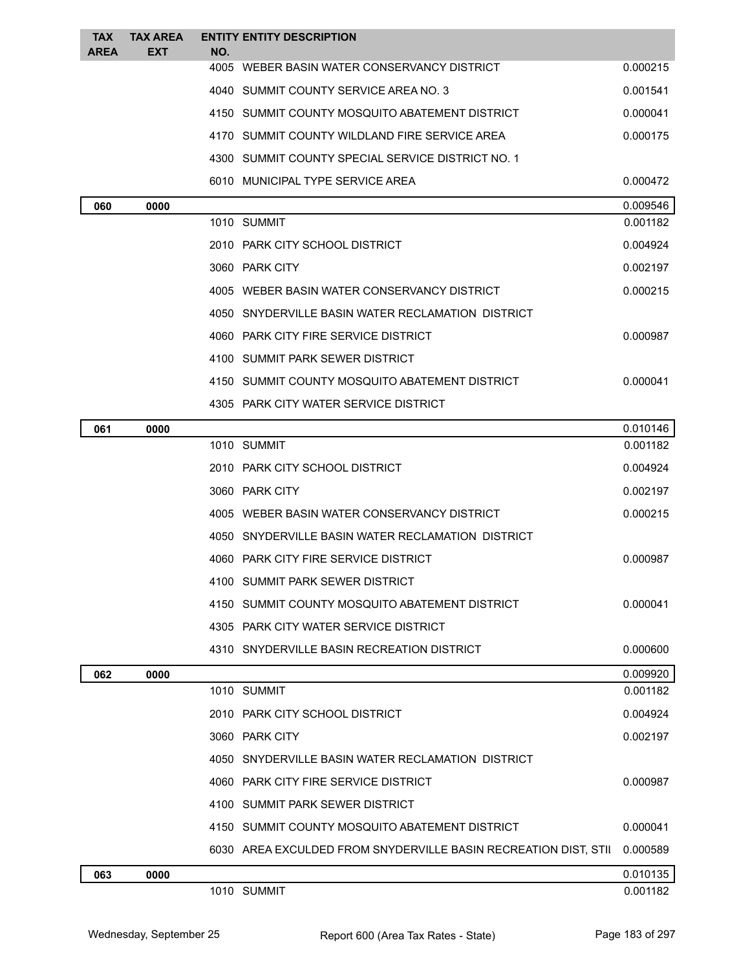| <b>TAX</b>  | <b>TAX AREA</b> | <b>ENTITY ENTITY DESCRIPTION</b>                                |          |
|-------------|-----------------|-----------------------------------------------------------------|----------|
| <b>AREA</b> | <b>EXT</b>      | NO.<br>4005 WEBER BASIN WATER CONSERVANCY DISTRICT              | 0.000215 |
|             |                 | 4040 SUMMIT COUNTY SERVICE AREA NO. 3                           | 0.001541 |
|             |                 | 4150 SUMMIT COUNTY MOSQUITO ABATEMENT DISTRICT                  | 0.000041 |
|             |                 | 4170 SUMMIT COUNTY WILDLAND FIRE SERVICE AREA                   | 0.000175 |
|             |                 | 4300 SUMMIT COUNTY SPECIAL SERVICE DISTRICT NO. 1               |          |
|             |                 | 6010 MUNICIPAL TYPE SERVICE AREA                                | 0.000472 |
| 060         | 0000            |                                                                 | 0.009546 |
|             |                 | 1010 SUMMIT                                                     | 0.001182 |
|             |                 | 2010 PARK CITY SCHOOL DISTRICT                                  | 0.004924 |
|             |                 | 3060 PARK CITY                                                  | 0.002197 |
|             |                 | 4005 WEBER BASIN WATER CONSERVANCY DISTRICT                     | 0.000215 |
|             |                 | 4050 SNYDERVILLE BASIN WATER RECLAMATION DISTRICT               |          |
|             |                 | 4060 PARK CITY FIRE SERVICE DISTRICT                            | 0.000987 |
|             |                 | 4100 SUMMIT PARK SEWER DISTRICT                                 |          |
|             |                 | 4150 SUMMIT COUNTY MOSQUITO ABATEMENT DISTRICT                  | 0.000041 |
|             |                 | 4305 PARK CITY WATER SERVICE DISTRICT                           |          |
| 061         | 0000            |                                                                 | 0.010146 |
|             |                 | 1010 SUMMIT                                                     | 0.001182 |
|             |                 | 2010 PARK CITY SCHOOL DISTRICT                                  | 0.004924 |
|             |                 | 3060 PARK CITY                                                  | 0.002197 |
|             |                 | 4005 WEBER BASIN WATER CONSERVANCY DISTRICT                     | 0.000215 |
|             |                 | 4050 SNYDERVILLE BASIN WATER RECLAMATION DISTRICT               |          |
|             |                 | 4060 PARK CITY FIRE SERVICE DISTRICT                            | 0.000987 |
|             |                 | 4100 SUMMIT PARK SEWER DISTRICT                                 |          |
|             |                 | 4150 SUMMIT COUNTY MOSQUITO ABATEMENT DISTRICT                  | 0.000041 |
|             |                 | 4305 PARK CITY WATER SERVICE DISTRICT                           |          |
|             |                 | 4310 SNYDERVILLE BASIN RECREATION DISTRICT                      | 0.000600 |
| 062         | 0000            |                                                                 | 0.009920 |
|             |                 | 1010 SUMMIT                                                     | 0.001182 |
|             |                 | 2010 PARK CITY SCHOOL DISTRICT                                  | 0.004924 |
|             |                 | 3060 PARK CITY                                                  | 0.002197 |
|             |                 | 4050 SNYDERVILLE BASIN WATER RECLAMATION DISTRICT               |          |
|             |                 | 4060 PARK CITY FIRE SERVICE DISTRICT                            | 0.000987 |
|             |                 | 4100 SUMMIT PARK SEWER DISTRICT                                 |          |
|             |                 | 4150 SUMMIT COUNTY MOSQUITO ABATEMENT DISTRICT                  | 0.000041 |
|             |                 | 6030 AREA EXCULDED FROM SNYDERVILLE BASIN RECREATION DIST, STII | 0.000589 |
| 063         | 0000            | 1010 SUMMIT                                                     | 0.010135 |
|             |                 |                                                                 | 0.001182 |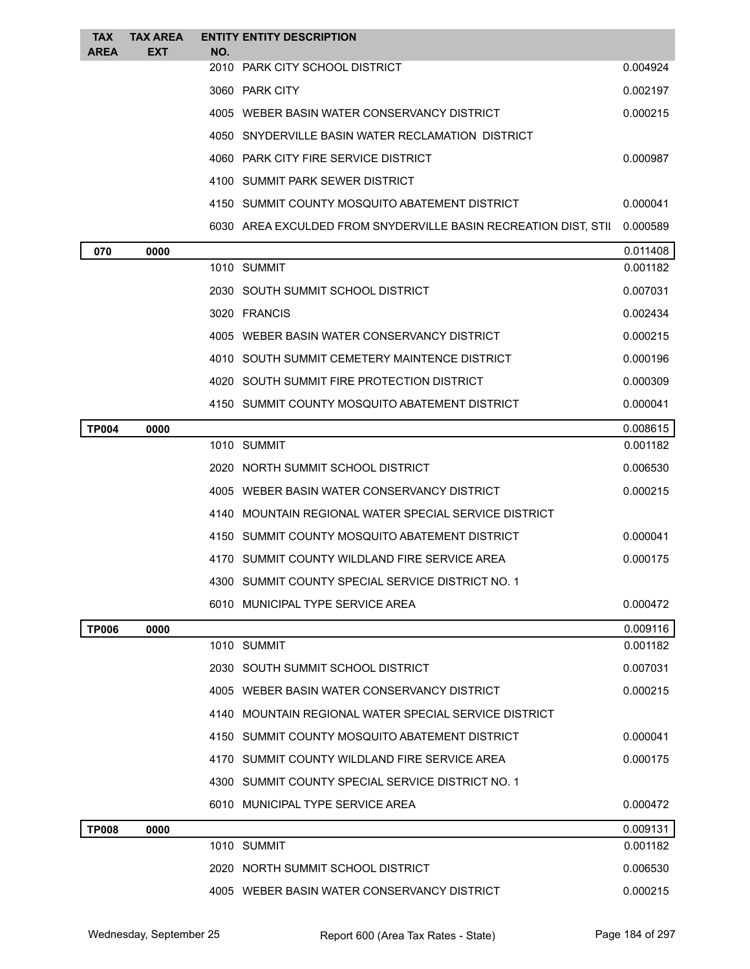| <b>TAX</b><br><b>AREA</b> | <b>TAX AREA</b><br>EXT | NO. | <b>ENTITY ENTITY DESCRIPTION</b>                                |          |
|---------------------------|------------------------|-----|-----------------------------------------------------------------|----------|
|                           |                        |     | 2010 PARK CITY SCHOOL DISTRICT                                  | 0.004924 |
|                           |                        |     | 3060 PARK CITY                                                  | 0.002197 |
|                           |                        |     | 4005 WEBER BASIN WATER CONSERVANCY DISTRICT                     | 0.000215 |
|                           |                        |     | 4050 SNYDERVILLE BASIN WATER RECLAMATION DISTRICT               |          |
|                           |                        |     | 4060 PARK CITY FIRE SERVICE DISTRICT                            | 0.000987 |
|                           |                        |     | 4100 SUMMIT PARK SEWER DISTRICT                                 |          |
|                           |                        |     | 4150 SUMMIT COUNTY MOSQUITO ABATEMENT DISTRICT                  | 0.000041 |
|                           |                        |     | 6030 AREA EXCULDED FROM SNYDERVILLE BASIN RECREATION DIST, STII | 0.000589 |
| 070                       | 0000                   |     |                                                                 | 0.011408 |
|                           |                        |     | 1010 SUMMIT                                                     | 0.001182 |
|                           |                        |     | 2030 SOUTH SUMMIT SCHOOL DISTRICT                               | 0.007031 |
|                           |                        |     | 3020 FRANCIS                                                    | 0.002434 |
|                           |                        |     | 4005 WEBER BASIN WATER CONSERVANCY DISTRICT                     | 0.000215 |
|                           |                        |     | 4010 SOUTH SUMMIT CEMETERY MAINTENCE DISTRICT                   | 0.000196 |
|                           |                        |     | 4020 SOUTH SUMMIT FIRE PROTECTION DISTRICT                      | 0.000309 |
|                           |                        |     | 4150 SUMMIT COUNTY MOSQUITO ABATEMENT DISTRICT                  | 0.000041 |
| <b>TP004</b>              | 0000                   |     |                                                                 | 0.008615 |
|                           |                        |     | 1010 SUMMIT                                                     | 0.001182 |
|                           |                        |     | 2020 NORTH SUMMIT SCHOOL DISTRICT                               | 0.006530 |
|                           |                        |     | 4005 WEBER BASIN WATER CONSERVANCY DISTRICT                     | 0.000215 |
|                           |                        |     | 4140 MOUNTAIN REGIONAL WATER SPECIAL SERVICE DISTRICT           |          |
|                           |                        |     | 4150 SUMMIT COUNTY MOSQUITO ABATEMENT DISTRICT                  | 0.000041 |
|                           |                        |     | 4170 SUMMIT COUNTY WILDLAND FIRE SERVICE AREA                   | 0.000175 |
|                           |                        |     | 4300 SUMMIT COUNTY SPECIAL SERVICE DISTRICT NO. 1               |          |
|                           |                        |     | 6010 MUNICIPAL TYPE SERVICE AREA                                | 0.000472 |
| <b>TP006</b>              | 0000                   |     |                                                                 | 0.009116 |
|                           |                        |     | 1010 SUMMIT                                                     | 0.001182 |
|                           |                        |     | 2030 SOUTH SUMMIT SCHOOL DISTRICT                               | 0.007031 |
|                           |                        |     | 4005 WEBER BASIN WATER CONSERVANCY DISTRICT                     | 0.000215 |
|                           |                        |     | 4140 MOUNTAIN REGIONAL WATER SPECIAL SERVICE DISTRICT           |          |
|                           |                        |     | 4150 SUMMIT COUNTY MOSQUITO ABATEMENT DISTRICT                  | 0.000041 |
|                           |                        |     | 4170 SUMMIT COUNTY WILDLAND FIRE SERVICE AREA                   | 0.000175 |
|                           |                        |     | 4300 SUMMIT COUNTY SPECIAL SERVICE DISTRICT NO. 1               |          |
|                           |                        |     | 6010 MUNICIPAL TYPE SERVICE AREA                                | 0.000472 |
| <b>TP008</b>              | 0000                   |     |                                                                 | 0.009131 |
|                           |                        |     | 1010 SUMMIT                                                     | 0.001182 |
|                           |                        |     | 2020 NORTH SUMMIT SCHOOL DISTRICT                               | 0.006530 |
|                           |                        |     | 4005 WEBER BASIN WATER CONSERVANCY DISTRICT                     | 0.000215 |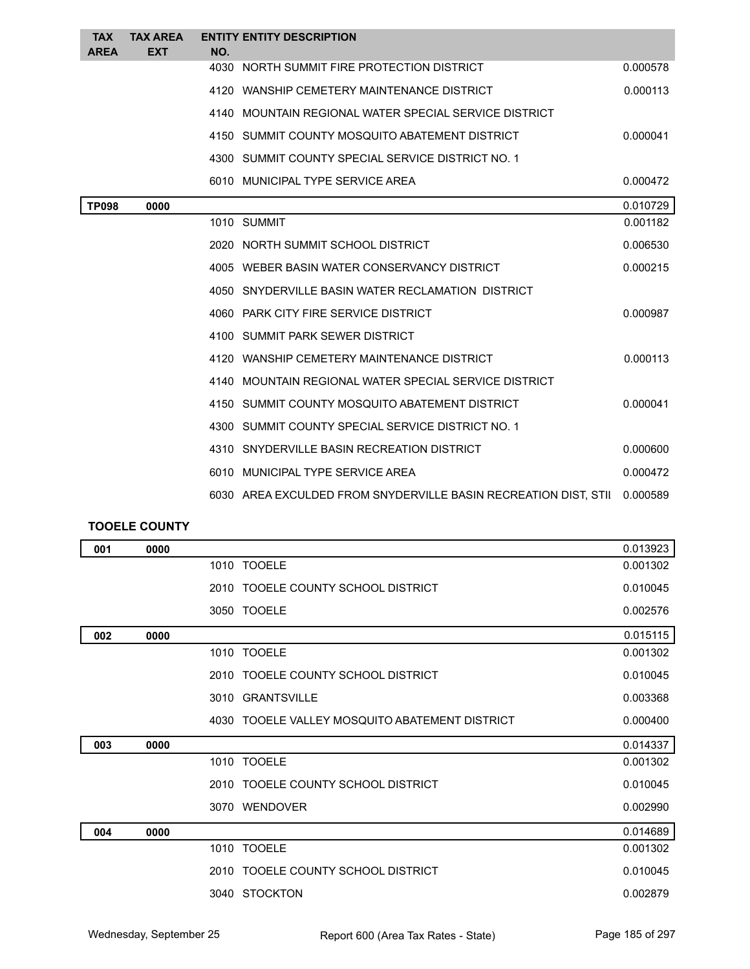| <b>TAX</b><br><b>AREA</b> | <b>TAX AREA</b><br><b>EXT</b> | NO. | <b>ENTITY ENTITY DESCRIPTION</b>                                |          |
|---------------------------|-------------------------------|-----|-----------------------------------------------------------------|----------|
|                           |                               |     | 4030 NORTH SUMMIT FIRE PROTECTION DISTRICT                      | 0.000578 |
|                           |                               |     | 4120 WANSHIP CEMETERY MAINTENANCE DISTRICT                      | 0.000113 |
|                           |                               |     | 4140 MOUNTAIN REGIONAL WATER SPECIAL SERVICE DISTRICT           |          |
|                           |                               |     | 4150 SUMMIT COUNTY MOSQUITO ABATEMENT DISTRICT                  | 0.000041 |
|                           |                               |     | 4300 SUMMIT COUNTY SPECIAL SERVICE DISTRICT NO. 1               |          |
|                           |                               |     | 6010 MUNICIPAL TYPE SERVICE AREA                                | 0.000472 |
| <b>TP098</b>              | 0000                          |     |                                                                 | 0.010729 |
|                           |                               |     | 1010 SUMMIT                                                     | 0.001182 |
|                           |                               |     | 2020 NORTH SUMMIT SCHOOL DISTRICT                               | 0.006530 |
|                           |                               |     | 4005 WEBER BASIN WATER CONSERVANCY DISTRICT                     | 0.000215 |
|                           |                               |     | 4050 SNYDERVILLE BASIN WATER RECLAMATION DISTRICT               |          |
|                           |                               |     | 4060 PARK CITY FIRE SERVICE DISTRICT                            | 0.000987 |
|                           |                               |     | 4100 SUMMIT PARK SEWER DISTRICT                                 |          |
|                           |                               |     | 4120 WANSHIP CEMETERY MAINTENANCE DISTRICT                      | 0.000113 |
|                           |                               |     | 4140 MOUNTAIN REGIONAL WATER SPECIAL SERVICE DISTRICT           |          |
|                           |                               |     | 4150 SUMMIT COUNTY MOSQUITO ABATEMENT DISTRICT                  | 0.000041 |
|                           |                               |     | 4300 SUMMIT COUNTY SPECIAL SERVICE DISTRICT NO. 1               |          |
|                           |                               |     | 4310 SNYDERVILLE BASIN RECREATION DISTRICT                      | 0.000600 |
|                           |                               |     | 6010 MUNICIPAL TYPE SERVICE AREA                                | 0.000472 |
|                           |                               |     | 6030 AREA EXCULDED FROM SNYDERVILLE BASIN RECREATION DIST, STIL | 0.000589 |

## **TOOELE COUNTY**

| 001 | 0000 |                                                | 0.013923 |
|-----|------|------------------------------------------------|----------|
|     |      | 1010 TOOELE                                    | 0.001302 |
|     |      | 2010 TOOELE COUNTY SCHOOL DISTRICT             | 0.010045 |
|     |      | 3050 TOOELE                                    | 0.002576 |
| 002 | 0000 |                                                | 0.015115 |
|     |      | 1010 TOOELE                                    | 0.001302 |
|     |      | 2010 TOOELE COUNTY SCHOOL DISTRICT             | 0.010045 |
|     |      | 3010 GRANTSVILLE                               | 0.003368 |
|     |      | 4030 TOOELE VALLEY MOSQUITO ABATEMENT DISTRICT | 0.000400 |
| 003 | 0000 |                                                | 0.014337 |
|     |      | 1010 TOOELE                                    | 0.001302 |
|     |      | 2010 TOOELE COUNTY SCHOOL DISTRICT             | 0.010045 |
|     |      | 3070 WENDOVER                                  | 0.002990 |
| 004 | 0000 |                                                | 0.014689 |
|     |      | 1010 TOOELE                                    | 0.001302 |
|     |      | 2010 TOOELE COUNTY SCHOOL DISTRICT             | 0.010045 |
|     |      | 3040 STOCKTON                                  | 0.002879 |
|     |      |                                                |          |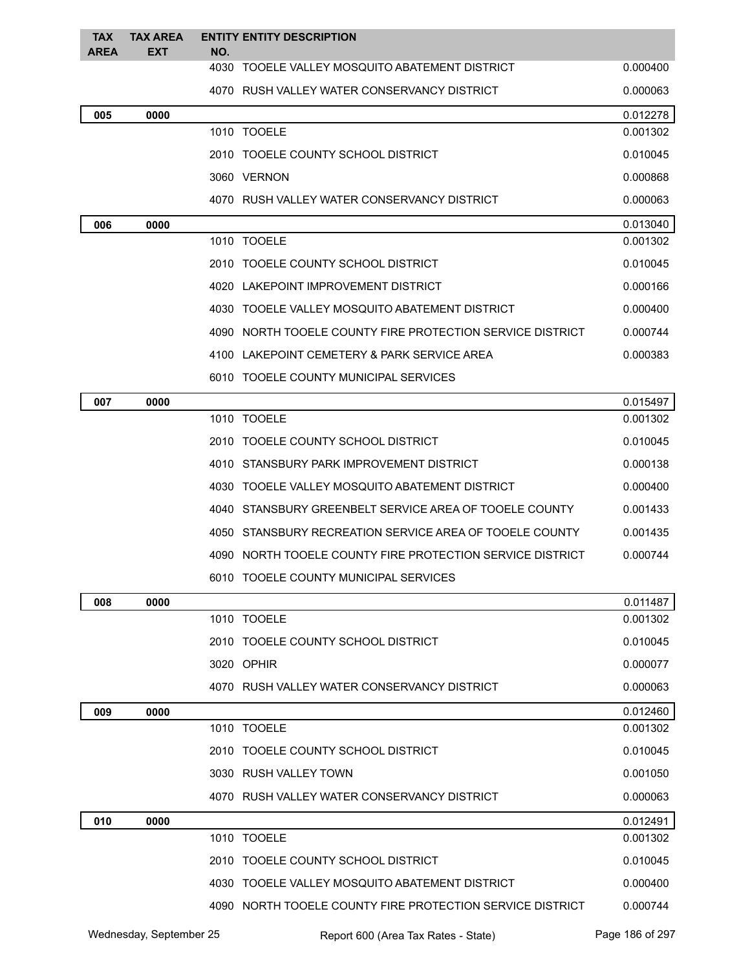| <b>TAX</b><br><b>AREA</b> | <b>TAX AREA</b><br><b>EXT</b> | NO. | <b>ENTITY ENTITY DESCRIPTION</b>                          |          |
|---------------------------|-------------------------------|-----|-----------------------------------------------------------|----------|
|                           |                               |     | 4030 TOOELE VALLEY MOSQUITO ABATEMENT DISTRICT            | 0.000400 |
|                           |                               |     | 4070 RUSH VALLEY WATER CONSERVANCY DISTRICT               | 0.000063 |
| 005                       | 0000                          |     |                                                           | 0.012278 |
|                           |                               |     | 1010 TOOELE                                               | 0.001302 |
|                           |                               |     | 2010 TOOELE COUNTY SCHOOL DISTRICT                        | 0.010045 |
|                           |                               |     | 3060 VERNON                                               | 0.000868 |
|                           |                               |     | 4070 RUSH VALLEY WATER CONSERVANCY DISTRICT               | 0.000063 |
| 006                       | 0000                          |     |                                                           | 0.013040 |
|                           |                               |     | 1010 TOOELE                                               | 0.001302 |
|                           |                               |     | 2010 TOOELE COUNTY SCHOOL DISTRICT                        | 0.010045 |
|                           |                               |     | 4020 LAKEPOINT IMPROVEMENT DISTRICT                       | 0.000166 |
|                           |                               |     | 4030 TOOELE VALLEY MOSQUITO ABATEMENT DISTRICT            | 0.000400 |
|                           |                               |     | 4090 NORTH TOOELE COUNTY FIRE PROTECTION SERVICE DISTRICT | 0.000744 |
|                           |                               |     | 4100 LAKEPOINT CEMETERY & PARK SERVICE AREA               | 0.000383 |
|                           |                               |     | 6010 TOOELE COUNTY MUNICIPAL SERVICES                     |          |
| 007                       | 0000                          |     |                                                           | 0.015497 |
|                           |                               |     | 1010 TOOELE                                               | 0.001302 |
|                           |                               |     | 2010 TOOELE COUNTY SCHOOL DISTRICT                        | 0.010045 |
|                           |                               |     | 4010 STANSBURY PARK IMPROVEMENT DISTRICT                  | 0.000138 |
|                           |                               |     | 4030 TOOELE VALLEY MOSQUITO ABATEMENT DISTRICT            | 0.000400 |
|                           |                               |     | 4040 STANSBURY GREENBELT SERVICE AREA OF TOOELE COUNTY    | 0.001433 |
|                           |                               |     | 4050 STANSBURY RECREATION SERVICE AREA OF TOOELE COUNTY   | 0.001435 |
|                           |                               |     | 4090 NORTH TOOELE COUNTY FIRE PROTECTION SERVICE DISTRICT | 0.000744 |
|                           |                               |     | 6010 TOOELE COUNTY MUNICIPAL SERVICES                     |          |
| 008                       | 0000                          |     |                                                           | 0.011487 |
|                           |                               |     | 1010 TOOELE                                               | 0.001302 |
|                           |                               |     | 2010 TOOELE COUNTY SCHOOL DISTRICT                        | 0.010045 |
|                           |                               |     | 3020 OPHIR                                                | 0.000077 |
|                           |                               |     | 4070 RUSH VALLEY WATER CONSERVANCY DISTRICT               | 0.000063 |
| 009                       | 0000                          |     |                                                           | 0.012460 |
|                           |                               |     | 1010 TOOELE                                               | 0.001302 |
|                           |                               |     | 2010 TOOELE COUNTY SCHOOL DISTRICT                        | 0.010045 |
|                           |                               |     | 3030 RUSH VALLEY TOWN                                     | 0.001050 |
|                           |                               |     | 4070 RUSH VALLEY WATER CONSERVANCY DISTRICT               | 0.000063 |
| 010                       | 0000                          |     |                                                           | 0.012491 |
|                           |                               |     | 1010 TOOELE                                               | 0.001302 |
|                           |                               |     | 2010 TOOELE COUNTY SCHOOL DISTRICT                        | 0.010045 |
|                           |                               |     | 4030 TOOELE VALLEY MOSQUITO ABATEMENT DISTRICT            | 0.000400 |
|                           |                               |     | 4090 NORTH TOOELE COUNTY FIRE PROTECTION SERVICE DISTRICT | 0.000744 |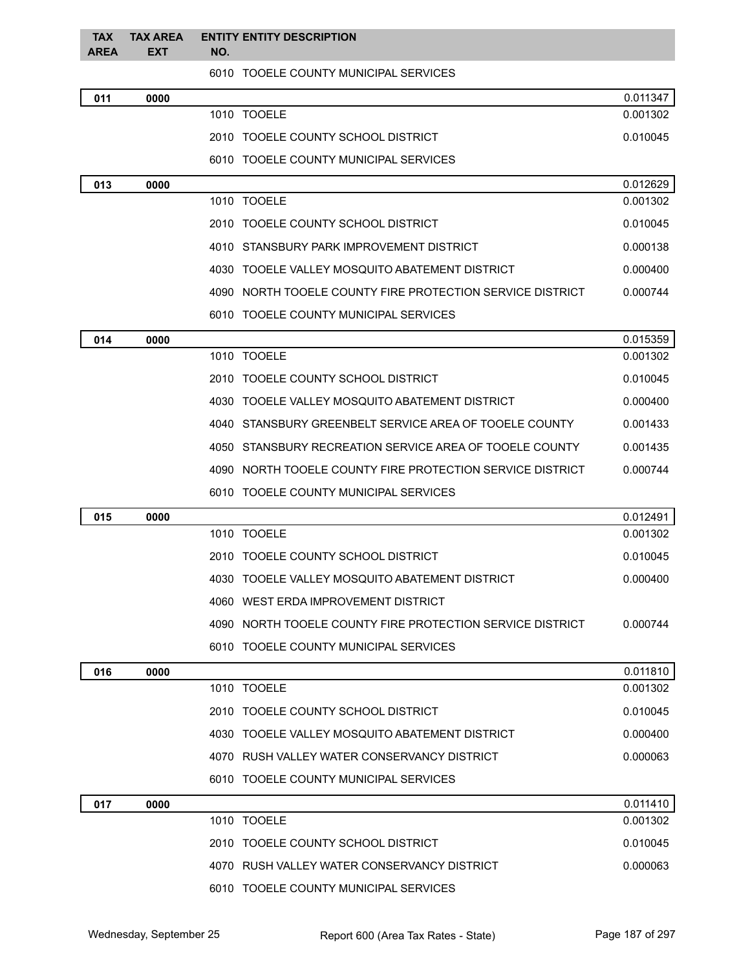| <b>TAX</b><br><b>AREA</b> | <b>TAX AREA</b><br><b>EXT</b> | <b>ENTITY ENTITY DESCRIPTION</b><br>NO.                   |          |
|---------------------------|-------------------------------|-----------------------------------------------------------|----------|
|                           |                               | 6010 TOOELE COUNTY MUNICIPAL SERVICES                     |          |
| 011                       | 0000                          |                                                           | 0.011347 |
|                           |                               | 1010 TOOELE                                               | 0.001302 |
|                           |                               | 2010 TOOELE COUNTY SCHOOL DISTRICT                        | 0.010045 |
|                           |                               | 6010 TOOELE COUNTY MUNICIPAL SERVICES                     |          |
| 013                       | 0000                          |                                                           | 0.012629 |
|                           |                               | 1010 TOOELE                                               | 0.001302 |
|                           |                               | 2010 TOOELE COUNTY SCHOOL DISTRICT                        | 0.010045 |
|                           |                               | 4010 STANSBURY PARK IMPROVEMENT DISTRICT                  | 0.000138 |
|                           |                               | 4030 TOOELE VALLEY MOSQUITO ABATEMENT DISTRICT            | 0.000400 |
|                           |                               | 4090 NORTH TOOELE COUNTY FIRE PROTECTION SERVICE DISTRICT | 0.000744 |
|                           |                               | 6010 TOOELE COUNTY MUNICIPAL SERVICES                     |          |
| 014                       | 0000                          |                                                           | 0.015359 |
|                           |                               | 1010 TOOELE                                               | 0.001302 |
|                           |                               | 2010 TOOELE COUNTY SCHOOL DISTRICT                        | 0.010045 |
|                           |                               | 4030 TOOELE VALLEY MOSQUITO ABATEMENT DISTRICT            | 0.000400 |
|                           |                               | 4040 STANSBURY GREENBELT SERVICE AREA OF TOOELE COUNTY    | 0.001433 |
|                           |                               | 4050 STANSBURY RECREATION SERVICE AREA OF TOOELE COUNTY   | 0.001435 |
|                           |                               | 4090 NORTH TOOELE COUNTY FIRE PROTECTION SERVICE DISTRICT | 0.000744 |
|                           |                               | 6010 TOOELE COUNTY MUNICIPAL SERVICES                     |          |
| 015                       | 0000                          |                                                           | 0.012491 |
|                           |                               | 1010 TOOELE                                               | 0.001302 |
|                           |                               | 2010 TOOELE COUNTY SCHOOL DISTRICT                        | 0.010045 |
|                           |                               | 4030 TOOELE VALLEY MOSQUITO ABATEMENT DISTRICT            | 0.000400 |
|                           |                               | 4060 WEST ERDA IMPROVEMENT DISTRICT                       |          |
|                           |                               | 4090 NORTH TOOELE COUNTY FIRE PROTECTION SERVICE DISTRICT | 0.000744 |
|                           |                               | 6010 TOOELE COUNTY MUNICIPAL SERVICES                     |          |
| 016                       | 0000                          |                                                           | 0.011810 |
|                           |                               | 1010 TOOELE                                               | 0.001302 |
|                           |                               | 2010 TOOELE COUNTY SCHOOL DISTRICT                        | 0.010045 |
|                           |                               | 4030 TOOELE VALLEY MOSQUITO ABATEMENT DISTRICT            | 0.000400 |
|                           |                               | 4070 RUSH VALLEY WATER CONSERVANCY DISTRICT               | 0.000063 |
|                           |                               | 6010 TOOELE COUNTY MUNICIPAL SERVICES                     |          |
| 017                       | 0000                          |                                                           | 0.011410 |
|                           |                               | 1010 TOOELE                                               | 0.001302 |
|                           |                               | 2010 TOOELE COUNTY SCHOOL DISTRICT                        | 0.010045 |
|                           |                               | 4070 RUSH VALLEY WATER CONSERVANCY DISTRICT               | 0.000063 |
|                           |                               | 6010 TOOELE COUNTY MUNICIPAL SERVICES                     |          |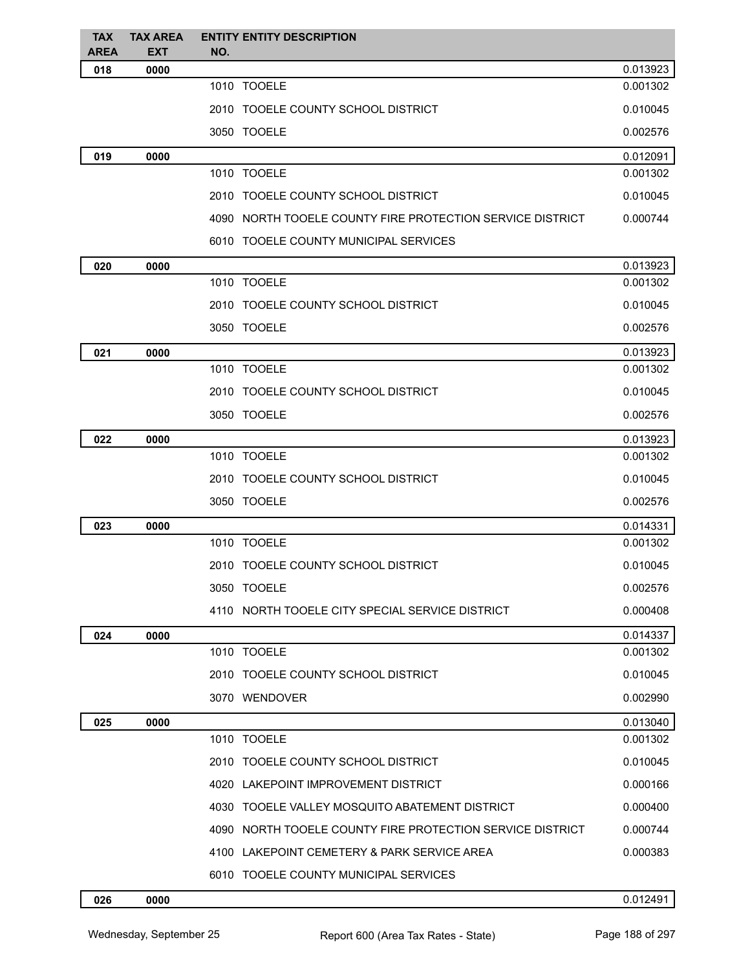| <b>TAX</b><br><b>AREA</b> | <b>TAX AREA</b><br><b>EXT</b> | <b>ENTITY ENTITY DESCRIPTION</b><br>NO.                   |          |
|---------------------------|-------------------------------|-----------------------------------------------------------|----------|
| 018                       | 0000                          |                                                           | 0.013923 |
|                           |                               | 1010 TOOELE                                               | 0.001302 |
|                           |                               | 2010 TOOELE COUNTY SCHOOL DISTRICT                        | 0.010045 |
|                           |                               | 3050 TOOELE                                               | 0.002576 |
| 019                       | 0000                          |                                                           | 0.012091 |
|                           |                               | 1010 TOOELE                                               | 0.001302 |
|                           |                               | 2010 TOOELE COUNTY SCHOOL DISTRICT                        | 0.010045 |
|                           |                               | 4090 NORTH TOOELE COUNTY FIRE PROTECTION SERVICE DISTRICT | 0.000744 |
|                           |                               | 6010 TOOELE COUNTY MUNICIPAL SERVICES                     |          |
| 020                       | 0000                          |                                                           | 0.013923 |
|                           |                               | 1010 TOOELE                                               | 0.001302 |
|                           |                               | 2010 TOOELE COUNTY SCHOOL DISTRICT                        | 0.010045 |
|                           |                               | 3050 TOOELE                                               | 0.002576 |
| 021                       | 0000                          |                                                           | 0.013923 |
|                           |                               | 1010 TOOELE                                               | 0.001302 |
|                           |                               | 2010 TOOELE COUNTY SCHOOL DISTRICT                        | 0.010045 |
|                           |                               | 3050 TOOELE                                               | 0.002576 |
| 022                       | 0000                          |                                                           | 0.013923 |
|                           |                               | 1010 TOOELE                                               | 0.001302 |
|                           |                               | 2010 TOOELE COUNTY SCHOOL DISTRICT                        | 0.010045 |
|                           |                               | 3050 TOOELE                                               | 0.002576 |
| 023                       | 0000                          |                                                           | 0.014331 |
|                           |                               | 1010 TOOELE                                               | 0.001302 |
|                           |                               | 2010 TOOELE COUNTY SCHOOL DISTRICT                        | 0.010045 |
|                           |                               | 3050 TOOELE                                               | 0.002576 |
|                           |                               | 4110 NORTH TOOELE CITY SPECIAL SERVICE DISTRICT           | 0.000408 |
| 024                       | 0000                          |                                                           | 0.014337 |
|                           |                               | 1010 TOOELE                                               | 0.001302 |
|                           |                               | 2010 TOOELE COUNTY SCHOOL DISTRICT                        | 0.010045 |
|                           |                               | 3070 WENDOVER                                             | 0.002990 |
| 025                       | 0000                          |                                                           | 0.013040 |
|                           |                               | 1010 TOOELE                                               | 0.001302 |
|                           |                               | 2010 TOOELE COUNTY SCHOOL DISTRICT                        | 0.010045 |
|                           |                               | 4020 LAKEPOINT IMPROVEMENT DISTRICT                       | 0.000166 |
|                           |                               | 4030 TOOELE VALLEY MOSQUITO ABATEMENT DISTRICT            | 0.000400 |
|                           |                               | 4090 NORTH TOOELE COUNTY FIRE PROTECTION SERVICE DISTRICT | 0.000744 |
|                           |                               | 4100 LAKEPOINT CEMETERY & PARK SERVICE AREA               | 0.000383 |
|                           |                               | 6010 TOOELE COUNTY MUNICIPAL SERVICES                     |          |
|                           |                               |                                                           |          |

#### **0000** 0.012491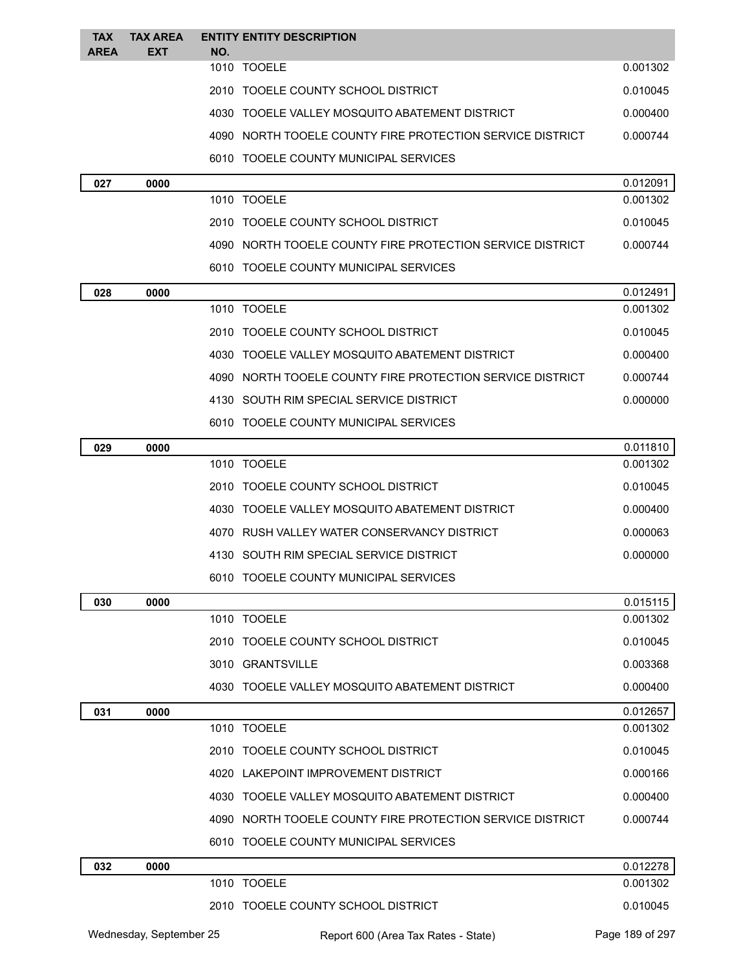| <b>TAX</b>  | <b>TAX AREA</b> | <b>ENTITY ENTITY DESCRIPTION</b>                          |                      |
|-------------|-----------------|-----------------------------------------------------------|----------------------|
| <b>AREA</b> | EXT             | NO.<br>1010 TOOELE                                        | 0.001302             |
|             |                 | 2010 TOOELE COUNTY SCHOOL DISTRICT                        | 0.010045             |
|             |                 | 4030 TOOELE VALLEY MOSQUITO ABATEMENT DISTRICT            | 0.000400             |
|             |                 | 4090 NORTH TOOELE COUNTY FIRE PROTECTION SERVICE DISTRICT | 0.000744             |
|             |                 | 6010 TOOELE COUNTY MUNICIPAL SERVICES                     |                      |
|             |                 |                                                           |                      |
| 027         | 0000            | 1010 TOOELE                                               | 0.012091<br>0.001302 |
|             |                 | 2010 TOOELE COUNTY SCHOOL DISTRICT                        | 0.010045             |
|             |                 | 4090 NORTH TOOELE COUNTY FIRE PROTECTION SERVICE DISTRICT | 0.000744             |
|             |                 | 6010 TOOELE COUNTY MUNICIPAL SERVICES                     |                      |
| 028         | 0000            |                                                           | 0.012491             |
|             |                 | 1010 TOOELE                                               | 0.001302             |
|             |                 | 2010 TOOELE COUNTY SCHOOL DISTRICT                        | 0.010045             |
|             |                 | 4030 TOOELE VALLEY MOSQUITO ABATEMENT DISTRICT            | 0.000400             |
|             |                 | 4090 NORTH TOOELE COUNTY FIRE PROTECTION SERVICE DISTRICT | 0.000744             |
|             |                 | 4130 SOUTH RIM SPECIAL SERVICE DISTRICT                   | 0.000000             |
|             |                 | 6010 TOOELE COUNTY MUNICIPAL SERVICES                     |                      |
| 029         | 0000            |                                                           | 0.011810             |
|             |                 | 1010 TOOELE                                               | 0.001302             |
|             |                 | 2010 TOOELE COUNTY SCHOOL DISTRICT                        | 0.010045             |
|             |                 | 4030 TOOELE VALLEY MOSQUITO ABATEMENT DISTRICT            | 0.000400             |
|             |                 | 4070 RUSH VALLEY WATER CONSERVANCY DISTRICT               | 0.000063             |
|             |                 | 4130 SOUTH RIM SPECIAL SERVICE DISTRICT                   | 0.000000             |
|             |                 | 6010 TOOELE COUNTY MUNICIPAL SERVICES                     |                      |
| 030         | 0000            |                                                           | 0.015115             |
|             |                 | 1010 TOOELE                                               | 0.001302             |
|             |                 | 2010 TOOELE COUNTY SCHOOL DISTRICT                        | 0.010045             |
|             |                 | 3010 GRANTSVILLE                                          | 0.003368             |
|             |                 | 4030 TOOELE VALLEY MOSQUITO ABATEMENT DISTRICT            | 0.000400             |
| 031         | 0000            |                                                           | 0.012657             |
|             |                 | 1010 TOOELE                                               | 0.001302             |
|             |                 | 2010 TOOELE COUNTY SCHOOL DISTRICT                        | 0.010045             |
|             |                 | 4020 LAKEPOINT IMPROVEMENT DISTRICT                       | 0.000166             |
|             |                 | 4030 TOOELE VALLEY MOSQUITO ABATEMENT DISTRICT            | 0.000400             |
|             |                 | 4090 NORTH TOOELE COUNTY FIRE PROTECTION SERVICE DISTRICT | 0.000744             |
|             |                 | 6010 TOOELE COUNTY MUNICIPAL SERVICES                     |                      |
| 032         | 0000            |                                                           | 0.012278             |
|             |                 | 1010 TOOELE                                               | 0.001302             |
|             |                 | 2010 TOOELE COUNTY SCHOOL DISTRICT                        | 0.010045             |
|             |                 |                                                           |                      |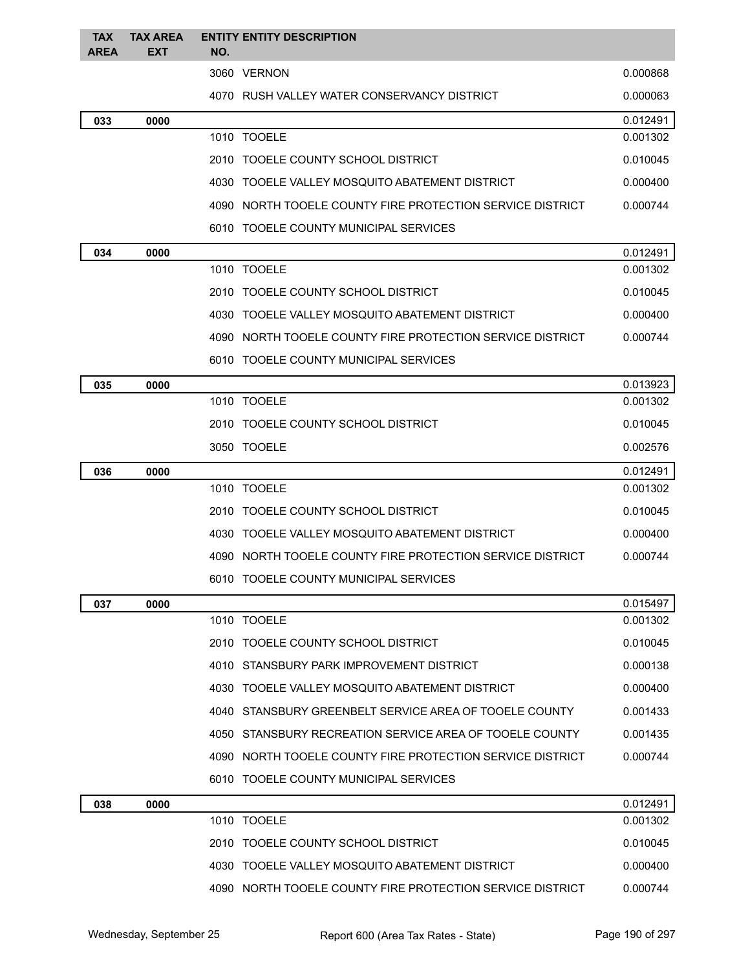| <b>TAX</b><br><b>AREA</b> | <b>TAX AREA</b><br><b>EXT</b> | NO. | <b>ENTITY ENTITY DESCRIPTION</b>                          |          |
|---------------------------|-------------------------------|-----|-----------------------------------------------------------|----------|
|                           |                               |     | 3060 VERNON                                               | 0.000868 |
|                           |                               |     | 4070 RUSH VALLEY WATER CONSERVANCY DISTRICT               | 0.000063 |
| 033                       | 0000                          |     |                                                           | 0.012491 |
|                           |                               |     | 1010 TOOELE                                               | 0.001302 |
|                           |                               |     | 2010 TOOELE COUNTY SCHOOL DISTRICT                        | 0.010045 |
|                           |                               |     | 4030 TOOELE VALLEY MOSQUITO ABATEMENT DISTRICT            | 0.000400 |
|                           |                               |     | 4090 NORTH TOOELE COUNTY FIRE PROTECTION SERVICE DISTRICT | 0.000744 |
|                           |                               |     | 6010 TOOELE COUNTY MUNICIPAL SERVICES                     |          |
| 034                       | 0000                          |     |                                                           | 0.012491 |
|                           |                               |     | 1010 TOOELE                                               | 0.001302 |
|                           |                               |     | 2010 TOOELE COUNTY SCHOOL DISTRICT                        | 0.010045 |
|                           |                               |     | 4030 TOOELE VALLEY MOSQUITO ABATEMENT DISTRICT            | 0.000400 |
|                           |                               |     | 4090 NORTH TOOELE COUNTY FIRE PROTECTION SERVICE DISTRICT | 0.000744 |
|                           |                               |     | 6010 TOOELE COUNTY MUNICIPAL SERVICES                     |          |
| 035                       | 0000                          |     |                                                           | 0.013923 |
|                           |                               |     | 1010 TOOELE                                               | 0.001302 |
|                           |                               |     | 2010 TOOELE COUNTY SCHOOL DISTRICT                        | 0.010045 |
|                           |                               |     | 3050 TOOELE                                               | 0.002576 |
| 036                       | 0000                          |     |                                                           | 0.012491 |
|                           |                               |     | 1010 TOOELE                                               | 0.001302 |
|                           |                               |     | 2010 TOOELE COUNTY SCHOOL DISTRICT                        | 0.010045 |
|                           |                               |     | 4030 TOOELE VALLEY MOSQUITO ABATEMENT DISTRICT            | 0.000400 |
|                           |                               |     | 4090 NORTH TOOELE COUNTY FIRE PROTECTION SERVICE DISTRICT | 0.000744 |
|                           |                               |     | 6010 TOOELE COUNTY MUNICIPAL SERVICES                     |          |
| 037                       | 0000                          |     |                                                           | 0.015497 |
|                           |                               |     | 1010 TOOELE                                               | 0.001302 |
|                           |                               |     | 2010 TOOELE COUNTY SCHOOL DISTRICT                        | 0.010045 |
|                           |                               |     | 4010 STANSBURY PARK IMPROVEMENT DISTRICT                  | 0.000138 |
|                           |                               |     | 4030 TOOELE VALLEY MOSQUITO ABATEMENT DISTRICT            | 0.000400 |
|                           |                               |     | 4040 STANSBURY GREENBELT SERVICE AREA OF TOOELE COUNTY    | 0.001433 |
|                           |                               |     | 4050 STANSBURY RECREATION SERVICE AREA OF TOOELE COUNTY   | 0.001435 |
|                           |                               |     | 4090 NORTH TOOELE COUNTY FIRE PROTECTION SERVICE DISTRICT | 0.000744 |
|                           |                               |     | 6010 TOOELE COUNTY MUNICIPAL SERVICES                     |          |
| 038                       | 0000                          |     |                                                           | 0.012491 |
|                           |                               |     | 1010 TOOELE                                               | 0.001302 |
|                           |                               |     | 2010 TOOELE COUNTY SCHOOL DISTRICT                        | 0.010045 |
|                           |                               |     | 4030 TOOELE VALLEY MOSQUITO ABATEMENT DISTRICT            | 0.000400 |
|                           |                               |     | 4090 NORTH TOOELE COUNTY FIRE PROTECTION SERVICE DISTRICT | 0.000744 |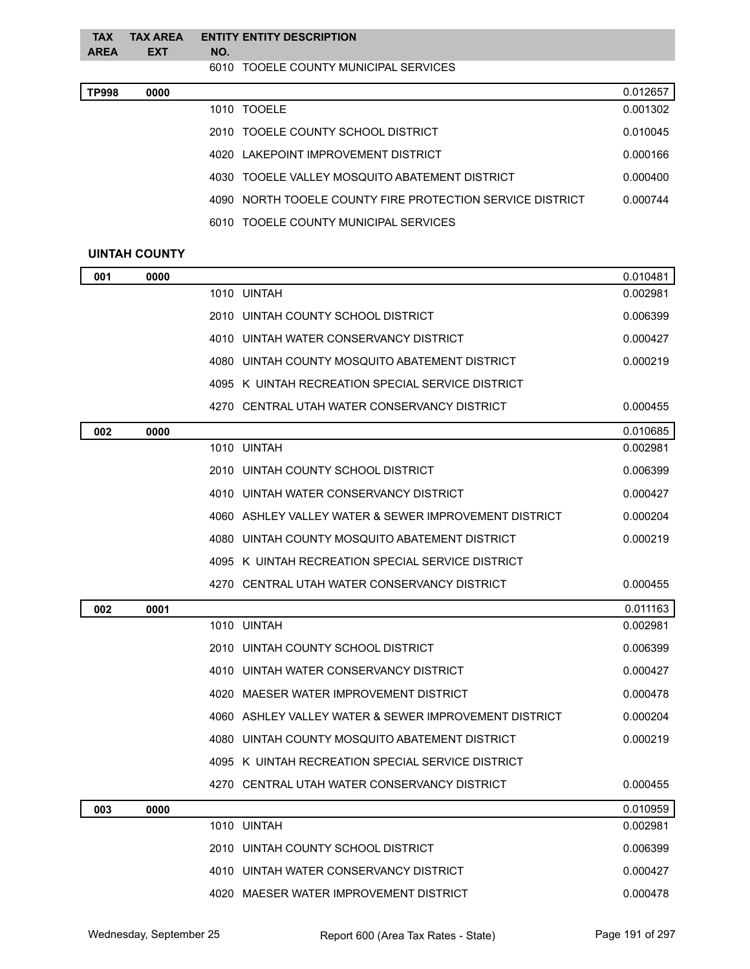| <b>TAX</b><br><b>AREA</b> | <b>TAX AREA</b><br><b>EXT</b> | <b>ENTITY ENTITY DESCRIPTION</b><br>NO. |
|---------------------------|-------------------------------|-----------------------------------------|
|                           |                               | 6010 TOOELE COUNTY MUNICIPAL SERVICES   |
| TP998                     | 0000                          | 0.012657                                |

| 1010 TOOFLE                                               | 0.001302 |
|-----------------------------------------------------------|----------|
| 2010 TOOELE COUNTY SCHOOL DISTRICT                        | 0.010045 |
| 4020 LAKEPOINT IMPROVEMENT DISTRICT                       | 0.000166 |
| 4030 TOOELE VALLEY MOSQUITO ABATEMENT DISTRICT            | 0.000400 |
| 4090 NORTH TOOELE COUNTY FIRE PROTECTION SERVICE DISTRICT | 0.000744 |
| 6010 TOOELE COUNTY MUNICIPAL SERVICES                     |          |

### **UINTAH COUNTY**

| 001 | 0000 |                                                       | 0.010481 |
|-----|------|-------------------------------------------------------|----------|
|     |      | 1010 UINTAH                                           | 0.002981 |
|     |      | 2010 UINTAH COUNTY SCHOOL DISTRICT                    | 0.006399 |
|     |      | 4010 UINTAH WATER CONSERVANCY DISTRICT                | 0.000427 |
|     |      | 4080 UINTAH COUNTY MOSQUITO ABATEMENT DISTRICT        | 0.000219 |
|     |      | 4095 K UINTAH RECREATION SPECIAL SERVICE DISTRICT     |          |
|     |      | 4270 CENTRAL UTAH WATER CONSERVANCY DISTRICT          | 0.000455 |
| 002 | 0000 |                                                       | 0.010685 |
|     |      | 1010 UINTAH                                           | 0.002981 |
|     |      | 2010 UINTAH COUNTY SCHOOL DISTRICT                    | 0.006399 |
|     |      | 4010 UINTAH WATER CONSERVANCY DISTRICT                | 0.000427 |
|     |      | 4060 ASHLEY VALLEY WATER & SEWER IMPROVEMENT DISTRICT | 0.000204 |
|     |      | 4080 UINTAH COUNTY MOSQUITO ABATEMENT DISTRICT        | 0.000219 |
|     |      | 4095 K UINTAH RECREATION SPECIAL SERVICE DISTRICT     |          |
|     |      | 4270 CENTRAL UTAH WATER CONSERVANCY DISTRICT          | 0.000455 |
| 002 | 0001 |                                                       | 0.011163 |
|     |      | 1010 UINTAH                                           | 0.002981 |
|     |      | 2010 UINTAH COUNTY SCHOOL DISTRICT                    | 0.006399 |
|     |      |                                                       |          |
|     |      | 4010 UINTAH WATER CONSERVANCY DISTRICT                | 0.000427 |
|     |      | 4020 MAESER WATER IMPROVEMENT DISTRICT                | 0.000478 |
|     |      | 4060 ASHLEY VALLEY WATER & SEWER IMPROVEMENT DISTRICT | 0.000204 |
|     |      | 4080 UINTAH COUNTY MOSQUITO ABATEMENT DISTRICT        | 0.000219 |
|     |      | 4095 K UINTAH RECREATION SPECIAL SERVICE DISTRICT     |          |
|     |      | 4270 CENTRAL UTAH WATER CONSERVANCY DISTRICT          | 0.000455 |
| 003 | 0000 |                                                       | 0.010959 |
|     |      | 1010 UINTAH                                           | 0.002981 |
|     |      | 2010 UINTAH COUNTY SCHOOL DISTRICT                    | 0.006399 |
|     |      | 4010 UINTAH WATER CONSERVANCY DISTRICT                | 0.000427 |
|     |      | 4020 MAESER WATER IMPROVEMENT DISTRICT                | 0.000478 |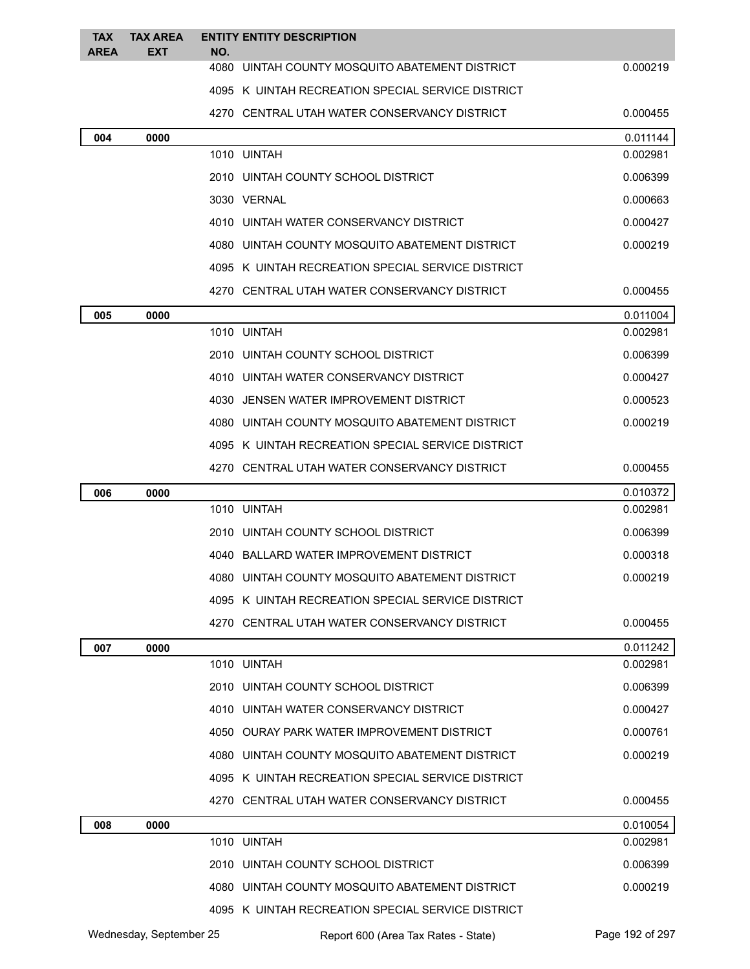| <b>TAX</b><br><b>AREA</b> | <b>TAX AREA</b><br><b>EXT</b> | <b>ENTITY ENTITY DESCRIPTION</b><br>NO.           |          |
|---------------------------|-------------------------------|---------------------------------------------------|----------|
|                           |                               | 4080 UINTAH COUNTY MOSQUITO ABATEMENT DISTRICT    | 0.000219 |
|                           |                               | 4095 K UINTAH RECREATION SPECIAL SERVICE DISTRICT |          |
|                           |                               | 4270 CENTRAL UTAH WATER CONSERVANCY DISTRICT      | 0.000455 |
| 004                       | 0000                          |                                                   | 0.011144 |
|                           |                               | 1010 UINTAH                                       | 0.002981 |
|                           |                               | 2010 UINTAH COUNTY SCHOOL DISTRICT                | 0.006399 |
|                           |                               | 3030 VERNAL                                       | 0.000663 |
|                           |                               | 4010 UINTAH WATER CONSERVANCY DISTRICT            | 0.000427 |
|                           |                               | 4080 UINTAH COUNTY MOSQUITO ABATEMENT DISTRICT    | 0.000219 |
|                           |                               | 4095 K UINTAH RECREATION SPECIAL SERVICE DISTRICT |          |
|                           |                               | 4270 CENTRAL UTAH WATER CONSERVANCY DISTRICT      | 0.000455 |
| 005                       | 0000                          |                                                   | 0.011004 |
|                           |                               | 1010 UINTAH                                       | 0.002981 |
|                           |                               | 2010 UINTAH COUNTY SCHOOL DISTRICT                | 0.006399 |
|                           |                               | 4010 UINTAH WATER CONSERVANCY DISTRICT            | 0.000427 |
|                           |                               | 4030 JENSEN WATER IMPROVEMENT DISTRICT            | 0.000523 |
|                           |                               | 4080 UINTAH COUNTY MOSQUITO ABATEMENT DISTRICT    | 0.000219 |
|                           |                               | 4095 K UINTAH RECREATION SPECIAL SERVICE DISTRICT |          |
|                           |                               | 4270 CENTRAL UTAH WATER CONSERVANCY DISTRICT      | 0.000455 |
| 006                       | 0000                          |                                                   | 0.010372 |
|                           |                               | 1010 UINTAH                                       | 0.002981 |
|                           |                               | 2010 UINTAH COUNTY SCHOOL DISTRICT                | 0.006399 |
|                           |                               | 4040 BALLARD WATER IMPROVEMENT DISTRICT           | 0.000318 |
|                           |                               | 4080 UINTAH COUNTY MOSQUITO ABATEMENT DISTRICT    | 0.000219 |
|                           |                               | 4095 K UINTAH RECREATION SPECIAL SERVICE DISTRICT |          |
|                           |                               | 4270 CENTRAL UTAH WATER CONSERVANCY DISTRICT      | 0.000455 |
| 007                       | 0000                          |                                                   | 0.011242 |
|                           |                               | 1010 UINTAH                                       | 0.002981 |
|                           |                               | 2010 UINTAH COUNTY SCHOOL DISTRICT                | 0.006399 |
|                           |                               | 4010 UINTAH WATER CONSERVANCY DISTRICT            | 0.000427 |
|                           |                               | 4050 OURAY PARK WATER IMPROVEMENT DISTRICT        | 0.000761 |
|                           |                               | 4080 UINTAH COUNTY MOSQUITO ABATEMENT DISTRICT    | 0.000219 |
|                           |                               | 4095 K UINTAH RECREATION SPECIAL SERVICE DISTRICT |          |
|                           |                               | 4270 CENTRAL UTAH WATER CONSERVANCY DISTRICT      | 0.000455 |
| 008                       | 0000                          |                                                   | 0.010054 |
|                           |                               | 1010 UINTAH                                       | 0.002981 |
|                           |                               | 2010 UINTAH COUNTY SCHOOL DISTRICT                | 0.006399 |
|                           |                               | 4080 UINTAH COUNTY MOSQUITO ABATEMENT DISTRICT    | 0.000219 |
|                           |                               | 4095 K UINTAH RECREATION SPECIAL SERVICE DISTRICT |          |

Wednesday, September 25 Report 600 (Area Tax Rates - State) Page 192 of 297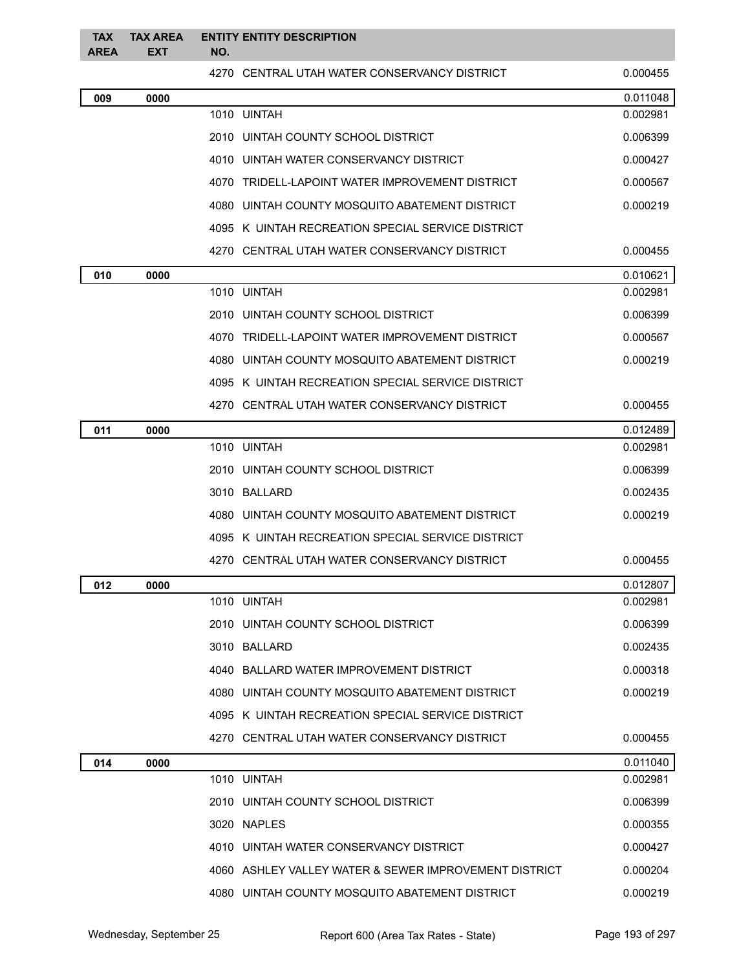| <b>TAX</b><br><b>AREA</b> | <b>TAX AREA</b><br><b>EXT</b> | <b>ENTITY ENTITY DESCRIPTION</b><br>NO.               |          |
|---------------------------|-------------------------------|-------------------------------------------------------|----------|
|                           |                               | 4270 CENTRAL UTAH WATER CONSERVANCY DISTRICT          | 0.000455 |
| 009                       | 0000                          |                                                       | 0.011048 |
|                           |                               | 1010 UINTAH                                           | 0.002981 |
|                           |                               | 2010 UINTAH COUNTY SCHOOL DISTRICT                    | 0.006399 |
|                           |                               | 4010 UINTAH WATER CONSERVANCY DISTRICT                | 0.000427 |
|                           |                               | 4070 TRIDELL-LAPOINT WATER IMPROVEMENT DISTRICT       | 0.000567 |
|                           |                               | 4080 UINTAH COUNTY MOSQUITO ABATEMENT DISTRICT        | 0.000219 |
|                           |                               | 4095 K UINTAH RECREATION SPECIAL SERVICE DISTRICT     |          |
|                           |                               | 4270 CENTRAL UTAH WATER CONSERVANCY DISTRICT          | 0.000455 |
| 010                       | 0000                          |                                                       | 0.010621 |
|                           |                               | 1010 UINTAH                                           | 0.002981 |
|                           |                               | 2010 UINTAH COUNTY SCHOOL DISTRICT                    | 0.006399 |
|                           |                               | 4070 TRIDELL-LAPOINT WATER IMPROVEMENT DISTRICT       | 0.000567 |
|                           |                               | 4080 UINTAH COUNTY MOSQUITO ABATEMENT DISTRICT        | 0.000219 |
|                           |                               | 4095 K UINTAH RECREATION SPECIAL SERVICE DISTRICT     |          |
|                           |                               | 4270 CENTRAL UTAH WATER CONSERVANCY DISTRICT          | 0.000455 |
| 011                       | 0000                          |                                                       | 0.012489 |
|                           |                               | 1010 UINTAH                                           | 0.002981 |
|                           |                               | 2010 UINTAH COUNTY SCHOOL DISTRICT                    | 0.006399 |
|                           |                               | 3010 BALLARD                                          | 0.002435 |
|                           |                               | 4080 UINTAH COUNTY MOSQUITO ABATEMENT DISTRICT        | 0.000219 |
|                           |                               | 4095 K UINTAH RECREATION SPECIAL SERVICE DISTRICT     |          |
|                           |                               | 4270 CENTRAL UTAH WATER CONSERVANCY DISTRICT          | 0.000455 |
| 012                       | 0000                          |                                                       | 0.012807 |
|                           |                               | 1010 UINTAH                                           | 0.002981 |
|                           |                               | 2010 UINTAH COUNTY SCHOOL DISTRICT                    | 0.006399 |
|                           |                               | 3010 BALLARD                                          | 0.002435 |
|                           |                               | 4040 BALLARD WATER IMPROVEMENT DISTRICT               | 0.000318 |
|                           |                               | 4080 UINTAH COUNTY MOSQUITO ABATEMENT DISTRICT        | 0.000219 |
|                           |                               | 4095 K UINTAH RECREATION SPECIAL SERVICE DISTRICT     |          |
|                           |                               | 4270 CENTRAL UTAH WATER CONSERVANCY DISTRICT          | 0.000455 |
| 014                       | 0000                          |                                                       | 0.011040 |
|                           |                               | 1010 UINTAH                                           | 0.002981 |
|                           |                               | 2010 UINTAH COUNTY SCHOOL DISTRICT                    | 0.006399 |
|                           |                               | 3020 NAPLES                                           | 0.000355 |
|                           |                               | 4010 UINTAH WATER CONSERVANCY DISTRICT                | 0.000427 |
|                           |                               | 4060 ASHLEY VALLEY WATER & SEWER IMPROVEMENT DISTRICT | 0.000204 |
|                           |                               | 4080 UINTAH COUNTY MOSQUITO ABATEMENT DISTRICT        | 0.000219 |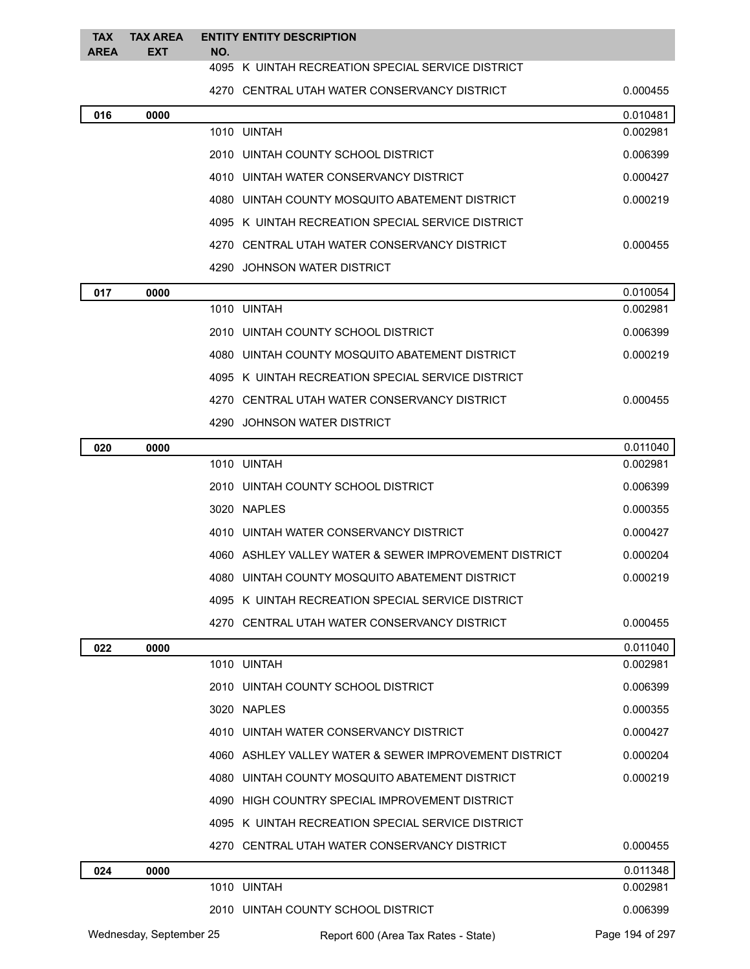| <b>TAX</b><br><b>AREA</b> | <b>TAX AREA</b><br><b>EXT</b> | NO. | <b>ENTITY ENTITY DESCRIPTION</b>                      |          |
|---------------------------|-------------------------------|-----|-------------------------------------------------------|----------|
|                           |                               |     | 4095 K UINTAH RECREATION SPECIAL SERVICE DISTRICT     |          |
|                           |                               |     | 4270 CENTRAL UTAH WATER CONSERVANCY DISTRICT          | 0.000455 |
| 016                       | 0000                          |     |                                                       | 0.010481 |
|                           |                               |     | 1010 UINTAH                                           | 0.002981 |
|                           |                               |     | 2010 UINTAH COUNTY SCHOOL DISTRICT                    | 0.006399 |
|                           |                               |     | 4010 UINTAH WATER CONSERVANCY DISTRICT                | 0.000427 |
|                           |                               |     | 4080 UINTAH COUNTY MOSQUITO ABATEMENT DISTRICT        | 0.000219 |
|                           |                               |     | 4095 K UINTAH RECREATION SPECIAL SERVICE DISTRICT     |          |
|                           |                               |     | 4270 CENTRAL UTAH WATER CONSERVANCY DISTRICT          | 0.000455 |
|                           |                               |     | 4290 JOHNSON WATER DISTRICT                           |          |
| 017                       | 0000                          |     |                                                       | 0.010054 |
|                           |                               |     | 1010 UINTAH                                           | 0.002981 |
|                           |                               |     | 2010   UINTAH COUNTY SCHOOL DISTRICT                  | 0.006399 |
|                           |                               |     | 4080 UINTAH COUNTY MOSQUITO ABATEMENT DISTRICT        | 0.000219 |
|                           |                               |     | 4095 K UINTAH RECREATION SPECIAL SERVICE DISTRICT     |          |
|                           |                               |     | 4270 CENTRAL UTAH WATER CONSERVANCY DISTRICT          | 0.000455 |
|                           |                               |     | 4290 JOHNSON WATER DISTRICT                           |          |
| 020                       | 0000                          |     |                                                       | 0.011040 |
|                           |                               |     | 1010 UINTAH                                           | 0.002981 |
|                           |                               |     | 2010 UINTAH COUNTY SCHOOL DISTRICT                    | 0.006399 |
|                           |                               |     | 3020 NAPLES                                           | 0.000355 |
|                           |                               |     | 4010 UINTAH WATER CONSERVANCY DISTRICT                | 0.000427 |
|                           |                               |     | 4060 ASHLEY VALLEY WATER & SEWER IMPROVEMENT DISTRICT | 0.000204 |
|                           |                               |     | 4080 UINTAH COUNTY MOSQUITO ABATEMENT DISTRICT        | 0.000219 |
|                           |                               |     | 4095 K UINTAH RECREATION SPECIAL SERVICE DISTRICT     |          |
|                           |                               |     | 4270 CENTRAL UTAH WATER CONSERVANCY DISTRICT          | 0.000455 |
| 022                       | 0000                          |     |                                                       | 0.011040 |
|                           |                               |     | 1010 UINTAH                                           | 0.002981 |
|                           |                               |     | 2010 UINTAH COUNTY SCHOOL DISTRICT                    | 0.006399 |
|                           |                               |     | 3020 NAPLES                                           | 0.000355 |
|                           |                               |     | 4010 UINTAH WATER CONSERVANCY DISTRICT                | 0.000427 |
|                           |                               |     | 4060 ASHLEY VALLEY WATER & SEWER IMPROVEMENT DISTRICT | 0.000204 |
|                           |                               |     | 4080 UINTAH COUNTY MOSQUITO ABATEMENT DISTRICT        | 0.000219 |
|                           |                               |     | 4090 HIGH COUNTRY SPECIAL IMPROVEMENT DISTRICT        |          |
|                           |                               |     | 4095 K UINTAH RECREATION SPECIAL SERVICE DISTRICT     |          |
|                           |                               |     | 4270 CENTRAL UTAH WATER CONSERVANCY DISTRICT          | 0.000455 |
| 024                       | 0000                          |     |                                                       | 0.011348 |
|                           |                               |     | 1010 UINTAH                                           | 0.002981 |

Wednesday, September 25 **Report 600 (Area Tax Rates - State)** Page 194 of 297

2010 UINTAH COUNTY SCHOOL DISTRICT 0.006399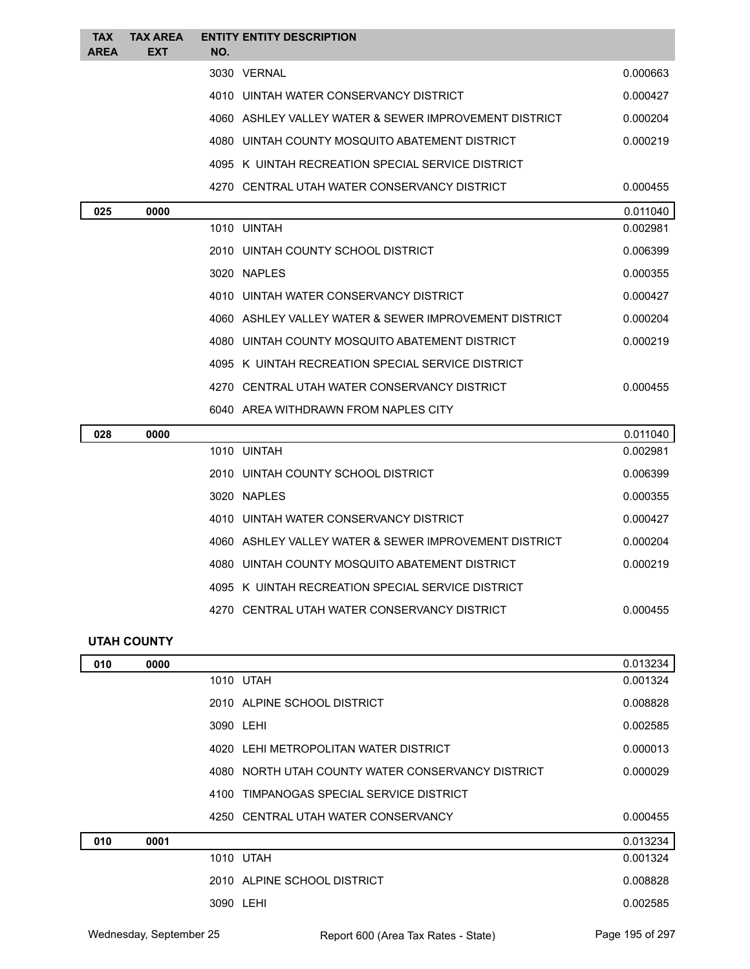| <b>TAX</b><br><b>AREA</b> | <b>TAX AREA</b><br><b>EXT</b> | NO. | <b>ENTITY ENTITY DESCRIPTION</b>                      |          |
|---------------------------|-------------------------------|-----|-------------------------------------------------------|----------|
|                           |                               |     | 3030 VERNAL                                           | 0.000663 |
|                           |                               |     | 4010 UINTAH WATER CONSERVANCY DISTRICT                | 0.000427 |
|                           |                               |     | 4060 ASHLEY VALLEY WATER & SEWER IMPROVEMENT DISTRICT | 0.000204 |
|                           |                               |     | 4080 UINTAH COUNTY MOSQUITO ABATEMENT DISTRICT        | 0.000219 |
|                           |                               |     | 4095 K UINTAH RECREATION SPECIAL SERVICE DISTRICT     |          |
|                           |                               |     | 4270 CENTRAL UTAH WATER CONSERVANCY DISTRICT          | 0.000455 |
| 025                       | 0000                          |     |                                                       | 0.011040 |
|                           |                               |     | 1010 UINTAH                                           | 0.002981 |
|                           |                               |     | 2010 UINTAH COUNTY SCHOOL DISTRICT                    | 0.006399 |
|                           |                               |     | 3020 NAPLES                                           | 0.000355 |
|                           |                               |     | 4010 UINTAH WATER CONSERVANCY DISTRICT                | 0.000427 |
|                           |                               |     | 4060 ASHLEY VALLEY WATER & SEWER IMPROVEMENT DISTRICT | 0.000204 |
|                           |                               |     | 4080 UINTAH COUNTY MOSQUITO ABATEMENT DISTRICT        | 0.000219 |
|                           |                               |     | 4095 K UINTAH RECREATION SPECIAL SERVICE DISTRICT     |          |
|                           |                               |     | 4270 CENTRAL UTAH WATER CONSERVANCY DISTRICT          | 0.000455 |
|                           |                               |     | 6040 AREA WITHDRAWN FROM NAPLES CITY                  |          |
| 028                       | 0000                          |     |                                                       | 0.011040 |
|                           |                               |     | 1010 UINTAH                                           | 0.002981 |
|                           |                               |     | 2010 UINTAH COUNTY SCHOOL DISTRICT                    | 0.006399 |
|                           |                               |     | 3020 NAPLES                                           | 0.000355 |
|                           |                               |     | 4010 UINTAH WATER CONSERVANCY DISTRICT                | 0.000427 |
|                           |                               |     | 4060 ASHLEY VALLEY WATER & SEWER IMPROVEMENT DISTRICT | 0.000204 |
|                           |                               |     | 4080 UINTAH COUNTY MOSQUITO ABATEMENT DISTRICT        | 0.000219 |
|                           |                               |     | 4095 K UINTAH RECREATION SPECIAL SERVICE DISTRICT     |          |
|                           |                               |     | 4270 CENTRAL UTAH WATER CONSERVANCY DISTRICT          | 0.000455 |
|                           |                               |     |                                                       |          |

# **UTAH COUNTY**

| 010 | 0000 |                                                   | 0.013234 |
|-----|------|---------------------------------------------------|----------|
|     |      | 1010 UTAH                                         | 0.001324 |
|     |      | 2010 ALPINE SCHOOL DISTRICT                       | 0.008828 |
|     |      | 3090 LEHI                                         | 0.002585 |
|     |      | 4020 LEHI METROPOLITAN WATER DISTRICT             | 0.000013 |
|     |      | 4080 NORTH UTAH COUNTY WATER CONSERVANCY DISTRICT | 0.000029 |
|     |      | 4100 TIMPANOGAS SPECIAL SERVICE DISTRICT          |          |
|     |      | 4250 CENTRAL UTAH WATER CONSERVANCY               | 0.000455 |
| 010 | 0001 |                                                   | 0.013234 |
|     |      | 1010 UTAH                                         | 0.001324 |
|     |      | 2010 ALPINE SCHOOL DISTRICT                       | 0.008828 |
|     |      | 3090 LEHI                                         | 0.002585 |
|     |      |                                                   |          |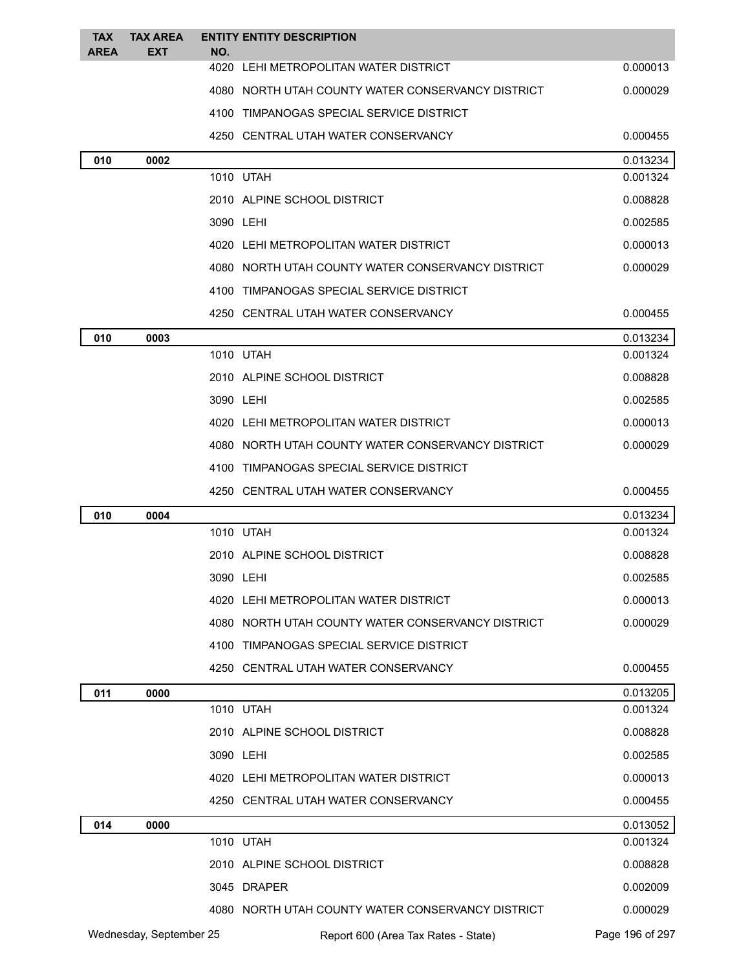| <b>TAX</b><br><b>AREA</b> | <b>TAX AREA</b><br><b>EXT</b> | NO. | <b>ENTITY ENTITY DESCRIPTION</b>                  |                 |
|---------------------------|-------------------------------|-----|---------------------------------------------------|-----------------|
|                           |                               |     | 4020 LEHI METROPOLITAN WATER DISTRICT             | 0.000013        |
|                           |                               |     | 4080 NORTH UTAH COUNTY WATER CONSERVANCY DISTRICT | 0.000029        |
|                           |                               |     | 4100 TIMPANOGAS SPECIAL SERVICE DISTRICT          |                 |
|                           |                               |     | 4250 CENTRAL UTAH WATER CONSERVANCY               | 0.000455        |
| 010                       | 0002                          |     |                                                   | 0.013234        |
|                           |                               |     | 1010 UTAH                                         | 0.001324        |
|                           |                               |     | 2010 ALPINE SCHOOL DISTRICT                       | 0.008828        |
|                           |                               |     | 3090 LEHI                                         | 0.002585        |
|                           |                               |     | 4020 LEHI METROPOLITAN WATER DISTRICT             | 0.000013        |
|                           |                               |     | 4080 NORTH UTAH COUNTY WATER CONSERVANCY DISTRICT | 0.000029        |
|                           |                               |     | 4100 TIMPANOGAS SPECIAL SERVICE DISTRICT          |                 |
|                           |                               |     | 4250 CENTRAL UTAH WATER CONSERVANCY               | 0.000455        |
| 010                       | 0003                          |     |                                                   | 0.013234        |
|                           |                               |     | 1010 UTAH                                         | 0.001324        |
|                           |                               |     | 2010 ALPINE SCHOOL DISTRICT                       | 0.008828        |
|                           |                               |     | 3090 LEHI                                         | 0.002585        |
|                           |                               |     | 4020 LEHI METROPOLITAN WATER DISTRICT             | 0.000013        |
|                           |                               |     | 4080 NORTH UTAH COUNTY WATER CONSERVANCY DISTRICT | 0.000029        |
|                           |                               |     | 4100 TIMPANOGAS SPECIAL SERVICE DISTRICT          |                 |
|                           |                               |     | 4250 CENTRAL UTAH WATER CONSERVANCY               | 0.000455        |
| 010                       | 0004                          |     |                                                   | 0.013234        |
|                           |                               |     | 1010 UTAH                                         | 0.001324        |
|                           |                               |     | 2010 ALPINE SCHOOL DISTRICT                       | 0.008828        |
|                           |                               |     | 3090 LEHI                                         | 0.002585        |
|                           |                               |     | 4020 LEHI METROPOLITAN WATER DISTRICT             | 0.000013        |
|                           |                               |     | 4080 NORTH UTAH COUNTY WATER CONSERVANCY DISTRICT | 0.000029        |
|                           |                               |     | 4100 TIMPANOGAS SPECIAL SERVICE DISTRICT          |                 |
|                           |                               |     | 4250 CENTRAL UTAH WATER CONSERVANCY               | 0.000455        |
| 011                       | 0000                          |     |                                                   | 0.013205        |
|                           |                               |     | 1010 UTAH                                         | 0.001324        |
|                           |                               |     | 2010 ALPINE SCHOOL DISTRICT                       | 0.008828        |
|                           |                               |     | 3090 LEHI                                         | 0.002585        |
|                           |                               |     | 4020 LEHI METROPOLITAN WATER DISTRICT             | 0.000013        |
|                           |                               |     | 4250 CENTRAL UTAH WATER CONSERVANCY               | 0.000455        |
| 014                       | 0000                          |     |                                                   | 0.013052        |
|                           |                               |     | 1010 UTAH                                         | 0.001324        |
|                           |                               |     | 2010 ALPINE SCHOOL DISTRICT                       | 0.008828        |
|                           |                               |     | 3045 DRAPER                                       | 0.002009        |
|                           |                               |     | 4080 NORTH UTAH COUNTY WATER CONSERVANCY DISTRICT | 0.000029        |
|                           | Wednesday, September 25       |     | Report 600 (Area Tax Rates - State)               | Page 196 of 297 |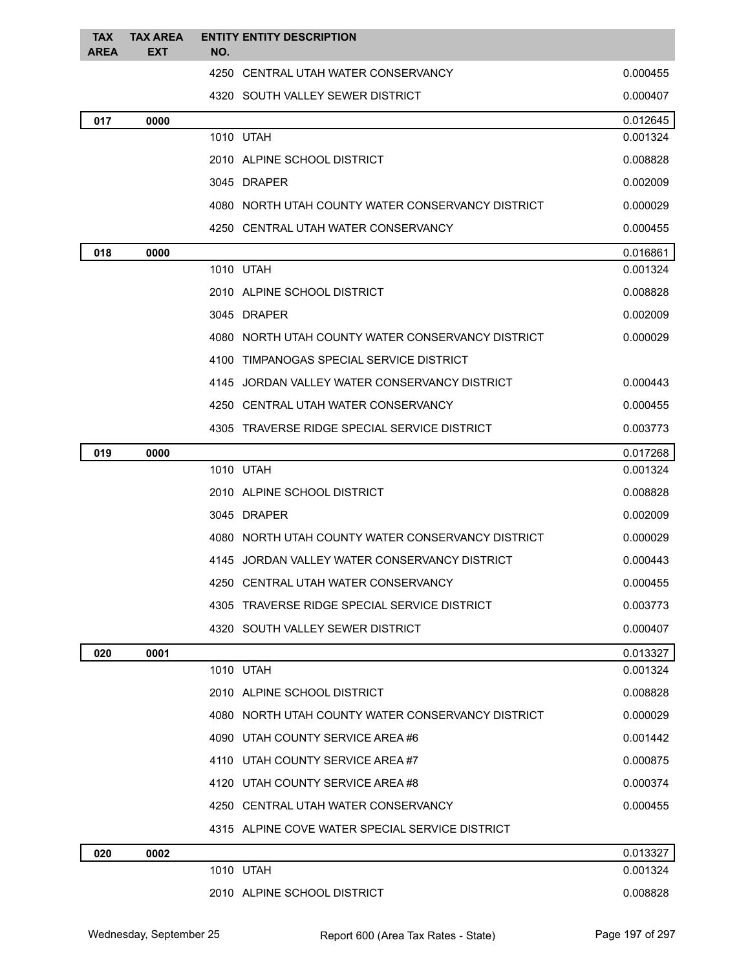| <b>TAX</b><br><b>AREA</b> | <b>TAX AREA</b><br><b>EXT</b> | NO. | <b>ENTITY ENTITY DESCRIPTION</b>                  |          |
|---------------------------|-------------------------------|-----|---------------------------------------------------|----------|
|                           |                               |     | 4250 CENTRAL UTAH WATER CONSERVANCY               | 0.000455 |
|                           |                               |     | 4320 SOUTH VALLEY SEWER DISTRICT                  | 0.000407 |
| 017                       | 0000                          |     |                                                   | 0.012645 |
|                           |                               |     | 1010 UTAH                                         | 0.001324 |
|                           |                               |     | 2010 ALPINE SCHOOL DISTRICT                       | 0.008828 |
|                           |                               |     | 3045 DRAPER                                       | 0.002009 |
|                           |                               |     | 4080 NORTH UTAH COUNTY WATER CONSERVANCY DISTRICT | 0.000029 |
|                           |                               |     | 4250 CENTRAL UTAH WATER CONSERVANCY               | 0.000455 |
| 018                       | 0000                          |     |                                                   | 0.016861 |
|                           |                               |     | 1010 UTAH                                         | 0.001324 |
|                           |                               |     | 2010 ALPINE SCHOOL DISTRICT                       | 0.008828 |
|                           |                               |     | 3045 DRAPER                                       | 0.002009 |
|                           |                               |     | 4080 NORTH UTAH COUNTY WATER CONSERVANCY DISTRICT | 0.000029 |
|                           |                               |     | 4100 TIMPANOGAS SPECIAL SERVICE DISTRICT          |          |
|                           |                               |     | 4145 JORDAN VALLEY WATER CONSERVANCY DISTRICT     | 0.000443 |
|                           |                               |     | 4250 CENTRAL UTAH WATER CONSERVANCY               | 0.000455 |
|                           |                               |     | 4305 TRAVERSE RIDGE SPECIAL SERVICE DISTRICT      | 0.003773 |
| 019                       | 0000                          |     |                                                   | 0.017268 |
|                           |                               |     | 1010 UTAH                                         | 0.001324 |
|                           |                               |     | 2010 ALPINE SCHOOL DISTRICT                       | 0.008828 |
|                           |                               |     | 3045 DRAPER                                       | 0.002009 |
|                           |                               |     | 4080 NORTH UTAH COUNTY WATER CONSERVANCY DISTRICT | 0.000029 |
|                           |                               |     | 4145 JORDAN VALLEY WATER CONSERVANCY DISTRICT     | 0.000443 |
|                           |                               |     | 4250 CENTRAL UTAH WATER CONSERVANCY               | 0.000455 |
|                           |                               |     | 4305 TRAVERSE RIDGE SPECIAL SERVICE DISTRICT      | 0.003773 |
|                           |                               |     | 4320 SOUTH VALLEY SEWER DISTRICT                  | 0.000407 |
| 020                       | 0001                          |     |                                                   | 0.013327 |
|                           |                               |     | 1010 UTAH                                         | 0.001324 |
|                           |                               |     | 2010 ALPINE SCHOOL DISTRICT                       | 0.008828 |
|                           |                               |     | 4080 NORTH UTAH COUNTY WATER CONSERVANCY DISTRICT | 0.000029 |
|                           |                               |     | 4090 UTAH COUNTY SERVICE AREA #6                  | 0.001442 |
|                           |                               |     | 4110 UTAH COUNTY SERVICE AREA#7                   | 0.000875 |
|                           |                               |     | 4120 UTAH COUNTY SERVICE AREA #8                  | 0.000374 |
|                           |                               |     | 4250 CENTRAL UTAH WATER CONSERVANCY               | 0.000455 |
|                           |                               |     | 4315 ALPINE COVE WATER SPECIAL SERVICE DISTRICT   |          |
| 020                       | 0002                          |     |                                                   | 0.013327 |
|                           |                               |     | 1010 UTAH                                         | 0.001324 |
|                           |                               |     | 2010 ALPINE SCHOOL DISTRICT                       | 0.008828 |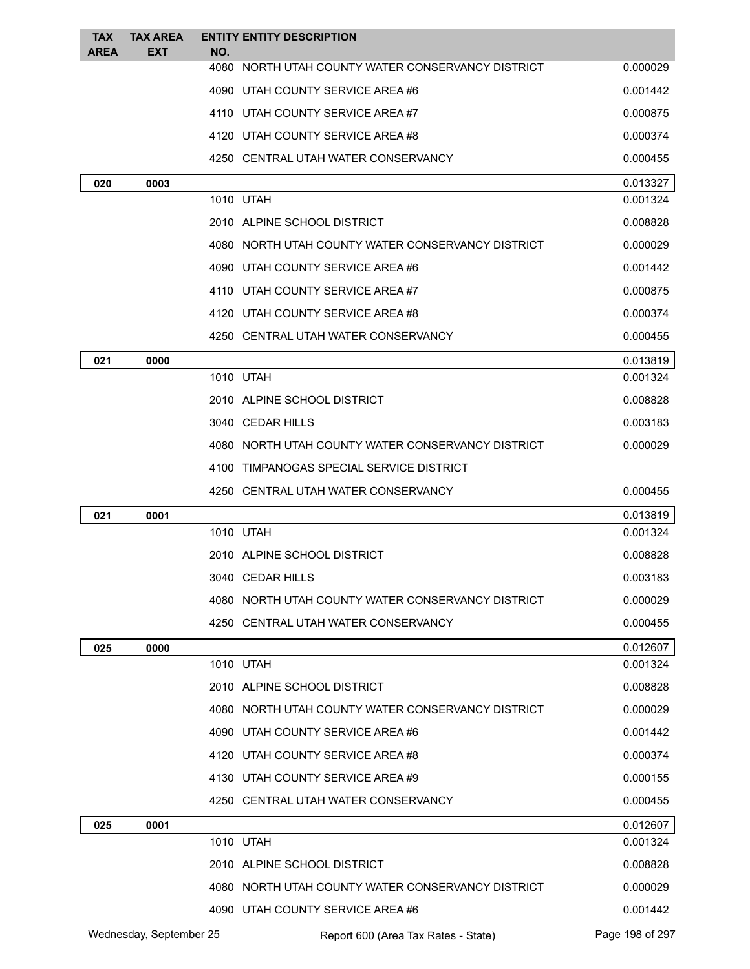| <b>TAX</b>  | <b>TAX AREA</b>         |     | <b>ENTITY ENTITY DESCRIPTION</b>                  |                 |
|-------------|-------------------------|-----|---------------------------------------------------|-----------------|
| <b>AREA</b> | EXT                     | NO. | 4080 NORTH UTAH COUNTY WATER CONSERVANCY DISTRICT | 0.000029        |
|             |                         |     | 4090 UTAH COUNTY SERVICE AREA #6                  | 0.001442        |
|             |                         |     | 4110 UTAH COUNTY SERVICE AREA#7                   | 0.000875        |
|             |                         |     | 4120 UTAH COUNTY SERVICE AREA #8                  | 0.000374        |
|             |                         |     | 4250 CENTRAL UTAH WATER CONSERVANCY               | 0.000455        |
| 020         | 0003                    |     |                                                   | 0.013327        |
|             |                         |     | 1010 UTAH                                         | 0.001324        |
|             |                         |     | 2010 ALPINE SCHOOL DISTRICT                       | 0.008828        |
|             |                         |     | 4080 NORTH UTAH COUNTY WATER CONSERVANCY DISTRICT | 0.000029        |
|             |                         |     | 4090 UTAH COUNTY SERVICE AREA#6                   | 0.001442        |
|             |                         |     | 4110 UTAH COUNTY SERVICE AREA#7                   | 0.000875        |
|             |                         |     | 4120 UTAH COUNTY SERVICE AREA#8                   | 0.000374        |
|             |                         |     | 4250 CENTRAL UTAH WATER CONSERVANCY               | 0.000455        |
| 021         | 0000                    |     |                                                   | 0.013819        |
|             |                         |     | 1010 UTAH                                         | 0.001324        |
|             |                         |     | 2010 ALPINE SCHOOL DISTRICT                       | 0.008828        |
|             |                         |     | 3040 CEDAR HILLS                                  | 0.003183        |
|             |                         |     | 4080 NORTH UTAH COUNTY WATER CONSERVANCY DISTRICT | 0.000029        |
|             |                         |     | 4100 TIMPANOGAS SPECIAL SERVICE DISTRICT          |                 |
|             |                         |     | 4250 CENTRAL UTAH WATER CONSERVANCY               | 0.000455        |
| 021         | 0001                    |     |                                                   | 0.013819        |
|             |                         |     | 1010 UTAH                                         | 0.001324        |
|             |                         |     | 2010 ALPINE SCHOOL DISTRICT                       | 0.008828        |
|             |                         |     | 3040 CEDAR HILLS                                  | 0.003183        |
|             |                         |     | 4080 NORTH UTAH COUNTY WATER CONSERVANCY DISTRICT | 0.000029        |
|             |                         |     | 4250 CENTRAL UTAH WATER CONSERVANCY               | 0.000455        |
| 025         | 0000                    |     |                                                   | 0.012607        |
|             |                         |     | 1010 UTAH                                         | 0.001324        |
|             |                         |     | 2010 ALPINE SCHOOL DISTRICT                       | 0.008828        |
|             |                         |     | 4080 NORTH UTAH COUNTY WATER CONSERVANCY DISTRICT | 0.000029        |
|             |                         |     | 4090 UTAH COUNTY SERVICE AREA #6                  | 0.001442        |
|             |                         |     | 4120 UTAH COUNTY SERVICE AREA #8                  | 0.000374        |
|             |                         |     | 4130 UTAH COUNTY SERVICE AREA #9                  | 0.000155        |
|             |                         |     | 4250 CENTRAL UTAH WATER CONSERVANCY               | 0.000455        |
| 025         | 0001                    |     |                                                   | 0.012607        |
|             |                         |     | 1010 UTAH                                         | 0.001324        |
|             |                         |     | 2010 ALPINE SCHOOL DISTRICT                       | 0.008828        |
|             |                         |     | 4080 NORTH UTAH COUNTY WATER CONSERVANCY DISTRICT | 0.000029        |
|             |                         |     | 4090 UTAH COUNTY SERVICE AREA #6                  | 0.001442        |
|             | Wednesday, September 25 |     | Report 600 (Area Tax Rates - State)               | Page 198 of 297 |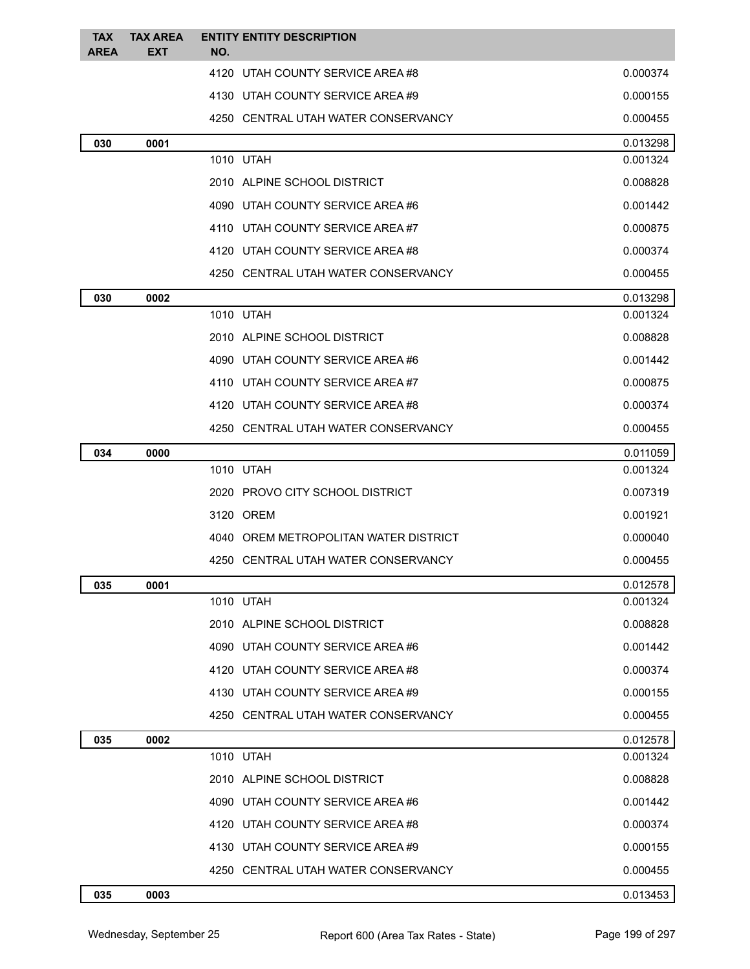| <b>TAX</b><br><b>AREA</b> | <b>TAX AREA</b><br><b>EXT</b> | <b>ENTITY ENTITY DESCRIPTION</b><br>NO. |          |
|---------------------------|-------------------------------|-----------------------------------------|----------|
|                           |                               | 4120 UTAH COUNTY SERVICE AREA #8        | 0.000374 |
|                           |                               | 4130 UTAH COUNTY SERVICE AREA #9        | 0.000155 |
|                           |                               | 4250 CENTRAL UTAH WATER CONSERVANCY     | 0.000455 |
| 030                       | 0001                          |                                         | 0.013298 |
|                           |                               | 1010 UTAH                               | 0.001324 |
|                           |                               | 2010 ALPINE SCHOOL DISTRICT             | 0.008828 |
|                           |                               | 4090 UTAH COUNTY SERVICE AREA #6        | 0.001442 |
|                           |                               | 4110 UTAH COUNTY SERVICE AREA#7         | 0.000875 |
|                           |                               | 4120 UTAH COUNTY SERVICE AREA #8        | 0.000374 |
|                           |                               | 4250 CENTRAL UTAH WATER CONSERVANCY     | 0.000455 |
| 030                       | 0002                          |                                         | 0.013298 |
|                           |                               | 1010 UTAH                               | 0.001324 |
|                           |                               | 2010 ALPINE SCHOOL DISTRICT             | 0.008828 |
|                           |                               | 4090 UTAH COUNTY SERVICE AREA#6         | 0.001442 |
|                           |                               | 4110 UTAH COUNTY SERVICE AREA#7         | 0.000875 |
|                           |                               | 4120 UTAH COUNTY SERVICE AREA #8        | 0.000374 |
|                           |                               | 4250 CENTRAL UTAH WATER CONSERVANCY     | 0.000455 |
| 034                       | 0000                          |                                         | 0.011059 |
|                           |                               | 1010 UTAH                               | 0.001324 |
|                           |                               | 2020 PROVO CITY SCHOOL DISTRICT         | 0.007319 |
|                           |                               | 3120 OREM                               | 0.001921 |
|                           |                               | 4040 OREM METROPOLITAN WATER DISTRICT   | 0.000040 |
|                           |                               | 4250 CENTRAL UTAH WATER CONSERVANCY     | 0.000455 |
| 035                       | 0001                          |                                         | 0.012578 |
|                           |                               | 1010 UTAH                               | 0.001324 |
|                           |                               | 2010 ALPINE SCHOOL DISTRICT             | 0.008828 |
|                           |                               | 4090 UTAH COUNTY SERVICE AREA #6        | 0.001442 |
|                           |                               | 4120 UTAH COUNTY SERVICE AREA #8        | 0.000374 |
|                           |                               | 4130 UTAH COUNTY SERVICE AREA#9         | 0.000155 |
|                           |                               | 4250 CENTRAL UTAH WATER CONSERVANCY     | 0.000455 |
| 035                       | 0002                          |                                         | 0.012578 |
|                           |                               | 1010 UTAH                               | 0.001324 |
|                           |                               | 2010 ALPINE SCHOOL DISTRICT             | 0.008828 |
|                           |                               | 4090 UTAH COUNTY SERVICE AREA #6        | 0.001442 |
|                           |                               | 4120 UTAH COUNTY SERVICE AREA#8         | 0.000374 |
|                           |                               | 4130 UTAH COUNTY SERVICE AREA #9        | 0.000155 |
|                           |                               | 4250 CENTRAL UTAH WATER CONSERVANCY     | 0.000455 |
| 035                       | 0003                          |                                         | 0.013453 |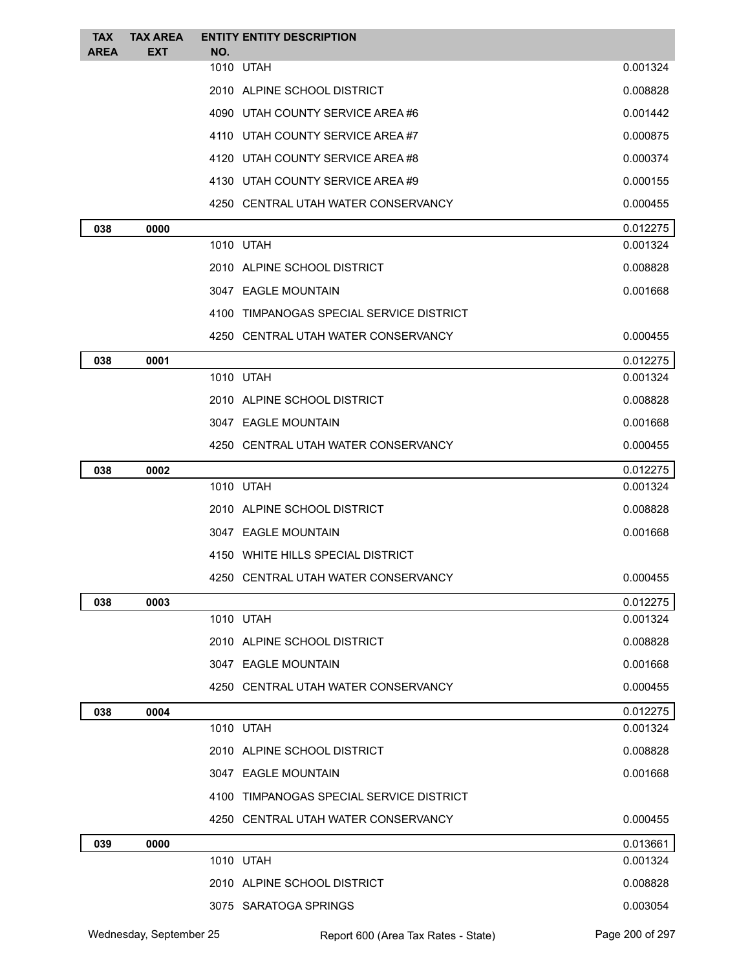| <b>TAX</b>  | <b>TAX AREA</b> | <b>ENTITY ENTITY DESCRIPTION</b>         |                      |
|-------------|-----------------|------------------------------------------|----------------------|
| <b>AREA</b> | <b>EXT</b>      | NO.<br>1010 UTAH                         | 0.001324             |
|             |                 |                                          |                      |
|             |                 | 2010 ALPINE SCHOOL DISTRICT              | 0.008828             |
|             |                 | 4090 UTAH COUNTY SERVICE AREA #6         | 0.001442             |
|             |                 | 4110 UTAH COUNTY SERVICE AREA #7         | 0.000875             |
|             |                 | 4120 UTAH COUNTY SERVICE AREA #8         | 0.000374             |
|             |                 | 4130 UTAH COUNTY SERVICE AREA #9         | 0.000155             |
|             |                 | 4250 CENTRAL UTAH WATER CONSERVANCY      | 0.000455             |
| 038         | 0000            |                                          | 0.012275             |
|             |                 | 1010 UTAH                                | 0.001324             |
|             |                 | 2010 ALPINE SCHOOL DISTRICT              | 0.008828             |
|             |                 | 3047 EAGLE MOUNTAIN                      | 0.001668             |
|             |                 | 4100 TIMPANOGAS SPECIAL SERVICE DISTRICT |                      |
|             |                 | 4250 CENTRAL UTAH WATER CONSERVANCY      | 0.000455             |
| 038         | 0001            |                                          | 0.012275             |
|             |                 | 1010 UTAH                                | 0.001324             |
|             |                 | 2010 ALPINE SCHOOL DISTRICT              | 0.008828             |
|             |                 | 3047 EAGLE MOUNTAIN                      | 0.001668             |
|             |                 | 4250 CENTRAL UTAH WATER CONSERVANCY      | 0.000455             |
| 038         | 0002            |                                          | 0.012275             |
|             |                 | 1010 UTAH                                | 0.001324             |
|             |                 | 2010 ALPINE SCHOOL DISTRICT              | 0.008828             |
|             |                 | 3047 EAGLE MOUNTAIN                      | 0.001668             |
|             |                 | 4150 WHITE HILLS SPECIAL DISTRICT        |                      |
|             |                 | 4250 CENTRAL UTAH WATER CONSERVANCY      | 0.000455             |
| 038         | 0003            |                                          | 0.012275             |
|             |                 | 1010 UTAH                                | 0.001324             |
|             |                 | 2010 ALPINE SCHOOL DISTRICT              | 0.008828             |
|             |                 | 3047 EAGLE MOUNTAIN                      | 0.001668             |
|             |                 | 4250 CENTRAL UTAH WATER CONSERVANCY      | 0.000455             |
| 038         | 0004            |                                          | 0.012275             |
|             |                 | 1010 UTAH                                | 0.001324             |
|             |                 | 2010 ALPINE SCHOOL DISTRICT              | 0.008828             |
|             |                 | 3047 EAGLE MOUNTAIN                      | 0.001668             |
|             |                 | 4100 TIMPANOGAS SPECIAL SERVICE DISTRICT |                      |
|             |                 | 4250 CENTRAL UTAH WATER CONSERVANCY      | 0.000455             |
|             |                 |                                          |                      |
| 039         | 0000            | 1010 UTAH                                | 0.013661<br>0.001324 |
|             |                 |                                          |                      |
|             |                 | 2010 ALPINE SCHOOL DISTRICT              | 0.008828             |
|             |                 | 3075 SARATOGA SPRINGS                    | 0.003054             |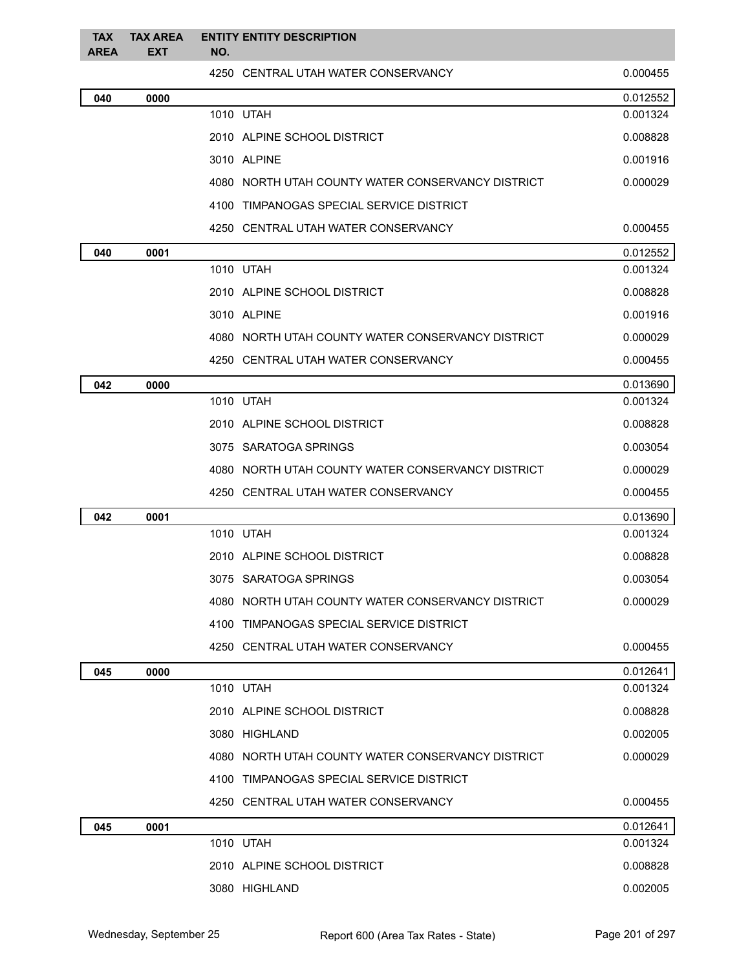| <b>TAX</b><br><b>AREA</b> | <b>TAX AREA</b><br><b>EXT</b> | NO. | <b>ENTITY ENTITY DESCRIPTION</b>                  |          |
|---------------------------|-------------------------------|-----|---------------------------------------------------|----------|
|                           |                               |     | 4250 CENTRAL UTAH WATER CONSERVANCY               | 0.000455 |
| 040                       | 0000                          |     |                                                   | 0.012552 |
|                           |                               |     | 1010 UTAH                                         | 0.001324 |
|                           |                               |     | 2010 ALPINE SCHOOL DISTRICT                       | 0.008828 |
|                           |                               |     | 3010 ALPINE                                       | 0.001916 |
|                           |                               |     | 4080 NORTH UTAH COUNTY WATER CONSERVANCY DISTRICT | 0.000029 |
|                           |                               |     | 4100 TIMPANOGAS SPECIAL SERVICE DISTRICT          |          |
|                           |                               |     | 4250 CENTRAL UTAH WATER CONSERVANCY               | 0.000455 |
| 040                       | 0001                          |     |                                                   | 0.012552 |
|                           |                               |     | 1010 UTAH                                         | 0.001324 |
|                           |                               |     | 2010 ALPINE SCHOOL DISTRICT                       | 0.008828 |
|                           |                               |     | 3010 ALPINE                                       | 0.001916 |
|                           |                               |     | 4080 NORTH UTAH COUNTY WATER CONSERVANCY DISTRICT | 0.000029 |
|                           |                               |     | 4250 CENTRAL UTAH WATER CONSERVANCY               | 0.000455 |
| 042                       | 0000                          |     |                                                   | 0.013690 |
|                           |                               |     | 1010 UTAH                                         | 0.001324 |
|                           |                               |     | 2010 ALPINE SCHOOL DISTRICT                       | 0.008828 |
|                           |                               |     | 3075 SARATOGA SPRINGS                             | 0.003054 |
|                           |                               |     | 4080 NORTH UTAH COUNTY WATER CONSERVANCY DISTRICT | 0.000029 |
|                           |                               |     | 4250 CENTRAL UTAH WATER CONSERVANCY               | 0.000455 |
| 042                       | 0001                          |     |                                                   | 0.013690 |
|                           |                               |     | 1010 UTAH                                         | 0.001324 |
|                           |                               |     | 2010 ALPINE SCHOOL DISTRICT                       | 0.008828 |
|                           |                               |     | 3075 SARATOGA SPRINGS                             | 0.003054 |
|                           |                               |     | 4080 NORTH UTAH COUNTY WATER CONSERVANCY DISTRICT | 0.000029 |
|                           |                               |     | 4100 TIMPANOGAS SPECIAL SERVICE DISTRICT          |          |
|                           |                               |     | 4250 CENTRAL UTAH WATER CONSERVANCY               | 0.000455 |
| 045                       | 0000                          |     |                                                   | 0.012641 |
|                           |                               |     | 1010 UTAH                                         | 0.001324 |
|                           |                               |     | 2010 ALPINE SCHOOL DISTRICT                       | 0.008828 |
|                           |                               |     | 3080 HIGHLAND                                     | 0.002005 |
|                           |                               |     | 4080 NORTH UTAH COUNTY WATER CONSERVANCY DISTRICT | 0.000029 |
|                           |                               |     | 4100 TIMPANOGAS SPECIAL SERVICE DISTRICT          |          |
|                           |                               |     | 4250 CENTRAL UTAH WATER CONSERVANCY               | 0.000455 |
| 045                       | 0001                          |     |                                                   | 0.012641 |
|                           |                               |     | 1010 UTAH                                         | 0.001324 |
|                           |                               |     | 2010 ALPINE SCHOOL DISTRICT                       | 0.008828 |
|                           |                               |     | 3080 HIGHLAND                                     | 0.002005 |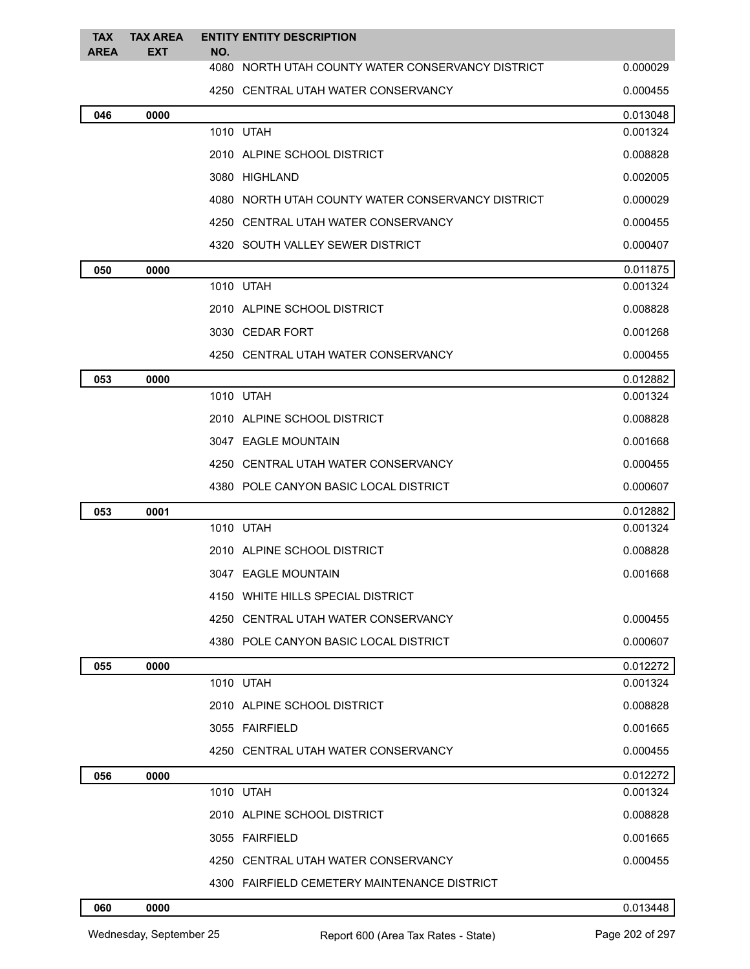| <b>TAX</b><br><b>AREA</b> | <b>TAX AREA</b><br><b>EXT</b> | NO. | <b>ENTITY ENTITY DESCRIPTION</b>                  |          |
|---------------------------|-------------------------------|-----|---------------------------------------------------|----------|
|                           |                               |     | 4080 NORTH UTAH COUNTY WATER CONSERVANCY DISTRICT | 0.000029 |
|                           |                               |     | 4250 CENTRAL UTAH WATER CONSERVANCY               | 0.000455 |
| 046                       | 0000                          |     |                                                   | 0.013048 |
|                           |                               |     | 1010 UTAH                                         | 0.001324 |
|                           |                               |     | 2010 ALPINE SCHOOL DISTRICT                       | 0.008828 |
|                           |                               |     | 3080 HIGHLAND                                     | 0.002005 |
|                           |                               |     | 4080 NORTH UTAH COUNTY WATER CONSERVANCY DISTRICT | 0.000029 |
|                           |                               |     | 4250 CENTRAL UTAH WATER CONSERVANCY               | 0.000455 |
|                           |                               |     | 4320 SOUTH VALLEY SEWER DISTRICT                  | 0.000407 |
| 050                       | 0000                          |     |                                                   | 0.011875 |
|                           |                               |     | 1010 UTAH                                         | 0.001324 |
|                           |                               |     | 2010 ALPINE SCHOOL DISTRICT                       | 0.008828 |
|                           |                               |     | 3030 CEDAR FORT                                   | 0.001268 |
|                           |                               |     | 4250 CENTRAL UTAH WATER CONSERVANCY               | 0.000455 |
| 053                       | 0000                          |     |                                                   | 0.012882 |
|                           |                               |     | 1010 UTAH                                         | 0.001324 |
|                           |                               |     | 2010 ALPINE SCHOOL DISTRICT                       | 0.008828 |
|                           |                               |     | 3047 EAGLE MOUNTAIN                               | 0.001668 |
|                           |                               |     | 4250 CENTRAL UTAH WATER CONSERVANCY               | 0.000455 |
|                           |                               |     | 4380 POLE CANYON BASIC LOCAL DISTRICT             | 0.000607 |
| 053                       | 0001                          |     |                                                   | 0.012882 |
|                           |                               |     | 1010 UTAH                                         | 0.001324 |
|                           |                               |     | 2010 ALPINE SCHOOL DISTRICT                       | 0.008828 |
|                           |                               |     | 3047 EAGLE MOUNTAIN                               | 0.001668 |
|                           |                               |     | 4150 WHITE HILLS SPECIAL DISTRICT                 |          |
|                           |                               |     | 4250 CENTRAL UTAH WATER CONSERVANCY               | 0.000455 |
|                           |                               |     | 4380 POLE CANYON BASIC LOCAL DISTRICT             | 0.000607 |
| 055                       | 0000                          |     |                                                   | 0.012272 |
|                           |                               |     | 1010 UTAH                                         | 0.001324 |
|                           |                               |     | 2010 ALPINE SCHOOL DISTRICT                       | 0.008828 |
|                           |                               |     | 3055 FAIRFIELD                                    | 0.001665 |
|                           |                               |     | 4250 CENTRAL UTAH WATER CONSERVANCY               | 0.000455 |
| 056                       | 0000                          |     |                                                   | 0.012272 |
|                           |                               |     | 1010 UTAH                                         | 0.001324 |
|                           |                               |     | 2010 ALPINE SCHOOL DISTRICT                       | 0.008828 |
|                           |                               |     | 3055 FAIRFIELD                                    | 0.001665 |
|                           |                               |     | 4250 CENTRAL UTAH WATER CONSERVANCY               | 0.000455 |
|                           |                               |     | 4300 FAIRFIELD CEMETERY MAINTENANCE DISTRICT      |          |
|                           |                               |     |                                                   |          |

**0000** 0.013448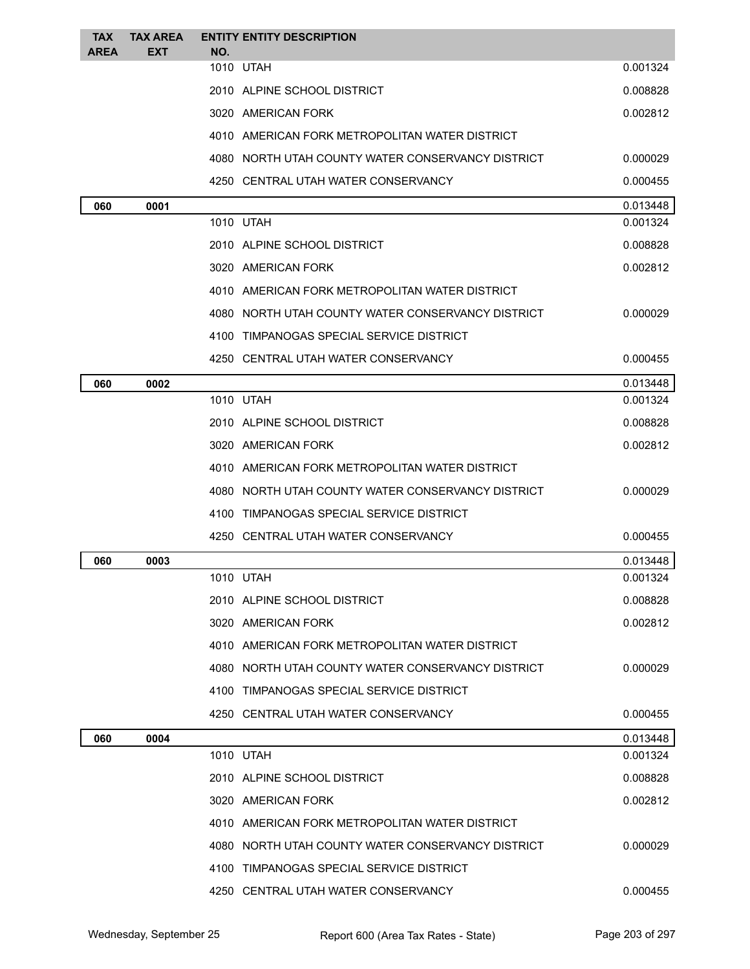| EXT<br>NO.<br>1010 UTAH<br>0.001324<br>2010 ALPINE SCHOOL DISTRICT<br>0.008828<br>3020 AMERICAN FORK<br>0.002812<br>4010 AMERICAN FORK METROPOLITAN WATER DISTRICT<br>4080 NORTH UTAH COUNTY WATER CONSERVANCY DISTRICT<br>0.000029<br>4250 CENTRAL UTAH WATER CONSERVANCY<br>0.000455<br>060<br>0001<br>1010 UTAH<br>0.001324<br>2010 ALPINE SCHOOL DISTRICT<br>0.008828<br>3020 AMERICAN FORK<br>0.002812<br>4010 AMERICAN FORK METROPOLITAN WATER DISTRICT<br>4080 NORTH UTAH COUNTY WATER CONSERVANCY DISTRICT<br>4100 TIMPANOGAS SPECIAL SERVICE DISTRICT<br>4250 CENTRAL UTAH WATER CONSERVANCY<br>0002<br>060<br>1010 UTAH<br>2010 ALPINE SCHOOL DISTRICT<br>3020 AMERICAN FORK<br>4010 AMERICAN FORK METROPOLITAN WATER DISTRICT<br>4080 NORTH UTAH COUNTY WATER CONSERVANCY DISTRICT<br>4100 TIMPANOGAS SPECIAL SERVICE DISTRICT<br>4250 CENTRAL UTAH WATER CONSERVANCY<br>0003<br>060<br>1010 UTAH<br>2010 ALPINE SCHOOL DISTRICT<br>3020 AMERICAN FORK<br>4010 AMERICAN FORK METROPOLITAN WATER DISTRICT<br>4080 NORTH UTAH COUNTY WATER CONSERVANCY DISTRICT<br>4100 TIMPANOGAS SPECIAL SERVICE DISTRICT<br>4250 CENTRAL UTAH WATER CONSERVANCY<br>060<br>0004<br>1010 UTAH<br>2010 ALPINE SCHOOL DISTRICT<br>3020 AMERICAN FORK<br>4010 AMERICAN FORK METROPOLITAN WATER DISTRICT<br>4080 NORTH UTAH COUNTY WATER CONSERVANCY DISTRICT<br>4100 TIMPANOGAS SPECIAL SERVICE DISTRICT<br>4250 CENTRAL UTAH WATER CONSERVANCY | <b>TAX</b>  | <b>TAX AREA</b> | <b>ENTITY ENTITY DESCRIPTION</b> |          |
|----------------------------------------------------------------------------------------------------------------------------------------------------------------------------------------------------------------------------------------------------------------------------------------------------------------------------------------------------------------------------------------------------------------------------------------------------------------------------------------------------------------------------------------------------------------------------------------------------------------------------------------------------------------------------------------------------------------------------------------------------------------------------------------------------------------------------------------------------------------------------------------------------------------------------------------------------------------------------------------------------------------------------------------------------------------------------------------------------------------------------------------------------------------------------------------------------------------------------------------------------------------------------------------------------------------------------------------------------------------------------------------------------------------------------------------|-------------|-----------------|----------------------------------|----------|
|                                                                                                                                                                                                                                                                                                                                                                                                                                                                                                                                                                                                                                                                                                                                                                                                                                                                                                                                                                                                                                                                                                                                                                                                                                                                                                                                                                                                                                        | <b>AREA</b> |                 |                                  |          |
|                                                                                                                                                                                                                                                                                                                                                                                                                                                                                                                                                                                                                                                                                                                                                                                                                                                                                                                                                                                                                                                                                                                                                                                                                                                                                                                                                                                                                                        |             |                 |                                  |          |
|                                                                                                                                                                                                                                                                                                                                                                                                                                                                                                                                                                                                                                                                                                                                                                                                                                                                                                                                                                                                                                                                                                                                                                                                                                                                                                                                                                                                                                        |             |                 |                                  |          |
|                                                                                                                                                                                                                                                                                                                                                                                                                                                                                                                                                                                                                                                                                                                                                                                                                                                                                                                                                                                                                                                                                                                                                                                                                                                                                                                                                                                                                                        |             |                 |                                  |          |
|                                                                                                                                                                                                                                                                                                                                                                                                                                                                                                                                                                                                                                                                                                                                                                                                                                                                                                                                                                                                                                                                                                                                                                                                                                                                                                                                                                                                                                        |             |                 |                                  |          |
|                                                                                                                                                                                                                                                                                                                                                                                                                                                                                                                                                                                                                                                                                                                                                                                                                                                                                                                                                                                                                                                                                                                                                                                                                                                                                                                                                                                                                                        |             |                 |                                  |          |
|                                                                                                                                                                                                                                                                                                                                                                                                                                                                                                                                                                                                                                                                                                                                                                                                                                                                                                                                                                                                                                                                                                                                                                                                                                                                                                                                                                                                                                        |             |                 |                                  |          |
|                                                                                                                                                                                                                                                                                                                                                                                                                                                                                                                                                                                                                                                                                                                                                                                                                                                                                                                                                                                                                                                                                                                                                                                                                                                                                                                                                                                                                                        |             |                 |                                  | 0.013448 |
|                                                                                                                                                                                                                                                                                                                                                                                                                                                                                                                                                                                                                                                                                                                                                                                                                                                                                                                                                                                                                                                                                                                                                                                                                                                                                                                                                                                                                                        |             |                 |                                  |          |
|                                                                                                                                                                                                                                                                                                                                                                                                                                                                                                                                                                                                                                                                                                                                                                                                                                                                                                                                                                                                                                                                                                                                                                                                                                                                                                                                                                                                                                        |             |                 |                                  |          |
|                                                                                                                                                                                                                                                                                                                                                                                                                                                                                                                                                                                                                                                                                                                                                                                                                                                                                                                                                                                                                                                                                                                                                                                                                                                                                                                                                                                                                                        |             |                 |                                  |          |
|                                                                                                                                                                                                                                                                                                                                                                                                                                                                                                                                                                                                                                                                                                                                                                                                                                                                                                                                                                                                                                                                                                                                                                                                                                                                                                                                                                                                                                        |             |                 |                                  |          |
|                                                                                                                                                                                                                                                                                                                                                                                                                                                                                                                                                                                                                                                                                                                                                                                                                                                                                                                                                                                                                                                                                                                                                                                                                                                                                                                                                                                                                                        |             |                 |                                  | 0.000029 |
|                                                                                                                                                                                                                                                                                                                                                                                                                                                                                                                                                                                                                                                                                                                                                                                                                                                                                                                                                                                                                                                                                                                                                                                                                                                                                                                                                                                                                                        |             |                 |                                  |          |
|                                                                                                                                                                                                                                                                                                                                                                                                                                                                                                                                                                                                                                                                                                                                                                                                                                                                                                                                                                                                                                                                                                                                                                                                                                                                                                                                                                                                                                        |             |                 |                                  | 0.000455 |
|                                                                                                                                                                                                                                                                                                                                                                                                                                                                                                                                                                                                                                                                                                                                                                                                                                                                                                                                                                                                                                                                                                                                                                                                                                                                                                                                                                                                                                        |             |                 |                                  | 0.013448 |
|                                                                                                                                                                                                                                                                                                                                                                                                                                                                                                                                                                                                                                                                                                                                                                                                                                                                                                                                                                                                                                                                                                                                                                                                                                                                                                                                                                                                                                        |             |                 |                                  | 0.001324 |
|                                                                                                                                                                                                                                                                                                                                                                                                                                                                                                                                                                                                                                                                                                                                                                                                                                                                                                                                                                                                                                                                                                                                                                                                                                                                                                                                                                                                                                        |             |                 |                                  | 0.008828 |
|                                                                                                                                                                                                                                                                                                                                                                                                                                                                                                                                                                                                                                                                                                                                                                                                                                                                                                                                                                                                                                                                                                                                                                                                                                                                                                                                                                                                                                        |             |                 |                                  | 0.002812 |
|                                                                                                                                                                                                                                                                                                                                                                                                                                                                                                                                                                                                                                                                                                                                                                                                                                                                                                                                                                                                                                                                                                                                                                                                                                                                                                                                                                                                                                        |             |                 |                                  |          |
|                                                                                                                                                                                                                                                                                                                                                                                                                                                                                                                                                                                                                                                                                                                                                                                                                                                                                                                                                                                                                                                                                                                                                                                                                                                                                                                                                                                                                                        |             |                 |                                  | 0.000029 |
|                                                                                                                                                                                                                                                                                                                                                                                                                                                                                                                                                                                                                                                                                                                                                                                                                                                                                                                                                                                                                                                                                                                                                                                                                                                                                                                                                                                                                                        |             |                 |                                  |          |
|                                                                                                                                                                                                                                                                                                                                                                                                                                                                                                                                                                                                                                                                                                                                                                                                                                                                                                                                                                                                                                                                                                                                                                                                                                                                                                                                                                                                                                        |             |                 |                                  | 0.000455 |
|                                                                                                                                                                                                                                                                                                                                                                                                                                                                                                                                                                                                                                                                                                                                                                                                                                                                                                                                                                                                                                                                                                                                                                                                                                                                                                                                                                                                                                        |             |                 |                                  | 0.013448 |
|                                                                                                                                                                                                                                                                                                                                                                                                                                                                                                                                                                                                                                                                                                                                                                                                                                                                                                                                                                                                                                                                                                                                                                                                                                                                                                                                                                                                                                        |             |                 |                                  | 0.001324 |
|                                                                                                                                                                                                                                                                                                                                                                                                                                                                                                                                                                                                                                                                                                                                                                                                                                                                                                                                                                                                                                                                                                                                                                                                                                                                                                                                                                                                                                        |             |                 |                                  | 0.008828 |
|                                                                                                                                                                                                                                                                                                                                                                                                                                                                                                                                                                                                                                                                                                                                                                                                                                                                                                                                                                                                                                                                                                                                                                                                                                                                                                                                                                                                                                        |             |                 |                                  | 0.002812 |
|                                                                                                                                                                                                                                                                                                                                                                                                                                                                                                                                                                                                                                                                                                                                                                                                                                                                                                                                                                                                                                                                                                                                                                                                                                                                                                                                                                                                                                        |             |                 |                                  |          |
|                                                                                                                                                                                                                                                                                                                                                                                                                                                                                                                                                                                                                                                                                                                                                                                                                                                                                                                                                                                                                                                                                                                                                                                                                                                                                                                                                                                                                                        |             |                 |                                  | 0.000029 |
|                                                                                                                                                                                                                                                                                                                                                                                                                                                                                                                                                                                                                                                                                                                                                                                                                                                                                                                                                                                                                                                                                                                                                                                                                                                                                                                                                                                                                                        |             |                 |                                  |          |
|                                                                                                                                                                                                                                                                                                                                                                                                                                                                                                                                                                                                                                                                                                                                                                                                                                                                                                                                                                                                                                                                                                                                                                                                                                                                                                                                                                                                                                        |             |                 |                                  | 0.000455 |
|                                                                                                                                                                                                                                                                                                                                                                                                                                                                                                                                                                                                                                                                                                                                                                                                                                                                                                                                                                                                                                                                                                                                                                                                                                                                                                                                                                                                                                        |             |                 |                                  | 0.013448 |
|                                                                                                                                                                                                                                                                                                                                                                                                                                                                                                                                                                                                                                                                                                                                                                                                                                                                                                                                                                                                                                                                                                                                                                                                                                                                                                                                                                                                                                        |             |                 |                                  | 0.001324 |
|                                                                                                                                                                                                                                                                                                                                                                                                                                                                                                                                                                                                                                                                                                                                                                                                                                                                                                                                                                                                                                                                                                                                                                                                                                                                                                                                                                                                                                        |             |                 |                                  | 0.008828 |
|                                                                                                                                                                                                                                                                                                                                                                                                                                                                                                                                                                                                                                                                                                                                                                                                                                                                                                                                                                                                                                                                                                                                                                                                                                                                                                                                                                                                                                        |             |                 |                                  | 0.002812 |
|                                                                                                                                                                                                                                                                                                                                                                                                                                                                                                                                                                                                                                                                                                                                                                                                                                                                                                                                                                                                                                                                                                                                                                                                                                                                                                                                                                                                                                        |             |                 |                                  |          |
|                                                                                                                                                                                                                                                                                                                                                                                                                                                                                                                                                                                                                                                                                                                                                                                                                                                                                                                                                                                                                                                                                                                                                                                                                                                                                                                                                                                                                                        |             |                 |                                  | 0.000029 |
|                                                                                                                                                                                                                                                                                                                                                                                                                                                                                                                                                                                                                                                                                                                                                                                                                                                                                                                                                                                                                                                                                                                                                                                                                                                                                                                                                                                                                                        |             |                 |                                  |          |
|                                                                                                                                                                                                                                                                                                                                                                                                                                                                                                                                                                                                                                                                                                                                                                                                                                                                                                                                                                                                                                                                                                                                                                                                                                                                                                                                                                                                                                        |             |                 |                                  | 0.000455 |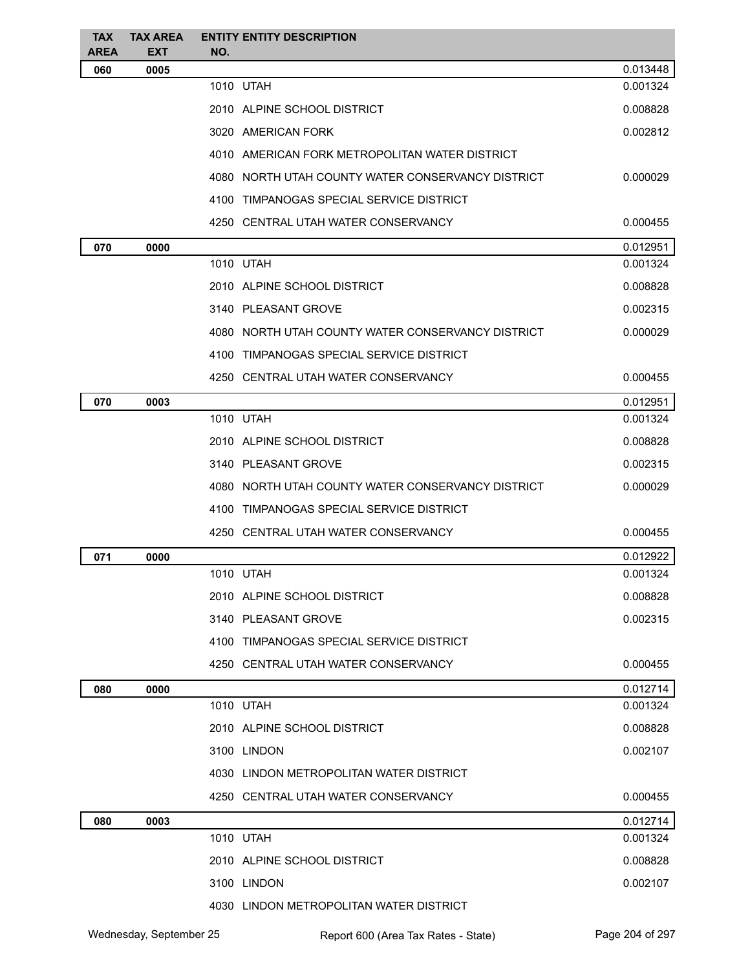| <b>TAX</b>         | <b>TAX AREA</b>    | <b>ENTITY ENTITY DESCRIPTION</b>                  |          |
|--------------------|--------------------|---------------------------------------------------|----------|
| <b>AREA</b><br>060 | <b>EXT</b><br>0005 | NO.                                               | 0.013448 |
|                    |                    | 1010 UTAH                                         | 0.001324 |
|                    |                    | 2010 ALPINE SCHOOL DISTRICT                       | 0.008828 |
|                    |                    | 3020 AMERICAN FORK                                | 0.002812 |
|                    |                    | 4010 AMERICAN FORK METROPOLITAN WATER DISTRICT    |          |
|                    |                    | 4080 NORTH UTAH COUNTY WATER CONSERVANCY DISTRICT | 0.000029 |
|                    |                    | 4100 TIMPANOGAS SPECIAL SERVICE DISTRICT          |          |
|                    |                    | 4250 CENTRAL UTAH WATER CONSERVANCY               | 0.000455 |
| 070                | 0000               |                                                   | 0.012951 |
|                    |                    | 1010 UTAH                                         | 0.001324 |
|                    |                    | 2010 ALPINE SCHOOL DISTRICT                       | 0.008828 |
|                    |                    | 3140 PLEASANT GROVE                               | 0.002315 |
|                    |                    | 4080 NORTH UTAH COUNTY WATER CONSERVANCY DISTRICT | 0.000029 |
|                    |                    | 4100 TIMPANOGAS SPECIAL SERVICE DISTRICT          |          |
|                    |                    | 4250 CENTRAL UTAH WATER CONSERVANCY               | 0.000455 |
| 070                | 0003               |                                                   | 0.012951 |
|                    |                    | 1010 UTAH                                         | 0.001324 |
|                    |                    | 2010 ALPINE SCHOOL DISTRICT                       | 0.008828 |
|                    |                    | 3140 PLEASANT GROVE                               | 0.002315 |
|                    |                    | 4080 NORTH UTAH COUNTY WATER CONSERVANCY DISTRICT | 0.000029 |
|                    |                    | 4100 TIMPANOGAS SPECIAL SERVICE DISTRICT          |          |
|                    |                    | 4250 CENTRAL UTAH WATER CONSERVANCY               | 0.000455 |
| 071                | 0000               |                                                   | 0.012922 |
|                    |                    | 1010 UTAH                                         | 0.001324 |
|                    |                    | 2010 ALPINE SCHOOL DISTRICT                       | 0.008828 |
|                    |                    | 3140 PLEASANT GROVE                               | 0.002315 |
|                    |                    | 4100 TIMPANOGAS SPECIAL SERVICE DISTRICT          |          |
|                    |                    | 4250 CENTRAL UTAH WATER CONSERVANCY               | 0.000455 |
| 080                | 0000               |                                                   | 0.012714 |
|                    |                    | 1010 UTAH                                         | 0.001324 |
|                    |                    | 2010 ALPINE SCHOOL DISTRICT                       | 0.008828 |
|                    |                    | 3100 LINDON                                       | 0.002107 |
|                    |                    | 4030 LINDON METROPOLITAN WATER DISTRICT           |          |
|                    |                    | 4250 CENTRAL UTAH WATER CONSERVANCY               | 0.000455 |
| 080                | 0003               |                                                   | 0.012714 |
|                    |                    | 1010 UTAH                                         | 0.001324 |
|                    |                    | 2010 ALPINE SCHOOL DISTRICT                       | 0.008828 |
|                    |                    | 3100 LINDON                                       | 0.002107 |
|                    |                    | 4030 LINDON METROPOLITAN WATER DISTRICT           |          |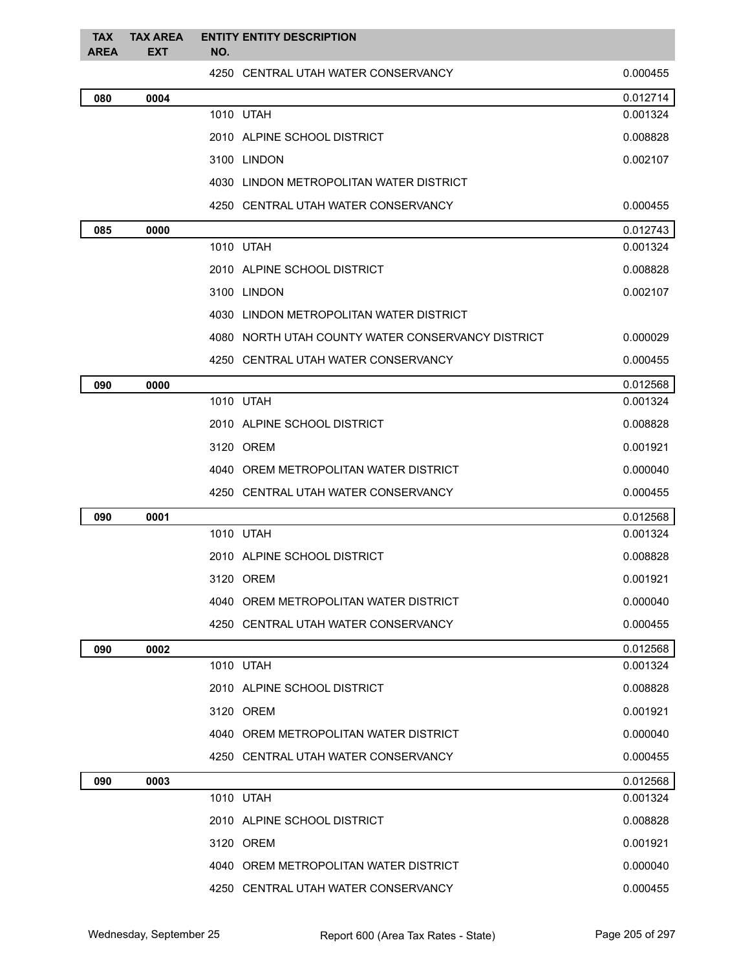| <b>TAX</b><br><b>AREA</b> | <b>TAX AREA</b><br><b>EXT</b> | <b>ENTITY ENTITY DESCRIPTION</b><br>NO.           |          |
|---------------------------|-------------------------------|---------------------------------------------------|----------|
|                           |                               | 4250 CENTRAL UTAH WATER CONSERVANCY               | 0.000455 |
| 080                       | 0004                          |                                                   | 0.012714 |
|                           |                               | 1010 UTAH                                         | 0.001324 |
|                           |                               | 2010 ALPINE SCHOOL DISTRICT                       | 0.008828 |
|                           |                               | 3100 LINDON                                       | 0.002107 |
|                           |                               | 4030 LINDON METROPOLITAN WATER DISTRICT           |          |
|                           |                               | 4250 CENTRAL UTAH WATER CONSERVANCY               | 0.000455 |
| 085                       | 0000                          |                                                   | 0.012743 |
|                           |                               | 1010 UTAH                                         | 0.001324 |
|                           |                               | 2010 ALPINE SCHOOL DISTRICT                       | 0.008828 |
|                           |                               | 3100 LINDON                                       | 0.002107 |
|                           |                               | 4030 LINDON METROPOLITAN WATER DISTRICT           |          |
|                           |                               | 4080 NORTH UTAH COUNTY WATER CONSERVANCY DISTRICT | 0.000029 |
|                           |                               | 4250 CENTRAL UTAH WATER CONSERVANCY               | 0.000455 |
| 090                       | 0000                          |                                                   | 0.012568 |
|                           |                               | 1010 UTAH                                         | 0.001324 |
|                           |                               | 2010 ALPINE SCHOOL DISTRICT                       | 0.008828 |
|                           |                               | 3120 OREM                                         | 0.001921 |
|                           |                               | 4040 OREM METROPOLITAN WATER DISTRICT             | 0.000040 |
|                           |                               | 4250 CENTRAL UTAH WATER CONSERVANCY               | 0.000455 |
| 090                       | 0001                          |                                                   | 0.012568 |
|                           |                               | 1010 UTAH                                         | 0.001324 |
|                           |                               | 2010 ALPINE SCHOOL DISTRICT                       | 0.008828 |
|                           |                               | 3120 OREM                                         | 0.001921 |
|                           |                               | 4040 OREM METROPOLITAN WATER DISTRICT             | 0.000040 |
|                           |                               | 4250 CENTRAL UTAH WATER CONSERVANCY               | 0.000455 |
| 090                       | 0002                          |                                                   | 0.012568 |
|                           |                               | 1010 UTAH                                         | 0.001324 |
|                           |                               | 2010 ALPINE SCHOOL DISTRICT                       | 0.008828 |
|                           |                               | 3120 OREM                                         | 0.001921 |
|                           |                               | 4040 OREM METROPOLITAN WATER DISTRICT             | 0.000040 |
|                           |                               | 4250 CENTRAL UTAH WATER CONSERVANCY               | 0.000455 |
| 090                       | 0003                          |                                                   | 0.012568 |
|                           |                               | 1010 UTAH                                         | 0.001324 |
|                           |                               | 2010 ALPINE SCHOOL DISTRICT                       | 0.008828 |
|                           |                               | 3120 OREM                                         | 0.001921 |
|                           |                               | 4040 OREM METROPOLITAN WATER DISTRICT             | 0.000040 |
|                           |                               | 4250 CENTRAL UTAH WATER CONSERVANCY               | 0.000455 |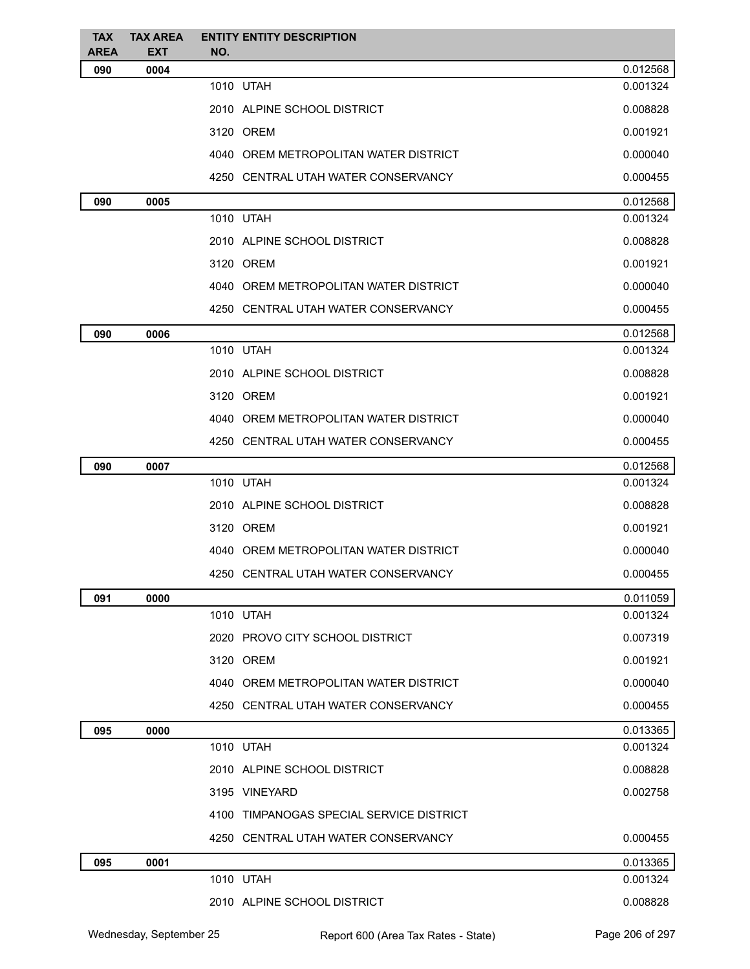| <b>TAX</b><br><b>AREA</b> | <b>TAX AREA</b><br><b>EXT</b> | <b>ENTITY ENTITY DESCRIPTION</b><br>NO.  |          |
|---------------------------|-------------------------------|------------------------------------------|----------|
| 090                       | 0004                          |                                          | 0.012568 |
|                           |                               | 1010 UTAH                                | 0.001324 |
|                           |                               | 2010 ALPINE SCHOOL DISTRICT              | 0.008828 |
|                           |                               | 3120 OREM                                | 0.001921 |
|                           |                               | 4040 OREM METROPOLITAN WATER DISTRICT    | 0.000040 |
|                           |                               | 4250 CENTRAL UTAH WATER CONSERVANCY      | 0.000455 |
| 090                       | 0005                          |                                          | 0.012568 |
|                           |                               | 1010 UTAH                                | 0.001324 |
|                           |                               | 2010 ALPINE SCHOOL DISTRICT              | 0.008828 |
|                           |                               | 3120 OREM                                | 0.001921 |
|                           |                               | 4040 OREM METROPOLITAN WATER DISTRICT    | 0.000040 |
|                           |                               | 4250 CENTRAL UTAH WATER CONSERVANCY      | 0.000455 |
| 090                       | 0006                          |                                          | 0.012568 |
|                           |                               | 1010 UTAH                                | 0.001324 |
|                           |                               | 2010 ALPINE SCHOOL DISTRICT              | 0.008828 |
|                           |                               | 3120 OREM                                | 0.001921 |
|                           |                               | 4040 OREM METROPOLITAN WATER DISTRICT    | 0.000040 |
|                           |                               | 4250 CENTRAL UTAH WATER CONSERVANCY      | 0.000455 |
| 090                       | 0007                          |                                          | 0.012568 |
|                           |                               | 1010 UTAH                                | 0.001324 |
|                           |                               | 2010 ALPINE SCHOOL DISTRICT              | 0.008828 |
|                           |                               | 3120 OREM                                | 0.001921 |
|                           |                               | 4040 OREM METROPOLITAN WATER DISTRICT    | 0.000040 |
|                           |                               | 4250 CENTRAL UTAH WATER CONSERVANCY      | 0.000455 |
| 091                       | 0000                          |                                          | 0.011059 |
|                           |                               | 1010 UTAH                                | 0.001324 |
|                           |                               | 2020 PROVO CITY SCHOOL DISTRICT          | 0.007319 |
|                           |                               | 3120 OREM                                | 0.001921 |
|                           |                               | 4040 OREM METROPOLITAN WATER DISTRICT    | 0.000040 |
|                           |                               | 4250 CENTRAL UTAH WATER CONSERVANCY      | 0.000455 |
| 095                       | 0000                          |                                          | 0.013365 |
|                           |                               | 1010 UTAH                                | 0.001324 |
|                           |                               | 2010 ALPINE SCHOOL DISTRICT              | 0.008828 |
|                           |                               | 3195 VINEYARD                            | 0.002758 |
|                           |                               | 4100 TIMPANOGAS SPECIAL SERVICE DISTRICT |          |
|                           |                               | 4250 CENTRAL UTAH WATER CONSERVANCY      | 0.000455 |
| 095                       | 0001                          |                                          | 0.013365 |
|                           |                               | 1010 UTAH                                | 0.001324 |
|                           |                               | 2010 ALPINE SCHOOL DISTRICT              | 0.008828 |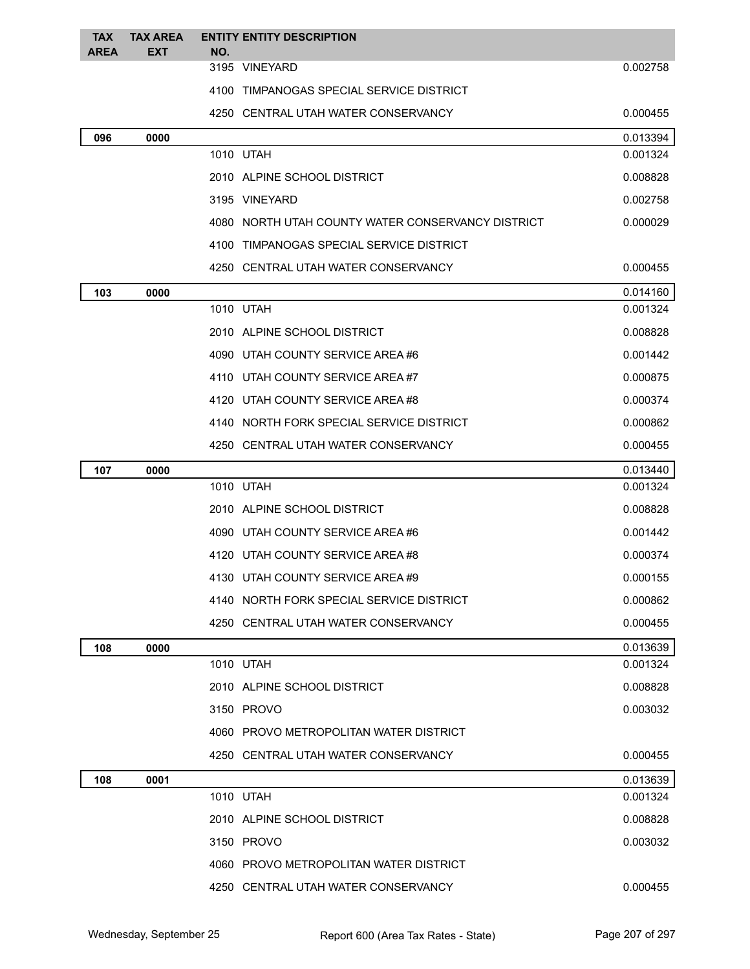| <b>TAX</b>  | <b>TAX AREA</b> | <b>ENTITY ENTITY DESCRIPTION</b>                  |          |
|-------------|-----------------|---------------------------------------------------|----------|
| <b>AREA</b> | <b>EXT</b>      | NO.<br>3195 VINEYARD                              | 0.002758 |
|             |                 | 4100 TIMPANOGAS SPECIAL SERVICE DISTRICT          |          |
|             |                 | 4250 CENTRAL UTAH WATER CONSERVANCY               | 0.000455 |
| 096         | 0000            |                                                   | 0.013394 |
|             |                 | 1010 UTAH                                         | 0.001324 |
|             |                 | 2010 ALPINE SCHOOL DISTRICT                       | 0.008828 |
|             |                 | 3195 VINEYARD                                     | 0.002758 |
|             |                 | 4080 NORTH UTAH COUNTY WATER CONSERVANCY DISTRICT | 0.000029 |
|             |                 | 4100 TIMPANOGAS SPECIAL SERVICE DISTRICT          |          |
|             |                 | 4250 CENTRAL UTAH WATER CONSERVANCY               | 0.000455 |
| 103         | 0000            |                                                   | 0.014160 |
|             |                 | 1010 UTAH                                         | 0.001324 |
|             |                 | 2010 ALPINE SCHOOL DISTRICT                       | 0.008828 |
|             |                 | 4090 UTAH COUNTY SERVICE AREA #6                  | 0.001442 |
|             |                 | 4110 UTAH COUNTY SERVICE AREA#7                   | 0.000875 |
|             |                 | 4120 UTAH COUNTY SERVICE AREA #8                  | 0.000374 |
|             |                 | 4140 NORTH FORK SPECIAL SERVICE DISTRICT          | 0.000862 |
|             |                 | 4250 CENTRAL UTAH WATER CONSERVANCY               | 0.000455 |
| 107         | 0000            |                                                   | 0.013440 |
|             |                 | 1010 UTAH                                         | 0.001324 |
|             |                 | 2010 ALPINE SCHOOL DISTRICT                       | 0.008828 |
|             |                 | 4090 UTAH COUNTY SERVICE AREA #6                  | 0.001442 |
|             |                 | 4120 UTAH COUNTY SERVICE AREA#8                   | 0.000374 |
|             |                 | 4130 UTAH COUNTY SERVICE AREA #9                  | 0.000155 |
|             |                 | 4140 NORTH FORK SPECIAL SERVICE DISTRICT          | 0.000862 |
|             |                 | 4250 CENTRAL UTAH WATER CONSERVANCY               | 0.000455 |
| 108         | 0000            |                                                   | 0.013639 |
|             |                 | 1010 UTAH                                         | 0.001324 |
|             |                 | 2010 ALPINE SCHOOL DISTRICT                       | 0.008828 |
|             |                 | 3150 PROVO                                        | 0.003032 |
|             |                 | 4060 PROVO METROPOLITAN WATER DISTRICT            |          |
|             |                 | 4250 CENTRAL UTAH WATER CONSERVANCY               | 0.000455 |
| 108         | 0001            |                                                   | 0.013639 |
|             |                 | 1010 UTAH                                         | 0.001324 |
|             |                 | 2010 ALPINE SCHOOL DISTRICT                       | 0.008828 |
|             |                 | 3150 PROVO                                        | 0.003032 |
|             |                 | 4060 PROVO METROPOLITAN WATER DISTRICT            |          |
|             |                 | 4250 CENTRAL UTAH WATER CONSERVANCY               | 0.000455 |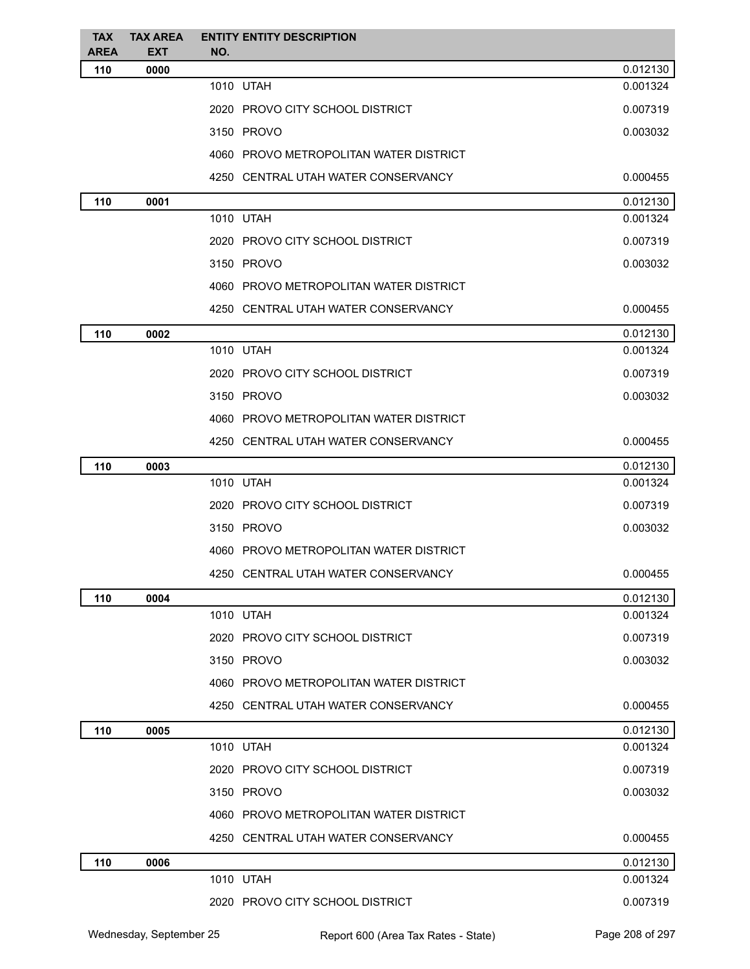| <b>TAX</b><br><b>AREA</b> | <b>TAX AREA</b><br><b>EXT</b> | <b>ENTITY ENTITY DESCRIPTION</b><br>NO. |          |
|---------------------------|-------------------------------|-----------------------------------------|----------|
| 110                       | 0000                          |                                         | 0.012130 |
|                           |                               | 1010 UTAH                               | 0.001324 |
|                           |                               | 2020 PROVO CITY SCHOOL DISTRICT         | 0.007319 |
|                           |                               | 3150 PROVO                              | 0.003032 |
|                           |                               | 4060 PROVO METROPOLITAN WATER DISTRICT  |          |
|                           |                               | 4250 CENTRAL UTAH WATER CONSERVANCY     | 0.000455 |
| 110                       | 0001                          |                                         | 0.012130 |
|                           |                               | 1010 UTAH                               | 0.001324 |
|                           |                               | 2020 PROVO CITY SCHOOL DISTRICT         | 0.007319 |
|                           |                               | 3150 PROVO                              | 0.003032 |
|                           |                               | 4060 PROVO METROPOLITAN WATER DISTRICT  |          |
|                           |                               | 4250 CENTRAL UTAH WATER CONSERVANCY     | 0.000455 |
| 110                       | 0002                          |                                         | 0.012130 |
|                           |                               | 1010 UTAH                               | 0.001324 |
|                           |                               | 2020 PROVO CITY SCHOOL DISTRICT         | 0.007319 |
|                           |                               | 3150 PROVO                              | 0.003032 |
|                           |                               | 4060 PROVO METROPOLITAN WATER DISTRICT  |          |
|                           |                               | 4250 CENTRAL UTAH WATER CONSERVANCY     | 0.000455 |
| 110                       | 0003                          |                                         | 0.012130 |
|                           |                               | 1010 UTAH                               | 0.001324 |
|                           |                               | 2020 PROVO CITY SCHOOL DISTRICT         | 0.007319 |
|                           |                               | 3150 PROVO                              | 0.003032 |
|                           |                               | 4060 PROVO METROPOLITAN WATER DISTRICT  |          |
|                           |                               | 4250 CENTRAL UTAH WATER CONSERVANCY     | 0.000455 |
| 110                       | 0004                          |                                         | 0.012130 |
|                           |                               | 1010 UTAH                               | 0.001324 |
|                           |                               | 2020 PROVO CITY SCHOOL DISTRICT         | 0.007319 |
|                           |                               | 3150 PROVO                              | 0.003032 |
|                           |                               | 4060 PROVO METROPOLITAN WATER DISTRICT  |          |
|                           |                               | 4250 CENTRAL UTAH WATER CONSERVANCY     | 0.000455 |
| 110                       | 0005                          |                                         | 0.012130 |
|                           |                               | 1010 UTAH                               | 0.001324 |
|                           |                               | 2020 PROVO CITY SCHOOL DISTRICT         | 0.007319 |
|                           |                               | 3150 PROVO                              | 0.003032 |
|                           |                               | 4060 PROVO METROPOLITAN WATER DISTRICT  |          |
|                           |                               | 4250 CENTRAL UTAH WATER CONSERVANCY     | 0.000455 |
| 110                       | 0006                          |                                         | 0.012130 |
|                           |                               | 1010 UTAH                               | 0.001324 |
|                           |                               | 2020 PROVO CITY SCHOOL DISTRICT         | 0.007319 |
|                           |                               |                                         |          |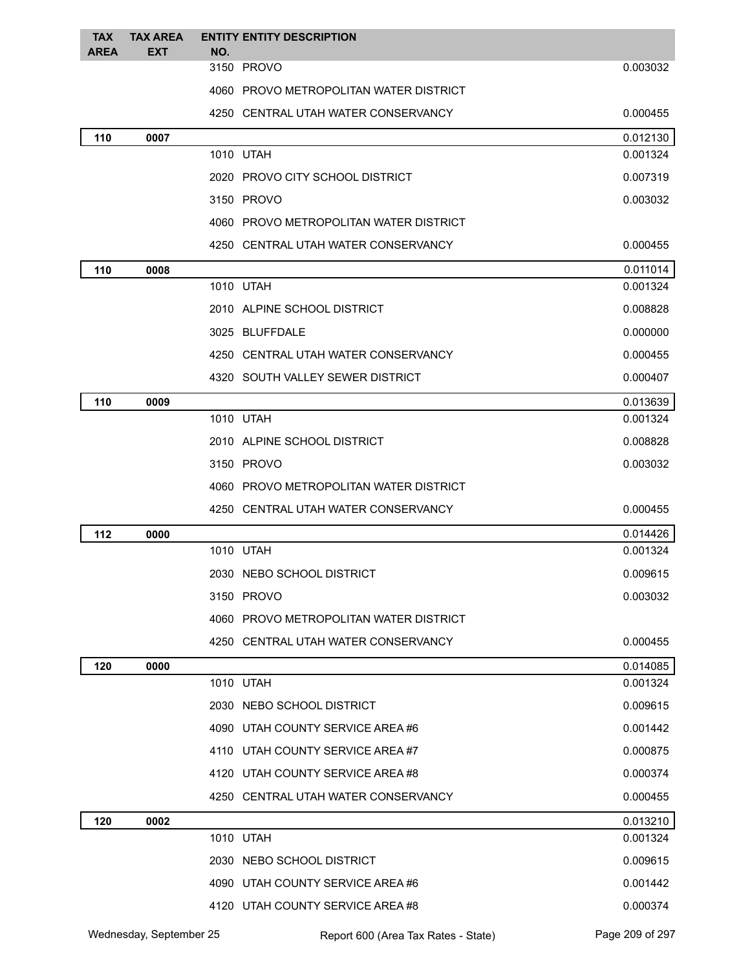| <b>TAX</b>  | <b>TAX AREA</b> |     | <b>ENTITY ENTITY DESCRIPTION</b>       |          |
|-------------|-----------------|-----|----------------------------------------|----------|
| <b>AREA</b> | <b>EXT</b>      | NO. | 3150 PROVO                             | 0.003032 |
|             |                 |     | 4060 PROVO METROPOLITAN WATER DISTRICT |          |
|             |                 |     | 4250 CENTRAL UTAH WATER CONSERVANCY    | 0.000455 |
| 110         | 0007            |     |                                        | 0.012130 |
|             |                 |     | 1010 UTAH                              | 0.001324 |
|             |                 |     | 2020 PROVO CITY SCHOOL DISTRICT        | 0.007319 |
|             |                 |     | 3150 PROVO                             | 0.003032 |
|             |                 |     | 4060 PROVO METROPOLITAN WATER DISTRICT |          |
|             |                 |     | 4250 CENTRAL UTAH WATER CONSERVANCY    | 0.000455 |
| 110         | 0008            |     |                                        | 0.011014 |
|             |                 |     | 1010 UTAH                              | 0.001324 |
|             |                 |     | 2010 ALPINE SCHOOL DISTRICT            | 0.008828 |
|             |                 |     | 3025 BLUFFDALE                         | 0.000000 |
|             |                 |     | 4250 CENTRAL UTAH WATER CONSERVANCY    | 0.000455 |
|             |                 |     | 4320 SOUTH VALLEY SEWER DISTRICT       | 0.000407 |
| 110         | 0009            |     |                                        | 0.013639 |
|             |                 |     | 1010 UTAH                              | 0.001324 |
|             |                 |     | 2010 ALPINE SCHOOL DISTRICT            | 0.008828 |
|             |                 |     | 3150 PROVO                             | 0.003032 |
|             |                 |     | 4060 PROVO METROPOLITAN WATER DISTRICT |          |
|             |                 |     | 4250 CENTRAL UTAH WATER CONSERVANCY    | 0.000455 |
| 112         | 0000            |     |                                        | 0.014426 |
|             |                 |     | 1010 UTAH                              | 0.001324 |
|             |                 |     | 2030 NEBO SCHOOL DISTRICT              | 0.009615 |
|             |                 |     | 3150 PROVO                             | 0.003032 |
|             |                 |     | 4060 PROVO METROPOLITAN WATER DISTRICT |          |
|             |                 |     | 4250 CENTRAL UTAH WATER CONSERVANCY    | 0.000455 |
| 120         | 0000            |     |                                        | 0.014085 |
|             |                 |     | 1010 UTAH                              | 0.001324 |
|             |                 |     | 2030 NEBO SCHOOL DISTRICT              | 0.009615 |
|             |                 |     | 4090 UTAH COUNTY SERVICE AREA #6       | 0.001442 |
|             |                 |     | 4110 UTAH COUNTY SERVICE AREA#7        | 0.000875 |
|             |                 |     | 4120 UTAH COUNTY SERVICE AREA #8       | 0.000374 |
|             |                 |     | 4250 CENTRAL UTAH WATER CONSERVANCY    | 0.000455 |
| 120         | 0002            |     |                                        | 0.013210 |
|             |                 |     | 1010 UTAH                              | 0.001324 |
|             |                 |     | 2030 NEBO SCHOOL DISTRICT              | 0.009615 |
|             |                 |     | 4090 UTAH COUNTY SERVICE AREA #6       | 0.001442 |
|             |                 |     | 4120 UTAH COUNTY SERVICE AREA #8       | 0.000374 |
|             |                 |     |                                        |          |

Wednesday, September 25 Report 600 (Area Tax Rates - State) Page 209 of 297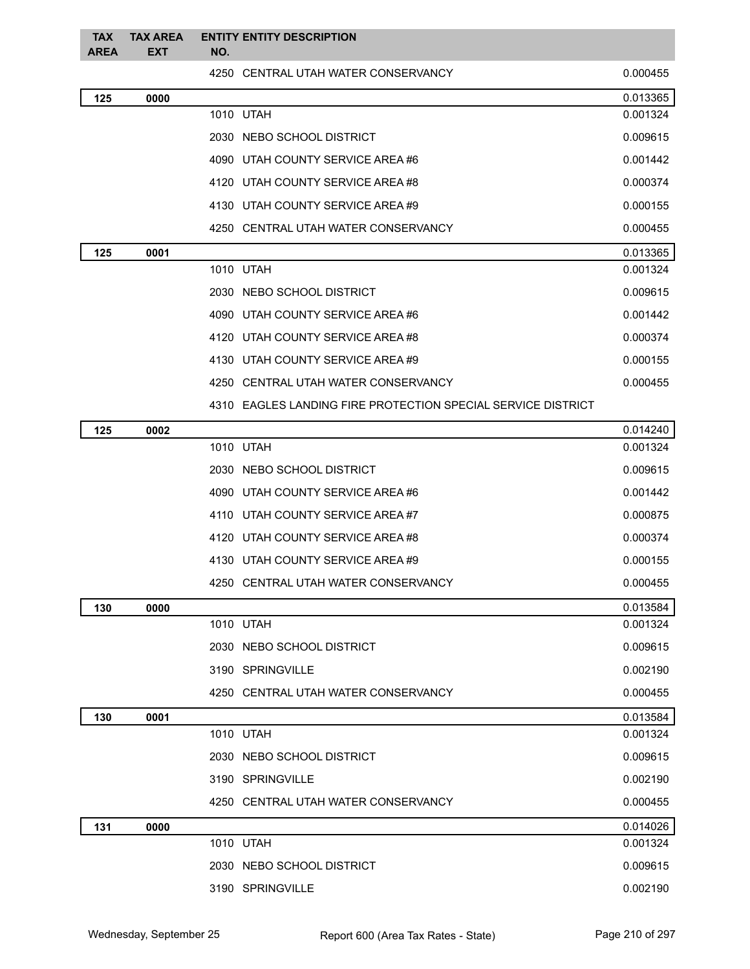| <b>TAX</b><br><b>AREA</b> | <b>TAX AREA</b><br><b>EXT</b> | NO. | <b>ENTITY ENTITY DESCRIPTION</b>                             |          |
|---------------------------|-------------------------------|-----|--------------------------------------------------------------|----------|
|                           |                               |     | 4250 CENTRAL UTAH WATER CONSERVANCY                          | 0.000455 |
| 125                       | 0000                          |     |                                                              | 0.013365 |
|                           |                               |     | 1010 UTAH                                                    | 0.001324 |
|                           |                               |     | 2030 NEBO SCHOOL DISTRICT                                    | 0.009615 |
|                           |                               |     | 4090 UTAH COUNTY SERVICE AREA #6                             | 0.001442 |
|                           |                               |     | 4120 UTAH COUNTY SERVICE AREA #8                             | 0.000374 |
|                           |                               |     | 4130 UTAH COUNTY SERVICE AREA #9                             | 0.000155 |
|                           |                               |     | 4250 CENTRAL UTAH WATER CONSERVANCY                          | 0.000455 |
| 125                       | 0001                          |     |                                                              | 0.013365 |
|                           |                               |     | 1010 UTAH                                                    | 0.001324 |
|                           |                               |     | 2030 NEBO SCHOOL DISTRICT                                    | 0.009615 |
|                           |                               |     | 4090 UTAH COUNTY SERVICE AREA #6                             | 0.001442 |
|                           |                               |     | 4120 UTAH COUNTY SERVICE AREA#8                              | 0.000374 |
|                           |                               |     | 4130 UTAH COUNTY SERVICE AREA #9                             | 0.000155 |
|                           |                               |     | 4250 CENTRAL UTAH WATER CONSERVANCY                          | 0.000455 |
|                           |                               |     | 4310 EAGLES LANDING FIRE PROTECTION SPECIAL SERVICE DISTRICT |          |
| 125                       | 0002                          |     |                                                              | 0.014240 |
|                           |                               |     | 1010 UTAH                                                    | 0.001324 |
|                           |                               |     | 2030 NEBO SCHOOL DISTRICT                                    | 0.009615 |
|                           |                               |     | 4090 UTAH COUNTY SERVICE AREA #6                             | 0.001442 |
|                           |                               |     | 4110 UTAH COUNTY SERVICE AREA#7                              | 0.000875 |
|                           |                               |     | 4120 UTAH COUNTY SERVICE AREA #8                             | 0.000374 |
|                           |                               |     | 4130 UTAH COUNTY SERVICE AREA #9                             | 0.000155 |
|                           |                               |     | 4250 CENTRAL UTAH WATER CONSERVANCY                          | 0.000455 |
| 130                       | 0000                          |     |                                                              | 0.013584 |
|                           |                               |     | 1010 UTAH                                                    | 0.001324 |
|                           |                               |     | 2030 NEBO SCHOOL DISTRICT                                    | 0.009615 |
|                           |                               |     | 3190 SPRINGVILLE                                             | 0.002190 |
|                           |                               |     | 4250 CENTRAL UTAH WATER CONSERVANCY                          | 0.000455 |
| 130                       | 0001                          |     |                                                              | 0.013584 |
|                           |                               |     | 1010 UTAH                                                    | 0.001324 |
|                           |                               |     | 2030 NEBO SCHOOL DISTRICT                                    | 0.009615 |
|                           |                               |     | 3190 SPRINGVILLE                                             | 0.002190 |
|                           |                               |     | 4250 CENTRAL UTAH WATER CONSERVANCY                          | 0.000455 |
| 131                       | 0000                          |     |                                                              | 0.014026 |
|                           |                               |     | 1010 UTAH                                                    | 0.001324 |
|                           |                               |     | 2030 NEBO SCHOOL DISTRICT                                    | 0.009615 |
|                           |                               |     | 3190 SPRINGVILLE                                             | 0.002190 |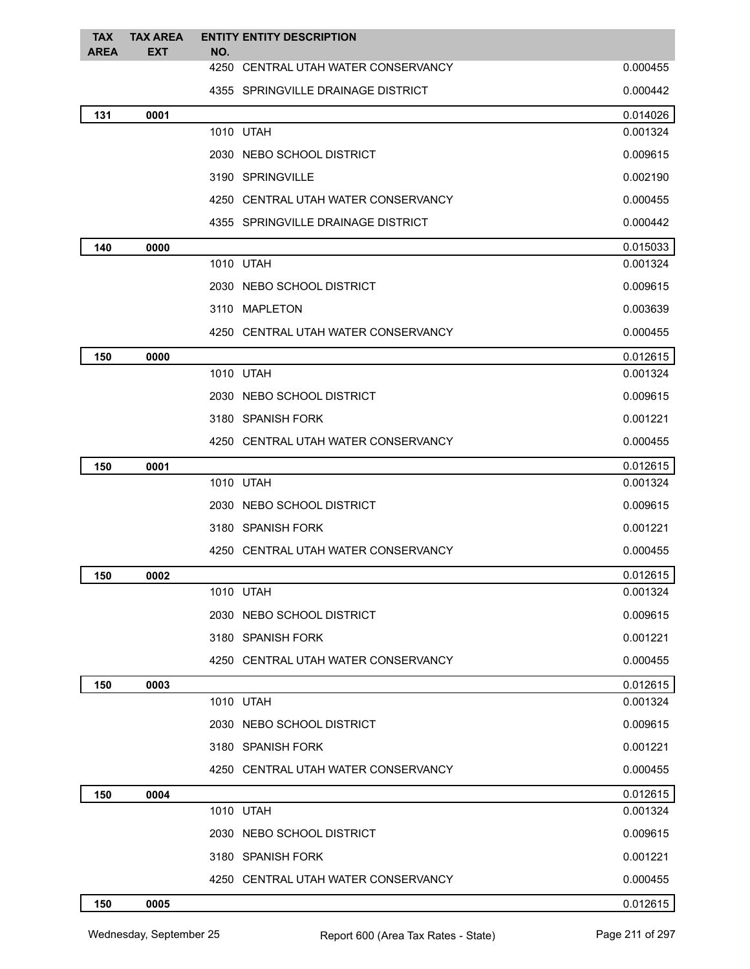| <b>TAX</b><br><b>AREA</b> | <b>TAX AREA</b><br><b>EXT</b> | <b>ENTITY ENTITY DESCRIPTION</b><br>NO. |          |
|---------------------------|-------------------------------|-----------------------------------------|----------|
|                           |                               | 4250 CENTRAL UTAH WATER CONSERVANCY     | 0.000455 |
|                           |                               | 4355 SPRINGVILLE DRAINAGE DISTRICT      | 0.000442 |
| 131                       | 0001                          |                                         | 0.014026 |
|                           |                               | 1010 UTAH                               | 0.001324 |
|                           |                               | 2030 NEBO SCHOOL DISTRICT               | 0.009615 |
|                           |                               | 3190 SPRINGVILLE                        | 0.002190 |
|                           |                               | 4250 CENTRAL UTAH WATER CONSERVANCY     | 0.000455 |
|                           |                               | 4355 SPRINGVILLE DRAINAGE DISTRICT      | 0.000442 |
| 140                       | 0000                          |                                         | 0.015033 |
|                           |                               | 1010 UTAH                               | 0.001324 |
|                           |                               | 2030 NEBO SCHOOL DISTRICT               | 0.009615 |
|                           |                               | 3110 MAPLETON                           | 0.003639 |
|                           |                               | 4250 CENTRAL UTAH WATER CONSERVANCY     | 0.000455 |
| 150                       | 0000                          |                                         | 0.012615 |
|                           |                               | 1010 UTAH                               | 0.001324 |
|                           |                               | 2030 NEBO SCHOOL DISTRICT               | 0.009615 |
|                           |                               | 3180 SPANISH FORK                       | 0.001221 |
|                           |                               | 4250 CENTRAL UTAH WATER CONSERVANCY     | 0.000455 |
| 150                       | 0001                          |                                         | 0.012615 |
|                           |                               | 1010 UTAH                               | 0.001324 |
|                           |                               | 2030 NEBO SCHOOL DISTRICT               | 0.009615 |
|                           |                               | 3180 SPANISH FORK                       | 0.001221 |
|                           |                               | 4250 CENTRAL UTAH WATER CONSERVANCY     | 0.000455 |
| 150                       | 0002                          |                                         | 0.012615 |
|                           |                               | 1010 UTAH                               | 0.001324 |
|                           |                               | 2030 NEBO SCHOOL DISTRICT               | 0.009615 |
|                           |                               | 3180 SPANISH FORK                       | 0.001221 |
|                           |                               | 4250 CENTRAL UTAH WATER CONSERVANCY     | 0.000455 |
| 150                       | 0003                          |                                         | 0.012615 |
|                           |                               | 1010 UTAH                               | 0.001324 |
|                           |                               | 2030 NEBO SCHOOL DISTRICT               | 0.009615 |
|                           |                               | 3180 SPANISH FORK                       | 0.001221 |
|                           |                               | 4250 CENTRAL UTAH WATER CONSERVANCY     | 0.000455 |
| 150                       | 0004                          |                                         | 0.012615 |
|                           |                               | 1010 UTAH                               | 0.001324 |
|                           |                               | 2030 NEBO SCHOOL DISTRICT               | 0.009615 |
|                           |                               | 3180 SPANISH FORK                       | 0.001221 |
|                           |                               | 4250 CENTRAL UTAH WATER CONSERVANCY     | 0.000455 |
| 150                       | 0005                          |                                         | 0.012615 |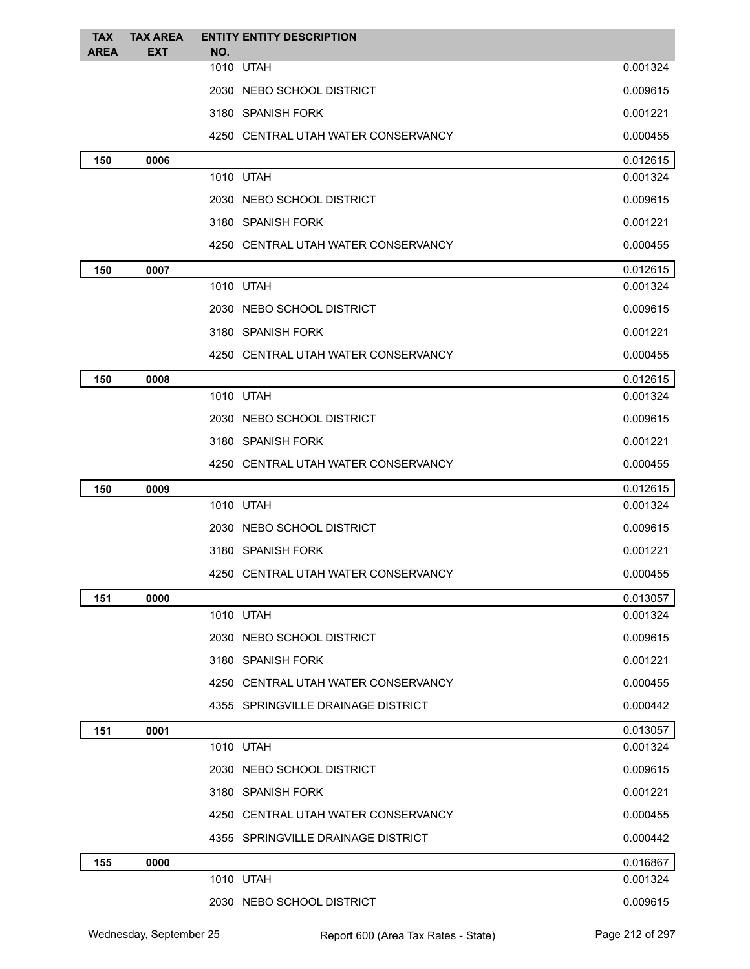| <b>TAX</b>  | <b>TAX AREA</b> | <b>ENTITY ENTITY DESCRIPTION</b>    |          |
|-------------|-----------------|-------------------------------------|----------|
| <b>AREA</b> | <b>EXT</b>      | NO.<br>1010 UTAH                    | 0.001324 |
|             |                 | 2030 NEBO SCHOOL DISTRICT           | 0.009615 |
|             |                 | 3180 SPANISH FORK                   | 0.001221 |
|             |                 | 4250 CENTRAL UTAH WATER CONSERVANCY | 0.000455 |
| 150         | 0006            |                                     | 0.012615 |
|             |                 | 1010 UTAH                           | 0.001324 |
|             |                 | 2030 NEBO SCHOOL DISTRICT           | 0.009615 |
|             |                 | 3180 SPANISH FORK                   | 0.001221 |
|             |                 | 4250 CENTRAL UTAH WATER CONSERVANCY | 0.000455 |
| 150         | 0007            |                                     | 0.012615 |
|             |                 | 1010 UTAH                           | 0.001324 |
|             |                 | 2030 NEBO SCHOOL DISTRICT           | 0.009615 |
|             |                 | 3180 SPANISH FORK                   | 0.001221 |
|             |                 | 4250 CENTRAL UTAH WATER CONSERVANCY | 0.000455 |
| 150         | 0008            |                                     | 0.012615 |
|             |                 | 1010 UTAH                           | 0.001324 |
|             |                 | 2030 NEBO SCHOOL DISTRICT           | 0.009615 |
|             |                 | 3180 SPANISH FORK                   | 0.001221 |
|             |                 | 4250 CENTRAL UTAH WATER CONSERVANCY | 0.000455 |
| 150         | 0009            |                                     | 0.012615 |
|             |                 | 1010 UTAH                           | 0.001324 |
|             |                 | 2030 NEBO SCHOOL DISTRICT           | 0.009615 |
|             |                 | 3180 SPANISH FORK                   | 0.001221 |
|             |                 | 4250 CENTRAL UTAH WATER CONSERVANCY | 0.000455 |
| 151         | 0000            |                                     | 0.013057 |
|             |                 | 1010 UTAH                           | 0.001324 |
|             |                 | 2030 NEBO SCHOOL DISTRICT           | 0.009615 |
|             |                 | 3180 SPANISH FORK                   | 0.001221 |
|             |                 | 4250 CENTRAL UTAH WATER CONSERVANCY | 0.000455 |
|             |                 | 4355 SPRINGVILLE DRAINAGE DISTRICT  | 0.000442 |
| 151         | 0001            |                                     | 0.013057 |
|             |                 | 1010 UTAH                           | 0.001324 |
|             |                 | 2030 NEBO SCHOOL DISTRICT           | 0.009615 |
|             |                 | 3180 SPANISH FORK                   | 0.001221 |
|             |                 | 4250 CENTRAL UTAH WATER CONSERVANCY | 0.000455 |
|             |                 | 4355 SPRINGVILLE DRAINAGE DISTRICT  | 0.000442 |
| 155         | 0000            |                                     | 0.016867 |
|             |                 | 1010 UTAH                           | 0.001324 |
|             |                 | 2030 NEBO SCHOOL DISTRICT           | 0.009615 |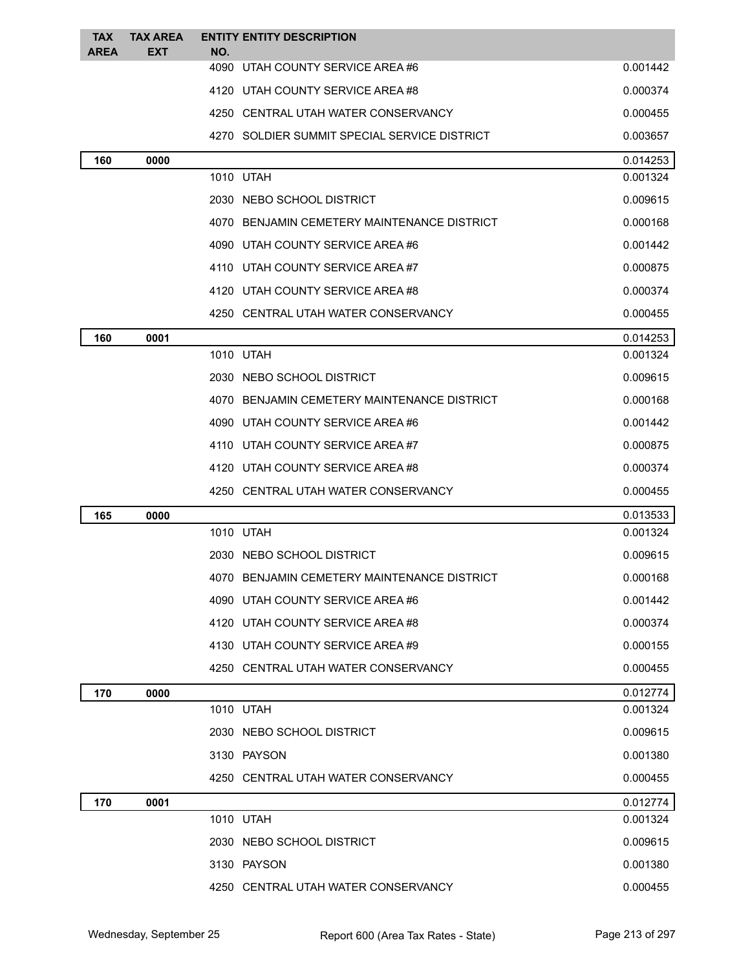| <b>TAX</b>  | <b>TAX AREA</b> | <b>ENTITY ENTITY DESCRIPTION</b> |                                                          |
|-------------|-----------------|----------------------------------|----------------------------------------------------------|
| <b>AREA</b> | EXT             | NO.                              |                                                          |
|             |                 | 4090 UTAH COUNTY SERVICE AREA #6 | 0.001442                                                 |
|             |                 | 4120 UTAH COUNTY SERVICE AREA#8  | 0.000374                                                 |
|             |                 |                                  | 4250 CENTRAL UTAH WATER CONSERVANCY<br>0.000455          |
|             |                 |                                  | 4270 SOLDIER SUMMIT SPECIAL SERVICE DISTRICT<br>0.003657 |
| 160         | 0000            |                                  | 0.014253                                                 |
|             |                 | 1010 UTAH                        | 0.001324                                                 |
|             |                 | 2030 NEBO SCHOOL DISTRICT        | 0.009615                                                 |
|             |                 |                                  | 4070 BENJAMIN CEMETERY MAINTENANCE DISTRICT<br>0.000168  |
|             |                 | 4090 UTAH COUNTY SERVICE AREA #6 | 0.001442                                                 |
|             |                 | 4110 UTAH COUNTY SERVICE AREA#7  | 0.000875                                                 |
|             |                 | 4120 UTAH COUNTY SERVICE AREA#8  | 0.000374                                                 |
|             |                 |                                  | 4250 CENTRAL UTAH WATER CONSERVANCY<br>0.000455          |
| 160         | 0001            |                                  | 0.014253                                                 |
|             |                 | 1010 UTAH                        | 0.001324                                                 |
|             |                 | 2030 NEBO SCHOOL DISTRICT        | 0.009615                                                 |
|             |                 |                                  | 4070 BENJAMIN CEMETERY MAINTENANCE DISTRICT<br>0.000168  |
|             |                 | 4090                             | UTAH COUNTY SERVICE AREA #6<br>0.001442                  |
|             |                 | 4110 UTAH COUNTY SERVICE AREA#7  | 0.000875                                                 |
|             |                 | 4120 UTAH COUNTY SERVICE AREA #8 | 0.000374                                                 |
|             |                 |                                  | 4250 CENTRAL UTAH WATER CONSERVANCY<br>0.000455          |
| 165         | 0000            |                                  | 0.013533                                                 |
|             |                 | 1010 UTAH                        | 0.001324                                                 |
|             |                 | 2030 NEBO SCHOOL DISTRICT        | 0.009615                                                 |
|             |                 |                                  | 4070 BENJAMIN CEMETERY MAINTENANCE DISTRICT<br>0.000168  |
|             |                 | 4090 UTAH COUNTY SERVICE AREA #6 | 0.001442                                                 |
|             |                 | 4120 UTAH COUNTY SERVICE AREA #8 | 0.000374                                                 |
|             |                 | 4130 UTAH COUNTY SERVICE AREA#9  | 0.000155                                                 |
|             |                 |                                  | 4250 CENTRAL UTAH WATER CONSERVANCY<br>0.000455          |
| 170         | 0000            |                                  | 0.012774                                                 |
|             |                 | 1010 UTAH                        | 0.001324                                                 |
|             |                 | 2030 NEBO SCHOOL DISTRICT        | 0.009615                                                 |
|             |                 | 3130 PAYSON                      | 0.001380                                                 |
|             |                 |                                  | 4250 CENTRAL UTAH WATER CONSERVANCY<br>0.000455          |
| 170         | 0001            |                                  | 0.012774                                                 |
|             |                 | 1010 UTAH                        | 0.001324                                                 |
|             |                 | 2030 NEBO SCHOOL DISTRICT        | 0.009615                                                 |
|             |                 | 3130 PAYSON                      | 0.001380                                                 |
|             |                 |                                  | 4250 CENTRAL UTAH WATER CONSERVANCY<br>0.000455          |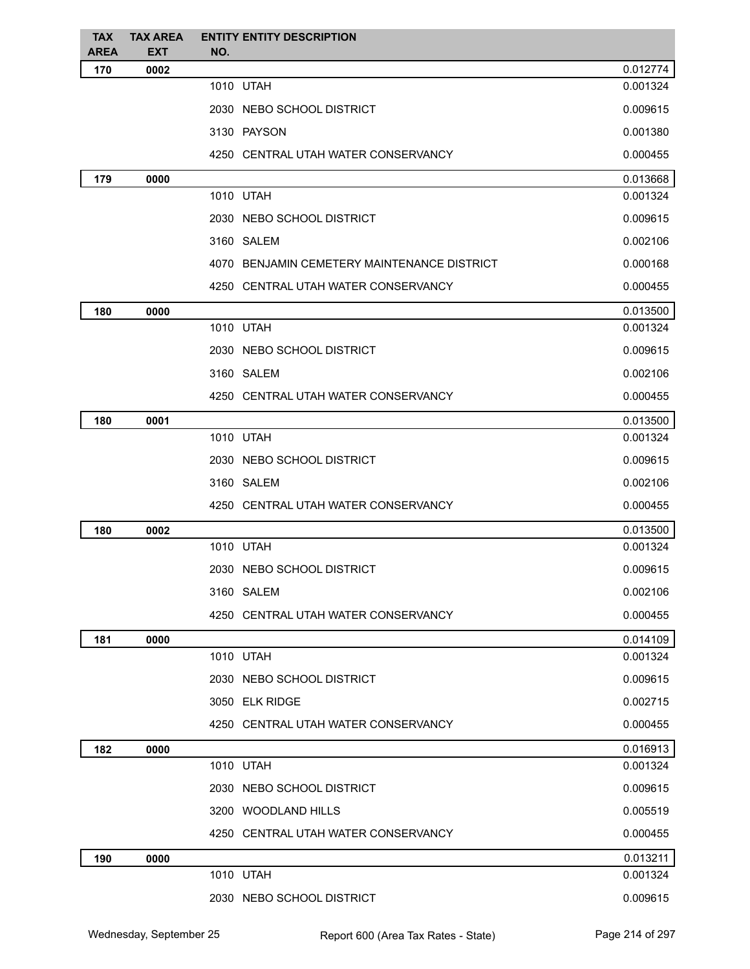| <b>TAX</b><br><b>AREA</b> | <b>TAX AREA</b><br><b>EXT</b> | <b>ENTITY ENTITY DESCRIPTION</b><br>NO.     |          |
|---------------------------|-------------------------------|---------------------------------------------|----------|
| 170                       | 0002                          |                                             | 0.012774 |
|                           |                               | 1010 UTAH                                   | 0.001324 |
|                           |                               | 2030 NEBO SCHOOL DISTRICT                   | 0.009615 |
|                           |                               | 3130 PAYSON                                 | 0.001380 |
|                           |                               | 4250 CENTRAL UTAH WATER CONSERVANCY         | 0.000455 |
| 179                       | 0000                          |                                             | 0.013668 |
|                           |                               | 1010 UTAH                                   | 0.001324 |
|                           |                               | 2030 NEBO SCHOOL DISTRICT                   | 0.009615 |
|                           |                               | 3160 SALEM                                  | 0.002106 |
|                           |                               | 4070 BENJAMIN CEMETERY MAINTENANCE DISTRICT | 0.000168 |
|                           |                               | 4250 CENTRAL UTAH WATER CONSERVANCY         | 0.000455 |
| 180                       | 0000                          |                                             | 0.013500 |
|                           |                               | 1010 UTAH                                   | 0.001324 |
|                           |                               | 2030 NEBO SCHOOL DISTRICT                   | 0.009615 |
|                           |                               | 3160 SALEM                                  | 0.002106 |
|                           |                               | 4250 CENTRAL UTAH WATER CONSERVANCY         | 0.000455 |
| 180                       | 0001                          |                                             | 0.013500 |
|                           |                               | 1010 UTAH                                   | 0.001324 |
|                           |                               | 2030 NEBO SCHOOL DISTRICT                   | 0.009615 |
|                           |                               | 3160 SALEM                                  | 0.002106 |
|                           |                               | 4250 CENTRAL UTAH WATER CONSERVANCY         | 0.000455 |
| 180                       | 0002                          |                                             | 0.013500 |
|                           |                               | 1010 UTAH                                   | 0.001324 |
|                           |                               | 2030 NEBO SCHOOL DISTRICT                   | 0.009615 |
|                           |                               | 3160 SALEM                                  | 0.002106 |
|                           |                               | 4250 CENTRAL UTAH WATER CONSERVANCY         | 0.000455 |
| 181                       | 0000                          |                                             | 0.014109 |
|                           |                               | 1010 UTAH                                   | 0.001324 |
|                           |                               | 2030 NEBO SCHOOL DISTRICT                   | 0.009615 |
|                           |                               | 3050 ELK RIDGE                              | 0.002715 |
|                           |                               | 4250 CENTRAL UTAH WATER CONSERVANCY         | 0.000455 |
| 182                       | 0000                          |                                             | 0.016913 |
|                           |                               | 1010 UTAH                                   | 0.001324 |
|                           |                               | 2030 NEBO SCHOOL DISTRICT                   | 0.009615 |
|                           |                               | 3200 WOODLAND HILLS                         | 0.005519 |
|                           |                               | 4250 CENTRAL UTAH WATER CONSERVANCY         | 0.000455 |
| 190                       | 0000                          |                                             | 0.013211 |
|                           |                               | 1010 UTAH                                   | 0.001324 |
|                           |                               | 2030 NEBO SCHOOL DISTRICT                   | 0.009615 |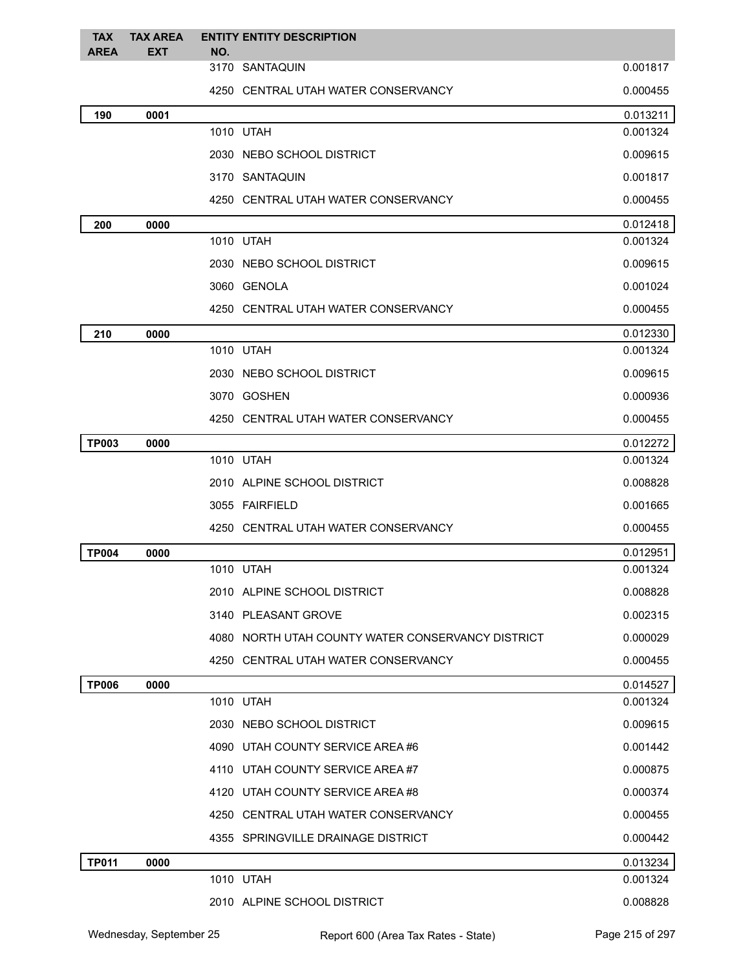| <b>TAX</b>   | <b>TAX AREA</b> |     | <b>ENTITY ENTITY DESCRIPTION</b>                  |                      |
|--------------|-----------------|-----|---------------------------------------------------|----------------------|
| <b>AREA</b>  | <b>EXT</b>      | NO. | 3170 SANTAQUIN                                    | 0.001817             |
|              |                 |     |                                                   |                      |
|              |                 |     | 4250 CENTRAL UTAH WATER CONSERVANCY               | 0.000455             |
| 190          | 0001            |     |                                                   | 0.013211             |
|              |                 |     | 1010 UTAH                                         | 0.001324             |
|              |                 |     | 2030 NEBO SCHOOL DISTRICT                         | 0.009615             |
|              |                 |     | 3170 SANTAQUIN                                    | 0.001817             |
|              |                 |     | 4250 CENTRAL UTAH WATER CONSERVANCY               | 0.000455             |
| 200          | 0000            |     |                                                   | 0.012418             |
|              |                 |     | 1010 UTAH                                         | 0.001324             |
|              |                 |     | 2030 NEBO SCHOOL DISTRICT                         | 0.009615             |
|              |                 |     | 3060 GENOLA                                       | 0.001024             |
|              |                 |     | 4250 CENTRAL UTAH WATER CONSERVANCY               | 0.000455             |
| 210          | 0000            |     |                                                   | 0.012330             |
|              |                 |     | 1010 UTAH                                         | 0.001324             |
|              |                 |     | 2030 NEBO SCHOOL DISTRICT                         | 0.009615             |
|              |                 |     | 3070 GOSHEN                                       | 0.000936             |
|              |                 |     | 4250 CENTRAL UTAH WATER CONSERVANCY               | 0.000455             |
| <b>TP003</b> | 0000            |     |                                                   | 0.012272             |
|              |                 |     | 1010 UTAH                                         | 0.001324             |
|              |                 |     | 2010 ALPINE SCHOOL DISTRICT                       | 0.008828             |
|              |                 |     | 3055 FAIRFIELD                                    | 0.001665             |
|              |                 |     | 4250 CENTRAL UTAH WATER CONSERVANCY               | 0.000455             |
| <b>TP004</b> | 0000            |     |                                                   | 0.012951             |
|              |                 |     | 1010 UTAH                                         | 0.001324             |
|              |                 |     | 2010 ALPINE SCHOOL DISTRICT                       | 0.008828             |
|              |                 |     | 3140 PLEASANT GROVE                               | 0.002315             |
|              |                 |     | 4080 NORTH UTAH COUNTY WATER CONSERVANCY DISTRICT | 0.000029             |
|              |                 |     | 4250 CENTRAL UTAH WATER CONSERVANCY               | 0.000455             |
| <b>TP006</b> | 0000            |     |                                                   | 0.014527             |
|              |                 |     | 1010 UTAH                                         | 0.001324             |
|              |                 |     | 2030 NEBO SCHOOL DISTRICT                         | 0.009615             |
|              |                 |     | 4090 UTAH COUNTY SERVICE AREA #6                  | 0.001442             |
|              |                 |     | 4110 UTAH COUNTY SERVICE AREA#7                   | 0.000875             |
|              |                 |     | 4120 UTAH COUNTY SERVICE AREA #8                  | 0.000374             |
|              |                 |     | 4250 CENTRAL UTAH WATER CONSERVANCY               | 0.000455             |
|              |                 |     |                                                   |                      |
|              |                 |     | 4355 SPRINGVILLE DRAINAGE DISTRICT                | 0.000442             |
| <b>TP011</b> | 0000            |     | 1010 UTAH                                         | 0.013234<br>0.001324 |
|              |                 |     |                                                   |                      |
|              |                 |     | 2010 ALPINE SCHOOL DISTRICT                       | 0.008828             |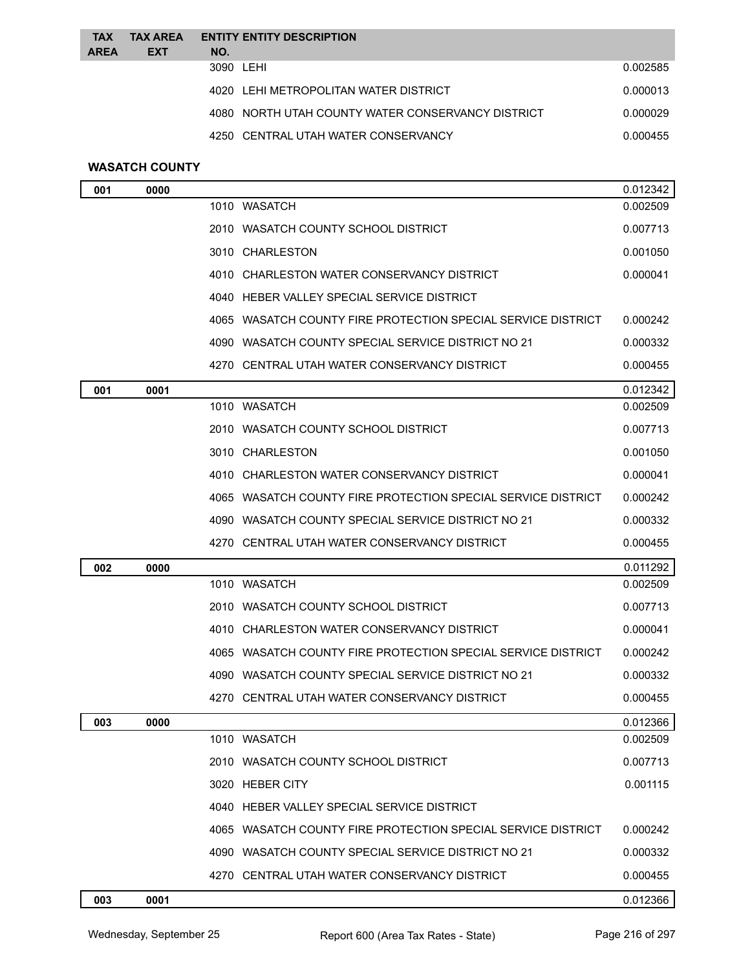| <b>TAX</b>  | <b>TAX AREA</b> |           | <b>ENTITY ENTITY DESCRIPTION</b>                  |          |
|-------------|-----------------|-----------|---------------------------------------------------|----------|
| <b>AREA</b> | <b>EXT</b>      | NO.       |                                                   |          |
|             |                 | 3090 LEHI |                                                   | 0.002585 |
|             |                 |           | 4020 LEHI METROPOLITAN WATER DISTRICT             | 0.000013 |
|             |                 |           | 4080 NORTH UTAH COUNTY WATER CONSERVANCY DISTRICT | 0.000029 |
|             |                 |           | 4250 CENTRAL UTAH WATER CONSERVANCY               | 0.000455 |
|             |                 |           |                                                   |          |

# **WASATCH COUNTY**

| 001 | 0000 |                                                              | 0.012342 |
|-----|------|--------------------------------------------------------------|----------|
|     |      | 1010 WASATCH                                                 | 0.002509 |
|     |      | 2010 WASATCH COUNTY SCHOOL DISTRICT                          | 0.007713 |
|     |      | 3010 CHARLESTON                                              | 0.001050 |
|     |      | 4010 CHARLESTON WATER CONSERVANCY DISTRICT                   | 0.000041 |
|     |      | 4040 HEBER VALLEY SPECIAL SERVICE DISTRICT                   |          |
|     |      | 4065 WASATCH COUNTY FIRE PROTECTION SPECIAL SERVICE DISTRICT | 0.000242 |
|     |      | 4090 WASATCH COUNTY SPECIAL SERVICE DISTRICT NO 21           | 0.000332 |
|     |      | 4270   CENTRAL UTAH WATER CONSERVANCY DISTRICT               | 0.000455 |
| 001 | 0001 |                                                              | 0.012342 |
|     |      | 1010 WASATCH                                                 | 0.002509 |
|     |      | 2010   WASATCH COUNTY SCHOOL DISTRICT                        | 0.007713 |
|     |      | 3010 CHARLESTON                                              | 0.001050 |
|     |      | 4010 CHARLESTON WATER CONSERVANCY DISTRICT                   | 0.000041 |
|     |      | 4065 WASATCH COUNTY FIRE PROTECTION SPECIAL SERVICE DISTRICT | 0.000242 |
|     |      | 4090 WASATCH COUNTY SPECIAL SERVICE DISTRICT NO 21           | 0.000332 |
|     |      | 4270 CENTRAL UTAH WATER CONSERVANCY DISTRICT                 | 0.000455 |
| 002 | 0000 |                                                              | 0.011292 |
|     |      | 1010 WASATCH                                                 | 0.002509 |
|     |      | 2010   WASATCH COUNTY SCHOOL DISTRICT                        | 0.007713 |
|     |      | 4010 CHARLESTON WATER CONSERVANCY DISTRICT                   | 0.000041 |
|     |      | 4065 WASATCH COUNTY FIRE PROTECTION SPECIAL SERVICE DISTRICT | 0.000242 |
|     |      | WASATCH COUNTY SPECIAL SERVICE DISTRICT NO 21<br>4090        | 0.000332 |
|     |      | 4270 CENTRAL UTAH WATER CONSERVANCY DISTRICT                 | 0.000455 |
| 003 | 0000 |                                                              | 0.012366 |
|     |      | 1010 WASATCH                                                 | 0.002509 |
|     |      | 2010 WASATCH COUNTY SCHOOL DISTRICT                          | 0.007713 |
|     |      | 3020 HEBER CITY                                              | 0.001115 |
|     |      | 4040 HEBER VALLEY SPECIAL SERVICE DISTRICT                   |          |
|     |      | 4065 WASATCH COUNTY FIRE PROTECTION SPECIAL SERVICE DISTRICT | 0.000242 |
|     |      | 4090 WASATCH COUNTY SPECIAL SERVICE DISTRICT NO 21           | 0.000332 |
|     |      | 4270 CENTRAL UTAH WATER CONSERVANCY DISTRICT                 | 0.000455 |
| 003 | 0001 |                                                              | 0.012366 |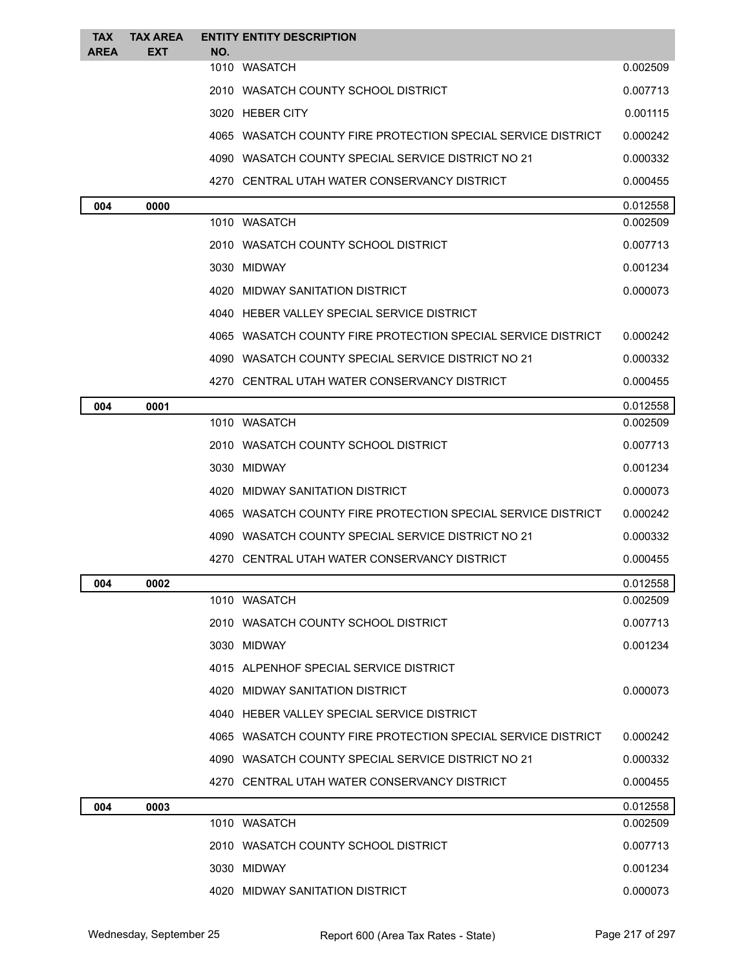| <b>TAX</b>  | <b>TAX AREA</b> |     | <b>ENTITY ENTITY DESCRIPTION</b>                             |          |
|-------------|-----------------|-----|--------------------------------------------------------------|----------|
| <b>AREA</b> | EXT             | NO. | 1010 WASATCH                                                 | 0.002509 |
|             |                 |     | 2010 WASATCH COUNTY SCHOOL DISTRICT                          | 0.007713 |
|             |                 |     | 3020 HEBER CITY                                              | 0.001115 |
|             |                 |     | 4065 WASATCH COUNTY FIRE PROTECTION SPECIAL SERVICE DISTRICT | 0.000242 |
|             |                 |     | 4090 WASATCH COUNTY SPECIAL SERVICE DISTRICT NO 21           | 0.000332 |
|             |                 |     | 4270 CENTRAL UTAH WATER CONSERVANCY DISTRICT                 | 0.000455 |
| 004         | 0000            |     |                                                              | 0.012558 |
|             |                 |     | 1010 WASATCH                                                 | 0.002509 |
|             |                 |     | 2010 WASATCH COUNTY SCHOOL DISTRICT                          | 0.007713 |
|             |                 |     | 3030 MIDWAY                                                  | 0.001234 |
|             |                 |     | 4020 MIDWAY SANITATION DISTRICT                              | 0.000073 |
|             |                 |     | 4040 HEBER VALLEY SPECIAL SERVICE DISTRICT                   |          |
|             |                 |     | 4065 WASATCH COUNTY FIRE PROTECTION SPECIAL SERVICE DISTRICT | 0.000242 |
|             |                 |     | 4090 WASATCH COUNTY SPECIAL SERVICE DISTRICT NO 21           | 0.000332 |
|             |                 |     | 4270 CENTRAL UTAH WATER CONSERVANCY DISTRICT                 | 0.000455 |
| 004         | 0001            |     |                                                              | 0.012558 |
|             |                 |     | 1010 WASATCH                                                 | 0.002509 |
|             |                 |     | 2010 WASATCH COUNTY SCHOOL DISTRICT                          | 0.007713 |
|             |                 |     | 3030 MIDWAY                                                  | 0.001234 |
|             |                 |     | 4020 MIDWAY SANITATION DISTRICT                              | 0.000073 |
|             |                 |     | 4065 WASATCH COUNTY FIRE PROTECTION SPECIAL SERVICE DISTRICT | 0.000242 |
|             |                 |     | 4090 WASATCH COUNTY SPECIAL SERVICE DISTRICT NO 21           | 0.000332 |
|             |                 |     | 4270 CENTRAL UTAH WATER CONSERVANCY DISTRICT                 | 0.000455 |
| 004         | 0002            |     |                                                              | 0.012558 |
|             |                 |     | 1010 WASATCH                                                 | 0.002509 |
|             |                 |     | 2010 WASATCH COUNTY SCHOOL DISTRICT                          | 0.007713 |
|             |                 |     | 3030 MIDWAY                                                  | 0.001234 |
|             |                 |     | 4015 ALPENHOF SPECIAL SERVICE DISTRICT                       |          |
|             |                 |     | 4020 MIDWAY SANITATION DISTRICT                              | 0.000073 |
|             |                 |     | 4040 HEBER VALLEY SPECIAL SERVICE DISTRICT                   |          |
|             |                 |     | 4065 WASATCH COUNTY FIRE PROTECTION SPECIAL SERVICE DISTRICT | 0.000242 |
|             |                 |     | 4090 WASATCH COUNTY SPECIAL SERVICE DISTRICT NO 21           | 0.000332 |
|             |                 |     | 4270 CENTRAL UTAH WATER CONSERVANCY DISTRICT                 | 0.000455 |
| 004         | 0003            |     |                                                              | 0.012558 |
|             |                 |     | 1010 WASATCH                                                 | 0.002509 |
|             |                 |     | 2010 WASATCH COUNTY SCHOOL DISTRICT                          | 0.007713 |
|             |                 |     | 3030 MIDWAY                                                  | 0.001234 |
|             |                 |     | 4020 MIDWAY SANITATION DISTRICT                              | 0.000073 |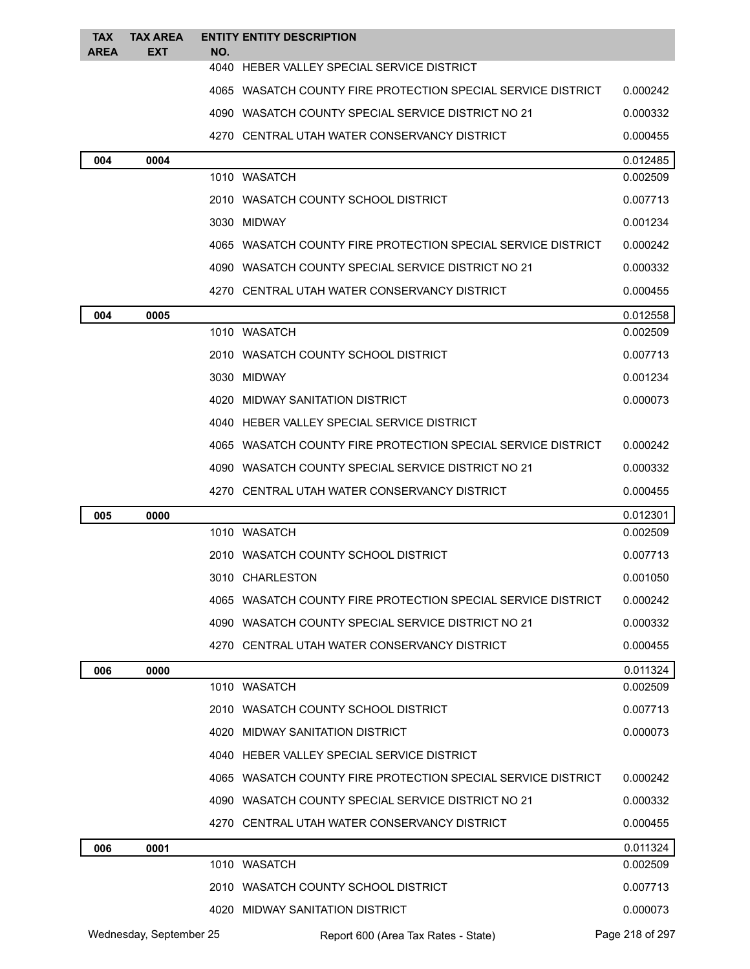| <b>TAX</b><br><b>AREA</b> | <b>TAX AREA</b><br><b>EXT</b> | NO. | <b>ENTITY ENTITY DESCRIPTION</b>                             |                 |
|---------------------------|-------------------------------|-----|--------------------------------------------------------------|-----------------|
|                           |                               |     | 4040 HEBER VALLEY SPECIAL SERVICE DISTRICT                   |                 |
|                           |                               |     | 4065 WASATCH COUNTY FIRE PROTECTION SPECIAL SERVICE DISTRICT | 0.000242        |
|                           |                               |     | 4090 WASATCH COUNTY SPECIAL SERVICE DISTRICT NO 21           | 0.000332        |
|                           |                               |     | 4270 CENTRAL UTAH WATER CONSERVANCY DISTRICT                 | 0.000455        |
| 004                       | 0004                          |     |                                                              | 0.012485        |
|                           |                               |     | 1010 WASATCH                                                 | 0.002509        |
|                           |                               |     | 2010 WASATCH COUNTY SCHOOL DISTRICT                          | 0.007713        |
|                           |                               |     | 3030 MIDWAY                                                  | 0.001234        |
|                           |                               |     | 4065 WASATCH COUNTY FIRE PROTECTION SPECIAL SERVICE DISTRICT | 0.000242        |
|                           |                               |     | 4090 WASATCH COUNTY SPECIAL SERVICE DISTRICT NO 21           | 0.000332        |
|                           |                               |     | 4270 CENTRAL UTAH WATER CONSERVANCY DISTRICT                 | 0.000455        |
| 004                       | 0005                          |     |                                                              | 0.012558        |
|                           |                               |     | 1010 WASATCH                                                 | 0.002509        |
|                           |                               |     | 2010 WASATCH COUNTY SCHOOL DISTRICT                          | 0.007713        |
|                           |                               |     | 3030 MIDWAY                                                  | 0.001234        |
|                           |                               |     | 4020 MIDWAY SANITATION DISTRICT                              | 0.000073        |
|                           |                               |     | 4040 HEBER VALLEY SPECIAL SERVICE DISTRICT                   |                 |
|                           |                               |     | 4065 WASATCH COUNTY FIRE PROTECTION SPECIAL SERVICE DISTRICT | 0.000242        |
|                           |                               |     | 4090 WASATCH COUNTY SPECIAL SERVICE DISTRICT NO 21           | 0.000332        |
|                           |                               |     | 4270 CENTRAL UTAH WATER CONSERVANCY DISTRICT                 | 0.000455        |
| 005                       | 0000                          |     |                                                              | 0.012301        |
|                           |                               |     | 1010 WASATCH                                                 | 0.002509        |
|                           |                               |     | 2010 WASATCH COUNTY SCHOOL DISTRICT                          | 0.007713        |
|                           |                               |     | 3010 CHARLESTON                                              | 0.001050        |
|                           |                               |     | 4065 WASATCH COUNTY FIRE PROTECTION SPECIAL SERVICE DISTRICT | 0.000242        |
|                           |                               |     | 4090 WASATCH COUNTY SPECIAL SERVICE DISTRICT NO 21           | 0.000332        |
|                           |                               |     | 4270 CENTRAL UTAH WATER CONSERVANCY DISTRICT                 | 0.000455        |
| 006                       | 0000                          |     |                                                              | 0.011324        |
|                           |                               |     | 1010 WASATCH                                                 | 0.002509        |
|                           |                               |     | 2010 WASATCH COUNTY SCHOOL DISTRICT                          | 0.007713        |
|                           |                               |     | 4020 MIDWAY SANITATION DISTRICT                              | 0.000073        |
|                           |                               |     | 4040 HEBER VALLEY SPECIAL SERVICE DISTRICT                   |                 |
|                           |                               |     | 4065 WASATCH COUNTY FIRE PROTECTION SPECIAL SERVICE DISTRICT | 0.000242        |
|                           |                               |     | 4090 WASATCH COUNTY SPECIAL SERVICE DISTRICT NO 21           | 0.000332        |
|                           |                               |     | 4270 CENTRAL UTAH WATER CONSERVANCY DISTRICT                 | 0.000455        |
| 006                       | 0001                          |     |                                                              | 0.011324        |
|                           |                               |     | 1010 WASATCH                                                 | 0.002509        |
|                           |                               |     | 2010 WASATCH COUNTY SCHOOL DISTRICT                          | 0.007713        |
|                           |                               |     | 4020 MIDWAY SANITATION DISTRICT                              | 0.000073        |
|                           | Wednesday, September 25       |     | Report 600 (Area Tax Rates - State)                          | Page 218 of 297 |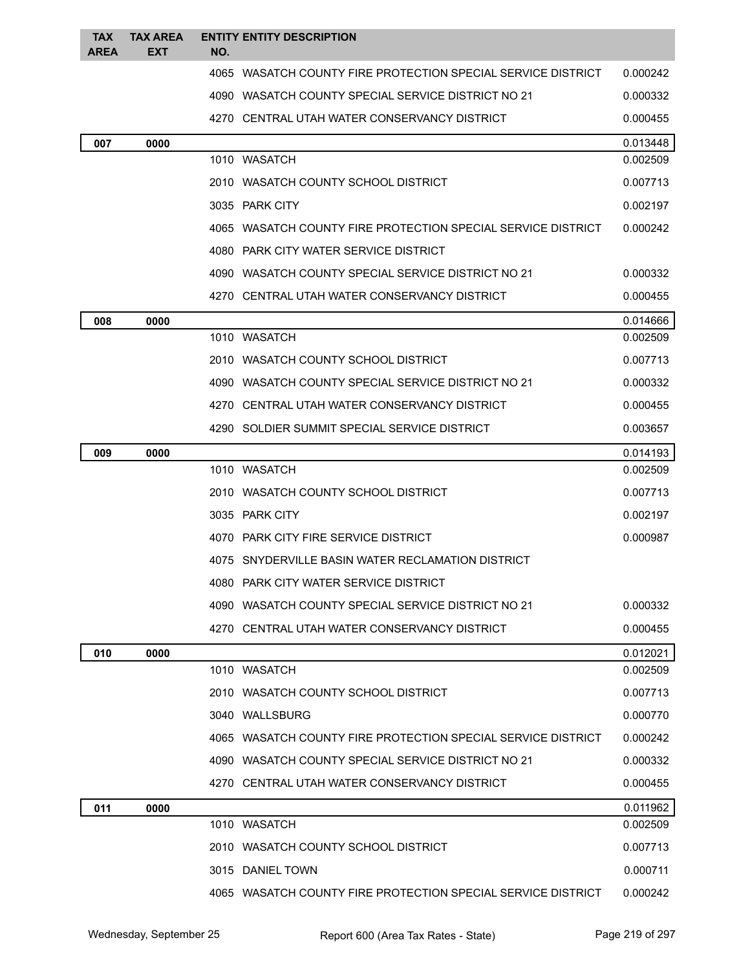| <b>TAX</b><br><b>AREA</b> | <b>TAX AREA</b><br><b>EXT</b> | NO. | <b>ENTITY ENTITY DESCRIPTION</b>                             |          |
|---------------------------|-------------------------------|-----|--------------------------------------------------------------|----------|
|                           |                               |     | 4065 WASATCH COUNTY FIRE PROTECTION SPECIAL SERVICE DISTRICT | 0.000242 |
|                           |                               |     | 4090 WASATCH COUNTY SPECIAL SERVICE DISTRICT NO 21           | 0.000332 |
|                           |                               |     | 4270 CENTRAL UTAH WATER CONSERVANCY DISTRICT                 | 0.000455 |
| 007                       | 0000                          |     |                                                              | 0.013448 |
|                           |                               |     | 1010 WASATCH                                                 | 0.002509 |
|                           |                               |     | 2010 WASATCH COUNTY SCHOOL DISTRICT                          | 0.007713 |
|                           |                               |     | 3035 PARK CITY                                               | 0.002197 |
|                           |                               |     | 4065 WASATCH COUNTY FIRE PROTECTION SPECIAL SERVICE DISTRICT | 0.000242 |
|                           |                               |     | 4080 PARK CITY WATER SERVICE DISTRICT                        |          |
|                           |                               |     | 4090 WASATCH COUNTY SPECIAL SERVICE DISTRICT NO 21           | 0.000332 |
|                           |                               |     | 4270 CENTRAL UTAH WATER CONSERVANCY DISTRICT                 | 0.000455 |
| 008                       | 0000                          |     |                                                              | 0.014666 |
|                           |                               |     | 1010 WASATCH                                                 | 0.002509 |
|                           |                               |     | 2010 WASATCH COUNTY SCHOOL DISTRICT                          | 0.007713 |
|                           |                               |     | 4090 WASATCH COUNTY SPECIAL SERVICE DISTRICT NO 21           | 0.000332 |
|                           |                               |     | 4270 CENTRAL UTAH WATER CONSERVANCY DISTRICT                 | 0.000455 |
|                           |                               |     | 4290 SOLDIER SUMMIT SPECIAL SERVICE DISTRICT                 | 0.003657 |
| 009                       | 0000                          |     |                                                              | 0.014193 |
|                           |                               |     | 1010 WASATCH                                                 | 0.002509 |
|                           |                               |     | 2010 WASATCH COUNTY SCHOOL DISTRICT                          | 0.007713 |
|                           |                               |     | 3035 PARK CITY                                               | 0.002197 |
|                           |                               |     | 4070 PARK CITY FIRE SERVICE DISTRICT                         | 0.000987 |
|                           |                               |     | 4075 SNYDERVILLE BASIN WATER RECLAMATION DISTRICT            |          |
|                           |                               |     | 4080 PARK CITY WATER SERVICE DISTRICT                        |          |
|                           |                               |     | 4090 WASATCH COUNTY SPECIAL SERVICE DISTRICT NO 21           | 0.000332 |
|                           |                               |     | 4270 CENTRAL UTAH WATER CONSERVANCY DISTRICT                 | 0.000455 |
| 010                       | 0000                          |     |                                                              | 0.012021 |
|                           |                               |     | 1010 WASATCH                                                 | 0.002509 |
|                           |                               |     | 2010 WASATCH COUNTY SCHOOL DISTRICT                          | 0.007713 |
|                           |                               |     | 3040 WALLSBURG                                               | 0.000770 |
|                           |                               |     | 4065 WASATCH COUNTY FIRE PROTECTION SPECIAL SERVICE DISTRICT | 0.000242 |
|                           |                               |     | 4090 WASATCH COUNTY SPECIAL SERVICE DISTRICT NO 21           | 0.000332 |
|                           |                               |     | 4270 CENTRAL UTAH WATER CONSERVANCY DISTRICT                 | 0.000455 |
| 011                       | 0000                          |     |                                                              | 0.011962 |
|                           |                               |     | 1010 WASATCH                                                 | 0.002509 |
|                           |                               |     | 2010 WASATCH COUNTY SCHOOL DISTRICT                          | 0.007713 |
|                           |                               |     | 3015 DANIEL TOWN                                             | 0.000711 |
|                           |                               |     | 4065 WASATCH COUNTY FIRE PROTECTION SPECIAL SERVICE DISTRICT | 0.000242 |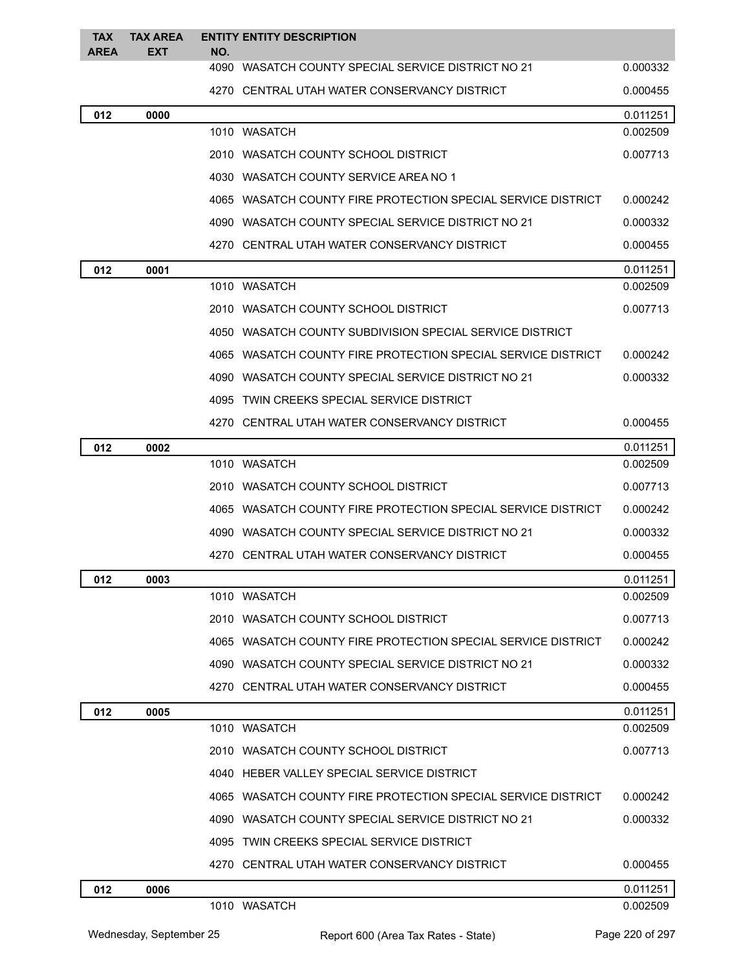| <b>TAX</b><br><b>AREA</b> | <b>TAX AREA</b><br><b>EXT</b> | NO. | <b>ENTITY ENTITY DESCRIPTION</b>                             |          |
|---------------------------|-------------------------------|-----|--------------------------------------------------------------|----------|
|                           |                               |     | 4090 WASATCH COUNTY SPECIAL SERVICE DISTRICT NO 21           | 0.000332 |
|                           |                               |     | 4270 CENTRAL UTAH WATER CONSERVANCY DISTRICT                 | 0.000455 |
| 012                       | 0000                          |     |                                                              | 0.011251 |
|                           |                               |     | 1010 WASATCH                                                 | 0.002509 |
|                           |                               |     | 2010 WASATCH COUNTY SCHOOL DISTRICT                          | 0.007713 |
|                           |                               |     | 4030 WASATCH COUNTY SERVICE AREA NO 1                        |          |
|                           |                               |     | 4065 WASATCH COUNTY FIRE PROTECTION SPECIAL SERVICE DISTRICT | 0.000242 |
|                           |                               |     | 4090 WASATCH COUNTY SPECIAL SERVICE DISTRICT NO 21           | 0.000332 |
|                           |                               |     | 4270 CENTRAL UTAH WATER CONSERVANCY DISTRICT                 | 0.000455 |
| 012                       | 0001                          |     |                                                              | 0.011251 |
|                           |                               |     | 1010 WASATCH                                                 | 0.002509 |
|                           |                               |     | 2010 WASATCH COUNTY SCHOOL DISTRICT                          | 0.007713 |
|                           |                               |     | 4050 WASATCH COUNTY SUBDIVISION SPECIAL SERVICE DISTRICT     |          |
|                           |                               |     | 4065 WASATCH COUNTY FIRE PROTECTION SPECIAL SERVICE DISTRICT | 0.000242 |
|                           |                               |     | 4090 WASATCH COUNTY SPECIAL SERVICE DISTRICT NO 21           | 0.000332 |
|                           |                               |     | 4095 TWIN CREEKS SPECIAL SERVICE DISTRICT                    |          |
|                           |                               |     | 4270 CENTRAL UTAH WATER CONSERVANCY DISTRICT                 | 0.000455 |
| 012                       | 0002                          |     |                                                              | 0.011251 |
|                           |                               |     | 1010 WASATCH                                                 | 0.002509 |
|                           |                               |     | 2010 WASATCH COUNTY SCHOOL DISTRICT                          | 0.007713 |
|                           |                               |     | 4065 WASATCH COUNTY FIRE PROTECTION SPECIAL SERVICE DISTRICT | 0.000242 |
|                           |                               |     | 4090 WASATCH COUNTY SPECIAL SERVICE DISTRICT NO 21           | 0.000332 |
|                           |                               |     | 4270 CENTRAL UTAH WATER CONSERVANCY DISTRICT                 | 0.000455 |
| 012                       | 0003                          |     |                                                              | 0.011251 |
|                           |                               |     | 1010 WASATCH                                                 | 0.002509 |
|                           |                               |     | 2010 WASATCH COUNTY SCHOOL DISTRICT                          | 0.007713 |
|                           |                               |     | 4065 WASATCH COUNTY FIRE PROTECTION SPECIAL SERVICE DISTRICT | 0.000242 |
|                           |                               |     | 4090 WASATCH COUNTY SPECIAL SERVICE DISTRICT NO 21           | 0.000332 |
|                           |                               |     | 4270 CENTRAL UTAH WATER CONSERVANCY DISTRICT                 | 0.000455 |
| 012                       | 0005                          |     |                                                              | 0.011251 |
|                           |                               |     | 1010 WASATCH                                                 | 0.002509 |
|                           |                               |     | 2010 WASATCH COUNTY SCHOOL DISTRICT                          | 0.007713 |
|                           |                               |     | 4040 HEBER VALLEY SPECIAL SERVICE DISTRICT                   |          |
|                           |                               |     | 4065 WASATCH COUNTY FIRE PROTECTION SPECIAL SERVICE DISTRICT | 0.000242 |
|                           |                               |     | 4090 WASATCH COUNTY SPECIAL SERVICE DISTRICT NO 21           | 0.000332 |
|                           |                               |     | 4095 TWIN CREEKS SPECIAL SERVICE DISTRICT                    |          |
|                           |                               |     | 4270 CENTRAL UTAH WATER CONSERVANCY DISTRICT                 | 0.000455 |
| 012                       | 0006                          |     |                                                              | 0.011251 |
|                           |                               |     | 1010 WASATCH                                                 | 0.002509 |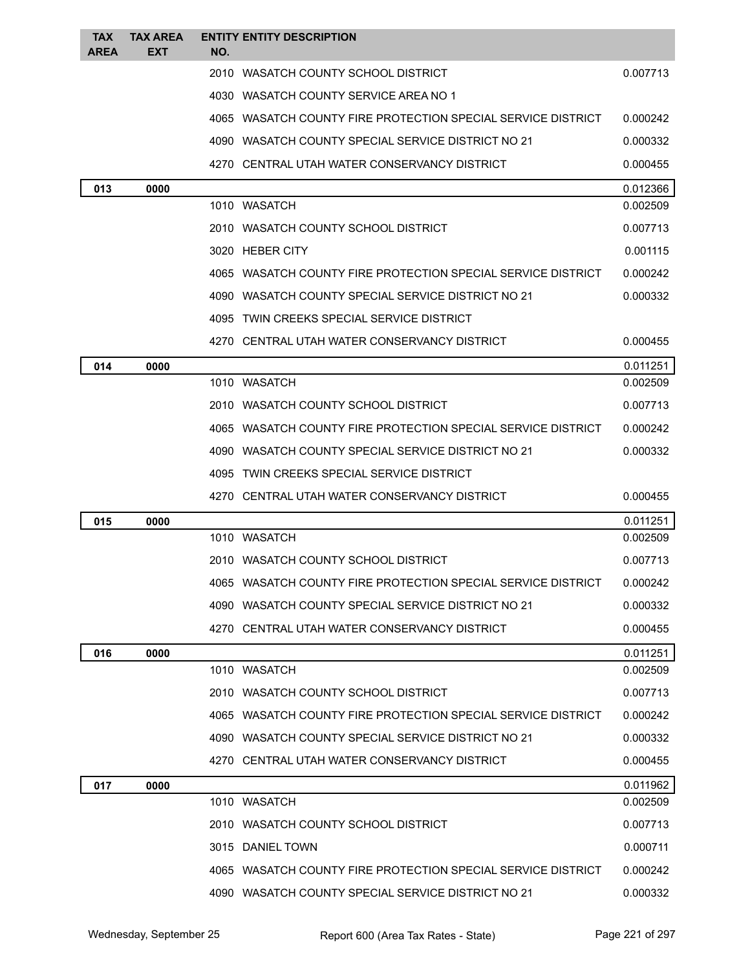| <b>TAX</b><br><b>AREA</b> | <b>TAX AREA</b><br><b>EXT</b> | <b>ENTITY ENTITY DESCRIPTION</b><br>NO.                      |          |
|---------------------------|-------------------------------|--------------------------------------------------------------|----------|
|                           |                               | 2010 WASATCH COUNTY SCHOOL DISTRICT                          | 0.007713 |
|                           |                               | 4030 WASATCH COUNTY SERVICE AREA NO 1                        |          |
|                           |                               | 4065 WASATCH COUNTY FIRE PROTECTION SPECIAL SERVICE DISTRICT | 0.000242 |
|                           |                               | 4090 WASATCH COUNTY SPECIAL SERVICE DISTRICT NO 21           | 0.000332 |
|                           |                               | 4270 CENTRAL UTAH WATER CONSERVANCY DISTRICT                 | 0.000455 |
| 013                       | 0000                          |                                                              | 0.012366 |
|                           |                               | 1010 WASATCH                                                 | 0.002509 |
|                           |                               | 2010 WASATCH COUNTY SCHOOL DISTRICT                          | 0.007713 |
|                           |                               | 3020 HEBER CITY                                              | 0.001115 |
|                           |                               | 4065 WASATCH COUNTY FIRE PROTECTION SPECIAL SERVICE DISTRICT | 0.000242 |
|                           |                               | 4090 WASATCH COUNTY SPECIAL SERVICE DISTRICT NO 21           | 0.000332 |
|                           |                               | 4095 TWIN CREEKS SPECIAL SERVICE DISTRICT                    |          |
|                           |                               | 4270 CENTRAL UTAH WATER CONSERVANCY DISTRICT                 | 0.000455 |
| 014                       | 0000                          |                                                              | 0.011251 |
|                           |                               | 1010 WASATCH                                                 | 0.002509 |
|                           |                               | 2010 WASATCH COUNTY SCHOOL DISTRICT                          | 0.007713 |
|                           |                               | 4065 WASATCH COUNTY FIRE PROTECTION SPECIAL SERVICE DISTRICT | 0.000242 |
|                           |                               | 4090 WASATCH COUNTY SPECIAL SERVICE DISTRICT NO 21           | 0.000332 |
|                           |                               | 4095 TWIN CREEKS SPECIAL SERVICE DISTRICT                    |          |
|                           |                               | 4270 CENTRAL UTAH WATER CONSERVANCY DISTRICT                 | 0.000455 |
| 015                       | 0000                          |                                                              | 0.011251 |
|                           |                               | 1010 WASATCH                                                 | 0.002509 |
|                           |                               | 2010 WASATCH COUNTY SCHOOL DISTRICT                          | 0.007713 |
|                           |                               | 4065 WASATCH COUNTY FIRE PROTECTION SPECIAL SERVICE DISTRICT | 0.000242 |
|                           |                               | 4090 WASATCH COUNTY SPECIAL SERVICE DISTRICT NO 21           | 0.000332 |
|                           |                               | 4270 CENTRAL UTAH WATER CONSERVANCY DISTRICT                 | 0.000455 |
| 016                       | 0000                          |                                                              | 0.011251 |
|                           |                               | 1010 WASATCH                                                 | 0.002509 |
|                           |                               | 2010 WASATCH COUNTY SCHOOL DISTRICT                          | 0.007713 |
|                           |                               | 4065 WASATCH COUNTY FIRE PROTECTION SPECIAL SERVICE DISTRICT | 0.000242 |
|                           |                               | 4090 WASATCH COUNTY SPECIAL SERVICE DISTRICT NO 21           | 0.000332 |
|                           |                               | 4270 CENTRAL UTAH WATER CONSERVANCY DISTRICT                 | 0.000455 |
| 017                       | 0000                          |                                                              | 0.011962 |
|                           |                               | 1010 WASATCH                                                 | 0.002509 |
|                           |                               | 2010 WASATCH COUNTY SCHOOL DISTRICT                          | 0.007713 |
|                           |                               | 3015 DANIEL TOWN                                             | 0.000711 |
|                           |                               | 4065 WASATCH COUNTY FIRE PROTECTION SPECIAL SERVICE DISTRICT | 0.000242 |
|                           |                               | 4090 WASATCH COUNTY SPECIAL SERVICE DISTRICT NO 21           | 0.000332 |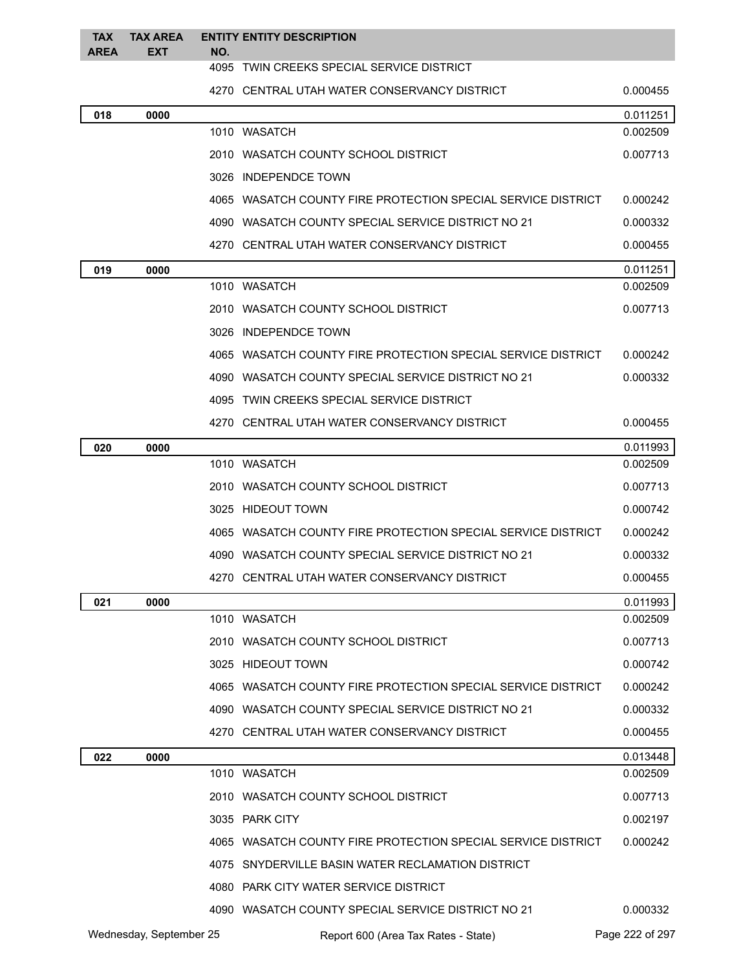| <b>TAX</b>  | <b>TAX AREA</b> |     | <b>ENTITY ENTITY DESCRIPTION</b>                             |          |
|-------------|-----------------|-----|--------------------------------------------------------------|----------|
| <b>AREA</b> | <b>EXT</b>      | NO. | 4095 TWIN CREEKS SPECIAL SERVICE DISTRICT                    |          |
|             |                 |     | 4270 CENTRAL UTAH WATER CONSERVANCY DISTRICT                 | 0.000455 |
| 018         | 0000            |     |                                                              | 0.011251 |
|             |                 |     | 1010 WASATCH                                                 | 0.002509 |
|             |                 |     | 2010 WASATCH COUNTY SCHOOL DISTRICT                          | 0.007713 |
|             |                 |     | 3026 INDEPENDCE TOWN                                         |          |
|             |                 |     | 4065 WASATCH COUNTY FIRE PROTECTION SPECIAL SERVICE DISTRICT | 0.000242 |
|             |                 |     | 4090 WASATCH COUNTY SPECIAL SERVICE DISTRICT NO 21           | 0.000332 |
|             |                 |     | 4270 CENTRAL UTAH WATER CONSERVANCY DISTRICT                 | 0.000455 |
| 019         | 0000            |     |                                                              | 0.011251 |
|             |                 |     | 1010 WASATCH                                                 | 0.002509 |
|             |                 |     | 2010 WASATCH COUNTY SCHOOL DISTRICT                          | 0.007713 |
|             |                 |     | 3026 INDEPENDCE TOWN                                         |          |
|             |                 |     | 4065 WASATCH COUNTY FIRE PROTECTION SPECIAL SERVICE DISTRICT | 0.000242 |
|             |                 |     | 4090 WASATCH COUNTY SPECIAL SERVICE DISTRICT NO 21           | 0.000332 |
|             |                 |     | 4095 TWIN CREEKS SPECIAL SERVICE DISTRICT                    |          |
|             |                 |     | 4270 CENTRAL UTAH WATER CONSERVANCY DISTRICT                 | 0.000455 |
| 020         | 0000            |     |                                                              | 0.011993 |
|             |                 |     | 1010 WASATCH                                                 | 0.002509 |
|             |                 |     | 2010 WASATCH COUNTY SCHOOL DISTRICT                          | 0.007713 |
|             |                 |     | 3025 HIDEOUT TOWN                                            | 0.000742 |
|             |                 |     | 4065 WASATCH COUNTY FIRE PROTECTION SPECIAL SERVICE DISTRICT | 0.000242 |
|             |                 |     | 4090 WASATCH COUNTY SPECIAL SERVICE DISTRICT NO 21           | 0.000332 |
|             |                 |     | 4270 CENTRAL UTAH WATER CONSERVANCY DISTRICT                 | 0.000455 |
| 021         | 0000            |     |                                                              | 0.011993 |
|             |                 |     | 1010 WASATCH                                                 | 0.002509 |
|             |                 |     | 2010 WASATCH COUNTY SCHOOL DISTRICT                          | 0.007713 |
|             |                 |     | 3025 HIDEOUT TOWN                                            | 0.000742 |
|             |                 |     | 4065 WASATCH COUNTY FIRE PROTECTION SPECIAL SERVICE DISTRICT | 0.000242 |
|             |                 |     | 4090 WASATCH COUNTY SPECIAL SERVICE DISTRICT NO 21           | 0.000332 |
|             |                 |     | 4270 CENTRAL UTAH WATER CONSERVANCY DISTRICT                 | 0.000455 |
| 022         | 0000            |     |                                                              | 0.013448 |
|             |                 |     | 1010 WASATCH                                                 | 0.002509 |
|             |                 |     | 2010 WASATCH COUNTY SCHOOL DISTRICT                          | 0.007713 |
|             |                 |     | 3035 PARK CITY                                               | 0.002197 |
|             |                 |     | 4065 WASATCH COUNTY FIRE PROTECTION SPECIAL SERVICE DISTRICT | 0.000242 |
|             |                 |     | 4075 SNYDERVILLE BASIN WATER RECLAMATION DISTRICT            |          |
|             |                 |     | 4080 PARK CITY WATER SERVICE DISTRICT                        |          |
|             |                 |     | 4090 WASATCH COUNTY SPECIAL SERVICE DISTRICT NO 21           | 0.000332 |
|             |                 |     |                                                              |          |

Wednesday, September 25 Report 600 (Area Tax Rates - State) Page 222 of 297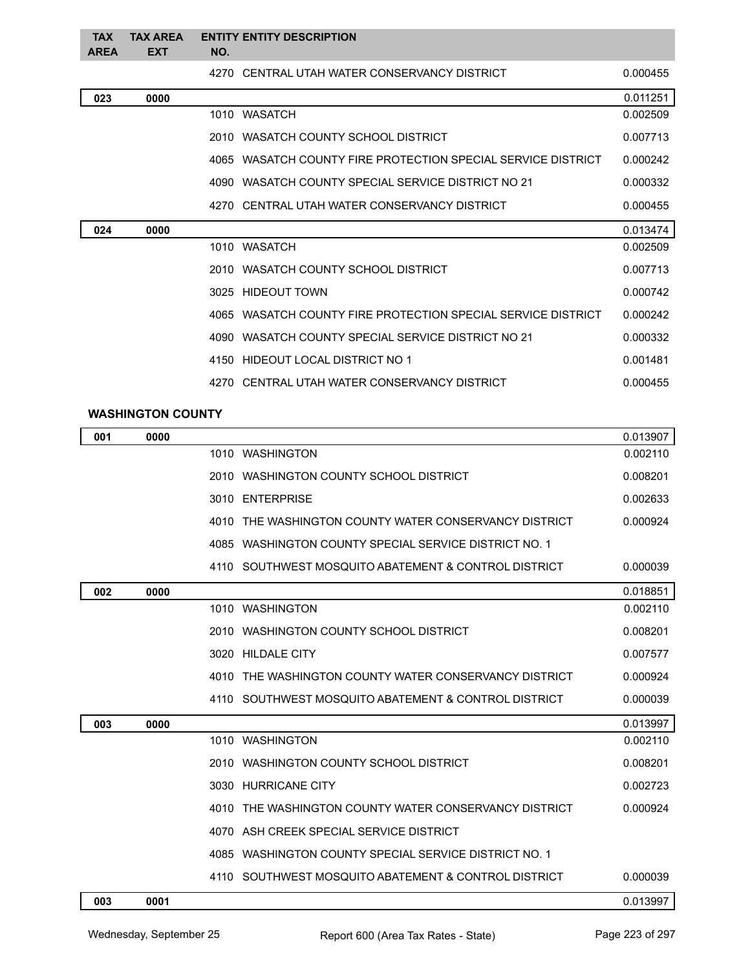| <b>TAX</b><br><b>AREA</b> | <b>TAX AREA</b><br><b>EXT</b> | NO. | <b>ENTITY ENTITY DESCRIPTION</b>                             |          |
|---------------------------|-------------------------------|-----|--------------------------------------------------------------|----------|
|                           |                               |     | 4270 CENTRAL UTAH WATER CONSERVANCY DISTRICT                 | 0.000455 |
| 023                       | 0000                          |     |                                                              | 0.011251 |
|                           |                               |     | 1010 WASATCH                                                 | 0.002509 |
|                           |                               |     | 2010 WASATCH COUNTY SCHOOL DISTRICT                          | 0.007713 |
|                           |                               |     | 4065 WASATCH COUNTY FIRE PROTECTION SPECIAL SERVICE DISTRICT | 0.000242 |
|                           |                               |     | 4090 WASATCH COUNTY SPECIAL SERVICE DISTRICT NO 21           | 0.000332 |
|                           |                               |     | 4270 CENTRAL UTAH WATER CONSERVANCY DISTRICT                 | 0.000455 |
| 024                       | 0000                          |     |                                                              | 0.013474 |
|                           |                               |     | 1010 WASATCH                                                 | 0.002509 |
|                           |                               |     | 2010 WASATCH COUNTY SCHOOL DISTRICT                          | 0.007713 |
|                           |                               |     |                                                              |          |
|                           |                               |     | 3025 HIDEOUT TOWN                                            | 0.000742 |
|                           |                               |     | 4065 WASATCH COUNTY FIRE PROTECTION SPECIAL SERVICE DISTRICT | 0.000242 |
|                           |                               |     | 4090 WASATCH COUNTY SPECIAL SERVICE DISTRICT NO 21           | 0.000332 |
|                           |                               |     | 4150 HIDEOUT LOCAL DISTRICT NO 1                             | 0.001481 |
|                           |                               |     | 4270 CENTRAL UTAH WATER CONSERVANCY DISTRICT                 | 0.000455 |

## **WASHINGTON COUNTY**

| 001 | 0000 |                                                       | 0.013907 |
|-----|------|-------------------------------------------------------|----------|
|     |      | 1010 WASHINGTON                                       | 0.002110 |
|     |      | 2010 WASHINGTON COUNTY SCHOOL DISTRICT                | 0.008201 |
|     |      | 3010 ENTERPRISE                                       | 0.002633 |
|     |      | 4010 THE WASHINGTON COUNTY WATER CONSERVANCY DISTRICT | 0.000924 |
|     |      | 4085 WASHINGTON COUNTY SPECIAL SERVICE DISTRICT NO. 1 |          |
|     |      | 4110 SOUTHWEST MOSQUITO ABATEMENT & CONTROL DISTRICT  | 0.000039 |
| 002 | 0000 |                                                       | 0.018851 |
|     |      | 1010 WASHINGTON                                       | 0.002110 |
|     |      | 2010 WASHINGTON COUNTY SCHOOL DISTRICT                | 0.008201 |
|     |      | 3020 HILDALE CITY                                     | 0.007577 |
|     |      | 4010 THE WASHINGTON COUNTY WATER CONSERVANCY DISTRICT | 0.000924 |
|     |      | 4110 SOUTHWEST MOSQUITO ABATEMENT & CONTROL DISTRICT  | 0.000039 |
| 003 | 0000 |                                                       | 0.013997 |
|     |      | 1010 WASHINGTON                                       | 0.002110 |
|     |      | 2010 WASHINGTON COUNTY SCHOOL DISTRICT                | 0.008201 |
|     |      | 3030 HURRICANE CITY                                   | 0.002723 |
|     |      | 4010 THE WASHINGTON COUNTY WATER CONSERVANCY DISTRICT | 0.000924 |
|     |      | 4070 ASH CREEK SPECIAL SERVICE DISTRICT               |          |
|     |      | 4085 WASHINGTON COUNTY SPECIAL SERVICE DISTRICT NO. 1 |          |
|     |      | 4110 SOUTHWEST MOSQUITO ABATEMENT & CONTROL DISTRICT  | 0.000039 |
| 003 | 0001 |                                                       | 0.013997 |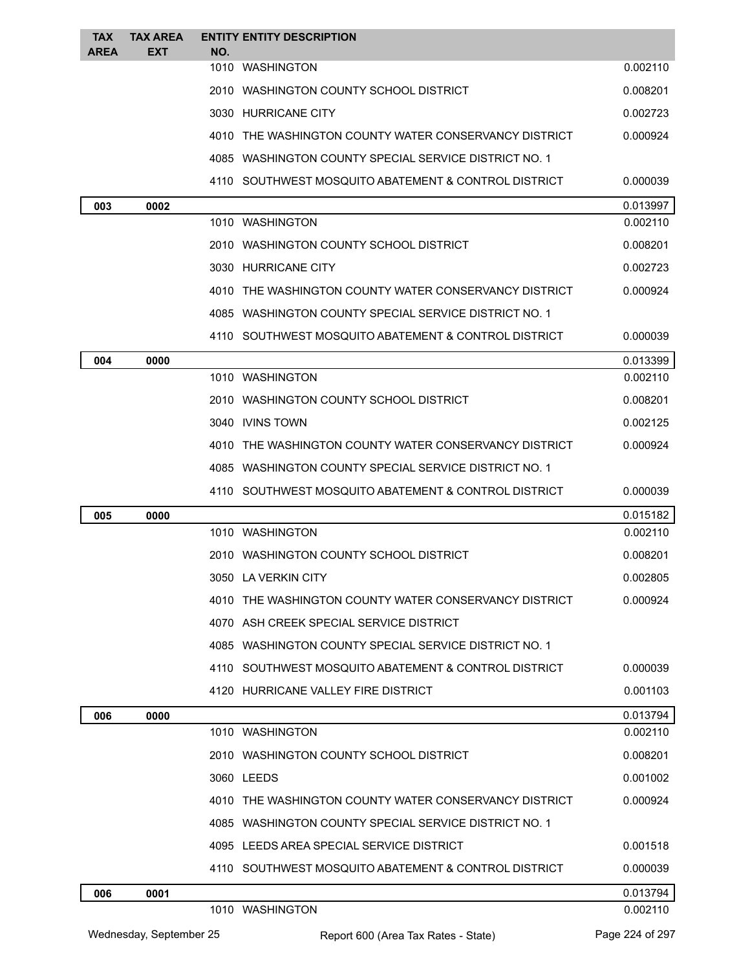| <b>TAX</b>  | <b>TAX AREA</b> | <b>ENTITY ENTITY DESCRIPTION</b>                      |          |
|-------------|-----------------|-------------------------------------------------------|----------|
| <b>AREA</b> | <b>EXT</b>      | NO.<br>1010 WASHINGTON                                | 0.002110 |
|             |                 | 2010 WASHINGTON COUNTY SCHOOL DISTRICT                | 0.008201 |
|             |                 | 3030 HURRICANE CITY                                   | 0.002723 |
|             |                 | 4010 THE WASHINGTON COUNTY WATER CONSERVANCY DISTRICT | 0.000924 |
|             |                 | 4085 WASHINGTON COUNTY SPECIAL SERVICE DISTRICT NO. 1 |          |
|             |                 | 4110 SOUTHWEST MOSQUITO ABATEMENT & CONTROL DISTRICT  | 0.000039 |
| 003         | 0002            |                                                       | 0.013997 |
|             |                 | 1010 WASHINGTON                                       | 0.002110 |
|             |                 | 2010 WASHINGTON COUNTY SCHOOL DISTRICT                | 0.008201 |
|             |                 | 3030 HURRICANE CITY                                   | 0.002723 |
|             |                 | 4010 THE WASHINGTON COUNTY WATER CONSERVANCY DISTRICT | 0.000924 |
|             |                 | 4085 WASHINGTON COUNTY SPECIAL SERVICE DISTRICT NO. 1 |          |
|             |                 | 4110 SOUTHWEST MOSQUITO ABATEMENT & CONTROL DISTRICT  | 0.000039 |
| 004         | 0000            |                                                       | 0.013399 |
|             |                 | 1010 WASHINGTON                                       | 0.002110 |
|             |                 | 2010 WASHINGTON COUNTY SCHOOL DISTRICT                | 0.008201 |
|             |                 | 3040 IVINS TOWN                                       | 0.002125 |
|             |                 | 4010 THE WASHINGTON COUNTY WATER CONSERVANCY DISTRICT | 0.000924 |
|             |                 | 4085 WASHINGTON COUNTY SPECIAL SERVICE DISTRICT NO. 1 |          |
|             |                 | 4110 SOUTHWEST MOSQUITO ABATEMENT & CONTROL DISTRICT  | 0.000039 |
| 005         | 0000            |                                                       | 0.015182 |
|             |                 | 1010 WASHINGTON                                       | 0.002110 |
|             |                 | 2010 WASHINGTON COUNTY SCHOOL DISTRICT                | 0.008201 |
|             |                 | 3050 LA VERKIN CITY                                   | 0.002805 |
|             |                 | 4010 THE WASHINGTON COUNTY WATER CONSERVANCY DISTRICT | 0.000924 |
|             |                 | 4070 ASH CREEK SPECIAL SERVICE DISTRICT               |          |
|             |                 | 4085 WASHINGTON COUNTY SPECIAL SERVICE DISTRICT NO. 1 |          |
|             |                 | 4110 SOUTHWEST MOSQUITO ABATEMENT & CONTROL DISTRICT  | 0.000039 |
|             |                 | 4120 HURRICANE VALLEY FIRE DISTRICT                   | 0.001103 |
| 006         | 0000            |                                                       | 0.013794 |
|             |                 | 1010 WASHINGTON                                       | 0.002110 |
|             |                 | 2010 WASHINGTON COUNTY SCHOOL DISTRICT                | 0.008201 |
|             |                 | 3060 LEEDS                                            | 0.001002 |
|             |                 | 4010 THE WASHINGTON COUNTY WATER CONSERVANCY DISTRICT | 0.000924 |
|             |                 | 4085 WASHINGTON COUNTY SPECIAL SERVICE DISTRICT NO. 1 |          |
|             |                 | 4095 LEEDS AREA SPECIAL SERVICE DISTRICT              | 0.001518 |
|             |                 | 4110 SOUTHWEST MOSQUITO ABATEMENT & CONTROL DISTRICT  | 0.000039 |
| 006         | 0001            |                                                       | 0.013794 |
|             |                 | 1010 WASHINGTON                                       | 0.002110 |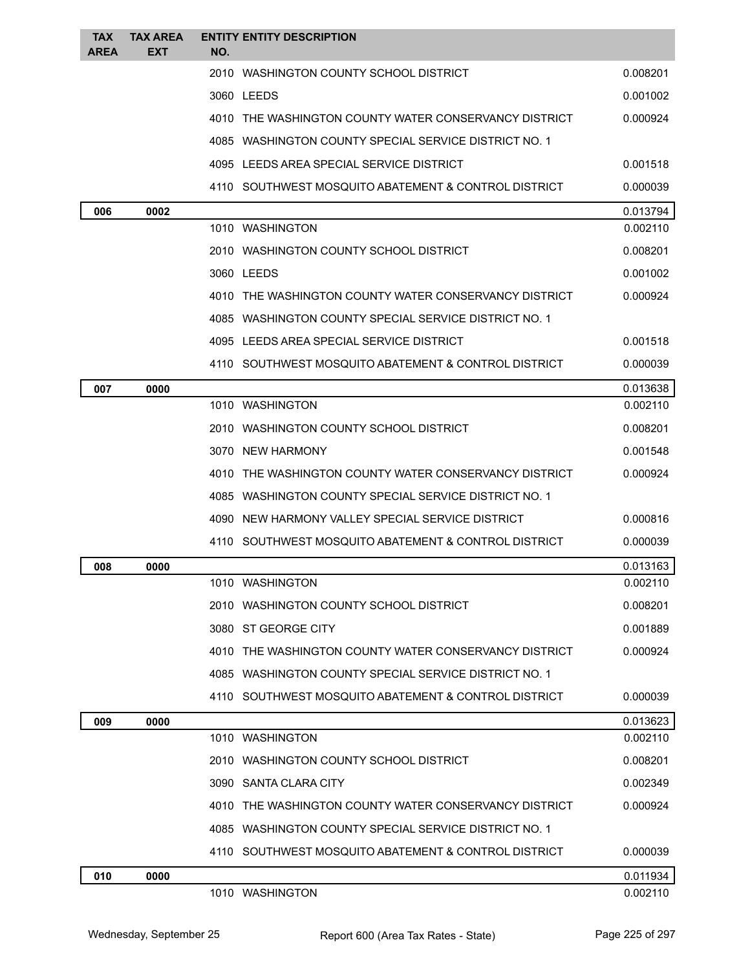| <b>TAX</b><br><b>AREA</b> | <b>TAX AREA</b><br><b>EXT</b> | <b>ENTITY ENTITY DESCRIPTION</b><br>NO.               |          |
|---------------------------|-------------------------------|-------------------------------------------------------|----------|
|                           |                               | 2010 WASHINGTON COUNTY SCHOOL DISTRICT                | 0.008201 |
|                           |                               | 3060 LEEDS                                            | 0.001002 |
|                           |                               | 4010 THE WASHINGTON COUNTY WATER CONSERVANCY DISTRICT | 0.000924 |
|                           |                               | 4085 WASHINGTON COUNTY SPECIAL SERVICE DISTRICT NO. 1 |          |
|                           |                               | 4095 LEEDS AREA SPECIAL SERVICE DISTRICT              | 0.001518 |
|                           |                               | 4110 SOUTHWEST MOSOUITO ABATEMENT & CONTROL DISTRICT  | 0.000039 |
| 006                       | 0002                          |                                                       | 0.013794 |
|                           |                               | 1010 WASHINGTON                                       | 0.002110 |
|                           |                               | 2010 WASHINGTON COUNTY SCHOOL DISTRICT                | 0.008201 |
|                           |                               | 3060 LEEDS                                            | 0.001002 |
|                           |                               | 4010 THE WASHINGTON COUNTY WATER CONSERVANCY DISTRICT | 0.000924 |
|                           |                               | 4085 WASHINGTON COUNTY SPECIAL SERVICE DISTRICT NO. 1 |          |
|                           |                               | 4095 LEEDS AREA SPECIAL SERVICE DISTRICT              | 0.001518 |
|                           |                               | 4110 SOUTHWEST MOSQUITO ABATEMENT & CONTROL DISTRICT  | 0.000039 |
| 007                       | 0000                          |                                                       | 0.013638 |
|                           |                               | 1010 WASHINGTON                                       | 0.002110 |
|                           |                               | 2010 WASHINGTON COUNTY SCHOOL DISTRICT                | 0.008201 |
|                           |                               | 3070 NEW HARMONY                                      | 0.001548 |
|                           |                               | 4010 THE WASHINGTON COUNTY WATER CONSERVANCY DISTRICT | 0.000924 |
|                           |                               | 4085 WASHINGTON COUNTY SPECIAL SERVICE DISTRICT NO. 1 |          |
|                           |                               | 4090 NEW HARMONY VALLEY SPECIAL SERVICE DISTRICT      | 0.000816 |
|                           |                               | 4110 SOUTHWEST MOSOUITO ABATEMENT & CONTROL DISTRICT  | 0.000039 |
| 008                       | 0000                          |                                                       | 0.013163 |
|                           |                               | 1010 WASHINGTON                                       | 0.002110 |
|                           |                               | 2010 WASHINGTON COUNTY SCHOOL DISTRICT                | 0.008201 |
|                           |                               | 3080 ST GEORGE CITY                                   | 0.001889 |
|                           |                               | 4010 THE WASHINGTON COUNTY WATER CONSERVANCY DISTRICT | 0.000924 |
|                           |                               | 4085 WASHINGTON COUNTY SPECIAL SERVICE DISTRICT NO. 1 |          |
|                           |                               | 4110 SOUTHWEST MOSQUITO ABATEMENT & CONTROL DISTRICT  | 0.000039 |
| 009                       | 0000                          |                                                       | 0.013623 |
|                           |                               | 1010 WASHINGTON                                       | 0.002110 |
|                           |                               | 2010 WASHINGTON COUNTY SCHOOL DISTRICT                | 0.008201 |
|                           |                               | 3090 SANTA CLARA CITY                                 | 0.002349 |
|                           |                               | 4010 THE WASHINGTON COUNTY WATER CONSERVANCY DISTRICT | 0.000924 |
|                           |                               | 4085 WASHINGTON COUNTY SPECIAL SERVICE DISTRICT NO. 1 |          |
|                           |                               | 4110 SOUTHWEST MOSQUITO ABATEMENT & CONTROL DISTRICT  | 0.000039 |
| 010                       | 0000                          |                                                       | 0.011934 |
|                           |                               | 1010 WASHINGTON                                       | 0.002110 |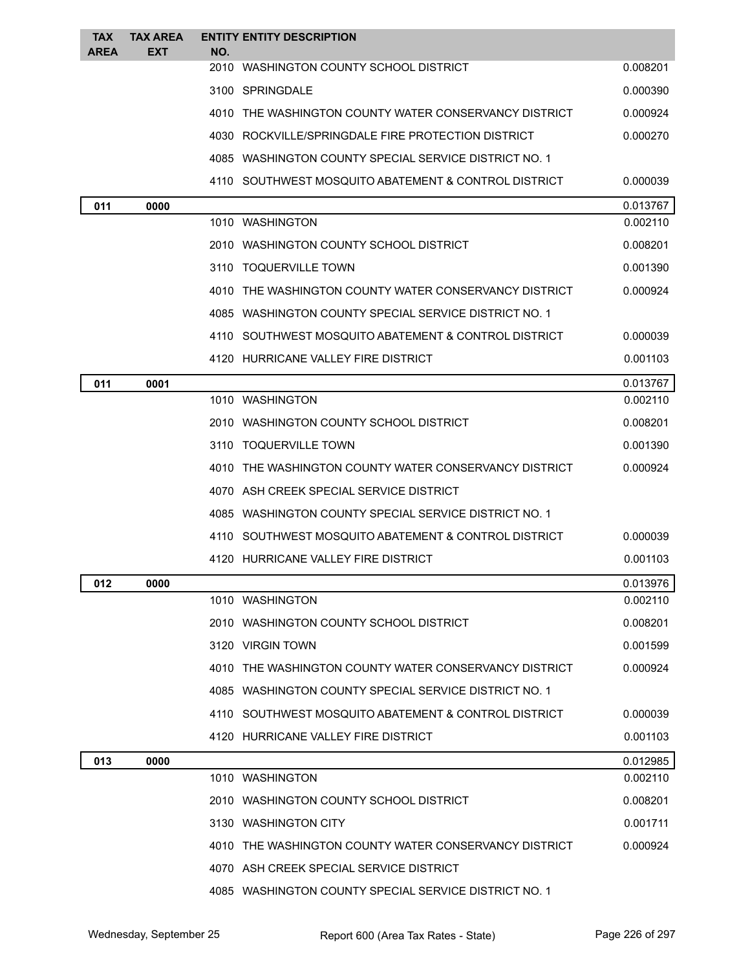| <b>TAX</b><br><b>AREA</b> | <b>TAX AREA</b><br>EXT | <b>ENTITY ENTITY DESCRIPTION</b><br>NO.                |          |
|---------------------------|------------------------|--------------------------------------------------------|----------|
|                           |                        | 2010 WASHINGTON COUNTY SCHOOL DISTRICT                 | 0.008201 |
|                           |                        | 3100 SPRINGDALE                                        | 0.000390 |
|                           |                        | 4010 THE WASHINGTON COUNTY WATER CONSERVANCY DISTRICT  | 0.000924 |
|                           |                        | 4030 ROCKVILLE/SPRINGDALE FIRE PROTECTION DISTRICT     | 0.000270 |
|                           |                        | 4085 WASHINGTON COUNTY SPECIAL SERVICE DISTRICT NO. 1  |          |
|                           |                        | 4110 SOUTHWEST MOSQUITO ABATEMENT & CONTROL DISTRICT   | 0.000039 |
| 011                       | 0000                   |                                                        | 0.013767 |
|                           |                        | 1010 WASHINGTON                                        | 0.002110 |
|                           |                        | 2010 WASHINGTON COUNTY SCHOOL DISTRICT                 | 0.008201 |
|                           |                        | 3110 TOQUERVILLE TOWN                                  | 0.001390 |
|                           |                        | 4010 THE WASHINGTON COUNTY WATER CONSERVANCY DISTRICT  | 0.000924 |
|                           |                        | 4085 WASHINGTON COUNTY SPECIAL SERVICE DISTRICT NO. 1  |          |
|                           |                        | 4110 SOUTHWEST MOSQUITO ABATEMENT & CONTROL DISTRICT   | 0.000039 |
|                           |                        | 4120 HURRICANE VALLEY FIRE DISTRICT                    | 0.001103 |
| 011                       | 0001                   |                                                        | 0.013767 |
|                           |                        | 1010 WASHINGTON                                        | 0.002110 |
|                           |                        | 2010 WASHINGTON COUNTY SCHOOL DISTRICT                 | 0.008201 |
|                           |                        | 3110 TOQUERVILLE TOWN                                  | 0.001390 |
|                           |                        | 4010 THE WASHINGTON COUNTY WATER CONSERVANCY DISTRICT  | 0.000924 |
|                           |                        | 4070 ASH CREEK SPECIAL SERVICE DISTRICT                |          |
|                           |                        | 4085 WASHINGTON COUNTY SPECIAL SERVICE DISTRICT NO. 1  |          |
|                           |                        | 4110   SOUTHWEST MOSQUITO ABATEMENT & CONTROL DISTRICT | 0.000039 |
|                           |                        | 4120 HURRICANE VALLEY FIRE DISTRICT                    | 0.001103 |
| 012                       | 0000                   |                                                        | 0.013976 |
|                           |                        | 1010 WASHINGTON                                        | 0.002110 |
|                           |                        | 2010 WASHINGTON COUNTY SCHOOL DISTRICT                 | 0.008201 |
|                           |                        | 3120 VIRGIN TOWN                                       | 0.001599 |
|                           |                        | 4010 THE WASHINGTON COUNTY WATER CONSERVANCY DISTRICT  | 0.000924 |
|                           |                        | 4085 WASHINGTON COUNTY SPECIAL SERVICE DISTRICT NO. 1  |          |
|                           |                        | 4110   SOUTHWEST MOSQUITO ABATEMENT & CONTROL DISTRICT | 0.000039 |
|                           |                        | 4120 HURRICANE VALLEY FIRE DISTRICT                    | 0.001103 |
| 013                       | 0000                   |                                                        | 0.012985 |
|                           |                        | 1010 WASHINGTON                                        | 0.002110 |
|                           |                        | 2010   WASHINGTON COUNTY SCHOOL DISTRICT               | 0.008201 |
|                           |                        | 3130 WASHINGTON CITY                                   | 0.001711 |
|                           |                        | 4010 THE WASHINGTON COUNTY WATER CONSERVANCY DISTRICT  | 0.000924 |
|                           |                        | 4070 ASH CREEK SPECIAL SERVICE DISTRICT                |          |
|                           |                        | 4085 WASHINGTON COUNTY SPECIAL SERVICE DISTRICT NO. 1  |          |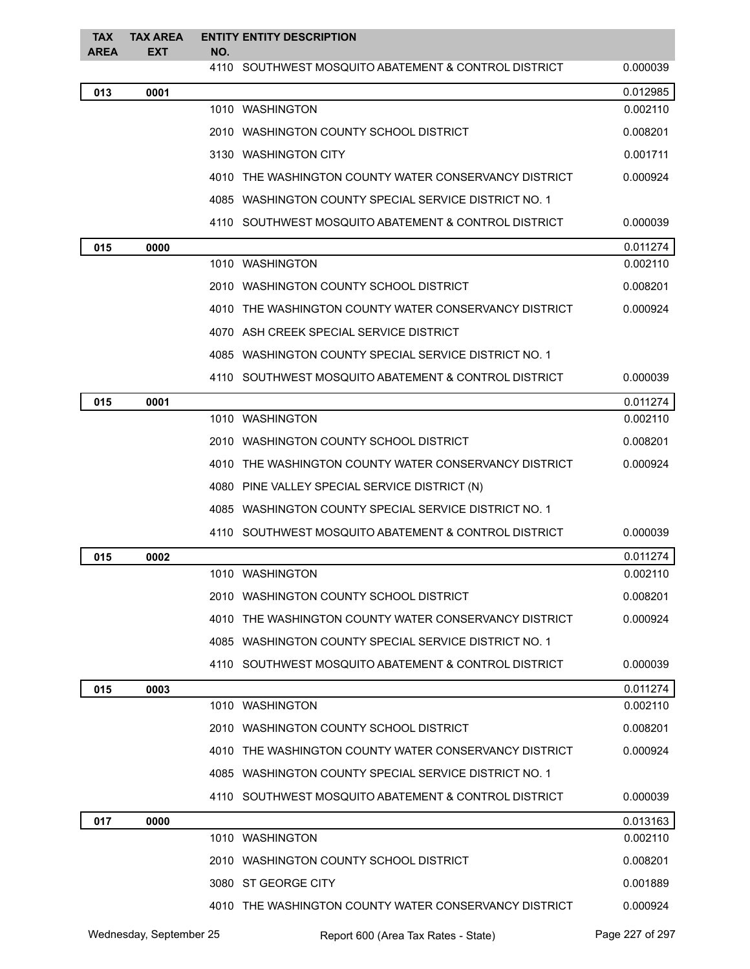| <b>TAX</b><br><b>AREA</b> | <b>TAX AREA</b><br>EXT | <b>ENTITY ENTITY DESCRIPTION</b><br>NO.                 |          |
|---------------------------|------------------------|---------------------------------------------------------|----------|
|                           |                        | 4110   SOUTHWEST MOSQUITO ABATEMENT & CONTROL DISTRICT  | 0.000039 |
| 013                       | 0001                   |                                                         | 0.012985 |
|                           |                        | 1010 WASHINGTON                                         | 0.002110 |
|                           |                        | 2010 WASHINGTON COUNTY SCHOOL DISTRICT                  | 0.008201 |
|                           |                        | 3130 WASHINGTON CITY                                    | 0.001711 |
|                           |                        | 4010 THE WASHINGTON COUNTY WATER CONSERVANCY DISTRICT   | 0.000924 |
|                           |                        | 4085 WASHINGTON COUNTY SPECIAL SERVICE DISTRICT NO. 1   |          |
|                           |                        | 4110 SOUTHWEST MOSQUITO ABATEMENT & CONTROL DISTRICT    | 0.000039 |
| 015                       | 0000                   |                                                         | 0.011274 |
|                           |                        | 1010 WASHINGTON                                         | 0.002110 |
|                           |                        | 2010 WASHINGTON COUNTY SCHOOL DISTRICT                  | 0.008201 |
|                           |                        | 4010 THE WASHINGTON COUNTY WATER CONSERVANCY DISTRICT   | 0.000924 |
|                           |                        | 4070 ASH CREEK SPECIAL SERVICE DISTRICT                 |          |
|                           |                        | 4085 WASHINGTON COUNTY SPECIAL SERVICE DISTRICT NO. 1   |          |
|                           |                        | 4110 SOUTHWEST MOSQUITO ABATEMENT & CONTROL DISTRICT    | 0.000039 |
| 015                       | 0001                   |                                                         | 0.011274 |
|                           |                        | 1010 WASHINGTON                                         | 0.002110 |
|                           |                        | 2010   WASHINGTON COUNTY SCHOOL DISTRICT                | 0.008201 |
|                           |                        | 4010 THE WASHINGTON COUNTY WATER CONSERVANCY DISTRICT   | 0.000924 |
|                           |                        | 4080 PINE VALLEY SPECIAL SERVICE DISTRICT (N)           |          |
|                           |                        | 4085 WASHINGTON COUNTY SPECIAL SERVICE DISTRICT NO. 1   |          |
|                           |                        | 4110 SOUTHWEST MOSQUITO ABATEMENT & CONTROL DISTRICT    | 0.000039 |
| 015                       | 0002                   |                                                         | 0.011274 |
|                           |                        | 1010 WASHINGTON                                         | 0.002110 |
|                           |                        | 2010   WASHINGTON COUNTY SCHOOL DISTRICT                | 0.008201 |
|                           |                        | 4010 THE WASHINGTON COUNTY WATER CONSERVANCY DISTRICT   | 0.000924 |
|                           |                        | 4085 WASHINGTON COUNTY SPECIAL SERVICE DISTRICT NO. 1   |          |
|                           |                        | 4110 SOUTHWEST MOSQUITO ABATEMENT & CONTROL DISTRICT    | 0.000039 |
| 015                       | 0003                   |                                                         | 0.011274 |
|                           |                        | 1010 WASHINGTON                                         | 0.002110 |
|                           |                        | 2010 WASHINGTON COUNTY SCHOOL DISTRICT                  | 0.008201 |
|                           |                        | 4010 THE WASHINGTON COUNTY WATER CONSERVANCY DISTRICT   | 0.000924 |
|                           |                        | 4085 WASHINGTON COUNTY SPECIAL SERVICE DISTRICT NO. 1   |          |
|                           |                        | 4110 SOUTHWEST MOSQUITO ABATEMENT & CONTROL DISTRICT    | 0.000039 |
| 017                       | 0000                   |                                                         | 0.013163 |
|                           |                        | 1010 WASHINGTON                                         | 0.002110 |
|                           |                        | 2010   WASHINGTON COUNTY SCHOOL DISTRICT                | 0.008201 |
|                           |                        | 3080 ST GEORGE CITY                                     | 0.001889 |
|                           |                        | 4010   THE WASHINGTON COUNTY WATER CONSERVANCY DISTRICT | 0.000924 |

Wednesday, September 25 Report 600 (Area Tax Rates - State) Page 227 of 297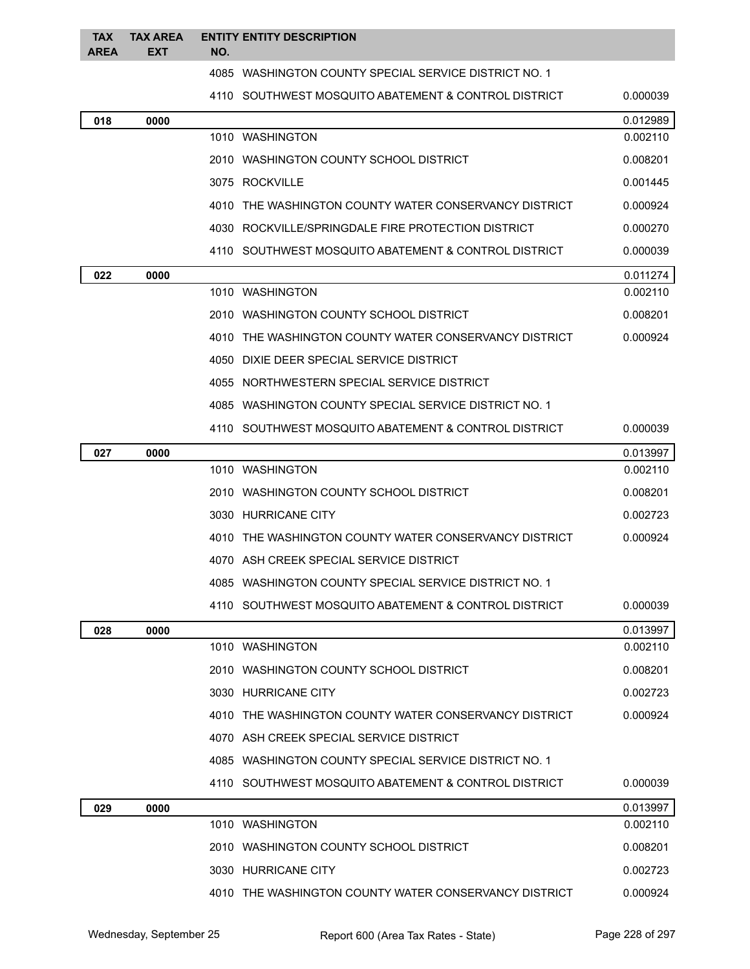| <b>TAX</b><br><b>AREA</b> | <b>TAX AREA</b><br><b>EXT</b> | NO. | <b>ENTITY ENTITY DESCRIPTION</b>                      |          |
|---------------------------|-------------------------------|-----|-------------------------------------------------------|----------|
|                           |                               |     | 4085 WASHINGTON COUNTY SPECIAL SERVICE DISTRICT NO. 1 |          |
|                           |                               |     | 4110 SOUTHWEST MOSQUITO ABATEMENT & CONTROL DISTRICT  | 0.000039 |
| 018                       | 0000                          |     |                                                       | 0.012989 |
|                           |                               |     | 1010 WASHINGTON                                       | 0.002110 |
|                           |                               |     | 2010 WASHINGTON COUNTY SCHOOL DISTRICT                | 0.008201 |
|                           |                               |     | 3075 ROCKVILLE                                        | 0.001445 |
|                           |                               |     | 4010 THE WASHINGTON COUNTY WATER CONSERVANCY DISTRICT | 0.000924 |
|                           |                               |     | 4030 ROCKVILLE/SPRINGDALE FIRE PROTECTION DISTRICT    | 0.000270 |
|                           |                               |     | 4110 SOUTHWEST MOSQUITO ABATEMENT & CONTROL DISTRICT  | 0.000039 |
| 022                       | 0000                          |     |                                                       | 0.011274 |
|                           |                               |     | 1010 WASHINGTON                                       | 0.002110 |
|                           |                               |     | 2010 WASHINGTON COUNTY SCHOOL DISTRICT                | 0.008201 |
|                           |                               |     | 4010 THE WASHINGTON COUNTY WATER CONSERVANCY DISTRICT | 0.000924 |
|                           |                               |     | 4050 DIXIE DEER SPECIAL SERVICE DISTRICT              |          |
|                           |                               |     | 4055 NORTHWESTERN SPECIAL SERVICE DISTRICT            |          |
|                           |                               |     | 4085 WASHINGTON COUNTY SPECIAL SERVICE DISTRICT NO. 1 |          |
|                           |                               |     | 4110 SOUTHWEST MOSQUITO ABATEMENT & CONTROL DISTRICT  | 0.000039 |
| 027                       | 0000                          |     |                                                       | 0.013997 |
|                           |                               |     | 1010 WASHINGTON                                       | 0.002110 |
|                           |                               |     | 2010 WASHINGTON COUNTY SCHOOL DISTRICT                | 0.008201 |
|                           |                               |     | 3030 HURRICANE CITY                                   | 0.002723 |
|                           |                               |     | 4010 THE WASHINGTON COUNTY WATER CONSERVANCY DISTRICT | 0.000924 |
|                           |                               |     | 4070 ASH CREEK SPECIAL SERVICE DISTRICT               |          |
|                           |                               |     | 4085 WASHINGTON COUNTY SPECIAL SERVICE DISTRICT NO. 1 |          |
|                           |                               |     | 4110 SOUTHWEST MOSQUITO ABATEMENT & CONTROL DISTRICT  | 0.000039 |
| 028                       | 0000                          |     |                                                       | 0.013997 |
|                           |                               |     | 1010 WASHINGTON                                       | 0.002110 |
|                           |                               |     | 2010 WASHINGTON COUNTY SCHOOL DISTRICT                | 0.008201 |
|                           |                               |     | 3030 HURRICANE CITY                                   | 0.002723 |
|                           |                               |     | 4010 THE WASHINGTON COUNTY WATER CONSERVANCY DISTRICT | 0.000924 |
|                           |                               |     | 4070 ASH CREEK SPECIAL SERVICE DISTRICT               |          |
|                           |                               |     | 4085 WASHINGTON COUNTY SPECIAL SERVICE DISTRICT NO. 1 |          |
|                           |                               |     | 4110 SOUTHWEST MOSQUITO ABATEMENT & CONTROL DISTRICT  | 0.000039 |
| 029                       | 0000                          |     |                                                       | 0.013997 |
|                           |                               |     | 1010 WASHINGTON                                       | 0.002110 |
|                           |                               |     | 2010 WASHINGTON COUNTY SCHOOL DISTRICT                | 0.008201 |
|                           |                               |     | 3030 HURRICANE CITY                                   | 0.002723 |
|                           |                               |     | 4010 THE WASHINGTON COUNTY WATER CONSERVANCY DISTRICT | 0.000924 |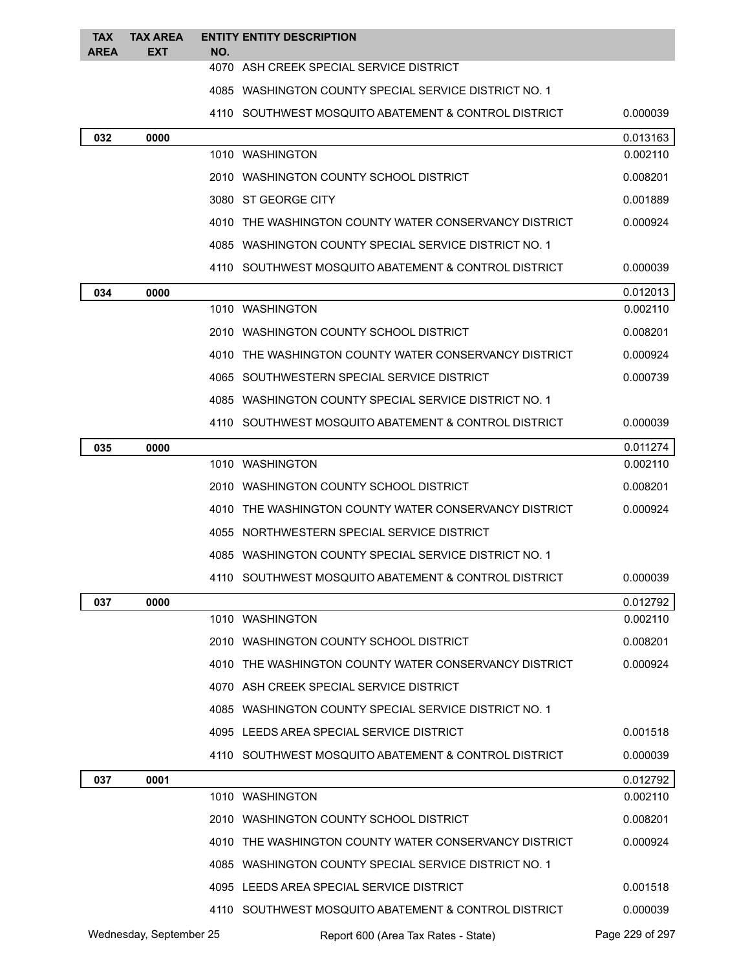| <b>TAX</b><br><b>AREA</b> | <b>TAX AREA</b><br><b>EXT</b> | <b>ENTITY ENTITY DESCRIPTION</b><br>NO.               |          |
|---------------------------|-------------------------------|-------------------------------------------------------|----------|
|                           |                               | 4070 ASH CREEK SPECIAL SERVICE DISTRICT               |          |
|                           |                               | 4085 WASHINGTON COUNTY SPECIAL SERVICE DISTRICT NO. 1 |          |
|                           |                               | 4110 SOUTHWEST MOSQUITO ABATEMENT & CONTROL DISTRICT  | 0.000039 |
| 032                       | 0000                          |                                                       | 0.013163 |
|                           |                               | 1010 WASHINGTON                                       | 0.002110 |
|                           |                               | 2010 WASHINGTON COUNTY SCHOOL DISTRICT                | 0.008201 |
|                           |                               | 3080 ST GEORGE CITY                                   | 0.001889 |
|                           |                               | 4010 THE WASHINGTON COUNTY WATER CONSERVANCY DISTRICT | 0.000924 |
|                           |                               | 4085 WASHINGTON COUNTY SPECIAL SERVICE DISTRICT NO. 1 |          |
|                           |                               | 4110 SOUTHWEST MOSQUITO ABATEMENT & CONTROL DISTRICT  | 0.000039 |
| 034                       | 0000                          |                                                       | 0.012013 |
|                           |                               | 1010 WASHINGTON                                       | 0.002110 |
|                           |                               | 2010 WASHINGTON COUNTY SCHOOL DISTRICT                | 0.008201 |
|                           |                               | 4010 THE WASHINGTON COUNTY WATER CONSERVANCY DISTRICT | 0.000924 |
|                           |                               | 4065 SOUTHWESTERN SPECIAL SERVICE DISTRICT            | 0.000739 |
|                           |                               | 4085 WASHINGTON COUNTY SPECIAL SERVICE DISTRICT NO. 1 |          |
|                           |                               | 4110 SOUTHWEST MOSQUITO ABATEMENT & CONTROL DISTRICT  | 0.000039 |
| 035                       | 0000                          |                                                       | 0.011274 |
|                           |                               | 1010 WASHINGTON                                       | 0.002110 |
|                           |                               | 2010 WASHINGTON COUNTY SCHOOL DISTRICT                | 0.008201 |
|                           |                               | 4010 THE WASHINGTON COUNTY WATER CONSERVANCY DISTRICT | 0.000924 |
|                           |                               | 4055 NORTHWESTERN SPECIAL SERVICE DISTRICT            |          |
|                           |                               | 4085 WASHINGTON COUNTY SPECIAL SERVICE DISTRICT NO. 1 |          |
|                           |                               | 4110 SOUTHWEST MOSQUITO ABATEMENT & CONTROL DISTRICT  | 0.000039 |
| 037                       | 0000                          |                                                       | 0.012792 |
|                           |                               | 1010 WASHINGTON                                       | 0.002110 |
|                           |                               | 2010 WASHINGTON COUNTY SCHOOL DISTRICT                | 0.008201 |
|                           |                               | 4010 THE WASHINGTON COUNTY WATER CONSERVANCY DISTRICT | 0.000924 |
|                           |                               | 4070 ASH CREEK SPECIAL SERVICE DISTRICT               |          |
|                           |                               | 4085 WASHINGTON COUNTY SPECIAL SERVICE DISTRICT NO. 1 |          |
|                           |                               | 4095 LEEDS AREA SPECIAL SERVICE DISTRICT              | 0.001518 |
|                           |                               | 4110 SOUTHWEST MOSQUITO ABATEMENT & CONTROL DISTRICT  | 0.000039 |
| 037                       | 0001                          |                                                       | 0.012792 |
|                           |                               | 1010 WASHINGTON                                       | 0.002110 |
|                           |                               | 2010 WASHINGTON COUNTY SCHOOL DISTRICT                | 0.008201 |
|                           |                               | 4010 THE WASHINGTON COUNTY WATER CONSERVANCY DISTRICT | 0.000924 |
|                           |                               | 4085 WASHINGTON COUNTY SPECIAL SERVICE DISTRICT NO. 1 |          |
|                           |                               | 4095 LEEDS AREA SPECIAL SERVICE DISTRICT              | 0.001518 |
|                           |                               | 4110 SOUTHWEST MOSQUITO ABATEMENT & CONTROL DISTRICT  | 0.000039 |
|                           |                               |                                                       |          |

Wednesday, September 25 Report 600 (Area Tax Rates - State) Page 229 of 297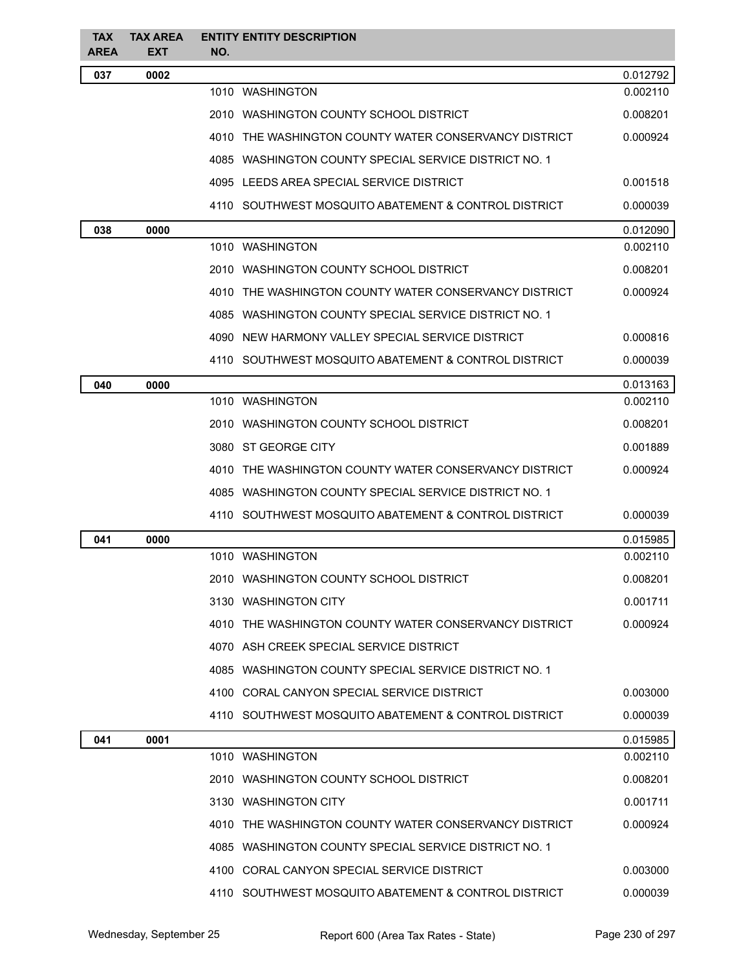| <b>TAX</b><br>AREA | <b>TAX AREA</b><br><b>EXT</b> | <b>ENTITY ENTITY DESCRIPTION</b><br>NO.               |          |
|--------------------|-------------------------------|-------------------------------------------------------|----------|
| 037                | 0002                          |                                                       | 0.012792 |
|                    |                               | 1010 WASHINGTON                                       | 0.002110 |
|                    |                               | 2010 WASHINGTON COUNTY SCHOOL DISTRICT                | 0.008201 |
|                    |                               | 4010 THE WASHINGTON COUNTY WATER CONSERVANCY DISTRICT | 0.000924 |
|                    |                               | 4085 WASHINGTON COUNTY SPECIAL SERVICE DISTRICT NO. 1 |          |
|                    |                               | 4095 LEEDS AREA SPECIAL SERVICE DISTRICT              | 0.001518 |
|                    |                               | 4110 SOUTHWEST MOSQUITO ABATEMENT & CONTROL DISTRICT  | 0.000039 |
| 038                | 0000                          |                                                       | 0.012090 |
|                    |                               | 1010 WASHINGTON                                       | 0.002110 |
|                    |                               | 2010 WASHINGTON COUNTY SCHOOL DISTRICT                | 0.008201 |
|                    |                               | 4010 THE WASHINGTON COUNTY WATER CONSERVANCY DISTRICT | 0.000924 |
|                    |                               | 4085 WASHINGTON COUNTY SPECIAL SERVICE DISTRICT NO. 1 |          |
|                    |                               | 4090 NEW HARMONY VALLEY SPECIAL SERVICE DISTRICT      | 0.000816 |
|                    |                               | 4110 SOUTHWEST MOSQUITO ABATEMENT & CONTROL DISTRICT  | 0.000039 |
| 040                | 0000                          |                                                       | 0.013163 |
|                    |                               | 1010 WASHINGTON                                       | 0.002110 |
|                    |                               | 2010 WASHINGTON COUNTY SCHOOL DISTRICT                | 0.008201 |
|                    |                               | 3080 ST GEORGE CITY                                   | 0.001889 |
|                    |                               | 4010 THE WASHINGTON COUNTY WATER CONSERVANCY DISTRICT | 0.000924 |
|                    |                               | 4085 WASHINGTON COUNTY SPECIAL SERVICE DISTRICT NO. 1 |          |
|                    |                               | 4110 SOUTHWEST MOSQUITO ABATEMENT & CONTROL DISTRICT  | 0.000039 |
| 041                | 0000                          |                                                       | 0.015985 |
|                    |                               | 1010 WASHINGTON                                       | 0.002110 |
|                    |                               | 2010 WASHINGTON COUNTY SCHOOL DISTRICT                | 0.008201 |
|                    |                               | 3130 WASHINGTON CITY                                  | 0.001711 |
|                    |                               | 4010 THE WASHINGTON COUNTY WATER CONSERVANCY DISTRICT | 0.000924 |
|                    |                               | 4070 ASH CREEK SPECIAL SERVICE DISTRICT               |          |
|                    |                               | 4085 WASHINGTON COUNTY SPECIAL SERVICE DISTRICT NO. 1 |          |
|                    |                               | 4100 CORAL CANYON SPECIAL SERVICE DISTRICT            | 0.003000 |
|                    |                               | 4110 SOUTHWEST MOSQUITO ABATEMENT & CONTROL DISTRICT  | 0.000039 |
| 041                | 0001                          |                                                       | 0.015985 |
|                    |                               | 1010 WASHINGTON                                       | 0.002110 |
|                    |                               | 2010 WASHINGTON COUNTY SCHOOL DISTRICT                | 0.008201 |
|                    |                               | 3130 WASHINGTON CITY                                  | 0.001711 |
|                    |                               | 4010 THE WASHINGTON COUNTY WATER CONSERVANCY DISTRICT | 0.000924 |
|                    |                               | 4085 WASHINGTON COUNTY SPECIAL SERVICE DISTRICT NO. 1 |          |
|                    |                               | 4100 CORAL CANYON SPECIAL SERVICE DISTRICT            | 0.003000 |
|                    |                               | 4110 SOUTHWEST MOSQUITO ABATEMENT & CONTROL DISTRICT  | 0.000039 |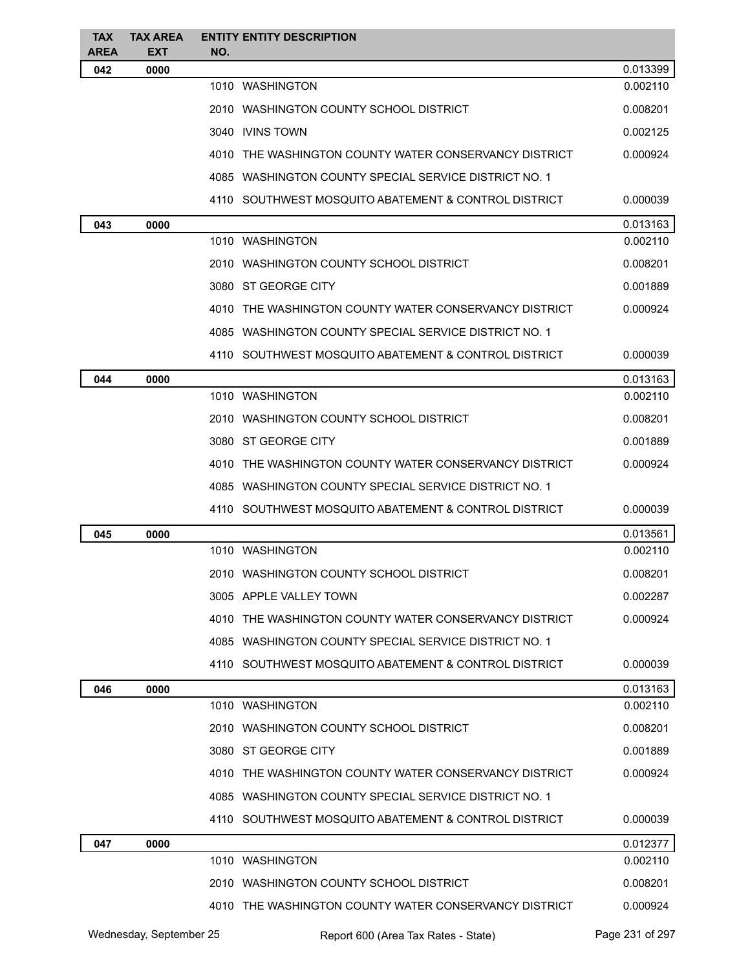| <b>TAX</b><br><b>AREA</b> | <b>TAX AREA</b><br><b>EXT</b> | <b>ENTITY ENTITY DESCRIPTION</b><br>NO.               |          |
|---------------------------|-------------------------------|-------------------------------------------------------|----------|
| 042                       | 0000                          |                                                       | 0.013399 |
|                           |                               | 1010 WASHINGTON                                       | 0.002110 |
|                           |                               | 2010 WASHINGTON COUNTY SCHOOL DISTRICT                | 0.008201 |
|                           |                               | 3040 IVINS TOWN                                       | 0.002125 |
|                           |                               | 4010 THE WASHINGTON COUNTY WATER CONSERVANCY DISTRICT | 0.000924 |
|                           |                               | 4085 WASHINGTON COUNTY SPECIAL SERVICE DISTRICT NO. 1 |          |
|                           |                               | 4110 SOUTHWEST MOSQUITO ABATEMENT & CONTROL DISTRICT  | 0.000039 |
| 043                       | 0000                          |                                                       | 0.013163 |
|                           |                               | 1010 WASHINGTON                                       | 0.002110 |
|                           |                               | 2010 WASHINGTON COUNTY SCHOOL DISTRICT                | 0.008201 |
|                           |                               | 3080 ST GEORGE CITY                                   | 0.001889 |
|                           |                               | 4010 THE WASHINGTON COUNTY WATER CONSERVANCY DISTRICT | 0.000924 |
|                           |                               | 4085 WASHINGTON COUNTY SPECIAL SERVICE DISTRICT NO. 1 |          |
|                           |                               | 4110 SOUTHWEST MOSQUITO ABATEMENT & CONTROL DISTRICT  | 0.000039 |
| 044                       | 0000                          |                                                       | 0.013163 |
|                           |                               | 1010 WASHINGTON                                       | 0.002110 |
|                           |                               | 2010 WASHINGTON COUNTY SCHOOL DISTRICT                | 0.008201 |
|                           |                               | 3080 ST GEORGE CITY                                   | 0.001889 |
|                           |                               | 4010 THE WASHINGTON COUNTY WATER CONSERVANCY DISTRICT | 0.000924 |
|                           |                               | 4085 WASHINGTON COUNTY SPECIAL SERVICE DISTRICT NO. 1 |          |
|                           |                               | 4110 SOUTHWEST MOSQUITO ABATEMENT & CONTROL DISTRICT  | 0.000039 |
| 045                       | 0000                          |                                                       | 0.013561 |
|                           |                               | 1010 WASHINGTON                                       | 0.002110 |
|                           |                               | 2010 WASHINGTON COUNTY SCHOOL DISTRICT                | 0.008201 |
|                           |                               | 3005 APPLE VALLEY TOWN                                | 0.002287 |
|                           |                               | 4010 THE WASHINGTON COUNTY WATER CONSERVANCY DISTRICT | 0.000924 |
|                           |                               | 4085 WASHINGTON COUNTY SPECIAL SERVICE DISTRICT NO. 1 |          |
|                           |                               | 4110 SOUTHWEST MOSQUITO ABATEMENT & CONTROL DISTRICT  | 0.000039 |
| 046                       | 0000                          |                                                       | 0.013163 |
|                           |                               | 1010 WASHINGTON                                       | 0.002110 |
|                           |                               | 2010 WASHINGTON COUNTY SCHOOL DISTRICT                | 0.008201 |
|                           |                               | 3080 ST GEORGE CITY                                   | 0.001889 |
|                           |                               | 4010 THE WASHINGTON COUNTY WATER CONSERVANCY DISTRICT | 0.000924 |
|                           |                               | 4085 WASHINGTON COUNTY SPECIAL SERVICE DISTRICT NO. 1 |          |
|                           |                               | 4110 SOUTHWEST MOSQUITO ABATEMENT & CONTROL DISTRICT  | 0.000039 |
| 047                       | 0000                          |                                                       | 0.012377 |
|                           |                               | 1010 WASHINGTON                                       | 0.002110 |
|                           |                               | 2010 WASHINGTON COUNTY SCHOOL DISTRICT                | 0.008201 |
|                           |                               | 4010 THE WASHINGTON COUNTY WATER CONSERVANCY DISTRICT | 0.000924 |
|                           |                               |                                                       |          |

Wednesday, September 25 **Report 600 (Area Tax Rates - State)** Page 231 of 297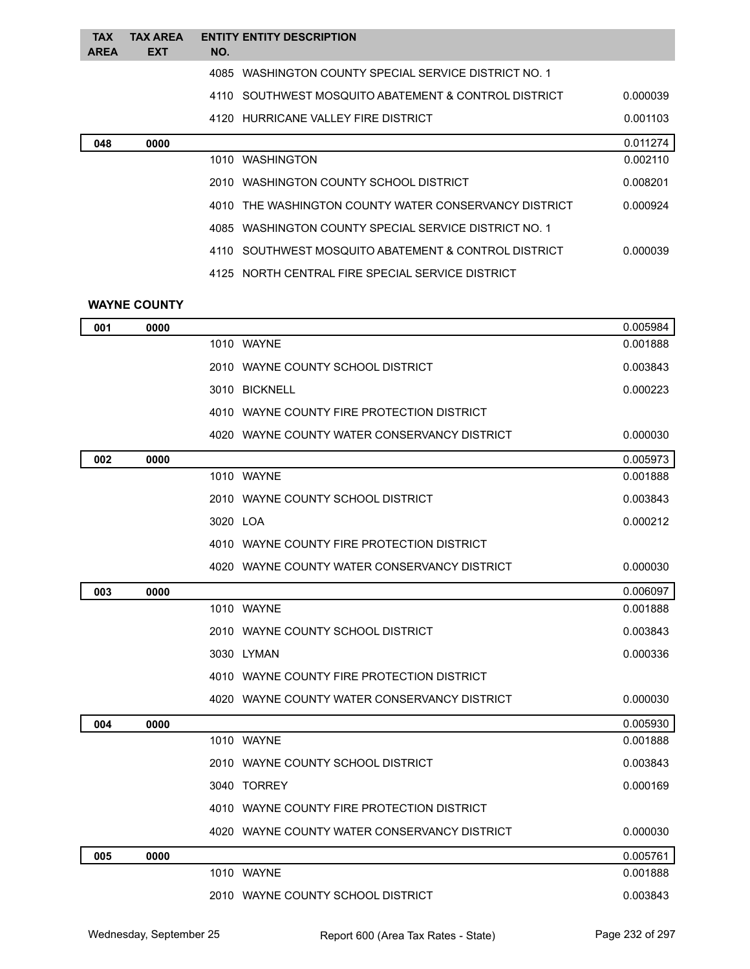| <b>TAX</b><br><b>AREA</b> | <b>TAX AREA</b><br><b>EXT</b> | <b>ENTITY ENTITY DESCRIPTION</b><br>NO.               |          |
|---------------------------|-------------------------------|-------------------------------------------------------|----------|
|                           |                               | 4085 WASHINGTON COUNTY SPECIAL SERVICE DISTRICT NO. 1 |          |
|                           |                               | 4110 SOUTHWEST MOSQUITO ABATEMENT & CONTROL DISTRICT  | 0.000039 |
|                           |                               | 4120 HURRICANE VALLEY FIRE DISTRICT                   | 0.001103 |
| 048                       | 0000                          |                                                       | 0.011274 |
|                           |                               | 1010 WASHINGTON                                       | 0.002110 |
|                           |                               | 2010 WASHINGTON COUNTY SCHOOL DISTRICT                | 0.008201 |
|                           |                               | 4010 THE WASHINGTON COUNTY WATER CONSERVANCY DISTRICT | 0.000924 |
|                           |                               | 4085 WASHINGTON COUNTY SPECIAL SERVICE DISTRICT NO. 1 |          |
|                           |                               | 4110 SOUTHWEST MOSQUITO ABATEMENT & CONTROL DISTRICT  | 0.000039 |
|                           |                               | 4125 NORTH CENTRAL FIRE SPECIAL SERVICE DISTRICT      |          |

### **WAYNE COUNTY**

| 001 | 0000 |                                              | 0.005984 |
|-----|------|----------------------------------------------|----------|
|     |      | 1010 WAYNE                                   | 0.001888 |
|     |      | 2010 WAYNE COUNTY SCHOOL DISTRICT            | 0.003843 |
|     |      | 3010 BICKNELL                                | 0.000223 |
|     |      | 4010 WAYNE COUNTY FIRE PROTECTION DISTRICT   |          |
|     |      | 4020 WAYNE COUNTY WATER CONSERVANCY DISTRICT | 0.000030 |
| 002 | 0000 |                                              | 0.005973 |
|     |      | 1010 WAYNE                                   | 0.001888 |
|     |      | 2010 WAYNE COUNTY SCHOOL DISTRICT            | 0.003843 |
|     |      | 3020 LOA                                     | 0.000212 |
|     |      | 4010 WAYNE COUNTY FIRE PROTECTION DISTRICT   |          |
|     |      | 4020 WAYNE COUNTY WATER CONSERVANCY DISTRICT | 0.000030 |
| 003 | 0000 |                                              | 0.006097 |
|     |      | 1010 WAYNE                                   | 0.001888 |
|     |      | 2010 WAYNE COUNTY SCHOOL DISTRICT            | 0.003843 |
|     |      | 3030 LYMAN                                   | 0.000336 |
|     |      | 4010 WAYNE COUNTY FIRE PROTECTION DISTRICT   |          |
|     |      | 4020 WAYNE COUNTY WATER CONSERVANCY DISTRICT | 0.000030 |
| 004 | 0000 |                                              | 0.005930 |
|     |      | 1010 WAYNE                                   | 0.001888 |
|     |      | 2010 WAYNE COUNTY SCHOOL DISTRICT            | 0.003843 |
|     |      | 3040 TORREY                                  | 0.000169 |
|     |      | 4010 WAYNE COUNTY FIRE PROTECTION DISTRICT   |          |
|     |      | 4020 WAYNE COUNTY WATER CONSERVANCY DISTRICT | 0.000030 |
| 005 | 0000 |                                              | 0.005761 |
|     |      | 1010 WAYNE                                   | 0.001888 |
|     |      | 2010 WAYNE COUNTY SCHOOL DISTRICT            | 0.003843 |
|     |      |                                              |          |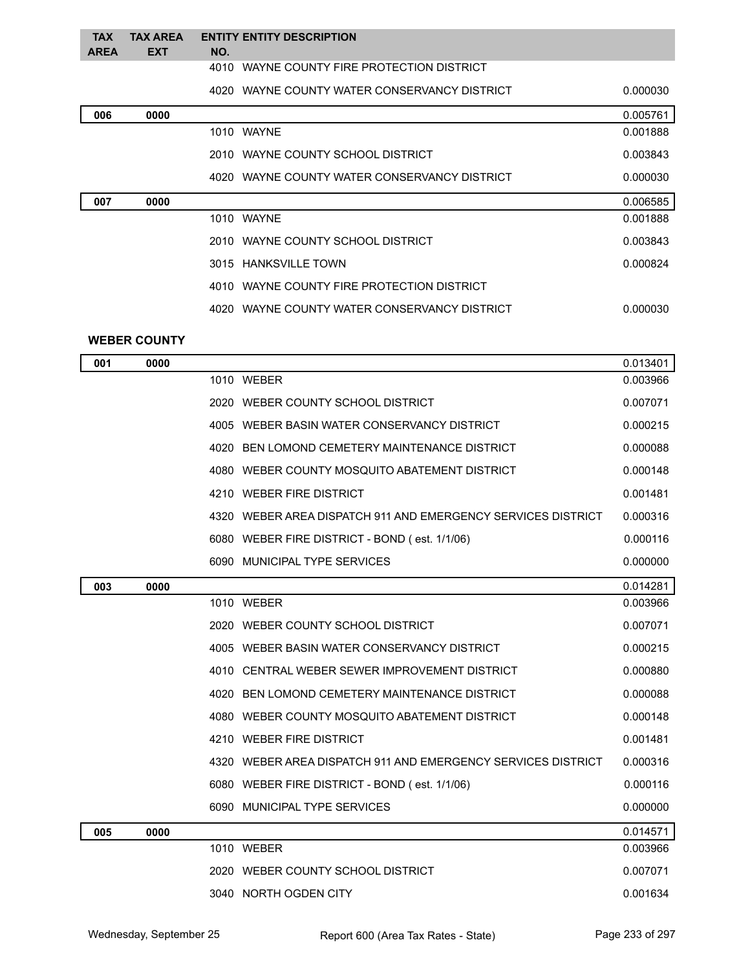#### **TAX TAX AREA ENTITY ENTITY DESCRIPTION AREA EXT NO.** WAYNE COUNTY FIRE PROTECTION DISTRICT

# WAYNE COUNTY WATER CONSERVANCY DISTRICT 0.000030

| 006<br>0000 |                                              | 0.005761 |
|-------------|----------------------------------------------|----------|
|             | 1010 WAYNE                                   | 0.001888 |
|             | 2010 WAYNE COUNTY SCHOOL DISTRICT            | 0.003843 |
|             | 4020 WAYNE COUNTY WATER CONSERVANCY DISTRICT | 0.000030 |
| 007<br>0000 |                                              | 0.006585 |
|             | 1010 WAYNE                                   | 0.001888 |
|             | 2010 WAYNE COUNTY SCHOOL DISTRICT            | 0.003843 |
|             | 3015 HANKSVILLE TOWN                         | 0.000824 |
|             | 4010 WAYNE COUNTY FIRE PROTECTION DISTRICT   |          |
|             | 4020 WAYNE COUNTY WATER CONSERVANCY DISTRICT | 0.000030 |
|             |                                              |          |

### **WEBER COUNTY**

| 001 | 0000 |                                                              | 0.013401 |
|-----|------|--------------------------------------------------------------|----------|
|     |      | 1010 WEBER                                                   | 0.003966 |
|     |      | 2020 WEBER COUNTY SCHOOL DISTRICT                            | 0.007071 |
|     |      | 4005 WEBER BASIN WATER CONSERVANCY DISTRICT                  | 0.000215 |
|     |      | BEN LOMOND CEMETERY MAINTENANCE DISTRICT<br>4020             | 0.000088 |
|     |      | 4080 WEBER COUNTY MOSQUITO ABATEMENT DISTRICT                | 0.000148 |
|     |      | 4210 WEBER FIRE DISTRICT                                     | 0.001481 |
|     |      | 4320 WEBER AREA DISPATCH 911 AND EMERGENCY SERVICES DISTRICT | 0.000316 |
|     |      | 6080 WEBER FIRE DISTRICT - BOND (est. 1/1/06)                | 0.000116 |
|     |      | 6090 MUNICIPAL TYPE SERVICES                                 | 0.000000 |
| 003 | 0000 |                                                              | 0.014281 |
|     |      | 1010 WEBER                                                   | 0.003966 |
|     |      | 2020 WEBER COUNTY SCHOOL DISTRICT                            | 0.007071 |
|     |      | 4005 WEBER BASIN WATER CONSERVANCY DISTRICT                  | 0.000215 |
|     |      | 4010 CENTRAL WEBER SEWER IMPROVEMENT DISTRICT                | 0.000880 |
|     |      | 4020 BEN LOMOND CEMETERY MAINTENANCE DISTRICT                | 0.000088 |
|     |      | 4080 WEBER COUNTY MOSQUITO ABATEMENT DISTRICT                | 0.000148 |
|     |      | 4210 WEBER FIRE DISTRICT                                     | 0.001481 |
|     |      | 4320 WEBER AREA DISPATCH 911 AND EMERGENCY SERVICES DISTRICT | 0.000316 |
|     |      | 6080 WEBER FIRE DISTRICT - BOND (est. 1/1/06)                | 0.000116 |
|     |      | 6090 MUNICIPAL TYPE SERVICES                                 | 0.000000 |
| 005 | 0000 |                                                              | 0.014571 |
|     |      | 1010 WEBER                                                   | 0.003966 |
|     |      | 2020 WEBER COUNTY SCHOOL DISTRICT                            | 0.007071 |
|     |      | 3040 NORTH OGDEN CITY                                        | 0.001634 |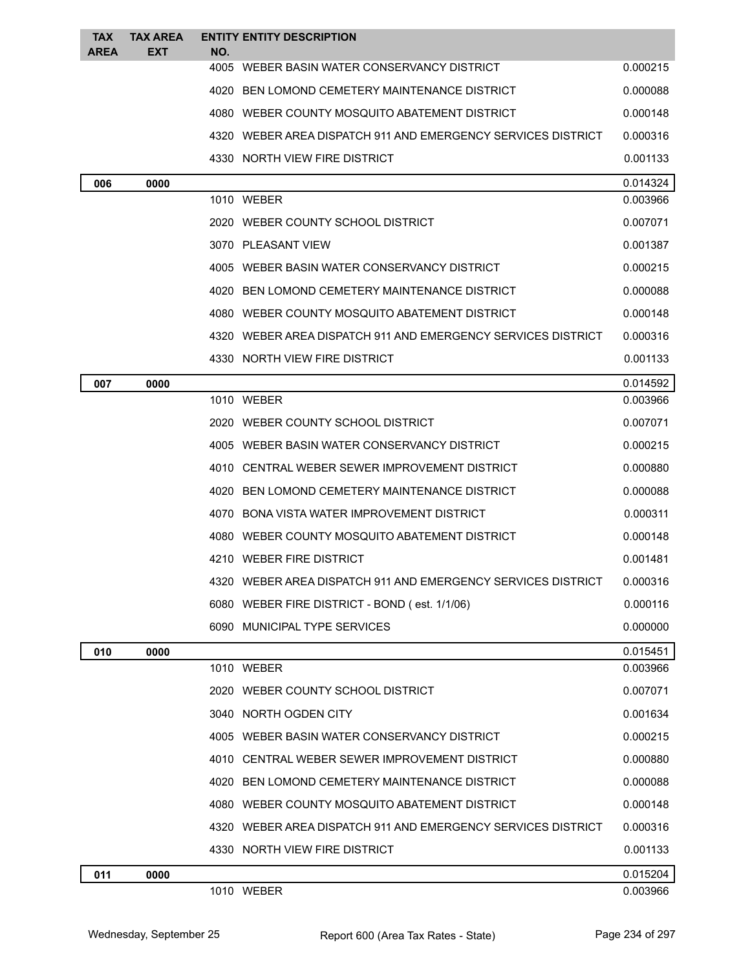| <b>TAX</b><br><b>AREA</b> | <b>TAX AREA</b><br><b>EXT</b> | <b>ENTITY ENTITY DESCRIPTION</b><br>NO.       |                                                              |          |
|---------------------------|-------------------------------|-----------------------------------------------|--------------------------------------------------------------|----------|
|                           |                               | 4005 WEBER BASIN WATER CONSERVANCY DISTRICT   |                                                              | 0.000215 |
|                           |                               | 4020 BEN LOMOND CEMETERY MAINTENANCE DISTRICT |                                                              | 0.000088 |
|                           |                               | 4080 WEBER COUNTY MOSQUITO ABATEMENT DISTRICT |                                                              | 0.000148 |
|                           |                               |                                               | 4320 WEBER AREA DISPATCH 911 AND EMERGENCY SERVICES DISTRICT | 0.000316 |
|                           |                               | 4330 NORTH VIEW FIRE DISTRICT                 |                                                              | 0.001133 |
| 006                       | 0000                          |                                               |                                                              | 0.014324 |
|                           |                               | 1010 WEBER                                    |                                                              | 0.003966 |
|                           |                               | 2020 WEBER COUNTY SCHOOL DISTRICT             |                                                              | 0.007071 |
|                           |                               | 3070 PLEASANT VIEW                            |                                                              | 0.001387 |
|                           |                               | 4005 WEBER BASIN WATER CONSERVANCY DISTRICT   |                                                              | 0.000215 |
|                           |                               | 4020 BEN LOMOND CEMETERY MAINTENANCE DISTRICT |                                                              | 0.000088 |
|                           |                               | 4080 WEBER COUNTY MOSQUITO ABATEMENT DISTRICT |                                                              | 0.000148 |
|                           |                               |                                               | 4320 WEBER AREA DISPATCH 911 AND EMERGENCY SERVICES DISTRICT | 0.000316 |
|                           |                               | 4330 NORTH VIEW FIRE DISTRICT                 |                                                              | 0.001133 |
| 007                       | 0000                          |                                               |                                                              | 0.014592 |
|                           |                               | 1010 WEBER                                    |                                                              | 0.003966 |
|                           |                               | 2020 WEBER COUNTY SCHOOL DISTRICT             |                                                              | 0.007071 |
|                           |                               | 4005 WEBER BASIN WATER CONSERVANCY DISTRICT   |                                                              | 0.000215 |
|                           |                               | 4010 CENTRAL WEBER SEWER IMPROVEMENT DISTRICT |                                                              | 0.000880 |
|                           |                               | 4020 BEN LOMOND CEMETERY MAINTENANCE DISTRICT |                                                              | 0.000088 |
|                           |                               | 4070 BONA VISTA WATER IMPROVEMENT DISTRICT    |                                                              | 0.000311 |
|                           |                               | 4080 WEBER COUNTY MOSQUITO ABATEMENT DISTRICT |                                                              | 0.000148 |
|                           |                               | 4210 WEBER FIRE DISTRICT                      |                                                              | 0.001481 |
|                           |                               |                                               | 4320 WEBER AREA DISPATCH 911 AND EMERGENCY SERVICES DISTRICT | 0.000316 |
|                           |                               | 6080 WEBER FIRE DISTRICT - BOND (est. 1/1/06) |                                                              | 0.000116 |
|                           |                               | 6090 MUNICIPAL TYPE SERVICES                  |                                                              | 0.000000 |
| 010                       | 0000                          |                                               |                                                              | 0.015451 |
|                           |                               | 1010 WEBER                                    |                                                              | 0.003966 |
|                           |                               | 2020 WEBER COUNTY SCHOOL DISTRICT             |                                                              | 0.007071 |
|                           |                               | 3040 NORTH OGDEN CITY                         |                                                              | 0.001634 |
|                           |                               | 4005 WEBER BASIN WATER CONSERVANCY DISTRICT   |                                                              | 0.000215 |
|                           |                               | 4010 CENTRAL WEBER SEWER IMPROVEMENT DISTRICT |                                                              | 0.000880 |
|                           |                               | 4020 BEN LOMOND CEMETERY MAINTENANCE DISTRICT |                                                              | 0.000088 |
|                           |                               | 4080 WEBER COUNTY MOSQUITO ABATEMENT DISTRICT |                                                              | 0.000148 |
|                           |                               |                                               | 4320 WEBER AREA DISPATCH 911 AND EMERGENCY SERVICES DISTRICT | 0.000316 |
|                           |                               | 4330 NORTH VIEW FIRE DISTRICT                 |                                                              | 0.001133 |
| 011                       | 0000                          |                                               |                                                              | 0.015204 |
|                           |                               | 1010 WEBER                                    |                                                              | 0.003966 |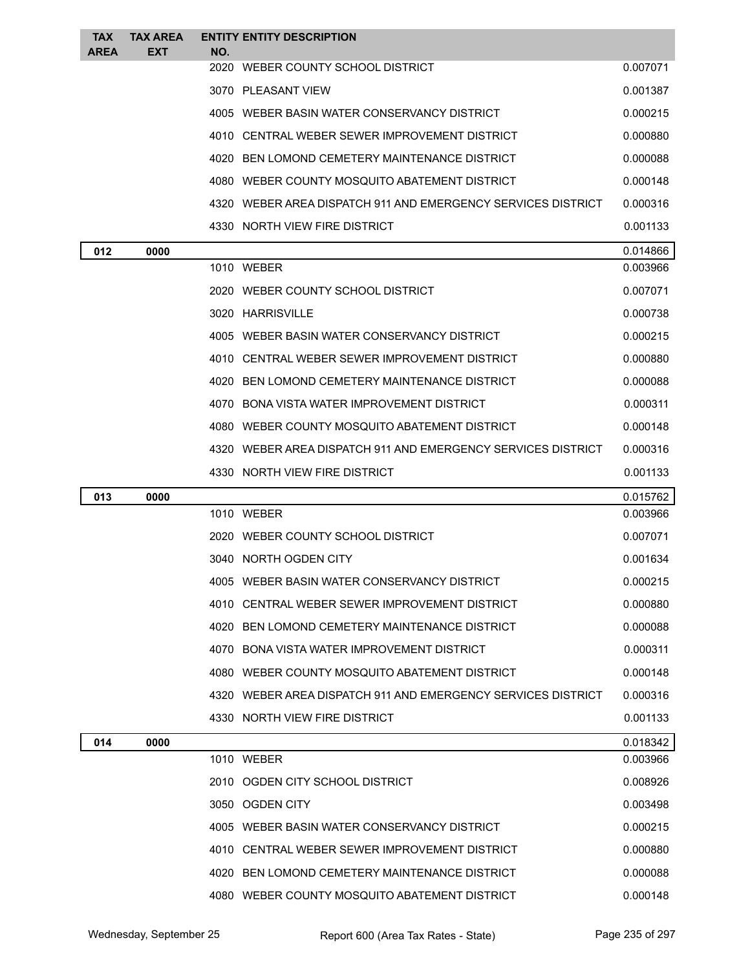| <b>TAX</b>  | <b>TAX AREA</b> |     | <b>ENTITY ENTITY DESCRIPTION</b>                             |          |
|-------------|-----------------|-----|--------------------------------------------------------------|----------|
| <b>AREA</b> | EXT             | NO. | 2020 WEBER COUNTY SCHOOL DISTRICT                            | 0.007071 |
|             |                 |     | 3070 PLEASANT VIEW                                           | 0.001387 |
|             |                 |     | 4005 WEBER BASIN WATER CONSERVANCY DISTRICT                  | 0.000215 |
|             |                 |     | 4010 CENTRAL WEBER SEWER IMPROVEMENT DISTRICT                | 0.000880 |
|             |                 |     |                                                              |          |
|             |                 |     | 4020 BEN LOMOND CEMETERY MAINTENANCE DISTRICT                | 0.000088 |
|             |                 |     | 4080 WEBER COUNTY MOSQUITO ABATEMENT DISTRICT                | 0.000148 |
|             |                 |     | 4320 WEBER AREA DISPATCH 911 AND EMERGENCY SERVICES DISTRICT | 0.000316 |
|             |                 |     | 4330 NORTH VIEW FIRE DISTRICT                                | 0.001133 |
| 012         | 0000            |     |                                                              | 0.014866 |
|             |                 |     | 1010 WEBER                                                   | 0.003966 |
|             |                 |     | 2020 WEBER COUNTY SCHOOL DISTRICT                            | 0.007071 |
|             |                 |     | 3020 HARRISVILLE                                             | 0.000738 |
|             |                 |     | 4005 WEBER BASIN WATER CONSERVANCY DISTRICT                  | 0.000215 |
|             |                 |     | 4010 CENTRAL WEBER SEWER IMPROVEMENT DISTRICT                | 0.000880 |
|             |                 |     | 4020 BEN LOMOND CEMETERY MAINTENANCE DISTRICT                | 0.000088 |
|             |                 |     | 4070 BONA VISTA WATER IMPROVEMENT DISTRICT                   | 0.000311 |
|             |                 |     | 4080 WEBER COUNTY MOSQUITO ABATEMENT DISTRICT                | 0.000148 |
|             |                 |     | 4320 WEBER AREA DISPATCH 911 AND EMERGENCY SERVICES DISTRICT | 0.000316 |
|             |                 |     | 4330 NORTH VIEW FIRE DISTRICT                                | 0.001133 |
| 013         | 0000            |     |                                                              | 0.015762 |
|             |                 |     | 1010 WEBER                                                   | 0.003966 |
|             |                 |     | 2020 WEBER COUNTY SCHOOL DISTRICT                            | 0.007071 |
|             |                 |     | 3040 NORTH OGDEN CITY                                        | 0.001634 |
|             |                 |     | 4005 WEBER BASIN WATER CONSERVANCY DISTRICT                  | 0.000215 |
|             |                 |     | 4010 CENTRAL WEBER SEWER IMPROVEMENT DISTRICT                | 0.000880 |
|             |                 |     | 4020 BEN LOMOND CEMETERY MAINTENANCE DISTRICT                | 0.000088 |
|             |                 |     | 4070 BONA VISTA WATER IMPROVEMENT DISTRICT                   | 0.000311 |
|             |                 |     | 4080 WEBER COUNTY MOSQUITO ABATEMENT DISTRICT                | 0.000148 |
|             |                 |     | 4320 WEBER AREA DISPATCH 911 AND EMERGENCY SERVICES DISTRICT | 0.000316 |
|             |                 |     | 4330 NORTH VIEW FIRE DISTRICT                                | 0.001133 |
| 014         | 0000            |     |                                                              | 0.018342 |
|             |                 |     | 1010 WEBER                                                   | 0.003966 |
|             |                 |     | 2010 OGDEN CITY SCHOOL DISTRICT                              | 0.008926 |
|             |                 |     | 3050 OGDEN CITY                                              | 0.003498 |
|             |                 |     | 4005 WEBER BASIN WATER CONSERVANCY DISTRICT                  | 0.000215 |
|             |                 |     | 4010 CENTRAL WEBER SEWER IMPROVEMENT DISTRICT                | 0.000880 |
|             |                 |     | 4020 BEN LOMOND CEMETERY MAINTENANCE DISTRICT                | 0.000088 |
|             |                 |     | 4080 WEBER COUNTY MOSQUITO ABATEMENT DISTRICT                | 0.000148 |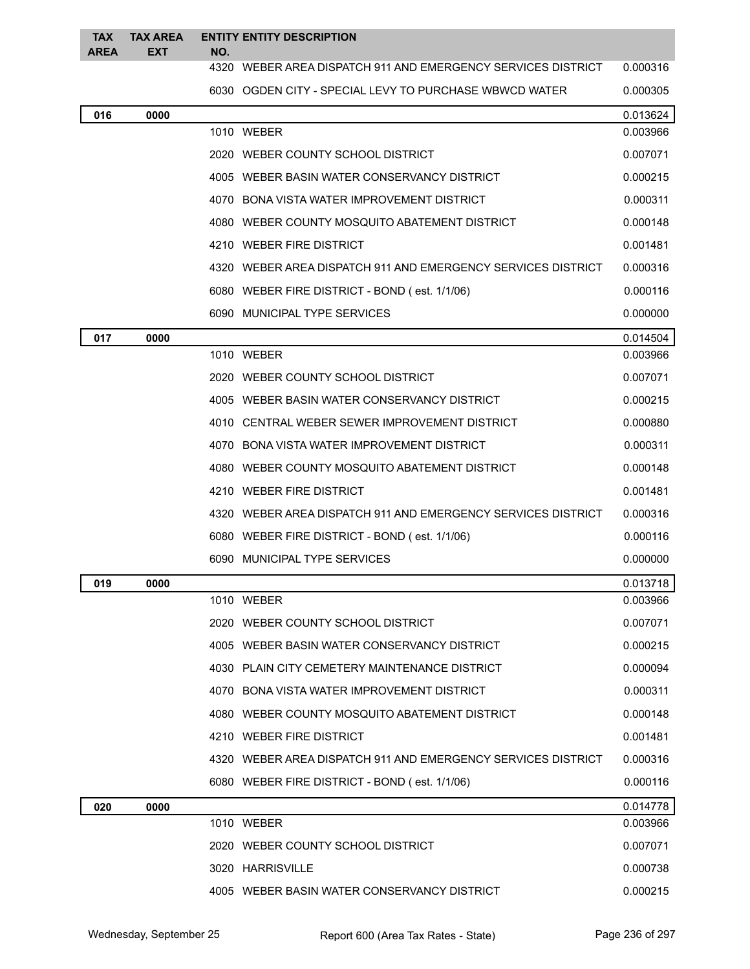| <b>TAX</b>  | <b>TAX AREA</b> |     | <b>ENTITY ENTITY DESCRIPTION</b>                             |          |
|-------------|-----------------|-----|--------------------------------------------------------------|----------|
| <b>AREA</b> | <b>EXT</b>      | NO. | 4320 WEBER AREA DISPATCH 911 AND EMERGENCY SERVICES DISTRICT | 0.000316 |
|             |                 |     | 6030 OGDEN CITY - SPECIAL LEVY TO PURCHASE WBWCD WATER       | 0.000305 |
| 016         | 0000            |     |                                                              | 0.013624 |
|             |                 |     | 1010 WEBER                                                   | 0.003966 |
|             |                 |     | 2020 WEBER COUNTY SCHOOL DISTRICT                            | 0.007071 |
|             |                 |     | 4005 WEBER BASIN WATER CONSERVANCY DISTRICT                  | 0.000215 |
|             |                 |     | 4070 BONA VISTA WATER IMPROVEMENT DISTRICT                   | 0.000311 |
|             |                 |     | 4080 WEBER COUNTY MOSQUITO ABATEMENT DISTRICT                | 0.000148 |
|             |                 |     | 4210 WEBER FIRE DISTRICT                                     | 0.001481 |
|             |                 |     | 4320 WEBER AREA DISPATCH 911 AND EMERGENCY SERVICES DISTRICT | 0.000316 |
|             |                 |     | 6080 WEBER FIRE DISTRICT - BOND (est. 1/1/06)                | 0.000116 |
|             |                 |     | 6090 MUNICIPAL TYPE SERVICES                                 | 0.000000 |
| 017         | 0000            |     |                                                              | 0.014504 |
|             |                 |     | 1010 WEBER                                                   | 0.003966 |
|             |                 |     | 2020 WEBER COUNTY SCHOOL DISTRICT                            | 0.007071 |
|             |                 |     | 4005 WEBER BASIN WATER CONSERVANCY DISTRICT                  | 0.000215 |
|             |                 |     | 4010 CENTRAL WEBER SEWER IMPROVEMENT DISTRICT                | 0.000880 |
|             |                 |     | 4070 BONA VISTA WATER IMPROVEMENT DISTRICT                   | 0.000311 |
|             |                 |     | 4080 WEBER COUNTY MOSQUITO ABATEMENT DISTRICT                | 0.000148 |
|             |                 |     | 4210 WEBER FIRE DISTRICT                                     | 0.001481 |
|             |                 |     | 4320 WEBER AREA DISPATCH 911 AND EMERGENCY SERVICES DISTRICT | 0.000316 |
|             |                 |     | 6080 WEBER FIRE DISTRICT - BOND (est. 1/1/06)                | 0.000116 |
|             |                 |     | 6090 MUNICIPAL TYPE SERVICES                                 | 0.000000 |
| 019         | 0000            |     |                                                              | 0.013718 |
|             |                 |     | 1010 WEBER                                                   | 0.003966 |
|             |                 |     | 2020 WEBER COUNTY SCHOOL DISTRICT                            | 0.007071 |
|             |                 |     | 4005 WEBER BASIN WATER CONSERVANCY DISTRICT                  | 0.000215 |
|             |                 |     | 4030 PLAIN CITY CEMETERY MAINTENANCE DISTRICT                | 0.000094 |
|             |                 |     | 4070 BONA VISTA WATER IMPROVEMENT DISTRICT                   | 0.000311 |
|             |                 |     | 4080 WEBER COUNTY MOSQUITO ABATEMENT DISTRICT                | 0.000148 |
|             |                 |     | 4210 WEBER FIRE DISTRICT                                     | 0.001481 |
|             |                 |     | 4320 WEBER AREA DISPATCH 911 AND EMERGENCY SERVICES DISTRICT | 0.000316 |
|             |                 |     | 6080 WEBER FIRE DISTRICT - BOND (est. 1/1/06)                | 0.000116 |
| 020         | 0000            |     |                                                              | 0.014778 |
|             |                 |     | 1010 WEBER                                                   | 0.003966 |
|             |                 |     | 2020 WEBER COUNTY SCHOOL DISTRICT                            | 0.007071 |
|             |                 |     | 3020 HARRISVILLE                                             | 0.000738 |
|             |                 |     | 4005 WEBER BASIN WATER CONSERVANCY DISTRICT                  | 0.000215 |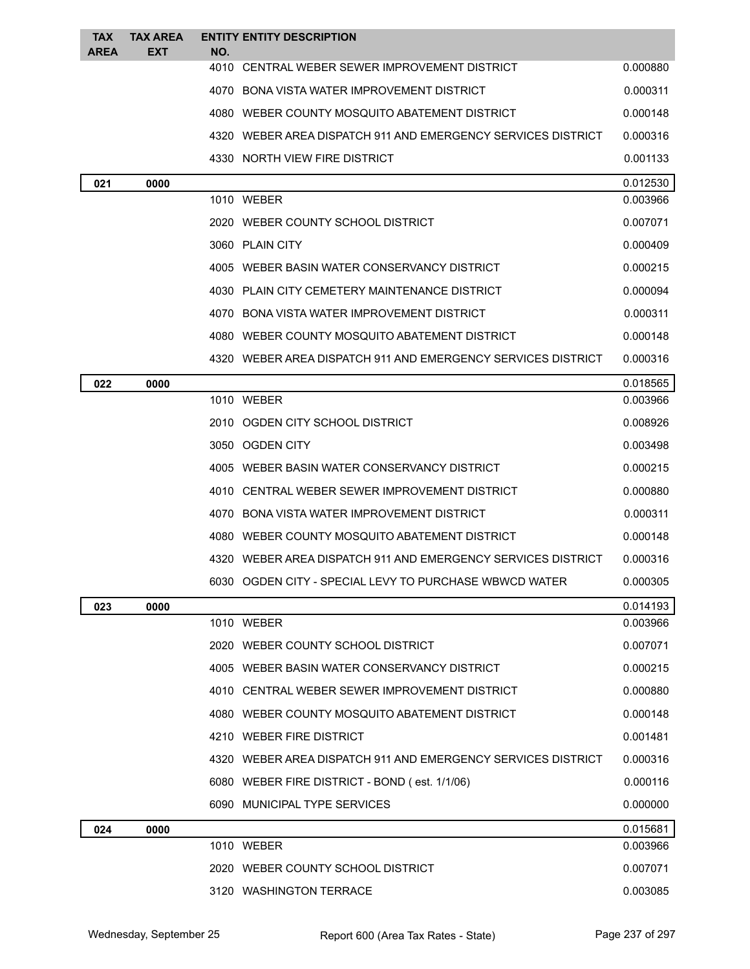| <b>TAX</b><br><b>AREA</b> | <b>TAX AREA</b><br><b>EXT</b> | <b>ENTITY ENTITY DESCRIPTION</b><br>NO.                      |          |
|---------------------------|-------------------------------|--------------------------------------------------------------|----------|
|                           |                               | 4010 CENTRAL WEBER SEWER IMPROVEMENT DISTRICT                | 0.000880 |
|                           |                               | 4070 BONA VISTA WATER IMPROVEMENT DISTRICT                   | 0.000311 |
|                           |                               | 4080 WEBER COUNTY MOSQUITO ABATEMENT DISTRICT                | 0.000148 |
|                           |                               | 4320 WEBER AREA DISPATCH 911 AND EMERGENCY SERVICES DISTRICT | 0.000316 |
|                           |                               | 4330 NORTH VIEW FIRE DISTRICT                                | 0.001133 |
| 021                       | 0000                          |                                                              | 0.012530 |
|                           |                               | 1010 WEBER                                                   | 0.003966 |
|                           |                               | 2020 WEBER COUNTY SCHOOL DISTRICT                            | 0.007071 |
|                           |                               | 3060 PLAIN CITY                                              | 0.000409 |
|                           |                               | 4005 WEBER BASIN WATER CONSERVANCY DISTRICT                  | 0.000215 |
|                           |                               | 4030 PLAIN CITY CEMETERY MAINTENANCE DISTRICT                | 0.000094 |
|                           |                               | 4070 BONA VISTA WATER IMPROVEMENT DISTRICT                   | 0.000311 |
|                           |                               | 4080 WEBER COUNTY MOSQUITO ABATEMENT DISTRICT                | 0.000148 |
|                           |                               | 4320 WEBER AREA DISPATCH 911 AND EMERGENCY SERVICES DISTRICT | 0.000316 |
| 022                       | 0000                          |                                                              | 0.018565 |
|                           |                               | 1010 WEBER                                                   | 0.003966 |
|                           |                               | 2010 OGDEN CITY SCHOOL DISTRICT                              | 0.008926 |
|                           |                               | 3050 OGDEN CITY                                              | 0.003498 |
|                           |                               | 4005 WEBER BASIN WATER CONSERVANCY DISTRICT                  | 0.000215 |
|                           |                               | 4010 CENTRAL WEBER SEWER IMPROVEMENT DISTRICT                | 0.000880 |
|                           |                               | 4070 BONA VISTA WATER IMPROVEMENT DISTRICT                   | 0.000311 |
|                           |                               | 4080 WEBER COUNTY MOSQUITO ABATEMENT DISTRICT                | 0.000148 |
|                           |                               | 4320 WEBER AREA DISPATCH 911 AND EMERGENCY SERVICES DISTRICT | 0.000316 |
|                           |                               | 6030 OGDEN CITY - SPECIAL LEVY TO PURCHASE WBWCD WATER       | 0.000305 |
| 023                       | 0000                          |                                                              | 0.014193 |
|                           |                               | 1010 WEBER                                                   | 0.003966 |
|                           |                               | 2020 WEBER COUNTY SCHOOL DISTRICT                            | 0.007071 |
|                           |                               | 4005 WEBER BASIN WATER CONSERVANCY DISTRICT                  | 0.000215 |
|                           |                               | 4010 CENTRAL WEBER SEWER IMPROVEMENT DISTRICT                | 0.000880 |
|                           |                               | 4080 WEBER COUNTY MOSQUITO ABATEMENT DISTRICT                | 0.000148 |
|                           |                               | 4210 WEBER FIRE DISTRICT                                     | 0.001481 |
|                           |                               | 4320 WEBER AREA DISPATCH 911 AND EMERGENCY SERVICES DISTRICT | 0.000316 |
|                           |                               | 6080 WEBER FIRE DISTRICT - BOND (est. 1/1/06)                | 0.000116 |
|                           |                               | 6090 MUNICIPAL TYPE SERVICES                                 | 0.000000 |
| 024                       | 0000                          |                                                              | 0.015681 |
|                           |                               | 1010 WEBER                                                   | 0.003966 |
|                           |                               | 2020 WEBER COUNTY SCHOOL DISTRICT                            | 0.007071 |
|                           |                               | 3120 WASHINGTON TERRACE                                      | 0.003085 |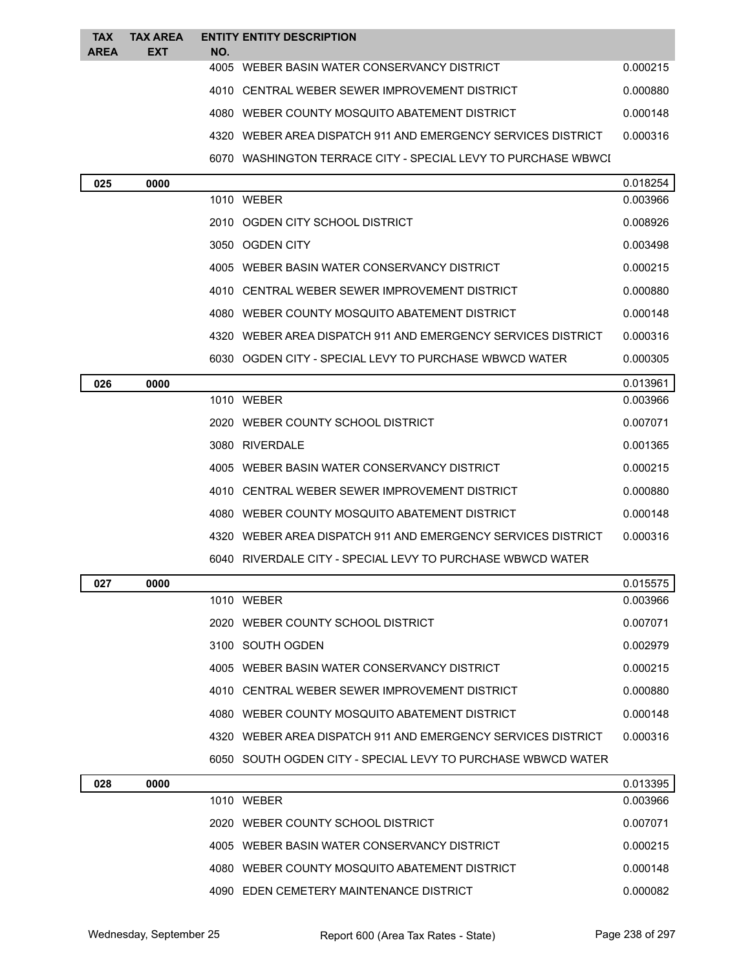| <b>TAX</b>  | <b>TAX AREA</b> |     | <b>ENTITY ENTITY DESCRIPTION</b>                               |          |
|-------------|-----------------|-----|----------------------------------------------------------------|----------|
| <b>AREA</b> | <b>EXT</b>      | NO. |                                                                |          |
|             |                 |     | 4005 WEBER BASIN WATER CONSERVANCY DISTRICT                    | 0.000215 |
|             |                 |     | 4010 CENTRAL WEBER SEWER IMPROVEMENT DISTRICT                  | 0.000880 |
|             |                 |     | 4080 WEBER COUNTY MOSQUITO ABATEMENT DISTRICT                  | 0.000148 |
|             |                 |     | 4320 WEBER AREA DISPATCH 911 AND EMERGENCY SERVICES DISTRICT   | 0.000316 |
|             |                 |     | 6070 WASHINGTON TERRACE CITY - SPECIAL LEVY TO PURCHASE WBWCI  |          |
| 025         | 0000            |     |                                                                | 0.018254 |
|             |                 |     | 1010 WEBER                                                     | 0.003966 |
|             |                 |     | 2010 OGDEN CITY SCHOOL DISTRICT                                | 0.008926 |
|             |                 |     | 3050 OGDEN CITY                                                | 0.003498 |
|             |                 |     | 4005 WEBER BASIN WATER CONSERVANCY DISTRICT                    | 0.000215 |
|             |                 |     | 4010 CENTRAL WEBER SEWER IMPROVEMENT DISTRICT                  | 0.000880 |
|             |                 |     | 4080 WEBER COUNTY MOSQUITO ABATEMENT DISTRICT                  | 0.000148 |
|             |                 |     | 4320   WEBER AREA DISPATCH 911 AND EMERGENCY SERVICES DISTRICT | 0.000316 |
|             |                 |     | 6030 OGDEN CITY - SPECIAL LEVY TO PURCHASE WBWCD WATER         | 0.000305 |
| 026         | 0000            |     |                                                                | 0.013961 |
|             |                 |     | 1010 WEBER                                                     | 0.003966 |
|             |                 |     | 2020 WEBER COUNTY SCHOOL DISTRICT                              | 0.007071 |
|             |                 |     | 3080 RIVERDALE                                                 | 0.001365 |
|             |                 |     | 4005 WEBER BASIN WATER CONSERVANCY DISTRICT                    | 0.000215 |
|             |                 |     | 4010 CENTRAL WEBER SEWER IMPROVEMENT DISTRICT                  | 0.000880 |
|             |                 |     | 4080 WEBER COUNTY MOSQUITO ABATEMENT DISTRICT                  | 0.000148 |
|             |                 |     | 4320 WEBER AREA DISPATCH 911 AND EMERGENCY SERVICES DISTRICT   | 0.000316 |
|             |                 |     | 6040 RIVERDALE CITY - SPECIAL LEVY TO PURCHASE WBWCD WATER     |          |
| 027         | 0000            |     |                                                                | 0.015575 |
|             |                 |     | 1010 WEBER                                                     | 0.003966 |
|             |                 |     | 2020 WEBER COUNTY SCHOOL DISTRICT                              | 0.007071 |
|             |                 |     | 3100 SOUTH OGDEN                                               | 0.002979 |
|             |                 |     | 4005 WEBER BASIN WATER CONSERVANCY DISTRICT                    | 0.000215 |
|             |                 |     | 4010 CENTRAL WEBER SEWER IMPROVEMENT DISTRICT                  | 0.000880 |
|             |                 |     | 4080 WEBER COUNTY MOSQUITO ABATEMENT DISTRICT                  | 0.000148 |
|             |                 |     | 4320   WEBER AREA DISPATCH 911 AND EMERGENCY SERVICES DISTRICT | 0.000316 |
|             |                 |     | 6050 SOUTH OGDEN CITY - SPECIAL LEVY TO PURCHASE WBWCD WATER   |          |
| 028         | 0000            |     |                                                                | 0.013395 |
|             |                 |     |                                                                |          |

| 028 | 0000 |                                               | 0.013395 |
|-----|------|-----------------------------------------------|----------|
|     |      | 1010 WEBER                                    | 0.003966 |
|     |      | 2020 WEBER COUNTY SCHOOL DISTRICT             | 0.007071 |
|     |      | 4005 WEBER BASIN WATER CONSERVANCY DISTRICT   | 0.000215 |
|     |      | 4080 WEBER COUNTY MOSQUITO ABATEMENT DISTRICT | 0.000148 |
|     |      | 4090 EDEN CEMETERY MAINTENANCE DISTRICT       | 0.000082 |
|     |      |                                               |          |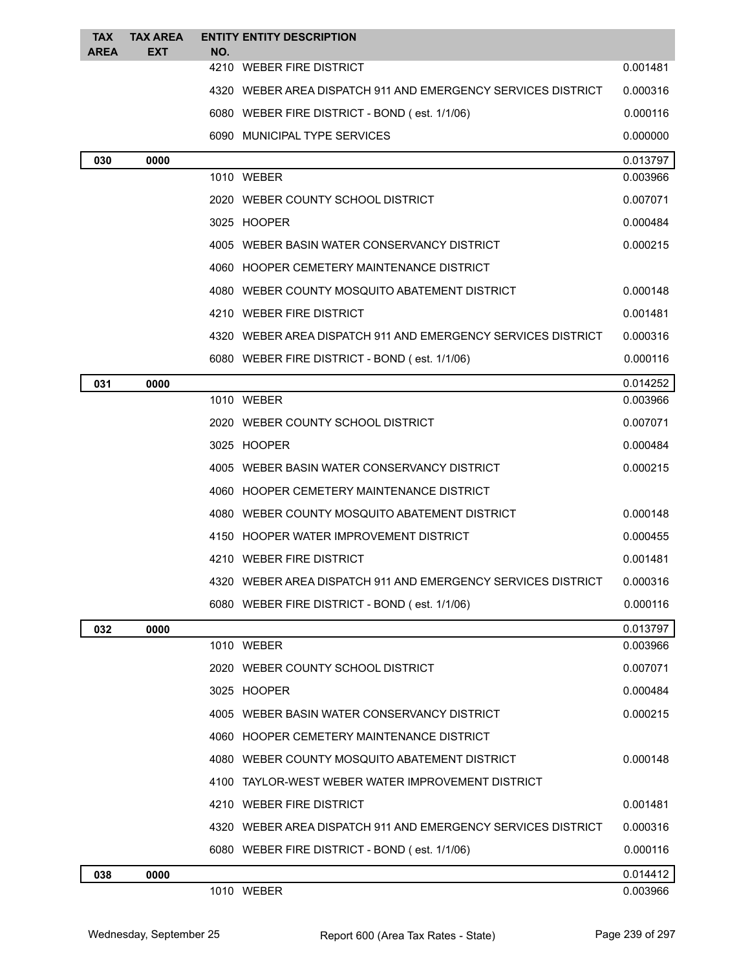| <b>TAX</b>  | <b>TAX AREA</b> | <b>ENTITY ENTITY DESCRIPTION</b>                               |          |
|-------------|-----------------|----------------------------------------------------------------|----------|
| <b>AREA</b> | EXT             | NO.<br>4210 WEBER FIRE DISTRICT                                | 0.001481 |
|             |                 | 4320 WEBER AREA DISPATCH 911 AND EMERGENCY SERVICES DISTRICT   | 0.000316 |
|             |                 | 6080 WEBER FIRE DISTRICT - BOND (est. 1/1/06)                  | 0.000116 |
|             |                 | 6090 MUNICIPAL TYPE SERVICES                                   | 0.000000 |
| 030         | 0000            |                                                                | 0.013797 |
|             |                 | 1010 WEBER                                                     | 0.003966 |
|             |                 | 2020 WEBER COUNTY SCHOOL DISTRICT                              | 0.007071 |
|             |                 | 3025 HOOPER                                                    | 0.000484 |
|             |                 | 4005 WEBER BASIN WATER CONSERVANCY DISTRICT                    | 0.000215 |
|             |                 | 4060 HOOPER CEMETERY MAINTENANCE DISTRICT                      |          |
|             |                 | 4080 WEBER COUNTY MOSQUITO ABATEMENT DISTRICT                  | 0.000148 |
|             |                 | 4210 WEBER FIRE DISTRICT                                       | 0.001481 |
|             |                 | 4320 WEBER AREA DISPATCH 911 AND EMERGENCY SERVICES DISTRICT   | 0.000316 |
|             |                 | 6080 WEBER FIRE DISTRICT - BOND (est. 1/1/06)                  | 0.000116 |
| 031         | 0000            |                                                                | 0.014252 |
|             |                 | 1010 WEBER                                                     | 0.003966 |
|             |                 | 2020 WEBER COUNTY SCHOOL DISTRICT                              | 0.007071 |
|             |                 | 3025 HOOPER                                                    | 0.000484 |
|             |                 | 4005 WEBER BASIN WATER CONSERVANCY DISTRICT                    | 0.000215 |
|             |                 | 4060 HOOPER CEMETERY MAINTENANCE DISTRICT                      |          |
|             |                 | 4080 WEBER COUNTY MOSQUITO ABATEMENT DISTRICT                  | 0.000148 |
|             |                 | 4150 HOOPER WATER IMPROVEMENT DISTRICT                         | 0.000455 |
|             |                 | 4210 WEBER FIRE DISTRICT                                       | 0.001481 |
|             |                 | 4320   WEBER AREA DISPATCH 911 AND EMERGENCY SERVICES DISTRICT | 0.000316 |
|             |                 | 6080 WEBER FIRE DISTRICT - BOND (est. 1/1/06)                  | 0.000116 |
| 032         | 0000            |                                                                | 0.013797 |
|             |                 | 1010 WEBER                                                     | 0.003966 |
|             |                 | 2020 WEBER COUNTY SCHOOL DISTRICT                              | 0.007071 |
|             |                 | 3025 HOOPER                                                    | 0.000484 |
|             |                 | 4005 WEBER BASIN WATER CONSERVANCY DISTRICT                    | 0.000215 |
|             |                 | 4060 HOOPER CEMETERY MAINTENANCE DISTRICT                      |          |
|             |                 | 4080 WEBER COUNTY MOSQUITO ABATEMENT DISTRICT                  | 0.000148 |
|             |                 | 4100 TAYLOR-WEST WEBER WATER IMPROVEMENT DISTRICT              |          |
|             |                 | 4210 WEBER FIRE DISTRICT                                       | 0.001481 |
|             |                 | 4320 WEBER AREA DISPATCH 911 AND EMERGENCY SERVICES DISTRICT   | 0.000316 |
|             |                 | 6080 WEBER FIRE DISTRICT - BOND (est. 1/1/06)                  | 0.000116 |
| 038         | 0000            |                                                                | 0.014412 |
|             |                 | 1010 WEBER                                                     | 0.003966 |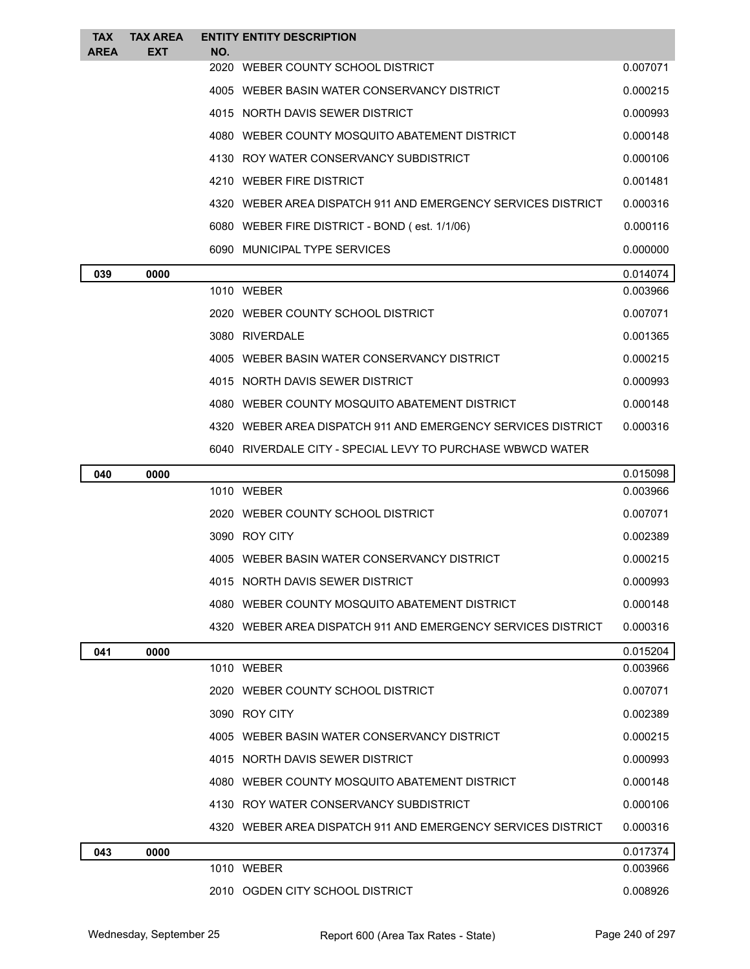| <b>TAX</b><br><b>AREA</b> | <b>TAX AREA</b><br><b>EXT</b> | <b>ENTITY ENTITY DESCRIPTION</b><br>NO. |                                                                |          |
|---------------------------|-------------------------------|-----------------------------------------|----------------------------------------------------------------|----------|
|                           |                               |                                         | 2020 WEBER COUNTY SCHOOL DISTRICT                              | 0.007071 |
|                           |                               |                                         | 4005 WEBER BASIN WATER CONSERVANCY DISTRICT                    | 0.000215 |
|                           |                               |                                         | 4015 NORTH DAVIS SEWER DISTRICT                                | 0.000993 |
|                           |                               |                                         | 4080 WEBER COUNTY MOSQUITO ABATEMENT DISTRICT                  | 0.000148 |
|                           |                               |                                         | 4130 ROY WATER CONSERVANCY SUBDISTRICT                         | 0.000106 |
|                           |                               | 4210 WEBER FIRE DISTRICT                |                                                                | 0.001481 |
|                           |                               |                                         | 4320 WEBER AREA DISPATCH 911 AND EMERGENCY SERVICES DISTRICT   | 0.000316 |
|                           |                               |                                         | 6080 WEBER FIRE DISTRICT - BOND (est. 1/1/06)                  | 0.000116 |
|                           |                               |                                         | 6090 MUNICIPAL TYPE SERVICES                                   | 0.000000 |
| 039                       | 0000                          |                                         |                                                                | 0.014074 |
|                           |                               | 1010 WEBER                              |                                                                | 0.003966 |
|                           |                               |                                         | 2020 WEBER COUNTY SCHOOL DISTRICT                              | 0.007071 |
|                           |                               | 3080 RIVERDALE                          |                                                                | 0.001365 |
|                           |                               |                                         | 4005 WEBER BASIN WATER CONSERVANCY DISTRICT                    | 0.000215 |
|                           |                               |                                         | 4015 NORTH DAVIS SEWER DISTRICT                                | 0.000993 |
|                           |                               |                                         | 4080 WEBER COUNTY MOSQUITO ABATEMENT DISTRICT                  | 0.000148 |
|                           |                               |                                         | 4320 WEBER AREA DISPATCH 911 AND EMERGENCY SERVICES DISTRICT   | 0.000316 |
|                           |                               |                                         | 6040 RIVERDALE CITY - SPECIAL LEVY TO PURCHASE WBWCD WATER     |          |
| 040                       | 0000                          |                                         |                                                                | 0.015098 |
|                           |                               | 1010 WEBER                              |                                                                | 0.003966 |
|                           |                               |                                         | 2020 WEBER COUNTY SCHOOL DISTRICT                              | 0.007071 |
|                           |                               | 3090 ROY CITY                           |                                                                | 0.002389 |
|                           |                               |                                         | 4005 WEBER BASIN WATER CONSERVANCY DISTRICT                    | 0.000215 |
|                           |                               |                                         | 4015 NORTH DAVIS SEWER DISTRICT                                | 0.000993 |
|                           |                               |                                         | 4080 WEBER COUNTY MOSQUITO ABATEMENT DISTRICT                  | 0.000148 |
|                           |                               |                                         | 4320 WEBER AREA DISPATCH 911 AND EMERGENCY SERVICES DISTRICT   | 0.000316 |
| 041                       | 0000                          |                                         |                                                                | 0.015204 |
|                           |                               | 1010 WEBER                              |                                                                | 0.003966 |
|                           |                               |                                         | 2020 WEBER COUNTY SCHOOL DISTRICT                              | 0.007071 |
|                           |                               | 3090 ROY CITY                           |                                                                | 0.002389 |
|                           |                               |                                         | 4005 WEBER BASIN WATER CONSERVANCY DISTRICT                    | 0.000215 |
|                           |                               |                                         | 4015 NORTH DAVIS SEWER DISTRICT                                | 0.000993 |
|                           |                               |                                         | 4080 WEBER COUNTY MOSQUITO ABATEMENT DISTRICT                  | 0.000148 |
|                           |                               |                                         | 4130 ROY WATER CONSERVANCY SUBDISTRICT                         | 0.000106 |
|                           |                               |                                         | 4320   WEBER AREA DISPATCH 911 AND EMERGENCY SERVICES DISTRICT | 0.000316 |
| 043                       | 0000                          |                                         |                                                                | 0.017374 |

| 043 | 0000 |                                    | 0.017374 |
|-----|------|------------------------------------|----------|
|     |      | <b>WEBER</b><br>1010               | 0.003966 |
|     |      | OGDEN CITY SCHOOL DISTRICT<br>2010 | 0.008926 |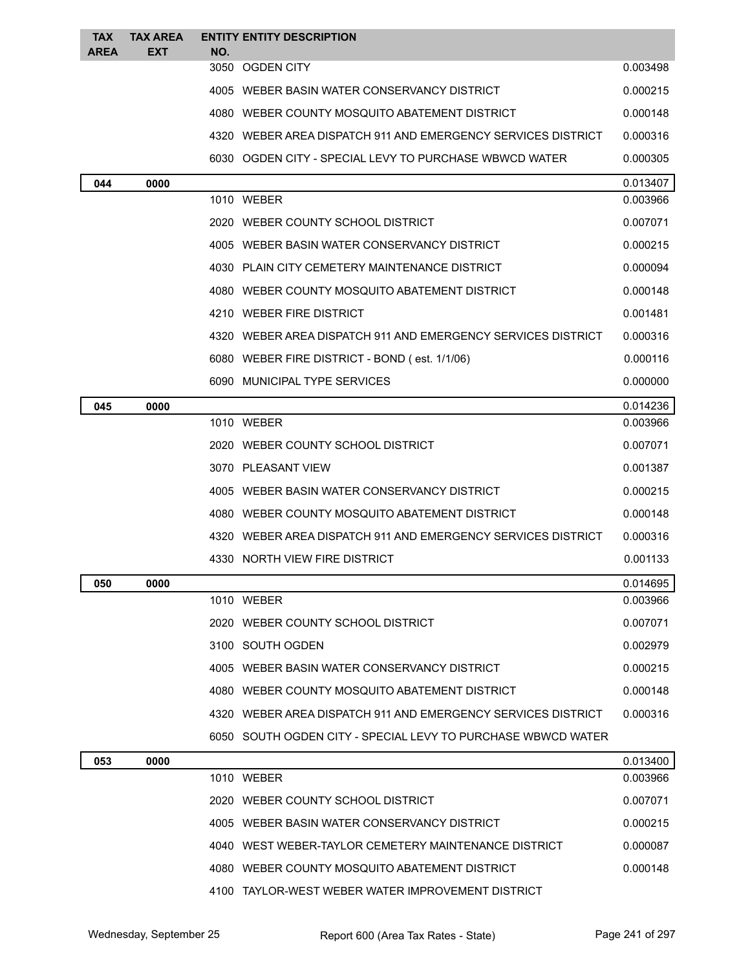| <b>TAX</b>  | <b>TAX AREA</b> |     | <b>ENTITY ENTITY DESCRIPTION</b>                             |                      |
|-------------|-----------------|-----|--------------------------------------------------------------|----------------------|
| <b>AREA</b> | <b>EXT</b>      | NO. | 3050 OGDEN CITY                                              | 0.003498             |
|             |                 |     | 4005 WEBER BASIN WATER CONSERVANCY DISTRICT                  | 0.000215             |
|             |                 |     | 4080 WEBER COUNTY MOSQUITO ABATEMENT DISTRICT                | 0.000148             |
|             |                 |     | 4320 WEBER AREA DISPATCH 911 AND EMERGENCY SERVICES DISTRICT | 0.000316             |
|             |                 |     | 6030 OGDEN CITY - SPECIAL LEVY TO PURCHASE WBWCD WATER       | 0.000305             |
|             |                 |     |                                                              |                      |
| 044         | 0000            |     | 1010 WEBER                                                   | 0.013407<br>0.003966 |
|             |                 |     | 2020 WEBER COUNTY SCHOOL DISTRICT                            | 0.007071             |
|             |                 |     | 4005 WEBER BASIN WATER CONSERVANCY DISTRICT                  | 0.000215             |
|             |                 |     | 4030 PLAIN CITY CEMETERY MAINTENANCE DISTRICT                | 0.000094             |
|             |                 |     | 4080 WEBER COUNTY MOSQUITO ABATEMENT DISTRICT                | 0.000148             |
|             |                 |     | 4210 WEBER FIRE DISTRICT                                     | 0.001481             |
|             |                 |     | 4320 WEBER AREA DISPATCH 911 AND EMERGENCY SERVICES DISTRICT | 0.000316             |
|             |                 |     | 6080 WEBER FIRE DISTRICT - BOND (est. 1/1/06)                | 0.000116             |
|             |                 |     | 6090 MUNICIPAL TYPE SERVICES                                 | 0.000000             |
| 045         | 0000            |     |                                                              | 0.014236             |
|             |                 |     | 1010 WEBER                                                   | 0.003966             |
|             |                 |     | 2020 WEBER COUNTY SCHOOL DISTRICT                            | 0.007071             |
|             |                 |     | 3070 PLEASANT VIEW                                           | 0.001387             |
|             |                 |     | 4005 WEBER BASIN WATER CONSERVANCY DISTRICT                  | 0.000215             |
|             |                 |     | 4080 WEBER COUNTY MOSQUITO ABATEMENT DISTRICT                | 0.000148             |
|             |                 |     | 4320 WEBER AREA DISPATCH 911 AND EMERGENCY SERVICES DISTRICT | 0.000316             |
|             |                 |     | 4330 NORTH VIEW FIRE DISTRICT                                | 0.001133             |
| 050         | 0000            |     |                                                              | 0.014695             |
|             |                 |     | 1010 WEBER                                                   | 0.003966             |
|             |                 |     | 2020 WEBER COUNTY SCHOOL DISTRICT                            | 0.007071             |
|             |                 |     | 3100 SOUTH OGDEN                                             | 0.002979             |
|             |                 |     | 4005 WEBER BASIN WATER CONSERVANCY DISTRICT                  | 0.000215             |
|             |                 |     | 4080 WEBER COUNTY MOSQUITO ABATEMENT DISTRICT                | 0.000148             |
|             |                 |     | 4320 WEBER AREA DISPATCH 911 AND EMERGENCY SERVICES DISTRICT | 0.000316             |
|             |                 |     | 6050 SOUTH OGDEN CITY - SPECIAL LEVY TO PURCHASE WBWCD WATER |                      |
| 053         | 0000            |     |                                                              | 0.013400             |
|             |                 |     | 1010 WEBER                                                   | 0.003966             |
|             |                 |     | 2020 WEBER COUNTY SCHOOL DISTRICT                            | 0.007071             |
|             |                 |     | 4005 WEBER BASIN WATER CONSERVANCY DISTRICT                  | 0.000215             |
|             |                 |     | 4040 WEST WEBER-TAYLOR CEMETERY MAINTENANCE DISTRICT         | 0.000087             |
|             |                 |     | 4080 WEBER COUNTY MOSQUITO ABATEMENT DISTRICT                | 0.000148             |

TAYLOR-WEST WEBER WATER IMPROVEMENT DISTRICT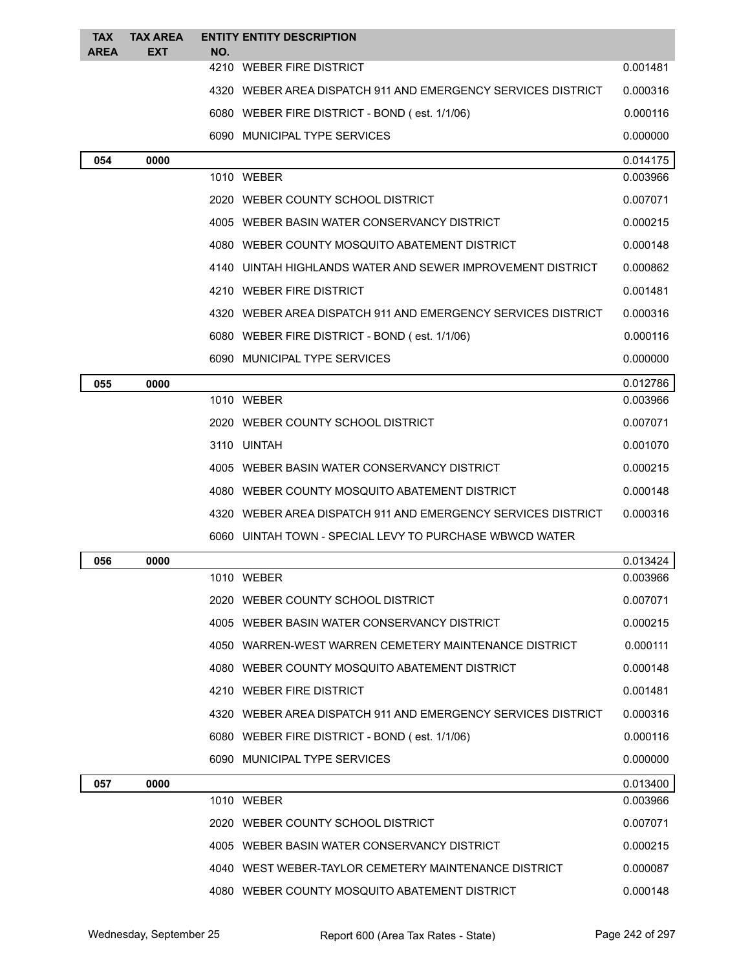| <b>TAX</b><br><b>AREA</b> | <b>TAX AREA</b><br><b>EXT</b> | NO. | <b>ENTITY ENTITY DESCRIPTION</b>                             |          |
|---------------------------|-------------------------------|-----|--------------------------------------------------------------|----------|
|                           |                               |     | 4210 WEBER FIRE DISTRICT                                     | 0.001481 |
|                           |                               |     | 4320 WEBER AREA DISPATCH 911 AND EMERGENCY SERVICES DISTRICT | 0.000316 |
|                           |                               |     | 6080 WEBER FIRE DISTRICT - BOND (est. 1/1/06)                | 0.000116 |
|                           |                               |     | 6090 MUNICIPAL TYPE SERVICES                                 | 0.000000 |
| 054                       | 0000                          |     |                                                              | 0.014175 |
|                           |                               |     | 1010 WEBER                                                   | 0.003966 |
|                           |                               |     | 2020 WEBER COUNTY SCHOOL DISTRICT                            | 0.007071 |
|                           |                               |     | 4005 WEBER BASIN WATER CONSERVANCY DISTRICT                  | 0.000215 |
|                           |                               |     | 4080 WEBER COUNTY MOSQUITO ABATEMENT DISTRICT                | 0.000148 |
|                           |                               |     | 4140 UINTAH HIGHLANDS WATER AND SEWER IMPROVEMENT DISTRICT   | 0.000862 |
|                           |                               |     | 4210 WEBER FIRE DISTRICT                                     | 0.001481 |
|                           |                               |     | 4320 WEBER AREA DISPATCH 911 AND EMERGENCY SERVICES DISTRICT | 0.000316 |
|                           |                               |     | 6080 WEBER FIRE DISTRICT - BOND (est. 1/1/06)                | 0.000116 |
|                           |                               |     | 6090 MUNICIPAL TYPE SERVICES                                 | 0.000000 |
| 055                       | 0000                          |     |                                                              | 0.012786 |
|                           |                               |     | 1010 WEBER                                                   | 0.003966 |
|                           |                               |     | 2020 WEBER COUNTY SCHOOL DISTRICT                            | 0.007071 |
|                           |                               |     | 3110 UINTAH                                                  | 0.001070 |
|                           |                               |     | 4005 WEBER BASIN WATER CONSERVANCY DISTRICT                  | 0.000215 |
|                           |                               |     | 4080 WEBER COUNTY MOSQUITO ABATEMENT DISTRICT                | 0.000148 |
|                           |                               |     | 4320 WEBER AREA DISPATCH 911 AND EMERGENCY SERVICES DISTRICT | 0.000316 |
|                           |                               |     | 6060 UINTAH TOWN - SPECIAL LEVY TO PURCHASE WBWCD WATER      |          |
| 056                       | 0000                          |     |                                                              | 0.013424 |
|                           |                               |     | 1010 WEBER                                                   | 0.003966 |
|                           |                               |     | 2020 WEBER COUNTY SCHOOL DISTRICT                            | 0.007071 |
|                           |                               |     | 4005 WEBER BASIN WATER CONSERVANCY DISTRICT                  | 0.000215 |
|                           |                               |     | 4050 WARREN-WEST WARREN CEMETERY MAINTENANCE DISTRICT        | 0.000111 |
|                           |                               |     | 4080 WEBER COUNTY MOSQUITO ABATEMENT DISTRICT                | 0.000148 |
|                           |                               |     | 4210 WEBER FIRE DISTRICT                                     | 0.001481 |
|                           |                               |     | 4320 WEBER AREA DISPATCH 911 AND EMERGENCY SERVICES DISTRICT | 0.000316 |
|                           |                               |     | 6080 WEBER FIRE DISTRICT - BOND (est. 1/1/06)                | 0.000116 |
|                           |                               |     | 6090 MUNICIPAL TYPE SERVICES                                 | 0.000000 |
| 057                       | 0000                          |     |                                                              | 0.013400 |
|                           |                               |     | 1010 WEBER                                                   | 0.003966 |
|                           |                               |     | 2020 WEBER COUNTY SCHOOL DISTRICT                            | 0.007071 |
|                           |                               |     | 4005 WEBER BASIN WATER CONSERVANCY DISTRICT                  | 0.000215 |
|                           |                               |     | 4040 WEST WEBER-TAYLOR CEMETERY MAINTENANCE DISTRICT         | 0.000087 |
|                           |                               |     | 4080 WEBER COUNTY MOSQUITO ABATEMENT DISTRICT                | 0.000148 |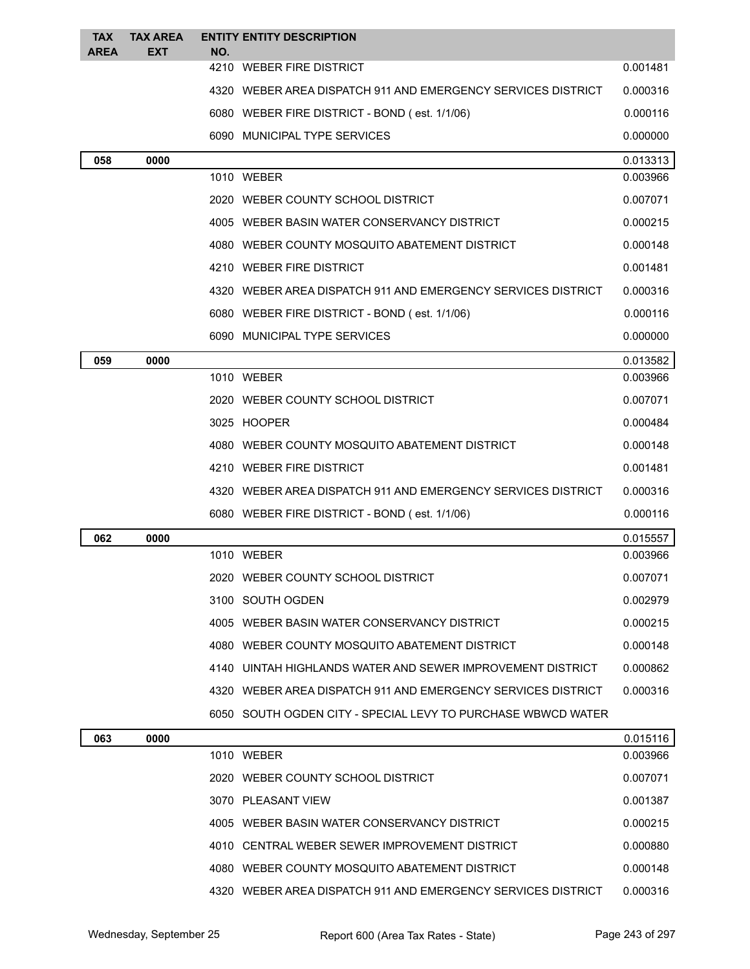| <b>TAX</b><br><b>AREA</b> | <b>TAX AREA</b><br>EXT | NO. | <b>ENTITY ENTITY DESCRIPTION</b>                             |          |
|---------------------------|------------------------|-----|--------------------------------------------------------------|----------|
|                           |                        |     | 4210 WEBER FIRE DISTRICT                                     | 0.001481 |
|                           |                        |     | 4320 WEBER AREA DISPATCH 911 AND EMERGENCY SERVICES DISTRICT | 0.000316 |
|                           |                        |     | 6080 WEBER FIRE DISTRICT - BOND (est. 1/1/06)                | 0.000116 |
|                           |                        |     | 6090 MUNICIPAL TYPE SERVICES                                 | 0.000000 |
| 058                       | 0000                   |     |                                                              | 0.013313 |
|                           |                        |     | 1010 WEBER                                                   | 0.003966 |
|                           |                        |     | 2020 WEBER COUNTY SCHOOL DISTRICT                            | 0.007071 |
|                           |                        |     | 4005 WEBER BASIN WATER CONSERVANCY DISTRICT                  | 0.000215 |
|                           |                        |     | 4080 WEBER COUNTY MOSQUITO ABATEMENT DISTRICT                | 0.000148 |
|                           |                        |     | 4210 WEBER FIRE DISTRICT                                     | 0.001481 |
|                           |                        |     | 4320 WEBER AREA DISPATCH 911 AND EMERGENCY SERVICES DISTRICT | 0.000316 |
|                           |                        |     | 6080 WEBER FIRE DISTRICT - BOND (est. 1/1/06)                | 0.000116 |
|                           |                        |     | 6090 MUNICIPAL TYPE SERVICES                                 | 0.000000 |
| 059                       | 0000                   |     |                                                              | 0.013582 |
|                           |                        |     | 1010 WEBER                                                   | 0.003966 |
|                           |                        |     | 2020 WEBER COUNTY SCHOOL DISTRICT                            | 0.007071 |
|                           |                        |     | 3025 HOOPER                                                  | 0.000484 |
|                           |                        |     | 4080 WEBER COUNTY MOSQUITO ABATEMENT DISTRICT                | 0.000148 |
|                           |                        |     | 4210 WEBER FIRE DISTRICT                                     | 0.001481 |
|                           |                        |     | 4320 WEBER AREA DISPATCH 911 AND EMERGENCY SERVICES DISTRICT | 0.000316 |
|                           |                        |     | 6080 WEBER FIRE DISTRICT - BOND (est. 1/1/06)                | 0.000116 |
| 062                       | 0000                   |     |                                                              | 0.015557 |
|                           |                        |     | 1010 WEBER                                                   | 0.003966 |
|                           |                        |     | 2020 WEBER COUNTY SCHOOL DISTRICT                            | 0.007071 |
|                           |                        |     | 3100 SOUTH OGDEN                                             | 0.002979 |
|                           |                        |     | 4005 WEBER BASIN WATER CONSERVANCY DISTRICT                  | 0.000215 |
|                           |                        |     | 4080 WEBER COUNTY MOSQUITO ABATEMENT DISTRICT                | 0.000148 |
|                           |                        |     | 4140 UINTAH HIGHLANDS WATER AND SEWER IMPROVEMENT DISTRICT   | 0.000862 |
|                           |                        |     | 4320 WEBER AREA DISPATCH 911 AND EMERGENCY SERVICES DISTRICT | 0.000316 |
|                           |                        |     | 6050 SOUTH OGDEN CITY - SPECIAL LEVY TO PURCHASE WBWCD WATER |          |
| 063                       | 0000                   |     |                                                              | 0.015116 |
|                           |                        |     | 1010 WEBER                                                   | 0.003966 |
|                           |                        |     | 2020 WEBER COUNTY SCHOOL DISTRICT                            | 0.007071 |
|                           |                        |     | 3070 PLEASANT VIEW                                           | 0.001387 |
|                           |                        |     | 4005 WEBER BASIN WATER CONSERVANCY DISTRICT                  | 0.000215 |
|                           |                        |     | 4010 CENTRAL WEBER SEWER IMPROVEMENT DISTRICT                | 0.000880 |
|                           |                        |     | 4080 WEBER COUNTY MOSQUITO ABATEMENT DISTRICT                | 0.000148 |
|                           |                        |     | 4320 WEBER AREA DISPATCH 911 AND EMERGENCY SERVICES DISTRICT | 0.000316 |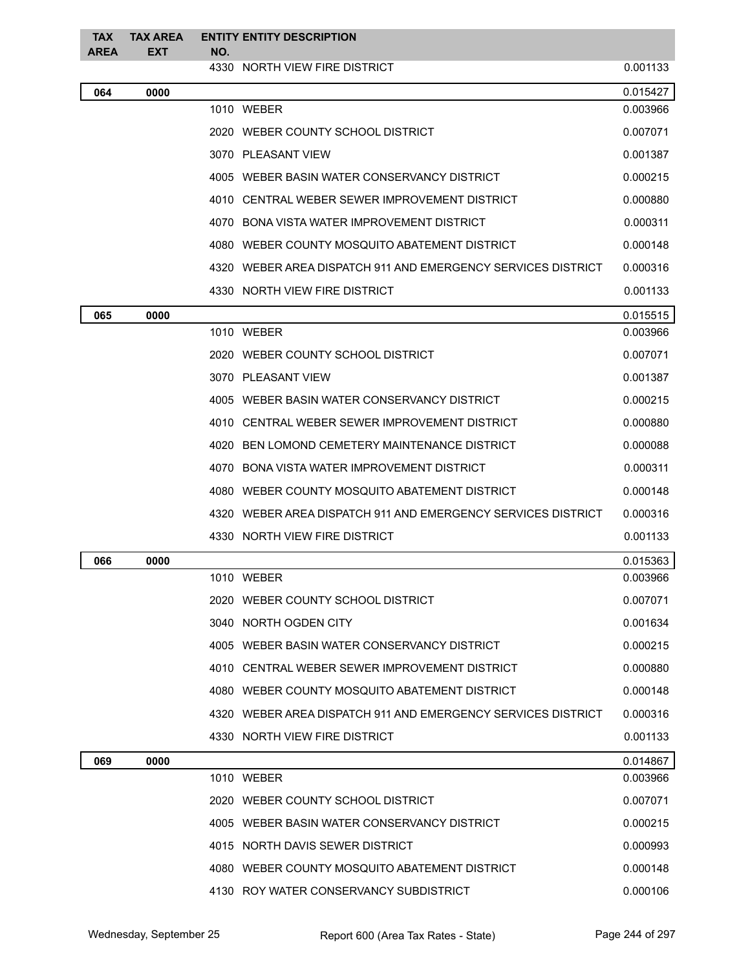| <b>TAX</b>  | <b>TAX AREA</b> |     | <b>ENTITY ENTITY DESCRIPTION</b>                             |          |
|-------------|-----------------|-----|--------------------------------------------------------------|----------|
| <b>AREA</b> | <b>EXT</b>      | NO. | 4330 NORTH VIEW FIRE DISTRICT                                | 0.001133 |
| 064         | 0000            |     |                                                              | 0.015427 |
|             |                 |     | 1010 WEBER                                                   | 0.003966 |
|             |                 |     | 2020 WEBER COUNTY SCHOOL DISTRICT                            | 0.007071 |
|             |                 |     | 3070 PLEASANT VIEW                                           | 0.001387 |
|             |                 |     | 4005 WEBER BASIN WATER CONSERVANCY DISTRICT                  | 0.000215 |
|             |                 |     | 4010 CENTRAL WEBER SEWER IMPROVEMENT DISTRICT                | 0.000880 |
|             |                 |     | 4070 BONA VISTA WATER IMPROVEMENT DISTRICT                   | 0.000311 |
|             |                 |     | 4080 WEBER COUNTY MOSQUITO ABATEMENT DISTRICT                | 0.000148 |
|             |                 |     | 4320 WEBER AREA DISPATCH 911 AND EMERGENCY SERVICES DISTRICT | 0.000316 |
|             |                 |     | 4330 NORTH VIEW FIRE DISTRICT                                | 0.001133 |
| 065         | 0000            |     |                                                              | 0.015515 |
|             |                 |     | 1010 WEBER                                                   | 0.003966 |
|             |                 |     | 2020 WEBER COUNTY SCHOOL DISTRICT                            | 0.007071 |
|             |                 |     | 3070 PLEASANT VIEW                                           | 0.001387 |
|             |                 |     | 4005 WEBER BASIN WATER CONSERVANCY DISTRICT                  | 0.000215 |
|             |                 |     | 4010 CENTRAL WEBER SEWER IMPROVEMENT DISTRICT                | 0.000880 |
|             |                 |     | 4020 BEN LOMOND CEMETERY MAINTENANCE DISTRICT                | 0.000088 |
|             |                 |     | 4070 BONA VISTA WATER IMPROVEMENT DISTRICT                   | 0.000311 |
|             |                 |     | 4080 WEBER COUNTY MOSQUITO ABATEMENT DISTRICT                | 0.000148 |
|             |                 |     | 4320 WEBER AREA DISPATCH 911 AND EMERGENCY SERVICES DISTRICT | 0.000316 |
|             |                 |     | 4330 NORTH VIEW FIRE DISTRICT                                | 0.001133 |
| 066         | 0000            |     |                                                              | 0.015363 |
|             |                 |     | 1010 WEBER                                                   | 0.003966 |
|             |                 |     | 2020 WEBER COUNTY SCHOOL DISTRICT                            | 0.007071 |
|             |                 |     | 3040 NORTH OGDEN CITY                                        | 0.001634 |
|             |                 |     | 4005 WEBER BASIN WATER CONSERVANCY DISTRICT                  | 0.000215 |
|             |                 |     | 4010 CENTRAL WEBER SEWER IMPROVEMENT DISTRICT                | 0.000880 |
|             |                 |     | 4080 WEBER COUNTY MOSQUITO ABATEMENT DISTRICT                | 0.000148 |
|             |                 |     | 4320 WEBER AREA DISPATCH 911 AND EMERGENCY SERVICES DISTRICT | 0.000316 |
|             |                 |     | 4330 NORTH VIEW FIRE DISTRICT                                | 0.001133 |
| 069         | 0000            |     |                                                              | 0.014867 |
|             |                 |     | 1010 WEBER                                                   | 0.003966 |
|             |                 |     | 2020 WEBER COUNTY SCHOOL DISTRICT                            | 0.007071 |
|             |                 |     | 4005 WEBER BASIN WATER CONSERVANCY DISTRICT                  | 0.000215 |
|             |                 |     | 4015 NORTH DAVIS SEWER DISTRICT                              | 0.000993 |
|             |                 |     | 4080 WEBER COUNTY MOSQUITO ABATEMENT DISTRICT                | 0.000148 |
|             |                 |     | 4130 ROY WATER CONSERVANCY SUBDISTRICT                       | 0.000106 |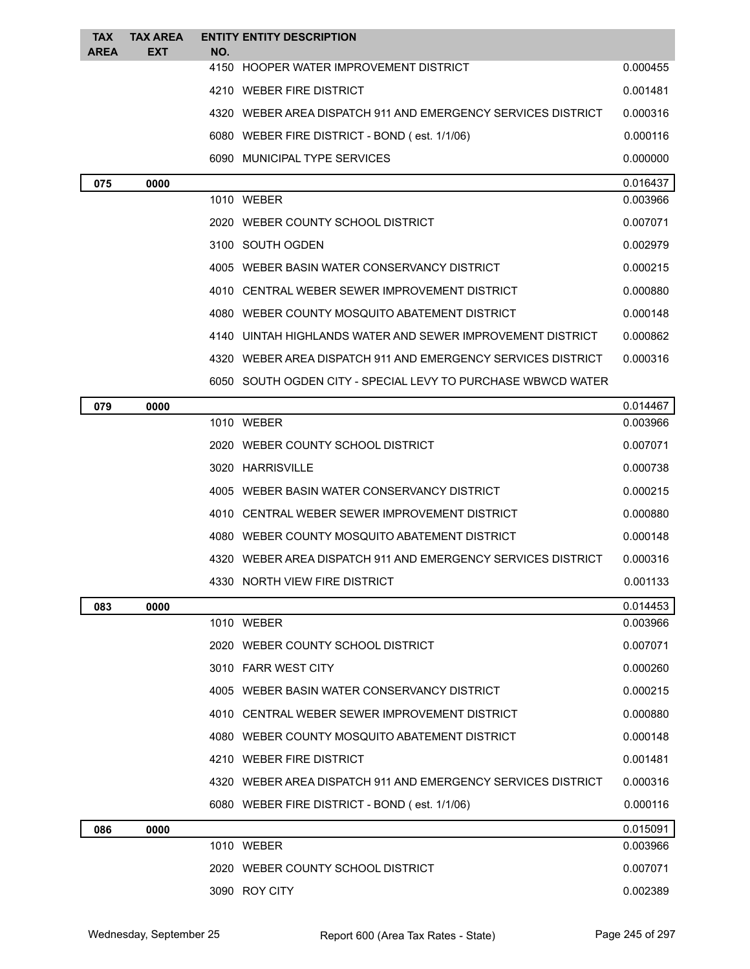| <b>TAX</b><br><b>AREA</b> | <b>TAX AREA</b><br><b>EXT</b> | <b>ENTITY ENTITY DESCRIPTION</b><br>NO.                      |          |
|---------------------------|-------------------------------|--------------------------------------------------------------|----------|
|                           |                               | 4150 HOOPER WATER IMPROVEMENT DISTRICT                       | 0.000455 |
|                           |                               | 4210 WEBER FIRE DISTRICT                                     | 0.001481 |
|                           |                               | 4320 WEBER AREA DISPATCH 911 AND EMERGENCY SERVICES DISTRICT | 0.000316 |
|                           |                               | 6080 WEBER FIRE DISTRICT - BOND (est. 1/1/06)                | 0.000116 |
|                           |                               | 6090 MUNICIPAL TYPE SERVICES                                 | 0.000000 |
| 075                       | 0000                          |                                                              | 0.016437 |
|                           |                               | 1010 WEBER                                                   | 0.003966 |
|                           |                               | 2020 WEBER COUNTY SCHOOL DISTRICT                            | 0.007071 |
|                           |                               | 3100 SOUTH OGDEN                                             | 0.002979 |
|                           |                               | 4005 WEBER BASIN WATER CONSERVANCY DISTRICT                  | 0.000215 |
|                           |                               | 4010 CENTRAL WEBER SEWER IMPROVEMENT DISTRICT                | 0.000880 |
|                           |                               | 4080 WEBER COUNTY MOSQUITO ABATEMENT DISTRICT                | 0.000148 |
|                           |                               | 4140 UINTAH HIGHLANDS WATER AND SEWER IMPROVEMENT DISTRICT   | 0.000862 |
|                           |                               | 4320 WEBER AREA DISPATCH 911 AND EMERGENCY SERVICES DISTRICT | 0.000316 |
|                           |                               | 6050 SOUTH OGDEN CITY - SPECIAL LEVY TO PURCHASE WBWCD WATER |          |
| 079                       | 0000                          |                                                              | 0.014467 |
|                           |                               | 1010 WEBER                                                   | 0.003966 |
|                           |                               | 2020 WEBER COUNTY SCHOOL DISTRICT                            | 0.007071 |
|                           |                               | 3020 HARRISVILLE                                             | 0.000738 |
|                           |                               | 4005 WEBER BASIN WATER CONSERVANCY DISTRICT                  | 0.000215 |
|                           |                               | 4010 CENTRAL WEBER SEWER IMPROVEMENT DISTRICT                | 0.000880 |
|                           |                               | 4080 WEBER COUNTY MOSQUITO ABATEMENT DISTRICT                | 0.000148 |
|                           |                               | 4320 WEBER AREA DISPATCH 911 AND EMERGENCY SERVICES DISTRICT | 0.000316 |
|                           |                               | 4330 NORTH VIEW FIRE DISTRICT                                | 0.001133 |
| 083                       | 0000                          |                                                              | 0.014453 |
|                           |                               | 1010 WEBER                                                   | 0.003966 |
|                           |                               | 2020 WEBER COUNTY SCHOOL DISTRICT                            | 0.007071 |
|                           |                               | 3010 FARR WEST CITY                                          | 0.000260 |
|                           |                               | 4005 WEBER BASIN WATER CONSERVANCY DISTRICT                  | 0.000215 |
|                           |                               | 4010 CENTRAL WEBER SEWER IMPROVEMENT DISTRICT                | 0.000880 |
|                           |                               | 4080 WEBER COUNTY MOSQUITO ABATEMENT DISTRICT                | 0.000148 |
|                           |                               | 4210 WEBER FIRE DISTRICT                                     | 0.001481 |
|                           |                               | 4320 WEBER AREA DISPATCH 911 AND EMERGENCY SERVICES DISTRICT | 0.000316 |
|                           |                               | 6080 WEBER FIRE DISTRICT - BOND (est. 1/1/06)                | 0.000116 |
| 086                       | 0000                          |                                                              | 0.015091 |
|                           |                               | 1010 WEBER                                                   | 0.003966 |
|                           |                               | 2020 WEBER COUNTY SCHOOL DISTRICT                            | 0.007071 |
|                           |                               | 3090 ROY CITY                                                | 0.002389 |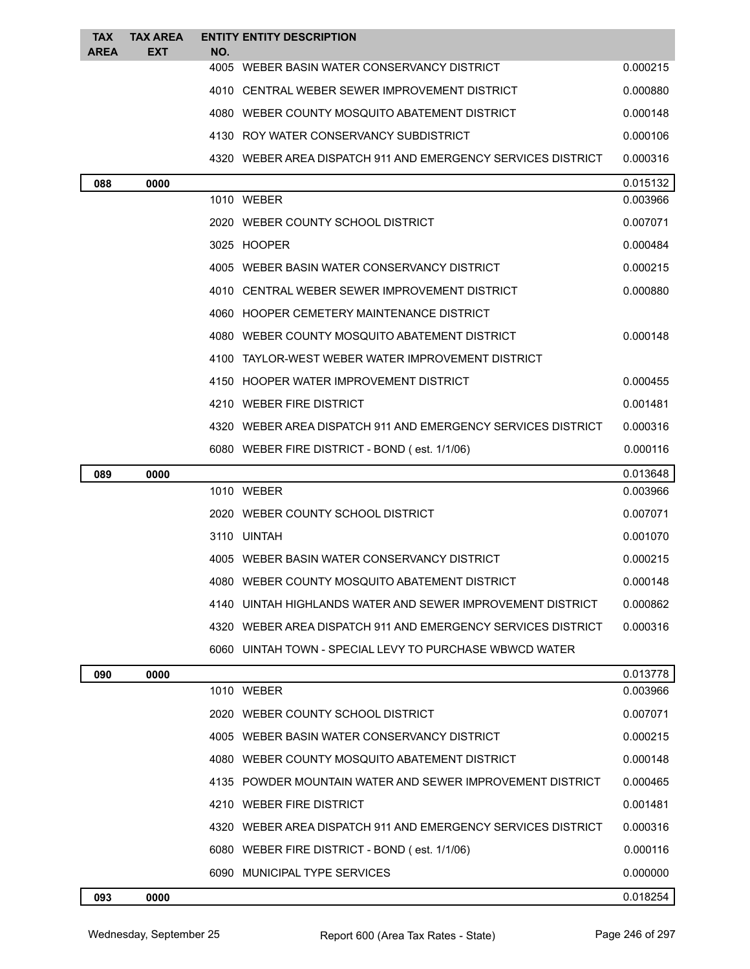| <b>TAX</b><br><b>AREA</b> | <b>TAX AREA</b><br>EXT | <b>ENTITY ENTITY DESCRIPTION</b><br>NO.                      |          |
|---------------------------|------------------------|--------------------------------------------------------------|----------|
|                           |                        | 4005 WEBER BASIN WATER CONSERVANCY DISTRICT                  | 0.000215 |
|                           |                        | 4010 CENTRAL WEBER SEWER IMPROVEMENT DISTRICT                | 0.000880 |
|                           |                        | 4080 WEBER COUNTY MOSQUITO ABATEMENT DISTRICT                | 0.000148 |
|                           |                        | 4130 ROY WATER CONSERVANCY SUBDISTRICT                       | 0.000106 |
|                           |                        | 4320 WEBER AREA DISPATCH 911 AND EMERGENCY SERVICES DISTRICT | 0.000316 |
| 088                       | 0000                   |                                                              | 0.015132 |
|                           |                        | 1010 WEBER                                                   | 0.003966 |
|                           |                        | 2020 WEBER COUNTY SCHOOL DISTRICT                            | 0.007071 |
|                           |                        | 3025 HOOPER                                                  | 0.000484 |
|                           |                        | 4005 WEBER BASIN WATER CONSERVANCY DISTRICT                  | 0.000215 |
|                           |                        | 4010 CENTRAL WEBER SEWER IMPROVEMENT DISTRICT                | 0.000880 |
|                           |                        | 4060 HOOPER CEMETERY MAINTENANCE DISTRICT                    |          |
|                           |                        | 4080 WEBER COUNTY MOSQUITO ABATEMENT DISTRICT                | 0.000148 |
|                           |                        | 4100 TAYLOR-WEST WEBER WATER IMPROVEMENT DISTRICT            |          |
|                           |                        | 4150 HOOPER WATER IMPROVEMENT DISTRICT                       | 0.000455 |
|                           |                        | 4210 WEBER FIRE DISTRICT                                     | 0.001481 |
|                           |                        | 4320 WEBER AREA DISPATCH 911 AND EMERGENCY SERVICES DISTRICT | 0.000316 |
|                           |                        | 6080 WEBER FIRE DISTRICT - BOND (est. 1/1/06)                | 0.000116 |
| 089                       | 0000                   |                                                              | 0.013648 |
|                           |                        | 1010 WEBER                                                   | 0.003966 |
|                           |                        | 2020 WEBER COUNTY SCHOOL DISTRICT                            | 0.007071 |
|                           |                        | 3110 UINTAH                                                  | 0.001070 |
|                           |                        | 4005 WEBER BASIN WATER CONSERVANCY DISTRICT                  | 0.000215 |
|                           |                        | 4080 WEBER COUNTY MOSQUITO ABATEMENT DISTRICT                | 0.000148 |
|                           |                        | 4140 UINTAH HIGHLANDS WATER AND SEWER IMPROVEMENT DISTRICT   | 0.000862 |
|                           |                        | 4320 WEBER AREA DISPATCH 911 AND EMERGENCY SERVICES DISTRICT | 0.000316 |
|                           |                        | 6060 UINTAH TOWN - SPECIAL LEVY TO PURCHASE WBWCD WATER      |          |
| 090                       | 0000                   |                                                              | 0.013778 |
|                           |                        | 1010 WEBER                                                   | 0.003966 |
|                           |                        | 2020 WEBER COUNTY SCHOOL DISTRICT                            | 0.007071 |
|                           |                        | 4005 WEBER BASIN WATER CONSERVANCY DISTRICT                  | 0.000215 |
|                           |                        | 4080 WEBER COUNTY MOSQUITO ABATEMENT DISTRICT                | 0.000148 |
|                           |                        | 4135 POWDER MOUNTAIN WATER AND SEWER IMPROVEMENT DISTRICT    | 0.000465 |
|                           |                        | 4210 WEBER FIRE DISTRICT                                     | 0.001481 |
|                           |                        | 4320 WEBER AREA DISPATCH 911 AND EMERGENCY SERVICES DISTRICT | 0.000316 |
|                           |                        | 6080 WEBER FIRE DISTRICT - BOND (est. 1/1/06)                | 0.000116 |
|                           |                        | 6090 MUNICIPAL TYPE SERVICES                                 | 0.000000 |
| 093                       | 0000                   |                                                              | 0.018254 |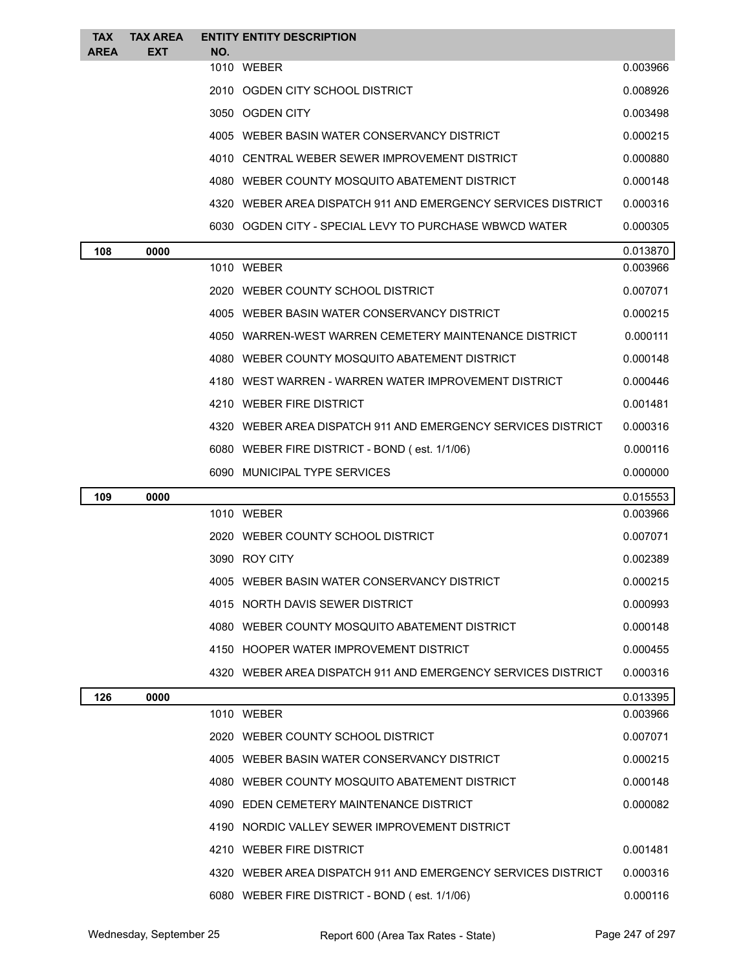| <b>TAX</b><br><b>AREA</b> | <b>TAX AREA</b><br><b>EXT</b> | NO. | <b>ENTITY ENTITY DESCRIPTION</b>                             |          |
|---------------------------|-------------------------------|-----|--------------------------------------------------------------|----------|
|                           |                               |     | 1010 WEBER                                                   | 0.003966 |
|                           |                               |     | 2010 OGDEN CITY SCHOOL DISTRICT                              | 0.008926 |
|                           |                               |     | 3050 OGDEN CITY                                              | 0.003498 |
|                           |                               |     | 4005 WEBER BASIN WATER CONSERVANCY DISTRICT                  | 0.000215 |
|                           |                               |     | 4010 CENTRAL WEBER SEWER IMPROVEMENT DISTRICT                | 0.000880 |
|                           |                               |     | 4080 WEBER COUNTY MOSQUITO ABATEMENT DISTRICT                | 0.000148 |
|                           |                               |     | 4320 WEBER AREA DISPATCH 911 AND EMERGENCY SERVICES DISTRICT | 0.000316 |
|                           |                               |     | 6030 OGDEN CITY - SPECIAL LEVY TO PURCHASE WBWCD WATER       | 0.000305 |
| 108                       | 0000                          |     |                                                              | 0.013870 |
|                           |                               |     | 1010 WEBER                                                   | 0.003966 |
|                           |                               |     | 2020 WEBER COUNTY SCHOOL DISTRICT                            | 0.007071 |
|                           |                               |     | 4005 WEBER BASIN WATER CONSERVANCY DISTRICT                  | 0.000215 |
|                           |                               |     | 4050 WARREN-WEST WARREN CEMETERY MAINTENANCE DISTRICT        | 0.000111 |
|                           |                               |     | 4080 WEBER COUNTY MOSQUITO ABATEMENT DISTRICT                | 0.000148 |
|                           |                               |     | 4180 WEST WARREN - WARREN WATER IMPROVEMENT DISTRICT         | 0.000446 |
|                           |                               |     | 4210 WEBER FIRE DISTRICT                                     | 0.001481 |
|                           |                               |     | 4320 WEBER AREA DISPATCH 911 AND EMERGENCY SERVICES DISTRICT | 0.000316 |
|                           |                               |     | 6080 WEBER FIRE DISTRICT - BOND (est. 1/1/06)                | 0.000116 |
|                           |                               |     | 6090 MUNICIPAL TYPE SERVICES                                 | 0.000000 |
| 109                       | 0000                          |     |                                                              | 0.015553 |
|                           |                               |     | 1010 WEBER                                                   | 0.003966 |
|                           |                               |     | 2020 WEBER COUNTY SCHOOL DISTRICT                            | 0.007071 |
|                           |                               |     | 3090 ROY CITY                                                | 0.002389 |
|                           |                               |     | 4005 WEBER BASIN WATER CONSERVANCY DISTRICT                  | 0.000215 |
|                           |                               |     | 4015 NORTH DAVIS SEWER DISTRICT                              | 0.000993 |
|                           |                               |     | 4080 WEBER COUNTY MOSQUITO ABATEMENT DISTRICT                | 0.000148 |
|                           |                               |     | 4150 HOOPER WATER IMPROVEMENT DISTRICT                       | 0.000455 |
|                           |                               |     | 4320 WEBER AREA DISPATCH 911 AND EMERGENCY SERVICES DISTRICT | 0.000316 |
| 126                       | 0000                          |     |                                                              | 0.013395 |
|                           |                               |     | 1010 WEBER                                                   | 0.003966 |
|                           |                               |     | 2020 WEBER COUNTY SCHOOL DISTRICT                            | 0.007071 |
|                           |                               |     | 4005 WEBER BASIN WATER CONSERVANCY DISTRICT                  | 0.000215 |
|                           |                               |     | 4080 WEBER COUNTY MOSQUITO ABATEMENT DISTRICT                | 0.000148 |
|                           |                               |     | 4090 EDEN CEMETERY MAINTENANCE DISTRICT                      | 0.000082 |
|                           |                               |     |                                                              |          |
|                           |                               |     | 4190 NORDIC VALLEY SEWER IMPROVEMENT DISTRICT                |          |
|                           |                               |     | 4210 WEBER FIRE DISTRICT                                     | 0.001481 |
|                           |                               |     | 4320 WEBER AREA DISPATCH 911 AND EMERGENCY SERVICES DISTRICT | 0.000316 |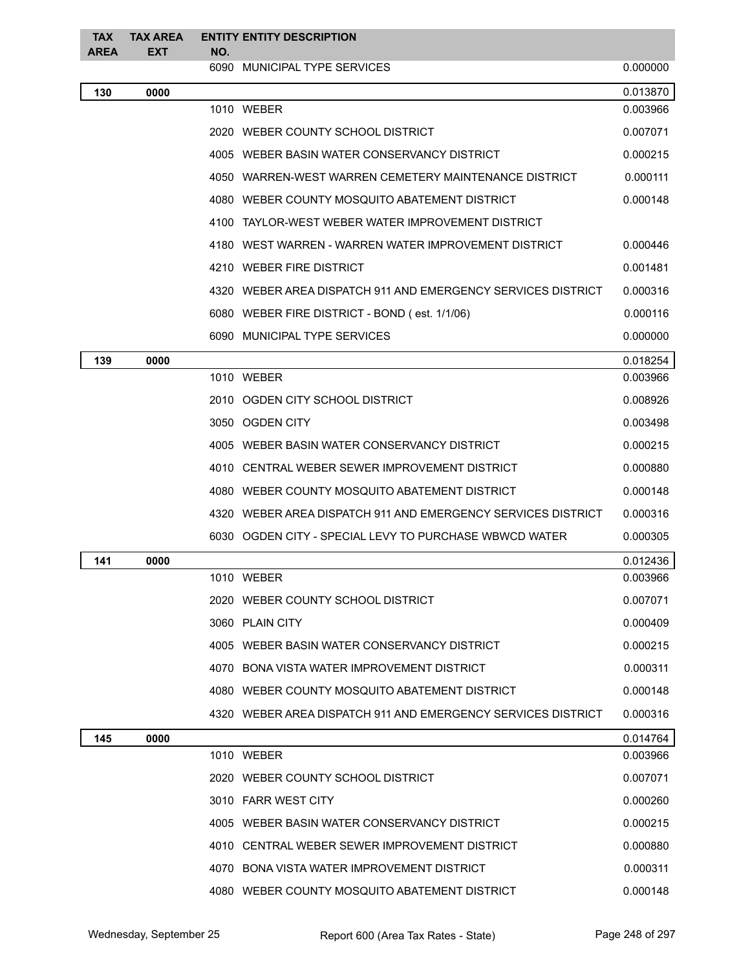| <b>TAX</b><br><b>AREA</b> | <b>TAX AREA</b><br><b>EXT</b> | NO. | <b>ENTITY ENTITY DESCRIPTION</b>                             |          |
|---------------------------|-------------------------------|-----|--------------------------------------------------------------|----------|
|                           |                               |     | 6090 MUNICIPAL TYPE SERVICES                                 | 0.000000 |
| 130                       | 0000                          |     |                                                              | 0.013870 |
|                           |                               |     | 1010 WEBER                                                   | 0.003966 |
|                           |                               |     | 2020 WEBER COUNTY SCHOOL DISTRICT                            | 0.007071 |
|                           |                               |     | 4005 WEBER BASIN WATER CONSERVANCY DISTRICT                  | 0.000215 |
|                           |                               |     | 4050 WARREN-WEST WARREN CEMETERY MAINTENANCE DISTRICT        | 0.000111 |
|                           |                               |     | 4080 WEBER COUNTY MOSQUITO ABATEMENT DISTRICT                | 0.000148 |
|                           |                               |     | 4100 TAYLOR-WEST WEBER WATER IMPROVEMENT DISTRICT            |          |
|                           |                               |     | 4180 WEST WARREN - WARREN WATER IMPROVEMENT DISTRICT         | 0.000446 |
|                           |                               |     | 4210 WEBER FIRE DISTRICT                                     | 0.001481 |
|                           |                               |     | 4320 WEBER AREA DISPATCH 911 AND EMERGENCY SERVICES DISTRICT | 0.000316 |
|                           |                               |     | 6080 WEBER FIRE DISTRICT - BOND (est. 1/1/06)                | 0.000116 |
|                           |                               |     | 6090 MUNICIPAL TYPE SERVICES                                 | 0.000000 |
| 139                       | 0000                          |     |                                                              | 0.018254 |
|                           |                               |     | 1010 WEBER                                                   | 0.003966 |
|                           |                               |     | 2010 OGDEN CITY SCHOOL DISTRICT                              | 0.008926 |
|                           |                               |     | 3050 OGDEN CITY                                              | 0.003498 |
|                           |                               |     | 4005 WEBER BASIN WATER CONSERVANCY DISTRICT                  | 0.000215 |
|                           |                               |     | 4010 CENTRAL WEBER SEWER IMPROVEMENT DISTRICT                | 0.000880 |
|                           |                               |     | 4080 WEBER COUNTY MOSQUITO ABATEMENT DISTRICT                | 0.000148 |
|                           |                               |     | 4320 WEBER AREA DISPATCH 911 AND EMERGENCY SERVICES DISTRICT | 0.000316 |
|                           |                               |     | 6030 OGDEN CITY - SPECIAL LEVY TO PURCHASE WBWCD WATER       | 0.000305 |
| 141                       | 0000                          |     |                                                              | 0.012436 |
|                           |                               |     | 1010 WEBER                                                   | 0.003966 |
|                           |                               |     | 2020 WEBER COUNTY SCHOOL DISTRICT                            | 0.007071 |
|                           |                               |     | 3060 PLAIN CITY                                              | 0.000409 |
|                           |                               |     | 4005 WEBER BASIN WATER CONSERVANCY DISTRICT                  | 0.000215 |
|                           |                               |     | 4070 BONA VISTA WATER IMPROVEMENT DISTRICT                   | 0.000311 |
|                           |                               |     | 4080 WEBER COUNTY MOSQUITO ABATEMENT DISTRICT                | 0.000148 |
|                           |                               |     | 4320 WEBER AREA DISPATCH 911 AND EMERGENCY SERVICES DISTRICT | 0.000316 |
| 145                       | 0000                          |     |                                                              | 0.014764 |
|                           |                               |     | 1010 WEBER                                                   | 0.003966 |
|                           |                               |     | 2020 WEBER COUNTY SCHOOL DISTRICT                            | 0.007071 |
|                           |                               |     | 3010 FARR WEST CITY                                          | 0.000260 |
|                           |                               |     | 4005 WEBER BASIN WATER CONSERVANCY DISTRICT                  | 0.000215 |
|                           |                               |     | 4010 CENTRAL WEBER SEWER IMPROVEMENT DISTRICT                | 0.000880 |
|                           |                               |     | 4070 BONA VISTA WATER IMPROVEMENT DISTRICT                   | 0.000311 |
|                           |                               |     | 4080 WEBER COUNTY MOSQUITO ABATEMENT DISTRICT                | 0.000148 |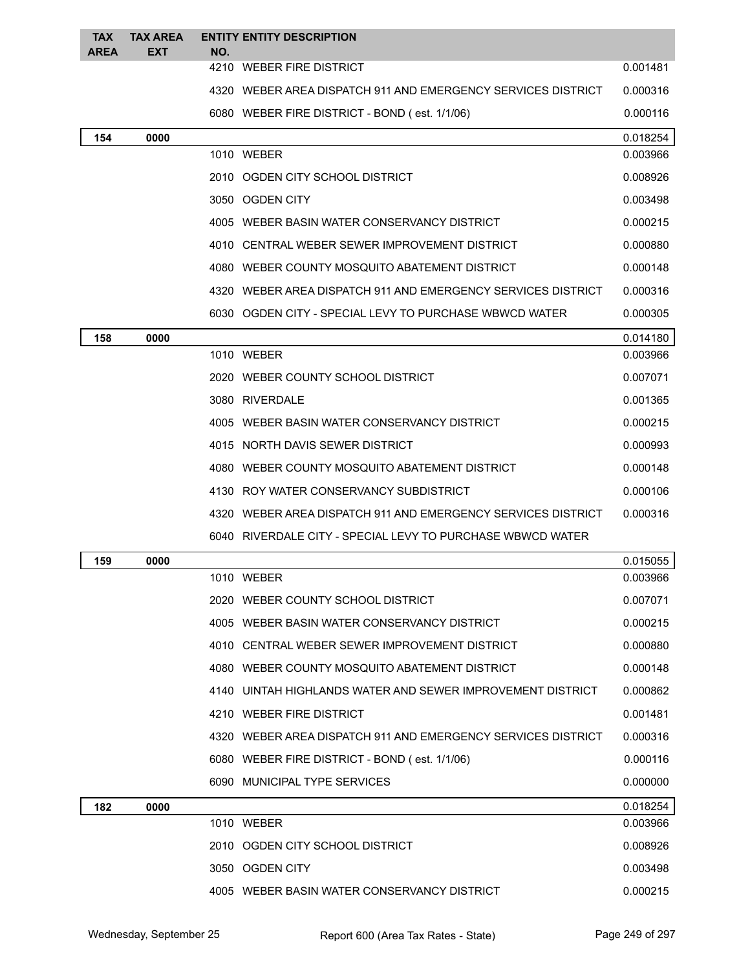| <b>TAX</b><br><b>AREA</b> | <b>TAX AREA</b><br><b>EXT</b> | <b>ENTITY ENTITY DESCRIPTION</b><br>NO.                      |          |
|---------------------------|-------------------------------|--------------------------------------------------------------|----------|
|                           |                               | 4210 WEBER FIRE DISTRICT                                     | 0.001481 |
|                           |                               | 4320 WEBER AREA DISPATCH 911 AND EMERGENCY SERVICES DISTRICT | 0.000316 |
|                           |                               | 6080 WEBER FIRE DISTRICT - BOND (est. 1/1/06)                | 0.000116 |
| 154                       | 0000                          |                                                              | 0.018254 |
|                           |                               | 1010 WEBER                                                   | 0.003966 |
|                           |                               | 2010 OGDEN CITY SCHOOL DISTRICT                              | 0.008926 |
|                           |                               | 3050 OGDEN CITY                                              | 0.003498 |
|                           |                               | 4005 WEBER BASIN WATER CONSERVANCY DISTRICT                  | 0.000215 |
|                           |                               | 4010 CENTRAL WEBER SEWER IMPROVEMENT DISTRICT                | 0.000880 |
|                           |                               | 4080 WEBER COUNTY MOSQUITO ABATEMENT DISTRICT                | 0.000148 |
|                           |                               | 4320 WEBER AREA DISPATCH 911 AND EMERGENCY SERVICES DISTRICT | 0.000316 |
|                           |                               | 6030 OGDEN CITY - SPECIAL LEVY TO PURCHASE WBWCD WATER       | 0.000305 |
| 158                       | 0000                          |                                                              | 0.014180 |
|                           |                               | 1010 WEBER                                                   | 0.003966 |
|                           |                               | 2020 WEBER COUNTY SCHOOL DISTRICT                            | 0.007071 |
|                           |                               | 3080 RIVERDALE                                               | 0.001365 |
|                           |                               | 4005 WEBER BASIN WATER CONSERVANCY DISTRICT                  | 0.000215 |
|                           |                               | 4015 NORTH DAVIS SEWER DISTRICT                              | 0.000993 |
|                           |                               | 4080 WEBER COUNTY MOSQUITO ABATEMENT DISTRICT                | 0.000148 |
|                           |                               | 4130 ROY WATER CONSERVANCY SUBDISTRICT                       | 0.000106 |
|                           |                               | 4320 WEBER AREA DISPATCH 911 AND EMERGENCY SERVICES DISTRICT | 0.000316 |
|                           |                               | 6040 RIVERDALE CITY - SPECIAL LEVY TO PURCHASE WBWCD WATER   |          |
| 159                       | 0000                          |                                                              | 0.015055 |
|                           |                               | 1010 WEBER                                                   | 0.003966 |
|                           |                               | 2020 WEBER COUNTY SCHOOL DISTRICT                            | 0.007071 |
|                           |                               | 4005 WEBER BASIN WATER CONSERVANCY DISTRICT                  | 0.000215 |
|                           |                               | 4010 CENTRAL WEBER SEWER IMPROVEMENT DISTRICT                | 0.000880 |
|                           |                               | 4080 WEBER COUNTY MOSQUITO ABATEMENT DISTRICT                | 0.000148 |
|                           |                               | 4140 UINTAH HIGHLANDS WATER AND SEWER IMPROVEMENT DISTRICT   | 0.000862 |
|                           |                               | 4210 WEBER FIRE DISTRICT                                     | 0.001481 |
|                           |                               | 4320 WEBER AREA DISPATCH 911 AND EMERGENCY SERVICES DISTRICT | 0.000316 |
|                           |                               | 6080 WEBER FIRE DISTRICT - BOND (est. 1/1/06)                | 0.000116 |
|                           |                               | 6090 MUNICIPAL TYPE SERVICES                                 | 0.000000 |
| 182                       | 0000                          |                                                              | 0.018254 |
|                           |                               | 1010 WEBER                                                   | 0.003966 |
|                           |                               | 2010 OGDEN CITY SCHOOL DISTRICT                              | 0.008926 |
|                           |                               | 3050 OGDEN CITY                                              | 0.003498 |
|                           |                               | 4005 WEBER BASIN WATER CONSERVANCY DISTRICT                  | 0.000215 |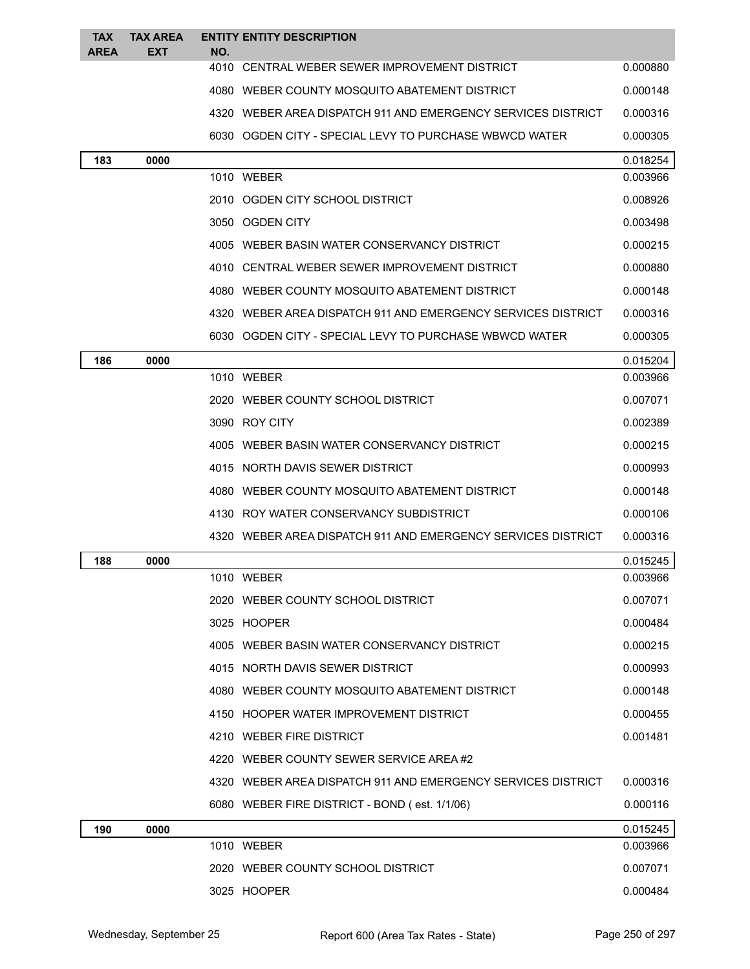| <b>TAX</b>  | <b>TAX AREA</b> | <b>ENTITY ENTITY DESCRIPTION</b>                             |          |
|-------------|-----------------|--------------------------------------------------------------|----------|
| <b>AREA</b> | EXT             | NO.                                                          |          |
|             |                 | 4010 CENTRAL WEBER SEWER IMPROVEMENT DISTRICT                | 0.000880 |
|             |                 | 4080 WEBER COUNTY MOSQUITO ABATEMENT DISTRICT                | 0.000148 |
|             |                 | 4320 WEBER AREA DISPATCH 911 AND EMERGENCY SERVICES DISTRICT | 0.000316 |
|             |                 | 6030 OGDEN CITY - SPECIAL LEVY TO PURCHASE WBWCD WATER       | 0.000305 |
| 183         | 0000            |                                                              | 0.018254 |
|             |                 | 1010 WEBER                                                   | 0.003966 |
|             |                 | 2010 OGDEN CITY SCHOOL DISTRICT                              | 0.008926 |
|             |                 | 3050 OGDEN CITY                                              | 0.003498 |
|             |                 | 4005 WEBER BASIN WATER CONSERVANCY DISTRICT                  | 0.000215 |
|             |                 | 4010 CENTRAL WEBER SEWER IMPROVEMENT DISTRICT                | 0.000880 |
|             |                 | 4080 WEBER COUNTY MOSQUITO ABATEMENT DISTRICT                | 0.000148 |
|             |                 | 4320 WEBER AREA DISPATCH 911 AND EMERGENCY SERVICES DISTRICT | 0.000316 |
|             |                 | 6030   OGDEN CITY - SPECIAL LEVY TO PURCHASE WBWCD WATER     | 0.000305 |
| 186         | 0000            |                                                              | 0.015204 |
|             |                 | 1010 WEBER                                                   | 0.003966 |
|             |                 | 2020 WEBER COUNTY SCHOOL DISTRICT                            | 0.007071 |
|             |                 | 3090 ROY CITY                                                | 0.002389 |
|             |                 | 4005 WEBER BASIN WATER CONSERVANCY DISTRICT                  | 0.000215 |
|             |                 | 4015 NORTH DAVIS SEWER DISTRICT                              | 0.000993 |
|             |                 | 4080 WEBER COUNTY MOSQUITO ABATEMENT DISTRICT                | 0.000148 |
|             |                 | 4130 ROY WATER CONSERVANCY SUBDISTRICT                       | 0.000106 |
|             |                 | 4320 WEBER AREA DISPATCH 911 AND EMERGENCY SERVICES DISTRICT | 0.000316 |
| 188         | 0000            |                                                              | 0.015245 |
|             |                 | 1010 WEBER                                                   | 0.003966 |
|             |                 | 2020 WEBER COUNTY SCHOOL DISTRICT                            | 0.007071 |
|             |                 | 3025 HOOPER                                                  | 0.000484 |
|             |                 | 4005 WEBER BASIN WATER CONSERVANCY DISTRICT                  | 0.000215 |
|             |                 | 4015 NORTH DAVIS SEWER DISTRICT                              | 0.000993 |
|             |                 | 4080 WEBER COUNTY MOSQUITO ABATEMENT DISTRICT                | 0.000148 |
|             |                 | 4150 HOOPER WATER IMPROVEMENT DISTRICT                       | 0.000455 |
|             |                 | 4210 WEBER FIRE DISTRICT                                     | 0.001481 |
|             |                 | 4220 WEBER COUNTY SEWER SERVICE AREA#2                       |          |
|             |                 | 4320 WEBER AREA DISPATCH 911 AND EMERGENCY SERVICES DISTRICT | 0.000316 |
|             |                 | 6080 WEBER FIRE DISTRICT - BOND (est. 1/1/06)                | 0.000116 |
| 190         | 0000            |                                                              | 0.015245 |
|             |                 | 1010 WEBER                                                   | 0.003966 |
|             |                 | 2020 WEBER COUNTY SCHOOL DISTRICT                            | 0.007071 |
|             |                 | 3025 HOOPER                                                  | 0.000484 |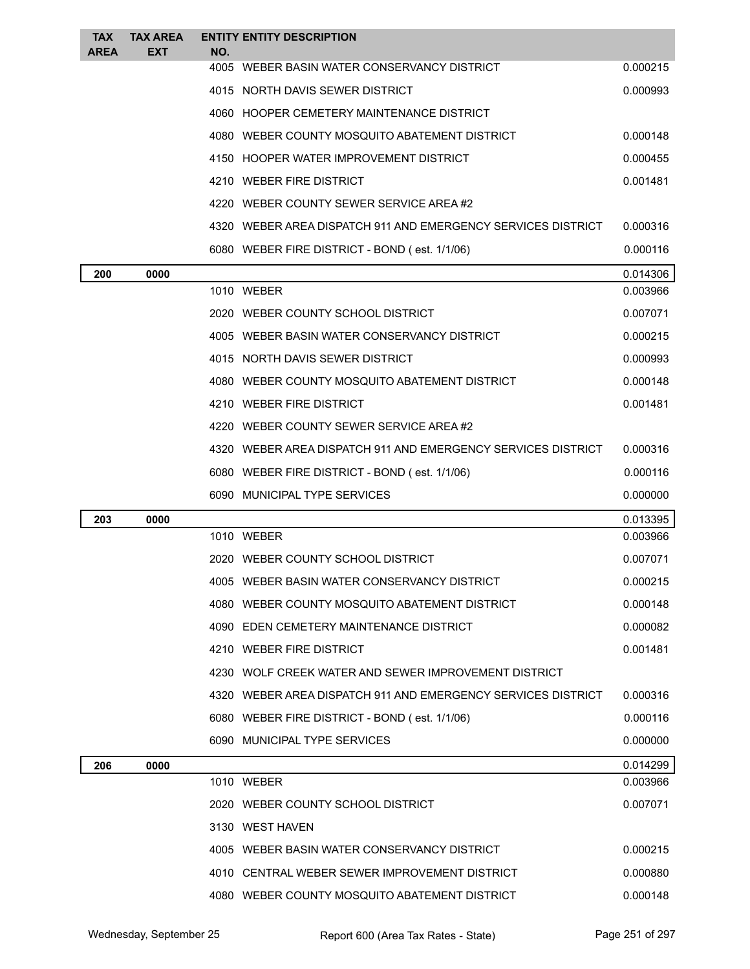| <b>TAX</b><br><b>AREA</b> | <b>TAX AREA</b><br><b>EXT</b> | NO. | <b>ENTITY ENTITY DESCRIPTION</b>                             |          |
|---------------------------|-------------------------------|-----|--------------------------------------------------------------|----------|
|                           |                               |     | 4005 WEBER BASIN WATER CONSERVANCY DISTRICT                  | 0.000215 |
|                           |                               |     | 4015 NORTH DAVIS SEWER DISTRICT                              | 0.000993 |
|                           |                               |     | 4060 HOOPER CEMETERY MAINTENANCE DISTRICT                    |          |
|                           |                               |     | 4080 WEBER COUNTY MOSQUITO ABATEMENT DISTRICT                | 0.000148 |
|                           |                               |     | 4150 HOOPER WATER IMPROVEMENT DISTRICT                       | 0.000455 |
|                           |                               |     | 4210 WEBER FIRE DISTRICT                                     | 0.001481 |
|                           |                               |     | 4220 WEBER COUNTY SEWER SERVICE AREA#2                       |          |
|                           |                               |     | 4320 WEBER AREA DISPATCH 911 AND EMERGENCY SERVICES DISTRICT | 0.000316 |
|                           |                               |     | 6080 WEBER FIRE DISTRICT - BOND (est. 1/1/06)                | 0.000116 |
| 200                       | 0000                          |     |                                                              | 0.014306 |
|                           |                               |     | 1010 WEBER                                                   | 0.003966 |
|                           |                               |     | 2020 WEBER COUNTY SCHOOL DISTRICT                            | 0.007071 |
|                           |                               |     | 4005 WEBER BASIN WATER CONSERVANCY DISTRICT                  | 0.000215 |
|                           |                               |     | 4015 NORTH DAVIS SEWER DISTRICT                              | 0.000993 |
|                           |                               |     | 4080 WEBER COUNTY MOSQUITO ABATEMENT DISTRICT                | 0.000148 |
|                           |                               |     | 4210 WEBER FIRE DISTRICT                                     | 0.001481 |
|                           |                               |     | 4220 WEBER COUNTY SEWER SERVICE AREA#2                       |          |
|                           |                               |     | 4320 WEBER AREA DISPATCH 911 AND EMERGENCY SERVICES DISTRICT | 0.000316 |
|                           |                               |     | 6080 WEBER FIRE DISTRICT - BOND (est. 1/1/06)                | 0.000116 |
|                           |                               |     | 6090 MUNICIPAL TYPE SERVICES                                 | 0.000000 |
| 203                       | 0000                          |     |                                                              | 0.013395 |
|                           |                               |     | 1010 WEBER                                                   | 0.003966 |
|                           |                               |     | 2020 WEBER COUNTY SCHOOL DISTRICT                            | 0.007071 |
|                           |                               |     | 4005 WEBER BASIN WATER CONSERVANCY DISTRICT                  | 0.000215 |
|                           |                               |     | 4080 WEBER COUNTY MOSQUITO ABATEMENT DISTRICT                | 0.000148 |
|                           |                               |     | 4090 EDEN CEMETERY MAINTENANCE DISTRICT                      | 0.000082 |
|                           |                               |     | 4210 WEBER FIRE DISTRICT                                     | 0.001481 |
|                           |                               |     | 4230 WOLF CREEK WATER AND SEWER IMPROVEMENT DISTRICT         |          |
|                           |                               |     | 4320 WEBER AREA DISPATCH 911 AND EMERGENCY SERVICES DISTRICT | 0.000316 |
|                           |                               |     | 6080 WEBER FIRE DISTRICT - BOND (est. 1/1/06)                | 0.000116 |
|                           |                               |     | 6090 MUNICIPAL TYPE SERVICES                                 | 0.000000 |
| 206                       | 0000                          |     |                                                              | 0.014299 |
|                           |                               |     | 1010 WEBER                                                   | 0.003966 |
|                           |                               |     | 2020 WEBER COUNTY SCHOOL DISTRICT                            | 0.007071 |
|                           |                               |     | 3130 WEST HAVEN                                              |          |
|                           |                               |     | 4005 WEBER BASIN WATER CONSERVANCY DISTRICT                  | 0.000215 |
|                           |                               |     | 4010 CENTRAL WEBER SEWER IMPROVEMENT DISTRICT                | 0.000880 |
|                           |                               |     | 4080 WEBER COUNTY MOSQUITO ABATEMENT DISTRICT                | 0.000148 |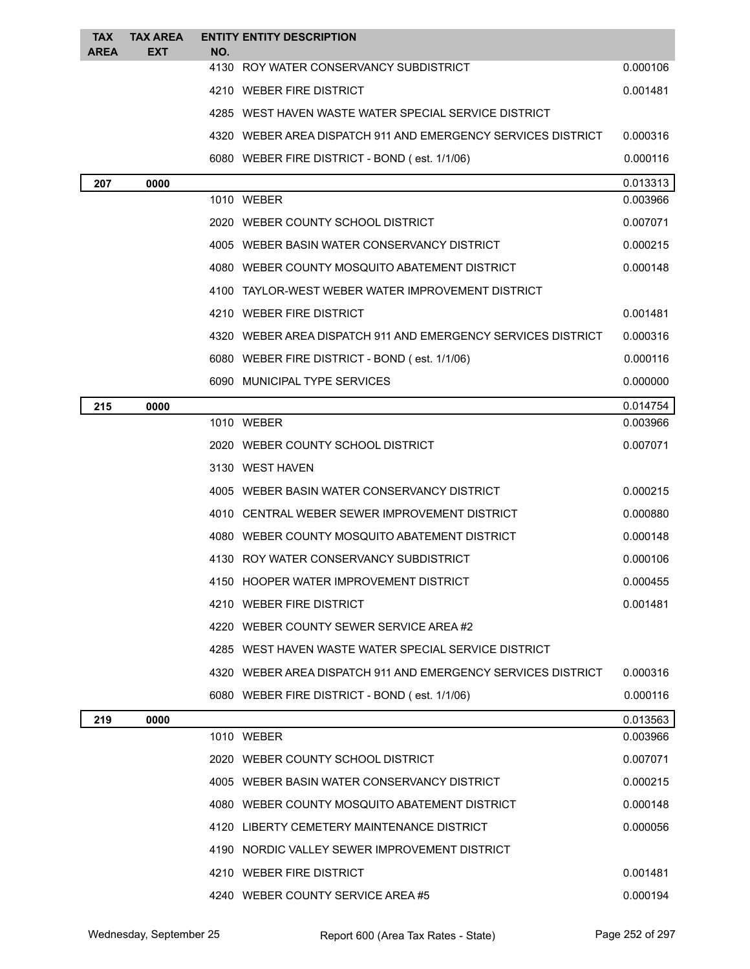| <b>TAX</b><br><b>AREA</b> | <b>TAX AREA</b><br><b>EXT</b> | <b>ENTITY ENTITY DESCRIPTION</b><br>NO.                      |          |
|---------------------------|-------------------------------|--------------------------------------------------------------|----------|
|                           |                               | 4130 ROY WATER CONSERVANCY SUBDISTRICT                       | 0.000106 |
|                           |                               | 4210 WEBER FIRE DISTRICT                                     | 0.001481 |
|                           |                               | 4285 WEST HAVEN WASTE WATER SPECIAL SERVICE DISTRICT         |          |
|                           |                               | 4320 WEBER AREA DISPATCH 911 AND EMERGENCY SERVICES DISTRICT | 0.000316 |
|                           |                               | 6080 WEBER FIRE DISTRICT - BOND (est. 1/1/06)                | 0.000116 |
| 207                       | 0000                          |                                                              | 0.013313 |
|                           |                               | 1010 WEBER                                                   | 0.003966 |
|                           |                               | 2020 WEBER COUNTY SCHOOL DISTRICT                            | 0.007071 |
|                           |                               | 4005 WEBER BASIN WATER CONSERVANCY DISTRICT                  | 0.000215 |
|                           |                               | 4080 WEBER COUNTY MOSQUITO ABATEMENT DISTRICT                | 0.000148 |
|                           |                               | 4100 TAYLOR-WEST WEBER WATER IMPROVEMENT DISTRICT            |          |
|                           |                               | 4210 WEBER FIRE DISTRICT                                     | 0.001481 |
|                           |                               | 4320 WEBER AREA DISPATCH 911 AND EMERGENCY SERVICES DISTRICT | 0.000316 |
|                           |                               | 6080 WEBER FIRE DISTRICT - BOND (est. 1/1/06)                | 0.000116 |
|                           |                               | 6090 MUNICIPAL TYPE SERVICES                                 | 0.000000 |
| 215                       | 0000                          |                                                              | 0.014754 |
|                           |                               | 1010 WEBER                                                   | 0.003966 |
|                           |                               | 2020 WEBER COUNTY SCHOOL DISTRICT                            | 0.007071 |
|                           |                               | 3130 WEST HAVEN                                              |          |
|                           |                               | 4005 WEBER BASIN WATER CONSERVANCY DISTRICT                  | 0.000215 |
|                           |                               | 4010 CENTRAL WEBER SEWER IMPROVEMENT DISTRICT                | 0.000880 |
|                           |                               | 4080 WEBER COUNTY MOSQUITO ABATEMENT DISTRICT                | 0.000148 |
|                           |                               | 4130 ROY WATER CONSERVANCY SUBDISTRICT                       | 0.000106 |
|                           |                               | 4150 HOOPER WATER IMPROVEMENT DISTRICT                       | 0.000455 |
|                           |                               | 4210 WEBER FIRE DISTRICT                                     | 0.001481 |
|                           |                               | 4220 WEBER COUNTY SEWER SERVICE AREA #2                      |          |
|                           |                               | 4285 WEST HAVEN WASTE WATER SPECIAL SERVICE DISTRICT         |          |
|                           |                               | 4320 WEBER AREA DISPATCH 911 AND EMERGENCY SERVICES DISTRICT | 0.000316 |
|                           |                               | 6080 WEBER FIRE DISTRICT - BOND (est. 1/1/06)                | 0.000116 |
| 219                       | 0000                          |                                                              | 0.013563 |
|                           |                               | 1010 WEBER                                                   | 0.003966 |
|                           |                               | 2020 WEBER COUNTY SCHOOL DISTRICT                            | 0.007071 |
|                           |                               | 4005 WEBER BASIN WATER CONSERVANCY DISTRICT                  | 0.000215 |
|                           |                               | 4080 WEBER COUNTY MOSQUITO ABATEMENT DISTRICT                | 0.000148 |
|                           |                               | 4120 LIBERTY CEMETERY MAINTENANCE DISTRICT                   | 0.000056 |
|                           |                               | 4190 NORDIC VALLEY SEWER IMPROVEMENT DISTRICT                |          |
|                           |                               | 4210 WEBER FIRE DISTRICT                                     | 0.001481 |
|                           |                               | 4240 WEBER COUNTY SERVICE AREA#5                             | 0.000194 |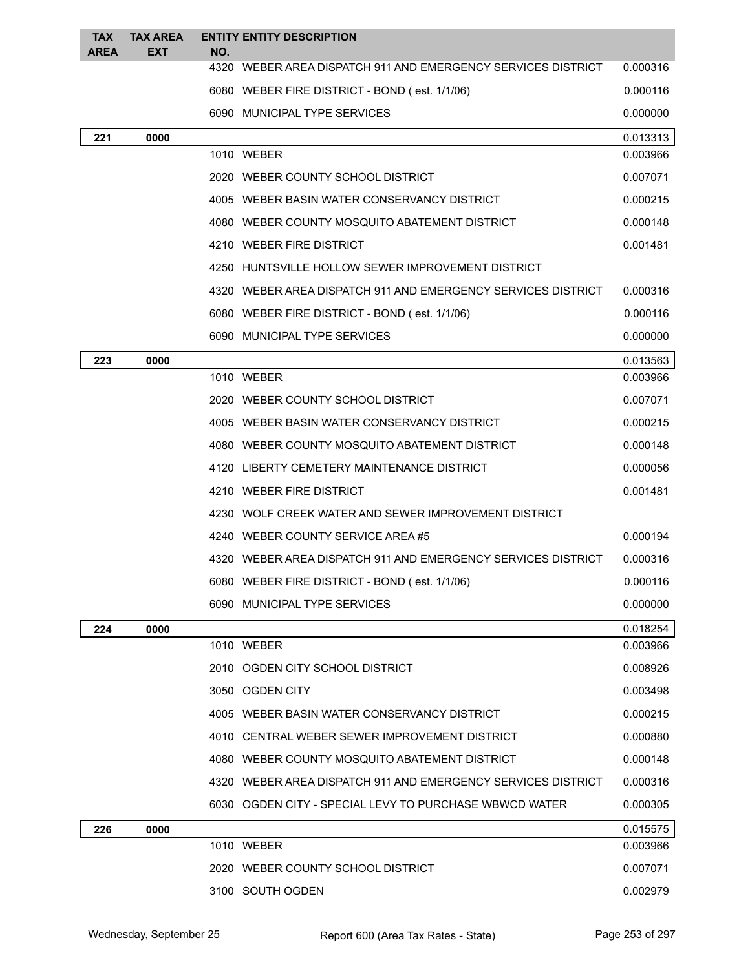| <b>TAX</b><br><b>AREA</b> | <b>TAX AREA</b><br><b>EXT</b> | NO. | <b>ENTITY ENTITY DESCRIPTION</b>                             |          |
|---------------------------|-------------------------------|-----|--------------------------------------------------------------|----------|
|                           |                               |     | 4320 WEBER AREA DISPATCH 911 AND EMERGENCY SERVICES DISTRICT | 0.000316 |
|                           |                               |     | 6080 WEBER FIRE DISTRICT - BOND (est. 1/1/06)                | 0.000116 |
|                           |                               |     | 6090 MUNICIPAL TYPE SERVICES                                 | 0.000000 |
| 221                       | 0000                          |     |                                                              | 0.013313 |
|                           |                               |     | 1010 WEBER                                                   | 0.003966 |
|                           |                               |     | 2020 WEBER COUNTY SCHOOL DISTRICT                            | 0.007071 |
|                           |                               |     | 4005 WEBER BASIN WATER CONSERVANCY DISTRICT                  | 0.000215 |
|                           |                               |     | 4080 WEBER COUNTY MOSQUITO ABATEMENT DISTRICT                | 0.000148 |
|                           |                               |     | 4210 WEBER FIRE DISTRICT                                     | 0.001481 |
|                           |                               |     | 4250 HUNTSVILLE HOLLOW SEWER IMPROVEMENT DISTRICT            |          |
|                           |                               |     | 4320 WEBER AREA DISPATCH 911 AND EMERGENCY SERVICES DISTRICT | 0.000316 |
|                           |                               |     | 6080 WEBER FIRE DISTRICT - BOND (est. 1/1/06)                | 0.000116 |
|                           |                               |     | 6090 MUNICIPAL TYPE SERVICES                                 | 0.000000 |
| 223                       | 0000                          |     |                                                              | 0.013563 |
|                           |                               |     | 1010 WEBER                                                   | 0.003966 |
|                           |                               |     | 2020 WEBER COUNTY SCHOOL DISTRICT                            | 0.007071 |
|                           |                               |     | 4005 WEBER BASIN WATER CONSERVANCY DISTRICT                  | 0.000215 |
|                           |                               |     | 4080 WEBER COUNTY MOSQUITO ABATEMENT DISTRICT                | 0.000148 |
|                           |                               |     | 4120 LIBERTY CEMETERY MAINTENANCE DISTRICT                   | 0.000056 |
|                           |                               |     | 4210 WEBER FIRE DISTRICT                                     | 0.001481 |
|                           |                               |     | 4230 WOLF CREEK WATER AND SEWER IMPROVEMENT DISTRICT         |          |
|                           |                               |     | 4240 WEBER COUNTY SERVICE AREA#5                             | 0.000194 |
|                           |                               |     | 4320 WEBER AREA DISPATCH 911 AND EMERGENCY SERVICES DISTRICT | 0.000316 |
|                           |                               |     | 6080 WEBER FIRE DISTRICT - BOND (est. 1/1/06)                | 0.000116 |
|                           |                               |     | 6090 MUNICIPAL TYPE SERVICES                                 | 0.000000 |
| 224                       | 0000                          |     |                                                              | 0.018254 |
|                           |                               |     | 1010 WEBER                                                   | 0.003966 |
|                           |                               |     | 2010 OGDEN CITY SCHOOL DISTRICT                              | 0.008926 |
|                           |                               |     | 3050 OGDEN CITY                                              | 0.003498 |
|                           |                               |     | 4005 WEBER BASIN WATER CONSERVANCY DISTRICT                  | 0.000215 |
|                           |                               |     | 4010 CENTRAL WEBER SEWER IMPROVEMENT DISTRICT                | 0.000880 |
|                           |                               |     | 4080 WEBER COUNTY MOSQUITO ABATEMENT DISTRICT                | 0.000148 |
|                           |                               |     | 4320 WEBER AREA DISPATCH 911 AND EMERGENCY SERVICES DISTRICT | 0.000316 |
|                           |                               |     | 6030 OGDEN CITY - SPECIAL LEVY TO PURCHASE WBWCD WATER       | 0.000305 |
| 226                       | 0000                          |     |                                                              | 0.015575 |
|                           |                               |     | 1010 WEBER                                                   | 0.003966 |
|                           |                               |     | 2020 WEBER COUNTY SCHOOL DISTRICT                            | 0.007071 |
|                           |                               |     | 3100 SOUTH OGDEN                                             | 0.002979 |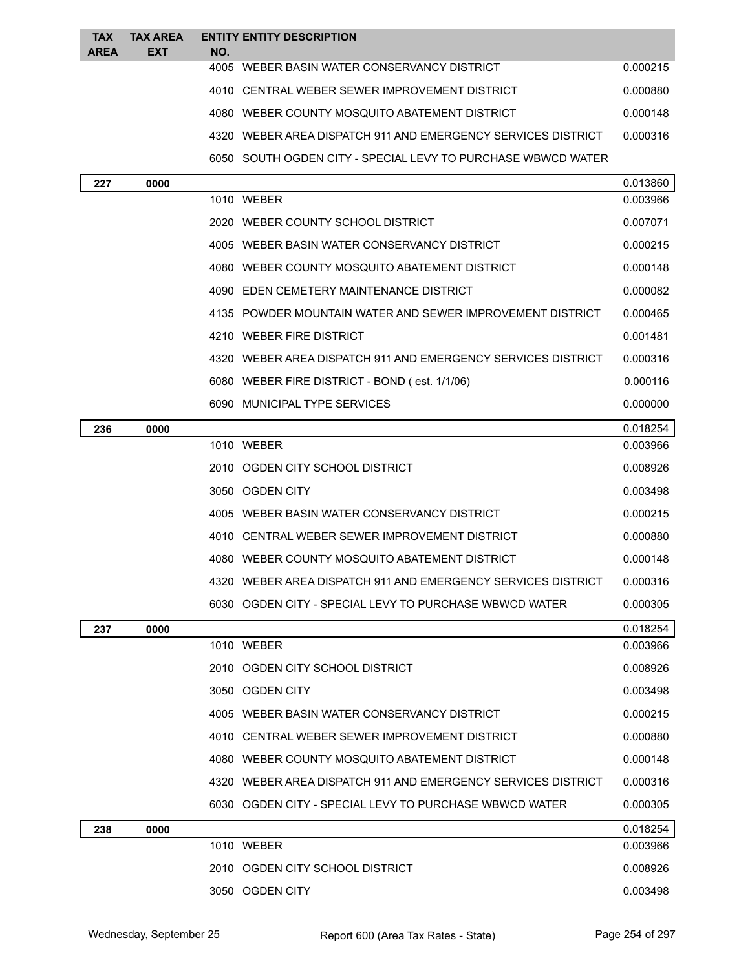| <b>TAX</b>  | <b>TAX AREA</b> |            | <b>ENTITY ENTITY DESCRIPTION</b>                             |          |
|-------------|-----------------|------------|--------------------------------------------------------------|----------|
| <b>AREA</b> | <b>EXT</b>      | NO.        | 4005 WEBER BASIN WATER CONSERVANCY DISTRICT                  | 0.000215 |
|             |                 |            | 4010 CENTRAL WEBER SEWER IMPROVEMENT DISTRICT                | 0.000880 |
|             |                 |            | 4080 WEBER COUNTY MOSQUITO ABATEMENT DISTRICT                | 0.000148 |
|             |                 |            | 4320 WEBER AREA DISPATCH 911 AND EMERGENCY SERVICES DISTRICT | 0.000316 |
|             |                 |            | 6050 SOUTH OGDEN CITY - SPECIAL LEVY TO PURCHASE WBWCD WATER |          |
| 227         | 0000            |            |                                                              | 0.013860 |
|             |                 | 1010 WEBER |                                                              | 0.003966 |
|             |                 |            | 2020 WEBER COUNTY SCHOOL DISTRICT                            | 0.007071 |
|             |                 |            | 4005 WEBER BASIN WATER CONSERVANCY DISTRICT                  | 0.000215 |
|             |                 |            | 4080 WEBER COUNTY MOSQUITO ABATEMENT DISTRICT                | 0.000148 |
|             |                 |            | 4090 EDEN CEMETERY MAINTENANCE DISTRICT                      | 0.000082 |
|             |                 |            | 4135 POWDER MOUNTAIN WATER AND SEWER IMPROVEMENT DISTRICT    | 0.000465 |
|             |                 |            | 4210 WEBER FIRE DISTRICT                                     | 0.001481 |
|             |                 |            | 4320 WEBER AREA DISPATCH 911 AND EMERGENCY SERVICES DISTRICT | 0.000316 |
|             |                 |            | 6080 WEBER FIRE DISTRICT - BOND (est. 1/1/06)                | 0.000116 |
|             |                 |            | 6090 MUNICIPAL TYPE SERVICES                                 | 0.000000 |
| 236         | 0000            |            |                                                              | 0.018254 |
|             |                 | 1010 WEBER |                                                              | 0.003966 |
|             |                 |            | 2010 OGDEN CITY SCHOOL DISTRICT                              | 0.008926 |
|             |                 |            | 3050 OGDEN CITY                                              | 0.003498 |
|             |                 |            | 4005 WEBER BASIN WATER CONSERVANCY DISTRICT                  | 0.000215 |
|             |                 |            | 4010 CENTRAL WEBER SEWER IMPROVEMENT DISTRICT                | 0.000880 |
|             |                 |            | 4080 WEBER COUNTY MOSQUITO ABATEMENT DISTRICT                | 0.000148 |
|             |                 |            | 4320 WEBER AREA DISPATCH 911 AND EMERGENCY SERVICES DISTRICT | 0.000316 |
|             |                 |            | 6030 OGDEN CITY - SPECIAL LEVY TO PURCHASE WBWCD WATER       | 0.000305 |
| 237         | 0000            |            |                                                              | 0.018254 |
|             |                 | 1010 WEBER |                                                              | 0.003966 |
|             |                 |            | 2010 OGDEN CITY SCHOOL DISTRICT                              | 0.008926 |
|             |                 |            | 3050 OGDEN CITY                                              | 0.003498 |
|             |                 |            | 4005 WEBER BASIN WATER CONSERVANCY DISTRICT                  | 0.000215 |
|             |                 |            | 4010 CENTRAL WEBER SEWER IMPROVEMENT DISTRICT                | 0.000880 |
|             |                 |            | 4080 WEBER COUNTY MOSQUITO ABATEMENT DISTRICT                | 0.000148 |
|             |                 |            | 4320 WEBER AREA DISPATCH 911 AND EMERGENCY SERVICES DISTRICT | 0.000316 |
|             |                 |            | 6030 OGDEN CITY - SPECIAL LEVY TO PURCHASE WBWCD WATER       | 0.000305 |
| 238         | 0000            |            |                                                              | 0.018254 |
|             |                 | 1010 WEBER |                                                              | 0.003966 |
|             |                 |            | 2010 OGDEN CITY SCHOOL DISTRICT                              | 0.008926 |
|             |                 |            | 3050 OGDEN CITY                                              | 0.003498 |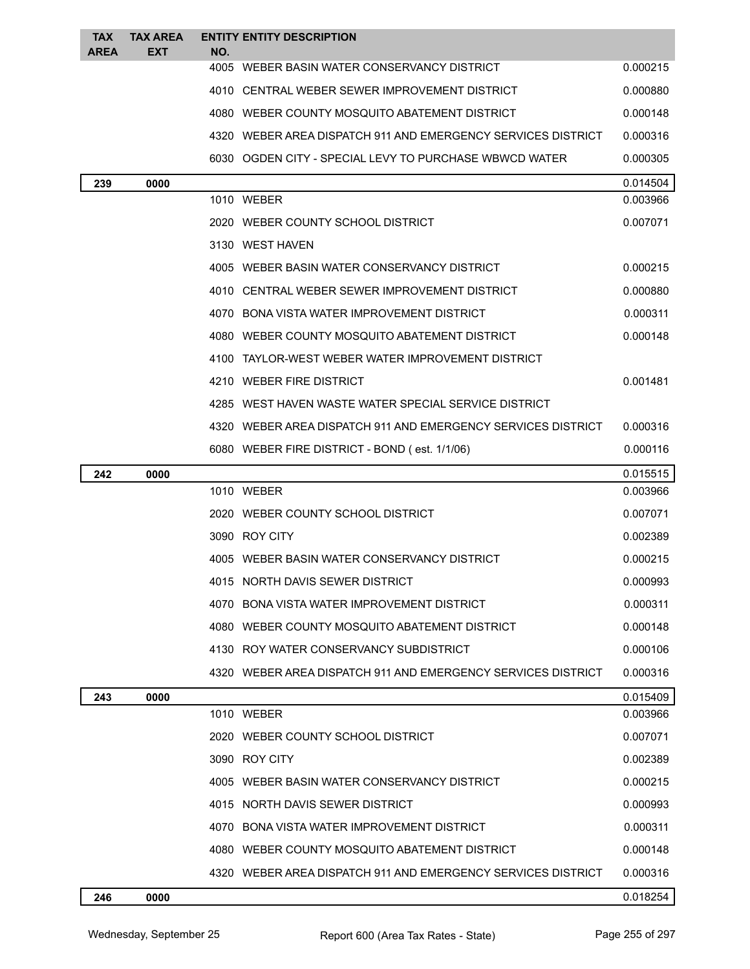| <b>TAX</b>  | <b>TAX AREA</b> | <b>ENTITY ENTITY DESCRIPTION</b>                             |          |
|-------------|-----------------|--------------------------------------------------------------|----------|
| <b>AREA</b> | EXT             | NO.<br>4005 WEBER BASIN WATER CONSERVANCY DISTRICT           | 0.000215 |
|             |                 | 4010 CENTRAL WEBER SEWER IMPROVEMENT DISTRICT                | 0.000880 |
|             |                 | 4080 WEBER COUNTY MOSQUITO ABATEMENT DISTRICT                | 0.000148 |
|             |                 | 4320 WEBER AREA DISPATCH 911 AND EMERGENCY SERVICES DISTRICT | 0.000316 |
|             |                 | 6030 OGDEN CITY - SPECIAL LEVY TO PURCHASE WBWCD WATER       | 0.000305 |
| 239         | 0000            |                                                              | 0.014504 |
|             |                 | 1010 WEBER                                                   | 0.003966 |
|             |                 | 2020 WEBER COUNTY SCHOOL DISTRICT                            | 0.007071 |
|             |                 | 3130 WEST HAVEN                                              |          |
|             |                 | 4005 WEBER BASIN WATER CONSERVANCY DISTRICT                  | 0.000215 |
|             |                 | 4010 CENTRAL WEBER SEWER IMPROVEMENT DISTRICT                | 0.000880 |
|             |                 | 4070 BONA VISTA WATER IMPROVEMENT DISTRICT                   | 0.000311 |
|             |                 | 4080 WEBER COUNTY MOSQUITO ABATEMENT DISTRICT                | 0.000148 |
|             |                 | 4100 TAYLOR-WEST WEBER WATER IMPROVEMENT DISTRICT            |          |
|             |                 | 4210 WEBER FIRE DISTRICT                                     | 0.001481 |
|             |                 | 4285 WEST HAVEN WASTE WATER SPECIAL SERVICE DISTRICT         |          |
|             |                 | 4320 WEBER AREA DISPATCH 911 AND EMERGENCY SERVICES DISTRICT | 0.000316 |
|             |                 | 6080 WEBER FIRE DISTRICT - BOND (est. 1/1/06)                | 0.000116 |
| 242         | 0000            |                                                              | 0.015515 |
|             |                 | 1010 WEBER                                                   | 0.003966 |
|             |                 | 2020 WEBER COUNTY SCHOOL DISTRICT                            | 0.007071 |
|             |                 | 3090 ROY CITY                                                | 0.002389 |
|             |                 | 4005 WEBER BASIN WATER CONSERVANCY DISTRICT                  | 0.000215 |
|             |                 | 4015 NORTH DAVIS SEWER DISTRICT                              | 0.000993 |
|             |                 | 4070 BONA VISTA WATER IMPROVEMENT DISTRICT                   | 0.000311 |
|             |                 | 4080 WEBER COUNTY MOSQUITO ABATEMENT DISTRICT                | 0.000148 |
|             |                 | 4130 ROY WATER CONSERVANCY SUBDISTRICT                       | 0.000106 |
|             |                 | 4320 WEBER AREA DISPATCH 911 AND EMERGENCY SERVICES DISTRICT | 0.000316 |
| 243         | 0000            |                                                              | 0.015409 |
|             |                 | 1010 WEBER                                                   | 0.003966 |
|             |                 | 2020 WEBER COUNTY SCHOOL DISTRICT                            | 0.007071 |
|             |                 | 3090 ROY CITY                                                | 0.002389 |
|             |                 | 4005 WEBER BASIN WATER CONSERVANCY DISTRICT                  | 0.000215 |
|             |                 | 4015 NORTH DAVIS SEWER DISTRICT                              | 0.000993 |
|             |                 | 4070 BONA VISTA WATER IMPROVEMENT DISTRICT                   | 0.000311 |
|             |                 | 4080 WEBER COUNTY MOSQUITO ABATEMENT DISTRICT                | 0.000148 |
|             |                 | 4320 WEBER AREA DISPATCH 911 AND EMERGENCY SERVICES DISTRICT | 0.000316 |
| 246         | 0000            |                                                              | 0.018254 |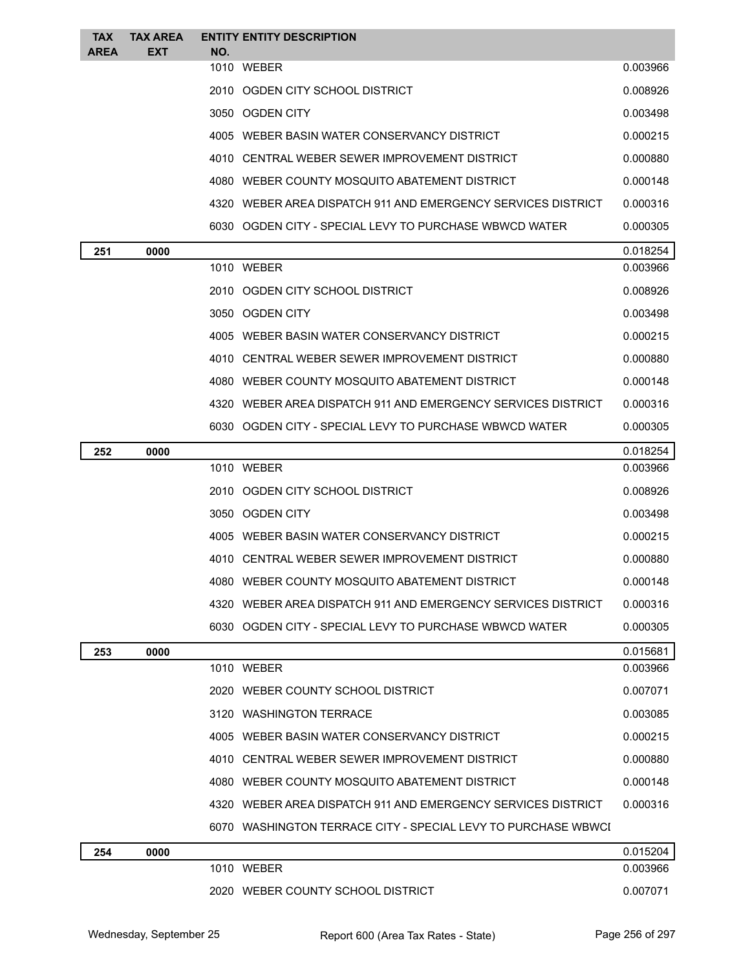| <b>TAX</b><br><b>AREA</b> | <b>TAX AREA</b><br><b>EXT</b> |     | <b>ENTITY ENTITY DESCRIPTION</b>                               |          |
|---------------------------|-------------------------------|-----|----------------------------------------------------------------|----------|
|                           |                               | NO. | 1010 WEBER                                                     | 0.003966 |
|                           |                               |     | 2010 OGDEN CITY SCHOOL DISTRICT                                | 0.008926 |
|                           |                               |     | 3050 OGDEN CITY                                                | 0.003498 |
|                           |                               |     | 4005 WEBER BASIN WATER CONSERVANCY DISTRICT                    | 0.000215 |
|                           |                               |     | 4010 CENTRAL WEBER SEWER IMPROVEMENT DISTRICT                  | 0.000880 |
|                           |                               |     | 4080 WEBER COUNTY MOSQUITO ABATEMENT DISTRICT                  | 0.000148 |
|                           |                               |     | 4320   WEBER AREA DISPATCH 911 AND EMERGENCY SERVICES DISTRICT | 0.000316 |
|                           |                               |     | 6030 OGDEN CITY - SPECIAL LEVY TO PURCHASE WBWCD WATER         | 0.000305 |
| 251                       | 0000                          |     |                                                                | 0.018254 |
|                           |                               |     | 1010 WEBER                                                     | 0.003966 |
|                           |                               |     | 2010 OGDEN CITY SCHOOL DISTRICT                                | 0.008926 |
|                           |                               |     | 3050 OGDEN CITY                                                | 0.003498 |
|                           |                               |     | 4005 WEBER BASIN WATER CONSERVANCY DISTRICT                    | 0.000215 |
|                           |                               |     | 4010 CENTRAL WEBER SEWER IMPROVEMENT DISTRICT                  | 0.000880 |
|                           |                               |     | 4080 WEBER COUNTY MOSQUITO ABATEMENT DISTRICT                  | 0.000148 |
|                           |                               |     | 4320   WEBER AREA DISPATCH 911 AND EMERGENCY SERVICES DISTRICT | 0.000316 |
|                           |                               |     | 6030 OGDEN CITY - SPECIAL LEVY TO PURCHASE WBWCD WATER         | 0.000305 |
| 252                       | 0000                          |     |                                                                | 0.018254 |
|                           |                               |     | 1010 WEBER                                                     | 0.003966 |
|                           |                               |     | 2010 OGDEN CITY SCHOOL DISTRICT                                | 0.008926 |
|                           |                               |     | 3050 OGDEN CITY                                                | 0.003498 |
|                           |                               |     | 4005 WEBER BASIN WATER CONSERVANCY DISTRICT                    | 0.000215 |
|                           |                               |     | 4010 CENTRAL WEBER SEWER IMPROVEMENT DISTRICT                  | 0.000880 |
|                           |                               |     | 4080 WEBER COUNTY MOSQUITO ABATEMENT DISTRICT                  | 0.000148 |
|                           |                               |     | 4320 WEBER AREA DISPATCH 911 AND EMERGENCY SERVICES DISTRICT   | 0.000316 |
|                           |                               |     | 6030 OGDEN CITY - SPECIAL LEVY TO PURCHASE WBWCD WATER         | 0.000305 |
| 253                       | 0000                          |     |                                                                | 0.015681 |
|                           |                               |     | 1010 WEBER                                                     | 0.003966 |
|                           |                               |     | 2020 WEBER COUNTY SCHOOL DISTRICT                              | 0.007071 |
|                           |                               |     | 3120 WASHINGTON TERRACE                                        | 0.003085 |
|                           |                               |     | 4005 WEBER BASIN WATER CONSERVANCY DISTRICT                    | 0.000215 |
|                           |                               |     | 4010 CENTRAL WEBER SEWER IMPROVEMENT DISTRICT                  | 0.000880 |
|                           |                               |     | 4080 WEBER COUNTY MOSQUITO ABATEMENT DISTRICT                  | 0.000148 |
|                           |                               |     | 4320 WEBER AREA DISPATCH 911 AND EMERGENCY SERVICES DISTRICT   | 0.000316 |
|                           |                               |     | 6070 WASHINGTON TERRACE CITY - SPECIAL LEVY TO PURCHASE WBWCI  |          |
| 254                       | 0000                          |     |                                                                | 0.015204 |
|                           |                               |     | 1010 WEBER                                                     | 0.003966 |
|                           |                               |     | 2020 WEBER COUNTY SCHOOL DISTRICT                              | 0.007071 |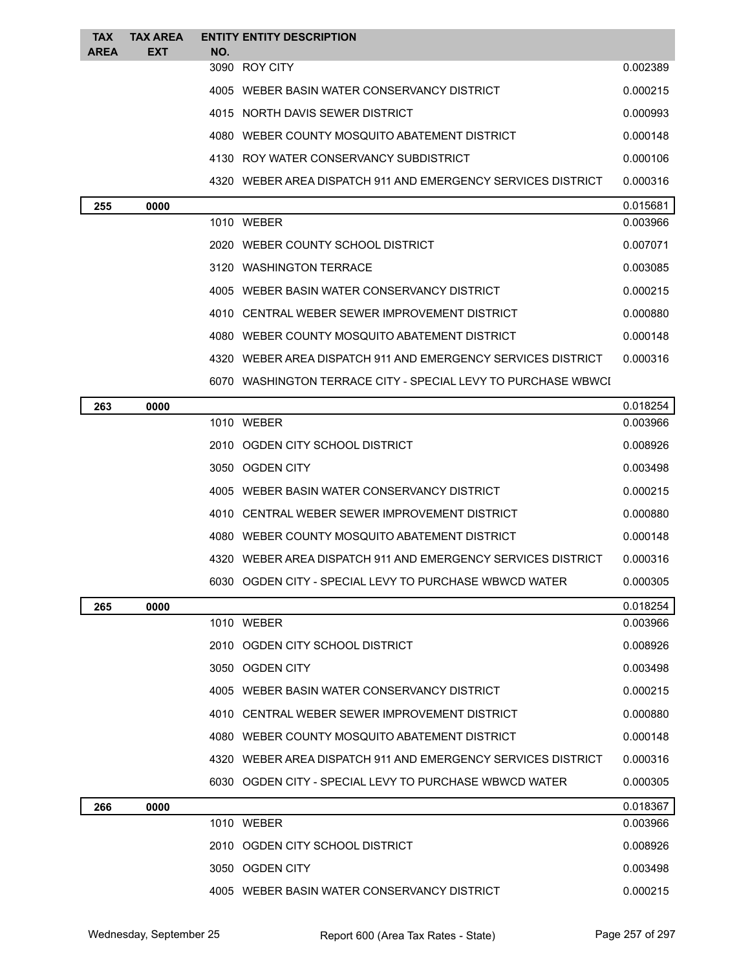| <b>TAX</b><br><b>AREA</b> | <b>TAX AREA</b><br><b>EXT</b> | NO. | <b>ENTITY ENTITY DESCRIPTION</b>                              |          |
|---------------------------|-------------------------------|-----|---------------------------------------------------------------|----------|
|                           |                               |     | 3090 ROY CITY                                                 | 0.002389 |
|                           |                               |     | 4005 WEBER BASIN WATER CONSERVANCY DISTRICT                   | 0.000215 |
|                           |                               |     | 4015 NORTH DAVIS SEWER DISTRICT                               | 0.000993 |
|                           |                               |     | 4080 WEBER COUNTY MOSQUITO ABATEMENT DISTRICT                 | 0.000148 |
|                           |                               |     | 4130 ROY WATER CONSERVANCY SUBDISTRICT                        | 0.000106 |
|                           |                               |     | 4320 WEBER AREA DISPATCH 911 AND EMERGENCY SERVICES DISTRICT  | 0.000316 |
| 255                       | 0000                          |     |                                                               | 0.015681 |
|                           |                               |     | 1010 WEBER                                                    | 0.003966 |
|                           |                               |     | 2020 WEBER COUNTY SCHOOL DISTRICT                             | 0.007071 |
|                           |                               |     | 3120 WASHINGTON TERRACE                                       | 0.003085 |
|                           |                               |     | 4005 WEBER BASIN WATER CONSERVANCY DISTRICT                   | 0.000215 |
|                           |                               |     | 4010 CENTRAL WEBER SEWER IMPROVEMENT DISTRICT                 | 0.000880 |
|                           |                               |     | 4080 WEBER COUNTY MOSQUITO ABATEMENT DISTRICT                 | 0.000148 |
|                           |                               |     | 4320 WEBER AREA DISPATCH 911 AND EMERGENCY SERVICES DISTRICT  | 0.000316 |
|                           |                               |     | 6070 WASHINGTON TERRACE CITY - SPECIAL LEVY TO PURCHASE WBWCI |          |
| 263                       | 0000                          |     |                                                               | 0.018254 |
|                           |                               |     | 1010 WEBER                                                    | 0.003966 |
|                           |                               |     | 2010 OGDEN CITY SCHOOL DISTRICT                               | 0.008926 |
|                           |                               |     | 3050 OGDEN CITY                                               | 0.003498 |
|                           |                               |     | 4005 WEBER BASIN WATER CONSERVANCY DISTRICT                   | 0.000215 |
|                           |                               |     | 4010 CENTRAL WEBER SEWER IMPROVEMENT DISTRICT                 | 0.000880 |
|                           |                               |     | 4080 WEBER COUNTY MOSQUITO ABATEMENT DISTRICT                 | 0.000148 |
|                           |                               |     | 4320 WEBER AREA DISPATCH 911 AND EMERGENCY SERVICES DISTRICT  | 0.000316 |
|                           |                               |     | 6030 OGDEN CITY - SPECIAL LEVY TO PURCHASE WBWCD WATER        | 0.000305 |
| 265                       | 0000                          |     |                                                               | 0.018254 |
|                           |                               |     | 1010 WEBER                                                    | 0.003966 |
|                           |                               |     | 2010 OGDEN CITY SCHOOL DISTRICT                               | 0.008926 |
|                           |                               |     | 3050 OGDEN CITY                                               | 0.003498 |
|                           |                               |     | 4005 WEBER BASIN WATER CONSERVANCY DISTRICT                   | 0.000215 |
|                           |                               |     | 4010 CENTRAL WEBER SEWER IMPROVEMENT DISTRICT                 | 0.000880 |
|                           |                               |     | 4080 WEBER COUNTY MOSQUITO ABATEMENT DISTRICT                 | 0.000148 |
|                           |                               |     | 4320 WEBER AREA DISPATCH 911 AND EMERGENCY SERVICES DISTRICT  | 0.000316 |
|                           |                               |     | 6030 OGDEN CITY - SPECIAL LEVY TO PURCHASE WBWCD WATER        | 0.000305 |
| 266                       | 0000                          |     |                                                               | 0.018367 |
|                           |                               |     | 1010 WEBER                                                    | 0.003966 |
|                           |                               |     | 2010 OGDEN CITY SCHOOL DISTRICT                               | 0.008926 |
|                           |                               |     | 3050 OGDEN CITY                                               | 0.003498 |
|                           |                               |     | 4005 WEBER BASIN WATER CONSERVANCY DISTRICT                   | 0.000215 |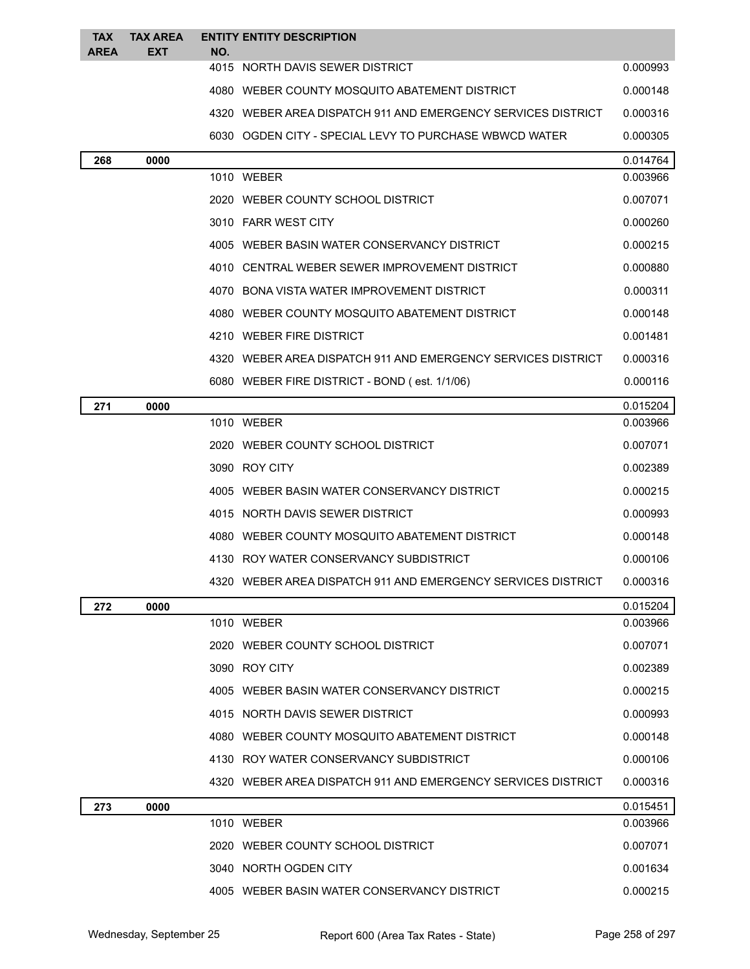| <b>TAX</b><br><b>AREA</b> | <b>TAX AREA</b><br><b>EXT</b> | NO. | <b>ENTITY ENTITY DESCRIPTION</b>                             |          |
|---------------------------|-------------------------------|-----|--------------------------------------------------------------|----------|
|                           |                               |     | 4015 NORTH DAVIS SEWER DISTRICT                              | 0.000993 |
|                           |                               |     | 4080 WEBER COUNTY MOSQUITO ABATEMENT DISTRICT                | 0.000148 |
|                           |                               |     | 4320 WEBER AREA DISPATCH 911 AND EMERGENCY SERVICES DISTRICT | 0.000316 |
|                           |                               |     | 6030 OGDEN CITY - SPECIAL LEVY TO PURCHASE WBWCD WATER       | 0.000305 |
| 268                       | 0000                          |     |                                                              | 0.014764 |
|                           |                               |     | 1010 WEBER                                                   | 0.003966 |
|                           |                               |     | 2020 WEBER COUNTY SCHOOL DISTRICT                            | 0.007071 |
|                           |                               |     | 3010 FARR WEST CITY                                          | 0.000260 |
|                           |                               |     | 4005 WEBER BASIN WATER CONSERVANCY DISTRICT                  | 0.000215 |
|                           |                               |     | 4010 CENTRAL WEBER SEWER IMPROVEMENT DISTRICT                | 0.000880 |
|                           |                               |     | 4070 BONA VISTA WATER IMPROVEMENT DISTRICT                   | 0.000311 |
|                           |                               |     | 4080 WEBER COUNTY MOSQUITO ABATEMENT DISTRICT                | 0.000148 |
|                           |                               |     | 4210 WEBER FIRE DISTRICT                                     | 0.001481 |
|                           |                               |     | 4320 WEBER AREA DISPATCH 911 AND EMERGENCY SERVICES DISTRICT | 0.000316 |
|                           |                               |     | 6080 WEBER FIRE DISTRICT - BOND (est. 1/1/06)                | 0.000116 |
| 271                       | 0000                          |     |                                                              | 0.015204 |
|                           |                               |     | 1010 WEBER                                                   | 0.003966 |
|                           |                               |     | 2020 WEBER COUNTY SCHOOL DISTRICT                            | 0.007071 |
|                           |                               |     | 3090 ROY CITY                                                | 0.002389 |
|                           |                               |     | 4005 WEBER BASIN WATER CONSERVANCY DISTRICT                  | 0.000215 |
|                           |                               |     | 4015 NORTH DAVIS SEWER DISTRICT                              | 0.000993 |
|                           |                               |     | 4080 WEBER COUNTY MOSQUITO ABATEMENT DISTRICT                | 0.000148 |
|                           |                               |     | 4130 ROY WATER CONSERVANCY SUBDISTRICT                       | 0.000106 |
|                           |                               |     | 4320 WEBER AREA DISPATCH 911 AND EMERGENCY SERVICES DISTRICT | 0.000316 |
| 272                       | 0000                          |     |                                                              | 0.015204 |
|                           |                               |     | 1010 WEBER                                                   | 0.003966 |
|                           |                               |     | 2020 WEBER COUNTY SCHOOL DISTRICT                            | 0.007071 |
|                           |                               |     | 3090 ROY CITY                                                | 0.002389 |
|                           |                               |     | 4005 WEBER BASIN WATER CONSERVANCY DISTRICT                  | 0.000215 |
|                           |                               |     | 4015 NORTH DAVIS SEWER DISTRICT                              | 0.000993 |
|                           |                               |     | 4080 WEBER COUNTY MOSQUITO ABATEMENT DISTRICT                | 0.000148 |
|                           |                               |     | 4130 ROY WATER CONSERVANCY SUBDISTRICT                       | 0.000106 |
|                           |                               |     | 4320 WEBER AREA DISPATCH 911 AND EMERGENCY SERVICES DISTRICT | 0.000316 |
| 273                       | 0000                          |     |                                                              | 0.015451 |
|                           |                               |     | 1010 WEBER                                                   | 0.003966 |
|                           |                               |     | 2020 WEBER COUNTY SCHOOL DISTRICT                            | 0.007071 |
|                           |                               |     | 3040 NORTH OGDEN CITY                                        | 0.001634 |
|                           |                               |     | 4005 WEBER BASIN WATER CONSERVANCY DISTRICT                  | 0.000215 |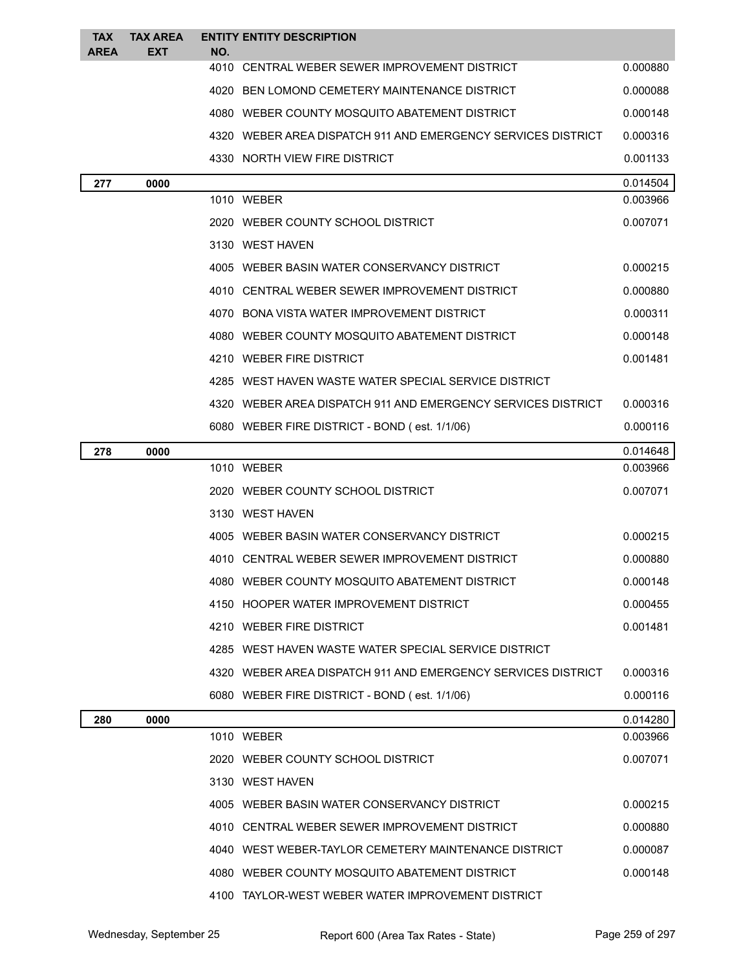| <b>TAX</b><br><b>AREA</b> | <b>TAX AREA</b><br><b>EXT</b> | NO. | <b>ENTITY ENTITY DESCRIPTION</b>                             |          |
|---------------------------|-------------------------------|-----|--------------------------------------------------------------|----------|
|                           |                               |     | 4010 CENTRAL WEBER SEWER IMPROVEMENT DISTRICT                | 0.000880 |
|                           |                               |     | 4020 BEN LOMOND CEMETERY MAINTENANCE DISTRICT                | 0.000088 |
|                           |                               |     | 4080 WEBER COUNTY MOSQUITO ABATEMENT DISTRICT                | 0.000148 |
|                           |                               |     | 4320 WEBER AREA DISPATCH 911 AND EMERGENCY SERVICES DISTRICT | 0.000316 |
|                           |                               |     | 4330 NORTH VIEW FIRE DISTRICT                                | 0.001133 |
| 277                       | 0000                          |     |                                                              | 0.014504 |
|                           |                               |     | 1010 WEBER                                                   | 0.003966 |
|                           |                               |     | 2020 WEBER COUNTY SCHOOL DISTRICT                            | 0.007071 |
|                           |                               |     | 3130 WEST HAVEN                                              |          |
|                           |                               |     | 4005 WEBER BASIN WATER CONSERVANCY DISTRICT                  | 0.000215 |
|                           |                               |     | 4010 CENTRAL WEBER SEWER IMPROVEMENT DISTRICT                | 0.000880 |
|                           |                               |     | 4070 BONA VISTA WATER IMPROVEMENT DISTRICT                   | 0.000311 |
|                           |                               |     | 4080 WEBER COUNTY MOSQUITO ABATEMENT DISTRICT                | 0.000148 |
|                           |                               |     | 4210 WEBER FIRE DISTRICT                                     | 0.001481 |
|                           |                               |     | 4285 WEST HAVEN WASTE WATER SPECIAL SERVICE DISTRICT         |          |
|                           |                               |     | 4320 WEBER AREA DISPATCH 911 AND EMERGENCY SERVICES DISTRICT | 0.000316 |
|                           |                               |     | 6080 WEBER FIRE DISTRICT - BOND (est. 1/1/06)                | 0.000116 |
| 278                       | 0000                          |     |                                                              | 0.014648 |
|                           |                               |     | 1010 WEBER                                                   | 0.003966 |
|                           |                               |     | 2020 WEBER COUNTY SCHOOL DISTRICT                            | 0.007071 |
|                           |                               |     | 3130 WEST HAVEN                                              |          |
|                           |                               |     | 4005 WEBER BASIN WATER CONSERVANCY DISTRICT                  | 0.000215 |
|                           |                               |     | 4010 CENTRAL WEBER SEWER IMPROVEMENT DISTRICT                | 0.000880 |
|                           |                               |     | 4080 WEBER COUNTY MOSQUITO ABATEMENT DISTRICT                | 0.000148 |
|                           |                               |     | 4150 HOOPER WATER IMPROVEMENT DISTRICT                       | 0.000455 |
|                           |                               |     | 4210 WEBER FIRE DISTRICT                                     | 0.001481 |
|                           |                               |     | 4285 WEST HAVEN WASTE WATER SPECIAL SERVICE DISTRICT         |          |
|                           |                               |     | 4320 WEBER AREA DISPATCH 911 AND EMERGENCY SERVICES DISTRICT | 0.000316 |
|                           |                               |     | 6080 WEBER FIRE DISTRICT - BOND (est. 1/1/06)                | 0.000116 |
| 280                       | 0000                          |     |                                                              | 0.014280 |
|                           |                               |     | 1010 WEBER                                                   | 0.003966 |
|                           |                               |     | 2020 WEBER COUNTY SCHOOL DISTRICT                            | 0.007071 |
|                           |                               |     | 3130 WEST HAVEN                                              |          |
|                           |                               |     | 4005 WEBER BASIN WATER CONSERVANCY DISTRICT                  | 0.000215 |
|                           |                               |     | 4010 CENTRAL WEBER SEWER IMPROVEMENT DISTRICT                | 0.000880 |
|                           |                               |     | 4040 WEST WEBER-TAYLOR CEMETERY MAINTENANCE DISTRICT         | 0.000087 |
|                           |                               |     | 4080 WEBER COUNTY MOSQUITO ABATEMENT DISTRICT                | 0.000148 |
|                           |                               |     | 4100 TAYLOR-WEST WEBER WATER IMPROVEMENT DISTRICT            |          |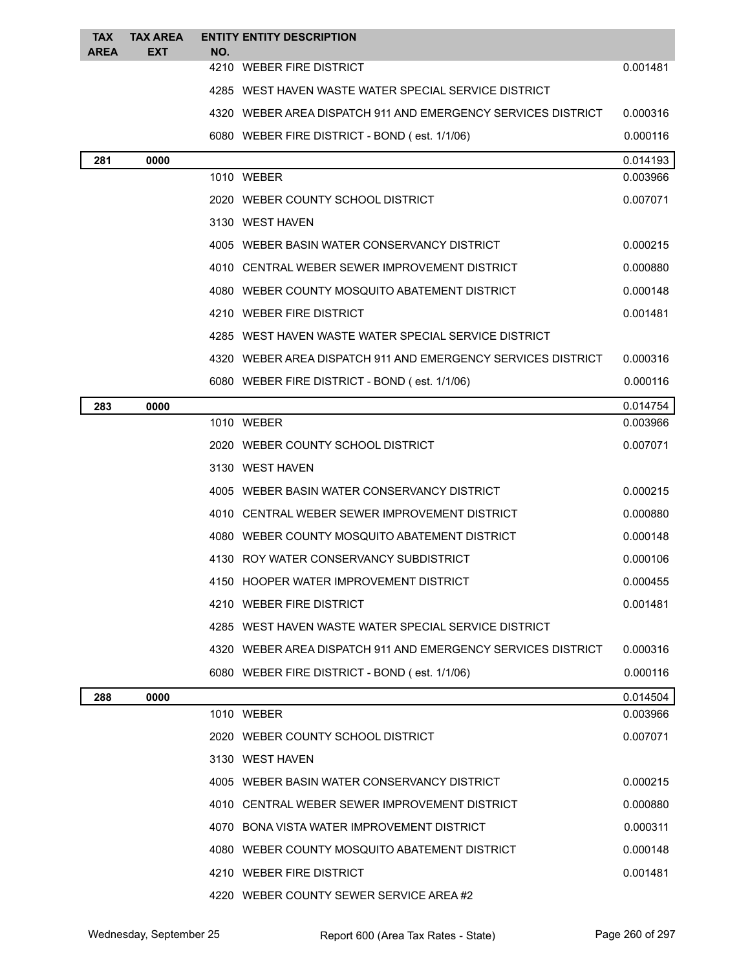| <b>TAX</b><br><b>AREA</b> | <b>TAX AREA</b><br>EXT | <b>ENTITY ENTITY DESCRIPTION</b><br>NO.                      |          |
|---------------------------|------------------------|--------------------------------------------------------------|----------|
|                           |                        | 4210 WEBER FIRE DISTRICT                                     | 0.001481 |
|                           |                        | 4285 WEST HAVEN WASTE WATER SPECIAL SERVICE DISTRICT         |          |
|                           |                        | 4320 WEBER AREA DISPATCH 911 AND EMERGENCY SERVICES DISTRICT | 0.000316 |
|                           |                        | 6080 WEBER FIRE DISTRICT - BOND (est. 1/1/06)                | 0.000116 |
| 281                       | 0000                   |                                                              | 0.014193 |
|                           |                        | 1010 WEBER                                                   | 0.003966 |
|                           |                        | 2020 WEBER COUNTY SCHOOL DISTRICT                            | 0.007071 |
|                           |                        | 3130 WEST HAVEN                                              |          |
|                           |                        | 4005 WEBER BASIN WATER CONSERVANCY DISTRICT                  | 0.000215 |
|                           |                        | 4010 CENTRAL WEBER SEWER IMPROVEMENT DISTRICT                | 0.000880 |
|                           |                        | 4080 WEBER COUNTY MOSQUITO ABATEMENT DISTRICT                | 0.000148 |
|                           |                        | 4210 WEBER FIRE DISTRICT                                     | 0.001481 |
|                           |                        | 4285 WEST HAVEN WASTE WATER SPECIAL SERVICE DISTRICT         |          |
|                           |                        | 4320 WEBER AREA DISPATCH 911 AND EMERGENCY SERVICES DISTRICT | 0.000316 |
|                           |                        | 6080 WEBER FIRE DISTRICT - BOND (est. 1/1/06)                | 0.000116 |
| 283                       | 0000                   |                                                              | 0.014754 |
|                           |                        | 1010 WEBER                                                   | 0.003966 |
|                           |                        | 2020 WEBER COUNTY SCHOOL DISTRICT                            | 0.007071 |
|                           |                        | 3130 WEST HAVEN                                              |          |
|                           |                        | 4005 WEBER BASIN WATER CONSERVANCY DISTRICT                  | 0.000215 |
|                           |                        | 4010 CENTRAL WEBER SEWER IMPROVEMENT DISTRICT                | 0.000880 |
|                           |                        | 4080 WEBER COUNTY MOSQUITO ABATEMENT DISTRICT                | 0.000148 |
|                           |                        | 4130 ROY WATER CONSERVANCY SUBDISTRICT                       | 0.000106 |
|                           |                        | 4150 HOOPER WATER IMPROVEMENT DISTRICT                       | 0.000455 |
|                           |                        | 4210 WEBER FIRE DISTRICT                                     | 0.001481 |
|                           |                        | 4285 WEST HAVEN WASTE WATER SPECIAL SERVICE DISTRICT         |          |
|                           |                        | 4320 WEBER AREA DISPATCH 911 AND EMERGENCY SERVICES DISTRICT | 0.000316 |
|                           |                        | 6080 WEBER FIRE DISTRICT - BOND (est. 1/1/06)                | 0.000116 |
| 288                       | 0000                   |                                                              | 0.014504 |
|                           |                        | 1010 WEBER                                                   | 0.003966 |
|                           |                        | 2020 WEBER COUNTY SCHOOL DISTRICT                            | 0.007071 |
|                           |                        | 3130 WEST HAVEN                                              |          |
|                           |                        | 4005 WEBER BASIN WATER CONSERVANCY DISTRICT                  | 0.000215 |
|                           |                        | 4010 CENTRAL WEBER SEWER IMPROVEMENT DISTRICT                | 0.000880 |
|                           |                        | 4070 BONA VISTA WATER IMPROVEMENT DISTRICT                   | 0.000311 |
|                           |                        | 4080 WEBER COUNTY MOSQUITO ABATEMENT DISTRICT                | 0.000148 |
|                           |                        | 4210 WEBER FIRE DISTRICT                                     | 0.001481 |
|                           |                        | 4220 WEBER COUNTY SEWER SERVICE AREA#2                       |          |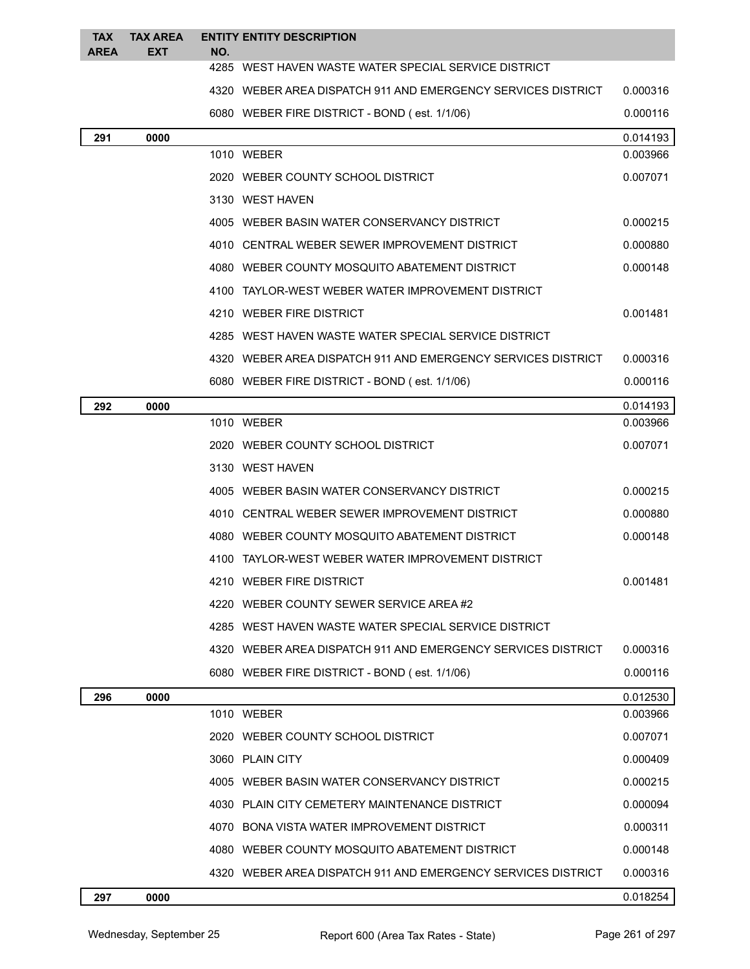| <b>TAX</b><br><b>AREA</b> | <b>TAX AREA</b><br><b>EXT</b> | NO. | <b>ENTITY ENTITY DESCRIPTION</b>                             |          |
|---------------------------|-------------------------------|-----|--------------------------------------------------------------|----------|
|                           |                               |     | 4285 WEST HAVEN WASTE WATER SPECIAL SERVICE DISTRICT         |          |
|                           |                               |     | 4320 WEBER AREA DISPATCH 911 AND EMERGENCY SERVICES DISTRICT | 0.000316 |
|                           |                               |     | 6080 WEBER FIRE DISTRICT - BOND (est. 1/1/06)                | 0.000116 |
| 291                       | 0000                          |     |                                                              | 0.014193 |
|                           |                               |     | 1010 WEBER                                                   | 0.003966 |
|                           |                               |     | 2020 WEBER COUNTY SCHOOL DISTRICT                            | 0.007071 |
|                           |                               |     | 3130 WEST HAVEN                                              |          |
|                           |                               |     | 4005 WEBER BASIN WATER CONSERVANCY DISTRICT                  | 0.000215 |
|                           |                               |     | 4010 CENTRAL WEBER SEWER IMPROVEMENT DISTRICT                | 0.000880 |
|                           |                               |     | 4080 WEBER COUNTY MOSQUITO ABATEMENT DISTRICT                | 0.000148 |
|                           |                               |     | 4100 TAYLOR-WEST WEBER WATER IMPROVEMENT DISTRICT            |          |
|                           |                               |     | 4210 WEBER FIRE DISTRICT                                     | 0.001481 |
|                           |                               |     | 4285 WEST HAVEN WASTE WATER SPECIAL SERVICE DISTRICT         |          |
|                           |                               |     | 4320 WEBER AREA DISPATCH 911 AND EMERGENCY SERVICES DISTRICT | 0.000316 |
|                           |                               |     | 6080 WEBER FIRE DISTRICT - BOND (est. 1/1/06)                | 0.000116 |
| 292                       | 0000                          |     |                                                              | 0.014193 |
|                           |                               |     | 1010 WEBER                                                   | 0.003966 |
|                           |                               |     | 2020 WEBER COUNTY SCHOOL DISTRICT                            | 0.007071 |
|                           |                               |     | 3130 WEST HAVEN                                              |          |
|                           |                               |     | 4005 WEBER BASIN WATER CONSERVANCY DISTRICT                  | 0.000215 |
|                           |                               |     | 4010 CENTRAL WEBER SEWER IMPROVEMENT DISTRICT                | 0.000880 |
|                           |                               |     | 4080 WEBER COUNTY MOSQUITO ABATEMENT DISTRICT                | 0.000148 |
|                           |                               |     | 4100 TAYLOR-WEST WEBER WATER IMPROVEMENT DISTRICT            |          |
|                           |                               |     | 4210 WEBER FIRE DISTRICT                                     | 0.001481 |
|                           |                               |     | 4220 WEBER COUNTY SEWER SERVICE AREA#2                       |          |
|                           |                               |     | 4285 WEST HAVEN WASTE WATER SPECIAL SERVICE DISTRICT         |          |
|                           |                               |     | 4320 WEBER AREA DISPATCH 911 AND EMERGENCY SERVICES DISTRICT | 0.000316 |
|                           |                               |     | 6080 WEBER FIRE DISTRICT - BOND (est. 1/1/06)                | 0.000116 |
| 296                       | 0000                          |     |                                                              | 0.012530 |
|                           |                               |     | 1010 WEBER                                                   | 0.003966 |
|                           |                               |     | 2020 WEBER COUNTY SCHOOL DISTRICT                            | 0.007071 |
|                           |                               |     | 3060 PLAIN CITY                                              | 0.000409 |
|                           |                               |     | 4005 WEBER BASIN WATER CONSERVANCY DISTRICT                  | 0.000215 |
|                           |                               |     | 4030 PLAIN CITY CEMETERY MAINTENANCE DISTRICT                | 0.000094 |
|                           |                               |     | 4070 BONA VISTA WATER IMPROVEMENT DISTRICT                   | 0.000311 |
|                           |                               |     | 4080 WEBER COUNTY MOSQUITO ABATEMENT DISTRICT                | 0.000148 |
|                           |                               |     | 4320 WEBER AREA DISPATCH 911 AND EMERGENCY SERVICES DISTRICT | 0.000316 |
|                           |                               |     |                                                              |          |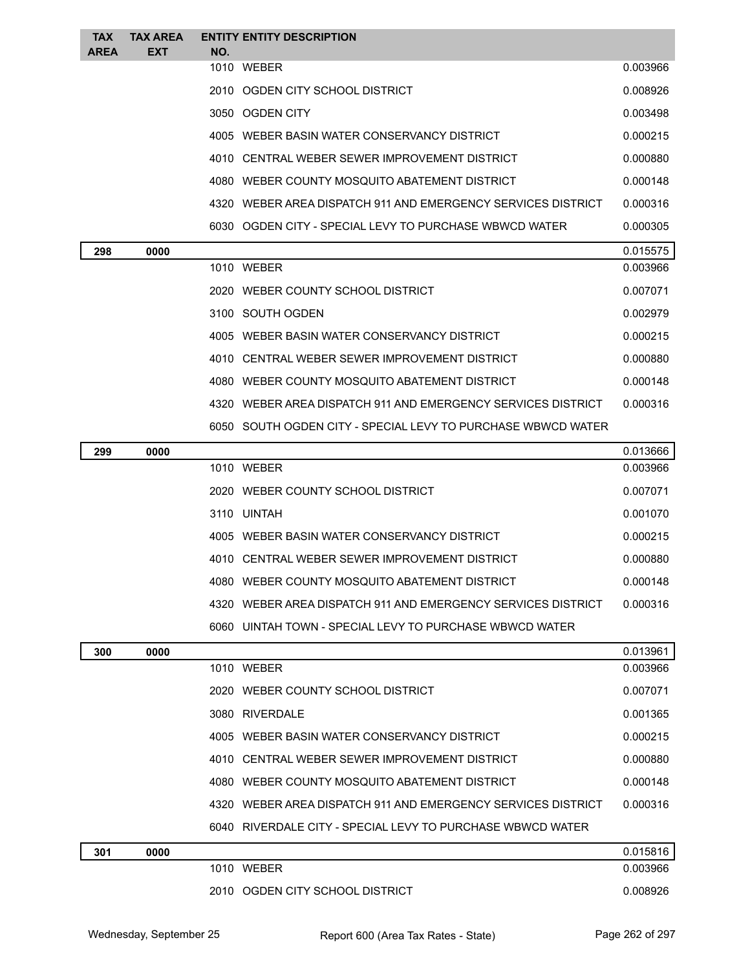| <b>TAX</b><br><b>AREA</b> | <b>TAX AREA</b><br><b>EXT</b> | NO. | <b>ENTITY ENTITY DESCRIPTION</b>                             |          |
|---------------------------|-------------------------------|-----|--------------------------------------------------------------|----------|
|                           |                               |     | 1010 WEBER                                                   | 0.003966 |
|                           |                               |     | 2010 OGDEN CITY SCHOOL DISTRICT                              | 0.008926 |
|                           |                               |     | 3050 OGDEN CITY                                              | 0.003498 |
|                           |                               |     | 4005 WEBER BASIN WATER CONSERVANCY DISTRICT                  | 0.000215 |
|                           |                               |     | 4010 CENTRAL WEBER SEWER IMPROVEMENT DISTRICT                | 0.000880 |
|                           |                               |     | 4080 WEBER COUNTY MOSQUITO ABATEMENT DISTRICT                | 0.000148 |
|                           |                               |     | 4320 WEBER AREA DISPATCH 911 AND EMERGENCY SERVICES DISTRICT | 0.000316 |
|                           |                               |     | 6030 OGDEN CITY - SPECIAL LEVY TO PURCHASE WBWCD WATER       | 0.000305 |
| 298                       | 0000                          |     |                                                              | 0.015575 |
|                           |                               |     | 1010 WEBER                                                   | 0.003966 |
|                           |                               |     | 2020 WEBER COUNTY SCHOOL DISTRICT                            | 0.007071 |
|                           |                               |     | 3100 SOUTH OGDEN                                             | 0.002979 |
|                           |                               |     | 4005 WEBER BASIN WATER CONSERVANCY DISTRICT                  | 0.000215 |
|                           |                               |     | 4010 CENTRAL WEBER SEWER IMPROVEMENT DISTRICT                | 0.000880 |
|                           |                               |     | 4080 WEBER COUNTY MOSQUITO ABATEMENT DISTRICT                | 0.000148 |

SOUTH OGDEN CITY - SPECIAL LEVY TO PURCHASE WBWCD WATER

WEBER AREA DISPATCH 911 AND EMERGENCY SERVICES DISTRICT 0.000316

| 299 | 0000 |                                                              | 0.013666 |
|-----|------|--------------------------------------------------------------|----------|
|     |      | 1010 WEBER                                                   | 0.003966 |
|     |      | 2020 WEBER COUNTY SCHOOL DISTRICT                            | 0.007071 |
|     |      | 3110 UINTAH                                                  | 0.001070 |
|     |      | 4005 WEBER BASIN WATER CONSERVANCY DISTRICT                  | 0.000215 |
|     |      | 4010 CENTRAL WEBER SEWER IMPROVEMENT DISTRICT                | 0.000880 |
|     |      | 4080 WEBER COUNTY MOSQUITO ABATEMENT DISTRICT                | 0.000148 |
|     |      | 4320 WEBER AREA DISPATCH 911 AND EMERGENCY SERVICES DISTRICT | 0.000316 |
|     |      | 6060 UINTAH TOWN - SPECIAL LEVY TO PURCHASE WBWCD WATER      |          |
| 300 | 0000 |                                                              | 0.013961 |
|     |      | 1010 WEBER                                                   | 0.003966 |
|     |      | 2020 WEBER COUNTY SCHOOL DISTRICT                            | 0.007071 |
|     |      | 3080 RIVERDALE                                               | 0.001365 |
|     |      |                                                              |          |

|  | 4005 WEBER BASIN WATER CONSERVANCY DISTRICT                  | 0.000215 |
|--|--------------------------------------------------------------|----------|
|  | 4010 CENTRAL WEBER SEWER IMPROVEMENT DISTRICT                | 0.000880 |
|  | 4080 WEBER COUNTY MOSQUITO ABATEMENT DISTRICT                | 0.000148 |
|  | 4320 WEBER AREA DISPATCH 911 AND EMERGENCY SERVICES DISTRICT | 0.000316 |
|  | 6040 RIVERDALE CITY - SPECIAL LEVY TO PURCHASE WBWCD WATER   |          |
|  |                                                              |          |

| 301 | 0000 |                                    | 0.015816 |
|-----|------|------------------------------------|----------|
|     |      | WEBER<br>1010                      | 0.003966 |
|     |      | OGDEN CITY SCHOOL DISTRICT<br>2010 | 0.008926 |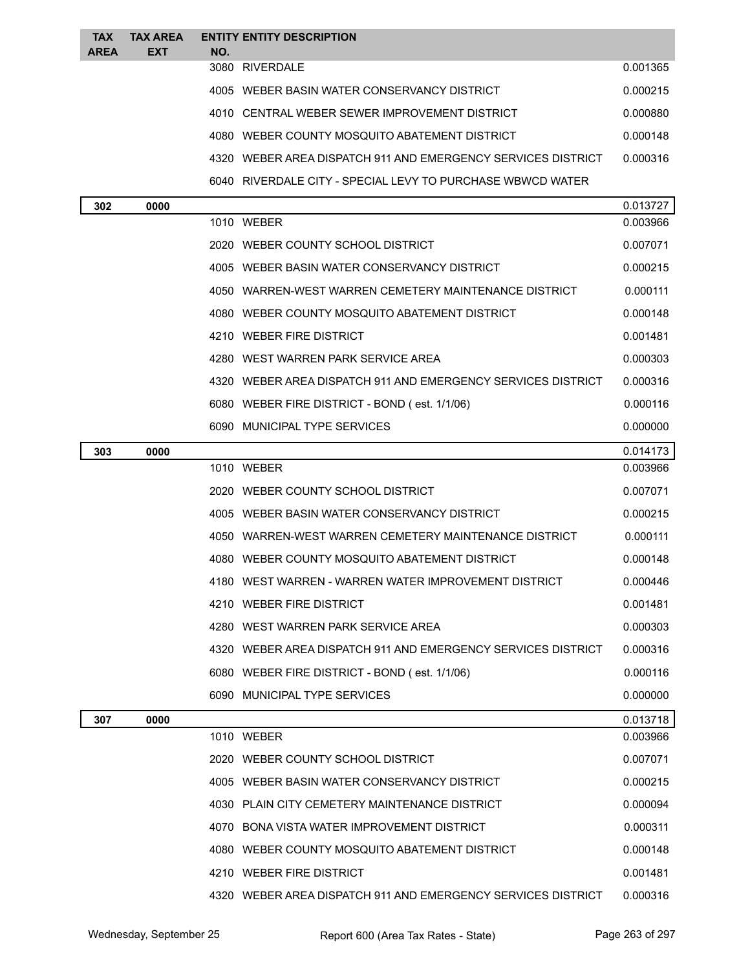| <b>TAX</b><br><b>AREA</b> | <b>TAX AREA</b><br><b>EXT</b> | NO. | <b>ENTITY ENTITY DESCRIPTION</b>                             |          |
|---------------------------|-------------------------------|-----|--------------------------------------------------------------|----------|
|                           |                               |     | 3080 RIVERDALE                                               | 0.001365 |
|                           |                               |     | 4005 WEBER BASIN WATER CONSERVANCY DISTRICT                  | 0.000215 |
|                           |                               |     | 4010 CENTRAL WEBER SEWER IMPROVEMENT DISTRICT                | 0.000880 |
|                           |                               |     | 4080 WEBER COUNTY MOSQUITO ABATEMENT DISTRICT                | 0.000148 |
|                           |                               |     | 4320 WEBER AREA DISPATCH 911 AND EMERGENCY SERVICES DISTRICT | 0.000316 |
|                           |                               |     | 6040 RIVERDALE CITY - SPECIAL LEVY TO PURCHASE WBWCD WATER   |          |
| 302                       | 0000                          |     |                                                              | 0.013727 |
|                           |                               |     | 1010 WEBER                                                   | 0.003966 |
|                           |                               |     | 2020 WEBER COUNTY SCHOOL DISTRICT                            | 0.007071 |
|                           |                               |     | 4005 WEBER BASIN WATER CONSERVANCY DISTRICT                  | 0.000215 |
|                           |                               |     | 4050 WARREN-WEST WARREN CEMETERY MAINTENANCE DISTRICT        | 0.000111 |
|                           |                               |     | 4080 WEBER COUNTY MOSQUITO ABATEMENT DISTRICT                | 0.000148 |
|                           |                               |     | 4210 WEBER FIRE DISTRICT                                     | 0.001481 |
|                           |                               |     | 4280 WEST WARREN PARK SERVICE AREA                           | 0.000303 |
|                           |                               |     | 4320 WEBER AREA DISPATCH 911 AND EMERGENCY SERVICES DISTRICT | 0.000316 |
|                           |                               |     | 6080 WEBER FIRE DISTRICT - BOND (est. 1/1/06)                | 0.000116 |
|                           |                               |     | 6090 MUNICIPAL TYPE SERVICES                                 | 0.000000 |
| 303                       | 0000                          |     |                                                              | 0.014173 |
|                           |                               |     | 1010 WEBER                                                   | 0.003966 |
|                           |                               |     | 2020 WEBER COUNTY SCHOOL DISTRICT                            | 0.007071 |
|                           |                               |     | 4005 WEBER BASIN WATER CONSERVANCY DISTRICT                  | 0.000215 |
|                           |                               |     | 4050 WARREN-WEST WARREN CEMETERY MAINTENANCE DISTRICT        | 0.000111 |
|                           |                               |     | 4080 WEBER COUNTY MOSQUITO ABATEMENT DISTRICT                | 0.000148 |
|                           |                               |     | 4180 WEST WARREN - WARREN WATER IMPROVEMENT DISTRICT         | 0.000446 |
|                           |                               |     | 4210 WEBER FIRE DISTRICT                                     | 0.001481 |
|                           |                               |     | 4280 WEST WARREN PARK SERVICE AREA                           | 0.000303 |
|                           |                               |     | 4320 WEBER AREA DISPATCH 911 AND EMERGENCY SERVICES DISTRICT | 0.000316 |
|                           |                               |     | 6080 WEBER FIRE DISTRICT - BOND (est. 1/1/06)                | 0.000116 |
|                           |                               |     | 6090 MUNICIPAL TYPE SERVICES                                 | 0.000000 |
| 307                       | 0000                          |     |                                                              | 0.013718 |
|                           |                               |     | 1010 WEBER                                                   | 0.003966 |
|                           |                               |     | 2020 WEBER COUNTY SCHOOL DISTRICT                            | 0.007071 |
|                           |                               |     | 4005 WEBER BASIN WATER CONSERVANCY DISTRICT                  | 0.000215 |
|                           |                               |     | 4030 PLAIN CITY CEMETERY MAINTENANCE DISTRICT                | 0.000094 |
|                           |                               |     | 4070 BONA VISTA WATER IMPROVEMENT DISTRICT                   | 0.000311 |
|                           |                               |     | 4080 WEBER COUNTY MOSQUITO ABATEMENT DISTRICT                | 0.000148 |
|                           |                               |     | 4210 WEBER FIRE DISTRICT                                     | 0.001481 |
|                           |                               |     | 4320 WEBER AREA DISPATCH 911 AND EMERGENCY SERVICES DISTRICT | 0.000316 |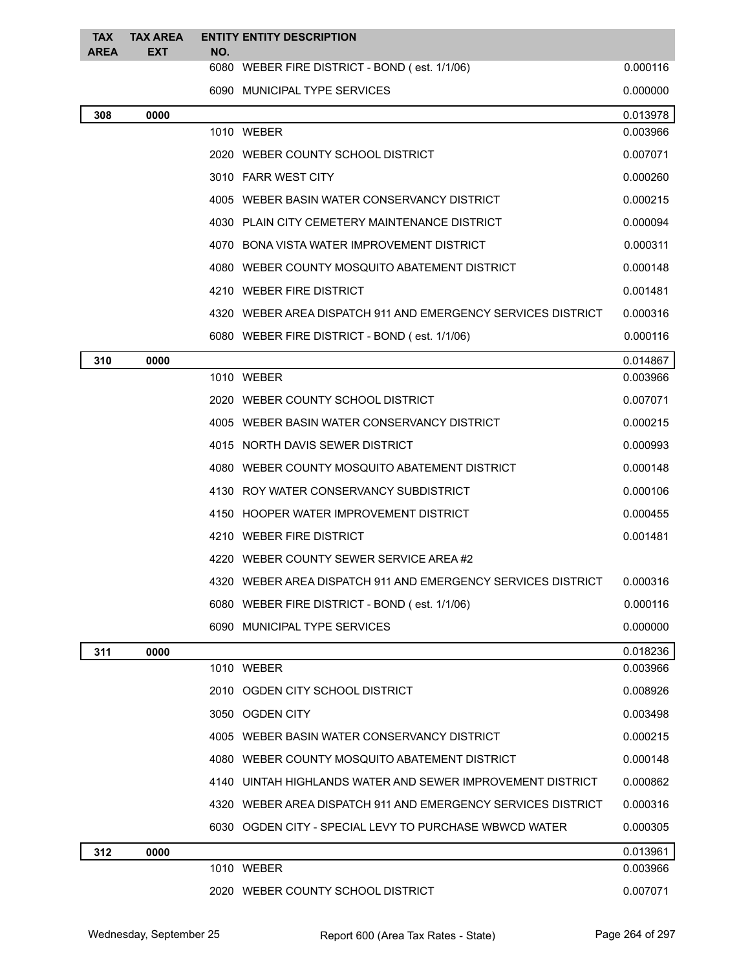| <b>TAX</b><br><b>AREA</b> | <b>TAX AREA</b><br><b>EXT</b> | NO. | <b>ENTITY ENTITY DESCRIPTION</b>                             |          |
|---------------------------|-------------------------------|-----|--------------------------------------------------------------|----------|
|                           |                               |     | 6080 WEBER FIRE DISTRICT - BOND (est. 1/1/06)                | 0.000116 |
|                           |                               |     | 6090 MUNICIPAL TYPE SERVICES                                 | 0.000000 |
| 308                       | 0000                          |     |                                                              | 0.013978 |
|                           |                               |     | 1010 WEBER                                                   | 0.003966 |
|                           |                               |     | 2020 WEBER COUNTY SCHOOL DISTRICT                            | 0.007071 |
|                           |                               |     | 3010 FARR WEST CITY                                          | 0.000260 |
|                           |                               |     | 4005 WEBER BASIN WATER CONSERVANCY DISTRICT                  | 0.000215 |
|                           |                               |     | 4030 PLAIN CITY CEMETERY MAINTENANCE DISTRICT                | 0.000094 |
|                           |                               |     | 4070 BONA VISTA WATER IMPROVEMENT DISTRICT                   | 0.000311 |
|                           |                               |     | 4080 WEBER COUNTY MOSQUITO ABATEMENT DISTRICT                | 0.000148 |
|                           |                               |     | 4210 WEBER FIRE DISTRICT                                     | 0.001481 |
|                           |                               |     | 4320 WEBER AREA DISPATCH 911 AND EMERGENCY SERVICES DISTRICT | 0.000316 |
|                           |                               |     | 6080 WEBER FIRE DISTRICT - BOND (est. 1/1/06)                | 0.000116 |
| 310                       | 0000                          |     |                                                              | 0.014867 |
|                           |                               |     | 1010 WEBER                                                   | 0.003966 |
|                           |                               |     | 2020 WEBER COUNTY SCHOOL DISTRICT                            | 0.007071 |
|                           |                               |     | 4005 WEBER BASIN WATER CONSERVANCY DISTRICT                  | 0.000215 |
|                           |                               |     | 4015 NORTH DAVIS SEWER DISTRICT                              | 0.000993 |
|                           |                               |     | 4080 WEBER COUNTY MOSQUITO ABATEMENT DISTRICT                | 0.000148 |
|                           |                               |     | 4130 ROY WATER CONSERVANCY SUBDISTRICT                       | 0.000106 |
|                           |                               |     | 4150 HOOPER WATER IMPROVEMENT DISTRICT                       | 0.000455 |
|                           |                               |     | 4210 WEBER FIRE DISTRICT                                     | 0.001481 |
|                           |                               |     | 4220 WEBER COUNTY SEWER SERVICE AREA#2                       |          |
|                           |                               |     | 4320 WEBER AREA DISPATCH 911 AND EMERGENCY SERVICES DISTRICT | 0.000316 |
|                           |                               |     | 6080 WEBER FIRE DISTRICT - BOND (est. 1/1/06)                | 0.000116 |
|                           |                               |     | 6090 MUNICIPAL TYPE SERVICES                                 | 0.000000 |
| 311                       | 0000                          |     |                                                              | 0.018236 |
|                           |                               |     | 1010 WEBER                                                   | 0.003966 |
|                           |                               |     | 2010 OGDEN CITY SCHOOL DISTRICT                              | 0.008926 |
|                           |                               |     | 3050 OGDEN CITY                                              | 0.003498 |
|                           |                               |     | 4005 WEBER BASIN WATER CONSERVANCY DISTRICT                  | 0.000215 |
|                           |                               |     | 4080 WEBER COUNTY MOSQUITO ABATEMENT DISTRICT                | 0.000148 |
|                           |                               |     | 4140 UINTAH HIGHLANDS WATER AND SEWER IMPROVEMENT DISTRICT   | 0.000862 |
|                           |                               |     | 4320 WEBER AREA DISPATCH 911 AND EMERGENCY SERVICES DISTRICT | 0.000316 |
|                           |                               |     | 6030 OGDEN CITY - SPECIAL LEVY TO PURCHASE WBWCD WATER       | 0.000305 |
| 312                       | 0000                          |     |                                                              | 0.013961 |
|                           |                               |     | 1010 WEBER                                                   | 0.003966 |
|                           |                               |     | 2020 WEBER COUNTY SCHOOL DISTRICT                            | 0.007071 |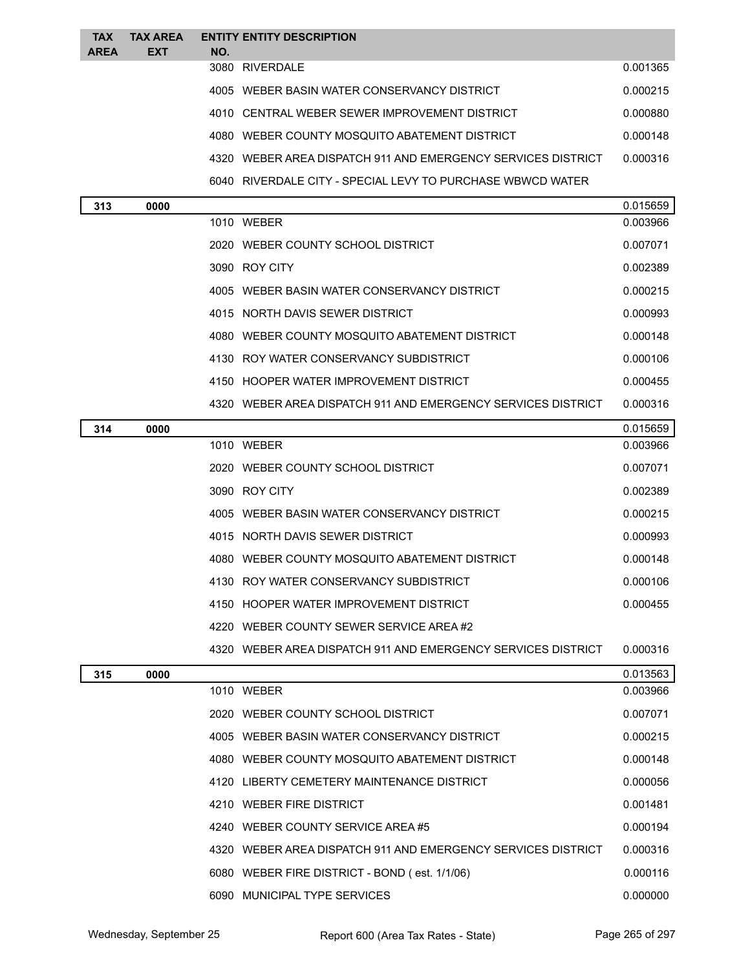| <b>TAX</b>  | <b>TAX AREA</b> | <b>ENTITY ENTITY DESCRIPTION</b>                             |          |
|-------------|-----------------|--------------------------------------------------------------|----------|
| <b>AREA</b> | <b>EXT</b>      | NO.                                                          |          |
|             |                 | 3080 RIVERDALE                                               | 0.001365 |
|             |                 | 4005 WEBER BASIN WATER CONSERVANCY DISTRICT                  | 0.000215 |
|             |                 | 4010 CENTRAL WEBER SEWER IMPROVEMENT DISTRICT                | 0.000880 |
|             |                 | 4080 WEBER COUNTY MOSQUITO ABATEMENT DISTRICT                | 0.000148 |
|             |                 | 4320 WEBER AREA DISPATCH 911 AND EMERGENCY SERVICES DISTRICT | 0.000316 |
|             |                 | 6040 RIVERDALE CITY - SPECIAL LEVY TO PURCHASE WBWCD WATER   |          |
| 313         | 0000            |                                                              | 0.015659 |
|             |                 |                                                              |          |

| .   |      |                                                              |          |
|-----|------|--------------------------------------------------------------|----------|
|     |      | 1010 WEBER                                                   | 0.003966 |
|     |      | 2020 WEBER COUNTY SCHOOL DISTRICT                            | 0.007071 |
|     |      | 3090 ROY CITY                                                | 0.002389 |
|     |      | 4005 WEBER BASIN WATER CONSERVANCY DISTRICT                  | 0.000215 |
|     |      | 4015 NORTH DAVIS SEWER DISTRICT                              | 0.000993 |
|     |      | 4080 WEBER COUNTY MOSQUITO ABATEMENT DISTRICT                | 0.000148 |
|     |      | 4130 ROY WATER CONSERVANCY SUBDISTRICT                       | 0.000106 |
|     |      | 4150 HOOPER WATER IMPROVEMENT DISTRICT                       | 0.000455 |
|     |      | 4320 WEBER AREA DISPATCH 911 AND EMERGENCY SERVICES DISTRICT | 0.000316 |
| 314 | 0000 |                                                              | 0.015659 |
|     |      | 1010 WEBER                                                   | 0.003966 |
|     |      | 2020 WEBER COUNTY SCHOOL DISTRICT                            | 0.007071 |
|     |      | 3090 ROY CITY                                                | 0.002389 |
|     |      | 4005 WEBER BASIN WATER CONSERVANCY DISTRICT                  | 0.000215 |
|     |      | 4015 NORTH DAVIS SEWER DISTRICT                              | 0.000993 |
|     |      | 4080 WEBER COUNTY MOSQUITO ABATEMENT DISTRICT                | 0.000148 |
|     |      | 4130 ROY WATER CONSERVANCY SUBDISTRICT                       | 0.000106 |
|     |      | 4150 HOOPER WATER IMPROVEMENT DISTRICT                       | 0.000455 |
|     |      | 4220 WEBER COUNTY SEWER SERVICE AREA#2                       |          |
|     |      | 4320 WEBER AREA DISPATCH 911 AND EMERGENCY SERVICES DISTRICT | 0.000316 |
| 315 | 0000 |                                                              | 0.013563 |
|     |      | 1010 WEBER                                                   | 0.003966 |
|     |      | 2020 WEBER COUNTY SCHOOL DISTRICT                            | 0.007071 |
|     |      | 4005 WEBER BASIN WATER CONSERVANCY DISTRICT                  | 0.000215 |
|     |      | 4080 WEBER COUNTY MOSQUITO ABATEMENT DISTRICT                | 0.000148 |
|     |      | 4120 LIBERTY CEMETERY MAINTENANCE DISTRICT                   | 0.000056 |
|     |      | 4210 WEBER FIRE DISTRICT                                     | 0.001481 |
|     |      | 4240 WEBER COUNTY SERVICE AREA #5                            | 0.000194 |
|     |      | 4320 WEBER AREA DISPATCH 911 AND EMERGENCY SERVICES DISTRICT | 0.000316 |
|     |      |                                                              |          |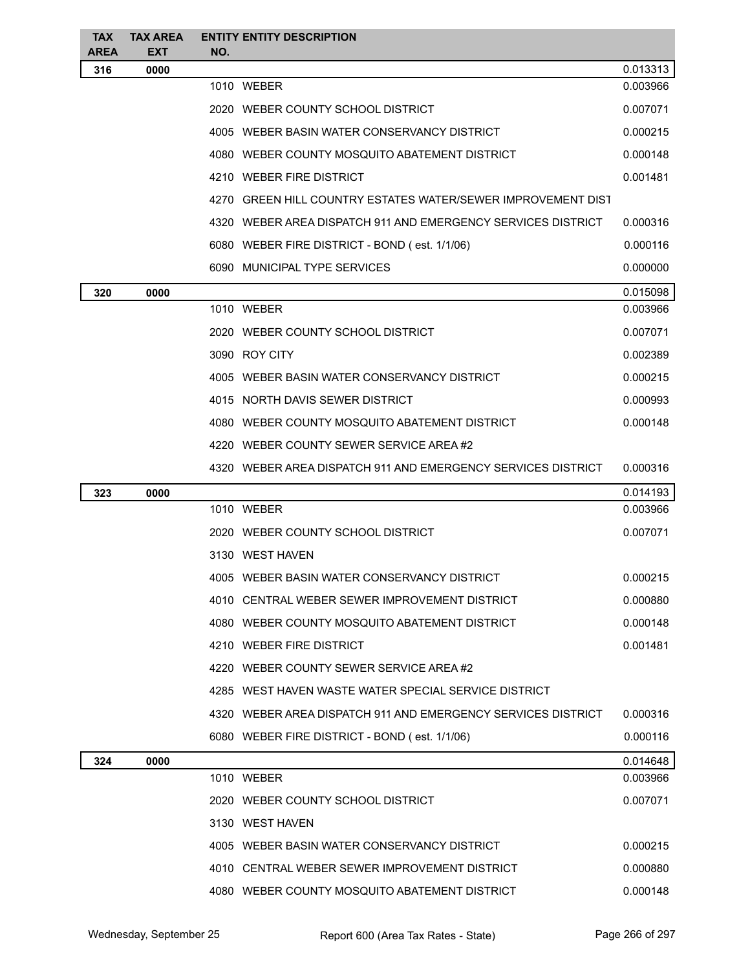| <b>TAX</b>         | <b>TAX AREA</b>    | <b>ENTITY ENTITY DESCRIPTION</b>                             |          |
|--------------------|--------------------|--------------------------------------------------------------|----------|
| <b>AREA</b><br>316 | <b>EXT</b><br>0000 | NO.                                                          | 0.013313 |
|                    |                    | 1010 WEBER                                                   | 0.003966 |
|                    |                    | 2020 WEBER COUNTY SCHOOL DISTRICT                            | 0.007071 |
|                    |                    | 4005 WEBER BASIN WATER CONSERVANCY DISTRICT                  | 0.000215 |
|                    |                    | 4080 WEBER COUNTY MOSQUITO ABATEMENT DISTRICT                | 0.000148 |
|                    |                    | 4210 WEBER FIRE DISTRICT                                     | 0.001481 |
|                    |                    | 4270 GREEN HILL COUNTRY ESTATES WATER/SEWER IMPROVEMENT DIST |          |
|                    |                    | 4320 WEBER AREA DISPATCH 911 AND EMERGENCY SERVICES DISTRICT | 0.000316 |
|                    |                    | 6080 WEBER FIRE DISTRICT - BOND (est. 1/1/06)                | 0.000116 |
|                    |                    | 6090 MUNICIPAL TYPE SERVICES                                 | 0.000000 |
| 320                | 0000               |                                                              | 0.015098 |
|                    |                    | 1010 WEBER                                                   | 0.003966 |
|                    |                    | 2020 WEBER COUNTY SCHOOL DISTRICT                            | 0.007071 |
|                    |                    | 3090 ROY CITY                                                | 0.002389 |
|                    |                    | 4005 WEBER BASIN WATER CONSERVANCY DISTRICT                  | 0.000215 |
|                    |                    | 4015 NORTH DAVIS SEWER DISTRICT                              | 0.000993 |
|                    |                    | 4080 WEBER COUNTY MOSQUITO ABATEMENT DISTRICT                | 0.000148 |
|                    |                    | 4220 WEBER COUNTY SEWER SERVICE AREA#2                       |          |
|                    |                    | 4320 WEBER AREA DISPATCH 911 AND EMERGENCY SERVICES DISTRICT | 0.000316 |
| 323                | 0000               |                                                              | 0.014193 |
|                    |                    | 1010 WEBER                                                   | 0.003966 |
|                    |                    | 2020 WEBER COUNTY SCHOOL DISTRICT                            | 0.007071 |
|                    |                    | 3130 WEST HAVEN                                              |          |
|                    |                    | 4005 WEBER BASIN WATER CONSERVANCY DISTRICT                  | 0.000215 |
|                    |                    | 4010 CENTRAL WEBER SEWER IMPROVEMENT DISTRICT                | 0.000880 |
|                    |                    | 4080 WEBER COUNTY MOSQUITO ABATEMENT DISTRICT                | 0.000148 |
|                    |                    | 4210 WEBER FIRE DISTRICT                                     | 0.001481 |
|                    |                    | 4220 WEBER COUNTY SEWER SERVICE AREA#2                       |          |
|                    |                    | 4285 WEST HAVEN WASTE WATER SPECIAL SERVICE DISTRICT         |          |
|                    |                    | 4320 WEBER AREA DISPATCH 911 AND EMERGENCY SERVICES DISTRICT | 0.000316 |
|                    |                    | 6080 WEBER FIRE DISTRICT - BOND (est. 1/1/06)                | 0.000116 |
| 324                | 0000               |                                                              | 0.014648 |
|                    |                    | 1010 WEBER                                                   | 0.003966 |
|                    |                    | 2020 WEBER COUNTY SCHOOL DISTRICT                            | 0.007071 |
|                    |                    | 3130 WEST HAVEN                                              |          |
|                    |                    | 4005 WEBER BASIN WATER CONSERVANCY DISTRICT                  | 0.000215 |
|                    |                    | 4010 CENTRAL WEBER SEWER IMPROVEMENT DISTRICT                | 0.000880 |
|                    |                    | 4080 WEBER COUNTY MOSQUITO ABATEMENT DISTRICT                | 0.000148 |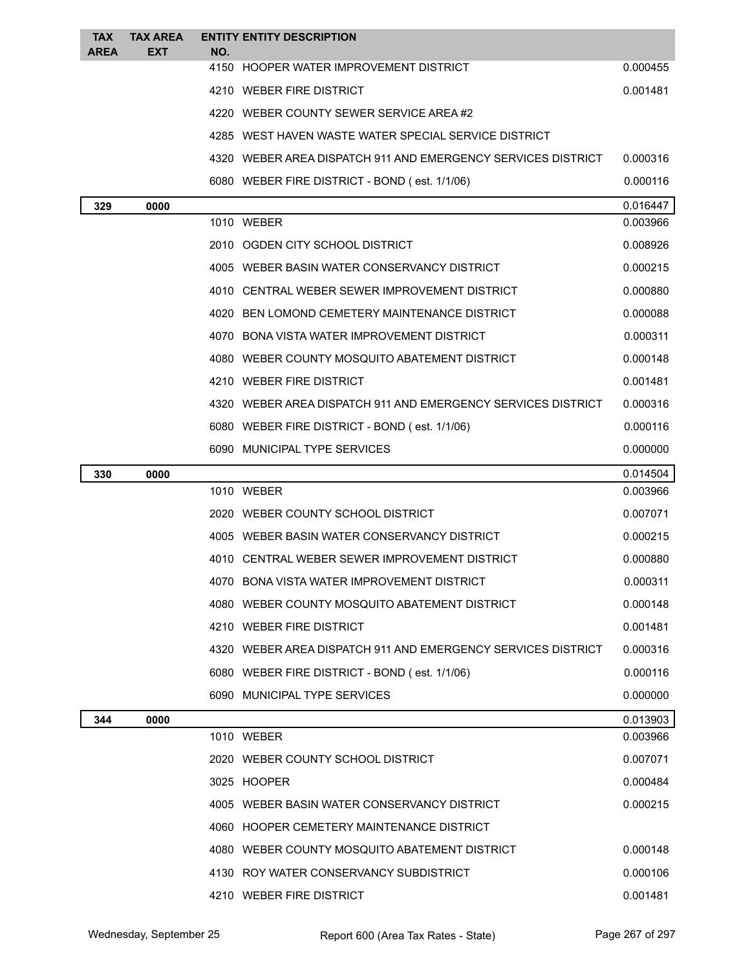| <b>TAX</b><br><b>AREA</b> | <b>TAX AREA</b><br><b>EXT</b> | NO. | <b>ENTITY ENTITY DESCRIPTION</b>                             |          |
|---------------------------|-------------------------------|-----|--------------------------------------------------------------|----------|
|                           |                               |     | 4150 HOOPER WATER IMPROVEMENT DISTRICT                       | 0.000455 |
|                           |                               |     | 4210 WEBER FIRE DISTRICT                                     | 0.001481 |
|                           |                               |     | 4220 WEBER COUNTY SEWER SERVICE AREA#2                       |          |
|                           |                               |     | 4285 WEST HAVEN WASTE WATER SPECIAL SERVICE DISTRICT         |          |
|                           |                               |     | 4320 WEBER AREA DISPATCH 911 AND EMERGENCY SERVICES DISTRICT | 0.000316 |
|                           |                               |     | 6080 WEBER FIRE DISTRICT - BOND (est. 1/1/06)                | 0.000116 |
| 329                       | 0000                          |     |                                                              | 0.016447 |
|                           |                               |     | 1010 WEBER                                                   | 0.003966 |
|                           |                               |     | 2010 OGDEN CITY SCHOOL DISTRICT                              | 0.008926 |
|                           |                               |     | 4005 WEBER BASIN WATER CONSERVANCY DISTRICT                  | 0.000215 |
|                           |                               |     | 4010 CENTRAL WEBER SEWER IMPROVEMENT DISTRICT                | 0.000880 |
|                           |                               |     | 4020 BEN LOMOND CEMETERY MAINTENANCE DISTRICT                | 0.000088 |
|                           |                               |     | 4070 BONA VISTA WATER IMPROVEMENT DISTRICT                   | 0.000311 |
|                           |                               |     | 4080 WEBER COUNTY MOSQUITO ABATEMENT DISTRICT                | 0.000148 |
|                           |                               |     | 4210 WEBER FIRE DISTRICT                                     | 0.001481 |
|                           |                               |     | 4320 WEBER AREA DISPATCH 911 AND EMERGENCY SERVICES DISTRICT | 0.000316 |
|                           |                               |     | 6080 WEBER FIRE DISTRICT - BOND (est. 1/1/06)                | 0.000116 |
|                           |                               |     | 6090 MUNICIPAL TYPE SERVICES                                 | 0.000000 |
| 330                       | 0000                          |     |                                                              | 0.014504 |
|                           |                               |     | 1010 WEBER                                                   | 0.003966 |
|                           |                               |     | 2020 WEBER COUNTY SCHOOL DISTRICT                            | 0.007071 |
|                           |                               |     | 4005 WEBER BASIN WATER CONSERVANCY DISTRICT                  | 0.000215 |
|                           |                               |     | 4010 CENTRAL WEBER SEWER IMPROVEMENT DISTRICT                | 0.000880 |
|                           |                               |     | 4070 BONA VISTA WATER IMPROVEMENT DISTRICT                   | 0.000311 |
|                           |                               |     | 4080 WEBER COUNTY MOSQUITO ABATEMENT DISTRICT                | 0.000148 |
|                           |                               |     | 4210 WEBER FIRE DISTRICT                                     | 0.001481 |
|                           |                               |     | 4320 WEBER AREA DISPATCH 911 AND EMERGENCY SERVICES DISTRICT | 0.000316 |
|                           |                               |     | 6080 WEBER FIRE DISTRICT - BOND (est. 1/1/06)                | 0.000116 |
|                           |                               |     | 6090 MUNICIPAL TYPE SERVICES                                 | 0.000000 |
| 344                       | 0000                          |     |                                                              | 0.013903 |
|                           |                               |     | 1010 WEBER                                                   | 0.003966 |
|                           |                               |     | 2020 WEBER COUNTY SCHOOL DISTRICT                            | 0.007071 |
|                           |                               |     | 3025 HOOPER                                                  | 0.000484 |
|                           |                               |     | 4005 WEBER BASIN WATER CONSERVANCY DISTRICT                  | 0.000215 |
|                           |                               |     | 4060 HOOPER CEMETERY MAINTENANCE DISTRICT                    |          |
|                           |                               |     | 4080 WEBER COUNTY MOSQUITO ABATEMENT DISTRICT                | 0.000148 |
|                           |                               |     | 4130 ROY WATER CONSERVANCY SUBDISTRICT                       | 0.000106 |
|                           |                               |     | 4210 WEBER FIRE DISTRICT                                     | 0.001481 |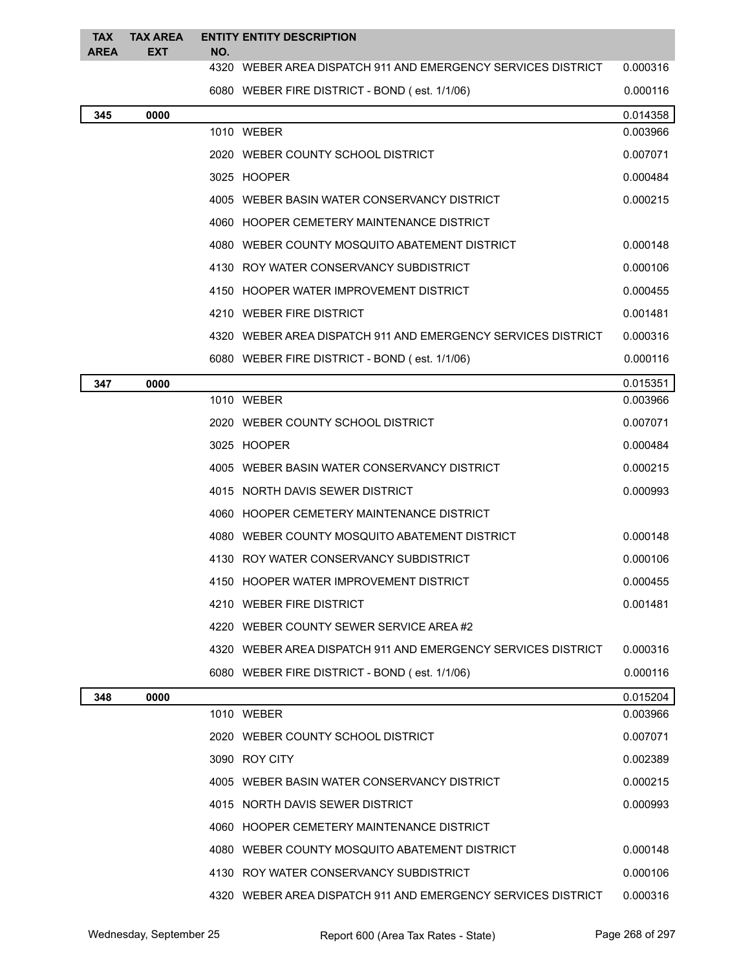| <b>TAX</b>  | <b>TAX AREA</b> |     | <b>ENTITY ENTITY DESCRIPTION</b>                             |          |
|-------------|-----------------|-----|--------------------------------------------------------------|----------|
| <b>AREA</b> | <b>EXT</b>      | NO. | 4320 WEBER AREA DISPATCH 911 AND EMERGENCY SERVICES DISTRICT | 0.000316 |
|             |                 |     | 6080 WEBER FIRE DISTRICT - BOND (est. 1/1/06)                | 0.000116 |
| 345         | 0000            |     |                                                              | 0.014358 |
|             |                 |     | 1010 WEBER                                                   | 0.003966 |
|             |                 |     | 2020 WEBER COUNTY SCHOOL DISTRICT                            | 0.007071 |
|             |                 |     | 3025 HOOPER                                                  | 0.000484 |
|             |                 |     | 4005 WEBER BASIN WATER CONSERVANCY DISTRICT                  | 0.000215 |
|             |                 |     | 4060 HOOPER CEMETERY MAINTENANCE DISTRICT                    |          |
|             |                 |     | 4080 WEBER COUNTY MOSQUITO ABATEMENT DISTRICT                | 0.000148 |
|             |                 |     | 4130 ROY WATER CONSERVANCY SUBDISTRICT                       | 0.000106 |
|             |                 |     | 4150 HOOPER WATER IMPROVEMENT DISTRICT                       | 0.000455 |
|             |                 |     | 4210 WEBER FIRE DISTRICT                                     | 0.001481 |
|             |                 |     | 4320 WEBER AREA DISPATCH 911 AND EMERGENCY SERVICES DISTRICT | 0.000316 |
|             |                 |     | 6080 WEBER FIRE DISTRICT - BOND (est. 1/1/06)                | 0.000116 |
| 347         | 0000            |     |                                                              | 0.015351 |
|             |                 |     | 1010 WEBER                                                   | 0.003966 |
|             |                 |     | 2020 WEBER COUNTY SCHOOL DISTRICT                            | 0.007071 |
|             |                 |     | 3025 HOOPER                                                  | 0.000484 |
|             |                 |     | 4005 WEBER BASIN WATER CONSERVANCY DISTRICT                  | 0.000215 |
|             |                 |     | 4015 NORTH DAVIS SEWER DISTRICT                              | 0.000993 |
|             |                 |     | 4060 HOOPER CEMETERY MAINTENANCE DISTRICT                    |          |
|             |                 |     | 4080 WEBER COUNTY MOSQUITO ABATEMENT DISTRICT                | 0.000148 |
|             |                 |     | 4130 ROY WATER CONSERVANCY SUBDISTRICT                       | 0.000106 |
|             |                 |     | 4150 HOOPER WATER IMPROVEMENT DISTRICT                       | 0.000455 |
|             |                 |     | 4210 WEBER FIRE DISTRICT                                     | 0.001481 |
|             |                 |     | 4220 WEBER COUNTY SEWER SERVICE AREA#2                       |          |
|             |                 |     | 4320 WEBER AREA DISPATCH 911 AND EMERGENCY SERVICES DISTRICT | 0.000316 |
|             |                 |     | 6080 WEBER FIRE DISTRICT - BOND (est. 1/1/06)                | 0.000116 |
| 348         | 0000            |     |                                                              | 0.015204 |
|             |                 |     | 1010 WEBER                                                   | 0.003966 |
|             |                 |     | 2020 WEBER COUNTY SCHOOL DISTRICT                            | 0.007071 |
|             |                 |     | 3090 ROY CITY                                                | 0.002389 |
|             |                 |     | 4005 WEBER BASIN WATER CONSERVANCY DISTRICT                  | 0.000215 |
|             |                 |     | 4015 NORTH DAVIS SEWER DISTRICT                              | 0.000993 |
|             |                 |     | 4060 HOOPER CEMETERY MAINTENANCE DISTRICT                    |          |
|             |                 |     | 4080 WEBER COUNTY MOSQUITO ABATEMENT DISTRICT                | 0.000148 |
|             |                 |     | 4130 ROY WATER CONSERVANCY SUBDISTRICT                       | 0.000106 |
|             |                 |     |                                                              |          |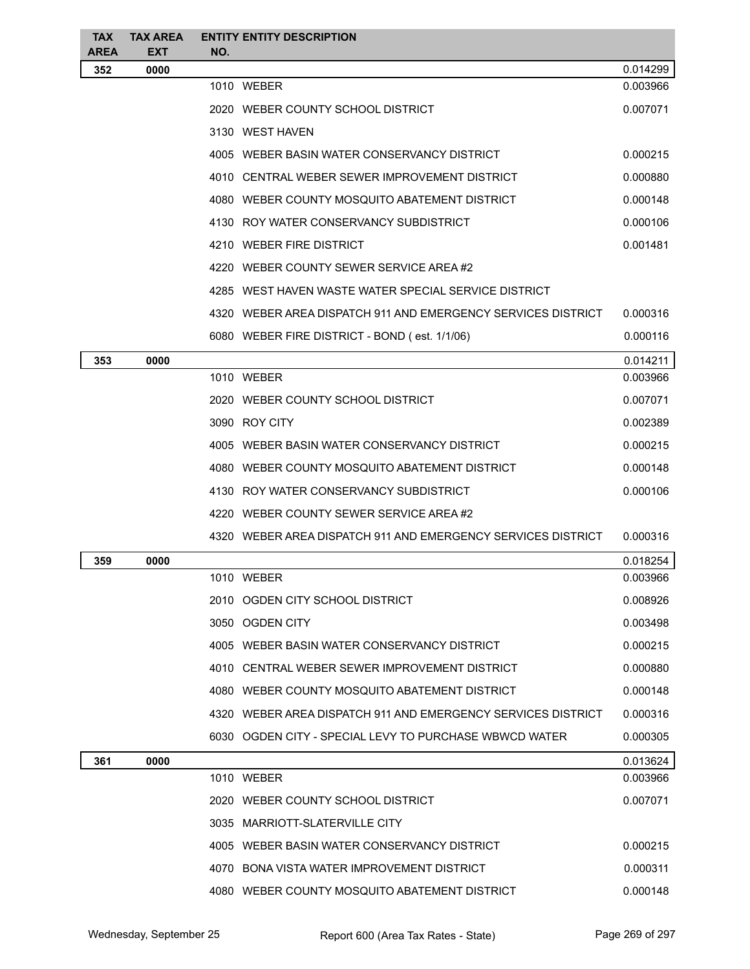| <b>TAX</b>  | <b>TAX AREA</b> | <b>ENTITY ENTITY DESCRIPTION</b>                             |                      |
|-------------|-----------------|--------------------------------------------------------------|----------------------|
| <b>AREA</b> | <b>EXT</b>      | NO.                                                          |                      |
| 352         | 0000            | 1010 WEBER                                                   | 0.014299<br>0.003966 |
|             |                 | 2020 WEBER COUNTY SCHOOL DISTRICT                            | 0.007071             |
|             |                 | 3130 WEST HAVEN                                              |                      |
|             |                 |                                                              |                      |
|             |                 | 4005 WEBER BASIN WATER CONSERVANCY DISTRICT                  | 0.000215             |
|             |                 | 4010 CENTRAL WEBER SEWER IMPROVEMENT DISTRICT                | 0.000880             |
|             |                 | 4080 WEBER COUNTY MOSQUITO ABATEMENT DISTRICT                | 0.000148             |
|             |                 | 4130 ROY WATER CONSERVANCY SUBDISTRICT                       | 0.000106             |
|             |                 | 4210 WEBER FIRE DISTRICT                                     | 0.001481             |
|             |                 | 4220 WEBER COUNTY SEWER SERVICE AREA#2                       |                      |
|             |                 | 4285 WEST HAVEN WASTE WATER SPECIAL SERVICE DISTRICT         |                      |
|             |                 | 4320 WEBER AREA DISPATCH 911 AND EMERGENCY SERVICES DISTRICT | 0.000316             |
|             |                 | 6080 WEBER FIRE DISTRICT - BOND (est. 1/1/06)                | 0.000116             |
| 353         | 0000            |                                                              | 0.014211             |
|             |                 | 1010 WEBER                                                   | 0.003966             |
|             |                 | 2020 WEBER COUNTY SCHOOL DISTRICT                            | 0.007071             |
|             |                 | 3090 ROY CITY                                                | 0.002389             |
|             |                 | 4005 WEBER BASIN WATER CONSERVANCY DISTRICT                  | 0.000215             |
|             |                 | 4080 WEBER COUNTY MOSQUITO ABATEMENT DISTRICT                | 0.000148             |
|             |                 | 4130 ROY WATER CONSERVANCY SUBDISTRICT                       | 0.000106             |
|             |                 | 4220 WEBER COUNTY SEWER SERVICE AREA#2                       |                      |
|             |                 | 4320 WEBER AREA DISPATCH 911 AND EMERGENCY SERVICES DISTRICT | 0.000316             |
| 359         | 0000            |                                                              | 0.018254             |
|             |                 | 1010 WEBER                                                   | 0.003966             |
|             |                 | 2010 OGDEN CITY SCHOOL DISTRICT                              | 0.008926             |
|             |                 | 3050 OGDEN CITY                                              | 0.003498             |
|             |                 | 4005 WEBER BASIN WATER CONSERVANCY DISTRICT                  | 0.000215             |
|             |                 | 4010 CENTRAL WEBER SEWER IMPROVEMENT DISTRICT                | 0.000880             |
|             |                 | 4080 WEBER COUNTY MOSQUITO ABATEMENT DISTRICT                | 0.000148             |
|             |                 | 4320 WEBER AREA DISPATCH 911 AND EMERGENCY SERVICES DISTRICT | 0.000316             |
|             |                 | 6030 OGDEN CITY - SPECIAL LEVY TO PURCHASE WBWCD WATER       | 0.000305             |
|             |                 |                                                              |                      |
| 361         | 0000            | 1010 WEBER                                                   | 0.013624<br>0.003966 |
|             |                 | 2020 WEBER COUNTY SCHOOL DISTRICT                            | 0.007071             |
|             |                 |                                                              |                      |
|             |                 | 3035 MARRIOTT-SLATERVILLE CITY                               |                      |
|             |                 | 4005 WEBER BASIN WATER CONSERVANCY DISTRICT                  | 0.000215             |
|             |                 | 4070 BONA VISTA WATER IMPROVEMENT DISTRICT                   | 0.000311             |
|             |                 | 4080 WEBER COUNTY MOSQUITO ABATEMENT DISTRICT                | 0.000148             |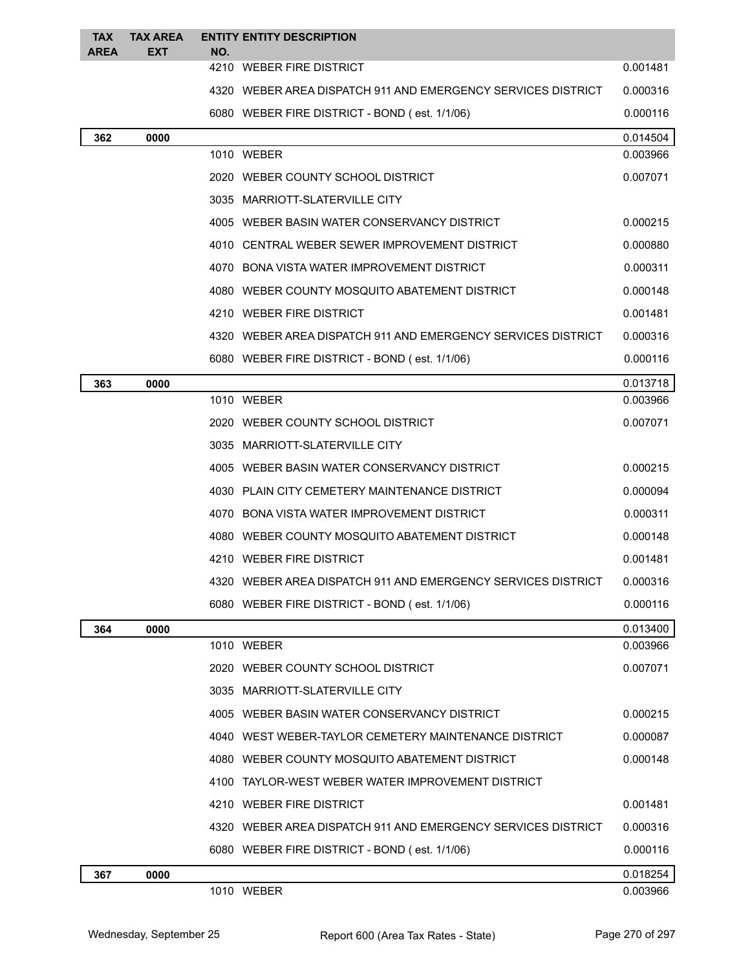| <b>TAX</b><br><b>AREA</b> | <b>TAX AREA</b><br>EXT | <b>ENTITY ENTITY DESCRIPTION</b><br>NO.                      |          |
|---------------------------|------------------------|--------------------------------------------------------------|----------|
|                           |                        | 4210 WEBER FIRE DISTRICT                                     | 0.001481 |
|                           |                        | 4320 WEBER AREA DISPATCH 911 AND EMERGENCY SERVICES DISTRICT | 0.000316 |
|                           |                        | 6080 WEBER FIRE DISTRICT - BOND (est. 1/1/06)                | 0.000116 |
| 362                       | 0000                   |                                                              | 0.014504 |
|                           |                        | 1010 WEBER                                                   | 0.003966 |
|                           |                        | 2020 WEBER COUNTY SCHOOL DISTRICT                            | 0.007071 |
|                           |                        | 3035 MARRIOTT-SLATERVILLE CITY                               |          |
|                           |                        | 4005 WEBER BASIN WATER CONSERVANCY DISTRICT                  | 0.000215 |
|                           |                        | 4010 CENTRAL WEBER SEWER IMPROVEMENT DISTRICT                | 0.000880 |
|                           |                        | 4070 BONA VISTA WATER IMPROVEMENT DISTRICT                   | 0.000311 |
|                           |                        | 4080 WEBER COUNTY MOSQUITO ABATEMENT DISTRICT                | 0.000148 |
|                           |                        | 4210 WEBER FIRE DISTRICT                                     | 0.001481 |
|                           |                        | 4320 WEBER AREA DISPATCH 911 AND EMERGENCY SERVICES DISTRICT | 0.000316 |
|                           |                        | 6080 WEBER FIRE DISTRICT - BOND (est. 1/1/06)                | 0.000116 |
| 363                       | 0000                   |                                                              | 0.013718 |
|                           |                        | 1010 WEBER                                                   | 0.003966 |
|                           |                        | 2020 WEBER COUNTY SCHOOL DISTRICT                            | 0.007071 |
|                           |                        | 3035 MARRIOTT-SLATERVILLE CITY                               |          |
|                           |                        | 4005 WEBER BASIN WATER CONSERVANCY DISTRICT                  | 0.000215 |
|                           |                        | 4030 PLAIN CITY CEMETERY MAINTENANCE DISTRICT                | 0.000094 |
|                           |                        | 4070 BONA VISTA WATER IMPROVEMENT DISTRICT                   | 0.000311 |
|                           |                        | 4080 WEBER COUNTY MOSQUITO ABATEMENT DISTRICT                | 0.000148 |
|                           |                        | 4210 WEBER FIRE DISTRICT                                     | 0.001481 |
|                           |                        | 4320 WEBER AREA DISPATCH 911 AND EMERGENCY SERVICES DISTRICT | 0.000316 |
|                           |                        | 6080 WEBER FIRE DISTRICT - BOND (est. 1/1/06)                | 0.000116 |
| 364                       | 0000                   |                                                              | 0.013400 |
|                           |                        | 1010 WEBER                                                   | 0.003966 |
|                           |                        | 2020 WEBER COUNTY SCHOOL DISTRICT                            | 0.007071 |
|                           |                        | 3035 MARRIOTT-SLATERVILLE CITY                               |          |
|                           |                        | 4005 WEBER BASIN WATER CONSERVANCY DISTRICT                  | 0.000215 |
|                           |                        | 4040 WEST WEBER-TAYLOR CEMETERY MAINTENANCE DISTRICT         | 0.000087 |
|                           |                        | 4080 WEBER COUNTY MOSQUITO ABATEMENT DISTRICT                | 0.000148 |
|                           |                        | 4100 TAYLOR-WEST WEBER WATER IMPROVEMENT DISTRICT            |          |
|                           |                        | 4210 WEBER FIRE DISTRICT                                     | 0.001481 |
|                           |                        | 4320 WEBER AREA DISPATCH 911 AND EMERGENCY SERVICES DISTRICT | 0.000316 |
|                           |                        | 6080 WEBER FIRE DISTRICT - BOND (est. 1/1/06)                | 0.000116 |
| 367                       | 0000                   |                                                              | 0.018254 |
|                           |                        | 1010 WEBER                                                   | 0.003966 |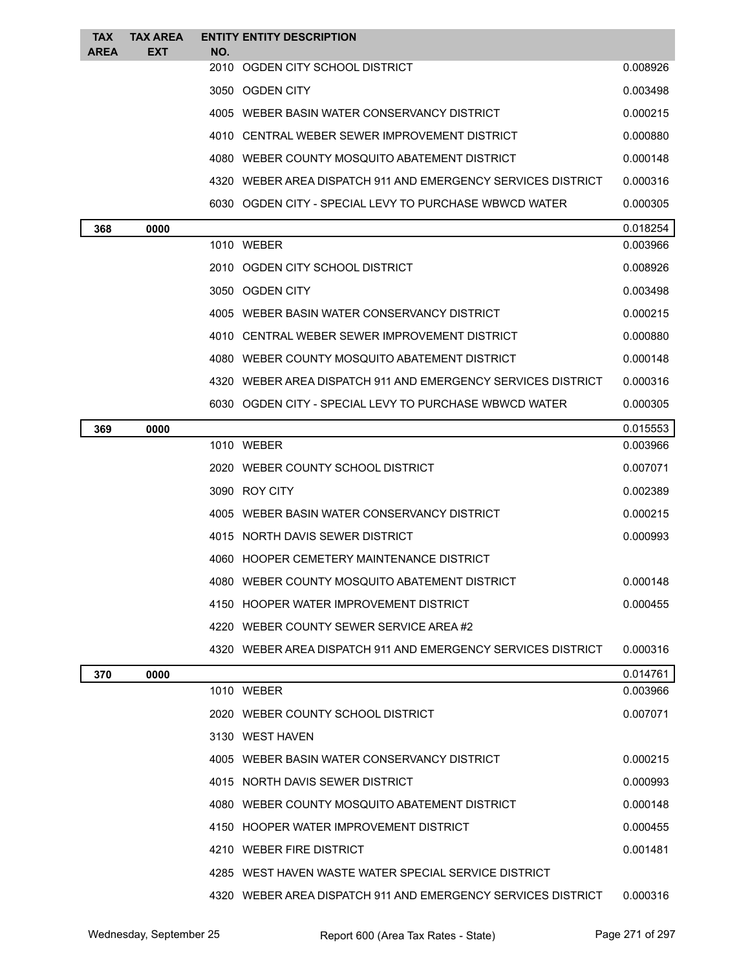| <b>TAX</b><br><b>AREA</b> | <b>TAX AREA</b><br><b>EXT</b> | <b>ENTITY ENTITY DESCRIPTION</b><br>NO.                      |          |
|---------------------------|-------------------------------|--------------------------------------------------------------|----------|
|                           |                               | 2010 OGDEN CITY SCHOOL DISTRICT                              | 0.008926 |
|                           |                               | 3050 OGDEN CITY                                              | 0.003498 |
|                           |                               | 4005 WEBER BASIN WATER CONSERVANCY DISTRICT                  | 0.000215 |
|                           |                               | 4010 CENTRAL WEBER SEWER IMPROVEMENT DISTRICT                | 0.000880 |
|                           |                               | 4080 WEBER COUNTY MOSQUITO ABATEMENT DISTRICT                | 0.000148 |
|                           |                               | 4320 WEBER AREA DISPATCH 911 AND EMERGENCY SERVICES DISTRICT | 0.000316 |
|                           |                               | 6030 OGDEN CITY - SPECIAL LEVY TO PURCHASE WBWCD WATER       | 0.000305 |
| 368                       | 0000                          |                                                              | 0.018254 |
|                           |                               | 1010 WEBER                                                   | 0.003966 |
|                           |                               | 2010 OGDEN CITY SCHOOL DISTRICT                              | 0.008926 |
|                           |                               | 3050 OGDEN CITY                                              | 0.003498 |
|                           |                               | 4005 WEBER BASIN WATER CONSERVANCY DISTRICT                  | 0.000215 |
|                           |                               | 4010 CENTRAL WEBER SEWER IMPROVEMENT DISTRICT                | 0.000880 |
|                           |                               | 4080 WEBER COUNTY MOSQUITO ABATEMENT DISTRICT                | 0.000148 |
|                           |                               | 4320 WEBER AREA DISPATCH 911 AND EMERGENCY SERVICES DISTRICT | 0.000316 |
|                           |                               | 6030 OGDEN CITY - SPECIAL LEVY TO PURCHASE WBWCD WATER       | 0.000305 |
| 369                       | 0000                          |                                                              | 0.015553 |
|                           |                               | 1010 WEBER                                                   | 0.003966 |
|                           |                               | 2020 WEBER COUNTY SCHOOL DISTRICT                            | 0.007071 |
|                           |                               | 3090 ROY CITY                                                | 0.002389 |
|                           |                               | 4005 WEBER BASIN WATER CONSERVANCY DISTRICT                  | 0.000215 |
|                           |                               | 4015 NORTH DAVIS SEWER DISTRICT                              | 0.000993 |
|                           |                               | 4060 HOOPER CEMETERY MAINTENANCE DISTRICT                    |          |
|                           |                               | 4080 WEBER COUNTY MOSQUITO ABATEMENT DISTRICT                | 0.000148 |
|                           |                               | 4150 HOOPER WATER IMPROVEMENT DISTRICT                       | 0.000455 |
|                           |                               | 4220 WEBER COUNTY SEWER SERVICE AREA#2                       |          |
|                           |                               | 4320 WEBER AREA DISPATCH 911 AND EMERGENCY SERVICES DISTRICT | 0.000316 |
| 370                       | 0000                          |                                                              | 0.014761 |
|                           |                               | 1010 WEBER                                                   | 0.003966 |
|                           |                               | 2020 WEBER COUNTY SCHOOL DISTRICT                            | 0.007071 |
|                           |                               | 3130 WEST HAVEN                                              |          |
|                           |                               | 4005 WEBER BASIN WATER CONSERVANCY DISTRICT                  | 0.000215 |
|                           |                               | 4015 NORTH DAVIS SEWER DISTRICT                              | 0.000993 |
|                           |                               | 4080 WEBER COUNTY MOSQUITO ABATEMENT DISTRICT                | 0.000148 |
|                           |                               | 4150 HOOPER WATER IMPROVEMENT DISTRICT                       | 0.000455 |
|                           |                               | 4210 WEBER FIRE DISTRICT                                     | 0.001481 |
|                           |                               | 4285 WEST HAVEN WASTE WATER SPECIAL SERVICE DISTRICT         |          |
|                           |                               | 4320 WEBER AREA DISPATCH 911 AND EMERGENCY SERVICES DISTRICT | 0.000316 |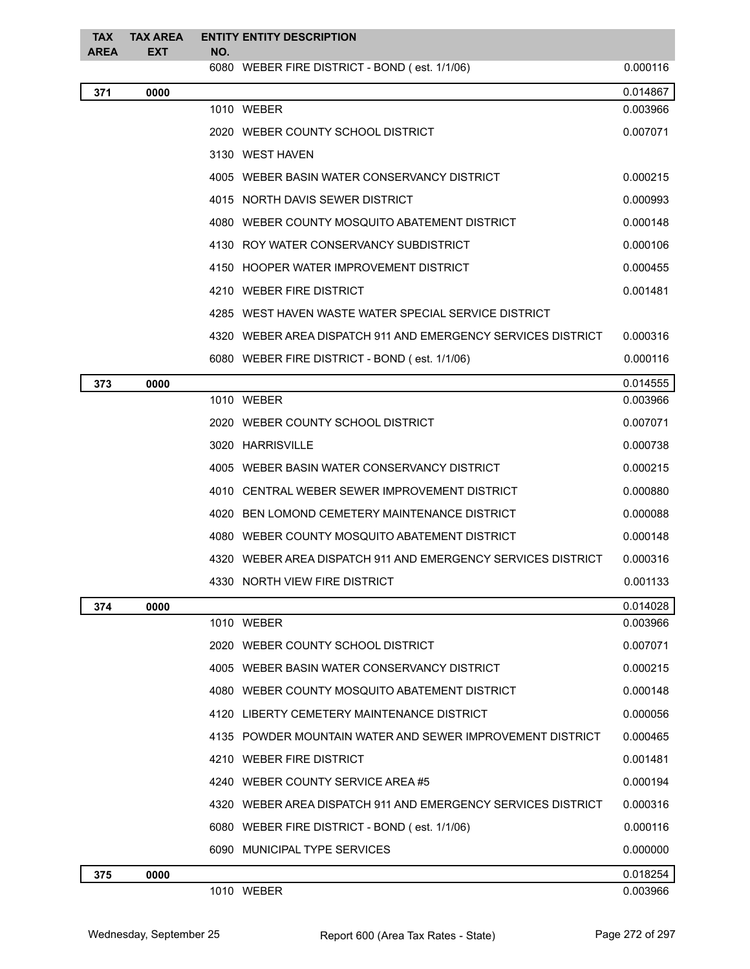| <b>TAX</b><br><b>AREA</b> | <b>TAX AREA</b><br><b>EXT</b> | NO. | <b>ENTITY ENTITY DESCRIPTION</b>                             |          |
|---------------------------|-------------------------------|-----|--------------------------------------------------------------|----------|
|                           |                               |     | 6080 WEBER FIRE DISTRICT - BOND (est. 1/1/06)                | 0.000116 |
| 371                       | 0000                          |     |                                                              | 0.014867 |
|                           |                               |     | 1010 WEBER                                                   | 0.003966 |
|                           |                               |     | 2020 WEBER COUNTY SCHOOL DISTRICT                            | 0.007071 |
|                           |                               |     | 3130 WEST HAVEN                                              |          |
|                           |                               |     | 4005 WEBER BASIN WATER CONSERVANCY DISTRICT                  | 0.000215 |
|                           |                               |     | 4015 NORTH DAVIS SEWER DISTRICT                              | 0.000993 |
|                           |                               |     | 4080 WEBER COUNTY MOSQUITO ABATEMENT DISTRICT                | 0.000148 |
|                           |                               |     | 4130 ROY WATER CONSERVANCY SUBDISTRICT                       | 0.000106 |
|                           |                               |     | 4150 HOOPER WATER IMPROVEMENT DISTRICT                       | 0.000455 |
|                           |                               |     | 4210 WEBER FIRE DISTRICT                                     | 0.001481 |
|                           |                               |     | 4285 WEST HAVEN WASTE WATER SPECIAL SERVICE DISTRICT         |          |
|                           |                               |     | 4320 WEBER AREA DISPATCH 911 AND EMERGENCY SERVICES DISTRICT | 0.000316 |
|                           |                               |     | 6080 WEBER FIRE DISTRICT - BOND (est. 1/1/06)                | 0.000116 |
| 373                       | 0000                          |     |                                                              | 0.014555 |
|                           |                               |     | 1010 WEBER                                                   | 0.003966 |
|                           |                               |     | 2020 WEBER COUNTY SCHOOL DISTRICT                            | 0.007071 |
|                           |                               |     | 3020 HARRISVILLE                                             | 0.000738 |
|                           |                               |     | 4005 WEBER BASIN WATER CONSERVANCY DISTRICT                  | 0.000215 |
|                           |                               |     | 4010 CENTRAL WEBER SEWER IMPROVEMENT DISTRICT                | 0.000880 |
|                           |                               |     | 4020 BEN LOMOND CEMETERY MAINTENANCE DISTRICT                | 0.000088 |
|                           |                               |     | 4080 WEBER COUNTY MOSQUITO ABATEMENT DISTRICT                | 0.000148 |
|                           |                               |     | 4320 WEBER AREA DISPATCH 911 AND EMERGENCY SERVICES DISTRICT | 0.000316 |
|                           |                               |     | 4330 NORTH VIEW FIRE DISTRICT                                | 0.001133 |
| 374                       | 0000                          |     |                                                              | 0.014028 |
|                           |                               |     | 1010 WEBER                                                   | 0.003966 |
|                           |                               |     | 2020 WEBER COUNTY SCHOOL DISTRICT                            | 0.007071 |
|                           |                               |     | 4005 WEBER BASIN WATER CONSERVANCY DISTRICT                  | 0.000215 |
|                           |                               |     | 4080 WEBER COUNTY MOSQUITO ABATEMENT DISTRICT                | 0.000148 |
|                           |                               |     | 4120 LIBERTY CEMETERY MAINTENANCE DISTRICT                   | 0.000056 |
|                           |                               |     | 4135 POWDER MOUNTAIN WATER AND SEWER IMPROVEMENT DISTRICT    | 0.000465 |
|                           |                               |     | 4210 WEBER FIRE DISTRICT                                     | 0.001481 |
|                           |                               |     | 4240 WEBER COUNTY SERVICE AREA #5                            | 0.000194 |
|                           |                               |     | 4320 WEBER AREA DISPATCH 911 AND EMERGENCY SERVICES DISTRICT | 0.000316 |
|                           |                               |     | 6080 WEBER FIRE DISTRICT - BOND (est. 1/1/06)                | 0.000116 |
|                           |                               |     | 6090 MUNICIPAL TYPE SERVICES                                 | 0.000000 |
| 375                       | 0000                          |     |                                                              | 0.018254 |
|                           |                               |     | 1010 WEBER                                                   | 0.003966 |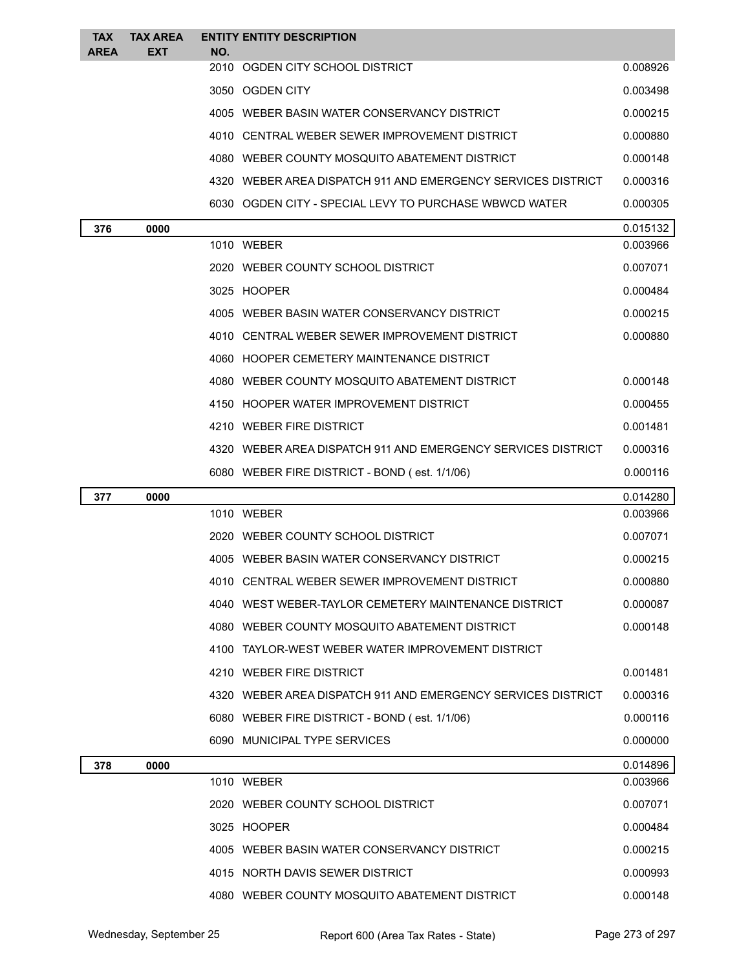| <b>TAX</b>  | <b>TAX AREA</b> |     | <b>ENTITY ENTITY DESCRIPTION</b>                               |                      |
|-------------|-----------------|-----|----------------------------------------------------------------|----------------------|
| <b>AREA</b> | <b>EXT</b>      | NO. | 2010 OGDEN CITY SCHOOL DISTRICT                                | 0.008926             |
|             |                 |     | 3050 OGDEN CITY                                                | 0.003498             |
|             |                 |     | 4005 WEBER BASIN WATER CONSERVANCY DISTRICT                    | 0.000215             |
|             |                 |     | 4010 CENTRAL WEBER SEWER IMPROVEMENT DISTRICT                  | 0.000880             |
|             |                 |     | 4080 WEBER COUNTY MOSQUITO ABATEMENT DISTRICT                  | 0.000148             |
|             |                 |     | 4320 WEBER AREA DISPATCH 911 AND EMERGENCY SERVICES DISTRICT   | 0.000316             |
|             |                 |     | 6030 OGDEN CITY - SPECIAL LEVY TO PURCHASE WBWCD WATER         | 0.000305             |
|             |                 |     |                                                                |                      |
| 376         | 0000            |     | 1010 WEBER                                                     | 0.015132<br>0.003966 |
|             |                 |     | 2020 WEBER COUNTY SCHOOL DISTRICT                              | 0.007071             |
|             |                 |     | 3025 HOOPER                                                    | 0.000484             |
|             |                 |     | 4005 WEBER BASIN WATER CONSERVANCY DISTRICT                    | 0.000215             |
|             |                 |     | 4010 CENTRAL WEBER SEWER IMPROVEMENT DISTRICT                  | 0.000880             |
|             |                 |     | 4060 HOOPER CEMETERY MAINTENANCE DISTRICT                      |                      |
|             |                 |     | 4080 WEBER COUNTY MOSQUITO ABATEMENT DISTRICT                  | 0.000148             |
|             |                 |     | 4150 HOOPER WATER IMPROVEMENT DISTRICT                         | 0.000455             |
|             |                 |     | 4210 WEBER FIRE DISTRICT                                       | 0.001481             |
|             |                 |     | 4320   WEBER AREA DISPATCH 911 AND EMERGENCY SERVICES DISTRICT | 0.000316             |
|             |                 |     | 6080 WEBER FIRE DISTRICT - BOND (est. 1/1/06)                  | 0.000116             |
| 377         | 0000            |     |                                                                | 0.014280             |
|             |                 |     | 1010 WEBER                                                     | 0.003966             |
|             |                 |     | 2020 WEBER COUNTY SCHOOL DISTRICT                              | 0.007071             |
|             |                 |     | 4005 WEBER BASIN WATER CONSERVANCY DISTRICT                    | 0.000215             |
|             |                 |     |                                                                |                      |
|             |                 |     | 4010 CENTRAL WEBER SEWER IMPROVEMENT DISTRICT                  | 0.000880             |
|             |                 |     | 4040 WEST WEBER-TAYLOR CEMETERY MAINTENANCE DISTRICT           | 0.000087             |
|             |                 |     | 4080 WEBER COUNTY MOSQUITO ABATEMENT DISTRICT                  | 0.000148             |
|             |                 |     | 4100 TAYLOR-WEST WEBER WATER IMPROVEMENT DISTRICT              |                      |
|             |                 |     | 4210 WEBER FIRE DISTRICT                                       | 0.001481             |
|             |                 |     | 4320 WEBER AREA DISPATCH 911 AND EMERGENCY SERVICES DISTRICT   | 0.000316             |
|             |                 |     | 6080 WEBER FIRE DISTRICT - BOND (est. 1/1/06)                  | 0.000116             |
|             |                 |     | 6090 MUNICIPAL TYPE SERVICES                                   | 0.000000             |
|             |                 |     |                                                                |                      |
| 378         | 0000            |     | 1010 WEBER                                                     | 0.014896<br>0.003966 |
|             |                 |     | 2020 WEBER COUNTY SCHOOL DISTRICT                              | 0.007071             |
|             |                 |     | 3025 HOOPER                                                    | 0.000484             |
|             |                 |     | 4005 WEBER BASIN WATER CONSERVANCY DISTRICT                    | 0.000215             |
|             |                 |     | 4015 NORTH DAVIS SEWER DISTRICT                                | 0.000993             |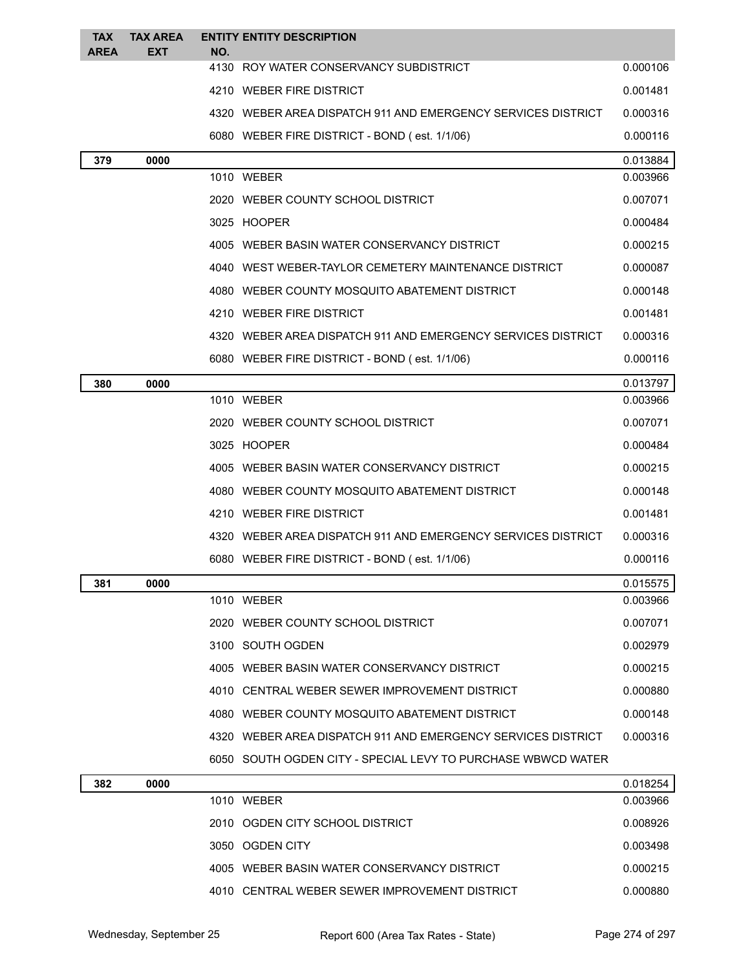| <b>TAX</b><br><b>AREA</b> | <b>TAX AREA</b><br><b>EXT</b> | <b>ENTITY ENTITY DESCRIPTION</b><br>NO.                      |          |
|---------------------------|-------------------------------|--------------------------------------------------------------|----------|
|                           |                               | 4130 ROY WATER CONSERVANCY SUBDISTRICT                       | 0.000106 |
|                           |                               | 4210 WEBER FIRE DISTRICT                                     | 0.001481 |
|                           |                               | 4320 WEBER AREA DISPATCH 911 AND EMERGENCY SERVICES DISTRICT | 0.000316 |
|                           |                               | 6080 WEBER FIRE DISTRICT - BOND (est. 1/1/06)                | 0.000116 |
| 379                       | 0000                          |                                                              | 0.013884 |
|                           |                               | 1010 WEBER                                                   | 0.003966 |
|                           |                               | 2020 WEBER COUNTY SCHOOL DISTRICT                            | 0.007071 |
|                           |                               | 3025 HOOPER                                                  | 0.000484 |
|                           |                               | 4005 WEBER BASIN WATER CONSERVANCY DISTRICT                  | 0.000215 |
|                           |                               | 4040 WEST WEBER-TAYLOR CEMETERY MAINTENANCE DISTRICT         | 0.000087 |
|                           |                               | 4080 WEBER COUNTY MOSQUITO ABATEMENT DISTRICT                | 0.000148 |
|                           |                               | 4210 WEBER FIRE DISTRICT                                     | 0.001481 |
|                           |                               | 4320 WEBER AREA DISPATCH 911 AND EMERGENCY SERVICES DISTRICT | 0.000316 |
|                           |                               | 6080 WEBER FIRE DISTRICT - BOND (est. 1/1/06)                | 0.000116 |
| 380                       | 0000                          |                                                              | 0.013797 |
|                           |                               | 1010 WEBER                                                   | 0.003966 |
|                           |                               | 2020 WEBER COUNTY SCHOOL DISTRICT                            | 0.007071 |
|                           |                               | 3025 HOOPER                                                  | 0.000484 |
|                           |                               | 4005 WEBER BASIN WATER CONSERVANCY DISTRICT                  | 0.000215 |
|                           |                               | 4080 WEBER COUNTY MOSQUITO ABATEMENT DISTRICT                | 0.000148 |
|                           |                               | 4210 WEBER FIRE DISTRICT                                     | 0.001481 |
|                           |                               | 4320 WEBER AREA DISPATCH 911 AND EMERGENCY SERVICES DISTRICT | 0.000316 |
|                           |                               | 6080 WEBER FIRE DISTRICT - BOND (est. 1/1/06)                | 0.000116 |
| 381                       | 0000                          |                                                              | 0.015575 |
|                           |                               | 1010 WEBER                                                   | 0.003966 |
|                           |                               | 2020 WEBER COUNTY SCHOOL DISTRICT                            | 0.007071 |
|                           |                               | 3100 SOUTH OGDEN                                             | 0.002979 |
|                           |                               | 4005 WEBER BASIN WATER CONSERVANCY DISTRICT                  | 0.000215 |
|                           |                               | 4010 CENTRAL WEBER SEWER IMPROVEMENT DISTRICT                | 0.000880 |
|                           |                               | 4080 WEBER COUNTY MOSQUITO ABATEMENT DISTRICT                | 0.000148 |
|                           |                               | 4320 WEBER AREA DISPATCH 911 AND EMERGENCY SERVICES DISTRICT | 0.000316 |
|                           |                               | 6050 SOUTH OGDEN CITY - SPECIAL LEVY TO PURCHASE WBWCD WATER |          |
| 382                       | 0000                          |                                                              | 0.018254 |
|                           |                               | 1010 WEBER                                                   | 0.003966 |
|                           |                               | 2010 OGDEN CITY SCHOOL DISTRICT                              | 0.008926 |

2010 OGDEN CITY SCHOOL DISTRICT ALL 2010 0.008926 OSMOOD DISTRICT 3050 OGDEN CITY 0.003498 WEBER BASIN WATER CONSERVANCY DISTRICT 0.000215 CENTRAL WEBER SEWER IMPROVEMENT DISTRICT 0.000880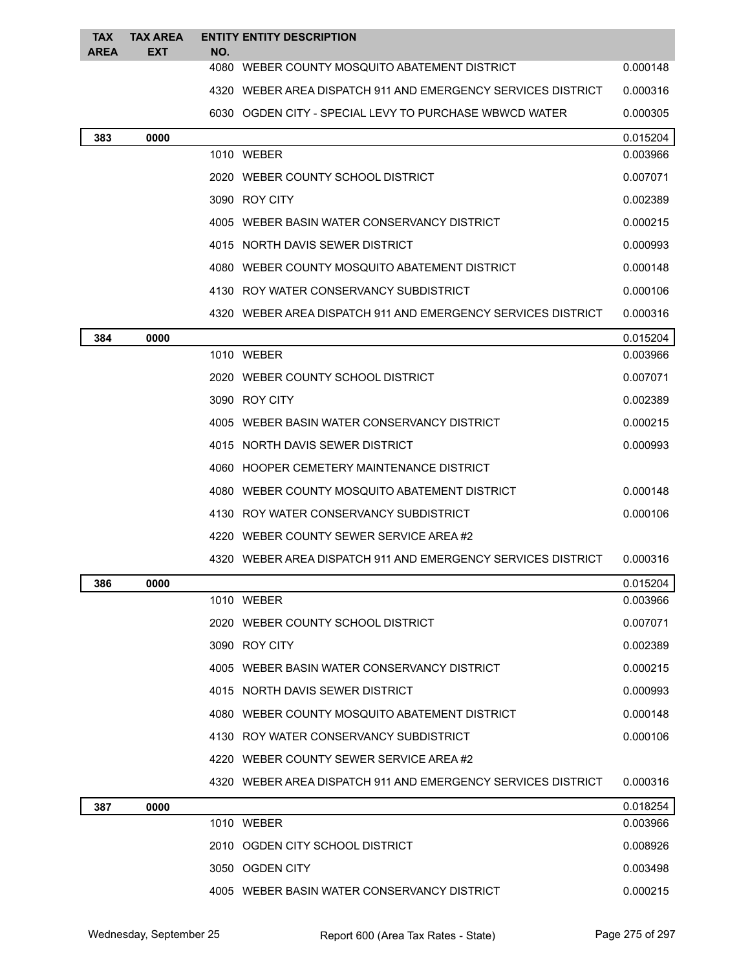| <b>TAX</b><br><b>AREA</b> | <b>TAX AREA</b><br><b>EXT</b> | NO. | <b>ENTITY ENTITY DESCRIPTION</b>                             |          |
|---------------------------|-------------------------------|-----|--------------------------------------------------------------|----------|
|                           |                               |     | 4080 WEBER COUNTY MOSQUITO ABATEMENT DISTRICT                | 0.000148 |
|                           |                               |     | 4320 WEBER AREA DISPATCH 911 AND EMERGENCY SERVICES DISTRICT | 0.000316 |
|                           |                               |     | 6030 OGDEN CITY - SPECIAL LEVY TO PURCHASE WBWCD WATER       | 0.000305 |
| 383                       | 0000                          |     |                                                              | 0.015204 |
|                           |                               |     | 1010 WEBER                                                   | 0.003966 |
|                           |                               |     | 2020 WEBER COUNTY SCHOOL DISTRICT                            | 0.007071 |
|                           |                               |     | 3090 ROY CITY                                                | 0.002389 |
|                           |                               |     | 4005 WEBER BASIN WATER CONSERVANCY DISTRICT                  | 0.000215 |
|                           |                               |     | 4015 NORTH DAVIS SEWER DISTRICT                              | 0.000993 |
|                           |                               |     | 4080 WEBER COUNTY MOSQUITO ABATEMENT DISTRICT                | 0.000148 |
|                           |                               |     | 4130 ROY WATER CONSERVANCY SUBDISTRICT                       | 0.000106 |
|                           |                               |     | 4320 WEBER AREA DISPATCH 911 AND EMERGENCY SERVICES DISTRICT | 0.000316 |
| 384                       | 0000                          |     |                                                              | 0.015204 |
|                           |                               |     | 1010 WEBER                                                   | 0.003966 |
|                           |                               |     | 2020 WEBER COUNTY SCHOOL DISTRICT                            | 0.007071 |
|                           |                               |     | 3090 ROY CITY                                                | 0.002389 |
|                           |                               |     | 4005 WEBER BASIN WATER CONSERVANCY DISTRICT                  | 0.000215 |
|                           |                               |     | 4015 NORTH DAVIS SEWER DISTRICT                              | 0.000993 |
|                           |                               |     | 4060 HOOPER CEMETERY MAINTENANCE DISTRICT                    |          |
|                           |                               |     | 4080 WEBER COUNTY MOSQUITO ABATEMENT DISTRICT                | 0.000148 |
|                           |                               |     | 4130 ROY WATER CONSERVANCY SUBDISTRICT                       | 0.000106 |
|                           |                               |     | 4220 WEBER COUNTY SEWER SERVICE AREA#2                       |          |
|                           |                               |     | 4320 WEBER AREA DISPATCH 911 AND EMERGENCY SERVICES DISTRICT | 0.000316 |
| 386                       | 0000                          |     |                                                              | 0.015204 |
|                           |                               |     | 1010 WEBER                                                   | 0.003966 |
|                           |                               |     | 2020 WEBER COUNTY SCHOOL DISTRICT                            | 0.007071 |
|                           |                               |     | 3090 ROY CITY                                                | 0.002389 |
|                           |                               |     | 4005 WEBER BASIN WATER CONSERVANCY DISTRICT                  | 0.000215 |
|                           |                               |     | 4015 NORTH DAVIS SEWER DISTRICT                              | 0.000993 |
|                           |                               |     | 4080 WEBER COUNTY MOSQUITO ABATEMENT DISTRICT                | 0.000148 |
|                           |                               |     | 4130 ROY WATER CONSERVANCY SUBDISTRICT                       | 0.000106 |
|                           |                               |     | 4220 WEBER COUNTY SEWER SERVICE AREA#2                       |          |
|                           |                               |     | 4320 WEBER AREA DISPATCH 911 AND EMERGENCY SERVICES DISTRICT | 0.000316 |
| 387                       | 0000                          |     |                                                              | 0.018254 |
|                           |                               |     | 1010 WEBER                                                   | 0.003966 |
|                           |                               |     | 2010 OGDEN CITY SCHOOL DISTRICT                              | 0.008926 |
|                           |                               |     | 3050 OGDEN CITY                                              | 0.003498 |
|                           |                               |     | 4005 WEBER BASIN WATER CONSERVANCY DISTRICT                  | 0.000215 |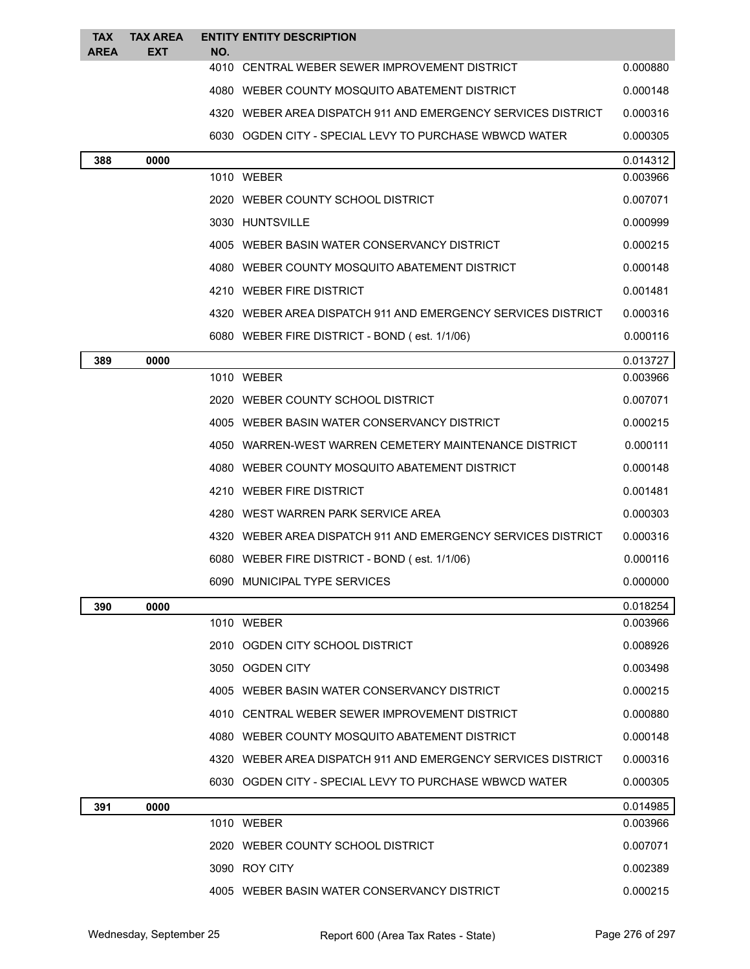| <b>TAX</b><br><b>AREA</b> | <b>TAX AREA</b><br>EXT | NO.             | <b>ENTITY ENTITY DESCRIPTION</b>                               |          |
|---------------------------|------------------------|-----------------|----------------------------------------------------------------|----------|
|                           |                        |                 | 4010 CENTRAL WEBER SEWER IMPROVEMENT DISTRICT                  | 0.000880 |
|                           |                        |                 | 4080 WEBER COUNTY MOSQUITO ABATEMENT DISTRICT                  | 0.000148 |
|                           |                        |                 | 4320 WEBER AREA DISPATCH 911 AND EMERGENCY SERVICES DISTRICT   | 0.000316 |
|                           |                        |                 | 6030 OGDEN CITY - SPECIAL LEVY TO PURCHASE WBWCD WATER         | 0.000305 |
| 388                       | 0000                   |                 |                                                                | 0.014312 |
|                           |                        | 1010 WEBER      |                                                                | 0.003966 |
|                           |                        |                 | 2020 WEBER COUNTY SCHOOL DISTRICT                              | 0.007071 |
|                           |                        | 3030 HUNTSVILLE |                                                                | 0.000999 |
|                           |                        |                 | 4005 WEBER BASIN WATER CONSERVANCY DISTRICT                    | 0.000215 |
|                           |                        |                 | 4080 WEBER COUNTY MOSQUITO ABATEMENT DISTRICT                  | 0.000148 |
|                           |                        |                 | 4210 WEBER FIRE DISTRICT                                       | 0.001481 |
|                           |                        |                 | 4320 WEBER AREA DISPATCH 911 AND EMERGENCY SERVICES DISTRICT   | 0.000316 |
|                           |                        |                 | 6080 WEBER FIRE DISTRICT - BOND (est. 1/1/06)                  | 0.000116 |
| 389                       | 0000                   |                 |                                                                | 0.013727 |
|                           |                        | 1010 WEBER      |                                                                | 0.003966 |
|                           |                        |                 | 2020 WEBER COUNTY SCHOOL DISTRICT                              | 0.007071 |
|                           |                        |                 | 4005 WEBER BASIN WATER CONSERVANCY DISTRICT                    | 0.000215 |
|                           |                        |                 | 4050 WARREN-WEST WARREN CEMETERY MAINTENANCE DISTRICT          | 0.000111 |
|                           |                        |                 | 4080 WEBER COUNTY MOSQUITO ABATEMENT DISTRICT                  | 0.000148 |
|                           |                        |                 | 4210 WEBER FIRE DISTRICT                                       | 0.001481 |
|                           |                        |                 | 4280 WEST WARREN PARK SERVICE AREA                             | 0.000303 |
|                           |                        |                 | 4320 WEBER AREA DISPATCH 911 AND EMERGENCY SERVICES DISTRICT   | 0.000316 |
|                           |                        |                 | 6080 WEBER FIRE DISTRICT - BOND (est. 1/1/06)                  | 0.000116 |
|                           |                        |                 | 6090 MUNICIPAL TYPE SERVICES                                   | 0.000000 |
| 390                       | 0000                   |                 |                                                                | 0.018254 |
|                           |                        | 1010 WEBER      |                                                                | 0.003966 |
|                           |                        |                 | 2010 OGDEN CITY SCHOOL DISTRICT                                | 0.008926 |
|                           |                        | 3050 OGDEN CITY |                                                                | 0.003498 |
|                           |                        |                 | 4005 WEBER BASIN WATER CONSERVANCY DISTRICT                    | 0.000215 |
|                           |                        |                 | 4010 CENTRAL WEBER SEWER IMPROVEMENT DISTRICT                  | 0.000880 |
|                           |                        |                 | 4080 WEBER COUNTY MOSQUITO ABATEMENT DISTRICT                  | 0.000148 |
|                           |                        |                 | 4320   WEBER AREA DISPATCH 911 AND EMERGENCY SERVICES DISTRICT | 0.000316 |
|                           |                        |                 | 6030   OGDEN CITY - SPECIAL LEVY TO PURCHASE WBWCD WATER       | 0.000305 |
| 391                       | 0000                   |                 |                                                                | 0.014985 |
|                           |                        | 1010 WEBER      |                                                                | 0.003966 |
|                           |                        |                 | 2020 WEBER COUNTY SCHOOL DISTRICT                              | 0.007071 |
|                           |                        | 3090 ROY CITY   |                                                                | 0.002389 |
|                           |                        |                 | 4005 WEBER BASIN WATER CONSERVANCY DISTRICT                    | 0.000215 |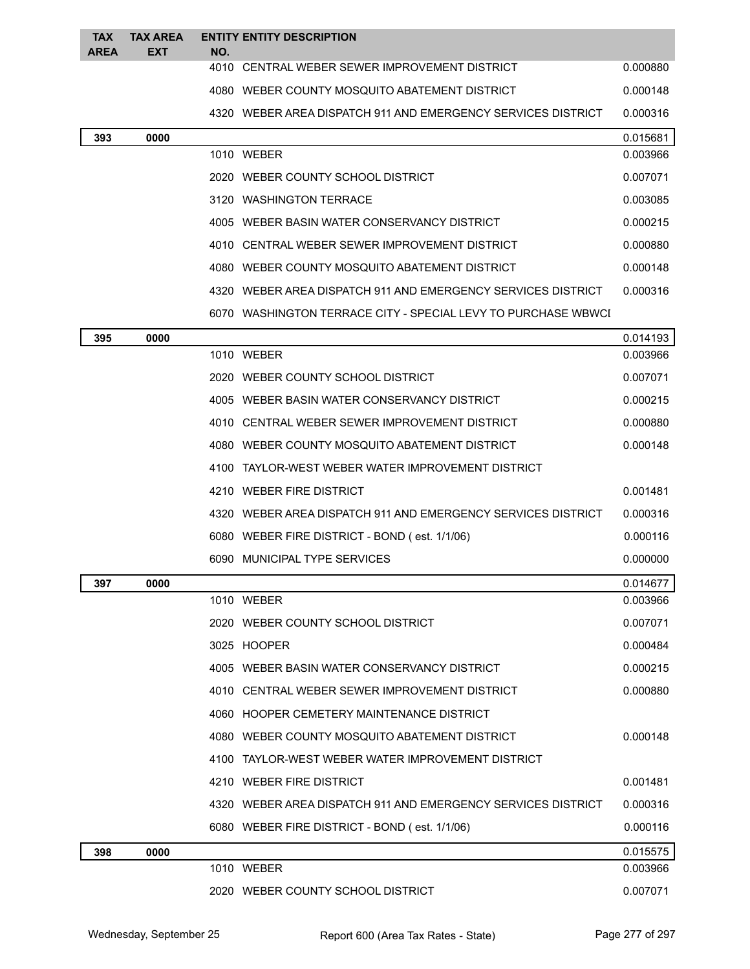| <b>TAX</b><br><b>AREA</b> | <b>TAX AREA</b><br><b>EXT</b> | NO. | <b>ENTITY ENTITY DESCRIPTION</b>                              |          |
|---------------------------|-------------------------------|-----|---------------------------------------------------------------|----------|
|                           |                               |     | 4010 CENTRAL WEBER SEWER IMPROVEMENT DISTRICT                 | 0.000880 |
|                           |                               |     | 4080 WEBER COUNTY MOSQUITO ABATEMENT DISTRICT                 | 0.000148 |
|                           |                               |     | 4320 WEBER AREA DISPATCH 911 AND EMERGENCY SERVICES DISTRICT  | 0.000316 |
| 393                       | 0000                          |     |                                                               | 0.015681 |
|                           |                               |     | 1010 WEBER                                                    | 0.003966 |
|                           |                               |     | 2020 WEBER COUNTY SCHOOL DISTRICT                             | 0.007071 |
|                           |                               |     | 3120 WASHINGTON TERRACE                                       | 0.003085 |
|                           |                               |     | 4005 WEBER BASIN WATER CONSERVANCY DISTRICT                   | 0.000215 |
|                           |                               |     | 4010 CENTRAL WEBER SEWER IMPROVEMENT DISTRICT                 | 0.000880 |
|                           |                               |     | 4080 WEBER COUNTY MOSQUITO ABATEMENT DISTRICT                 | 0.000148 |
|                           |                               |     | 4320 WEBER AREA DISPATCH 911 AND EMERGENCY SERVICES DISTRICT  | 0.000316 |
|                           |                               |     | 6070 WASHINGTON TERRACE CITY - SPECIAL LEVY TO PURCHASE WBWCI |          |
| 395                       | 0000                          |     |                                                               | 0.014193 |
|                           |                               |     | 1010 WEBER                                                    | 0.003966 |
|                           |                               |     | 2020 WEBER COUNTY SCHOOL DISTRICT                             | 0.007071 |
|                           |                               |     | 4005 WEBER BASIN WATER CONSERVANCY DISTRICT                   | 0.000215 |
|                           |                               |     | 4010 CENTRAL WEBER SEWER IMPROVEMENT DISTRICT                 | 0.000880 |
|                           |                               |     | 4080 WEBER COUNTY MOSQUITO ABATEMENT DISTRICT                 | 0.000148 |
|                           |                               |     | 4100 TAYLOR-WEST WEBER WATER IMPROVEMENT DISTRICT             |          |
|                           |                               |     | 4210 WEBER FIRE DISTRICT                                      | 0.001481 |
|                           |                               |     | 4320 WEBER AREA DISPATCH 911 AND EMERGENCY SERVICES DISTRICT  | 0.000316 |
|                           |                               |     | 6080 WEBER FIRE DISTRICT - BOND (est. 1/1/06)                 | 0.000116 |
|                           |                               |     | 6090 MUNICIPAL TYPE SERVICES                                  | 0.000000 |
| 397                       | 0000                          |     |                                                               | 0.014677 |
|                           |                               |     | 1010 WEBER                                                    | 0.003966 |
|                           |                               |     | 2020 WEBER COUNTY SCHOOL DISTRICT                             | 0.007071 |
|                           |                               |     | 3025 HOOPER                                                   | 0.000484 |
|                           |                               |     | 4005 WEBER BASIN WATER CONSERVANCY DISTRICT                   | 0.000215 |
|                           |                               |     | 4010 CENTRAL WEBER SEWER IMPROVEMENT DISTRICT                 | 0.000880 |
|                           |                               |     | 4060 HOOPER CEMETERY MAINTENANCE DISTRICT                     |          |
|                           |                               |     | 4080 WEBER COUNTY MOSQUITO ABATEMENT DISTRICT                 | 0.000148 |
|                           |                               |     | 4100 TAYLOR-WEST WEBER WATER IMPROVEMENT DISTRICT             |          |
|                           |                               |     | 4210 WEBER FIRE DISTRICT                                      | 0.001481 |
|                           |                               |     | 4320 WEBER AREA DISPATCH 911 AND EMERGENCY SERVICES DISTRICT  | 0.000316 |
|                           |                               |     | 6080 WEBER FIRE DISTRICT - BOND (est. 1/1/06)                 | 0.000116 |
| 398                       | 0000                          |     |                                                               | 0.015575 |
|                           |                               |     | 1010 WEBER                                                    | 0.003966 |
|                           |                               |     | 2020 WEBER COUNTY SCHOOL DISTRICT                             | 0.007071 |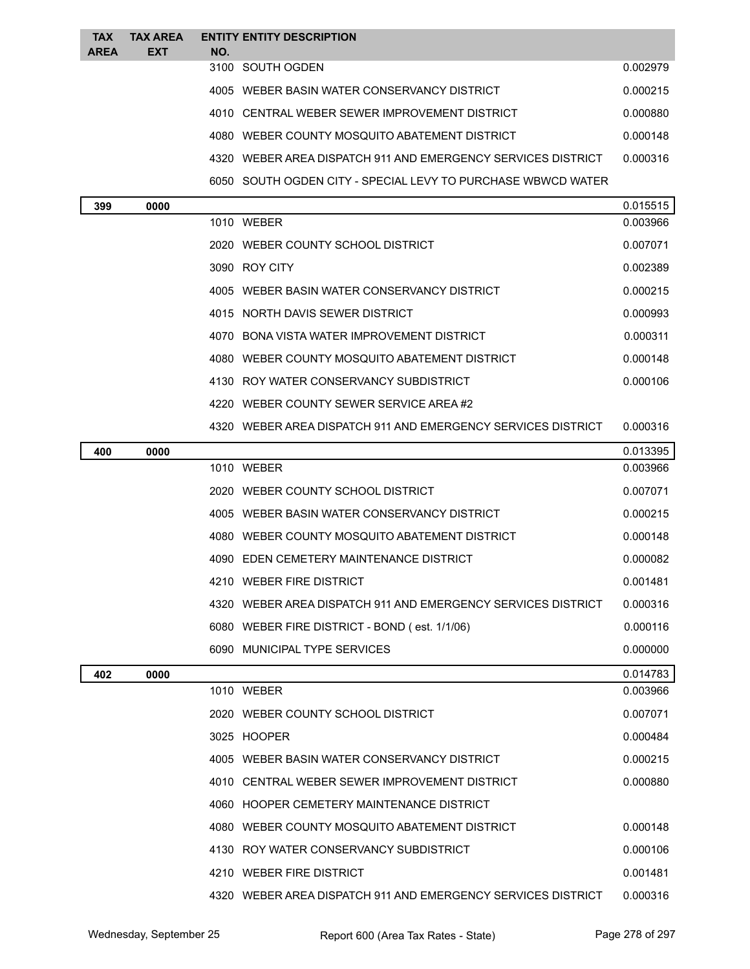| <b>TAX</b>  | <b>TAX AREA</b> | <b>ENTITY ENTITY DESCRIPTION</b>                             |          |
|-------------|-----------------|--------------------------------------------------------------|----------|
| <b>AREA</b> | <b>EXT</b>      | NO.                                                          |          |
|             |                 | 3100 SOUTH OGDEN                                             | 0.002979 |
|             |                 | 4005 WEBER BASIN WATER CONSERVANCY DISTRICT                  | 0.000215 |
|             |                 | 4010 CENTRAL WEBER SEWER IMPROVEMENT DISTRICT                | 0.000880 |
|             |                 | 4080 WEBER COUNTY MOSQUITO ABATEMENT DISTRICT                | 0.000148 |
|             |                 | 4320 WEBER AREA DISPATCH 911 AND EMERGENCY SERVICES DISTRICT | 0.000316 |
|             |                 | 6050 SOUTH OGDEN CITY - SPECIAL LEVY TO PURCHASE WBWCD WATER |          |
| 399         | 0000            |                                                              | 0.015515 |
|             |                 | 1010 WEBER                                                   | 0.003966 |
|             |                 |                                                              |          |

 WEBER COUNTY SCHOOL DISTRICT 0.007071 ROY CITY 0.002389 WEBER BASIN WATER CONSERVANCY DISTRICT 0.000215 NORTH DAVIS SEWER DISTRICT 0.000993 BONA VISTA WATER IMPROVEMENT DISTRICT 0.000311 WEBER COUNTY MOSQUITO ABATEMENT DISTRICT 0.000148

|     |      | 4130 ROY WATER CONSERVANCY SUBDISTRICT                       | 0.000106 |
|-----|------|--------------------------------------------------------------|----------|
|     |      | 4220 WEBER COUNTY SEWER SERVICE AREA#2                       |          |
|     |      | 4320 WEBER AREA DISPATCH 911 AND EMERGENCY SERVICES DISTRICT | 0.000316 |
| 400 | 0000 |                                                              | 0.013395 |
|     |      | 1010 WEBER                                                   | 0.003966 |
|     |      | 2020 WEBER COUNTY SCHOOL DISTRICT                            | 0.007071 |
|     |      | 4005 WEBER BASIN WATER CONSERVANCY DISTRICT                  | 0.000215 |
|     |      | 4080 WEBER COUNTY MOSQUITO ABATEMENT DISTRICT                | 0.000148 |
|     |      | 4090 EDEN CEMETERY MAINTENANCE DISTRICT                      | 0.000082 |
|     |      | 4210 WEBER FIRE DISTRICT                                     | 0.001481 |
|     |      | 4320 WEBER AREA DISPATCH 911 AND EMERGENCY SERVICES DISTRICT | 0.000316 |
|     |      | 6080 WEBER FIRE DISTRICT - BOND (est. 1/1/06)                | 0.000116 |
|     |      | 6090 MUNICIPAL TYPE SERVICES                                 | 0.000000 |
|     |      |                                                              |          |
| 402 | 0000 |                                                              | 0.014783 |
|     |      | 1010 WEBER                                                   | 0.003966 |
|     |      | 2020 WEBER COUNTY SCHOOL DISTRICT                            | 0.007071 |
|     |      | 3025 HOOPER                                                  | 0.000484 |
|     |      | 4005 WEBER BASIN WATER CONSERVANCY DISTRICT                  | 0.000215 |
|     |      | 4010 CENTRAL WEBER SEWER IMPROVEMENT DISTRICT                | 0.000880 |
|     |      | 4060 HOOPER CEMETERY MAINTENANCE DISTRICT                    |          |
|     |      | 4080 WEBER COUNTY MOSQUITO ABATEMENT DISTRICT                | 0.000148 |
|     |      | 4130 ROY WATER CONSERVANCY SUBDISTRICT                       | 0.000106 |
|     |      | 4210 WEBER FIRE DISTRICT                                     | 0.001481 |
|     |      | 4320 WEBER AREA DISPATCH 911 AND EMERGENCY SERVICES DISTRICT | 0.000316 |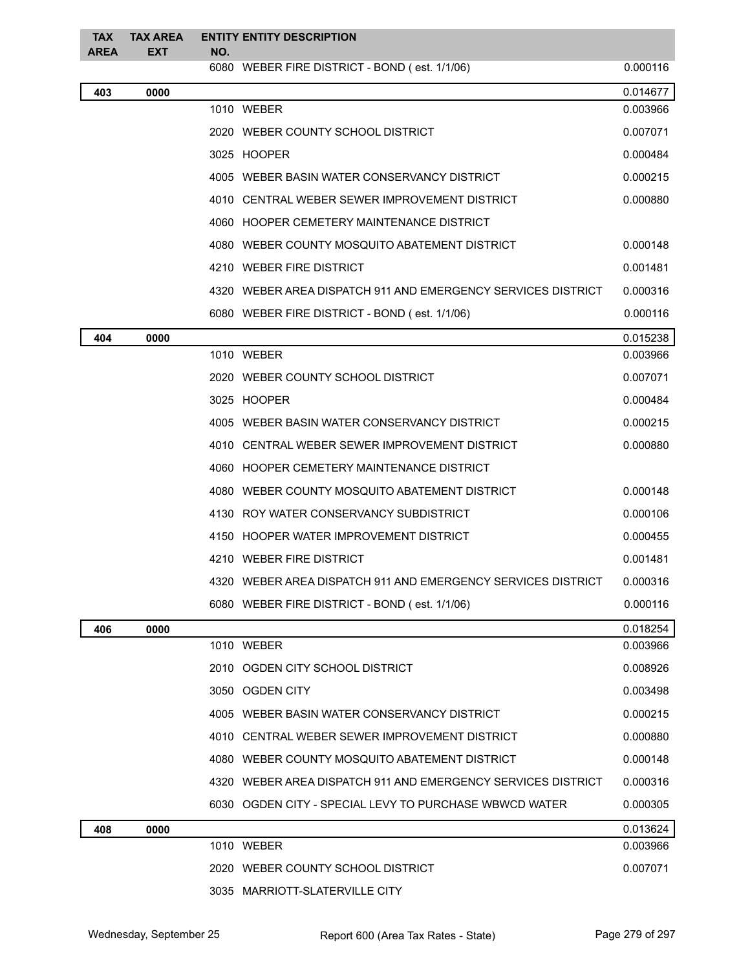| <b>TAX</b>  | <b>TAX AREA</b> |     | <b>ENTITY ENTITY DESCRIPTION</b>                             |          |
|-------------|-----------------|-----|--------------------------------------------------------------|----------|
| <b>AREA</b> | <b>EXT</b>      | NO. | 6080 WEBER FIRE DISTRICT - BOND (est. 1/1/06)                | 0.000116 |
| 403         | 0000            |     |                                                              | 0.014677 |
|             |                 |     | 1010 WEBER                                                   | 0.003966 |
|             |                 |     | 2020 WEBER COUNTY SCHOOL DISTRICT                            | 0.007071 |
|             |                 |     | 3025 HOOPER                                                  | 0.000484 |
|             |                 |     | 4005 WEBER BASIN WATER CONSERVANCY DISTRICT                  | 0.000215 |
|             |                 |     | 4010 CENTRAL WEBER SEWER IMPROVEMENT DISTRICT                | 0.000880 |
|             |                 |     | 4060 HOOPER CEMETERY MAINTENANCE DISTRICT                    |          |
|             |                 |     | 4080 WEBER COUNTY MOSQUITO ABATEMENT DISTRICT                | 0.000148 |
|             |                 |     | 4210 WEBER FIRE DISTRICT                                     | 0.001481 |
|             |                 |     | 4320 WEBER AREA DISPATCH 911 AND EMERGENCY SERVICES DISTRICT | 0.000316 |
|             |                 |     | 6080 WEBER FIRE DISTRICT - BOND (est. 1/1/06)                | 0.000116 |
| 404         | 0000            |     |                                                              | 0.015238 |
|             |                 |     | 1010 WEBER                                                   | 0.003966 |
|             |                 |     | 2020 WEBER COUNTY SCHOOL DISTRICT                            | 0.007071 |
|             |                 |     | 3025 HOOPER                                                  | 0.000484 |
|             |                 |     | 4005 WEBER BASIN WATER CONSERVANCY DISTRICT                  | 0.000215 |
|             |                 |     | 4010 CENTRAL WEBER SEWER IMPROVEMENT DISTRICT                | 0.000880 |
|             |                 |     | 4060 HOOPER CEMETERY MAINTENANCE DISTRICT                    |          |
|             |                 |     | 4080 WEBER COUNTY MOSQUITO ABATEMENT DISTRICT                | 0.000148 |
|             |                 |     | 4130 ROY WATER CONSERVANCY SUBDISTRICT                       | 0.000106 |
|             |                 |     | 4150 HOOPER WATER IMPROVEMENT DISTRICT                       | 0.000455 |
|             |                 |     | 4210 WEBER FIRE DISTRICT                                     | 0.001481 |
|             |                 |     | 4320 WEBER AREA DISPATCH 911 AND EMERGENCY SERVICES DISTRICT | 0.000316 |
|             |                 |     | 6080 WEBER FIRE DISTRICT - BOND (est. 1/1/06)                | 0.000116 |
| 406         | 0000            |     |                                                              | 0.018254 |
|             |                 |     | 1010 WEBER                                                   | 0.003966 |
|             |                 |     | 2010 OGDEN CITY SCHOOL DISTRICT                              | 0.008926 |
|             |                 |     | 3050 OGDEN CITY                                              | 0.003498 |
|             |                 |     | 4005 WEBER BASIN WATER CONSERVANCY DISTRICT                  | 0.000215 |
|             |                 |     | 4010 CENTRAL WEBER SEWER IMPROVEMENT DISTRICT                | 0.000880 |
|             |                 |     | 4080 WEBER COUNTY MOSQUITO ABATEMENT DISTRICT                | 0.000148 |
|             |                 |     | 4320 WEBER AREA DISPATCH 911 AND EMERGENCY SERVICES DISTRICT | 0.000316 |
|             |                 |     | 6030 OGDEN CITY - SPECIAL LEVY TO PURCHASE WBWCD WATER       | 0.000305 |
| 408         | 0000            |     |                                                              | 0.013624 |
|             |                 |     | 1010 WEBER                                                   | 0.003966 |
|             |                 |     | 2020 WEBER COUNTY SCHOOL DISTRICT                            | 0.007071 |
|             |                 |     | 3035 MARRIOTT-SLATERVILLE CITY                               |          |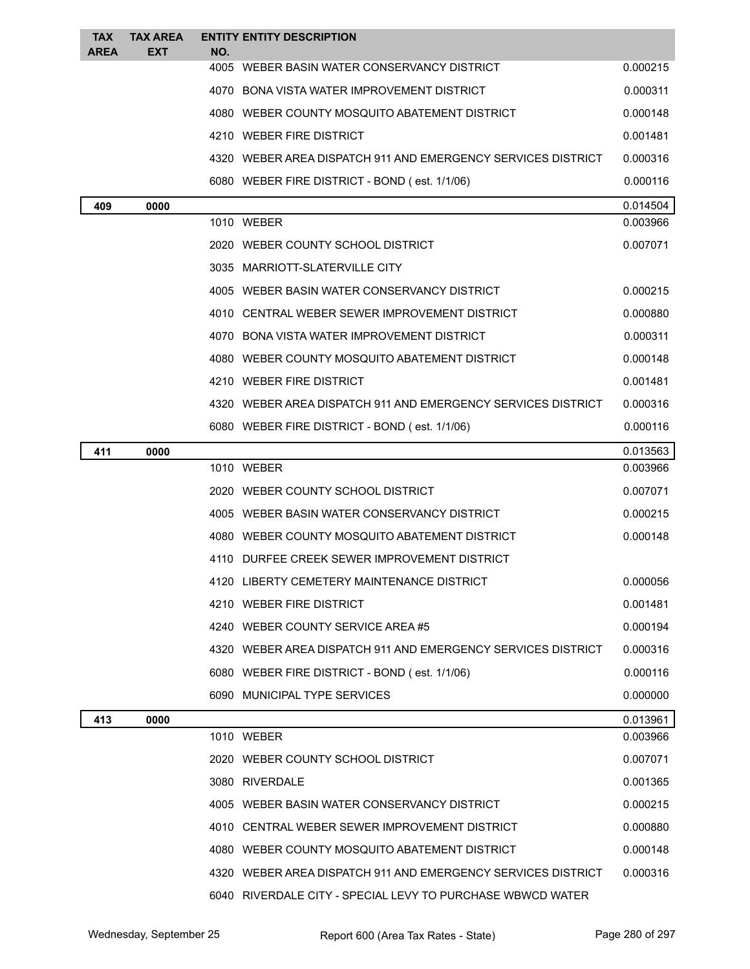| <b>TAX</b><br><b>AREA</b> | <b>TAX AREA</b><br><b>EXT</b> | NO. | <b>ENTITY ENTITY DESCRIPTION</b>                             |          |
|---------------------------|-------------------------------|-----|--------------------------------------------------------------|----------|
|                           |                               |     | 4005 WEBER BASIN WATER CONSERVANCY DISTRICT                  | 0.000215 |
|                           |                               |     | 4070 BONA VISTA WATER IMPROVEMENT DISTRICT                   | 0.000311 |
|                           |                               |     | 4080 WEBER COUNTY MOSQUITO ABATEMENT DISTRICT                | 0.000148 |
|                           |                               |     | 4210 WEBER FIRE DISTRICT                                     | 0.001481 |
|                           |                               |     | 4320 WEBER AREA DISPATCH 911 AND EMERGENCY SERVICES DISTRICT | 0.000316 |
|                           |                               |     | 6080 WEBER FIRE DISTRICT - BOND (est. 1/1/06)                | 0.000116 |
| 409                       | 0000                          |     |                                                              | 0.014504 |
|                           |                               |     | 1010 WEBER                                                   | 0.003966 |
|                           |                               |     | 2020 WEBER COUNTY SCHOOL DISTRICT                            | 0.007071 |
|                           |                               |     | 3035 MARRIOTT-SLATERVILLE CITY                               |          |
|                           |                               |     | 4005 WEBER BASIN WATER CONSERVANCY DISTRICT                  | 0.000215 |
|                           |                               |     | 4010 CENTRAL WEBER SEWER IMPROVEMENT DISTRICT                | 0.000880 |
|                           |                               |     | 4070 BONA VISTA WATER IMPROVEMENT DISTRICT                   | 0.000311 |
|                           |                               |     | 4080 WEBER COUNTY MOSQUITO ABATEMENT DISTRICT                | 0.000148 |
|                           |                               |     | 4210 WEBER FIRE DISTRICT                                     | 0.001481 |
|                           |                               |     | 4320 WEBER AREA DISPATCH 911 AND EMERGENCY SERVICES DISTRICT | 0.000316 |
|                           |                               |     | 6080 WEBER FIRE DISTRICT - BOND (est. 1/1/06)                | 0.000116 |
| 411                       | 0000                          |     |                                                              | 0.013563 |
|                           |                               |     | 1010 WEBER                                                   | 0.003966 |
|                           |                               |     | 2020 WEBER COUNTY SCHOOL DISTRICT                            | 0.007071 |
|                           |                               |     | 4005 WEBER BASIN WATER CONSERVANCY DISTRICT                  | 0.000215 |
|                           |                               |     | 4080 WEBER COUNTY MOSQUITO ABATEMENT DISTRICT                | 0.000148 |
|                           |                               |     | 4110 DURFEE CREEK SEWER IMPROVEMENT DISTRICT                 |          |
|                           |                               |     | 4120 LIBERTY CEMETERY MAINTENANCE DISTRICT                   | 0.000056 |
|                           |                               |     | 4210 WEBER FIRE DISTRICT                                     | 0.001481 |
|                           |                               |     | 4240 WEBER COUNTY SERVICE AREA #5                            | 0.000194 |
|                           |                               |     | 4320 WEBER AREA DISPATCH 911 AND EMERGENCY SERVICES DISTRICT | 0.000316 |
|                           |                               |     | 6080 WEBER FIRE DISTRICT - BOND (est. 1/1/06)                | 0.000116 |
|                           |                               |     | 6090 MUNICIPAL TYPE SERVICES                                 | 0.000000 |
| 413                       | 0000                          |     |                                                              | 0.013961 |
|                           |                               |     | 1010 WEBER                                                   | 0.003966 |
|                           |                               |     | 2020 WEBER COUNTY SCHOOL DISTRICT                            | 0.007071 |
|                           |                               |     | 3080 RIVERDALE                                               | 0.001365 |
|                           |                               |     | 4005 WEBER BASIN WATER CONSERVANCY DISTRICT                  | 0.000215 |
|                           |                               |     | 4010 CENTRAL WEBER SEWER IMPROVEMENT DISTRICT                | 0.000880 |
|                           |                               |     | 4080 WEBER COUNTY MOSQUITO ABATEMENT DISTRICT                | 0.000148 |
|                           |                               |     | 4320 WEBER AREA DISPATCH 911 AND EMERGENCY SERVICES DISTRICT | 0.000316 |
|                           |                               |     | 6040 RIVERDALE CITY - SPECIAL LEVY TO PURCHASE WBWCD WATER   |          |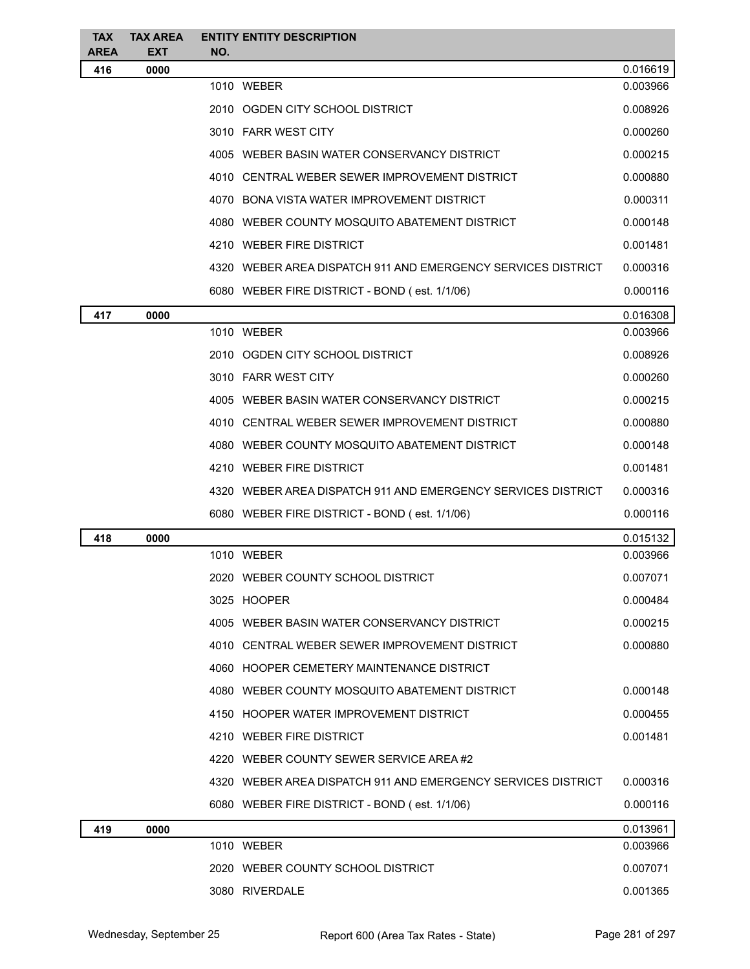| <b>TAX</b><br><b>AREA</b> | <b>TAX AREA</b><br><b>EXT</b> | <b>ENTITY ENTITY DESCRIPTION</b><br>NO.                      |          |
|---------------------------|-------------------------------|--------------------------------------------------------------|----------|
| 416                       | 0000                          |                                                              | 0.016619 |
|                           |                               | 1010 WEBER                                                   | 0.003966 |
|                           |                               | 2010 OGDEN CITY SCHOOL DISTRICT                              | 0.008926 |
|                           |                               | 3010 FARR WEST CITY                                          | 0.000260 |
|                           |                               | 4005 WEBER BASIN WATER CONSERVANCY DISTRICT                  | 0.000215 |
|                           |                               | 4010 CENTRAL WEBER SEWER IMPROVEMENT DISTRICT                | 0.000880 |
|                           |                               | 4070 BONA VISTA WATER IMPROVEMENT DISTRICT                   | 0.000311 |
|                           |                               | 4080 WEBER COUNTY MOSQUITO ABATEMENT DISTRICT                | 0.000148 |
|                           |                               | 4210 WEBER FIRE DISTRICT                                     | 0.001481 |
|                           |                               | 4320 WEBER AREA DISPATCH 911 AND EMERGENCY SERVICES DISTRICT | 0.000316 |
|                           |                               | 6080 WEBER FIRE DISTRICT - BOND (est. 1/1/06)                | 0.000116 |
| 417                       | 0000                          |                                                              | 0.016308 |
|                           |                               | 1010 WEBER                                                   | 0.003966 |
|                           |                               | 2010 OGDEN CITY SCHOOL DISTRICT                              | 0.008926 |
|                           |                               | 3010 FARR WEST CITY                                          | 0.000260 |
|                           |                               | 4005 WEBER BASIN WATER CONSERVANCY DISTRICT                  | 0.000215 |
|                           |                               | 4010 CENTRAL WEBER SEWER IMPROVEMENT DISTRICT                | 0.000880 |
|                           |                               | 4080 WEBER COUNTY MOSQUITO ABATEMENT DISTRICT                | 0.000148 |
|                           |                               | 4210 WEBER FIRE DISTRICT                                     | 0.001481 |
|                           |                               | 4320 WEBER AREA DISPATCH 911 AND EMERGENCY SERVICES DISTRICT | 0.000316 |
|                           |                               | 6080 WEBER FIRE DISTRICT - BOND (est. 1/1/06)                | 0.000116 |
| 418                       | 0000                          |                                                              | 0.015132 |
|                           |                               | 1010 WEBER                                                   | 0.003966 |
|                           |                               | 2020 WEBER COUNTY SCHOOL DISTRICT                            | 0.007071 |
|                           |                               | 3025 HOOPER                                                  | 0.000484 |
|                           |                               | 4005 WEBER BASIN WATER CONSERVANCY DISTRICT                  | 0.000215 |
|                           |                               | 4010 CENTRAL WEBER SEWER IMPROVEMENT DISTRICT                | 0.000880 |
|                           |                               | 4060 HOOPER CEMETERY MAINTENANCE DISTRICT                    |          |
|                           |                               | 4080 WEBER COUNTY MOSQUITO ABATEMENT DISTRICT                | 0.000148 |
|                           |                               | 4150 HOOPER WATER IMPROVEMENT DISTRICT                       | 0.000455 |
|                           |                               | 4210 WEBER FIRE DISTRICT                                     | 0.001481 |
|                           |                               | 4220 WEBER COUNTY SEWER SERVICE AREA #2                      |          |
|                           |                               | 4320 WEBER AREA DISPATCH 911 AND EMERGENCY SERVICES DISTRICT | 0.000316 |
|                           |                               | 6080 WEBER FIRE DISTRICT - BOND (est. 1/1/06)                | 0.000116 |
| 419                       | 0000                          |                                                              | 0.013961 |
|                           |                               | 1010 WEBER                                                   | 0.003966 |
|                           |                               | 2020 WEBER COUNTY SCHOOL DISTRICT                            | 0.007071 |
|                           |                               | 3080 RIVERDALE                                               | 0.001365 |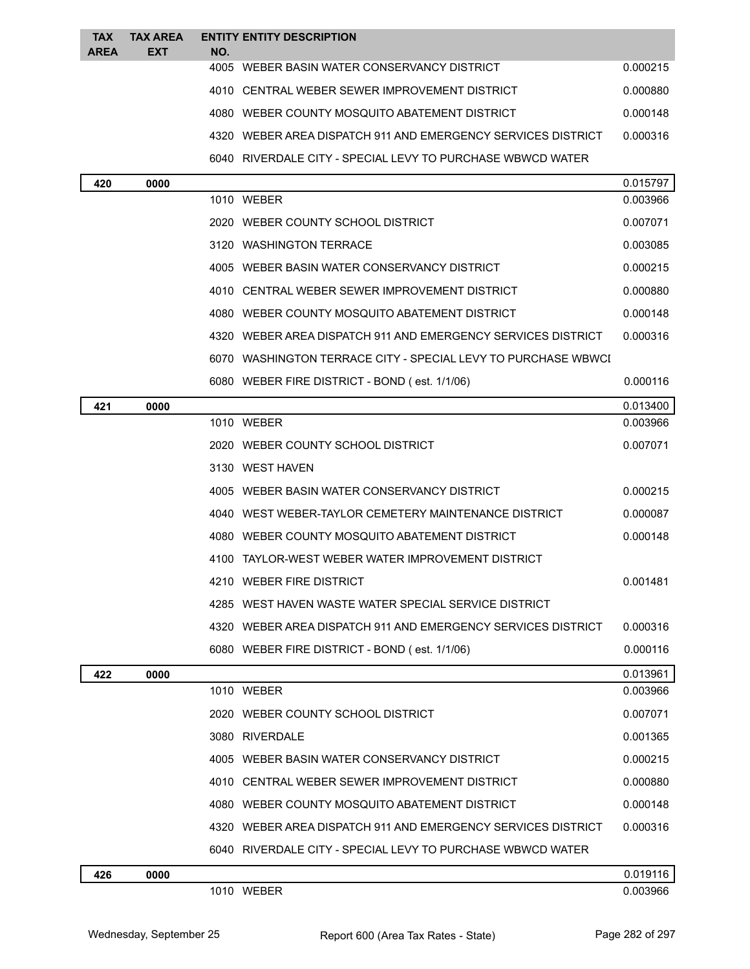| <b>TAX</b><br><b>AREA</b> | <b>TAX AREA</b><br><b>EXT</b> | NO. | <b>ENTITY ENTITY DESCRIPTION</b>                               |          |
|---------------------------|-------------------------------|-----|----------------------------------------------------------------|----------|
|                           |                               |     | 4005 WEBER BASIN WATER CONSERVANCY DISTRICT                    | 0.000215 |
|                           |                               |     | 4010 CENTRAL WEBER SEWER IMPROVEMENT DISTRICT                  | 0.000880 |
|                           |                               |     | 4080 WEBER COUNTY MOSOUITO ABATEMENT DISTRICT                  | 0.000148 |
|                           |                               |     | 4320 WEBER AREA DISPATCH 911 AND EMERGENCY SERVICES DISTRICT   | 0.000316 |
|                           |                               |     | 6040 RIVERDALE CITY - SPECIAL LEVY TO PURCHASE WBWCD WATER     |          |
| 420                       | 0000                          |     |                                                                | 0.015797 |
|                           |                               |     | 1010 WEBER                                                     | 0.003966 |
|                           |                               |     | 2020 WEBER COUNTY SCHOOL DISTRICT                              | 0.007071 |
|                           |                               |     | 3120 WASHINGTON TERRACE                                        | 0.003085 |
|                           |                               |     | 4005 WEBER BASIN WATER CONSERVANCY DISTRICT                    | 0.000215 |
|                           |                               |     | 4010 CENTRAL WEBER SEWER IMPROVEMENT DISTRICT                  | 0.000880 |
|                           |                               |     | 4080 WEBER COUNTY MOSQUITO ABATEMENT DISTRICT                  | 0.000148 |
|                           |                               |     | 4320 WEBER AREA DISPATCH 911 AND EMERGENCY SERVICES DISTRICT   | 0.000316 |
|                           |                               |     | 6070 WASHINGTON TERRACE CITY - SPECIAL LEVY TO PURCHASE WBWCI  |          |
|                           |                               |     | 6080 WEBER FIRE DISTRICT - BOND (est. 1/1/06)                  | 0.000116 |
| 421                       | 0000                          |     |                                                                | 0.013400 |
|                           |                               |     | 1010 WEBER                                                     | 0.003966 |
|                           |                               |     | 2020 WEBER COUNTY SCHOOL DISTRICT                              | 0.007071 |
|                           |                               |     | 3130 WEST HAVEN                                                |          |
|                           |                               |     | 4005 WEBER BASIN WATER CONSERVANCY DISTRICT                    | 0.000215 |
|                           |                               |     | 4040 WEST WEBER-TAYLOR CEMETERY MAINTENANCE DISTRICT           | 0.000087 |
|                           |                               |     | 4080 WEBER COUNTY MOSQUITO ABATEMENT DISTRICT                  | 0.000148 |
|                           |                               |     | 4100 TAYLOR-WEST WEBER WATER IMPROVEMENT DISTRICT              |          |
|                           |                               |     | 4210 WEBER FIRE DISTRICT                                       | 0.001481 |
|                           |                               |     | 4285 WEST HAVEN WASTE WATER SPECIAL SERVICE DISTRICT           |          |
|                           |                               |     | 4320 WEBER AREA DISPATCH 911 AND EMERGENCY SERVICES DISTRICT   | 0.000316 |
|                           |                               |     | 6080 WEBER FIRE DISTRICT - BOND (est. 1/1/06)                  | 0.000116 |
| 422                       | 0000                          |     |                                                                | 0.013961 |
|                           |                               |     | 1010 WEBER                                                     | 0.003966 |
|                           |                               |     | 2020 WEBER COUNTY SCHOOL DISTRICT                              | 0.007071 |
|                           |                               |     | 3080 RIVERDALE                                                 | 0.001365 |
|                           |                               |     | 4005 WEBER BASIN WATER CONSERVANCY DISTRICT                    | 0.000215 |
|                           |                               |     | 4010 CENTRAL WEBER SEWER IMPROVEMENT DISTRICT                  | 0.000880 |
|                           |                               |     | 4080 WEBER COUNTY MOSQUITO ABATEMENT DISTRICT                  | 0.000148 |
|                           |                               |     | 4320   WEBER AREA DISPATCH 911 AND EMERGENCY SERVICES DISTRICT | 0.000316 |
|                           |                               |     | 6040 RIVERDALE CITY - SPECIAL LEVY TO PURCHASE WBWCD WATER     |          |
| 426                       | 0000                          |     |                                                                | 0.019116 |
|                           |                               |     | 1010 WEBER                                                     | 0.003966 |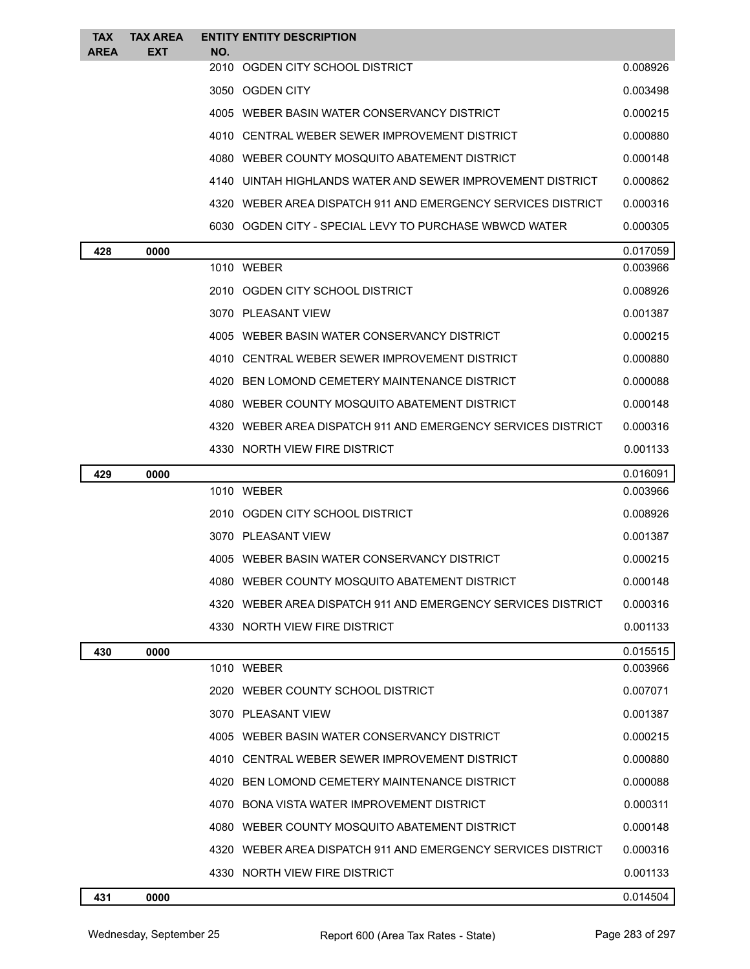| <b>TAX</b><br><b>AREA</b> | <b>TAX AREA</b><br>EXT | <b>ENTITY ENTITY DESCRIPTION</b><br>NO.                      |          |
|---------------------------|------------------------|--------------------------------------------------------------|----------|
|                           |                        | 2010 OGDEN CITY SCHOOL DISTRICT                              | 0.008926 |
|                           |                        | 3050 OGDEN CITY                                              | 0.003498 |
|                           |                        | 4005 WEBER BASIN WATER CONSERVANCY DISTRICT                  | 0.000215 |
|                           |                        | 4010 CENTRAL WEBER SEWER IMPROVEMENT DISTRICT                | 0.000880 |
|                           |                        | 4080 WEBER COUNTY MOSQUITO ABATEMENT DISTRICT                | 0.000148 |
|                           |                        | 4140 UINTAH HIGHLANDS WATER AND SEWER IMPROVEMENT DISTRICT   | 0.000862 |
|                           |                        | 4320 WEBER AREA DISPATCH 911 AND EMERGENCY SERVICES DISTRICT | 0.000316 |
|                           |                        | 6030 OGDEN CITY - SPECIAL LEVY TO PURCHASE WBWCD WATER       | 0.000305 |
| 428                       | 0000                   |                                                              | 0.017059 |
|                           |                        | 1010 WEBER                                                   | 0.003966 |
|                           |                        | 2010 OGDEN CITY SCHOOL DISTRICT                              | 0.008926 |
|                           |                        | 3070 PLEASANT VIEW                                           | 0.001387 |
|                           |                        | 4005 WEBER BASIN WATER CONSERVANCY DISTRICT                  | 0.000215 |
|                           |                        | 4010 CENTRAL WEBER SEWER IMPROVEMENT DISTRICT                | 0.000880 |
|                           |                        | 4020 BEN LOMOND CEMETERY MAINTENANCE DISTRICT                | 0.000088 |
|                           |                        | 4080 WEBER COUNTY MOSQUITO ABATEMENT DISTRICT                | 0.000148 |
|                           |                        | 4320 WEBER AREA DISPATCH 911 AND EMERGENCY SERVICES DISTRICT | 0.000316 |
|                           |                        | 4330 NORTH VIEW FIRE DISTRICT                                | 0.001133 |
| 429                       | 0000                   |                                                              | 0.016091 |
|                           |                        | 1010 WEBER                                                   | 0.003966 |
|                           |                        | 2010 OGDEN CITY SCHOOL DISTRICT                              | 0.008926 |
|                           |                        | 3070 PLEASANT VIEW                                           | 0.001387 |
|                           |                        | 4005 WEBER BASIN WATER CONSERVANCY DISTRICT                  | 0.000215 |
|                           |                        | 4080 WEBER COUNTY MOSQUITO ABATEMENT DISTRICT                | 0.000148 |
|                           |                        | 4320 WEBER AREA DISPATCH 911 AND EMERGENCY SERVICES DISTRICT | 0.000316 |
|                           |                        | 4330 NORTH VIEW FIRE DISTRICT                                | 0.001133 |
| 430                       | 0000                   |                                                              | 0.015515 |
|                           |                        | 1010 WEBER                                                   | 0.003966 |
|                           |                        | 2020 WEBER COUNTY SCHOOL DISTRICT                            | 0.007071 |
|                           |                        | 3070 PLEASANT VIEW                                           | 0.001387 |
|                           |                        | 4005 WEBER BASIN WATER CONSERVANCY DISTRICT                  | 0.000215 |
|                           |                        | 4010 CENTRAL WEBER SEWER IMPROVEMENT DISTRICT                | 0.000880 |
|                           |                        | 4020 BEN LOMOND CEMETERY MAINTENANCE DISTRICT                | 0.000088 |
|                           |                        | 4070 BONA VISTA WATER IMPROVEMENT DISTRICT                   | 0.000311 |
|                           |                        | 4080 WEBER COUNTY MOSQUITO ABATEMENT DISTRICT                | 0.000148 |
|                           |                        | 4320 WEBER AREA DISPATCH 911 AND EMERGENCY SERVICES DISTRICT | 0.000316 |
|                           |                        | 4330 NORTH VIEW FIRE DISTRICT                                | 0.001133 |
| 431                       | 0000                   |                                                              | 0.014504 |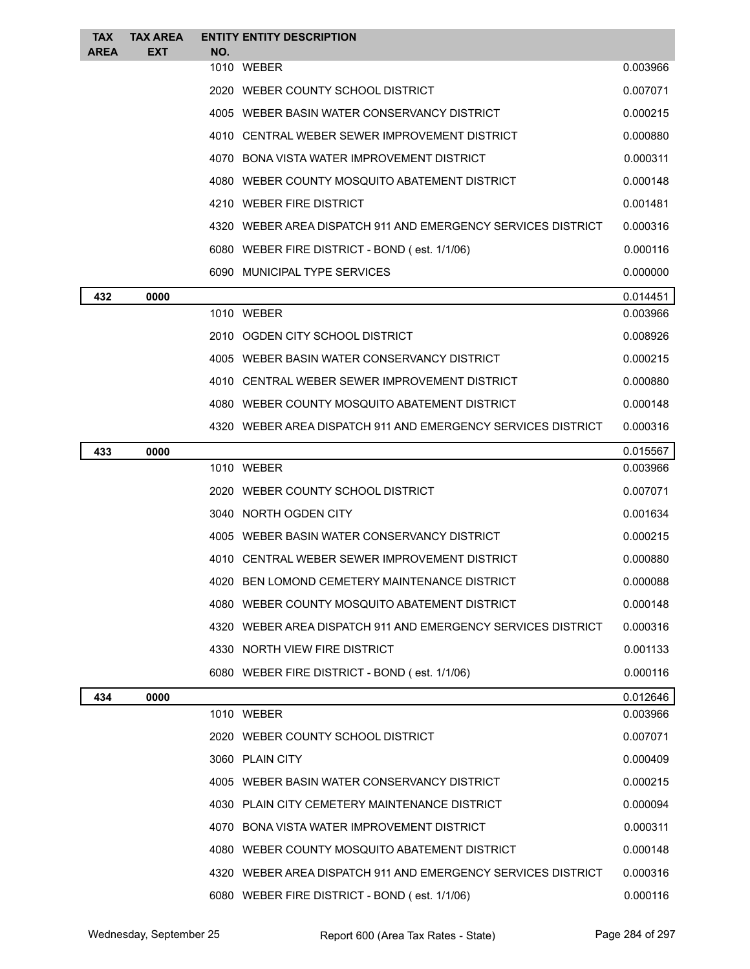| <b>TAX</b><br><b>AREA</b> | <b>TAX AREA</b><br><b>EXT</b> | <b>ENTITY ENTITY DESCRIPTION</b><br>NO.       |                                                              |          |
|---------------------------|-------------------------------|-----------------------------------------------|--------------------------------------------------------------|----------|
|                           |                               | 1010 WEBER                                    |                                                              | 0.003966 |
|                           |                               | 2020 WEBER COUNTY SCHOOL DISTRICT             |                                                              | 0.007071 |
|                           |                               | 4005 WEBER BASIN WATER CONSERVANCY DISTRICT   |                                                              | 0.000215 |
|                           |                               |                                               | 4010 CENTRAL WEBER SEWER IMPROVEMENT DISTRICT                | 0.000880 |
|                           |                               | 4070 BONA VISTA WATER IMPROVEMENT DISTRICT    |                                                              | 0.000311 |
|                           |                               |                                               | 4080 WEBER COUNTY MOSQUITO ABATEMENT DISTRICT                | 0.000148 |
|                           |                               | 4210 WEBER FIRE DISTRICT                      |                                                              | 0.001481 |
|                           |                               |                                               | 4320 WEBER AREA DISPATCH 911 AND EMERGENCY SERVICES DISTRICT | 0.000316 |
|                           |                               | 6080 WEBER FIRE DISTRICT - BOND (est. 1/1/06) |                                                              | 0.000116 |
|                           |                               | 6090 MUNICIPAL TYPE SERVICES                  |                                                              | 0.000000 |
| 432                       | 0000                          |                                               |                                                              | 0.014451 |
|                           |                               | 1010 WEBER                                    |                                                              | 0.003966 |
|                           |                               | 2010 OGDEN CITY SCHOOL DISTRICT               |                                                              | 0.008926 |
|                           |                               | 4005 WEBER BASIN WATER CONSERVANCY DISTRICT   |                                                              | 0.000215 |
|                           |                               |                                               | 4010 CENTRAL WEBER SEWER IMPROVEMENT DISTRICT                | 0.000880 |
|                           |                               |                                               | 4080 WEBER COUNTY MOSQUITO ABATEMENT DISTRICT                | 0.000148 |
|                           |                               |                                               | 4320 WEBER AREA DISPATCH 911 AND EMERGENCY SERVICES DISTRICT | 0.000316 |
| 433                       | 0000                          |                                               |                                                              | 0.015567 |
|                           |                               | 1010 WEBER                                    |                                                              | 0.003966 |
|                           |                               | 2020 WEBER COUNTY SCHOOL DISTRICT             |                                                              | 0.007071 |
|                           |                               | 3040 NORTH OGDEN CITY                         |                                                              | 0.001634 |
|                           |                               | 4005 WEBER BASIN WATER CONSERVANCY DISTRICT   |                                                              | 0.000215 |
|                           |                               |                                               | 4010 CENTRAL WEBER SEWER IMPROVEMENT DISTRICT                | 0.000880 |
|                           |                               |                                               | 4020 BEN LOMOND CEMETERY MAINTENANCE DISTRICT                | 0.000088 |
|                           |                               |                                               | 4080 WEBER COUNTY MOSQUITO ABATEMENT DISTRICT                | 0.000148 |
|                           |                               |                                               | 4320 WEBER AREA DISPATCH 911 AND EMERGENCY SERVICES DISTRICT | 0.000316 |
|                           |                               | 4330 NORTH VIEW FIRE DISTRICT                 |                                                              | 0.001133 |
|                           |                               | 6080 WEBER FIRE DISTRICT - BOND (est. 1/1/06) |                                                              | 0.000116 |
| 434                       | 0000                          |                                               |                                                              | 0.012646 |
|                           |                               | 1010 WEBER                                    |                                                              | 0.003966 |
|                           |                               | 2020 WEBER COUNTY SCHOOL DISTRICT             |                                                              | 0.007071 |
|                           |                               | 3060 PLAIN CITY                               |                                                              | 0.000409 |
|                           |                               | 4005 WEBER BASIN WATER CONSERVANCY DISTRICT   |                                                              | 0.000215 |
|                           |                               | 4030 PLAIN CITY CEMETERY MAINTENANCE DISTRICT |                                                              | 0.000094 |
|                           |                               | 4070 BONA VISTA WATER IMPROVEMENT DISTRICT    |                                                              | 0.000311 |
|                           |                               |                                               | 4080 WEBER COUNTY MOSQUITO ABATEMENT DISTRICT                | 0.000148 |
|                           |                               |                                               | 4320 WEBER AREA DISPATCH 911 AND EMERGENCY SERVICES DISTRICT | 0.000316 |
|                           |                               | 6080 WEBER FIRE DISTRICT - BOND (est. 1/1/06) |                                                              | 0.000116 |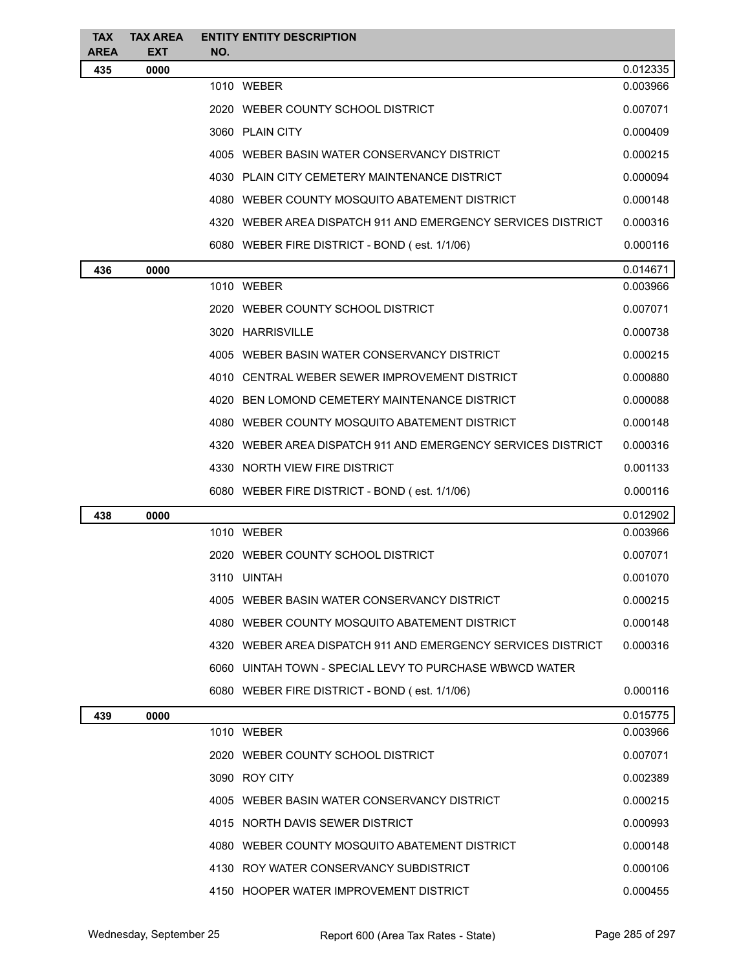| <b>TAX</b><br><b>AREA</b> | <b>TAX AREA</b><br><b>EXT</b> | <b>ENTITY ENTITY DESCRIPTION</b><br>NO. |                                                              |          |
|---------------------------|-------------------------------|-----------------------------------------|--------------------------------------------------------------|----------|
| 435                       | 0000                          |                                         |                                                              | 0.012335 |
|                           |                               |                                         | 1010 WEBER                                                   | 0.003966 |
|                           |                               |                                         | 2020 WEBER COUNTY SCHOOL DISTRICT                            | 0.007071 |
|                           |                               |                                         | 3060 PLAIN CITY                                              | 0.000409 |
|                           |                               |                                         | 4005 WEBER BASIN WATER CONSERVANCY DISTRICT                  | 0.000215 |
|                           |                               |                                         | 4030 PLAIN CITY CEMETERY MAINTENANCE DISTRICT                | 0.000094 |
|                           |                               |                                         | 4080 WEBER COUNTY MOSQUITO ABATEMENT DISTRICT                | 0.000148 |
|                           |                               |                                         | 4320 WEBER AREA DISPATCH 911 AND EMERGENCY SERVICES DISTRICT | 0.000316 |
|                           |                               |                                         | 6080 WEBER FIRE DISTRICT - BOND (est. 1/1/06)                | 0.000116 |
| 436                       | 0000                          |                                         |                                                              | 0.014671 |
|                           |                               |                                         | 1010 WEBER                                                   | 0.003966 |
|                           |                               |                                         | 2020 WEBER COUNTY SCHOOL DISTRICT                            | 0.007071 |
|                           |                               |                                         | 3020 HARRISVILLE                                             | 0.000738 |
|                           |                               |                                         | 4005 WEBER BASIN WATER CONSERVANCY DISTRICT                  | 0.000215 |
|                           |                               |                                         | 4010 CENTRAL WEBER SEWER IMPROVEMENT DISTRICT                | 0.000880 |
|                           |                               |                                         | 4020 BEN LOMOND CEMETERY MAINTENANCE DISTRICT                | 0.000088 |
|                           |                               |                                         | 4080 WEBER COUNTY MOSQUITO ABATEMENT DISTRICT                | 0.000148 |
|                           |                               |                                         | 4320 WEBER AREA DISPATCH 911 AND EMERGENCY SERVICES DISTRICT | 0.000316 |
|                           |                               |                                         | 4330 NORTH VIEW FIRE DISTRICT                                | 0.001133 |
|                           |                               |                                         | 6080 WEBER FIRE DISTRICT - BOND (est. 1/1/06)                | 0.000116 |
| 438                       | 0000                          |                                         |                                                              | 0.012902 |
|                           |                               |                                         | 1010 WEBER                                                   | 0.003966 |
|                           |                               |                                         | 2020 WEBER COUNTY SCHOOL DISTRICT                            | 0.007071 |
|                           |                               |                                         | 3110 UINTAH                                                  | 0.001070 |
|                           |                               |                                         | 4005 WEBER BASIN WATER CONSERVANCY DISTRICT                  | 0.000215 |
|                           |                               |                                         | 4080 WEBER COUNTY MOSQUITO ABATEMENT DISTRICT                | 0.000148 |
|                           |                               |                                         | 4320 WEBER AREA DISPATCH 911 AND EMERGENCY SERVICES DISTRICT | 0.000316 |
|                           |                               |                                         | 6060 UINTAH TOWN - SPECIAL LEVY TO PURCHASE WBWCD WATER      |          |
|                           |                               |                                         | 6080 WEBER FIRE DISTRICT - BOND (est. 1/1/06)                | 0.000116 |
| 439                       | 0000                          |                                         |                                                              | 0.015775 |
|                           |                               |                                         | 1010 WEBER                                                   | 0.003966 |
|                           |                               |                                         | 2020 WEBER COUNTY SCHOOL DISTRICT                            | 0.007071 |
|                           |                               |                                         | 3090 ROY CITY                                                | 0.002389 |
|                           |                               |                                         | 4005 WEBER BASIN WATER CONSERVANCY DISTRICT                  | 0.000215 |
|                           |                               |                                         | 4015 NORTH DAVIS SEWER DISTRICT                              | 0.000993 |
|                           |                               |                                         | 4080 WEBER COUNTY MOSQUITO ABATEMENT DISTRICT                | 0.000148 |
|                           |                               |                                         | 4130 ROY WATER CONSERVANCY SUBDISTRICT                       | 0.000106 |
|                           |                               |                                         | 4150 HOOPER WATER IMPROVEMENT DISTRICT                       | 0.000455 |
|                           |                               |                                         |                                                              |          |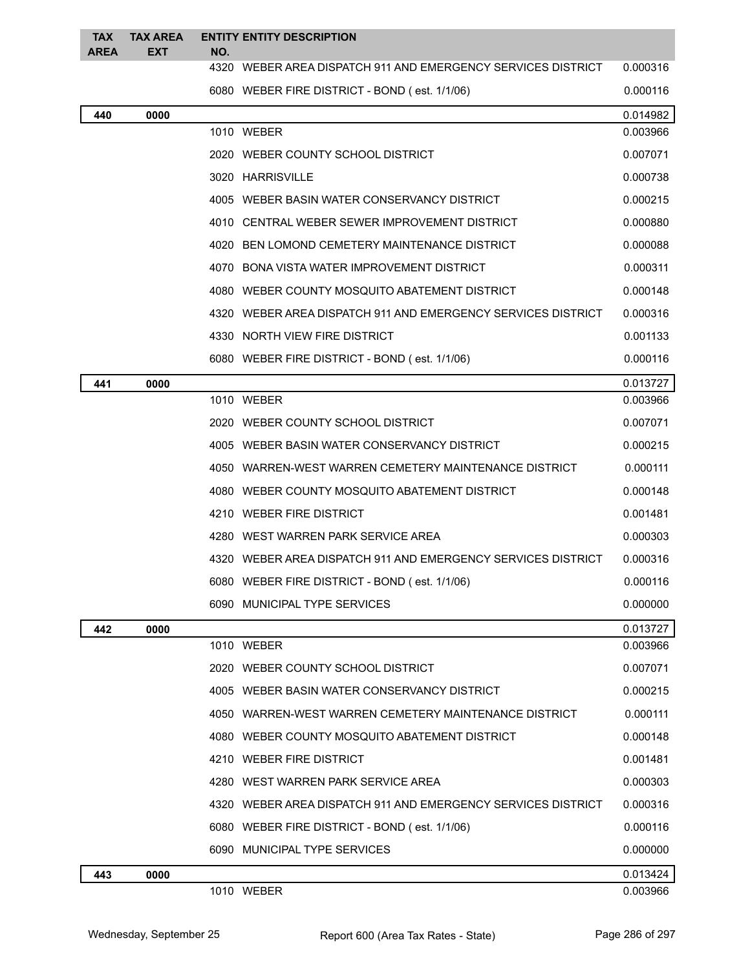| <b>TAX</b><br><b>AREA</b> | <b>TAX AREA</b><br><b>EXT</b> | NO. | <b>ENTITY ENTITY DESCRIPTION</b>                               |          |
|---------------------------|-------------------------------|-----|----------------------------------------------------------------|----------|
|                           |                               |     | 4320 WEBER AREA DISPATCH 911 AND EMERGENCY SERVICES DISTRICT   | 0.000316 |
|                           |                               |     | 6080 WEBER FIRE DISTRICT - BOND (est. 1/1/06)                  | 0.000116 |
| 440                       | 0000                          |     |                                                                | 0.014982 |
|                           |                               |     | 1010 WEBER                                                     | 0.003966 |
|                           |                               |     | 2020 WEBER COUNTY SCHOOL DISTRICT                              | 0.007071 |
|                           |                               |     | 3020 HARRISVILLE                                               | 0.000738 |
|                           |                               |     | 4005 WEBER BASIN WATER CONSERVANCY DISTRICT                    | 0.000215 |
|                           |                               |     | 4010 CENTRAL WEBER SEWER IMPROVEMENT DISTRICT                  | 0.000880 |
|                           |                               |     | 4020 BEN LOMOND CEMETERY MAINTENANCE DISTRICT                  | 0.000088 |
|                           |                               |     | 4070 BONA VISTA WATER IMPROVEMENT DISTRICT                     | 0.000311 |
|                           |                               |     | 4080 WEBER COUNTY MOSQUITO ABATEMENT DISTRICT                  | 0.000148 |
|                           |                               |     | 4320 WEBER AREA DISPATCH 911 AND EMERGENCY SERVICES DISTRICT   | 0.000316 |
|                           |                               |     | 4330 NORTH VIEW FIRE DISTRICT                                  | 0.001133 |
|                           |                               |     | 6080 WEBER FIRE DISTRICT - BOND (est. 1/1/06)                  | 0.000116 |
| 441                       | 0000                          |     |                                                                | 0.013727 |
|                           |                               |     | 1010 WEBER                                                     | 0.003966 |
|                           |                               |     | 2020 WEBER COUNTY SCHOOL DISTRICT                              | 0.007071 |
|                           |                               |     | 4005 WEBER BASIN WATER CONSERVANCY DISTRICT                    | 0.000215 |
|                           |                               |     | 4050 WARREN-WEST WARREN CEMETERY MAINTENANCE DISTRICT          | 0.000111 |
|                           |                               |     | 4080 WEBER COUNTY MOSQUITO ABATEMENT DISTRICT                  | 0.000148 |
|                           |                               |     | 4210 WEBER FIRE DISTRICT                                       | 0.001481 |
|                           |                               |     | 4280 WEST WARREN PARK SERVICE AREA                             | 0.000303 |
|                           |                               |     | 4320   WEBER AREA DISPATCH 911 AND EMERGENCY SERVICES DISTRICT | 0.000316 |
|                           |                               |     | 6080 WEBER FIRE DISTRICT - BOND (est. 1/1/06)                  | 0.000116 |
|                           |                               |     | 6090 MUNICIPAL TYPE SERVICES                                   | 0.000000 |
| 442                       | 0000                          |     |                                                                | 0.013727 |
|                           |                               |     | 1010 WEBER                                                     | 0.003966 |
|                           |                               |     | 2020 WEBER COUNTY SCHOOL DISTRICT                              | 0.007071 |
|                           |                               |     | 4005 WEBER BASIN WATER CONSERVANCY DISTRICT                    | 0.000215 |
|                           |                               |     | 4050 WARREN-WEST WARREN CEMETERY MAINTENANCE DISTRICT          | 0.000111 |
|                           |                               |     | 4080 WEBER COUNTY MOSQUITO ABATEMENT DISTRICT                  | 0.000148 |
|                           |                               |     | 4210 WEBER FIRE DISTRICT                                       | 0.001481 |
|                           |                               |     | 4280 WEST WARREN PARK SERVICE AREA                             | 0.000303 |
|                           |                               |     | 4320 WEBER AREA DISPATCH 911 AND EMERGENCY SERVICES DISTRICT   | 0.000316 |
|                           |                               |     | 6080 WEBER FIRE DISTRICT - BOND (est. 1/1/06)                  | 0.000116 |
|                           |                               |     | 6090 MUNICIPAL TYPE SERVICES                                   | 0.000000 |
| 443                       | 0000                          |     |                                                                | 0.013424 |

WEBER 0.003966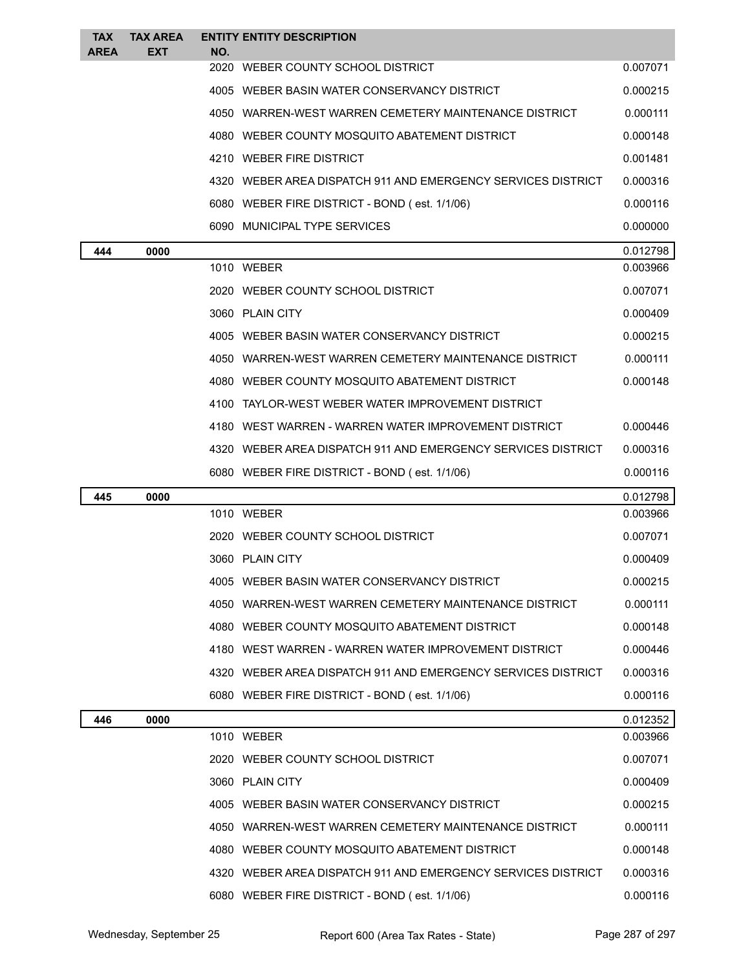| <b>TAX</b><br><b>AREA</b> | <b>TAX AREA</b><br>EXT | <b>ENTITY ENTITY DESCRIPTION</b><br>NO.                      |          |
|---------------------------|------------------------|--------------------------------------------------------------|----------|
|                           |                        | 2020 WEBER COUNTY SCHOOL DISTRICT                            | 0.007071 |
|                           |                        | 4005 WEBER BASIN WATER CONSERVANCY DISTRICT                  | 0.000215 |
|                           |                        | 4050 WARREN-WEST WARREN CEMETERY MAINTENANCE DISTRICT        | 0.000111 |
|                           |                        | 4080 WEBER COUNTY MOSQUITO ABATEMENT DISTRICT                | 0.000148 |
|                           |                        | 4210 WEBER FIRE DISTRICT                                     | 0.001481 |
|                           |                        | 4320 WEBER AREA DISPATCH 911 AND EMERGENCY SERVICES DISTRICT | 0.000316 |
|                           |                        | 6080 WEBER FIRE DISTRICT - BOND (est. 1/1/06)                | 0.000116 |
|                           |                        | 6090 MUNICIPAL TYPE SERVICES                                 | 0.000000 |
| 444                       | 0000                   |                                                              | 0.012798 |
|                           |                        | 1010 WEBER                                                   | 0.003966 |
|                           |                        | 2020 WEBER COUNTY SCHOOL DISTRICT                            | 0.007071 |
|                           |                        | 3060 PLAIN CITY                                              | 0.000409 |
|                           |                        | 4005 WEBER BASIN WATER CONSERVANCY DISTRICT                  | 0.000215 |
|                           |                        | 4050 WARREN-WEST WARREN CEMETERY MAINTENANCE DISTRICT        | 0.000111 |
|                           |                        | 4080 WEBER COUNTY MOSQUITO ABATEMENT DISTRICT                | 0.000148 |
|                           |                        | 4100 TAYLOR-WEST WEBER WATER IMPROVEMENT DISTRICT            |          |
|                           |                        | 4180 WEST WARREN - WARREN WATER IMPROVEMENT DISTRICT         | 0.000446 |
|                           |                        | 4320 WEBER AREA DISPATCH 911 AND EMERGENCY SERVICES DISTRICT | 0.000316 |
|                           |                        | 6080 WEBER FIRE DISTRICT - BOND (est. 1/1/06)                | 0.000116 |
| 445                       | 0000                   |                                                              | 0.012798 |
|                           |                        | 1010 WEBER                                                   | 0.003966 |
|                           |                        | 2020 WEBER COUNTY SCHOOL DISTRICT                            | 0.007071 |
|                           |                        | 3060 PLAIN CITY                                              | 0.000409 |
|                           |                        | 4005 WEBER BASIN WATER CONSERVANCY DISTRICT                  | 0.000215 |
|                           |                        | 4050 WARREN-WEST WARREN CEMETERY MAINTENANCE DISTRICT        | 0.000111 |
|                           |                        | 4080 WEBER COUNTY MOSQUITO ABATEMENT DISTRICT                | 0.000148 |
|                           |                        | 4180 WEST WARREN - WARREN WATER IMPROVEMENT DISTRICT         | 0.000446 |
|                           |                        | 4320 WEBER AREA DISPATCH 911 AND EMERGENCY SERVICES DISTRICT | 0.000316 |
|                           |                        | 6080 WEBER FIRE DISTRICT - BOND (est. 1/1/06)                | 0.000116 |
| 446                       | 0000                   |                                                              | 0.012352 |
|                           |                        | 1010 WEBER                                                   | 0.003966 |
|                           |                        | 2020 WEBER COUNTY SCHOOL DISTRICT                            | 0.007071 |
|                           |                        | 3060 PLAIN CITY                                              | 0.000409 |
|                           |                        | 4005 WEBER BASIN WATER CONSERVANCY DISTRICT                  | 0.000215 |
|                           |                        | 4050 WARREN-WEST WARREN CEMETERY MAINTENANCE DISTRICT        | 0.000111 |
|                           |                        | 4080 WEBER COUNTY MOSQUITO ABATEMENT DISTRICT                | 0.000148 |
|                           |                        | 4320 WEBER AREA DISPATCH 911 AND EMERGENCY SERVICES DISTRICT | 0.000316 |
|                           |                        | 6080 WEBER FIRE DISTRICT - BOND (est. 1/1/06)                | 0.000116 |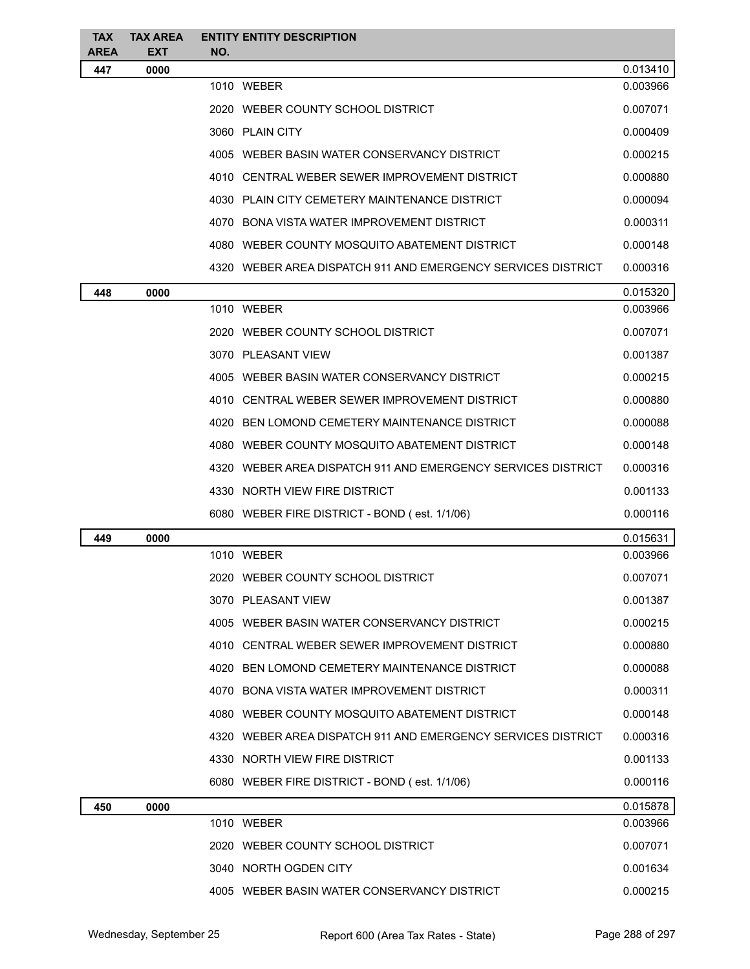| <b>TAX</b>  | <b>TAX AREA</b> | <b>ENTITY ENTITY DESCRIPTION</b>                             |                      |  |
|-------------|-----------------|--------------------------------------------------------------|----------------------|--|
| <b>AREA</b> | <b>EXT</b>      | NO.                                                          |                      |  |
| 447         | 0000            | 1010 WEBER                                                   | 0.013410<br>0.003966 |  |
|             |                 | 2020 WEBER COUNTY SCHOOL DISTRICT                            | 0.007071             |  |
|             |                 | 3060 PLAIN CITY                                              | 0.000409             |  |
|             |                 | 4005 WEBER BASIN WATER CONSERVANCY DISTRICT                  | 0.000215             |  |
|             |                 |                                                              |                      |  |
|             |                 | 4010 CENTRAL WEBER SEWER IMPROVEMENT DISTRICT                | 0.000880             |  |
|             |                 | 4030 PLAIN CITY CEMETERY MAINTENANCE DISTRICT                | 0.000094             |  |
|             |                 | 4070 BONA VISTA WATER IMPROVEMENT DISTRICT                   | 0.000311             |  |
|             |                 | 4080 WEBER COUNTY MOSQUITO ABATEMENT DISTRICT                | 0.000148             |  |
|             |                 | 4320 WEBER AREA DISPATCH 911 AND EMERGENCY SERVICES DISTRICT | 0.000316             |  |
| 448         | 0000            |                                                              | 0.015320             |  |
|             |                 | 1010 WEBER                                                   | 0.003966             |  |
|             |                 | 2020 WEBER COUNTY SCHOOL DISTRICT                            | 0.007071             |  |
|             |                 | 3070 PLEASANT VIEW                                           | 0.001387             |  |
|             |                 | 4005 WEBER BASIN WATER CONSERVANCY DISTRICT                  | 0.000215             |  |
|             |                 | 4010 CENTRAL WEBER SEWER IMPROVEMENT DISTRICT                | 0.000880             |  |
|             |                 | 4020 BEN LOMOND CEMETERY MAINTENANCE DISTRICT                | 0.000088             |  |
|             |                 | 4080 WEBER COUNTY MOSQUITO ABATEMENT DISTRICT                | 0.000148             |  |
|             |                 | 4320 WEBER AREA DISPATCH 911 AND EMERGENCY SERVICES DISTRICT | 0.000316             |  |
|             |                 | 4330 NORTH VIEW FIRE DISTRICT                                | 0.001133             |  |
|             |                 | 6080 WEBER FIRE DISTRICT - BOND (est. 1/1/06)                | 0.000116             |  |
| 449         | 0000            |                                                              | 0.015631             |  |
|             |                 | 1010 WEBER                                                   | 0.003966             |  |
|             |                 | 2020 WEBER COUNTY SCHOOL DISTRICT                            | 0.007071             |  |
|             |                 | 3070 PLEASANT VIEW                                           | 0.001387             |  |
|             |                 | 4005 WEBER BASIN WATER CONSERVANCY DISTRICT                  | 0.000215             |  |
|             |                 | 4010 CENTRAL WEBER SEWER IMPROVEMENT DISTRICT                | 0.000880             |  |
|             |                 | 4020 BEN LOMOND CEMETERY MAINTENANCE DISTRICT                | 0.000088             |  |
|             |                 | 4070 BONA VISTA WATER IMPROVEMENT DISTRICT                   | 0.000311             |  |
|             |                 | 4080 WEBER COUNTY MOSQUITO ABATEMENT DISTRICT                | 0.000148             |  |
|             |                 | 4320 WEBER AREA DISPATCH 911 AND EMERGENCY SERVICES DISTRICT | 0.000316             |  |
|             |                 | 4330 NORTH VIEW FIRE DISTRICT                                | 0.001133             |  |
|             |                 | 6080 WEBER FIRE DISTRICT - BOND (est. 1/1/06)                | 0.000116             |  |
| 450         | 0000            |                                                              | 0.015878             |  |
|             |                 | 1010 WEBER                                                   | 0.003966             |  |
|             |                 | 2020 WEBER COUNTY SCHOOL DISTRICT                            | 0.007071             |  |
|             |                 | 3040 NORTH OGDEN CITY                                        | 0.001634             |  |
|             |                 | 4005 WEBER BASIN WATER CONSERVANCY DISTRICT                  | 0.000215             |  |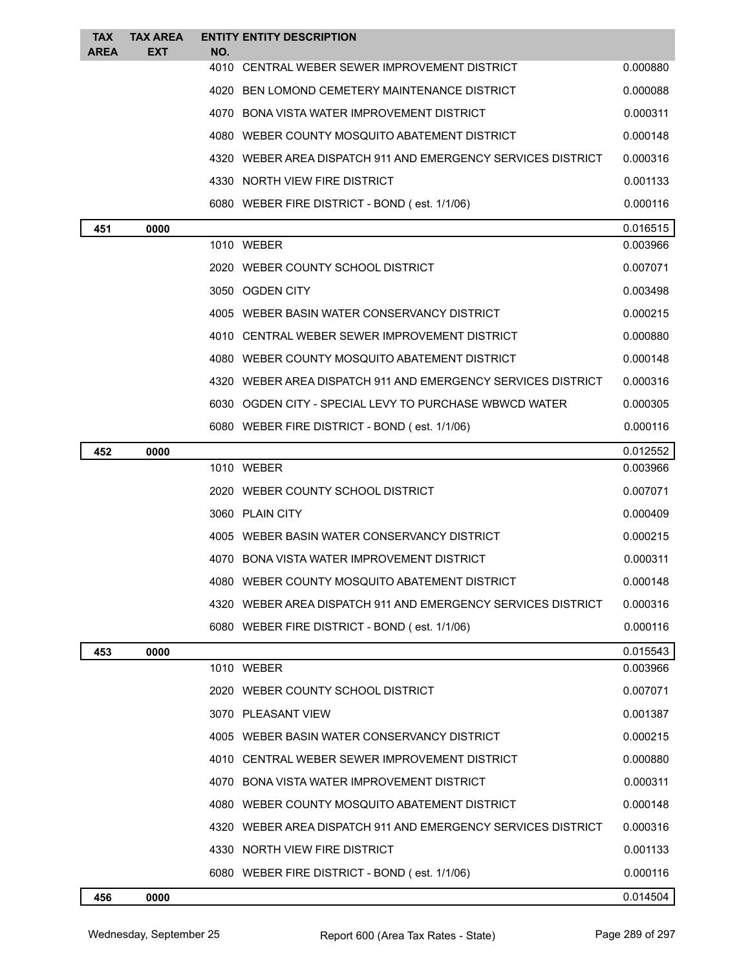| <b>TAX</b>  | <b>TAX AREA</b> |      | <b>ENTITY ENTITY DESCRIPTION</b>                             |          |
|-------------|-----------------|------|--------------------------------------------------------------|----------|
| <b>AREA</b> | EXT             | NO.  | 4010 CENTRAL WEBER SEWER IMPROVEMENT DISTRICT                | 0.000880 |
|             |                 | 4020 | BEN LOMOND CEMETERY MAINTENANCE DISTRICT                     | 0.000088 |
|             |                 |      | 4070 BONA VISTA WATER IMPROVEMENT DISTRICT                   | 0.000311 |
|             |                 |      | 4080 WEBER COUNTY MOSQUITO ABATEMENT DISTRICT                | 0.000148 |
|             |                 |      | 4320 WEBER AREA DISPATCH 911 AND EMERGENCY SERVICES DISTRICT | 0.000316 |
|             |                 |      | 4330 NORTH VIEW FIRE DISTRICT                                | 0.001133 |
|             |                 |      | 6080 WEBER FIRE DISTRICT - BOND (est. 1/1/06)                | 0.000116 |
| 451         | 0000            |      |                                                              | 0.016515 |
|             |                 |      | 1010 WEBER                                                   | 0.003966 |
|             |                 |      | 2020 WEBER COUNTY SCHOOL DISTRICT                            | 0.007071 |
|             |                 |      | 3050 OGDEN CITY                                              | 0.003498 |
|             |                 |      | 4005 WEBER BASIN WATER CONSERVANCY DISTRICT                  | 0.000215 |
|             |                 |      | 4010 CENTRAL WEBER SEWER IMPROVEMENT DISTRICT                | 0.000880 |
|             |                 |      | 4080 WEBER COUNTY MOSQUITO ABATEMENT DISTRICT                | 0.000148 |
|             |                 |      | 4320 WEBER AREA DISPATCH 911 AND EMERGENCY SERVICES DISTRICT | 0.000316 |
|             |                 |      | 6030 OGDEN CITY - SPECIAL LEVY TO PURCHASE WBWCD WATER       | 0.000305 |
|             |                 |      | 6080 WEBER FIRE DISTRICT - BOND (est. 1/1/06)                | 0.000116 |
| 452         | 0000            |      |                                                              | 0.012552 |
|             |                 |      | 1010 WEBER                                                   | 0.003966 |
|             |                 |      | 2020 WEBER COUNTY SCHOOL DISTRICT                            | 0.007071 |
|             |                 |      | 3060 PLAIN CITY                                              | 0.000409 |
|             |                 |      | 4005 WEBER BASIN WATER CONSERVANCY DISTRICT                  | 0.000215 |
|             |                 |      | 4070 BONA VISTA WATER IMPROVEMENT DISTRICT                   | 0.000311 |
|             |                 |      | 4080 WEBER COUNTY MOSQUITO ABATEMENT DISTRICT                | 0.000148 |
|             |                 |      | 4320 WEBER AREA DISPATCH 911 AND EMERGENCY SERVICES DISTRICT | 0.000316 |
|             |                 |      | 6080 WEBER FIRE DISTRICT - BOND (est. 1/1/06)                | 0.000116 |
| 453         | 0000            |      |                                                              | 0.015543 |
|             |                 |      | 1010 WEBER                                                   | 0.003966 |
|             |                 |      | 2020 WEBER COUNTY SCHOOL DISTRICT                            | 0.007071 |
|             |                 |      | 3070 PLEASANT VIEW                                           | 0.001387 |
|             |                 |      | 4005 WEBER BASIN WATER CONSERVANCY DISTRICT                  | 0.000215 |
|             |                 |      | 4010 CENTRAL WEBER SEWER IMPROVEMENT DISTRICT                | 0.000880 |
|             |                 |      | 4070 BONA VISTA WATER IMPROVEMENT DISTRICT                   | 0.000311 |
|             |                 |      | 4080 WEBER COUNTY MOSQUITO ABATEMENT DISTRICT                | 0.000148 |
|             |                 |      | 4320 WEBER AREA DISPATCH 911 AND EMERGENCY SERVICES DISTRICT | 0.000316 |
|             |                 |      | 4330 NORTH VIEW FIRE DISTRICT                                | 0.001133 |
|             |                 |      | 6080 WEBER FIRE DISTRICT - BOND (est. 1/1/06)                | 0.000116 |
| 456         | 0000            |      |                                                              | 0.014504 |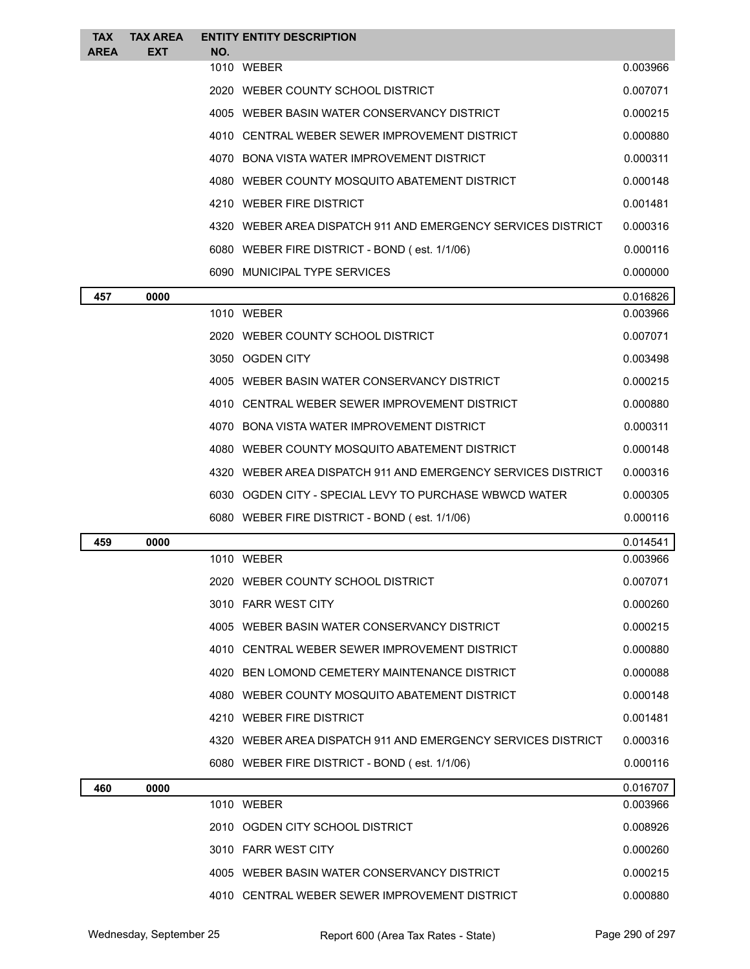| <b>TAX</b><br><b>AREA</b> | <b>TAX AREA</b><br><b>EXT</b> | NO. | <b>ENTITY ENTITY DESCRIPTION</b>                             |          |
|---------------------------|-------------------------------|-----|--------------------------------------------------------------|----------|
|                           |                               |     | 1010 WEBER                                                   | 0.003966 |
|                           |                               |     | 2020 WEBER COUNTY SCHOOL DISTRICT                            | 0.007071 |
|                           |                               |     | 4005 WEBER BASIN WATER CONSERVANCY DISTRICT                  | 0.000215 |
|                           |                               |     | 4010 CENTRAL WEBER SEWER IMPROVEMENT DISTRICT                | 0.000880 |
|                           |                               |     | 4070 BONA VISTA WATER IMPROVEMENT DISTRICT                   | 0.000311 |
|                           |                               |     | 4080 WEBER COUNTY MOSQUITO ABATEMENT DISTRICT                | 0.000148 |
|                           |                               |     | 4210 WEBER FIRE DISTRICT                                     | 0.001481 |
|                           |                               |     | 4320 WEBER AREA DISPATCH 911 AND EMERGENCY SERVICES DISTRICT | 0.000316 |
|                           |                               |     | 6080 WEBER FIRE DISTRICT - BOND (est. 1/1/06)                | 0.000116 |
|                           |                               |     | 6090 MUNICIPAL TYPE SERVICES                                 | 0.000000 |
| 457                       | 0000                          |     |                                                              | 0.016826 |
|                           |                               |     | 1010 WEBER                                                   | 0.003966 |
|                           |                               |     | 2020 WEBER COUNTY SCHOOL DISTRICT                            | 0.007071 |
|                           |                               |     | 3050 OGDEN CITY                                              | 0.003498 |
|                           |                               |     | 4005 WEBER BASIN WATER CONSERVANCY DISTRICT                  | 0.000215 |
|                           |                               |     | 4010 CENTRAL WEBER SEWER IMPROVEMENT DISTRICT                | 0.000880 |
|                           |                               |     | 4070 BONA VISTA WATER IMPROVEMENT DISTRICT                   | 0.000311 |
|                           |                               |     | 4080 WEBER COUNTY MOSQUITO ABATEMENT DISTRICT                | 0.000148 |
|                           |                               |     | 4320 WEBER AREA DISPATCH 911 AND EMERGENCY SERVICES DISTRICT | 0.000316 |
|                           |                               |     | 6030 OGDEN CITY - SPECIAL LEVY TO PURCHASE WBWCD WATER       | 0.000305 |
|                           |                               |     | 6080 WEBER FIRE DISTRICT - BOND (est. 1/1/06)                | 0.000116 |
| 459                       | 0000                          |     |                                                              | 0.014541 |
|                           |                               |     | 1010 WEBER                                                   | 0.003966 |
|                           |                               |     | 2020 WEBER COUNTY SCHOOL DISTRICT                            | 0.007071 |
|                           |                               |     | 3010 FARR WEST CITY                                          | 0.000260 |
|                           |                               |     | 4005 WEBER BASIN WATER CONSERVANCY DISTRICT                  | 0.000215 |
|                           |                               |     | 4010 CENTRAL WEBER SEWER IMPROVEMENT DISTRICT                | 0.000880 |
|                           |                               |     | 4020 BEN LOMOND CEMETERY MAINTENANCE DISTRICT                | 0.000088 |
|                           |                               |     | 4080 WEBER COUNTY MOSQUITO ABATEMENT DISTRICT                | 0.000148 |
|                           |                               |     | 4210 WEBER FIRE DISTRICT                                     | 0.001481 |
|                           |                               |     | 4320 WEBER AREA DISPATCH 911 AND EMERGENCY SERVICES DISTRICT | 0.000316 |
|                           |                               |     | 6080 WEBER FIRE DISTRICT - BOND (est. 1/1/06)                | 0.000116 |
| 460                       | 0000                          |     |                                                              | 0.016707 |
|                           |                               |     | 1010 WEBER                                                   | 0.003966 |
|                           |                               |     | 2010 OGDEN CITY SCHOOL DISTRICT                              | 0.008926 |
|                           |                               |     | 3010 FARR WEST CITY                                          | 0.000260 |
|                           |                               |     | 4005 WEBER BASIN WATER CONSERVANCY DISTRICT                  | 0.000215 |
|                           |                               |     | 4010 CENTRAL WEBER SEWER IMPROVEMENT DISTRICT                | 0.000880 |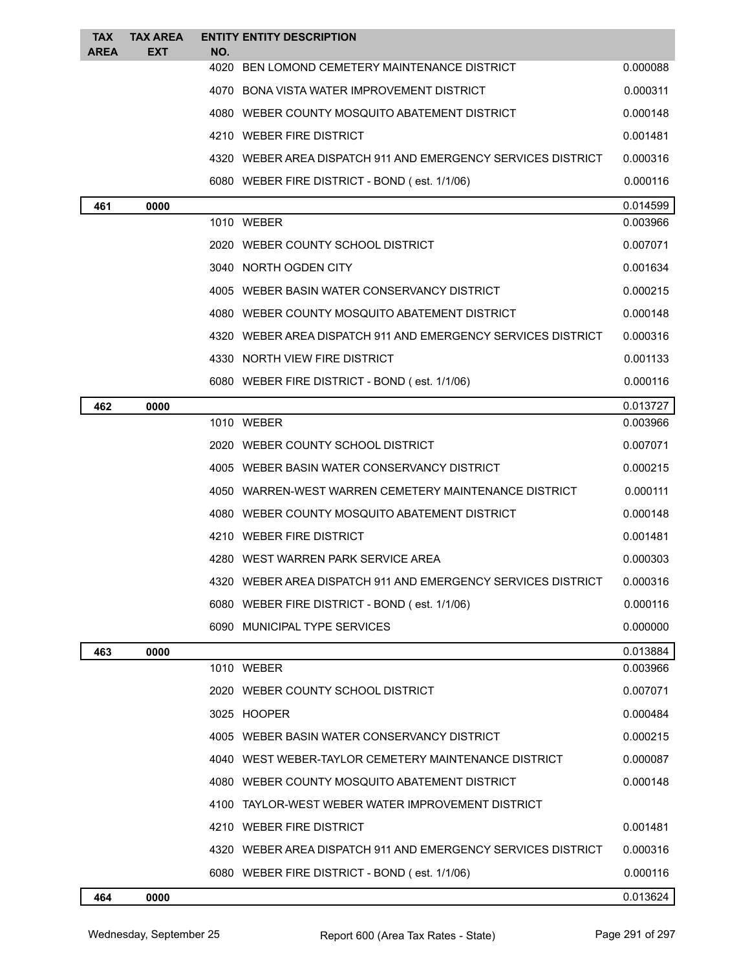| <b>TAX</b>  | <b>TAX AREA</b> | <b>ENTITY ENTITY DESCRIPTION</b>                             |          |
|-------------|-----------------|--------------------------------------------------------------|----------|
| <b>AREA</b> | <b>EXT</b>      | NO.<br>4020 BEN LOMOND CEMETERY MAINTENANCE DISTRICT         | 0.000088 |
|             |                 | 4070 BONA VISTA WATER IMPROVEMENT DISTRICT                   | 0.000311 |
|             |                 | 4080 WEBER COUNTY MOSQUITO ABATEMENT DISTRICT                | 0.000148 |
|             |                 | 4210 WEBER FIRE DISTRICT                                     | 0.001481 |
|             |                 | 4320 WEBER AREA DISPATCH 911 AND EMERGENCY SERVICES DISTRICT | 0.000316 |
|             |                 | 6080 WEBER FIRE DISTRICT - BOND (est. 1/1/06)                | 0.000116 |
| 461         | 0000            |                                                              | 0.014599 |
|             |                 | 1010 WEBER                                                   | 0.003966 |
|             |                 | 2020 WEBER COUNTY SCHOOL DISTRICT                            | 0.007071 |
|             |                 | 3040 NORTH OGDEN CITY                                        | 0.001634 |
|             |                 | 4005 WEBER BASIN WATER CONSERVANCY DISTRICT                  | 0.000215 |
|             |                 | 4080 WEBER COUNTY MOSQUITO ABATEMENT DISTRICT                | 0.000148 |
|             |                 | 4320 WEBER AREA DISPATCH 911 AND EMERGENCY SERVICES DISTRICT | 0.000316 |
|             |                 | 4330 NORTH VIEW FIRE DISTRICT                                | 0.001133 |
|             |                 | 6080 WEBER FIRE DISTRICT - BOND (est. 1/1/06)                | 0.000116 |
| 462         | 0000            |                                                              | 0.013727 |
|             |                 | 1010 WEBER                                                   | 0.003966 |
|             |                 | 2020 WEBER COUNTY SCHOOL DISTRICT                            | 0.007071 |
|             |                 | 4005 WEBER BASIN WATER CONSERVANCY DISTRICT                  | 0.000215 |
|             |                 | 4050 WARREN-WEST WARREN CEMETERY MAINTENANCE DISTRICT        | 0.000111 |
|             |                 | 4080 WEBER COUNTY MOSQUITO ABATEMENT DISTRICT                | 0.000148 |
|             |                 | 4210 WEBER FIRE DISTRICT                                     | 0.001481 |
|             |                 | 4280   WEST WARREN PARK SERVICE AREA                         | 0.000303 |
|             |                 | 4320 WEBER AREA DISPATCH 911 AND EMERGENCY SERVICES DISTRICT | 0.000316 |
|             |                 | 6080 WEBER FIRE DISTRICT - BOND (est. 1/1/06)                | 0.000116 |
|             |                 | 6090 MUNICIPAL TYPE SERVICES                                 | 0.000000 |
| 463         | 0000            |                                                              | 0.013884 |
|             |                 | 1010 WEBER                                                   | 0.003966 |
|             |                 | 2020 WEBER COUNTY SCHOOL DISTRICT                            | 0.007071 |
|             |                 | 3025 HOOPER                                                  | 0.000484 |
|             |                 | 4005 WEBER BASIN WATER CONSERVANCY DISTRICT                  | 0.000215 |
|             |                 | 4040 WEST WEBER-TAYLOR CEMETERY MAINTENANCE DISTRICT         | 0.000087 |
|             |                 | 4080 WEBER COUNTY MOSQUITO ABATEMENT DISTRICT                | 0.000148 |
|             |                 | 4100 TAYLOR-WEST WEBER WATER IMPROVEMENT DISTRICT            |          |
|             |                 | 4210 WEBER FIRE DISTRICT                                     | 0.001481 |
|             |                 | 4320 WEBER AREA DISPATCH 911 AND EMERGENCY SERVICES DISTRICT | 0.000316 |
|             |                 | 6080 WEBER FIRE DISTRICT - BOND (est. 1/1/06)                | 0.000116 |
| 464         | 0000            |                                                              | 0.013624 |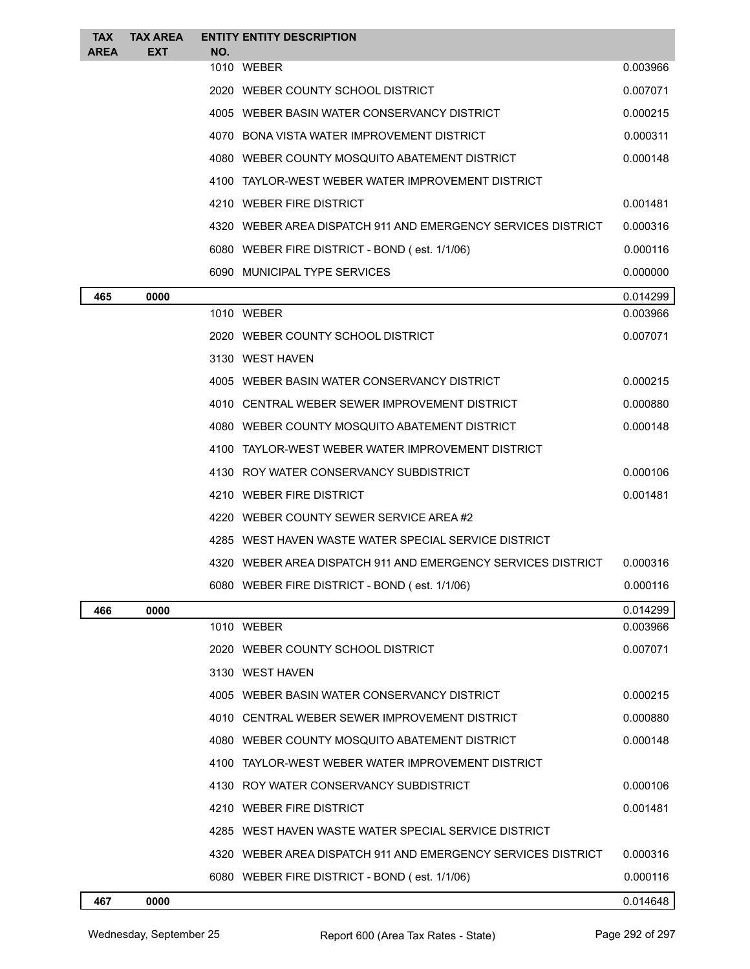| <b>TAX</b><br><b>AREA</b> | <b>TAX AREA</b><br><b>EXT</b> | <b>ENTITY ENTITY DESCRIPTION</b><br>NO.                      |          |
|---------------------------|-------------------------------|--------------------------------------------------------------|----------|
|                           |                               | 1010 WEBER                                                   | 0.003966 |
|                           |                               | 2020 WEBER COUNTY SCHOOL DISTRICT                            | 0.007071 |
|                           |                               | 4005 WEBER BASIN WATER CONSERVANCY DISTRICT                  | 0.000215 |
|                           |                               | 4070 BONA VISTA WATER IMPROVEMENT DISTRICT                   | 0.000311 |
|                           |                               | 4080 WEBER COUNTY MOSQUITO ABATEMENT DISTRICT                | 0.000148 |
|                           |                               | 4100 TAYLOR-WEST WEBER WATER IMPROVEMENT DISTRICT            |          |
|                           |                               | 4210 WEBER FIRE DISTRICT                                     | 0.001481 |
|                           |                               | 4320 WEBER AREA DISPATCH 911 AND EMERGENCY SERVICES DISTRICT | 0.000316 |
|                           |                               | 6080 WEBER FIRE DISTRICT - BOND (est. 1/1/06)                | 0.000116 |
|                           |                               | 6090 MUNICIPAL TYPE SERVICES                                 | 0.000000 |
| 465                       | 0000                          |                                                              | 0.014299 |
|                           |                               | 1010 WEBER                                                   | 0.003966 |
|                           |                               | 2020 WEBER COUNTY SCHOOL DISTRICT                            | 0.007071 |
|                           |                               | 3130 WEST HAVEN                                              |          |
|                           |                               | 4005 WEBER BASIN WATER CONSERVANCY DISTRICT                  | 0.000215 |
|                           |                               | 4010 CENTRAL WEBER SEWER IMPROVEMENT DISTRICT                | 0.000880 |
|                           |                               | 4080 WEBER COUNTY MOSQUITO ABATEMENT DISTRICT                | 0.000148 |
|                           |                               | 4100 TAYLOR-WEST WEBER WATER IMPROVEMENT DISTRICT            |          |
|                           |                               | 4130 ROY WATER CONSERVANCY SUBDISTRICT                       | 0.000106 |
|                           |                               | 4210 WEBER FIRE DISTRICT                                     | 0.001481 |
|                           |                               | 4220 WEBER COUNTY SEWER SERVICE AREA#2                       |          |
|                           |                               | 4285 WEST HAVEN WASTE WATER SPECIAL SERVICE DISTRICT         |          |
|                           |                               | 4320 WEBER AREA DISPATCH 911 AND EMERGENCY SERVICES DISTRICT | 0.000316 |
|                           |                               | 6080 WEBER FIRE DISTRICT - BOND (est. 1/1/06)                | 0.000116 |
| 466                       | 0000                          |                                                              | 0.014299 |
|                           |                               | 1010 WEBER                                                   | 0.003966 |
|                           |                               | 2020 WEBER COUNTY SCHOOL DISTRICT                            | 0.007071 |
|                           |                               | 3130 WEST HAVEN                                              |          |
|                           |                               | 4005 WEBER BASIN WATER CONSERVANCY DISTRICT                  | 0.000215 |
|                           |                               | 4010 CENTRAL WEBER SEWER IMPROVEMENT DISTRICT                | 0.000880 |
|                           |                               | 4080 WEBER COUNTY MOSQUITO ABATEMENT DISTRICT                | 0.000148 |
|                           |                               | 4100 TAYLOR-WEST WEBER WATER IMPROVEMENT DISTRICT            |          |
|                           |                               | 4130 ROY WATER CONSERVANCY SUBDISTRICT                       | 0.000106 |
|                           |                               | 4210 WEBER FIRE DISTRICT                                     | 0.001481 |
|                           |                               | 4285 WEST HAVEN WASTE WATER SPECIAL SERVICE DISTRICT         |          |
|                           |                               | 4320 WEBER AREA DISPATCH 911 AND EMERGENCY SERVICES DISTRICT | 0.000316 |
|                           |                               | 6080 WEBER FIRE DISTRICT - BOND (est. 1/1/06)                | 0.000116 |
| 467                       | 0000                          |                                                              | 0.014648 |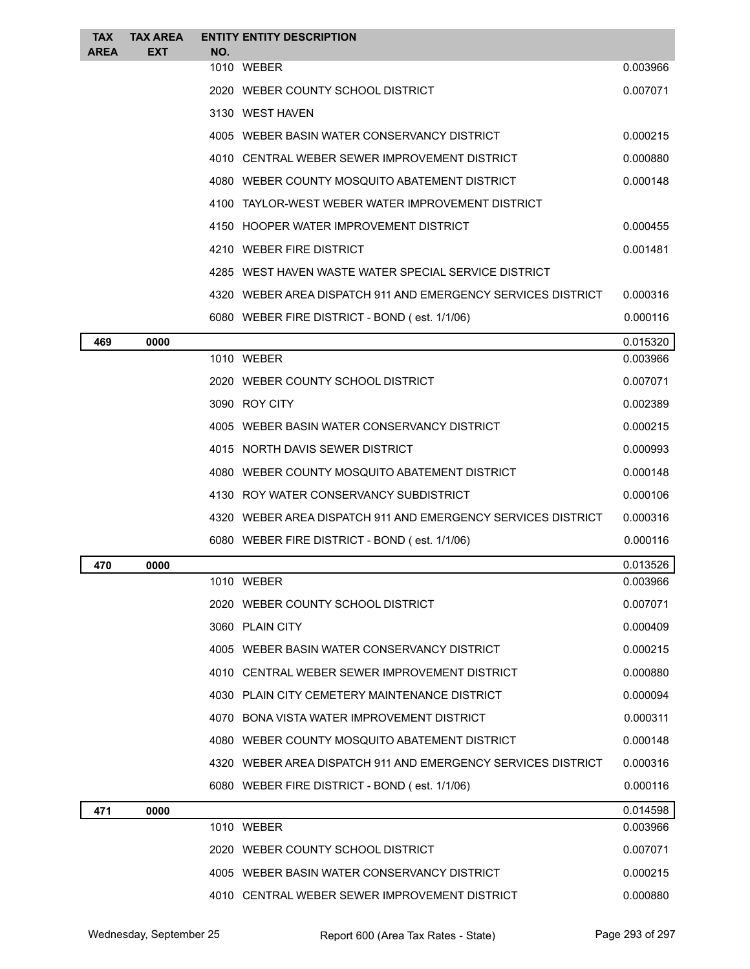| <b>TAX</b><br><b>AREA</b> | <b>TAX AREA</b><br><b>EXT</b> | <b>ENTITY ENTITY DESCRIPTION</b><br>NO.                      |          |
|---------------------------|-------------------------------|--------------------------------------------------------------|----------|
|                           |                               | 1010 WEBER                                                   | 0.003966 |
|                           |                               | 2020 WEBER COUNTY SCHOOL DISTRICT                            | 0.007071 |
|                           |                               | 3130 WEST HAVEN                                              |          |
|                           |                               | 4005 WEBER BASIN WATER CONSERVANCY DISTRICT                  | 0.000215 |
|                           |                               | 4010 CENTRAL WEBER SEWER IMPROVEMENT DISTRICT                | 0.000880 |
|                           |                               | 4080 WEBER COUNTY MOSQUITO ABATEMENT DISTRICT                | 0.000148 |
|                           |                               | 4100 TAYLOR-WEST WEBER WATER IMPROVEMENT DISTRICT            |          |
|                           |                               | 4150 HOOPER WATER IMPROVEMENT DISTRICT                       | 0.000455 |
|                           |                               | 4210 WEBER FIRE DISTRICT                                     | 0.001481 |
|                           |                               | 4285 WEST HAVEN WASTE WATER SPECIAL SERVICE DISTRICT         |          |
|                           |                               | 4320 WEBER AREA DISPATCH 911 AND EMERGENCY SERVICES DISTRICT | 0.000316 |
|                           |                               | 6080 WEBER FIRE DISTRICT - BOND (est. 1/1/06)                | 0.000116 |
| 469                       | 0000                          |                                                              | 0.015320 |
|                           |                               | 1010 WEBER                                                   | 0.003966 |
|                           |                               | 2020 WEBER COUNTY SCHOOL DISTRICT                            | 0.007071 |
|                           |                               | 3090 ROY CITY                                                | 0.002389 |
|                           |                               | 4005 WEBER BASIN WATER CONSERVANCY DISTRICT                  | 0.000215 |
|                           |                               | 4015 NORTH DAVIS SEWER DISTRICT                              | 0.000993 |
|                           |                               | 4080 WEBER COUNTY MOSQUITO ABATEMENT DISTRICT                | 0.000148 |
|                           |                               | 4130 ROY WATER CONSERVANCY SUBDISTRICT                       | 0.000106 |
|                           |                               | 4320 WEBER AREA DISPATCH 911 AND EMERGENCY SERVICES DISTRICT | 0.000316 |
|                           |                               | 6080 WEBER FIRE DISTRICT - BOND (est. 1/1/06)                | 0.000116 |
| 470                       | 0000                          |                                                              | 0.013526 |
|                           |                               | 1010 WEBER                                                   | 0.003966 |
|                           |                               | 2020 WEBER COUNTY SCHOOL DISTRICT                            | 0.007071 |
|                           |                               | 3060 PLAIN CITY                                              | 0.000409 |
|                           |                               | 4005 WEBER BASIN WATER CONSERVANCY DISTRICT                  | 0.000215 |
|                           |                               | 4010 CENTRAL WEBER SEWER IMPROVEMENT DISTRICT                | 0.000880 |
|                           |                               | 4030 PLAIN CITY CEMETERY MAINTENANCE DISTRICT                | 0.000094 |
|                           |                               | 4070 BONA VISTA WATER IMPROVEMENT DISTRICT                   | 0.000311 |
|                           |                               | 4080 WEBER COUNTY MOSQUITO ABATEMENT DISTRICT                | 0.000148 |
|                           |                               | 4320 WEBER AREA DISPATCH 911 AND EMERGENCY SERVICES DISTRICT | 0.000316 |
|                           |                               | 6080 WEBER FIRE DISTRICT - BOND (est. 1/1/06)                | 0.000116 |
| 471                       | 0000                          |                                                              | 0.014598 |
|                           |                               | 1010 WEBER                                                   | 0.003966 |
|                           |                               | 2020 WEBER COUNTY SCHOOL DISTRICT                            | 0.007071 |
|                           |                               | 4005 WEBER BASIN WATER CONSERVANCY DISTRICT                  | 0.000215 |
|                           |                               | 4010 CENTRAL WEBER SEWER IMPROVEMENT DISTRICT                | 0.000880 |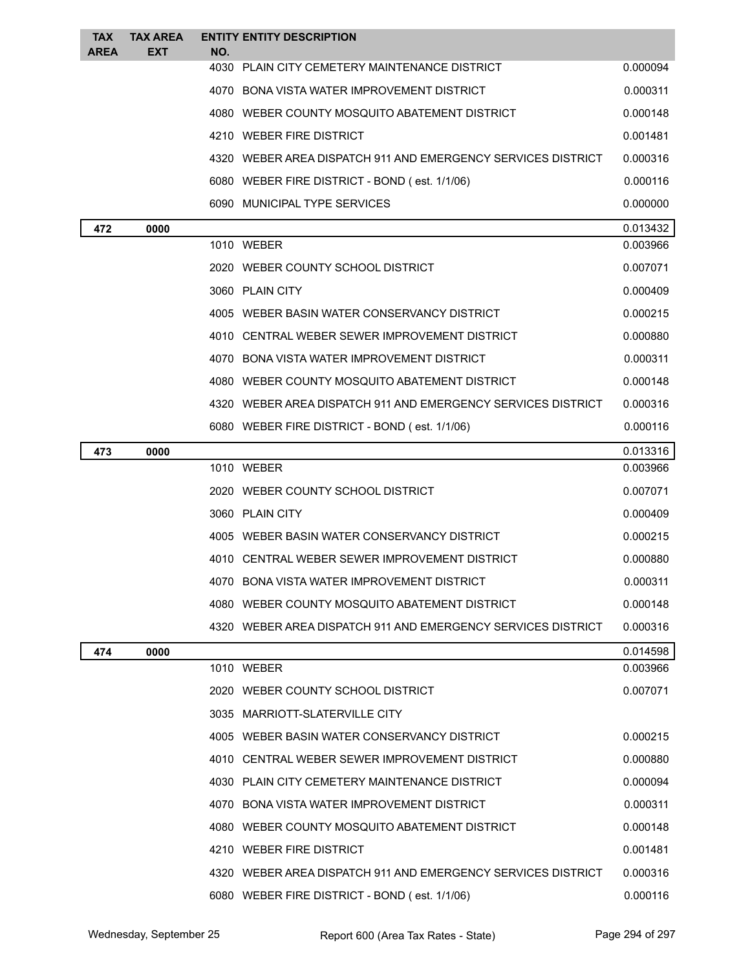| <b>TAX</b>  | <b>TAX AREA</b> | <b>ENTITY ENTITY DESCRIPTION</b>                             |          |
|-------------|-----------------|--------------------------------------------------------------|----------|
| <b>AREA</b> | <b>EXT</b>      | NO.                                                          |          |
|             |                 | 4030 PLAIN CITY CEMETERY MAINTENANCE DISTRICT                | 0.000094 |
|             |                 | 4070 BONA VISTA WATER IMPROVEMENT DISTRICT                   | 0.000311 |
|             |                 | 4080 WEBER COUNTY MOSQUITO ABATEMENT DISTRICT                | 0.000148 |
|             |                 | 4210 WEBER FIRE DISTRICT                                     | 0.001481 |
|             |                 | 4320 WEBER AREA DISPATCH 911 AND EMERGENCY SERVICES DISTRICT | 0.000316 |
|             |                 | 6080 WEBER FIRE DISTRICT - BOND (est. 1/1/06)                | 0.000116 |
|             |                 | 6090 MUNICIPAL TYPE SERVICES                                 | 0.000000 |
| 472         | 0000            |                                                              | 0.013432 |
|             |                 | 1010 WEBER                                                   | 0.003966 |
|             |                 | 2020 WEBER COUNTY SCHOOL DISTRICT                            | 0.007071 |
|             |                 | 3060 PLAIN CITY                                              | 0.000409 |
|             |                 | 4005 WEBER BASIN WATER CONSERVANCY DISTRICT                  | 0.000215 |
|             |                 | 4010 CENTRAL WEBER SEWER IMPROVEMENT DISTRICT                | 0.000880 |
|             |                 | 4070 BONA VISTA WATER IMPROVEMENT DISTRICT                   | 0.000311 |
|             |                 | 4080 WEBER COUNTY MOSQUITO ABATEMENT DISTRICT                | 0.000148 |
|             |                 | 4320 WEBER AREA DISPATCH 911 AND EMERGENCY SERVICES DISTRICT | 0.000316 |
|             |                 | 6080 WEBER FIRE DISTRICT - BOND (est. 1/1/06)                | 0.000116 |
| 473         | 0000            |                                                              | 0.013316 |
|             |                 | 1010 WEBER                                                   | 0.003966 |
|             |                 | 2020 WEBER COUNTY SCHOOL DISTRICT                            | 0.007071 |
|             |                 | 3060 PLAIN CITY                                              | 0.000409 |
|             |                 | 4005 WEBER BASIN WATER CONSERVANCY DISTRICT                  | 0.000215 |
|             |                 | 4010 CENTRAL WEBER SEWER IMPROVEMENT DISTRICT                | 0.000880 |
|             |                 | 4070 BONA VISTA WATER IMPROVEMENT DISTRICT                   | 0.000311 |
|             |                 | 4080 WEBER COUNTY MOSQUITO ABATEMENT DISTRICT                | 0.000148 |
|             |                 | 4320 WEBER AREA DISPATCH 911 AND EMERGENCY SERVICES DISTRICT | 0.000316 |
| 474         | 0000            |                                                              | 0.014598 |
|             |                 | 1010 WEBER                                                   | 0.003966 |
|             |                 | 2020 WEBER COUNTY SCHOOL DISTRICT                            | 0.007071 |
|             |                 | 3035 MARRIOTT-SLATERVILLE CITY                               |          |
|             |                 | 4005 WEBER BASIN WATER CONSERVANCY DISTRICT                  | 0.000215 |
|             |                 | 4010 CENTRAL WEBER SEWER IMPROVEMENT DISTRICT                | 0.000880 |
|             |                 | 4030 PLAIN CITY CEMETERY MAINTENANCE DISTRICT                | 0.000094 |
|             |                 | 4070 BONA VISTA WATER IMPROVEMENT DISTRICT                   | 0.000311 |
|             |                 | 4080 WEBER COUNTY MOSQUITO ABATEMENT DISTRICT                | 0.000148 |
|             |                 | 4210 WEBER FIRE DISTRICT                                     | 0.001481 |
|             |                 | 4320 WEBER AREA DISPATCH 911 AND EMERGENCY SERVICES DISTRICT | 0.000316 |
|             |                 | 6080 WEBER FIRE DISTRICT - BOND (est. 1/1/06)                | 0.000116 |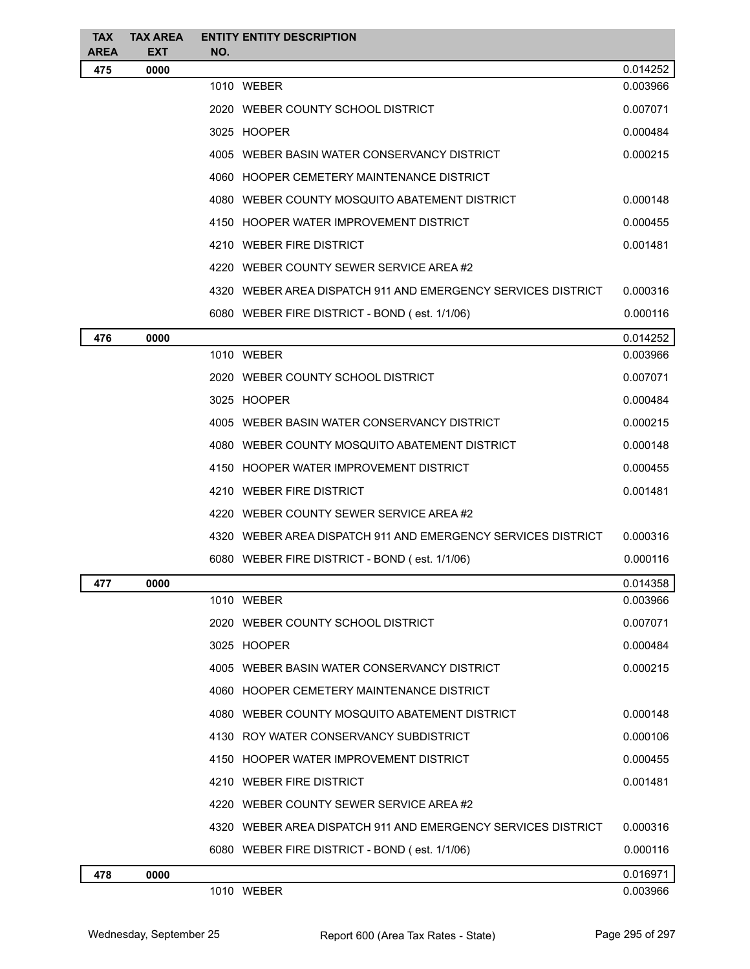| <b>TAX</b>         | <b>TAX AREA</b>    | <b>ENTITY ENTITY DESCRIPTION</b>                             |          |
|--------------------|--------------------|--------------------------------------------------------------|----------|
| <b>AREA</b><br>475 | <b>EXT</b><br>0000 | NO.                                                          | 0.014252 |
|                    |                    | 1010 WEBER                                                   | 0.003966 |
|                    |                    | 2020 WEBER COUNTY SCHOOL DISTRICT                            | 0.007071 |
|                    |                    | 3025 HOOPER                                                  | 0.000484 |
|                    |                    | 4005 WEBER BASIN WATER CONSERVANCY DISTRICT                  | 0.000215 |
|                    |                    | 4060 HOOPER CEMETERY MAINTENANCE DISTRICT                    |          |
|                    |                    | 4080 WEBER COUNTY MOSQUITO ABATEMENT DISTRICT                | 0.000148 |
|                    |                    | 4150 HOOPER WATER IMPROVEMENT DISTRICT                       | 0.000455 |
|                    |                    | 4210 WEBER FIRE DISTRICT                                     | 0.001481 |
|                    |                    | 4220 WEBER COUNTY SEWER SERVICE AREA#2                       |          |
|                    |                    | 4320 WEBER AREA DISPATCH 911 AND EMERGENCY SERVICES DISTRICT | 0.000316 |
|                    |                    | 6080 WEBER FIRE DISTRICT - BOND (est. 1/1/06)                | 0.000116 |
| 476                | 0000               |                                                              | 0.014252 |
|                    |                    | 1010 WEBER                                                   | 0.003966 |
|                    |                    | 2020 WEBER COUNTY SCHOOL DISTRICT                            | 0.007071 |
|                    |                    | 3025 HOOPER                                                  | 0.000484 |
|                    |                    | 4005 WEBER BASIN WATER CONSERVANCY DISTRICT                  | 0.000215 |
|                    |                    | 4080 WEBER COUNTY MOSQUITO ABATEMENT DISTRICT                | 0.000148 |
|                    |                    | 4150 HOOPER WATER IMPROVEMENT DISTRICT                       | 0.000455 |
|                    |                    | 4210 WEBER FIRE DISTRICT                                     | 0.001481 |
|                    |                    | 4220 WEBER COUNTY SEWER SERVICE AREA #2                      |          |
|                    |                    | 4320 WEBER AREA DISPATCH 911 AND EMERGENCY SERVICES DISTRICT | 0.000316 |
|                    |                    | 6080 WEBER FIRE DISTRICT - BOND (est. 1/1/06)                | 0.000116 |
| 477                | 0000               |                                                              | 0.014358 |
|                    |                    | 1010 WEBER                                                   | 0.003966 |
|                    |                    | 2020 WEBER COUNTY SCHOOL DISTRICT                            | 0.007071 |
|                    |                    | 3025 HOOPER                                                  | 0.000484 |
|                    |                    | 4005 WEBER BASIN WATER CONSERVANCY DISTRICT                  | 0.000215 |
|                    |                    | 4060 HOOPER CEMETERY MAINTENANCE DISTRICT                    |          |
|                    |                    | 4080 WEBER COUNTY MOSQUITO ABATEMENT DISTRICT                | 0.000148 |
|                    |                    | 4130 ROY WATER CONSERVANCY SUBDISTRICT                       | 0.000106 |
|                    |                    | 4150 HOOPER WATER IMPROVEMENT DISTRICT                       | 0.000455 |
|                    |                    | 4210 WEBER FIRE DISTRICT                                     | 0.001481 |
|                    |                    | 4220 WEBER COUNTY SEWER SERVICE AREA#2                       |          |
|                    |                    | 4320 WEBER AREA DISPATCH 911 AND EMERGENCY SERVICES DISTRICT | 0.000316 |
|                    |                    | 6080 WEBER FIRE DISTRICT - BOND (est. 1/1/06)                | 0.000116 |
| 478                | 0000               |                                                              | 0.016971 |
|                    |                    | 1010 WEBER                                                   | 0.003966 |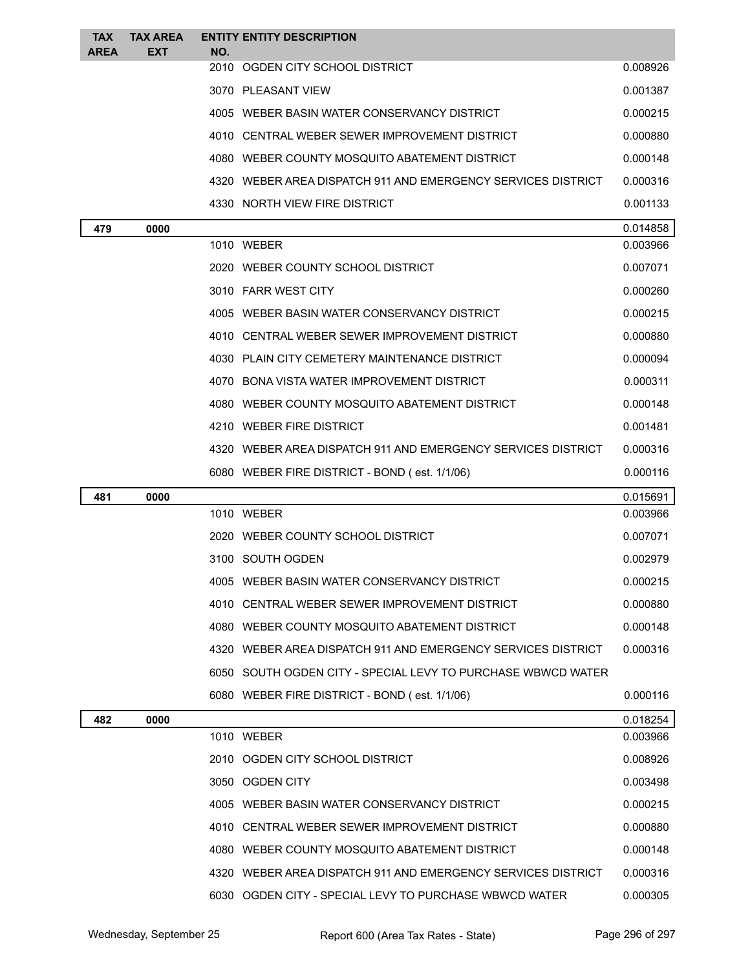| <b>TAX</b>  | <b>TAX AREA</b> |     | <b>ENTITY ENTITY DESCRIPTION</b>                             |          |
|-------------|-----------------|-----|--------------------------------------------------------------|----------|
| <b>AREA</b> | <b>EXT</b>      | NO. | 2010 OGDEN CITY SCHOOL DISTRICT                              | 0.008926 |
|             |                 |     | 3070 PLEASANT VIEW                                           | 0.001387 |
|             |                 |     | 4005 WEBER BASIN WATER CONSERVANCY DISTRICT                  | 0.000215 |
|             |                 |     | 4010 CENTRAL WEBER SEWER IMPROVEMENT DISTRICT                | 0.000880 |
|             |                 |     | 4080 WEBER COUNTY MOSQUITO ABATEMENT DISTRICT                | 0.000148 |
|             |                 |     | 4320 WEBER AREA DISPATCH 911 AND EMERGENCY SERVICES DISTRICT | 0.000316 |
|             |                 |     | 4330 NORTH VIEW FIRE DISTRICT                                | 0.001133 |
| 479         | 0000            |     |                                                              | 0.014858 |
|             |                 |     | 1010 WEBER                                                   | 0.003966 |
|             |                 |     | 2020 WEBER COUNTY SCHOOL DISTRICT                            | 0.007071 |
|             |                 |     | 3010 FARR WEST CITY                                          | 0.000260 |
|             |                 |     | 4005 WEBER BASIN WATER CONSERVANCY DISTRICT                  | 0.000215 |
|             |                 |     | 4010 CENTRAL WEBER SEWER IMPROVEMENT DISTRICT                | 0.000880 |
|             |                 |     | 4030 PLAIN CITY CEMETERY MAINTENANCE DISTRICT                | 0.000094 |
|             |                 |     | 4070 BONA VISTA WATER IMPROVEMENT DISTRICT                   | 0.000311 |
|             |                 |     | 4080 WEBER COUNTY MOSQUITO ABATEMENT DISTRICT                | 0.000148 |
|             |                 |     | 4210 WEBER FIRE DISTRICT                                     | 0.001481 |
|             |                 |     | 4320 WEBER AREA DISPATCH 911 AND EMERGENCY SERVICES DISTRICT | 0.000316 |
|             |                 |     | 6080 WEBER FIRE DISTRICT - BOND (est. 1/1/06)                | 0.000116 |
| 481         | 0000            |     |                                                              | 0.015691 |
|             |                 |     | 1010 WEBER                                                   | 0.003966 |
|             |                 |     | 2020 WEBER COUNTY SCHOOL DISTRICT                            | 0.007071 |
|             |                 |     | 3100 SOUTH OGDEN                                             | 0.002979 |
|             |                 |     | 4005 WEBER BASIN WATER CONSERVANCY DISTRICT                  | 0.000215 |
|             |                 |     | 4010 CENTRAL WEBER SEWER IMPROVEMENT DISTRICT                | 0.000880 |
|             |                 |     | 4080 WEBER COUNTY MOSQUITO ABATEMENT DISTRICT                | 0.000148 |
|             |                 |     | 4320 WEBER AREA DISPATCH 911 AND EMERGENCY SERVICES DISTRICT | 0.000316 |
|             |                 |     | 6050 SOUTH OGDEN CITY - SPECIAL LEVY TO PURCHASE WBWCD WATER |          |
|             |                 |     | 6080 WEBER FIRE DISTRICT - BOND (est. 1/1/06)                | 0.000116 |
| 482         | 0000            |     |                                                              | 0.018254 |
|             |                 |     | 1010 WEBER                                                   | 0.003966 |
|             |                 |     | 2010 OGDEN CITY SCHOOL DISTRICT                              | 0.008926 |
|             |                 |     | 3050 OGDEN CITY                                              | 0.003498 |
|             |                 |     | 4005 WEBER BASIN WATER CONSERVANCY DISTRICT                  | 0.000215 |
|             |                 |     | 4010 CENTRAL WEBER SEWER IMPROVEMENT DISTRICT                | 0.000880 |
|             |                 |     | 4080 WEBER COUNTY MOSQUITO ABATEMENT DISTRICT                | 0.000148 |
|             |                 |     | 4320 WEBER AREA DISPATCH 911 AND EMERGENCY SERVICES DISTRICT | 0.000316 |
|             |                 |     | 6030 OGDEN CITY - SPECIAL LEVY TO PURCHASE WBWCD WATER       | 0.000305 |
|             |                 |     |                                                              |          |